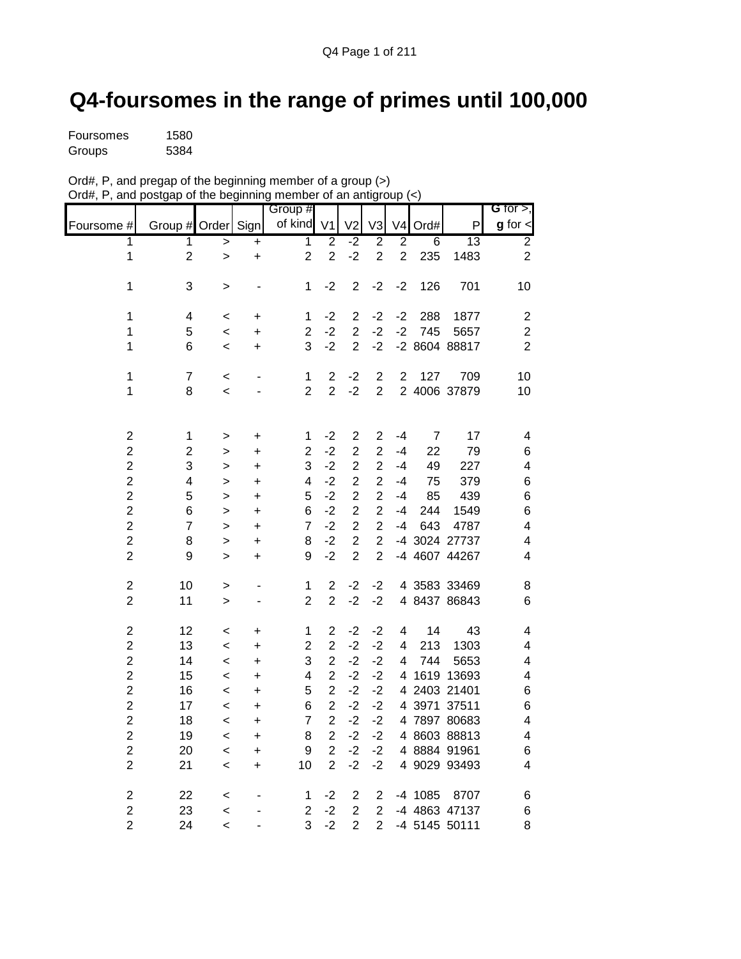## **Q4-foursomes in the range of primes until 100,000**

| Foursomes | 1580 |
|-----------|------|
| Groups    | 5384 |

| Ord#, P, and pregap of the beginning member of a group $(>)$     |  |
|------------------------------------------------------------------|--|
| Ord#, P, and postgap of the beginning member of an antigroup (<) |  |

|                         |                         |              |           | Group #        |                         |                |                  |                |                |                 | <b>G</b> for $>$ ,      |
|-------------------------|-------------------------|--------------|-----------|----------------|-------------------------|----------------|------------------|----------------|----------------|-----------------|-------------------------|
| Foursome #              | Group # Order Sign      |              |           | of kind        | V <sub>1</sub>          | V <sub>2</sub> | V3               | V <sub>4</sub> | Ord#           | P               | $g$ for $\textsf{I}$    |
| $\overline{1}$          | $\overline{1}$          | >            | $\ddot{}$ | $\overline{1}$ | $\overline{2}$          | $-2$           | $\overline{2}$   | $\overline{2}$ | $\overline{6}$ | $\overline{13}$ | $\overline{2}$          |
| $\mathbf 1$             | $\overline{c}$          | $\mathbf{I}$ | +         | $\overline{2}$ | $\overline{c}$          | $-2$           | $\overline{2}$   | $\overline{2}$ | 235            | 1483            | $\overline{2}$          |
| 1                       | 3                       |              |           | 1              | $-2$                    | $\mathbf 2$    | $-2$             | $-2$           | 126            | 701             | 10                      |
|                         |                         | >            |           |                |                         |                |                  |                |                |                 |                         |
| 1                       | $\overline{\mathbf{4}}$ | $\,<$        | +         | 1              | $-2$                    | $\overline{c}$ | $-2$             | $-2$           | 288            | 1877            | $\sqrt{2}$              |
| 1                       | 5                       | $\,<$        | +         | $\overline{c}$ | $-2$                    | $\overline{c}$ | $-2$             | $-2$           | 745            | 5657            | $\boldsymbol{2}$        |
| 1                       | 6                       | $\,<\,$      | $\ddot{}$ | 3              | $-2$                    | $\overline{2}$ | $-2$             |                |                | -2 8604 88817   | $\overline{2}$          |
|                         |                         |              |           |                |                         |                |                  |                |                |                 |                         |
| $\mathbf 1$             | $\overline{7}$          | $\,<$        | -         | 1              | $\overline{\mathbf{c}}$ | $-2$           | $\boldsymbol{2}$ | $\overline{2}$ | 127            | 709             | 10                      |
| $\mathbf 1$             | 8                       | $\,<$        |           | $\overline{2}$ | $\overline{2}$          | $-2$           | $\overline{2}$   |                |                | 2 4006 37879    | 10                      |
|                         |                         |              |           |                |                         |                |                  |                |                |                 |                         |
| $\overline{\mathbf{c}}$ | $\mathbf 1$             | >            | +         | 1              | $-2$                    | $\mathbf 2$    | $\overline{2}$   | $-4$           | $\overline{7}$ | 17              | 4                       |
| $\overline{c}$          | $\overline{c}$          | $\geq$       | $\ddot{}$ | $\overline{2}$ | $-2$                    | $\overline{c}$ | $\overline{2}$   | $-4$           | 22             | 79              | $\,6$                   |
| $\overline{c}$          | 3                       | >            | +         | 3              | $-2$                    | $\overline{c}$ | $\overline{c}$   | $-4$           | 49             | 227             | 4                       |
| $\overline{c}$          | 4                       | $\geq$       | +         | 4              | $-2$                    | $\overline{c}$ | $\overline{c}$   | -4             | 75             | 379             | $\,6$                   |
| $\overline{c}$          | 5                       | $\geq$       | $\ddot{}$ | 5              | $-2$                    | $\overline{c}$ | $\overline{c}$   | -4             | 85             | 439             | $\,6$                   |
| $\overline{\mathbf{c}}$ | $\,6$                   | $\geq$       | $\ddot{}$ | 6              | $-2$                    | $\overline{2}$ | $\overline{2}$   | $-4$           | 244            | 1549            | $\,6$                   |
| $\overline{c}$          | $\overline{7}$          | $\geq$       | $\ddot{}$ | $\overline{7}$ | $-2$                    | $\overline{2}$ | $\overline{2}$   | $-4$           | 643            | 4787            | 4                       |
| $\overline{\mathbf{c}}$ | 8                       | $\geq$       | +         | 8              | $-2$                    | $\overline{c}$ | $\overline{c}$   |                |                | -4 3024 27737   | 4                       |
| $\overline{c}$          | 9                       | $\geq$       | $\ddot{}$ | 9              | $-2$                    | $\overline{c}$ | $\overline{2}$   |                |                | -4 4607 44267   | $\overline{\mathbf{4}}$ |
| $\boldsymbol{2}$        | 10                      | >            |           | 1              | $\overline{2}$          | $-2$           | -2               |                |                | 4 3583 33469    | 8                       |
| $\overline{c}$          | 11                      | $\mathbf{L}$ |           | $\overline{2}$ | $\overline{2}$          | $-2$           | $-2$             |                |                | 4 8437 86843    | 6                       |
|                         |                         |              |           |                |                         |                |                  |                |                |                 |                         |
| $\overline{\mathbf{c}}$ | 12                      | $\,<$        | +         | $\mathbf 1$    | $\overline{c}$          | $-2$           | $-2$             | 4              | 14             | 43              | $\overline{\mathbf{4}}$ |
| $\overline{\mathbf{c}}$ | 13                      | $\,<$        | +         | $\overline{2}$ | $\overline{2}$          | $-2$           | $-2$             | 4              | 213            | 1303            | 4                       |
| $\overline{\mathbf{c}}$ | 14                      | $\,<\,$      | $\ddot{}$ | 3              | $\overline{\mathbf{c}}$ | $-2$           | $-2$             | 4              | 744            | 5653            | 4                       |
| $\overline{c}$          | 15                      | $\,<$        | +         | 4              | $\overline{c}$          | $-2$           | $-2$             | 4              |                | 1619 13693      | 4                       |
| $\overline{c}$          | 16                      | $\,<$        | +         | 5              | $\overline{2}$          | $-2$           | $-2$             |                |                | 4 2403 21401    | 6                       |
| $\overline{c}$          | 17                      | $\,<$        | $\ddot{}$ | 6              | $\overline{c}$          | $-2$           | $-2$             | 4              |                | 3971 37511      | 6                       |
| $\overline{c}$          | 18                      | $\,<$        | +         | $\overline{7}$ | $\overline{c}$          | $-2$           | $-2$             |                |                | 4 7897 80683    | 4                       |
| $\overline{\mathbf{c}}$ | 19                      | $\,<\,$      | $\ddot{}$ | 8              | $\overline{c}$          | $-2$           | $-2$             |                |                | 4 8603 88813    | $\overline{\mathbf{4}}$ |
| $\overline{2}$          | 20                      | $\,<$        | +         | 9              | $\overline{2}$          | $-2$           | $-2$             |                |                | 4 8884 91961    | 6                       |
| $\overline{2}$          | 21                      | $\,<\,$      | $\ddot{}$ | 10             | $\overline{2}$          | $-2$           | $-2$             |                |                | 4 9029 93493    | $\overline{\mathbf{4}}$ |
| $\overline{\mathbf{c}}$ | 22                      | <            |           | 1              | $-2$                    | $\mathbf 2$    | $\overline{2}$   |                | -4 1085        | 8707            | 6                       |
| $\overline{c}$          | 23                      | $\,<$        |           | $\overline{2}$ | $-2$                    | $\overline{2}$ | $\overline{2}$   |                |                | -4 4863 47137   | 6                       |
| $\overline{2}$          | 24                      | $\,<\,$      |           | 3              | $-2$                    | $\overline{2}$ | 2                |                |                | -4 5145 50111   | 8                       |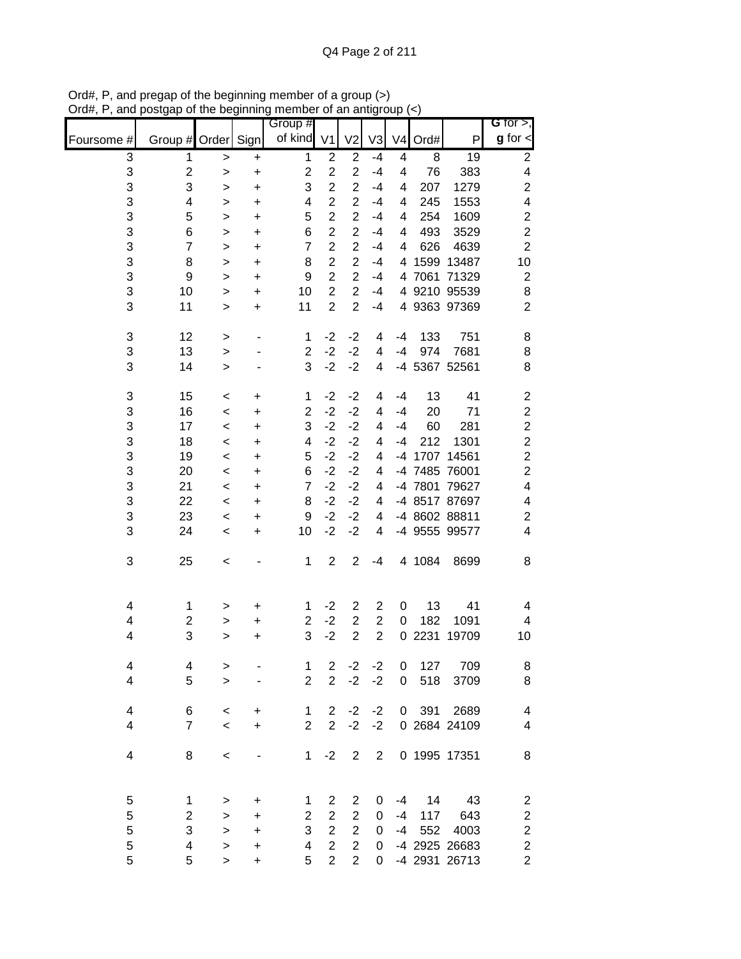|                         |                         |                    |                | Group #                 |                                  |                                  |                |                |             |               | G for $>$ ,                               |
|-------------------------|-------------------------|--------------------|----------------|-------------------------|----------------------------------|----------------------------------|----------------|----------------|-------------|---------------|-------------------------------------------|
| Foursome #              | Group # Order Sign      |                    |                | of kind                 | V <sub>1</sub>                   | V <sub>2</sub>                   | V3             | V <sub>4</sub> | Ord#        | P             | $g$ for $\lt$                             |
| 3                       | 1                       | $\,>$              | $\ddot{}$      | $\mathbf{1}$            | $\overline{2}$                   | $\mathbf 2$                      | $-4$           | 4              | 8           | 19            | $\overline{c}$                            |
| 3                       | $\overline{c}$          | $\, > \,$          | $\ddot{}$      | $\overline{c}$          | $\overline{2}$                   | $\overline{2}$                   | $-4$           | 4              | 76          | 383           | 4                                         |
| 3                       | 3                       | >                  | $\ddot{}$      | 3                       | $\overline{2}$                   | $\overline{2}$                   | $-4$           | 4              | 207         | 1279          | $\boldsymbol{2}$                          |
| 3<br>3                  | 4                       | $\,>$              | $\ddot{}$      | 4<br>5                  | $\overline{2}$<br>$\overline{2}$ | $\overline{2}$<br>$\overline{c}$ | $-4$           | 4              | 245         | 1553<br>1609  | $\overline{\mathbf{4}}$                   |
| 3                       | 5<br>6                  | ><br>$\, > \,$     | $\ddot{}$<br>+ | 6                       | $\overline{c}$                   | $\overline{2}$                   | $-4$<br>$-4$   | 4<br>4         | 254<br>493  | 3529          | $\overline{\mathbf{c}}$<br>$\overline{c}$ |
| 3                       | $\overline{7}$          | >                  | $\ddot{}$      | $\overline{7}$          | $\overline{c}$                   | $\overline{2}$                   | $-4$           | 4              | 626         | 4639          | $\overline{c}$                            |
| 3                       | 8                       | >                  | $\ddot{}$      | 8                       | $\overline{c}$                   | $\overline{2}$                   | $-4$           | 4              | 1599        | 13487         | 10                                        |
| 3                       | 9                       | $\, > \,$          | $\ddot{}$      | 9                       | $\overline{c}$                   | $\overline{c}$                   | $-4$           | 4              | 7061        | 71329         | $\boldsymbol{2}$                          |
| 3                       | 10                      | $\, > \,$          | $\ddot{}$      | 10                      | $\overline{2}$                   | $\overline{2}$                   | $-4$           | 4              |             | 9210 95539    | $\bf8$                                    |
| 3                       | 11                      | $\geq$             | $\ddot{}$      | 11                      | $\overline{2}$                   | $\overline{2}$                   | $-4$           |                |             | 4 9363 97369  | $\overline{c}$                            |
| 3                       | 12                      | $\, > \,$          | $\overline{a}$ | 1                       | $-2$                             | $-2$                             | 4              | $-4$           | 133         | 751           | 8                                         |
| 3                       | 13                      | $\geq$             |                | $\overline{2}$          | $-2$                             | $-2$                             | 4              | $-4$           | 974         | 7681          | 8                                         |
| 3                       | 14                      | $\geq$             |                | 3                       | $-2$                             | $-2$                             | 4              | $-4$           |             | 5367 52561    | 8                                         |
| 3                       | 15                      | $\,<$              | $\ddot{}$      | 1                       | $-2$                             | $-2$                             | 4              | $-4$           | 13          | 41            | $\overline{\mathbf{c}}$                   |
| 3                       | 16                      | $\,<$              | +              | $\overline{2}$          | $-2$                             | $-2$                             | 4              | $-4$           | 20          | 71            | $\overline{c}$                            |
| 3                       | 17                      | $\,<$              | $\ddot{}$      | 3                       | $-2$                             | $-2$                             | 4              | $-4$           | 60          | 281           | $\overline{c}$                            |
| 3<br>3                  | 18                      | $\,<$              | +              | 4<br>5                  | $-2$<br>$-2$                     | $-2$<br>$-2$                     | 4              | -4             | 212<br>1707 | 1301<br>14561 | $\overline{c}$<br>$\overline{c}$          |
| 3                       | 19<br>20                | $\prec$<br>$\prec$ | $\ddot{}$<br>+ | 6                       | $-2$                             | $-2$                             | 4<br>4         | -4<br>-4       | 7485        | 76001         | $\boldsymbol{2}$                          |
| 3                       | 21                      | $\,<$              | +              | $\overline{7}$          | $-2$                             | $-2$                             | 4              | -4             | 7801        | 79627         | $\overline{\mathbf{4}}$                   |
| 3                       | 22                      | $\,<$              | +              | 8                       | $-2$                             | $-2$                             | 4              | -4             |             | 8517 87697    | $\overline{\mathbf{4}}$                   |
| 3                       | 23                      | $\,<$              | +              | 9                       | $-2$                             | $-2$                             | 4              | -4             |             | 8602 88811    | $\overline{\mathbf{c}}$                   |
| 3                       | 24                      | $\,<\,$            | $\ddot{}$      | 10                      | $-2$                             | $-2$                             | 4              | -4             |             | 9555 99577    | 4                                         |
| 3                       | 25                      | <                  |                | 1                       | 2                                | $\mathbf 2$                      | $-4$           |                | 4 1084      | 8699          | 8                                         |
| 4                       | 1                       | >                  | +              | 1                       | $-2$                             | $\overline{2}$                   | $\overline{c}$ | 0              | 13          | 41            | 4                                         |
| 4                       | $\overline{\mathbf{c}}$ | >                  | +              | $\overline{\mathbf{c}}$ | $-2$                             | $\mathbf 2$                      | $\overline{c}$ | 0              | 182         | 1091          | 4                                         |
| 4                       | 3                       | >                  | +              | 3                       | $-2$                             | $\overline{2}$                   | $\overline{2}$ | 0              | 2231        | 19709         | 10                                        |
| 4                       | 4                       | >                  |                | 1                       | $\overline{2}$                   | $-2$                             | $-2$           | 0              | 127         | 709           | 8                                         |
| 4                       | 5                       | $\geq$             |                | $\overline{2}$          | $\overline{2}$                   | $-2$                             | $-2$           | 0              | 518         | 3709          | 8                                         |
| $\overline{\mathbf{4}}$ | 6                       | $\prec$            | $\ddot{}$      | $\mathbf 1$             | $\overline{2}$                   | $-2$                             | $-2$           | 0              | 391         | 2689          | $\overline{\mathbf{4}}$                   |
| 4                       | $\overline{7}$          | $\,<$              | +              | $\overline{2}$          | $\overline{2}$                   | $-2$                             | $-2$           |                |             | 0 2684 24109  | $\overline{\mathcal{A}}$                  |
| $\overline{\mathbf{4}}$ | 8                       | $\,<$              |                | 1                       | $-2$                             | $\overline{2}$                   | $\overline{2}$ |                |             | 0 1995 17351  | $\bf 8$                                   |
| 5                       | 1                       | $\, > \,$          | $\ddot{}$      | 1                       | $\overline{c}$                   | 2                                | 0              | $-4$           | 14          | 43            | $\overline{\mathbf{c}}$                   |
| 5                       | $\overline{c}$          | >                  | $\ddot{}$      | $\overline{c}$          | $\overline{c}$                   | $\overline{2}$                   | $\pmb{0}$      | $-4$           | 117         | 643           | $\overline{\mathbf{c}}$                   |
| 5                       | 3                       | $\,>$              | $\ddot{}$      | 3                       | $\overline{2}$                   | $\overline{2}$                   | $\pmb{0}$      | $-4$           | 552         | 4003          | $\overline{\mathbf{c}}$                   |
| 5                       | 4                       | $\,>$              | $\ddot{}$      | 4                       | $\overline{2}$                   | $\overline{c}$                   | $\pmb{0}$      |                |             | -4 2925 26683 | $\boldsymbol{2}$                          |
| 5                       | 5                       | $\geq$             | $\ddot{}$      | 5                       | $\overline{2}$                   | $\overline{2}$                   | 0              |                |             | -4 2931 26713 | $\overline{c}$                            |

Ord#, P, and pregap of the beginning member of a group (>) Ord#, P, and postgap of the beginning member of an antigroup (<)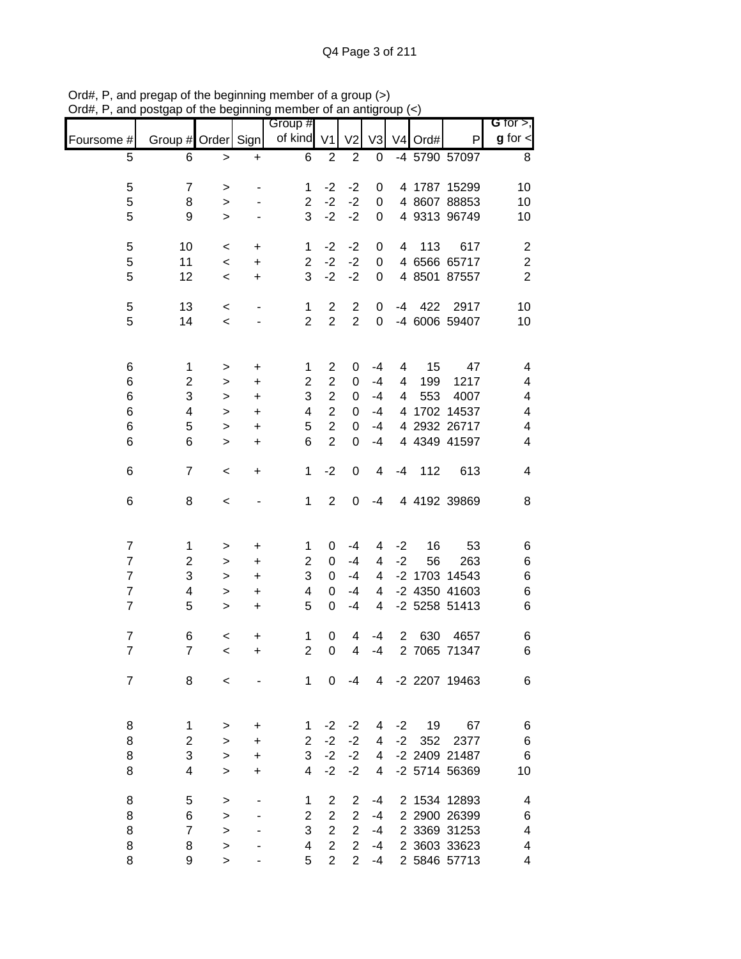|                |                    | ບ. ແມ່ນ ມັນຫຼາມມາມາຫຼ |           | <br>Group #             |                | <u>un un un</u> |                |                |           |                 | G for $>$ ,              |
|----------------|--------------------|-----------------------|-----------|-------------------------|----------------|-----------------|----------------|----------------|-----------|-----------------|--------------------------|
| Foursome #     | Group # Order Sign |                       |           | of kind                 | V <sub>1</sub> | V <sub>2</sub>  | V <sub>3</sub> |                | $V4$ Ord# | P               | $g$ for $\lt$            |
| 5              | 6                  | $\geq$                | $\ddot{}$ | 6                       | $\overline{2}$ | $\overline{2}$  | 0              |                |           | -4 5790 57097   | 8                        |
| 5              | $\overline{7}$     | $\, > \,$             |           | 1                       | $-2$           | $-2$            | 0              |                |           | 4 1787 15299    | 10                       |
| 5              | 8                  | $\,>$                 |           | $\overline{2}$          | $-2$           | $-2$            | 0              |                |           | 4 8607 88853    | 10                       |
| 5              | 9                  | $\geq$                |           | 3                       | $-2$           | $-2$            | 0              |                |           | 4 9313 96749    | 10                       |
|                |                    |                       |           |                         |                |                 |                |                |           |                 |                          |
| 5              | 10                 | $\,<$                 | +         | 1                       | $-2$           | $-2$            | 0              | 4              | 113       | 617             | $\overline{c}$           |
| 5              | 11                 | $\,<$                 | $\ddot{}$ | $\overline{2}$          | $-2$           | $-2$            | $\mathbf 0$    |                |           | 4 6566 65717    | $\sqrt{2}$               |
| 5              | 12                 | $\,<\,$               | $\ddot{}$ | 3                       | $-2$           | $-2$            | 0              |                |           | 4 8501 87557    | $\overline{2}$           |
| $\,$ 5 $\,$    | 13                 | $\,<$                 | -         | $\mathbf{1}$            | $\overline{2}$ | $\overline{2}$  | 0              | $-4$           |           | 422 2917        | 10                       |
| 5              | 14                 | $\,<$                 |           | $\overline{2}$          | $\overline{2}$ | $\overline{2}$  | 0              |                |           | -4 6006 59407   | 10                       |
|                |                    |                       |           |                         |                |                 |                |                |           |                 |                          |
| 6              | $\mathbf{1}$       | >                     | +         | $\mathbf{1}$            | $\overline{c}$ | 0               | $-4$           | 4              | 15        | 47              | 4                        |
| $\,$ 6 $\,$    | $\overline{c}$     | >                     | +         | $\overline{\mathbf{c}}$ | $\overline{c}$ | 0               | $-4$           | 4              | 199       | 1217            | 4                        |
| 6              | 3                  | $\,>$                 | +         | 3                       | $\overline{c}$ | 0               | $-4$           | 4              | 553       | 4007            | 4                        |
| 6              | 4                  | $\, > \,$             | +         | $\overline{\mathbf{4}}$ | $\overline{c}$ | 0               | $-4$           |                |           | 4 1702 14537    | 4                        |
| $\,$ 6 $\,$    | 5                  | $\, > \,$             | +         | $\mathbf 5$             | $\overline{c}$ | 0               | -4             |                |           | 4 2932 26717    | 4                        |
| $\,6$          | 6                  | $\geq$                | +         | $6\phantom{1}$          | $\overline{2}$ | 0               | $-4$           |                |           | 4 4349 41597    | $\overline{\mathcal{A}}$ |
| 6              | $\overline{7}$     | $\,<\,$               | +         | 1                       | $-2$           | 0               | 4              | $-4$           | 112       | 613             | 4                        |
| 6              | 8                  | $\,<$                 |           | 1                       | $\overline{2}$ | 0               | $-4$           |                |           | 4 4192 39869    | 8                        |
|                |                    |                       |           |                         |                |                 |                |                |           |                 |                          |
| $\overline{7}$ | 1                  | $\,$                  | +         | 1                       | 0              | $-4$            | 4              | $-2$           | 16        | 53              | 6                        |
| $\overline{7}$ | $\overline{c}$     | $\geq$                | +         | $\overline{2}$          | $\pmb{0}$      | $-4$            | $\overline{4}$ | $-2$           | 56        | 263             | 6                        |
| $\overline{7}$ | 3                  | $\,>$                 | $\ddot{}$ | 3                       | 0              | $-4$            | 4              |                |           | -2 1703 14543   | 6                        |
| $\overline{7}$ | 4                  | $\,>$                 | $\ddot{}$ | $\overline{\mathbf{4}}$ | 0              | $-4$            | 4              |                |           | -2 4350 41603   | 6                        |
| $\overline{7}$ | 5                  | $\, > \,$             | $\ddot{}$ | 5                       | 0              | $-4$            | $\overline{4}$ |                |           | -2 5258 51413   | 6                        |
| $\overline{7}$ | 6                  | $\,<$                 | $\ddot{}$ | 1                       | 0              | 4               | $-4$           | $\overline{2}$ | 630       | 4657            | 6                        |
| $\overline{7}$ | $\overline{7}$     | $\prec$               | +         | $\overline{\mathbf{c}}$ | 0              | 4               | $-4$           |                |           | 2 7065 71347    | 6                        |
|                |                    |                       |           |                         |                |                 |                |                |           |                 |                          |
| $\overline{7}$ | 8                  | $\,<$                 |           | 1                       | 0              | -4              |                |                |           | 4 -2 2207 19463 | 6                        |
| 8              | 1                  | >                     | +         | 1                       | $-2$           | $-2$            | 4              | $-2$           | 19        | 67              | 6                        |
| 8              | $\overline{c}$     | $\geq$                | +         | $\overline{2}$          | $-2$           | $-2$            | 4              | $-2$           | 352       | 2377            | 6                        |
| 8              | 3                  | $\, > \,$             |           | 3                       | $-2$           | $-2$            | 4              |                |           | -2 2409 21487   | 6                        |
| 8              | 4                  | $\geq$                | +<br>+    | 4                       | $-2$           | $-2$            | 4              |                |           | -2 5714 56369   | 10                       |
|                |                    |                       |           |                         |                |                 |                |                |           |                 |                          |
| 8              | 5                  | >                     |           | 1                       | $\overline{2}$ | $\overline{2}$  | -4             |                |           | 2 1534 12893    | 4                        |
| 8              | 6                  | $\geq$                |           | $\overline{2}$          | $\overline{2}$ | $\overline{2}$  | $-4$           |                |           | 2 2900 26399    | 6                        |
| 8              | $\overline{7}$     | $\geq$                |           | 3                       | $\overline{c}$ | $\overline{2}$  | $-4$           |                |           | 2 3369 31253    | 4                        |
| 8              | 8                  | >                     |           | 4                       | $\overline{c}$ | $\overline{2}$  | $-4$           |                |           | 2 3603 33623    | 4                        |
| 8              | 9                  | $\geq$                |           | 5                       | $\overline{2}$ | $\overline{2}$  | -4             |                |           | 2 5846 57713    | 4                        |

Ord#, P, and pregap of the beginning member of a group (>) Ord#, P, and postgap of the beginning member of an antigroup (<)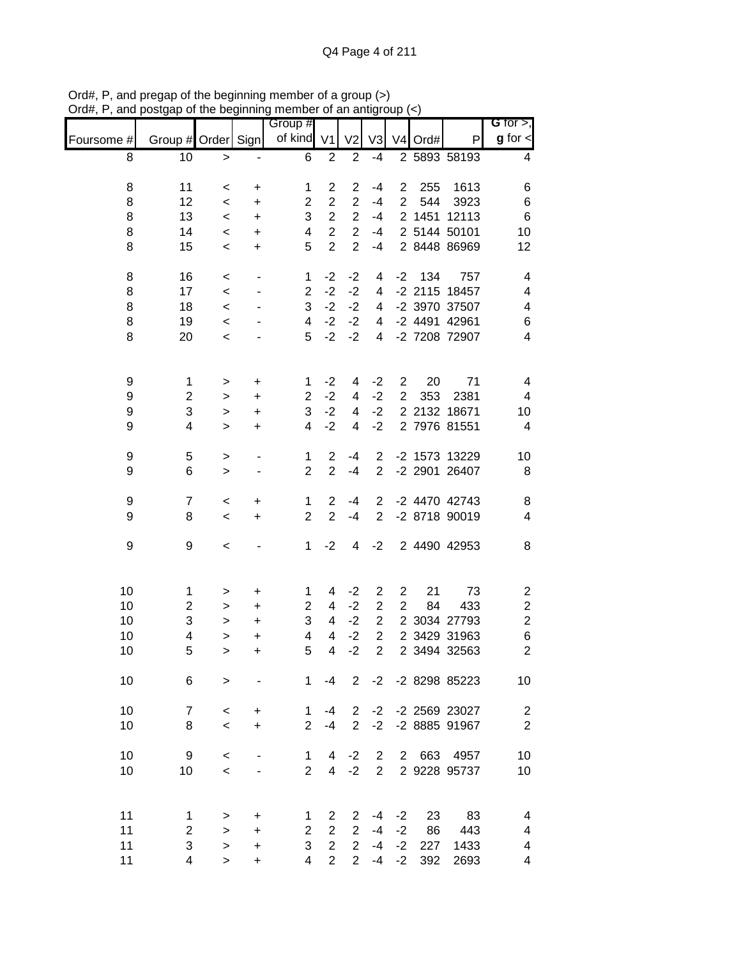|            |                                |                     |                        | Group #                 |                                  |                     |                |                                |           |                      | G for $>$ ,                  |
|------------|--------------------------------|---------------------|------------------------|-------------------------|----------------------------------|---------------------|----------------|--------------------------------|-----------|----------------------|------------------------------|
| Foursome # | Group # Order Sign             |                     |                        | of kind V1              |                                  | V <sub>2</sub>      | V <sub>3</sub> |                                | V4 Ord#   | P                    | $g$ for $\lt$                |
| 8          | 10                             | $\geq$              |                        | $\,6$                   | $\boldsymbol{2}$                 | $\overline{2}$      | $-4$           |                                |           | 2 5893 58193         | 4                            |
| 8          | 11                             | $\,<\,$             | +                      | 1                       | $\overline{\mathbf{c}}$          | $\overline{2}$      | -4             | $\overline{2}$                 | 255       | 1613                 | 6                            |
| 8          | 12                             | $\,<$               | +                      | $\mathbf 2$             | $\overline{c}$                   | $\overline{c}$      | $-4$           | $\overline{2}$                 | 544       | 3923                 | 6                            |
| 8          | 13                             | $\,<$               | +                      | 3                       | $\overline{c}$                   | $\overline{c}$      | $-4$           |                                | 2 1451    | 12113                | $\,6$                        |
| 8          | 14                             | $\,<\,$             | +                      | $\overline{\mathbf{4}}$ | $\overline{2}$                   | $\overline{2}$      | $-4$           |                                |           | 2 5144 50101         | 10                           |
| 8          | 15                             | $\,<$               | $\ddot{}$              | 5                       | $\overline{2}$                   | $\overline{2}$      | $-4$           |                                |           | 2 8448 86969         | 12                           |
| 8          | 16                             | $\,<$               | $\overline{a}$         | 1                       | $-2$                             | $-2$                | 4              | $-2$                           | 134       | 757                  | 4                            |
| 8          | 17                             | $\,<\,$             |                        | $\overline{2}$          | $-2$                             | $-2$                | 4              |                                |           | -2 2115 18457        | $\overline{\mathbf{4}}$      |
| 8          | 18                             | $\,<$               |                        | 3                       | $-2$                             | $-2$                | 4              |                                |           | -2 3970 37507        | $\overline{\mathbf{4}}$      |
| 8          | 19                             | $\,<$               |                        | $\overline{\mathbf{4}}$ | $-2$                             | $-2$                | 4              |                                |           | -2 4491 42961        | 6                            |
| 8          | 20                             | $\,<$               |                        | 5                       | $-2$                             | $-2$                | 4              |                                |           | -2 7208 72907        | 4                            |
|            |                                |                     |                        |                         | $-2$                             |                     |                |                                |           | 71                   |                              |
| 9          | $\mathbf 1$                    | >                   | $\ddot{}$              | 1                       | $-2$                             | 4                   | $-2$<br>$-2$   | $\overline{2}$<br>$\mathbf{2}$ | 20        |                      | 4<br>$\overline{\mathbf{4}}$ |
| 9<br>9     | $\boldsymbol{2}$<br>3          | >                   | +                      | $\overline{c}$<br>3     | $-2$                             | 4<br>4              | $-2$           |                                | 353       | 2381<br>2 2132 18671 |                              |
| 9          | 4                              | $\, > \,$           | +                      | 4                       | $-2$                             | 4                   | $-2$           |                                |           | 2 7976 81551         | 10<br>4                      |
|            |                                | $\geq$              | $\ddot{}$              |                         |                                  |                     |                |                                |           |                      |                              |
| 9          | 5                              | >                   | ٠                      | 1                       | $\overline{c}$                   | $-4$                | $\overline{2}$ |                                |           | -2 1573 13229        | 10                           |
| 9          | 6                              | $\,>$               |                        | $\overline{2}$          | $\overline{2}$                   | $-4$                | $\overline{2}$ |                                |           | -2 2901 26407        | 8                            |
| 9          | $\overline{7}$                 | $\,<$               | +                      | 1                       | $\overline{2}$                   | $-4$                | $\overline{2}$ |                                |           | -2 4470 42743        | 8                            |
| 9          | 8                              | $\,<$               | $\ddot{}$              | $\overline{2}$          | $\overline{2}$                   | $-4$                | $\overline{2}$ |                                |           | -2 8718 90019        | $\overline{\mathbf{4}}$      |
| 9          | 9                              | $\,<$               |                        | 1                       | $-2$                             | 4                   | $-2$           |                                |           | 2 4490 42953         | 8                            |
| 10         | 1                              | >                   | +                      | 1                       | 4                                | $-2$                | $\overline{c}$ | 2                              | 21        | 73                   | $\overline{\mathbf{c}}$      |
| 10         | $\overline{c}$                 | >                   | +                      | $\overline{2}$          | 4                                | $-2$                | $\overline{2}$ | $\overline{2}$                 | 84        | 433                  | $\overline{\mathbf{c}}$      |
| 10         | 3                              | >                   | +                      | 3                       | 4                                | $-2$                | $\overline{2}$ |                                |           | 2 3034 27793         | $\overline{\mathbf{c}}$      |
| 10         | $\overline{\mathbf{4}}$        | $\geq$              | $\ddot{}$              | 4                       | 4                                | $-2$                | $\overline{2}$ |                                |           | 2 3429 31963         | $\, 6$                       |
| 10         | 5                              | >                   | +                      | 5                       | $\overline{4}$                   | $-2$                | $\overline{2}$ |                                |           | 2 3494 32563         | $\overline{2}$               |
| 10         | 6                              | $\, > \,$           |                        | $\mathbf{1}$            | $-4$                             | 2                   |                |                                |           | -2 -2 8298 85223     | 10                           |
| 10         | $\overline{7}$                 | $\,<\,$             | +                      | 1                       | -4                               | $\overline{2}$      | $-2$           |                                |           | -2 2569 23027        | $\overline{c}$               |
| 10         | 8                              | $\,<$               | +                      | $\overline{2}$          | $-4$                             | $\overline{2}$      | $-2$           |                                |           | -2 8885 91967        | $\overline{2}$               |
| 10         | 9                              | $\,<\,$             |                        | 1                       | 4                                | $-2$                | $\overline{2}$ |                                | 2 663     | 4957                 | 10                           |
| 10         | 10                             | $\,<$               |                        | $\overline{2}$          | $\overline{4}$                   | $-2$                | $\overline{2}$ |                                |           | 2 9228 95737         | 10                           |
| 11         |                                |                     |                        |                         |                                  |                     |                |                                |           |                      |                              |
|            | $\mathbf{1}$<br>$\overline{c}$ | >                   | +                      | 1<br>$\overline{2}$     | $\overline{2}$<br>$\overline{2}$ | 2<br>$\overline{2}$ | $-4$<br>$-4$   | $-2$<br>$-2$                   | 23        | 83                   | 4                            |
| 11<br>11   | 3                              | $\geq$              | $\ddot{}$              | 3                       | $\overline{c}$                   | $\overline{2}$      | $-4$           | $-2$                           | 86<br>227 | 443<br>1433          | 4<br>4                       |
| 11         | 4                              | $\, > \,$<br>$\geq$ | $\ddot{}$<br>$\ddot{}$ | $\overline{4}$          | $\overline{2}$                   | $\overline{2}$      | $-4$           | $-2$                           | 392       | 2693                 | 4                            |
|            |                                |                     |                        |                         |                                  |                     |                |                                |           |                      |                              |

Ord#, P, and pregap of the beginning member of a group (>) Ord#, P, and postgap of the beginning member of an antigroup (<)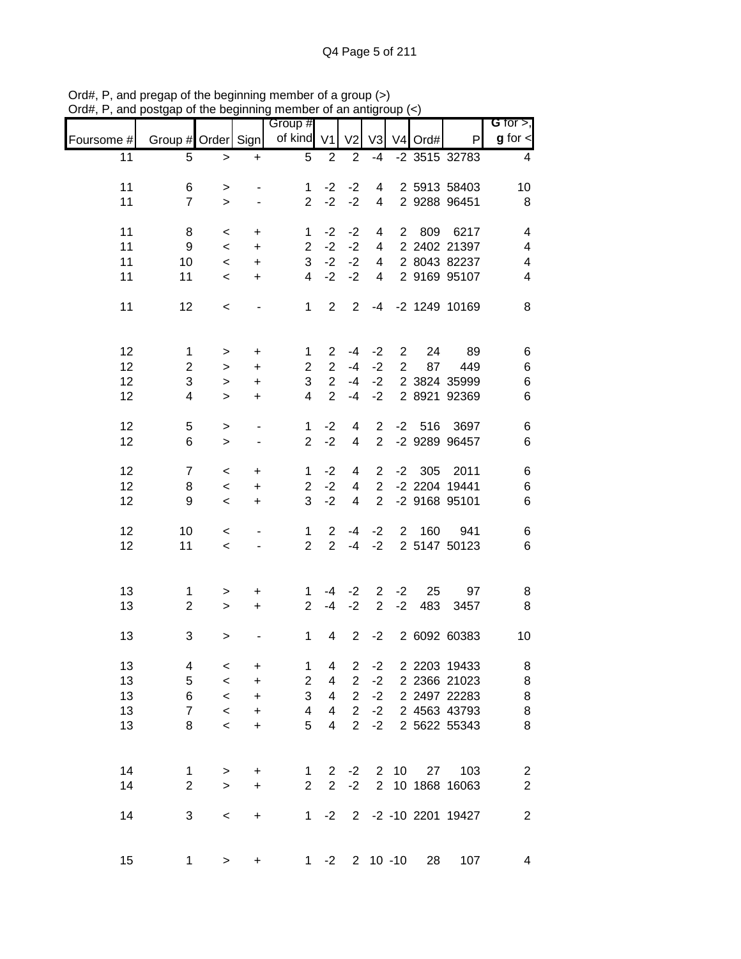| ana        |                                |                          |                          | $\sim$ or and $\sim$ or an $\sim$ or an analytical $\sim$<br>Group # |                         |                |                |                |          |                          | G for $>$ ,                               |
|------------|--------------------------------|--------------------------|--------------------------|----------------------------------------------------------------------|-------------------------|----------------|----------------|----------------|----------|--------------------------|-------------------------------------------|
| Foursome # | Group # Order Sign             |                          |                          | of kind V1                                                           |                         | V <sub>2</sub> | V <sub>3</sub> |                | V4 Ord#  | P                        | $g$ for $\lt$                             |
| 11         | 5                              | $\geq$                   | $\ddot{}$                | 5                                                                    | $\overline{2}$          | $\overline{2}$ | $-4$           |                |          | -2 3515 32783            | 4                                         |
| 11         | 6                              | $\, >$                   |                          | 1                                                                    | $-2$                    | $-2$           | 4              |                |          | 2 5913 58403             | 10                                        |
| 11         | $\overline{7}$                 | $\geq$                   | $\overline{\phantom{a}}$ | $\overline{2}$                                                       | $-2$                    | $-2$           | $\overline{4}$ |                |          | 2 9288 96451             | 8                                         |
| 11         | 8                              | $\,<$                    | $\ddot{}$                | $\mathbf 1$                                                          | $-2$                    | $-2$           | 4              |                | 2 809    | 6217                     | 4                                         |
| 11         | 9                              | $\overline{\phantom{a}}$ | $\ddot{}$                | $\overline{2}$                                                       | $-2$                    | $-2$           | $\overline{4}$ |                |          | 2 2402 21397             | 4                                         |
| 11         | 10                             | $\,<$                    | $\ddot{}$                | 3                                                                    | $-2$                    | $-2$           | $\overline{4}$ |                |          | 2 8043 82237             | 4                                         |
| 11         | 11                             | $\prec$                  | $\ddot{}$                | $\overline{4}$                                                       | $-2$                    | $-2$           | 4              |                |          | 2 9169 95107             | $\overline{\mathbf{4}}$                   |
| 11         | 12                             | $\,<$                    |                          | $\mathbf{1}$                                                         | $\overline{2}$          | $\overline{2}$ |                |                |          | -4 -2 1249 10169         | 8                                         |
| 12         | $\mathbf 1$                    | $\,$                     | +                        | 1                                                                    | $\overline{2}$          | -4             | $-2$           | $\mathbf{2}$   | 24       | 89                       | 6                                         |
| 12         | $\overline{2}$                 | $\,>$                    | +                        | $\overline{c}$                                                       | $\overline{2}$          | $-4$           | $-2$           | $\overline{2}$ | 87       | 449                      | $\,6$                                     |
| 12         | 3                              | $\,$                     | +                        | 3                                                                    | $\overline{c}$          | $-4$           | $-2$           |                |          | 2 3824 35999             | $\boldsymbol{6}$                          |
| 12         | 4                              | $\geq$                   | $\ddot{}$                | $\overline{4}$                                                       | $\overline{2}$          | $-4$           | $-2$           |                |          | 2 8921 92369             | $\,6$                                     |
| 12         | 5                              | $\,>$                    | $\blacksquare$           | 1                                                                    | $-2$                    | 4              | $\overline{2}$ |                | $-2$ 516 | 3697                     | 6                                         |
| 12         | 6                              | $\,$                     | $\overline{\phantom{a}}$ | $\overline{2}$                                                       | $-2$                    | $\overline{4}$ | $\overline{2}$ |                |          | -2 9289 96457            | $\,6$                                     |
| 12         | $\overline{7}$                 | $\,<\,$                  | +                        | 1                                                                    | $-2$                    | 4              | $2^{\circ}$    |                | $-2$ 305 | 2011                     | 6                                         |
| 12         | 8                              | $\prec$                  | $\ddot{}$                | $\overline{2}$                                                       | $-2$                    | $\overline{4}$ | $\overline{2}$ |                |          | -2 2204 19441            | 6                                         |
| 12         | 9                              | $\,<$                    | $\ddot{}$                | 3                                                                    | $-2$                    | $\overline{4}$ | $\overline{2}$ |                |          | -2 9168 95101            | 6                                         |
| 12         | 10                             | $\,<\,$                  |                          | $\mathbf{1}$                                                         | $\overline{2}$          | -4             | $-2$           |                | 2 160    | 941                      | 6                                         |
| 12         | 11                             | $\overline{\phantom{a}}$ |                          | $\overline{2}$                                                       | $\overline{2}$          | $-4$           | $-2$           |                |          | 2 5147 50123             | $\,6$                                     |
| 13         | $\mathbf{1}$                   | $\,$                     | +                        | $\mathbf{1}$                                                         |                         | $-4$ $-2$      | $\overline{2}$ | $-2$           | 25       | 97                       | 8                                         |
| 13         | $\overline{2}$                 | $\geq$                   | $+$                      | $\overline{2}$                                                       | $-4$                    | $-2$           | 2              | $-2$           | 483      | 3457                     | 8                                         |
| 13         | 3                              | >                        |                          | $\mathbf 1$                                                          | 4                       | $\overline{2}$ | $-2$           |                |          | 2 6092 60383             | 10                                        |
| 13         | 4                              | $\,<$                    | $\ddot{}$                | 1                                                                    | 4                       | $\overline{c}$ | $-2$           |                |          | 2 2203 19433             | 8                                         |
| 13         | $\,$ 5 $\,$                    | $\,<$                    | $\ddot{}$                | $\overline{c}$                                                       | $\overline{\mathbf{4}}$ | $\overline{2}$ | $-2$           |                |          | 2 2366 21023             | 8                                         |
| 13         | $\,6$                          | $\,<$                    | $\ddot{}$                | 3                                                                    | 4                       | $\overline{2}$ | $-2$           |                |          | 2 2497 22283             | 8                                         |
| 13         | $\overline{7}$                 | $\,<$                    | $\ddot{}$                | 4                                                                    | 4                       | $\overline{2}$ | $-2$           |                |          | 2 4563 43793             | 8                                         |
| 13         | 8                              | $\,<$                    | $\ddot{}$                | 5                                                                    | 4                       | $\overline{2}$ | $-2$           |                |          | 2 5622 55343             | 8                                         |
|            |                                |                          |                          |                                                                      |                         |                |                |                |          |                          |                                           |
| 14         | $\mathbf{1}$<br>$\overline{2}$ | $\, >$                   | $\ddot{}$                | $\mathbf{1}$<br>$\overline{2}$                                       | $\overline{2}$          | $2 -2$         |                | $2 \t10$       | 27       | 103<br>2 10 1868 16063   | $\overline{\mathbf{c}}$<br>$\overline{2}$ |
| 14         |                                | $\geq$                   | $\ddot{}$                |                                                                      |                         | $-2$           |                |                |          |                          |                                           |
| 14         | 3                              | $\,<$                    | $\ddot{}$                |                                                                      |                         |                |                |                |          | 1 -2 2 -2 -10 2201 19427 | $\boldsymbol{2}$                          |
| 15         | $\mathbf{1}$                   | $\, > \,$                | +                        | 1                                                                    | $-2$                    |                |                | $2 10 - 10$    | 28       | 107                      | $\overline{\mathbf{4}}$                   |

Ord#, P, and pregap of the beginning member of a group (>) Ord#, P, and postgap of the beginning member of an antigroup (<)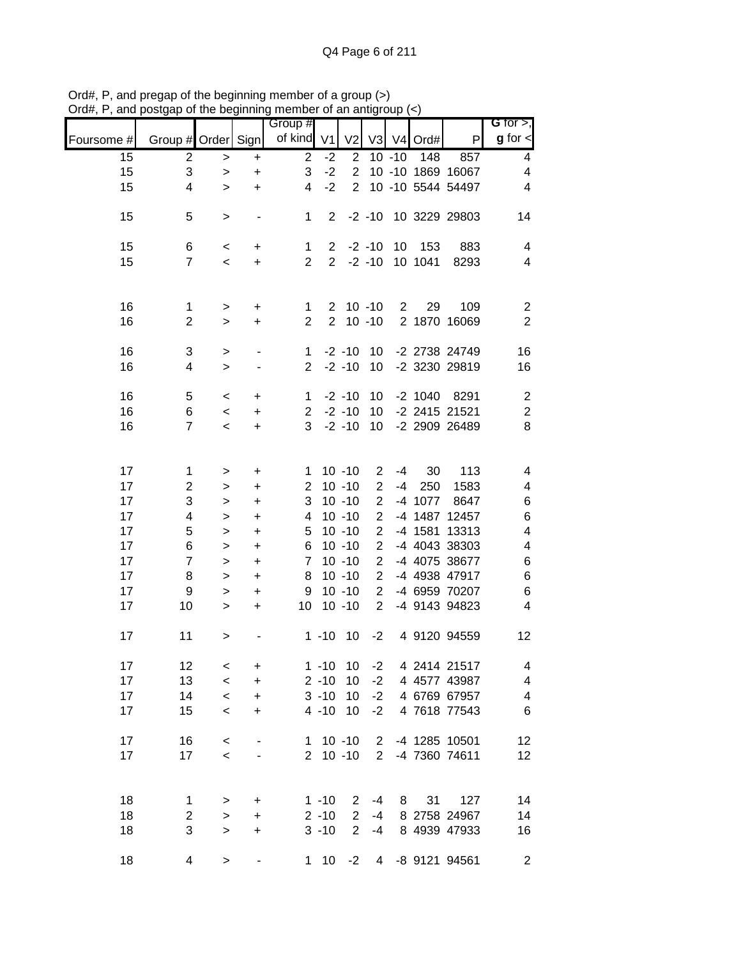|            |                         |                  |                              | Group #             |                                  |                        |                                  |                |                |                                | G for $>$ ,              |
|------------|-------------------------|------------------|------------------------------|---------------------|----------------------------------|------------------------|----------------------------------|----------------|----------------|--------------------------------|--------------------------|
| Foursome # | Group # Order Sign      |                  |                              | of kind             | V <sub>1</sub>                   | V <sub>2</sub>         |                                  |                | V3 V4 Ord#     | P                              | $g$ for $\lt$            |
| 15         | $\overline{c}$          | $\,>$            | $\ddot{}$                    | $\overline{2}$      | $-2$                             | $\overline{2}$         |                                  | $10 - 10$      | 148            | 857                            | $\overline{4}$           |
| 15         | 3                       | $\,>$            | $\ddot{}$                    | 3                   | $-2$                             | $\overline{2}$         |                                  |                |                | 10 -10 1869 16067              | 4                        |
| 15         | 4                       | $\geq$           | $\ddot{}$                    | 4                   | $-2$                             | $\overline{2}$         |                                  |                |                | 10 -10 5544 54497              | $\overline{\mathbf{4}}$  |
| 15         | 5                       | $\,>$            |                              | 1                   | $\overline{2}$                   |                        | $-2 - 10$                        |                |                | 10 3229 29803                  | 14                       |
| 15<br>15   | 6<br>$\overline{7}$     | $\,<\,$<br>$\,<$ | $\ddot{}$<br>$\ddot{}$       | 1<br>$\overline{2}$ | $\overline{2}$<br>$\overline{2}$ |                        | $-2 - 10$<br>$-2 - 10$           | 10             | 153<br>10 1041 | 883<br>8293                    | 4<br>4                   |
| 16         | $\mathbf{1}$            | $\, > \,$        | +                            | 1                   | $\mathbf{2}^{\prime}$            |                        | $10 - 10$                        | $\overline{2}$ | 29             | 109                            | $\overline{c}$           |
| 16         | $\overline{2}$          | $\, > \,$        | $\ddot{}$                    | $\overline{2}$      | $\overline{2}$                   |                        | $10 - 10$                        |                |                | 2 1870 16069                   | $\overline{2}$           |
| 16<br>16   | 3<br>4                  | ><br>$\geq$      |                              | $\mathbf 1$<br>2    |                                  | $-2 - 10$<br>$-2 - 10$ | 10<br>10                         |                |                | -2 2738 24749<br>-2 3230 29819 | 16<br>16                 |
|            |                         |                  |                              |                     |                                  |                        |                                  |                |                |                                |                          |
| 16<br>16   | 5                       | $\,<$            | +                            | 1                   |                                  | $-2 - 10$<br>$-2 - 10$ | 10                               |                | $-2$ 1040      | 8291<br>-2 2415 21521          | $\sqrt{2}$               |
| 16         | 6<br>$\overline{7}$     | $\,<$<br>$\,<$   | +<br>$\ddot{}$               | $\overline{2}$<br>3 |                                  | $-2 - 10$              | 10<br>10                         |                |                | -2 2909 26489                  | $\boldsymbol{2}$<br>8    |
|            |                         |                  |                              |                     |                                  |                        |                                  |                |                |                                |                          |
| 17         | $\mathbf 1$             | >                | $\ddot{}$                    | 1                   |                                  | $10 - 10$              | $\overline{2}$                   | $-4$           | 30             | 113                            | 4                        |
| 17         | $\overline{\mathbf{c}}$ | >                | +                            | $\overline{2}$      |                                  | $10 - 10$              | $\overline{2}$                   | $-4$           | 250            | 1583                           | 4                        |
| 17         | 3                       | >                | +                            | 3                   |                                  | $10 - 10$              | $\overline{2}$                   |                | -4 1077        | 8647                           | 6                        |
| 17         | 4                       | >                | $\ddot{}$                    | 4                   |                                  | $10 - 10$              | $\overline{2}$                   |                | -4 1487        | 12457                          | $\,6$                    |
| 17         | 5                       | $\, > \,$        | $\ddot{}$                    | 5                   |                                  | $10 - 10$              | $\overline{2}$                   |                | -4 1581        | 13313                          | 4                        |
| 17<br>17   | 6<br>$\overline{7}$     | $\,>$            | $\ddot{}$                    | 6<br>$\overline{7}$ |                                  | $10 - 10$<br>$10 - 10$ | $\overline{2}$<br>$\overline{2}$ |                |                | -4 4043 38303<br>-4 4075 38677 | 4                        |
| 17         | 8                       | $\geq$<br>$\geq$ | $\ddot{}$<br>$\ddot{}$       | 8                   |                                  | $10 - 10$              | $\overline{2}$                   |                |                | -4 4938 47917                  | 6<br>6                   |
| 17         | 9                       | $\geq$           | +                            | 9                   |                                  | $10 - 10$              | $\overline{2}$                   |                |                | -4 6959 70207                  | 6                        |
| 17         | 10                      | $\, > \,$        | $\ddot{}$                    | 10                  |                                  | $10 - 10$              | $\overline{2}$                   |                |                | -4 9143 94823                  | 4                        |
| 17         | 11                      | >                |                              |                     | $1 - 10$                         | 10                     | $-2$                             |                |                | 4 9120 94559                   | 12                       |
| 17         | 12                      | $\,<$            | $\ddot{}$                    |                     | $1 - 10$                         | 10                     | $-2$                             |                |                | 4 2414 21517                   | 4                        |
| 17         | 13                      | $\,<$            | $\ddot{}$                    |                     | $2 - 10$                         | 10                     | $-2$                             |                |                | 4 4577 43987                   | $\overline{\mathcal{A}}$ |
| 17         | 14                      | $\,<$            | $\ddot{}$                    |                     | $3 - 10$                         | 10                     | $-2$                             |                |                | 4 6769 67957                   | $\overline{\mathcal{A}}$ |
| 17         | 15                      | $\,<\,$          | +                            |                     | $4 - 10$                         | 10                     | $-2$                             |                |                | 4 7618 77543                   | $\,6$                    |
| 17         | 16                      | $\,<$            | $\qquad \qquad \blacksquare$ |                     |                                  | $1 10 - 10$            |                                  |                |                | 2 -4 1285 10501                | $12 \,$                  |
| 17         | 17                      | $\,<$            | ۰                            |                     |                                  | $2 10 - 10$            |                                  |                |                | 2 -4 7360 74611                | 12                       |
| 18         | 1                       | $\,>$            | +                            |                     | $1 - 10$                         | $\mathbf{2}$           | -4                               |                | 31<br>8        | 127                            | 14                       |
| 18         | $\overline{c}$          | $\,$             | +                            |                     | $2 - 10$                         | $\overline{2}$         | $-4$                             |                |                | 8 2758 24967                   | 14                       |
| 18         | 3                       | $\geq$           | +                            |                     | $3 - 10$                         | 2                      | -4                               |                |                | 8 4939 47933                   | 16                       |
| 18         | 4                       | $\geq$           | $\overline{\phantom{m}}$     |                     | $1 10$                           | $-2$                   |                                  |                |                | 4 -8 9121 94561                | $\overline{c}$           |

Ord#, P, and pregap of the beginning member of a group (>) Ord#, P, and postgap of the beginning member of an antigroup (<)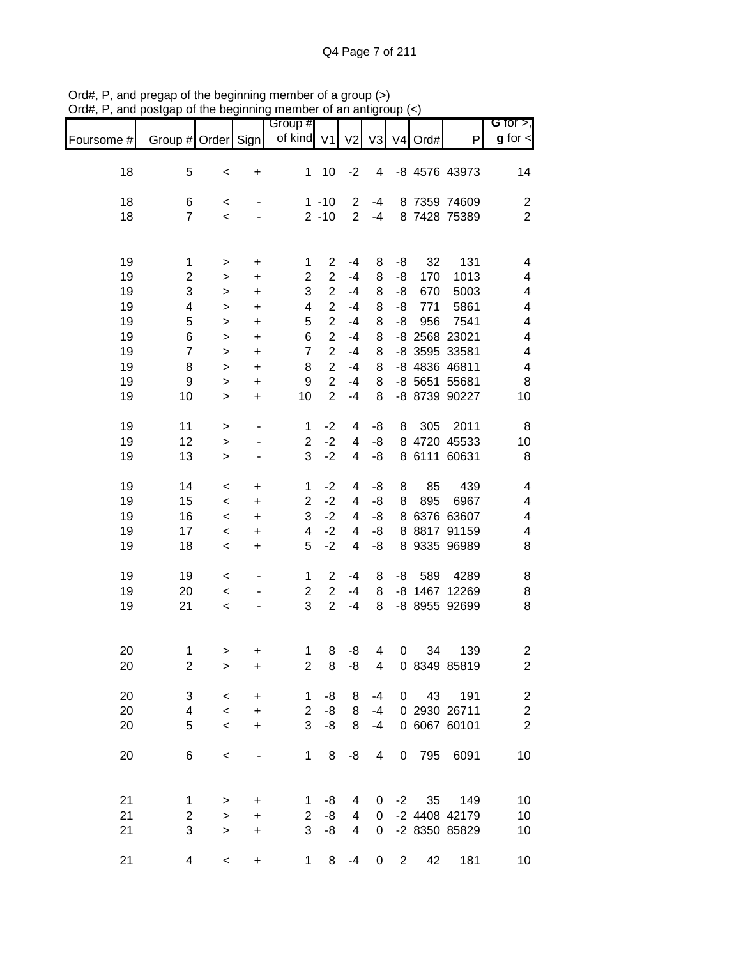|            |                         |                        |                          | Group #                 |                                  |                |                |                |            |                                | G for $>$ ,             |
|------------|-------------------------|------------------------|--------------------------|-------------------------|----------------------------------|----------------|----------------|----------------|------------|--------------------------------|-------------------------|
| Foursome # | Group # Order Sign      |                        |                          | of kind V1              |                                  | V <sub>2</sub> | V <sub>3</sub> | V <sub>4</sub> | Ord#       | $\mathsf{P}$                   | $g$ for $\textsf{d}$    |
| 18         | 5                       | $\,<$                  | $\ddot{}$                | 1                       | 10                               | $-2$           | 4              |                |            | -8 4576 43973                  | 14                      |
| 18         | 6                       | $\,<$                  |                          |                         | $1 - 10$                         | $\overline{2}$ | -4             |                |            | 8 7359 74609                   | $\boldsymbol{2}$        |
| 18         | $\overline{7}$          | $\,<$                  |                          |                         | $2 - 10$                         | $\overline{2}$ | $-4$           |                |            | 8 7428 75389                   | $\overline{2}$          |
| 19         | 1                       | $\, > \,$              | $\ddot{}$                | 1                       | $\overline{2}$                   | $-4$           | 8              | -8             | 32         | 131                            | 4                       |
| 19<br>19   | $\overline{c}$<br>3     | $\, > \,$<br>$\, > \,$ | $\ddot{}$<br>$\ddot{}$   | $\overline{c}$<br>3     | $\overline{2}$<br>$\overline{2}$ | $-4$<br>$-4$   | 8<br>8         | -8<br>-8       | 170<br>670 | 1013<br>5003                   | 4<br>4                  |
| 19         | 4                       | $\,>$                  | $\ddot{}$                | 4                       | $\overline{2}$                   | $-4$           | 8              | -8             | 771        | 5861                           | 4                       |
| 19         | 5                       | $\geq$                 | $\ddot{}$                | 5                       | $\overline{2}$                   | $-4$           | 8              | -8             | 956        | 7541                           | 4                       |
| 19         | 6                       | $\,>$                  | $\ddot{}$                | 6                       | $\overline{2}$                   | $-4$           | 8              |                |            | -8 2568 23021                  | 4                       |
| 19         | $\overline{7}$          | $\geq$                 | $\ddot{}$                | $\overline{7}$          | $\overline{2}$                   | $-4$           | 8              |                |            | -8 3595 33581                  | $\overline{\mathbf{4}}$ |
| 19         | 8                       | $\, > \,$              | $\ddot{}$                | 8                       | $\overline{2}$                   | $-4$           | 8              |                |            | -8 4836 46811                  | $\overline{\mathbf{4}}$ |
| 19<br>19   | 9<br>10                 | $\geq$<br>$\geq$       | $\ddot{}$<br>$\ddot{}$   | 9<br>10                 | $\overline{2}$<br>$\overline{2}$ | $-4$<br>$-4$   | 8<br>8         |                |            | -8 5651 55681<br>-8 8739 90227 | 8<br>10                 |
|            |                         |                        |                          |                         |                                  |                |                |                |            |                                |                         |
| 19         | 11                      | $\geq$                 | ۰                        | 1                       | $-2$                             | 4              | -8             | 8              | 305        | 2011                           | 8                       |
| 19         | 12                      | $\geq$                 |                          | $\overline{c}$          | $-2$                             | 4              | -8             | 8              |            | 4720 45533                     | 10                      |
| 19         | 13                      | $\geq$                 |                          | 3                       | $-2$                             | 4              | -8             |                |            | 8 6111 60631                   | 8                       |
| 19         | 14                      | $\,<$                  | $\ddot{}$                | 1                       | $-2$                             | 4              | -8             | 8              | 85         | 439                            | 4                       |
| 19         | 15                      | $\,<\,$                | $\ddot{}$                | 2                       | $-2$                             | 4              | -8             | 8              | 895        | 6967                           | 4                       |
| 19         | 16                      | $\,<\,$                | $\ddot{}$                | 3                       | $-2$<br>$-2$                     | 4              | -8             | 8              |            | 6376 63607                     | $\overline{\mathbf{4}}$ |
| 19<br>19   | 17<br>18                | $\,<\,$<br>$\,<$       | $\ddot{}$<br>$\ddot{}$   | 4<br>5                  | $-2$                             | 4<br>4         | -8<br>-8       |                |            | 8 8817 91159<br>8 9335 96989   | 4<br>8                  |
|            |                         |                        |                          |                         |                                  |                |                |                |            |                                |                         |
| 19         | 19                      | $\,<$                  |                          | 1                       | $\overline{2}$                   | $-4$           | 8              | -8             | 589        | 4289                           | 8                       |
| 19         | 20                      | $\,<$                  | $\overline{\phantom{a}}$ | $\overline{\mathbf{c}}$ | $\overline{2}$                   | $-4$           | 8              |                |            | -8 1467 12269                  | 8                       |
| 19         | 21                      | $\,<$                  |                          | 3                       | $\overline{2}$                   | $-4$           | 8              |                |            | -8 8955 92699                  | 8                       |
| 20         | 1                       | $\geq$                 | +                        | 1                       | 8                                | -8             | 4              | 0              | 34         | 139                            | 2                       |
| 20         | $\overline{2}$          | $\geq$                 | +                        | 2                       | 8                                | -8             | 4              |                |            | 0 8349 85819                   | $\overline{c}$          |
| 20         | 3                       | $\,<$                  | $\ddot{}$                | 1                       | -8                               | 8              | $-4$           |                | 43<br>0    | 191                            | $\overline{\mathbf{c}}$ |
| 20         | $\overline{\mathbf{4}}$ | $\,<$                  | $\ddot{}$                | $\overline{c}$          | -8                               | 8              | $-4$           |                |            | 0 2930 26711                   | $\frac{2}{2}$           |
| 20         | 5                       | $\,<$                  | $\ddot{}$                | 3                       | -8                               | 8              | $-4$           |                |            | 0 6067 60101                   |                         |
| 20         | 6                       | $\prec$                |                          | 1                       | 8                                | -8             | 4              | 0              | 795        | 6091                           | 10                      |
| 21         | 1                       | $\,>$                  | $\ddot{}$                | 1                       | -8                               | 4              | 0              | $-2$           | 35         | 149                            | 10                      |
| 21         | $\overline{\mathbf{c}}$ | $\geq$                 | $\ddot{}$                | $\overline{2}$          | -8                               | 4              | 0              |                |            | -2 4408 42179                  | $10$                    |
| 21         | 3                       | $\geq$                 | $\ddot{}$                | 3                       | -8                               | 4              | $\pmb{0}$      |                |            | -2 8350 85829                  | 10                      |
| 21         | 4                       | $\,<$                  | +                        | 1                       | 8                                | $-4$           | $\pmb{0}$      | $\overline{c}$ | 42         | 181                            | 10                      |

Ord#, P, and pregap of the beginning member of a group (>) Ord#, P, and postgap of the beginning member of an antigroup (<)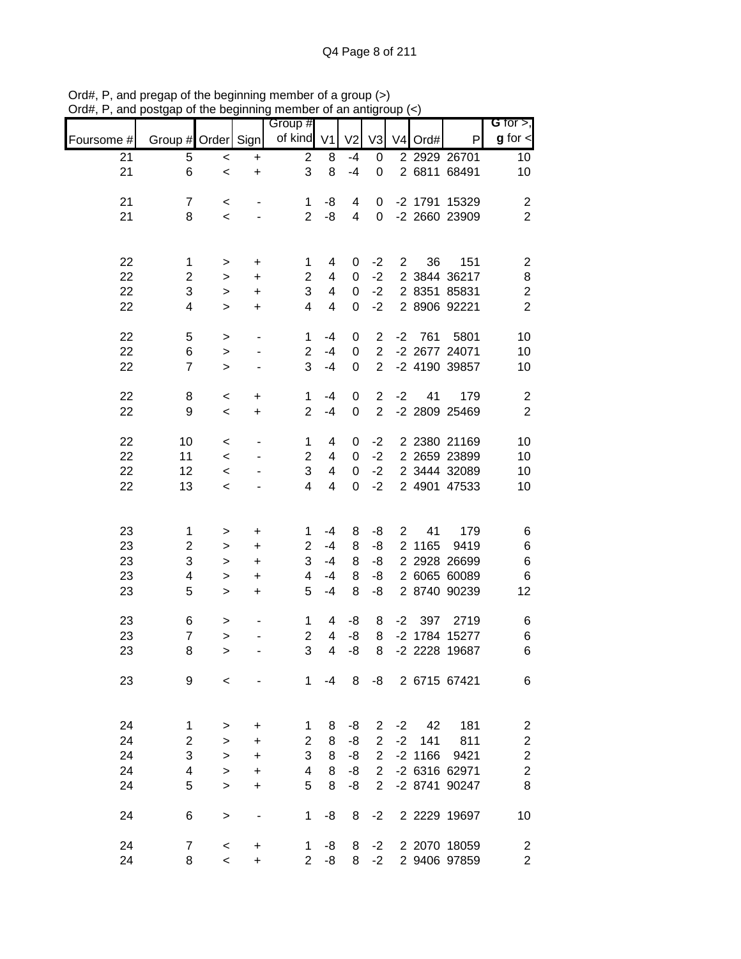|            |                  |           |                          | Group #                 |                          |                         |                |                |           |               | G for $>$ ,             |
|------------|------------------|-----------|--------------------------|-------------------------|--------------------------|-------------------------|----------------|----------------|-----------|---------------|-------------------------|
| Foursome # | Group # Order    |           | Sign                     | of kind V1              |                          | V <sub>2</sub>          | V3             |                | V4 Ord#   | P             | $g$ for $\lt$           |
| 21         | 5                | $\,<$     | $\ddot{}$                | $\overline{\mathbf{c}}$ | 8                        | $-4$                    | 0              |                |           | 2 2929 26701  | 10                      |
| 21         | 6                | $\,<$     | $\ddot{}$                | 3                       | 8                        | $-4$                    | $\mathbf 0$    |                |           | 2 6811 68491  | 10                      |
| 21         | $\overline{7}$   | $\,<$     |                          | $\mathbf{1}$            | -8                       | 4                       | 0              |                |           | -2 1791 15329 | $\boldsymbol{2}$        |
| 21         | 8                | $\prec$   |                          | $\overline{2}$          | -8                       | $\overline{\mathbf{4}}$ | 0              |                |           | -2 2660 23909 | $\overline{2}$          |
|            |                  |           |                          |                         |                          |                         |                |                |           |               |                         |
| 22         | 1                | $\, > \,$ | $\ddot{}$                | 1                       | 4                        | 0                       | $-2$           | $\overline{2}$ | 36        | 151           | $\overline{c}$          |
| 22         | $\overline{c}$   | >         | +                        | $\overline{2}$          | 4                        | 0                       | $-2$           |                |           | 2 3844 36217  | 8                       |
| 22         | 3                | $\geq$    | +                        | 3                       | 4                        | $\boldsymbol{0}$        | $-2$           |                |           | 2 8351 85831  | $\boldsymbol{2}$        |
| 22         | 4                | $\geq$    | +                        | 4                       | $\overline{\mathcal{A}}$ | $\boldsymbol{0}$        | $-2$           |                |           | 2 8906 92221  | $\overline{2}$          |
| 22         | 5                | $\,>$     | -                        | $\mathbf 1$             | $-4$                     | 0                       | $\overline{2}$ | $-2$           | 761       | 5801          | 10                      |
| 22         | 6                | $\geq$    |                          | $\overline{2}$          | $-4$                     | $\boldsymbol{0}$        | $\overline{2}$ |                |           | -2 2677 24071 | 10                      |
| 22         | $\overline{7}$   | $\, > \,$ |                          | 3                       | $-4$                     | $\mathbf 0$             | $\overline{2}$ |                |           | -2 4190 39857 | 10                      |
| 22         | 8                | $\,<\,$   | $\ddot{}$                | $\mathbf{1}$            | $-4$                     | 0                       | $\overline{2}$ | $-2$           | 41        | 179           | $\boldsymbol{2}$        |
| 22         | 9                | $\,<$     | $\ddot{}$                | $\overline{2}$          | $-4$                     | $\boldsymbol{0}$        | $\overline{2}$ |                |           | -2 2809 25469 | $\overline{2}$          |
| 22         | 10               | $\,<$     |                          | $\mathbf 1$             | 4                        | 0                       | $-2$           |                |           | 2 2380 21169  | 10                      |
| 22         | 11               | $\,<$     |                          | $\overline{\mathbf{c}}$ | $\overline{\mathcal{A}}$ | 0                       | $-2$           |                |           | 2 2659 23899  | 10                      |
| 22         | 12               | $\,<\,$   |                          | 3                       | $\overline{\mathcal{A}}$ | $\boldsymbol{0}$        | $-2$           |                |           | 2 3444 32089  | 10                      |
| 22         | 13               | $\,<\,$   |                          | 4                       | 4                        | 0                       | $-2$           |                |           | 2 4901 47533  | 10                      |
|            |                  |           |                          |                         |                          |                         |                |                |           |               |                         |
| 23         | 1                | >         | +                        | 1                       | $-4$                     | 8                       | -8             | 2              | 41        | 179           | 6                       |
| 23         | $\mathbf 2$      | $\, > \,$ | +                        | $\overline{2}$          | $-4$                     | 8                       | -8             |                | 2 1165    | 9419          | 6                       |
| 23         | 3                | $\, > \,$ | +                        | 3                       | $-4$                     | 8                       | -8             |                |           | 2 2928 26699  | 6                       |
| 23         | 4                | $\, > \,$ | +                        | 4                       | $-4$                     | 8                       | -8             |                |           | 2 6065 60089  | 6                       |
| 23         | 5                | $\, > \,$ | $\ddot{}$                | 5                       | $-4$                     | 8                       | -8             |                |           | 2 8740 90239  | 12                      |
| 23         | 6                | >         |                          | 1                       | 4                        | -8                      | 8              | $-2$           | 397       | 2719          | 6                       |
| 23         | $\overline{7}$   | $\geq$    |                          | $\overline{c}$          | $\overline{\mathbf{4}}$  | -8                      | 8              |                |           | -2 1784 15277 | 6                       |
| 23         | 8                | $\geq$    |                          | 3                       | 4                        | -8                      | 8              |                |           | -2 2228 19687 | 6                       |
| 23         | 9                | $\,<\,$   |                          | $\mathbf{1}$            | $-4$                     | 8                       | -8             |                |           | 2 6715 67421  | 6                       |
|            |                  |           |                          |                         |                          |                         |                |                |           |               |                         |
| 24         | 1                | >         | +                        | 1                       | 8                        | -8                      | $\overline{2}$ | $-2$           | 42        | 181           | $\boldsymbol{2}$        |
| 24         | $\overline{c}$   | $\geq$    | +                        | $\overline{2}$          | 8                        | -8                      | 2              | $-2$           | 141       | 811           | $\overline{\mathbf{c}}$ |
| 24         | 3                | $\geq$    | +                        | 3                       | 8                        | -8                      | $\overline{2}$ |                | $-2$ 1166 | 9421          | $\overline{\mathbf{c}}$ |
| 24         | 4                | $\, > \,$ | +                        | 4                       | 8                        | -8                      | $\overline{2}$ |                |           | -2 6316 62971 | $\overline{c}$          |
| 24         | 5                | $\geq$    | +                        | 5                       | 8                        | -8                      | $\overline{2}$ |                |           | -2 8741 90247 | 8                       |
| 24         | 6                | $\,>$     | $\overline{\phantom{0}}$ | 1                       | -8                       | 8                       | $-2$           |                |           | 2 2229 19697  | 10                      |
| 24         | $\boldsymbol{7}$ | $\,<$     | +                        | 1                       | -8                       | 8                       | $-2$           |                |           | 2 2070 18059  | $\overline{2}$          |
| 24         | 8                | $\,<$     | $\ddot{}$                | $\overline{2}$          | -8                       | 8                       | $-2$           |                |           | 2 9406 97859  | $\overline{c}$          |

Ord#, P, and pregap of the beginning member of a group (>) Ord#, P, and postgap of the beginning member of an antigroup (<)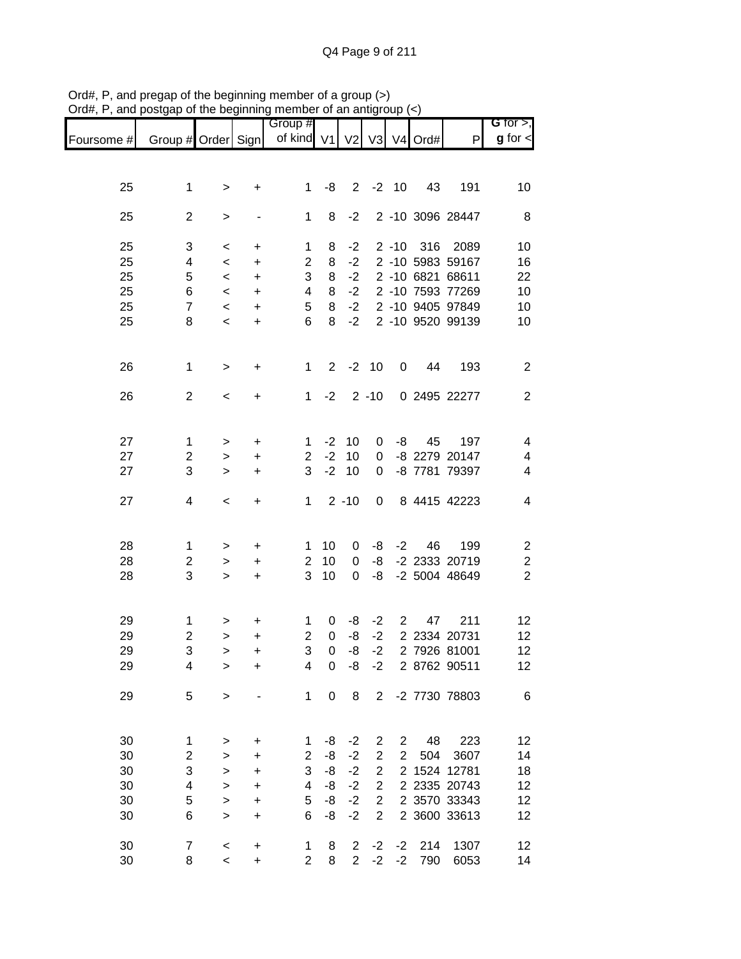|                               |                  | .                        |                                  | <br>Group #    |             |                |                |                |               |                  | G for $>$ ,             |
|-------------------------------|------------------|--------------------------|----------------------------------|----------------|-------------|----------------|----------------|----------------|---------------|------------------|-------------------------|
| Foursome # Group # Order Sign |                  |                          |                                  | of kind V1     |             |                |                |                | V2 V3 V4 Ord# | P                | $g$ for $\lt$           |
|                               |                  |                          |                                  |                |             |                |                |                |               |                  |                         |
| 25                            | $\mathbf 1$      | $\mathbf{I}$             | +                                | $\mathbf{1}$   | -8          | $2^{\circ}$    |                | $-2$ 10        | 43            | 191              | 10                      |
|                               |                  |                          |                                  |                |             |                |                |                |               |                  |                         |
| 25                            | $\overline{2}$   | $\mathbf{L}$             |                                  | $\mathbf{1}$   | 8           | $-2$           |                |                |               | 2 -10 3096 28447 | 8                       |
| 25                            | 3                | $\,<$                    | $\ddot{}$                        | 1              | 8           | $-2$           |                |                |               | 2 -10 316 2089   | 10                      |
| 25                            | 4                | $\prec$                  | $\begin{array}{c} + \end{array}$ | $\overline{2}$ | 8           | $-2$           |                |                |               | 2 -10 5983 59167 | 16                      |
| 25                            | 5                | $\,<$                    | $\ddot{}$                        | 3              | 8           | $-2$           |                |                |               | 2 -10 6821 68611 | 22                      |
| 25                            | 6                |                          | $\ddot{}$                        | 4              | 8           | $-2$           |                |                |               | 2 -10 7593 77269 | 10                      |
| 25                            | $\overline{7}$   | $\,<$                    |                                  |                | 8           | $-2$           |                |                |               | 2 -10 9405 97849 |                         |
|                               |                  | $\,<$                    | $\ddot{}$                        | 5              |             |                |                |                |               |                  | 10                      |
| 25                            | 8                | $\overline{\phantom{a}}$ | $\ddot{}$                        | 6              | 8           | $-2$           |                |                |               | 2 -10 9520 99139 | 10                      |
| 26                            | $\mathbf 1$      | $\geq$                   | +                                | $\mathbf 1$    |             | $2 -2 10$      |                | 0              | 44            | 193              | $\overline{c}$          |
| 26                            | $\overline{2}$   | $\,<$                    | $\ddot{}$                        | 1              | $-2$        |                | $2 - 10$       |                |               | 0 2495 22277     | $\mathbf{2}$            |
|                               |                  |                          |                                  |                |             |                |                |                |               |                  |                         |
| 27                            | $\mathbf 1$      | $\,$                     | $\ddot{}$                        | $\mathbf{1}$   | $-2$        | 10             | 0              | -8             | 45            | 197              | 4                       |
| 27                            | $\overline{c}$   | $\,$                     | +                                | $\overline{2}$ | $-2$        | 10             | 0              |                |               | -8 2279 20147    | 4                       |
| 27                            | 3                | $\geq$                   | $\ddot{}$                        | 3              | $-2$        | 10             | 0              |                |               | -8 7781 79397    | 4                       |
|                               |                  |                          |                                  |                |             |                |                |                |               |                  |                         |
| 27                            | 4                | $\,<$                    | $\begin{array}{c} + \end{array}$ | $\mathbf 1$    |             | $2 - 10$       | $\overline{0}$ |                |               | 8 4415 42223     | $\overline{\mathbf{4}}$ |
|                               |                  |                          |                                  |                |             |                |                |                |               |                  |                         |
| 28                            | $\mathbf{1}$     | $\,$                     | $\ddot{}$                        | $\mathbf 1$    | 10          | 0              | -8             | $-2$           | 46            | 199              | $\overline{\mathbf{c}}$ |
| 28                            | $\mathbf{2}$     | $\geq$                   | $\ddot{}$                        | $\overline{2}$ | 10          | 0              | -8             |                |               | -2 2333 20719    | $\boldsymbol{2}$        |
| 28                            | 3                | $\geq$                   | $\color{red}{+}$                 | 3              | 10          | $\mathbf 0$    | -8             |                |               | -2 5004 48649    | $\overline{2}$          |
|                               |                  |                          |                                  |                |             |                |                |                |               |                  |                         |
| 29                            | $\mathbf{1}$     | $\,>$                    | +                                | 1              | 0           | -8             | $-2$           | $\overline{2}$ | 47            | 211              | 12                      |
| 29                            | $\overline{c}$   | $\mathbf{L}$             | $\ddot{}$                        | $\overline{c}$ | $\mathsf 0$ | $-8$           | $-2$           |                |               | 2 2334 20731     | 12                      |
| 29                            | 3                | $\geq$                   | +                                | 3              | $\mathbf 0$ | -8             | $-2$           |                |               | 2 7926 81001     | 12                      |
| 29                            | 4                | >                        | +                                | 4              | 0           | -8             | $-2$           |                |               | 2 8762 90511     | 12                      |
| 29                            | 5                | $\,$                     |                                  | 1              | $\pmb{0}$   | 8              | $\overline{2}$ |                |               | -2 7730 78803    | $\,6$                   |
|                               |                  |                          |                                  |                |             |                |                |                |               |                  |                         |
| 30                            | 1                | >                        | $\ddot{}$                        | 1              | -8          | $-2$           | 2              | $\mathbf{2}$   | 48            | 223              | 12                      |
| 30                            | $\overline{c}$   | $\,$                     | +                                | $\overline{2}$ | -8          | $-2$           | $\overline{c}$ | $\overline{2}$ | 504           | 3607             | 14                      |
| 30                            | 3                | $\geq$                   | $\ddot{}$                        | 3              | -8          | $-2$           | $\overline{2}$ |                |               | 2 1524 12781     | 18                      |
| 30                            | 4                | $\geq$                   | $\ddot{}$                        | 4              | -8          | $-2$           | $\overline{c}$ |                |               | 2 2335 20743     | 12                      |
| 30                            | 5                | $\mathbf{L}$             | $\ddot{}$                        | 5              | -8          | $-2$           | $\overline{c}$ |                |               | 2 3570 33343     | 12                      |
| 30                            | 6                | $\geq$                   | $\ddot{}$                        | 6              | -8          | $-2$           | $\overline{2}$ |                |               | 2 3600 33613     | 12                      |
|                               |                  |                          |                                  |                |             |                |                |                |               |                  |                         |
| 30                            | $\boldsymbol{7}$ | $\,<$                    | $\ddot{}$                        | $\mathbf 1$    | 8           | $\overline{2}$ | $-2$           | $-2$           | 214           | 1307             | 12                      |
| 30                            | 8                | $\overline{\phantom{0}}$ | $\ddot{}$                        | $\overline{2}$ | 8           | $\overline{2}$ | $-2$           | $-2$           | 790           | 6053             | 14                      |

Ord#, P, and pregap of the beginning member of a group (>) Ord#, P, and postgap of the beginning member of an antigroup (<)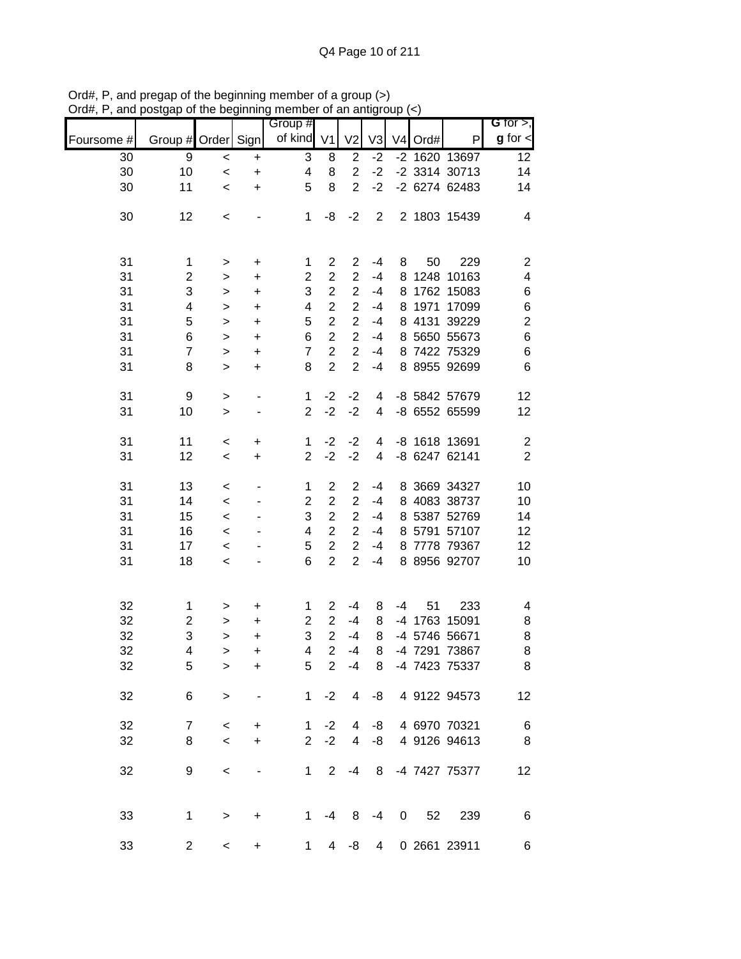|            |                    | ulu poğlululuğ |                                  | monipor or an anagroup |                |                |                         |             |         |               |                              |
|------------|--------------------|----------------|----------------------------------|------------------------|----------------|----------------|-------------------------|-------------|---------|---------------|------------------------------|
| Foursome # | Group # Order Sign |                |                                  | Group #<br>of kind V1  |                | V <sub>2</sub> | V <sub>3</sub>          |             | V4 Ord# | Ρ             | G for $>$ ,<br>$g$ for $\lt$ |
| 30         | 9                  | $\,<$          | $\ddot{}$                        | 3                      | 8              | $\overline{2}$ | $-2$                    |             |         | -2 1620 13697 | 12                           |
| 30         | 10                 | $\prec$        | $\begin{array}{c} + \end{array}$ | 4                      | 8              | $\overline{2}$ | $-2$                    |             |         | -2 3314 30713 | 14                           |
| 30         | 11                 | $\,<\,$        | $\ddot{}$                        | 5                      | 8              | $\overline{2}$ | $-2$                    |             |         | -2 6274 62483 | 14                           |
|            |                    |                |                                  |                        |                |                |                         |             |         |               |                              |
| 30         | 12                 | $\,<$          |                                  | $\mathbf 1$            | -8             | $-2$           | $\overline{2}$          |             |         | 2 1803 15439  | 4                            |
|            |                    |                |                                  |                        |                |                |                         |             |         |               |                              |
| 31         | 1                  | $\,$           | $\ddot{}$                        | 1                      | $\overline{c}$ | $\overline{2}$ | -4                      | 8           | 50      | 229           | $\overline{\mathbf{c}}$      |
| 31         | $\overline{c}$     | $\,$           | $\ddot{}$                        | $\overline{2}$         | $\overline{2}$ | $\overline{2}$ | $-4$                    |             |         | 8 1248 10163  | $\overline{\mathbf{4}}$      |
| 31         | 3                  | $\,$           | $\ddot{}$                        | 3                      | $\overline{2}$ | $\overline{2}$ | $-4$                    |             |         | 8 1762 15083  | 6                            |
| 31         | 4                  | $\geq$         | $\ddot{}$                        | 4                      | $\overline{2}$ | $\overline{2}$ | $-4$                    | 8           |         | 1971 17099    | 6                            |
|            | 5                  |                |                                  |                        | $\overline{2}$ | $\overline{2}$ | $-4$                    |             |         |               |                              |
| 31         |                    | $\mathbf{L}$   | $\ddot{}$                        | 5                      |                |                |                         |             |         | 8 4131 39229  | $\overline{c}$               |
| 31         | 6                  | $\mathbf{L}$   | $\ddot{}$                        | 6                      | $\overline{2}$ | $\overline{2}$ | $-4$                    |             |         | 8 5650 55673  | 6                            |
| 31         | $\overline{7}$     | $\mathbf{L}$   | $\ddot{}$                        | $\overline{7}$         | $\overline{c}$ | $\overline{2}$ | $-4$                    |             |         | 8 7422 75329  | $\,$ 6 $\,$                  |
| 31         | 8                  | $\mathbf{L}$   | $\ddot{}$                        | 8                      | $\overline{2}$ | $\overline{2}$ | $-4$                    |             |         | 8 8955 92699  | 6                            |
| 31         | 9                  | $\mathbf{I}$   |                                  | $\mathbf{1}$           | $-2$           | $-2$           | 4                       |             |         | -8 5842 57679 | 12                           |
| 31         | 10                 | $\mathbf{L}$   |                                  | $\overline{2}$         | $-2$           | $-2$           | 4                       |             |         | -8 6552 65599 | 12                           |
|            |                    |                |                                  |                        | $-2$           |                |                         |             |         |               |                              |
| 31         | 11                 | $\,<$          | $\ddot{}$                        | $\mathbf{1}$           |                | $-2$           | 4                       |             |         | -8 1618 13691 | $\overline{\mathbf{c}}$      |
| 31         | 12                 | $\,<$          | $\ddot{}$                        | $\overline{2}$         | $-2$           | $-2$           | $\overline{\mathbf{4}}$ |             |         | -8 6247 62141 | $\overline{2}$               |
| 31         | 13                 | $\,<$          |                                  | 1                      | $\overline{2}$ | $\overline{2}$ | -4                      |             |         | 8 3669 34327  | 10                           |
| 31         | 14                 | $\,<$          |                                  | $\overline{2}$         | $\overline{2}$ | $\overline{2}$ | $-4$                    |             |         | 8 4083 38737  | 10                           |
| 31         | 15                 | $\,<$          |                                  | 3                      | $\overline{2}$ | $\overline{2}$ | $-4$                    |             |         | 8 5387 52769  | 14                           |
| 31         | 16                 | $\,<$          |                                  | 4                      | $\overline{2}$ | $\overline{2}$ | $-4$                    |             |         | 8 5791 57107  | 12                           |
| 31         | 17                 | $\prec$        |                                  | 5                      | $\overline{2}$ | $\overline{2}$ | $-4$                    |             |         | 8 7778 79367  | 12                           |
| 31         | 18                 | $\,<$          |                                  | 6                      | $\overline{2}$ | $\overline{2}$ | $-4$                    |             |         | 8 8956 92707  | 10                           |
|            |                    |                |                                  |                        |                |                |                         |             |         |               |                              |
| 32         | $\mathbf 1$        | >              | $\ddot{}$                        | 1                      | $\overline{c}$ | $-4$           | 8                       | $-4$        | 51      | 233           | 4                            |
| 32         | $\boldsymbol{2}$   | $\,$           | +                                | $\overline{c}$         | $\overline{2}$ | $-4$           | 8                       |             |         | -4 1763 15091 | 8                            |
| 32         | 3                  | $\geq$         | $\ddot{}$                        | 3                      | $\overline{2}$ | $-4$           | 8                       |             |         | -4 5746 56671 | 8                            |
|            |                    |                |                                  |                        | $\overline{a}$ |                |                         |             |         |               |                              |
| 32         | 4                  | >              | +                                | 4                      |                | $-4$           | 8                       |             |         | -4 7291 73867 | 8                            |
| 32         | 5                  | $\, > \,$      | +                                | 5                      | $\overline{2}$ | $-4$           | 8                       |             |         | -4 7423 75337 | 8                            |
| 32         | 6                  | $\,>$          |                                  | 1                      | $-2$           | 4              | -8                      |             |         | 4 9122 94573  | 12                           |
| 32         | 7                  | $\,<$          | +                                | $\mathbf 1$            | $-2$           | 4              | -8                      |             |         | 4 6970 70321  | 6                            |
| 32         | 8                  | $\,<$          | $\ddot{}$                        | $\overline{2}$         | $-2$           | 4              | -8                      |             |         | 4 9126 94613  | 8                            |
|            |                    |                |                                  |                        |                |                |                         |             |         |               |                              |
| 32         | 9                  | $\,<$          |                                  | $\mathbf{1}$           | $\overline{2}$ | $-4$           | 8                       |             |         | -4 7427 75377 | 12                           |
|            |                    |                |                                  |                        |                |                |                         |             |         |               |                              |
| 33         | $\mathbf 1$        | $\,$           | $\ddot{}$                        | 1                      | $-4$           | 8              | $-4$                    | $\mathbf 0$ | 52      | 239           | 6                            |
|            |                    |                |                                  |                        |                |                |                         |             |         |               |                              |
| 33         | $\overline{c}$     | $\,<$          | $\ddot{}$                        | $\mathbf 1$            | 4              | -8             | $\overline{4}$          |             |         | 0 2661 23911  | 6                            |

Ord#, P, and pregap of the beginning member of a group (>) Ord#, P, and postgap of the beginning member of an antigroup (<)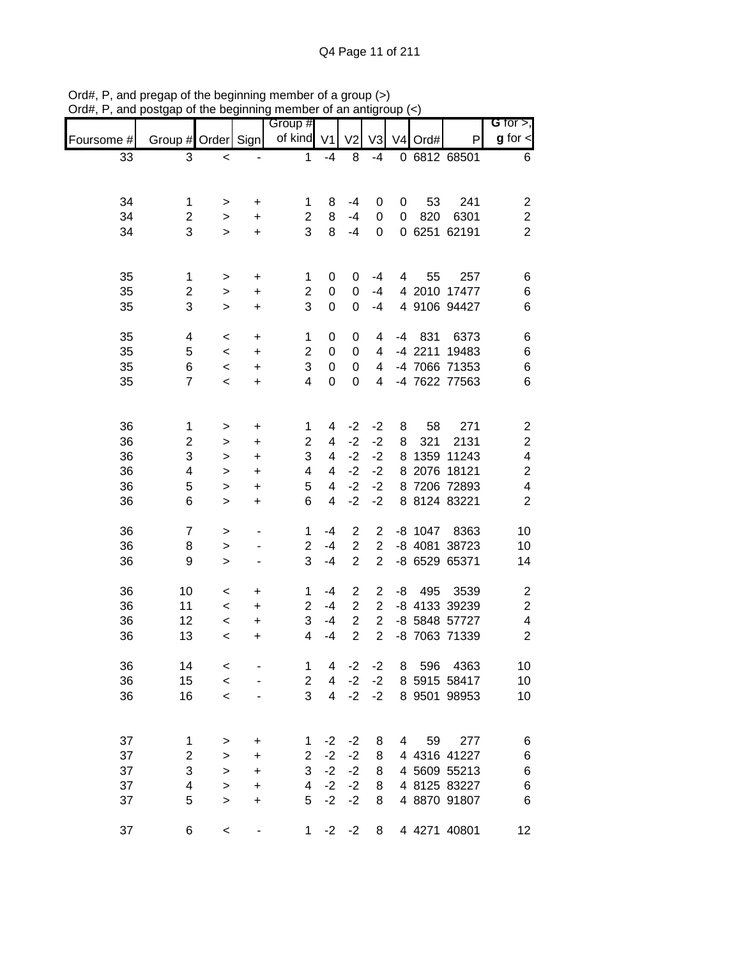| ,,,,,,,<br>unu |                         | or are pogmumig |                                  | monipor or an ang<br>Group # |                         |                |                | ∪uµ         |         |               | G for $>$ ,             |
|----------------|-------------------------|-----------------|----------------------------------|------------------------------|-------------------------|----------------|----------------|-------------|---------|---------------|-------------------------|
| Foursome #     | Group # Order Sign      |                 |                                  | of kind V1                   |                         | V <sub>2</sub> | V <sub>3</sub> |             | V4 Ord# | P             | $g$ for $\lt$           |
| 33             | 3                       | $\,<$           |                                  | $\mathbf{1}$                 | $-4$                    | 8              | $-4$           |             |         | 0 6812 68501  | 6                       |
|                |                         |                 |                                  |                              |                         |                |                |             |         |               |                         |
|                |                         |                 |                                  |                              |                         |                |                |             |         |               |                         |
| 34             | 1                       | >               | +                                | 1                            | 8                       | -4             | 0              | 0           | 53      | 241           | $\overline{\mathbf{c}}$ |
| 34             | $\overline{c}$          | $\,$            | +                                | $\overline{c}$               | 8                       | $-4$           | 0              | $\mathbf 0$ | 820     | 6301          | $\boldsymbol{2}$        |
| 34             | 3                       | $\geq$          | $\ddot{}$                        | 3                            | 8                       | $-4$           | 0              |             |         | 0 6251 62191  | $\overline{2}$          |
|                |                         |                 |                                  |                              |                         |                |                |             |         |               |                         |
| 35             | 1                       | $\,$            | $\ddot{}$                        | 1                            | 0                       | 0              | -4             | 4           | 55      | 257           | 6                       |
| 35             | $\overline{\mathbf{c}}$ | $\,>$           | $\begin{array}{c} + \end{array}$ | $\overline{c}$               | $\boldsymbol{0}$        | 0              | $-4$           |             |         | 4 2010 17477  | 6                       |
| 35             | 3                       | $\, > \,$       | $\begin{array}{c} + \end{array}$ | 3                            | $\boldsymbol{0}$        | 0              | $-4$           |             |         | 4 9106 94427  | $\,6$                   |
|                |                         |                 |                                  |                              |                         |                |                |             |         |               |                         |
| 35             | 4                       | $\,<$           | $\ddot{}$                        | 1                            | 0                       | 0              | 4              | -4          | 831     | 6373          | 6                       |
| 35             | 5                       | $\,<$           | $\ddot{}$                        | $\overline{c}$               | 0                       | $\mathbf 0$    | 4              |             |         | -4 2211 19483 | 6                       |
| 35             | $\,6$                   | $\,<$           | $\ddot{}$                        | 3                            | $\pmb{0}$               | 0              | $\overline{4}$ |             |         | -4 7066 71353 | $\,6$                   |
| 35             | $\overline{7}$          | $\prec$         | $\ddot{}$                        | $\overline{4}$               | $\mathbf 0$             | $\mathbf 0$    | 4              |             |         | -4 7622 77563 | $6\phantom{1}6$         |
|                |                         |                 |                                  |                              |                         |                |                |             |         |               |                         |
| 36             | $\mathbf 1$             | >               | +                                | 1                            | 4                       | $-2$           | $-2$           | 8           | 58      | 271           | $\overline{\mathbf{c}}$ |
| 36             | $\overline{c}$          | >               | +                                | 2                            | 4                       | $-2$           | $-2$           | 8           | 321     | 2131          | $\overline{\mathbf{c}}$ |
| 36             | 3                       | >               | $\ddot{}$                        | 3                            | 4                       | $-2$           | $-2$           |             |         | 8 1359 11243  | $\overline{\mathbf{4}}$ |
| 36             | 4                       | >               | $\ddot{}$                        | 4                            | 4                       | $-2$           | $-2$           |             |         | 8 2076 18121  | $\overline{\mathbf{c}}$ |
| 36             | 5                       | $\geq$          | $\ddot{}$                        | 5                            | $\overline{\mathbf{4}}$ | $-2$           | $-2$           |             |         | 8 7206 72893  | 4                       |
| 36             | 6                       | $\geq$          | $\ddot{}$                        | 6                            | $\overline{\mathbf{4}}$ | $-2$           | $-2$           |             |         | 8 8124 83221  | $\overline{2}$          |
|                |                         |                 |                                  |                              |                         |                |                |             |         |               |                         |
| 36             | $\overline{7}$          | $\,$            |                                  | 1                            | $-4$                    | $\overline{c}$ | $\overline{2}$ |             | -8 1047 | 8363          | 10                      |
| 36             | 8                       | $\geq$          |                                  | $\overline{2}$               | $-4$                    | $\overline{2}$ | $\overline{2}$ |             |         | -8 4081 38723 | 10                      |
| 36             | 9                       | $\geq$          |                                  | 3                            | $-4$                    | $\overline{2}$ | $\overline{2}$ |             |         | -8 6529 65371 | 14                      |
| 36             | 10                      | $\,<\,$         | +                                | 1                            | $-4$                    | $\overline{2}$ | $\overline{2}$ |             |         | -8 495 3539   | $\overline{c}$          |
| 36             | 11                      | $\,<$           | $\ddot{}$                        | $\overline{2}$               | $-4$                    | $\overline{2}$ | $\overline{2}$ |             |         | -8 4133 39239 | $\sqrt{2}$              |
| 36             | 12                      | $\,<$           | $\ddot{}$                        | 3                            | $-4$                    | $\overline{2}$ | $\overline{2}$ |             |         | -8 5848 57727 | $\overline{\mathbf{4}}$ |
| 36             | 13                      | $\prec$         | $\ddot{}$                        | 4                            | $-4$                    | $\overline{2}$ | $\overline{2}$ |             |         | -8 7063 71339 | $\overline{2}$          |
|                |                         |                 |                                  |                              |                         |                |                |             |         |               |                         |
| 36             | 14                      | $\,<$           |                                  | 1                            | 4                       | $-2$           | $-2$           | 8           | 596     | 4363          | 10                      |
| 36             | 15                      | $\,<$           |                                  | $\overline{c}$               | $\overline{4}$          | $-2$           | $-2$           |             |         | 8 5915 58417  | 10                      |
| 36             | 16                      | $\prec$         |                                  | 3                            | $\overline{4}$          | $-2$           | $-2$           |             |         | 8 9501 98953  | 10                      |
|                |                         |                 |                                  |                              |                         |                |                |             |         |               |                         |
| 37             | 1                       | $\,$            | +                                | 1                            | $-2$                    | $-2$           | 8              |             | 59<br>4 | 277           | 6                       |
| 37             | $\overline{2}$          | $\geq$          | +                                | $\overline{2}$               | $-2$                    | $-2$           | 8              |             |         | 4 4316 41227  | 6                       |
| 37             | 3                       | $\geq$          | +                                | 3                            | $-2$                    | $-2$           | 8              |             |         | 4 5609 55213  | 6                       |
| 37             | 4                       | $\geq$          | $\ddot{}$                        | $\overline{4}$               | $-2$                    | $-2$           | 8              |             |         | 4 8125 83227  | $\,6$                   |
| 37             | 5                       | $\geq$          | $\ddot{}$                        | 5                            | $-2$                    | $-2$           | 8              |             |         | 4 8870 91807  | 6                       |
|                |                         |                 |                                  |                              |                         |                |                |             |         |               |                         |
| 37             | 6                       | $\,<\,$         |                                  | 1                            | $-2$                    | $-2$           | 8              |             |         | 4 4271 40801  | 12                      |

Ord#, P, and pregap of the beginning member of a group (>) Ord#, P, and postgap of the beginning member of an antigroup (<)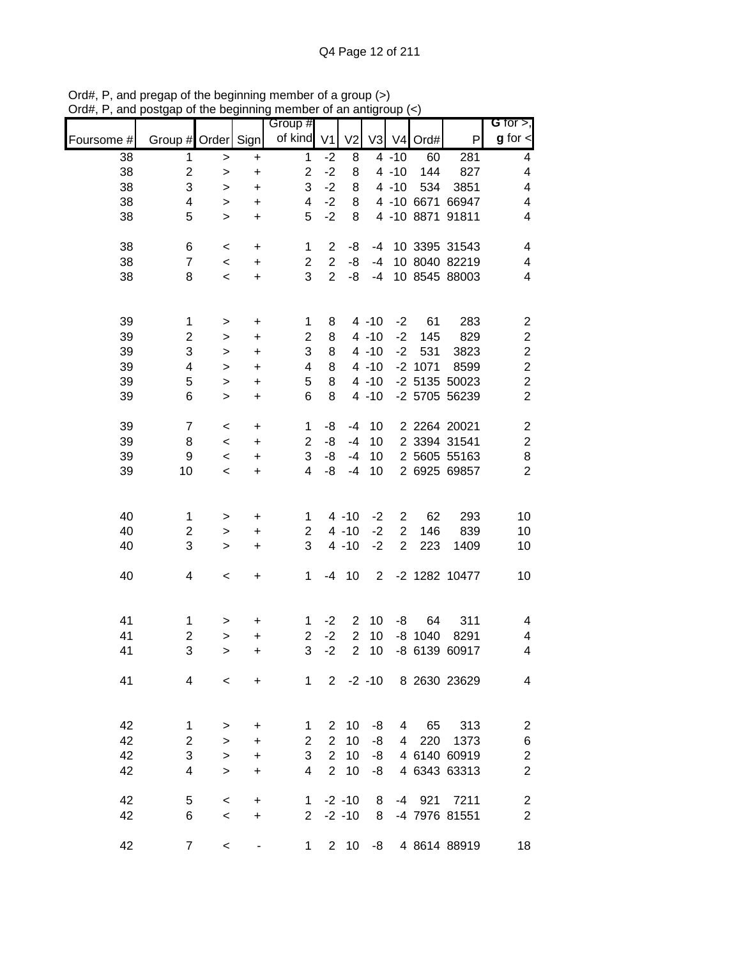|            |                         |           |           | Group #                 |                |                |                |                |           |                       | G for $>$ ,             |
|------------|-------------------------|-----------|-----------|-------------------------|----------------|----------------|----------------|----------------|-----------|-----------------------|-------------------------|
| Foursome # | Group # Order Sign      |           |           | of kind                 | V <sub>1</sub> | V <sub>2</sub> | V3             | V <sub>4</sub> | Ord#      | P                     | $g$ for $\lt$           |
| 38         | 1                       | $\geq$    | $\ddot{}$ | $\mathbf 1$             | $-2$           | 8              |                | $4 - 10$       | 60        | 281                   | 4                       |
| 38         | $\boldsymbol{2}$        | $\geq$    | $\ddot{}$ | $\overline{\mathbf{c}}$ | $-2$           | 8              |                | $4 - 10$       | 144       | 827                   | 4                       |
| 38         | 3                       | >         | $\ddot{}$ | 3                       | $-2$           | 8              |                | $4 - 10$       | 534       | 3851                  | 4                       |
| 38         | 4                       | $\geq$    | $\ddot{}$ | 4                       | $-2$           | 8              |                |                |           | 4 -10 6671 66947      | $\overline{\mathbf{4}}$ |
| 38         | 5                       | $\, > \,$ | $\ddot{}$ | 5                       | $-2$           | 8              |                |                |           | 4 -10 8871 91811      | 4                       |
| 38         | 6                       | $\,<$     | +         | 1                       | 2              | -8             | $-4$           |                |           | 10 3395 31543         | 4                       |
| 38         | $\overline{7}$          | $\,<$     | +         | $\overline{2}$          | $\overline{2}$ | -8             | $-4$           |                |           | 10 8040 82219         | 4                       |
| 38         | 8                       | $\,<$     | +         | 3                       | $\overline{2}$ | -8             | $-4$           |                |           | 10 8545 88003         | 4                       |
|            |                         |           |           |                         |                |                |                |                |           |                       |                         |
| 39         | 1                       | $\,$      | $\ddot{}$ | 1                       | 8              |                | $4 - 10$       | $-2$           | 61        | 283                   | $\overline{\mathbf{c}}$ |
| 39         | $\overline{\mathbf{c}}$ | $\,>$     | $\ddot{}$ | $\overline{\mathbf{c}}$ | 8              |                | $4 - 10$       | $-2$           | 145       | 829                   | $\overline{\mathbf{c}}$ |
| 39         | 3                       | $\,>$     | $\ddot{}$ | 3                       | 8              |                | $4 - 10$       | $-2$           | 531       | 3823                  | $\overline{c}$          |
| 39         | 4                       | $\,$      | $\ddot{}$ | 4                       | 8              |                | $4 - 10$       |                | $-2$ 1071 | 8599                  | $\overline{c}$          |
| 39         | 5                       | $\,>$     | $\ddot{}$ | 5                       | 8              |                | $4 - 10$       |                |           | -2 5135 50023         | $\overline{c}$          |
| 39         | 6                       | $\, > \,$ | $\ddot{}$ | 6                       | 8              |                | $4 - 10$       |                |           | -2 5705 56239         | $\overline{c}$          |
| 39         | $\overline{7}$          | $\,<$     | $\ddot{}$ | 1                       | -8             | $-4$           | 10             |                |           | 2 2264 20021          | $\overline{\mathbf{c}}$ |
| 39         | 8                       | $\,<$     | +         | $\overline{c}$          | -8             | $-4$           | 10             |                |           | 2 3394 31541          | $\overline{\mathbf{c}}$ |
| 39         | 9                       | $\,<$     | $\ddot{}$ | 3                       | -8             | $-4$           | 10             |                |           | 2 5605 55163          | 8                       |
| 39         | 10                      | $\,<$     | +         | 4                       | -8             | $-4$           | 10             |                |           | 2 6925 69857          | $\overline{2}$          |
|            |                         |           |           |                         |                |                |                |                |           |                       |                         |
| 40         | 1                       | >         | +         | 1                       |                | $4 - 10$       | $-2$           | $\overline{2}$ | 62        | 293                   | 10                      |
| 40         | 2                       | >         | +         | 2                       |                | $4 - 10$       | $-2$           | $\overline{2}$ | 146       | 839                   | 10                      |
| 40         | 3                       | $\,>$     | +         | 3                       |                | $4 - 10$       | $-2$           | $\overline{2}$ | 223       | 1409                  | 10                      |
| 40         | 4                       |           |           | 1                       | -4             | 10             | $\overline{2}$ |                |           | -2 1282 10477         | 10                      |
|            |                         | $\,<$     | $\ddot{}$ |                         |                |                |                |                |           |                       |                         |
|            |                         |           |           |                         |                |                |                |                |           |                       |                         |
| 41         | 1                       | >         | +         | 1                       | $-2$           | $\overline{2}$ | 10             | -8             | 64        | 311                   | 4                       |
| 41         | $\overline{c}$          | $\, > \,$ | $\ddot{}$ | $\overline{c}$          | $-2$           | $\overline{2}$ | 10             | -8             | 1040      | 8291                  | 4                       |
| 41         | 3                       | >         | $\ddot{}$ | 3                       | $-2$           | $\overline{2}$ | 10             |                |           | -8 6139 60917         | 4                       |
| 41         | 4                       | $\,<$     | +         | 1                       |                |                |                |                |           | 2 -2 -10 8 2630 23629 | $\overline{4}$          |
|            |                         |           |           |                         |                |                |                |                |           |                       |                         |
| 42         | $\mathbf{1}$            | >         | +         | 1                       | $\overline{2}$ | 10             | -8             |                | 4 65      | 313                   | $\overline{\mathbf{c}}$ |
| 42         | $\overline{c}$          | $\,$      | +         | $\overline{2}$          | 2              | 10             | -8             |                | 4 220     | 1373                  | $\boldsymbol{6}$        |
| 42         | 3                       | $\, >$    | +         | 3                       | $\overline{2}$ | 10             | -8             |                |           | 4 6140 60919          | $\overline{c}$          |
| 42         | 4                       | $\geq$    | +         | 4                       | 2 <sup>7</sup> | 10             | -8             |                |           | 4 6343 63313          | $\overline{c}$          |
| 42         | 5                       | $\,<$     | +         | $\mathbf{1}$            |                | $-2 - 10$      | 8              |                | $-4$ 921  | 7211                  | $\sqrt{2}$              |
| 42         | 6                       | $\,<$     | $\ddot{}$ | $2^{\circ}$             |                | $-2 - 10$      | 8              |                |           | -4 7976 81551         | $\boldsymbol{2}$        |
|            |                         |           |           |                         |                |                |                |                |           |                       |                         |
| 42         | $\boldsymbol{7}$        | $\,<$     |           | $\mathbf{1}$            |                | $2 \quad 10$   |                |                |           | -8 4 8614 88919       | 18                      |

Ord#, P, and pregap of the beginning member of a group (>) Ord#, P, and postgap of the beginning member of an antigroup (<)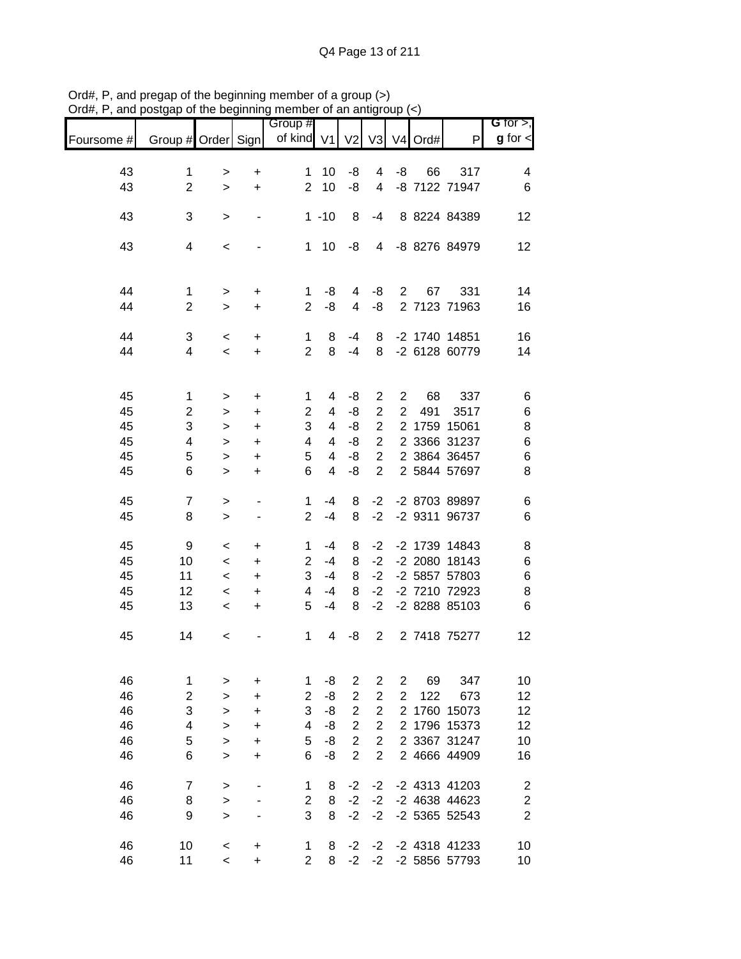|            |                         |                     |                                  | Group #             |                         |                |                         |                |            |                                | G for $>$ ,             |
|------------|-------------------------|---------------------|----------------------------------|---------------------|-------------------------|----------------|-------------------------|----------------|------------|--------------------------------|-------------------------|
| Foursome # | Group # Order Sign      |                     |                                  | of kind V1          |                         | V <sub>2</sub> |                         |                | V3 V4 Ord# | P                              | $g$ for $\lt$           |
|            |                         |                     |                                  |                     |                         |                |                         |                |            |                                |                         |
| 43<br>43   | 1<br>$\overline{2}$     | ><br>$\geq$         | +<br>$\ddot{}$                   | 1<br>$\overline{2}$ | 10<br>10                | -8<br>-8       | 4<br>4                  | -8             | 66         | 317<br>-8 7122 71947           | 4<br>6                  |
|            |                         |                     |                                  |                     |                         |                |                         |                |            |                                |                         |
| 43         | 3                       | >                   | $\overline{\phantom{0}}$         |                     | $1 - 10$                | 8              | $-4$                    |                |            | 8 8224 84389                   | 12                      |
|            |                         |                     |                                  |                     |                         |                |                         |                |            |                                |                         |
| 43         | $\overline{\mathbf{4}}$ | $\,<$               |                                  | 1                   | 10                      | -8             | 4                       |                |            | -8 8276 84979                  | 12                      |
|            |                         |                     |                                  |                     |                         |                |                         |                |            |                                |                         |
| 44         | $\mathbf 1$             | >                   | $\ddot{}$                        | 1                   | -8                      | 4              | -8                      | 2              | 67         | 331                            | 14                      |
| 44         | $\overline{2}$          | $\,>$               | +                                | $\overline{2}$      | -8                      | $\overline{4}$ | -8                      |                |            | 2 7123 71963                   | 16                      |
|            |                         |                     |                                  |                     |                         |                |                         |                |            |                                |                         |
| 44         | 3                       | $\,<\,$             | +                                | 1                   | 8                       | $-4$           | 8                       |                |            | -2 1740 14851                  | 16                      |
| 44         | 4                       | $\,<$               | $\ddot{}$                        | $\overline{2}$      | 8                       | $-4$           | 8                       |                |            | -2 6128 60779                  | 14                      |
|            |                         |                     |                                  |                     |                         |                |                         |                |            |                                |                         |
| 45         | 1                       | $\, > \,$           | $\begin{array}{c} + \end{array}$ | 1                   | 4                       | -8             | $\overline{c}$          | $\overline{c}$ | 68         | 337                            | 6                       |
| 45         | $\overline{\mathbf{c}}$ | >                   | $\ddot{}$                        | 2                   | 4                       | -8             | $\overline{2}$          | $\overline{2}$ | 491        | 3517                           | 6                       |
| 45         | 3                       | $\, > \,$           | $\ddot{}$                        | 3                   | 4                       | -8             | $\overline{c}$          |                |            | 2 1759 15061                   | 8                       |
| 45         | 4                       | $\, > \,$           | $\ddot{}$                        | 4                   | 4                       | -8             | $\overline{c}$          |                |            | 2 3366 31237                   | $\,$ 6 $\,$             |
| 45         | 5                       | $\, > \,$           | $\ddot{}$                        | 5                   | $\overline{\mathbf{4}}$ | -8             | $\overline{2}$          |                |            | 2 3864 36457                   | $\,6$                   |
| 45         | 6                       | $\geq$              | $\ddot{}$                        | 6                   | $\overline{\mathbf{4}}$ | -8             | $\overline{c}$          |                |            | 2 5844 57697                   | 8                       |
| 45         | $\overline{7}$          |                     |                                  |                     | -4                      |                | $-2$                    |                |            | -2 8703 89897                  |                         |
| 45         | 8                       | $\, > \,$<br>$\geq$ | $\overline{a}$<br>$\blacksquare$ | 1<br>$\overline{2}$ | $-4$                    | 8<br>8         | $-2$                    |                |            | -2 9311 96737                  | 6<br>6                  |
|            |                         |                     |                                  |                     |                         |                |                         |                |            |                                |                         |
| 45         | 9                       | $\,<$               | +                                | 1                   | -4                      | 8              | $-2$                    |                |            | -2 1739 14843                  | 8                       |
| 45         | 10                      | $\,<\,$             | +                                | 2                   | $-4$                    | 8              | $-2$                    |                |            | -2 2080 18143                  | 6                       |
| 45         | 11                      | $\,<\,$             | +                                | 3                   | $-4$                    | 8              | $-2$                    |                |            | -2 5857 57803                  | $\,$ 6 $\,$             |
| 45         | 12                      | $\,<\,$             | +                                | 4                   | -4                      | 8              | $-2$                    |                |            | -2 7210 72923                  | 8                       |
| 45         | 13                      | $\,<\,$             | +                                | 5                   | $-4$                    | 8              | $-2$                    |                |            | -2 8288 85103                  | 6                       |
|            |                         |                     |                                  |                     |                         |                |                         |                |            |                                |                         |
| 45         | 14                      | $\,<\,$             |                                  | 1                   | 4                       | -8             | $\overline{2}$          |                |            | 2 7418 75277                   | 12                      |
|            |                         |                     |                                  |                     |                         |                |                         |                |            |                                |                         |
| 46         | $\mathbf 1$             | >                   | +                                | 1                   | -8                      | $\overline{c}$ | 2                       | 2              | 69         | 347                            | 10                      |
| 46         | $\overline{c}$          | $\, > \,$           | +                                | $\overline{2}$      | -8                      | $\overline{2}$ | $\overline{c}$          | $\overline{2}$ | 122        | 673                            | 12                      |
| 46         | 3                       | >                   | $\ddot{}$                        | 3                   | -8                      | $\overline{c}$ | $\overline{c}$          | $\overline{2}$ |            | 1760 15073                     | 12                      |
| 46         | $\overline{\mathbf{4}}$ | >                   | +                                | 4                   | -8                      | $\overline{c}$ | $\overline{c}$          |                |            | 2 1796 15373                   | 12                      |
| 46         | 5                       | $\, > \,$           | $\ddot{}$                        | 5                   | -8                      | $\overline{c}$ | $\overline{\mathbf{c}}$ |                |            | 2 3367 31247                   | 10                      |
| 46         | 6                       | $\, > \,$           | +                                | 6                   | -8                      | $\overline{2}$ | $\overline{c}$          |                |            | 2 4666 44909                   | 16                      |
|            |                         |                     |                                  |                     |                         |                |                         |                |            |                                |                         |
| 46         | $\overline{7}$          | $\,$                |                                  | 1                   | 8                       | $-2$           | $-2$                    |                |            | -2 4313 41203                  | $\boldsymbol{2}$        |
| 46         | 8                       | $\,$                |                                  | $\overline{c}$      | 8                       | $-2$           | $-2$                    |                |            | -2 4638 44623                  | $\overline{c}$          |
| 46         | 9                       | $\geq$              |                                  | 3                   | 8                       | $-2$           | $-2$                    |                |            | -2 5365 52543                  | $\overline{\mathbf{c}}$ |
|            |                         |                     |                                  |                     |                         |                |                         |                |            |                                |                         |
| 46<br>46   | 10<br>11                | $\,<$<br>$\,<\,$    | $\ddot{}$<br>$\ddot{}$           | 1<br>$\overline{2}$ | 8<br>8                  | $-2$<br>$-2$   | $-2$<br>$-2$            |                |            | -2 4318 41233<br>-2 5856 57793 | 10<br>10                |
|            |                         |                     |                                  |                     |                         |                |                         |                |            |                                |                         |

Ord#, P, and pregap of the beginning member of a group (>) Ord#, P, and postgap of the beginning member of an antigroup (<)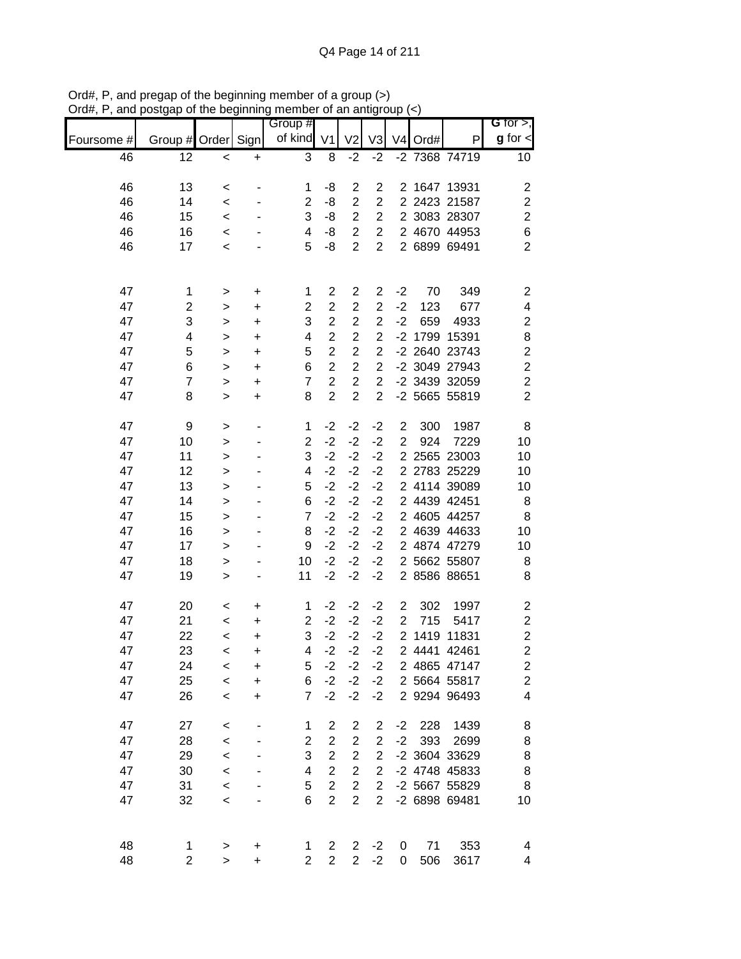|            |                    |              |           | osigap or the beginning member or an antigroup |                         |                |                |                | $\vee$              |               |                              |
|------------|--------------------|--------------|-----------|------------------------------------------------|-------------------------|----------------|----------------|----------------|---------------------|---------------|------------------------------|
| Foursome # | Group # Order Sign |              |           | Group #<br>of kind                             | V <sub>1</sub>          | V <sub>2</sub> | V3             |                | V <sub>4</sub> Ord# | P             | G for $>$ ,<br>$g$ for $\lt$ |
| 46         | 12                 | $\,<$        | $\ddot{}$ | 3                                              | 8                       | $-2$           | $-2$           |                |                     | -2 7368 74719 | 10 <sup>1</sup>              |
| 46         | 13                 | $\,<\,$      |           | 1                                              | -8                      | $\overline{2}$ | $\overline{2}$ |                |                     | 2 1647 13931  | 2                            |
| 46         | 14                 | $\,<\,$      |           | $\overline{2}$                                 | -8                      | $\overline{2}$ | $\overline{2}$ |                |                     | 2 2423 21587  | $\mathbf{2}$                 |
| 46         | 15                 | $\,<$        |           | 3                                              | -8                      | $\overline{2}$ | $\overline{2}$ |                |                     | 2 3083 28307  | $\boldsymbol{2}$             |
| 46         | 16                 | $\,<$        |           | 4                                              | -8                      | $\overline{2}$ | $\overline{c}$ |                |                     | 2 4670 44953  | 6                            |
| 46         | 17                 | $\,<\,$      |           | 5                                              | -8                      | $\overline{2}$ | $\overline{2}$ |                |                     | 2 6899 69491  | $\overline{2}$               |
| 47         | 1                  | $\,$         | $\ddot{}$ | 1                                              | 2                       | $\overline{c}$ | $\overline{c}$ | $-2$           | 70                  | 349           | $\overline{\mathbf{c}}$      |
| 47         | $\overline{2}$     | $\mathbf{r}$ | $\ddot{}$ | $\overline{2}$                                 | $\overline{c}$          | $\overline{c}$ | $\overline{2}$ | $-2$           | 123                 | 677           | 4                            |
| 47         | 3                  | $\,>$        | $\ddot{}$ | 3                                              | $\overline{2}$          | $\overline{c}$ | $\overline{c}$ | $-2$           | 659                 | 4933          | $\boldsymbol{2}$             |
| 47         | 4                  | $\,>$        | $\ddot{}$ | $\overline{\mathbf{4}}$                        | $\overline{2}$          | $\overline{2}$ | $\overline{c}$ |                |                     | -2 1799 15391 | 8                            |
| 47         | 5                  | $\,>$        | $\ddot{}$ | 5                                              | $\overline{2}$          | $\overline{c}$ | $\overline{c}$ |                |                     | -2 2640 23743 | $\boldsymbol{2}$             |
| 47         | 6                  | $\geq$       | $\ddot{}$ | 6                                              | $\overline{2}$          | $\overline{c}$ | $\overline{c}$ |                |                     | -2 3049 27943 | $\overline{\mathbf{c}}$      |
| 47         | $\overline{7}$     | $\mathbf{r}$ | $\ddot{}$ | $\overline{7}$                                 | $\overline{\mathbf{c}}$ | $\overline{c}$ | $\overline{c}$ |                |                     | -2 3439 32059 | $\overline{c}$               |
| 47         | 8                  | $\mathbf{I}$ | $\ddot{}$ | 8                                              | $\overline{2}$          | $\overline{2}$ | $\overline{2}$ |                |                     | -2 5665 55819 | $\overline{2}$               |
| 47         | 9                  | >            |           | 1                                              | $-2$                    | $-2$           | $-2$           | $\overline{c}$ | 300                 | 1987          | 8                            |
| 47         | 10                 | $\mathbf{r}$ |           | $\overline{2}$                                 | $-2$                    | $-2$           | $-2$           | $\overline{2}$ | 924                 | 7229          | 10                           |
| 47         | 11                 | >            |           | 3                                              | $-2$                    | $-2$           | $-2$           |                |                     | 2 2565 23003  | 10                           |
| 47         | 12                 | $\mathbf{I}$ |           | 4                                              | $-2$                    | $-2$           | $-2$           |                |                     | 2 2783 25229  | 10                           |
| 47         | 13                 | $\mathbf{I}$ |           | 5                                              | $-2$                    | $-2$           | $-2$           |                |                     | 2 4114 39089  | 10                           |
| 47         | 14                 | $\geq$       |           | 6                                              | $-2$                    | $-2$           | $-2$           |                |                     | 2 4439 42451  | 8                            |
| 47         | 15                 | $\geq$       |           | $\overline{7}$                                 | $-2$                    | $-2$           | $-2$           |                |                     | 2 4605 44257  | 8                            |
| 47         | 16                 | $\mathbf{I}$ |           | 8                                              | $-2$                    | $-2$           | $-2$           |                |                     | 2 4639 44633  | 10                           |
| 47         | 17                 | $\mathbf{I}$ |           | 9                                              | $-2$                    | $-2$           | $-2$           |                |                     | 2 4874 47279  | 10                           |
| 47         | 18                 | $\mathbf{r}$ |           | 10                                             | $-2$                    | $-2$           | $-2$           |                |                     | 2 5662 55807  | 8                            |
| 47         | 19                 | $\mathbf{L}$ |           | 11                                             | $-2$                    | $-2$           | $-2$           |                |                     | 2 8586 88651  | 8                            |
| 47         | 20                 | $\,<$        | $\ddot{}$ | 1                                              | $-2$                    | $-2$           | $-2$           | $\overline{c}$ | 302                 | 1997          | $\overline{\mathbf{c}}$      |
| 47         | 21                 | $\,<$        | +         | $\overline{c}$                                 | $-2$                    | $-2$           | $-2$           | $\mathbf{2}$   | 715                 | 5417          | $\boldsymbol{2}$             |
| 47         | 22                 | $\,<\,$      | +         | 3                                              | $-2$                    | $-2$           | $-2$           |                |                     | 2 1419 11831  | $\overline{c}$               |
| 47         | 23                 | $\,<\,$      | +         | 4                                              | $-2$                    | $-2$           | $-2$           |                |                     | 2 4441 42461  | $\overline{c}$               |
| 47         | 24                 | $\,<$        | +         | 5                                              | $-2$                    | $-2$           | $-2$           |                |                     | 2 4865 47147  | 2                            |
| 47         | 25                 | $\,<\,$      | +         | 6                                              | $-2$                    | $-2$           | $-2$           |                |                     | 2 5664 55817  | $\overline{\mathbf{c}}$      |
| 47         | 26                 | $\,<$        | +         | $\overline{7}$                                 | $-2$                    | $-2$           | $-2$           |                |                     | 2 9294 96493  | 4                            |
| 47         | 27                 | $\,<$        |           | 1                                              | 2                       | 2              | $\overline{c}$ | $-2$           | 228                 | 1439          | 8                            |
| 47         | 28                 | $\prec$      |           | 2                                              | $\overline{2}$          | $\overline{2}$ | $\overline{2}$ | $-2$           | 393                 | 2699          | 8                            |
| 47         | 29                 | $\prec$      |           | 3                                              | $\overline{\mathbf{c}}$ | $\mathbf 2$    | $\overline{2}$ |                |                     | -2 3604 33629 | 8                            |
| 47         | 30                 | $\prec$      |           | 4                                              | $\overline{2}$          | $\overline{c}$ | $\overline{2}$ |                |                     | -2 4748 45833 | 8                            |
| 47         | 31                 | $\prec$      |           | 5                                              | $\overline{c}$          | $\overline{c}$ | $\overline{2}$ |                |                     | -2 5667 55829 | 8                            |
| 47         | 32                 | $\,<$        |           | 6                                              | $\overline{2}$          | $\overline{2}$ | $\overline{2}$ |                |                     | -2 6898 69481 | 10                           |
| 48         | 1                  | >            | +         | 1                                              | $\overline{2}$          | $\overline{2}$ | $-2$           | 0              | 71                  | 353           | 4                            |
| 48         | $\overline{c}$     | $\mathbf{L}$ | $\ddot{}$ | $\overline{2}$                                 | $\overline{2}$          | $\overline{2}$ | $-2$           | 0              | 506                 | 3617          | 4                            |

Ord#, P, and pregap of the beginning member of a group (>) Ord#, P, and postgap of the beginning member of an antigroup (<)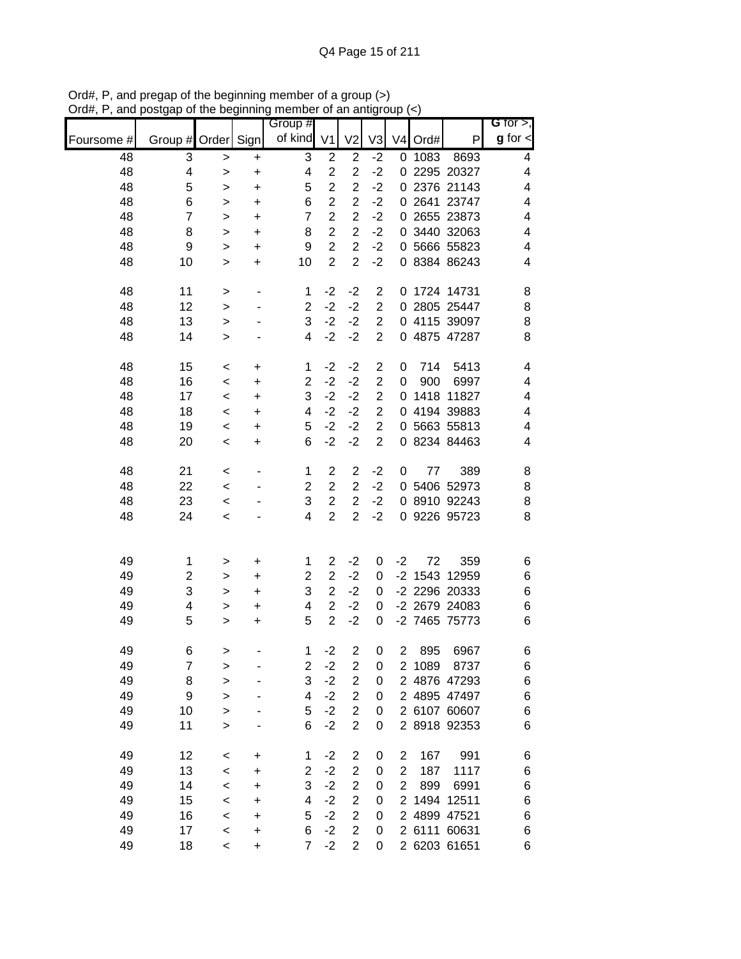|            |                         |              |                | Group #        |                                  |                                  |                         |                |        |                            | G for $>$ ,    |
|------------|-------------------------|--------------|----------------|----------------|----------------------------------|----------------------------------|-------------------------|----------------|--------|----------------------------|----------------|
| Foursome # | Group #                 | Order Sign   |                | of kind        | V <sub>1</sub>                   | V <sub>2</sub>                   | V3                      | V <sub>4</sub> | Ord#   | P                          | $g$ for $\leq$ |
| 48         | 3                       | $\geq$       | $\ddot{}$      | 3              | $\overline{\mathbf{c}}$          | $\mathbf 2$                      | $-2$                    | 0              | 1083   | 8693                       | 4              |
| 48         | 4                       | >            | $\ddot{}$      | 4              | $\overline{c}$                   | $\overline{c}$                   | $-2$                    | 0              |        | 2295 20327                 | 4              |
| 48         | 5                       | $\, > \,$    | $\ddot{}$      | 5              | $\overline{c}$                   | $\overline{c}$                   | $-2$                    | 0              |        | 2376 21143                 | 4              |
| 48         | 6                       | >            | $\ddot{}$      | 6              | $\overline{\mathbf{c}}$          | $\overline{c}$                   | $-2$                    | 0              |        | 2641 23747                 | 4              |
| 48         | $\overline{7}$          | >            | $\ddot{}$      | $\overline{7}$ | $\overline{2}$                   | $\overline{c}$                   | $-2$                    | 0              |        | 2655 23873                 | 4              |
| 48         | 8                       | >            | +              | 8              | $\overline{c}$<br>$\overline{2}$ | $\overline{c}$<br>$\overline{2}$ | $-2$                    | 0              |        | 3440 32063                 | 4              |
| 48<br>48   | 9<br>10                 | >            | +              | 9<br>10        | $\overline{2}$                   | $\overline{2}$                   | $-2$<br>$-2$            | 0              |        | 5666 55823<br>0 8384 86243 | 4<br>4         |
|            |                         | $\, > \,$    | +              |                |                                  |                                  |                         |                |        |                            |                |
| 48         | 11                      | $\,$         | $\overline{a}$ | 1              | $-2$                             | $-2$                             | $\overline{\mathbf{c}}$ | 0              |        | 1724 14731                 | 8              |
| 48         | 12                      | $\geq$       |                | $\overline{2}$ | $-2$                             | $-2$                             | $\overline{2}$          | 0              |        | 2805 25447                 | 8              |
| 48         | 13                      | $\, > \,$    |                | 3              | $-2$                             | $-2$                             | $\overline{2}$          | 0              |        | 4115 39097                 | 8              |
| 48         | 14                      | $\, > \,$    |                | 4              | $-2$                             | $-2$                             | $\overline{2}$          |                |        | 0 4875 47287               | 8              |
| 48         | 15                      | $\,<$        | $\ddot{}$      | 1              | $-2$                             | $-2$                             | $\overline{c}$          | 0              | 714    | 5413                       | 4              |
| 48         | 16                      | $\,<\,$      | +              | $\overline{c}$ | $-2$                             | $-2$                             | $\overline{\mathbf{c}}$ | 0              | 900    | 6997                       | 4              |
| 48         | 17                      | $\,<$        | $\ddot{}$      | 3              | $-2$                             | $-2$                             | $\overline{2}$          | 0              |        | 1418 11827                 | 4              |
| 48         | 18                      | $\,<$        | +              | 4              | $-2$                             | $-2$                             | $\mathbf 2$             | 0              |        | 4194 39883                 | 4              |
| 48         | 19                      | $\,<$        | +              | 5              | $-2$                             | $-2$                             | $\overline{c}$          | 0              |        | 5663 55813                 | 4              |
| 48         | 20                      | $\,<$        | +              | 6              | $-2$                             | $-2$                             | $\overline{2}$          | 0              |        | 8234 84463                 | 4              |
| 48         | 21                      | $\,<$        |                | 1              | $\overline{c}$                   | $\overline{c}$                   | $-2$                    | 0              | 77     | 389                        | 8              |
| 48         | 22                      | $\,<\,$      |                | $\overline{c}$ | $\overline{c}$                   | $\overline{c}$                   | $-2$                    | 0              |        | 5406 52973                 | 8              |
| 48         | 23                      | $\,<\,$      |                | 3              | $\overline{2}$                   | $\overline{2}$                   | $-2$                    | 0              |        | 8910 92243                 | 8              |
| 48         | 24                      | $\,<\,$      |                | 4              | $\overline{c}$                   | $\overline{c}$                   | $-2$                    |                |        | 0 9226 95723               | 8              |
|            |                         |              |                |                |                                  |                                  |                         |                |        |                            |                |
| 49         | 1                       | >            | +              | 1              | $\overline{2}$                   | $-2$                             | 0                       | $-2$           | 72     | 359                        | 6              |
| 49         | $\overline{\mathbf{c}}$ | >            | +              | $\overline{2}$ | $\overline{c}$                   | $-2$                             | 0                       | $-2$           | 1543   | 12959                      | 6              |
| 49         | 3                       | >            | +              | 3              | $\overline{2}$                   | $-2$                             | 0                       |                |        | -2 2296 20333              | 6              |
| 49         | 4                       | >            | +              | 4              | $\overline{2}$                   | $-2$                             | 0                       |                |        | -2 2679 24083              | 6              |
| 49         | 5                       | $\, > \,$    | +              | 5              | $\overline{2}$                   | $-2$                             | 0                       |                |        | -2 7465 75773              | 6              |
| 49         | 6                       | $\geq$       |                | 1              | $-2$                             | $\overline{2}$                   | 0                       | $\overline{2}$ | 895    | 6967                       | 6              |
| 49         | 7                       | >            |                | 2              | $-2$                             | 2                                | 0                       |                | 2 1089 | 8737                       | 6              |
| 49         | 8                       | $\mathbf{I}$ |                | 3              | $-2$                             | $\overline{c}$                   | 0                       |                |        | 2 4876 47293               | 6              |
| 49         | 9                       | $\mathbf{I}$ |                | 4              | $-2$                             | $\overline{\mathbf{c}}$          | 0                       |                |        | 2 4895 47497               | 6              |
| 49         | 10                      | $\mathbf{I}$ |                | 5              | $-2$                             | $\overline{c}$                   | 0                       |                |        | 2 6107 60607               | 6              |
| 49         | 11                      | $\, > \,$    |                | 6              | $-2$                             | $\overline{c}$                   | 0                       |                |        | 2 8918 92353               | 6              |
| 49         | 12                      | $\,<$        | +              | 1              | $-2$                             | 2                                | 0                       | 2              | 167    | 991                        | 6              |
| 49         | 13                      | $\,<$        | +              | $\overline{c}$ | $-2$                             | $\overline{2}$                   | 0                       | $\overline{2}$ | 187    | 1117                       | 6              |
| 49         | 14                      | $\,<$        | +              | 3              | $-2$                             | $\overline{c}$                   | 0                       | $\overline{2}$ | 899    | 6991                       | 6              |
| 49         | 15                      | $\,<$        | +              | 4              | $-2$                             | $\overline{c}$                   | 0                       | $\overline{2}$ |        | 1494 12511                 | 6              |
| 49         | 16                      | $\,<$        | +              | 5              | $-2$                             | $\overline{2}$                   | 0                       |                |        | 2 4899 47521               | 6              |
| 49         | 17                      | $\,<$        | $\ddot{}$      | 6              | $-2$                             | $\overline{\mathbf{c}}$          | 0                       |                |        | 2 6111 60631               | 6              |
| 49         | 18                      | $\,<\,$      | $\ddot{}$      | 7              | $-2$                             | $\overline{2}$                   | 0                       |                |        | 2 6203 61651               | 6              |

Ord#, P, and pregap of the beginning member of a group (>) Ord#, P, and postgap of the beginning member of an antigroup (<)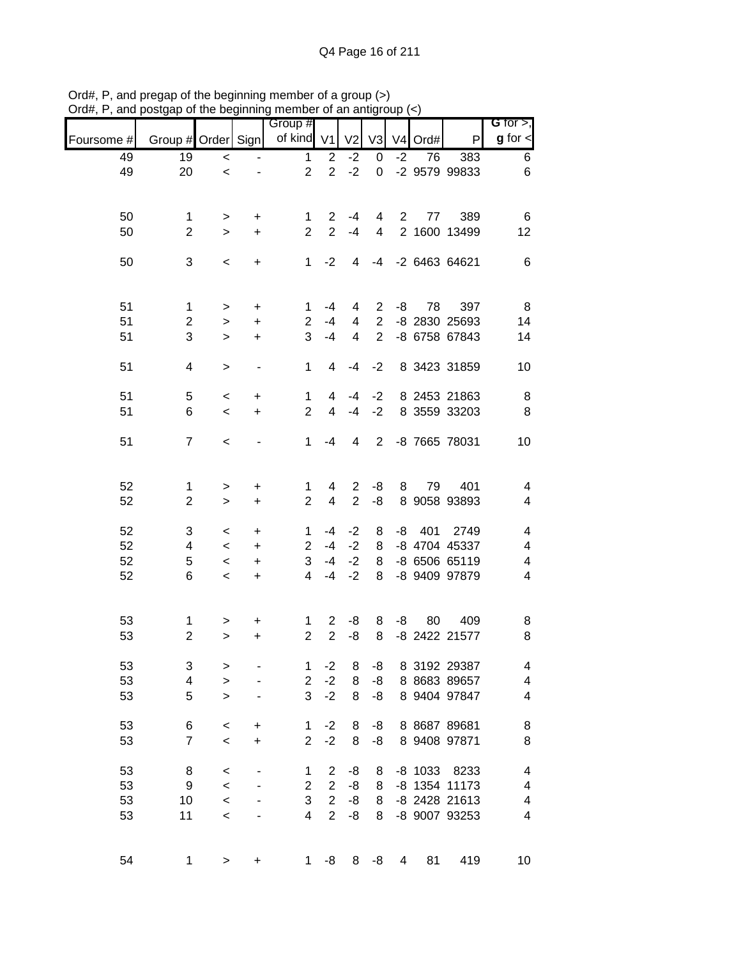| unu        | oorgap or mo ooginming |                          |                          | monipor or an anny<br>Group # |                |                          |                |             |         |                              | G for $>$ ,              |
|------------|------------------------|--------------------------|--------------------------|-------------------------------|----------------|--------------------------|----------------|-------------|---------|------------------------------|--------------------------|
| Foursome # | Group # Order Sign     |                          |                          | of kind V1                    |                | V <sub>2</sub>           | V <sub>3</sub> |             | V4 Ord# | P                            | $g$ for $\lt$            |
| 49         | 19                     | $\,<$                    |                          | 1                             | $\overline{c}$ | $-2$                     | 0              | $-2$        | 76      | 383                          | 6                        |
| 49         | 20                     | $\,<$                    |                          | $\overline{2}$                | $\overline{2}$ | $-2$                     | $\mathbf 0$    |             |         | -2 9579 99833                | $6\phantom{1}$           |
|            |                        |                          |                          |                               |                |                          |                |             |         |                              |                          |
| 50         | $\mathbf 1$            | $\, >$                   | $\ddot{}$                | 1                             | $\overline{2}$ | $-4$                     | 4              | $2^{\circ}$ | 77      | 389                          | 6                        |
| 50         | $\overline{2}$         | $\,$                     | $\ddot{}$                | $\overline{2}$                | $\overline{2}$ | $-4$                     | $\overline{4}$ |             |         | 2 1600 13499                 | 12                       |
|            |                        |                          |                          |                               |                |                          |                |             |         |                              |                          |
| 50         | 3                      | $\,<$                    | $\ddot{}$                | 1                             | $-2$           | 4                        | $-4$           |             |         | -2 6463 64621                | $6\phantom{1}6$          |
|            |                        |                          |                          |                               |                |                          |                |             |         |                              |                          |
| 51         | $\mathbf{1}$           |                          | $\ddot{}$                | 1                             | $-4$           | 4                        | $\overline{2}$ | -8          | 78      | 397                          | 8                        |
| 51         | $\overline{2}$         | $\, >$<br>$\,>$          | $\ddot{}$                | $\overline{2}$                | $-4$           | 4                        | $\overline{2}$ |             |         | -8 2830 25693                | 14                       |
| 51         | 3                      |                          |                          | 3                             | $-4$           | 4                        | $\overline{2}$ |             |         | -8 6758 67843                | 14                       |
|            |                        | $\geq$                   | $\ddot{}$                |                               |                |                          |                |             |         |                              |                          |
| 51         | 4                      | $\, >$                   | $\overline{\phantom{0}}$ | $\mathbf{1}$                  | $\overline{4}$ | -4                       | $-2$           |             |         | 8 3423 31859                 | 10                       |
|            |                        |                          |                          |                               |                |                          |                |             |         |                              |                          |
| 51         | 5                      | $\,<$                    | +                        | 1                             | 4              | $-4$                     | $-2$           |             |         | 8 2453 21863                 | 8                        |
| 51         | 6                      | $\,<$                    | $\ddot{}$                | $\overline{2}$                | $\overline{4}$ | $-4$                     | $-2$           |             |         | 8 3559 33203                 | $\, 8$                   |
| 51         | $\overline{7}$         | $\,<$                    |                          | 1                             | $-4$           | $\overline{\mathcal{A}}$ | $\overline{2}$ |             |         | -8 7665 78031                | 10                       |
|            |                        |                          |                          |                               |                |                          |                |             |         |                              |                          |
|            |                        |                          |                          |                               |                |                          |                |             |         |                              |                          |
| 52         | 1                      | $\, >$                   | $\ddot{}$                | 1                             | 4              | $\mathbf{2}$             | -8             | 8           | 79      | 401                          | 4                        |
| 52         | $\overline{2}$         | $\, >$                   | $\ddot{}$                | $\overline{2}$                | $\overline{4}$ | $\overline{2}$           | -8             |             |         | 8 9058 93893                 | 4                        |
|            |                        |                          |                          |                               |                |                          |                |             |         |                              |                          |
| 52         | 3                      | $\,<$                    | $\ddot{}$                | $\mathbf 1$<br>$\overline{2}$ | $-4$<br>$-4$   | $-2$<br>$-2$             | 8              | -8          | 401     | 2749                         | 4                        |
| 52         | 4                      | $\,<$                    | $\ddot{}$                |                               |                |                          | 8              |             |         | -8 4704 45337                | $\overline{\mathcal{A}}$ |
| 52         | 5                      | $\,<$                    | $\ddot{}$                | 3                             | $-4$           | $-2$                     | 8              |             |         | -8 6506 65119                | $\overline{\mathcal{A}}$ |
| 52         | 6                      | $\overline{\phantom{a}}$ | $\ddot{}$                | $\overline{4}$                | $-4$           | $-2$                     | 8              |             |         | -8 9409 97879                | $\overline{\mathbf{4}}$  |
|            |                        |                          |                          |                               |                |                          |                |             |         |                              |                          |
| 53         | $\mathbf 1$            | >                        | +                        | 1                             | $\overline{2}$ | -8                       | 8              | -8          | 80      | 409                          | 8                        |
| 53         | $\overline{2}$         | $\mathbf{L}$             | +                        | $\overline{2}$                | $\overline{2}$ | -8                       | 8              |             |         | -8 2422 21577                | 8                        |
|            |                        |                          |                          |                               |                |                          |                |             |         |                              |                          |
| 53<br>53   | 3<br>4                 | >                        |                          | 1<br>$\overline{2}$           | $-2$<br>$-2$   | 8<br>8                   | -8             |             |         | 8 3192 29387<br>8 8683 89657 | 4<br>4                   |
|            | 5                      | $\geq$                   |                          | 3                             | $-2$           | 8                        | -8             |             |         | 8 9404 97847                 | 4                        |
| 53         |                        | $\geq$                   |                          |                               |                |                          | -8             |             |         |                              |                          |
| 53         | 6                      | $\,<$                    | $\ddot{}$                | 1                             | $-2$           | 8                        | -8             |             |         | 8 8687 89681                 | 8                        |
| 53         | $\overline{7}$         | $\,<$                    | $\ddot{}$                | $\overline{2}$                | $-2$           | 8                        | -8             |             |         | 8 9408 97871                 | 8                        |
|            |                        |                          |                          |                               |                |                          |                |             |         |                              |                          |
| 53         | 8                      | $\,<$                    |                          | 1                             | $\overline{2}$ | -8                       | 8              |             | -8 1033 | 8233                         | 4                        |
| 53         | 9                      | $\,<$                    |                          | $\overline{c}$                | $\overline{2}$ | -8                       | 8              |             |         | -8 1354 11173                | $\overline{\mathcal{A}}$ |
| 53         | 10                     | $\,<$                    |                          | 3                             | $\overline{2}$ | -8                       | 8              |             |         | -8 2428 21613                | $\overline{\mathcal{A}}$ |
| 53         | 11                     | $\prec$                  |                          | 4                             | $\overline{2}$ | -8                       | 8              |             |         | -8 9007 93253                | $\overline{\mathbf{4}}$  |
|            |                        |                          |                          |                               |                |                          |                |             |         |                              |                          |
| 54         | $\mathbf 1$            | $\, > \,$                | $\ddot{}$                | 1                             | -8             | 8                        | -8             | 4           | 81      | 419                          | 10                       |
|            |                        |                          |                          |                               |                |                          |                |             |         |                              |                          |

Ord#, P, and pregap of the beginning member of a group (>) Ord#, P, and postgap of the beginning member of an antigroup (<)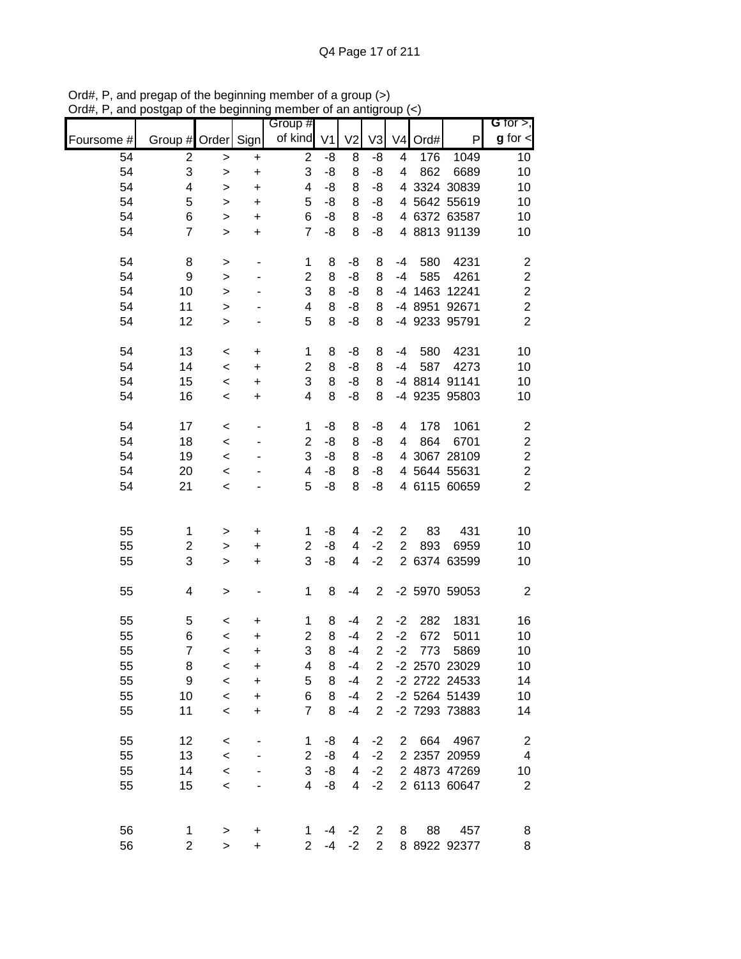| ,,,,,,,<br>unu |                         |              | uio poginimig            | mombor or an angl<br>Group # |                |                |                |                |         |               | G for $>$ ,             |
|----------------|-------------------------|--------------|--------------------------|------------------------------|----------------|----------------|----------------|----------------|---------|---------------|-------------------------|
| Foursome #     | Group # Order Sign      |              |                          | of kind                      | V <sub>1</sub> | V <sub>2</sub> | V <sub>3</sub> |                | V4 Ord# | $\mathsf{P}$  | $g$ for $\lt$           |
| 54             | $\overline{\mathbf{c}}$ | $\geq$       | $\ddot{}$                | $\overline{c}$               | -8             | 8              | -8             | 4              | 176     | 1049          | 10                      |
| 54             | 3                       | $\geq$       | $\ddot{}$                | 3                            | -8             | 8              | -8             | 4              | 862     | 6689          | 10                      |
| 54             | 4                       | $\,$         | $\ddot{}$                | 4                            | -8             | 8              | -8             |                |         | 4 3324 30839  | 10                      |
| 54             | 5                       | $\geq$       | $\ddot{}$                | 5                            | -8             | 8              | -8             |                |         | 4 5642 55619  | 10                      |
| 54             | 6                       | $\geq$       | $\ddot{}$                | 6                            | -8             | 8              | -8             |                |         | 4 6372 63587  | 10                      |
| 54             | $\overline{7}$          | $\geq$       | $\ddot{}$                | $\overline{7}$               | -8             | 8              | -8             |                |         | 4 8813 91139  | 10                      |
|                |                         |              |                          |                              |                |                |                |                |         |               |                         |
| 54             | 8                       | $\geq$       | $\overline{\phantom{a}}$ | 1                            | 8              | -8             | 8              | $-4$           | 580     | 4231          | $\boldsymbol{2}$        |
| 54             | 9                       | $\geq$       | ٠                        | $\overline{c}$               | 8              | -8             | 8              | $-4$           | 585     | 4261          | $\overline{\mathbf{c}}$ |
| 54             | 10                      | $\geq$       |                          | 3                            | 8              | -8             | 8              |                |         | -4 1463 12241 | $\overline{c}$          |
| 54             | 11                      | $\mathbf{L}$ |                          | 4                            | 8              | -8             | 8              |                |         | -4 8951 92671 | $\overline{c}$          |
| 54             | 12                      | $\mathbf{L}$ |                          | 5                            | 8              | -8             | 8              |                |         | -4 9233 95791 | $\overline{2}$          |
| 54             | 13                      | $\,<$        | $\ddot{}$                | $\mathbf{1}$                 | 8              | -8             | 8              | $-4$           | 580     | 4231          | 10                      |
| 54             | 14                      | $\,<$        | $\ddot{}$                | $\overline{\mathbf{c}}$      | 8              | -8             | 8              | -4             | 587     | 4273          | 10                      |
| 54             | 15                      | $\prec$      | $\ddot{}$                | 3                            | 8              | -8             | 8              |                |         | -4 8814 91141 | 10                      |
| 54             | 16                      | $\,<$        | $\ddot{}$                | $\overline{\mathbf{4}}$      | 8              | -8             | 8              |                |         | -4 9235 95803 | 10                      |
| 54             | 17                      | $\,<$        | $\overline{\phantom{a}}$ | $\mathbf 1$                  | -8             | 8              | -8             | 4              | 178     | 1061          | $\overline{\mathbf{c}}$ |
| 54             | 18                      |              |                          | 2                            | -8             | 8              | -8             | 4              | 864     | 6701          | $\boldsymbol{2}$        |
|                | 19                      | $\,<\,$      |                          | 3                            |                |                |                |                |         |               |                         |
| 54             |                         | $\,<$        |                          |                              | -8             | 8              | -8             |                |         | 4 3067 28109  | $\overline{c}$          |
| 54             | 20                      | $\,<$        |                          | 4                            | -8             | 8              | -8             |                |         | 4 5644 55631  | $\overline{\mathbf{c}}$ |
| 54             | 21                      | $\,<$        |                          | 5                            | -8             | 8              | -8             |                |         | 4 6115 60659  | $\overline{c}$          |
|                |                         |              |                          |                              |                |                |                |                |         |               |                         |
| 55             | 1                       | $\geq$       | $\ddot{}$                | 1                            | -8             | 4              | $-2$           | $\overline{c}$ | 83      | 431           | 10                      |
| 55             | 2                       | $\geq$       | $\ddot{}$                | $\overline{2}$               | -8             | 4              | $-2$           | $\overline{2}$ | 893     | 6959          | 10                      |
| 55             | 3                       | $\mathbf{L}$ | $\ddot{}$                | 3                            | -8             | 4              | $-2$           |                |         | 2 6374 63599  | 10                      |
| 55             | 4                       | $\geq$       |                          | $\mathbf 1$                  | 8              | $-4$           | $\overline{2}$ |                |         | -2 5970 59053 | $\boldsymbol{2}$        |
| 55             | 5                       | $\,<$        | $\ddot{}$                | 1                            | 8              | -4             | $\overline{c}$ | $-2$           | 282     | 1831          | 16                      |
| 55             | 6                       | $\,<$        | $\ddot{}$                | $\overline{2}$               | $\,8\,$        | $-4$           | $\overline{2}$ | $-2$           | 672     | 5011          | 10                      |
| 55             | $\overline{7}$          | $\prec$      | $\mathbf +$              | 3                            | 8              | $-4$           | $\overline{a}$ | $-2$           | 773     | 5869          | 10                      |
| 55             | 8                       | $\,<$        | +                        | 4                            | 8              | $-4$           | 2              |                |         | -2 2570 23029 | 10                      |
| 55             | 9                       | $\,<$        | +                        | 5                            | 8              | $-4$           | $\overline{c}$ |                |         | -2 2722 24533 | 14                      |
| 55             | 10                      | $\,<$        | +                        | 6                            | 8              | $-4$           | $\overline{2}$ |                |         | -2 5264 51439 | 10                      |
| 55             | 11                      | $\,<$        | $\ddot{}$                | $\overline{7}$               | 8              | $-4$           | $\overline{2}$ |                |         | -2 7293 73883 | 14                      |
|                |                         |              |                          |                              |                |                |                |                |         |               |                         |
| 55             | 12                      | $\,<$        |                          | 1                            | -8             | 4              | $-2$           | $\mathbf{2}$   | 664     | 4967          | $\overline{c}$          |
| 55             | 13                      | $\,<$        |                          | $\overline{2}$               | -8             | 4              | $-2$           |                |         | 2 2357 20959  | $\overline{\mathbf{4}}$ |
| 55             | 14                      | $\,<$        |                          | 3                            | -8             | 4              | $-2$           |                |         | 2 4873 47269  | 10                      |
| 55             | 15                      | $\,<$        |                          | 4                            | -8             | 4              | $-2$           |                |         | 2 6113 60647  | $\sqrt{2}$              |
|                |                         |              |                          |                              |                |                |                |                |         |               |                         |
| 56             | 1                       | $\, > \,$    | +                        | 1                            | -4             | $-2$           | 2              | 8              | 88      | 457           | 8                       |
| 56             | $\overline{\mathbf{c}}$ | $\geq$       | $\ddot{}$                | $\overline{2}$               | $-4$           | $-2$           | $\overline{2}$ |                |         | 8 8922 92377  | 8                       |

Ord#, P, and pregap of the beginning member of a group (>) Ord#, P, and postgap of the beginning member of an antigroup (<)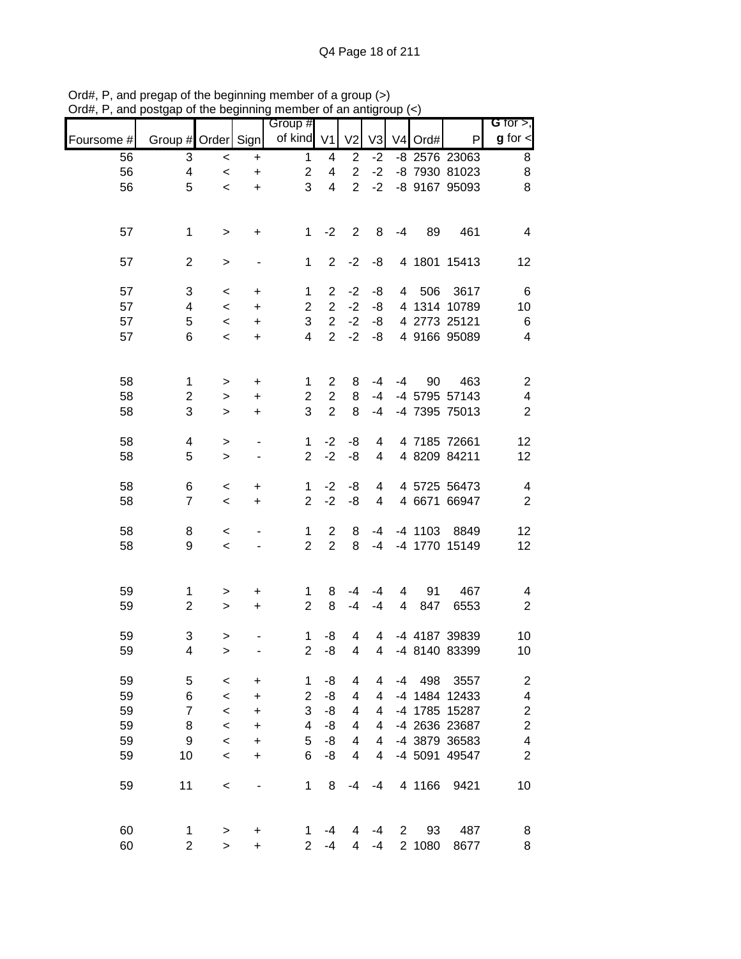|            | porgap or mo pogmumig        |              |                              | $\frac{1}{2}$<br>Group # |                                    |                  |                |                |                     |                                | G for $>$ ,                                        |
|------------|------------------------------|--------------|------------------------------|--------------------------|------------------------------------|------------------|----------------|----------------|---------------------|--------------------------------|----------------------------------------------------|
| Foursome # | Group # Order Sign           |              |                              | of kind V1               |                                    | V <sub>2</sub>   | V <sub>3</sub> |                | V <sub>4</sub> Ord# | $\mathsf{P}$                   | $g$ for $\leq$                                     |
| 56         | 3                            | $\prec$      | $\ddot{}$                    | $\mathbf{1}$             | 4                                  | $\boldsymbol{2}$ | $-2$           |                |                     | -8 2576 23063                  | 8                                                  |
| 56         | 4                            | $\prec$      | $\ddot{}$                    | $\overline{c}$           | $\overline{\mathbf{4}}$            | $\overline{2}$   | $-2$           |                |                     | -8 7930 81023                  | 8                                                  |
| 56         | 5                            | $\,<$        | $\ddot{}$                    | 3                        | $\overline{4}$                     | $\overline{2}$   | $-2$           |                |                     | -8 9167 95093                  | 8                                                  |
|            |                              |              |                              |                          |                                    |                  |                |                |                     |                                |                                                    |
| 57         | $\mathbf 1$                  | $\,>$        | $\ddot{}$                    | $\mathbf{1}$             | $-2$                               | $\overline{2}$   | 8              | -4             | 89                  | 461                            | $\overline{\mathbf{4}}$                            |
| 57         | $\overline{c}$               | $\,$         |                              | $\mathbf 1$              | $\overline{2}$                     | $-2$             | -8             |                |                     | 4 1801 15413                   | 12                                                 |
| 57         | 3                            | $\,<$        | $\ddot{}$                    | $\mathbf{1}$             | $\overline{2}$                     | $-2$             | -8             |                | 4 506               | 3617                           | 6                                                  |
| 57         | 4                            | $\prec$      | $\color{red}{+}$             | $\overline{2}$           | $\overline{2}$                     | $-2$             | -8             |                |                     | 4 1314 10789                   | 10                                                 |
| 57         | 5                            | $\,<\,$      | $\ddot{}$                    | 3                        | $\overline{2}$                     | $-2$             | -8             |                |                     | 4 2773 25121                   | 6                                                  |
| 57         | 6                            | $\prec$      | $\ddot{}$                    | $\overline{4}$           | $\overline{2}$                     | $-2$             | -8             |                |                     | 4 9166 95089                   | $\overline{\mathbf{4}}$                            |
| 58         |                              |              |                              |                          | $\overline{2}$                     |                  | $-4$           | -4             |                     |                                |                                                    |
| 58         | $\mathbf{1}$                 | $\,$         | +                            | $\mathbf{1}$             |                                    | 8<br>8           | $-4$           |                | 90                  | 463                            | $\overline{\mathbf{c}}$<br>$\overline{\mathbf{4}}$ |
|            | $\overline{\mathbf{c}}$<br>3 | $\,$         | +                            | $\overline{c}$<br>3      | $\boldsymbol{2}$<br>$\overline{2}$ | 8                | $-4$           |                |                     | -4 5795 57143<br>-4 7395 75013 |                                                    |
| 58         |                              | $\mathbf{L}$ | $\ddot{}$                    |                          |                                    |                  |                |                |                     |                                | $\boldsymbol{2}$                                   |
| 58         | 4                            | $\,$         | $\qquad \qquad \blacksquare$ | $\mathbf 1$              | $-2$                               | -8               | 4              |                |                     | 4 7185 72661                   | 12                                                 |
| 58         | 5                            | $\mathbf{L}$ |                              | $\overline{2}$           | $-2$                               | -8               | $\overline{4}$ |                |                     | 4 8209 84211                   | 12                                                 |
| 58         | 6                            | $\,<$        | $\ddot{}$                    | $\mathbf{1}$             | $-2$                               | -8               | $\overline{4}$ |                |                     | 4 5725 56473                   | $\overline{\mathcal{A}}$                           |
| 58         | $\overline{7}$               | $\prec$      | $\ddot{}$                    | $\overline{2}$           | $-2$                               | -8               | $\overline{4}$ |                |                     | 4 6671 66947                   | $\sqrt{2}$                                         |
|            |                              |              |                              |                          |                                    |                  |                |                |                     |                                |                                                    |
| 58         | 8                            | $\,<\,$      |                              | $\mathbf{1}$             | $\overline{2}$                     | 8                | $-4$           |                | -4 1103             | 8849                           | 12                                                 |
| 58         | 9                            | $\prec$      |                              | $\overline{2}$           | $\overline{2}$                     | 8                | $-4$           |                |                     | -4 1770 15149                  | 12                                                 |
|            |                              |              |                              |                          |                                    |                  |                |                |                     |                                |                                                    |
| 59         | $\mathbf{1}$                 | $\,$         | +                            | 1                        | 8                                  | $-4$             | $-4$           | 4              | 91                  | 467                            | 4                                                  |
| 59         | $\overline{2}$               | $\,>$        | $\ddot{}$                    | $\overline{2}$           | 8                                  | $-4$             | $-4$           | $\overline{4}$ | 847                 | 6553                           | $\mathbf{2}$                                       |
|            |                              |              |                              |                          |                                    |                  |                |                |                     |                                |                                                    |
| 59         | 3                            | $\,$         |                              | $\mathbf{1}$             | -8                                 | 4                | 4              |                |                     | -4 4187 39839                  | 10                                                 |
| 59         | 4                            | $\,$         |                              | $\overline{a}$           | -8                                 | 4                | 4              |                |                     | -4 8140 83399                  | 10                                                 |
| 59         | 5                            | $\,<$        | +                            | 1                        | -8                                 | 4                | 4              | $-4$           | 498                 | 3557                           | $\overline{\mathbf{c}}$                            |
| 59         | 6                            | $\,<$        | +                            | $\overline{2}$           | -8                                 | 4                | 4              |                |                     | -4 1484 12433                  | 4                                                  |
| 59         | $\overline{7}$               | $\,<\,$      | +                            | 3                        | -8                                 | 4                | 4              |                |                     | -4 1785 15287                  | $\overline{\mathbf{c}}$                            |
| 59         | 8                            | $\,<\,$      | +                            | 4                        | -8                                 | 4                | 4              |                |                     | -4 2636 23687                  | $\overline{\mathbf{c}}$                            |
| 59         | 9                            | $\,<$        | +                            | 5                        | -8                                 | 4                | 4              |                |                     | -4 3879 36583                  | 4                                                  |
| 59         |                              |              |                              | 6                        | -8                                 | 4                | 4              |                |                     | -4 5091 49547                  | $\overline{c}$                                     |
|            | 10                           | $\,<$        | +                            |                          |                                    |                  |                |                |                     |                                |                                                    |
| 59         | 11                           | $\,<$        |                              | $\mathbf{1}$             | 8                                  | $-4$             | -4             |                | 4 1166              | 9421                           | 10                                                 |
| 60         | $\mathbf 1$                  | >            | +                            | 1                        | $-4$                               | 4                | -4             | $\overline{2}$ | 93                  | 487                            | 8                                                  |
| 60         | $\mathbf 2$                  | $\geq$       | $\ddot{}$                    | $\overline{2}$           | $-4$                               | 4                | $-4$           |                | 2 1080              | 8677                           | 8                                                  |
|            |                              |              |                              |                          |                                    |                  |                |                |                     |                                |                                                    |

Ord#, P, and pregap of the beginning member of a group (>) Ord#, P, and postgap of the beginning member of an antigroup (<)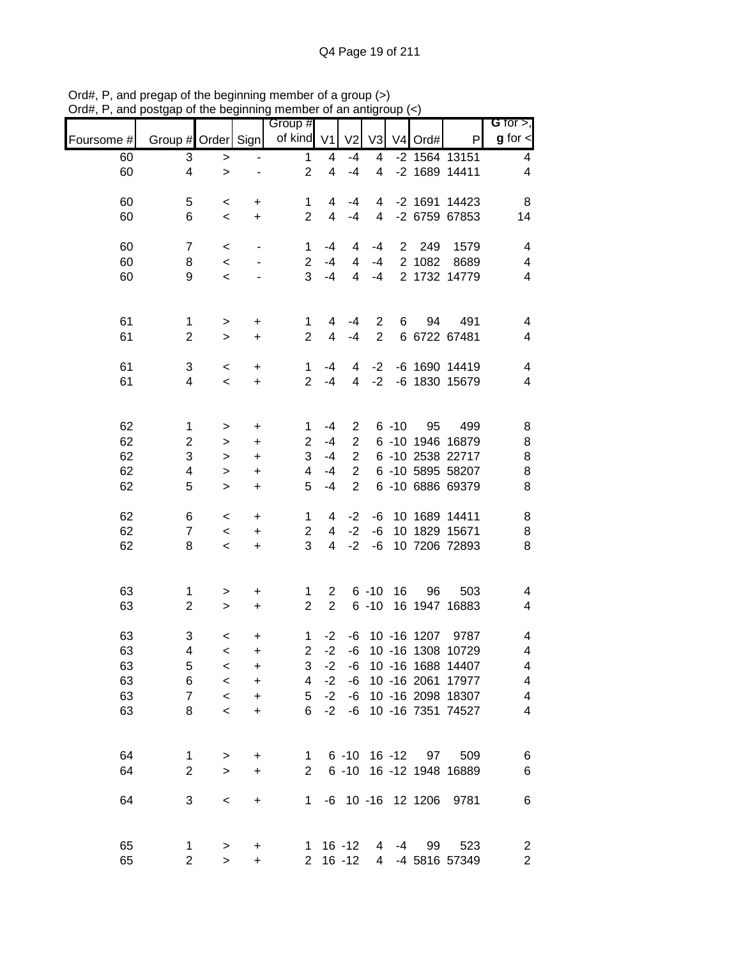|            |                         | .            |                                  | $\cdots$<br>Group # |                         | <b>이 urruin</b> |                |          |                   |                         | G for $>$ ,              |
|------------|-------------------------|--------------|----------------------------------|---------------------|-------------------------|-----------------|----------------|----------|-------------------|-------------------------|--------------------------|
| Foursome # | Group # Order Sign      |              |                                  | of kind V1          |                         | V <sub>2</sub>  | V <sub>3</sub> |          | V4 Ord#           | P                       | $g$ for $\leq$           |
| 60         | 3                       | $\,$         |                                  | $\mathbf{1}$        | 4                       | $-4$            | 4              |          |                   | -2 1564 13151           | $\overline{4}$           |
| 60         | 4                       | $\geq$       | -                                | $\overline{2}$      | $\overline{\mathbf{4}}$ | $-4$            | $\overline{4}$ |          |                   | -2 1689 14411           | $\overline{4}$           |
| 60         | 5                       | $\,<$        | $\ddot{}$                        | 1                   | 4                       | $-4$            | 4              |          |                   | -2 1691 14423           | 8                        |
| 60         | 6                       | $\,<$        | $\ddot{}$                        | $\overline{2}$      | $\overline{4}$          | $-4$            | $\overline{4}$ |          |                   | -2 6759 67853           | 14                       |
| 60         | $\overline{7}$          | $\,<$        | $\blacksquare$                   | 1                   | -4                      | 4               | -4             |          | 2 249             | 1579                    | $\overline{4}$           |
| 60         | 8                       | $\,<$        | $\overline{\phantom{a}}$         | $\overline{2}$      | $-4$                    | 4               | $-4$           |          | 2 1082            | 8689                    | $\overline{\mathcal{A}}$ |
| 60         | 9                       | $\,<$        |                                  | 3                   | $-4$                    | $\overline{4}$  | $-4$           |          |                   | 2 1732 14779            | $\overline{\mathcal{A}}$ |
| 61         | $\mathbf{1}$            | $\,$         | $\begin{array}{c} + \end{array}$ | $\mathbf 1$         | 4                       | $-4$            | $\overline{2}$ | 6        | 94                | 491                     | $\overline{\mathcal{A}}$ |
| 61         | $\overline{c}$          | $\geq$       | $\ddot{}$                        | $\overline{2}$      | $\overline{4}$          | $-4$            | $\overline{2}$ |          |                   | 6 6722 67481            | $\overline{\mathcal{A}}$ |
| 61         | 3                       | $\,<$        | $\begin{array}{c} + \end{array}$ | $\mathbf 1$         | -4                      | 4               | $-2$           |          |                   | -6 1690 14419           | $\overline{\mathbf{4}}$  |
| 61         | 4                       | $\,<$        | $\ddot{}$                        | $\overline{2}$      | $-4$                    | $\overline{4}$  | $-2$           |          |                   | -6 1830 15679           | $\overline{4}$           |
| 62         | $\mathbf{1}$            | $\,$         | +                                | $\mathbf{1}$        | $-4$                    | $\overline{2}$  |                | $6 - 10$ | 95                | 499                     | 8                        |
| 62         | $\overline{\mathbf{c}}$ | $\,$         | +                                | $\overline{2}$      | $-4$                    | $\overline{2}$  |                |          |                   | 6 -10 1946 16879        | 8                        |
| 62         | 3                       | $\,$         | +                                | 3                   | $-4$                    | $\overline{c}$  |                |          |                   | 6 -10 2538 22717        | $\bf 8$                  |
| 62         | 4                       | $\geq$       | +                                | 4                   | $-4$                    | $\overline{2}$  |                |          |                   | 6 -10 5895 58207        | 8                        |
| 62         | 5                       | $\geq$       | $\ddot{}$                        | 5                   | $-4$                    | $\overline{2}$  |                |          |                   | 6 -10 6886 69379        | $\, 8$                   |
| 62         | 6                       | $\,<$        | $\ddot{}$                        | 1                   | 4                       | $-2$            | -6             |          |                   | 10 1689 14411           | 8                        |
| 62         | $\overline{7}$          | $\,<$        | $\ddot{}$                        | $\overline{2}$      | 4                       | $-2$            | -6             |          |                   | 10 1829 15671           | 8                        |
| 62         | 8                       | $\,<$        | $+$                              | 3                   | $\overline{4}$          | $-2$            | -6             |          |                   | 10 7206 72893           | 8                        |
| 63         | $\mathbf{1}$            | $\,>$        | +                                | $\mathbf{1}$        | $2^{\circ}$             |                 | $6 - 10$       | 16       | 96                | 503                     | 4                        |
| 63         | $\overline{c}$          | $\,$         | $\ddot{}$                        | $\overline{2}$      | $\overline{2}$          |                 |                |          |                   | 6 -10 16 1947 16883     | 4                        |
| 63         | 3                       | $\,<$        | $\ddot{}$                        | $\mathbf{1}$        | $-2$                    |                 |                |          |                   | -6 10 -16 1207 9787     | 4                        |
| 63         | 4                       | $\prec$      | +                                | $\overline{c}$      | $-2$                    | -6              |                |          |                   | 10 -16 1308 10729       | 4                        |
| 63         | 5                       | $\,<\,$      | +                                | 3                   | $-2$                    | -6              |                |          |                   | 10 -16 1688 14407       | 4                        |
| 63         | 6                       | $\,<$        | +                                | 4                   | $-2$                    | -6              |                |          |                   | 10 -16 2061 17977       | 4                        |
| 63         | $\overline{7}$          | $\,<\,$      | +                                | 5                   | $-2$                    | -6              |                |          |                   | 10 -16 2098 18307       | 4                        |
| 63         | 8                       | $\,<$        | +                                | 6                   | $-2$                    | -6              |                |          |                   | 10 -16 7351 74527       | 4                        |
| 64         | 1                       | $\,>$        | $\ddot{}$                        | $\mathbf{1}$        |                         |                 |                |          | 6 -10 16 -12 97   | 509                     | 6                        |
| 64         | $\overline{2}$          | $\mathbf{L}$ | $\ddot{}$                        | $\overline{2}$      |                         |                 |                |          |                   | 6 -10 16 -12 1948 16889 | $\,6$                    |
| 64         | 3                       | $\,<$        | $\ddot{}$                        | 1                   |                         |                 |                |          | -6 10 -16 12 1206 | 9781                    | 6                        |
| 65         | 1                       | $\, > \,$    | +                                |                     |                         | $1 \t16 - 12$   | 4              | $-4$     | 99                | 523                     | $\overline{c}$           |
| 65         | $\overline{c}$          | $\geq$       | $\ddot{}$                        | $\overline{2}$      |                         | $16 - 12$       | $\overline{4}$ |          |                   | -4 5816 57349           | $\overline{\mathbf{c}}$  |

Ord#, P, and pregap of the beginning member of a group (>) Ord#, P, and postgap of the beginning member of an antigroup (<)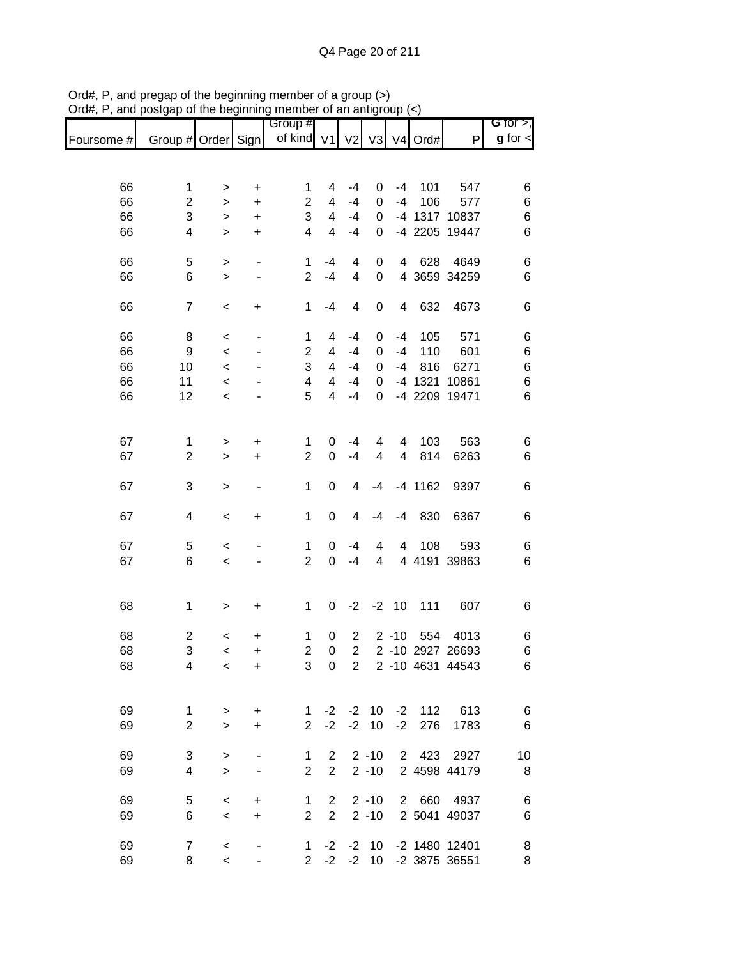|            |                                |             |           | Group #             |                          |                         |                    |              |                     |                     | G for $>$ ,      |
|------------|--------------------------------|-------------|-----------|---------------------|--------------------------|-------------------------|--------------------|--------------|---------------------|---------------------|------------------|
| Foursome # | Group # Order Sign             |             |           | of kind V1          |                          | V <sub>2</sub>          | V <sub>3</sub>     |              | V <sub>4</sub> Ord# | P                   | $g$ for $\lt$    |
|            |                                |             |           |                     |                          |                         |                    |              |                     |                     |                  |
| 66         | 1                              |             | $\ddot{}$ | 1                   | 4                        | $-4$                    | 0                  | $-4$         | 101                 | 547                 | 6                |
| 66         | $\mathbf 2$                    | ><br>$\geq$ | $\ddot{}$ | $\overline{c}$      | 4                        | $-4$                    | 0                  | $-4$         | 106                 | 577                 | 6                |
| 66         | 3                              | >           | $\ddot{}$ | 3                   | 4                        | $-4$                    | 0                  |              |                     | -4 1317 10837       | 6                |
| 66         | 4                              | $\geq$      | $\ddot{}$ | $\overline{4}$      | 4                        | $-4$                    | 0                  |              |                     | -4 2205 19447       | 6                |
|            |                                |             |           |                     |                          |                         |                    |              |                     |                     |                  |
| 66         | 5                              | $\, > \,$   |           | 1                   | -4                       | 4                       | 0                  | 4            | 628                 | 4649                | 6                |
| 66         | 6                              | $\geq$      | ۰         | $\overline{2}$      | $-4$                     | 4                       | 0                  |              |                     | 4 3659 34259        | 6                |
| 66         | $\overline{7}$                 | $\,<$       | $\ddot{}$ | $\mathbf 1$         | $-4$                     | $\overline{\mathbf{4}}$ | 0                  | 4            | 632                 | 4673                | 6                |
|            |                                |             |           |                     |                          |                         |                    |              |                     |                     |                  |
| 66         | 8                              | $\,<$       |           | 1                   | 4                        | $-4$                    | 0                  | $-4$         | 105                 | 571                 | 6                |
| 66         | 9                              | $\prec$     |           | $\overline{2}$      | 4                        | $-4$                    | 0                  | $-4$         | 110                 | 601                 | 6                |
| 66         | 10                             | $\prec$     |           | 3                   | $\overline{\mathcal{A}}$ | $-4$                    | 0                  | $-4$         | 816                 | 6271                | 6                |
| 66         | 11                             | $\prec$     |           | 4                   | $\overline{\mathcal{A}}$ | $-4$                    | 0                  |              | $-4$ 1321           | 10861               | 6                |
| 66         | 12                             | $\,<\,$     |           | 5                   | 4                        | $-4$                    | 0                  |              |                     | -4 2209 19471       | 6                |
|            |                                |             |           |                     |                          |                         |                    |              |                     |                     |                  |
| 67         | $\mathbf 1$                    | >           | $\ddot{}$ | 1                   | 0                        | -4                      | 4                  | 4            | 103                 | 563                 | 6                |
| 67         | $\overline{2}$                 | $\geq$      | $\ddot{}$ | $\overline{2}$      | 0                        | $-4$                    | 4                  | 4            | 814                 | 6263                | 6                |
|            |                                |             |           |                     |                          |                         |                    |              |                     |                     |                  |
| 67         | 3                              | $\,>$       |           | 1                   | 0                        | 4                       | -4                 |              | $-4$ 1162           | 9397                | 6                |
| 67         | 4                              | $\,<$       | $\ddot{}$ | 1                   | 0                        | 4                       | $-4$               | $-4$         | 830                 | 6367                | 6                |
|            |                                |             |           |                     |                          |                         |                    |              |                     |                     |                  |
| 67<br>67   | 5<br>6                         | $\,<$       |           | 1<br>$\overline{c}$ | 0<br>0                   | $-4$<br>$-4$            | 4                  | 4            | 108                 | 593<br>4 4191 39863 | 6                |
|            |                                | $\prec$     |           |                     |                          |                         | 4                  |              |                     |                     | 6                |
|            |                                |             |           |                     |                          |                         |                    |              |                     |                     |                  |
| 68         | 1                              | $\,$        | $\ddot{}$ | $\mathbf{1}$        | 0                        | $-2$                    | $-2$               | 10           | 111                 | 607                 | 6                |
| 68         | 2                              | $\,<\,$     | $\ddot{}$ | 1                   | 0                        | $\overline{2}$          |                    | $2 - 10$     | 554                 | 4013                | 6                |
| 68         | 3                              | $\,<$       | $\ddot{}$ | $\overline{2}$      | 0                        | $\overline{2}$          |                    |              |                     | 2 -10 2927 26693    | 6                |
| 68         | 4                              | $\,<$       | $\ddot{}$ | 3                   | 0                        |                         |                    |              |                     | 2 2 -10 4631 44543  | 6                |
|            |                                |             |           |                     |                          |                         |                    |              |                     |                     |                  |
|            |                                |             |           |                     |                          |                         |                    |              |                     | 112 613             |                  |
| 69<br>69   | $\mathbf{1}$<br>$\overline{2}$ | ><br>$\geq$ | +         | 1<br>$\overline{2}$ | $-2$<br>$-2$             |                         | $-2$ 10<br>$-2$ 10 | $-2$<br>$-2$ | 276                 |                     | $6\phantom{.0}6$ |
|            |                                |             | $\ddot{}$ |                     |                          |                         |                    |              |                     | 1783                | 6                |
| 69         | 3                              | $\, > \,$   |           | 1                   | $\overline{2}$           |                         |                    | $2 - 10$ 2   |                     | 423 2927            | 10               |
| 69         | 4                              | $\geq$      | -         | $\overline{2}$      | $2^{\circ}$              |                         |                    |              |                     | 2 -10 2 4598 44179  | 8                |
|            |                                |             |           |                     |                          |                         |                    |              |                     |                     |                  |
| 69         | 5                              | $\,<$       | $\ddot{}$ | $\mathbf 1$         | $\overline{2}$           |                         | $2 - 10$           |              |                     | 2 660 4937          | 6                |
| 69         | 6                              | $\,<$       | $\ddot{}$ | $\overline{2}$      | $\overline{2}$           |                         | $2 - 10$           |              |                     | 2 5041 49037        | 6                |
| 69         | $\overline{7}$                 | $\,<$       |           |                     | $1 -2$                   |                         | $-2$ 10            |              |                     | -2 1480 12401       | 8                |
| 69         | 8                              | $\,<$       |           |                     | $2 -2$                   |                         |                    |              |                     | -2 10 -2 3875 36551 | 8                |

Ord#, P, and pregap of the beginning member of a group (>) Ord#, P, and postgap of the beginning member of an antigroup (<)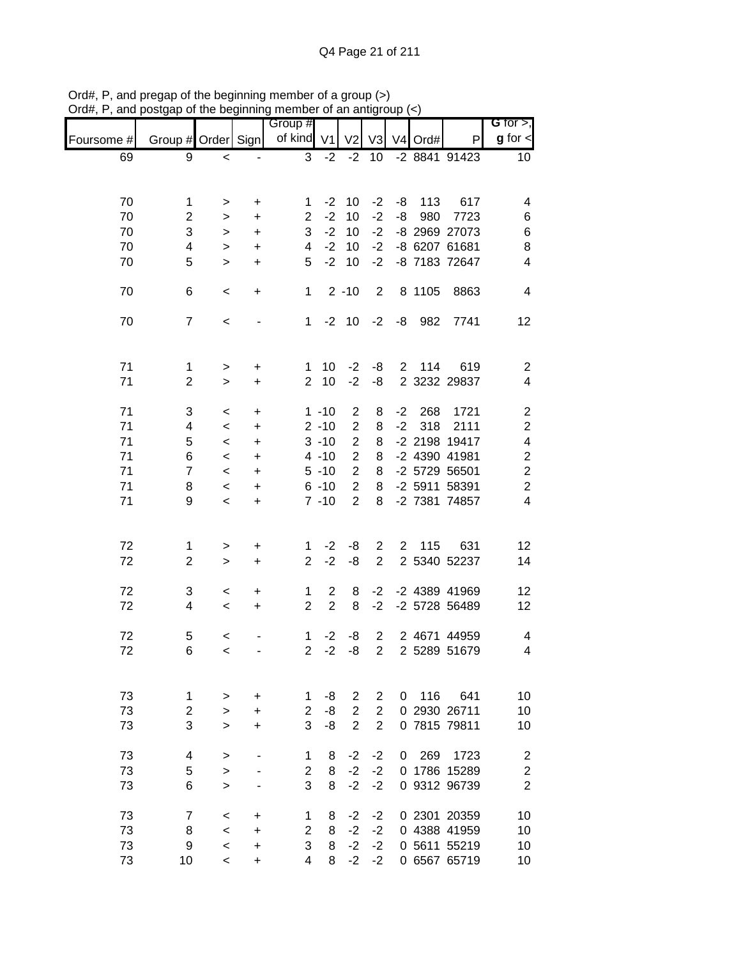|            |                     |                          |                        | Group #                        |                |                |                                  |             |         |                              | G for $>$ ,             |
|------------|---------------------|--------------------------|------------------------|--------------------------------|----------------|----------------|----------------------------------|-------------|---------|------------------------------|-------------------------|
| Foursome # | Group # Order Sign  |                          |                        | of kind V1                     |                | V <sub>2</sub> | V <sub>3</sub>                   |             | V4 Ord# | P                            | $g$ for $\lt$           |
| 69         | 9                   | $\,<$                    |                        | 3                              | $-2$           | $-2$           | 10                               |             |         | $-2884191423$                | 10                      |
|            |                     |                          |                        |                                |                |                |                                  |             |         |                              |                         |
| 70         | $\mathbf 1$         |                          |                        | 1                              | $-2$           | 10             | $-2$                             | -8          | 113     | 617                          | 4                       |
| 70         | $\overline{c}$      | $\, > \,$<br>>           | $\ddot{}$<br>$\ddot{}$ | $\overline{2}$                 | $-2$           | 10             | $-2$                             | -8          | 980     | 7723                         | 6                       |
| 70         | 3                   | $\, > \,$                | $\ddot{}$              | 3                              | $-2$           | 10             | $-2$                             |             |         | -8 2969 27073                | 6                       |
| 70         | 4                   | $\,>$                    | $\ddot{}$              | 4                              | $-2$           | 10             | $-2$                             |             |         | -8 6207 61681                | 8                       |
| 70         | 5                   | $\geq$                   | $\ddot{}$              | 5                              | $-2$           | 10             | $-2$                             |             |         | -8 7183 72647                | 4                       |
|            |                     |                          |                        |                                |                |                |                                  |             |         |                              |                         |
| 70         | 6                   | $\,<\,$                  | $\ddot{}$              | $\mathbf 1$                    |                | $2 - 10$       | 2                                |             | 8 1105  | 8863                         | 4                       |
| 70         | $\overline{7}$      | $\,<\,$                  |                        | $\mathbf{1}$                   | $-2$           | 10             | $-2$                             | -8          | 982     | 7741                         | 12                      |
|            |                     |                          |                        |                                |                |                |                                  |             |         |                              |                         |
|            |                     |                          |                        |                                |                |                |                                  |             |         |                              |                         |
| 71         | $\mathbf 1$         | $\,$                     | $\ddot{}$              | 1                              | 10             | $-2$           | -8                               |             | 2 114   | 619                          | $\overline{2}$          |
| 71         | $\overline{2}$      | $\geq$                   | $\ddot{}$              | $\overline{2}$                 | 10             | $-2$           | -8                               |             |         | 2 3232 29837                 | $\overline{\mathbf{4}}$ |
| 71         | 3                   | $\,<\,$                  | $\ddot{}$              |                                | $1 - 10$       | $\overline{c}$ | 8                                | $-2$        | 268     | 1721                         | $\overline{\mathbf{c}}$ |
| 71         | 4                   | $\,<\,$                  | +                      |                                | $2 - 10$       | $\overline{c}$ | 8                                | $-2$        | 318     | 2111                         | $\boldsymbol{2}$        |
| 71         | 5                   | $\,<\,$                  | +                      |                                | $3 - 10$       | $\overline{2}$ | 8                                |             |         | -2 2198 19417                | $\overline{\mathbf{4}}$ |
| 71         | 6                   | $\,<\,$                  | $\ddot{}$              |                                | $4 - 10$       | $\overline{2}$ | 8                                |             |         | -2 4390 41981                | $\boldsymbol{2}$        |
| 71         | $\overline{7}$      | $\,<\,$                  | +                      |                                | $5 - 10$       | $\overline{2}$ | 8                                |             |         | -2 5729 56501                | $\overline{c}$          |
| 71         | 8                   | $\,<\,$                  | $\ddot{}$              |                                | $6 - 10$       | $\overline{2}$ | 8                                |             |         | -2 5911 58391                | $\overline{c}$          |
| 71         | 9                   | $\,<\,$                  | $\ddot{}$              |                                | $7 - 10$       | $\overline{2}$ | 8                                |             |         | -2 7381 74857                | $\overline{\mathbf{4}}$ |
|            |                     |                          |                        |                                |                |                |                                  |             |         |                              |                         |
|            |                     |                          |                        |                                |                |                |                                  |             |         |                              |                         |
| 72<br>72   | 1<br>$\overline{2}$ | $\, >$<br>$\geq$         | +<br>$\ddot{}$         | 1<br>$\overline{2}$            | $-2$<br>$-2$   | -8<br>-8       | $\overline{2}$<br>$\overline{2}$ | $2^{\circ}$ | 115     | 631<br>2 5340 52237          | 12<br>14                |
|            |                     |                          |                        |                                |                |                |                                  |             |         |                              |                         |
| 72         | 3                   | $\,<$                    | +                      | $\mathbf{1}$                   | $\overline{2}$ | 8              | $-2$                             |             |         | -2 4389 41969                | 12                      |
| 72         | 4                   | $\,<\,$                  | $\ddot{}$              | $\overline{2}$                 | $\overline{2}$ | 8              | $-2$                             |             |         | -2 5728 56489                | 12                      |
|            |                     |                          |                        |                                |                |                |                                  |             |         |                              |                         |
| 72<br>72   | 5<br>6              | $\,<$                    |                        | $\mathbf{1}$<br>$\overline{c}$ | $-2$<br>$-2$   | -8<br>-8       | $\overline{2}$<br>$\overline{2}$ |             |         | 2 4671 44959<br>2 5289 51679 | 4<br>$\overline{4}$     |
|            |                     | $\,<$                    |                        |                                |                |                |                                  |             |         |                              |                         |
|            |                     |                          |                        |                                |                |                |                                  |             |         |                              |                         |
| 73         | 1                   | >                        | $\ddot{}$              | 1                              | -8             | $\overline{2}$ | $\overline{2}$                   | 0           | 116     | 641                          | 10                      |
| 73         | $\overline{2}$      | >                        | +                      | $\overline{2}$                 | -8             | $\overline{2}$ | $\overline{2}$                   |             |         | 0 2930 26711                 | 10                      |
| 73         | 3                   | $\geq$                   | +                      | 3                              | -8             | $\overline{2}$ | $\overline{2}$                   |             |         | 0 7815 79811                 | 10                      |
| 73         | 4                   | >                        |                        | 1                              | 8              | $-2$           | $-2$                             | 0           | 269     | 1723                         | $\overline{2}$          |
| 73         | 5                   | $\,>$                    |                        | $\overline{2}$                 | 8              | $-2$           | $-2$                             |             |         | 0 1786 15289                 | $\boldsymbol{2}$        |
| 73         | 6                   | $\geq$                   |                        | 3                              | 8              | $-2$           | $-2$                             |             |         | 0 9312 96739                 | $\overline{2}$          |
| 73         | $\boldsymbol{7}$    |                          |                        |                                |                | $-2$           |                                  |             |         |                              | 10                      |
| 73         | 8                   | $\,<\,$<br>$\,<\,$       | +                      | 1<br>$\overline{2}$            | 8<br>8         | $-2$           | $-2$<br>$-2$                     |             |         | 0 2301 20359<br>0 4388 41959 | 10                      |
| 73         | 9                   | $\,<\,$                  | $\ddot{}$<br>+         | 3                              | 8              | $-2$           | $-2$                             |             |         | 0 5611 55219                 | 10                      |
| 73         | 10                  | $\overline{\phantom{0}}$ | +                      | 4                              | 8              | $-2$           | $-2$                             |             |         | 0 6567 65719                 | 10                      |
|            |                     |                          |                        |                                |                |                |                                  |             |         |                              |                         |

Ord#, P, and pregap of the beginning member of a group (>) Ord#, P, and postgap of the beginning member of an antigroup (<)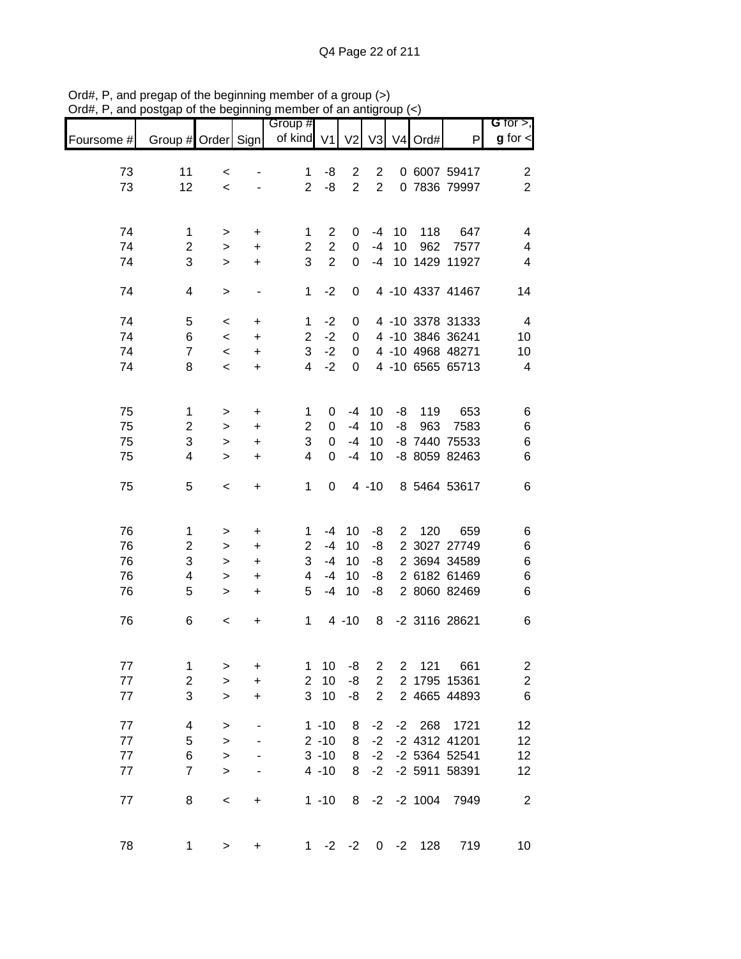|            |                    |           |                              | Group #        |                |                |                |              |                |                  | G for $>$ ,             |
|------------|--------------------|-----------|------------------------------|----------------|----------------|----------------|----------------|--------------|----------------|------------------|-------------------------|
| Foursome # | Group # Order Sign |           |                              | of kind $V1$   |                | V <sub>2</sub> | V <sub>3</sub> |              | V4 Ord#        | P                | $g$ for $\leq$          |
| 73         | 11                 | $\,<\,$   |                              | 1              | -8             | $\overline{2}$ | $\overline{2}$ |              |                | 0 6007 59417     | $\overline{\mathbf{c}}$ |
| 73         | 12                 | $\,<$     |                              | $\overline{2}$ | -8             | $\overline{2}$ | $\overline{2}$ |              |                | 0 7836 79997     | $\overline{2}$          |
|            |                    |           |                              |                |                |                |                |              |                |                  |                         |
| 74         | 1                  | >         | $\ddot{}$                    | 1              | 2              | 0              | $-4$           | 10           | 118            | 647              | 4                       |
| 74         | $\overline{c}$     | $\, > \,$ | $\ddot{}$                    | $\overline{2}$ | $\overline{2}$ | 0              | $-4$           | 10           | 962            | 7577             | 4                       |
| 74         | 3                  | $\geq$    | $\ddot{}$                    | 3              | $\overline{2}$ | 0              | $-4$           |              |                | 10 1429 11927    | 4                       |
| 74         | 4                  | $\geq$    | $\qquad \qquad \blacksquare$ | 1              | $-2$           | 0              |                |              |                | 4 -10 4337 41467 | 14                      |
| 74         | 5                  | $\,<$     | $\ddot{}$                    | 1              | $-2$           | 0              |                |              |                | 4 -10 3378 31333 | 4                       |
| 74         | 6                  | $\,<$     | $\ddot{}$                    | $\overline{2}$ | $-2$           | 0              |                |              |                | 4 -10 3846 36241 | 10                      |
| 74         | $\overline{7}$     | $\,<$     | $\ddot{}$                    | 3              | $-2$           | 0              |                |              |                | 4 -10 4968 48271 | 10                      |
| 74         | 8                  | $\prec$   | +                            | 4              | $-2$           | 0              |                |              |                | 4 -10 6565 65713 | $\overline{\mathbf{4}}$ |
| 75         | $\mathbf 1$        | >         | $\ddot{}$                    | 1              | 0              | -4             | 10             | -8           | 119            | 653              | 6                       |
| 75         | $\overline{c}$     | $\, > \,$ | +                            | 2              | 0              | $-4$           | 10             | -8           | 963            | 7583             | $\,6$                   |
| 75         | 3                  | $\, > \,$ | +                            | 3              | 0              | $-4$           | 10             |              |                | -8 7440 75533    | $\,$ 6 $\,$             |
| 75         | 4                  | $\geq$    | +                            | 4              | $\Omega$       | $-4$           | 10             |              |                | -8 8059 82463    | $\,6$                   |
| 75         | 5                  | $\,<\,$   | $\ddot{}$                    | 1              | 0              |                | $4 - 10$       |              |                | 8 5464 53617     | 6                       |
| 76         | 1                  | >         | +                            | 1              | -4             | 10             | -8             | $\mathbf{2}$ | 120            | 659              | 6                       |
| 76         | $\overline{c}$     | $\, > \,$ | $\ddot{}$                    | $\overline{2}$ | $-4$           | 10             | -8             |              |                | 2 3027 27749     | 6                       |
| 76         | 3                  | $\geq$    | $\ddot{}$                    | 3              | $-4$           | 10             | -8             |              |                | 2 3694 34589     | 6                       |
| 76         | 4                  | $\geq$    | $\ddot{}$                    | 4              | $-4$           | 10             | -8             |              |                | 2 6182 61469     | 6                       |
| 76         | 5                  | $\,>$     | +                            | 5              | $-4$           | 10             | -8             |              |                | 2 8060 82469     | $\,6$                   |
| 76         | 6                  | $\,<$     | +                            | 1              |                | $4 - 10$       | 8              |              |                | -2 3116 28621    | 6                       |
| 77         | 1                  | $\, > \,$ | +                            | 1              | 10             | -8             | $\overline{c}$ |              | 2 121          | 661              | $\overline{\mathbf{c}}$ |
| 77         | $\boldsymbol{2}$   | $\geq$    | +                            | $\overline{2}$ | 10             | -8             | $\overline{2}$ |              |                | 2 1795 15361     | $\overline{\mathbf{c}}$ |
| 77         | 3                  | $\geq$    | +                            | 3              | 10             | -8             | $\overline{2}$ |              |                | 2 4665 44893     | $\,6$                   |
| 77         | 4                  | $\, > \,$ |                              |                | $1 - 10$       | 8              | $-2$           |              | $-2$ 268       | 1721             | 12                      |
| 77         | 5                  | $\,>$     |                              |                | $2 - 10$       | 8              | $-2$           |              |                | -2 4312 41201    | 12                      |
| $77 \,$    | 6                  | $\geq$    |                              |                | $3 - 10$       | 8              | $-2$           |              |                | -2 5364 52541    | 12                      |
| 77         | $\overline{7}$     | $\geq$    | -                            |                | $4 - 10$       | 8              | $-2$           |              |                | -2 5911 58391    | 12                      |
| 77         | 8                  | $\,<$     | $\ddot{}$                    |                | $1 - 10$       | 8              |                |              | $-2$ $-2$ 1004 | 7949             | $\overline{c}$          |
| 78         | $\mathbf 1$        | $\,$      | $\ddot{}$                    | 1              | $-2$           | $-2$           |                | $0 -2$       | 128            | 719              | 10                      |

Ord#, P, and pregap of the beginning member of a group (>) Ord#, P, and postgap of the beginning member of an antigroup (<)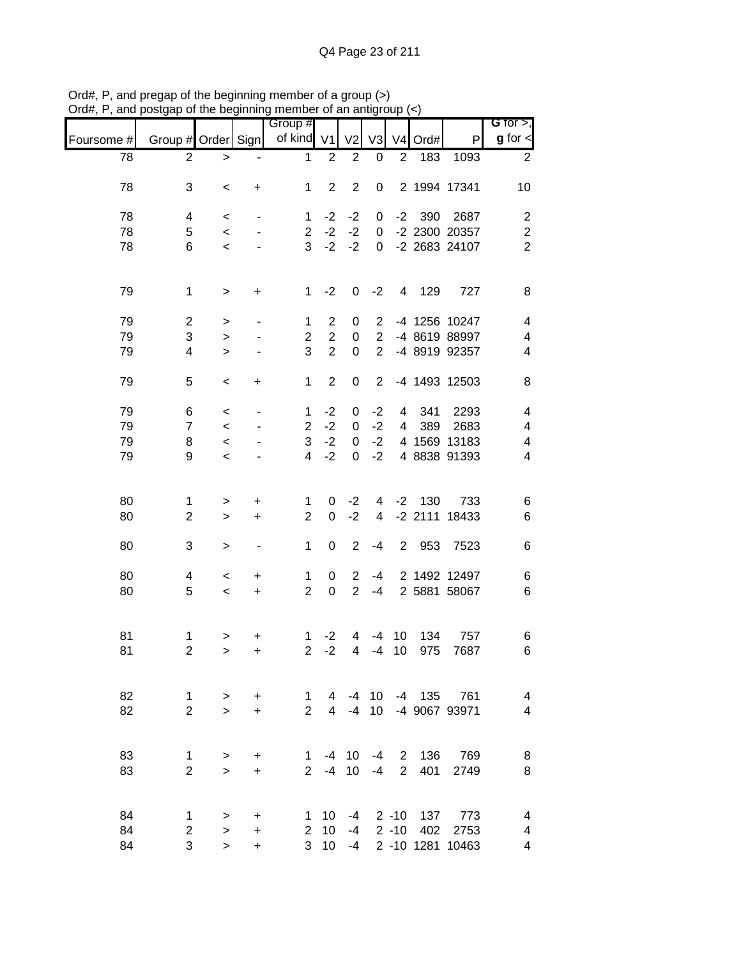|            |                    |           |                          | Group #        |                 |                |                 |                |           |                  | G for $>$ ,              |
|------------|--------------------|-----------|--------------------------|----------------|-----------------|----------------|-----------------|----------------|-----------|------------------|--------------------------|
| Foursome # | Group # Order Sign |           |                          | of kind V1     |                 | V <sub>2</sub> | V3              |                | V4 Ord#   | P                | $g$ for $\lt$            |
| 78         | 2                  | $\,>$     |                          | $\mathbf 1$    | $\overline{2}$  | $\mathbf{2}$   | 0               | $\mathbf{2}$   | 183       | 1093             | $\overline{2}$           |
| 78         | 3                  | $\,<$     | +                        | 1              | $\overline{2}$  | $\overline{2}$ | 0               |                |           | 2 1994 17341     | 10                       |
| 78         | 4                  | $\,<$     |                          | $\mathbf 1$    | $-2$            | $-2$           | 0               | $-2$           | 390       | 2687             | $\overline{c}$           |
| 78         | 5                  | $\,<$     |                          | $\overline{2}$ | $-2$            | $-2$           | $\pmb{0}$       |                |           | -2 2300 20357    | $\sqrt{2}$               |
| 78         | 6                  | $\,<$     |                          | 3              | $-2$            | $-2$           | 0               |                |           | -2 2683 24107    | $\overline{2}$           |
| 79         | $\mathbf 1$        | $\,$      | $\ddot{}$                | $\mathbf 1$    | $-2$            | 0              | $-2$            | $\overline{4}$ | 129       | 727              | 8                        |
| 79         | $\boldsymbol{2}$   | $\,>$     | $\overline{a}$           | 1              | $\overline{2}$  | 0              | $\overline{2}$  |                |           | -4 1256 10247    | $\overline{\mathbf{4}}$  |
| 79         | 3                  | $\geq$    |                          | $\overline{c}$ | $\overline{2}$  | 0              | $\overline{2}$  |                |           | -4 8619 88997    | 4                        |
| 79         | 4                  | $\geq$    |                          | 3              | $\overline{2}$  | $\mathsf 0$    | $\overline{2}$  |                |           | -4 8919 92357    | 4                        |
| 79         | 5                  | $\,<$     | $\ddot{}$                | $\mathbf 1$    | $\overline{2}$  | $\pmb{0}$      | $\overline{2}$  |                |           | -4 1493 12503    | 8                        |
| 79         | 6                  | $\,<$     |                          | 1              | $-2$            | 0              | $-2$            | 4              | 341       | 2293             | 4                        |
| 79         | $\overline{7}$     | $\,<$     |                          | $\overline{2}$ | $-2$            | $\pmb{0}$      | $-2$            | 4              | 389       | 2683             | 4                        |
| 79         | 8                  | $\prec$   |                          | 3              | $-2$            | 0              | $-2$            |                |           | 4 1569 13183     | $\overline{\mathbf{4}}$  |
| 79         | 9                  | $\,<$     |                          | 4              | $-2$            | 0              | $-2$            |                |           | 4 8838 91393     | $\overline{\mathcal{A}}$ |
| 80         | 1                  | $\, > \,$ | $\ddot{}$                | 1              | 0               | $-2$           | 4               | $-2$           | 130       | 733              | 6                        |
| 80         | $\overline{c}$     | $\, >$    | $\ddot{}$                | $\overline{2}$ | 0               | $-2$           | 4               |                | $-2$ 2111 | 18433            | $\,6$                    |
| 80         | 3                  | $\geq$    | $\overline{\phantom{a}}$ | 1              | $\mathbf 0$     | $\sqrt{2}$     | $-4$            | $\overline{2}$ | 953       | 7523             | 6                        |
| 80         | 4                  | $\,<$     | $\ddot{}$                | $\mathbf 1$    | 0               | $\overline{c}$ | $-4$            |                |           | 2 1492 12497     | 6                        |
| 80         | 5                  | $\prec$   | $\ddot{}$                | $\overline{2}$ | $\mathbf 0$     | $\overline{2}$ | $-4$            |                |           | 2 5881 58067     | $\,6$                    |
| 81         | $\mathbf 1$        | >         | $\ddot{}$                | 1              | $-2$            | 4              | $-4$            | 10             | 134       | 757              | 6                        |
| 81         | $\mathbf 2$        | $\geq$    | +                        | $\overline{2}$ | $-2$            | 4              | $-4$            | 10             | 975       | 7687             | 6                        |
| 82         | $\mathbf{1}$       | $\,>$     | +                        | $\mathbf 1$    | 4               | -4             | 10 <sup>1</sup> |                |           | -4 135 761       | $\overline{\mathbf{4}}$  |
| 82         | $\overline{2}$     | $\geq$    | $\ddot{}$                | $\overline{2}$ | $\overline{4}$  | $-4$           | 10 <sup>1</sup> |                |           | -4 9067 93971    | $\overline{4}$           |
| 83         | 1                  | $\,>$     | +                        | $\mathbf{1}$   |                 | $-4$ 10        | $-4$            |                |           | 2 136 769        | 8                        |
| 83         | $\overline{2}$     | $\geq$    | $\ddot{}$                | $2^{\circ}$    | $-4$            | 10             | $-4$            | $\mathbf{2}$   | 401       | 2749             | $\bf 8$                  |
| 84         | $\mathbf{1}$       | $\, > \,$ | $\ddot{}$                | 1              | 10              | -4             |                 |                |           | 2 -10 137 773    | $\overline{4}$           |
| 84         | $\mathbf 2$        | $\geq$    | $\ddot{}$                |                | 2, 10           | -4             |                 |                | 2 -10 402 | 2753             | 4                        |
| 84         | 3                  | $\geq$    | +                        |                | 3 <sub>10</sub> | $-4$           |                 |                |           | 2 -10 1281 10463 | 4                        |

Ord#, P, and pregap of the beginning member of a group (>) Ord#, P, and postgap of the beginning member of an antigroup (<)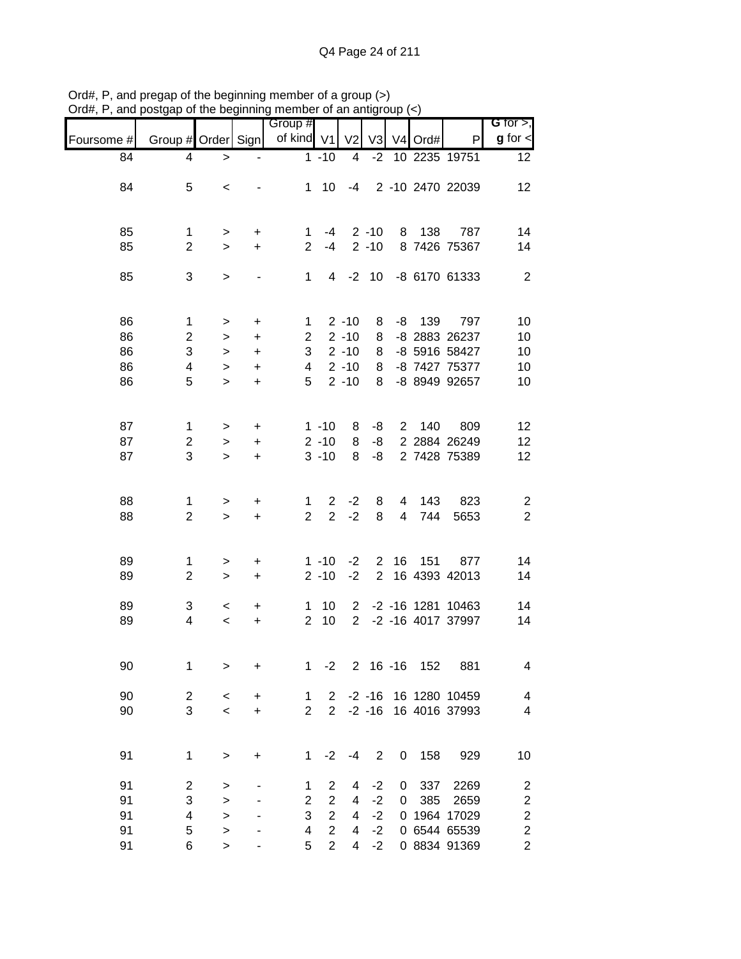|            |                           |           |                                  | Group #        |                |                       |                |             |            |                   | G for $>$ ,              |
|------------|---------------------------|-----------|----------------------------------|----------------|----------------|-----------------------|----------------|-------------|------------|-------------------|--------------------------|
| Foursome # | Group # Order Sign        |           |                                  | of kind V1     |                | V <sub>2</sub>        |                |             | V3 V4 Ord# | P                 | $g$ for $\lt$            |
| 84         | 4                         | $\, > \,$ |                                  |                | $1 - 10$       | 4                     | $-2$           |             |            | 10 2235 19751     | 12                       |
| 84         | 5                         | $\,<$     |                                  | 1              | 10             | $-4$                  |                |             |            | 2 -10 2470 22039  | 12                       |
|            |                           |           |                                  |                |                |                       |                |             |            |                   |                          |
| 85         | $\mathbf 1$               | $\,$      | +                                | 1              | -4             |                       | $2 - 10$       | 8           | 138        | 787               | 14                       |
| 85         | $\overline{2}$            | $\,>$     | $\ddot{}$                        | $\overline{2}$ | $-4$           |                       | $2 - 10$       |             |            | 8 7426 75367      | 14                       |
| 85         | 3                         | $\,>$     |                                  | 1              | $\overline{4}$ | $-2$                  | 10             |             |            | -8 6170 61333     | $\overline{2}$           |
|            |                           |           |                                  |                |                |                       |                |             |            |                   |                          |
| 86         | $\mathbf{1}$              | $\, > \,$ | $\begin{array}{c} + \end{array}$ | 1              |                | $2 - 10$              | 8              | -8          | 139        | 797               | 10                       |
| 86         | $\overline{c}$            | $\, > \,$ | $\ddot{}$                        | $\overline{c}$ |                | $2 - 10$              | 8              |             |            | -8 2883 26237     | 10                       |
| 86         | $\ensuremath{\mathsf{3}}$ | $\, >$    | $\ddot{}$                        | 3              |                | $2 - 10$              | 8              |             |            | -8 5916 58427     | 10                       |
| 86         | 4                         | $\geq$    | $\ddot{}$                        | 4              |                | $2 - 10$              | 8              |             |            | -8 7427 75377     | 10                       |
| 86         | 5                         | $\geq$    | $\ddot{}$                        | 5              |                | $2 - 10$              | 8              |             |            | -8 8949 92657     | 10                       |
|            |                           |           |                                  |                |                |                       |                |             |            |                   |                          |
| 87         | $\mathbf{1}$              | $\,$      | $\ddot{}$                        |                | $1 - 10$       | 8                     | -8             | $2^{\circ}$ | 140        | 809               | 12                       |
| 87         | $\boldsymbol{2}$          | $\,$      | $\ddot{}$                        |                | $2 - 10$       | 8                     | -8             |             |            | 2 2884 26249      | 12                       |
| 87         | 3                         | $\geq$    | $\ddot{}$                        |                | $3 - 10$       | 8                     | -8             |             |            | 2 7428 75389      | 12                       |
|            |                           |           |                                  |                |                |                       |                |             |            |                   |                          |
| 88         | 1                         | $\,$      | +                                | 1              | $\overline{2}$ | $-2$                  | 8              | 4           | 143        | 823               | $\overline{\mathbf{c}}$  |
| 88         | $\overline{c}$            | $\geq$    | $\ddot{}$                        | $\overline{2}$ | $\overline{2}$ | $-2$                  | 8              | 4           | 744        | 5653              | $\overline{c}$           |
|            |                           |           |                                  |                |                |                       |                |             |            |                   |                          |
| 89         | 1                         | $\,$      | $\ddot{}$                        |                | $1 - 10$       | $-2$                  | $\overline{2}$ | 16          | 151        | 877               | 14                       |
| 89         | $\sqrt{2}$                | $\geq$    | $\ddot{}$                        |                | $2 - 10$       | $-2$                  | $\overline{2}$ |             |            | 16 4393 42013     | 14                       |
| 89         | 3                         | $\,<$     | $\ddot{}$                        | 1              | 10             | $\mathbf{2}^{\prime}$ |                |             |            | -2 -16 1281 10463 | 14                       |
| 89         | 4                         | $\prec$   | $\ddot{}$                        | $\overline{2}$ | 10             | $\overline{2}$        |                |             |            | -2 -16 4017 37997 | 14                       |
|            |                           |           |                                  |                |                |                       |                |             |            |                   |                          |
| 90         | 1                         | $\,>$     | +                                | 1              | $-2$           |                       | $2 16 - 16$    |             | 152        | 881               | 4                        |
|            |                           |           |                                  |                |                |                       |                |             |            |                   |                          |
| 90         | $\overline{c}$            | $\prec$   | +                                | $\mathbf 1$    | $\mathbf{2}$   |                       | $-2 - 16$      |             |            | 16 1280 10459     | $\overline{\mathcal{A}}$ |
| 90         | 3                         | $\prec$   | +                                | $\overline{2}$ | $\overline{2}$ |                       | $-2 - 16$      |             |            | 16 4016 37993     | $\overline{\mathbf{4}}$  |
| 91         | 1                         |           |                                  |                | $-2$           | $-4$                  | $\mathbf 2$    |             |            |                   |                          |
|            |                           | $\geq$    | $\ddot{}$                        | $\mathbf 1$    |                |                       |                | 0           | 158        | 929               | 10                       |
| 91         | $\overline{\mathbf{c}}$   | >         |                                  | 1              | 2              | 4                     | $-2$           | 0           | 337        | 2269              | $\overline{\mathbf{c}}$  |
| 91         | 3                         | $\geq$    |                                  | $\mathbf{2}$   | $\overline{2}$ | 4                     | $-2$           | 0           | 385        | 2659              | $\overline{\mathbf{c}}$  |
| 91         | 4                         | $\geq$    |                                  | 3              | $\overline{2}$ | 4                     | $-2$           | 0           |            | 1964 17029        | $\overline{\mathbf{c}}$  |
| 91         | 5                         | $\geq$    |                                  | 4              | $\overline{2}$ | 4                     | $-2$           |             |            | 0 6544 65539      | $\overline{\mathbf{c}}$  |
| 91         | 6                         | $\,>$     |                                  | 5              | $\overline{2}$ | 4                     | $-2$           |             |            | 0 8834 91369      | $\overline{c}$           |

Ord#, P, and pregap of the beginning member of a group (>) Ord#, P, and postgap of the beginning member of an antigroup (<)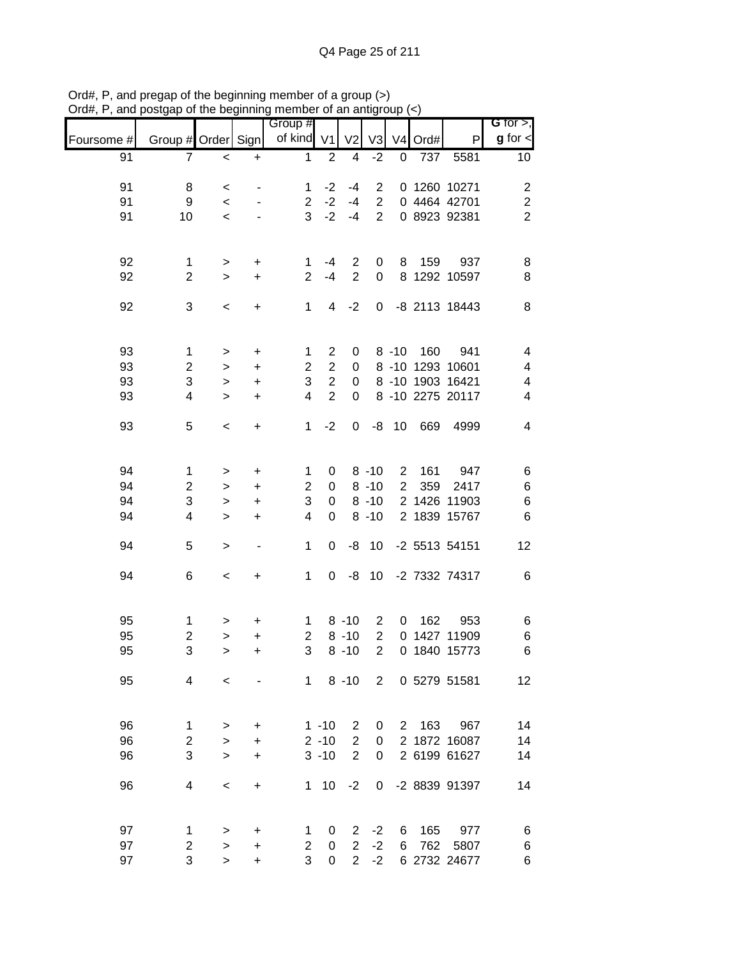|            |                         |                          |           | Group #        |                  |                |                |                |      |                        | <b>G</b> for $>$ ,      |
|------------|-------------------------|--------------------------|-----------|----------------|------------------|----------------|----------------|----------------|------|------------------------|-------------------------|
| Foursome # | Group # Order           |                          | Signl     | of kind V1     |                  | V <sub>2</sub> | V3             | V <sub>4</sub> | Ord# | P                      | $g$ for $\lt$           |
| 91         | 7                       | $\prec$                  | $\ddot{}$ | $\mathbf{1}$   | $\overline{2}$   | 4              | $-2$           | $\pmb{0}$      | 737  | 5581                   | 10                      |
| 91         | 8                       | $\,<$                    |           | 1              | $-2$             | $-4$           | $\overline{2}$ |                |      | 0 1260 10271           | $\overline{\mathbf{c}}$ |
| 91         | 9                       | $\,<\,$                  |           | $\overline{c}$ | $-2$             | $-4$           | $\overline{2}$ |                |      | 0 4464 42701           | $\overline{\mathbf{c}}$ |
| 91         | 10                      | $\prec$                  |           | 3              | $-2$             | $-4$           | $\overline{2}$ |                |      | 0 8923 92381           | $\overline{2}$          |
|            |                         |                          |           |                |                  |                |                |                |      |                        |                         |
| 92         | 1                       | >                        | +         | 1              | $-4$             | $\overline{2}$ | 0              | 8              | 159  | 937                    | 8                       |
| 92         | $\overline{2}$          | $\geq$                   | $\ddot{}$ | $\overline{2}$ | $-4$             | $\overline{2}$ | $\mathbf 0$    |                |      | 8 1292 10597           | 8                       |
| 92         | 3                       | $\,<$                    | +         | 1              | 4                | $-2$           | $\pmb{0}$      |                |      | -8 2113 18443          | 8                       |
|            |                         |                          |           |                |                  |                |                |                |      |                        |                         |
| 93         | $\mathbf 1$             | >                        | $\ddot{}$ | 1              | $\overline{c}$   | 0              |                | $8 - 10$       | 160  | 941                    | 4                       |
| 93         | $\overline{\mathbf{c}}$ | $\, > \,$                | $\ddot{}$ | $\overline{2}$ | $\overline{2}$   | 0              |                |                |      | 8 -10 1293 10601       | 4                       |
| 93         | 3                       | $\, > \,$                | $\ddot{}$ | 3              | $\overline{c}$   | $\pmb{0}$      |                |                |      | 8 -10 1903 16421       | 4                       |
| 93         | 4                       | $\geq$                   | $\ddot{}$ | 4              | $\overline{2}$   | 0              |                |                |      | 8 -10 2275 20117       | 4                       |
| 93         | 5                       | $\,<$                    | +         | 1              | $-2$             | 0              | -8             | 10             | 669  | 4999                   | 4                       |
|            |                         |                          |           |                |                  |                |                |                |      |                        |                         |
| 94         | $\mathbf 1$             | >                        | $\ddot{}$ | 1              | 0                |                | $8 - 10$       | $\overline{c}$ | 161  | 947                    | 6                       |
| 94         | $\overline{c}$          | >                        | +         | $\mathbf 2$    | $\pmb{0}$        |                | $8 - 10$       | $\overline{2}$ | 359  | 2417                   | 6                       |
| 94         | 3                       | $\, > \,$                | +         | 3              | 0                |                | $8 - 10$       |                |      | 2 1426 11903           | $\,6$                   |
| 94         | 4                       | $\, > \,$                | +         | 4              | 0                |                | $8 - 10$       |                |      | 2 1839 15767           | 6                       |
| 94         | 5                       | $\,>$                    | -         | 1              | 0                | -8             | 10             |                |      | -2 5513 54151          | 12                      |
| 94         | 6                       | $\,<$                    | +         | $\mathbf{1}$   | 0                | -8             | 10             |                |      | -2 7332 74317          | 6                       |
|            |                         |                          |           |                |                  |                |                |                |      |                        |                         |
| 95         | 1                       | >                        | +         | 1              |                  | $8 - 10$       | $\overline{c}$ | 0              | 162  | 953                    | 6                       |
| 95         | $\overline{c}$          | $\geq$                   | $\ddot{}$ | $\overline{c}$ |                  | $8 - 10$       | $\overline{c}$ | 0              |      | 1427 11909             | 6                       |
| 95         | 3                       | $\, > \,$                | $\ddot{}$ | 3              |                  | $8 - 10$       | $\overline{2}$ | 0              |      | 1840 15773             | 6                       |
| 95         | 4                       | $\overline{\phantom{0}}$ |           |                |                  |                |                |                |      | 1 8 -10 2 0 5279 51581 | 12                      |
|            |                         |                          |           |                |                  |                |                |                |      |                        |                         |
| 96         | 1                       | >                        | +         |                | $1 - 10$         | 2              | 0              |                |      | 2 163 967              | 14                      |
| 96         | $\overline{2}$          | $\geq$                   | +         |                | $2 - 10$         | $\overline{2}$ | $\mathbf 0$    |                |      | 2 1872 16087           | 14                      |
| 96         | 3                       | $\geq$                   | $\ddot{}$ |                | $3 - 10$         | $\overline{2}$ | 0              |                |      | 2 6199 61627           | 14                      |
| 96         | 4                       | $\,<\,$                  | $\ddot{}$ | 1              | 10               | $-2$           |                |                |      | 0 -2 8839 91397        | 14                      |
|            |                         |                          |           |                |                  |                |                |                |      |                        |                         |
| 97         | 1                       | >                        | +         | 1              | 0                | $\overline{2}$ | $-2$           | 6              |      | 165 977                | 6                       |
| 97         | $\overline{2}$          | $\geq$                   | $\ddot{}$ | $\overline{2}$ | $\boldsymbol{0}$ | $\overline{2}$ | $-2$           | 6              | 762  | 5807                   | 6                       |
| 97         | 3                       | $\geq$                   | $\ddot{}$ | 3              | 0                | $\overline{2}$ | $-2$           |                |      | 6 2732 24677           | 6                       |

Ord#, P, and pregap of the beginning member of a group (>) Ord#, P, and postgap of the beginning member of an antigroup (<)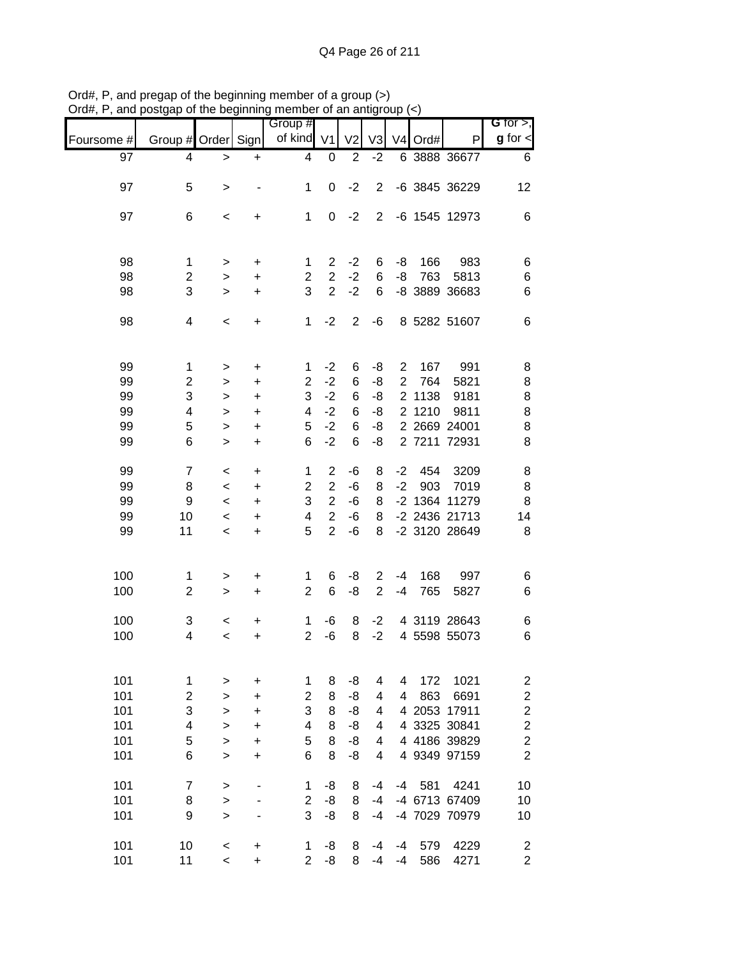|                                        |                                                            |                                                         |                                                            | Group #                                   |                                                                                        |                                  |                                  |                                  |                                |                                                                       | G for $>$ ,                                                                                    |
|----------------------------------------|------------------------------------------------------------|---------------------------------------------------------|------------------------------------------------------------|-------------------------------------------|----------------------------------------------------------------------------------------|----------------------------------|----------------------------------|----------------------------------|--------------------------------|-----------------------------------------------------------------------|------------------------------------------------------------------------------------------------|
| Foursome #                             | Group # Order Sign                                         |                                                         |                                                            | of kind                                   | V <sub>1</sub>                                                                         | V <sub>2</sub>                   | V <sub>3</sub>                   | V4                               | Ord#                           | P                                                                     | $g$ for $\lt$                                                                                  |
| 97                                     | 4                                                          | $\, > \,$                                               | $\ddot{}$                                                  | 4                                         | $\pmb{0}$                                                                              | $\overline{2}$                   | $-2$                             |                                  |                                | 6 3888 36677                                                          | 6                                                                                              |
| 97                                     | 5                                                          | $\,>$                                                   |                                                            | 1                                         | 0                                                                                      | $-2$                             | $\overline{2}$                   |                                  |                                | -6 3845 36229                                                         | 12                                                                                             |
| 97                                     | 6                                                          | $\,<$                                                   | +                                                          | $\mathbf 1$                               | 0                                                                                      | $-2$                             | $\overline{2}$                   |                                  |                                | -6 1545 12973                                                         | 6                                                                                              |
| 98<br>98<br>98                         | 1<br>$\overline{c}$<br>3                                   | $\,>$<br>$\, > \,$<br>$\, > \,$                         | $\ddot{}$<br>$\ddot{}$<br>$\ddot{}$                        | 1<br>$\overline{2}$<br>3                  | $\overline{2}$<br>$\overline{2}$<br>$\overline{2}$                                     | $-2$<br>$-2$<br>$-2$             | 6<br>6<br>6                      | -8<br>-8                         | 166<br>763                     | 983<br>5813<br>-8 3889 36683                                          | 6<br>$\,6$<br>6                                                                                |
| 98                                     | 4                                                          | $\,<\,$                                                 | +                                                          | $\mathbf{1}$                              | $-2$                                                                                   | $\overline{2}$                   | $-6$                             |                                  |                                | 8 5282 51607                                                          | 6                                                                                              |
| 99<br>99<br>99<br>99<br>99<br>99       | $\mathbf 1$<br>2<br>3<br>$\overline{\mathbf{4}}$<br>5<br>6 | $\, > \,$<br>><br>$\, > \,$<br>><br>$\, > \,$<br>$\geq$ | +<br>+<br>$\ddot{}$<br>$\ddot{}$<br>$\ddot{}$<br>$\ddot{}$ | 1<br>$\overline{2}$<br>3<br>4<br>5<br>6   | $-2$<br>$-2$<br>$-2$<br>$-2$<br>$-2$<br>$-2$                                           | 6<br>6<br>6<br>6<br>6<br>6       | -8<br>-8<br>-8<br>-8<br>-8<br>-8 | $\overline{c}$<br>$\overline{2}$ | 167<br>764<br>2 1138<br>2 1210 | 991<br>5821<br>9181<br>9811<br>2 2669 24001<br>2 7211 72931           | 8<br>$\bf8$<br>$\bf8$<br>8<br>8<br>8                                                           |
| 99<br>99<br>99<br>99<br>99             | $\overline{7}$<br>8<br>9<br>10<br>11                       | $\,<$<br>$\,<\,$<br>$\,<\,$<br>$\,<\,$<br>$\,<$         | +<br>+<br>+<br>+<br>$\ddot{}$                              | 1<br>$\overline{2}$<br>3<br>4<br>5        | $\overline{2}$<br>$\overline{c}$<br>$\overline{2}$<br>$\overline{2}$<br>$\overline{2}$ | -6<br>-6<br>$-6$<br>-6<br>-6     | 8<br>8<br>8<br>8<br>8            | $-2$<br>$-2$                     | 454<br>903<br>$-2$ 1364        | 3209<br>7019<br>11279<br>-2 2436 21713<br>-2 3120 28649               | 8<br>8<br>8<br>14<br>8                                                                         |
| 100<br>100                             | 1<br>$\overline{2}$                                        | $\,$<br>$\geq$                                          | +<br>$\ddot{}$                                             | 1<br>$\overline{2}$                       | 6<br>6                                                                                 | -8<br>-8                         | $\overline{2}$<br>$\overline{2}$ | $-4$<br>$-4$                     | 168<br>765                     | 997<br>5827                                                           | 6<br>6                                                                                         |
| 100<br>100                             | 3<br>4                                                     | $\,<$<br>$\prec$                                        | +<br>+                                                     | 1<br>$\overline{2}$                       | -6<br>$-6$                                                                             | 8<br>8                           | $-2$<br>$-2$                     |                                  |                                | 4 3119 28643<br>4 5598 55073                                          | 6<br>6                                                                                         |
| 101<br>101<br>101<br>101<br>101<br>101 | 1<br>$\boldsymbol{2}$<br>3<br>4<br>5<br>6                  | ><br>><br>><br>><br>$\, > \,$<br>$\, > \,$              | +<br>+<br>$\ddot{}$<br>+<br>+<br>+                         | 1<br>$\boldsymbol{2}$<br>3<br>4<br>5<br>6 | 8<br>8<br>8<br>8<br>8<br>8                                                             | -8<br>-8<br>-8<br>-8<br>-8<br>-8 | 4<br>4<br>4<br>4<br>4<br>4       | 4<br>4                           | 172<br>863<br>4 2053           | 1021<br>6691<br>17911<br>4 3325 30841<br>4 4186 39829<br>4 9349 97159 | $\overline{\mathbf{c}}$<br>$\frac{2}{2}$<br>$\overline{c}$<br>$\overline{c}$<br>$\overline{c}$ |
| 101<br>101<br>101                      | $\overline{7}$<br>8<br>9                                   | $\,>$<br>$\geq$<br>$\geq$                               |                                                            | 1<br>$\overline{2}$<br>3                  | -8<br>-8<br>-8                                                                         | 8<br>8<br>8                      | -4<br>$-4$<br>$-4$               | $-4$                             | 581                            | 4241<br>-4 6713 67409<br>-4 7029 70979                                | 10<br>10<br>10                                                                                 |
| 101<br>101                             | 10<br>11                                                   | $\,<$<br>$\,<$                                          | $\ddot{}$<br>$\ddot{}$                                     | 1<br>$\overline{2}$                       | -8<br>-8                                                                               | 8<br>8                           | -4<br>$-4$                       | -4<br>$-4$                       | 579<br>586                     | 4229<br>4271                                                          | $\boldsymbol{2}$<br>$\overline{c}$                                                             |

Ord#, P, and pregap of the beginning member of a group (>) Ord#, P, and postgap of the beginning member of an antigroup (<)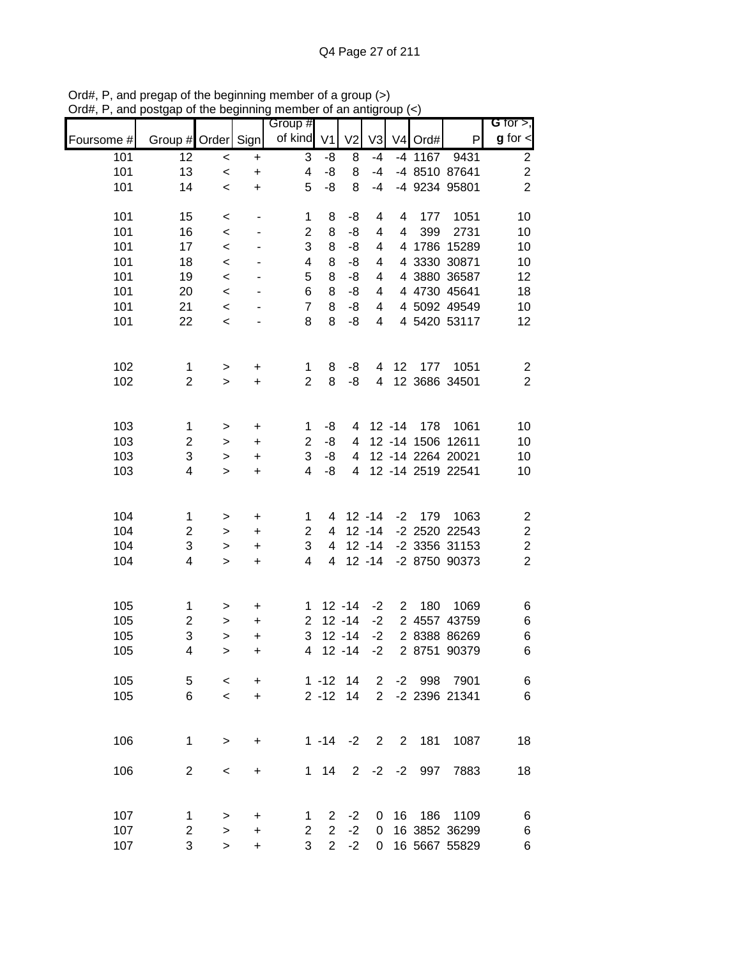| $\mathbf{u}$ | oolgap or the beginning |              |                              | mombor or an anign<br>Group # |                |                |                | oup.           |           |                   | G for $>$ ,             |
|--------------|-------------------------|--------------|------------------------------|-------------------------------|----------------|----------------|----------------|----------------|-----------|-------------------|-------------------------|
| Foursome #   | Group # Order Sign      |              |                              | of kind V1                    |                | V <sub>2</sub> | V <sub>3</sub> |                | V4 Ord#   | P                 | $g$ for $\leq$          |
| 101          | 12                      | $\,<\,$      | $\ddot{}$                    | 3                             | -8             | 8              | $-4$           |                | $-4$ 1167 | 9431              | $\overline{c}$          |
| 101          | 13                      | $\prec$      | $\ddot{}$                    | 4                             | -8             | 8              | $-4$           |                |           | -4 8510 87641     | $\boldsymbol{2}$        |
| 101          | 14                      | $\,<$        | $\ddot{}$                    | 5                             | -8             | 8              | $-4$           |                |           | -4 9234 95801     | $\overline{2}$          |
| 101          | 15                      | $\,<$        | $\overline{\phantom{m}}$     | 1                             | 8              | -8             | 4              | 4              | 177       | 1051              | 10                      |
| 101          | 16                      | $\,<$        | $\qquad \qquad \blacksquare$ | $\overline{2}$                | 8              | -8             | 4              | $\overline{4}$ | 399       | 2731              | 10                      |
| 101          | 17                      | $\,<$        |                              | 3                             | 8              | -8             | 4              |                |           | 4 1786 15289      | 10                      |
| 101          | 18                      | $\prec$      |                              | 4                             | 8              | -8             | 4              |                |           | 4 3330 30871      | 10                      |
| 101          | 19                      | $\prec$      |                              | 5                             | 8              | -8             | 4              |                |           | 4 3880 36587      | 12                      |
| 101          | 20                      | $\prec$      |                              | 6                             | $\,8\,$        | -8             | 4              |                |           | 4 4730 45641      | 18                      |
| 101          | 21                      | $\prec$      |                              | $\overline{7}$                | $\,8\,$        | -8             | 4              |                |           | 4 5092 49549      | 10                      |
| 101          | 22                      | $\,<$        |                              | 8                             | 8              | -8             | 4              |                |           | 4 5420 53117      | 12                      |
|              |                         |              |                              |                               |                |                |                |                |           |                   |                         |
| 102          | $\mathbf{1}$            | $\,$         | $\ddot{}$                    | $\mathbf{1}$                  | 8              | -8             | 4              | 12             | 177       | 1051              | $\overline{c}$          |
| 102          | $\overline{2}$          | $\mathbf{L}$ | $\ddot{}$                    | $\overline{2}$                | 8              | -8             | 4              |                |           | 12 3686 34501     | $\overline{2}$          |
|              |                         |              |                              |                               |                |                |                |                |           |                   |                         |
| 103          | $\mathbf 1$             | $\,$         | +                            | 1                             | -8             | 4              |                | $12 - 14$      | 178       | 1061              | 10                      |
| 103          | $\overline{\mathbf{c}}$ | $\,$         | +                            | $\overline{2}$                | -8             | 4              |                |                |           | 12 -14 1506 12611 | 10                      |
| 103          | 3                       | $\,>$        | +                            | 3                             | -8             | 4              |                |                |           | 12 -14 2264 20021 | 10                      |
| 103          | 4                       | $\geq$       | $\ddot{}$                    | 4                             | -8             | $\overline{4}$ |                |                |           | 12 -14 2519 22541 | 10                      |
|              |                         |              |                              |                               |                |                |                |                |           |                   |                         |
| 104          | 1                       | $\, >$       | $\ddot{}$                    | 1                             |                | 4 12 -14       |                | $-2$           | 179       | 1063              | $\overline{\mathbf{c}}$ |
| 104          | $\boldsymbol{2}$        | $\,$         | $\ddot{}$                    | $\overline{c}$                | 4              |                | $12 - 14$      |                |           | -2 2520 22543     | $\overline{\mathbf{c}}$ |
| 104          | 3                       | $\mathbf{L}$ | $\ddot{}$                    | 3                             | 4              |                | $12 - 14$      |                |           | -2 3356 31153     | $\overline{c}$          |
| 104          | 4                       | $\mathbf{I}$ | $\ddot{}$                    | 4                             | $\overline{4}$ |                | $12 - 14$      |                |           | -2 8750 90373     | $\overline{2}$          |
|              |                         |              |                              |                               |                |                |                |                |           |                   |                         |
| 105          | $\mathbf{1}$            | >            | $\ddot{}$                    | 1                             |                | $12 - 14$      | $-2$           | $\overline{2}$ | 180       | 1069              | 6                       |
| 105          | $\overline{c}$          | $\,$         | $\ddot{}$                    | $\overline{c}$                |                | $12 - 14$      | $-2$           |                |           | 2 4557 43759      | 6                       |
| 105          | 3                       | $\mathbf{L}$ | $\ddot{}$                    | 3                             |                | $12 - 14$      | $-2$           |                |           | 2 8388 86269      | $\,6$                   |
| 105          | 4                       | >            | $\ddot{}$                    | 4                             |                | $12 - 14$      | $-2$           |                |           | 2 8751 90379      | $\,6$                   |
| 105          | 5                       | $\,<\,$      | +                            |                               | $1 - 12$       | 14             | $\mathbf{2}$   |                | -2 998    | 7901              | 6                       |
| 105          | 6                       | $\prec$      | $\ddot{}$                    |                               | $2 - 12$       | 14             | $\overline{2}$ |                |           | -2 2396 21341     | 6                       |
|              |                         |              |                              |                               |                |                |                |                |           |                   |                         |
| 106          | $\mathbf 1$             | $\, > \,$    | +                            |                               |                | $1 - 14 - 2$   | $\overline{2}$ | $2^{\circ}$    | 181       | 1087              | 18                      |
| 106          | $\overline{2}$          | $\,<\,$      | +                            | 1                             | 14             | 2              | $-2$           | $-2$           | 997       | 7883              | 18                      |
|              |                         |              |                              |                               |                |                |                |                |           |                   |                         |
| 107          | 1                       | >            | +                            | 1                             | 2              | $-2$           | 0              | 16             | 186       | 1109              | 6                       |
| 107          | $\overline{2}$          | $\geq$       | +                            | $\overline{2}$                | $\overline{2}$ | $-2$           | 0              |                |           | 16 3852 36299     | 6                       |
| 107          | 3                       | $\geq$       | +                            | 3                             | $2^{\circ}$    | $-2$           | 0              |                |           | 16 5667 55829     | 6                       |

Ord#, P, and pregap of the beginning member of a group (>) Ord#, P, and postgap of the beginning member of an antigroup (<)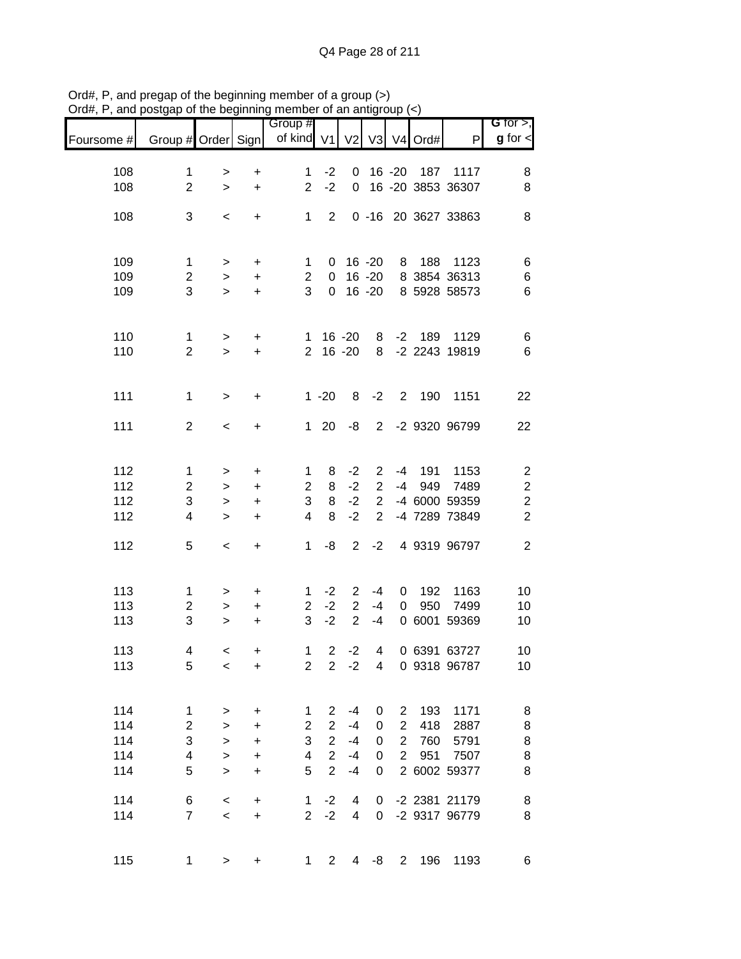|            |                         |                  |                                  | Group #                 |                |                                  |                |                |            |                     | G for $>$ ,             |
|------------|-------------------------|------------------|----------------------------------|-------------------------|----------------|----------------------------------|----------------|----------------|------------|---------------------|-------------------------|
| Foursome # | Group # Order Sign      |                  |                                  | of kind $V1$            |                | V <sub>2</sub>                   |                |                | V3 V4 Ord# | P                   | $g$ for $\lt$           |
| 108        | $\mathbf 1$             | $\,$             | $\ddot{}$                        | $\mathbf{1}$            | $-2$           | 0                                |                | 16 -20         | 187        | 1117                | 8                       |
| 108        | $\overline{2}$          | $\mathbf{L}$     | $\ddot{}$                        | $\overline{2}$          | $-2$           | 0                                |                |                |            | 16 -20 3853 36307   | 8                       |
|            |                         |                  |                                  |                         |                |                                  |                |                |            |                     |                         |
| 108        | 3                       | $\,<$            | $\ddot{}$                        | $\mathbf 1$             | $\overline{2}$ |                                  |                |                |            | 0 -16 20 3627 33863 | 8                       |
|            |                         |                  |                                  |                         |                |                                  |                |                |            |                     |                         |
| 109        | $\mathbf 1$             | $\,$             | +                                | $\mathbf 1$             | 0              |                                  | $16 - 20$      | 8              | 188        | 1123                | 6                       |
| 109        | $\overline{c}$          | $\,$             | $\ddot{}$                        | $\overline{c}$          | 0              |                                  | $16 - 20$      |                |            | 8 3854 36313        | 6                       |
| 109        | 3                       | $\geq$           | $\ddot{}$                        | 3                       | $\mathbf 0$    |                                  | $16 - 20$      |                |            | 8 5928 58573        | $\,6$                   |
|            |                         |                  |                                  |                         |                |                                  |                |                |            |                     |                         |
| 110        | $\mathbf{1}$            | $\mathbf{I}$     | $\ddot{}$                        | 1                       |                | $16 - 20$                        | 8              | $-2$           | 189        | 1129                | 6                       |
| 110        | $\overline{2}$          | $\geq$           | $\ddot{}$                        | $\overline{2}$          |                | $16 - 20$                        | 8              |                |            | -2 2243 19819       | 6                       |
|            |                         |                  |                                  |                         |                |                                  |                |                |            |                     |                         |
| 111        | $\mathbf 1$             | $\geq$           | $\ddot{}$                        |                         | $1 - 20$       | 8                                | $-2$           | $2^{\circ}$    | 190        | 1151                | 22                      |
|            |                         |                  |                                  |                         |                |                                  |                |                |            |                     |                         |
| 111        | $\overline{2}$          | $\,<\,$          | +                                | $\mathbf{1}$            | 20             | -8                               | $\overline{2}$ |                |            | -2 9320 96799       | 22                      |
|            |                         |                  |                                  |                         |                |                                  |                |                |            |                     |                         |
| 112        | $\mathbf{1}$            | >                | $\ddot{}$                        | $\mathbf 1$             | 8              | $-2$                             | $\overline{2}$ | $-4$           | 191        | 1153                | $\overline{\mathbf{c}}$ |
| 112        | $\overline{2}$          | $\,$             | +                                | $\overline{c}$          | 8              | $-2$                             | $\overline{c}$ | -4             | 949        | 7489                | $\boldsymbol{2}$        |
| 112        | 3                       | $\geq$           | $\ddot{}$                        | 3                       | 8              | $-2$                             | $\overline{2}$ |                |            | -4 6000 59359       | $\overline{c}$          |
| 112        | 4                       | $\geq$           | $\ddot{}$                        | $\overline{\mathbf{4}}$ | 8              | $-2$                             | $\overline{2}$ |                |            | -4 7289 73849       | $\overline{c}$          |
| 112        | 5                       | $\,<$            | $\begin{array}{c} + \end{array}$ | $\mathbf 1$             | -8             | $\overline{2}$                   | $-2$           |                |            | 4 9319 96797        | $\overline{2}$          |
|            |                         |                  |                                  |                         |                |                                  |                |                |            |                     |                         |
|            |                         |                  |                                  |                         |                |                                  |                |                |            |                     |                         |
| 113<br>113 | 1<br>$\overline{c}$     | >                | +                                | 1<br>$\overline{2}$     | $-2$<br>$-2$   | $\overline{2}$<br>$\overline{2}$ | $-4$<br>$-4$   | 0<br>0         | 192<br>950 | 1163<br>7499        | 10<br>10                |
| 113        | 3                       | $\, >$<br>$\geq$ | +<br>$\ddot{}$                   | 3                       | $-2$           | $\overline{2}$                   | $-4$           |                |            | 0 6001 59369        | 10                      |
|            |                         |                  |                                  |                         |                |                                  |                |                |            |                     |                         |
| 113        | 4                       | $\,<$            | $\ddot{}$                        | $\mathbf 1$             | $\overline{2}$ | $-2$                             | 4              |                |            | 0 6391 63727        | 10                      |
| 113        | 5                       | $\,<$            | +                                | $\overline{c}$          | $\overline{2}$ | $-2$                             | 4              |                |            | 0 9318 96787        | 10                      |
|            |                         |                  |                                  |                         |                |                                  |                |                |            |                     |                         |
| 114        | $\mathbf{1}$            | $\,$             | +                                | 1                       | $\overline{2}$ | $-4$                             | 0              | 2              | 193        | 1171                | 8                       |
| 114        | $\overline{\mathbf{c}}$ | $\,>$            | $\ddot{}$                        | $\overline{c}$          | $\overline{2}$ | $-4$                             | 0              | $\overline{2}$ | 418        | 2887                | 8                       |
| 114        | 3                       | $\mathbf{L}$     | $\ddot{}$                        | 3                       | $\overline{2}$ | $-4$                             | 0              | $\overline{c}$ | 760        | 5791                | 8                       |
| 114        | $\overline{\mathbf{4}}$ | $\geq$           | $\ddot{}$                        | $\overline{\mathbf{4}}$ | $\overline{2}$ | $-4$                             | 0              | $\overline{c}$ | 951        | 7507                | 8                       |
| 114        | 5                       | $\geq$           | $\ddot{}$                        | 5                       | $\overline{2}$ | $-4$                             | 0              |                |            | 2 6002 59377        | 8                       |
| 114        | 6                       | $\,<$            | $\ddot{}$                        | 1                       | $-2$           | 4                                | 0              |                |            | -2 2381 21179       | $\bf8$                  |
| 114        | $\overline{7}$          | $\prec$          | $\ddot{}$                        | $\overline{2}$          | $-2$           | 4                                | 0              |                |            | -2 9317 96779       | 8                       |
|            |                         |                  |                                  |                         |                |                                  |                |                |            |                     |                         |
| 115        | $\mathbf{1}$            | $\,$             | $\ddot{}$                        | 1                       | $\overline{2}$ | 4                                | -8             | $\overline{2}$ | 196        | 1193                | 6                       |
|            |                         |                  |                                  |                         |                |                                  |                |                |            |                     |                         |

Ord#, P, and pregap of the beginning member of a group (>) Ord#, P, and postgap of the beginning member of an antigroup (<)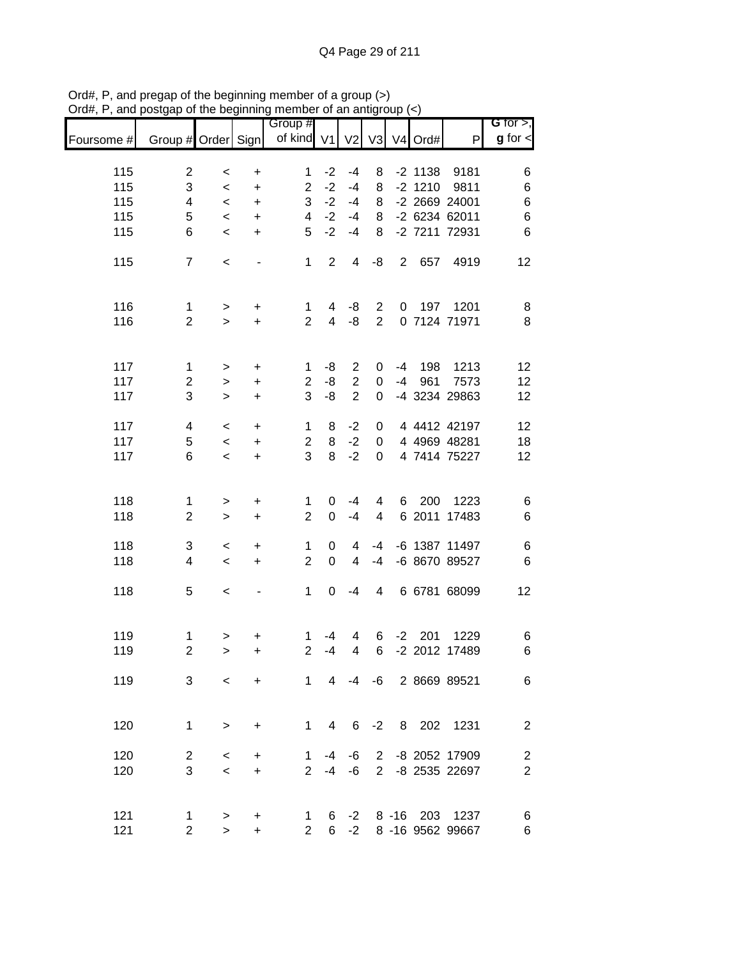|            |                     |              |                              | Group #             |                             |                |                |                |           |                        | <b>G</b> for $>$ , |
|------------|---------------------|--------------|------------------------------|---------------------|-----------------------------|----------------|----------------|----------------|-----------|------------------------|--------------------|
| Foursome # | Group # Order Sign  |              |                              | of kind V1          |                             |                | V2 V3          |                | V4 Ord#   | $\mathsf{P}$           | $g$ for $\lt$      |
| 115        | $\overline{c}$      | $\,<\,$      | $\ddot{}$                    | 1                   | $-2$                        | $-4$           | 8              |                | $-2$ 1138 | 9181                   | 6                  |
| 115        | 3                   | $\,<\,$      | $\ddot{}$                    | $\mathbf{2}$        | $-2$                        | $-4$           | 8              |                | $-2$ 1210 | 9811                   | $\,$ 6 $\,$        |
| 115        | 4                   | $\,<\,$      | $\ddot{}$                    | 3                   | $-2$                        | $-4$           | 8              |                |           | -2 2669 24001          | $\,$ 6 $\,$        |
| 115        | 5                   | $\,<\,$      | $\ddot{}$                    | 4                   | $-2$                        | $-4$           | 8              |                |           | -2 6234 62011          | $\overline{6}$     |
| 115        | 6                   | $\,<$        | $\ddot{}$                    | 5                   | $-2$                        | $-4$           | 8              |                |           | -2 7211 72931          | $6\phantom{1}6$    |
|            |                     |              |                              |                     |                             |                |                |                |           |                        |                    |
| 115        | $\overline{7}$      | $\,<$        |                              | 1                   | $\overline{2}$              | 4              | -8             | $\overline{2}$ | 657       | 4919                   | 12                 |
| 116        | 1                   | >            | +                            | 1                   | 4                           | -8             | $\overline{2}$ | 0              | 197       | 1201                   | 8                  |
| 116        | $\overline{2}$      | $\mathbf{L}$ | $\ddot{}$                    | $\overline{2}$      | $\overline{4}$              | -8             | $\overline{2}$ |                |           | 0 7124 71971           | 8                  |
| 117        | $\mathbf{1}$        | >            | $\ddot{}$                    | 1                   | -8                          | $\overline{c}$ | 0              | -4             | 198       | 1213                   | 12                 |
| 117        | $\overline{2}$      | $\geq$       | $\ddot{}$                    | $\overline{2}$      | -8                          | $\overline{2}$ | $\pmb{0}$      | $-4$           | 961       | 7573                   | 12                 |
| 117        | 3                   | $\geq$       | $\ddot{}$                    | 3                   | -8                          | $\overline{2}$ | $\mathbf 0$    |                |           | -4 3234 29863          | 12                 |
| 117        | 4                   | $\,<\,$      | $\ddot{}$                    | $\mathbf 1$         | 8                           | $-2$           | 0              |                |           | 4 4412 42197           | 12                 |
| 117        | 5                   | $\prec$      | $\ddot{}$                    | $\overline{2}$      | 8                           | $-2$           | 0              |                |           | 4 4969 48281           | 18                 |
| 117        | 6                   | $\,<\,$      | $\ddot{}$                    | 3                   | 8                           | $-2$           | 0              |                |           | 4 7414 75227           | 12                 |
|            |                     |              |                              |                     |                             |                |                |                |           |                        |                    |
| 118        | $\mathbf 1$         | >            | +                            | 1                   | 0                           | $-4$           | 4              | 6              | 200       | 1223                   | 6                  |
| 118        | $\mathbf{2}$        | $\geq$       | +                            | $\overline{2}$      | 0                           | $-4$           | 4              |                |           | 6 2011 17483           | $6\phantom{1}6$    |
| 118        | 3                   | $\,<\,$      | $\ddot{}$                    | 1                   | 0                           | 4              | $-4$           |                |           | -6 1387 11497          | 6                  |
| 118        | 4                   | $\,<\,$      | $\ddot{}$                    | $\overline{2}$      | $\pmb{0}$                   | 4              | $-4$           |                |           | -6 8670 89527          | $6\phantom{1}6$    |
| 118        | 5                   | $\,<\,$      | $\qquad \qquad \blacksquare$ | 1                   | 0                           | $-4$           | 4              |                |           | 6 6781 68099           | 12                 |
|            |                     |              |                              |                     |                             |                |                |                |           |                        |                    |
| 119        | 1                   | >            | +                            | 1                   | $-4$                        | 4              | 6              |                | $-2$ 201  | 1229                   | 6                  |
| 119        | $\overline{2}$      | $\geq$       | +                            | $\overline{2}$      | $-4$                        | 4              | 6              |                |           | -2 2012 17489          | 6                  |
| 119        | 3                   | $\prec$      | $\ddot{}$                    |                     |                             |                |                |                |           | 1 4 -4 -6 2 8669 89521 | 6                  |
|            |                     |              |                              |                     |                             |                |                |                |           |                        |                    |
| 120        | $\mathbf{1}$        | $\,>$        | $\ddot{}$                    |                     | $1 \quad$<br>$\overline{4}$ |                |                |                |           | 6 -2 8 202 1231        | $\overline{2}$     |
| 120        | $\overline{2}$      | $\,<\,$      | +                            | 1.                  |                             | -4 -6          |                |                |           | 2 -8 2052 17909        | $\overline{c}$     |
| 120        | 3                   | $\prec$      | $\ddot{}$                    |                     |                             | $2 - 4 - 6$    |                |                |           | 2 -8 2535 22697        | $\boldsymbol{2}$   |
| 121        |                     |              |                              |                     |                             |                |                |                |           | 6 -2 8 -16 203 1237    |                    |
| 121        | 1<br>$\overline{2}$ | ><br>$\,>$   | +<br>+                       | 1<br>$\overline{2}$ |                             |                |                |                |           | 6 -2 8 -16 9562 99667  | 6<br>6             |
|            |                     |              |                              |                     |                             |                |                |                |           |                        |                    |

Ord#, P, and pregap of the beginning member of a group (>) Ord#, P, and postgap of the beginning member of an antigroup (<)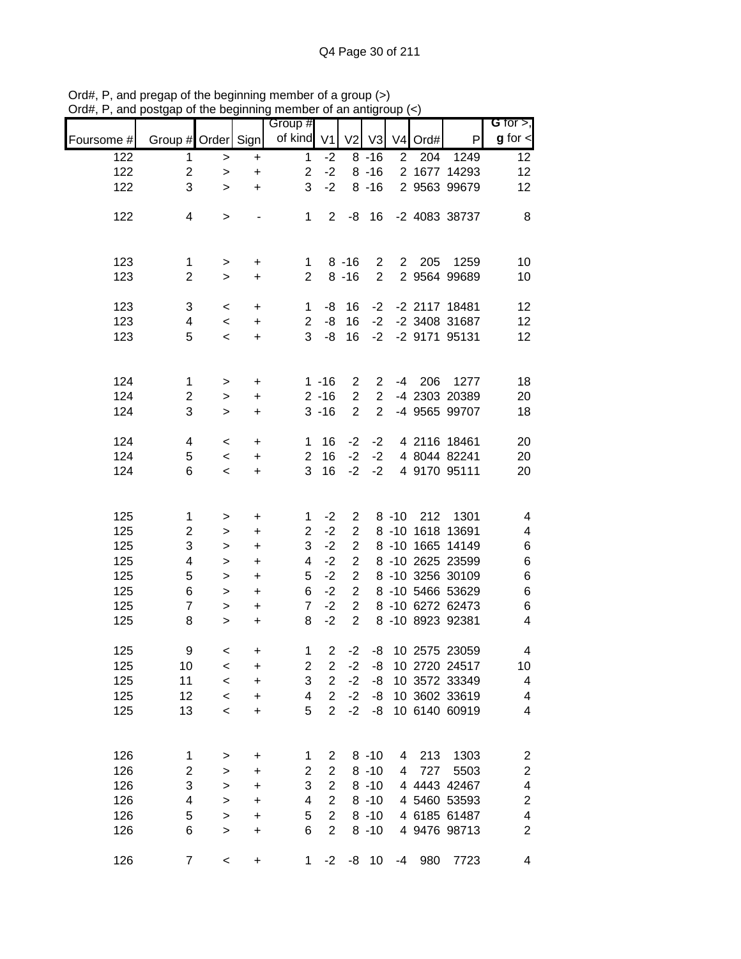|            |                     |                    | .   . 9                          | <br>Group #                   |                                  |                                  |                      |                |         |                                      | G for $>$ ,                  |
|------------|---------------------|--------------------|----------------------------------|-------------------------------|----------------------------------|----------------------------------|----------------------|----------------|---------|--------------------------------------|------------------------------|
| Foursome # | Group # Order Sign  |                    |                                  | of kind                       | V <sub>1</sub>                   | V <sub>2</sub>                   | V <sub>3</sub>       |                | V4 Ord# | P                                    | $g$ for $\leq$               |
| 122        | $\mathbf 1$         | $\,>$              | +                                | $\mathbf{1}$                  | $-2$                             |                                  | $8 - 16$             | $\overline{2}$ | 204     | 1249                                 | 12                           |
| 122        | $\boldsymbol{2}$    | $\,>$              | $\ddot{}$                        | $\overline{c}$                | $-2$                             |                                  | $8 - 16$             |                |         | 2 1677 14293                         | 12                           |
| 122        | 3                   | $\geq$             | $\ddot{}$                        | 3                             | $-2$                             |                                  | $8 - 16$             |                |         | 2 9563 99679                         | 12                           |
|            |                     |                    |                                  |                               |                                  |                                  |                      |                |         |                                      |                              |
| 122        | 4                   | $\,>$              |                                  | 1                             | $2^{\circ}$                      |                                  | $-8$ 16              |                |         | -2 4083 38737                        | 8                            |
|            |                     |                    |                                  |                               |                                  |                                  |                      |                |         |                                      |                              |
|            |                     |                    |                                  |                               |                                  |                                  |                      |                |         |                                      |                              |
| 123        | $\mathbf{1}$        | $\,>$              | $\ddot{}$                        | $\mathbf{1}$                  |                                  | $8 - 16$                         | $\overline{2}$       |                | 2 205   | 1259                                 | 10                           |
| 123        | $\overline{2}$      | $\geq$             | $\ddot{}$                        | $\overline{2}$                |                                  | $8 - 16$                         | $\overline{2}$       |                |         | 2 9564 99689                         | 10                           |
| 123        | 3                   |                    |                                  |                               |                                  | 16                               | $-2$                 |                |         | -2 2117 18481                        | 12                           |
| 123        | 4                   | $\,<\,$<br>$\prec$ | +<br>$\ddot{}$                   | $\mathbf 1$<br>$\overline{2}$ | -8<br>-8                         | 16                               | $-2$                 |                |         | -2 3408 31687                        | 12                           |
| 123        | 5                   | $\,<$              | $\ddot{}$                        | 3                             | -8                               | 16                               | $-2$                 |                |         | -2 9171 95131                        | 12                           |
|            |                     |                    |                                  |                               |                                  |                                  |                      |                |         |                                      |                              |
|            |                     |                    |                                  |                               |                                  |                                  |                      |                |         |                                      |                              |
| 124        | $\mathbf 1$         | $\,>$              | $\ddot{}$                        |                               | $1 - 16$                         | $\overline{c}$                   | $\overline{c}$       |                |         | -4 206 1277                          | 18                           |
| 124        | $\overline{c}$      | $\, > \,$          | $\ddot{}$                        |                               | $2 - 16$                         | $\mathbf{2}$                     | $\overline{2}$       |                |         | -4 2303 20389                        | 20                           |
| 124        | 3                   | $\geq$             | +                                |                               | $3 - 16$                         | $\overline{2}$                   | $\overline{2}$       |                |         | -4 9565 99707                        | 18                           |
|            |                     |                    |                                  |                               |                                  |                                  |                      |                |         |                                      |                              |
| 124        | $\overline{4}$      | $\,<$              | +                                | 1                             | 16                               | $-2$                             | $-2$                 |                |         | 4 2116 18461                         | 20                           |
| 124        | 5                   | $\,<\,$            | +                                | $\overline{2}$                | 16                               | $-2$                             | $-2$                 |                |         | 4 8044 82241                         | 20                           |
| 124        | 6                   | $\,<\,$            | $\ddot{}$                        | 3                             | 16                               | $-2$                             | $-2$                 |                |         | 4 9170 95111                         | 20                           |
|            |                     |                    |                                  |                               |                                  |                                  |                      |                |         |                                      |                              |
|            |                     |                    |                                  |                               |                                  |                                  |                      |                |         |                                      |                              |
| 125        | 1                   | >                  | +                                | 1<br>$\overline{2}$           | $-2$<br>$-2$                     | $\overline{2}$<br>$\overline{2}$ |                      | $8 - 10$       | 212     | 1301                                 | 4                            |
| 125<br>125 | $\overline{c}$<br>3 | $\,$               | $\ddot{}$                        | 3                             | $-2$                             | $\overline{2}$                   |                      |                |         | 8 -10 1618 13691<br>8 -10 1665 14149 | 4                            |
| 125        | 4                   | $\geq$<br>$\geq$   | +<br>$\ddot{}$                   | 4                             | $-2$                             | $\overline{2}$                   |                      |                |         | 8 -10 2625 23599                     | 6<br>6                       |
| 125        | 5                   | $\mathbf{L}$       | $\ddot{}$                        | 5                             | $-2$                             | $\overline{2}$                   |                      |                |         | 8 -10 3256 30109                     | $\,6$                        |
| 125        | 6                   | $\geq$             | $\ddot{}$                        | 6                             | $-2$                             | $\overline{2}$                   |                      |                |         | 8 -10 5466 53629                     | $\,6$                        |
| 125        | $\overline{7}$      | $\geq$             | $\begin{array}{c} + \end{array}$ | $\overline{7}$                | $-2$                             | $\overline{2}$                   |                      |                |         | 8 -10 6272 62473                     | 6                            |
| 125        | 8                   | $\geq$             | $\ddot{}$                        | 8                             | $-2$                             | $\overline{2}$                   |                      |                |         | 8 -10 8923 92381                     | $\overline{\mathbf{4}}$      |
|            |                     |                    |                                  |                               |                                  |                                  |                      |                |         |                                      |                              |
| 125        | 9                   | $\prec$            | $\ddot{}$                        | $\mathbf{1}$                  | $\overline{2}$                   | $-2$                             |                      |                |         | -8 10 2575 23059                     | 4                            |
| 125        | 10                  | $\,<$              | +                                | 2                             | 2                                | $-2$                             | -8                   |                |         | 10 2720 24517                        | 10                           |
| 125        | 11                  | $\,<$              | +                                | 3                             | $\overline{2}$                   | $-2$                             | -8                   |                |         | 10 3572 33349                        | 4                            |
| 125        | 12                  | $\,<$              | +                                | 4                             | $\overline{2}$                   | $-2$                             | -8                   |                |         | 10 3602 33619                        | 4                            |
| 125        | 13                  | $\,<$              | +                                | 5                             | $\overline{2}$                   | $-2$                             | -8                   |                |         | 10 6140 60919                        | 4                            |
|            |                     |                    |                                  |                               |                                  |                                  |                      |                |         |                                      |                              |
|            |                     |                    |                                  |                               |                                  |                                  |                      |                |         |                                      |                              |
| 126        | 1                   | >                  | $\ddot{}$                        | 1                             | $\overline{2}$                   |                                  | $8 - 10$             | 4              | 213     | 1303                                 | $\overline{\mathbf{c}}$      |
| 126        | $\overline{c}$      | $\geq$             | +                                | $\overline{c}$                | $\overline{2}$                   |                                  | $8 - 10$             | 4              | 727     | 5503                                 | $\boldsymbol{2}$             |
| 126        | 3                   | $\, > \,$          | +                                | 3                             | $\overline{2}$<br>$\overline{2}$ |                                  | $8 - 10$             |                |         | 4 4443 42467                         | $\overline{\mathcal{A}}$     |
| 126        | 4<br>5              | $\,>$              | $\ddot{}$                        | 4<br>5                        | $\overline{2}$                   |                                  | $8 - 10$<br>$8 - 10$ |                |         | 4 5460 53593<br>4 6185 61487         | $\overline{\mathbf{c}}$<br>4 |
| 126<br>126 | 6                   | $\geq$<br>$\geq$   | $\ddot{}$<br>+                   | 6                             | $\overline{2}$                   |                                  | $8 - 10$             |                |         | 4 9476 98713                         | $\overline{\mathbf{c}}$      |
|            |                     |                    |                                  |                               |                                  |                                  |                      |                |         |                                      |                              |
| 126        | $\overline{7}$      | $\,<$              | +                                | 1                             | $-2$                             |                                  | $-8$ 10              | $-4$           | 980     | 7723                                 | 4                            |

Ord#, P, and pregap of the beginning member of a group (>) Ord#, P, and postgap of the beginning member of an antigroup (<)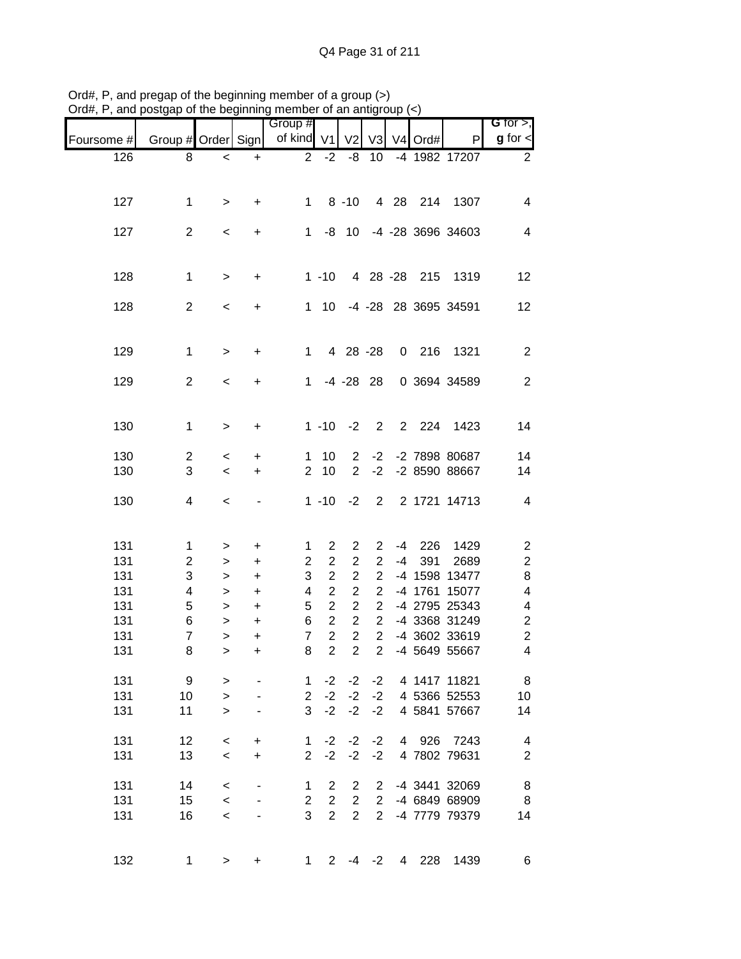| , unu      | position are beginning incribed or an anagroup |              |                                  | Group #        |                |                |                               |                |                     |                      | G for $>$ ,             |
|------------|------------------------------------------------|--------------|----------------------------------|----------------|----------------|----------------|-------------------------------|----------------|---------------------|----------------------|-------------------------|
| Foursome # | Group # Order Sign                             |              |                                  | of kind V1     |                | V <sub>2</sub> | V <sub>3</sub>                |                | V <sub>4</sub> Ord# | P                    | $g$ for $\leq$          |
| 126        | 8                                              | $\,<\,$      | $\ddot{}$                        | $\overline{2}$ | $-2$           | -8             | 10                            |                |                     | -4 1982 17207        | $\overline{2}$          |
|            |                                                |              |                                  |                |                |                |                               |                |                     |                      |                         |
| 127        | $\mathbf 1$                                    | $\,>$        | +                                | $\mathbf 1$    |                | $8 - 10$       |                               |                | 4 28 214            | 1307                 | 4                       |
|            |                                                |              |                                  |                |                |                |                               |                |                     |                      |                         |
| 127        | $\overline{2}$                                 | $\,<$        | $\begin{array}{c} + \end{array}$ | 1              |                | $-8$ 10        |                               |                |                     | -4 -28 3696 34603    | $\overline{4}$          |
|            |                                                |              |                                  |                |                |                |                               |                |                     |                      |                         |
| 128        | $\mathbf 1$                                    | $\mathbf{L}$ | $\ddot{}$                        |                | $1 - 10$       |                |                               |                | 4 28 -28 215        | 1319                 | 12                      |
|            |                                                |              |                                  |                |                |                |                               |                |                     |                      |                         |
| 128        | $\overline{2}$                                 | $\,<$        | +                                | $\mathbf{1}$   | 10             |                |                               |                |                     | -4 -28 28 3695 34591 | 12                      |
|            |                                                |              |                                  |                |                |                |                               |                |                     |                      |                         |
|            | $\mathbf 1$                                    |              |                                  | $\mathbf 1$    |                |                |                               |                |                     | 1321                 | 2                       |
| 129        |                                                | $\mathbf{L}$ | $\ddot{}$                        |                |                | 4 28 -28       |                               |                | $0$ 216             |                      |                         |
| 129        | $\overline{2}$                                 | $\,<$        | +                                | $\mathbf 1$    |                | $-4$ $-28$ 28  |                               |                |                     | 0 3694 34589         | $\overline{2}$          |
|            |                                                |              |                                  |                |                |                |                               |                |                     |                      |                         |
|            |                                                |              |                                  |                |                |                |                               |                | 2 2 2 4             |                      |                         |
| 130        | $\mathbf 1$                                    | $\,$         | $\ddot{}$                        |                | $1 - 10$       | $-2$           | $\overline{2}$                |                |                     | 1423                 | 14                      |
| 130        | $\overline{2}$                                 | $\,<\,$      | +                                | 1              | 10             | $\overline{2}$ | $-2$                          |                |                     | -2 7898 80687        | 14                      |
| 130        | 3                                              | $\,<$        | $\ddot{}$                        | $\overline{2}$ | 10             | $\overline{2}$ | $-2$                          |                |                     | -2 8590 88667        | 14                      |
|            |                                                |              |                                  |                |                |                |                               |                |                     |                      |                         |
| 130        | 4                                              | $\,<$        | $\qquad \qquad \blacksquare$     |                | $1 - 10$       | $-2$           | $\overline{2}$                |                |                     | 2 1721 14713         | 4                       |
|            |                                                |              |                                  |                |                |                |                               |                |                     |                      |                         |
| 131        | $\mathbf{1}$                                   | $\,$         | $\ddot{}$                        | 1              | $\overline{2}$ | $\overline{c}$ | $\overline{2}$                | $-4$           | 226                 | 1429                 | $\overline{\mathbf{c}}$ |
| 131        | $\overline{c}$                                 | $\,>$        | $\ddot{}$                        | $\overline{c}$ | $\overline{c}$ | $\overline{2}$ | $\overline{c}$                | $-4$           | 391                 | 2689                 | $\overline{\mathbf{c}}$ |
| 131        | 3                                              | $\, >$       | +                                | 3              | $\overline{2}$ | $\overline{c}$ | $\overline{2}$                |                |                     | -4 1598 13477        | 8                       |
| 131        | 4                                              | $\, >$       | $\ddot{}$                        | 4              | $\overline{2}$ | $\overline{2}$ | $\overline{2}$                |                |                     | -4 1761 15077        | 4                       |
| 131        | 5                                              | $\,$         | $\ddot{}$                        | 5              | $\overline{2}$ | $\overline{2}$ | $\overline{2}$                |                |                     | -4 2795 25343        | 4                       |
| 131        | 6                                              | $\,>$        | $\ddot{}$                        | 6              | $\overline{c}$ | $\overline{c}$ | $\overline{2}$                |                |                     | -4 3368 31249        | $\overline{\mathbf{c}}$ |
| 131        | $\overline{7}$                                 | $\mathbf{L}$ | $\ddot{}$                        | $\overline{7}$ | $\overline{2}$ | $\overline{2}$ | $\overline{2}$                |                |                     | -4 3602 33619        | $\overline{c}$          |
| 131        | 8                                              | $\,$         | +                                | 8              | $\overline{2}$ |                | $2^{\circ}$<br>$\overline{2}$ |                |                     | -4 5649 55667        | 4                       |
|            |                                                |              |                                  |                |                |                |                               |                |                     | 4 1417 11821         |                         |
| 131        | 9                                              | $\, > \,$    |                                  | 1              | $-2$           | $-2$           | $-2$                          |                |                     |                      | 8                       |
| 131        | 10                                             | $\geq$       |                                  | $\overline{2}$ | $-2$           | $-2$           | $-2$                          |                |                     | 4 5366 52553         | 10                      |
| 131        | 11                                             | $\geq$       |                                  | 3              | $-2$           | $-2$           | $-2$                          |                |                     | 4 5841 57667         | 14                      |
| 131        | 12                                             | $\,<$        | +                                | 1              | $-2$           | $-2$           | $-2$                          | $\overline{4}$ | 926                 | 7243                 | 4                       |
| 131        | 13                                             | $\,<$        | $\ddot{}$                        | $\overline{2}$ | $-2$           | $-2$           | $-2$                          |                |                     | 4 7802 79631         | $\overline{2}$          |
|            |                                                |              |                                  |                |                |                |                               |                |                     |                      |                         |
| 131        | 14                                             | $\,<$        |                                  | 1              | $\overline{2}$ | 2              | $\overline{2}$                |                |                     | -4 3441 32069        | 8                       |
| 131        | 15                                             | $\,<$        |                                  | $\overline{2}$ | $\overline{2}$ | $\overline{2}$ | $\overline{2}$                |                |                     | -4 6849 68909        | 8                       |
| 131        | 16                                             | $\,<$        |                                  | 3              | $\overline{2}$ | $\overline{2}$ | $\overline{2}$                |                |                     | -4 7779 79379        | 14                      |
|            |                                                |              |                                  |                |                |                |                               |                |                     |                      |                         |
|            |                                                |              |                                  |                | $\overline{2}$ |                |                               |                |                     |                      |                         |
| 132        | $\mathbf 1$                                    | $\, > \,$    | +                                | 1              |                | -4             | $-2$                          | 4              | 228                 | 1439                 | 6                       |

Ord#, P, and pregap of the beginning member of a group (>) Ord#, P, and postgap of the beginning member of an antigroup (<)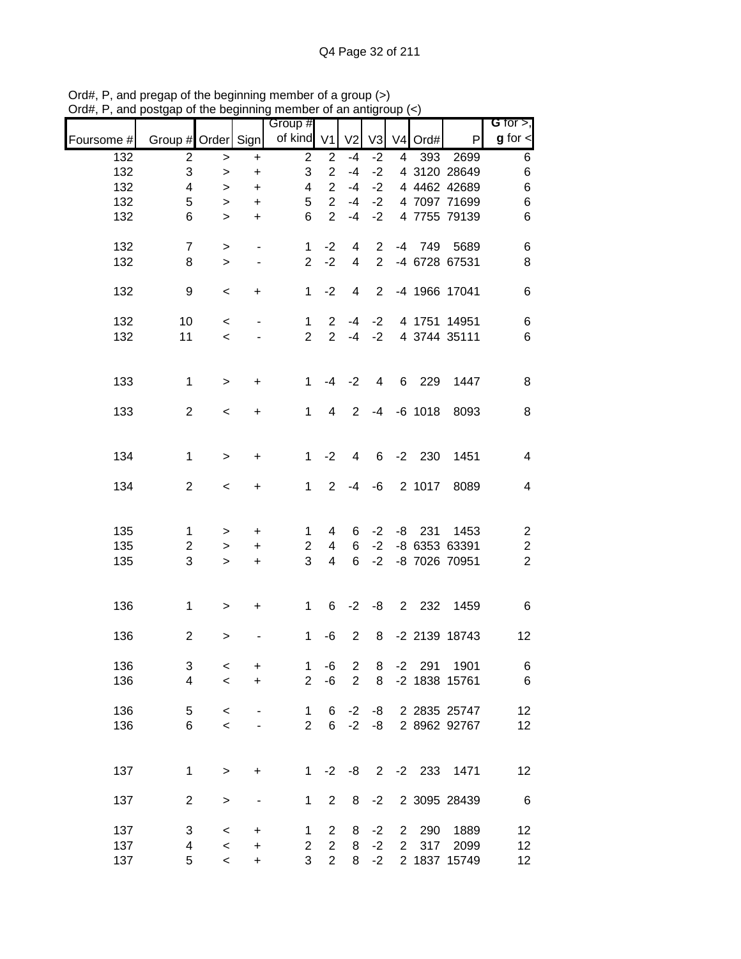|            |                         | <u>unuwe</u> |                                  | <br>Group #    |                |                |                |                |                |               | G for $>$ ,             |
|------------|-------------------------|--------------|----------------------------------|----------------|----------------|----------------|----------------|----------------|----------------|---------------|-------------------------|
| Foursome # | Group # Order Sign      |              |                                  | of kind V1     |                | V <sub>2</sub> | V <sub>3</sub> |                | $V4$ Ord#      | P             | $g$ for $\lt$           |
| 132        | $\overline{c}$          | $\,>$        | $\ddot{}$                        | $\overline{2}$ | $\overline{2}$ | $-4$           | $-2$           | $\overline{4}$ | 393            | 2699          | 6                       |
| 132        | 3                       | $\, >$       | $\ddot{}$                        | 3              | $\overline{2}$ | $-4$           | $-2$           |                |                | 4 3120 28649  | $\,6$                   |
| 132        | 4                       | $\,$         | $\begin{array}{c} + \end{array}$ | 4              | $\overline{2}$ | $-4$           | $-2$           |                |                | 4 4462 42689  | $\,6$                   |
| 132        | 5                       | $\,>$        | $\ddot{}$                        | 5              | $\overline{2}$ | $-4$           | $-2$           |                |                | 4 7097 71699  | 6                       |
| 132        | 6                       | $\geq$       | $+$                              | 6              | $\overline{2}$ | $-4$           | $-2$           |                |                | 4 7755 79139  | $\,6$                   |
| 132        | $\overline{7}$          | $\, >$       | $\blacksquare$                   | $\mathbf 1$    | $-2$           | 4              | $\overline{2}$ |                |                | -4 749 5689   | 6                       |
| 132        | 8                       | $\geq$       | $\blacksquare$                   | $\overline{2}$ | $-2$           | $\overline{4}$ | $\overline{2}$ |                |                | -4 6728 67531 | $\,8\,$                 |
| 132        | 9                       | $\,<$        | $\ddot{}$                        | $\mathbf{1}$   | $-2$           | 4              | $\overline{2}$ |                |                | -4 1966 17041 | $\,6$                   |
| 132        | 10                      | $\,<\,$      | $\blacksquare$                   | $\mathbf 1$    | $\overline{2}$ | -4             | $-2$           |                |                | 4 1751 14951  | 6                       |
| 132        | 11                      | $\,<\,$      |                                  | $\overline{2}$ | 2 <sup>1</sup> |                | $-4 -2$        |                |                | 4 3744 35111  | 6                       |
| 133        | $\mathbf 1$             | $\,$         | $\ddot{}$                        | $\mathbf{1}$   | $-4$           | $-2$           | $\overline{4}$ |                | 6 229          | 1447          | 8                       |
| 133        | $\overline{2}$          | $\,<\,$      | +                                | $\mathbf 1$    | 4              | 2              |                |                | $-4$ $-6$ 1018 | 8093          | 8                       |
|            |                         |              |                                  |                |                |                |                |                |                |               |                         |
| 134        | $\mathbf 1$             | $\geq$       | +                                | 1              | $-2$           | 4              | 6              |                | $-2$ 230       | 1451          | $\overline{\mathbf{4}}$ |
| 134        | $\overline{2}$          | $\,<\,$      | $+$                              | $\mathbf{1}$   | $\overline{2}$ | $-4$           | -6             |                | 2 1017         | 8089          | $\overline{\mathbf{4}}$ |
| 135        | $\mathbf{1}$            | $\,$         | $\pm$                            | 1              | 4              | 6              | $-2$           |                | $-8$ 231       | 1453          | $\overline{\mathbf{c}}$ |
| 135        | $\overline{\mathbf{c}}$ | $\,$         | $\ddot{}$                        | 2              | $\overline{4}$ | 6              | $-2$           |                |                | -8 6353 63391 | $\overline{\mathbf{c}}$ |
| 135        | 3                       | $\,>$        | $+$                              | 3              | $\overline{4}$ | 6              | $-2$           |                |                | -8 7026 70951 | $\overline{2}$          |
| 136        | $\mathbf 1$             |              |                                  | $\mathbf 1$    | 6              |                | $-2 -8$        |                |                | 2 232 1459    | $\,6$                   |
|            |                         | $\, > \,$    | $+$                              |                |                |                |                |                |                |               |                         |
| 136        | $\overline{c}$          | >            |                                  | 1              | -6             | 2              | 8              |                |                | -2 2139 18743 | 12                      |
| 136        | 3                       | $\,<$        | +                                | 1              | -6             | $\overline{c}$ | 8              | $-2$           | 291            | 1901          | 6                       |
| 136        | 4                       | $\,<$        | $\ddot{}$                        | $\overline{2}$ | $-6$           | $\overline{2}$ | 8              |                |                | -2 1838 15761 | $\,6$                   |
| 136        | 5                       | $\,<\,$      |                                  | 1              | 6              | $-2$           | -8             |                |                | 2 2835 25747  | 12                      |
| 136        | 6                       | $\,<$        |                                  | $\overline{2}$ | 6              | $-2$           | -8             |                |                | 2 8962 92767  | 12                      |
|            |                         |              |                                  |                |                |                |                |                |                |               |                         |
| 137        | $\mathbf{1}$            | $\,$         | $\ddot{}$                        | $\mathbf 1$    | $-2$           | -8             | $2^{\circ}$    |                | $-2$ 233       | 1471          | 12                      |
| 137        | $\overline{c}$          | $\,>$        | $\overline{\phantom{0}}$         | 1              | $\overline{2}$ | 8              | $-2$           |                |                | 2 3095 28439  | 6                       |
| 137        | 3                       | $\,<$        | +                                | 1              | $\overline{2}$ | 8              | $-2$           | $\overline{2}$ | 290            | 1889          | 12                      |
| 137        | 4                       | $\prec$      | $\ddot{}$                        | $\overline{2}$ | $\overline{2}$ | 8              | $-2$           | $\overline{2}$ | 317            | 2099          | 12                      |
| 137        | 5                       | $\prec$      | $\ddot{}$                        | 3              | $\overline{2}$ | 8              | $-2$           |                |                | 2 1837 15749  | $12 \overline{ }$       |

Ord#, P, and pregap of the beginning member of a group (>) Ord#, P, and postgap of the beginning member of an antigroup (<)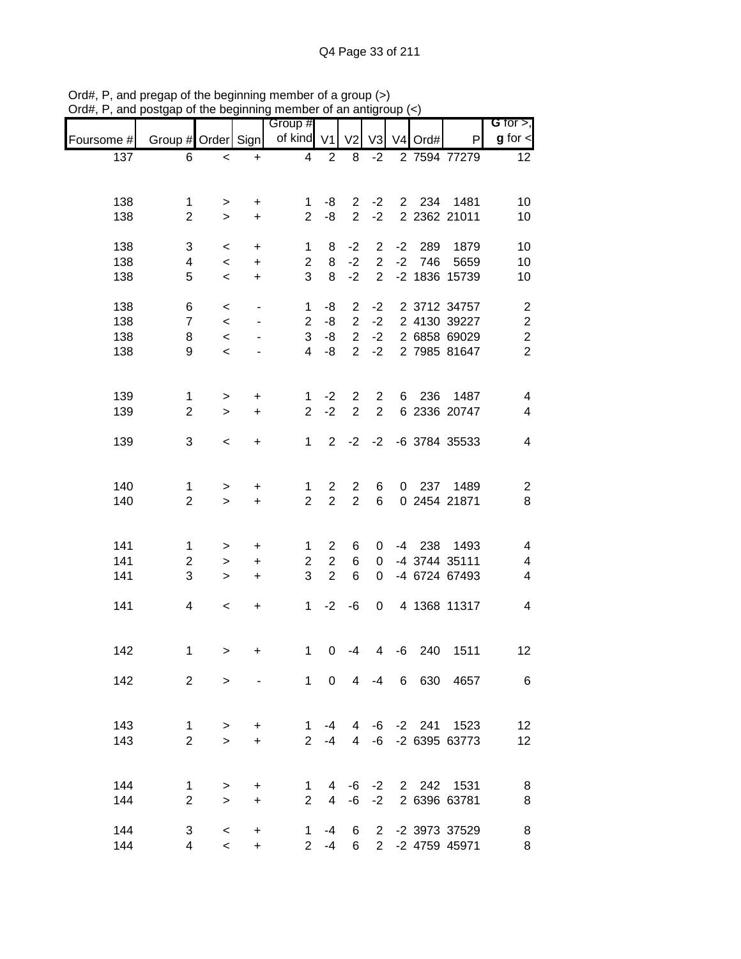|            |                     |                    |                                  | $\sim$ and $\sim$ and $\sim$ and $\sim$ and $\sim$ and $\sim$ and $\sim$ and $\sim$ and $\sim$ and $\sim$ and $\sim$ and $\sim$ and $\sim$ and $\sim$ and $\sim$ and $\sim$ and $\sim$ and $\sim$ and $\sim$ and $\sim$ and $\sim$ and $\sim$ and $\sim$ and $\sim$ and $\sim$ |                |                                  |                |      |                     |                            |                                      |
|------------|---------------------|--------------------|----------------------------------|--------------------------------------------------------------------------------------------------------------------------------------------------------------------------------------------------------------------------------------------------------------------------------|----------------|----------------------------------|----------------|------|---------------------|----------------------------|--------------------------------------|
| Foursome # | Group # Order Sign  |                    |                                  | Group #<br>of kind V1                                                                                                                                                                                                                                                          |                | V <sub>2</sub>                   | V3             |      | V <sub>4</sub> Ord# | P                          | G for $>$ ,<br>$g$ for $\mathbf{I}$  |
| 137        | 6                   | $\,<$              | $\ddot{}$                        | 4                                                                                                                                                                                                                                                                              | $\overline{2}$ | 8                                | $-2$           |      |                     | 2 7594 77279               | 12                                   |
|            |                     |                    |                                  |                                                                                                                                                                                                                                                                                |                |                                  |                |      |                     |                            |                                      |
|            |                     |                    |                                  |                                                                                                                                                                                                                                                                                |                |                                  |                |      |                     |                            |                                      |
| 138<br>138 | 1<br>$\overline{2}$ | ><br>$\geq$        | $\ddot{}$<br>$\ddot{}$           | 1<br>$\overline{2}$                                                                                                                                                                                                                                                            | -8<br>-8       | $2^{\circ}$<br>$\overline{2}$    | $-2$<br>$-2$   |      |                     | 2 234 1481<br>2 2362 21011 | 10<br>10                             |
|            |                     |                    |                                  |                                                                                                                                                                                                                                                                                |                |                                  |                |      |                     |                            |                                      |
| 138        | 3                   | $\,<\,$            | $\ddot{}$                        | 1                                                                                                                                                                                                                                                                              | 8              | $-2$                             | $\overline{2}$ | $-2$ | 289                 | 1879                       | 10                                   |
| 138        | 4                   | $\,<\,$            | $\bf +$                          | $\overline{2}$                                                                                                                                                                                                                                                                 | 8              | $-2$                             | $2^{\circ}$    |      | $-2$ 746            | 5659                       | 10                                   |
| 138        | 5                   | $\,<$              | $\begin{array}{c} + \end{array}$ | 3                                                                                                                                                                                                                                                                              | 8              | $-2$                             | $\overline{2}$ |      |                     | -2 1836 15739              | 10                                   |
| 138        |                     |                    |                                  |                                                                                                                                                                                                                                                                                | -8             |                                  |                |      |                     | 2 3712 34757               |                                      |
| 138        | 6<br>$\overline{7}$ | $\,<\,$<br>$\,<\,$ | $\overline{\phantom{a}}$         | 1<br>$\overline{2}$                                                                                                                                                                                                                                                            | -8             | $\overline{2}$<br>$\overline{2}$ | $-2$<br>$-2$   |      |                     | 2 4130 39227               | $\boldsymbol{2}$<br>$\boldsymbol{2}$ |
| 138        | 8                   | $\,<\,$            |                                  | 3                                                                                                                                                                                                                                                                              | $-8$           | $\overline{2}$                   | $-2$           |      |                     | 2 6858 69029               | $\boldsymbol{2}$                     |
| 138        | 9                   | $\prec$            |                                  | $\overline{4}$                                                                                                                                                                                                                                                                 | -8             | $\overline{2}$                   | $-2$           |      |                     | 2 7985 81647               | $\overline{2}$                       |
|            |                     |                    |                                  |                                                                                                                                                                                                                                                                                |                |                                  |                |      |                     |                            |                                      |
|            |                     |                    |                                  |                                                                                                                                                                                                                                                                                |                |                                  |                |      |                     |                            |                                      |
| 139        | $\mathbf{1}$        | >                  | +                                | 1                                                                                                                                                                                                                                                                              | $-2$           | $\overline{2}$                   | $\overline{2}$ | 6    | 236                 | 1487                       | $\overline{\mathcal{A}}$             |
| 139        | $\overline{2}$      | $\geq$             | $\ddot{}$                        | $\overline{2}$                                                                                                                                                                                                                                                                 | $-2$           | 2                                | $\overline{2}$ |      |                     | 6 2336 20747               | $\overline{\mathcal{A}}$             |
| 139        | 3                   | $\,<$              | $\ddot{}$                        | $\mathbf 1$                                                                                                                                                                                                                                                                    | $\overline{2}$ | $-2$                             | $-2$           |      |                     | -6 3784 35533              | 4                                    |
|            |                     |                    |                                  |                                                                                                                                                                                                                                                                                |                |                                  |                |      |                     |                            |                                      |
|            |                     |                    |                                  |                                                                                                                                                                                                                                                                                |                |                                  |                |      |                     |                            |                                      |
| 140        | 1                   | $\,$               | +                                | 1                                                                                                                                                                                                                                                                              | $\mathbf{2}$   | $\overline{2}$                   | 6              |      |                     | 0 237 1489                 | $\overline{\mathbf{c}}$              |
| 140        | $\overline{2}$      | $\mathbf{L}$       | $\ddot{}$                        | $\overline{2}$                                                                                                                                                                                                                                                                 | $\overline{2}$ | $\overline{2}$                   | 6              |      |                     | 0 2454 21871               | $\,8\,$                              |
|            |                     |                    |                                  |                                                                                                                                                                                                                                                                                |                |                                  |                |      |                     |                            |                                      |
| 141        | 1                   | >                  | $\ddot{}$                        | 1                                                                                                                                                                                                                                                                              | $\overline{2}$ | 6                                | 0              |      |                     | -4 238 1493                | 4                                    |
| 141        | $\overline{2}$      | $\, > \,$          | $\ddot{}$                        | $\overline{2}$                                                                                                                                                                                                                                                                 | $\overline{2}$ | 6                                | $\mathbf 0$    |      |                     | -4 3744 35111              | $\overline{\mathcal{A}}$             |
| 141        | 3                   | $\, > \,$          | $\ddot{}$                        | 3                                                                                                                                                                                                                                                                              | $\overline{2}$ | 6                                | $\mathbf 0$    |      |                     | -4 6724 67493              | $\overline{\mathcal{A}}$             |
|            |                     |                    |                                  |                                                                                                                                                                                                                                                                                |                |                                  |                |      |                     |                            |                                      |
| 141        | 4                   | $\,<\,$            | $\ddot{}$                        | $\mathbf{1}$                                                                                                                                                                                                                                                                   | $-2$           | -6                               | $\mathbf 0$    |      |                     | 4 1368 11317               | 4                                    |
|            |                     |                    |                                  |                                                                                                                                                                                                                                                                                |                |                                  |                |      |                     |                            |                                      |
| 142        | 1                   | >                  | +                                | 1                                                                                                                                                                                                                                                                              | 0              | $-4$                             | 4              | -6   | 240                 | 1511                       | 12                                   |
|            |                     |                    |                                  |                                                                                                                                                                                                                                                                                |                |                                  |                |      |                     |                            |                                      |
| 142        | $\overline{2}$      | $\geq$             |                                  |                                                                                                                                                                                                                                                                                |                |                                  |                |      |                     | 1 0 4 -4 6 630 4657        | $6\phantom{1}6$                      |
|            |                     |                    |                                  |                                                                                                                                                                                                                                                                                |                |                                  |                |      |                     |                            |                                      |
| 143        | 1                   | >                  | $\ddot{}$                        | $\mathbf{1}$                                                                                                                                                                                                                                                                   |                |                                  |                |      |                     | -4 4 -6 -2 241 1523        | 12                                   |
| 143        | $\overline{2}$      | $\geq$             | $\ddot{}$                        | $2^{\circ}$                                                                                                                                                                                                                                                                    | $-4$           |                                  |                |      |                     | 4 -6 -2 6395 63773         | 12                                   |
|            |                     |                    |                                  |                                                                                                                                                                                                                                                                                |                |                                  |                |      |                     |                            |                                      |
|            |                     |                    |                                  |                                                                                                                                                                                                                                                                                |                |                                  |                |      |                     |                            |                                      |
| 144        | $\mathbf{1}$        | >                  | $\ddot{}$                        | 1                                                                                                                                                                                                                                                                              | 4              | -6                               |                |      |                     | -2 2 242 1531              | 8                                    |
| 144        | $\overline{2}$      | $\geq$             | $\ddot{}$                        | $\overline{2}$                                                                                                                                                                                                                                                                 | 4              | -6                               |                |      |                     | -2 2 6396 63781            | 8                                    |
| 144        | 3                   | $\,<\,$            | +                                |                                                                                                                                                                                                                                                                                | $1 - 4$        | -6                               |                |      |                     | 2 -2 3973 37529            | 8                                    |
| 144        | $\overline{4}$      | $\prec$            | $+$                              |                                                                                                                                                                                                                                                                                | $2 - 4$        | 6                                |                |      |                     | 2 -2 4759 45971            | 8                                    |

Ord#, P, and pregap of the beginning member of a group (>) Ord#, P, and postgap of the beginning member of an antigroup (<)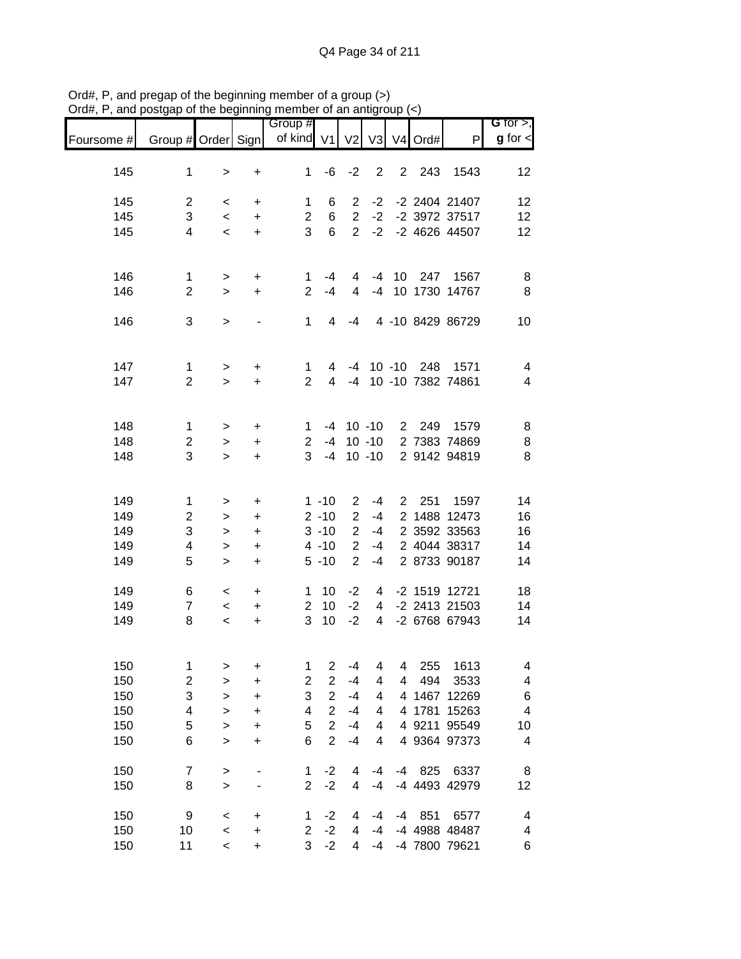|            |                         |           |                          | Group #                 |                |                |                |              |                     |                   | <b>G</b> for $>$ ,      |
|------------|-------------------------|-----------|--------------------------|-------------------------|----------------|----------------|----------------|--------------|---------------------|-------------------|-------------------------|
| Foursome # | Group # Order Sign      |           |                          | of kind $V1$            |                | V <sub>2</sub> | V3             |              | V <sub>4</sub> Ord# | P                 | $g$ for $\lt$           |
|            |                         |           |                          | 1                       |                |                | $\overline{2}$ |              |                     |                   |                         |
| 145        | $\mathbf 1$             | >         | +                        |                         | -6             | $-2$           |                |              | 2 243               | 1543              | 12                      |
| 145        | $\overline{c}$          | $\,<\,$   | +                        | 1                       | 6              | $\overline{2}$ | $-2$           |              |                     | -2 2404 21407     | 12                      |
| 145        | 3                       | $\,<$     | $\ddot{}$                | $\overline{c}$          | 6              | $\overline{2}$ | $-2$           |              |                     | -2 3972 37517     | 12                      |
| 145        | $\overline{4}$          | $\,<\,$   | $\ddot{}$                | 3                       | 6              | $\overline{2}$ | $-2$           |              |                     | -2 4626 44507     | 12                      |
|            |                         |           |                          |                         |                |                |                |              |                     |                   |                         |
| 146        | $\mathbf 1$             | >         | +                        | 1.                      | -4             | 4              |                |              | -4 10 247           | 1567              | 8                       |
| 146        | $\overline{2}$          | $\geq$    | $\ddot{}$                | $\overline{2}$          | $-4$           | 4              |                |              |                     | -4 10 1730 14767  | 8                       |
|            |                         |           |                          |                         |                |                |                |              |                     |                   |                         |
| 146        | 3                       | $\, > \,$ | $\overline{\phantom{a}}$ | 1                       | $\overline{4}$ | -4             |                |              |                     | 4 -10 8429 86729  | 10                      |
|            |                         |           |                          |                         |                |                |                |              |                     |                   |                         |
| 147        | $\mathbf 1$             | $\,>$     | +                        | 1                       | 4              | -4             |                |              | 10 -10 248          | 1571              | $\overline{\mathbf{4}}$ |
| 147        | $\overline{2}$          | $\geq$    | +                        | $\overline{2}$          | 4              | $-4$           |                |              |                     | 10 -10 7382 74861 | $\overline{4}$          |
|            |                         |           |                          |                         |                |                |                |              |                     |                   |                         |
| 148        | $\mathbf 1$             | $\, > \,$ | +                        | 1                       |                | $-4$ 10 $-10$  |                |              | 2 249               | 1579              | 8                       |
| 148        | $\overline{\mathbf{c}}$ | $\, > \,$ | +                        | $\overline{2}$          | $-4$           |                | $10 - 10$      |              |                     | 2 7383 74869      | 8                       |
| 148        | 3                       | $\geq$    | $\ddot{}$                | 3                       | $-4$           |                | $10 - 10$      |              |                     | 2 9142 94819      | 8                       |
|            |                         |           |                          |                         |                |                |                |              |                     |                   |                         |
| 149        | $\mathbf 1$             | >         | +                        |                         | $1 - 10$       | $\overline{2}$ | $-4$           | $\mathbf{2}$ | 251                 | 1597              | 14                      |
| 149        | $\overline{c}$          | >         | $\ddot{}$                |                         | $2 - 10$       | $\overline{2}$ | $-4$           |              |                     | 2 1488 12473      | 16                      |
| 149        | 3                       | >         | +                        |                         | $3 - 10$       | $\overline{2}$ | $-4$           |              |                     | 2 3592 33563      | 16                      |
| 149        | 4                       | $\,>$     | +                        |                         | $4 - 10$       | $\overline{2}$ | -4             |              |                     | 2 4044 38317      | 14                      |
| 149        | 5                       | $\geq$    | $\ddot{}$                |                         | $5 - 10$       | $\overline{2}$ | $-4$           |              |                     | 2 8733 90187      | 14                      |
| 149        | 6                       | $\,<\,$   | +                        | 1                       | 10             | $-2$           | 4              |              |                     | -2 1519 12721     | 18                      |
| 149        | $\overline{7}$          | $\,<\,$   | $\ddot{}$                | 2                       | 10             | $-2$           | 4              |              |                     | -2 2413 21503     | 14                      |
| 149        | 8                       | $\,<$     | +                        | 3                       | 10             | $-2$           | 4              |              |                     | -2 6768 67943     | 14                      |
|            |                         |           |                          |                         |                |                |                |              |                     |                   |                         |
| 150        | $\mathbf 1$             |           |                          | 1                       | 2              | $-4$           | 4              | 4            | 255                 | 1613              | 4                       |
| 150        | $\overline{\mathbf{c}}$ | >         | +<br>+                   | $\overline{\mathbf{c}}$ | $\overline{2}$ | $-4$           | 4              | 4            | 494                 | 3533              | 4                       |
| 150        | 3                       | ><br>>    | +                        | 3                       | $\overline{2}$ | $-4$           | 4              |              |                     | 4 1467 12269      | 6                       |
| 150        | 4                       | >         | +                        | 4                       | $\overline{2}$ | $-4$           | 4              |              | 4 1781              | 15263             | 4                       |
| 150        | 5                       | $\geq$    | +                        | 5                       | $\overline{2}$ | $-4$           | 4              |              |                     | 4 9211 95549      | 10                      |
| 150        | 6                       | $\geq$    | +                        | 6                       | $\overline{2}$ | $-4$           | 4              |              |                     | 4 9364 97373      | 4                       |
|            |                         |           |                          |                         |                |                |                |              |                     |                   |                         |
| 150        | $\overline{7}$          | $\, > \,$ |                          | 1                       | $-2$           | 4              | $-4$           | $-4$         | 825                 | 6337              | 8                       |
| 150        | 8                       | $\geq$    |                          | $\overline{2}$          | $-2$           | 4              | $-4$           |              |                     | -4 4493 42979     | 12                      |
| 150        | 9                       | $\,<$     | +                        | 1                       | $-2$           | 4              | -4             | -4           | 851                 | 6577              | 4                       |
| 150        | 10                      | $\,<$     | +                        | $\overline{c}$          | $-2$           | 4              | -4             |              |                     | -4 4988 48487     | 4                       |
| 150        | 11                      | $\,<\,$   | +                        | 3                       | $-2$           | 4              | -4             |              |                     | -4 7800 79621     | 6                       |

Ord#, P, and pregap of the beginning member of a group (>) Ord#, P, and postgap of the beginning member of an antigroup (<)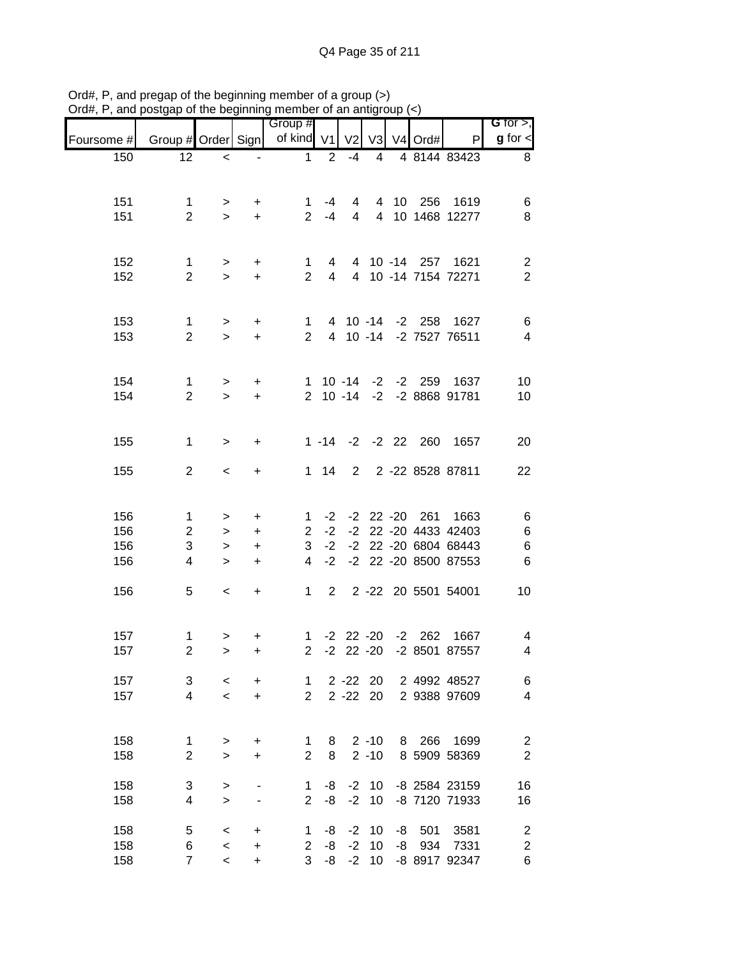|            |                                  | <b></b>                  |                | 111011100<br>Group # |         |                 |                |    |            |                           | G for $>$ ,             |
|------------|----------------------------------|--------------------------|----------------|----------------------|---------|-----------------|----------------|----|------------|---------------------------|-------------------------|
| Foursome # | Group # Order Sign of kind V1 V2 |                          |                |                      |         |                 |                |    | V3 V4 Ord# | P                         | $g$ for $\lt$           |
| 150        | 12                               | $\overline{\phantom{0}}$ | $\blacksquare$ | $\mathbf{1}$         | 2       | -4              | $\overline{4}$ |    |            | 4 8144 83423              | 8                       |
|            |                                  |                          |                |                      |         |                 |                |    |            |                           |                         |
|            |                                  |                          |                |                      |         |                 |                |    |            |                           |                         |
| 151        | $\mathbf{1}$                     | >                        | $+$            | $\mathbf 1$          | $-4$    | $4\overline{ }$ |                |    |            | 4 10 256 1619             | 6                       |
| 151        | $\overline{2}$                   | $\geq$                   | $+$            |                      | $2 - 4$ |                 |                |    |            | 4 4 10 1468 12277         | 8                       |
|            |                                  |                          |                |                      |         |                 |                |    |            |                           |                         |
| 152        | $\mathbf{1}$                     | $\geq$                   | $\ddot{}$      | $\mathbf{1}$         |         |                 |                |    |            | 4 4 10 -14 257 1621       | $\overline{c}$          |
| 152        | $\overline{2}$                   | $\geq$                   | $+$            | $2^{\circ}$          |         |                 |                |    |            | 4 4 10 -14 7154 72271     | $\overline{2}$          |
|            |                                  |                          |                |                      |         |                 |                |    |            |                           |                         |
|            |                                  |                          |                |                      |         |                 |                |    |            |                           |                         |
| 153        | $\mathbf{1}$                     | $\geq$                   | $+$            |                      |         |                 |                |    |            | 1 4 10 -14 -2 258 1627    | 6                       |
| 153        | $\overline{2}$                   | $\geq$                   | $+$            |                      |         |                 |                |    |            | 2 4 10 -14 -2 7527 76511  | $\overline{4}$          |
|            |                                  |                          |                |                      |         |                 |                |    |            |                           |                         |
| 154        | $\mathbf{1}$                     | $\geq$                   | $+$            |                      |         |                 |                |    |            | 1 10 -14 -2 -2 259 1637   | 10                      |
| 154        | $\overline{2}$                   | $\geq$                   | $+$            |                      |         |                 |                |    |            | 2 10 -14 -2 -2 8868 91781 | 10                      |
|            |                                  |                          |                |                      |         |                 |                |    |            |                           |                         |
|            |                                  |                          |                |                      |         |                 |                |    |            |                           |                         |
| 155        | $\mathbf{1}$                     | $\,>$                    | $\ddot{}$      |                      |         |                 |                |    |            | 1 -14 -2 -2 22 260 1657   | 20                      |
| 155        | $\overline{2}$                   |                          |                |                      |         |                 |                |    |            | 1 14 2 2 -22 8528 87811   | 22                      |
|            |                                  | $\,<\,$                  | $\ddot{}$      |                      |         |                 |                |    |            |                           |                         |
|            |                                  |                          |                |                      |         |                 |                |    |            |                           |                         |
| 156        | $\mathbf{1}$                     | $\geq$                   | $\ddot{}$      |                      |         |                 |                |    |            | 1 -2 -2 22 -20 261 1663   | 6                       |
| 156        | $\overline{2}$                   | $\, >$                   | $\ddot{}$      | $\overline{2}$       | $-2$    |                 |                |    |            | -2 22 -20 4433 42403      | $\,6$                   |
| 156        | $\ensuremath{\mathsf{3}}$        | $\geq$                   | $\ddot{}$      | 3                    | $-2$    |                 |                |    |            | -2 22 -20 6804 68443      | $\,6$                   |
| 156        | 4                                | $\geq$                   | $\ddot{}$      | $\overline{4}$       | $-2$    |                 |                |    |            | -2 22 -20 8500 87553      | $\,6$                   |
|            |                                  |                          |                |                      |         |                 |                |    |            |                           |                         |
| 156        | 5                                | $\,<\,$                  | $+$            |                      |         |                 |                |    |            | 1 2 2 -22 20 5501 54001   | 10                      |
|            |                                  |                          |                |                      |         |                 |                |    |            |                           |                         |
| 157        | $\mathbf{1}$                     | $\geq$                   | +              |                      |         |                 |                |    |            | 1 -2 22 -20 -2 262 1667   | 4                       |
| 157        | $\overline{c}$                   | $\mathbf{I}$             | +              | $\overline{a}$       |         |                 |                |    |            | -2 22 -20 -2 8501 87557   | 4                       |
|            |                                  |                          |                |                      |         |                 |                |    |            |                           |                         |
| 157        | 3                                | $\,<\,$                  | +              | 1                    |         | $2 - 22$ 20     |                |    |            | 2 4992 48527              | 6                       |
| 157        | 4                                | $\prec$                  | +              | $\overline{2}$       |         | $2 - 22$ 20     |                |    |            | 2 9388 97609              | $\overline{\mathbf{4}}$ |
|            |                                  |                          |                |                      |         |                 |                |    |            |                           |                         |
| 158        | 1                                | >                        | +              | 1                    | 8       |                 | $2 - 10$       |    | 8 266      | 1699                      | $\overline{c}$          |
| 158        | $\overline{2}$                   | $\geq$                   | +              | $\overline{2}$       | 8       |                 | $2 - 10$       |    |            | 8 5909 58369              | $\overline{2}$          |
|            |                                  |                          |                |                      |         |                 |                |    |            |                           |                         |
| 158        | 3                                | >                        |                | 1                    | -8      | $-2$            | 10             |    |            | -8 2584 23159             | 16                      |
| 158        | 4                                | $\geq$                   |                | 2                    | -8      | $-2$            | 10             |    |            | -8 7120 71933             | 16                      |
| 158        | 5                                | $\,<$                    | +              | 1                    | -8      | $-2$            | 10             | -8 | 501        | 3581                      | 2                       |
| 158        | 6                                | $\,<\,$                  | +              | $\overline{2}$       | -8      | $-2$            | 10             | -8 | 934        | 7331                      | $\overline{c}$          |
| 158        | $\overline{7}$                   | $\prec$                  | +              | 3                    | -8      | $-2$            | 10             |    |            | -8 8917 92347             | 6                       |

Ord#, P, and pregap of the beginning member of a group (>) Ord#, P, and postgap of the beginning member of an antigroup (<)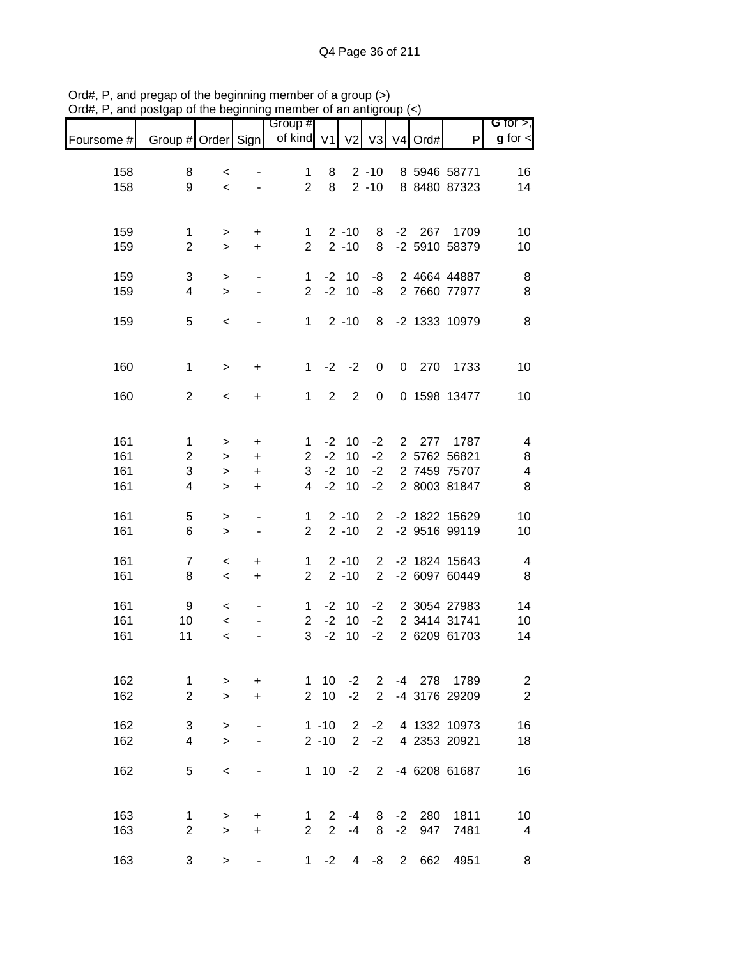|                          |                                           |                                  |                                                              | Group #                        |                                  |                                  |                                  |                |                     |                                                      | G for $>$ ,                                                  |
|--------------------------|-------------------------------------------|----------------------------------|--------------------------------------------------------------|--------------------------------|----------------------------------|----------------------------------|----------------------------------|----------------|---------------------|------------------------------------------------------|--------------------------------------------------------------|
| Foursome #               | Group # Order Sign                        |                                  |                                                              | of kind V1                     |                                  | V <sub>2</sub>                   | V3                               |                | V <sub>4</sub> Ord# | P                                                    | $g$ for $\lt$                                                |
| 158<br>158               | 8<br>9                                    | $\,<\,$<br>$\,<$                 |                                                              | $\mathbf{1}$<br>$\overline{2}$ | 8<br>8                           |                                  | $2 - 10$<br>$2 - 10$             |                |                     | 8 5946 58771<br>8 8480 87323                         | 16<br>14                                                     |
| 159<br>159               | $\mathbf 1$<br>$\overline{2}$             | ><br>$\, > \,$                   | +<br>$\ddot{}$                                               | 1<br>$\overline{2}$            |                                  | $2 - 10$<br>$2 - 10$             | 8<br>8                           |                | $-2$ 267            | 1709<br>-2 5910 58379                                | 10<br>10                                                     |
| 159<br>159               | 3<br>4                                    | $\,>$<br>$\geq$                  | $\qquad \qquad \blacksquare$<br>۰                            | 1<br>$\overline{2}$            | $-2$<br>$-2$                     | 10<br>10                         | -8<br>-8                         |                |                     | 2 4664 44887<br>2 7660 77977                         | 8<br>8                                                       |
| 159                      | 5                                         | $\,<\,$                          |                                                              | $\mathbf{1}$                   |                                  | $2 - 10$                         | 8                                |                |                     | -2 1333 10979                                        | 8                                                            |
| 160                      | $\mathbf 1$                               | $\, > \,$                        | +                                                            | $\mathbf{1}$                   | $-2$                             | $-2$                             | $\mathbf 0$                      |                | $0$ 270             | 1733                                                 | 10                                                           |
| 160                      | $\overline{2}$                            | $\,<\,$                          | +                                                            | $\mathbf{1}$                   | $\overline{2}$                   | $\overline{2}$                   | 0                                |                |                     | 0 1598 13477                                         | 10                                                           |
| 161<br>161<br>161<br>161 | $\mathbf 1$<br>$\boldsymbol{2}$<br>3<br>4 | ><br>><br>$\, > \,$<br>$\, > \,$ | $\ddot{}$<br>+<br>$\begin{array}{c} + \end{array}$<br>+      | 1<br>$\overline{c}$<br>3<br>4  | $-2$<br>$-2$<br>$-2$<br>$-2$     | 10<br>10<br>10<br>10             | $-2$<br>$-2$<br>$-2$<br>$-2$     |                | 2 277               | 1787<br>2 5762 56821<br>2 7459 75707<br>2 8003 81847 | $\overline{\mathbf{4}}$<br>8<br>$\overline{\mathbf{4}}$<br>8 |
| 161<br>161               | 5<br>6                                    | $\,>$<br>$\geq$                  | $\qquad \qquad \blacksquare$<br>$\qquad \qquad \blacksquare$ | 1<br>$\overline{2}$            |                                  | $2 - 10$<br>$2 - 10$             | 2<br>$\overline{2}$              |                |                     | -2 1822 15629<br>-2 9516 99119                       | 10<br>10                                                     |
| 161<br>161               | $\overline{7}$<br>8                       | $\,<\,$<br>$\,<$                 | +<br>+                                                       | 1<br>$\overline{2}$            |                                  | $2 - 10$<br>$2 - 10$             | $\overline{2}$<br>$\overline{2}$ |                |                     | -2 1824 15643<br>-2 6097 60449                       | $\overline{\mathcal{A}}$<br>$\bf 8$                          |
| 161<br>161<br>161        | 9<br>10<br>11                             | $\,<\,$<br>$\,<$<br>$\,<$        |                                                              | 1<br>$\overline{2}$<br>3       | $-2$<br>$-2$<br>$-2$             | 10<br>10<br>10                   | $-2$<br>$-2$<br>$-2$             |                |                     | 2 3054 27983<br>2 3414 31741<br>2 6209 61703         | 14<br>10<br>14                                               |
| 162<br>162               | 1<br>$\overline{2}$                       | $\, > \,$<br>$\geq$              | +<br>$\ddot{}$                                               | 1<br>$\overline{2}$            | 10<br>10                         | $-2$<br>$-2$                     | $\overline{2}$<br>$\overline{2}$ |                | -4 278              | 1789<br>-4 3176 29209                                | $\sqrt{2}$<br>$\overline{2}$                                 |
| 162<br>162               | 3<br>4                                    | $\, > \,$<br>$\geq$              |                                                              |                                | $1 - 10$<br>$2 - 10$             | $\overline{2}$<br>$\overline{2}$ | $-2$<br>$-2$                     |                |                     | 4 1332 10973<br>4 2353 20921                         | 16<br>18                                                     |
| 162                      | 5                                         | $\,<\,$                          |                                                              |                                | $1 10$                           | $-2$                             | $\overline{2}$                   |                |                     | -4 6208 61687                                        | 16                                                           |
| 163<br>163               | 1<br>$\mathbf{2}$                         | $\, > \,$<br>$\, > \,$           | +<br>+                                                       | 1<br>$\overline{2}$            | $\overline{2}$<br>$\overline{2}$ | $-4$<br>$-4$                     | 8<br>8                           | $-2$<br>$-2$   | 280<br>947          | 1811<br>7481                                         | 10<br>4                                                      |
| 163                      | 3                                         | $\, > \,$                        | $\qquad \qquad \blacksquare$                                 | $\mathbf 1$                    | $-2$                             | 4                                | -8                               | $\overline{2}$ | 662                 | 4951                                                 | 8                                                            |

Ord#, P, and pregap of the beginning member of a group (>) Ord#, P, and postgap of the beginning member of an antigroup (<)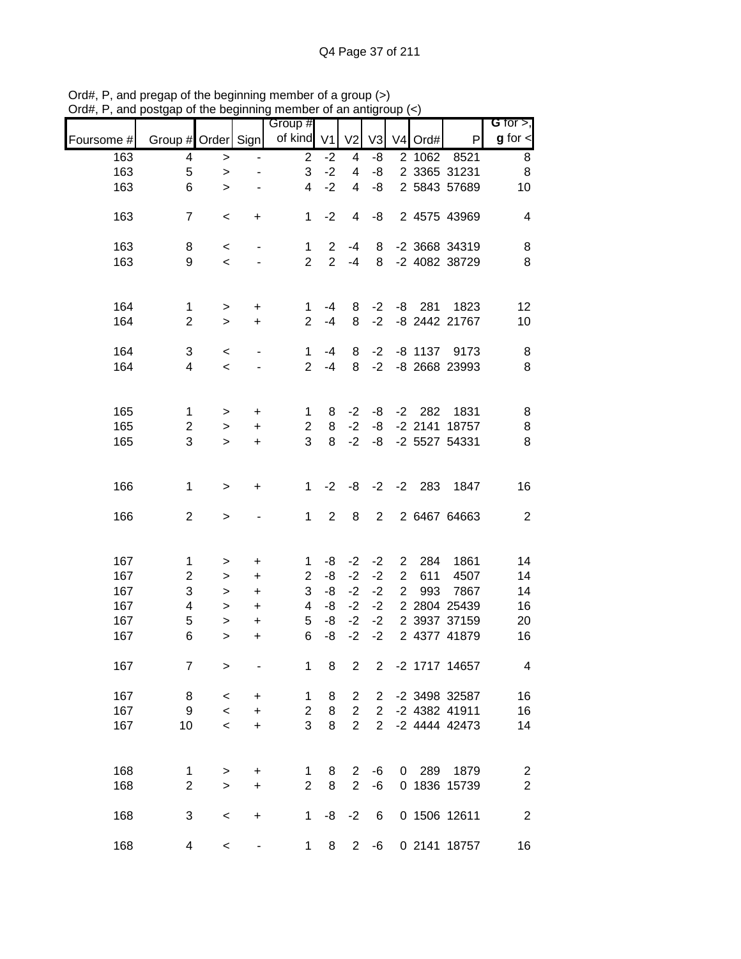| of kind<br>$g$ for $\leq$<br>Group # Order Sign<br>V <sub>1</sub><br>V <sub>2</sub><br>V <sub>3</sub><br>P<br>V4 Ord#<br>Foursome #<br>163<br>$\overline{2}$<br>2 1062<br>8<br>4<br>$-2$<br>-8<br>8521<br>4<br>$\,>$<br>$-2$<br>$\bf8$<br>$\mathbf 5$<br>3<br>-8<br>2 3365 31231<br>163<br>4<br>$\, > \,$<br>$-2$<br>6<br>2 5843 57689<br>163<br>$\overline{4}$<br>4<br>-8<br>10<br>$\geq$<br>163<br>$-2$<br>-8<br>2 4575 43969<br>$\overline{7}$<br>$\mathbf{1}$<br>4<br>$\overline{\mathbf{4}}$<br>$\,<\,$<br>+<br>163<br>-2 3668 34319<br>$\overline{2}$<br>8<br>8<br>8<br>$-4$<br>$\mathbf 1$<br>$\,<$<br>$\qquad \qquad \blacksquare$<br>$\overline{2}$<br>$\overline{2}$<br>9<br>$\, 8$<br>163<br>$-4$<br>8<br>-2 4082 38729<br>$\,<$<br>164<br>$-2$<br>$-8$ 281<br>$\mathbf{1}$<br>8<br>1823<br>12<br>1<br>$-4$<br>$\,$<br>+<br>$\overline{2}$<br>$\overline{2}$<br>$-2$<br>-8 2442 21767<br>164<br>$-4$<br>8<br>10<br>$\geq$<br>$\ddot{}$<br>164<br>3<br>$-2$<br>$-8$ 1137<br>8<br>$\mathbf{1}$<br>8<br>9173<br>$-4$<br>$\,<$<br>164<br>$-2$<br>-8 2668 23993<br>$\, 8$<br>4<br>$\overline{2}$<br>$-4$<br>8<br>$\,<$<br>165<br>1831<br>$\mathbf 1$<br>$-2$<br>$-2$ 282<br>8<br>8<br>-8<br>1<br>$\,$<br>+<br>165<br>$-2$<br>-2 2141 18757<br>8<br>$\overline{c}$<br>8<br>-8<br>$\overline{c}$<br>$\, >$<br>+<br>3<br>3<br>8<br>$-2$<br>8<br>-2 5527 54331<br>165<br>-8<br>$\geq$<br>$\ddot{}$<br>166<br>$-2$<br>$-2$ 283<br>$\mathbf 1$<br>$-2$<br>-8<br>1847<br>16<br>$\mathbf 1$<br>$\,$<br>$\ddot{}$<br>$\overline{2}$<br>$\boldsymbol{2}$<br>166<br>$\overline{2}$<br>8<br>$\overline{2}$<br>2 6467 64663<br>$\mathbf{1}$<br>$\,$<br>167<br>$\mathbf{1}$<br>-8<br>$-2$<br>$-2$<br>$\overline{2}$<br>284<br>1861<br>14<br>1<br>$\ddot{}$<br>$\,$<br>$-2$<br>$\overline{2}$<br>167<br>$\overline{c}$<br>$\overline{2}$<br>-8<br>$-2$<br>14<br>611<br>4507<br>$\ddot{}$<br>$\, >$<br>$-2$<br>3<br>3<br>-8<br>$-2$<br>$\overline{2}$<br>167<br>993<br>7867<br>14<br>$\ddot{}$<br>$\, >$<br>$-2$<br>-8<br>$-2$<br>2 2804 25439<br>167<br>4<br>4<br>16<br>$\ddot{}$<br>$\, >$<br>5<br>5<br>$-2$<br>$-2$<br>2 3937 37159<br>167<br>-8<br>20<br>$\ddot{}$<br>$\,$<br>167<br>6<br>$-2$<br>$-2$<br>2 4377 41879<br>6<br>-8<br>16<br>$\geq$<br>$\ddot{}$<br>8<br>$\overline{2}$<br>167<br>$\overline{7}$<br>1<br>$\overline{2}$<br>-2 1717 14657<br>4<br>$\geq$<br>167<br>-2 3498 32587<br>16<br>8<br>1<br>8<br>2<br>2<br>$\,<\,$<br>+<br>167<br>9<br>8<br>$\overline{c}$<br>-2 4382 41911<br>16<br>$\overline{c}$<br>$\overline{2}$<br>$\,<$<br>$\ddot{}$<br>3<br>167<br>10<br>8<br>$\overline{2}$<br>$\overline{2}$<br>-2 4444 42473<br>14<br>$\,<$<br>$\ddot{}$ |     |   |        | . | Group # |   |                |    |   |     |      | G for $>$ ,      |
|--------------------------------------------------------------------------------------------------------------------------------------------------------------------------------------------------------------------------------------------------------------------------------------------------------------------------------------------------------------------------------------------------------------------------------------------------------------------------------------------------------------------------------------------------------------------------------------------------------------------------------------------------------------------------------------------------------------------------------------------------------------------------------------------------------------------------------------------------------------------------------------------------------------------------------------------------------------------------------------------------------------------------------------------------------------------------------------------------------------------------------------------------------------------------------------------------------------------------------------------------------------------------------------------------------------------------------------------------------------------------------------------------------------------------------------------------------------------------------------------------------------------------------------------------------------------------------------------------------------------------------------------------------------------------------------------------------------------------------------------------------------------------------------------------------------------------------------------------------------------------------------------------------------------------------------------------------------------------------------------------------------------------------------------------------------------------------------------------------------------------------------------------------------------------------------------------------------------------------------------------------------------------------------------------------------------------------------------------------------------------------------------------------------------------------------------------------------------------------------------------------------------------------------------------------------------------------------------------------------------------------------------------------------------|-----|---|--------|---|---------|---|----------------|----|---|-----|------|------------------|
|                                                                                                                                                                                                                                                                                                                                                                                                                                                                                                                                                                                                                                                                                                                                                                                                                                                                                                                                                                                                                                                                                                                                                                                                                                                                                                                                                                                                                                                                                                                                                                                                                                                                                                                                                                                                                                                                                                                                                                                                                                                                                                                                                                                                                                                                                                                                                                                                                                                                                                                                                                                                                                                                    |     |   |        |   |         |   |                |    |   |     |      |                  |
|                                                                                                                                                                                                                                                                                                                                                                                                                                                                                                                                                                                                                                                                                                                                                                                                                                                                                                                                                                                                                                                                                                                                                                                                                                                                                                                                                                                                                                                                                                                                                                                                                                                                                                                                                                                                                                                                                                                                                                                                                                                                                                                                                                                                                                                                                                                                                                                                                                                                                                                                                                                                                                                                    |     |   |        |   |         |   |                |    |   |     |      |                  |
|                                                                                                                                                                                                                                                                                                                                                                                                                                                                                                                                                                                                                                                                                                                                                                                                                                                                                                                                                                                                                                                                                                                                                                                                                                                                                                                                                                                                                                                                                                                                                                                                                                                                                                                                                                                                                                                                                                                                                                                                                                                                                                                                                                                                                                                                                                                                                                                                                                                                                                                                                                                                                                                                    |     |   |        |   |         |   |                |    |   |     |      |                  |
|                                                                                                                                                                                                                                                                                                                                                                                                                                                                                                                                                                                                                                                                                                                                                                                                                                                                                                                                                                                                                                                                                                                                                                                                                                                                                                                                                                                                                                                                                                                                                                                                                                                                                                                                                                                                                                                                                                                                                                                                                                                                                                                                                                                                                                                                                                                                                                                                                                                                                                                                                                                                                                                                    |     |   |        |   |         |   |                |    |   |     |      |                  |
|                                                                                                                                                                                                                                                                                                                                                                                                                                                                                                                                                                                                                                                                                                                                                                                                                                                                                                                                                                                                                                                                                                                                                                                                                                                                                                                                                                                                                                                                                                                                                                                                                                                                                                                                                                                                                                                                                                                                                                                                                                                                                                                                                                                                                                                                                                                                                                                                                                                                                                                                                                                                                                                                    |     |   |        |   |         |   |                |    |   |     |      |                  |
|                                                                                                                                                                                                                                                                                                                                                                                                                                                                                                                                                                                                                                                                                                                                                                                                                                                                                                                                                                                                                                                                                                                                                                                                                                                                                                                                                                                                                                                                                                                                                                                                                                                                                                                                                                                                                                                                                                                                                                                                                                                                                                                                                                                                                                                                                                                                                                                                                                                                                                                                                                                                                                                                    |     |   |        |   |         |   |                |    |   |     |      |                  |
|                                                                                                                                                                                                                                                                                                                                                                                                                                                                                                                                                                                                                                                                                                                                                                                                                                                                                                                                                                                                                                                                                                                                                                                                                                                                                                                                                                                                                                                                                                                                                                                                                                                                                                                                                                                                                                                                                                                                                                                                                                                                                                                                                                                                                                                                                                                                                                                                                                                                                                                                                                                                                                                                    |     |   |        |   |         |   |                |    |   |     |      |                  |
|                                                                                                                                                                                                                                                                                                                                                                                                                                                                                                                                                                                                                                                                                                                                                                                                                                                                                                                                                                                                                                                                                                                                                                                                                                                                                                                                                                                                                                                                                                                                                                                                                                                                                                                                                                                                                                                                                                                                                                                                                                                                                                                                                                                                                                                                                                                                                                                                                                                                                                                                                                                                                                                                    |     |   |        |   |         |   |                |    |   |     |      |                  |
|                                                                                                                                                                                                                                                                                                                                                                                                                                                                                                                                                                                                                                                                                                                                                                                                                                                                                                                                                                                                                                                                                                                                                                                                                                                                                                                                                                                                                                                                                                                                                                                                                                                                                                                                                                                                                                                                                                                                                                                                                                                                                                                                                                                                                                                                                                                                                                                                                                                                                                                                                                                                                                                                    |     |   |        |   |         |   |                |    |   |     |      |                  |
|                                                                                                                                                                                                                                                                                                                                                                                                                                                                                                                                                                                                                                                                                                                                                                                                                                                                                                                                                                                                                                                                                                                                                                                                                                                                                                                                                                                                                                                                                                                                                                                                                                                                                                                                                                                                                                                                                                                                                                                                                                                                                                                                                                                                                                                                                                                                                                                                                                                                                                                                                                                                                                                                    |     |   |        |   |         |   |                |    |   |     |      |                  |
|                                                                                                                                                                                                                                                                                                                                                                                                                                                                                                                                                                                                                                                                                                                                                                                                                                                                                                                                                                                                                                                                                                                                                                                                                                                                                                                                                                                                                                                                                                                                                                                                                                                                                                                                                                                                                                                                                                                                                                                                                                                                                                                                                                                                                                                                                                                                                                                                                                                                                                                                                                                                                                                                    |     |   |        |   |         |   |                |    |   |     |      |                  |
|                                                                                                                                                                                                                                                                                                                                                                                                                                                                                                                                                                                                                                                                                                                                                                                                                                                                                                                                                                                                                                                                                                                                                                                                                                                                                                                                                                                                                                                                                                                                                                                                                                                                                                                                                                                                                                                                                                                                                                                                                                                                                                                                                                                                                                                                                                                                                                                                                                                                                                                                                                                                                                                                    |     |   |        |   |         |   |                |    |   |     |      |                  |
|                                                                                                                                                                                                                                                                                                                                                                                                                                                                                                                                                                                                                                                                                                                                                                                                                                                                                                                                                                                                                                                                                                                                                                                                                                                                                                                                                                                                                                                                                                                                                                                                                                                                                                                                                                                                                                                                                                                                                                                                                                                                                                                                                                                                                                                                                                                                                                                                                                                                                                                                                                                                                                                                    |     |   |        |   |         |   |                |    |   |     |      |                  |
|                                                                                                                                                                                                                                                                                                                                                                                                                                                                                                                                                                                                                                                                                                                                                                                                                                                                                                                                                                                                                                                                                                                                                                                                                                                                                                                                                                                                                                                                                                                                                                                                                                                                                                                                                                                                                                                                                                                                                                                                                                                                                                                                                                                                                                                                                                                                                                                                                                                                                                                                                                                                                                                                    |     |   |        |   |         |   |                |    |   |     |      |                  |
|                                                                                                                                                                                                                                                                                                                                                                                                                                                                                                                                                                                                                                                                                                                                                                                                                                                                                                                                                                                                                                                                                                                                                                                                                                                                                                                                                                                                                                                                                                                                                                                                                                                                                                                                                                                                                                                                                                                                                                                                                                                                                                                                                                                                                                                                                                                                                                                                                                                                                                                                                                                                                                                                    |     |   |        |   |         |   |                |    |   |     |      |                  |
|                                                                                                                                                                                                                                                                                                                                                                                                                                                                                                                                                                                                                                                                                                                                                                                                                                                                                                                                                                                                                                                                                                                                                                                                                                                                                                                                                                                                                                                                                                                                                                                                                                                                                                                                                                                                                                                                                                                                                                                                                                                                                                                                                                                                                                                                                                                                                                                                                                                                                                                                                                                                                                                                    |     |   |        |   |         |   |                |    |   |     |      |                  |
|                                                                                                                                                                                                                                                                                                                                                                                                                                                                                                                                                                                                                                                                                                                                                                                                                                                                                                                                                                                                                                                                                                                                                                                                                                                                                                                                                                                                                                                                                                                                                                                                                                                                                                                                                                                                                                                                                                                                                                                                                                                                                                                                                                                                                                                                                                                                                                                                                                                                                                                                                                                                                                                                    |     |   |        |   |         |   |                |    |   |     |      |                  |
|                                                                                                                                                                                                                                                                                                                                                                                                                                                                                                                                                                                                                                                                                                                                                                                                                                                                                                                                                                                                                                                                                                                                                                                                                                                                                                                                                                                                                                                                                                                                                                                                                                                                                                                                                                                                                                                                                                                                                                                                                                                                                                                                                                                                                                                                                                                                                                                                                                                                                                                                                                                                                                                                    |     |   |        |   |         |   |                |    |   |     |      |                  |
|                                                                                                                                                                                                                                                                                                                                                                                                                                                                                                                                                                                                                                                                                                                                                                                                                                                                                                                                                                                                                                                                                                                                                                                                                                                                                                                                                                                                                                                                                                                                                                                                                                                                                                                                                                                                                                                                                                                                                                                                                                                                                                                                                                                                                                                                                                                                                                                                                                                                                                                                                                                                                                                                    |     |   |        |   |         |   |                |    |   |     |      |                  |
|                                                                                                                                                                                                                                                                                                                                                                                                                                                                                                                                                                                                                                                                                                                                                                                                                                                                                                                                                                                                                                                                                                                                                                                                                                                                                                                                                                                                                                                                                                                                                                                                                                                                                                                                                                                                                                                                                                                                                                                                                                                                                                                                                                                                                                                                                                                                                                                                                                                                                                                                                                                                                                                                    |     |   |        |   |         |   |                |    |   |     |      |                  |
|                                                                                                                                                                                                                                                                                                                                                                                                                                                                                                                                                                                                                                                                                                                                                                                                                                                                                                                                                                                                                                                                                                                                                                                                                                                                                                                                                                                                                                                                                                                                                                                                                                                                                                                                                                                                                                                                                                                                                                                                                                                                                                                                                                                                                                                                                                                                                                                                                                                                                                                                                                                                                                                                    |     |   |        |   |         |   |                |    |   |     |      |                  |
|                                                                                                                                                                                                                                                                                                                                                                                                                                                                                                                                                                                                                                                                                                                                                                                                                                                                                                                                                                                                                                                                                                                                                                                                                                                                                                                                                                                                                                                                                                                                                                                                                                                                                                                                                                                                                                                                                                                                                                                                                                                                                                                                                                                                                                                                                                                                                                                                                                                                                                                                                                                                                                                                    |     |   |        |   |         |   |                |    |   |     |      |                  |
|                                                                                                                                                                                                                                                                                                                                                                                                                                                                                                                                                                                                                                                                                                                                                                                                                                                                                                                                                                                                                                                                                                                                                                                                                                                                                                                                                                                                                                                                                                                                                                                                                                                                                                                                                                                                                                                                                                                                                                                                                                                                                                                                                                                                                                                                                                                                                                                                                                                                                                                                                                                                                                                                    |     |   |        |   |         |   |                |    |   |     |      |                  |
|                                                                                                                                                                                                                                                                                                                                                                                                                                                                                                                                                                                                                                                                                                                                                                                                                                                                                                                                                                                                                                                                                                                                                                                                                                                                                                                                                                                                                                                                                                                                                                                                                                                                                                                                                                                                                                                                                                                                                                                                                                                                                                                                                                                                                                                                                                                                                                                                                                                                                                                                                                                                                                                                    |     |   |        |   |         |   |                |    |   |     |      |                  |
|                                                                                                                                                                                                                                                                                                                                                                                                                                                                                                                                                                                                                                                                                                                                                                                                                                                                                                                                                                                                                                                                                                                                                                                                                                                                                                                                                                                                                                                                                                                                                                                                                                                                                                                                                                                                                                                                                                                                                                                                                                                                                                                                                                                                                                                                                                                                                                                                                                                                                                                                                                                                                                                                    |     |   |        |   |         |   |                |    |   |     |      |                  |
|                                                                                                                                                                                                                                                                                                                                                                                                                                                                                                                                                                                                                                                                                                                                                                                                                                                                                                                                                                                                                                                                                                                                                                                                                                                                                                                                                                                                                                                                                                                                                                                                                                                                                                                                                                                                                                                                                                                                                                                                                                                                                                                                                                                                                                                                                                                                                                                                                                                                                                                                                                                                                                                                    |     |   |        |   |         |   |                |    |   |     |      |                  |
|                                                                                                                                                                                                                                                                                                                                                                                                                                                                                                                                                                                                                                                                                                                                                                                                                                                                                                                                                                                                                                                                                                                                                                                                                                                                                                                                                                                                                                                                                                                                                                                                                                                                                                                                                                                                                                                                                                                                                                                                                                                                                                                                                                                                                                                                                                                                                                                                                                                                                                                                                                                                                                                                    |     |   |        |   |         |   |                |    |   |     |      |                  |
|                                                                                                                                                                                                                                                                                                                                                                                                                                                                                                                                                                                                                                                                                                                                                                                                                                                                                                                                                                                                                                                                                                                                                                                                                                                                                                                                                                                                                                                                                                                                                                                                                                                                                                                                                                                                                                                                                                                                                                                                                                                                                                                                                                                                                                                                                                                                                                                                                                                                                                                                                                                                                                                                    |     |   |        |   |         |   |                |    |   |     |      |                  |
|                                                                                                                                                                                                                                                                                                                                                                                                                                                                                                                                                                                                                                                                                                                                                                                                                                                                                                                                                                                                                                                                                                                                                                                                                                                                                                                                                                                                                                                                                                                                                                                                                                                                                                                                                                                                                                                                                                                                                                                                                                                                                                                                                                                                                                                                                                                                                                                                                                                                                                                                                                                                                                                                    |     |   |        |   |         |   |                |    |   |     |      |                  |
|                                                                                                                                                                                                                                                                                                                                                                                                                                                                                                                                                                                                                                                                                                                                                                                                                                                                                                                                                                                                                                                                                                                                                                                                                                                                                                                                                                                                                                                                                                                                                                                                                                                                                                                                                                                                                                                                                                                                                                                                                                                                                                                                                                                                                                                                                                                                                                                                                                                                                                                                                                                                                                                                    |     |   |        |   |         |   |                |    |   |     |      |                  |
|                                                                                                                                                                                                                                                                                                                                                                                                                                                                                                                                                                                                                                                                                                                                                                                                                                                                                                                                                                                                                                                                                                                                                                                                                                                                                                                                                                                                                                                                                                                                                                                                                                                                                                                                                                                                                                                                                                                                                                                                                                                                                                                                                                                                                                                                                                                                                                                                                                                                                                                                                                                                                                                                    |     |   |        |   |         |   |                |    |   |     |      |                  |
|                                                                                                                                                                                                                                                                                                                                                                                                                                                                                                                                                                                                                                                                                                                                                                                                                                                                                                                                                                                                                                                                                                                                                                                                                                                                                                                                                                                                                                                                                                                                                                                                                                                                                                                                                                                                                                                                                                                                                                                                                                                                                                                                                                                                                                                                                                                                                                                                                                                                                                                                                                                                                                                                    |     |   |        |   |         |   |                |    |   |     |      |                  |
|                                                                                                                                                                                                                                                                                                                                                                                                                                                                                                                                                                                                                                                                                                                                                                                                                                                                                                                                                                                                                                                                                                                                                                                                                                                                                                                                                                                                                                                                                                                                                                                                                                                                                                                                                                                                                                                                                                                                                                                                                                                                                                                                                                                                                                                                                                                                                                                                                                                                                                                                                                                                                                                                    |     |   |        |   |         |   |                |    |   |     |      |                  |
|                                                                                                                                                                                                                                                                                                                                                                                                                                                                                                                                                                                                                                                                                                                                                                                                                                                                                                                                                                                                                                                                                                                                                                                                                                                                                                                                                                                                                                                                                                                                                                                                                                                                                                                                                                                                                                                                                                                                                                                                                                                                                                                                                                                                                                                                                                                                                                                                                                                                                                                                                                                                                                                                    |     |   |        |   |         |   |                |    |   |     |      |                  |
|                                                                                                                                                                                                                                                                                                                                                                                                                                                                                                                                                                                                                                                                                                                                                                                                                                                                                                                                                                                                                                                                                                                                                                                                                                                                                                                                                                                                                                                                                                                                                                                                                                                                                                                                                                                                                                                                                                                                                                                                                                                                                                                                                                                                                                                                                                                                                                                                                                                                                                                                                                                                                                                                    |     |   |        |   |         |   |                |    |   |     |      |                  |
|                                                                                                                                                                                                                                                                                                                                                                                                                                                                                                                                                                                                                                                                                                                                                                                                                                                                                                                                                                                                                                                                                                                                                                                                                                                                                                                                                                                                                                                                                                                                                                                                                                                                                                                                                                                                                                                                                                                                                                                                                                                                                                                                                                                                                                                                                                                                                                                                                                                                                                                                                                                                                                                                    |     |   |        |   |         |   |                |    |   |     |      |                  |
|                                                                                                                                                                                                                                                                                                                                                                                                                                                                                                                                                                                                                                                                                                                                                                                                                                                                                                                                                                                                                                                                                                                                                                                                                                                                                                                                                                                                                                                                                                                                                                                                                                                                                                                                                                                                                                                                                                                                                                                                                                                                                                                                                                                                                                                                                                                                                                                                                                                                                                                                                                                                                                                                    |     |   |        |   |         |   |                |    |   |     |      |                  |
|                                                                                                                                                                                                                                                                                                                                                                                                                                                                                                                                                                                                                                                                                                                                                                                                                                                                                                                                                                                                                                                                                                                                                                                                                                                                                                                                                                                                                                                                                                                                                                                                                                                                                                                                                                                                                                                                                                                                                                                                                                                                                                                                                                                                                                                                                                                                                                                                                                                                                                                                                                                                                                                                    |     |   |        |   |         |   |                |    |   |     |      |                  |
|                                                                                                                                                                                                                                                                                                                                                                                                                                                                                                                                                                                                                                                                                                                                                                                                                                                                                                                                                                                                                                                                                                                                                                                                                                                                                                                                                                                                                                                                                                                                                                                                                                                                                                                                                                                                                                                                                                                                                                                                                                                                                                                                                                                                                                                                                                                                                                                                                                                                                                                                                                                                                                                                    |     |   |        |   |         |   |                |    |   |     |      |                  |
|                                                                                                                                                                                                                                                                                                                                                                                                                                                                                                                                                                                                                                                                                                                                                                                                                                                                                                                                                                                                                                                                                                                                                                                                                                                                                                                                                                                                                                                                                                                                                                                                                                                                                                                                                                                                                                                                                                                                                                                                                                                                                                                                                                                                                                                                                                                                                                                                                                                                                                                                                                                                                                                                    |     |   |        |   |         |   |                |    |   |     |      |                  |
|                                                                                                                                                                                                                                                                                                                                                                                                                                                                                                                                                                                                                                                                                                                                                                                                                                                                                                                                                                                                                                                                                                                                                                                                                                                                                                                                                                                                                                                                                                                                                                                                                                                                                                                                                                                                                                                                                                                                                                                                                                                                                                                                                                                                                                                                                                                                                                                                                                                                                                                                                                                                                                                                    |     |   |        |   |         |   |                |    |   |     |      |                  |
|                                                                                                                                                                                                                                                                                                                                                                                                                                                                                                                                                                                                                                                                                                                                                                                                                                                                                                                                                                                                                                                                                                                                                                                                                                                                                                                                                                                                                                                                                                                                                                                                                                                                                                                                                                                                                                                                                                                                                                                                                                                                                                                                                                                                                                                                                                                                                                                                                                                                                                                                                                                                                                                                    |     |   |        |   |         |   |                |    |   |     |      |                  |
|                                                                                                                                                                                                                                                                                                                                                                                                                                                                                                                                                                                                                                                                                                                                                                                                                                                                                                                                                                                                                                                                                                                                                                                                                                                                                                                                                                                                                                                                                                                                                                                                                                                                                                                                                                                                                                                                                                                                                                                                                                                                                                                                                                                                                                                                                                                                                                                                                                                                                                                                                                                                                                                                    | 168 | 1 | $\, >$ | + | 1       | 8 | $\overline{2}$ | -6 | 0 | 289 | 1879 | $\boldsymbol{2}$ |
| $\boldsymbol{2}$<br>$\mathbf 2$<br>168<br>$\overline{2}$<br>$\overline{2}$<br>0 1836 15739<br>8<br>-6<br>$\geq$<br>+                                                                                                                                                                                                                                                                                                                                                                                                                                                                                                                                                                                                                                                                                                                                                                                                                                                                                                                                                                                                                                                                                                                                                                                                                                                                                                                                                                                                                                                                                                                                                                                                                                                                                                                                                                                                                                                                                                                                                                                                                                                                                                                                                                                                                                                                                                                                                                                                                                                                                                                                               |     |   |        |   |         |   |                |    |   |     |      |                  |
|                                                                                                                                                                                                                                                                                                                                                                                                                                                                                                                                                                                                                                                                                                                                                                                                                                                                                                                                                                                                                                                                                                                                                                                                                                                                                                                                                                                                                                                                                                                                                                                                                                                                                                                                                                                                                                                                                                                                                                                                                                                                                                                                                                                                                                                                                                                                                                                                                                                                                                                                                                                                                                                                    |     |   |        |   |         |   |                |    |   |     |      |                  |
| $\boldsymbol{2}$<br>168<br>3<br>0 1506 12611<br>-8<br>$-2$<br>6<br>1<br>$\,<$<br>$\ddot{}$                                                                                                                                                                                                                                                                                                                                                                                                                                                                                                                                                                                                                                                                                                                                                                                                                                                                                                                                                                                                                                                                                                                                                                                                                                                                                                                                                                                                                                                                                                                                                                                                                                                                                                                                                                                                                                                                                                                                                                                                                                                                                                                                                                                                                                                                                                                                                                                                                                                                                                                                                                         |     |   |        |   |         |   |                |    |   |     |      |                  |
|                                                                                                                                                                                                                                                                                                                                                                                                                                                                                                                                                                                                                                                                                                                                                                                                                                                                                                                                                                                                                                                                                                                                                                                                                                                                                                                                                                                                                                                                                                                                                                                                                                                                                                                                                                                                                                                                                                                                                                                                                                                                                                                                                                                                                                                                                                                                                                                                                                                                                                                                                                                                                                                                    |     |   |        |   |         |   |                |    |   |     |      |                  |
| 168<br>0 2141 18757<br>4<br>$\mathbf 1$<br>8<br>$\overline{2}$<br>-6<br>16<br>$\,<$<br>$\qquad \qquad \blacksquare$                                                                                                                                                                                                                                                                                                                                                                                                                                                                                                                                                                                                                                                                                                                                                                                                                                                                                                                                                                                                                                                                                                                                                                                                                                                                                                                                                                                                                                                                                                                                                                                                                                                                                                                                                                                                                                                                                                                                                                                                                                                                                                                                                                                                                                                                                                                                                                                                                                                                                                                                                |     |   |        |   |         |   |                |    |   |     |      |                  |

Ord#, P, and pregap of the beginning member of a group (>) Ord#, P, and postgap of the beginning member of an antigroup (<)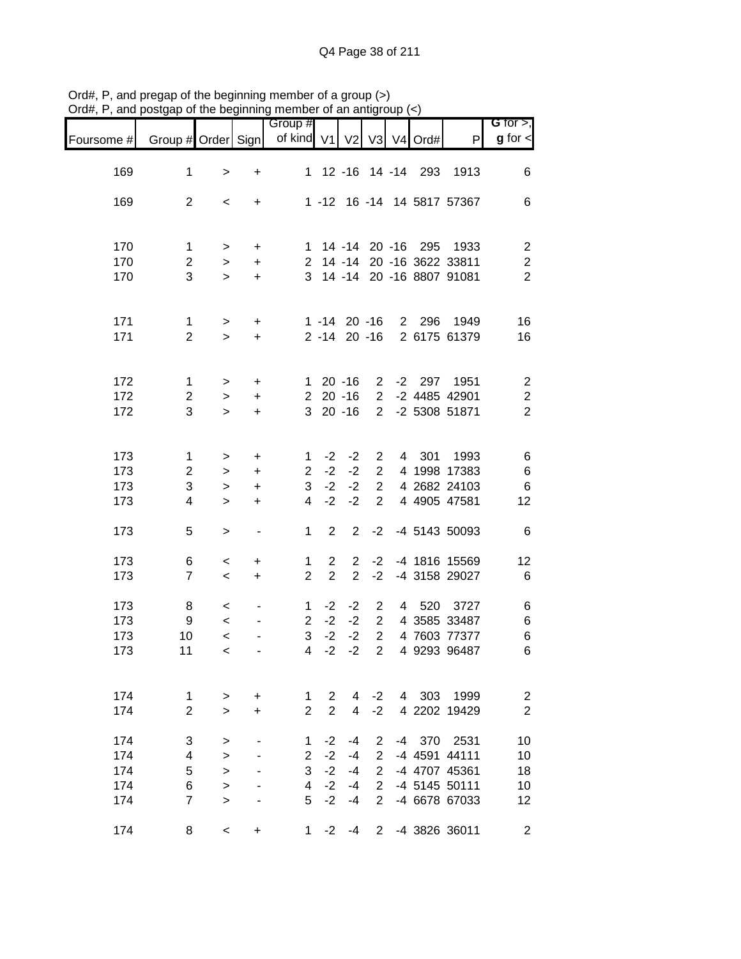|            |                     | "            |                              | <br>Group #    |                |                   |                |    |                     |                                                          | $G$ for $>$ ,                |
|------------|---------------------|--------------|------------------------------|----------------|----------------|-------------------|----------------|----|---------------------|----------------------------------------------------------|------------------------------|
| Foursome # | Group # Order Sign  |              |                              | of kind V1 V2  |                |                   |                |    | V3 V4 Ord#          | P                                                        | $g$ for $\lt$                |
|            |                     |              |                              |                |                |                   |                |    |                     |                                                          |                              |
| 169        | $\mathbf 1$         | $\,>$        | $\ddot{}$                    |                |                |                   |                |    | 1 12 -16 14 -14 293 | 1913                                                     | 6                            |
| 169        | $\overline{2}$      | $\,<\,$      | $+$                          |                |                |                   |                |    |                     | 1 -12 16 -14 14 5817 57367                               | $\,6$                        |
|            |                     |              |                              |                |                |                   |                |    |                     |                                                          |                              |
| 170        | $\mathbf{1}$        | $\,$         | $+$                          |                |                |                   |                |    |                     | 1 14 -14 20 -16 295 1933                                 | $\overline{c}$               |
| 170<br>170 | $\overline{2}$<br>3 | $\,$         | $+$                          |                |                |                   |                |    |                     | 2 14 -14 20 -16 3622 33811<br>3 14 -14 20 -16 8807 91081 | $\sqrt{2}$<br>$\overline{2}$ |
|            |                     | $\,$         | $+$                          |                |                |                   |                |    |                     |                                                          |                              |
| 171        | $\mathbf{1}$        | $\,$         | $+$                          |                |                | $1 - 14$ 20 $-16$ |                |    |                     | 2 296 1949                                               | 16                           |
| 171        | $\overline{2}$      | $\geq$       | $+$                          |                |                | $2 - 14$ 20 $-16$ |                |    |                     | 2 6175 61379                                             | 16                           |
| 172        | $\mathbf{1}$        | $\,$         | $+$                          |                |                | $120 - 16$        | $\overline{2}$ |    |                     | -2 297 1951                                              | $\overline{c}$               |
| 172        | $\overline{2}$      | $\geq$       | $+$                          |                |                | $220 - 16$        | $\overline{2}$ |    |                     | -2 4485 42901                                            | $\overline{\mathbf{c}}$      |
| 172        | 3                   | $\geq$       | $+$                          |                |                | $320 - 16$        |                |    |                     | 2 -2 5308 51871                                          | $\overline{2}$               |
| 173        | $\mathbf 1$         | $\,$         | $\ddot{}$                    | $\mathbf{1}$   | $-2$           | $-2$              | $2^{\circ}$    |    | 4 301               | 1993                                                     | 6                            |
| 173        | $\overline{2}$      | $\geq$       | $+$                          | $2^{\circ}$    | $-2$           | $-2$              | $2^{\circ}$    |    |                     | 4 1998 17383                                             | $\,6$                        |
| 173        | 3                   | $\,>$        | $+$                          | 3 <sup>1</sup> | $-2$           | $-2$              | $\overline{2}$ |    |                     | 4 2682 24103                                             | $\,6$                        |
| 173        | 4                   | $\geq$       | $\ddot{}$                    | $\overline{4}$ | $-2$           | $-2$              | $\overline{2}$ |    |                     | 4 4905 47581                                             | 12                           |
| 173        | 5                   | $\mathbf{L}$ | $\overline{\phantom{a}}$     | $\mathbf 1$    | $\overline{2}$ | $\mathbf{2}$      | $-2$           |    |                     | -4 5143 50093                                            | $\,6$                        |
| 173        | 6                   | $\,<$        | $\ddot{}$                    | $\mathbf{1}$   | $2^{\circ}$    | $\overline{2}$    |                |    |                     | -2 -4 1816 15569                                         | 12                           |
| 173        | $\overline{7}$      | $\,<\,$      | $+$                          | $\overline{2}$ | $\overline{2}$ | $\overline{2}$    | $-2$           |    |                     | -4 3158 29027                                            | 6                            |
| 173        | 8                   | $\,<$        | $\qquad \qquad \blacksquare$ | $\mathbf{1}$   |                | $-2 -2$           | $\overline{2}$ |    |                     | 4 520 3727                                               | $\,6$                        |
| 173        | $\boldsymbol{9}$    | $\,<\,$      |                              | $\overline{2}$ | $-2$           | $-2$              | $\overline{2}$ |    |                     | 4 3585 33487                                             | $\,6$                        |
| 173        | 10                  | $\prec$      |                              | 3              |                | $-2 -2$           | $\overline{2}$ |    |                     | 4 7603 77377                                             | $\,6$                        |
| 173        | 11                  | $\prec$      |                              | $\overline{4}$ | $-2$           | $-2$              | $\overline{2}$ |    |                     | 4 9293 96487                                             | $\,6$                        |
| 174        | 1                   | $\, > \,$    | $\ddot{}$                    | 1              | 2              | 4                 | $-2$           | 4  | 303                 | 1999                                                     | $\overline{c}$               |
| 174        | $\overline{2}$      | $\geq$       | +                            | $\overline{2}$ | $\overline{2}$ | $\overline{4}$    | $-2$           |    |                     | 4 2202 19429                                             | $\overline{c}$               |
| 174        | 3                   | >            |                              | 1              | $-2$           | -4                | 2              | -4 | 370                 | 2531                                                     | 10                           |
| 174        | 4                   | $\, > \,$    |                              | $\overline{2}$ | $-2$           | $-4$              | $\overline{2}$ |    |                     | -4 4591 44111                                            | 10                           |
| 174        | 5                   | $\geq$       |                              | 3              | $-2$           | $-4$              | $\overline{2}$ |    |                     | -4 4707 45361                                            | 18                           |
| 174        | 6                   | $\, > \,$    |                              | $\overline{4}$ | $-2$           | $-4$              | $\overline{2}$ |    |                     | -4 5145 50111                                            | 10                           |
| 174        | $\overline{7}$      | $\geq$       |                              | 5              | $-2$           | $-4$              | $\overline{2}$ |    |                     | -4 6678 67033                                            | 12                           |
| 174        | 8                   | $\,<$        | +                            | 1              | $-2$           | $-4$              | $\overline{2}$ |    |                     | -4 3826 36011                                            | $\overline{\mathbf{c}}$      |

Ord#, P, and pregap of the beginning member of a group (>) Ord#, P, and postgap of the beginning member of an antigroup (<)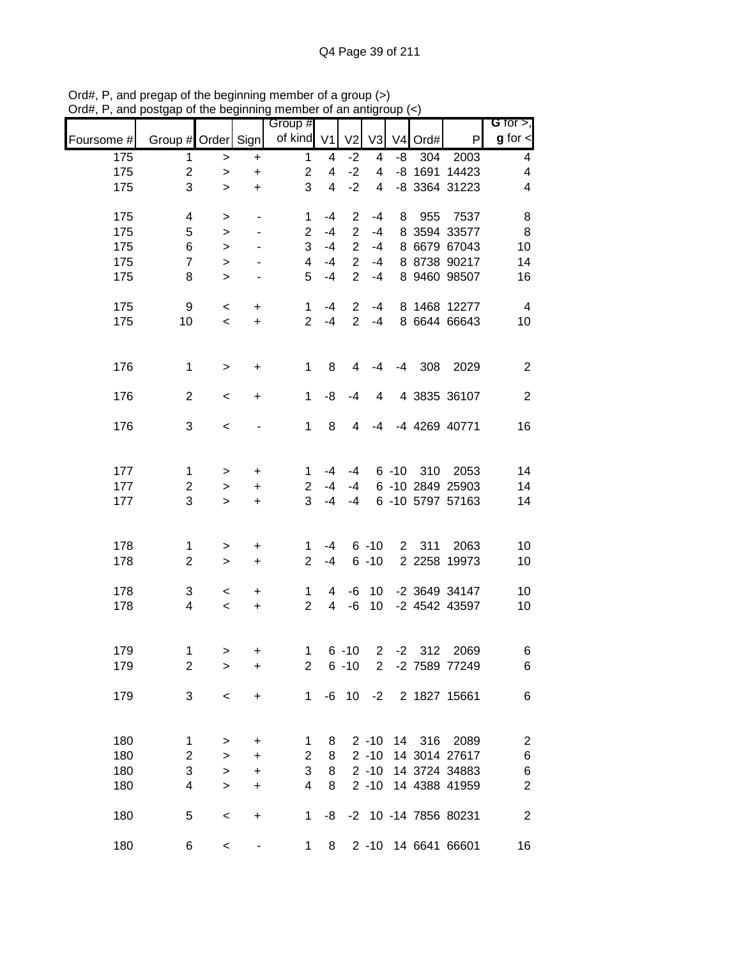|            |                           | , , ,        |                          | <br>Group #           |                |                |                 |    |            |                      | G for $>$ ,             |
|------------|---------------------------|--------------|--------------------------|-----------------------|----------------|----------------|-----------------|----|------------|----------------------|-------------------------|
| Foursome # | Group # Order Sign        |              |                          | of kind V1            |                | V <sub>2</sub> | V3              |    | V4 Ord#    | P                    | $g$ for $\lt$           |
| 175        | 1                         | $\,>$        | $\ddot{}$                | $\mathbf{1}$          | 4              | $-2$           | 4               | -8 | 304        | 2003                 | 4                       |
| 175        | $\overline{c}$            | $\geq$       | $\ddot{}$                | $\overline{c}$        | 4              | $-2$           | $\overline{4}$  |    |            | -8 1691 14423        | 4                       |
| 175        | 3                         | $\geq$       | $\ddot{}$                | 3                     | $\overline{4}$ | $-2$           | $\overline{4}$  |    |            | -8 3364 31223        | 4                       |
| 175        | 4                         | $\, >$       | $\blacksquare$           | 1                     | $-4$           | $\overline{2}$ | $-4$            | 8  | 955        | 7537                 | 8                       |
| 175        | 5                         | $\geq$       | $\blacksquare$           | $\overline{2}$        | $-4$           | $\overline{2}$ | $-4$            |    |            | 8 3594 33577         | $\,8\,$                 |
| 175        | 6                         | $\geq$       | $\overline{\phantom{a}}$ | 3                     | $-4$           | $\overline{2}$ | $-4$            |    |            | 8 6679 67043         | 10                      |
| 175        | $\overline{7}$            | $\geq$       |                          | $\overline{4}$        | $-4$           | $\overline{2}$ | $-4$            |    |            | 8 8738 90217         | 14                      |
| 175        | 8                         | $\geq$       | $\overline{\phantom{a}}$ | 5                     | $-4$           | $\overline{2}$ | $-4$            |    |            | 8 9460 98507         | 16                      |
| 175        | 9                         | $\,<$        | $+$                      | $\mathbf 1$           | $-4$           | 2              | -4              |    |            | 8 1468 12277         | $\overline{4}$          |
| 175        | 10                        | $\,<\,$      | $+$                      | $\overline{2}$        | $-4$           | $\overline{2}$ | $-4$            |    |            | 8 6644 66643         | 10                      |
|            |                           |              |                          |                       |                |                |                 |    |            |                      |                         |
| 176        | $\mathbf 1$               | $\geq$       | $\ddot{}$                | 1                     | 8              | 4              | $-4$            |    |            | -4 308 2029          | $\overline{2}$          |
| 176        | $\overline{2}$            | $\,<$        | $\ddot{}$                | 1                     | -8             | $-4$           | 4               |    |            | 4 3835 36107         | $\overline{2}$          |
|            |                           |              |                          |                       |                |                |                 |    |            |                      |                         |
| 176        | 3                         | $\,<$        |                          | 1                     | 8              | 4              | $-4$            |    |            | -4 4269 40771        | 16                      |
|            |                           |              |                          |                       |                |                |                 |    |            |                      |                         |
| 177        | 1                         | $\, > \,$    | $\pm$                    | 1.                    | -4             | -4             |                 |    | 6 -10 310  | 2053                 | 14                      |
| 177        | $\overline{c}$            | $\,$         | $+$                      | $\mathbf{2}^{\prime}$ | $-4$           | -4             |                 |    |            | 6 -10 2849 25903     | 14                      |
| 177        | 3                         | $\geq$       | $+$                      | 3                     | $-4$           | $-4$           |                 |    |            | 6 -10 5797 57163     | 14                      |
|            |                           |              |                          |                       |                |                |                 |    |            |                      |                         |
| 178        | 1                         | $\mathbf{I}$ | $\ddot{}$                | 1                     | -4             |                | $6 - 10$        |    | 2 311      | 2063                 | 10                      |
| 178        | $\overline{2}$            | $\,$         | $\ddot{}$                | $\overline{2}$        | $-4$           |                | $6 - 10$        |    |            | 2 2258 19973         | 10                      |
| 178        | 3                         | $\prec$      | $\ddot{}$                | $\mathbf{1}$          | 4              | -6             | 10              |    |            | -2 3649 34147        | 10                      |
| 178        | 4                         | $\,<\,$      | $+$                      | $\overline{2}$        | $\overline{4}$ | $-6$           | 10 <sup>°</sup> |    |            | -2 4542 43597        | 10                      |
|            |                           |              |                          |                       |                |                |                 |    |            |                      |                         |
| 179        | 1                         | >            | +                        | $\mathbf{1}$          |                | $6 - 10$       |                 |    | $2 -2 312$ | 2069                 | 6                       |
| 179        | $\overline{2}$            | $\, > \,$    | +                        | 2                     |                | $6 - 10$       | $\overline{2}$  |    |            | -2 7589 77249        | $\,6$                   |
|            |                           |              |                          |                       |                |                |                 |    |            |                      |                         |
| 179        | 3                         | $\,<$        | +                        | $\mathbf 1$           |                | $-6$ 10        | $-2$            |    |            | 2 1827 15661         | $\,6$                   |
|            |                           |              |                          |                       |                |                |                 |    |            |                      |                         |
| 180        | 1                         | >            | $\ddot{}$                | 1                     | 8              |                | $2 - 10$        |    | 14 316     | 2089                 | $\overline{\mathbf{c}}$ |
| 180        | $\overline{c}$            | $\,>$        | +                        | $\overline{c}$        | 8              |                | $2 - 10$        |    |            | 14 3014 27617        | 6                       |
| 180        | $\ensuremath{\mathsf{3}}$ | $\geq$       | +                        | 3                     | 8              |                | $2 - 10$        |    |            | 14 3724 34883        | 6                       |
| 180        | 4                         | $\geq$       | $\ddot{}$                | 4                     | 8              |                | $2 - 10$        |    |            | 14 4388 41959        | $\mathbf 2$             |
| 180        | 5                         | $\prec$      | +                        | 1                     | -8             |                |                 |    |            | -2 10 -14 7856 80231 | $\boldsymbol{2}$        |
| 180        | 6                         | $\,<$        |                          | 1                     | 8              |                |                 |    |            | 2 -10 14 6641 66601  | 16                      |

Ord#, P, and pregap of the beginning member of a group (>) Ord#, P, and postgap of the beginning member of an antigroup (<)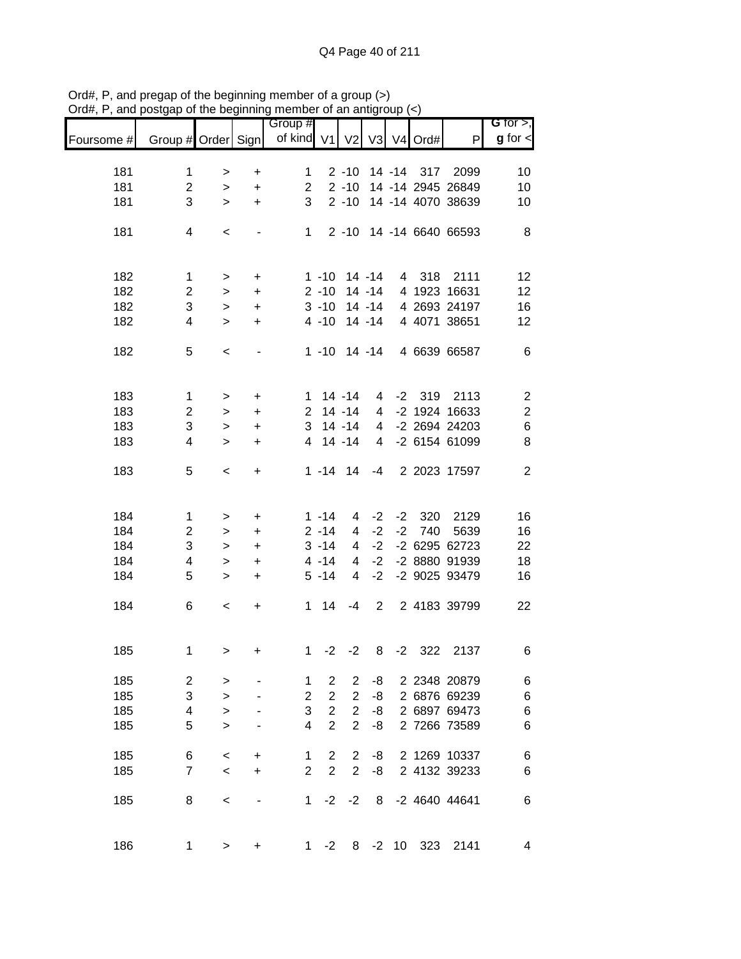|            |                    |           |           | Group #        |                |                |           |      |            |                   | G for $>$ ,             |
|------------|--------------------|-----------|-----------|----------------|----------------|----------------|-----------|------|------------|-------------------|-------------------------|
| Foursome # | Group # Order Sign |           |           | of kind V1     |                | V <sub>2</sub> |           |      | V3 V4 Ord# | P                 | $g$ for $\lt$           |
|            |                    |           |           |                |                |                |           |      |            |                   |                         |
| 181        | 1                  | >         | $\ddot{}$ | 1              |                | $2 - 10$       |           |      | 14 -14 317 | 2099              | 10                      |
| 181        | $\overline{2}$     | $\, > \,$ | $\ddot{}$ | $\overline{2}$ |                | $2 - 10$       |           |      |            | 14 -14 2945 26849 | 10                      |
| 181        | 3                  | $\, > \,$ | $\ddot{}$ | 3              |                | $2 - 10$       |           |      |            | 14 -14 4070 38639 | 10                      |
| 181        | 4                  | $\,<\,$   | ٠         | 1              |                | $2 - 10$       |           |      |            | 14 -14 6640 66593 | 8                       |
| 182        | 1                  | >         | $\ddot{}$ |                | $1 - 10$       |                | $14 - 14$ |      | 4 318      | 2111              | 12                      |
| 182        | $\overline{c}$     |           |           |                | $2 - 10$       |                | 14 -14    |      |            | 4 1923 16631      | 12                      |
| 182        | 3                  | $\, > \,$ | $\ddot{}$ |                | $3 - 10$       |                | $14 - 14$ |      |            | 4 2693 24197      |                         |
|            |                    | $\, > \,$ | $\ddot{}$ |                |                |                |           |      |            |                   | 16                      |
| 182        | 4                  | $\geq$    | $\ddot{}$ |                | $4 - 10$       |                | $14 - 14$ |      |            | 4 4071 38651      | 12                      |
| 182        | 5                  | $\,<\,$   | -         |                | $1 - 10$       |                | $14 - 14$ |      |            | 4 6639 66587      | 6                       |
| 183        |                    |           |           |                |                | $14 - 14$      |           |      | $-2$ 319   | 2113              |                         |
| 183        | $\mathbf{1}$       | $\, > \,$ | +         | 1.             |                |                | 4         |      |            | -2 1924 16633     | $\overline{\mathbf{c}}$ |
|            | $\overline{c}$     | $\, > \,$ | +         | $\overline{2}$ |                | $14 - 14$      | 4         |      |            |                   | $\overline{\mathbf{c}}$ |
| 183        | 3                  | $\, > \,$ | +         | 3              |                | $14 - 14$      | 4         |      |            | -2 2694 24203     | 6                       |
| 183        | $\overline{4}$     | $\geq$    | $\ddot{}$ | 4              |                | $14 - 14$      | 4         |      |            | -2 6154 61099     | 8                       |
| 183        | 5                  | $\,<\,$   | +         |                | $1 - 14$       | 14             | $-4$      |      |            | 2 2023 17597      | $\overline{2}$          |
| 184        | 1                  | >         | +         |                | $1 - 14$       | 4              | $-2$      | $-2$ | 320        | 2129              | 16                      |
| 184        | $\overline{2}$     | $\, > \,$ | +         |                | $2 - 14$       | 4              | $-2$      | $-2$ | 740        | 5639              | 16                      |
| 184        | 3                  |           |           |                | $3 - 14$       | 4              | $-2$      |      |            | -2 6295 62723     | 22                      |
|            |                    | $\, > \,$ | +         |                |                |                |           |      |            |                   |                         |
| 184        | 4                  | $\, > \,$ | $\ddot{}$ |                | $4 - 14$       | 4              | $-2$      |      |            | -2 8880 91939     | 18                      |
| 184        | 5                  | $\geq$    | $\ddot{}$ |                | $5 - 14$       | 4              | $-2$      |      |            | -2 9025 93479     | 16                      |
| 184        | 6                  | $\,<$     | +         | $\mathbf{1}$   | 14             | -4             | 2         |      |            | 2 4183 39799      | 22                      |
| 185        | 1                  | $\, > \,$ | +         | 1              | $-2$           | $-2$           | 8         | $-2$ | 322        | 2137              | 6                       |
| 185        | $\overline{c}$     |           |           | 1              | 2              | 2              | -8        |      |            | 2 2348 20879      | 6                       |
| 185        | 3                  | >         |           | 2              | $\overline{c}$ | $\overline{c}$ | -8        |      |            | 2 6876 69239      | $\,6$                   |
|            |                    | $\geq$    |           |                |                |                |           |      |            |                   |                         |
| 185        | 4                  | $\geq$    |           | 3              | $\overline{c}$ | $\overline{c}$ | -8        |      |            | 2 6897 69473      | $\,6$                   |
| 185        | 5                  | $\geq$    |           | 4              | $\overline{2}$ | $\overline{2}$ | -8        |      |            | 2 7266 73589      | $\,6$                   |
| 185        | 6                  | $\,<$     | +         | 1              | $\overline{2}$ | $\overline{2}$ | -8        |      |            | 2 1269 10337      | $\,6$                   |
| 185        | $\overline{7}$     | $\,<$     | +         | $\overline{2}$ | $\overline{2}$ | $\overline{2}$ | -8        |      |            | 2 4132 39233      | 6                       |
| 185        | 8                  | $\,<$     |           | 1              | $-2$           | $-2$           | 8         |      |            | -2 4640 44641     | 6                       |
| 186        | 1                  | $\, > \,$ | +         | 1              | $-2$           | 8              | $-2$      | 10   | 323        | 2141              | 4                       |

Ord#, P, and pregap of the beginning member of a group (>) Ord#, P, and postgap of the beginning member of an antigroup (<)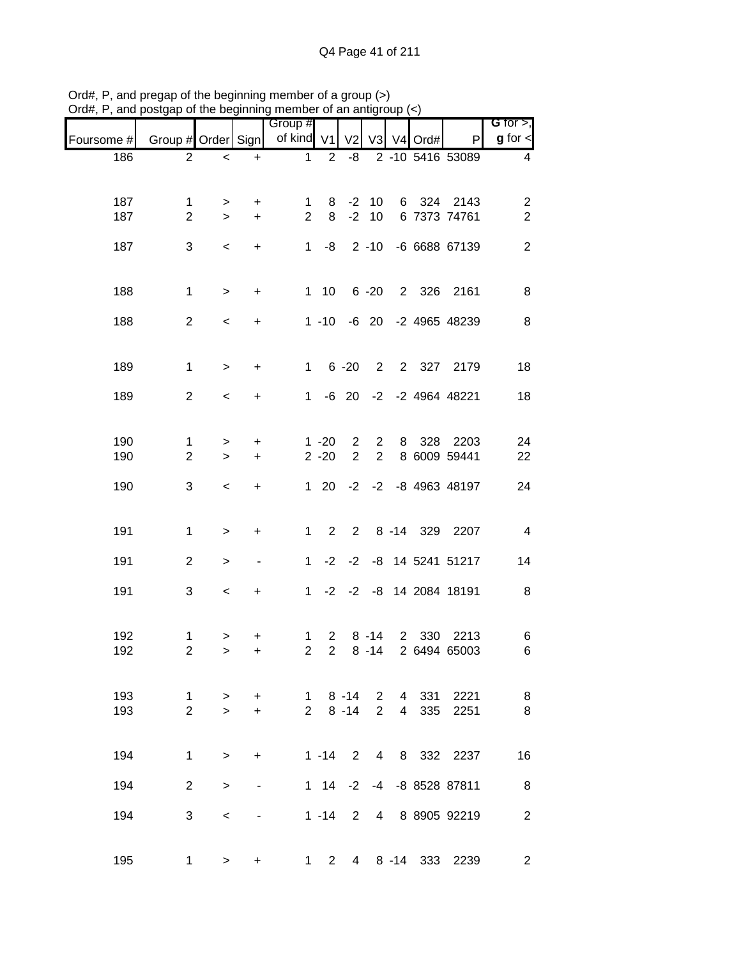| $71$ u $\pi,1$<br>, anu | posigap or the beginning member or an antigroup |              |                                  |                         |                |                          |                |                |            |                              |                              |
|-------------------------|-------------------------------------------------|--------------|----------------------------------|-------------------------|----------------|--------------------------|----------------|----------------|------------|------------------------------|------------------------------|
| Foursome #              | Group # Order Sign                              |              |                                  | Group #<br>of kind $V1$ |                | V <sub>2</sub>           |                |                | V3 V4 Ord# | P                            | G for $>$ ,<br>$g$ for $\lt$ |
| 186                     | $\overline{2}$                                  | $\,<$        | $\ddot{}$                        | 1                       | $\overline{2}$ | -8                       |                |                |            | 2 -10 5416 53089             | 4                            |
|                         |                                                 |              |                                  |                         |                |                          |                |                |            |                              |                              |
| 187                     | 1                                               | $\,>$        | $\ddot{}$                        | 1                       | 8              | $-2$                     | 10             |                |            | 6 324 2143                   | $\overline{c}$               |
| 187                     | $\overline{2}$                                  | $\geq$       | $\ddot{}$                        | $\overline{2}$          | 8              | $-2$                     | 10             |                |            | 6 7373 74761                 | $\overline{2}$               |
| 187                     | 3                                               | $\,<$        | $\ddot{}$                        |                         |                | $1 -8$ 2 -10             |                |                |            | -6 6688 67139                | $\mathbf{2}$                 |
|                         |                                                 |              |                                  |                         |                |                          |                |                |            |                              |                              |
| 188                     | $\mathbf 1$                                     | $\mathbf{I}$ | $\ddot{}$                        |                         | $1 10$         |                          |                |                |            | 6 -20 2 326 2161             | 8                            |
| 188                     | $\overline{2}$                                  | $\,<$        | +                                |                         |                |                          |                |                |            | 1 -10 -6 20 -2 4965 48239    | 8                            |
|                         |                                                 |              |                                  |                         |                |                          |                |                |            |                              |                              |
| 189                     | $\mathbf 1$                                     | $\,>$        | $\ddot{}$                        | $1 -$                   |                | $6 - 20$                 |                |                | 2 2 327    | 2179                         | 18                           |
|                         |                                                 |              |                                  |                         |                |                          |                |                |            |                              |                              |
| 189                     | $\overline{2}$                                  | $\,<$        | $\ddot{}$                        | 1                       |                |                          |                |                |            | -6 20 -2 -2 4964 48221       | 18                           |
|                         |                                                 |              |                                  |                         |                |                          |                |                |            |                              |                              |
| 190                     | 1                                               | $\,>$        | $\ddot{}$                        |                         | $1 - 20$       | $\overline{c}$           | $\overline{2}$ | 8              | 328        | 2203                         | 24                           |
| 190                     | $\overline{2}$                                  | $\,>$        | $\ddot{}$                        |                         | $2 - 20$       | $\overline{2}$           | $\overline{2}$ |                |            | 8 6009 59441                 | 22                           |
| 190                     | 3                                               | $\,<$        | $\begin{array}{c} + \end{array}$ |                         | $1 \quad 20$   |                          |                |                |            | $-2$ $-2$ $-8$ 4963 48197    | 24                           |
|                         |                                                 |              |                                  |                         |                |                          |                |                |            |                              |                              |
| 191                     | $\mathbf{1}$                                    | $\mathbf{I}$ | $\begin{array}{c} + \end{array}$ | 1                       | $\overline{2}$ |                          |                |                |            | 2 8 -14 329 2207             | $\overline{4}$               |
| 191                     | $\overline{2}$                                  | $\, >$       | $\blacksquare$                   | $\mathbf{1}$            |                |                          |                |                |            | $-2$ $-2$ $-8$ 14 5241 51217 | 14                           |
|                         |                                                 |              |                                  |                         |                |                          |                |                |            |                              |                              |
| 191                     | 3                                               | $\,<\,$      | $\ddot{}$                        |                         |                |                          |                |                |            | 1 -2 -2 -8 14 2084 18191     | 8                            |
|                         |                                                 |              |                                  |                         |                |                          |                |                |            |                              |                              |
| 192                     | $\mathbf{1}$                                    | $\, >$       | +                                | 1                       | $2^{\circ}$    |                          | $8 - 14$       |                | 2 330      | 2213                         | 6                            |
| 192                     | $\overline{c}$                                  | >            | +                                | $\overline{2}$          | $\overline{2}$ |                          |                |                |            | 8 -14 2 6494 65003           | 6                            |
|                         |                                                 |              |                                  |                         |                |                          |                |                |            |                              |                              |
| 193                     | $\mathbf 1$                                     | $\, > \,$    | $\ddot{}$                        | $1 \quad$               |                | $8 - 14$                 | 2 <sup>1</sup> |                | 4 331      | 2221                         | 8                            |
| 193                     | $\overline{2}$                                  | $\geq$       | $\ddot{}$                        | $\overline{2}$          |                | $8 - 14$                 | $\overline{2}$ | $\overline{4}$ | 335        | 2251                         | 8                            |
|                         |                                                 |              |                                  |                         |                |                          |                |                |            |                              |                              |
| 194                     | $\mathbf{1}$                                    | $\, > \,$    | +                                |                         | $1 - 14$       | $\overline{\phantom{0}}$ | $\overline{4}$ |                |            | 8 332 2237                   | 16                           |
| 194                     | $\overline{2}$                                  | $\, > \,$    |                                  |                         |                | $1 \t14 \t-2$            |                |                |            | -4 -8 8528 87811             | 8                            |
| 194                     | 3                                               | $\,<\,$      |                                  |                         | $1 - 14$       | $\overline{2}$           | 4              |                |            | 8 8905 92219                 | $\overline{2}$               |
|                         |                                                 |              |                                  |                         |                |                          |                |                |            |                              |                              |
| 195                     | 1                                               | >            | +                                | 1                       | $2^{\circ}$    |                          |                |                |            | 4 8 -14 333 2239             | $\overline{2}$               |

Ord#, P, and pregap of the beginning member of a group (>) Ord#, P, and postgap of the beginning member of an antigroup (<)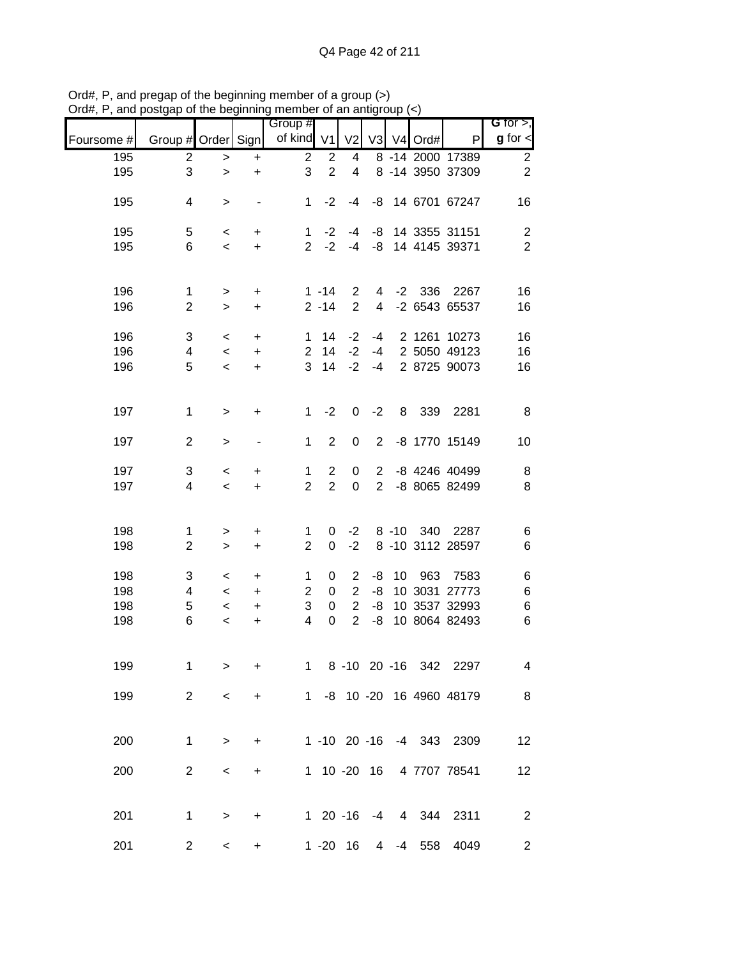| G for $>$ ,             |                           |            |          |                |                |                  | Group #        |                          |           |                    |            |
|-------------------------|---------------------------|------------|----------|----------------|----------------|------------------|----------------|--------------------------|-----------|--------------------|------------|
| $g$ for $\lt$           | P                         | V3 V4 Ord# |          |                | V <sub>2</sub> | V <sub>1</sub>   | of kind        |                          |           | Group # Order Sign | Foursome # |
| $\overline{c}$          | 8 - 14 2000 17389         |            |          |                | 4              | $\overline{2}$   | $\overline{2}$ | $\ddot{}$                | $\,>$     | $\overline{c}$     | 195        |
| $\overline{2}$          | 8 -14 3950 37309          |            |          |                | 4              | $\overline{2}$   | 3              | $\ddot{}$                | $\geq$    | 3                  | 195        |
| 16                      | -8 14 6701 67247          |            |          |                | $-4$           | $-2$             | 1              | $\overline{\phantom{a}}$ | $\,>$     | 4                  | 195        |
| $\overline{\mathbf{c}}$ | 14 3355 31151             |            |          | -8             | $-4$           | $-2$             | $\mathbf{1}$   | $\ddot{}$                | $\,<$     | 5                  | 195        |
| $\overline{2}$          | 14 4145 39371             |            |          | -8             | $-4$           | $-2$             | $\overline{2}$ | $\ddot{}$                | $\,<$     | 6                  | 195        |
| 16                      | 2267                      | 336        | $-2$     | 4              | 2              | $1 - 14$         |                | $\ddot{}$                | $\,$      | $\mathbf{1}$       | 196        |
| 16                      | -2 6543 65537             |            |          | 4              | $\overline{2}$ | $2 - 14$         |                | $\ddot{}$                | $\geq$    | $\overline{2}$     | 196        |
| 16                      | 2 1261 10273              |            |          | $-4$           | $-2$           | 14               | $\mathbf 1$    | $\ddot{}$                | $\,<$     | $\sqrt{3}$         | 196        |
| 16                      | 2 5050 49123              |            |          | $-4$           | $-2$           | 14               | $\overline{2}$ | $\ddot{}$                | $\,<$     | 4                  | 196        |
| 16                      | 2 8725 90073              |            |          | $-4$           | $-2$           | 14               | 3              | $\ddot{}$                | $\prec$   | 5                  | 196        |
| 8                       | 2281                      | 339        | 8        | $-2$           | 0              | $-2$             | 1              | +                        | $\,>$     | $\mathbf{1}$       | 197        |
| 10                      | -8 1770 15149             |            |          | $\overline{2}$ | 0              | $\overline{2}$   | 1              |                          | $\, > \,$ | $\overline{2}$     | 197        |
| 8                       | -8 4246 40499             |            |          | $\overline{2}$ | 0              | $\overline{2}$   | 1              | +                        | $\,<$     | 3                  | 197        |
| $\bf 8$                 | -8 8065 82499             |            |          | $\overline{2}$ | $\mathsf 0$    | $\overline{2}$   | $\overline{2}$ | $\ddot{}$                | $\,<$     | 4                  | 197        |
| 6                       | 2287                      | 340        | $8 - 10$ |                | $-2$           | 0                | 1              | $\ddot{}$                | $\,$      | 1                  | 198        |
| 6                       | 8 -10 3112 28597          |            |          |                | $-2$           | $\pmb{0}$        | $\overline{2}$ | $\ddot{}$                | $\geq$    | $\overline{2}$     | 198        |
| 6                       | 7583                      | 963        | 10       | -8             | $\overline{2}$ | 0                | 1              | $\ddot{}$                | $\,<\,$   | 3                  | 198        |
| $\,6$                   | 10 3031 27773             |            |          | -8             | $\overline{2}$ | $\mathbf 0$      | $\overline{2}$ | $\ddot{}$                | $\,<$     | 4                  | 198        |
| 6                       | 10 3537 32993             |            |          | -8             | $\overline{c}$ | $\boldsymbol{0}$ | 3              | $\ddot{}$                | $\,<$     | 5                  | 198        |
| $\,6$                   | 10 8064 82493             |            |          | -8             | $\overline{2}$ | $\mathbf 0$      | 4              | $\ddot{}$                | $\,<$     | 6                  | 198        |
| $\overline{4}$          | 8 -10 20 -16 342 2297     |            |          |                |                |                  | 1              | +                        | >         | $\mathbf 1$        | 199        |
| 8                       | 1 -8 10 -20 16 4960 48179 |            |          |                |                |                  |                | +                        | $\,<\,$   | $\overline{2}$     | 199        |
|                         |                           |            |          |                |                |                  |                |                          |           |                    |            |
| 12                      | 1 -10 20 -16 -4 343 2309  |            |          |                |                |                  |                | +                        | $\,$      | $\mathbf 1$        | 200        |
| 12                      | 1 10 -20 16 4 7707 78541  |            |          |                |                |                  |                | $\ddot{}$                | $\,<$     | $\overline{2}$     | 200        |
| $\mathbf{2}$            | 4 344 2311                |            |          |                | $120 - 16 - 4$ |                  |                | +                        | $\, >$    | 1                  | 201        |
|                         |                           |            |          |                |                |                  |                |                          |           |                    |            |
| $\overline{c}$          | 4049                      | 558        | $-4$     | 4              | $1 - 20$ 16    |                  |                | $\ddot{}$                | $\,<$     | $\overline{c}$     | 201        |

Ord#, P, and pregap of the beginning member of a group (>) Ord#, P, and postgap of the beginning member of an antigroup (<)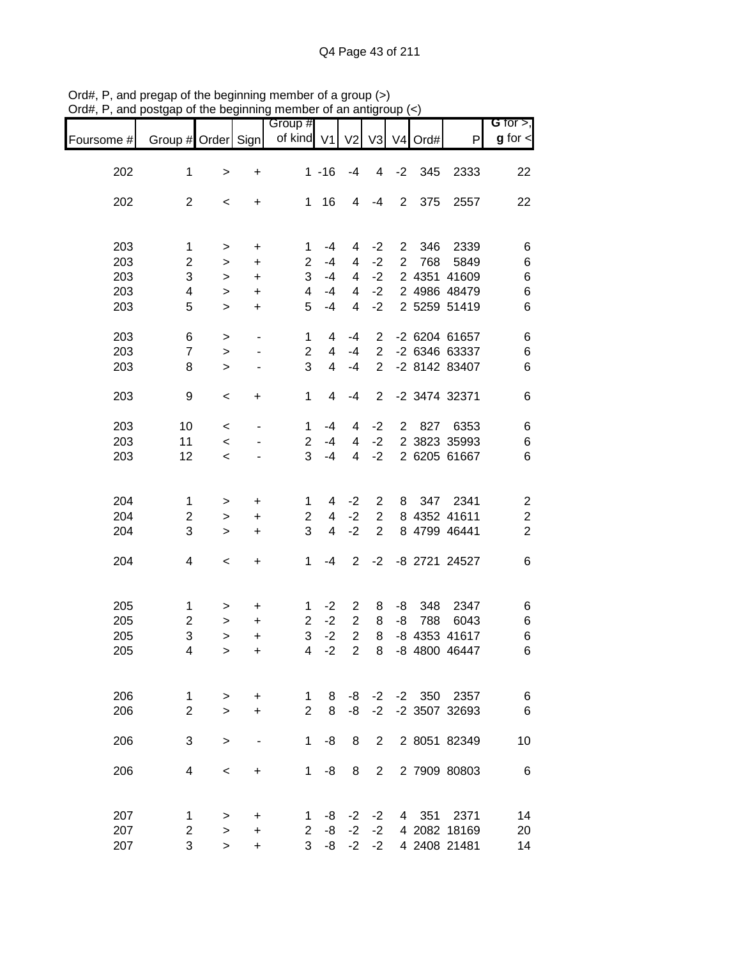|            |                       |                |                          | Group #           |          |                |                         |                |         |                              | G for $>$ ,             |
|------------|-----------------------|----------------|--------------------------|-------------------|----------|----------------|-------------------------|----------------|---------|------------------------------|-------------------------|
| Foursome # | Group # Order Sign    |                |                          | of kind V1        |          | V <sub>2</sub> | V3                      |                | V4 Ord# | P                            | $g$ for $\lt$           |
| 202        | $\mathbf 1$           | $\, > \,$      | $\ddot{}$                |                   | $1 - 16$ | $-4$           | $\overline{\mathbf{4}}$ | $-2$           | 345     | 2333                         | 22                      |
|            |                       |                |                          |                   |          |                |                         |                |         |                              |                         |
| 202        | $\overline{c}$        | $\,<$          | +                        | 1                 | 16       | 4              | $-4$                    | $\overline{2}$ | 375     | 2557                         | 22                      |
|            |                       |                |                          |                   |          |                |                         |                |         |                              |                         |
| 203        | 1                     | $\, > \,$      | +                        | 1                 | $-4$     | 4              | $-2$                    | $\overline{c}$ | 346     | 2339                         | 6                       |
| 203        | $\overline{c}$        | >              | +                        | $\overline{2}$    | $-4$     | 4              | $-2$                    | $\overline{2}$ | 768     | 5849                         | 6                       |
| 203        | 3                     | $\, > \,$      | +                        | 3                 | $-4$     | 4              | $-2$                    |                |         | 2 4351 41609                 | 6                       |
| 203        | 4                     | $\, > \,$      | $\ddot{}$                | 4                 | $-4$     | 4              | $-2$                    |                |         | 2 4986 48479                 | 6                       |
| 203        | 5                     | $\geq$         | $\ddot{}$                | 5                 | $-4$     | 4              | $-2$                    |                |         | 2 5259 51419                 | 6                       |
| 203        | 6                     | $\,>$          | $\overline{\phantom{a}}$ | $\mathbf 1$       | 4        | $-4$           | $\overline{2}$          |                |         | -2 6204 61657                | 6                       |
| 203        | $\overline{7}$        | $\geq$         |                          | $\overline{2}$    | 4        | $-4$           | $\overline{2}$          |                |         | -2 6346 63337                | $\,6$                   |
| 203        | 8                     | $\, > \,$      |                          | 3                 | 4        | $-4$           | $\overline{2}$          |                |         | -2 8142 83407                | 6                       |
| 203        | 9                     | $\,<$          | +                        | 1                 | 4        | $-4$           | $\overline{2}$          |                |         | -2 3474 32371                | 6                       |
|            |                       |                |                          |                   |          |                |                         |                |         |                              |                         |
| 203        | 10                    | $\,<$          | ٠                        | 1                 | $-4$     | 4              | $-2$                    | $\overline{2}$ | 827     | 6353                         | 6                       |
| 203        | 11                    | $\,<$          |                          | $\overline{2}$    | $-4$     | 4              | $-2$                    |                |         | 2 3823 35993                 | 6                       |
| 203        | 12                    | $\,<\,$        |                          | 3                 | $-4$     | 4              | $-2$                    |                |         | 2 6205 61667                 | 6                       |
|            |                       |                |                          |                   |          |                |                         |                |         |                              |                         |
| 204        | 1                     | $\, > \,$      | +                        | 1                 | 4        | $-2$           | $\overline{c}$          | 8              | 347     | 2341                         | $\boldsymbol{2}$        |
| 204        | $\overline{c}$        | $\, > \,$      | +                        | $\overline{2}$    | 4        | $-2$           | $\overline{2}$          |                |         | 8 4352 41611                 | $\overline{\mathbf{c}}$ |
| 204        | 3                     | $\, > \,$      | +                        | 3                 | 4        | $-2$           | $\overline{2}$          |                |         | 8 4799 46441                 | $\overline{2}$          |
| 204        | 4                     | $\,<$          | +                        | 1                 | -4       | $\overline{2}$ | $-2$                    |                |         | -8 2721 24527                | $\,6$                   |
|            |                       |                |                          |                   |          |                |                         |                |         |                              |                         |
| 205        | $\mathbf 1$           |                | +                        | 1                 | $-2$     | 2              | 8                       | -8             | 348     | 2347                         | 6                       |
| 205        | $\overline{c}$        | ><br>$\, > \,$ | +                        | $\overline{2}$    | $-2$     | $\overline{c}$ | 8                       | -8             | 788     | 6043                         | 6                       |
| 205        | 3                     | $\, > \,$      | $\ddot{}$                | 3                 | $-2$     | $\overline{c}$ | 8                       | -8             |         | 4353 41617                   | $\,6$                   |
| 205        | $\overline{4}$        |                | $\ddot{}$                | $\overline{4}$    | $-2$     | $\overline{2}$ | 8                       |                |         | -8 4800 46447                | 6                       |
|            |                       | >              |                          |                   |          |                |                         |                |         |                              |                         |
|            |                       |                |                          |                   |          |                |                         |                |         |                              |                         |
| 206        | $\mathbf{1}$          | >              | +                        | 1                 | 8        | -8             | $-2$                    |                |         | -2 350 2357                  | $\,6$                   |
| 206        | $\overline{2}$        | $\geq$         | +                        | $\overline{2}$    | 8        | -8             | $-2$                    |                |         | -2 3507 32693                | $\,6$                   |
| 206        | 3                     | $\, > \,$      |                          | 1                 | -8       | 8              | $\overline{2}$          |                |         | 2 8051 82349                 | 10                      |
|            | 4                     |                |                          | 1                 | -8       | 8              | $\overline{2}$          |                |         | 2 7909 80803                 |                         |
| 206        |                       | $\,<\,$        | +                        |                   |          |                |                         |                |         |                              | $\,6$                   |
|            |                       |                |                          |                   |          |                |                         |                |         |                              |                         |
| 207<br>207 | 1                     | $\, > \,$      | +                        | 1                 | -8<br>-8 | $-2$<br>$-2$   | $-2$<br>$-2$            | 4              | 351     | 2371                         | 14                      |
|            | $\boldsymbol{2}$<br>3 | $\, > \,$      | +                        | $\mathbf{2}$<br>3 | -8       | $-2$           | $-2$                    |                |         | 4 2082 18169<br>4 2408 21481 | 20                      |
| 207        |                       | $\geq$         | +                        |                   |          |                |                         |                |         |                              | 14                      |

Ord#, P, and pregap of the beginning member of a group (>) Ord#, P, and postgap of the beginning member of an antigroup (<)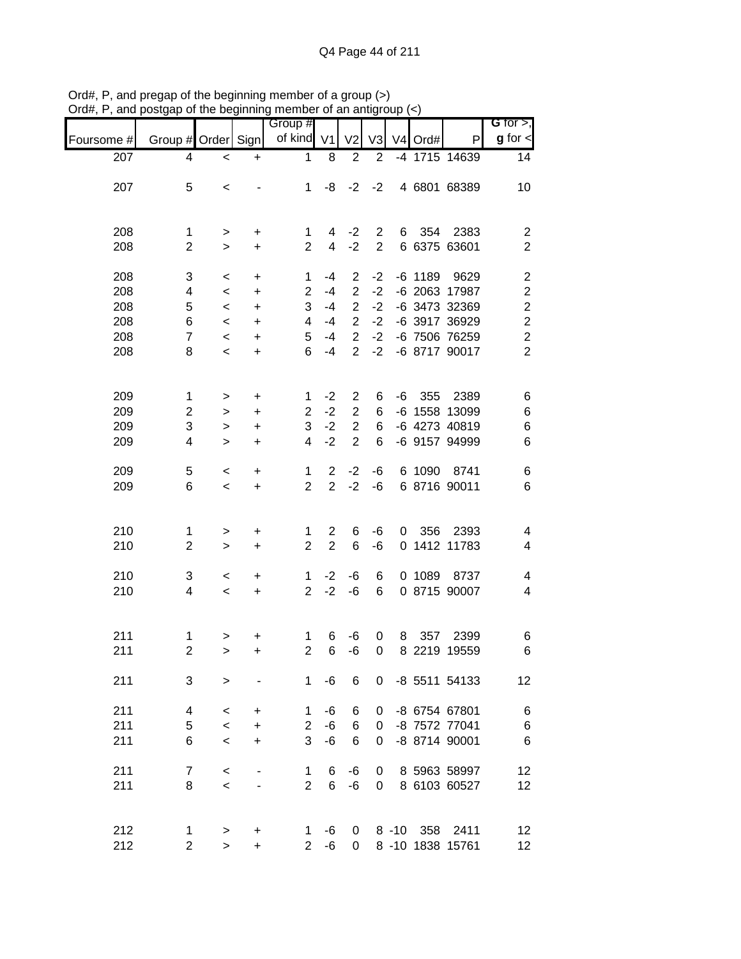|            |                         |                    | .   .                        | <br>Group #             |                |                                    |                |    |           |                                | G for $>$ ,                               |
|------------|-------------------------|--------------------|------------------------------|-------------------------|----------------|------------------------------------|----------------|----|-----------|--------------------------------|-------------------------------------------|
| Foursome # | Group # Order Sign      |                    |                              | of kind V1              |                | V <sub>2</sub>                     | V <sub>3</sub> |    | V4 Ord#   | $\mathsf{P}$                   | $g$ for $\lt$                             |
| 207        | 4                       | $\,<$              | $\ddot{}$                    | $\mathbf 1$             | 8              | $\overline{2}$                     | $\overline{2}$ |    |           | -4 1715 14639                  | 14                                        |
| 207        | 5                       | $\,<$              |                              | $\mathbf 1$             | -8             | $-2$                               | $-2$           |    |           | 4 6801 68389                   | 10                                        |
| 208        | 1                       | $\,$               | +                            | 1                       | 4              | $-2$                               | $\overline{2}$ | 6  | 354       | 2383                           | $\overline{\mathbf{c}}$                   |
| 208        | $\overline{2}$          | $\geq$             | $\ddot{}$                    | $\overline{2}$          | $\overline{4}$ | $-2$                               | $\overline{2}$ |    |           | 6 6375 63601                   | $\overline{2}$                            |
| 208        | 3                       | $\,<\,$            | $\ddot{}$                    | 1                       | $-4$           | 2                                  | $-2$           |    | $-6$ 1189 | 9629                           | $\boldsymbol{2}$                          |
| 208        | 4                       | $\,<\,$            | $\ddot{}$                    | $\overline{2}$          | $-4$           | $\overline{2}$<br>$\overline{2}$   | $-2$<br>$-2$   |    |           | -6 2063 17987                  | $\overline{\mathbf{c}}$                   |
| 208<br>208 | 5<br>6                  | $\,<\,$<br>$\,<\,$ | $\ddot{}$<br>$\ddot{}$       | 3<br>4                  | $-4$<br>$-4$   | $\overline{2}$                     | $-2$           |    |           | -6 3473 32369<br>-6 3917 36929 | $\overline{c}$<br>$\overline{\mathbf{c}}$ |
| 208        | $\overline{7}$          | $\,<\,$            | $\ddot{}$                    | 5                       | $-4$           | $\overline{2}$                     | $-2$           |    |           | -6 7506 76259                  | $\overline{c}$                            |
| 208        | 8                       | $\,<$              | $\ddot{}$                    | 6                       | $-4$           | $\overline{2}$                     | $-2$           |    |           | -6 8717 90017                  | $\overline{2}$                            |
| 209        | $\mathbf{1}$            | >                  | +                            | 1                       | $-2$           | $\overline{2}$                     | 6              | -6 | 355       | 2389                           | 6                                         |
| 209        | $\overline{\mathbf{c}}$ | >                  | +                            | $\overline{\mathbf{c}}$ | $-2$           | $\sqrt{2}$                         | 6              |    |           | -6 1558 13099                  | 6                                         |
| 209        | 3                       | $\, > \,$          | $\ddot{}$                    | 3                       | $-2$<br>$-2$   | $\boldsymbol{2}$<br>$\overline{2}$ | 6<br>6         |    |           | -6 4273 40819                  | $\,6$                                     |
| 209        | 4                       | $\geq$             | $\ddot{}$                    | 4                       |                |                                    |                |    |           | -6 9157 94999                  | $\,6$                                     |
| 209        | 5                       | $\,<$              | $\ddot{}$                    | 1                       | $\overline{2}$ | $-2$                               | -6             |    | 6 1090    | 8741                           | $\,6$                                     |
| 209        | 6                       | $\,<\,$            | $\ddot{}$                    | $\overline{2}$          | $\overline{2}$ | $-2$                               | -6             |    |           | 6 8716 90011                   | $\,6$                                     |
| 210        | 1                       | $\mathbf{I}$       | $\ddot{}$                    | 1                       | $\overline{2}$ | 6                                  | -6             | 0  | 356       | 2393                           | 4                                         |
| 210        | $\overline{c}$          | $\geq$             | $\ddot{}$                    | $\overline{2}$          | $\overline{2}$ | $\,6$                              | -6             |    |           | 0 1412 11783                   | 4                                         |
| 210        | 3                       | $\,<$              | +                            | 1                       | $-2$           | $-6$                               | 6              |    | 0 1089    | 8737                           | 4                                         |
| 210        | 4                       | $\,<\,$            | $\ddot{}$                    | $\overline{2}$          | $-2$           | $-6$                               | 6              |    |           | 0 8715 90007                   | 4                                         |
| 211        | $\mathbf 1$             | $\,$               | +                            | 1                       | 6              | -6                                 | 0              | 8  | 357       | 2399                           | 6                                         |
| 211        | $\boldsymbol{2}$        | $\geq$             | +                            | $\overline{\mathbf{c}}$ | 6              | -6                                 | 0              |    |           | 8 2219 19559                   | 6                                         |
| 211        | 3                       | $\geq$             |                              | 1                       | -6             | 6                                  | 0              |    |           | -8 5511 54133                  | 12                                        |
| 211        | 4                       | $\,<\,$            | +                            | 1                       | -6             | 6                                  | 0              |    |           | -8 6754 67801                  | $\,6$                                     |
| 211        | 5                       | $\,<$              | $\ddot{}$                    | $\overline{2}$          | -6             | 6                                  | 0              |    |           | -8 7572 77041                  | $\,6$                                     |
| 211        | 6                       | $\,<$              | $\ddot{}$                    | 3                       | -6             | 6                                  | 0              |    |           | -8 8714 90001                  | $\,6$                                     |
| 211        | $\overline{7}$          | $\,<$              |                              | 1                       | 6              | -6                                 | 0              |    |           | 8 5963 58997                   | 12                                        |
| 211        | 8                       | $\,<$              | $\qquad \qquad \blacksquare$ | $\overline{2}$          | 6              | $-6$                               | 0              |    |           | 8 6103 60527                   | 12                                        |
| 212        | 1                       | >                  | +                            | $\mathbf{1}$            | -6             | 0                                  |                |    |           | 8 -10 358 2411                 | 12                                        |
| 212        | $\overline{\mathbf{c}}$ | $\geq$             | $\ddot{}$                    | $2^{\circ}$             | -6             | 0                                  |                |    |           | 8 -10 1838 15761               | 12                                        |

Ord#, P, and pregap of the beginning member of a group (>) Ord#, P, and postgap of the beginning member of an antigroup (<)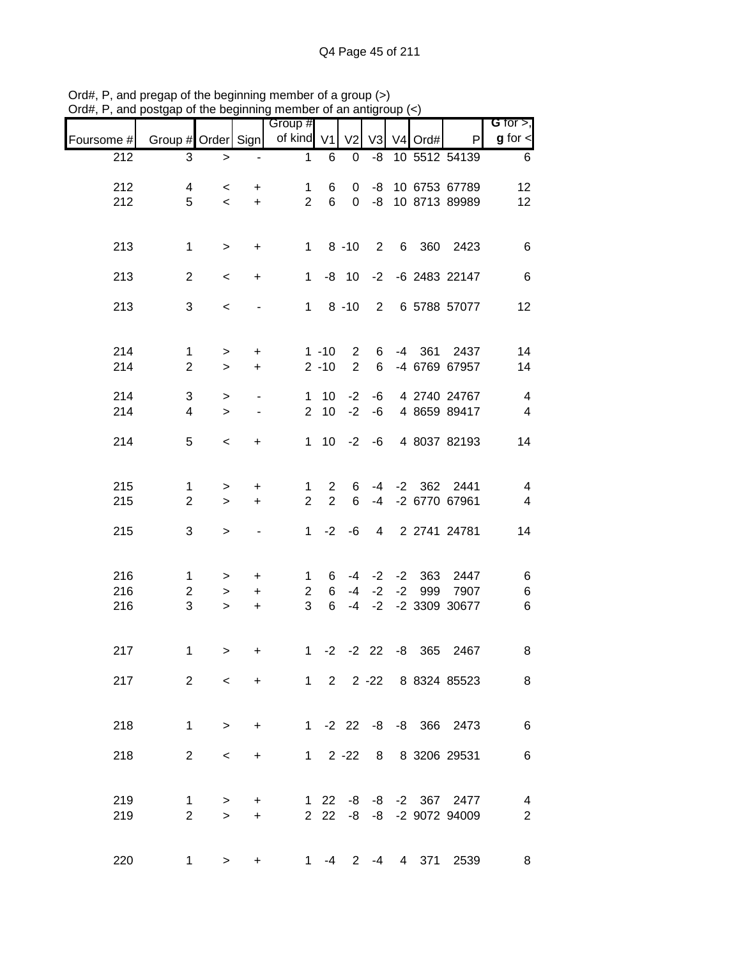|            |                                | <u>.</u>                 |                                                      | $\cdots$                       |                      | <b>이 데 데 데</b>                   |          |                       |                                          | G for $>$ ,                      |
|------------|--------------------------------|--------------------------|------------------------------------------------------|--------------------------------|----------------------|----------------------------------|----------|-----------------------|------------------------------------------|----------------------------------|
| Foursome # | Group # Order Sign             |                          |                                                      | Group #<br>of kind V1          |                      | V <sub>2</sub>                   |          | V3 V4 Ord#            | P                                        | $g$ for $\lt$                    |
| 212        | 3                              | $\, > \,$                |                                                      | $\mathbf 1$                    | 6                    | 0                                | -8       |                       | 10 5512 54139                            | 6                                |
| 212        | 4                              | $\overline{\phantom{0}}$ | $\ddot{}$                                            | $\mathbf 1$                    | 6                    | 0                                |          |                       | -8 10 6753 67789                         | 12                               |
| 212        | 5                              | $\overline{\phantom{a}}$ | $+$                                                  | $\overline{2}$                 | $6\phantom{1}$       | $\overline{0}$                   |          |                       | -8 10 8713 89989                         | 12                               |
| 213        | $\mathbf 1$                    |                          |                                                      |                                |                      | $1 \t 8 \t -10$                  |          |                       | 2 6 360 2423                             | $\,6$                            |
|            |                                | $\,$                     | $+$                                                  |                                |                      |                                  |          |                       |                                          |                                  |
| 213        | $\overline{2}$                 | $\,<$                    | $+$                                                  | $\mathbf 1$                    |                      | $-8$ 10                          |          |                       | -2 -6 2483 22147                         | $\,6$                            |
| 213        | 3                              | $\,<\,$                  |                                                      |                                |                      | $1 \t 8 \t -10$                  |          |                       | 2 6 5788 57077                           | 12                               |
|            |                                |                          |                                                      |                                |                      |                                  |          |                       |                                          |                                  |
| 214<br>214 | $\mathbf{1}$<br>$\overline{2}$ | $\,$<br>$\mathbf{L}$     | $\ddot{}$<br>$\ddot{}$                               |                                | $1 - 10$<br>$2 - 10$ | $\overline{2}$<br>$\overline{2}$ | 6<br>6   |                       | -4 361 2437<br>-4 6769 67957             | 14<br>14                         |
|            |                                |                          |                                                      |                                |                      |                                  |          |                       |                                          |                                  |
| 214<br>214 | 3<br>4                         | $\,$<br>$\geq$           | $\overline{\phantom{a}}$<br>$\overline{\phantom{a}}$ | $\mathbf{1}$<br>$\overline{2}$ | 10<br>10             | $-2$<br>$-2$                     | -6<br>-6 |                       | 4 2740 24767<br>4 8659 89417             | $\overline{4}$<br>$\overline{4}$ |
| 214        | 5                              | $\,<$                    | $\ddot{}$                                            |                                |                      |                                  |          |                       | 1 10 -2 -6 4 8037 82193                  | 14                               |
|            |                                |                          |                                                      |                                |                      |                                  |          |                       |                                          |                                  |
| 215        | $\mathbf{1}$                   | $\,$                     | $\ddot{}$                                            | 1                              | $\mathbf{2}$         | 6                                |          |                       | -4 -2 362 2441                           | $\overline{4}$                   |
| 215        | $\overline{2}$                 | $\,$                     | $+$                                                  | $\overline{2}$                 | $\overline{2}$       | 6                                | $-4$     |                       | -2 6770 67961                            | $\overline{\mathbf{4}}$          |
| 215        | 3                              | $\mathbf{I}$             | $\overline{\phantom{a}}$                             | 1                              |                      | $-2 -6$                          |          |                       | 4 2 2741 24781                           | 14                               |
|            |                                |                          |                                                      |                                |                      |                                  |          |                       |                                          |                                  |
| 216        | $\mathbf{1}$                   | $\, >$                   | $+$                                                  | 1                              | 6                    |                                  |          | $-4$ $-2$ $-2$ 363    | 2447                                     | 6                                |
| 216<br>216 | $\overline{c}$<br>3            | $\geq$<br>$\geq$         | $+$<br>$+$                                           | $2^{\circ}$<br>3               | 6<br>$6\overline{6}$ |                                  |          |                       | -4 -2 -2 999 7907<br>-4 -2 -2 3309 30677 | $\,6$<br>$\,6$                   |
|            |                                |                          |                                                      |                                |                      |                                  |          |                       |                                          |                                  |
| 217        | 1                              | $\mathbf{I}$             |                                                      | 1                              |                      |                                  |          | $-2$ $-2$ 22 $-8$ 365 | 2467                                     | 8                                |
| 217        | $\overline{2}$                 | $\lt$                    |                                                      | $+$ $-$                        |                      |                                  |          |                       | 1 2 2 -22 8 8324 85523                   | 8                                |
|            |                                |                          |                                                      |                                |                      |                                  |          |                       |                                          |                                  |
| 218        | $\mathbf{1}$                   | $\,>$                    | $+$                                                  |                                |                      |                                  |          |                       | 1 -2 22 -8 -8 366 2473                   | 6                                |
| 218        | 2                              | $\,<\,$                  | +                                                    |                                |                      | $1 \quad 2 -22$                  |          |                       | 8 8 3206 29531                           | 6                                |
|            |                                |                          |                                                      |                                |                      |                                  |          |                       |                                          |                                  |
| 219        | $\mathbf{1}$                   | $\, > \,$                | $\ddot{}$                                            |                                |                      |                                  |          |                       | 1 22 -8 -8 -2 367 2477                   | $\overline{4}$                   |
| 219        | $\overline{2}$                 | $\geq$                   | $\ddot{}$                                            |                                |                      |                                  |          |                       | 2 22 -8 -8 -2 9072 94009                 | $\overline{2}$                   |
|            |                                |                          |                                                      |                                |                      |                                  |          |                       |                                          |                                  |
| 220        | $\mathbf 1$                    | $\, > \,$                | $\ddot{}$                                            |                                | 1 $-4$               |                                  | $2 - 4$  | 4 371                 | 2539                                     | 8                                |

Ord#, P, and pregap of the beginning member of a group (>) Ord#, P, and postgap of the beginning member of an antigroup (<)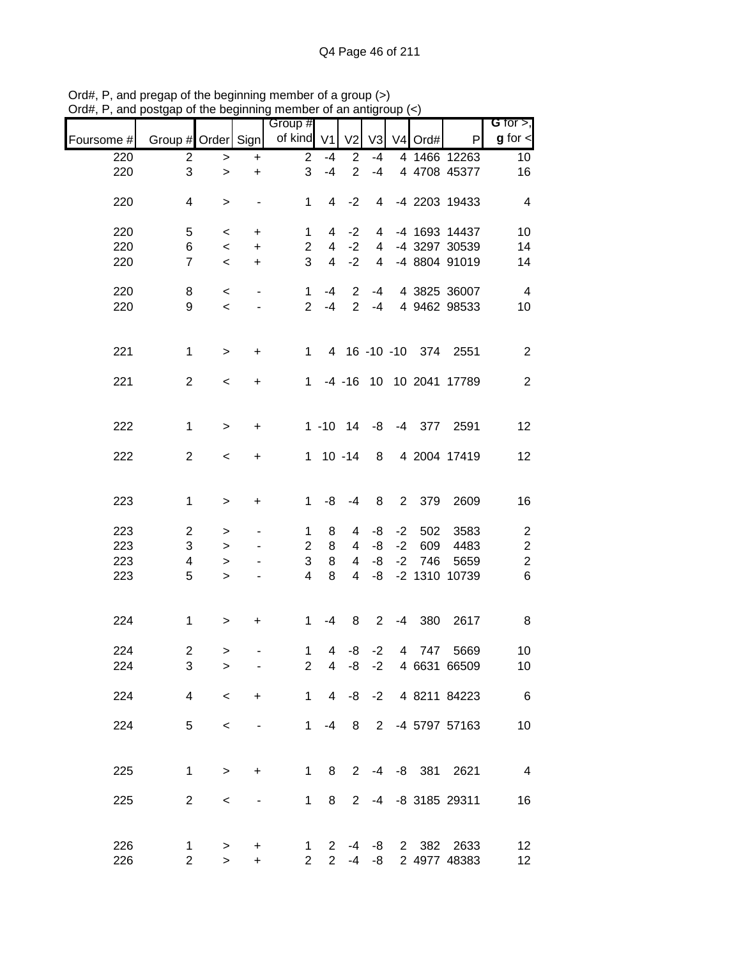|            |                     | ິ<br>, ., .         |                          | <br>Group #         |                                         | "                 |                |      |            |                           | G for $>$ ,             |
|------------|---------------------|---------------------|--------------------------|---------------------|-----------------------------------------|-------------------|----------------|------|------------|---------------------------|-------------------------|
| Foursome # | Group # Order Sign  |                     |                          | of kind V1          |                                         | V <sub>2</sub>    |                |      | V3 V4 Ord# | $\mathsf{P}$              | $g$ for $\mathbf{I}$    |
| 220        | $\overline{2}$      | $\,>$               | $\ddot{}$                | $\overline{2}$      | $-4$                                    | $\overline{2}$    | $-4$           |      |            | 4 1466 12263              | 10 <sub>1</sub>         |
| 220        | 3                   | $\geq$              | $\ddot{}$                | 3                   | $-4$                                    | $\overline{2}$    | $-4$           |      |            | 4 4708 45377              | 16                      |
| 220        | 4                   | $\,$                | $\overline{\phantom{a}}$ | $\mathbf{1}$        | $\overline{4}$                          | $-2$              | 4              |      |            | -4 2203 19433             | $\overline{4}$          |
| 220        | 5                   | $\,<$               | $\ddot{}$                | $\mathbf{1}$        | 4                                       | $-2$              | 4              |      |            | -4 1693 14437             | 10                      |
| 220        | 6                   | $\,<$               | $\ddot{}$                | $\overline{2}$      | $\overline{4}$                          | $-2$              | 4              |      |            | -4 3297 30539             | 14                      |
| 220        | $\overline{7}$      | $\,<$               | $\ddot{}$                | 3                   | $\overline{4}$                          | $-2$              | $\overline{4}$ |      |            | -4 8804 91019             | 14                      |
| 220        | 8                   | $\,<$               | $\overline{\phantom{a}}$ | $\mathbf{1}$        | $-4$                                    | 2                 | $-4$           |      |            | 4 3825 36007              | $\overline{4}$          |
| 220        | 9                   | $\,<$               |                          | $\overline{2}$      | $-4$                                    | $\overline{2}$    | $-4$           |      |            | 4 9462 98533              | 10                      |
| 221        | $\mathbf{1}$        | $\geq$              | $\ddot{}$                | $\mathbf{1}$        |                                         |                   |                |      |            | 4 16 -10 -10 374 2551     | $\overline{c}$          |
| 221        | $\overline{2}$      | $\,<$               | $\ddot{}$                |                     |                                         |                   |                |      |            | 1 -4 -16 10 10 2041 17789 | $\mathbf{2}$            |
|            |                     |                     |                          |                     |                                         |                   |                |      |            |                           |                         |
| 222        | 1                   | $\geq$              | $\ddot{}$                |                     |                                         | $1 - 10$ $14 - 8$ |                |      |            | -4 377 2591               | 12                      |
| 222        | $\overline{2}$      | $\,<$               | $\ddot{}$                |                     |                                         | $1 10 - 14$       | 8              |      |            | 4 2004 17419              | 12                      |
| 223        | $\mathbf 1$         | $\,>$               | $\ddot{}$                | $\mathbf{1}$        | -8                                      | $-4$              | 8              |      | 2 379      | 2609                      | 16                      |
|            |                     |                     |                          |                     |                                         |                   |                |      |            |                           |                         |
| 223        | $\overline{2}$      | $\,>$               |                          | 1                   | 8                                       | 4                 | -8             | $-2$ | 502        | 3583                      | $\overline{\mathbf{c}}$ |
| 223        | $\sqrt{3}$          | $\geq$              |                          | $\overline{2}$      | 8                                       | 4                 | -8             | $-2$ | 609        | 4483                      | $\sqrt{2}$              |
| 223        | 4                   | $\,$                |                          | 3                   | 8                                       | $\overline{4}$    | -8             |      | $-2$ 746   | 5659                      | $\mathbf 2$             |
| 223        | 5                   | $\geq$              |                          | $\overline{4}$      | 8                                       | 4                 | -8             |      |            | -2 1310 10739             | $\,6$                   |
| 224        | $\mathbf{1}$        | $\, > \,$           | +                        | 1                   | $-4$                                    | 8                 | $2^{\circ}$    |      | $-4$ 380   | 2617                      | 8                       |
| 224        | $\overline{c}$      |                     |                          | $\mathbf{1}$        | $\overline{a}$                          | -8                | $-2$           |      | 4 747      | 5669                      | 10                      |
| 224        | 3                   | $\,>$<br>$\geq$     |                          | $\overline{2}$      | 4                                       | -8                | $-2$           |      |            | 4 6631 66509              | 10                      |
| 224        | 4                   | $\,<$               | +                        | 1                   | $\overline{4}$                          | -8                | $-2$           |      |            | 4 8211 84223              | $6\overline{6}$         |
| 224        | 5                   | $\,<$               |                          | $\mathbf{1}$        | -4                                      | 8                 | $\overline{2}$ |      |            | -4 5797 57163             | 10                      |
|            |                     |                     |                          |                     |                                         |                   |                |      |            |                           |                         |
| 225        | $\mathbf 1$         | $\,$                | $\ddot{}$                | $\mathbf 1$         | 8                                       | $\overline{2}$    | $-4$           |      | -8 381     | 2621                      | $\overline{4}$          |
| 225        | $\overline{2}$      | $\,<\,$             | $\overline{\phantom{0}}$ | 1                   | 8                                       | 2                 |                |      |            | -4 -8 3185 29311          | 16                      |
|            |                     |                     |                          |                     |                                         |                   |                |      |            |                           |                         |
| 226<br>226 | 1<br>$\overline{c}$ | $\, > \,$<br>$\geq$ | +<br>$\ddot{}$           | 1<br>$\overline{2}$ | $\mathbf{2}^{\prime}$<br>$\overline{2}$ | -4<br>$-4$        | -8<br>-8       |      | 2 382      | 2633<br>2 4977 48383      | 12<br>12 <sub>2</sub>   |

Ord#, P, and pregap of the beginning member of a group (>) Ord#, P, and postgap of the beginning member of an antigroup (<)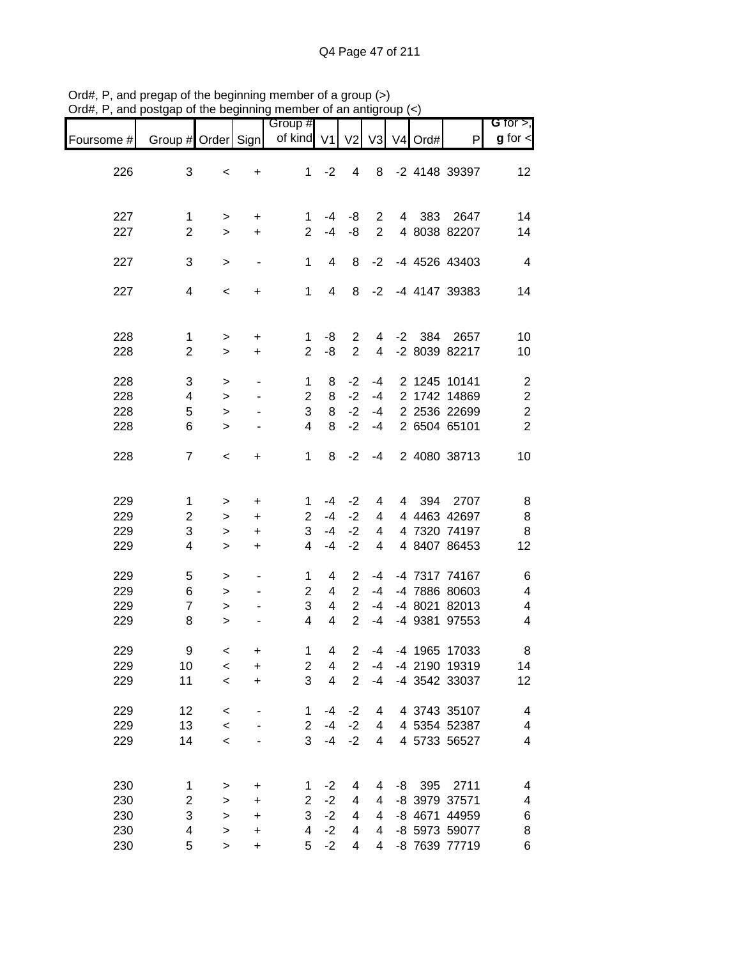|            |                     |              |                          | Group #             |                         |                |                |      |         |               | <b>G</b> for $>$ ,      |
|------------|---------------------|--------------|--------------------------|---------------------|-------------------------|----------------|----------------|------|---------|---------------|-------------------------|
| Foursome # | Group # Order Sign  |              |                          | of kind V1          |                         | V <sub>2</sub> | V <sub>3</sub> |      | V4 Ord# | P             | $g$ for $\lt$           |
|            |                     |              |                          |                     |                         |                |                |      |         |               |                         |
| 226        | 3                   | $\,<\,$      | +                        | 1                   | $-2$                    | 4              | 8              |      |         | -2 4148 39397 | 12                      |
|            |                     |              |                          |                     |                         |                |                |      |         |               |                         |
| 227        | $\mathbf 1$         | >            | +                        | $\mathbf 1$         | -4                      | -8             | 2              |      | 4 383   | 2647          | 14                      |
| 227        | $\overline{2}$      | $\geq$       | $\ddot{}$                | $\overline{2}$      | $-4$                    | -8             | $\overline{2}$ |      |         | 4 8038 82207  | 14                      |
| 227        | 3                   | $\, > \,$    | $\overline{\phantom{a}}$ | 1                   | 4                       | 8              | $-2$           |      |         | -4 4526 43403 | $\overline{4}$          |
|            |                     |              |                          |                     |                         |                |                |      |         |               |                         |
| 227        | 4                   | $\,<\,$      | +                        | $\mathbf 1$         | 4                       | 8              | $-2$           |      |         | -4 4147 39383 | 14                      |
|            |                     |              |                          |                     |                         |                |                |      |         |               |                         |
| 228        | $\mathbf 1$         | $\, > \,$    | $\ddot{}$                | 1                   | -8                      | 2              | 4              | $-2$ | 384     | 2657          | 10                      |
| 228        | $\overline{2}$      | $\geq$       | +                        | $\overline{2}$      | -8                      | $\overline{2}$ | 4              |      |         | -2 8039 82217 | 10                      |
| 228        | 3                   | $\, > \,$    | ٠                        | $\mathbf 1$         | 8                       | $-2$           | $-4$           |      |         | 2 1245 10141  | $\boldsymbol{2}$        |
| 228        | 4                   | $\, > \,$    |                          | $\overline{2}$      | 8                       | $-2$           | $-4$           |      |         | 2 1742 14869  | $\boldsymbol{2}$        |
| 228        | 5                   | $\, > \,$    |                          | 3                   | 8                       | $-2$           | $-4$           |      |         | 2 2536 22699  | $\overline{2}$          |
| 228        | 6                   | $\geq$       |                          | 4                   | 8                       | $-2$           | $-4$           |      |         | 2 6504 65101  | $\overline{2}$          |
|            |                     |              |                          |                     |                         |                |                |      |         |               |                         |
| 228        | $\overline{7}$      | $\,<\,$      | +                        | $\mathbf 1$         | 8                       | $-2$           | $-4$           |      |         | 2 4080 38713  | 10                      |
|            |                     |              |                          |                     |                         |                |                |      |         |               |                         |
| 229        | $\mathbf 1$         | >            | +                        | 1                   | $-4$                    | $-2$           | 4              | 4    | 394     | 2707          | 8                       |
| 229        | $\overline{2}$      | >            | +                        | $\overline{c}$      | $-4$                    | $-2$           | 4              |      |         | 4 4463 42697  | 8                       |
| 229        | 3                   | >            | +                        | 3                   | $-4$                    | $-2$           | 4              |      |         | 4 7320 74197  | 8                       |
| 229        | 4                   | $\geq$       | +                        | $\overline{4}$      | $-4$                    | $-2$           | 4              |      |         | 4 8407 86453  | 12                      |
| 229        | 5                   | >            | $\overline{a}$           | 1                   | 4                       | 2              | $-4$           |      |         | -4 7317 74167 | 6                       |
| 229        | 6                   | $\, > \,$    |                          | 2                   | 4                       | $\overline{2}$ | $-4$           |      |         | -4 7886 80603 | 4                       |
| 229        | $\overline{7}$      | $\geq$       |                          | 3                   | 4                       | $\overline{2}$ | $-4$           |      |         | -4 8021 82013 | 4                       |
| 229        | 8                   | $\, > \,$    | -                        | 4                   | $\overline{\mathbf{4}}$ | $\overline{2}$ | $-4$           |      |         | -4 9381 97553 | 4                       |
|            |                     |              |                          |                     |                         |                |                |      |         |               |                         |
| 229        | 9                   | $\,<\,$      | +                        | $\mathbf 1$         | 4                       | $\overline{2}$ | $-4$           |      |         | -4 1965 17033 | 8                       |
| 229        | 10                  | $\,<\,$      | +                        | $\overline{c}$      | 4                       | $\overline{c}$ | $-4$           |      |         | -4 2190 19319 | 14                      |
| 229        | 11                  | $\,<$        | $\ddot{}$                | 3                   | $\overline{\mathbf{4}}$ | $\overline{2}$ | $-4$           |      |         | -4 3542 33037 | 12                      |
| 229        | 12                  | $\,<$        |                          | 1                   | $-4$                    | $-2$           | 4              |      |         | 4 3743 35107  | 4                       |
| 229        | 13                  | $\,<$        |                          | $\overline{2}$      | $-4$                    | $-2$           | 4              |      |         | 4 5354 52387  | $\overline{\mathbf{4}}$ |
| 229        | 14                  | $\prec$      |                          | 3                   | $-4$                    | $-2$           | 4              |      |         | 4 5733 56527  | 4                       |
|            |                     |              |                          |                     |                         |                |                |      |         |               |                         |
|            |                     |              |                          |                     |                         |                |                |      |         | 2711          |                         |
| 230<br>230 | 1<br>$\overline{2}$ | ><br>>       | +<br>+                   | 1<br>$\overline{2}$ | $-2$<br>$-2$            | 4<br>4         | 4<br>4         | -8   | 395     | -8 3979 37571 | 4<br>4                  |
| 230        | 3                   | >            | +                        | 3                   | $-2$                    | 4              | 4              |      |         | -8 4671 44959 | 6                       |
| 230        | 4                   | $\, > \,$    | $\ddot{}$                | 4                   | $-2$                    | 4              | 4              |      |         | -8 5973 59077 | 8                       |
| 230        | 5                   | $\mathbf{I}$ | +                        | 5                   | $-2$                    | 4              | 4              |      |         | -8 7639 77719 | 6                       |
|            |                     |              |                          |                     |                         |                |                |      |         |               |                         |

Ord#, P, and pregap of the beginning member of a group (>) Ord#, P, and postgap of the beginning member of an antigroup (<)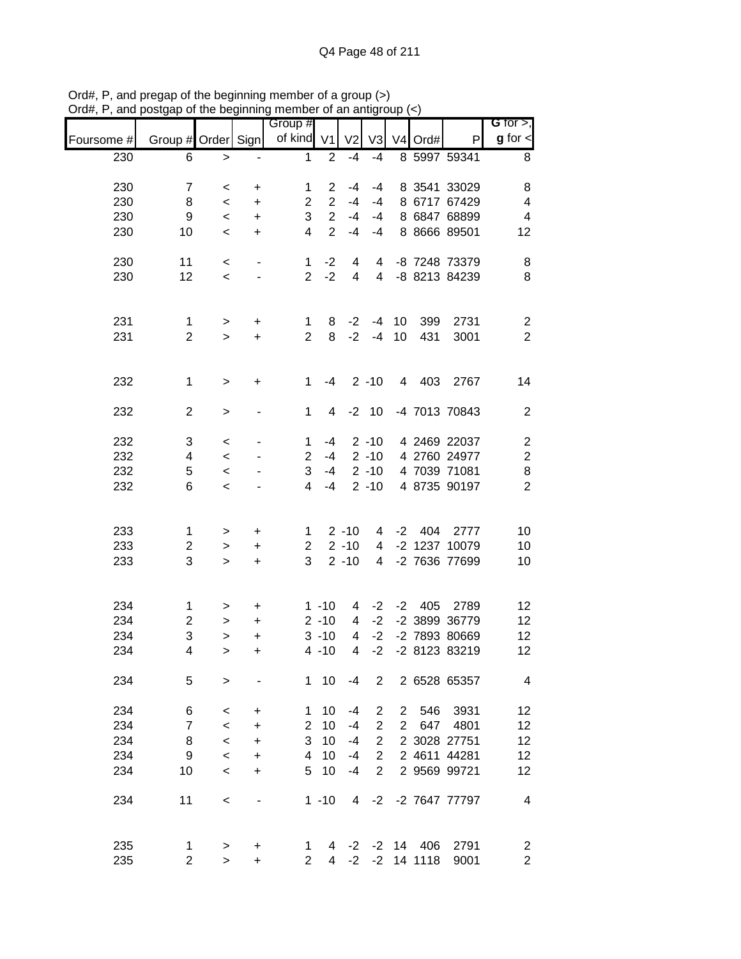| unu        | porgap or mo pogmumig   |           |                | $\frac{1}{2}$<br>Group # |                |                |                |                |                  |               | G for $>$ ,             |
|------------|-------------------------|-----------|----------------|--------------------------|----------------|----------------|----------------|----------------|------------------|---------------|-------------------------|
| Foursome # | Group # Order Sign      |           |                | of kind V1               |                | V <sub>2</sub> | V3             |                | $V4$ Ord#        | P             | $g$ for $\lt$           |
| 230        | 6                       | $\geq$    |                | 1                        | $\overline{2}$ | $-4$           | $-4$           |                |                  | 8 5997 59341  | 8                       |
| 230        | $\overline{7}$          | $\,<$     | +              | 1                        | $\overline{2}$ | $-4$           | $-4$           |                |                  | 8 3541 33029  | 8                       |
| 230        | 8                       | $\,<\,$   | +              | $\overline{2}$           | $\overline{2}$ | $-4$           | $-4$           |                |                  | 8 6717 67429  | $\overline{4}$          |
| 230        | 9                       | $\,<$     | $\ddot{}$      | 3                        | $\overline{2}$ | $-4$           | -4             |                |                  | 8 6847 68899  | $\overline{\mathbf{4}}$ |
| 230        | 10                      | $\,<\,$   | $\ddot{}$      | $\overline{4}$           | $\overline{2}$ | $-4$           | -4             |                |                  | 8 8666 89501  | 12                      |
| 230        | 11                      | $\,<$     | $\blacksquare$ | 1                        | $-2$           | 4              | 4              |                |                  | -8 7248 73379 | 8                       |
| 230        | 12                      | $\,<\,$   |                | $\overline{2}$           | $-2$           | $\overline{4}$ | $\overline{4}$ |                |                  | -8 8213 84239 | 8                       |
| 231        | $\mathbf{1}$            | $\,>$     | +              | $\mathbf 1$              | 8              | $-2$           | $-4$           | 10             | 399              | 2731          | $\overline{c}$          |
| 231        | $\overline{2}$          | $\geq$    | $\ddot{}$      | $\overline{2}$           | 8              | $-2$           |                | $-4$ 10        | 431              | 3001          | $\overline{2}$          |
| 232        | $\mathbf 1$             | $\,$      | +              | 1                        | $-4$           |                | $2 - 10$       |                | 4 403            | 2767          | 14                      |
| 232        | $\overline{2}$          | $\, >$    |                | $\mathbf{1}$             | 4              |                | $-2$ 10        |                |                  | -4 7013 70843 | $\mathbf{2}$            |
| 232        | 3                       | $\,<\,$   |                | 1                        | $-4$           |                | $2 - 10$       |                |                  | 4 2469 22037  | $\overline{\mathbf{c}}$ |
| 232        | 4                       | $\,<\,$   |                | $\overline{2}$           | $-4$           |                | $2 - 10$       |                |                  | 4 2760 24977  | $\overline{\mathbf{c}}$ |
| 232        | 5                       | $\,<\,$   |                | 3                        | $-4$           |                | $2 - 10$       |                |                  | 4 7039 71081  | 8                       |
| 232        | 6                       | $\,<\,$   |                | 4                        | $-4$           |                | $2 - 10$       |                |                  | 4 8735 90197  | $\overline{2}$          |
| 233        | 1                       | $\, >$    | +              | 1                        |                | $2 - 10$       | 4              |                | $-2$ 404         | 2777          | 10                      |
| 233        | $\overline{\mathbf{c}}$ | $\,>$     | +              | $\overline{2}$           |                | $2 - 10$       | $\overline{4}$ |                |                  | -2 1237 10079 | 10                      |
| 233        | 3                       | $\geq$    | $\ddot{}$      | 3                        |                | $2 - 10$       | $\overline{4}$ |                |                  | -2 7636 77699 | 10                      |
| 234        | $\mathbf{1}$            | >         | +              |                          | $1 - 10$       | 4              | $-2$           |                | -2 405           | 2789          | 12                      |
| 234        | $\boldsymbol{2}$        | $\, > \,$ | $\ddot{}$      |                          | $2 - 10$       | 4              | $-2$           |                |                  | -2 3899 36779 | 12                      |
| 234        | 3                       | $\geq$    | $\ddot{}$      |                          | $3 - 10$       | 4              | $-2$           |                |                  | -2 7893 80669 | 12                      |
| 234        | 4                       | $\,$      | $\ddot{}$      |                          | $4 - 10$       | 4              | $-2$           |                |                  | -2 8123 83219 | 12                      |
| 234        | 5                       | $\,$      |                |                          | 1 10           | $-4$           | $\overline{2}$ |                |                  | 2 6528 65357  | 4                       |
| 234        | 6                       | $\,<\,$   | $\ddot{}$      | 1                        | 10             | -4             | $\overline{2}$ | 2 <sup>1</sup> | 546              | 3931          | 12                      |
| 234        | $\overline{7}$          | $\,<\,$   | $\ddot{}$      | $\overline{2}$           | 10             | $-4$           | $\overline{2}$ | $\overline{2}$ | 647              | 4801          | 12                      |
| 234        | 8                       | $\,<$     | $\ddot{}$      | 3                        | 10             | $-4$           | $\overline{2}$ |                |                  | 2 3028 27751  | 12                      |
| 234        | 9                       | $\,<$     | $\ddot{}$      | 4                        | 10             | $-4$           | $\overline{2}$ |                |                  | 2 4611 44281  | 12                      |
| 234        | 10                      | $\,<$     | $\ddot{}$      | 5                        | 10             | $-4$           | $\overline{2}$ |                |                  | 2 9569 99721  | 12                      |
| 234        | 11                      | $\,<$     |                |                          | $1 - 10$       | 4              | $-2$           |                |                  | -2 7647 77797 | 4                       |
| 235        | 1                       | >         | +              | 1                        | 4              |                |                |                | $-2$ $-2$ 14 406 | 2791          | $\overline{\mathbf{c}}$ |
| 235        | $\overline{2}$          | $\geq$    | +              | $\overline{2}$           | 4              | $-2$           |                |                | $-2$ 14 1118     | 9001          | $\overline{2}$          |

Ord#, P, and pregap of the beginning member of a group (>) Ord#, P, and postgap of the beginning member of an antigroup (<)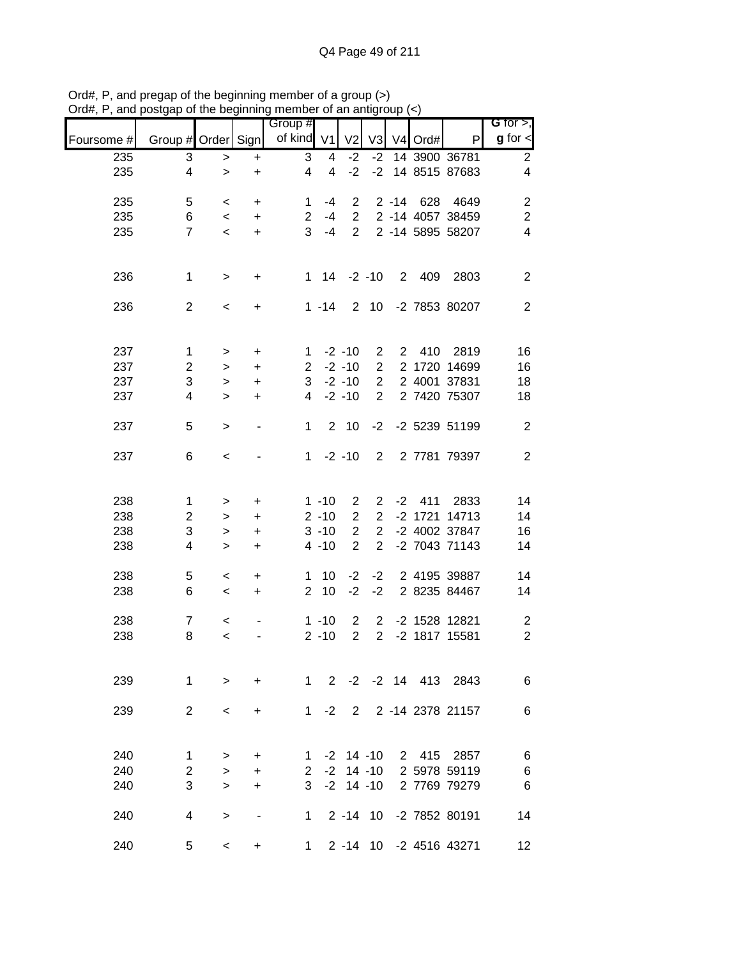|            |                    | <br>$\sim$   |                                  | Group #        |                |                     |                |            |                        | G for $>$ ,             |
|------------|--------------------|--------------|----------------------------------|----------------|----------------|---------------------|----------------|------------|------------------------|-------------------------|
| Foursome # | Group # Order Sign |              |                                  | of kind V1     |                | V <sub>2</sub>      | V <sub>3</sub> | V4 Ord#    | P                      | $g$ for $\mathbf{I}$    |
| 235        | 3                  | $\,$         | $\ddot{}$                        | 3              | 4              | $-2$                | $-2$           |            | 14 3900 36781          | $\overline{2}$          |
| 235        | 4                  | $\geq$       | $\ddot{}$                        | 4              | $\overline{4}$ | $-2$                | $-2$           |            | 14 8515 87683          | $\overline{\mathbf{4}}$ |
| 235        | 5                  | $\,<$        | $\ddot{}$                        | 1              | $-4$           | $\overline{2}$      |                |            | 2 -14 628 4649         | $\overline{c}$          |
| 235        | 6                  |              |                                  | $\overline{2}$ | $-4$           |                     |                |            | 2 2 -14 4057 38459     | $\sqrt{2}$              |
|            |                    | $\,<\,$      | $+$                              |                |                |                     |                |            |                        |                         |
| 235        | $\overline{7}$     | $\,<$        | $+$                              | 3              | $-4$           |                     |                |            | 2 2 -14 5895 58207     | $\overline{\mathbf{4}}$ |
| 236        | $\mathbf 1$        | $\,$         | $\ddot{}$                        |                |                | $1 \t14 \t-2 \t-10$ |                | 2 409      | 2803                   | $\mathbf{2}$            |
| 236        | $\overline{2}$     | $\,<$        | $\ddot{}$                        |                | $1 - 14$       |                     |                |            | 2 10 -2 7853 80207     | $\overline{2}$          |
| 237        | $\mathbf{1}$       | $\, >$       | $\ddot{}$                        | 1              |                | $-2 - 10$           | $\overline{2}$ |            | 2 410 2819             | 16                      |
| 237        | $\overline{2}$     |              | $\ddot{}$                        | $2^{\circ}$    |                | $-2 - 10$           | $\overline{2}$ |            | 2 1720 14699           | 16                      |
|            |                    | $\, > \,$    |                                  |                |                |                     | $\overline{2}$ |            |                        |                         |
| 237        | 3                  | $\, > \,$    | $\begin{array}{c} + \end{array}$ | 3 <sup>7</sup> |                | $-2 - 10$           |                |            | 2 4001 37831           | 18                      |
| 237        | 4                  | $\mathbf{L}$ | $\ddot{}$                        | 4              |                | $-2 - 10$           | $\overline{2}$ |            | 2 7420 75307           | 18                      |
| 237        | 5                  | $\geq$       | $\overline{\phantom{a}}$         | 1              |                | 2 <sub>10</sub>     | $-2$           |            | -2 5239 51199          | $\overline{2}$          |
| 237        | 6                  | $\,<$        |                                  | $1 \quad$      |                | $-2 - 10$           | $2^{\circ}$    |            | 2 7781 79397           | $\mathbf{2}$            |
| 238        | 1                  | $\,$         | $\ddot{}$                        |                | $1 - 10$       | $\overline{2}$      |                | $2 -2 411$ | 2833                   | 14                      |
| 238        | $\overline{c}$     | $\,$         | $\ddot{}$                        |                | $2 - 10$       | $\overline{2}$      | $\overline{2}$ |            | -2 1721 14713          | 14                      |
| 238        | 3                  | $\,>$        | $\ddot{}$                        |                | $3 - 10$       | $\overline{2}$      | $\overline{2}$ |            | -2 4002 37847          | 16                      |
| 238        | 4                  | $\geq$       | $\ddot{}$                        |                | $4 - 10$       | $\overline{2}$      | $\overline{2}$ |            | -2 7043 71143          | 14                      |
| 238        | 5                  | $\,<$        | $\ddot{}$                        |                | $1 10$         | $-2$                | $-2$           |            | 2 4195 39887           | 14                      |
| 238        | 6                  | $\,<\,$      | $\ddot{}$                        | $\overline{2}$ | 10             | $-2$                | $-2$           |            | 2 8235 84467           | 14                      |
| 238        | $\boldsymbol{7}$   | $\,<$        |                                  |                | $1 - 10$       | $\overline{2}$      | $\overline{2}$ |            | -2 1528 12821          | $\overline{2}$          |
| 238        | 8                  | $\prec$      |                                  |                | $2 - 10$       | $\overline{2}$      | $\overline{2}$ |            | -2 1817 15581          | $\overline{2}$          |
|            |                    |              |                                  |                |                |                     |                |            |                        |                         |
| 239        | 1                  | $\geq$       | $\ddot{}$                        | $1 \quad$      |                |                     |                |            | 2 -2 -2 14 413 2843    | 6                       |
| 239        | 2                  | $\,<\,$      | +                                | 1              | $-2$           | $2^{\circ}$         |                |            | 2 -14 2378 21157       | 6                       |
| 240        |                    |              |                                  |                |                |                     |                | 2 415      |                        |                         |
|            | $\mathbf 1$        | $\, > \,$    | +                                | $\mathbf{1}$   |                | $-2$ 14 $-10$       |                |            | 2857                   | 6                       |
| 240        | $\overline{2}$     | $\geq$       | $\ddot{}$                        | $\mathbf{2}$   | $-2$           |                     | $14 - 10$      |            | 2 5978 59119           | $6\phantom{1}6$         |
| 240        | $\mathbf{3}$       | $\geq$       | +                                | 3              |                | $-2$ 14 $-10$       |                |            | 2 7769 79279           | 6                       |
| 240        | 4                  | $\, > \,$    |                                  | 1.             |                |                     |                |            | 2 -14 10 -2 7852 80191 | 14                      |
| 240        | 5                  | $\,<\,$      | +                                | 1              |                |                     |                |            | 2 -14 10 -2 4516 43271 | 12                      |

Ord#, P, and pregap of the beginning member of a group (>) Ord#, P, and postgap of the beginning member of an antigroup (<)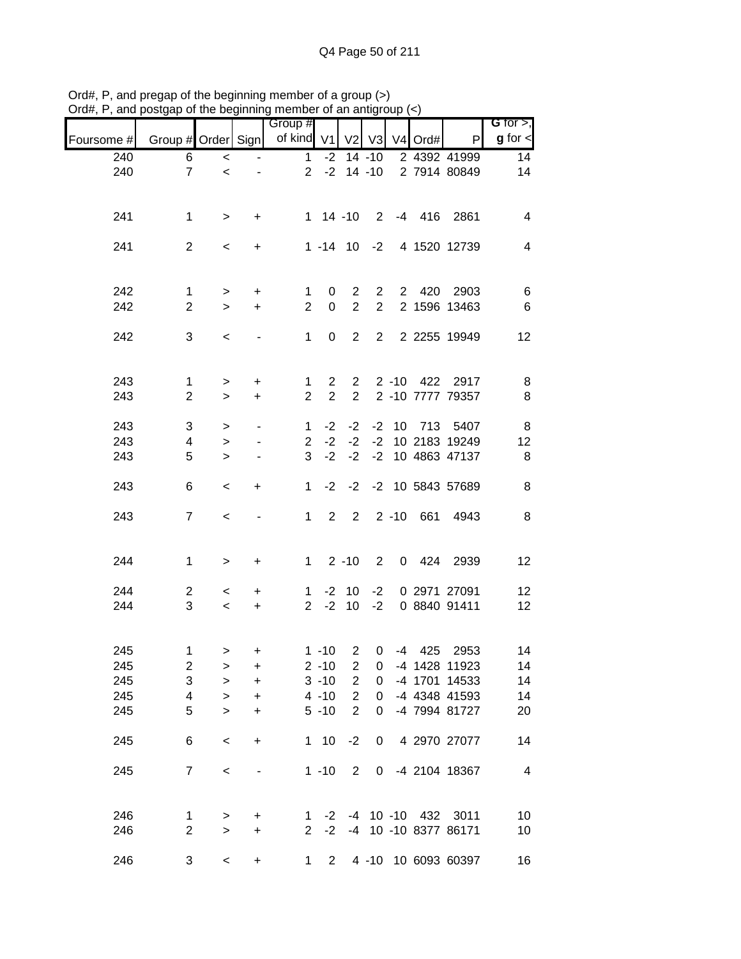|            |                         |           |                                  | Group #        |                |                |                |          |                     |                      | G for $>$ ,              |
|------------|-------------------------|-----------|----------------------------------|----------------|----------------|----------------|----------------|----------|---------------------|----------------------|--------------------------|
| Foursome # | Group # Order Sign      |           |                                  | of kind V1     |                | V <sub>2</sub> | V3             |          | V <sub>4</sub> Ord# | P                    | $g$ for $\lt$            |
| 240        | 6                       | $\,<$     |                                  | 1              | $-2$           |                | $14 - 10$      |          |                     | 2 4392 41999         | 14                       |
| 240        | $\overline{7}$          | $\prec$   |                                  | $\overline{2}$ | $-2$           |                | $14 - 10$      |          |                     | 2 7914 80849         | 14                       |
|            |                         |           |                                  |                |                |                |                |          |                     |                      |                          |
| 241        | 1                       | $\,$      | +                                |                | $1 14 - 10$    |                | $\overline{2}$ |          |                     | -4 416 2861          | $\overline{\mathcal{A}}$ |
|            |                         |           |                                  |                |                |                |                |          |                     |                      |                          |
| 241        | $\overline{2}$          | $\,<\,$   | +                                |                | $1 - 14$ 10    |                | $-2$           |          |                     | 4 1520 12739         | 4                        |
|            |                         |           |                                  |                |                |                |                |          |                     |                      |                          |
| 242        | 1                       | $\,>$     | $\ddot{}$                        | 1              | 0              | $\overline{2}$ | $\overline{2}$ |          | 2 420               | 2903                 | 6                        |
| 242        | $\overline{2}$          | $\geq$    | $\ddot{}$                        | $\overline{2}$ | $\mathbf 0$    | $\overline{2}$ | $\overline{2}$ |          |                     | 2 1596 13463         | 6                        |
| 242        | 3                       | $\,<\,$   |                                  | 1              | 0              | $\overline{2}$ | $\overline{2}$ |          |                     | 2 2255 19949         | 12                       |
|            |                         |           |                                  |                |                |                |                |          |                     |                      |                          |
| 243        | $\mathbf{1}$            | $\,$      | +                                | 1              | $\overline{2}$ | $\overline{2}$ |                |          | 2 -10 422           | 2917                 | 8                        |
| 243        | $\overline{2}$          | $\geq$    | +                                | $\overline{2}$ | $\overline{2}$ | $\overline{2}$ |                |          |                     | 2 -10 7777 79357     | 8                        |
| 243        | 3                       | $\,>$     |                                  | $\mathbf 1$    | $-2$           | $-2$           | $-2$           |          | 10 713              | 5407                 | 8                        |
| 243        | $\overline{4}$          | $\,$      |                                  | $\overline{2}$ | $-2$           | $-2$           | $-2$           |          |                     | 10 2183 19249        | 12                       |
| 243        | 5                       | $\geq$    |                                  | 3              | $-2$           | $-2$           | $-2$           |          |                     | 10 4863 47137        | $\,8\,$                  |
|            |                         |           |                                  |                |                |                |                |          |                     |                      |                          |
| 243        | 6                       | $\,<\,$   | +                                | 1              | $-2$           | $-2$           |                |          |                     | -2 10 5843 57689     | $\,8\,$                  |
| 243        | $\overline{7}$          | $\,<$     |                                  | 1              | $\overline{2}$ | $\overline{2}$ |                | $2 - 10$ | 661                 | 4943                 | 8                        |
|            |                         |           |                                  |                |                |                |                |          |                     |                      |                          |
| 244        | 1                       | $\, >$    | $\ddot{}$                        | $\mathbf{1}$   |                | $2 - 10$       | $\overline{2}$ | 0        | 424                 | 2939                 | 12                       |
|            |                         |           |                                  |                |                |                |                |          |                     |                      |                          |
| 244        | $\overline{2}$          | $\,<\,$   | +                                | 1              | $-2$           | 10             | $-2$           |          |                     | 0 2971 27091         | 12                       |
| 244        | 3                       | $\,<\,$   | +                                | $\overline{2}$ | $-2$           | 10             | $-2$           |          |                     | 0 8840 91411         | 12                       |
|            |                         |           |                                  |                |                |                |                |          |                     |                      |                          |
| 245        | $\mathbf 1$             | $\, > \,$ | +                                |                | $1 - 10$       | $\overline{2}$ | 0              |          | $-4$ 425            | 2953                 | 14                       |
| 245        | $\overline{\mathbf{c}}$ | >         | $\begin{array}{c} + \end{array}$ |                | $2 - 10$       | 2              | 0              |          |                     | -4 1428 11923        | 14                       |
| 245        | 3                       | $\, > \,$ | $\ddot{}$                        |                | $3 - 10$       | $\overline{2}$ | 0              |          |                     | -4 1701 14533        | 14                       |
| 245        | $\overline{\mathbf{4}}$ | $\,>$     | $\ddot{}$                        |                | $4 - 10$       | $\overline{2}$ | 0              |          |                     | -4 4348 41593        | 14                       |
| 245        | 5                       | $\geq$    | $\ddot{}$                        |                | $5 - 10$       | $\overline{2}$ | 0              |          |                     | -4 7994 81727        | 20                       |
| 245        | 6                       | $\,<$     | $\ddot{}$                        |                | $1 10$         | $-2$           | 0              |          |                     | 4 2970 27077         | 14                       |
| 245        | $\overline{7}$          | $\,<$     |                                  |                | $1 - 10$       | 2              | $\mathbf{0}$   |          |                     | -4 2104 18367        | $\overline{\mathbf{4}}$  |
|            |                         |           |                                  |                |                |                |                |          |                     |                      |                          |
| 246        | 1                       | $\,>$     | +                                | $\mathbf{1}$   |                |                |                |          | -2 -4 10 -10 432    | 3011                 | 10                       |
| 246        | $\overline{2}$          | $\geq$    | $\ddot{}$                        | $\overline{2}$ | $-2$           |                |                |          |                     | -4 10 -10 8377 86171 | 10                       |
| 246        | 3                       | $\,<$     | +                                | 1              | $2^{\circ}$    |                |                |          |                     | 4 -10 10 6093 60397  | 16                       |

Ord#, P, and pregap of the beginning member of a group (>) Ord#, P, and postgap of the beginning member of an antigroup (<)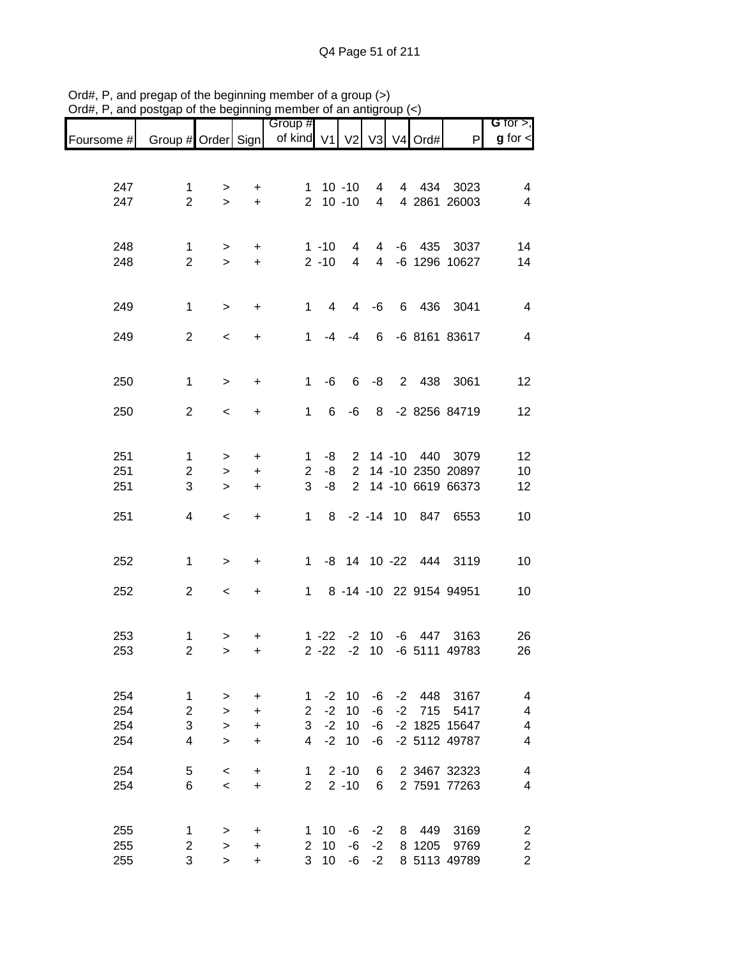|            |                    |                     |                | Group #                  |                |                |                |      |        |                         | G for $>$ ,             |
|------------|--------------------|---------------------|----------------|--------------------------|----------------|----------------|----------------|------|--------|-------------------------|-------------------------|
| Foursome # | Group # Order Sign |                     |                | of kind V1 V2 V3 V4 Ord# |                |                |                |      |        | $\mathsf{P}$            | $g$ for $\lt$           |
|            |                    |                     |                |                          |                |                |                |      |        |                         |                         |
| 247        | 1                  |                     |                |                          |                | $1 10 - 10$    |                |      |        | 4 434 3023              | $\overline{\mathbf{4}}$ |
| 247        | $\overline{2}$     | $\, > \,$<br>$\geq$ | +<br>$\ddot{}$ |                          | $2 10 - 10$    |                | $4 \quad$<br>4 |      |        | 4 2861 26003            | 4                       |
|            |                    |                     |                |                          |                |                |                |      |        |                         |                         |
|            |                    |                     |                |                          |                |                |                |      |        |                         |                         |
| 248        | $\mathbf 1$        | $\,>$               | $\ddot{}$      |                          | $1 - 10$       | 4              | $\overline{4}$ |      |        | -6 435 3037             | 14                      |
| 248        | $\overline{2}$     | $\geq$              | $\ddot{}$      |                          | $2 - 10$       | $\overline{4}$ |                |      |        | 4 -6 1296 10627         | 14                      |
|            |                    |                     |                |                          |                |                |                |      |        |                         |                         |
| 249        | $\mathbf 1$        | $\, > \,$           | $\ddot{}$      | 1                        | $\overline{4}$ | $\overline{4}$ | -6             |      |        | 6 436 3041              | $\overline{4}$          |
|            |                    |                     |                |                          |                |                |                |      |        |                         |                         |
| 249        | $\overline{2}$     | $\,<\,$             | $\ddot{}$      | $\mathbf 1$              | $-4$           | $-4$           | 6              |      |        | -6 8161 83617           | 4                       |
|            |                    |                     |                |                          |                |                |                |      |        |                         |                         |
| 250        | $\mathbf 1$        | $\, > \,$           | +              | $\mathbf{1}$             | -6             | 6              | -8             |      |        | 2 438 3061              | 12                      |
|            |                    |                     |                |                          |                |                |                |      |        |                         |                         |
| 250        | $\overline{2}$     | $\,<\,$             | +              | $\mathbf{1}$             | 6              | -6             |                |      |        | 8 -2 8256 84719         | 12                      |
|            |                    |                     |                |                          |                |                |                |      |        |                         |                         |
| 251        | 1                  | $\, > \,$           | $\ddot{}$      | 1                        | -8             |                |                |      |        | 2 14 -10 440 3079       | 12                      |
| 251        | $\overline{2}$     | $\,>$               | $\ddot{}$      | $\overline{2}$           | -8             | $\mathbf{2}$   |                |      |        | 14 -10 2350 20897       | 10                      |
| 251        | 3                  | $\geq$              | $\ddot{}$      | 3                        | -8             | $\overline{2}$ |                |      |        | 14 -10 6619 66373       | 12                      |
| 251        | 4                  | $\,<$               | $\ddot{}$      | 1                        | 8              |                |                |      |        | -2 -14 10 847 6553      | 10                      |
|            |                    |                     |                |                          |                |                |                |      |        |                         |                         |
|            |                    |                     |                |                          |                |                |                |      |        |                         |                         |
| 252        | 1                  | $\, > \,$           | +              | 1.                       |                |                |                |      |        | -8 14 10 -22 444 3119   | 10                      |
| 252        | $\mathbf{2}$       |                     |                | 1                        |                |                |                |      |        | 8 -14 -10 22 9154 94951 | 10                      |
|            |                    | $\,<\,$             | +              |                          |                |                |                |      |        |                         |                         |
|            |                    |                     |                |                          |                |                |                |      |        |                         |                         |
| 253        | 1                  | >                   | +              |                          | $1 - 22$       | $-2$           | 10             | -6   | 447    | 3163                    | 26                      |
| 253        | $\overline{2}$     | $\, > \,$           | +              |                          | $2 - 22$       | $-2$           | 10             |      |        | -6 5111 49783           | 26                      |
|            |                    |                     |                |                          |                |                |                |      |        |                         |                         |
| 254        | 1                  | $\, > \,$           | +              | 1                        | $-2$           | 10             | -6             |      | -2 448 | 3167                    | 4                       |
| 254        | $\overline{2}$     | $\geq$              | +              | $\overline{2}$           | $-2$           | 10             | -6             | $-2$ | 715    | 5417                    | 4                       |
| 254        | 3                  | $\geq$              | $\ddot{}$      | 3                        | $-2$           | 10             | -6             |      |        | -2 1825 15647           | 4                       |
| 254        | 4                  | $\geq$              | $\ddot{}$      | 4                        | $-2$           | 10             | -6             |      |        | -2 5112 49787           | 4                       |
|            |                    |                     |                |                          |                |                |                |      |        |                         |                         |
| 254        | 5                  | $\,<\,$             | $\ddot{}$      | 1                        |                | $2 - 10$       | 6              |      |        | 2 3467 32323            | 4                       |
| 254        | 6                  | $\prec$             | +              | $\overline{2}$           |                | $2 - 10$       | 6              |      |        | 2 7591 77263            | 4                       |
|            |                    |                     |                |                          |                |                |                |      |        |                         |                         |
| 255        | 1                  | >                   | $\ddot{}$      | 1.                       | 10             | -6             | $-2$           | 8    | 449    | 3169                    | $\overline{\mathbf{c}}$ |
| 255        | $\overline{2}$     | >                   | +              | 2                        | 10             | -6             | $-2$           |      | 8 1205 | 9769                    | $\overline{\mathbf{c}}$ |
| 255        | 3                  | $\geq$              | +              | 3                        | 10             |                | $-6 -2$        |      |        | 8 5113 49789            | $\overline{2}$          |

Ord#, P, and pregap of the beginning member of a group (>) Ord#, P, and postgap of the beginning member of an antigroup (<)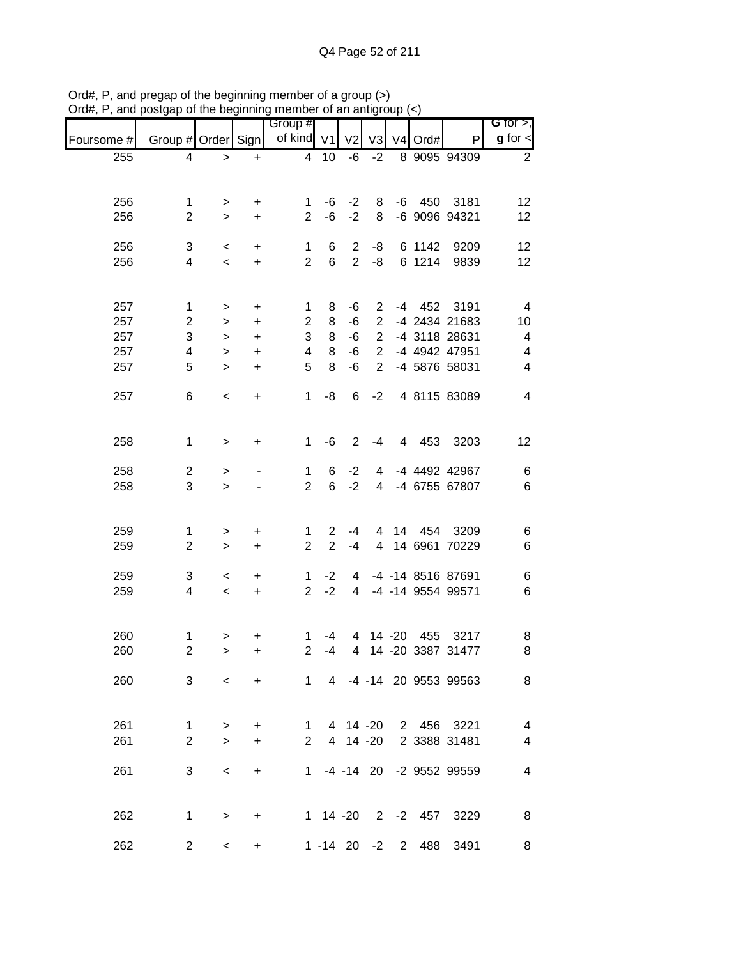| unu p      |                         |           |           | $\frac{1}{2}$ or the beginning member of an antigroup $\langle \cdot \rangle$ |                |                |                |                   |                           |                              |
|------------|-------------------------|-----------|-----------|-------------------------------------------------------------------------------|----------------|----------------|----------------|-------------------|---------------------------|------------------------------|
| Foursome # | Group # Order Sign      |           |           | Group #<br>of kind V1                                                         |                | V <sub>2</sub> | V <sub>3</sub> | V4 Ord#           | $\mathsf{P}$              | G for $>$ ,<br>$g$ for $\lt$ |
| 255        | 4                       | $\geq$    | $+$       | $\overline{4}$                                                                | 10             | $-6$           | $-2$           |                   | 8 9095 94309              | $\overline{2}$               |
|            |                         |           |           |                                                                               |                |                |                |                   |                           |                              |
| 256        | 1                       | $\, >$    | +         | 1                                                                             | -6             | $-2$           | 8              | -6 450            | 3181                      | 12                           |
| 256        | $\overline{2}$          | $\geq$    | $\ddot{}$ | $\overline{2}$                                                                | $-6$           | $-2$           | 8              |                   | -6 9096 94321             | 12                           |
|            |                         |           |           |                                                                               |                |                |                |                   |                           |                              |
| 256        | 3                       | $\,<$     | $\ddot{}$ | 1                                                                             | 6              | $\overline{2}$ | -8             | 6 1142            | 9209                      | 12                           |
| 256        | 4                       | $\,<$     | $\ddot{}$ | $\overline{2}$                                                                | 6              | 2              | -8             | 6 1214            | 9839                      | 12                           |
|            |                         |           |           |                                                                               |                |                |                |                   |                           |                              |
| 257        | $\mathbf{1}$            | >         | $\ddot{}$ | 1                                                                             | 8              | -6             | $2^{\circ}$    |                   | -4 452 3191               | $\overline{4}$               |
| 257        | $\overline{\mathbf{c}}$ | $\,$      | $\ddot{}$ | $\overline{2}$                                                                | 8              | $-6$           | $\overline{2}$ |                   | -4 2434 21683             | 10                           |
| 257        | 3                       | $\,>$     | $\ddot{}$ | 3                                                                             | $\, 8$         | $-6$           | $\overline{2}$ |                   | -4 3118 28631             | $\overline{\mathcal{L}}$     |
| 257        | $\overline{\mathbf{4}}$ | $\geq$    | $\ddot{}$ | $\overline{\mathbf{4}}$                                                       | $\,8\,$        | $-6$           | 2 <sup>1</sup> |                   | -4 4942 47951             | $\overline{4}$               |
| 257        | 5                       | $\geq$    | $\ddot{}$ | 5                                                                             | 8              | -6             | $\overline{2}$ |                   | -4 5876 58031             | $\overline{4}$               |
|            |                         |           |           |                                                                               |                |                |                |                   |                           |                              |
| 257        | 6                       | $\,<\,$   | +         | 1                                                                             | -8             | 6              | $-2$           |                   | 4 8115 83089              | $\overline{\mathcal{A}}$     |
|            |                         |           |           |                                                                               |                |                |                |                   |                           |                              |
| 258        | 1                       | $\, >$    | +         | 1                                                                             | $-6$           | $\mathbf{2}$   | -4             |                   | 4 453 3203                | 12                           |
| 258        | $\overline{c}$          | >         |           | 1                                                                             | 6              | $-2$           | $\overline{4}$ |                   | -4 4492 42967             | $\,6$                        |
| 258        | 3                       | $\geq$    |           | $\overline{2}$                                                                | 6              | $-2$           | $\overline{4}$ |                   | -4 6755 67807             | $\,6$                        |
|            |                         |           |           |                                                                               |                |                |                |                   |                           |                              |
| 259        | 1                       | $\,$      | +         | 1                                                                             | $\overline{2}$ | -4             |                |                   | 4 14 454 3209             | 6                            |
| 259        | $\overline{2}$          | $\geq$    | $\ddot{}$ | $\overline{2}$                                                                | $\overline{2}$ | $-4$           |                |                   | 4 14 6961 70229           | $\,6$                        |
|            |                         |           |           |                                                                               |                |                |                |                   |                           |                              |
| 259        | 3                       | $\,<$     | +         | $\mathbf{1}$                                                                  | $-2$           | 4              |                |                   | -4 -14 8516 87691         | 6                            |
| 259        | $\overline{\mathbf{4}}$ | $\,<$     | $+$       | $\overline{2}$                                                                | $-2$           | 4              |                |                   | -4 -14 9554 99571         | $\,6$                        |
|            |                         |           |           |                                                                               |                |                |                |                   |                           |                              |
| 260        | 1                       | $\, >$    | +         | 1.                                                                            | $-4$           |                |                |                   | 4 14 -20 455 3217         | 8                            |
| 260        | $\overline{c}$          | $\,$      | +         | $\overline{\mathbf{c}}$                                                       | $-4$           | 4              |                |                   | 14 -20 3387 31477         | 8                            |
|            |                         |           |           |                                                                               |                |                |                |                   |                           |                              |
| 260        | 3                       | $\prec$   | $+$       |                                                                               |                |                |                |                   | 1 4 -4 -14 20 9553 99563  | 8                            |
|            |                         |           |           |                                                                               |                |                |                |                   |                           |                              |
| 261        | 1                       | $\, > \,$ | $\ddot{}$ | 1.                                                                            |                | 4 14 -20       |                |                   | 2 456 3221                | 4                            |
| 261        | $\overline{2}$          | $\geq$    | $\ddot{}$ | $\overline{2}$                                                                |                | 4 14 -20       |                |                   | 2 3388 31481              | 4                            |
|            |                         |           |           |                                                                               |                |                |                |                   |                           |                              |
| 261        | 3                       | $\,<\,$   | $\ddot{}$ |                                                                               |                |                |                |                   | 1 -4 -14 20 -2 9552 99559 | $\overline{4}$               |
|            |                         |           |           |                                                                               |                |                |                |                   |                           |                              |
| 262        | $\mathbf 1$             | $\, > \,$ | $\ddot{}$ |                                                                               |                |                |                |                   | 1 14 -20 2 -2 457 3229    | 8                            |
|            |                         |           |           |                                                                               |                |                |                |                   |                           |                              |
| 262        | 2                       | $\,<\,$   | $\ddot{}$ |                                                                               |                |                |                | 1 -14 20 -2 2 488 | 3491                      | 8                            |

Ord#, P, and pregap of the beginning member of a group (>) Ord#, P, and postgap of the beginning member of an antigroup (<)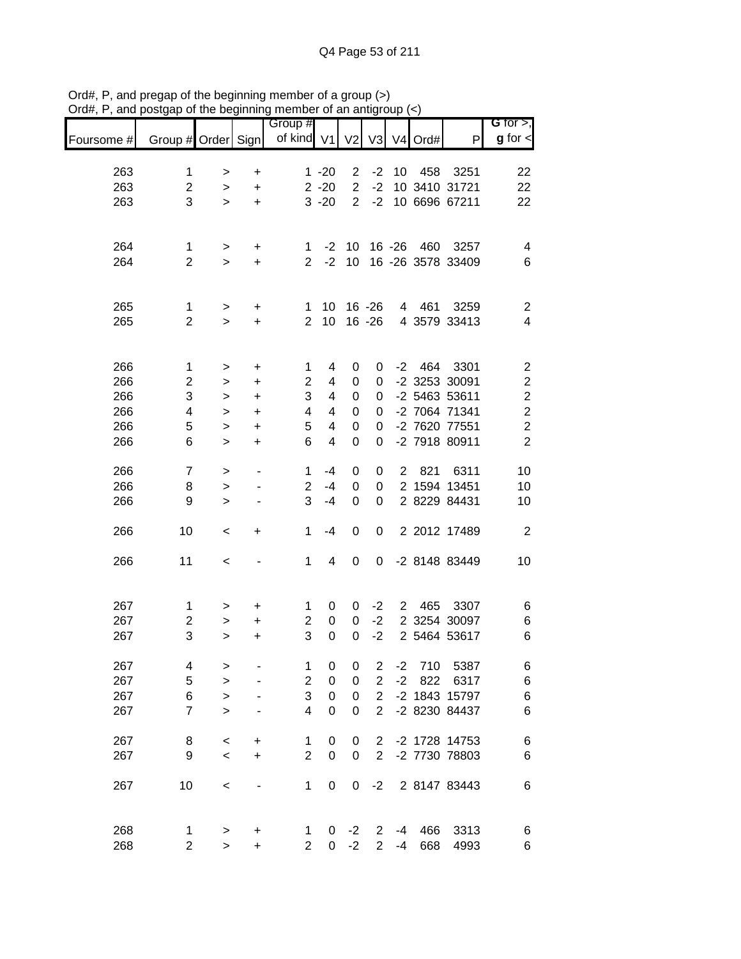|            |                     |           |           | Group #              |                      |                                  |                         |                |         |                           | <b>G</b> for $>$ ,      |
|------------|---------------------|-----------|-----------|----------------------|----------------------|----------------------------------|-------------------------|----------------|---------|---------------------------|-------------------------|
| Foursome # | Group # Order Sign  |           |           | of kind V1           |                      | V <sub>2</sub>                   | V <sub>3</sub>          |                | V4 Ord# | P                         | $g$ for $\lt$           |
|            |                     |           |           |                      |                      |                                  |                         |                |         |                           |                         |
| 263        | 1                   | >         | $\ddot{}$ |                      | $1 - 20$             | $\overline{c}$<br>$\overline{2}$ | $-2$<br>$-2$            | 10             | 458     | 3251                      | 22                      |
| 263        | $\overline{2}$<br>3 | $\, > \,$ | $\ddot{}$ |                      | $2 - 20$<br>$3 - 20$ | $\overline{2}$                   | $-2$                    |                |         | 10 3410 31721             | 22                      |
| 263        |                     | $\geq$    | $\ddot{}$ |                      |                      |                                  |                         |                |         | 10 6696 67211             | 22                      |
|            |                     |           |           |                      |                      |                                  |                         |                |         |                           |                         |
| 264<br>264 | 1<br>$\overline{2}$ | >         | +         | 1.<br>$\overline{2}$ | $-2$<br>$-2$         | 10<br>10                         |                         | $16 - 26$      | 460     | 3257<br>16 -26 3578 33409 | 4<br>6                  |
|            |                     | $\geq$    | $\ddot{}$ |                      |                      |                                  |                         |                |         |                           |                         |
| 265        | 1                   | $\,$      | +         | 1                    | 10                   |                                  | $16 - 26$               | 4              | 461     | 3259                      | $\overline{c}$          |
| 265        | $\overline{2}$      | $\, > \,$ | $\ddot{}$ | $\overline{2}$       | 10                   |                                  | $16 - 26$               |                |         | 4 3579 33413              | 4                       |
|            |                     |           |           |                      |                      |                                  |                         |                |         |                           |                         |
| 266        | $\mathbf{1}$        | >         | $\ddot{}$ | 1                    | 4                    | 0                                | 0                       | $-2$           | 464     | 3301                      | $\overline{\mathbf{c}}$ |
| 266        | $\overline{c}$      | >         | $\ddot{}$ | $\overline{2}$       | 4                    | 0                                | 0                       |                |         | -2 3253 30091             | $\overline{\mathbf{c}}$ |
| 266        | 3                   | >         | $\ddot{}$ | 3                    | 4                    | 0                                | 0                       |                |         | -2 5463 53611             | $\overline{\mathbf{c}}$ |
| 266        | 4                   | >         | $\ddot{}$ | 4                    | 4                    | 0                                | 0                       |                |         | -2 7064 71341             | $\overline{c}$          |
| 266        | 5                   | >         | $\ddot{}$ | 5                    | 4                    | 0                                | 0                       |                |         | -2 7620 77551             | $\overline{c}$          |
| 266        | 6                   | $\geq$    | $\ddot{}$ | 6                    | 4                    | 0                                | 0                       |                |         | -2 7918 80911             | $\overline{2}$          |
| 266        | $\overline{7}$      | >         |           | 1                    | $-4$                 | 0                                | 0                       | $\overline{2}$ | 821     | 6311                      | 10                      |
| 266        | 8                   | >         |           | $\boldsymbol{2}$     | $-4$                 | 0                                | 0                       |                |         | 2 1594 13451              | 10                      |
| 266        | 9                   | >         |           | 3                    | $-4$                 | 0                                | 0                       |                |         | 2 8229 84431              | 10                      |
| 266        | 10                  | <         | +         | 1                    | $-4$                 | 0                                | 0                       |                |         | 2 2012 17489              | $\overline{2}$          |
| 266        | 11                  | $\,<$     |           | 1                    | 4                    | 0                                | 0                       |                |         | -2 8148 83449             | 10                      |
|            |                     |           |           |                      |                      |                                  |                         |                |         |                           |                         |
| 267        | 1                   | >         | +         | 1                    | 0                    | 0                                | $-2$                    | $\overline{2}$ | 465     | 3307                      | 6                       |
| 267        | $\overline{c}$      | >         | +         | $\overline{c}$       | $\boldsymbol{0}$     | 0                                | $-2$                    |                |         | 2 3254 30097              | 6                       |
| 267        | 3                   | >         | +         | 3                    | $\mathbf 0$          | 0                                | $-2$                    |                |         | 2 5464 53617              | 6                       |
| 267        | 4                   | >         |           | 1                    | $\boldsymbol{0}$     | $\pmb{0}$                        | $\overline{\mathbf{c}}$ | $-2$           | 710     | 5387                      | 6                       |
| 267        | 5                   | $\geq$    |           | $\mathbf 2$          | $\boldsymbol{0}$     | 0                                | $\overline{2}$          | $-2$           | 822     | 6317                      | 6                       |
| 267        | $\,6$               | $\geq$    |           | 3                    | $\boldsymbol{0}$     | 0                                | $\overline{2}$          |                |         | -2 1843 15797             | 6                       |
| 267        | $\overline{7}$      | $\geq$    |           | $\overline{4}$       | $\mathbf 0$          | 0                                | $\overline{2}$          |                |         | -2 8230 84437             | 6                       |
| 267        | 8                   | $\,<$     | +         | 1                    | 0                    | 0                                | $\overline{2}$          |                |         | -2 1728 14753             | 6                       |
| 267        | 9                   | $\prec$   | $\ddot{}$ | $\overline{c}$       | 0                    | 0                                | $\overline{2}$          |                |         | -2 7730 78803             | 6                       |
| 267        | 10                  | $\,<\,$   |           | 1                    | 0                    | 0                                | $-2$                    |                |         | 2 8147 83443              | 6                       |
|            |                     |           |           |                      |                      |                                  |                         |                |         |                           |                         |
| 268        | 1                   | $\,$      | +         | 1                    | 0                    | $-2$                             | $\overline{2}$          | -4             | 466     | 3313                      | 6                       |
| 268        | $\overline{c}$      | $\geq$    | $\ddot{}$ | $\overline{2}$       | 0                    | $-2$                             | $\overline{2}$          | $-4$           | 668     | 4993                      | 6                       |

Ord#, P, and pregap of the beginning member of a group (>) Ord#, P, and postgap of the beginning member of an antigroup (<)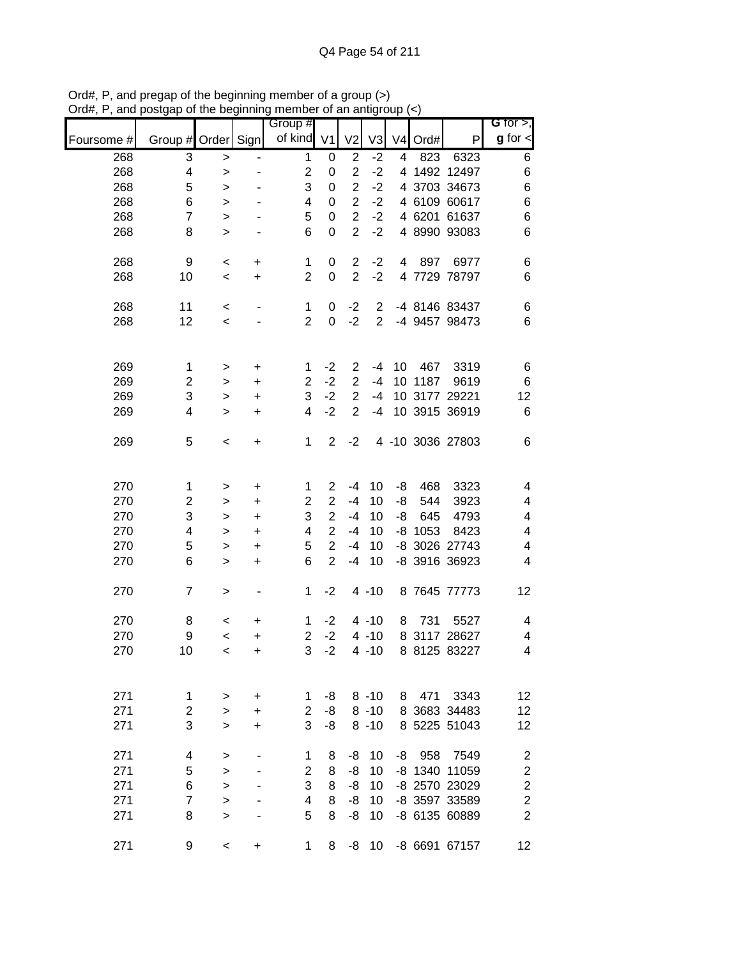|            |                    |           |           | 11101110<br>Group #     |                  |                |                |    |           |                  | G for $>$ ,             |
|------------|--------------------|-----------|-----------|-------------------------|------------------|----------------|----------------|----|-----------|------------------|-------------------------|
| Foursome # | Group # Order Sign |           |           | of kind V1              |                  | V <sub>2</sub> | V3             |    | V4 Ord#   | P                | $g$ for $\lt$           |
| 268        | 3                  | $\,$      |           | $\mathbf 1$             | 0                | $\overline{2}$ | $-2$           | 4  | 823       | 6323             | 6                       |
| 268        | 4                  | $\, > \,$ |           | $\overline{\mathbf{c}}$ | 0                | $\sqrt{2}$     | $-2$           |    |           | 4 1492 12497     | 6                       |
| 268        | 5                  | >         |           | 3                       | 0                | $\overline{2}$ | $-2$           |    |           | 4 3703 34673     | 6                       |
| 268        | 6                  | >         |           | 4                       | 0                | $\overline{2}$ | $-2$           |    |           | 4 6109 60617     | 6                       |
| 268        | $\overline{7}$     | $\,>$     |           | 5                       | 0                | $\overline{2}$ | $-2$           |    |           | 4 6201 61637     | $\,$ 6 $\,$             |
| 268        | 8                  | $\, > \,$ |           | 6                       | $\mathbf 0$      | $\overline{2}$ | $-2$           |    |           | 4 8990 93083     | 6                       |
| 268        | 9                  |           |           |                         |                  | $\mathbf{2}$   | $-2$           | 4  | 897       | 6977             |                         |
| 268        | 10                 | $\,<$     | $\ddot{}$ | 1<br>$\overline{2}$     | 0<br>$\mathbf 0$ | $\overline{2}$ | $-2$           |    |           | 4 7729 78797     | 6<br>6                  |
|            |                    | $\,<$     | $\ddot{}$ |                         |                  |                |                |    |           |                  |                         |
| 268        | 11                 | $\,<$     |           | $\mathbf{1}$            | 0                | $-2$           | 2              |    |           | -4 8146 83437    | 6                       |
| 268        | 12                 | $\,<$     |           | $\overline{2}$          | 0                | $-2$           | $\overline{2}$ |    |           | -4 9457 98473    | 6                       |
|            |                    |           |           |                         |                  |                |                |    |           |                  |                         |
| 269        | $\mathbf 1$        | >         | $\ddot{}$ | 1                       | $-2$             | $\overline{2}$ | $-4$           | 10 | 467       | 3319             | 6                       |
| 269        | $\overline{c}$     | >         | +         | 2                       | $-2$             | $\sqrt{2}$     | $-4$           |    | 10 1187   | 9619             | $\,6$                   |
| 269        | 3                  | $\,>$     | +         | 3                       | $-2$             | $\overline{2}$ | $-4$           |    |           | 10 3177 29221    | 12                      |
| 269        | 4                  | $\, > \,$ | +         | 4                       | $-2$             | $\overline{2}$ | $-4$           |    |           | 10 3915 36919    | $\,6$                   |
| 269        | 5                  | $\,<$     | $\ddot{}$ | $\mathbf{1}$            | $\overline{2}$   | $-2$           |                |    |           | 4 -10 3036 27803 | 6                       |
|            |                    |           |           |                         |                  |                |                |    |           |                  |                         |
|            |                    |           |           |                         |                  |                |                |    |           |                  |                         |
| 270        | 1                  | >         | +         | 1                       | $\overline{2}$   | $-4$           | 10             | -8 | 468       | 3323             | 4                       |
| 270        | $\overline{c}$     | >         | +         | 2                       | $\overline{2}$   | $-4$           | 10             | -8 | 544       | 3923             | 4                       |
| 270        | 3                  | $\,$      | +         | 3                       | $\overline{2}$   | $-4$           | 10             | -8 | 645       | 4793             | 4                       |
| 270        | 4                  | $\geq$    | +         | 4                       | $\overline{2}$   | $-4$           | 10             |    | $-8$ 1053 | 8423             | 4                       |
| 270        | 5                  | $\, > \,$ | $\ddot{}$ | 5                       | $\overline{2}$   | $-4$           | 10             |    |           | -8 3026 27743    | 4                       |
| 270        | 6                  | $\geq$    | $\ddot{}$ | 6                       | $\overline{2}$   | $-4$           | 10             |    |           | -8 3916 36923    | $\overline{\mathbf{4}}$ |
| 270        | $\overline{7}$     | >         |           | 1                       | $-2$             |                | $4 - 10$       |    |           | 8 7645 77773     | 12                      |
|            |                    |           |           |                         |                  |                |                |    |           |                  |                         |
| 270        | 8                  | $\,<$     | +         | 1                       | $-2$             |                | $4 - 10$       | 8  | 731       | 5527             | 4                       |
| 270        | 9                  | $\,<$     | +         | $\overline{c}$          | $-2$             |                | $4 - 10$       |    |           | 8 3117 28627     | 4                       |
| 270        | 10                 | $\prec$   | +         | 3                       | $-2$             |                | $4 - 10$       |    |           | 8 8125 83227     | 4                       |
|            |                    |           |           |                         |                  |                |                |    |           |                  |                         |
| 271        | 1                  | >         | +         | 1                       | -8               |                | $8 - 10$       | 8  | 471       | 3343             | 12                      |
| 271        | $\overline{c}$     | >         | +         | $\overline{2}$          | -8               |                | $8 - 10$       |    |           | 8 3683 34483     | 12                      |
| 271        | 3                  | $\geq$    | $\ddot{}$ | 3                       | -8               |                | $8 - 10$       |    |           | 8 5225 51043     | 12                      |
| 271        | 4                  | >         |           | 1                       | 8                | -8             | 10             | -8 | 958       | 7549             | $\overline{\mathbf{c}}$ |
| 271        | 5                  | $\geq$    |           | $\overline{2}$          | 8                | -8             | 10             |    |           | -8 1340 11059    | $\overline{c}$          |
| 271        | 6                  | $\geq$    |           | 3                       | 8                | -8             | 10             |    |           | -8 2570 23029    | $\overline{\mathbf{c}}$ |
| 271        | $\overline{7}$     | $\geq$    |           | 4                       | 8                | -8             | 10             |    |           | -8 3597 33589    | $\overline{c}$          |
| 271        | 8                  | $\geq$    |           | 5                       | 8                | -8             | 10             |    |           | -8 6135 60889    | $\overline{2}$          |
|            |                    |           |           |                         |                  |                |                |    |           |                  |                         |
| 271        | 9                  | $\,<\,$   | +         | 1                       | 8                | -8             | 10             |    |           | -8 6691 67157    | 12                      |

Ord#, P, and pregap of the beginning member of a group (>) Ord#, P, and postgap of the beginning member of an antigroup (<)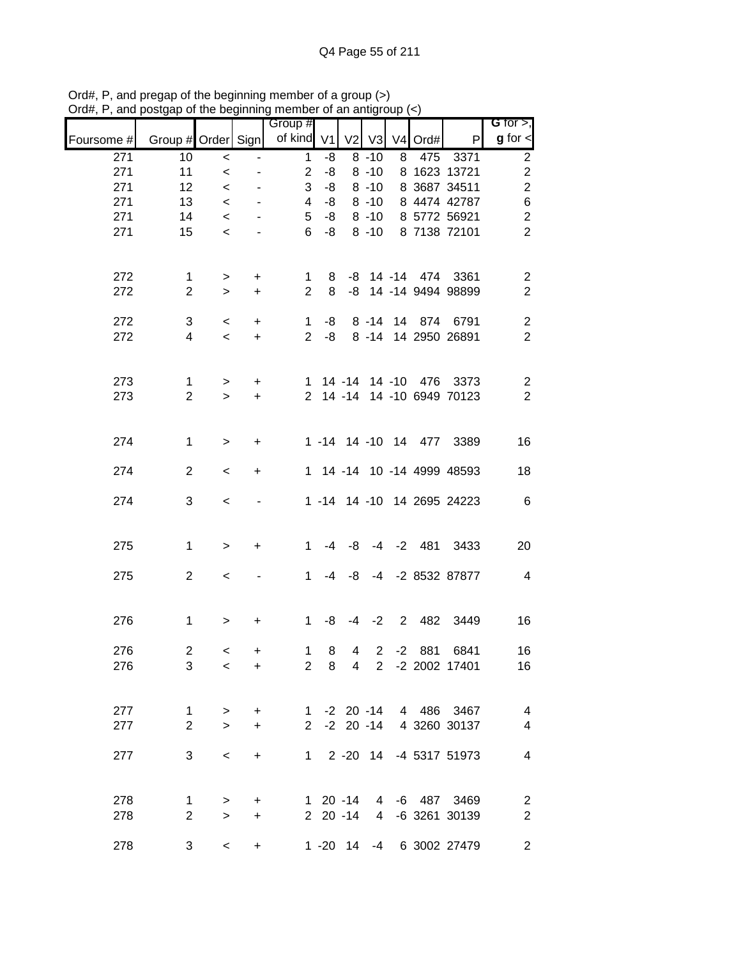|            |                    |                  |           | Group #        |                           |                |                      |      |                   |                              | $G$ for $>$ ,                             |
|------------|--------------------|------------------|-----------|----------------|---------------------------|----------------|----------------------|------|-------------------|------------------------------|-------------------------------------------|
| Foursome # | Group # Order Sign |                  |           | of kind        | V <sub>1</sub>            | V <sub>2</sub> | V3                   |      | $V4$ Ord#         | P                            | $g$ for $\lt$                             |
| 271        | 10                 | $\,<$            |           | $\mathbf{1}$   | -8                        |                | $8 - 10$             | 8    | 475               | 3371                         | $\overline{c}$                            |
| 271        | 11                 | $\,<\,$          |           | $\overline{2}$ | -8                        |                | $8 - 10$             |      |                   | 8 1623 13721                 | $\overline{\mathbf{c}}$                   |
| 271        | 12                 | $\,<\,$          |           | 3              | -8                        |                | $8 - 10$             |      |                   | 8 3687 34511                 | $\overline{c}$                            |
| 271        | 13                 | $\,<$            |           | 4              | -8                        |                | $8 - 10$             |      |                   | 8 4474 42787                 | $\boldsymbol{6}$                          |
| 271<br>271 | 14<br>15           | $\,<$<br>$\,<$   |           | 5<br>6         | -8<br>-8                  |                | $8 - 10$<br>$8 - 10$ |      |                   | 8 5772 56921<br>8 7138 72101 | $\overline{c}$<br>$\overline{2}$          |
|            |                    |                  |           |                |                           |                |                      |      |                   |                              |                                           |
| 272        | 1                  | $\,$             | $\ddot{}$ | 1              | 8                         |                |                      |      | -8 14 -14 474     | 3361                         | $\overline{c}$                            |
| 272        | $\overline{2}$     | $\,>$            | $\ddot{}$ | $\overline{2}$ | 8                         |                |                      |      |                   | -8 14 -14 9494 98899         | $\sqrt{2}$                                |
| 272        | 3                  |                  | $\ddot{}$ | $\mathbf 1$    | -8                        |                | $8 - 14$             |      | 14 874            | 6791                         |                                           |
| 272        | 4                  | $\,<\,$<br>$\,<$ | $\ddot{}$ | $\overline{2}$ | -8                        |                |                      |      |                   | 8 -14 14 2950 26891          | $\overline{\mathbf{c}}$<br>$\overline{2}$ |
|            |                    |                  |           |                |                           |                |                      |      |                   |                              |                                           |
| 273        | $\mathbf 1$        | $\,$             | $\ddot{}$ | 1              |                           |                |                      |      | 14 -14 14 -10 476 | 3373                         | $\overline{c}$                            |
| 273        | $\overline{2}$     | $\geq$           | $\ddot{}$ |                |                           |                |                      |      |                   | 2 14 -14 14 -10 6949 70123   | $\overline{2}$                            |
|            |                    |                  |           |                |                           |                |                      |      |                   |                              |                                           |
| 274        | $\mathbf{1}$       | $\geq$           | +         |                |                           |                |                      |      |                   | 1 -14 14 -10 14 477 3389     | 16                                        |
| 274        | $\overline{2}$     | $\,<$            | $\ddot{}$ |                |                           |                |                      |      |                   | 1 14 -14 10 -14 4999 48593   | 18                                        |
| 274        | 3                  | $\,<\,$          |           |                |                           |                |                      |      |                   | 1 -14 14 -10 14 2695 24223   | $\,6$                                     |
|            |                    |                  |           |                |                           |                |                      |      |                   |                              |                                           |
| 275        | $\mathbf 1$        | $\geq$           | $\ddot{}$ | $\mathbf{1}$   | $-4$                      | -8             |                      |      | $-4$ $-2$ $481$   | 3433                         | 20                                        |
| 275        | $\overline{2}$     | $\,<\,$          |           | $\mathbf{1}$   | -4                        | -8             |                      |      |                   | -4 -2 8532 87877             | $\overline{\mathbf{4}}$                   |
|            |                    |                  |           |                |                           |                |                      |      |                   |                              |                                           |
| 276        | $\mathbf{1}$       | $\,>$            | +         | $\mathbf{1}$   | -8                        | -4             | $-2$                 |      | 2 482             | 3449                         | 16                                        |
| 276        | $\overline{c}$     | $\,<$            | +         | $\mathbf{1}$   | 8                         | 4              | $\overline{c}$       | $-2$ | 881               | 6841                         | 16                                        |
| 276        | 3                  | $\,<$            | $\ddot{}$ |                | $2 \quad 8$               |                |                      |      |                   | 4 2 -2 2002 17401            | 16                                        |
|            |                    |                  |           |                |                           |                |                      |      |                   |                              |                                           |
| 277        | $\mathbf 1$        | $\, >$           | $\ddot{}$ |                |                           |                |                      |      |                   | 1 -2 20 -14 4 486 3467       | $\overline{\mathcal{A}}$                  |
| 277        | $\overline{2}$     | $\geq$           | $\ddot{}$ | $2^{\circ}$    |                           |                |                      |      |                   | -2 20 -14 4 3260 30137       | $\overline{\mathbf{4}}$                   |
|            |                    |                  |           |                |                           |                |                      |      |                   |                              |                                           |
| 277        | 3                  | $\,<\,$          | $\ddot{}$ |                | $1 \quad 2 - 20 \quad 14$ |                |                      |      |                   | -4 5317 51973                | $\overline{\mathbf{4}}$                   |
|            |                    |                  |           |                |                           |                |                      |      |                   |                              |                                           |
| 278        | 1                  | $\,>$            | $\ddot{}$ |                | 1 20 -14                  |                |                      |      |                   | 4 -6 487 3469                | $\overline{c}$                            |
| 278        | $\overline{2}$     | $\, >$           | $\ddot{}$ |                | $2 \t20 -14$              |                |                      |      |                   | 4 -6 3261 30139              | $\boldsymbol{2}$                          |
| 278        | 3                  | $\,<$            | +         |                |                           |                |                      |      |                   | 1 -20 14 -4 6 3002 27479     | $\mathbf{2}$                              |

Ord#, P, and pregap of the beginning member of a group (>) Ord#, P, and postgap of the beginning member of an antigroup (<)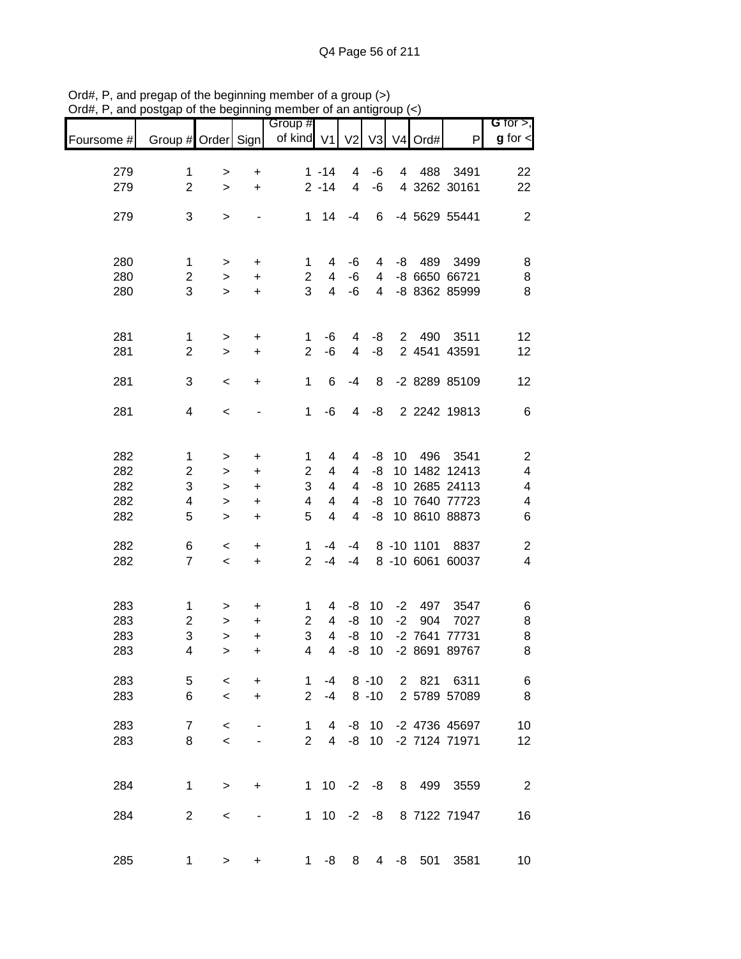|            |                               |              |                              | Group #        |                         |                              |                |      |            |                      | G for $>$ ,             |
|------------|-------------------------------|--------------|------------------------------|----------------|-------------------------|------------------------------|----------------|------|------------|----------------------|-------------------------|
| Foursome # | Group # Order Sign            |              |                              | of kind V1     |                         | V <sub>2</sub>               |                |      | V3 V4 Ord# | P                    | $g$ for $\lt$           |
|            |                               |              |                              |                |                         |                              |                |      |            |                      |                         |
| 279<br>279 | $\mathbf 1$<br>$\overline{2}$ | ><br>$\geq$  | $\ddot{}$<br>$\ddot{}$       |                | $1 - 14$<br>$2 - 14$    | 4<br>$\overline{\mathbf{4}}$ | -6<br>$-6$     | 4    | 488        | 3491<br>4 3262 30161 | 22<br>22                |
|            |                               |              |                              |                |                         |                              |                |      |            |                      |                         |
| 279        | 3                             | $\mathbf{L}$ |                              | 1              | 14                      | $-4$                         | 6              |      |            | -4 5629 55441        | $\overline{2}$          |
|            |                               |              |                              |                |                         |                              |                |      |            |                      |                         |
| 280        | 1                             | $\,$         | +                            | 1              | 4                       | -6                           | 4              | -8   | 489        | 3499                 | 8                       |
| 280        | $\overline{c}$                | $\, >$       | +                            | $\overline{2}$ | 4                       | $-6$                         | 4              |      |            | -8 6650 66721        | 8                       |
| 280        | 3                             | $\geq$       | $\ddot{}$                    | 3              | $\overline{4}$          | -6                           | 4              |      |            | -8 8362 85999        | 8                       |
|            |                               |              |                              |                |                         |                              |                |      |            |                      |                         |
| 281        | $\mathbf{1}$                  | $\geq$       | $\ddot{}$                    | $\mathbf 1$    | -6                      | 4                            | -8             |      | 2 490      | 3511                 | 12                      |
| 281        | $\overline{2}$                | $\, > \,$    | $\ddot{}$                    | $\overline{2}$ | $-6$                    | 4                            | -8             |      |            | 2 4541 43591         | 12                      |
| 281        | 3                             | $\,<\,$      | $\ddot{}$                    | 1              | 6                       | $-4$                         | 8              |      |            | -2 8289 85109        | 12                      |
| 281        | 4                             | $\,<$        |                              | 1              | -6                      | 4                            | -8             |      |            | 2 2242 19813         | 6                       |
|            |                               |              |                              |                |                         |                              |                |      |            |                      |                         |
| 282        | $\mathbf 1$                   |              |                              | 1              | 4                       | 4                            | -8             | 10   | 496        | 3541                 | $\overline{\mathbf{c}}$ |
| 282        | $\overline{c}$                | ><br>>       | +<br>+                       | 2              | 4                       | 4                            | -8             |      |            | 10 1482 12413        | $\overline{\mathbf{4}}$ |
| 282        | 3                             | >            | +                            | 3              | $\overline{4}$          | 4                            | -8             |      |            | 10 2685 24113        | 4                       |
| 282        | 4                             |              |                              | 4              | 4                       | 4                            | -8             |      |            | 10 7640 77723        | 4                       |
|            | 5                             | $\, > \,$    | +                            | 5              | $\overline{\mathbf{4}}$ | 4                            | -8             |      |            | 10 8610 88873        |                         |
| 282        |                               | $\geq$       | +                            |                |                         |                              |                |      |            |                      | 6                       |
| 282        | 6                             | $\,<$        | $\ddot{}$                    | 1              | -4                      | $-4$                         |                |      | 8 -10 1101 | 8837                 | $\overline{\mathbf{c}}$ |
| 282        | $\overline{7}$                | $\,<\,$      | $\ddot{}$                    | $\overline{2}$ | -4                      | $-4$                         |                |      |            | 8 -10 6061 60037     | $\overline{\mathbf{4}}$ |
|            |                               |              |                              |                |                         |                              |                |      |            |                      |                         |
| 283        | $\mathbf{1}$                  | >            | +                            | 1              | 4                       | -8                           | 10             | $-2$ | 497        | 3547                 | 6                       |
| 283        | $\overline{\mathbf{c}}$       | $\, > \,$    | +                            | $\overline{2}$ | $\overline{4}$          | -8                           | 10             | $-2$ | 904        | 7027                 | 8                       |
| 283        | 3                             | $\, > \,$    | $\ddot{}$                    | 3              | $\overline{4}$          | $-8$                         | 10             |      |            | -2 7641 77731        | 8                       |
| 283        | 4                             | $\mathbf{I}$ | $\ddot{}$                    | $\overline{4}$ | $\overline{4}$          | -8                           | 10             |      |            | -2 8691 89767        | 8                       |
| 283        | 5                             | $\,<\,$      | $\ddot{}$                    | 1              | -4                      |                              | $8 - 10$       |      |            | 2 821 6311           | 6                       |
| 283        | 6                             | $\prec$      | $\ddot{}$                    | $\overline{2}$ | $-4$                    |                              | $8 - 10$       |      |            | 2 5789 57089         | 8                       |
| 283        | $\overline{7}$                | $\,<$        |                              | $\mathbf 1$    | 4                       | -8                           | - 10           |      |            | -2 4736 45697        | 10                      |
| 283        | 8                             | $\prec$      |                              | $\overline{2}$ | $\overline{4}$          | -8                           | 10             |      |            | -2 7124 71971        | 12                      |
|            |                               |              |                              |                |                         |                              |                |      |            |                      |                         |
| 284        | $\mathbf{1}$                  | $\, > \,$    | +                            | 1              | 10 <sup>1</sup>         |                              | $-2 -8$        |      |            | 8 499 3559           | $\overline{2}$          |
|            |                               |              |                              |                |                         |                              |                |      |            |                      |                         |
| 284        | $\overline{2}$                | $\,<\,$      | $\qquad \qquad \blacksquare$ | $\mathbf{1}$   | 10                      | $-2$                         | -8             |      |            | 8 7122 71947         | 16                      |
|            |                               |              |                              |                |                         |                              |                |      |            |                      |                         |
| 285        | 1                             | $\geq$       | +                            | $1 \quad$      | -8                      | 8                            | $\overline{4}$ |      | -8 501     | 3581                 | 10                      |

Ord#, P, and pregap of the beginning member of a group (>) Ord#, P, and postgap of the beginning member of an antigroup (<)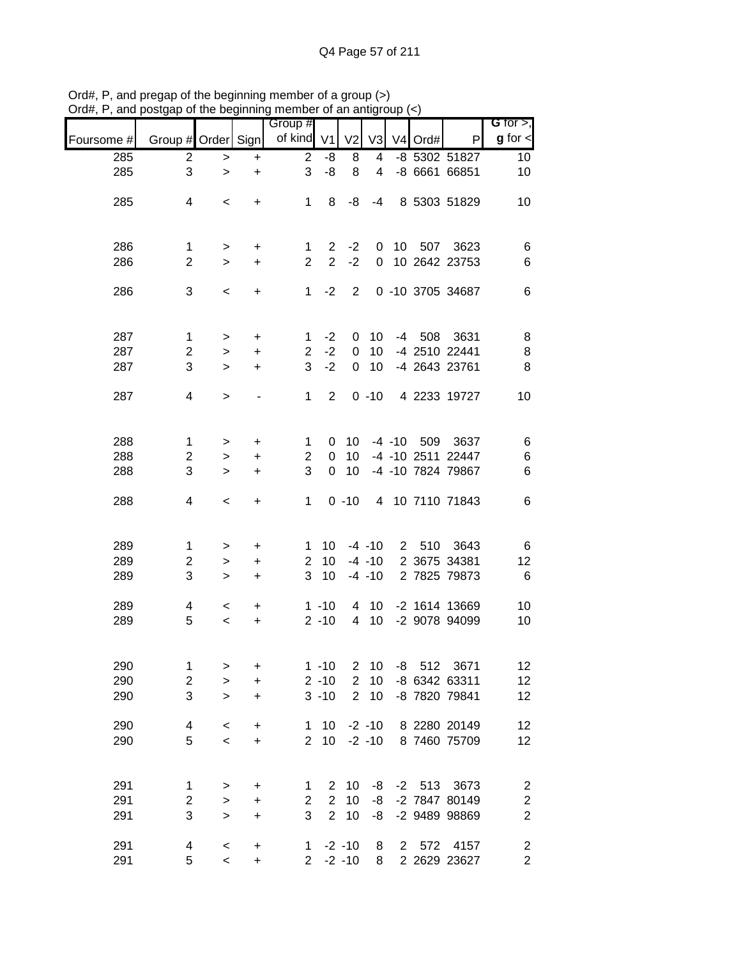|            |                              |                     |                        | Group #             |                                  |                  |                        |              |                     |                                | G for $>$ ,                                 |
|------------|------------------------------|---------------------|------------------------|---------------------|----------------------------------|------------------|------------------------|--------------|---------------------|--------------------------------|---------------------------------------------|
| Foursome # | Group # Order Sign           |                     |                        | of kind             | V <sub>1</sub>                   | V <sub>2</sub>   | V <sub>3</sub>         |              | V <sub>4</sub> Ord# | P                              | $g$ for $\leq$                              |
| 285        | $\overline{\mathbf{c}}$      | $\, > \,$           | $\ddot{}$              | $\overline{c}$      | -8                               | 8                | 4                      |              |                     | -8 5302 51827                  | 10                                          |
| 285        | 3                            | $\geq$              | $\ddot{}$              | 3                   | -8                               | 8                | 4                      |              |                     | -8 6661 66851                  | 10                                          |
| 285        | 4                            | $\,<\,$             | +                      | $\mathbf 1$         | 8                                | -8               | $-4$                   |              |                     | 8 5303 51829                   | 10                                          |
| 286<br>286 | 1<br>$\overline{2}$          | ><br>$\geq$         | +<br>$\ddot{}$         | 1<br>$\overline{2}$ | $\overline{2}$<br>$\overline{2}$ | $-2$<br>$-2$     | 0<br>0                 | 10           |                     | 507 3623<br>10 2642 23753      | 6<br>6                                      |
| 286        | 3                            | $\,<$               | $\ddot{}$              | $\mathbf{1}$        | $-2$                             | $\overline{2}$   |                        |              |                     | 0 -10 3705 34687               | 6                                           |
| 287<br>287 | 1<br>$\overline{\mathbf{c}}$ | $\,>$<br>$\geq$     | +<br>$\ddot{}$         | 1<br>$\overline{2}$ | $-2$<br>$-2$                     | 0<br>$\mathbf 0$ | 10<br>10               | -4           | 508                 | 3631<br>-4 2510 22441          | 8<br>8                                      |
| 287        | 3                            | $\geq$              | $\ddot{}$              | 3                   | $-2$                             | 0                | 10                     |              |                     | -4 2643 23761                  | 8                                           |
| 287        | 4                            | $\geq$              |                        | 1                   | $\overline{2}$                   |                  | $0 - 10$               |              |                     | 4 2233 19727                   | 10                                          |
| 288        | $\mathbf 1$                  | >                   | +                      | 1                   | 0                                | 10               |                        |              | -4 -10 509          | 3637                           | 6                                           |
| 288        | $\overline{c}$               | $\, > \,$           | +                      | $\overline{c}$      | 0                                | 10               |                        |              |                     | -4 -10 2511 22447              | $\,6$                                       |
| 288        | 3                            | $\geq$              | $\ddot{}$              | 3                   | 0                                | 10               |                        |              |                     | -4 -10 7824 79867              | 6                                           |
| 288        | 4                            | $\,<$               | +                      | 1                   |                                  | $0 - 10$         |                        |              |                     | 4 10 7110 71843                | 6                                           |
| 289        | 1                            | >                   | +                      | 1                   | 10                               |                  | $-4 - 10$              | $\mathbf{2}$ | 510                 | 3643                           | 6                                           |
| 289<br>289 | $\overline{c}$<br>3          | $\, > \,$<br>$\geq$ | +<br>$\ddot{}$         | $\overline{2}$<br>3 | 10<br>10                         |                  | $-4 - 10$<br>$-4 - 10$ |              |                     | 2 3675 34381<br>2 7825 79873   | 12<br>$\,6$                                 |
| 289        | 4                            | $\,<$               |                        |                     | $1 - 10$                         | 4                | 10                     |              |                     | -2 1614 13669                  | 10                                          |
| 289        | 5                            | $\,<$               | +<br>$\ddot{}$         |                     | $2 - 10$                         | 4                | 10                     |              |                     | -2 9078 94099                  | 10                                          |
| 290        | $\mathbf{1}$                 | >                   | +                      |                     | $1 - 10$                         | $\overline{c}$   | 10                     |              | -8 512              | 3671                           | 12                                          |
| 290        | $\boldsymbol{2}$             | $\,>$               | $\ddot{}$              |                     | $2 - 10$                         | $\overline{2}$   | 10                     |              |                     | -8 6342 63311                  | 12                                          |
| 290        | 3                            | $\geq$              | $\ddot{}$              |                     | $3 - 10$                         | 2                | 10                     |              |                     | -8 7820 79841                  | 12                                          |
| 290        | 4                            | $\,<$               | $\ddot{}$              | $\mathbf 1$         | 10                               |                  | $-2 - 10$              |              |                     | 8 2280 20149                   | 12                                          |
| 290        | 5                            | $\prec$             | +                      | $\overline{2}$      | 10                               |                  | $-2 - 10$              |              |                     | 8 7460 75709                   | 12                                          |
| 291        | 1                            | $\,$                | $\ddot{}$              | 1                   | $\mathbf{2}^{\prime}$            | 10               | -8                     |              | $-2$ 513            | 3673                           | $\overline{\mathbf{c}}$                     |
| 291<br>291 | $\overline{\mathbf{c}}$<br>3 | $\,$<br>$\geq$      | $\ddot{}$<br>+         | $\overline{2}$<br>3 | $\overline{2}$<br>$\overline{2}$ | 10<br>10         | -8<br>-8               |              |                     | -2 7847 80149<br>-2 9489 98869 | $\overline{\mathbf{c}}$<br>$\overline{c}$   |
| 291<br>291 | 4<br>5                       | $\,<$<br>$\,<$      | $\ddot{}$<br>$\ddot{}$ | 2 <sup>1</sup>      | $1 - 2 - 10$                     | $-2 - 10$        | 8<br>8                 |              |                     | 2 572 4157<br>2 2629 23627     | $\overline{\mathbf{c}}$<br>$\boldsymbol{2}$ |

Ord#, P, and pregap of the beginning member of a group (>) Ord#, P, and postgap of the beginning member of an antigroup (<)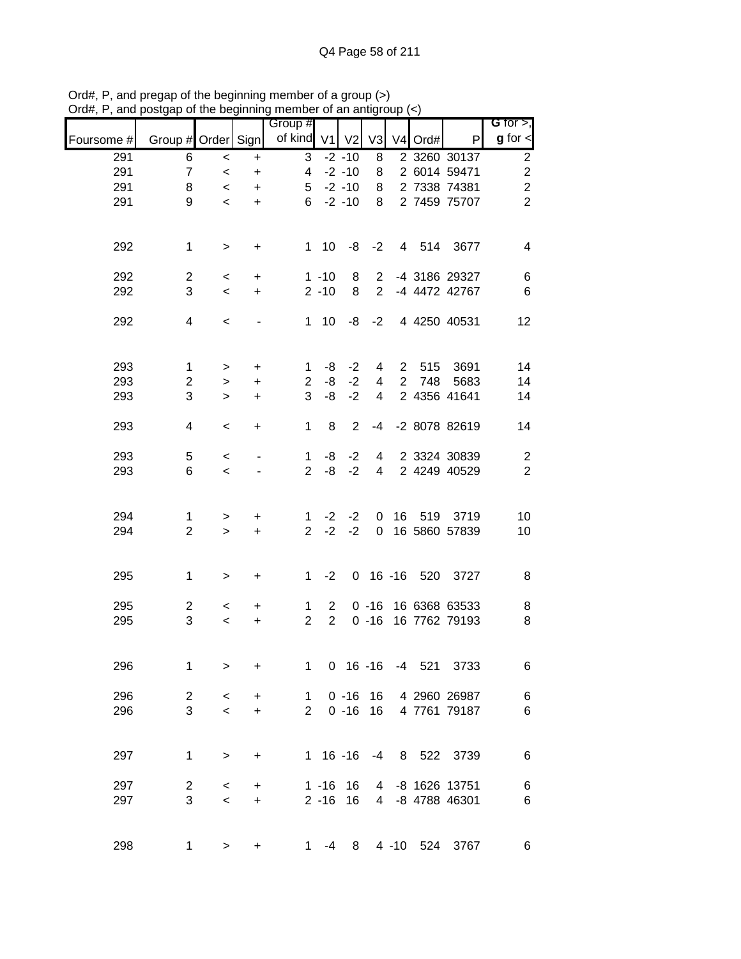| Foursome # | Group # Order Sign |           |           | Group #<br>of kind V1 |                | V <sub>2</sub> | V <sub>3</sub> | V <sub>4</sub> | Ord#   | $\mathsf{P}$      | $G$ for $>$ ,<br>$g$ for $\lt$ |
|------------|--------------------|-----------|-----------|-----------------------|----------------|----------------|----------------|----------------|--------|-------------------|--------------------------------|
| 291        | 6                  | $\,<$     | $\ddot{}$ | 3                     |                | $-2 - 10$      | 8              |                |        | 2 3260 30137      | $\overline{2}$                 |
| 291        | $\overline{7}$     | $\,<\,$   | $\ddot{}$ | 4                     |                | $-2 - 10$      | 8              |                |        | 2 6014 59471      | $\mathbf 2$                    |
| 291        | 8                  | $\prec$   | $\ddot{}$ | 5                     |                | $-2 - 10$      | 8              |                |        | 2 7338 74381      | $\overline{\mathbf{c}}$        |
| 291        | 9                  | $\,<\,$   | $\ddot{}$ | 6                     |                | $-2 - 10$      | 8              |                |        | 2 7459 75707      | $\overline{2}$                 |
|            |                    |           |           |                       |                |                |                |                |        |                   |                                |
| 292        | $\mathbf 1$        | $\,>$     | $\ddot{}$ |                       | $1 \quad 10$   | -8             | $-2$           |                |        | 4 514 3677        | $\overline{4}$                 |
| 292        | $\overline{2}$     | $\,<$     | $\ddot{}$ |                       | $1 - 10$       | 8              | $\overline{2}$ |                |        | -4 3186 29327     | 6                              |
| 292        | 3                  | $\,<$     | $\ddot{}$ |                       | $2 - 10$       | 8              | $\overline{2}$ |                |        | -4 4472 42767     | $\,6$                          |
| 292        | 4                  | $\,<\,$   |           | $\mathbf 1$           | 10             | -8             | $-2$           |                |        | 4 4250 40531      | 12                             |
| 293        | $\mathbf{1}$       | >         | +         | 1                     | -8             | $-2$           | 4              | $\overline{2}$ | 515    | 3691              | 14                             |
| 293        | $\overline{2}$     | $\geq$    | +         | $\overline{2}$        | -8             | $-2$           | 4              | $\overline{2}$ | 748    | 5683              | 14                             |
| 293        | 3                  | $\, > \,$ | +         | 3                     | -8             | $-2$           | 4              |                |        | 2 4356 41641      | 14                             |
| 293        | 4                  | $\,<\,$   | +         | 1                     | 8              | $\overline{2}$ | $-4$           |                |        | -2 8078 82619     | 14                             |
|            |                    |           |           |                       |                |                |                |                |        |                   |                                |
| 293        | 5                  | $\,<\,$   |           | 1                     | -8             | $-2$           | 4              |                |        | 2 3324 30839      | $\overline{c}$                 |
| 293        | 6                  | $\,<\,$   |           | $\overline{2}$        | -8             | $-2$           | 4              |                |        | 2 4249 40529      | $\sqrt{2}$                     |
| 294        | $\mathbf{1}$       | >         | +         | $\mathbf{1}$          | $-2$           | $-2$           | 0              |                | 16 519 | 3719              | 10                             |
| 294        | $\overline{2}$     | $\geq$    | $\ddot{}$ | $\overline{2}$        | $-2$           | $-2$           | $\mathbf 0$    |                |        | 16 5860 57839     | 10                             |
| 295        | 1                  | $\, > \,$ | $\ddot{}$ | $\mathbf 1$           | $-2$           |                |                |                |        | 0 16 -16 520 3727 | 8                              |
| 295        | $\overline{2}$     | $\,<\,$   | +         | 1                     | $\overline{2}$ |                | $0 - 16$       |                |        | 16 6368 63533     | 8                              |
| 295        | 3                  | $\,<\,$   | +         | $\overline{2}$        | $\overline{2}$ |                | $0 - 16$       |                |        | 16 7762 79193     | 8                              |
|            |                    |           |           |                       |                |                |                |                |        |                   |                                |
| 296        | 1                  | $\, > \,$ | $\ddot{}$ | $\mathbf{1}$          |                | $0 16 - 16$    |                |                | -4 521 | 3733              | $\,6$                          |
| 296        | $\overline{c}$     | $\,<$     | $\ddot{}$ | 1.                    |                | $0 - 16$       | 16             |                |        | 4 2960 26987      | 6                              |
| 296        | $\mathbf{3}$       | $\,<$     | $\ddot{}$ | $\overline{2}$        |                | $0 - 16$       | 16             |                |        | 4 7761 79187      | $\,6$                          |
| 297        | $\mathbf{1}$       | $\,>$     | $\ddot{}$ |                       |                | $1 16 - 16$    | $-4$           |                |        | 8 522 3739        | $\,6$                          |
| 297        | $\overline{2}$     | $\,<\,$   | +         |                       | $1 - 16$       | 16             | 4              |                |        | -8 1626 13751     | $\,6$                          |
| 297        | 3                  | $\,<$     | $\ddot{}$ |                       | $2 - 16$       | 16             |                |                |        | 4 -8 4788 46301   | 6                              |
| 298        | 1                  | $\, > \,$ | +         | $\mathbf 1$           | $-4$           | 8              |                |                |        | 4 -10 524 3767    | 6                              |
|            |                    |           |           |                       |                |                |                |                |        |                   |                                |

Ord#, P, and pregap of the beginning member of a group (>) Ord#, P, and postgap of the beginning member of an antigroup (<)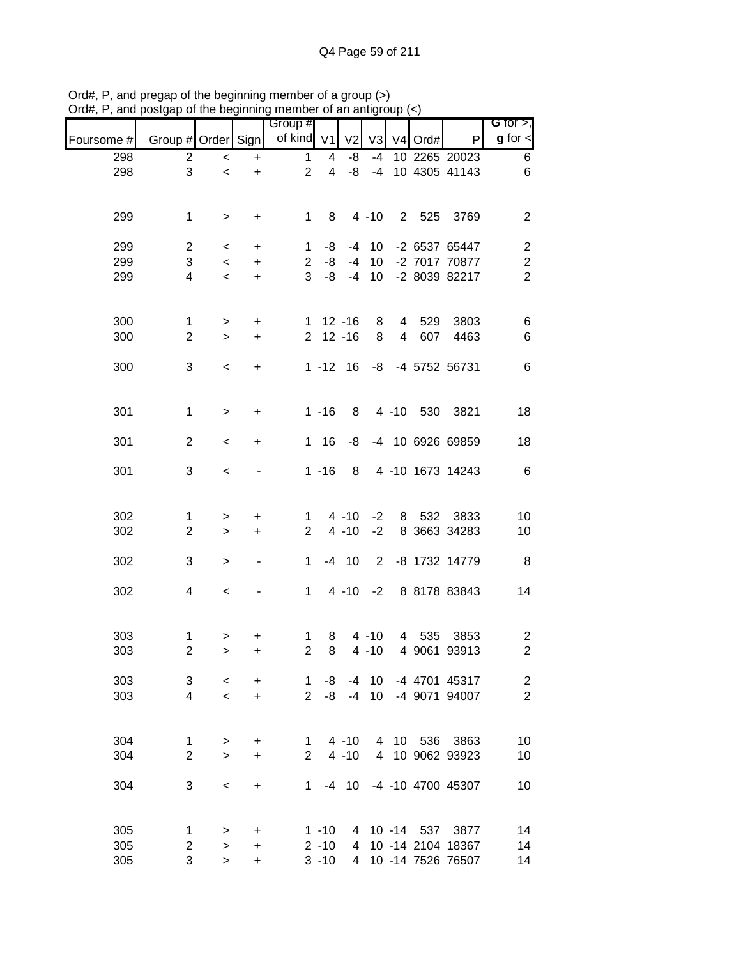|            |                    |                          |                | Group #        |                         |                |                 |   |            |                   | G for $>$ ,             |
|------------|--------------------|--------------------------|----------------|----------------|-------------------------|----------------|-----------------|---|------------|-------------------|-------------------------|
| Foursome # | Group # Order Sign |                          |                | of kind $V1$   |                         | V <sub>2</sub> | V <sub>3</sub>  |   | V4 Ord#    | P                 | $g$ for $\leq$          |
| 298        | $\overline{c}$     | $\,<$                    | $\ddot{}$      | $\mathbf{1}$   | 4                       | -8             | $-4$            |   |            | 10 2265 20023     | 6                       |
| 298        | 3                  | $\prec$                  | $\ddot{}$      | $\overline{2}$ | $\overline{\mathbf{4}}$ | -8             | $-4$            |   |            | 10 4305 41143     | 6                       |
|            |                    |                          |                |                |                         |                |                 |   |            |                   |                         |
| 299        | $\mathbf 1$        | $\, >$                   | $\ddot{}$      | $\mathbf{1}$   | 8                       |                | $4 - 10$        |   | 2 525      | 3769              | $\boldsymbol{2}$        |
| 299        | $\overline{2}$     | $\,<\,$                  | $\ddot{}$      | 1              | -8                      | -4             | 10              |   |            | -2 6537 65447     | $\boldsymbol{2}$        |
| 299        | 3                  | $\,<\,$                  | $\ddot{}$      | $\overline{2}$ | -8                      | $-4$           | 10              |   |            | -2 7017 70877     | $\overline{c}$          |
| 299        | 4                  | $\,<$                    | $\ddot{}$      | 3              | -8                      | $-4$           | 10              |   |            | -2 8039 82217     | $\overline{2}$          |
|            |                    |                          |                |                |                         |                |                 |   |            |                   |                         |
| 300        | 1                  | $\,$                     | +              | 1.             |                         | $12 - 16$      | 8               | 4 | 529        | 3803              | 6                       |
| 300        | $\overline{c}$     | $\, > \,$                | $\ddot{}$      | $\overline{2}$ |                         | $12 - 16$      | 8               | 4 | 607        | 4463              | 6                       |
| 300        | 3                  | $\,<$                    | $\ddot{}$      |                | $1 - 12$ 16             |                | -8              |   |            | -4 5752 56731     | $\,6$                   |
|            |                    |                          |                |                |                         |                |                 |   |            |                   |                         |
| 301        | $\mathbf 1$        | $\,$                     | +              |                | $1 - 16$                | 8              |                 |   |            | 4 -10 530 3821    | 18                      |
|            |                    |                          |                |                |                         |                |                 |   |            |                   |                         |
| 301        | $\overline{2}$     | $\,<\,$                  | $\ddot{}$      | $\mathbf{1}$   | 16                      | -8             |                 |   |            | -4 10 6926 69859  | 18                      |
| 301        | 3                  | $\,<$                    |                |                | $1 - 16$                | 8              |                 |   |            | 4 -10 1673 14243  | $\,6$                   |
|            |                    |                          |                |                |                         |                |                 |   |            |                   |                         |
| 302        | 1                  | $\, > \,$                | +              | 1              |                         | $4 - 10$       | $-2$            | 8 | 532        | 3833              | 10                      |
| 302        | $\overline{c}$     | $\geq$                   | +              | $\overline{2}$ |                         | $4 - 10$       | $-2$            |   |            | 8 3663 34283      | 10                      |
| 302        | 3                  | $\,>$                    | $\overline{a}$ | 1              |                         | $-4$ 10        | $\overline{2}$  |   |            | -8 1732 14779     | 8                       |
|            |                    |                          |                |                |                         |                |                 |   |            |                   |                         |
| 302        | 4                  | $\,<\,$                  |                | $\mathbf{1}$   |                         | $4 - 10$       | $-2$            |   |            | 8 8178 83843      | 14                      |
|            |                    |                          |                |                |                         |                |                 |   |            |                   |                         |
| 303        | $\mathbf 1$        | $\, > \,$                | +              | 1              | 8                       |                | $4 - 10$        | 4 | 535        | 3853              | $\overline{c}$          |
| 303        | $\overline{c}$     | $\, > \,$                | +              | $\overline{2}$ | 8                       |                | $4 - 10$        |   |            | 4 9061 93913      | $\boldsymbol{2}$        |
| 303        | 3                  | $\,<$                    | +              | 1              | -8                      | $-4$           | 10 <sup>°</sup> |   |            | -4 4701 45317     | $\overline{\mathbf{c}}$ |
| 303        | 4                  | $\overline{\phantom{0}}$ | $\ddot{}$      | $\overline{2}$ | -8                      | $-4$           | 10              |   |            | -4 9071 94007     | $\overline{2}$          |
|            |                    |                          |                |                |                         |                |                 |   |            |                   |                         |
| 304        | 1                  | $\, > \,$                | +              | $\mathbf 1$    |                         | $4 - 10$       | 4               |   | 10 536     | 3863              | 10                      |
| 304        | $\overline{2}$     | $\geq$                   | +              | $\overline{2}$ |                         | $4 - 10$       | $\overline{4}$  |   |            | 10 9062 93923     | 10                      |
| 304        | 3                  | $\,<$                    | $\ddot{}$      | 1              |                         | $-4$ 10        |                 |   |            | -4 -10 4700 45307 | 10                      |
|            |                    |                          |                |                |                         |                |                 |   |            |                   |                         |
| 305        | 1                  | $\, > \,$                | $\ddot{}$      |                | $1 - 10$                | 4              |                 |   | 10 -14 537 | 3877              | 14                      |
| 305        | 2                  | $\geq$                   | $\ddot{}$      |                | $2 - 10$                | 4              |                 |   |            | 10 -14 2104 18367 | 14                      |
| 305        | 3                  | $\, > \,$                | +              |                | $3 - 10$                | $\overline{4}$ |                 |   |            | 10 -14 7526 76507 | 14                      |

Ord#, P, and pregap of the beginning member of a group (>) Ord#, P, and postgap of the beginning member of an antigroup (<)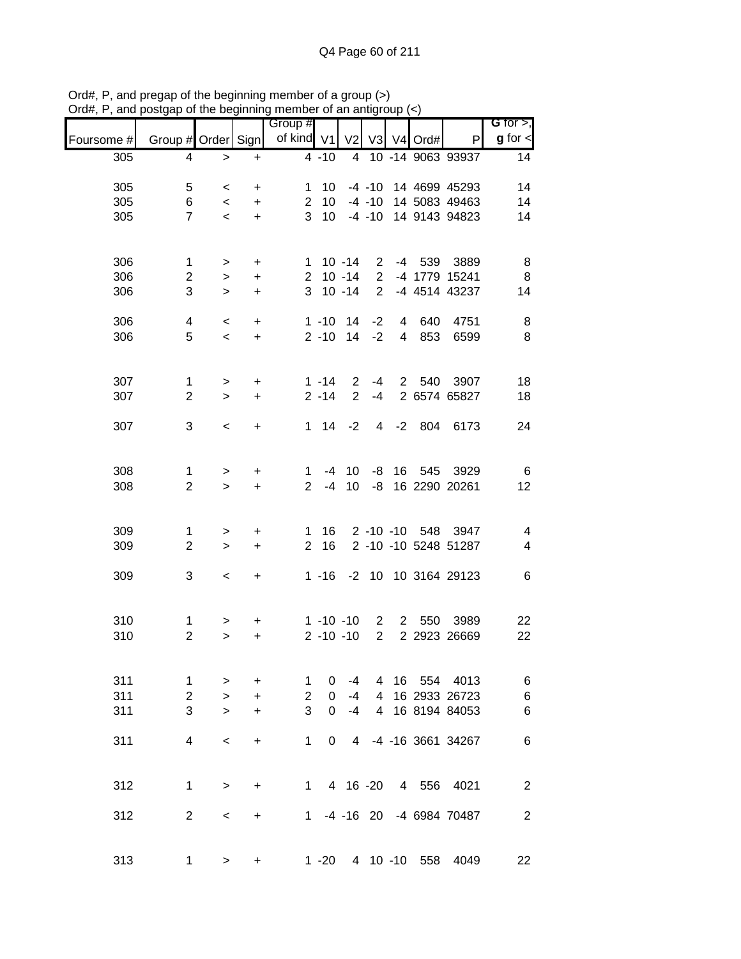| unu        | oolgap or                     | $100$ DUGHHHH            |           | mombor or an annyi<br>Group # |                 |                                |                                  |            |                            | G for $>$ ,              |
|------------|-------------------------------|--------------------------|-----------|-------------------------------|-----------------|--------------------------------|----------------------------------|------------|----------------------------|--------------------------|
| Foursome # | Group # Order Sign            |                          |           | of kind V1                    |                 | V <sub>2</sub>                 |                                  | V3 V4 Ord# | P                          | $g$ for $\leq$           |
| 305        | 4                             | $\, >$                   | $\ddot{}$ |                               | $4 - 10$        |                                |                                  |            | 4 10 -14 9063 93937        | 14                       |
| 305        | 5                             | $\,<\,$                  | $\ddot{}$ | $\mathbf{1}$                  | 10              |                                |                                  |            | -4 -10 14 4699 45293       | 14                       |
| 305        | 6                             | $\overline{\phantom{a}}$ | $\ddot{}$ | $2^{\circ}$                   | 10 <sup>1</sup> |                                |                                  |            | -4 -10 14 5083 49463       | 14                       |
| 305        | $\overline{7}$                | $\overline{\phantom{0}}$ | $+$       |                               | 3 10            |                                |                                  |            | -4 -10 14 9143 94823       | 14                       |
| 306        | $\mathbf{1}$                  | $\, >$                   | $\ddot{}$ |                               |                 | $1 10 - 14$                    | $2^{\circ}$                      |            | -4 539 3889                | 8                        |
| 306        | $\overline{c}$                | $\,$                     | $\ddot{}$ |                               |                 | $2 10 - 14$                    | $\overline{2}$                   |            | -4 1779 15241              | 8                        |
| 306        | 3                             | $\geq$                   | $\ddot{}$ |                               |                 | $3 10 - 14$                    | $\overline{2}$                   |            | -4 4514 43237              | 14                       |
| 306        | 4                             | $\,<$                    | $\ddot{}$ |                               | $1 - 10$        | 14                             | $-2$                             | 4 640      | 4751                       | 8                        |
| 306        | 5                             | $\prec$                  | $+$       |                               |                 | $2 - 10$ 14                    | $-2$                             | 4 853      | 6599                       | 8                        |
| 307        | $\mathbf 1$                   | $\,$                     | +         |                               | $1 - 14$        | $\overline{2}$                 | $-4$                             |            | 2 540 3907                 | 18                       |
| 307        | $\overline{2}$                | $\geq$                   | $\ddot{}$ |                               | $2 - 14$        | $\overline{2}$                 | $-4$                             |            | 2 6574 65827               | 18                       |
| 307        | 3                             | $\,<$                    | $\ddot{}$ |                               | 1 14            | $-2$                           | $\overline{4}$                   | $-2$ 804   | 6173                       | 24                       |
|            |                               |                          |           |                               |                 |                                |                                  |            |                            |                          |
| 308        | 1                             | $\,$                     | $\ddot{}$ | $\mathbf{1}$                  |                 | $-4$ 10                        |                                  | -8 16 545  | 3929                       | 6                        |
| 308        | $\overline{2}$                | $\geq$                   | $\ddot{}$ | $\overline{2}$                | $-4$            | 10                             | -8                               |            | 16 2290 20261              | 12                       |
|            |                               |                          |           |                               |                 |                                |                                  |            |                            |                          |
| 309        | 1                             | $\mathbf{I}$             | +         | 1                             | 16              |                                |                                  |            | 2 -10 -10 548 3947         | 4                        |
| 309        | $\overline{2}$                | $\,$                     | $\ddot{}$ | $\overline{2}$                | 16              |                                |                                  |            | 2 -10 -10 5248 51287       | $\overline{\mathcal{A}}$ |
| 309        | 3                             | $\,<$                    | $\ddot{}$ |                               |                 |                                |                                  |            | 1 -16 -2 10 10 3164 29123  | $\,6$                    |
|            |                               |                          |           |                               |                 |                                |                                  |            |                            |                          |
| 310        | $\mathbf 1$<br>$\overline{2}$ | >                        | +         |                               |                 | $1 - 10 - 10$<br>$2 - 10 - 10$ | $\overline{2}$<br>$\overline{2}$ |            | 2 550 3989<br>2 2923 26669 | 22                       |
| 310        |                               | $\mathbf{L}$             | $\ddot{}$ |                               |                 |                                |                                  |            |                            | 22                       |
| 311        | 1                             | $\, > \,$                | +         | 1                             | 0               | -4                             | 4                                | 16 554     | 4013                       | 6                        |
| 311        | $\mathbf{2}$                  | $\geq$                   | $\ddot{}$ | $\overline{2}$                | $\Omega$        | $-4$                           | 4                                |            | 16 2933 26723              | $\,6$                    |
| 311        | 3                             | $\geq$                   | +         | 3                             | $\Omega$        | $-4$                           | $\overline{4}$                   |            | 16 8194 84053              | 6                        |
| 311        | 4                             | $\,<$                    | $\ddot{}$ | 1                             | 0               |                                |                                  |            | 4 -4 -16 3661 34267        | $\,6$                    |
| 312        | $\mathbf 1$                   | $\, > \,$                | $\ddot{}$ | $1 \quad$                     |                 |                                |                                  |            | 4 16 -20  4  556  4021     | $\boldsymbol{2}$         |
|            |                               |                          |           |                               |                 |                                |                                  |            |                            |                          |
| 312        | 2                             | $\,<$                    | +         |                               |                 |                                |                                  |            | 1 -4 -16 20 -4 6984 70487  | $\boldsymbol{2}$         |
| 313        | $\mathbf 1$                   | $\geq$                   | $\ddot{}$ |                               |                 |                                |                                  |            | 1 -20 4 10 -10 558 4049    | 22                       |

Ord#, P, and pregap of the beginning member of a group (>) Ord#, P, and postgap of the beginning member of an antigroup (<)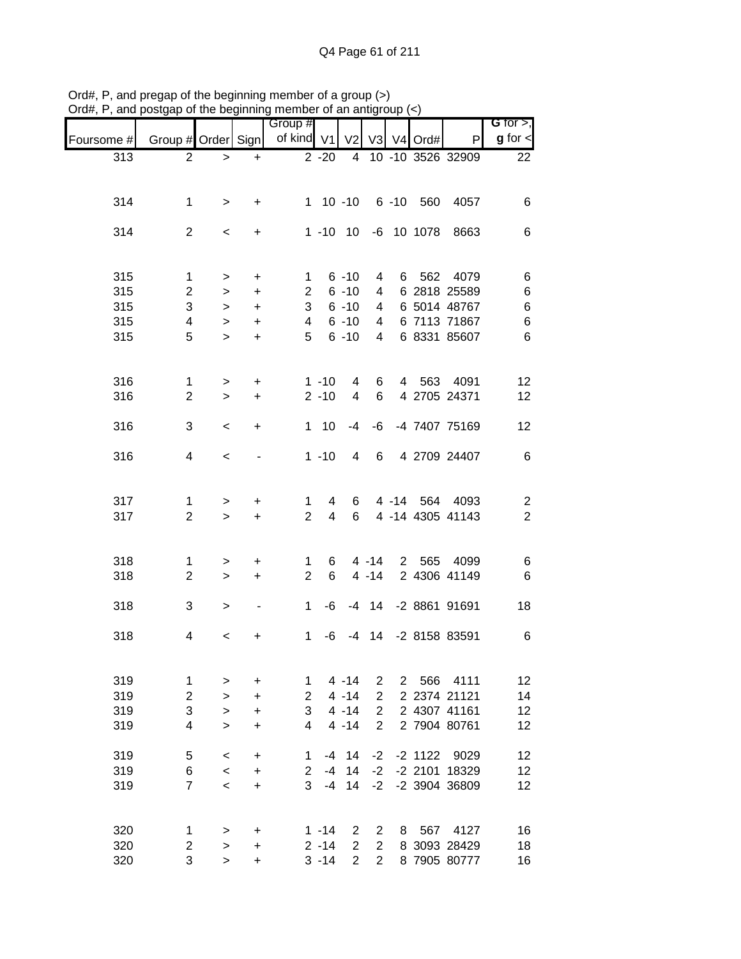|            |                                |                  |                              | Group #             |             |                      |                |                |            |                      | G for $>$ ,             |
|------------|--------------------------------|------------------|------------------------------|---------------------|-------------|----------------------|----------------|----------------|------------|----------------------|-------------------------|
| Foursome # | Group # Order Sign             |                  |                              | of kind V1          |             | V <sub>2</sub>       | V <sub>3</sub> |                | V4 Ord#    | P                    | $g$ for $\lt$           |
| 313        | $\overline{2}$                 | $\, > \,$        | $\ddot{}$                    |                     | $2 - 20$    | 4                    |                |                |            | 10 -10 3526 32909    | 22                      |
|            |                                |                  |                              |                     |             |                      |                |                |            |                      |                         |
| 314        | $\mathbf 1$                    |                  |                              |                     | $1 10 - 10$ |                      |                |                | 6 -10 560  | 4057                 | 6                       |
|            |                                | $\, >$           | +                            |                     |             |                      |                |                |            |                      |                         |
| 314        | $\overline{2}$                 | $\,<\,$          | +                            |                     | $1 - 10$    | 10                   |                |                | -6 10 1078 | 8663                 | 6                       |
|            |                                |                  |                              |                     |             |                      |                |                |            |                      |                         |
|            |                                |                  |                              |                     |             |                      |                |                |            |                      |                         |
| 315<br>315 | $\mathbf{1}$<br>$\overline{2}$ | $\, >$           | $\ddot{}$                    | 1<br>$\overline{2}$ |             | $6 - 10$<br>$6 - 10$ | 4<br>4         |                | 6 562      | 4079<br>6 2818 25589 | 6<br>$\,$ 6 $\,$        |
| 315        | 3                              | $\geq$<br>$\, >$ | $\ddot{}$<br>$\ddot{}$       | 3                   |             | $6 - 10$             | 4              |                |            | 6 5014 48767         | 6                       |
| 315        | 4                              | $\geq$           | $\ddot{}$                    | 4                   |             | $6 - 10$             | 4              |                |            | 6 7113 71867         | $\,$ 6 $\,$             |
| 315        | 5                              | $\geq$           | $\ddot{}$                    | 5                   |             | $6 - 10$             | 4              |                |            | 6 8331 85607         | 6                       |
|            |                                |                  |                              |                     |             |                      |                |                |            |                      |                         |
|            |                                |                  |                              |                     |             |                      |                |                |            |                      |                         |
| 316        | $\mathbf{1}$                   | $\,$             | $\ddot{}$                    |                     | $1 - 10$    | 4                    | 6              |                |            | 4 563 4091           | 12                      |
| 316        | $\overline{2}$                 | $\geq$           | $\ddot{}$                    |                     | $2 - 10$    | 4                    | 6              |                |            | 4 2705 24371         | 12                      |
|            |                                |                  |                              | $\mathbf{1}$        |             | $-4$                 |                |                |            | -4 7407 75169        |                         |
| 316        | 3                              | $\,<\,$          | +                            |                     | 10          |                      | -6             |                |            |                      | 12                      |
| 316        | 4                              | $\,<$            |                              |                     | $1 - 10$    | 4                    | 6              |                |            | 4 2709 24407         | $6\phantom{1}6$         |
|            |                                |                  |                              |                     |             |                      |                |                |            |                      |                         |
|            |                                |                  |                              |                     |             |                      |                |                |            |                      |                         |
| 317        | 1                              | >                | +                            | 1                   | 4           | 6                    |                |                | 4 -14 564  | 4093                 | $\overline{\mathbf{c}}$ |
| 317        | $\overline{2}$                 | $\geq$           | $\ddot{}$                    | $\overline{2}$      | 4           | 6                    |                |                |            | 4 -14 4305 41143     | $\overline{2}$          |
|            |                                |                  |                              |                     |             |                      |                |                |            |                      |                         |
| 318        | 1                              | $\,>$            | +                            | 1                   | 6           |                      | $4 - 14$       |                | 2 565      | 4099                 | 6                       |
| 318        | $\overline{2}$                 | $\geq$           | $\ddot{}$                    | $\overline{2}$      | 6           |                      | $4 - 14$       |                |            | 2 4306 41149         | $6\phantom{1}6$         |
|            |                                |                  |                              |                     |             |                      |                |                |            |                      |                         |
| 318        | 3                              | $\, > \,$        | $\qquad \qquad \blacksquare$ | $\mathbf 1$         | -6          |                      | $-4$ 14        |                |            | -2 8861 91691        | 18                      |
|            | 4                              |                  |                              | 1                   | -6          | -4                   | 14             |                |            | -2 8158 83591        |                         |
| 318        |                                | $\,<\,$          | +                            |                     |             |                      |                |                |            |                      | 6                       |
|            |                                |                  |                              |                     |             |                      |                |                |            |                      |                         |
| 319        | 1                              | >                | +                            | 1                   |             | $4 - 14$             | 2              | $\overline{2}$ | 566        | 4111                 | 12                      |
| 319        | $\overline{c}$                 | >                | +                            | $\overline{2}$      |             | $4 - 14$             | $\overline{2}$ |                |            | 2 2374 21121         | 14                      |
| 319        | 3                              | $\, > \,$        | $\ddot{}$                    | 3                   |             | $4 - 14$             | $\overline{2}$ |                |            | 2 4307 41161         | 12                      |
| 319        | 4                              | $\geq$           | +                            | 4                   |             | $4 - 14$             | $\overline{2}$ |                |            | 2 7904 80761         | 12                      |
|            |                                |                  |                              |                     |             |                      |                |                |            |                      |                         |
| 319        | 5                              | $\,<\,$          | +                            | 1                   | -4          | 14                   | $-2$           |                | $-2$ 1122  | 9029                 | 12                      |
| 319        | 6                              | $\,<$            | +                            | $\overline{2}$      | $-4$        | 14                   | $-2$           |                |            | -2 2101 18329        | 12                      |
| 319        | $\overline{7}$                 | $\,<$            | +                            | 3                   | $-4$        | 14                   | $-2$           |                |            | -2 3904 36809        | 12                      |
|            |                                |                  |                              |                     |             |                      |                |                |            |                      |                         |
| 320        | $\mathbf{1}$                   | $\, > \,$        | +                            |                     | $1 - 14$    | $\overline{2}$       | 2              |                | 8 567      | 4127                 | 16                      |
| 320        | $\overline{\mathbf{c}}$        | $\, > \,$        | +                            |                     | $2 - 14$    | $\overline{2}$       | $\overline{2}$ |                |            | 8 3093 28429         | 18                      |
| 320        | 3                              | $\geq$           | +                            |                     | $3 - 14$    | $\overline{2}$       | $\overline{2}$ |                |            | 8 7905 80777         | 16                      |

Ord#, P, and pregap of the beginning member of a group (>) Ord#, P, and postgap of the beginning member of an antigroup (<)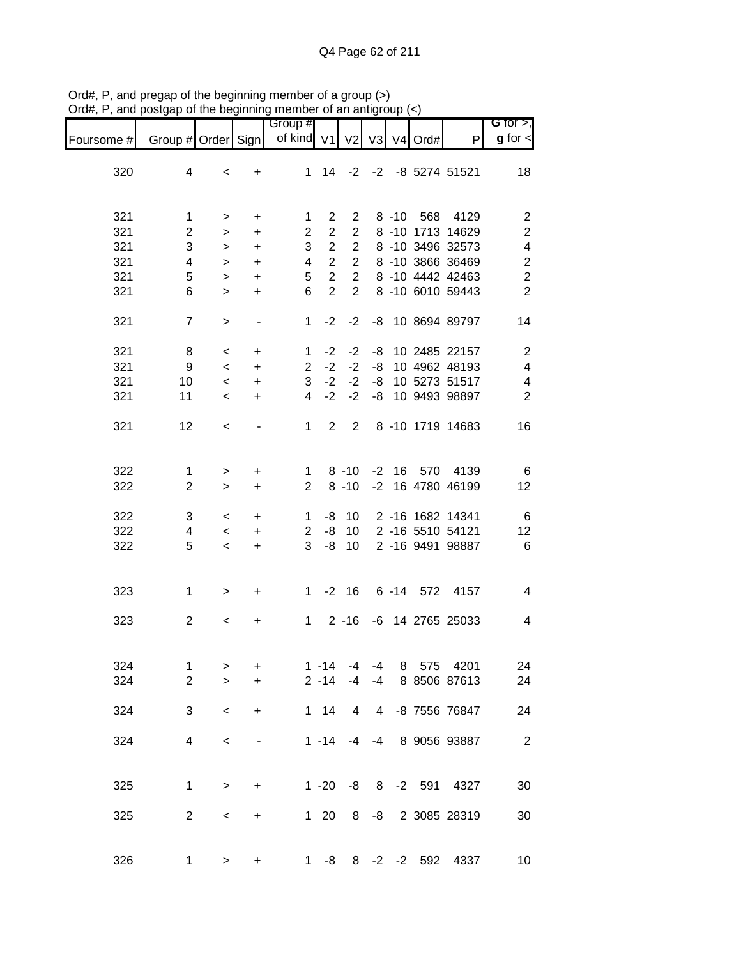| G for $>$ ,             |                  |            |    |          |                |                | Group #        |                          |           |                    |            |
|-------------------------|------------------|------------|----|----------|----------------|----------------|----------------|--------------------------|-----------|--------------------|------------|
| $g$ for $\lt$           | $\mathsf{P}$     | V3 V4 Ord# |    |          | V <sub>2</sub> |                | of kind V1     |                          |           | Group # Order Sign | Foursome # |
| 18                      | -2 -8 5274 51521 |            |    |          | $-2$           | 14             | $\mathbf{1}$   | +                        | $\,<\,$   | 4                  | 320        |
|                         |                  |            |    |          |                |                |                |                          |           |                    |            |
| $\overline{c}$          | 4129             | 8 -10 568  |    |          | 2              | $\overline{2}$ | 1              | +                        | >         | $\mathbf 1$        | 321        |
| $\mathbf 2$             | 8 -10 1713 14629 |            |    |          | $\overline{2}$ | $\overline{2}$ | $\overline{2}$ | $\ddot{}$                | $\, > \,$ | $\mathbf{2}$       | 321        |
| $\overline{\mathbf{4}}$ | 8 -10 3496 32573 |            |    |          | $\overline{c}$ | $\overline{2}$ | 3              | +                        | $\, > \,$ | 3                  | 321        |
| $\boldsymbol{2}$        | 8 -10 3866 36469 |            |    |          | $\overline{2}$ | $\overline{2}$ | 4              | +                        | $\, > \,$ | 4                  | 321        |
| $\overline{\mathbf{c}}$ | 8 -10 4442 42463 |            |    |          | $\overline{2}$ | $\overline{2}$ | 5              | $\ddot{}$                | $\, > \,$ | 5                  | 321        |
| $\overline{2}$          | 8 -10 6010 59443 |            |    |          | $\overline{2}$ | $\overline{2}$ | 6              | $\ddot{}$                | $\geq$    | 6                  | 321        |
| 14                      | -8 10 8694 89797 |            |    |          | $-2$           | $-2$           | $\mathbf{1}$   | $\overline{\phantom{a}}$ | $\geq$    | $\overline{7}$     | 321        |
| $\overline{\mathbf{c}}$ | 10 2485 22157    |            |    | -8       | $-2$           | $-2$           | $\mathbf 1$    | +                        | $\,<$     | 8                  | 321        |
| $\overline{\mathbf{4}}$ | 10 4962 48193    |            |    | -8       | $-2$           | $-2$           | $\overline{2}$ | $\ddot{}$                | $\,<\,$   | 9                  | 321        |
| $\overline{\mathbf{4}}$ | 10 5273 51517    |            |    | -8       | $-2$           | $-2$           | 3              | $\ddot{}$                | $\,<$     | 10                 | 321        |
| $\overline{2}$          | 10 9493 98897    |            |    | -8       | $-2$           | $-2$           | $\overline{4}$ | $\ddot{}$                | $\prec$   | 11                 | 321        |
| 16                      | 8 -10 1719 14683 |            |    |          | 2              | 2              | 1              |                          | $\,<\,$   | 12                 | 321        |
| $\,6$                   | 4139             | 570        | 16 | $-2$     | $8 - 10$       |                | 1              | +                        | $\,$      | $\mathbf 1$        | 322        |
| 12                      | 16 4780 46199    |            |    | $-2$     | $8 - 10$       |                | $\overline{2}$ | +                        | $\, > \,$ | $\overline{2}$     | 322        |
| 6                       | 2 -16 1682 14341 |            |    |          | 10             | -8             | 1              | +                        | $\,<\,$   | 3                  | 322        |
| 12                      | 2 -16 5510 54121 |            |    |          | 10             | -8             | $\overline{2}$ | $\ddot{}$                | $\,<\,$   | 4                  | 322        |
| 6                       | 2 -16 9491 98887 |            |    |          | 10             | -8             | 3              | $\ddot{}$                | $\,<$     | 5                  | 322        |
| $\overline{4}$          | 4157             | 6 -14 572  |    |          | 16             | $-2$           | $\mathbf{1}$   | $\ddot{}$                | $\, > \,$ | $\mathbf 1$        | 323        |
| $\overline{4}$          | -6 14 2765 25033 |            |    |          | $2 - 16$       |                | 1              | $\ddot{}$                | $\,<$     | $\overline{c}$     | 323        |
| 24                      | 4201             | 575        | 8  | $-4$     | $-4$           | $1 - 14$       |                | $\ddot{}$                | >         | $\mathbf 1$        | 324        |
| 24                      | 8 8506 87613     |            |    | $-4$     | $-4$           | $2 - 14$       |                | $\ddot{}$                | $\geq$    | $\overline{2}$     | 324        |
|                         |                  |            |    |          |                |                |                |                          |           |                    |            |
| 24                      | -8 7556 76847    |            |    | 4        | 4              | $1 \quad 14$   |                | +                        | $\,<$     | 3                  | 324        |
| $\overline{2}$          | 8 9056 93887     |            |    | $-4 - 4$ |                | $1 - 14$       |                |                          | $\,<$     | 4                  | 324        |
| 30                      | 4327             | 8 -2 591   |    |          | -8             | $1 - 20$       |                | +                        | $\, >$    | 1                  | 325        |
| 30                      | 2 3085 28319     |            |    | -8       | 8              | 120            |                | $\ddot{}$                | $\,<$     | $\overline{2}$     | 325        |
| $10$                    | 8 -2 -2 592 4337 |            |    |          |                | $1 - 8$        |                |                          | >         | 1                  | 326        |

Ord#, P, and pregap of the beginning member of a group (>) Ord#, P, and postgap of the beginning member of an antigroup (<)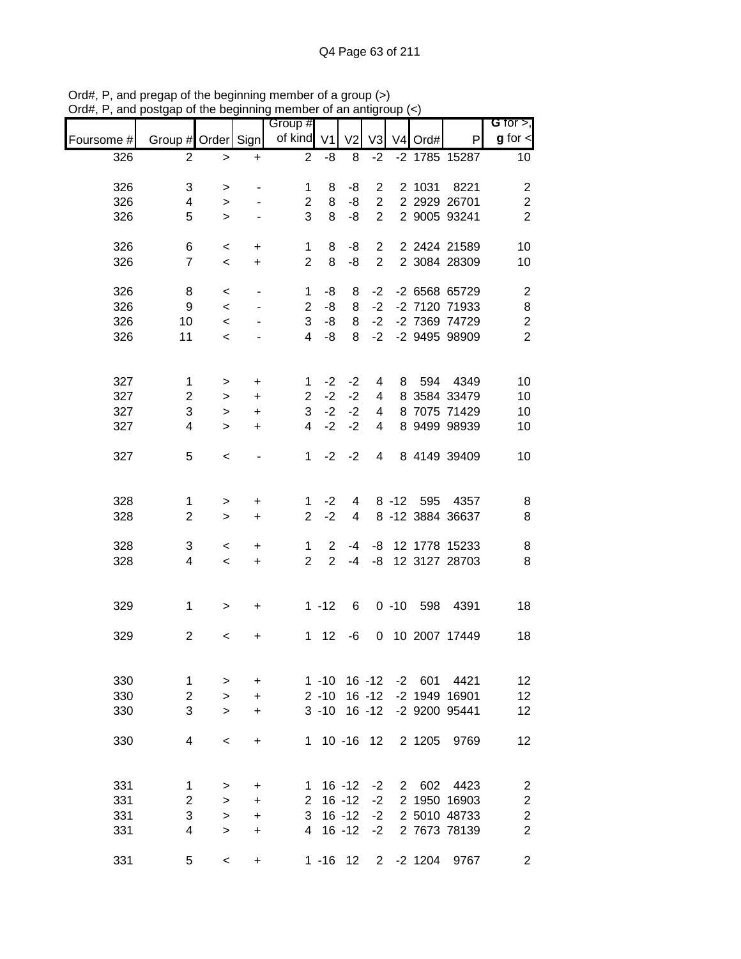|            |                    |           |                              | <br>Group #    |                | וויום ווש וכ   |                |           |                     | G for $>$ ,             |
|------------|--------------------|-----------|------------------------------|----------------|----------------|----------------|----------------|-----------|---------------------|-------------------------|
| Foursome # | Group # Order Sign |           |                              | of kind V1     |                | V <sub>2</sub> | V <sub>3</sub> | V4 Ord#   | P                   | $g$ for $\lt$           |
| 326        | 2                  | $\, >$    | +                            | $\overline{2}$ | -8             | 8              | $-2$           |           | -2 1785 15287       | 10                      |
| 326        | 3                  | $\, > \,$ |                              | 1              | 8              | -8             | $\overline{2}$ |           | 2 1031 8221         | $\overline{\mathbf{c}}$ |
| 326        | 4                  | $\,>$     |                              | $\overline{2}$ | 8              | -8             |                |           | 2 2 2 2 2 2 6 7 0 1 | $\overline{c}$          |
| 326        | 5                  | $\geq$    |                              | 3              | 8              | -8             | $2^{\circ}$    |           | 2 9005 93241        | $\overline{2}$          |
|            |                    |           |                              |                |                |                |                |           |                     |                         |
| 326        | 6                  | $\,<$     | $\ddot{}$                    | 1              | 8              | -8             |                |           | 2 2 2424 21589      | 10                      |
| 326        | $\overline{7}$     | $\,<$     | $+$                          | $\overline{2}$ | 8              | -8             |                |           | 2 2 3084 28309      | 10                      |
| 326        | 8                  | $\,<$     | $\qquad \qquad \blacksquare$ | $\mathbf{1}$   | -8             | 8              | $-2$           |           | -2 6568 65729       | $\overline{\mathbf{c}}$ |
| 326        | 9                  | $\,<$     |                              | $\overline{2}$ | -8             | 8              | $-2$           |           | -2 7120 71933       | 8                       |
| 326        | $10\,$             | $\,<$     |                              | 3              | $-8$           | 8              | $-2$           |           | -2 7369 74729       | $\overline{c}$          |
| 326        | 11                 | $\,<$     |                              | $\overline{4}$ | -8             | 8              | $-2$           |           | -2 9495 98909       | $\overline{2}$          |
|            |                    |           |                              |                |                |                |                |           |                     |                         |
| 327        | $\mathbf{1}$       | >         | $\ddot{}$                    | 1              | $-2$           | $-2$           | 4              |           | 8 594 4349          | 10                      |
| 327        | $\overline{c}$     | $\, > \,$ | $\ddot{}$                    | $\overline{2}$ | $-2$           | $-2$           | $\overline{4}$ |           | 8 3584 33479        | 10                      |
| 327        | 3                  | $\, >$    | +                            | $\mathbf{3}$   | $-2$           | $-2$           | $\overline{4}$ |           | 8 7075 71429        | 10                      |
| 327        | 4                  | $\geq$    | +                            | $\overline{4}$ | $-2$           | $-2$           | $\overline{4}$ |           | 8 9499 98939        | 10                      |
|            |                    |           |                              |                |                |                |                |           |                     |                         |
| 327        | 5                  | $\,<\,$   |                              | 1              | $-2$           | $-2$           | $\overline{4}$ |           | 8 4149 39409        | 10                      |
|            |                    |           |                              |                |                |                |                |           |                     |                         |
| 328        | 1                  | $\,$      | $\ddot{}$                    | 1.             | $-2$           | 4              |                |           | 8 -12 595 4357      | 8                       |
| 328        | $\overline{2}$     | $\geq$    | $\ddot{}$                    | $\overline{2}$ | $-2$           | 4              |                |           | 8 -12 3884 36637    | 8                       |
|            |                    |           |                              |                |                |                |                |           |                     |                         |
| 328        | 3                  | $\,<\,$   | +                            | $\mathbf{1}$   | $\overline{2}$ | -4             |                |           | -8 12 1778 15233    | 8                       |
| 328        | 4                  | $\,<$     | $\ddot{}$                    | $\overline{2}$ | $\overline{2}$ | $-4$           | -8             |           | 12 3127 28703       | 8                       |
|            |                    |           |                              |                |                |                |                |           |                     |                         |
| 329        | $\mathbf 1$        | $\, > \,$ | $\ddot{}$                    |                | $1 - 12$       | 6              |                |           | 0 -10 598 4391      | 18                      |
| 329        | $\overline{c}$     |           |                              | 1              | 12             | -6             |                |           | 0 10 2007 17449     | 18                      |
|            |                    | $\,<\,$   | +                            |                |                |                |                |           |                     |                         |
|            |                    |           |                              |                |                |                |                |           |                     |                         |
| 330        | 1                  | >         | +                            |                | $1 - 10$       |                | 16 -12         |           | -2 601 4421         | 12                      |
| 330        | $\mathbf 2$        | $\, > \,$ | $\ddot{}$                    |                | $2 - 10$       |                | $16 - 12$      |           | -2 1949 16901       | 12                      |
| 330        | 3                  | $\geq$    | +                            |                | $3 - 10$       |                | $16 - 12$      |           | -2 9200 95441       | 12                      |
| 330        | 4                  | $\,<\,$   | $\ddot{}$                    | 1.             |                | $10 - 16$ 12   |                | 2 1205    | 9769                | 12                      |
|            |                    |           |                              |                |                |                |                |           |                     |                         |
|            |                    |           |                              |                |                |                |                |           |                     |                         |
| 331        | 1                  | $\, > \,$ | $\ddot{}$                    | 1              |                | $16 - 12$      | $-2$           | 2 602     | 4423                | $\overline{\mathbf{c}}$ |
| 331        | $\boldsymbol{2}$   | $\, >$    | +                            |                | $2 16 - 12$    |                | $-2$           |           | 2 1950 16903        | $\overline{\mathbf{c}}$ |
| 331        | 3                  | $\geq$    | +                            | 3              |                | $16 - 12$      | $-2$           |           | 2 5010 48733        | $\overline{c}$          |
| 331        | 4                  | $\geq$    | +                            | 4              |                | $16 - 12$      | $-2$           |           | 2 7673 78139        | $\overline{2}$          |
| 331        | 5                  | $\,<\,$   | +                            |                |                | $1 - 16$ 12    |                | 2 -2 1204 | 9767                | $\overline{c}$          |

Ord#, P, and pregap of the beginning member of a group (>) Ord#, P, and postgap of the beginning member of an antigroup (<)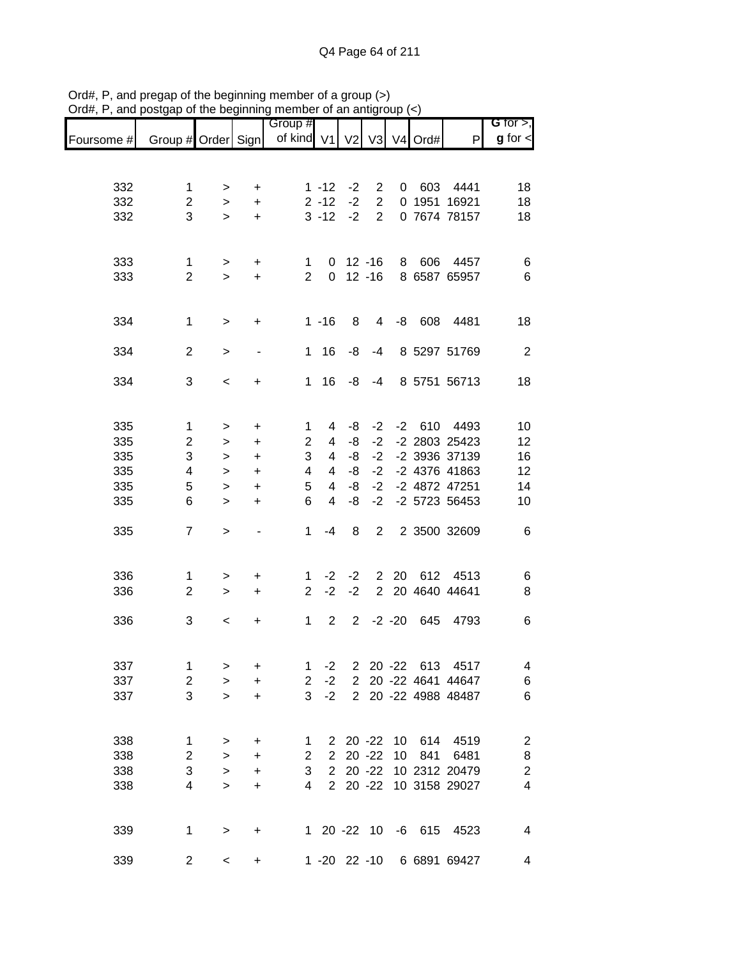|            |                     |             |                          | Group #        |                      |                |                                  |                 |                     |                           | G for $>$ ,      |
|------------|---------------------|-------------|--------------------------|----------------|----------------------|----------------|----------------------------------|-----------------|---------------------|---------------------------|------------------|
| Foursome # | Group # Order Sign  |             |                          | of kind V1 V2  |                      |                | V3                               |                 | V <sub>4</sub> Ord# | P                         | $g$ for $\lt$    |
|            |                     |             |                          |                |                      |                |                                  |                 |                     |                           |                  |
|            |                     |             |                          |                |                      |                |                                  |                 |                     |                           |                  |
| 332<br>332 | 1<br>$\overline{2}$ | >           | +                        |                | $1 - 12$<br>$2 - 12$ | $-2$<br>$-2$   | $\overline{2}$<br>$\overline{2}$ | 0               |                     | 603 4441<br>0 1951 16921  | 18               |
| 332        | 3                   | ><br>$\geq$ | $\ddot{}$<br>$\ddot{}$   |                | $3 - 12$             | $-2$           | $\overline{2}$                   |                 |                     | 0 7674 78157              | 18<br>18         |
|            |                     |             |                          |                |                      |                |                                  |                 |                     |                           |                  |
|            |                     |             |                          |                |                      |                |                                  |                 |                     |                           |                  |
| 333        | 1                   | >           | +                        | 1.             | 0                    |                | $12 - 16$                        | 8               |                     | 606 4457                  | 6                |
| 333        | $\overline{2}$      | $\geq$      | $\ddot{}$                | $\overline{2}$ | $\Omega$             |                | $12 - 16$                        |                 |                     | 8 6587 65957              | $6\phantom{1}6$  |
|            |                     |             |                          |                |                      |                |                                  |                 |                     |                           |                  |
| 334        | 1                   | >           | +                        |                | $1 - 16$             | 8              | 4                                | -8              | 608                 | 4481                      | 18               |
|            |                     |             |                          |                |                      |                |                                  |                 |                     |                           |                  |
| 334        | $\overline{c}$      | >           | $\overline{\phantom{a}}$ | 1              | 16                   | -8             | $-4$                             |                 |                     | 8 5297 51769              | $\overline{2}$   |
|            |                     |             |                          |                |                      |                |                                  |                 |                     |                           |                  |
| 334        | 3                   | $\,<\,$     | +                        | 1.             | 16                   | -8             | $-4$                             |                 |                     | 8 5751 56713              | 18               |
|            |                     |             |                          |                |                      |                |                                  |                 |                     |                           |                  |
| 335        | 1                   | >           | $\ddot{}$                | 1              | 4                    | -8             | $-2$                             |                 |                     | -2 610 4493               | 10               |
| 335        | $\overline{2}$      | $\geq$      | $\ddot{}$                | $\overline{2}$ | 4                    | -8             | $-2$                             |                 |                     | -2 2803 25423             | 12               |
| 335        | 3                   | >           | $\ddot{}$                | 3              | 4                    | -8             | $-2$                             |                 |                     | -2 3936 37139             | 16               |
| 335        | 4                   | $\, > \,$   | $\ddot{}$                | 4              | 4                    | -8             | $-2$                             |                 |                     | -2 4376 41863             | 12               |
| 335        | 5                   | >           | $\ddot{}$                | 5              | 4                    | -8             | $-2$                             |                 |                     | -2 4872 47251             | 14               |
| 335        | 6                   | $\geq$      | $\ddot{}$                | 6              | $\overline{4}$       | -8             | $-2$                             |                 |                     | -2 5723 56453             | 10               |
|            |                     |             |                          |                |                      |                |                                  |                 |                     |                           |                  |
| 335        | $\overline{7}$      | $\geq$      |                          | $\mathbf 1$    | $-4$                 | 8              | 2                                |                 |                     | 2 3500 32609              | 6                |
|            |                     |             |                          |                |                      |                |                                  |                 |                     |                           |                  |
| 336        | 1                   | >           | +                        | 1              | $-2$                 | -2             |                                  | 2 20            | 612                 | 4513                      | 6                |
| 336        | $\overline{2}$      | $\geq$      | $\ddot{}$                | $\overline{2}$ | $-2$                 | $-2$           | $\overline{2}$                   |                 |                     | 20 4640 44641             | 8                |
|            |                     |             |                          |                |                      |                |                                  |                 |                     |                           |                  |
| 336        | 3                   | $\,<\,$     | +                        | 1              | $\overline{2}$       | $\overline{2}$ |                                  | $-2 - 20$       | 645                 | 4793                      | 6                |
|            |                     |             |                          |                |                      |                |                                  |                 |                     |                           |                  |
| 337        | 1                   | >           | $\ddot{}$                | 1              | $-2$                 |                |                                  |                 |                     | 2 20 -22 613 4517         | 4                |
| 337        | $\overline{c}$      | $\geq$      | $\ddot{}$                | $\overline{2}$ | $-2$                 |                |                                  |                 |                     | 2 20 -22 4641 44647       | 6                |
| 337        | 3                   | $\geq$      | $\ddot{}$                | 3              | $-2$                 |                |                                  |                 |                     | 2 20 -22 4988 48487       | 6                |
|            |                     |             |                          |                |                      |                |                                  |                 |                     |                           |                  |
|            |                     |             |                          |                |                      |                |                                  |                 |                     |                           |                  |
| 338        | 1                   | >           | +                        | 1              |                      |                | $2\ 20\ -22$                     | 10 <sup>1</sup> |                     | 614 4519                  | $\overline{2}$   |
| 338        | $\boldsymbol{2}$    | $\, > \,$   | +                        | $\overline{c}$ | $\overline{2}$       |                | $20 - 22$                        | 10              | 841                 | 6481                      | 8                |
| 338        | 3                   | $\geq$      | $\ddot{}$                | 3              |                      |                | $2\ 20\ -22$                     |                 |                     | 10 2312 20479             | $\boldsymbol{2}$ |
| 338        | $\overline{4}$      | $\geq$      | +                        | 4              | $2^{\circ}$          |                |                                  |                 |                     | 20 -22 10 3158 29027      | $\overline{4}$   |
|            |                     |             |                          |                |                      |                |                                  |                 |                     |                           |                  |
|            |                     |             |                          |                |                      |                |                                  |                 |                     |                           |                  |
| 339        | 1                   | >           | +                        |                |                      |                |                                  |                 |                     | 1 20 -22 10 -6 615 4523   | 4                |
| 339        | 2                   | $\,<\,$     | +                        |                |                      |                |                                  |                 |                     | 1 -20 22 -10 6 6891 69427 | 4                |

Ord#, P, and pregap of the beginning member of a group (>) Ord#, P, and postgap of the beginning member of an antigroup (<)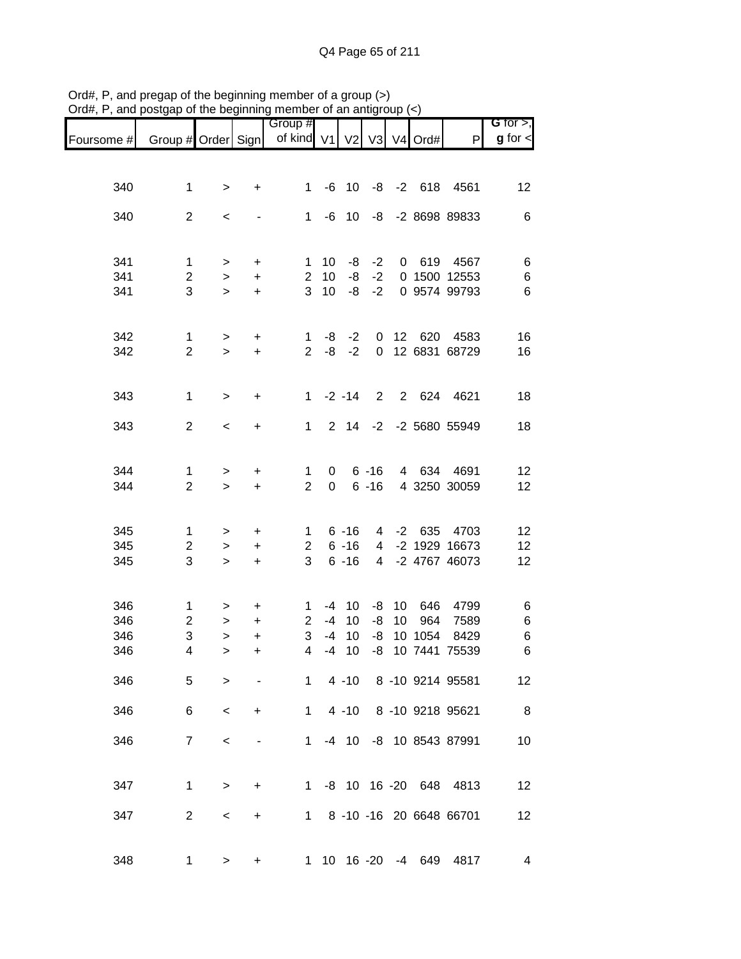| ana                      | oolgap or the peginming                  |                                |                                  | mombor or an anigroup            |                            |                                  |                                       |          |                       |                                          |                                |
|--------------------------|------------------------------------------|--------------------------------|----------------------------------|----------------------------------|----------------------------|----------------------------------|---------------------------------------|----------|-----------------------|------------------------------------------|--------------------------------|
| Foursome #               | Group # Order Sign                       |                                |                                  | Group #<br>of kind $V1$          |                            | V <sub>2</sub>                   |                                       |          | V3 V4 Ord#            | P                                        | $G$ for $>$ ,<br>$g$ for $\lt$ |
|                          |                                          |                                |                                  |                                  |                            |                                  |                                       |          |                       |                                          |                                |
| 340                      | $\mathbf 1$                              | $\, > \,$                      | +                                | 1                                |                            | $-6$ 10                          |                                       |          | $-8$ $-2$ 618         | 4561                                     | 12                             |
| 340                      | $\overline{2}$                           | $\,<\,$                        |                                  | 1                                | -6                         | 10                               | -8                                    |          |                       | -2 8698 89833                            | 6                              |
| 341<br>341               | 1<br>$\overline{c}$                      | $\,$<br>$\,$                   | $\ddot{}$<br>$\ddot{}$           | 1<br>$\overline{2}$              | 10<br>10                   | -8<br>-8                         | $-2$<br>$-2$                          |          | 0 619                 | 4567<br>0 1500 12553                     | 6<br>$\,6$                     |
| 341                      | 3                                        | $\geq$                         | $\ddot{}$                        | 3                                | 10                         | -8                               | $-2$                                  |          |                       | 0 9574 99793                             | 6                              |
| 342<br>342               | $\mathbf{1}$<br>$\overline{2}$           | $\,$<br>$\geq$                 | $\ddot{}$<br>$\ddot{}$           | $\mathbf 1$<br>$\overline{2}$    | -8<br>-8                   | $-2$<br>$-2$                     | $\mathbf 0$<br>$\overline{0}$         |          | 12 620                | 4583<br>12 6831 68729                    | 16<br>16                       |
| 343                      | $\mathbf 1$                              | $\mathbf{L}$                   | $\ddot{}$                        | 1                                |                            | $-2 - 14$                        | 2                                     |          |                       | 2 624 4621                               | 18                             |
| 343                      | $\overline{2}$                           | $\,<$                          | $\ddot{}$                        | $\mathbf{1}$                     |                            | $2 \quad 14$                     |                                       |          |                       | -2 -2 5680 55949                         | 18                             |
| 344<br>344               | 1<br>$\overline{2}$                      | $\,$<br>$\mathbf{L}$           | $\ddot{}$<br>$\ddot{}$           | 1<br>$\overline{2}$              | 0<br>$\pmb{0}$             |                                  | $6 - 16$<br>$6 - 16$                  |          | 4 634                 | 4691<br>4 3250 30059                     | $12 \overline{ }$<br>12        |
| 345<br>345<br>345        | $\mathbf{1}$<br>$\overline{2}$<br>3      | $\,$<br>$\,$<br>$\geq$         | +<br>$\ddot{}$<br>$\ddot{}$      | $1 \quad$<br>$\overline{2}$<br>3 |                            | $6 - 16$<br>$6 - 16$<br>$6 - 16$ | 4<br>$\overline{4}$<br>$\overline{4}$ |          | -2 635                | 4703<br>-2 1929 16673<br>-2 4767 46073   | 12<br>12<br>12                 |
| 346<br>346<br>346<br>346 | $\mathbf{1}$<br>$\overline{2}$<br>3<br>4 | ><br>$\,$<br>$\mathbf{L}$<br>> | +<br>$\ddot{}$<br>$\ddot{}$<br>+ | 1<br>$\overline{2}$<br>3<br>4    | $-4$<br>$-4$<br>$-4$<br>-4 | 10<br>10<br>10<br>10             | -8<br>-8<br>-8                        | 10<br>10 | 646<br>964<br>10 1054 | 4799<br>7589<br>8429<br>-8 10 7441 75539 | 6<br>6<br>$\,6$<br>6           |
| 346                      | $5\phantom{.0}$                          | $\geq$                         |                                  |                                  |                            |                                  |                                       |          |                       | 1 4 -10 8 -10 9214 95581                 | 12                             |
| 346                      | 6                                        | $\,<$                          | $+$                              | $1 \quad$                        |                            | $4 - 10$                         |                                       |          |                       | 8 -10 9218 95621                         | 8 <sup>8</sup>                 |
| 346                      | $\overline{7}$                           | $\,<\,$                        |                                  | $1 \quad$                        |                            |                                  |                                       |          |                       | -4 10 -8 10 8543 87991                   | 10                             |
| 347                      | $\mathbf 1$                              | $\, > \,$                      | $\ddot{}$                        |                                  |                            |                                  |                                       |          |                       | 1 -8 10 16 -20 648 4813                  | 12                             |
| 347                      | $\overline{2}$                           | $\,<\,$                        | +                                |                                  |                            |                                  |                                       |          |                       | 1 8 -10 -16 20 6648 66701                | 12                             |
| 348                      | 1                                        | >                              | +                                |                                  |                            |                                  |                                       |          |                       | 1 10 16 -20 -4 649 4817                  | 4                              |

Ord#, P, and pregap of the beginning member of a group (>) Ord#, P, and postgap of the beginning member of an antigroup (<)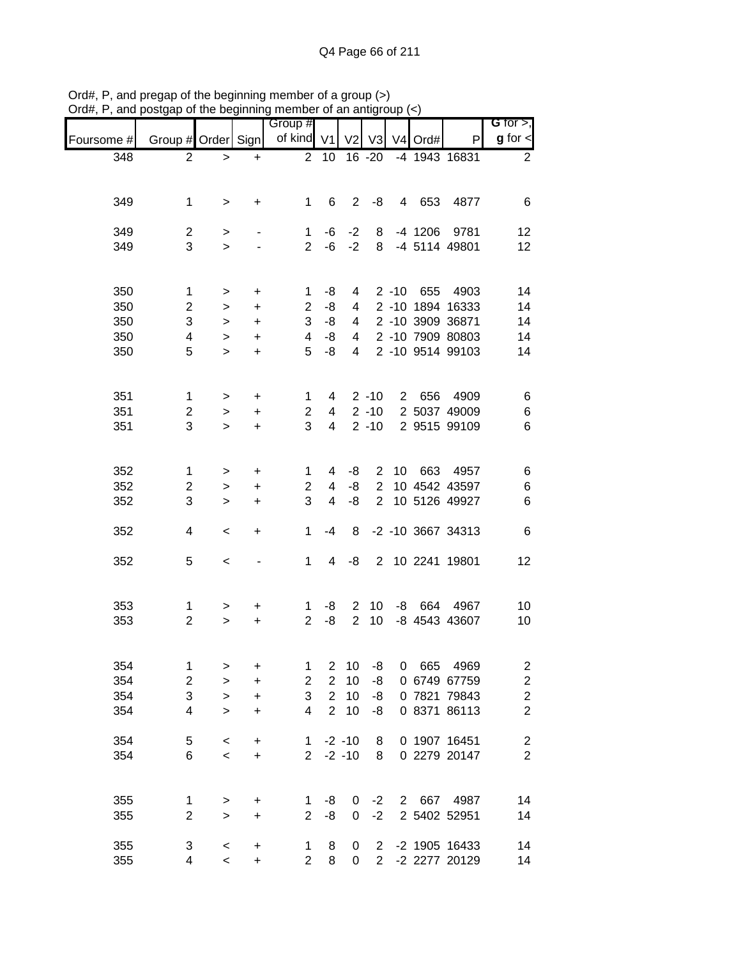|            |                                | ט טוע               | .                                | Group #                         |                                  |                               |                                    |              |         |                              | G for $>$ ,                        |
|------------|--------------------------------|---------------------|----------------------------------|---------------------------------|----------------------------------|-------------------------------|------------------------------------|--------------|---------|------------------------------|------------------------------------|
| Foursome # |                                |                     |                                  | Group # Order Sign   of kind V1 |                                  | V <sub>2</sub>                | V3                                 |              | V4 Ord# | P                            | $g$ for $\leq$                     |
| 348        | $\overline{2}$                 | $\, > \,$           | $\ddot{}$                        | $\overline{2}$                  | 10                               |                               | 16 -20                             |              |         | -4 1943 16831                | $\overline{2}$                     |
|            |                                |                     |                                  |                                 |                                  |                               |                                    |              |         |                              |                                    |
|            |                                |                     |                                  |                                 |                                  |                               |                                    |              |         | 4 653 4877                   |                                    |
| 349        | $\mathbf 1$                    | >                   | $\ddot{}$                        | $\mathbf 1$                     | 6                                | $\overline{2}$                | -8                                 |              |         |                              | 6                                  |
| 349        | $\overline{2}$                 | $\,$                | $\overline{\phantom{a}}$         | 1                               | -6                               | $-2$                          | 8                                  |              |         | -4 1206 9781                 | 12                                 |
| 349        | 3                              | $\geq$              |                                  | $\overline{2}$                  |                                  | $-6 -2$                       |                                    |              |         | 8 -4 5114 49801              | 12                                 |
|            |                                |                     |                                  |                                 |                                  |                               |                                    |              |         |                              |                                    |
| 350        | $\mathbf 1$                    | $\,>$               | $\ddot{}$                        | 1                               | -8                               | 4                             |                                    |              |         | 2 -10 655 4903               | 14                                 |
| 350        | $\overline{c}$                 | $\, > \,$           | $\ddot{}$                        | $\overline{2}$                  | -8                               | $\overline{4}$                |                                    |              |         | 2 -10 1894 16333             | 14                                 |
| 350        | 3                              | $\, > \,$           | $\ddot{}$                        | 3                               | -8                               | 4                             |                                    |              |         | 2 -10 3909 36871             | 14                                 |
| 350        | 4                              | $\, > \,$           | $\ddot{}$                        | $\overline{4}$                  | $-8$                             | $\overline{4}$                |                                    |              |         | 2 -10 7909 80803             | 14                                 |
| 350        | 5                              | $\geq$              | $\ddot{}$                        | 5                               | $-8$                             | $\overline{4}$                |                                    |              |         | 2 -10 9514 99103             | 14                                 |
|            |                                |                     |                                  |                                 |                                  |                               |                                    |              |         |                              |                                    |
|            |                                |                     |                                  |                                 |                                  |                               |                                    |              |         |                              |                                    |
| 351<br>351 | $\mathbf{1}$                   | >                   | $\ddot{}$                        | 1                               | 4                                |                               | $2 - 10$<br>$2 - 10$               |              |         | 2 656 4909<br>2 5037 49009   | 6                                  |
| 351        | $\overline{c}$<br>3            | $\, > \,$<br>$\geq$ | +<br>$\ddot{}$                   | 2<br>3                          | $\overline{4}$<br>$\overline{4}$ |                               | $2 - 10$                           |              |         | 2 9515 99109                 | $\,6$<br>$6\phantom{1}6$           |
|            |                                |                     |                                  |                                 |                                  |                               |                                    |              |         |                              |                                    |
|            |                                |                     |                                  |                                 |                                  |                               |                                    |              |         |                              |                                    |
| 352        | 1                              | $\, > \,$           | $\ddot{}$                        | 1                               | 4                                | -8                            |                                    | $2 \quad 10$ |         | 663 4957                     | 6                                  |
| 352        | $\overline{c}$                 | $\,>$               | $\begin{array}{c} + \end{array}$ | $\overline{2}$                  | 4                                | -8                            | $\overline{2}$                     |              |         | 10 4542 43597                | $\,6$                              |
| 352        | 3                              | $\geq$              | $\ddot{}$                        | 3                               | $\overline{4}$                   | -8                            | $2^{\circ}$                        |              |         | 10 5126 49927                | $\,6$                              |
| 352        | 4                              |                     |                                  | 1                               | -4                               | 8                             |                                    |              |         | -2 -10 3667 34313            | $\,6$                              |
|            |                                | $\,<\,$             | +                                |                                 |                                  |                               |                                    |              |         |                              |                                    |
| 352        | 5                              | $\,<$               |                                  | $\mathbf{1}$                    | $\overline{4}$                   | -8                            |                                    |              |         | 2 10 2241 19801              | 12                                 |
|            |                                |                     |                                  |                                 |                                  |                               |                                    |              |         |                              |                                    |
|            |                                |                     |                                  |                                 |                                  |                               |                                    |              |         |                              |                                    |
| 353<br>353 | $\mathbf{1}$<br>$\overline{2}$ | >                   | +                                | $\mathbf 1$<br>$\overline{2}$   | -8<br>-8                         | $2^{\circ}$<br>$\overline{2}$ | 10 <sup>°</sup><br>10 <sup>1</sup> |              |         | -8 664 4967<br>-8 4543 43607 | 10                                 |
|            |                                | $\mathbf{L}$        | $\ddot{}$                        |                                 |                                  |                               |                                    |              |         |                              | 10                                 |
|            |                                |                     |                                  |                                 |                                  |                               |                                    |              |         |                              |                                    |
| 354        | 1                              | >                   | +                                | 1                               | $\overline{2}$                   | 10                            | -8                                 | 0            | 665     | 4969                         | $\overline{\mathbf{c}}$            |
| 354        | $\overline{c}$                 | $\,>$               | $\ddot{}$                        | $\mathbf 2$                     | $\overline{2}$                   | 10                            | -8                                 |              |         | 0 6749 67759                 | $\overline{c}$                     |
| 354        | 3                              | >                   | $\ddot{}$                        | 3                               | $\overline{2}$                   | 10                            | -8                                 |              |         | 0 7821 79843                 | $\overline{c}$                     |
| 354        | 4                              | $\geq$              | $\ddot{}$                        | 4                               | $\overline{2}$                   | 10                            | -8                                 |              |         | 0 8371 86113                 | $\overline{c}$                     |
|            |                                |                     |                                  |                                 |                                  |                               |                                    |              |         |                              |                                    |
| 354<br>354 | 5<br>6                         | $\,<$<br>$\,<\,$    | $\ddot{}$<br>$\ddot{}$           | $\mathbf 1$<br>$2^{\circ}$      |                                  | $-2 - 10$<br>$-2 - 10$        | 8<br>8                             |              |         | 0 1907 16451<br>0 2279 20147 | $\boldsymbol{2}$<br>$\overline{2}$ |
|            |                                |                     |                                  |                                 |                                  |                               |                                    |              |         |                              |                                    |
|            |                                |                     |                                  |                                 |                                  |                               |                                    |              |         |                              |                                    |
| 355        | 1                              | $\,$                | +                                | 1                               | -8                               | 0                             | $-2$                               |              |         | 2 667 4987                   | 14                                 |
| 355        | $\overline{2}$                 | $\geq$              | $\ddot{}$                        | $\overline{2}$                  | -8                               | 0                             | $-2$                               |              |         | 2 5402 52951                 | 14                                 |
| 355        | 3                              | $\,<\,$             | +                                | 1                               | 8                                | 0                             |                                    |              |         | 2 -2 1905 16433              | 14                                 |
| 355        | 4                              | $\,<\,$             | $\ddot{}$                        | $\overline{2}$                  | 8                                | 0                             | 2 <sup>1</sup>                     |              |         | -2 2277 20129                | 14                                 |

Ord#, P, and pregap of the beginning member of a group (>) Ord#, P, and postgap of the beginning member of an antigroup (<)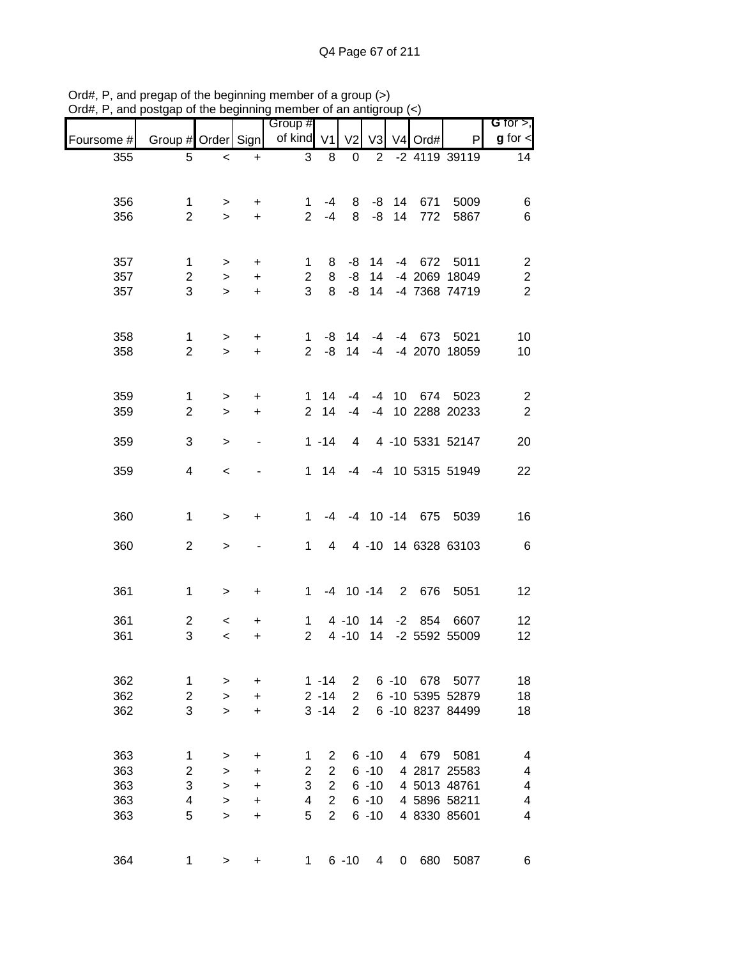| ana        | oolgap or the peginming |           |                              | <b>INVINUE VE ALL ANNUAL</b> |                |                |                |          |         |                        |                              |
|------------|-------------------------|-----------|------------------------------|------------------------------|----------------|----------------|----------------|----------|---------|------------------------|------------------------------|
| Foursome # | Group # Order Sign      |           |                              | Group #<br>of kind V1        |                | V <sub>2</sub> | V <sub>3</sub> |          | V4 Ord# | P                      | G for $>$ ,<br>$g$ for $\lt$ |
| 355        | 5                       | $\,<$     | $\ddot{}$                    | 3                            | 8              | 0              | 2              |          |         | -2 4119 39119          | 14                           |
|            |                         |           |                              |                              |                |                |                |          |         |                        |                              |
| 356        | 1                       | >         | $\ddot{}$                    | 1                            | $-4$           | 8              |                | $-8$ 14  | 671     | 5009                   | 6                            |
| 356        | $\overline{2}$          | $\geq$    | $\ddot{}$                    | 2 <sup>1</sup>               | $-4$           | 8              | -8             | 14       | 772     | 5867                   | 6                            |
|            |                         |           |                              |                              |                |                |                |          |         |                        |                              |
| 357        | 1                       | $\, > \,$ | $\ddot{}$                    | 1                            | 8              | -8             | 14             |          |         | -4 672 5011            | $\overline{\mathbf{c}}$      |
| 357        | $\mathbf{2}$            | $\geq$    | $\ddot{}$                    | $\overline{2}$               | 8              | $-8$           | 14             |          |         | -4 2069 18049          | $\boldsymbol{2}$             |
| 357        | 3                       | $\geq$    | $\ddot{}$                    | 3                            | 8              | -8             |                |          |         | 14 -4 7368 74719       | $\overline{2}$               |
|            |                         |           |                              |                              |                |                |                |          |         |                        |                              |
| 358        | $\mathbf{1}$            | >         | +                            | 1                            |                | $-8$ 14        |                |          |         | -4 -4 673 5021         | 10                           |
| 358        | $\overline{2}$          | $\geq$    | $\ddot{}$                    | $\overline{2}$               | -8             | 14             | $-4$           |          |         | -4 2070 18059          | 10                           |
|            |                         |           |                              |                              |                |                |                |          |         |                        |                              |
| 359        | $\mathbf{1}$            | >         | +                            | 1.                           | 14             | -4             |                |          |         | -4 10 674 5023         | $\overline{c}$               |
| 359        | $\overline{2}$          | $\geq$    | $\ddot{}$                    | $\overline{2}$               | 14             | $-4$           |                |          |         | -4 10 2288 20233       | $\sqrt{2}$                   |
|            |                         |           |                              |                              |                |                |                |          |         |                        |                              |
| 359        | 3                       | $\, > \,$ | $\qquad \qquad \blacksquare$ |                              | $1 - 14$       | 4              |                |          |         | 4 -10 5331 52147       | 20                           |
| 359        | 4                       | $\,<$     |                              |                              | $1 \quad 14$   | $-4$           |                |          |         | -4 10 5315 51949       | 22                           |
|            |                         |           |                              |                              |                |                |                |          |         |                        |                              |
| 360        | $\mathbf 1$             | $\geq$    | +                            | 1                            |                |                |                |          |         | -4 -4 10 -14 675 5039  | 16                           |
|            |                         |           |                              |                              |                |                |                |          |         |                        |                              |
| 360        | $\overline{2}$          | >         |                              | $\mathbf{1}$                 |                | $\overline{4}$ |                |          |         | 4 -10 14 6328 63103    | 6                            |
|            |                         |           |                              |                              |                |                |                |          |         |                        |                              |
| 361        | $\mathbf 1$             | $\, > \,$ | +                            |                              |                |                |                |          |         | 1 -4 10 -14 2 676 5051 | 12                           |
|            |                         |           |                              |                              |                |                |                |          |         |                        |                              |
| 361        | $\overline{2}$          | $\,<\,$   | +                            | 1                            |                | $4 - 10$       | 14             |          |         | -2 854 6607            | 12                           |
| 361        | 3                       | $\,<\,$   | +                            | $\overline{2}$               |                | $4 - 10$       | 14             |          |         | -2 5592 55009          | 12                           |
|            |                         |           |                              |                              |                |                |                |          |         |                        |                              |
| 362        | 1                       | >         | +                            |                              | $1 - 14$       | $\overline{2}$ |                | $6 - 10$ | 678     | 5077                   | 18                           |
| 362        | $\mathbf{2}$            | $\, > \,$ | +                            |                              | $2 - 14$       | $\overline{2}$ |                |          |         | 6 -10 5395 52879       | 18                           |
| 362        | 3                       | $\geq$    | +                            |                              | $3 - 14$       | $\overline{2}$ |                |          |         | 6 -10 8237 84499       | 18                           |
|            |                         |           |                              |                              |                |                |                |          |         |                        |                              |
| 363        | 1                       | >         | +                            | 1                            | $\overline{2}$ |                | $6 - 10$       | 4        | 679     | 5081                   | 4                            |
| 363        | $\mathbf 2$             | $\geq$    | +                            | $\overline{2}$               | $\overline{2}$ |                | $6 - 10$       |          |         | 4 2817 25583           | 4                            |
| 363        | 3                       | $\, > \,$ | +                            | 3                            | $\overline{c}$ |                | $6 - 10$       |          |         | 4 5013 48761           | 4                            |
| 363        | 4                       | $\, > \,$ | +                            | 4                            | $\overline{c}$ |                | $6 - 10$       |          |         | 4 5896 58211           | 4                            |
| 363        | 5                       | $\geq$    | +                            | 5                            | $\overline{2}$ |                | $6 - 10$       |          |         | 4 8330 85601           | 4                            |
|            |                         |           |                              |                              |                |                |                |          |         |                        |                              |
| 364        | 1                       | >         | +                            | 1                            |                | $6 - 10$       | 4              | 0        | 680     | 5087                   | 6                            |

Ord#, P, and pregap of the beginning member of a group (>) Ord#, P, and postgap of the beginning member of an antigroup (<)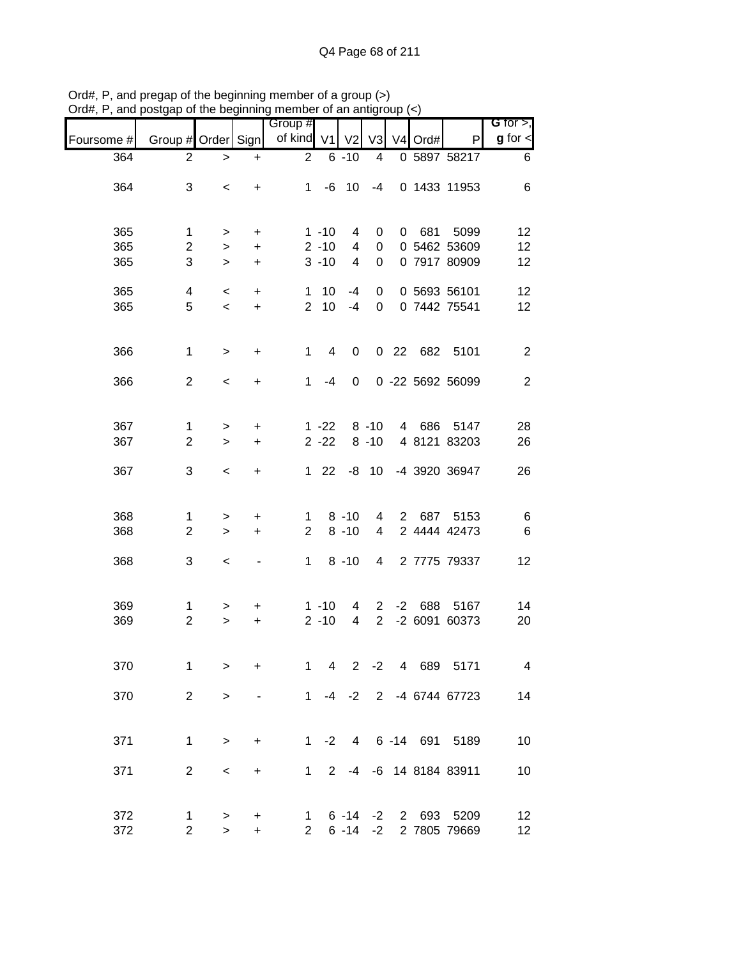| unu        | oorgap or mo bogmmmig          |                 |                        | 110111001             |                        | or an annyi              |                                |   |         |                              | G for $>$ ,              |
|------------|--------------------------------|-----------------|------------------------|-----------------------|------------------------|--------------------------|--------------------------------|---|---------|------------------------------|--------------------------|
| Foursome # | Group # Order Sign             |                 |                        | Group #<br>of kind V1 |                        | V <sub>2</sub>           | V3                             |   | V4 Ord# | P                            | $g$ for $\lt$            |
| 364        | $\overline{2}$                 | $\, > \,$       | $\ddot{}$              | $\overline{c}$        |                        | $6 - 10$                 | 4                              |   |         | 0 5897 58217                 | 6                        |
| 364        | 3                              | $\,<$           | $\ddot{}$              |                       |                        | $1 - 6 10$               | $-4$                           |   |         | 0 1433 11953                 | 6                        |
| 365<br>365 | 1<br>$\overline{c}$            | $\,>$<br>$\,$   | +<br>$\ddot{}$         |                       | $1 - 10$<br>$2 - 10$   | 4<br>4                   | 0<br>$\pmb{0}$                 | 0 |         | 681 5099<br>0 5462 53609     | 12<br>12                 |
| 365        | 3                              | $\geq$          | $\ddot{}$              |                       | $3 - 10$               | 4                        | $\pmb{0}$                      |   |         | 0 7917 80909                 | 12                       |
| 365<br>365 | 4<br>5                         | $\,<$<br>$\,<$  | $\ddot{}$<br>$\ddot{}$ |                       | $1 10$<br>$2 \quad 10$ | $-4$<br>$-4$             | 0<br>$\mathbf 0$               |   |         | 0 5693 56101<br>0 7442 75541 | 12<br>12                 |
|            |                                |                 |                        |                       |                        |                          |                                |   |         |                              |                          |
| 366        | $\mathbf 1$                    | $\,$            | $\ddot{}$              | $\mathbf{1}$          | 4                      | $\mathbf 0$              |                                |   |         | 0 22 682 5101                | $\overline{2}$           |
| 366        | $\overline{2}$                 | $\,<$           | $\ddot{}$              | $\mathbf{1}$          | -4                     | 0                        |                                |   |         | 0 -22 5692 56099             | $\overline{2}$           |
| 367<br>367 | $\mathbf{1}$<br>$\overline{c}$ | $\,>$<br>$\geq$ | +<br>$\ddot{}$         |                       | $1 - 22$<br>$2 - 22$   |                          | $8 - 10$<br>$8 - 10$           |   |         | 4 686 5147<br>4 8121 83203   | 28<br>26                 |
| 367        | 3                              | $\,<$           | $\ddot{}$              |                       | $122$                  |                          | $-8$ 10                        |   |         | -4 3920 36947                | 26                       |
|            |                                |                 |                        |                       |                        |                          |                                |   |         |                              |                          |
| 368<br>368 | $\mathbf{1}$<br>$\overline{2}$ | $\,$<br>$\geq$  | +<br>$\ddot{}$         | 1<br>$\overline{2}$   |                        | $8 - 10$<br>$8 - 10$     | 4<br>4                         |   |         | 2 687 5153<br>2 4444 42473   | 6<br>6                   |
| 368        | 3                              | $\,<\,$         |                        | 1                     |                        | $8 - 10$                 | $4\overline{ }$                |   |         | 2 7775 79337                 | 12                       |
| 369<br>369 | $\mathbf{1}$<br>$\overline{2}$ | >               | +                      |                       | $1 - 10$<br>$2 - 10$   | 4<br>$\overline{4}$      | $\mathbf{2}$<br>$\overline{2}$ |   |         | -2 688 5167<br>-2 6091 60373 | 14<br>20                 |
|            |                                | $\geq$          | $\ddot{}$              |                       |                        |                          |                                |   |         |                              |                          |
| 370        | 1                              | $\geq$          | $\ddot{}$              | 1                     | $\overline{4}$         | $2^{\circ}$              | $-2$                           |   | 4 689   | 5171                         | $\overline{\mathcal{A}}$ |
| 370        | $\overline{2}$                 | $\geq$          |                        | $1 \quad$             |                        | $-4$ $-2$                |                                |   |         | 2 -4 6744 67723              | 14                       |
| 371        | 1                              | $\geq$          | $\ddot{}$              | $1 \quad$             | $-2$                   |                          |                                |   |         | 4 6 -14 691 5189             | 10                       |
| 371        | $\overline{2}$                 | $\,<\,$         | +                      | $\mathbf 1$           |                        |                          |                                |   |         | 2 -4 -6 14 8184 83911        | 10                       |
| 372<br>372 | 1<br>$\overline{c}$            | $\,$<br>$\geq$  | +<br>$\ddot{}$         | 1<br>$\overline{2}$   |                        | $6 - 14 - 2$<br>$6 - 14$ | $-2$                           |   | 2 693   | 5209<br>2 7805 79669         | 12<br>12 <sub>2</sub>    |

Ord#, P, and pregap of the beginning member of a group (>) Ord#, P, and postgap of the beginning member of an antigroup (<)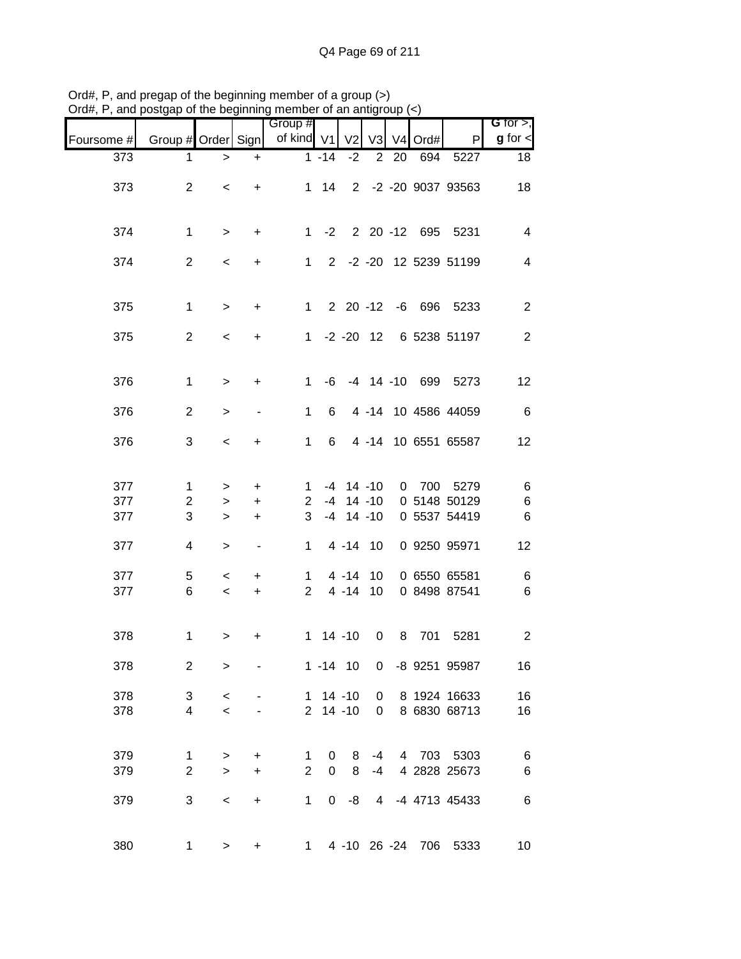|            | and postgap or the beginning member or an antigr |                 |                          |                       |              |                |                |              |                  |                              |                                 |
|------------|--------------------------------------------------|-----------------|--------------------------|-----------------------|--------------|----------------|----------------|--------------|------------------|------------------------------|---------------------------------|
| Foursome # | Group # Order Sign                               |                 |                          | Group #<br>of kind V1 |              | V <sub>2</sub> | V <sub>3</sub> |              | V4 Ord#          | P                            | $G$ for $>$ ,<br>$g$ for $\leq$ |
| 373        | 1                                                | $\, >$          | $\ddot{}$                |                       | $1 - 14$     | $-2$           | $\overline{2}$ | 20           | 694              | 5227                         | 18                              |
| 373        | $\overline{2}$                                   | $\,<\,$         | $\ddot{}$                |                       | $1 \quad 14$ |                |                |              |                  | 2 -2 -20 9037 93563          | 18                              |
| 374        | $\mathbf 1$                                      | $\,>$           | $\ddot{}$                |                       |              |                |                |              |                  | 1 -2 2 20 -12 695 5231       | $\overline{4}$                  |
| 374        | $\overline{2}$                                   | $\,<$           | $\ddot{}$                | $1 \quad$             |              |                |                |              |                  | 2 -2 -20 12 5239 51199       | $\overline{\mathcal{A}}$        |
| 375        | 1                                                | $\,>$           | $\ddot{}$                | $1 \quad$             |              |                |                |              |                  | 2 20 -12 -6 696 5233         | $\overline{c}$                  |
| 375        | $\overline{2}$                                   | $\prec$         | $\ddot{}$                |                       |              |                |                |              |                  | 1 -2 -20 12 6 5238 51197     | 2                               |
| 376        | 1                                                | $\geq$          | +                        | $\mathbf{1}$          | -6           |                |                |              |                  | -4 14 -10 699 5273           | 12                              |
| 376        | $\overline{c}$                                   | $\geq$          |                          | 1                     | 6            |                |                |              |                  | 4 -14 10 4586 44059          | $\,6$                           |
| 376        | 3                                                | $\,<\,$         | $\ddot{}$                | 1                     | 6            |                |                |              |                  | 4 -14 10 6551 65587          | 12                              |
| 377        | $\mathbf 1$                                      | $\, >$          | $\ddot{}$                | 1                     |              | $-4$ 14 $-10$  |                | $\mathbf{0}$ |                  | 700 5279                     | 6                               |
| 377<br>377 | $\overline{c}$<br>3                              | $\,>$<br>$\, >$ | $\ddot{}$<br>$\ddot{}$   | $\overline{2}$<br>3   | $-4$         | $-4$ 14 $-10$  | $14 - 10$      |              |                  | 0 5148 50129<br>0 5537 54419 | $\,6$<br>$\,6$                  |
| 377        | 4                                                | $\, >$          | $\overline{\phantom{a}}$ | $\mathbf{1}$          |              | 4 - 14 10      |                |              |                  | 0 9250 95971                 | 12                              |
| 377        | 5                                                | $\,<\,$         | $\ddot{}$                | $\mathbf{1}$          |              | $4 - 14$       | 10             |              |                  | 0 6550 65581                 | $\,6$                           |
| 377        | 6                                                | $\,<\,$         | $+$                      | $\overline{2}$        |              | $4 - 14$       | 10             |              |                  | 0 8498 87541                 | 6                               |
| 378        | $\mathbf 1$                                      | $\, > \,$       | $\ddot{}$                |                       | $1 14 - 10$  |                | $\mathbf 0$    | 8            | 701              | 5281                         | $\overline{2}$                  |
| 378        | $\overline{c}$                                   | $\geq$          |                          |                       | $1 - 14$ 10  |                | 0              |              |                  | -8 9251 95987                | 16                              |
| 378        | 3                                                | $\,<$           |                          |                       | $1 14 - 10$  |                | 0              |              |                  | 8 1924 16633                 | 16                              |
| 378        | 4                                                | $\,<$           |                          |                       | $2$ 14 -10   |                | 0              |              |                  | 8 6830 68713                 | 16                              |
| 379        | 1                                                | $\, >$          | +                        | $\mathbf{1}$          | 0            | 8              | $-4$           |              |                  | 4 703 5303                   | 6                               |
| 379        | $\overline{2}$                                   | $\,>$           | $\ddot{}$                | $\overline{2}$        | 0            | 8              | -4             |              |                  | 4 2828 25673                 | 6                               |
| 379        | 3                                                | $\,<$           | $\ddot{}$                | $\mathbf{1}$          | $\mathbf{0}$ | -8             |                |              |                  | 4 -4 4713 45433              | $\,6$                           |
| 380        | 1                                                | $\,$            | $\ddot{}$                | 1                     |              |                |                |              | 4 -10 26 -24 706 | 5333                         | 10                              |

Ord#, P, and pregap of the beginning member of a group (>) Ord#, P, and postgap of the beginning member of an antigroup (<)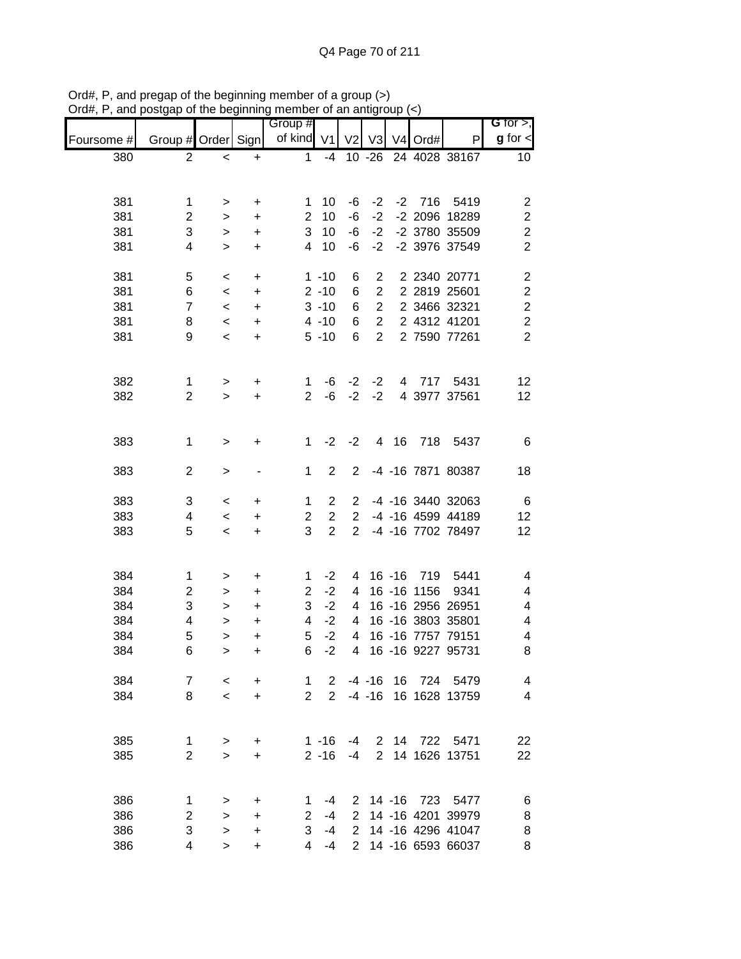| unu        | solgap or the beginning member or an antign |           |           | Group #        |                |                |                | vu v |              |                                        | <b>G</b> for $>$ ,      |
|------------|---------------------------------------------|-----------|-----------|----------------|----------------|----------------|----------------|------|--------------|----------------------------------------|-------------------------|
| Foursome # | Group # Order Sign                          |           |           | of kind V1     |                | V <sub>2</sub> | V <sub>3</sub> |      | V4 Ord#      | P                                      | $g$ for $\lt$           |
| 380        | $\overline{2}$                              | $\,<$     | $\ddot{}$ | 1              | $-4$           |                | $10 - 26$      |      |              | 24 4028 38167                          | 10                      |
|            |                                             |           |           |                |                |                |                |      |              |                                        |                         |
|            |                                             |           |           |                |                |                |                |      |              |                                        |                         |
| 381        | 1                                           | >         | $\ddot{}$ | 1              | 10             | -6             | $-2$           |      | $-2$ 716     | 5419                                   | $\overline{c}$          |
| 381        | $\overline{c}$                              | $\, > \,$ | $\ddot{}$ | $\overline{2}$ | 10             | -6             | $-2$           |      |              | -2 2096 18289                          | $\boldsymbol{2}$        |
| 381        | 3                                           | $\, > \,$ | $\ddot{}$ | 3              | 10             | -6             | $-2$           |      |              | -2 3780 35509                          | $\boldsymbol{2}$        |
| 381        | 4                                           | $\geq$    | $\ddot{}$ | $\overline{4}$ | 10             | -6             | $-2$           |      |              | -2 3976 37549                          | $\overline{2}$          |
| 381        | 5                                           | $\,<$     | $\ddot{}$ |                | $1 - 10$       | 6              | $\overline{c}$ |      |              | 2 2340 20771                           | $\overline{\mathbf{c}}$ |
| 381        | 6                                           | $\,<$     | $\ddot{}$ |                | $2 - 10$       | 6              | $\overline{2}$ |      |              | 2 2819 25601                           | $\boldsymbol{2}$        |
| 381        | $\overline{7}$                              | $\,<\,$   | $\ddot{}$ |                | $3 - 10$       | 6              | $\overline{2}$ |      |              | 2 3466 32321                           | $\boldsymbol{2}$        |
| 381        | 8                                           | $\,<\,$   | $\ddot{}$ |                | $4 - 10$       | 6              | $\overline{2}$ |      |              | 2 4312 41201                           | $\overline{c}$          |
| 381        | 9                                           | $\,<$     | $\ddot{}$ |                | $5 - 10$       | 6              | $\overline{2}$ |      |              | 2 7590 77261                           | $\overline{2}$          |
|            |                                             |           |           |                |                |                |                |      |              |                                        |                         |
|            |                                             |           |           |                |                |                |                |      |              |                                        |                         |
| 382        | $\mathbf{1}$                                | >         | $\ddot{}$ | 1              | -6             | $-2$           | $-2$           |      |              | 4 717 5431                             | 12                      |
| 382        | $\overline{2}$                              | $\geq$    | $\ddot{}$ | $\overline{2}$ | -6             | $-2$           | $-2$           |      |              | 4 3977 37561                           | 12                      |
|            |                                             |           |           |                |                |                |                |      |              |                                        |                         |
|            |                                             |           |           |                |                |                |                |      |              |                                        |                         |
| 383        | 1                                           | $\,$      | +         | $\mathbf 1$    | $-2$           | $-2$           |                | 4 16 |              | 718 5437                               | 6                       |
| 383        | $\overline{c}$                              | >         | -         | 1              | $\overline{2}$ | $\overline{2}$ |                |      |              | -4 -16 7871 80387                      | 18                      |
|            |                                             |           |           |                |                |                |                |      |              |                                        |                         |
| 383        | 3                                           | $\,<\,$   | $\ddot{}$ | 1              | $\overline{2}$ | $\overline{2}$ |                |      |              | -4 -16 3440 32063                      | 6                       |
| 383        | 4                                           | $\,<\,$   | $\ddot{}$ | $\overline{2}$ | $\overline{2}$ | $\overline{2}$ |                |      |              | -4 -16 4599 44189                      | 12                      |
| 383        | 5                                           | $\,<\,$   | $\ddot{}$ | 3              | $\overline{2}$ | 2              |                |      |              | -4 -16 7702 78497                      | 12                      |
|            |                                             |           |           |                |                |                |                |      |              |                                        |                         |
|            |                                             |           |           |                |                |                |                |      |              |                                        |                         |
| 384        | $\mathbf{1}$                                | >         | $\ddot{}$ | 1              | $-2$           | 4              |                |      | 16 -16 719   | 5441                                   | 4                       |
| 384        | $\overline{\mathbf{c}}$                     | >         | $\ddot{}$ | $\overline{2}$ | $-2$           | 4              |                |      | 16 - 16 1156 | 9341                                   | 4                       |
| 384        | 3                                           | $\,>$     | $\ddot{}$ | 3              | $-2$           | 4              |                |      |              | 16 -16 2956 26951                      | 4                       |
| 384        | 4                                           | >         | $\ddot{}$ | 4              | $-2$           | 4              |                |      |              | 16 -16 3803 35801                      | 4                       |
| 384        | 5                                           | $\geq$    | $\ddot{}$ | 5              | $-2$           | $\overline{4}$ |                |      |              | 16 -16 7757 79151                      | 4                       |
| 384        | 6                                           | $\,$      | $\ddot{}$ | 6              | $-2$           | 4              |                |      |              | 16 -16 9227 95731                      | 8                       |
| 384        | 7                                           | $\,<\,$   | $\ddot{}$ | 1              | $\overline{2}$ |                | $-4 - 16$      | 16   |              | 724 5479                               | 4                       |
| 384        | 8                                           | $\,<\,$   | $\ddot{}$ | $\overline{2}$ | $\overline{2}$ |                | $-4 - 16$      |      |              | 16 1628 13759                          | 4                       |
|            |                                             |           |           |                |                |                |                |      |              |                                        |                         |
|            |                                             |           |           |                |                |                |                |      |              |                                        |                         |
| 385        | 1                                           | >         | $\ddot{}$ |                | $1 - 16$       | -4             |                |      |              | 2 14 722 5471                          | 22                      |
| 385        | $\overline{2}$                              | $\geq$    | $\ddot{}$ |                | $2 - 16$       | $-4$           | $\overline{2}$ |      |              | 14 1626 13751                          | 22                      |
|            |                                             |           |           |                |                |                |                |      |              |                                        |                         |
|            |                                             |           |           |                |                |                |                |      |              |                                        |                         |
| 386        | 1                                           | >         | +         | 1.             | -4             | 2              |                |      |              | 14 -16 723 5477                        | 6                       |
| 386        | $\overline{c}$                              | >         | $\ddot{}$ | $\overline{2}$ | -4             | 2<br>2         |                |      |              | 14 -16 4201 39979                      | 8                       |
| 386<br>386 | 3<br>4                                      | >         | +         | 3<br>4         | $-4$<br>-4     | 2              |                |      |              | 14 -16 4296 41047<br>14 -16 6593 66037 | 8<br>8                  |
|            |                                             | $\geq$    | $\ddot{}$ |                |                |                |                |      |              |                                        |                         |

Ord#, P, and pregap of the beginning member of a group (>) Ord#, P, and postgap of the beginning member of an antigroup (<)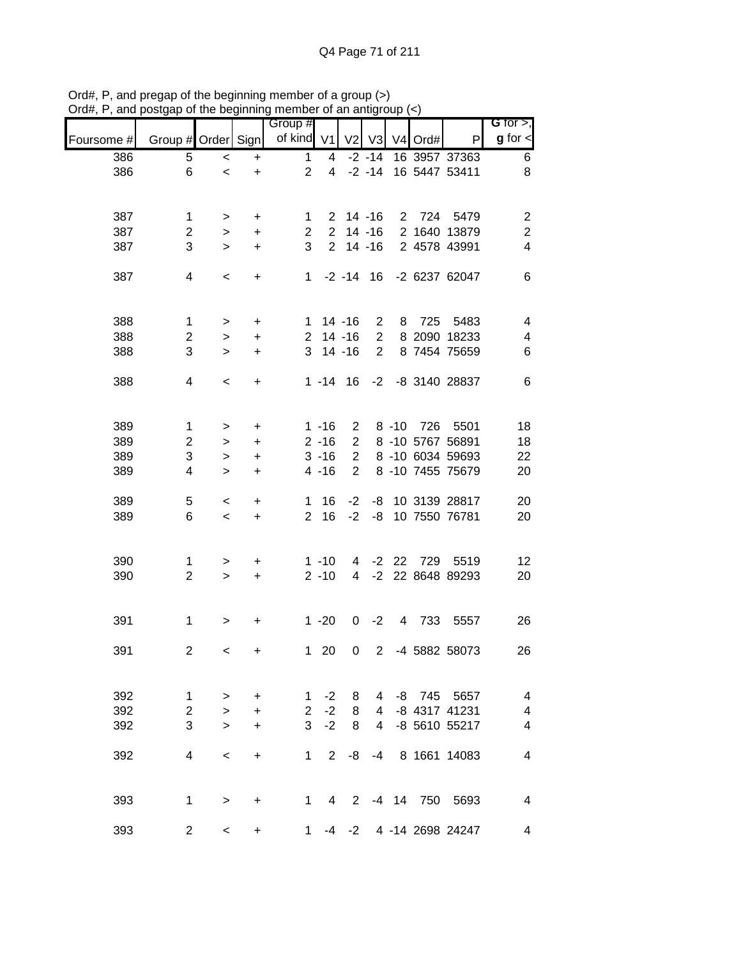|            |                    |                          | .   .     | <br>Group #    |                 |                |                |    |           |                           | G for $>$ ,             |
|------------|--------------------|--------------------------|-----------|----------------|-----------------|----------------|----------------|----|-----------|---------------------------|-------------------------|
| Foursome # | Group # Order Sign |                          |           | of kind V1     |                 |                | $V2$ $V3$      |    | V4 Ord#   | P                         | $g$ for $\leq$          |
| 386        | 5                  | $\,<$                    | +         | $\mathbf{1}$   | 4               |                | $-2 - 14$      |    |           | 16 3957 37363             | 6                       |
| 386        | 6                  | $\,<$                    | +         | $\overline{2}$ | $\overline{4}$  |                | $-2 - 14$      |    |           | 16 5447 53411             | $\,8\,$                 |
|            |                    |                          |           |                |                 |                |                |    |           |                           |                         |
| 387        | 1                  | $\,>$                    | $\ddot{}$ | $1 \quad$      |                 | $2 \t14 - 16$  |                |    |           | 2 724 5479                | $\overline{c}$          |
| 387        | $\overline{c}$     | $\,$                     | $\ddot{}$ | $2^{\circ}$    |                 | $2$ 14 -16     |                |    |           | 2 1640 13879              | $\boldsymbol{2}$        |
| 387        | 3                  | $\geq$                   | $\ddot{}$ | 3              |                 | $2$ 14 -16     |                |    |           | 2 4578 43991              | $\overline{\mathbf{4}}$ |
| 387        | 4                  | $\,<\,$                  | $\ddot{}$ |                |                 |                |                |    |           | 1 -2 -14 16 -2 6237 62047 | 6                       |
|            |                    |                          |           |                |                 |                |                |    |           |                           |                         |
| 388        | $\mathbf{1}$       | $\,$                     | $\ddot{}$ |                |                 | $1 14 - 16$    | $\overline{2}$ |    |           | 8 725 5483                | $\overline{\mathbf{4}}$ |
| 388        | $\overline{2}$     | $\geq$                   | $\ddot{}$ |                |                 | $2$ 14 -16     | $2^{\circ}$    |    |           | 8 2090 18233              | 4                       |
| 388        | 3                  | $\geq$                   | $\ddot{}$ |                |                 | $3$ 14 -16     | $\overline{2}$ |    |           | 8 7454 75659              | 6                       |
| 388        | 4                  | $\,<$                    | $\ddot{}$ |                |                 | $1 - 14$ 16    |                |    |           | -2 -8 3140 28837          | 6                       |
| 389        | $\mathbf{1}$       |                          |           |                | $1 - 16$        |                |                |    |           | 8 -10 726 5501            |                         |
|            |                    | >                        | +         |                |                 | $\overline{2}$ |                |    |           |                           | 18                      |
| 389        | $\mathbf{2}$       | $\,>$                    | +         |                | $2 - 16$        | $\overline{2}$ |                |    |           | 8 -10 5767 56891          | 18                      |
| 389        | 3                  | $\,$                     | $\ddot{}$ |                | $3 - 16$        | $\overline{2}$ |                |    |           | 8 -10 6034 59693          | 22                      |
| 389        | 4                  | $\geq$                   | +         |                | $4 - 16$        | $\overline{2}$ |                |    |           | 8 -10 7455 75679          | 20                      |
| 389        | 5                  | $\,<\,$                  | +         |                | 1 <sub>16</sub> | $-2$           |                |    |           | -8 10 3139 28817          | 20                      |
| 389        | 6                  | $\overline{\phantom{a}}$ | $+$       | $\overline{2}$ | 16              | $-2$           | -8             |    |           | 10 7550 76781             | 20                      |
|            |                    |                          |           |                |                 |                |                |    |           |                           |                         |
| 390        | $\mathbf{1}$       | $\,$                     | $\ddot{}$ |                | $1 - 10$        |                |                |    |           | 4 -2 22 729 5519          | 12                      |
| 390        | $\overline{2}$     | $\geq$                   | $+$       |                | $2 - 10$        |                |                |    |           | 4 -2 22 8648 89293        | 20                      |
|            |                    |                          |           |                |                 |                |                |    |           |                           |                         |
| 391        | $\mathbf 1$        | $\,$                     | +         |                | $1 - 20$        | $\mathbf 0$    | $-2$           |    |           | 4 733 5557                | 26                      |
| 391        | 2                  | $\prec$                  |           | 1              | 20              | 0              | $\overline{2}$ |    |           | -4 5882 58073             | 26                      |
|            |                    |                          |           |                |                 |                |                |    |           |                           |                         |
| 392        | 1                  | >                        | +         | 1              | $-2$            | 8              | 4              | -8 | 745       | 5657                      | 4                       |
| 392        | $\overline{2}$     | $\geq$                   | +         | $\overline{2}$ | $-2$            | 8              | 4              |    |           | -8 4317 41231             | $\overline{\mathbf{4}}$ |
| 392        | 3                  | $\geq$                   | +         | 3              | $-2$            | 8              | 4              |    |           | -8 5610 55217             | 4                       |
| 392        | 4                  | $\,<\,$                  | +         | 1              | $\overline{2}$  | -8             | $-4$           |    |           | 8 1661 14083              | 4                       |
|            |                    |                          |           |                |                 |                |                |    |           |                           |                         |
| 393        | 1                  | $\, > \,$                | +         | 1              | 4               | 2              |                |    | -4 14 750 | 5693                      | $\overline{\mathbf{4}}$ |
| 393        | $\overline{2}$     | $\,<\,$                  | +         | $\mathbf 1$    | -4              | $-2$           |                |    |           | 4 -14 2698 24247          | 4                       |

Ord#, P, and pregap of the beginning member of a group (>) Ord#, P, and postgap of the beginning member of an antigroup (<)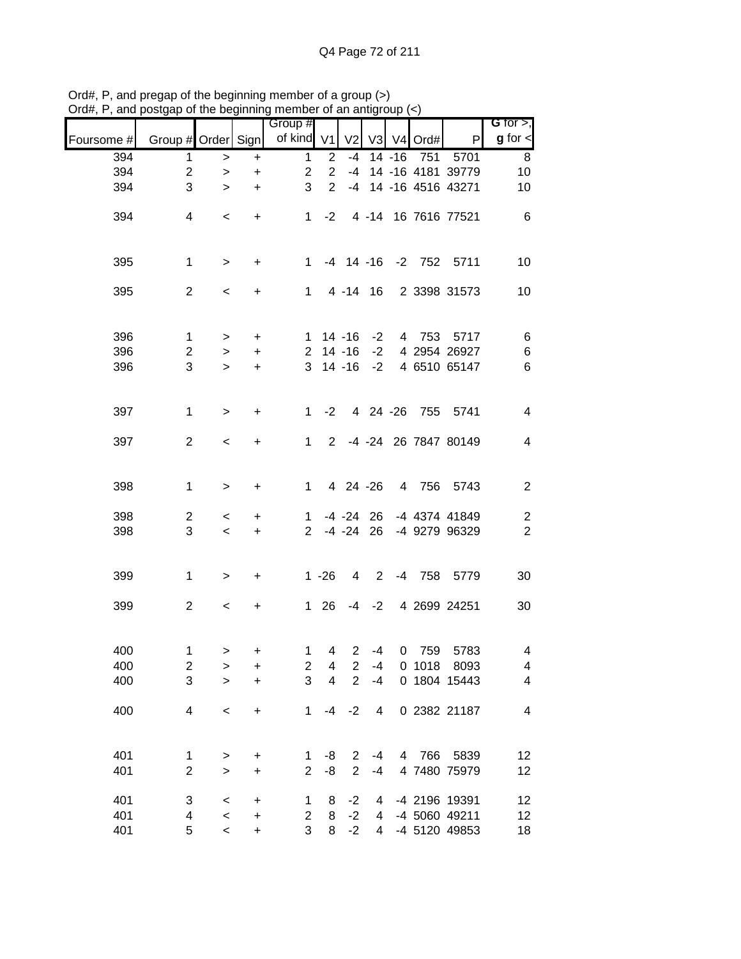|            |                         |           | .         | <br>Group #             |                         |                |             |           |            |                         | G for $>$ ,             |
|------------|-------------------------|-----------|-----------|-------------------------|-------------------------|----------------|-------------|-----------|------------|-------------------------|-------------------------|
| Foursome # | Group # Order Sign      |           |           | of kind V1              |                         | V <sub>2</sub> |             |           | V3 V4 Ord# | P                       | $g$ for $\lt$           |
| 394        | 1                       | $\, >$    | +         | $\mathbf{1}$            | $\mathbf{2}$            | $-4$           |             | $14 - 16$ | 751        | 5701                    | 8                       |
| 394        | $\boldsymbol{2}$        | $\,>$     | $\ddot{}$ | $\overline{c}$          | $\overline{2}$          | -4             |             |           |            | 14 -16 4181 39779       | 10                      |
| 394        | 3                       | $\geq$    | $\ddot{}$ | 3                       | $\overline{2}$          |                |             |           |            | -4 14 -16 4516 43271    | 10                      |
| 394        | 4                       | $\,<$     | $+$       |                         | $1 -2$                  |                |             |           |            | 4 -14 16 7616 77521     | 6                       |
| 395        | $\mathbf 1$             | $\,>$     | $\ddot{}$ |                         |                         |                |             |           |            | 1 -4 14 -16 -2 752 5711 | 10                      |
| 395        | $\overline{2}$          | $\,<$     | +         |                         |                         | $1 4 - 14 16$  |             |           |            | 2 3398 31573            | 10                      |
| 396        | $\mathbf{1}$            | $\geq$    | $+$       |                         |                         | $1 14 - 16$    | $-2$        |           |            | 4 753 5717              | $\,6$                   |
| 396        | $\overline{c}$          | $\,>$     | $+$       |                         |                         | $2$ 14 -16     | $-2$        |           |            | 4 2954 26927            | $\,6$                   |
| 396        | 3                       | $\geq$    | $+$       |                         |                         | $3 \t14 \t-16$ | $-2$        |           |            | 4 6510 65147            | $\,6$                   |
| 397        | 1                       | $\geq$    | +         | 1                       | $-2$                    |                |             |           |            | 4 24 -26 755 5741       | $\overline{\mathbf{4}}$ |
| 397        | $\overline{2}$          | $\,<$     | +         | $1 \quad$               | 2                       |                |             |           |            | -4 -24 26 7847 80149    | $\overline{\mathbf{4}}$ |
| 398        | 1                       | $\, > \,$ | $\ddot{}$ | $1 \quad$               |                         | 4 24 -26       |             |           |            | 4 756 5743              | $\overline{2}$          |
| 398        | $\overline{c}$          | $\,<$     | +         | $\mathbf{1}$            |                         | $-4 - 24$ 26   |             |           |            | -4 4374 41849           | $\boldsymbol{2}$        |
| 398        | 3                       | $\,<\,$   | $\ddot{}$ | $2^{\circ}$             |                         | $-4 -24$       | 26          |           |            | -4 9279 96329           | $\sqrt{2}$              |
| 399        | 1                       | $\,$      | +         |                         | $1 - 26$                | 4              | $2^{\circ}$ |           |            | -4 758 5779             | 30                      |
| 399        | $\overline{2}$          | $\,<$     | +         |                         | $1 \quad 26$            |                |             |           |            | -4 -2 4 2699 24251      | 30                      |
| 400        | 1                       | $\geq$    | +         | 1                       | 4                       | $\overline{2}$ | $-4$        |           | 0 759      | 5783                    | 4                       |
| 400        | $\overline{\mathbf{c}}$ | $\,$      | $\ddot{}$ | $\overline{\mathbf{c}}$ | 4                       | 2              | $-4$        |           | 0 1018     | 8093                    | 4                       |
| 400        | 3                       | $\geq$    | $\ddot{}$ | 3                       | $\overline{\mathbf{4}}$ | $\overline{2}$ | $-4$        |           |            | 0 1804 15443            | 4                       |
| 400        | 4                       | $\,<$     | $\ddot{}$ | 1                       | $-4$                    | $-2$           | 4           |           |            | 0 2382 21187            | $\overline{\mathbf{4}}$ |
| 401        | 1                       | $\geq$    | $\ddot{}$ | 1                       | -8                      | 2              | -4          |           | 4 766      | 5839                    | 12                      |
| 401        | $\mathbf 2$             | $\geq$    | $\ddot{}$ | $\overline{2}$          | -8                      | $\overline{2}$ | $-4$        |           |            | 4 7480 75979            | 12                      |
| 401        | 3                       | $\,<$     | $\ddot{}$ | 1                       | 8                       | $-2$           | 4           |           |            | -4 2196 19391           | 12                      |
| 401        | 4                       | $\,<$     | $\ddot{}$ | $\overline{2}$          | 8                       | $-2$           | 4           |           |            | -4 5060 49211           | 12                      |
| 401        | 5                       | $\,<$     | $\ddot{}$ | 3                       | 8                       | $-2$           | 4           |           |            | -4 5120 49853           | 18                      |

Ord#, P, and pregap of the beginning member of a group (>) Ord#, P, and postgap of the beginning member of an antigroup (<)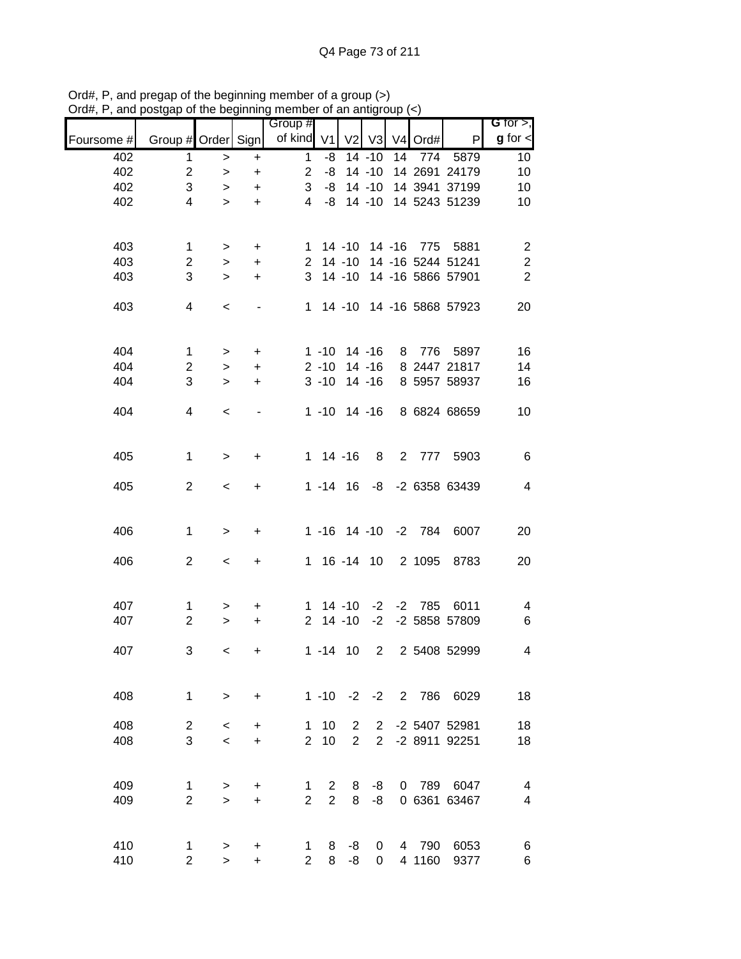| univ       | oolgap or the beginning |           |                                  | 11011001<br>Group # |                | u un unuy         |                       |             |                     |                            | G for $>$ ,              |
|------------|-------------------------|-----------|----------------------------------|---------------------|----------------|-------------------|-----------------------|-------------|---------------------|----------------------------|--------------------------|
| Foursome # | Group # Order Sign      |           |                                  | of kind V1          |                |                   | $V2$ $V3$             |             | V4 Ord#             | $\mathsf{P}$               | $g$ for $\lt$            |
| 402        | 1                       | $\,$      | $\ddot{}$                        | $\mathbf 1$         | -8             |                   | $14 - 10$             | 14          | 774                 | 5879                       | 10 <sup>°</sup>          |
| 402        | $\overline{2}$          | $\, >$    | $\begin{array}{c} + \end{array}$ | $\overline{2}$      |                | $-8$ 14 $-10$     |                       |             |                     | 14 2691 24179              | 10                       |
| 402        | 3                       | $\, > \,$ | $\ddot{}$                        | 3                   |                | $-8$ 14 $-10$     |                       |             |                     | 14 3941 37199              | 10                       |
| 402        | 4                       | $\geq$    | $+$                              | $\overline{4}$      | -8             |                   |                       |             |                     | 14 -10 14 5243 51239       | 10                       |
|            |                         |           |                                  |                     |                |                   |                       |             |                     |                            |                          |
| 403        | $\mathbf 1$             | $\, >$    | $+$                              |                     |                |                   |                       |             |                     | 1 14 -10 14 -16 775 5881   | $\overline{c}$           |
| 403        | $\overline{c}$          | $\, >$    | $+$                              |                     |                |                   |                       |             |                     | 2 14 -10 14 -16 5244 51241 | $\sqrt{2}$               |
| 403        | 3                       | $\geq$    | $+$                              |                     |                |                   |                       |             |                     | 3 14 -10 14 -16 5866 57901 | $\overline{2}$           |
| 403        | 4                       | $\,<$     |                                  |                     |                |                   |                       |             |                     | 1 14 -10 14 -16 5868 57923 | 20                       |
| 404        | $\mathbf{1}$            | $\, >$    | $+$                              |                     |                | $1 - 10$ 14 $-16$ |                       |             |                     | 8 776 5897                 | 16                       |
| 404        | $\overline{2}$          | $\geq$    | $+$                              |                     | $2 - 10$       |                   | $14 - 16$             |             |                     | 8 2447 21817               | 14                       |
| 404        | 3                       | $\geq$    | $\ddot{}$                        |                     | $3 - 10$       |                   | $14 - 16$             |             |                     | 8 5957 58937               | 16                       |
| 404        | 4                       | $\,<$     |                                  |                     |                |                   |                       |             |                     | 1 -10 14 -16 8 6824 68659  | 10                       |
| 405        | $\mathbf{1}$            | $\geq$    | +                                |                     |                | $1 14 - 16$       | 8                     |             |                     | 2 777 5903                 | 6                        |
| 405        | $\overline{2}$          | $\,<$     | $+$                              |                     |                |                   |                       |             |                     | 1 -14 16 -8 -2 6358 63439  | $\overline{\mathcal{A}}$ |
| 406        | $\mathbf 1$             | $\geq$    | $\ddot{}$                        |                     |                |                   |                       |             | 1 -16 14 -10 -2 784 | 6007                       | 20                       |
| 406        | $\overline{2}$          | $\,<\,$   | $\ddot{}$                        |                     |                |                   |                       |             | 1 16 -14 10 2 1095  | 8783                       | 20                       |
| 407        | $\mathbf{1}$            | >         | $\ddot{}$                        |                     |                |                   |                       |             |                     | 1 14 -10 -2 -2 785 6011    | $\overline{\mathcal{A}}$ |
| 407        | $\overline{2}$          | $\, > \,$ | $\ddot{}$                        |                     |                | $2$ 14 -10        |                       |             |                     | -2 -2 5858 57809           | 6                        |
| 407        | 3                       | $\,<\,$   | +                                |                     |                | $1 - 14$ 10       |                       | $2^{\circ}$ |                     | 2 5408 52999               | 4                        |
| 408        | $\mathbf{1}$            | $\geq$    | $\ddot{}$                        |                     | $1 - 10$       |                   | $-2 -2$               |             | 2 786               | 6029                       | 18                       |
| 408        | $\overline{2}$          | $\,<\,$   | +                                | 1.                  | 10             | 2                 | $\mathbf{2}^{\prime}$ |             |                     | -2 5407 52981              | 18                       |
| 408        | 3                       | $\,<$     | $\ddot{}$                        | $\overline{2}$      | 10             | $\overline{2}$    | $\overline{2}$        |             |                     | -2 8911 92251              | 18                       |
|            |                         |           |                                  |                     |                |                   |                       |             |                     |                            |                          |
| 409        | $\mathbf{1}$            | $\, > \,$ | +                                | $\mathbf 1$         | $\overline{2}$ | 8                 | -8                    |             |                     | 0 789 6047                 | 4                        |
| 409        | $\overline{2}$          | $\geq$    | $\ddot{}$                        | $\overline{2}$      | $\overline{2}$ | 8                 | -8                    |             |                     | 0 6361 63467               | 4                        |
| 410        | $\mathbf{1}$            | >         | +                                | 1                   | 8              | -8                | 0                     |             | 4 790               | 6053                       | 6                        |
| 410        | $\overline{2}$          | $\geq$    | $\ddot{}$                        | $\overline{2}$      | 8              | -8                | 0                     |             | 4 1160              | 9377                       | 6                        |

Ord#, P, and pregap of the beginning member of a group (>) Ord#, P, and postgap of the beginning member of an antigroup (<)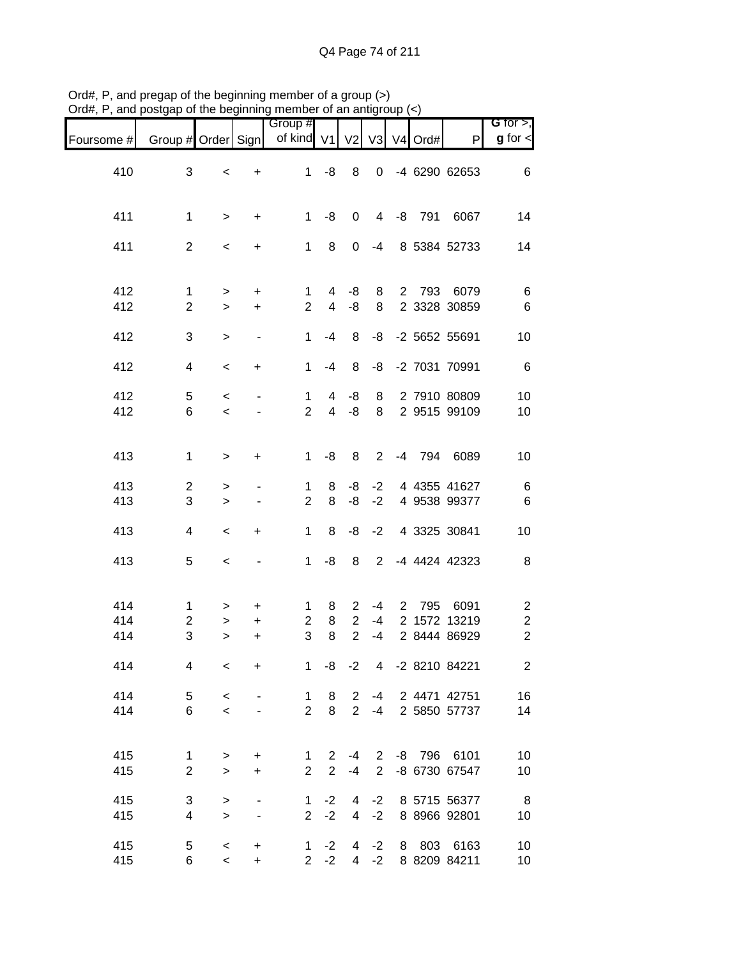|                   |                                              |                        |                        | Group #                        |                                  |                                       |                                  |             |          |                                      | G for $>$ ,                                                 |
|-------------------|----------------------------------------------|------------------------|------------------------|--------------------------------|----------------------------------|---------------------------------------|----------------------------------|-------------|----------|--------------------------------------|-------------------------------------------------------------|
| Foursome #        | Group # Order Sign                           |                        |                        | of kind                        | V <sub>1</sub>                   | V <sub>2</sub>                        | V3                               |             | V4 Ord#  | P                                    | $g$ for $\lt$                                               |
| 410               | $\sqrt{3}$                                   | $\,<$                  | $\ddot{}$              | $\mathbf{1}$                   | -8                               | 8                                     | 0                                |             |          | -4 6290 62653                        | 6                                                           |
| 411               | $\mathbf 1$                                  | $\, >$                 | $\ddot{}$              | 1                              | -8                               | 0                                     | 4                                |             | $-8$ 791 | 6067                                 | 14                                                          |
| 411               | $\overline{c}$                               | $\,<$                  | +                      | $\mathbf 1$                    | 8                                | 0                                     | $-4$                             |             |          | 8 5384 52733                         | 14                                                          |
| 412<br>412        | $\mathbf{1}$<br>$\overline{2}$               | $\,$<br>$\mathbf{L}$   | $\ddot{}$<br>$\ddot{}$ | 1<br>$\overline{2}$            | 4<br>$\overline{4}$              | -8<br>-8                              | 8<br>8                           | $2^{\circ}$ | 793      | 6079<br>2 3328 30859                 | 6<br>$\,6$                                                  |
| 412               | 3                                            | $\geq$                 | $\blacksquare$         | 1                              | $-4$                             | 8                                     | -8                               |             |          | -2 5652 55691                        | 10                                                          |
| 412               | 4                                            | $\,<$                  | $\ddot{}$              | 1                              | $-4$                             | 8                                     | -8                               |             |          | -2 7031 70991                        | $\,6$                                                       |
| 412<br>412        | $\mathbf 5$<br>6                             | $\,<$<br>$\prec$       |                        | $\mathbf 1$<br>$\overline{2}$  | 4<br>$\overline{4}$              | -8<br>-8                              | 8<br>8                           |             |          | 2 7910 80809<br>2 9515 99109         | 10<br>10                                                    |
| 413               | 1                                            | $\geq$                 | +                      | 1                              | -8                               | 8                                     | $\overline{2}$                   | -4          | 794      | 6089                                 | 10                                                          |
| 413<br>413        | $\overline{\mathbf{c}}$<br>3                 | $\, > \,$<br>$\geq$    |                        | 1<br>$\overline{2}$            | 8<br>8                           | -8<br>-8                              | $-2$<br>$-2$                     |             |          | 4 4355 41627<br>4 9538 99377         | $\,6$<br>$\,6$                                              |
| 413               | 4                                            | $\,<$                  | $\ddot{}$              | 1                              | 8                                | -8                                    | $-2$                             |             |          | 4 3325 30841                         | 10                                                          |
| 413               | 5                                            | $\,<$                  |                        | $\mathbf 1$                    | -8                               | 8                                     | $\overline{2}$                   |             |          | -4 4424 42323                        | 8                                                           |
| 414<br>414<br>414 | $\mathbf{1}$<br>$\overline{\mathbf{c}}$<br>3 | ><br>$\,>$<br>$\geq$   | +<br>+<br>+            | 1<br>$\overline{c}$<br>3       | 8<br>8<br>8                      | 2<br>$\overline{2}$<br>$\overline{2}$ | $-4$<br>$-4$<br>$-4$             | 2           | 795      | 6091<br>2 1572 13219<br>2 8444 86929 | $\overline{\mathbf{c}}$<br>$\overline{c}$<br>$\overline{2}$ |
| 414               | 4                                            | $\,<$                  | $\ddot{}$              | $\mathbf 1$                    | -8                               | $-2$                                  |                                  |             |          | 4 -2 8210 84221                      | $\overline{2}$                                              |
| 414<br>414        | 5<br>6                                       | $\,<$<br>$\prec$       |                        | 1<br>$\overline{2}$            | 8<br>8                           | 2<br>$\overline{2}$                   | -4<br>$-4$                       |             |          | 2 4471 42751<br>2 5850 57737         | 16<br>14                                                    |
| 415<br>415        | 1<br>$\sqrt{2}$                              | $\geq$<br>$\mathbf{L}$ | $\ddot{}$<br>$\ddot{}$ | $\mathbf 1$<br>$\overline{2}$  | $\overline{2}$<br>$\overline{2}$ | -4<br>$-4$                            | $\overline{2}$<br>$\overline{2}$ |             | $-8$ 796 | 6101<br>-8 6730 67547                | 10<br>10                                                    |
| 415<br>415        | 3<br>4                                       | $\geq$<br>$\mathbf{L}$ | $\blacksquare$         | $\mathbf{1}$<br>$\overline{2}$ | $-2$<br>$-2$                     | 4<br>$\overline{4}$                   | $-2$<br>$-2$                     |             |          | 8 5715 56377<br>8 8966 92801         | $\boldsymbol{8}$<br>10                                      |
| 415<br>415        | 5<br>6                                       | $\prec$<br>$\prec$     | $\ddot{}$<br>$\ddot{}$ | $\mathbf{1}$<br>$\overline{2}$ | $-2$<br>$-2$                     | 4<br>$\overline{4}$                   | $-2$<br>$-2$                     | 8           |          | 803 6163<br>8 8209 84211             | 10<br>10                                                    |

Ord#, P, and pregap of the beginning member of a group (>) Ord#, P, and postgap of the beginning member of an antigroup (<)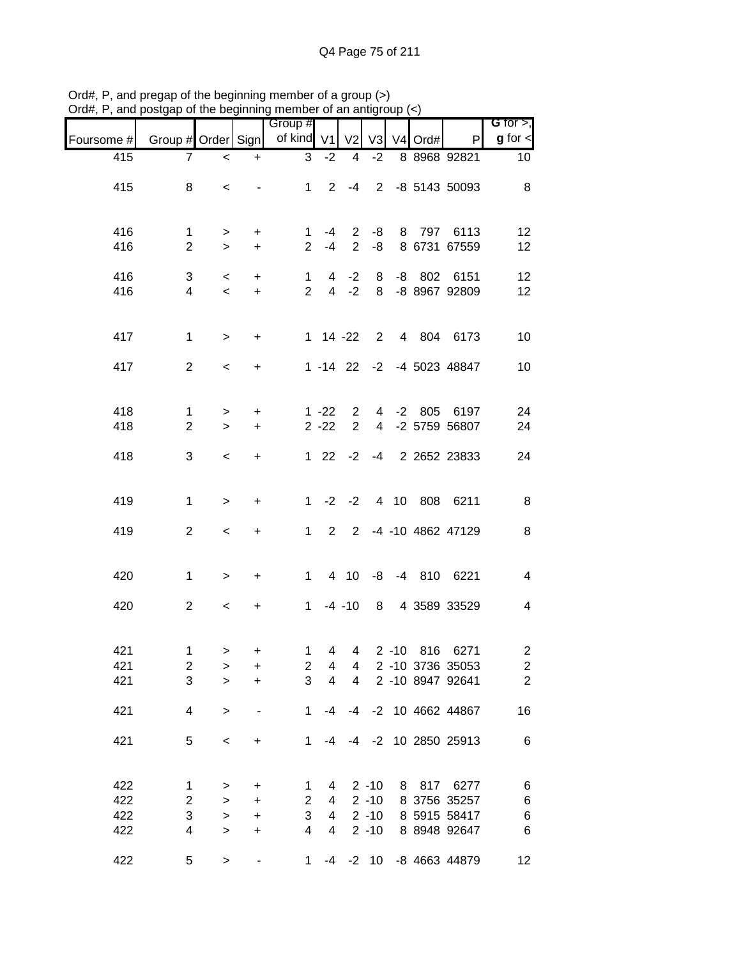|            |                         | $\sim$          | .   . 9                          | <br>Group #                    |                | . טוויש              |                |   |          |                           | G for $>$ ,             |
|------------|-------------------------|-----------------|----------------------------------|--------------------------------|----------------|----------------------|----------------|---|----------|---------------------------|-------------------------|
| Foursome # | Group # Order Sign      |                 |                                  | of kind V1 V2                  |                |                      | V <sub>3</sub> |   | V4 Ord#  | P                         | $g$ for $\lt$           |
| 415        | 7                       | $\,<\,$         | $\ddot{}$                        | 3                              | $-2$           | $\overline{4}$       | $-2$           |   |          | 8 8968 92821              | 10 <sup>°</sup>         |
| 415        | 8                       | $\,<\,$         |                                  | $1 \quad$                      |                | $2 - 4$              |                |   |          | 2 -8 5143 50093           | 8                       |
|            |                         |                 |                                  |                                |                |                      |                |   |          |                           |                         |
| 416        | 1                       |                 | $\ddot{}$                        | 1.                             | $-4$           | $\mathbf{2}^{\circ}$ | -8             | 8 |          | 797 6113                  | 12                      |
| 416        | $\overline{2}$          | $\,>$<br>$\geq$ | $+$                              | $\overline{2}$                 | $-4$           | $\overline{2}$       | -8             |   |          | 8 6731 67559              | 12                      |
|            |                         |                 |                                  |                                |                |                      |                |   |          |                           |                         |
| 416<br>416 | 3<br>4                  | $\,<$<br>$\,<$  | $+$<br>$+$                       | $\mathbf{1}$<br>$\overline{2}$ |                | $4 -2$<br>$4 -2$     | 8<br>8         |   | $-8$ 802 | 6151<br>-8 8967 92809     | 12<br>12                |
|            |                         |                 |                                  |                                |                |                      |                |   |          |                           |                         |
| 417        | $\mathbf 1$             | $\,>$           | $+$                              |                                | $1 14 -22$     |                      |                |   |          | 2 4 804 6173              | 10                      |
|            |                         |                 |                                  |                                |                |                      |                |   |          |                           |                         |
| 417        | $\overline{2}$          | $\,<$           | $+$                              |                                |                |                      |                |   |          | 1 -14 22 -2 -4 5023 48847 | 10                      |
|            |                         |                 |                                  |                                |                |                      |                |   |          |                           |                         |
| 418        | $\mathbf{1}$            | $\, >$          | $\ddot{}$                        |                                | $1 - 22$       | 2                    |                |   | 4 -2 805 | 6197                      | 24                      |
| 418        | $\overline{2}$          | $\,>$           | $\ddot{}$                        |                                | $2 - 22$       | $\overline{2}$       |                |   |          | 4 -2 5759 56807           | 24                      |
| 418        | 3                       | $\,<$           | $+$                              |                                |                |                      |                |   |          | 1 22 -2 -4 2 2652 23833   | 24                      |
|            |                         |                 |                                  |                                |                |                      |                |   |          |                           |                         |
| 419        | $\mathbf{1}$            | $\, >$          | $\ddot{}$                        | $1 \quad$                      |                | $-2 -2$              |                |   |          | 4 10 808 6211             | $\, 8$                  |
| 419        | $\overline{2}$          |                 |                                  | 1                              | $\overline{2}$ |                      |                |   |          | 2 -4 -10 4862 47129       | $\,8\,$                 |
|            |                         | $\,<$           | $+$                              |                                |                |                      |                |   |          |                           |                         |
|            |                         |                 |                                  |                                |                |                      |                |   |          |                           |                         |
| 420        | 1                       | $\,>$           | $\ddot{}$                        |                                | $1 \quad$      |                      |                |   |          | 4 10 -8 -4 810 6221       | $\overline{\mathbf{4}}$ |
| 420        | $\overline{2}$          | $\,<$           | $+$                              |                                | $1 - 4 - 10$   |                      |                |   |          | 8 4 3589 33529            | $\overline{\mathbf{4}}$ |
|            |                         |                 |                                  |                                |                |                      |                |   |          |                           |                         |
| 421        | 1                       | $\, >$          | $\ddot{}$                        | 1                              | $\overline{4}$ | $\overline{4}$       |                |   |          | 2 -10 816 6271            | $\overline{\mathbf{c}}$ |
| 421        | $\overline{\mathbf{c}}$ | $\geq$          | $\begin{array}{c} + \end{array}$ | $\overline{c}$                 | 4              | 4                    |                |   |          | 2 -10 3736 35053          | $\frac{2}{2}$           |
| 421        | 3                       | $\geq$          | $\ddot{}$                        | 3                              | $\overline{4}$ | $\overline{4}$       |                |   |          | 2 -10 8947 92641          |                         |
| 421        | 4                       | $\geq$          |                                  | $\mathbf{1}$                   | -4             | -4                   |                |   |          | -2 10 4662 44867          | 16                      |
|            |                         |                 |                                  |                                |                |                      |                |   |          |                           |                         |
| 421        | 5                       | $\,<$           | $\ddot{}$                        | $\mathbf 1$                    | -4             |                      |                |   |          | -4 -2 10 2850 25913       | $\,6$                   |
|            |                         |                 |                                  |                                |                |                      |                |   |          |                           |                         |
| 422        | 1                       | $\,>$           | $\ddot{}$                        | $\mathbf{1}$                   | 4              |                      | $2 - 10$       |   | 8 817    | 6277                      | 6                       |
| 422        | $\overline{\mathbf{c}}$ | $\,$            | $\ddot{}$                        | $\overline{2}$                 | 4              |                      | $2 - 10$       |   |          | 8 3756 35257              | 6                       |
| 422        | 3                       | $\geq$          | $\ddot{}$                        | 3                              | 4              |                      | $2 - 10$       |   |          | 8 5915 58417              | 6                       |
| 422        | 4                       | $\,>$           | $\ddot{}$                        | $\overline{4}$                 | $\overline{4}$ |                      | $2 - 10$       |   |          | 8 8948 92647              | $\,6$                   |
| 422        | 5                       | $\geq$          | $\qquad \qquad \blacksquare$     | $\mathbf{1}$                   | $-4$           |                      | $-2$ 10        |   |          | -8 4663 44879             | 12                      |

Ord#, P, and pregap of the beginning member of a group (>) Ord#, P, and postgap of the beginning member of an antigroup (<)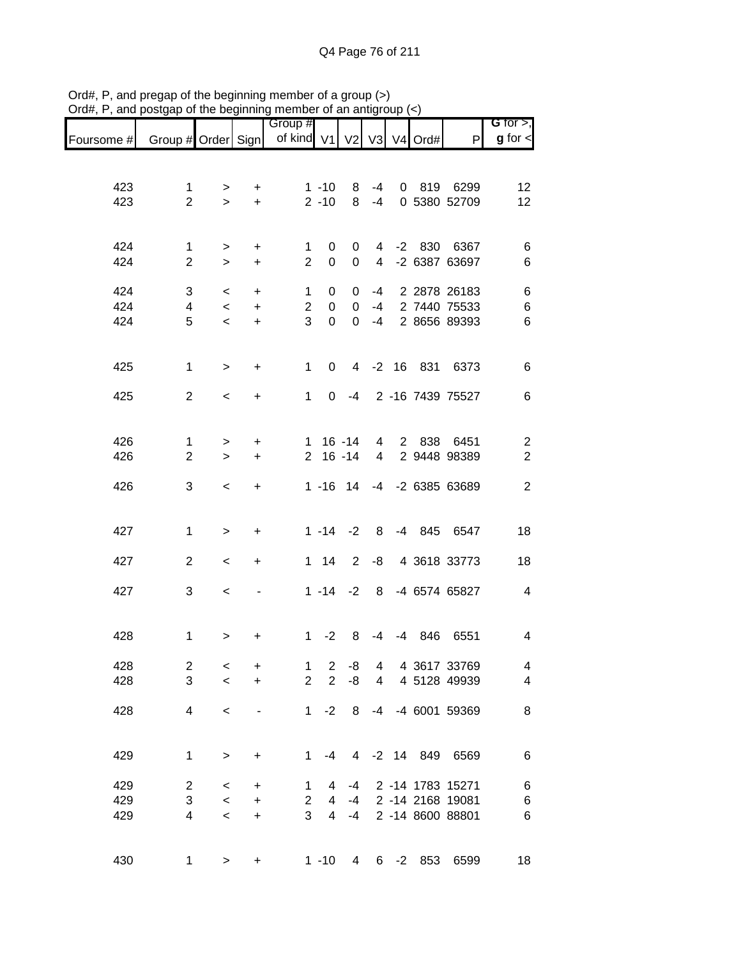|            |                     |             |                          | Group #                              |                      |                |                |        |                     |                            | G for $>$ ,                  |
|------------|---------------------|-------------|--------------------------|--------------------------------------|----------------------|----------------|----------------|--------|---------------------|----------------------------|------------------------------|
| Foursome # |                     |             |                          | Group # Order Sign   of kind V1   V2 |                      |                | V3             |        | V <sub>4</sub> Ord# | P                          | $g$ for $\lt$                |
|            |                     |             |                          |                                      |                      |                |                |        |                     |                            |                              |
|            |                     |             |                          |                                      |                      |                |                |        |                     |                            |                              |
| 423<br>423 | 1<br>$\overline{2}$ | ><br>$\geq$ | +<br>$+$                 |                                      | $1 - 10$<br>$2 - 10$ | 8<br>8         | $-4$<br>$-4$   |        |                     | 0 819 6299<br>0 5380 52709 | 12<br>12                     |
|            |                     |             |                          |                                      |                      |                |                |        |                     |                            |                              |
|            |                     |             |                          |                                      |                      |                |                |        |                     |                            |                              |
| 424        | 1                   | >           | +                        | 1                                    | 0                    | 0              |                |        |                     | 4 -2 830 6367              | 6                            |
| 424        | $\overline{2}$      | $\geq$      | $\ddot{}$                | $\overline{2}$                       | $\boldsymbol{0}$     | $\mathbf 0$    | $\overline{4}$ |        |                     | -2 6387 63697              | $\,6$                        |
| 424        | 3                   | $\,<\,$     | $\ddot{}$                | 1                                    | 0                    | 0              | $-4$           |        |                     | 2 2878 26183               | 6                            |
| 424        | 4                   | $\,<$       | $\ddot{}$                | $\overline{c}$                       | $\boldsymbol{0}$     | 0              |                |        |                     | -4 2 7440 75533            | $\,$ 6 $\,$                  |
| 424        | 5                   | $\,<$       | $\ddot{}$                | 3                                    | $\mathbf 0$          | $\mathbf 0$    | $-4$           |        |                     | 2 8656 89393               | 6                            |
|            |                     |             |                          |                                      |                      |                |                |        |                     |                            |                              |
| 425        | $\mathbf 1$         | $\, > \,$   | +                        | 1                                    | 0                    | $\overline{4}$ |                |        |                     | -2 16 831 6373             | 6                            |
|            |                     |             |                          |                                      |                      |                |                |        |                     |                            |                              |
| 425        | $\overline{2}$      | $\,<\,$     | +                        | 1                                    | 0                    |                |                |        |                     | -4 2 -16 7439 75527        | 6                            |
|            |                     |             |                          |                                      |                      |                |                |        |                     |                            |                              |
| 426        | $\mathbf 1$         |             |                          | 1.                                   |                      | 16 -14         | $\overline{4}$ |        |                     | 2 838 6451                 |                              |
| 426        | $\overline{2}$      | ><br>$\geq$ | $\ddot{}$<br>$\ddot{}$   | $\overline{2}$                       | $16 - 14$            |                | $\overline{4}$ |        |                     | 2 9448 98389               | $\overline{c}$<br>$\sqrt{2}$ |
|            |                     |             |                          |                                      |                      |                |                |        |                     |                            |                              |
| 426        | 3                   | $\,<\,$     | $\ddot{}$                |                                      |                      | $1 - 16$ 14    |                |        |                     | -4 -2 6385 63689           | $\overline{2}$               |
|            |                     |             |                          |                                      |                      |                |                |        |                     |                            |                              |
| 427        | 1                   | $\, > \,$   | $\ddot{}$                |                                      | $1 - 14$             | $-2$           | 8              |        |                     | -4 845 6547                | 18                           |
|            |                     |             |                          |                                      |                      |                |                |        |                     |                            |                              |
| 427        | $\mathbf{2}$        | $\,<\,$     | $\ddot{}$                | 1                                    | 14                   | 2              | -8             |        |                     | 4 3618 33773               | 18                           |
|            |                     |             |                          |                                      |                      |                |                |        |                     |                            |                              |
| 427        | 3                   | $\,<\,$     | $\overline{\phantom{a}}$ |                                      | $1 - 14$             | $-2$           | 8              |        |                     | -4 6574 65827              | 4                            |
|            |                     |             |                          |                                      |                      |                |                |        |                     |                            |                              |
| 428        | $\mathbf{1}$        | >           | +                        | $\mathbf 1$                          | $-2$                 | 8              | -4             | $-4$   | 846                 | 6551                       | 4                            |
|            |                     |             |                          |                                      |                      |                |                |        |                     |                            |                              |
| 428        | $\overline{c}$      | $\prec$     | $\ddot{}$                | $\mathbf{1}$                         | $\overline{c}$       | -8             | 4              |        |                     | 4 3617 33769               | $\overline{\mathbf{4}}$      |
| 428        | 3                   | $\prec$     | $\ddot{}$                | $\overline{2}$                       | $\overline{2}$       | -8             | $\overline{4}$ |        |                     | 4 5128 49939               | 4                            |
| 428        | 4                   | $\prec$     |                          | $\mathbf 1$                          | $-2$                 | 8              |                |        |                     | -4 -4 6001 59369           | 8                            |
|            |                     |             |                          |                                      |                      |                |                |        |                     |                            |                              |
|            |                     |             |                          |                                      |                      |                |                |        |                     |                            |                              |
| 429        | $\mathbf{1}$        | $\, > \,$   | +                        | 1                                    | $-4$                 |                |                |        |                     | 4 -2 14 849 6569           | 6                            |
| 429        | $\overline{2}$      | $\,<\,$     | +                        | 1                                    | 4                    | -4             |                |        |                     | 2 -14 1783 15271           | 6                            |
| 429        | 3                   | $\,<$       | $\ddot{}$                | $\mathbf{2}$                         | 4                    | -4             |                |        |                     | 2 -14 2168 19081           | 6                            |
| 429        | 4                   | $\,<$       | $\ddot{}$                | 3                                    | 4                    | -4             |                |        |                     | 2 -14 8600 88801           | $6\phantom{1}6$              |
|            |                     |             |                          |                                      |                      |                |                |        |                     |                            |                              |
| 430        |                     |             |                          |                                      | $1 - 10$             |                |                | $6 -2$ | 853                 | 6599                       | 18                           |
|            | 1                   | $\, > \,$   | $\ddot{}$                |                                      |                      | $\overline{4}$ |                |        |                     |                            |                              |

Ord#, P, and pregap of the beginning member of a group (>) Ord#, P, and postgap of the beginning member of an antigroup (<)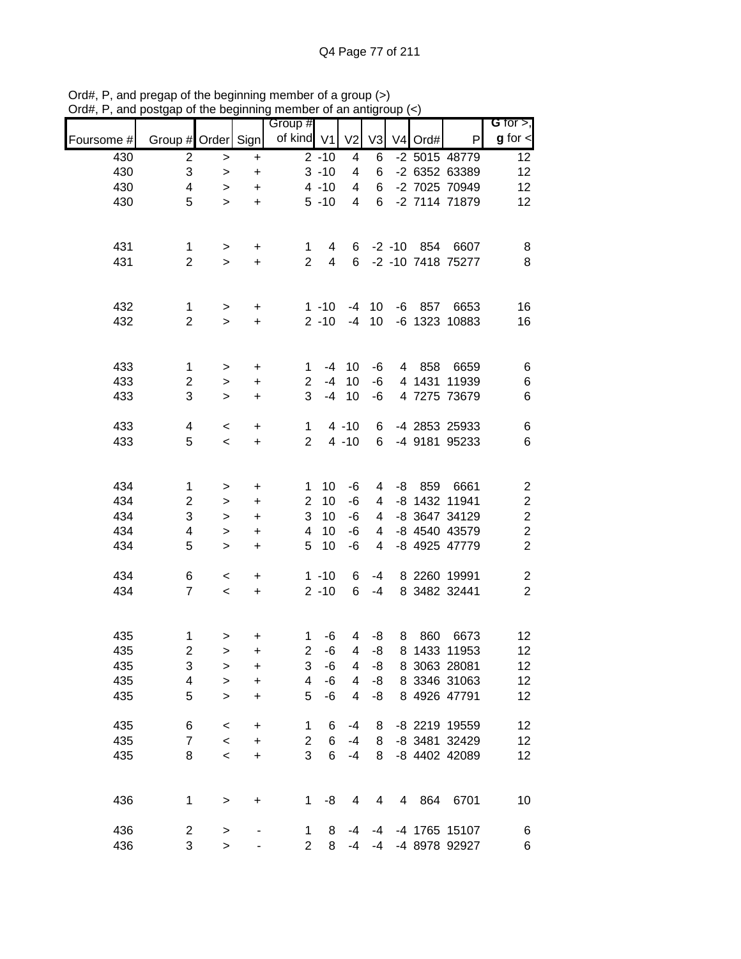|            |                           |              | .   . 9   | Group #        |                |                         |                |                |           |                   | G for $>$ ,             |
|------------|---------------------------|--------------|-----------|----------------|----------------|-------------------------|----------------|----------------|-----------|-------------------|-------------------------|
| Foursome # | Group # Order Sign        |              |           | of kind V1     |                | V <sub>2</sub>          | V <sub>3</sub> |                | $V4$ Ord# | $\mathsf{P}$      | $g$ for $\lt$           |
| 430        | $\overline{2}$            | $\,>$        | $\ddot{}$ |                | $2 - 10$       | 4                       | 6              |                |           | -2 5015 48779     | 12                      |
| 430        | $\ensuremath{\mathsf{3}}$ | $\,>$        | $\ddot{}$ |                | $3 - 10$       | 4                       | 6              |                |           | -2 6352 63389     | 12                      |
| 430        | 4                         | $\,>$        | $\ddot{}$ |                | $4 - 10$       | 4                       | 6              |                |           | -2 7025 70949     | 12                      |
| 430        | 5                         | $\geq$       | $\ddot{}$ |                | $5 - 10$       | $\overline{\mathbf{4}}$ | 6              |                |           | -2 7114 71879     | 12                      |
|            |                           |              |           |                |                |                         |                |                |           |                   |                         |
| 431        | 1                         | $\,$         | $\ddot{}$ | 1              | 4              |                         |                |                |           | 6 -2 -10 854 6607 | 8                       |
| 431        | $\overline{2}$            | $\geq$       | $\ddot{}$ | $\overline{2}$ | $\overline{4}$ | 6                       |                |                |           | -2 -10 7418 75277 | 8                       |
|            |                           |              |           |                |                |                         |                |                |           |                   |                         |
| 432        | $\mathbf{1}$              | $\,$         | $\ddot{}$ |                | $1 - 10$       | -4                      | 10             |                |           | -6 857 6653       | 16                      |
| 432        | $\overline{2}$            | $\geq$       | $\ddot{}$ |                | $2 - 10$       | $-4$                    | 10             |                |           | -6 1323 10883     | 16                      |
|            |                           |              |           |                |                |                         |                |                |           |                   |                         |
| 433        | $\mathbf{1}$              | $\,$         | $\ddot{}$ | $\mathbf 1$    | $-4$           | 10                      | -6             |                | 4 858     | 6659              | $\,6$                   |
| 433        | $\mathbf{2}$              | $\,$         | $\ddot{}$ | $\overline{2}$ | $-4$           | 10                      | -6             |                |           | 4 1431 11939      | $\,6$                   |
| 433        | 3                         | $\geq$       | $\ddot{}$ | 3              | $-4$           | 10                      | -6             |                |           | 4 7275 73679      | 6                       |
| 433        | 4                         | $\,<$        | $\ddot{}$ | $\mathbf{1}$   |                | $4 - 10$                | 6              |                |           | -4 2853 25933     | $\,6$                   |
| 433        | 5                         | $\,<$        | $\ddot{}$ | $\overline{2}$ |                | $4 - 10$                | 6              |                |           | -4 9181 95233     | $\,6$                   |
|            |                           |              |           |                |                |                         |                |                |           |                   |                         |
| 434        | 1                         | >            | $\ddot{}$ | 1              | 10             | -6                      | 4              | -8             | 859       | 6661              | $\overline{\mathbf{c}}$ |
| 434        | $\mathbf{2}$              | $\, > \,$    | $\ddot{}$ | $\overline{2}$ | 10             | -6                      | 4              |                |           | -8 1432 11941     | $\overline{\mathbf{c}}$ |
| 434        | $\sqrt{3}$                | $\, > \,$    | $\ddot{}$ | 3              | 10             | $-6$                    | 4              |                |           | -8 3647 34129     | $\overline{\mathbf{c}}$ |
| 434        | 4                         | $\geq$       | $\ddot{}$ | 4              | 10             | -6                      | 4              |                |           | -8 4540 43579     | $\overline{\mathbf{c}}$ |
| 434        | 5                         | $\mathbf{L}$ | $\ddot{}$ | 5              | 10             | -6                      | $\overline{4}$ |                |           | -8 4925 47779     | $\overline{2}$          |
| 434        | 6                         | $\,<$        | $\ddot{}$ |                | $1 - 10$       | 6                       | $-4$           |                |           | 8 2260 19991      | $\boldsymbol{2}$        |
| 434        | $\overline{7}$            | $\,<\,$      | $\ddot{}$ |                | $2 - 10$       | 6                       | $-4$           |                |           | 8 3482 32441      | $\overline{c}$          |
|            |                           |              |           |                |                |                         |                |                |           |                   |                         |
| 435        | $\mathbf 1$               | $\,$         | $\ddot{}$ | 1              | $-6$           | 4                       | -8             | 8              | 860       | 6673              | 12                      |
| 435        | $\overline{\mathbf{c}}$   | $\geq$       | +         | $\overline{c}$ | -6             | 4                       | -8             |                |           | 8 1433 11953      | 12                      |
| 435        | 3                         | >            | +         | 3              | -6             | 4                       | -8             |                |           | 8 3063 28081      | 12                      |
| 435        | 4                         | $\mathbf{I}$ | +         | 4              | -6             | 4                       | -8             |                |           | 8 3346 31063      | 12                      |
| 435        | 5                         | $\, > \,$    | +         | 5              | $-6$           | 4                       | -8             |                |           | 8 4926 47791      | 12                      |
| 435        | 6                         | $\,<\,$      | $\ddot{}$ | 1              | 6              | $-4$                    | 8              |                |           | -8 2219 19559     | 12                      |
| 435        | $\overline{7}$            | $\,<\,$      | $\ddot{}$ | $\overline{2}$ | 6              | $-4$                    | 8              |                |           | -8 3481 32429     | 12                      |
| 435        | 8                         | $\,<\,$      | $\ddot{}$ | 3              | 6              | $-4$                    | 8              |                |           | -8 4402 42089     | 12                      |
|            |                           |              |           |                |                |                         |                |                |           |                   |                         |
| 436        | 1                         | $\,>$        | $\ddot{}$ | $\mathbf{1}$   | -8             | 4                       | 4              | $\overline{4}$ | 864       | 6701              | 10                      |
| 436        | $\overline{\mathbf{c}}$   |              |           | $\mathbf{1}$   | 8              | $-4$                    | -4             |                |           | -4 1765 15107     |                         |
| 436        | 3                         | ><br>$\geq$  |           | $\overline{2}$ | 8              | $-4$                    | $-4$           |                |           | -4 8978 92927     | 6<br>6                  |
|            |                           |              |           |                |                |                         |                |                |           |                   |                         |

Ord#, P, and pregap of the beginning member of a group (>) Ord#, P, and postgap of the beginning member of an antigroup (<)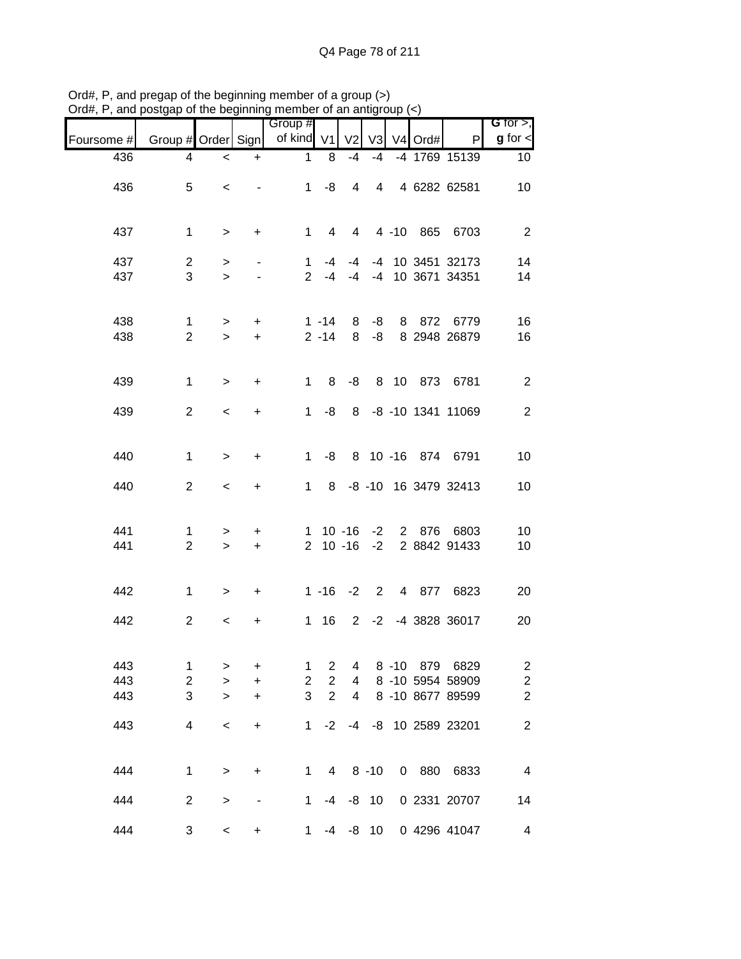| , ana      | position of the beginning member of an anagroup $(\gamma)$ |           |                          |                       |                 |                   |          |          |            |                                        |                              |
|------------|------------------------------------------------------------|-----------|--------------------------|-----------------------|-----------------|-------------------|----------|----------|------------|----------------------------------------|------------------------------|
| Foursome # | Group # Order Sign                                         |           |                          | Group #<br>of kind V1 |                 | V <sub>2</sub>    |          |          | V3 V4 Ord# | P                                      | G for $>$ ,<br>$g$ for $\lt$ |
| 436        | 4                                                          | $\,<$     | $+$                      | 1                     | 8               | $-4$              | $-4$     |          |            | -4 1769 15139                          | 10 <sup>°</sup>              |
|            |                                                            |           |                          |                       |                 |                   |          |          |            |                                        |                              |
| 436        | 5                                                          | $\,<$     | $\blacksquare$           |                       | $1 - 8$         | 4                 |          |          |            | 4 4 6282 62581                         | 10                           |
|            |                                                            |           |                          |                       |                 |                   |          |          |            |                                        |                              |
| 437        | $\mathbf 1$                                                | $\,$      | $\ddot{}$                | $1 \quad$             | $4 \quad$       |                   |          |          |            | 4 4 -10 865 6703                       | $\overline{2}$               |
| 437        | $\overline{2}$                                             | $\,$      | $\blacksquare$           | $\mathbf{1}$          | -4              | $-4$              |          |          |            | -4 10 3451 32173                       | 14                           |
| 437        | 3                                                          | $\geq$    | $\overline{\phantom{a}}$ |                       |                 |                   |          |          |            | 2 -4 -4 -4 10 3671 34351               | 14                           |
|            |                                                            |           |                          |                       |                 |                   |          |          |            |                                        |                              |
| 438        | $\mathbf{1}$                                               | $\geq$    | $+$                      |                       | 1 -14           | 8                 | $-8$     |          |            | 8 872 6779                             | 16                           |
| 438        | $\overline{2}$                                             | $\geq$    | $+$                      |                       | $2 - 14$        | 8                 | $-8$     |          |            | 8 2948 26879                           | 16                           |
|            |                                                            |           |                          |                       |                 |                   |          |          |            |                                        |                              |
| 439        | 1                                                          | $\geq$    | $\ddot{}$                | $\mathbf{1}$          | 8               | -8                |          |          |            | 8 10 873 6781                          | $\overline{2}$               |
|            |                                                            |           |                          |                       |                 |                   |          |          |            |                                        |                              |
| 439        | $\overline{2}$                                             | $\,<$     | $\ddot{}$                | $1 \quad$             | -8              |                   |          |          |            | 8 -8 -10 1341 11069                    | $\sqrt{2}$                   |
|            |                                                            |           |                          |                       |                 |                   |          |          |            |                                        |                              |
| 440        | 1                                                          | $\geq$    | $\ddot{}$                | 1                     | -8              |                   |          |          |            | 8 10 -16 874 6791                      | 10                           |
| 440        | $\overline{2}$                                             | $\,<$     | $\ddot{}$                | $\mathbf 1$           | 8               |                   |          |          |            | -8 -10 16 3479 32413                   | 10                           |
|            |                                                            |           |                          |                       |                 |                   |          |          |            |                                        |                              |
|            |                                                            |           |                          |                       |                 |                   |          |          |            |                                        |                              |
| 441<br>441 | 1<br>$\overline{2}$                                        | ><br>$\,$ | $\ddot{}$<br>$+$         |                       |                 | $2 \t10 - 16 - 2$ |          |          |            | 1 10 -16 -2 2 876 6803<br>2 8842 91433 | 10<br>10                     |
|            |                                                            |           |                          |                       |                 |                   |          |          |            |                                        |                              |
|            |                                                            |           |                          |                       |                 |                   |          |          |            |                                        |                              |
| 442        | $\mathbf 1$                                                | $\, >$    | $+$                      |                       |                 |                   |          |          |            | 1 -16 -2 2 4 877 6823                  | 20                           |
| 442        | $\overline{2}$                                             | $\,<$     | $\ddot{}$                |                       | 1 16            |                   |          |          |            | 2 -2 -4 3828 36017                     | 20                           |
|            |                                                            |           |                          |                       |                 |                   |          |          |            |                                        |                              |
| 443        | 1                                                          | >         | $\ddot{}$                | 1                     | $\overline{2}$  | 4                 |          | $8 - 10$ | 879        | 6829                                   | $\overline{\mathbf{c}}$      |
| 443        | $\boldsymbol{2}$                                           | $\, > \,$ | +                        | $\overline{2}$        | $\overline{2}$  | 4                 |          |          |            | 8 -10 5954 58909                       | $\overline{\mathbf{c}}$      |
| 443        | 3                                                          | $\geq$    | +                        | 3                     | $\overline{2}$  | 4                 |          |          |            | 8 -10 8677 89599                       | $\overline{\mathbf{c}}$      |
|            |                                                            |           |                          |                       |                 |                   |          |          |            |                                        |                              |
| 443        | $\overline{4}$                                             | $\prec$   | $\ddot{}$                | $\mathbf{1}$          | $-2$            | -4                |          |          |            | -8 10 2589 23201                       | $\boldsymbol{2}$             |
|            |                                                            |           |                          |                       |                 |                   |          |          |            |                                        |                              |
| 444        | $\mathbf 1$                                                | $\geq$    | $\ddot{}$                | $\mathbf 1$           | $4\overline{ }$ |                   | $8 - 10$ |          | 0880       | 6833                                   | $\overline{\mathbf{4}}$      |
| 444        | $\overline{2}$                                             | $\,>$     |                          | $\mathbf 1$           |                 | $-4$ $-8$ 10      |          |          |            | 0 2331 20707                           | 14                           |
|            |                                                            |           |                          |                       |                 |                   |          |          |            |                                        |                              |
| 444        | 3                                                          | $\,<$     | $\ddot{}$                | $\mathbf 1$           | $-4$            | -8                | 10       |          |            | 0 4296 41047                           | $\overline{\mathcal{A}}$     |

Ord#, P, and pregap of the beginning member of a group (>) Ord#, P, and postgap of the beginning member of an antigroup (<)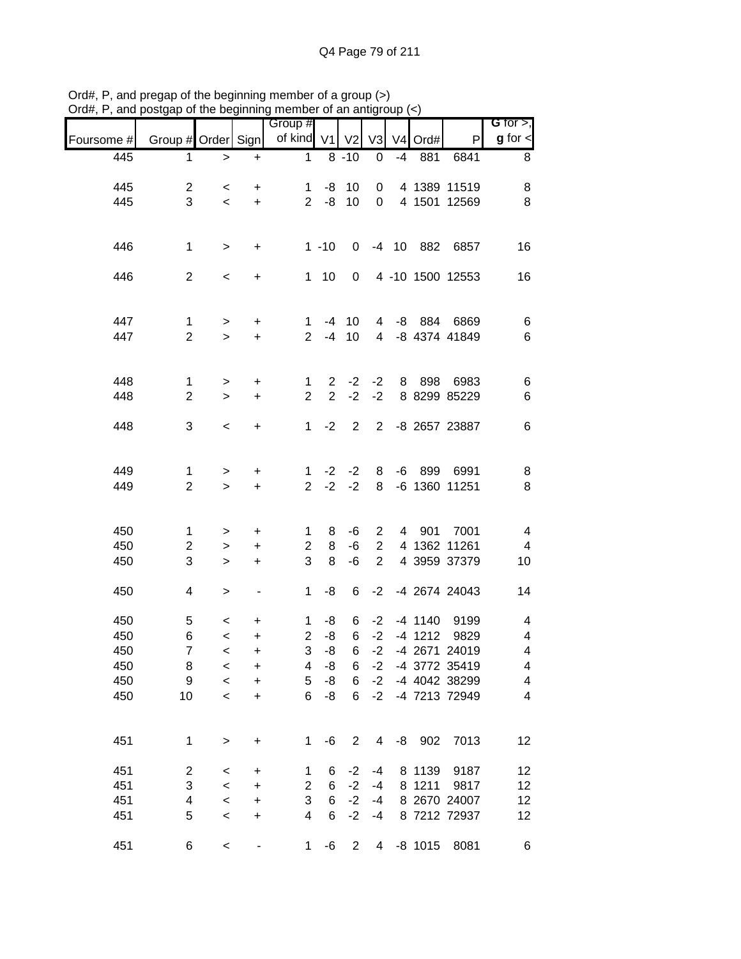|            | oolgap or the beginning |                          |                              | $\frac{1}{2}$             |                |                |                |      |           |                  |                              |
|------------|-------------------------|--------------------------|------------------------------|---------------------------|----------------|----------------|----------------|------|-----------|------------------|------------------------------|
| Foursome # | Group # Order Sign      |                          |                              | Group #<br>of kind V1     |                | V <sub>2</sub> | V3             |      | V4 Ord#   | P                | G for $>$ ,<br>$g$ for $\lt$ |
| 445        | 1                       | $\geq$                   | $\ddot{}$                    | 1                         |                | $8 - 10$       | $\pmb{0}$      | $-4$ | 881       | 6841             | 8                            |
|            |                         |                          |                              |                           |                |                |                |      |           |                  |                              |
| 445        | $\overline{c}$          | $\,<\,$                  | +                            | 1                         | -8             | 10             | 0              |      |           | 4 1389 11519     | 8                            |
| 445        | 3                       | $\overline{\phantom{0}}$ | $\ddot{}$                    | $\overline{2}$            | -8             | 10             | $\mathbf 0$    |      |           | 4 1501 12569     | 8                            |
|            |                         |                          |                              |                           |                |                |                |      |           |                  |                              |
|            |                         |                          |                              |                           |                |                |                |      |           |                  |                              |
| 446        | $\mathbf{1}$            | $\,$                     | $\ddot{}$                    |                           | $1 - 10$       | 0              |                |      | -4 10 882 | 6857             | 16                           |
| 446        | $\overline{2}$          | $\,<\,$                  | +                            | $\mathbf{1}$              | 10             | 0              |                |      |           | 4 -10 1500 12553 | 16                           |
|            |                         |                          |                              |                           |                |                |                |      |           |                  |                              |
|            |                         |                          |                              |                           |                |                |                |      |           |                  |                              |
| 447        | $\mathbf{1}$            | $\geq$                   | $\ddot{}$                    | $\mathbf 1$               | $-4$           | 10             | $\overline{4}$ |      |           | -8 884 6869      | 6                            |
| 447        | $\overline{c}$          | $\geq$                   | $\ddot{}$                    | $\overline{2}$            | $-4$           | 10             | $\overline{4}$ |      |           | -8 4374 41849    | $\,6$                        |
|            |                         |                          |                              |                           |                |                |                |      |           |                  |                              |
| 448        | $\mathbf{1}$            | $\, > \,$                | +                            | 1                         | $\overline{2}$ | $-2$           | $-2$           | 8    | 898       | 6983             | 6                            |
| 448        | $\overline{2}$          | $\geq$                   | +                            | $\overline{2}$            | $\overline{2}$ | $-2$           | $-2$           |      |           | 8 8299 85229     | 6                            |
|            |                         |                          |                              |                           |                |                |                |      |           |                  |                              |
| 448        | 3                       | $\,<$                    | $\ddot{}$                    | 1                         | $-2$           | $\overline{2}$ | 2              |      |           | -8 2657 23887    | 6                            |
|            |                         |                          |                              |                           |                |                |                |      |           |                  |                              |
| 449        | 1                       | $\,$                     | $\ddot{}$                    | 1                         | $-2$           | $-2$           | 8              | -6   | 899       | 6991             | 8                            |
| 449        | $\overline{2}$          | $\mathbf{L}$             | $\ddot{}$                    | $\overline{2}$            | $-2$           | $-2$           | 8              |      |           | -6 1360 11251    | 8                            |
|            |                         |                          |                              |                           |                |                |                |      |           |                  |                              |
|            |                         |                          |                              |                           |                |                |                |      |           |                  |                              |
| 450        | $\mathbf{1}$            | >                        | +                            | 1                         | 8              | $-6$           | $\overline{2}$ |      | 4 901     | 7001             | 4                            |
| 450        | $\overline{c}$          | $\geq$                   | $\ddot{}$                    | $\mathbf{2}$              | 8              | -6             | $\overline{2}$ |      |           | 4 1362 11261     | $\overline{4}$               |
| 450        | 3                       | $\,>$                    | $\ddot{}$                    | 3                         | 8              | -6             | $\overline{2}$ |      |           | 4 3959 37379     | 10                           |
| 450        | 4                       | >                        | $\qquad \qquad \blacksquare$ | 1                         | -8             | 6              |                |      |           | -2 -4 2674 24043 | 14                           |
|            |                         |                          |                              |                           |                |                |                |      |           |                  |                              |
| 450        | 5                       | $\,<\,$                  | +                            | 1                         | -8             | 6              | $-2$           |      | $-4$ 1140 | 9199             | 4                            |
| 450        | 6                       | $\prec$                  | $\ddot{}$                    | $\overline{2}$            | $-8$           | 6              | $-2$           |      | $-4$ 1212 | 9829             | 4                            |
| 450        | $\boldsymbol{7}$        | $\,<$                    | $\mathbf +$                  | 3                         | -8             | 6              | $-2$           |      |           | -4 2671 24019    | $\overline{\mathbf{4}}$      |
| 450        | 8                       | $\,<$                    | +                            | 4                         | -8             | 6              | $-2$           |      |           | -4 3772 35419    | 4                            |
| 450        | 9                       | $\prec$                  | $\ddot{}$                    | 5                         | -8             | 6              | $-2$           |      |           | -4 4042 38299    | $\overline{\mathbf{4}}$      |
| 450        | 10                      | $\,<\,$                  | $\ddot{}$                    | 6                         | -8             | 6              | $-2$           |      |           | -4 7213 72949    | $\overline{\mathbf{4}}$      |
|            |                         |                          |                              |                           |                |                |                |      |           |                  |                              |
| 451        | $\mathbf 1$             | $\mathbf{I}$             | $\ddot{}$                    | 1                         | -6             | $\overline{c}$ | 4              |      | $-8$ 902  | 7013             | 12                           |
|            |                         |                          |                              |                           |                |                |                |      |           |                  |                              |
| 451        | $\overline{c}$          | $\,<\,$                  | +                            | 1                         | 6              | $-2$           | $-4$           |      | 8 1139    | 9187             | 12                           |
| 451        | 3                       | $\,<$                    | $\ddot{}$                    | $\overline{2}$            | 6              | $-2$           | $-4$           |      | 8 1211    | 9817             | 12                           |
| 451        | 4                       | $\,<$                    | $\ddot{}$                    | $\ensuremath{\mathsf{3}}$ | 6              | $-2$           | $-4$           |      |           | 8 2670 24007     | 12                           |
| 451        | 5                       | $\,<$                    | $\ddot{}$                    | 4                         | 6              | $-2$           | $-4$           |      |           | 8 7212 72937     | 12                           |
|            |                         |                          |                              |                           |                |                |                |      |           |                  |                              |
| 451        | 6                       | $\,<$                    |                              | 1                         | $-6$           | $\overline{c}$ | $\overline{4}$ |      | $-8$ 1015 | 8081             | 6                            |

Ord#, P, and pregap of the beginning member of a group (>) Ord#, P, and postgap of the beginning member of an antigroup (<)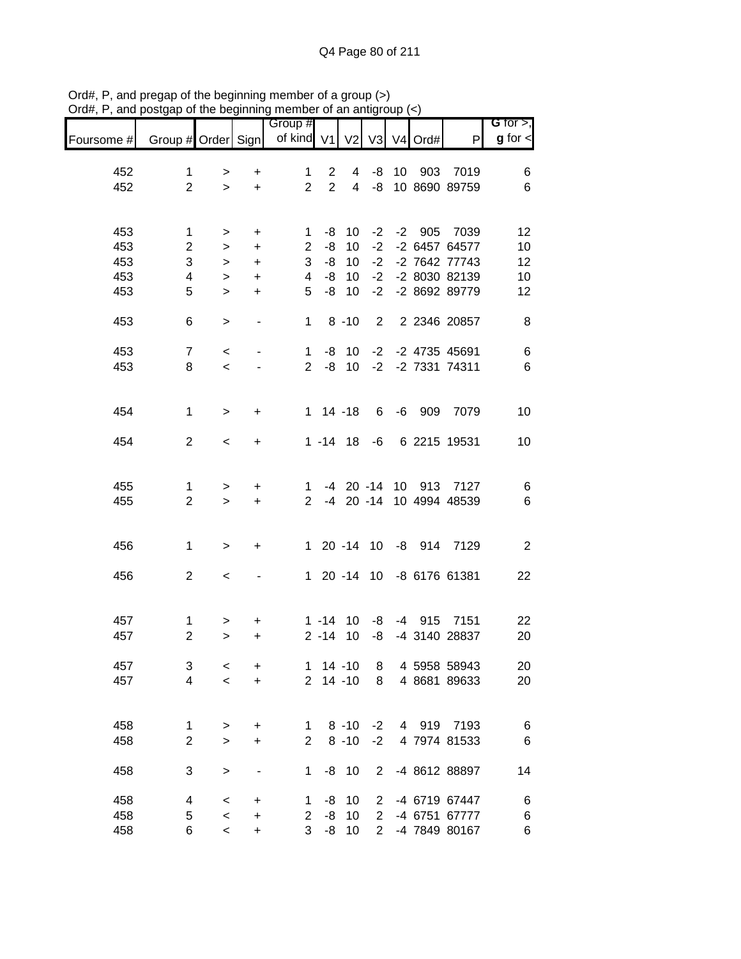|            |                    |            |                | Group #        |                |                         |                |       |          |                       | G for $>$ ,    |
|------------|--------------------|------------|----------------|----------------|----------------|-------------------------|----------------|-------|----------|-----------------------|----------------|
| Foursome # | Group # Order Sign |            |                | of kind V1     |                | V <sub>2</sub>          |                | V3 V4 | Ord#     | P                     | $g$ for $\lt$  |
| 452        | $\mathbf 1$        | $\, > \,$  | $\ddot{}$      | 1              | $\overline{c}$ | 4                       | -8             | 10    |          | 903 7019              | 6              |
| 452        | $\overline{2}$     | $\geq$     | $\ddot{}$      | $\overline{2}$ | $\overline{2}$ | $\overline{\mathbf{4}}$ | -8             |       |          | 10 8690 89759         | $\,6$          |
|            |                    |            |                |                |                |                         |                |       |          |                       |                |
| 453        | 1                  |            |                | 1              | -8             | 10                      | $-2$           |       | -2 905   | 7039                  | 12             |
| 453        | $\overline{2}$     | ><br>$\,>$ | $\ddot{}$<br>+ | $\overline{2}$ | -8             | 10                      | $-2$           |       |          | -2 6457 64577         | 10             |
| 453        | 3                  | $\, > \,$  | $\ddot{}$      | 3              | -8             | 10                      | $-2$           |       |          | -2 7642 77743         | 12             |
| 453        | 4                  | $\geq$     | $\ddot{}$      | 4              | -8             | 10                      | $-2$           |       |          | -2 8030 82139         | 10             |
| 453        | 5                  | $\geq$     | +              | 5              | -8             | 10                      | $-2$           |       |          | -2 8692 89779         | 12             |
|            |                    |            |                |                |                |                         |                |       |          |                       |                |
| 453        | 6                  | $\geq$     | $\blacksquare$ | $\mathbf{1}$   |                | $8 - 10$                | $\overline{2}$ |       |          | 2 2346 20857          | 8              |
| 453        | $\overline{7}$     | $\,<$      |                | $\mathbf{1}$   |                | $-8$ 10                 |                |       |          | -2 -2 4735 45691      | $\,6$          |
| 453        | 8                  | $\,<\,$    |                | $\overline{2}$ | -8             | 10                      |                |       |          | -2 -2 7331 74311      | $\,6$          |
|            |                    |            |                |                |                |                         |                |       |          |                       |                |
| 454        | $\mathbf{1}$       | $\, >$     | +              |                | $1 14 - 18$    |                         | 6              |       | $-6$ 909 | 7079                  | 10             |
| 454        | $\overline{2}$     | $\,<\,$    | +              |                | $1 - 14$ 18    |                         | -6             |       |          | 6 2215 19531          | 10             |
|            |                    |            |                |                |                |                         |                |       |          |                       |                |
| 455        | 1                  | >          | $\ddot{}$      | 1.             |                |                         |                |       |          | -4 20 -14 10 913 7127 | 6              |
| 455        | $\overline{2}$     | $\geq$     | $\ddot{}$      | $2^{\circ}$    |                |                         | $-4$ 20 $-14$  |       |          | 10 4994 48539         | $\,6$          |
|            |                    |            |                |                |                |                         |                |       |          |                       |                |
| 456        | $\mathbf 1$        | $\, >$     | $\ddot{}$      |                |                |                         | 1 20 -14 10    |       |          | -8 914 7129           | $\overline{2}$ |
|            |                    |            |                |                |                |                         |                |       |          |                       |                |
| 456        | $\overline{2}$     | $\,<\,$    |                | $\mathbf{1}$   |                |                         | 20 -14 10      |       |          | -8 6176 61381         | 22             |
|            |                    |            |                |                |                |                         |                |       |          |                       |                |
| 457        | $\mathbf{1}$       | >          | +              |                | $1 - 14$       | 10                      | -8             |       |          | -4 915 7151           | 22             |
| 457        | $\overline{2}$     | $\, > \,$  | +              |                | $2 - 14$       | 10                      | -8             |       |          | -4 3140 28837         | 20             |
| 457        | 3                  | $\,<\,$    | +              | 1              |                | $14 - 10$               | 8              |       |          | 4 5958 58943          | 20             |
| 457        | $\overline{4}$     | $\prec$    | $\ddot{}$      | $\overline{2}$ |                | $14 - 10$               | 8              |       |          | 4 8681 89633          | 20             |
|            |                    |            |                |                |                |                         |                |       |          |                       |                |
| 458        | 1                  | $\,>$      | $\ddot{}$      | 1              |                | $8 - 10$                | $-2$           |       |          | 4 919 7193            | 6              |
| 458        | $\overline{c}$     | $\geq$     | +              | $\overline{2}$ |                | $8 - 10$                | $-2$           |       |          | 4 7974 81533          | $\,6$          |
| 458        | 3                  | $\,>$      |                | 1              |                | $-8$ 10                 | $\overline{2}$ |       |          | -4 8612 88897         | 14             |
|            |                    |            |                |                |                |                         |                |       |          |                       |                |
| 458        | 4                  | $\,<\,$    | $\ddot{}$      | 1              | -8             | 10                      | $\overline{2}$ |       |          | -4 6719 67447         | 6              |
| 458        | 5                  | $\,<$      | $\ddot{}$      | $\overline{2}$ | -8             | 10                      | $\overline{2}$ |       |          | -4 6751 67777         | $\,6$          |
| 458        | 6                  | $\,<$      | $\ddot{}$      | 3              | -8             | 10                      | $\overline{2}$ |       |          | -4 7849 80167         | 6              |

Ord#, P, and pregap of the beginning member of a group (>) Ord#, P, and postgap of the beginning member of an antigroup (<)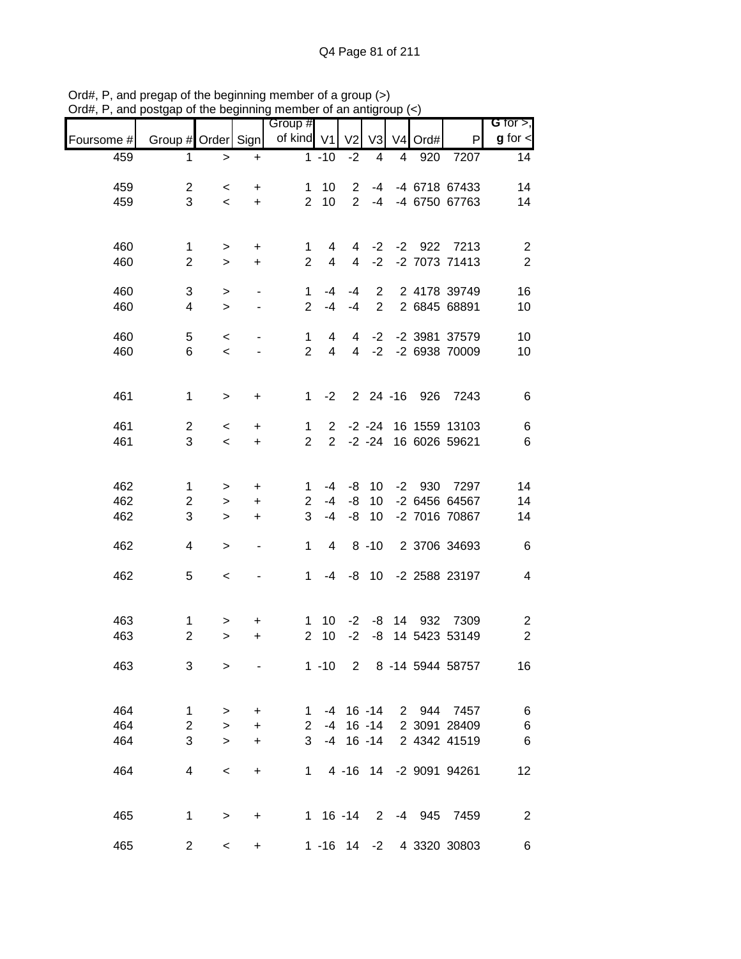|            |                     | אט טויט   | .                        | Group #                        |                |                 |                |   |         |                          | G for $>$ ,             |
|------------|---------------------|-----------|--------------------------|--------------------------------|----------------|-----------------|----------------|---|---------|--------------------------|-------------------------|
| Foursome # | Group # Order Sign  |           |                          | of kind V1                     |                | V <sub>2</sub>  | V3             |   | V4 Ord# | P                        | $g$ for $\lt$           |
| 459        | 1                   | $\geq$    | $\ddot{}$                |                                | $1 - 10$       | $-2$            | 4              | 4 | 920     | 7207                     | 14                      |
| 459        |                     |           |                          |                                | 10             | 2               | $-4$           |   |         | -4 6718 67433            | 14                      |
| 459        | $\overline{2}$<br>3 | $\,<\,$   | $\ddot{}$                | $\mathbf{1}$<br>$\overline{2}$ | 10             | $\overline{2}$  |                |   |         | -4 -4 6750 67763         | 14                      |
|            |                     | $\,<\,$   | $+$                      |                                |                |                 |                |   |         |                          |                         |
| 460        | $\mathbf{1}$        | $\,$      | $\ddot{}$                | $\mathbf 1$                    | 4              | 4               |                |   |         | -2 -2 922 7213           | $\overline{c}$          |
| 460        | $\overline{2}$      | $\geq$    | $+$                      | $\overline{2}$                 | $\overline{4}$ | $\overline{4}$  |                |   |         | -2 -2 7073 71413         | $\overline{2}$          |
|            |                     |           |                          |                                |                |                 |                |   |         |                          |                         |
| 460        | $\sqrt{3}$          | $\,$      | $\overline{\phantom{a}}$ | $\mathbf{1}$                   | $-4$           | -4              |                |   |         | 2 2 4178 39749           | 16                      |
| 460        | $\overline{4}$      | $\geq$    |                          | $\overline{2}$                 | $-4$           | $-4$            | $\overline{2}$ |   |         | 2 6845 68891             | 10                      |
| 460        | 5                   | $\,<$     |                          | $\mathbf 1$                    | 4              | $\overline{4}$  |                |   |         | -2 -2 3981 37579         | 10                      |
| 460        | 6                   | $\prec$   |                          | $\overline{2}$                 | $\overline{4}$ |                 |                |   |         | 4 -2 -2 6938 70009       | 10                      |
|            |                     |           |                          |                                |                |                 |                |   |         |                          |                         |
| 461        | $\mathbf{1}$        | $\, >$    | +                        | $1 \quad$                      | $-2$           |                 |                |   |         | 2 24 -16 926 7243        | $\,6$                   |
|            |                     |           |                          |                                |                |                 |                |   |         |                          |                         |
| 461        | $\overline{c}$      | $\,<$     | $\pm$                    | 1                              | $2^{\circ}$    |                 |                |   |         | -2 -24 16 1559 13103     | 6                       |
| 461        | 3                   | $\,<$     | $+$                      | $\overline{2}$                 | $2^{\circ}$    |                 |                |   |         | -2 -24 16 6026 59621     | $\,6$                   |
|            |                     |           |                          |                                |                |                 |                |   |         |                          |                         |
| 462        | $\mathbf{1}$        | $\, > \,$ | $\ddot{}$                | 1                              | $-4$           | -8              | 10             |   | -2 930  | 7297                     | 14                      |
| 462        | $\overline{2}$      | $\, > \,$ | $\ddot{}$                | $\overline{2}$                 | $-4$           | -8              | 10             |   |         | -2 6456 64567            | 14                      |
| 462        | $\mathbf{3}$        | $\geq$    | $\ddot{}$                | 3                              | $-4$           | -8              | 10             |   |         | -2 7016 70867            | 14                      |
| 462        | 4                   | $\geq$    | $\overline{\phantom{a}}$ | 1                              | $\overline{4}$ |                 | $8 - 10$       |   |         | 2 3706 34693             | $\,6$                   |
|            |                     |           |                          |                                |                |                 |                |   |         |                          |                         |
| 462        | 5                   | $\,<$     |                          |                                |                |                 |                |   |         | 1 -4 -8 10 -2 2588 23197 | $\overline{\mathbf{4}}$ |
|            |                     |           |                          |                                |                |                 |                |   |         |                          |                         |
| 463        | $\mathbf{1}$        | >         | +                        | $\mathbf 1$                    | 10             |                 |                |   |         | -2 -8 14 932 7309        | $\overline{\mathbf{c}}$ |
| 463        | $\overline{2}$      | $\geq$    | +                        | $\overline{2}$                 | 10             | $-2$            |                |   |         | -8 14 5423 53149         | $\overline{2}$          |
| 463        | 3                   | $\geq$    |                          |                                | $1 - 10$       | $\overline{2}$  |                |   |         | 8 -14 5944 58757         | 16                      |
|            |                     |           |                          |                                |                |                 |                |   |         |                          |                         |
| 464        | $\mathbf 1$         | $\, > \,$ | +                        | 1                              |                | $-4$ 16 $-14$   |                |   | 2 944   | 7457                     | 6                       |
| 464        | $\overline{2}$      | $\, > \,$ | +                        | $\overline{2}$                 |                | $-4$ 16 $-14$   |                |   |         | 2 3091 28409             | $\,6$                   |
| 464        | $\mathbf{3}$        | $\geq$    | $\ddot{}$                | 3                              |                | $-4$ 16 $-14$   |                |   |         | 2 4342 41519             | 6                       |
|            |                     |           |                          |                                |                |                 |                |   |         |                          |                         |
| 464        | 4                   | $\,<$     | $\ddot{}$                | $\mathbf{1}$                   |                |                 |                |   |         | 4 -16 14 -2 9091 94261   | 12                      |
|            |                     |           |                          |                                |                |                 |                |   |         |                          |                         |
| 465        | $\mathbf 1$         | $\, >$    | $\ddot{}$                |                                |                | $1 \t16 - 14$ 2 |                |   |         | -4 945 7459              | $\overline{2}$          |
| 465        | $\overline{c}$      | $\,<\,$   | +                        |                                |                |                 |                |   |         | 1 -16 14 -2 4 3320 30803 | 6                       |

Ord#, P, and pregap of the beginning member of a group (>) Ord#, P, and postgap of the beginning member of an antigroup (<)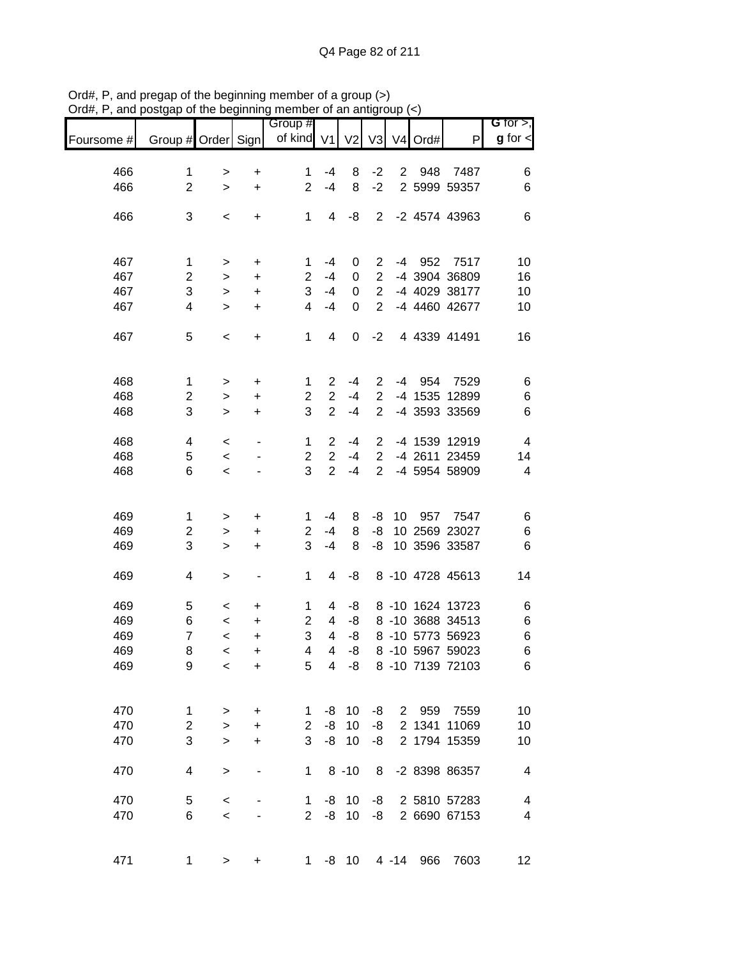|            |                       |                  |                          | Group #             |                  |                 |                |                |      |                                      | G for $>$ ,          |
|------------|-----------------------|------------------|--------------------------|---------------------|------------------|-----------------|----------------|----------------|------|--------------------------------------|----------------------|
| Foursome # | Group # Order Sign    |                  |                          | of kind V1          |                  | V <sub>2</sub>  | V <sub>3</sub> | V <sub>4</sub> | Ord# | P                                    | $g$ for $\textsf{d}$ |
| 466        | 1                     |                  | +                        | 1                   | $-4$             | 8               | $-2$           | $\overline{2}$ | 948  | 7487                                 | 6                    |
| 466        | $\overline{2}$        | ><br>$\geq$      | $\ddot{}$                | $\overline{2}$      | $-4$             | 8               | $-2$           |                |      | 2 5999 59357                         | 6                    |
|            |                       |                  |                          |                     |                  |                 |                |                |      |                                      |                      |
| 466        | 3                     | $\,<$            | +                        | 1                   | 4                | -8              | $\overline{2}$ |                |      | -2 4574 43963                        | 6                    |
|            |                       |                  |                          |                     |                  |                 |                |                |      |                                      |                      |
| 467        | 1                     | >                | +                        | 1                   | $-4$             | 0               | 2              | $-4$           | 952  | 7517                                 | 10                   |
| 467        | $\overline{2}$        | >                | $\ddot{}$                | $\overline{2}$      | $-4$             | 0               | $\overline{2}$ |                |      | -4 3904 36809                        | 16                   |
| 467        | 3                     | >                | $\ddot{}$                | 3                   | $-4$             | 0               | $\overline{2}$ |                |      | -4 4029 38177                        | 10                   |
| 467        | 4                     | $\geq$           | $\ddot{}$                | 4                   | $-4$             | 0               | $\overline{2}$ |                |      | -4 4460 42677                        | 10                   |
| 467        | 5                     | $\,<$            | +                        | 1                   | 4                | 0               | $-2$           |                |      | 4 4339 41491                         | 16                   |
|            |                       |                  |                          |                     |                  |                 |                |                |      |                                      |                      |
| 468        | 1                     |                  | $\ddot{}$                | 1                   | $\overline{2}$   | $-4$            | $\overline{2}$ | $-4$           | 954  | 7529                                 | 6                    |
| 468        | $\mathbf 2$           | ><br>>           | $\ddot{}$                | $\overline{2}$      | $\overline{2}$   | $-4$            | $\overline{2}$ |                |      | -4 1535 12899                        | 6                    |
| 468        | 3                     | $\geq$           | +                        | 3                   | $\overline{2}$   | $-4$            | $\overline{2}$ |                |      | -4 3593 33569                        | 6                    |
|            |                       |                  |                          |                     |                  |                 |                |                |      |                                      |                      |
| 468        | 4                     | $\,<$            | ٠                        | 1                   | $\overline{2}$   | $-4$            | $\overline{2}$ |                |      | -4 1539 12919                        | 4                    |
| 468        | 5                     | $\,<$            |                          | $\overline{c}$      | $\boldsymbol{2}$ | $-4$            | $\overline{2}$ |                |      | -4 2611 23459                        | 14                   |
| 468        | 6                     | $\,<$            |                          | 3                   | $\overline{2}$   | $-4$            | $\overline{2}$ |                |      | -4 5954 58909                        | 4                    |
|            |                       |                  |                          |                     |                  |                 |                |                |      |                                      |                      |
| 469        | 1                     | >                | +                        | 1                   | -4               | 8               | -8             | 10             | 957  | 7547                                 | 6                    |
| 469        | $\overline{c}$        | >                | $\ddot{}$                | $\overline{2}$      | $-4$             | 8               | -8             |                |      | 10 2569 23027                        | 6                    |
| 469        | 3                     | $\, > \,$        | $\ddot{}$                | 3                   | $-4$             | 8               | -8             |                |      | 10 3596 33587                        | 6                    |
| 469        | 4                     | >                | $\overline{\phantom{a}}$ | 1                   | 4                | -8              |                |                |      | 8 -10 4728 45613                     | 14                   |
|            |                       |                  |                          |                     |                  |                 |                |                |      |                                      |                      |
| 469        | 5                     | $\,<$            | +                        | 1                   | 4                | -8              |                |                |      | 8 -10 1624 13723                     | 6                    |
| 469<br>469 | 6<br>$\overline{7}$   | $\,<$            | +                        | $\overline{2}$<br>3 | 4<br>4           | -8<br>-8        |                |                |      | 8 -10 3688 34513<br>8 -10 5773 56923 | 6                    |
| 469        | 8                     | $\,<$            | +<br>$\ddot{}$           | 4                   | 4                | -8              |                |                |      | 8 -10 5967 59023                     | 6<br>6               |
| 469        | 9                     | $\,<\,$<br>$\,<$ | $\ddot{}$                | 5                   | 4                | -8              |                |                |      | 8 -10 7139 72103                     | 6                    |
|            |                       |                  |                          |                     |                  |                 |                |                |      |                                      |                      |
| 470        |                       |                  |                          |                     |                  | 10              |                |                |      | 2 959 7559                           | 10                   |
| 470        | 1<br>$\boldsymbol{2}$ | ><br>$\geq$      | +                        | 1<br>2              | -8<br>-8         | 10              | -8<br>-8       |                |      | 2 1341 11069                         | 10                   |
| 470        | 3                     | $\geq$           | $\ddot{}$<br>$\ddot{}$   | 3                   | -8               | 10              | -8             |                |      | 2 1794 15359                         | 10                   |
|            |                       |                  |                          |                     |                  |                 |                |                |      |                                      |                      |
| 470        | 4                     | $\, > \,$        |                          | 1                   |                  | $8 - 10$        | 8              |                |      | -2 8398 86357                        | 4                    |
| 470        | 5                     | $\,<$            |                          | 1                   | -8               | 10              | -8             |                |      | 2 5810 57283                         | 4                    |
| 470        | 6                     | $\,<$            |                          | $\overline{2}$      | -8               | 10              | -8             |                |      | 2 6690 67153                         | $\overline{4}$       |
|            |                       |                  |                          |                     |                  |                 |                |                |      |                                      |                      |
| 471        | 1                     | >                | +                        | 1                   | -8               | 10 <sup>°</sup> |                | $4 - 14$       | 966  | 7603                                 | 12                   |

Ord#, P, and pregap of the beginning member of a group (>) Ord#, P, and postgap of the beginning member of an antigroup (<)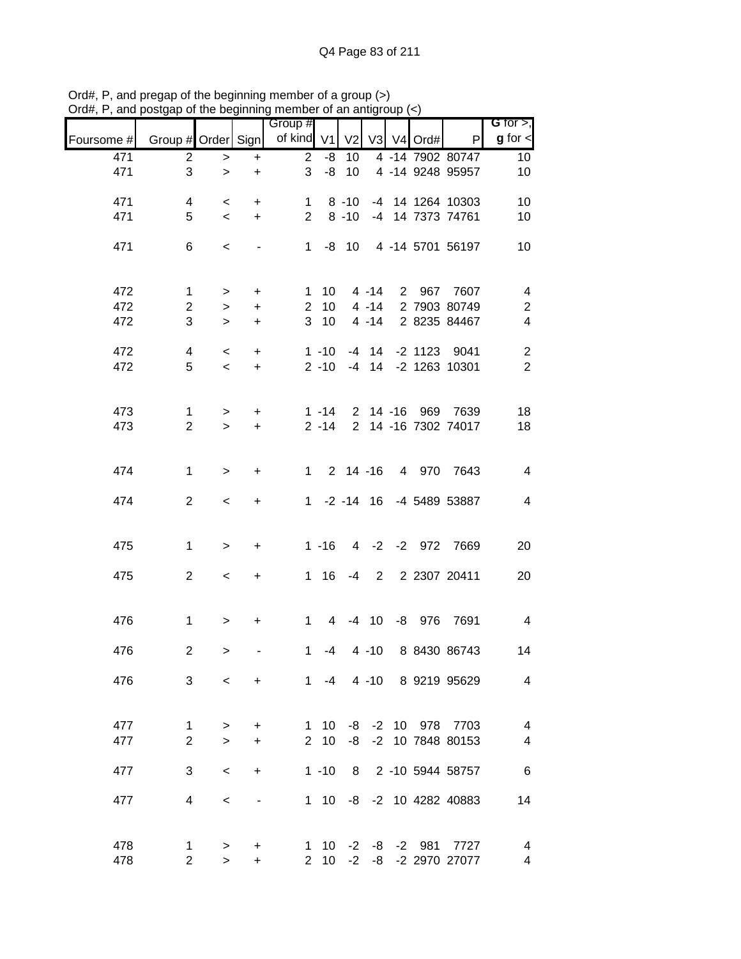|            |                    |                          |           | Group #        |                |                |                |                   |                         | G for $>$ ,             |
|------------|--------------------|--------------------------|-----------|----------------|----------------|----------------|----------------|-------------------|-------------------------|-------------------------|
| Foursome # | Group # Order Sign |                          |           | of kind        | V <sub>1</sub> | V <sub>2</sub> |                | V3 V4 Ord#        | P                       | $g$ for $\lt$           |
| 471        | $\overline{c}$     | $\,>$                    | $\ddot{}$ | $\overline{2}$ | -8             | 10             |                |                   | 4 -14 7902 80747        | 10 <sup>°</sup>         |
| 471        | 3                  | $\geq$                   | $\ddot{}$ | 3              | -8             | 10             |                |                   | 4 -14 9248 95957        | 10                      |
| 471        | 4                  | $\,<\,$                  | +         | $\mathbf{1}$   |                | $8 - 10$       |                |                   | -4 14 1264 10303        | 10                      |
| 471        | 5                  | $\,<$                    | $\ddot{}$ | $\overline{2}$ |                | $8 - 10$       |                |                   | -4 14 7373 74761        | 10                      |
| 471        | 6                  | $\,<$                    |           | 1              |                | $-8$ 10        |                |                   | 4 -14 5701 56197        | 10                      |
| 472        | $\mathbf 1$        | $\,$                     | +         | 1              | 10             |                | $4 - 14$       | 2 967             | 7607                    | $\overline{\mathbf{4}}$ |
| 472        | $\overline{c}$     | $\,>$                    | $\ddot{}$ | $\overline{2}$ | 10             |                | $4 - 14$       |                   | 2 7903 80749            | $\sqrt{2}$              |
| 472        | 3                  | $\geq$                   | $\ddot{}$ | 3              | 10             |                | $4 - 14$       |                   | 2 8235 84467            | $\overline{\mathbf{4}}$ |
| 472        | $\overline{4}$     | $\,<$                    | $+$       |                | $1 - 10$       |                | $-4$ 14        |                   | -2 1123 9041            | $\overline{\mathbf{c}}$ |
| 472        | 5                  | $\prec$                  | $+$       |                | $2 - 10$       |                | $-4$ 14        |                   | -2 1263 10301           | $\overline{2}$          |
| 473        | $\mathbf 1$        | $\,$                     | $\ddot{}$ |                | $1 - 14$       |                |                |                   | 2 14 -16 969 7639       | 18                      |
| 473        | $\overline{2}$     | $\geq$                   | $\ddot{}$ |                | $2 - 14$       |                |                |                   | 2 14 -16 7302 74017     | 18                      |
|            |                    |                          |           |                |                |                |                |                   |                         |                         |
| 474        | $\mathbf{1}$       | $\mathbf{L}$             | $\ddot{}$ | $1 \quad$      |                | $2$ 14 -16     |                | 4 970             | 7643                    | $\overline{4}$          |
| 474        | $\overline{2}$     | $\,<\,$                  | $\ddot{}$ | 1              |                | $-2 - 14$ 16   |                |                   | -4 5489 53887           | $\overline{4}$          |
|            |                    |                          |           |                |                |                |                |                   |                         |                         |
| 475        | 1                  | $\geq$                   | $\ddot{}$ |                | $1 - 16$       |                | $4 -2$         |                   | -2 972 7669             | 20                      |
| 475        | $\overline{2}$     | $\,<\,$                  | +         | $\mathbf 1$    | 16             | -4             | $\overline{2}$ |                   | 2 2307 20411            | 20                      |
|            |                    |                          |           |                |                |                |                |                   |                         |                         |
| 476        | $\mathbf 1$        | $\,$                     | +         | $\mathbf{1}$   | $\overline{4}$ |                | $-4$ 10        |                   | -8 976 7691             | $\overline{4}$          |
| 476        | $\overline{c}$     | $\geq$                   |           | $\mathbf{1}$   | -4             |                | $4 - 10$       |                   | 8 8430 86743            | 14                      |
| 476        | 3                  | $\overline{\phantom{0}}$ | $\ddot{}$ |                |                |                |                |                   | 1 -4 4 -10 8 9219 95629 | 4                       |
|            |                    |                          |           |                |                |                |                |                   |                         |                         |
| 477        | 1                  | $\, > \,$                | $\ddot{}$ | $\mathbf{1}$   | 10             |                |                |                   | -8 -2 10 978 7703       | $\overline{4}$          |
| 477        | $\overline{2}$     | $\geq$                   | $\ddot{}$ | $2^{\circ}$    | 10             | -8             |                |                   | -2 10 7848 80153        | 4                       |
|            |                    |                          |           |                |                |                |                |                   |                         |                         |
| 477        | 3                  | $\,<\,$                  | $\ddot{}$ |                | $1 - 10$       |                |                |                   | 8 2 -10 5944 58757      | $\,6$                   |
| 477        | 4                  | $\,<$                    |           |                | $1 \quad 10$   |                |                |                   | -8 -2 10 4282 40883     | 14                      |
|            |                    |                          |           |                |                |                |                |                   |                         |                         |
| 478        | $\mathbf{1}$       | $\,>$                    | +         |                |                |                |                | 1 10 -2 -8 -2 981 | 7727                    | 4                       |
| 478        | $\overline{2}$     | $\geq$                   | +         |                | $2 \quad 10$   | $-2$           | -8             |                   | -2 2970 27077           | 4                       |

Ord#, P, and pregap of the beginning member of a group (>) Ord#, P, and postgap of the beginning member of an antigroup (<)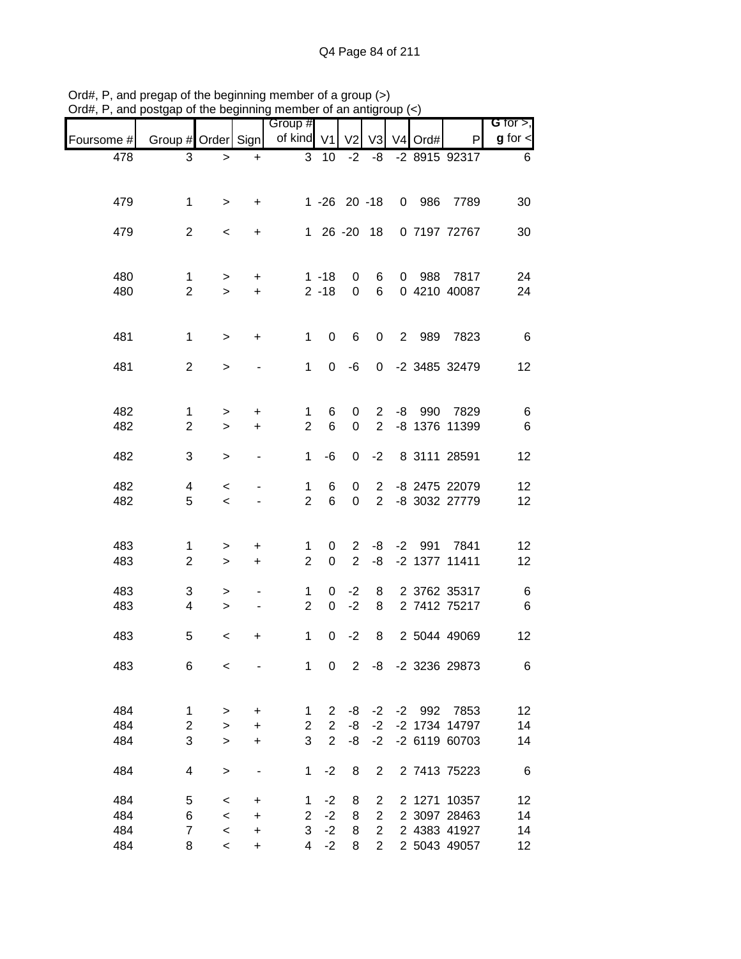| $v$ iu $\pi$ , i, | and postgap or the beginning |                  |                  | monipor or an anagroup |                 |                   |                |         |                     |                 |                              |
|-------------------|------------------------------|------------------|------------------|------------------------|-----------------|-------------------|----------------|---------|---------------------|-----------------|------------------------------|
| Foursome #        | Group # Order Sign           |                  |                  | Group #<br>of kind V1  |                 | V <sub>2</sub>    | V <sub>3</sub> |         | V <sub>4</sub> Ord# | P               | G for $>$ ,<br>$g$ for $\lt$ |
| 478               | 3                            | $\,>$            | $\ddot{}$        |                        | 3 <sub>10</sub> | $-2$              | -8             |         |                     | $-2891592317$   | 6                            |
|                   |                              |                  |                  |                        |                 |                   |                |         |                     |                 |                              |
|                   |                              |                  |                  |                        |                 |                   |                |         |                     |                 |                              |
| 479               | $\mathbf 1$                  | $\,>$            | +                |                        |                 | $1 - 26$ 20 $-18$ |                |         | 0 986               | 7789            | 30                           |
| 479               | $\overline{2}$               | $\,<\,$          | +                |                        |                 | 1 26 -20 18       |                |         |                     | 0 7197 72767    | 30                           |
|                   |                              |                  |                  |                        |                 |                   |                |         |                     |                 |                              |
|                   |                              |                  |                  |                        |                 |                   |                |         |                     |                 |                              |
| 480               | $\mathbf{1}$                 | $\geq$           | $\ddot{}$        |                        | $1 - 18$        | 0                 | 6              |         |                     | 0 988 7817      | 24                           |
| 480               | $\overline{2}$               | $\geq$           | $\color{red}{+}$ |                        | $2 - 18$        | $\mathbf 0$       | 6              |         |                     | 0 4210 40087    | 24                           |
|                   |                              |                  |                  |                        |                 |                   |                |         |                     |                 |                              |
| 481               | $\mathbf{1}$                 | $\,>$            | $\ddot{}$        | 1                      | $\pmb{0}$       | 6                 | $\mathbf 0$    |         |                     | 2 989 7823      | 6                            |
|                   |                              |                  |                  |                        |                 |                   |                |         |                     |                 |                              |
| 481               | $\overline{2}$               | $\,>$            |                  | 1                      | 0               | -6                |                |         |                     | 0 -2 3485 32479 | 12                           |
|                   |                              |                  |                  |                        |                 |                   |                |         |                     |                 |                              |
| 482               | $\mathbf 1$                  | >                | $\ddot{}$        | 1                      | 6               | 0                 | $\overline{2}$ |         |                     | -8 990 7829     | 6                            |
| 482               | $\overline{2}$               | $\geq$           | $\ddot{}$        | $\overline{2}$         | $\,6$           | 0                 | $\overline{2}$ |         |                     | -8 1376 11399   | $6\phantom{1}6$              |
|                   |                              |                  |                  |                        |                 |                   |                |         |                     |                 |                              |
| 482               | 3                            | $\,>$            | $\blacksquare$   | 1                      | $-6$            | $\mathbf 0$       | $-2$           |         |                     | 8 3111 28591    | 12                           |
| 482               | 4                            |                  |                  | 1                      | 6               |                   | $2^{\circ}$    |         |                     | -8 2475 22079   |                              |
| 482               | 5                            | $\,<\,$<br>$\,<$ |                  | $\overline{2}$         | 6               | 0<br>0            | $\overline{2}$ |         |                     | -8 3032 27779   | 12<br>12                     |
|                   |                              |                  |                  |                        |                 |                   |                |         |                     |                 |                              |
|                   |                              |                  |                  |                        |                 |                   |                |         |                     |                 |                              |
| 483               | $\mathbf{1}$                 | >                | +                | $\mathbf 1$            | 0               | $\overline{2}$    | -8             |         |                     | -2 991 7841     | 12                           |
| 483               | $\overline{2}$               | $\,>$            | $\ddot{}$        | $\overline{2}$         | $\pmb{0}$       | $\overline{2}$    | -8             |         |                     | -2 1377 11411   | 12                           |
| 483               | 3                            | >                |                  | 1                      | 0               | $-2$              | 8              |         |                     | 2 3762 35317    | 6                            |
| 483               | $\overline{4}$               | $\,>$            |                  | $\overline{2}$         | $\mathbf 0$     | $-2$              | 8              |         |                     | 2 7412 75217    | 6                            |
|                   |                              |                  |                  |                        |                 |                   |                |         |                     |                 |                              |
| 483               | 5                            | $\,<\,$          | $\ddot{}$        | $\mathbf 1$            | 0               | $-2$              | 8              |         |                     | 2 5044 49069    | 12                           |
|                   |                              |                  |                  |                        |                 |                   |                |         |                     | -2 3236 29873   |                              |
| 483               | 6                            | $\,<$            |                  | 1                      | $\pmb{0}$       | $\overline{2}$    | -8             |         |                     |                 | 6                            |
|                   |                              |                  |                  |                        |                 |                   |                |         |                     |                 |                              |
| 484               | 1                            | $\, > \,$        | $\ddot{}$        | 1                      | $\overline{2}$  | -8                |                | $-2 -2$ |                     | 992 7853        | 12                           |
| 484               | $\sqrt{2}$                   | $\,>$            | $\ddot{}$        | $\overline{2}$         | $\overline{2}$  | -8                | $-2$           |         |                     | -2 1734 14797   | 14                           |
| 484               | 3                            | $\mathbf{L}$     | $\ddot{}$        | 3                      | $\overline{2}$  | -8                | $-2$           |         |                     | -2 6119 60703   | 14                           |
| 484               | 4                            | $\,$             |                  | 1                      | $-2$            | 8                 | 2              |         |                     | 2 7413 75223    | 6                            |
|                   |                              |                  |                  |                        |                 |                   |                |         |                     |                 |                              |
| 484               | 5                            | $\,<\,$          | +                | 1                      | $-2$            | 8                 | $\overline{2}$ |         |                     | 2 1271 10357    | 12                           |
| 484               | 6                            | $\,<$            | $\ddot{}$        | $\overline{2}$         | $-2$            | 8                 | $\overline{2}$ |         |                     | 2 3097 28463    | 14                           |
| 484               | $\overline{7}$               | $\,<$            | $\ddot{}$        | 3                      | $-2$            | 8                 | $\overline{2}$ |         |                     | 2 4383 41927    | 14                           |
| 484               | 8                            | $\,<\,$          | $\ddot{}$        | $\overline{4}$         | $-2$            | 8                 | $\overline{2}$ |         |                     | 2 5043 49057    | 12                           |

Ord#, P, and pregap of the beginning member of a group (>) Ord#, P, and postgap of the beginning member of an antigroup (<)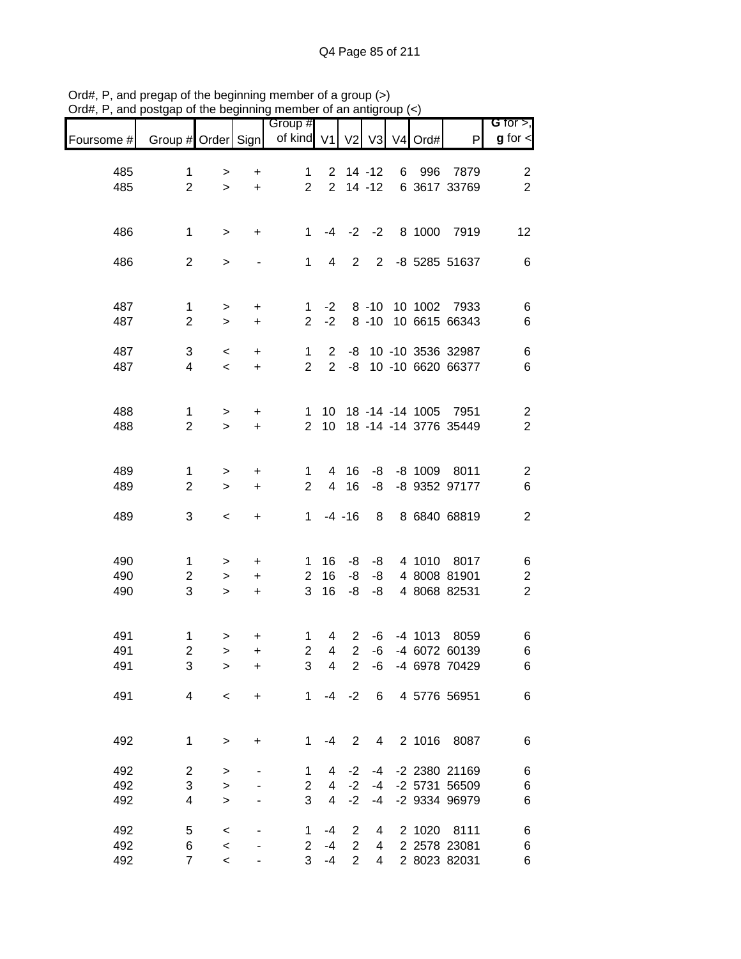|            |                         |                          |                | Group #             |                         |                |                |                |        |                             | G for $>$ ,                  |
|------------|-------------------------|--------------------------|----------------|---------------------|-------------------------|----------------|----------------|----------------|--------|-----------------------------|------------------------------|
| Foursome # | Group # Order Sign      |                          |                | of kind V1          |                         | V <sub>2</sub> | V3             | V <sub>4</sub> | Ord#   | P                           | $g$ for $\lt$                |
| 485        | 1                       | >                        | +              | 1                   |                         | $2$ 14 -12     |                |                | 6 996  | 7879                        | $\overline{\mathbf{c}}$      |
| 485        | $\overline{2}$          | $\geq$                   | $\ddot{}$      | $\overline{2}$      |                         | $2$ 14 -12     |                |                |        | 6 3617 33769                | $\overline{2}$               |
|            |                         |                          |                |                     |                         |                |                |                |        |                             |                              |
| 486        | $\mathbf 1$             | $\,>$                    | $\ddot{}$      | $\mathbf{1}$        | -4                      | $-2$           | $-2$           |                | 8 1000 | 7919                        | 12                           |
|            |                         |                          |                |                     |                         |                |                |                |        |                             |                              |
| 486        | $\overline{2}$          | $\,>$                    |                | $\mathbf 1$         | 4                       | 2              | $\overline{2}$ |                |        | -8 5285 51637               | $\,6$                        |
|            |                         |                          |                |                     |                         |                |                |                |        |                             |                              |
| 487        | $\mathbf{1}$            | $\,$                     | $\ddot{}$      | $\mathbf{1}$        | $-2$                    |                | $8 - 10$       |                |        | 10 1002 7933                | 6                            |
| 487        | $\overline{2}$          | $\geq$                   | +              | $\overline{2}$      | $-2$                    |                | $8 - 10$       |                |        | 10 6615 66343               | 6                            |
| 487        | 3                       | $\,<\,$                  | +              | 1                   | $\overline{2}$          | -8             |                |                |        | 10 -10 3536 32987           | $\,6$                        |
| 487        | $\overline{\mathbf{4}}$ | $\overline{\phantom{a}}$ | $\ddot{}$      | $\overline{2}$      | $\overline{2}$          | -8             |                |                |        | 10 -10 6620 66377           | 6                            |
|            |                         |                          |                |                     |                         |                |                |                |        |                             |                              |
| 488        | $\mathbf{1}$            | >                        | +              | 1                   | 10                      |                |                |                |        | 18 -14 -14 1005 7951        | $\overline{\mathbf{c}}$      |
| 488        | $\overline{2}$          | $\geq$                   | $\ddot{}$      | $\overline{2}$      | 10                      |                |                |                |        | 18 -14 -14 3776 35449       | $\overline{2}$               |
|            |                         |                          |                |                     |                         |                |                |                |        |                             |                              |
| 489        | $\mathbf 1$             | >                        | $\ddot{}$      | 1                   | 4                       | 16             | -8             |                |        | -8 1009 8011                | $\overline{\mathbf{c}}$      |
| 489        | $\overline{2}$          | $\geq$                   | +              | $\overline{2}$      | $\overline{4}$          | 16             | -8             |                |        | -8 9352 97177               | 6                            |
| 489        | 3                       | $\,<\,$                  | +              | $\mathbf{1}$        |                         | $-4 - 16$      | 8              |                |        | 8 6840 68819                | $\overline{2}$               |
|            |                         |                          |                |                     |                         |                |                |                |        |                             |                              |
|            |                         |                          |                |                     |                         |                |                |                |        |                             |                              |
| 490<br>490 | 1<br>$\overline{c}$     | ><br>$\,>$               | +<br>$\ddot{}$ | 1<br>$\overline{2}$ | 16<br>16                | -8<br>-8       | -8<br>-8       |                |        | 4 1010 8017<br>4 8008 81901 | 6<br>$\overline{\mathbf{c}}$ |
| 490        | 3                       | $\geq$                   | $\ddot{}$      | 3                   | 16                      | -8             | -8             |                |        | 4 8068 82531                | $\overline{2}$               |
|            |                         |                          |                |                     |                         |                |                |                |        |                             |                              |
| 491        | $\mathbf{1}$            | >                        | +              | 1                   | 4                       | $\overline{2}$ | $-6$           |                |        | -4 1013 8059                | 6                            |
| 491        | $\boldsymbol{2}$        | $\,>$                    | +              | $\overline{2}$      | $\overline{\mathbf{4}}$ | $\overline{2}$ | $-6$           |                |        | -4 6072 60139               | 6                            |
| 491        | 3                       | $\, > \,$                | +              | 3                   | $\overline{\mathbf{4}}$ | 2              | -6             |                |        | -4 6978 70429               | 6                            |
| 491        | 4                       | $\,<$                    | +              | $\mathbf 1$         | -4                      | $-2$           | 6              |                |        | 4 5776 56951                | $\,6$                        |
|            |                         |                          |                |                     |                         |                |                |                |        |                             |                              |
|            |                         |                          |                |                     |                         |                |                |                |        |                             |                              |
| 492        | 1                       | $\, >$                   | +              | 1                   | $-4$                    | $\overline{2}$ | 4              |                | 2 1016 | 8087                        | $\,6$                        |
| 492        | $\overline{c}$          | >                        |                | 1                   | 4                       | $-2$           | $-4$           |                |        | -2 2380 21169               | 6                            |
| 492        | 3                       | $\,>$                    |                | $\mathbf{2}$        | 4                       | $-2$           | $-4$           |                |        | -2 5731 56509               | 6                            |
| 492        | 4                       | $\mathbf{L}$             |                | 3                   | $\overline{\mathbf{4}}$ | $-2$           | $-4$           |                |        | -2 9334 96979               | 6                            |
| 492        | 5                       | $\,<$                    |                | 1                   | $-4$                    | $\overline{2}$ | 4              |                | 2 1020 | 8111                        | 6                            |
| 492        | 6                       | $\prec$                  |                | $\overline{2}$      | $-4$                    | $\overline{2}$ | 4              |                |        | 2 2578 23081                | 6                            |
| 492        | $\overline{7}$          | $\,<$                    |                | 3                   | $-4$                    | $\overline{2}$ | 4              |                |        | 2 8023 82031                | $\,6$                        |

Ord#, P, and pregap of the beginning member of a group (>) Ord#, P, and postgap of the beginning member of an antigroup (<)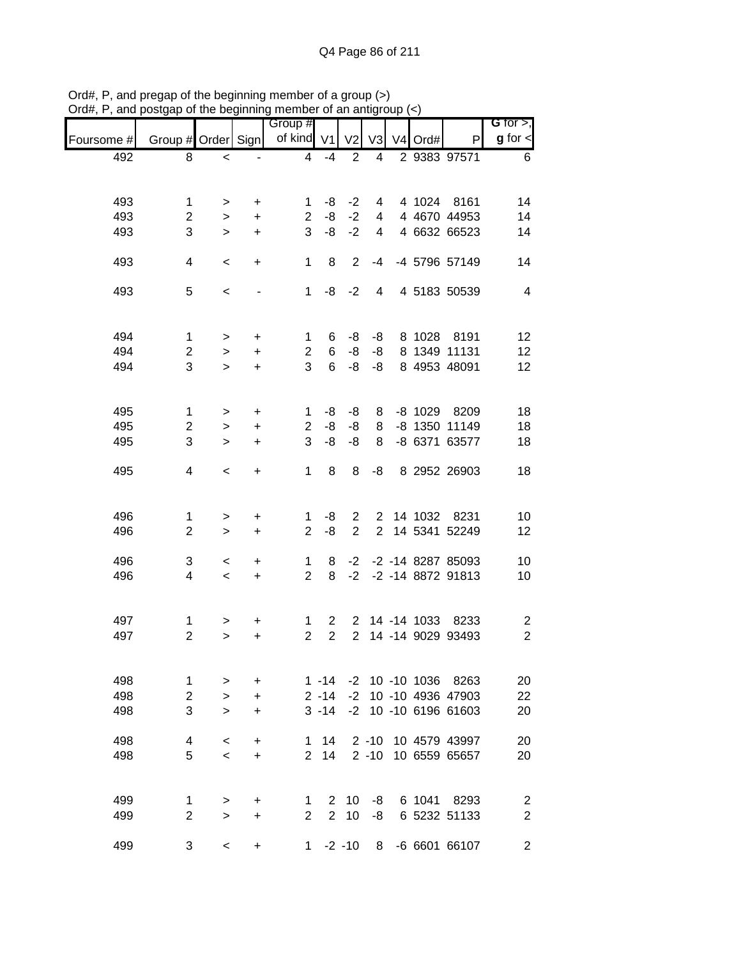|            |                                |              |                              | Group #             |                                |                |                |             |                      | G for $>$ ,                      |
|------------|--------------------------------|--------------|------------------------------|---------------------|--------------------------------|----------------|----------------|-------------|----------------------|----------------------------------|
| Foursome # | Group # Order Sign             |              |                              | of kind V1          |                                | V <sub>2</sub> | V <sub>3</sub> | V4 Ord#     | P                    | $g$ for $\lt$                    |
| 492        | 8                              | $\,<\,$      |                              | $\overline{4}$      | $-4$                           | $\overline{2}$ | 4              |             | 2 9383 97571         | 6                                |
|            |                                |              |                              |                     |                                |                |                |             |                      |                                  |
| 493        | $\mathbf 1$                    | >            | +                            | 1.                  | -8                             | $-2$           | 4              |             | 4 1024 8161          | 14                               |
| 493        | $\mathbf{2}$                   | $\geq$       | $\ddot{}$                    | $\overline{2}$      | -8                             | $-2$           |                |             | 4 4 4670 44953       | 14                               |
| 493        | 3                              | $\geq$       | $\ddot{}$                    | 3                   | -8                             | $-2$           | $\overline{4}$ |             | 4 6632 66523         | 14                               |
|            |                                |              |                              |                     |                                |                |                |             |                      |                                  |
| 493        | 4                              | $\,<\,$      | $\ddot{}$                    | 1                   | 8                              | 2              | $-4$           |             | -4 5796 57149        | 14                               |
|            |                                |              |                              |                     |                                |                |                |             |                      |                                  |
| 493        | 5                              | $\,<\,$      | $\qquad \qquad \blacksquare$ | $\mathbf{1}$        | -8                             | $-2$           | $\overline{4}$ |             | 4 5183 50539         | $\overline{4}$                   |
|            |                                |              |                              |                     |                                |                |                |             |                      |                                  |
| 494        | $\mathbf{1}$                   | $\,>$        | +                            | 1                   | 6                              | -8             | -8             |             | 8 1028 8191          | 12                               |
| 494        | $\overline{c}$                 | $\geq$       | $\ddot{}$                    | $\overline{c}$      | 6                              | -8             | -8             |             | 8 1349 11131         | 12                               |
| 494        | 3                              | $\geq$       | $\ddot{}$                    | 3                   | 6                              | -8             | -8             |             | 8 4953 48091         | 12                               |
|            |                                |              |                              |                     |                                |                |                |             |                      |                                  |
|            |                                |              |                              |                     |                                |                |                |             | 8209                 |                                  |
| 495<br>495 | $\mathbf{1}$                   | >            | $\ddot{}$                    | 1                   | -8<br>$-8$                     | -8             | 8              | -8 1029     |                      | 18                               |
|            | $\boldsymbol{2}$<br>3          | $\, > \,$    | +                            | $\overline{2}$<br>3 | $-8$                           | -8             | 8              |             | -8 1350 11149        | 18                               |
| 495        |                                | $\geq$       | $\ddot{}$                    |                     |                                | -8             | 8              |             | -8 6371 63577        | 18                               |
| 495        | 4                              | $\,<\,$      | $\ddot{}$                    | 1                   | 8                              | 8              | -8             |             | 8 2952 26903         | 18                               |
|            |                                |              |                              |                     |                                |                |                |             |                      |                                  |
|            |                                |              |                              |                     |                                |                |                |             |                      |                                  |
| 496        | 1                              | >            | +                            | 1                   | -8                             | $\mathbf{2}$   |                |             | 2 14 1032 8231       | 10                               |
| 496        | $\overline{2}$                 | $\mathbf{L}$ | $\ddot{}$                    | $\overline{2}$      | -8                             | $\overline{2}$ | $\overline{2}$ |             | 14 5341 52249        | 12                               |
| 496        | 3                              | $\,<\,$      | $\ddot{}$                    | 1                   | 8                              |                |                |             | -2 -2 -14 8287 85093 | 10                               |
| 496        | 4                              | $\,<$        | $\ddot{}$                    | $\overline{2}$      | 8                              |                |                |             | -2 -2 -14 8872 91813 | 10                               |
|            |                                |              |                              |                     |                                |                |                |             |                      |                                  |
|            |                                |              |                              |                     |                                |                |                |             |                      |                                  |
| 497        | $\mathbf{1}$<br>$\overline{2}$ | >            | +                            | 1<br>$\overline{2}$ | $\mathbf{2}$<br>$\overline{2}$ | $\overline{2}$ |                |             | 2 14 -14 1033 8233   | $\overline{c}$<br>$\overline{2}$ |
| 497        |                                | $\geq$       | $\ddot{}$                    |                     |                                |                |                |             | 14 -14 9029 93493    |                                  |
|            |                                |              |                              |                     |                                |                |                |             |                      |                                  |
| 498        | 1                              | >            | $\ddot{}$                    |                     | $1 - 14$                       | $-2$           |                | 10 -10 1036 | 8263                 | 20                               |
| 498        | $\overline{c}$                 | $\geq$       | +                            |                     | $2 - 14$                       | $-2$           |                |             | 10 -10 4936 47903    | 22                               |
| 498        | 3                              | $\geq$       | +                            |                     | $3 - 14$                       | $-2$           |                |             | 10 -10 6196 61603    | 20                               |
| 498        | 4                              | $\,<\,$      |                              | 1.                  | 14                             |                | $2 - 10$       |             | 10 4579 43997        | 20                               |
| 498        | 5                              |              | +                            | $\overline{2}$      |                                |                | $2 - 10$       |             |                      |                                  |
|            |                                | $\,<$        | $\ddot{}$                    |                     | 14                             |                |                |             | 10 6559 65657        | 20                               |
|            |                                |              |                              |                     |                                |                |                |             |                      |                                  |
| 499        | 1                              | >            | +                            | 1.                  | $\overline{2}$                 | 10             | -8             |             | 6 1041 8293          | $\overline{\mathbf{c}}$          |
| 499        | $\overline{2}$                 | $\geq$       | +                            | $\overline{2}$      | $\overline{2}$                 | 10             | -8             |             | 6 5232 51133         | $\overline{2}$                   |
| 499        | 3                              | $\,<\,$      | +                            | 1.                  |                                | $-2 - 10$      | 8              |             | -6 6601 66107        | $\overline{2}$                   |

Ord#, P, and pregap of the beginning member of a group (>) Ord#, P, and postgap of the beginning member of an antigroup (<)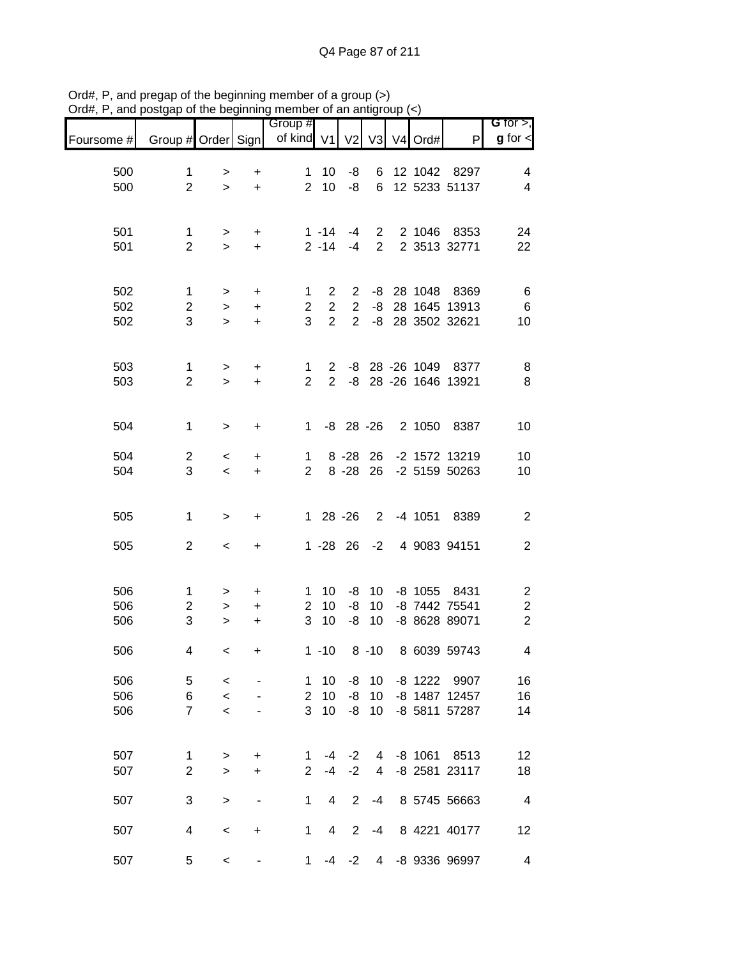| G for $>$ ,                               |                       |           |                |                |                | Group #             |           |                |                     |            |
|-------------------------------------------|-----------------------|-----------|----------------|----------------|----------------|---------------------|-----------|----------------|---------------------|------------|
| $g$ for $\lt$                             | P                     | V4 Ord#   | V3             | V <sub>2</sub> |                | of kind $V1$        |           |                | Group # Order Sign  | Foursome # |
| 4                                         | 12 1042 8297          |           | 6              | -8             | 10             | 1                   | +         | >              | 1                   | 500        |
| $\overline{4}$                            | 12 5233 51137         |           | 6              | -8             | 10             | $\overline{2}$      | $\ddot{}$ | $\geq$         | $\overline{2}$      | 500        |
|                                           |                       |           |                |                |                |                     |           |                |                     |            |
| 24                                        | 2 1046 8353           |           | $\overline{2}$ | $-4$           | $1 - 14$       |                     | +         | $\, >$         | 1                   | 501        |
| 22                                        | 2 3513 32771          |           | $\overline{2}$ | $-4$           | $2 - 14$       |                     | $\ddot{}$ | $\geq$         | $\overline{2}$      | 501        |
|                                           |                       |           |                |                |                |                     |           |                |                     |            |
| $\,6$                                     | -8 28 1048 8369       |           |                | $\overline{2}$ | $\overline{2}$ | 1                   | +         | >              | 1                   | 502        |
| $\,6$                                     | 28 1645 13913         |           | -8             | $\overline{2}$ | $\overline{2}$ | $\overline{2}$      | +         | $\, >$         | $\overline{2}$      | 502        |
| 10                                        | -8 28 3502 32621      |           |                | $\overline{2}$ | $\overline{2}$ | 3                   | $\ddot{}$ | $\geq$         | 3                   | 502        |
|                                           |                       |           |                |                |                |                     |           |                |                     |            |
| 8                                         | -8 28 -26 1049 8377   |           |                |                | $\mathbf{2}$   | $\mathbf{1}$        | +         | $\, >$         | $\mathbf{1}$        | 503        |
| 8                                         | -8 28 -26 1646 13921  |           |                |                | $\overline{2}$ | $\overline{2}$      | +         | $\geq$         | $\overline{2}$      | 503        |
|                                           |                       |           |                |                |                |                     |           |                |                     |            |
| 10                                        | 8387                  | 2 1050    |                | $-8$ 28 $-26$  |                | $\mathbf{1}$        | +         | $\, > \,$      | $\mathbf 1$         | 504        |
|                                           |                       |           |                |                |                |                     |           |                |                     |            |
| 10                                        | -2 1572 13219         |           | 26             | $8 - 28$       |                | 1                   | +         | $\,<\,$        | $\mathbf{2}$<br>3   | 504        |
| 10                                        | -2 5159 50263         |           | 26             | $8 - 28$       |                | 2                   | $\ddot{}$ | $\,<\,$        |                     | 504        |
|                                           |                       |           |                |                |                |                     |           |                |                     |            |
| $\overline{2}$                            | 8389                  | $-4$ 1051 | $\overline{2}$ |                | $128 - 26$     |                     | +         | $\, > \,$      | 1                   | 505        |
| $\sqrt{2}$                                | 4 9083 94151          |           | $-2$           |                | $1 - 28$ 26    |                     | +         | $\,<$          | $\mathbf{2}$        | 505        |
|                                           |                       |           |                |                |                |                     |           |                |                     |            |
|                                           |                       |           |                |                |                |                     |           |                |                     |            |
| $\overline{c}$<br>$\overline{\mathbf{c}}$ | 8431<br>-8 7442 75541 | $-8$ 1055 | 10<br>10       | -8<br>-8       | 10<br>10       | 1<br>$\overline{2}$ | +<br>+    | ><br>$\, > \,$ | 1<br>$\overline{2}$ | 506<br>506 |
| $\overline{2}$                            | -8 8628 89071         |           | 10             | -8             | 10             | 3                   | +         | $\, > \,$      | 3                   | 506        |
|                                           |                       |           |                |                |                |                     |           |                |                     |            |
| 4                                         | 8 6039 59743          |           | $8 - 10$       |                | $1 - 10$       |                     | +         | $\,<\,$        | 4                   | 506        |
| 16                                        | -8 1222 9907          |           | 10             | -8             | 10             | 1                   |           | $\,<\,$        | 5                   | 506        |
| 16                                        | -8 1487 12457         |           | 10             | -8             | 10             | $\overline{2}$      |           | $\prec$        | 6                   | 506        |
| 14                                        | -8 5811 57287         |           | 10             | $-8$           | 10             | 3                   |           | $\,<$          | $\overline{7}$      | 506        |
|                                           |                       |           |                |                |                |                     |           |                |                     |            |
| 12                                        | 8513                  | $-8$ 1061 | 4              | $-2$           | $-4$           | 1                   | +         | >              | $\mathbf 1$         | 507        |
| 18                                        | -8 2581 23117         |           | 4              | $-2$           | $-4$           | $\overline{2}$      | +         | $\geq$         | $\overline{2}$      | 507        |
| $\overline{4}$                            | 8 5745 56663          |           | $-4$           | $\overline{2}$ | 4              | 1                   |           | $\, > \,$      | 3                   | 507        |
|                                           |                       |           |                |                |                |                     |           |                |                     |            |
| 12                                        | 8 4221 40177          |           | -4             | $\overline{2}$ | 4              | 1                   | +         | $\,<\,$        | 4                   | 507        |
| $\overline{\mathbf{4}}$                   | -8 9336 96997         |           | 4              | $-2$           | -4             | 1                   |           | $\,<$          | 5                   | 507        |
|                                           |                       |           |                |                |                |                     |           |                |                     |            |

Ord#, P, and pregap of the beginning member of a group (>) Ord#, P, and postgap of the beginning member of an antigroup (<)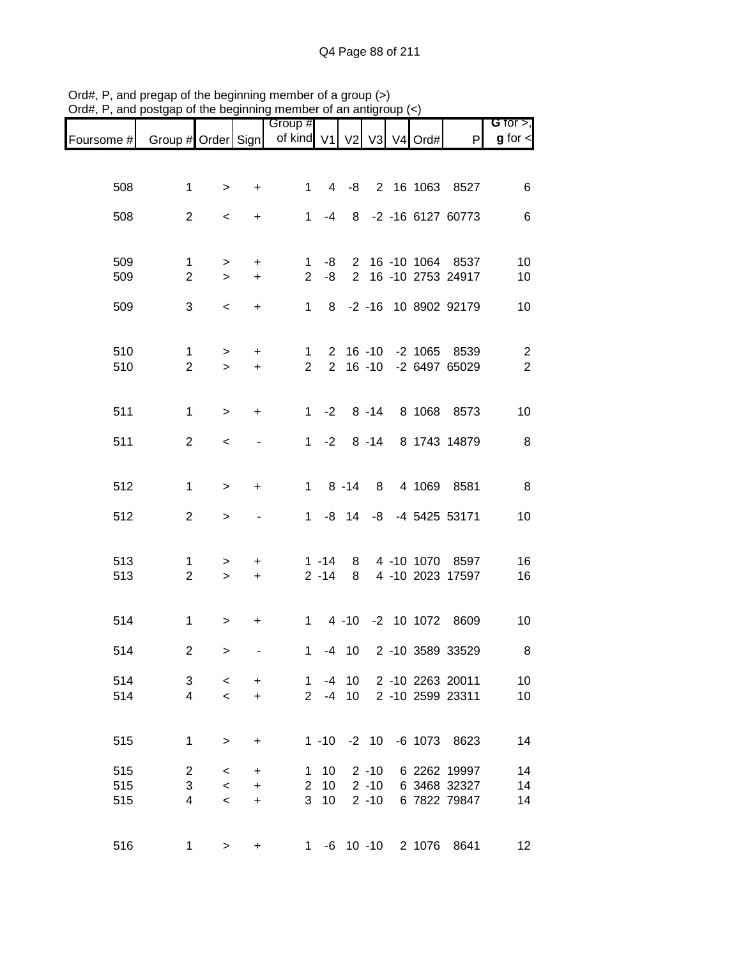|                               |                                |               | .                | Group #                  |                      |                 |                 |                    |                                       | G for $>$ ,    |
|-------------------------------|--------------------------------|---------------|------------------|--------------------------|----------------------|-----------------|-----------------|--------------------|---------------------------------------|----------------|
| Foursome # Group # Order Sign |                                |               |                  | of kind V1 V2 V3 V4 Ord# |                      |                 |                 |                    | P                                     | $g$ for $\leq$ |
|                               |                                |               |                  |                          |                      |                 |                 |                    |                                       |                |
| 508                           | $\mathbf{1}$                   | $\,$          | $\ddot{}$        | $1 \quad$                |                      |                 |                 |                    | 4 -8 2 16 1063 8527                   | 6              |
|                               |                                |               |                  |                          |                      |                 |                 |                    |                                       |                |
| 508                           | $\overline{2}$                 | $\,<$         | $+$              |                          | $1 - 4$              |                 |                 |                    | 8 -2 -16 6127 60773                   | 6              |
|                               |                                |               |                  |                          |                      |                 |                 |                    |                                       |                |
| 509                           | $\mathbf{1}$                   | $\,$          | $\ddot{}$        | $\mathbf{1}$             | -8                   |                 |                 |                    | 2 16 -10 1064 8537                    | 10             |
| 509                           | $\overline{2}$                 | $\,$          | $\ddot{}$        | $\overline{2}$           | $-8$                 |                 |                 |                    | 2 16 -10 2753 24917                   | 10             |
| 509                           | $\mathbf{3}$                   | $\,<$         | $\ddot{}$        | $1 \quad$                |                      |                 |                 |                    | 8 -2 -16 10 8902 92179                | 10             |
|                               |                                |               |                  |                          |                      |                 |                 |                    |                                       |                |
| 510                           | $\mathbf{1}$                   | $\,$          | $+$              | 1                        |                      |                 |                 |                    | 2 16 -10 -2 1065 8539                 | $\overline{c}$ |
| 510                           | $\overline{2}$                 | $\geq$        | $+$              | $2^{\circ}$              |                      |                 |                 |                    | 2 16 -10 -2 6497 65029                | $\overline{2}$ |
|                               |                                |               |                  |                          |                      |                 |                 |                    |                                       |                |
| 511                           | $\mathbf{1}$                   | $\geq$        | $\ddot{}$        |                          | $1 -2$               |                 |                 |                    | 8 -14 8 1068 8573                     | 10             |
| 511                           | $\overline{2}$                 | $\,<$         |                  |                          | $1 -2$               |                 |                 |                    | 8 -14 8 1743 14879                    | $\, 8$         |
|                               |                                |               |                  |                          |                      |                 |                 |                    |                                       |                |
| 512                           | $\mathbf{1}$                   | $\geq$        | $+$              |                          |                      | $1 \t 8 \t -14$ |                 |                    | 8 4 1069 8581                         | $\,8\,$        |
|                               |                                |               |                  |                          |                      |                 |                 |                    |                                       |                |
| 512                           | $\overline{2}$                 | $\mathbf{L}$  |                  |                          |                      |                 |                 |                    | 1 -8 14 -8 -4 5425 53171              | 10             |
|                               |                                |               |                  |                          |                      |                 |                 |                    |                                       |                |
| 513<br>513                    | $\mathbf{1}$<br>$\overline{2}$ | $\,$<br>$\,>$ | $\ddot{}$<br>$+$ |                          | $1 - 14$<br>$2 - 14$ | 8               |                 |                    | 8 4 -10 1070 8597<br>4 -10 2023 17597 | 16<br>16       |
|                               |                                |               |                  |                          |                      |                 |                 |                    |                                       |                |
| 514                           | $\mathbf{1}$                   | $\,$          | $\ddot{}$        |                          |                      |                 |                 |                    | 1 4 -10 -2 10 1072 8609               | 10             |
|                               |                                |               |                  |                          |                      |                 |                 |                    |                                       |                |
| 514                           | $\overline{c}$                 | $\,>$         |                  | $\mathbf 1$              |                      |                 |                 |                    | -4 10 2 -10 3589 33529                | 8              |
| 514                           | 3                              | $\,<$         | $\ddot{}$        | $\mathbf{1}$             |                      | $-4$ 10         |                 |                    | 2 -10 2263 20011                      | 10             |
| 514                           | $\overline{4}$                 | $\,<$         | $\ddot{}$        |                          |                      | $2 - 4 10$      |                 |                    | 2 -10 2599 23311                      | 10             |
|                               |                                |               |                  |                          |                      |                 |                 |                    |                                       |                |
| 515                           | $\mathbf{1}$                   | $\geq$        | $\ddot{}$        |                          |                      |                 | $1 - 10 - 2 10$ |                    | -6 1073 8623                          | 14             |
| 515                           | $\overline{2}$                 | $\,<$         | $\ddot{}$        | $\mathbf{1}$             | 10                   |                 | $2 - 10$        |                    | 6 2262 19997                          | 14             |
| 515                           | $\sqrt{3}$                     | $\,<$         | $+$              |                          | $2 10$               |                 | $2 - 10$        |                    | 6 3468 32327                          | 14             |
| 515                           | 4                              | $\,<$         | $\ddot{}$        |                          | 3 <sub>10</sub>      |                 | $2 - 10$        |                    | 6 7822 79847                          | 14             |
|                               |                                |               |                  |                          |                      |                 |                 |                    |                                       |                |
| 516                           | 1                              | $\geq$        | $\ddot{}$        |                          |                      |                 |                 | 1 -6 10 -10 2 1076 | 8641                                  | 12             |

Ord#, P, and pregap of the beginning member of a group (>) Ord#, P, and postgap of the beginning member of an antigroup (<)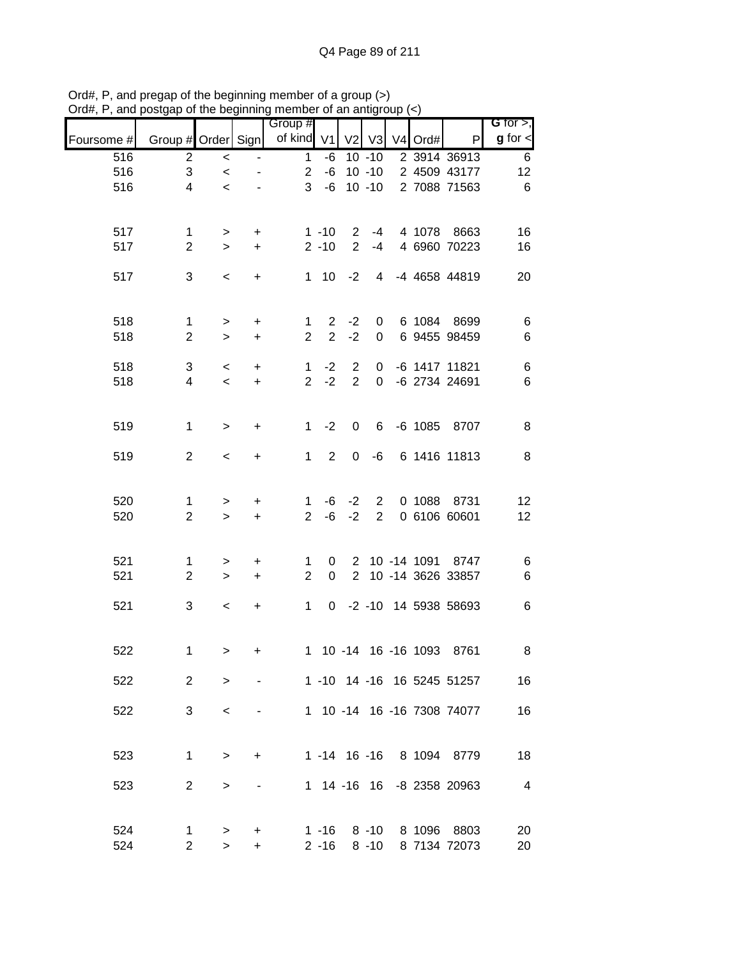| ana        | ondah or me pedirimin |              |                          | mombor or an anign    |                      |                |                      |                      |                             |                              |
|------------|-----------------------|--------------|--------------------------|-----------------------|----------------------|----------------|----------------------|----------------------|-----------------------------|------------------------------|
| Foursome # | Group # Order Sign    |              |                          | Group #<br>of kind V1 |                      | V <sub>2</sub> | V3                   | V4 Ord#              | P                           | G for $>$ ,<br>$g$ for $\lt$ |
| 516        | $\overline{c}$        | $\,<$        | $\overline{\phantom{a}}$ | $\mathbf{1}$          | -6                   |                | $10 - 10$            |                      | 2 3914 36913                | 6                            |
| 516        | 3                     | $\,<$        |                          | $\overline{2}$        | $-6$                 |                | $10 - 10$            |                      | 2 4509 43177                | 12                           |
| 516        | 4                     | $\prec$      |                          | 3                     | $-6$                 |                | $10 - 10$            |                      | 2 7088 71563                | $\,6$                        |
| 517        | $\mathbf{1}$          | $\,$         | $\ddot{}$                |                       | $1 - 10$             | $\mathbf{2}$   | $-4$                 | 4 1078               | 8663                        | 16                           |
| 517        | $\overline{2}$        | $\,$         | $\pm$                    |                       | $2 - 10$             | $\overline{2}$ | $-4$                 |                      | 4 6960 70223                | 16                           |
| 517        | 3                     | $\,<$        | $\ddot{}$                |                       |                      | $1 \t10 \t-2$  | $\overline{4}$       |                      | -4 4658 44819               | 20                           |
| 518        | $\mathbf{1}$          | $\,$         | $\ddot{}$                | $\mathbf{1}$          | $2^{\circ}$          | $-2$           | 0                    |                      | 6 1084 8699                 | $\,6$                        |
| 518        | $\overline{2}$        | $\,$         | $\ddot{}$                | $\overline{2}$        | $\overline{2}$       | $-2$           | $\mathbf 0$          |                      | 6 9455 98459                | $\,6$                        |
| 518        | 3                     | $\,<$        | $\ddot{}$                | $\mathbf{1}$          | $-2$                 | $\overline{2}$ | 0                    |                      | -6 1417 11821               | $\,6$                        |
| 518        | 4                     | $\,<\,$      | $\ddot{}$                | $\overline{2}$        | $-2$                 | $\overline{2}$ | $\mathbf 0$          |                      | -6 2734 24691               | $\,6$                        |
| 519        | $\mathbf 1$           | $\mathbf{L}$ | $\ddot{}$                | 1                     | $-2$                 | $\mathbf 0$    | 6                    | $-6$ 1085            | 8707                        | 8                            |
| 519        | $\overline{2}$        | $\,<\,$      | $\ddot{}$                | $\mathbf{1}$          | $\overline{2}$       | 0              | -6                   |                      | 6 1416 11813                | $\, 8$                       |
| 520        | $\mathbf{1}$          | $\,$         | +                        | 1                     | -6                   | $-2$           | $\overline{2}$       | 0 1088               | 8731                        | 12                           |
| 520        | $\overline{2}$        | $\,$         | $\ddot{}$                | $\overline{2}$        | -6                   | $-2$           | $\overline{2}$       |                      | 0 6106 60601                | 12                           |
| 521        | $\mathbf 1$           | $\,$         | +                        | $\mathbf 1$           | 0                    |                |                      |                      | 2 10 -14 1091 8747          | 6                            |
| 521        | $\overline{2}$        | $\,>$        | $+$                      | $\overline{2}$        | $\mathbf 0$          |                |                      |                      | 2 10 -14 3626 33857         | $\,6$                        |
| 521        | 3                     | $\,<$        | +                        | 1                     |                      |                |                      |                      | 0 -2 -10 14 5938 58693      | $\,6$                        |
| 522        | 1                     | $\geq$       | +                        |                       |                      |                |                      | 1 10 -14 16 -16 1093 | 8761                        | 8                            |
| 522        | $\overline{2}$        | $\geq$       |                          |                       |                      |                |                      |                      | 1 -10 14 -16 16 5245 51257  | 16                           |
| 522        | 3                     | $\,<\,$      |                          |                       |                      |                |                      |                      | 1 10 -14 16 -16 7308 74077  | 16                           |
| 523        | $\mathbf 1$           | $\geq$       | $\ddot{}$                |                       |                      |                |                      |                      | 1 -14 16 -16 8 1094 8779    | 18                           |
| 523        | $\overline{2}$        | >            |                          |                       |                      | 1 14 -16 16    |                      |                      | -8 2358 20963               | $\overline{4}$               |
| 524<br>524 | 1<br>$\overline{2}$   | ><br>$\geq$  | +<br>$\ddot{}$           |                       | $1 - 16$<br>$2 - 16$ |                | $8 - 10$<br>$8 - 10$ |                      | 8 1096 8803<br>8 7134 72073 | 20<br>20                     |

Ord#, P, and pregap of the beginning member of a group (>) Ord#, P, and postgap of the beginning member of an antigroup (<)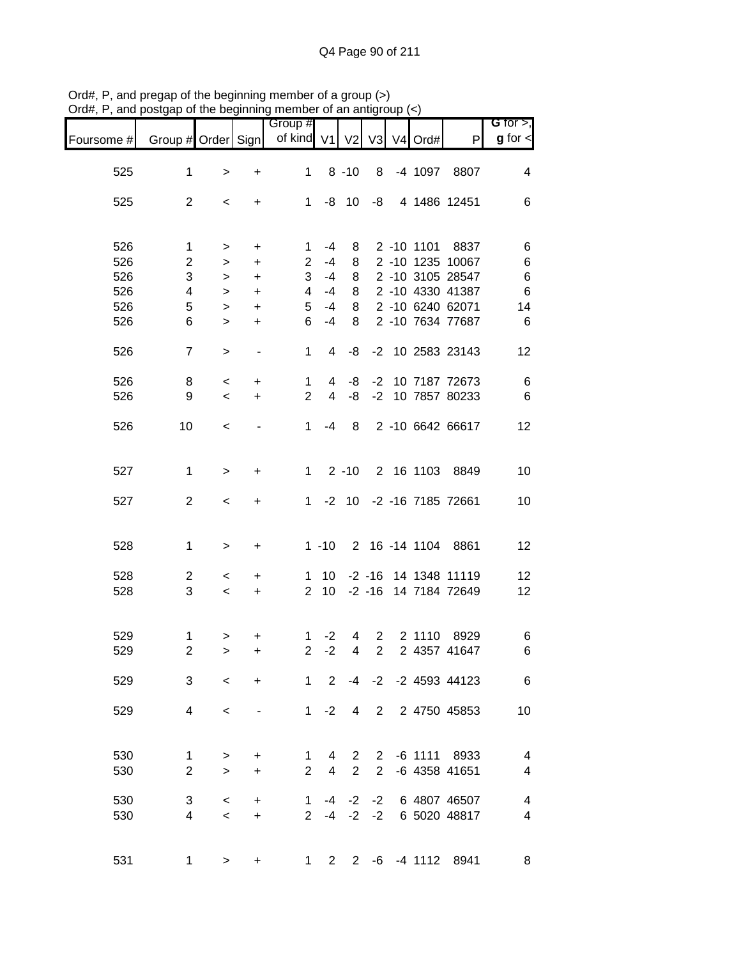| $O(dH, r)$ , and posigap or the beginning member or an analytody $(\leq)$ |                    |           |                          |                          |      |                |             |            |                          |                              |
|---------------------------------------------------------------------------|--------------------|-----------|--------------------------|--------------------------|------|----------------|-------------|------------|--------------------------|------------------------------|
| Foursome #                                                                | Group # Order Sign |           |                          | Group #<br>of kind V1 V2 |      |                |             | V3 V4 Ord# | P                        | G for $>$ ,<br>$g$ for $\lt$ |
| 525                                                                       | 1                  | $\, > \,$ | +                        | 1                        |      | $8 - 10$       | 8           | -4 1097    | 8807                     | 4                            |
| 525                                                                       | $\overline{2}$     | $\,<\,$   | +                        | $\mathbf 1$              |      | $-8$ 10        | -8          |            | 4 1486 12451             | 6                            |
| 526                                                                       | 1                  | >         | +                        | 1                        | $-4$ | 8              |             |            | 2 -10 1101 8837          | 6                            |
| 526                                                                       | 2                  | $\, > \,$ | $\ddot{}$                | $\overline{2}$           | $-4$ | 8              |             |            | 2 -10 1235 10067         | 6                            |
| 526                                                                       | 3                  | >         | $\ddot{}$                | 3                        | $-4$ | 8              |             |            | 2 -10 3105 28547         | 6                            |
| 526                                                                       | 4                  | $\, > \,$ | $\ddot{}$                | 4                        | $-4$ | 8              |             |            | 2 -10 4330 41387         | $6\phantom{1}6$              |
|                                                                           |                    |           |                          |                          |      |                |             |            |                          |                              |
| 526                                                                       | 5                  | $\, > \,$ | $\ddot{}$                | 5                        | $-4$ | 8              |             |            | 2 -10 6240 62071         | 14                           |
| 526                                                                       | 6                  | $\geq$    | $\ddot{}$                | 6                        | $-4$ | 8              |             |            | 2 -10 7634 77687         | 6                            |
| 526                                                                       | $\overline{7}$     | $\, > \,$ | -                        | 1                        | 4    | -8             |             |            | -2 10 2583 23143         | 12                           |
| 526                                                                       | 8                  | $\,<\,$   | +                        | 1                        | 4    | -8             | $-2$        |            | 10 7187 72673            | 6                            |
| 526                                                                       | 9                  | $\,<\,$   | $\ddot{}$                | $\overline{2}$           | 4    | -8             |             |            | -2 10 7857 80233         | 6                            |
| 526                                                                       | 10                 | $\,<\,$   | $\overline{\phantom{0}}$ | 1                        | $-4$ | 8              |             |            | 2 -10 6642 66617         | 12                           |
|                                                                           |                    |           |                          |                          |      |                |             |            |                          |                              |
| 527                                                                       | 1                  | $\, > \,$ | +                        | $\mathbf 1$              |      | $2 - 10$       |             |            | 2 16 1103 8849           | 10                           |
| 527                                                                       | $\overline{2}$     | $\,<\,$   | +                        | $\mathbf 1$              |      |                |             |            | -2 10 -2 -16 7185 72661  | 10                           |
| 528                                                                       | $\mathbf{1}$       | >         | +                        |                          |      |                |             |            | 1 -10 2 16 -14 1104 8861 | 12                           |
|                                                                           |                    |           |                          |                          |      |                |             |            |                          |                              |
| 528                                                                       | 2                  | $\,<\,$   | +                        | 1                        | 10   |                |             |            | -2 -16 14 1348 11119     | 12                           |
| 528                                                                       | 3                  | $\prec$   | $\ddot{}$                | $\overline{2}$           | 10   |                |             |            | -2 -16 14 7184 72649     | 12                           |
|                                                                           |                    |           |                          |                          |      |                |             |            |                          |                              |
| 529                                                                       | 1                  | $\, > \,$ | +                        | 1.                       | $-2$ | 4              | $2^{\circ}$ | 2 1110     | 8929                     | 6                            |
| 529                                                                       | $\overline{2}$     | $\geq$    |                          | 2                        | $-2$ | $\overline{4}$ | $2^{\circ}$ |            | 2 4357 41647             | 6.                           |
| 529                                                                       | 3                  | $\,<$     | $\ddot{}$                |                          |      |                |             |            | 1 2 -4 -2 -2 4593 44123  | 6                            |
| 529                                                                       | 4                  | $\,<\,$   | $\overline{\phantom{0}}$ |                          |      | $1 -2 4$       |             |            | 2 2 4750 45853           | 10                           |
| 530                                                                       | $\mathbf{1}$       |           |                          |                          |      |                |             |            | 1 4 2 2 -6 1111 8933     | 4                            |
| 530                                                                       | $\overline{2}$     | $\geq$    | $\ddot{}$<br>$+$         |                          |      |                |             |            | 2 4 2 2 -6 4358 41651    | $\overline{4}$               |
|                                                                           |                    | $\,>$     |                          |                          |      |                |             |            |                          |                              |
| 530                                                                       | 3                  | $\,<$     | $\ddot{}$                | $\overline{1}$           |      |                |             |            | -4 -2 -2 6 4807 46507    | 4                            |
| 530                                                                       | $\overline{4}$     | $\,<$     | $+$                      |                          |      |                |             |            | 2 -4 -2 -2 6 5020 48817  | 4                            |
|                                                                           |                    |           |                          |                          |      |                |             |            |                          |                              |
| 531                                                                       | $\mathbf{1}$       | $\geq$    | +                        |                          |      |                |             |            | 1 2 2 -6 -4 1112 8941    | 8                            |

Ord#, P, and pregap of the beginning member of a group (>) Ord#, P, and postgap of the beginning member of an antigroup (<)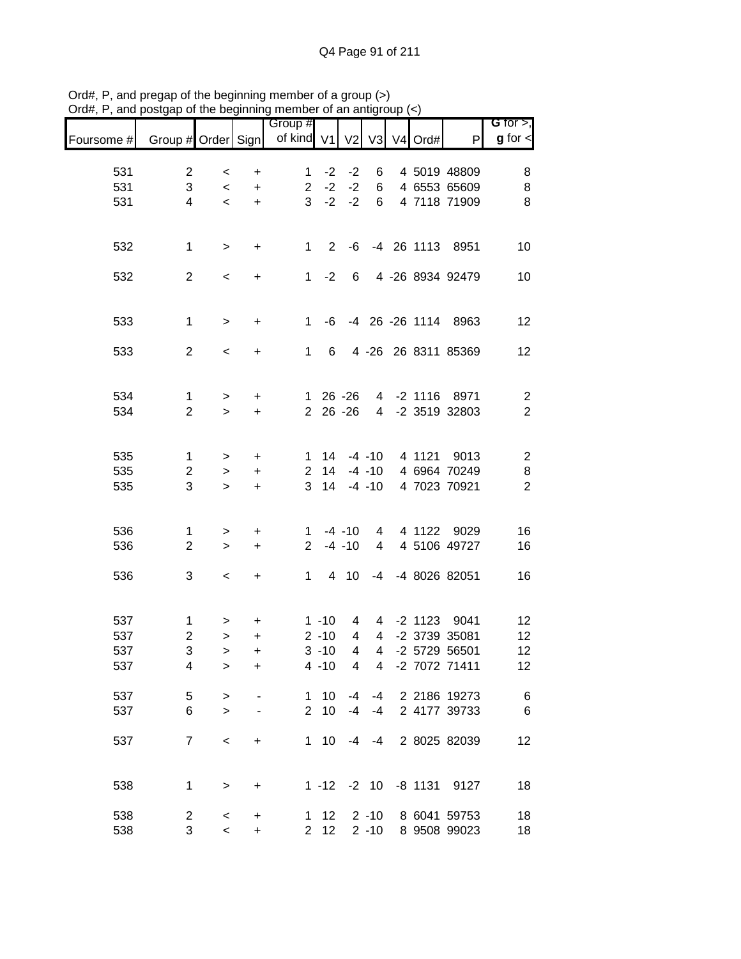|            |                    |           |                  | Group #        |                 |                |                         |                     |                     | G for $>$ ,             |
|------------|--------------------|-----------|------------------|----------------|-----------------|----------------|-------------------------|---------------------|---------------------|-------------------------|
| Foursome # | Group # Order Sign |           |                  | of kind V1     |                 | V <sub>2</sub> | V3                      | V <sub>4</sub> Ord# | $\mathsf{P}$        | $g$ for $\lt$           |
|            |                    |           |                  |                |                 |                |                         |                     |                     |                         |
| 531        | $\overline{c}$     | $\,<\,$   | $\ddot{}$        | $\mathbf 1$    | $-2$            | $-2$           | 6                       |                     | 4 5019 48809        | 8                       |
| 531        | 3                  | $\,<$     | $\ddot{}$        | $\overline{2}$ | $-2$            | $-2$           | 6                       |                     | 4 6553 65609        | 8                       |
| 531        | $\overline{4}$     | $\prec$   | $\color{red}{+}$ | 3              | $-2$            | $-2$           | 6                       |                     | 4 7118 71909        | 8                       |
|            |                    |           |                  |                |                 |                |                         |                     |                     |                         |
| 532        | $\mathbf{1}$       | $\,$      | +                | $\mathbf{1}$   | 2               | -6             |                         |                     | -4 26 1113 8951     | 10                      |
| 532        | $\overline{2}$     | $\,<\,$   | +                | $\mathbf{1}$   | $-2$            | 6              |                         |                     | 4 -26 8934 92479    | 10                      |
|            |                    |           |                  |                |                 |                |                         |                     |                     |                         |
| 533        | $\mathbf{1}$       | $\, >$    | $\ddot{}$        | $\mathbf{1}$   | -6              |                |                         |                     | -4 26 -26 1114 8963 | 12                      |
| 533        | $\overline{2}$     | $\,<\,$   | +                | 1              | 6               |                | $4 - 26$                |                     | 26 8311 85369       | 12                      |
|            |                    |           |                  |                |                 |                |                         |                     |                     |                         |
| 534        | $\mathbf{1}$       | $\, > \,$ | +                | $\mathbf{1}$   |                 | $26 - 26$      |                         |                     | 4 -2 1116 8971      | $\overline{c}$          |
| 534        | $\overline{2}$     | $\geq$    | $\ddot{}$        |                | 2 26 -26        |                |                         |                     | 4 -2 3519 32803     | $\overline{2}$          |
|            |                    |           |                  |                |                 |                |                         |                     |                     |                         |
| 535        | 1                  | $\, > \,$ | $\ddot{}$        | 1              | 14              |                | $-4 - 10$               |                     | 4 1121 9013         | $\overline{\mathbf{c}}$ |
| 535        | $\overline{c}$     | $\,>$     | $\ddot{}$        | $\overline{c}$ | 14              |                | $-4 - 10$               |                     | 4 6964 70249        | 8                       |
| 535        | 3                  | $\geq$    | $\ddot{}$        | 3              | 14              |                | $-4 - 10$               |                     | 4 7023 70921        | $\overline{2}$          |
|            |                    |           |                  |                |                 |                |                         |                     |                     |                         |
| 536        | 1                  | >         | +                | 1              |                 | $-4 - 10$      | $\overline{4}$          | 4 1122              | 9029                | 16                      |
| 536        | $\overline{2}$     | $\,>$     | +                | $\overline{2}$ |                 | $-4 - 10$      | $\overline{4}$          |                     | 4 5106 49727        | 16                      |
| 536        | 3                  | $\,<\,$   | $\ddot{}$        | 1              | $4\overline{ }$ | 10             | -4                      |                     | -4 8026 82051       | 16                      |
|            |                    |           |                  |                |                 |                |                         |                     |                     |                         |
| 537        | 1                  | >         | +                |                | $1 - 10$        | 4              | 4                       | -2 1123             | 9041                | 12                      |
| 537        | $\overline{c}$     | $\,>$     | $\ddot{}$        |                | $2 - 10$        | 4              | $\overline{4}$          |                     | -2 3739 35081       | 12                      |
| 537        | 3                  | $\geq$    | $\ddot{}$        |                | $3 - 10$        | 4              | $\overline{\mathbf{4}}$ |                     | -2 5729 56501       | 12                      |
| 537        | 4                  | $\geq$    | +                |                | $4 - 10$        | 4              |                         |                     | 4 -2 7072 71411     | 12                      |
| 537        | 5                  | $\, > \,$ |                  | 1.             | 10              | -4             | $-4$                    |                     | 2 2186 19273        | 6                       |
| 537        | 6                  | $\geq$    |                  | $\overline{2}$ | 10              | $-4$           | $-4$                    |                     | 2 4177 39733        | 6                       |
| 537        | $\overline{7}$     | $\,<\,$   | +                |                | $1 10$          | $-4$           | $-4$                    |                     | 2 8025 82039        | 12                      |
|            |                    |           |                  |                |                 |                |                         |                     |                     |                         |
| 538        | 1                  | >         | $\ddot{}$        |                |                 |                | $1 - 12 - 2 10$         |                     | -8 1131 9127        | 18                      |
|            |                    |           |                  |                |                 |                |                         |                     |                     |                         |
| 538        | $\overline{c}$     | $\,<$     | $\ddot{}$        | 1              | 12              |                | $2 - 10$                |                     | 8 6041 59753        | 18                      |
| 538        | 3                  | $\,<\,$   | +                | $\overline{2}$ | 12              |                | $2 - 10$                |                     | 8 9508 99023        | 18                      |

Ord#, P, and pregap of the beginning member of a group (>) Ord#, P, and postgap of the beginning member of an antigroup (<)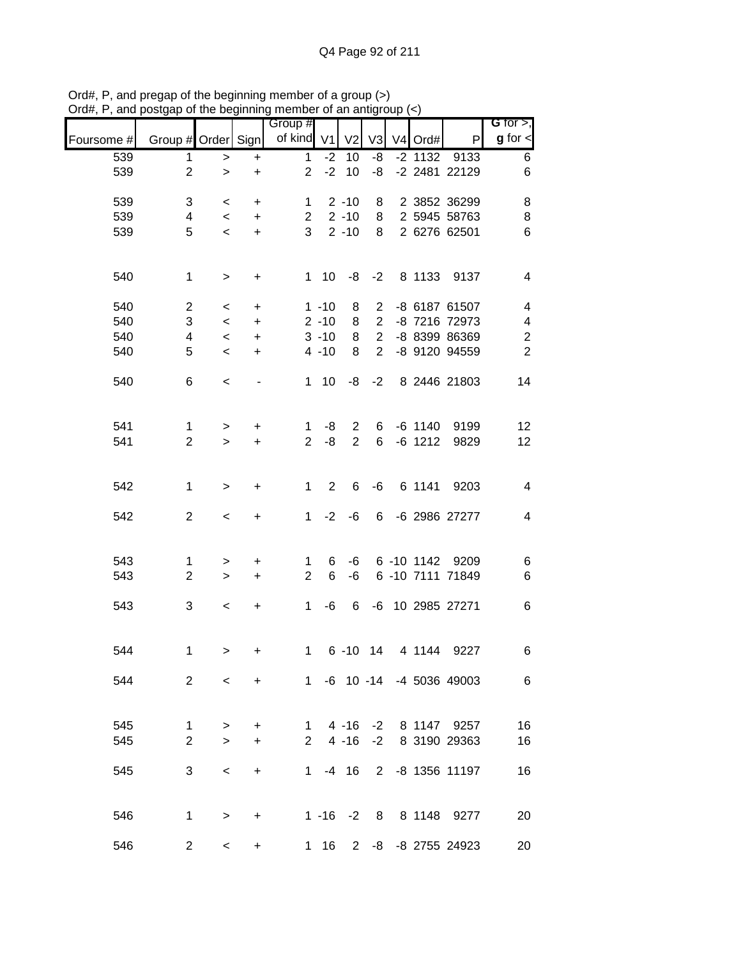| unw        | oolgap or the beginning |                          |                                  | <b>THOLLOUT OF ALL ALLUM</b> |                |                |                |           |                           |                               |
|------------|-------------------------|--------------------------|----------------------------------|------------------------------|----------------|----------------|----------------|-----------|---------------------------|-------------------------------|
| Foursome # | Group # Order Sign      |                          |                                  | Group #<br>of kind V1        |                | V <sub>2</sub> | V <sub>3</sub> | V4 Ord#   | P                         | G for $>$ ,<br>$g$ for $\leq$ |
| 539        | 1                       | $\,$                     | $\ddot{}$                        | $\mathbf{1}$                 | $-2$           | 10             | -8             | $-2$ 1132 | 9133                      | 6                             |
| 539        | $\overline{2}$          | $\geq$                   | $\ddot{}$                        | $\overline{2}$               | $-2$           | 10             | -8             |           | -2 2481 22129             | 6                             |
|            |                         |                          |                                  |                              |                |                |                |           |                           |                               |
| 539        | 3                       | $\,<\,$                  | $\ddot{}$                        | $\mathbf 1$                  |                | $2 - 10$       | 8              |           | 2 3852 36299              | 8                             |
| 539        | 4                       | $\overline{\phantom{0}}$ | $+$                              | $2^{\circ}$                  |                | $2 - 10$       | 8              |           | 2 5945 58763              | 8                             |
| 539        | 5                       | $\,<\,$                  | $+$                              | 3 <sup>1</sup>               |                | $2 - 10$       | 8              |           | 2 6276 62501              | 6                             |
|            |                         |                          |                                  |                              |                |                |                |           |                           |                               |
| 540        | $\mathbf{1}$            | $\,$                     | $\begin{array}{c} + \end{array}$ |                              | $1 10$         | -8             | $-2$           |           | 8 1133 9137               | $\overline{\mathbf{4}}$       |
| 540        | $\overline{2}$          | $\,<\,$                  | $\ddot{}$                        |                              | $1 - 10$       | 8              | $\overline{2}$ |           | -8 6187 61507             | $\overline{\mathbf{4}}$       |
| 540        | 3                       | $\,<\,$                  | $\ddot{}$                        |                              | $2 - 10$       | 8              | $\overline{2}$ |           | -8 7216 72973             | $\overline{\mathbf{4}}$       |
| 540        | 4                       | $\overline{\phantom{a}}$ | $+$                              |                              | $3 - 10$       | 8              | $\overline{2}$ |           | -8 8399 86369             | $\boldsymbol{2}$              |
| 540        | 5                       | $\prec$                  | $\ddot{}$                        |                              | $4 - 10$       | 8              | $\overline{2}$ |           | -8 9120 94559             | $\overline{2}$                |
|            |                         |                          |                                  |                              |                |                |                |           |                           |                               |
| 540        | 6                       | $\,<\,$                  | $\qquad \qquad \blacksquare$     |                              | $1 10$         | -8             | $-2$           |           | 8 2446 21803              | 14                            |
|            |                         |                          |                                  |                              |                |                |                |           |                           |                               |
| 541        | $\mathbf{1}$            | $\,$                     | +                                | 1                            | -8             | 2              | 6              | $-6$ 1140 | 9199                      | 12                            |
| 541        | $\overline{2}$          | $\geq$                   | $+$                              | $\overline{2}$               | -8             | $\overline{2}$ | 6              | $-6$ 1212 | 9829                      | 12                            |
|            |                         |                          |                                  |                              |                |                |                |           |                           |                               |
| 542        | $\mathbf 1$             | $\geq$                   | $\ddot{}$                        | $\mathbf{1}$                 | $\overline{2}$ | 6              | -6             | 6 1141    | 9203                      | $\overline{\mathbf{4}}$       |
|            |                         |                          |                                  |                              |                |                |                |           |                           |                               |
| 542        | $\overline{2}$          | $\,<\,$                  | $\begin{array}{c} + \end{array}$ | $\mathbf{1}$                 | $-2$           | -6             | 6              |           | -6 2986 27277             | $\overline{\mathbf{4}}$       |
|            |                         |                          |                                  |                              |                |                |                |           |                           |                               |
| 543        | $\mathbf 1$             | >                        | $\ddot{}$                        | $\mathbf{1}$                 | 6              | -6             |                |           | 6 -10 1142 9209           | 6                             |
| 543        | $\overline{2}$          | $\geq$                   | $+$                              | $\overline{2}$               | 6              | -6             |                |           | 6 -10 7111 71849          | 6                             |
| 543        | 3                       | $\,<$                    | $\ddot{}$                        | $\mathbf 1$                  | -6             | 6              |                |           | -6 10 2985 27271          | 6                             |
|            |                         |                          |                                  |                              |                |                |                |           |                           |                               |
|            |                         |                          |                                  |                              |                |                |                |           |                           |                               |
| 544        | 1                       | >                        | +                                | $\mathbf 1$                  |                | $6 - 10$ 14    |                | 4 1144    | 9227                      | 6                             |
| 544        | $\overline{2}$          | $\overline{\phantom{0}}$ | $+$                              |                              |                |                |                |           | 1 -6 10 -14 -4 5036 49003 | 6                             |
|            |                         |                          |                                  |                              |                |                |                |           |                           |                               |
| 545        | $\mathbf 1$             | $\, > \,$                | $\ddot{}$                        | $\mathbf{1}$                 |                | $4 - 16$       |                | -2 8 1147 | 9257                      | 16                            |
| 545        | $\overline{2}$          | $\geq$                   | $\ddot{}$                        | 2                            |                | $4 - 16$       | $-2$           |           | 8 3190 29363              | 16                            |
|            |                         |                          |                                  |                              |                |                |                |           |                           |                               |
| 545        | 3                       | $\,<\,$                  | $\ddot{}$                        | $1 \quad$                    |                | $-4$ 16        |                |           | 2 -8 1356 11197           | 16                            |
|            |                         |                          |                                  |                              |                |                |                |           |                           |                               |
| 546        | $\mathbf 1$             |                          | +                                |                              |                | $1 - 16 - 2$   |                |           | 8 8 1148 9277             | 20                            |
|            |                         | >                        |                                  |                              |                |                |                |           |                           |                               |
| 546        | 2                       | $\,<\,$                  | $\ddot{}$                        |                              | $1 \t16$       |                |                |           | 2 -8 -8 2755 24923        | 20                            |

Ord#, P, and pregap of the beginning member of a group (>) Ord#, P, and postgap of the beginning member of an antigroup (<)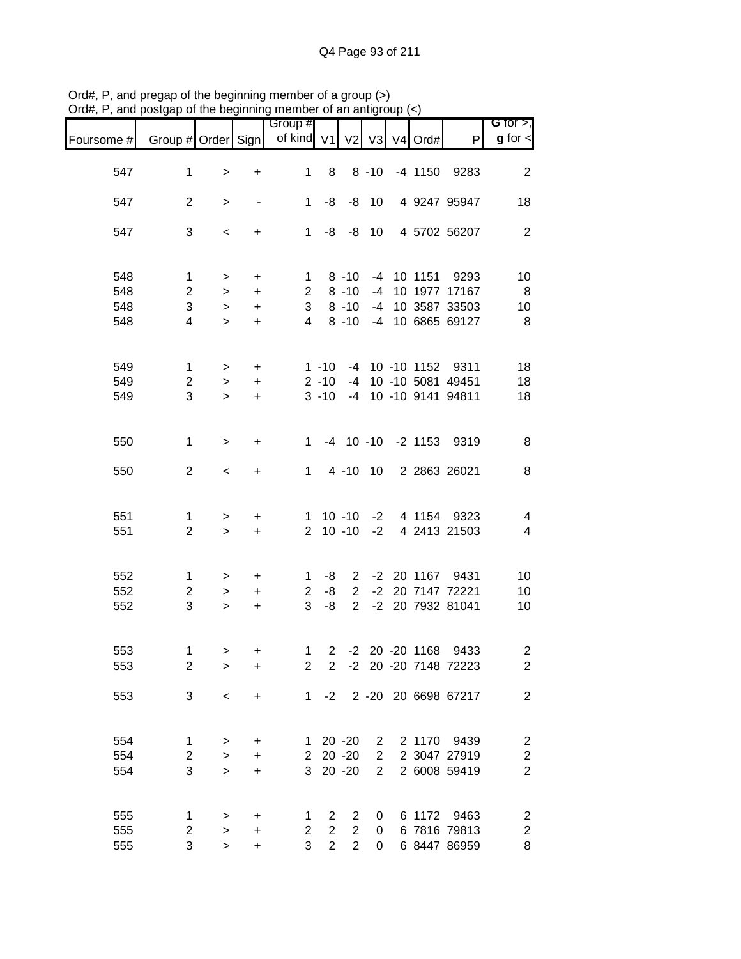|            |                         |                |                        | Group #        |                |                      |                |                |                                | G for $>$ ,              |
|------------|-------------------------|----------------|------------------------|----------------|----------------|----------------------|----------------|----------------|--------------------------------|--------------------------|
| Foursome # | Group # Order Sign      |                |                        | of kind $V1$   |                | V <sub>2</sub>       | V <sub>3</sub> | V4 Ord#        | $\mathsf{P}$                   | $g$ for $\lt$            |
| 547        | 1                       | $\, > \,$      | $\ddot{}$              | 1              | 8              |                      | $8 - 10$       | $-4$ 1150      | 9283                           | $\boldsymbol{2}$         |
| 547        | $\overline{2}$          | $\, >$         |                        | $\mathbf{1}$   | -8             |                      | $-8$ 10        |                | 4 9247 95947                   | 18                       |
| 547        | 3                       | $\,<\,$        | $\ddot{}$              | 1              | -8             |                      | $-8$ 10        |                | 4 5702 56207                   | $\overline{2}$           |
| 548        | $\mathbf 1$             | $\, > \,$      | $\ddot{}$              | $\mathbf 1$    |                | $8 - 10$             | $-4$           | 10 1151        | 9293                           | 10                       |
| 548        | $\overline{2}$          | $\geq$         | $\ddot{}$              | $\overline{2}$ |                | $8 - 10$             | $-4$           |                | 10 1977 17167                  | 8                        |
| 548<br>548 | 3<br>4                  | $\,$<br>$\geq$ | $\ddot{}$<br>$\ddot{}$ | 3<br>4         |                | $8 - 10$<br>$8 - 10$ | $-4$<br>$-4$   |                | 10 3587 33503<br>10 6865 69127 | 10<br>$\, 8$             |
| 549        | $\mathbf{1}$            | $\,$           | $\ddot{}$              |                | $1 - 10$       |                      |                |                | -4 10 -10 1152 9311            | 18                       |
| 549        | $\overline{2}$          | $\,>$          | $\ddot{}$              |                | $2 - 10$       | $-4$                 |                |                | 10 -10 5081 49451              | 18                       |
| 549        | 3                       | $\geq$         | $\ddot{}$              |                | $3 - 10$       |                      |                |                | -4 10 -10 9141 94811           | 18                       |
| 550        | 1                       | $\geq$         | $\ddot{}$              | 1              |                |                      |                |                | -4 10 -10 -2 1153 9319         | 8                        |
| 550        | $\mathbf{2}$            | $\,<$          | +                      | 1              |                |                      | 4 -10 10       |                | 2 2863 26021                   | 8                        |
| 551        | 1                       | $\,>$          | +                      | 1.             |                | $10 - 10$            | $-2$           | 4 1154         | 9323                           | 4                        |
| 551        | $\overline{2}$          | $\,>$          | $\ddot{}$              | $\overline{2}$ |                | $10 - 10$            | $-2$           |                | 4 2413 21503                   | $\overline{\mathcal{A}}$ |
| 552        | 1                       | $\, > \,$      | $\ddot{}$              | $\mathbf 1$    | -8             | $\mathbf{2}$         |                |                | -2 20 1167 9431                | 10                       |
| 552        | $\overline{\mathbf{c}}$ | $\,$           | $\ddot{}$              | $\overline{2}$ | -8             | $\overline{2}$       |                |                | -2 20 7147 72221               | 10                       |
| 552        | 3                       | $\geq$         | $\ddot{}$              | 3              | -8             | $\overline{2}$       |                |                | -2 20 7932 81041               | 10                       |
| 553        | 1                       | $\mathbf{I}$   | +                      | 1              | $\overline{2}$ |                      |                | -2 20 -20 1168 | 9433                           | $\overline{c}$           |
| 553        | $\overline{2}$          | $\, > \,$      | +                      | $\overline{2}$ | $\mathbf{2}$   |                      |                |                | -2 20 -20 7148 72223           | $\overline{2}$           |
| 553        | 3                       | $\,<\,$        | +                      | 1              | $-2$           |                      |                |                | 2 -20 20 6698 67217            | $\mathbf{2}$             |
| 554        | 1                       | >              | $\ddot{}$              | 1.             |                | $20 - 20$            | $\overline{2}$ | 2 1170         | 9439                           | $\overline{\mathbf{c}}$  |
| 554        | $\overline{c}$          | $\, >$         | $\ddot{}$              | $2^{\circ}$    |                | $20 - 20$            | $\overline{2}$ |                | 2 3047 27919                   | $\overline{\mathbf{c}}$  |
| 554        | 3                       | $\geq$         | +                      | 3              |                | $20 - 20$            | $\overline{2}$ |                | 2 6008 59419                   | $\boldsymbol{2}$         |
| 555        | 1                       | $\,>$          | $\ddot{}$              | 1              | 2              | 2                    | 0              |                | 6 1172 9463                    | $\overline{\mathbf{c}}$  |
| 555        | 2                       | $\, >$         | $\ddot{}$              | $\overline{2}$ | $\overline{2}$ | $\overline{2}$       | 0              |                | 6 7816 79813                   | $\overline{c}$           |
| 555        | 3                       | $\, > \,$      | +                      | 3              | $\overline{2}$ | $\overline{2}$       | 0              |                | 6 8447 86959                   | 8                        |

Ord#, P, and pregap of the beginning member of a group (>) Ord#, P, and postgap of the beginning member of an antigroup (<)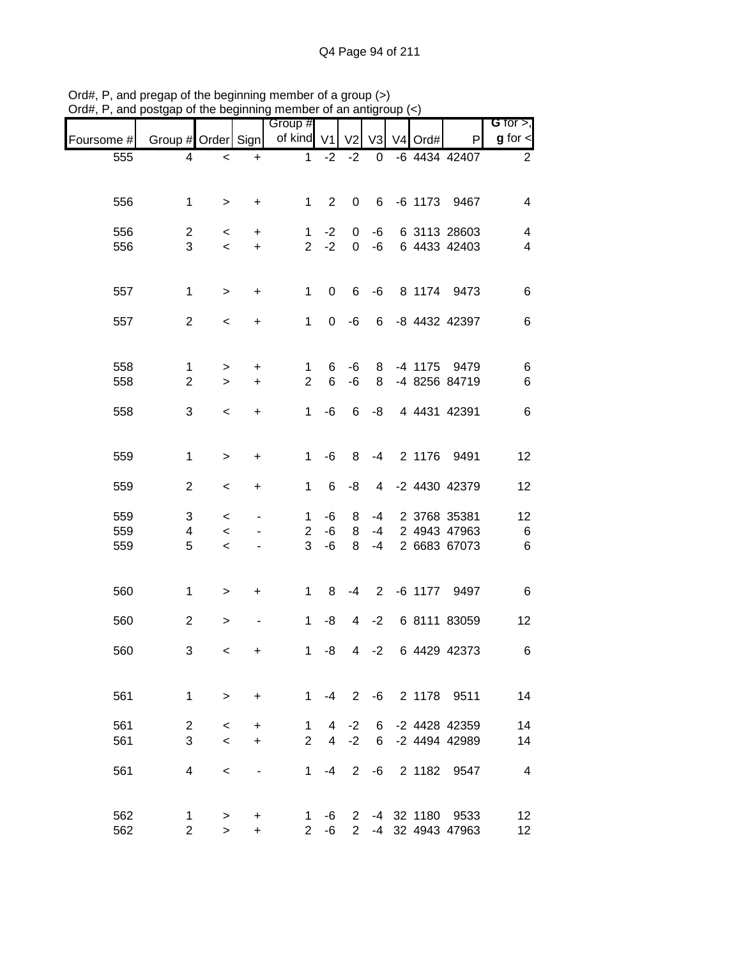| $O(\alpha_{\rm H}, r, \alpha_{\rm H}$ and postgap or the beginning member or an amigroup $(\leq)$ |                     |                                     |                | Group #             |                |                |                |         |                              | G for $>$ ,     |
|---------------------------------------------------------------------------------------------------|---------------------|-------------------------------------|----------------|---------------------|----------------|----------------|----------------|---------|------------------------------|-----------------|
| Foursome #                                                                                        | Group # Order Sign  |                                     |                | of kind V1          |                | V <sub>2</sub> | V3             | V4 Ord# | P                            | $g$ for $\lt$   |
| 555                                                                                               | 4                   | $\,<$                               | $\ddot{}$      | 1                   | $-2$           | $-2$           | 0              |         | -6 4434 42407                | $\overline{2}$  |
|                                                                                                   |                     |                                     |                |                     |                |                |                |         |                              |                 |
| 556                                                                                               | 1                   | $\, >$                              | $\ddot{}$      | 1                   | $\overline{2}$ | $\pmb{0}$      | 6              |         | -6 1173 9467                 | 4               |
|                                                                                                   |                     |                                     |                |                     |                |                |                |         |                              |                 |
| 556<br>556                                                                                        | $\overline{c}$<br>3 | $\,<\,$<br>$\overline{\phantom{a}}$ | +<br>$\ddot{}$ | 1<br>$\overline{2}$ | $-2$<br>$-2$   | 0<br>0         | -6<br>$-6$     |         | 6 3113 28603<br>6 4433 42403 | 4<br>4          |
|                                                                                                   |                     |                                     |                |                     |                |                |                |         |                              |                 |
| 557                                                                                               | $\mathbf 1$         | $\,$                                | +              | 1                   | 0              | 6              | -6             |         | 8 1174 9473                  | 6               |
| 557                                                                                               | $\mathbf{2}$        | $\,<\,$                             | +              | 1                   | 0              | $-6$           | 6              |         | -8 4432 42397                | 6               |
|                                                                                                   |                     |                                     |                |                     |                |                |                |         |                              |                 |
| 558                                                                                               | 1                   | >                                   | +              | 1                   | 6              | -6             | 8              |         | -4 1175 9479                 | 6               |
| 558                                                                                               | $\overline{c}$      | $\geq$                              | $\ddot{}$      | $\overline{2}$      | 6              | $-6$           | 8              |         | -4 8256 84719                | 6               |
|                                                                                                   |                     |                                     |                |                     |                |                |                |         |                              |                 |
| 558                                                                                               | 3                   | $\,<\,$                             | +              | 1                   | -6             | 6              | -8             |         | 4 4431 42391                 | 6               |
| 559                                                                                               | 1                   | $\,$                                | +              | 1                   | -6             | 8              | $-4$           |         | 2 1176 9491                  | 12              |
|                                                                                                   |                     |                                     |                |                     |                |                |                |         |                              |                 |
| 559                                                                                               | $\overline{c}$      | $\,<$                               | +              | 1                   | 6              | -8             | 4              |         | -2 4430 42379                | 12              |
| 559                                                                                               | 3                   | $\,<\,$                             |                | 1                   | $-6$           | 8              | $-4$           |         | 2 3768 35381                 | 12              |
| 559                                                                                               | 4                   | $\,<$                               |                | $\overline{2}$      | $-6$           | 8              | $-4$           |         | 2 4943 47963                 | $\,6$           |
| 559                                                                                               | 5                   | $\,<$                               |                | 3                   | -6             | 8              | $-4$           |         | 2 6683 67073                 | $\,6$           |
| 560                                                                                               | 1                   | $\, > \,$                           | +              | 1                   | 8              | -4             | $\overline{2}$ |         | -6 1177 9497                 | 6               |
|                                                                                                   |                     |                                     |                |                     |                |                |                |         |                              |                 |
| 560                                                                                               | $\overline{2}$      | >                                   |                | 1                   | -8             | 4              | $-2$           |         | 6 8111 83059                 | 12              |
| 560                                                                                               | 3                   | $\lt$                               | +              |                     | 1 $-8$         |                | $4 -2$         |         | 6 4429 42373                 | 6               |
|                                                                                                   |                     |                                     |                |                     |                |                |                |         |                              |                 |
| 561                                                                                               | $\mathbf 1$         | $\,$                                | $\ddot{}$      | $1 \quad$           |                |                |                |         | -4 2 -6 2 1178 9511          | 14              |
| 561                                                                                               | $\overline{c}$      | $\,<$                               | +              | 1                   |                | $4 -2$         |                |         | 6 -2 4428 42359              | 14              |
| 561                                                                                               | 3                   | $\,<$                               | $+$            | $2^{\circ}$         |                | $4 -2$         |                |         | 6 -2 4494 42989              | 14              |
| 561                                                                                               | 4                   |                                     |                |                     |                | $1 -4 2$       |                |         | -6 2 1182 9547               | $\overline{4}$  |
|                                                                                                   |                     | $\,<\,$                             |                |                     |                |                |                |         |                              |                 |
| 562                                                                                               | 1                   | >                                   | +              | 1                   |                |                |                |         | -6 2 -4 32 1180 9533         | 12 <sub>2</sub> |
| 562                                                                                               | $\overline{c}$      | $\geq$                              | $\ddot{}$      | $\overline{2}$      | $-6$           |                |                |         | 2 -4 32 4943 47963           | 12              |

Ord#, P, and pregap of the beginning member of a group (>) Ord#, P, and postgap of the beginning member of an antigroup (<)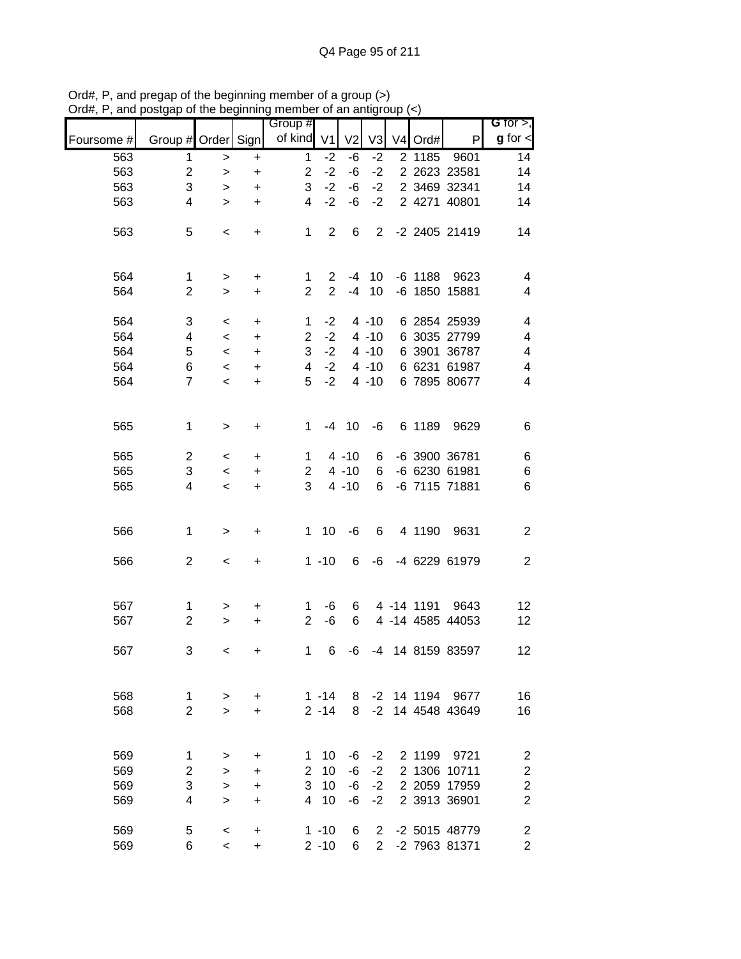| $\mathbf{u}$ | oolgap or the beginning   |           |                                  | 11011001              |                | u un unuyi     |                |           |                  |                                            |
|--------------|---------------------------|-----------|----------------------------------|-----------------------|----------------|----------------|----------------|-----------|------------------|--------------------------------------------|
|              |                           |           |                                  | Group #<br>of kind V1 |                | V <sub>2</sub> |                |           | P                | G for $>$ ,<br>$g$ for $\lt$               |
| Foursome #   | Group # Order Sign        |           |                                  |                       |                |                | V3             | V4 Ord#   |                  |                                            |
| 563          | 1                         | $\, >$    | $\ddot{}$                        | $\mathbf{1}$          | $-2$           | -6             | $-2$           | 2 1185    | 9601             | 14                                         |
| 563          | $\overline{c}$            | $\, >$    | $\ddot{}$                        | $\overline{2}$        | $-2$           | -6             | $-2$           |           | 2 2623 23581     | 14                                         |
| 563          | 3                         | $\,$      | $\ddot{}$                        | 3                     | $-2$           | -6             | $-2$           |           | 2 3469 32341     | 14                                         |
| 563          | 4                         | $\geq$    | $\ddot{}$                        | $\overline{4}$        | $-2$           | -6             | $-2$           |           | 2 4271 40801     | 14                                         |
| 563          | 5                         | $\,<$     | $\begin{array}{c} + \end{array}$ | $\mathbf 1$           | $\overline{2}$ | 6              | $\overline{2}$ |           | -2 2405 21419    | 14                                         |
|              |                           |           |                                  |                       |                |                |                |           |                  |                                            |
| 564          | $\mathbf{1}$              | $\,$      | $\ddot{}$                        | $\mathbf 1$           | $\overline{2}$ | -4             | 10             | $-6$ 1188 | 9623             | 4                                          |
| 564          | $\overline{2}$            | $\geq$    | $\ddot{}$                        | $\overline{2}$        | $\overline{2}$ | $-4$           | 10             |           | -6 1850 15881    | 4                                          |
|              |                           |           |                                  |                       |                |                |                |           |                  |                                            |
| 564          | 3                         | $\,<\,$   | $\ddot{}$                        | $\mathbf{1}$          | $-2$           |                | $4 - 10$       |           | 6 2854 25939     | $\overline{\mathbf{4}}$                    |
| 564          | 4                         | $\,<\,$   | $\ddot{}$                        | $\overline{2}$        | $-2$           |                | $4 - 10$       |           | 6 3035 27799     | 4                                          |
| 564          | 5                         | $\,<\,$   | $\ddot{}$                        | 3                     | $-2$           |                | $4 - 10$       |           | 6 3901 36787     | 4                                          |
| 564          | 6                         | $\,<$     | $\ddot{}$                        | $\overline{4}$        | $-2$           |                | $4 - 10$       |           | 6 6231 61987     | $\overline{\mathbf{4}}$                    |
| 564          | $\overline{7}$            | $\,<$     | $\ddot{}$                        | 5                     | $-2$           |                | $4 - 10$       |           | 6 7895 80677     | $\overline{\mathbf{4}}$                    |
|              |                           |           |                                  |                       |                |                |                |           |                  |                                            |
| 565          | $\mathbf{1}$              | $\,$      | $\ddot{}$                        | 1                     | $-4$           | 10             | $-6$           | 6 1189    | 9629             | 6                                          |
|              |                           |           |                                  |                       |                |                |                |           |                  |                                            |
| 565          | $\overline{2}$            | $\,<\,$   | $\ddot{}$                        | $\mathbf 1$           |                | $4 - 10$       | 6              |           | -6 3900 36781    | 6                                          |
| 565          | 3                         | $\,<\,$   | $\ddot{}$                        | $\mathbf{2}$          |                | $4 - 10$       | 6              |           | -6 6230 61981    | $\,6$                                      |
| 565          | 4                         | $\,<\,$   | $\ddot{}$                        | 3                     |                | $4 - 10$       | 6              |           | -6 7115 71881    | $\,6$                                      |
|              |                           |           |                                  |                       |                |                |                |           |                  |                                            |
| 566          | $\mathbf 1$               | $\,>$     | $\ddot{}$                        | $\mathbf{1}$          | 10             | -6             | 6              | 4 1190    | 9631             | $\boldsymbol{2}$                           |
|              |                           |           |                                  |                       |                |                |                |           |                  |                                            |
| 566          | $\overline{c}$            | $\,<$     | $\ddot{}$                        |                       | $1 - 10$       | 6              | -6             |           | -4 6229 61979    | $\overline{c}$                             |
|              |                           |           |                                  |                       |                |                |                |           |                  |                                            |
| 567          | $\mathbf 1$               | >         | +                                | 1                     | -6             | 6              |                |           | 4 -14 1191 9643  | 12                                         |
| 567          | $\overline{2}$            | $\geq$    | +                                | $\overline{2}$        | -6             | 6              |                |           | 4 -14 4585 44053 | 12                                         |
| 567          | 3                         |           |                                  | $\mathbf 1$           |                |                |                |           | -4 14 8159 83597 | 12                                         |
|              |                           | $\,<\,$   | +                                |                       | 6              | -6             |                |           |                  |                                            |
|              |                           |           |                                  |                       |                |                |                |           |                  |                                            |
| 568          | 1                         | >         | +                                |                       | $1 - 14$       | 8              | $-2$           | 14 1194   | 9677             | 16                                         |
| 568          | $\overline{2}$            | $\geq$    | $\ddot{}$                        |                       | $2 - 14$       | 8              | $-2$           |           | 14 4548 43649    | 16                                         |
|              |                           |           |                                  |                       |                |                |                |           |                  |                                            |
| 569          | 1                         | $\, > \,$ | +                                | 1                     | 10             | -6             | $-2$           | 2 1199    | 9721             | $\overline{\mathbf{c}}$                    |
| 569          | $\boldsymbol{2}$          | $\, > \,$ | +                                | $\overline{2}$        | 10             | $-6$           | $-2$           |           | 2 1306 10711     |                                            |
| 569          | $\ensuremath{\mathsf{3}}$ | $\, > \,$ | +                                | 3                     | 10             | $-6$           | $-2$           |           | 2 2059 17959     | $\begin{array}{c} 2 \\ 2 \\ 2 \end{array}$ |
| 569          | 4                         | $\geq$    | +                                | $\overline{4}$        | 10             | -6             | $-2$           |           | 2 3913 36901     |                                            |
|              |                           |           |                                  |                       |                |                |                |           |                  |                                            |
| 569          | 5                         | $\,<$     | +                                |                       | $1 - 10$       | 6              | $\overline{2}$ |           | -2 5015 48779    | $\boldsymbol{2}$                           |
| 569          | 6                         | $\,<$     | $\ddot{}$                        |                       | $2 - 10$       | 6              | $\overline{2}$ |           | -2 7963 81371    | $\overline{c}$                             |

Ord#, P, and pregap of the beginning member of a group (>) Ord#, P, and postgap of the beginning member of an antigroup (<)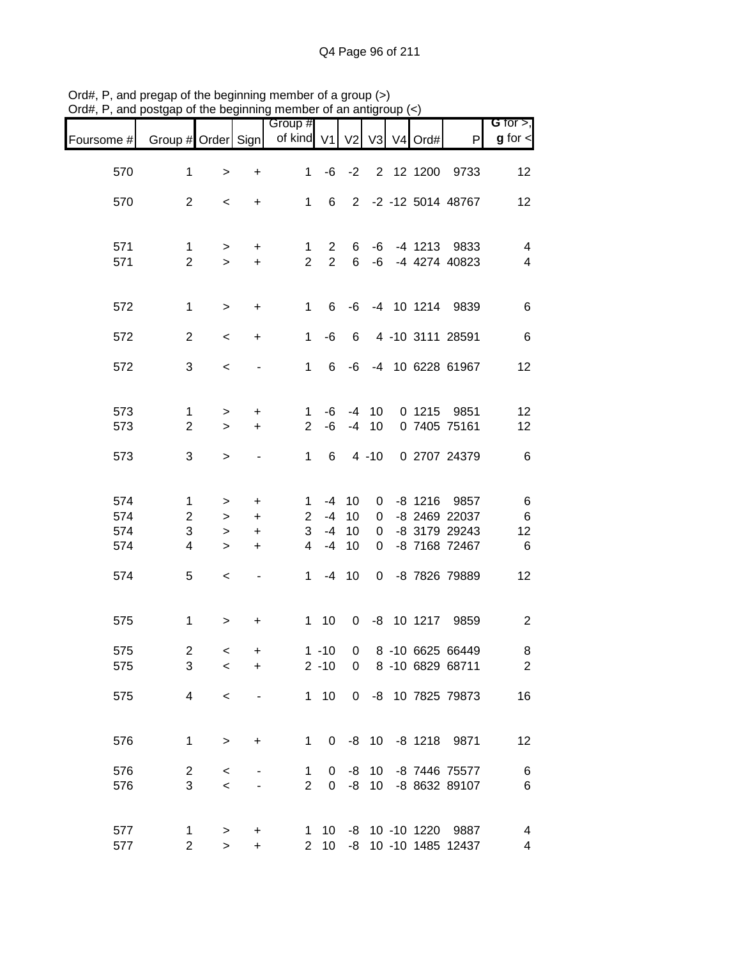| $D$ iu#, r , and postyap or the beginning member or an antigroup $(\leq)$ |                    |              |                                  |                       |                |              |          |               |                          |                                |
|---------------------------------------------------------------------------|--------------------|--------------|----------------------------------|-----------------------|----------------|--------------|----------|---------------|--------------------------|--------------------------------|
| Foursome #                                                                | Group # Order Sign |              |                                  | Group #<br>of kind V1 |                |              |          | V2 V3 V4 Ord# | P                        | $G$ for $>$ ,<br>$g$ for $\lt$ |
|                                                                           |                    |              |                                  |                       |                |              |          |               |                          |                                |
| 570                                                                       | 1                  | $\, > \,$    | $\ddot{}$                        | $\mathbf{1}$          | -6             | $-2$         |          | 2 12 1200     | 9733                     | 12                             |
| 570                                                                       | $\mathbf{2}$       | $\,<$        | $\begin{array}{c} + \end{array}$ | $\mathbf 1$           | 6              |              |          |               | 2 -2 -12 5014 48767      | 12                             |
| 571                                                                       | $\mathbf{1}$       | $\,$         | $\ddot{}$                        | $\mathbf 1$           | $\overline{2}$ | 6            | -6       |               | -4 1213 9833             | $\overline{\mathbf{4}}$        |
| 571                                                                       | $\overline{2}$     | $\geq$       | $\ddot{}$                        | $\overline{2}$        | 2              | 6            | -6       |               | -4 4274 40823            | $\overline{\mathcal{A}}$       |
| 572                                                                       | $\mathbf 1$        | $\,$         | $\ddot{}$                        | 1                     | 6              | -6           |          |               | -4 10 1214 9839          | 6                              |
| 572                                                                       | $\overline{2}$     | $\,<$        | $\ddot{}$                        | $\mathbf 1$           | -6             | 6            |          |               | 4 -10 3111 28591         | 6                              |
| 572                                                                       | 3                  | $\,<$        |                                  | 1                     | 6              | -6           |          |               | -4 10 6228 61967         | 12                             |
| 573                                                                       | 1                  | $\,$         | $\ddot{}$                        | 1                     | -6             | -4           | 10       | 0.1215        | 9851                     | 12                             |
| 573                                                                       | $\overline{2}$     | $\geq$       | $\ddot{}$                        | $\overline{2}$        | -6             | $-4$         | 10       |               | 0 7405 75161             | 12                             |
| 573                                                                       | 3                  | $\mathbf{L}$ |                                  | $\mathbf 1$           | 6              |              | $4 - 10$ |               | 0 2707 24379             | 6                              |
| 574                                                                       | $\mathbf{1}$       | $\,$         | $\ddot{}$                        | 1                     | $-4$           | 10           | 0        | $-8$ 1216     | 9857                     | 6                              |
| 574                                                                       | $\overline{c}$     | $\geq$       | $\ddot{}$                        | $\overline{2}$        | $-4$           | 10           | 0        |               | -8 2469 22037            | $\,6$                          |
| 574                                                                       | 3                  | $\,>$        | $\ddot{}$                        | 3                     | $-4$           | 10           | 0        |               | -8 3179 29243            | 12                             |
| 574                                                                       | 4                  | $\geq$       | $\ddot{}$                        | $\overline{4}$        | $-4$           | 10           | 0        |               | -8 7168 72467            | 6                              |
| 574                                                                       | 5                  | $\,<$        | $\qquad \qquad \blacksquare$     | $\mathbf{1}$          | $-4$           | 10           | 0        |               | -8 7826 79889            | 12                             |
| 575                                                                       | $\mathbf 1$        | $\,$         | $\ddot{}$                        |                       | 1 10           | $\mathbf{0}$ |          |               | -8 10 1217 9859          | $\overline{c}$                 |
| 575                                                                       | 2                  | $\lt$        | +                                |                       |                |              |          |               | 1 -10 0 8 -10 6625 66449 | 8                              |
| 575                                                                       | 3                  | $\,<\,$      | $+$                              |                       | $2 - 10$       |              |          |               | 0 8 -10 6829 68711       | $\overline{2}$                 |
| 575                                                                       | $\overline{4}$     | $\,<$        |                                  |                       | $1\quad10$     |              |          |               | 0 -8 10 7825 79873       | 16                             |
|                                                                           |                    |              |                                  |                       |                |              |          |               |                          |                                |
| 576                                                                       | $\mathbf{1}$       | $\,$         | $\ddot{}$                        | $1 \quad$             |                |              |          |               | 0 -8 10 -8 1218 9871     | 12                             |
| 576                                                                       | $\overline{2}$     | $\,<$        |                                  | 1                     |                |              |          |               | 0 -8 10 -8 7446 75577    | $\,6$                          |
| 576                                                                       | $\mathbf{3}$       | $\,<$        |                                  |                       |                |              |          |               | 2 0 -8 10 -8 8632 89107  | 6                              |
| 577                                                                       | $\mathbf{1}$       | >            | +                                |                       |                |              |          |               | 1 10 -8 10 -10 1220 9887 | $\overline{4}$                 |
| 577                                                                       | $\overline{2}$     | $\,$         | $\ddot{}$                        |                       | $2 \t10$       |              |          |               | -8 10 -10 1485 12437     | 4                              |

Ord#, P, and pregap of the beginning member of a group (>) Ord#, P, and postgap of the beginning member of an antigroup (<)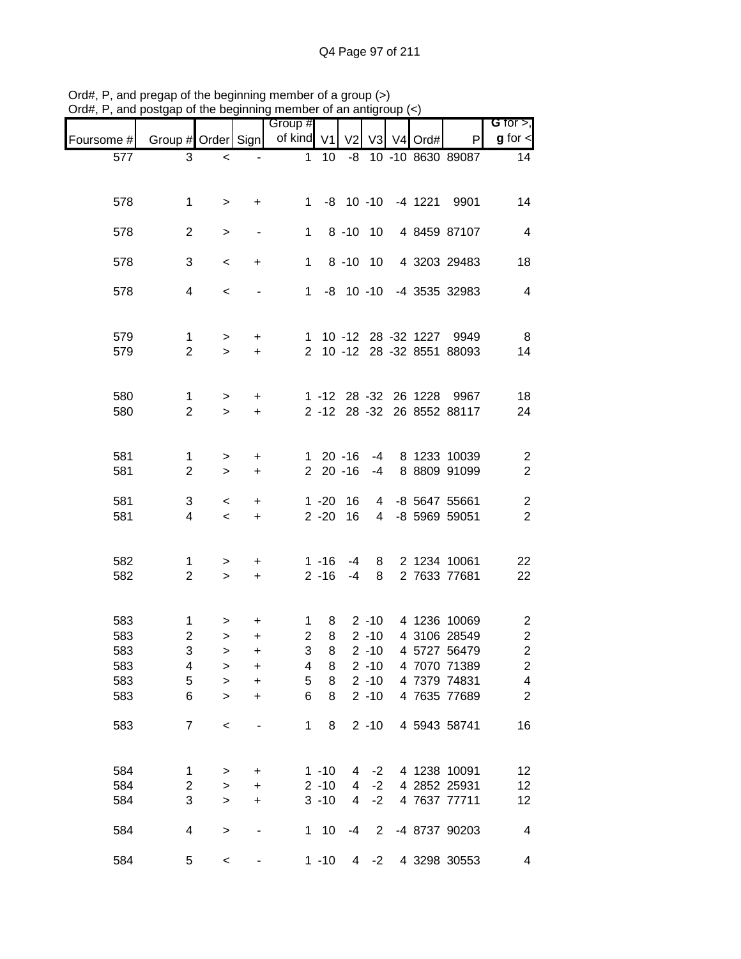|            |                              |                |                  | Group #        |          |                 |                |            |                                                         | G for $>$ ,             |
|------------|------------------------------|----------------|------------------|----------------|----------|-----------------|----------------|------------|---------------------------------------------------------|-------------------------|
| Foursome # | Group # Order Sign           |                |                  | of kind V1     |          | V <sub>2</sub>  |                | V3 V4 Ord# | P                                                       | $g$ for $\lt$           |
| 577        | 3                            | $\,<$          |                  | $\mathbf 1$    | 10       |                 |                |            | -8 10 -10 8630 89087                                    | 14                      |
|            |                              |                |                  |                |          |                 |                |            |                                                         |                         |
| 578        | $\mathbf 1$                  | $\,$           | $\ddot{}$        | $1 \quad$      |          | $-8$ 10 $-10$   |                |            | -4 1221 9901                                            | 14                      |
|            |                              |                |                  |                |          |                 |                |            |                                                         |                         |
| 578        | $\overline{2}$               | $\, >$         |                  | $\mathbf{1}$   |          | $8 - 10$        | 10             |            | 4 8459 87107                                            | $\overline{4}$          |
| 578        | 3                            | $\,<$          | $\ddot{}$        | $\mathbf{1}$   |          | $8 - 10$ 10     |                |            | 4 3203 29483                                            | 18                      |
| 578        | $\overline{4}$               | $\,<$          |                  |                |          | $1 - 8 10 - 10$ |                |            | -4 3535 32983                                           | $\overline{4}$          |
|            |                              |                |                  |                |          |                 |                |            |                                                         |                         |
|            |                              |                |                  |                |          |                 |                |            |                                                         |                         |
| 579<br>579 | $\mathbf{1}$<br>$\mathbf{2}$ | $\,$<br>$\geq$ | $+$<br>$\ddot{}$ |                |          |                 |                |            | 1 10 -12 28 -32 1227 9949<br>2 10 -12 28 -32 8551 88093 | 8<br>14                 |
|            |                              |                |                  |                |          |                 |                |            |                                                         |                         |
| 580        | $\mathbf{1}$                 |                | $\ddot{}$        |                |          |                 |                |            | 1 -12 28 -32 26 1228 9967                               | 18                      |
| 580        | $\overline{2}$               | $\,$<br>$\geq$ | $\ddot{}$        |                | $2 - 12$ |                 |                |            | 28 -32 26 8552 88117                                    | 24                      |
|            |                              |                |                  |                |          |                 |                |            |                                                         |                         |
| 581        | $\mathbf{1}$                 | $\,$           | $\ddot{}$        |                |          | $120 - 16$      | -4             |            | 8 1233 10039                                            | $\overline{c}$          |
| 581        | $\mathbf{2}$                 | $\geq$         | $\ddot{}$        |                |          | $220 - 16$      | $-4$           |            | 8 8809 91099                                            | $\overline{c}$          |
| 581        | 3                            | $\,<\,$        | +                |                | $1 - 20$ | 16              | 4              |            | -8 5647 55661                                           | $\overline{\mathbf{c}}$ |
| 581        | 4                            | $\,<\,$        | $\ddot{}$        |                | $2 - 20$ | 16              | $\overline{4}$ |            | -8 5969 59051                                           | $\overline{2}$          |
|            |                              |                |                  |                |          |                 |                |            |                                                         |                         |
| 582        | 1                            | $\,$           | +                |                | $1 - 16$ | $-4$            | 8              |            | 2 1234 10061                                            | 22                      |
| 582        | $\overline{2}$               | $\geq$         | $\color{red}{+}$ |                | $2 - 16$ | $-4$            | 8              |            | 2 7633 77681                                            | 22                      |
|            |                              |                |                  |                |          |                 |                |            |                                                         |                         |
| 583        | $\mathbf{1}$                 | >              | +                | $\mathbf 1$    | 8        |                 | $2 - 10$       |            | 4 1236 10069                                            | $\overline{c}$          |
| 583        | $\overline{2}$               | $\,$           | $\ddot{}$        | $\overline{2}$ | 8        |                 | $2 - 10$       |            | 4 3106 28549                                            | $\sqrt{2}$              |
| 583        | 3                            | >              | +                | 3              | 8        |                 | $2 - 10$       |            | 4 5727 56479                                            | $\overline{2}$          |
| 583        | 4                            | >              | +                | 4              | 8        |                 | $2 - 10$       |            | 4 7070 71389                                            | $\overline{\mathbf{c}}$ |
| 583        | $\mathbf 5$                  | $\, > \,$      | +                | 5              | 8        |                 | $2 - 10$       |            | 4 7379 74831                                            | $\overline{\mathbf{4}}$ |
| 583        | 6                            | $\, > \,$      | +                | 6              | 8        |                 | $2 - 10$       |            | 4 7635 77689                                            | $\overline{2}$          |
| 583        | $\overline{7}$               | $\,<$          |                  | 1              | 8        |                 | $2 - 10$       |            | 4 5943 58741                                            | 16                      |
|            |                              |                |                  |                |          |                 |                |            |                                                         |                         |
| 584        | 1                            | $\, > \,$      | +                |                | $1 - 10$ | 4               | $-2$           |            | 4 1238 10091                                            | 12                      |
| 584        | $\overline{c}$               | $\geq$         | $\ddot{}$        |                | $2 - 10$ | 4               | $-2$           |            | 4 2852 25931                                            | 12                      |
| 584        | 3                            | $\geq$         | +                |                | $3 - 10$ | 4               | $-2$           |            | 4 7637 77711                                            | 12                      |
| 584        | 4                            |                |                  |                | $1 10$   | $-4$            | 2              |            | -4 8737 90203                                           | 4                       |
|            |                              | $\,>$          |                  |                |          |                 |                |            |                                                         |                         |
| 584        | 5                            | $\,<$          |                  |                | $1 - 10$ |                 | $4 -2$         |            | 4 3298 30553                                            | 4                       |

Ord#, P, and pregap of the beginning member of a group (>) Ord#, P, and postgap of the beginning member of an antigroup (<)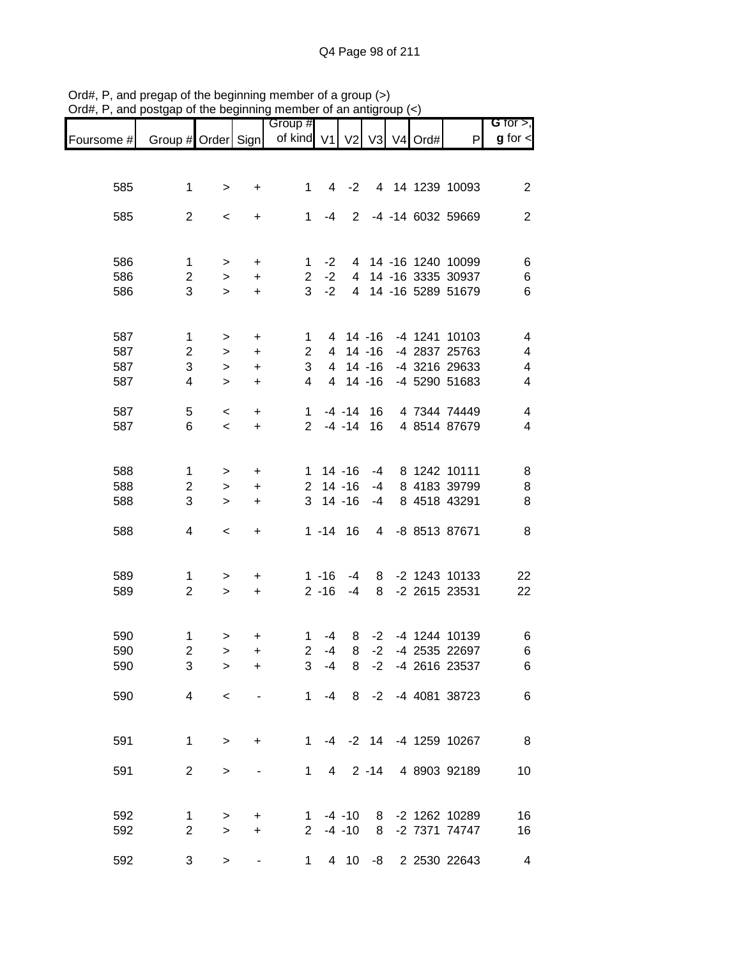|            |                    |           |                                  | Group #        |                |                |           |         |                        | <b>G</b> for $>$ ,      |
|------------|--------------------|-----------|----------------------------------|----------------|----------------|----------------|-----------|---------|------------------------|-------------------------|
| Foursome # | Group # Order Sign |           |                                  | of kind V1     |                | V <sub>2</sub> | V3        | V4 Ord# | P                      | $g$ for $\lt$           |
|            |                    |           |                                  |                |                |                |           |         |                        |                         |
| 585        | $\mathbf 1$        | $\, >$    | $\ddot{}$                        | 1              | 4              | $-2$           |           |         | 4 14 1239 10093        | $\overline{2}$          |
|            |                    |           |                                  |                |                |                |           |         |                        |                         |
| 585        | $\overline{2}$     | $\,<\,$   | +                                | 1              | $-4$           | 2              |           |         | -4 -14 6032 59669      | $\overline{2}$          |
|            |                    |           |                                  |                |                |                |           |         |                        |                         |
| 586        | 1                  | >         | $\ddot{}$                        | 1              | $-2$           |                |           |         | 4 14 -16 1240 10099    | 6                       |
| 586        | $\overline{c}$     | $\,$      | $\ddot{}$                        | $\overline{2}$ | $-2$           | 4              |           |         | 14 -16 3335 30937      | 6                       |
| 586        | 3                  | $\geq$    | $\ddot{}$                        | 3              | $-2$           | $\overline{4}$ |           |         | 14 -16 5289 51679      | 6                       |
|            |                    |           |                                  |                |                |                |           |         |                        |                         |
| 587        | $\mathbf{1}$       | $\, >$    | $\ddot{}$                        | 1              |                | 4 14 -16       |           |         | -4 1241 10103          | 4                       |
| 587        | $\overline{c}$     | $\,$      | $\ddot{}$                        | $\overline{c}$ | 4              |                | $14 - 16$ |         | -4 2837 25763          | 4                       |
| 587        | 3                  | $\, > \,$ | $\ddot{}$                        | 3              | 4              |                | $14 - 16$ |         | -4 3216 29633          | $\overline{\mathbf{4}}$ |
| 587        | 4                  | $\geq$    | $\ddot{}$                        | 4              | $\overline{4}$ |                | $14 - 16$ |         | -4 5290 51683          | $\overline{\mathbf{4}}$ |
| 587        | 5                  | $\,<$     | $\begin{array}{c} + \end{array}$ | $\mathbf{1}$   |                | $-4 - 14$      | 16        |         | 4 7344 74449           | $\overline{\mathbf{4}}$ |
| 587        | 6                  | $\,<$     | $\ddot{}$                        | $\overline{2}$ |                | $-4 - 14$      | 16        |         | 4 8514 87679           | $\overline{4}$          |
|            |                    |           |                                  |                |                |                |           |         |                        |                         |
| 588        | $\mathbf{1}$       | >         | $\ddot{}$                        | 1              |                | $14 - 16$      | -4        |         | 8 1242 10111           | 8                       |
| 588        | $\overline{c}$     | $\, > \,$ | +                                | $\overline{2}$ |                | $14 - 16$      | $-4$      |         | 8 4183 39799           | 8                       |
| 588        | 3                  | $\geq$    | +                                | 3              |                | $14 - 16$      | $-4$      |         | 8 4518 43291           | 8                       |
| 588        | 4                  | $\,<\,$   | $\ddot{}$                        |                | $1 - 14$       | 16             | 4         |         | -8 8513 87671          | 8                       |
|            |                    |           |                                  |                |                |                |           |         |                        |                         |
|            |                    |           |                                  |                |                |                |           |         |                        |                         |
| 589        | 1                  | $\, > \,$ | $\ddot{}$                        |                | $1 - 16$       | $-4$           | 8         |         | -2 1243 10133          | 22                      |
| 589        | $\overline{2}$     | $\geq$    | $\ddot{}$                        |                | $2 - 16$       | $-4$           | 8         |         | -2 2615 23531          | 22                      |
|            |                    |           |                                  |                |                |                |           |         |                        |                         |
| 590        | $\mathbf{1}$       | >         | +                                | 1              | $-4$           | 8              | $-2$      |         | -4 1244 10139          | 6                       |
| 590        | $\overline{2}$     | $\, > \,$ | +                                | $\overline{2}$ | $-4$           | 8              | $-2$      |         | -4 2535 22697          | 6                       |
| 590        | 3                  | >         | $\ddot{}$                        | 3              | $-4$           | 8              |           |         | -2 -4 2616 23537       | 6                       |
| 590        | 4                  | $\,<\,$   |                                  | 1              | $-4$           | 8              | $-2$      |         | -4 4081 38723          | 6                       |
|            |                    |           |                                  |                |                |                |           |         |                        |                         |
| 591        | $\mathbf{1}$       | $\geq$    | +                                | 1              |                |                |           |         | -4 -2 14 -4 1259 10267 | $_{\rm 8}$              |
|            |                    |           |                                  |                |                |                |           |         |                        |                         |
| 591        | $\overline{2}$     | $\, > \,$ |                                  | 1              | $\overline{4}$ |                | $2 - 14$  |         | 4 8903 92189           | 10                      |
|            |                    |           |                                  |                |                |                |           |         |                        |                         |
| 592        | 1                  | $\, > \,$ | +                                | 1.             |                | $-4 - 10$      | 8         |         | -2 1262 10289          | 16                      |
| 592        | $\overline{2}$     | $\geq$    | +                                | $2^{\circ}$    |                | $-4 - 10$      | 8         |         | -2 7371 74747          | 16                      |
| 592        | 3                  | >         |                                  | 1              |                | 4 10           |           |         | -8 2 2530 22643        | 4                       |

Ord#, P, and pregap of the beginning member of a group (>) Ord#, P, and postgap of the beginning member of an antigroup (<)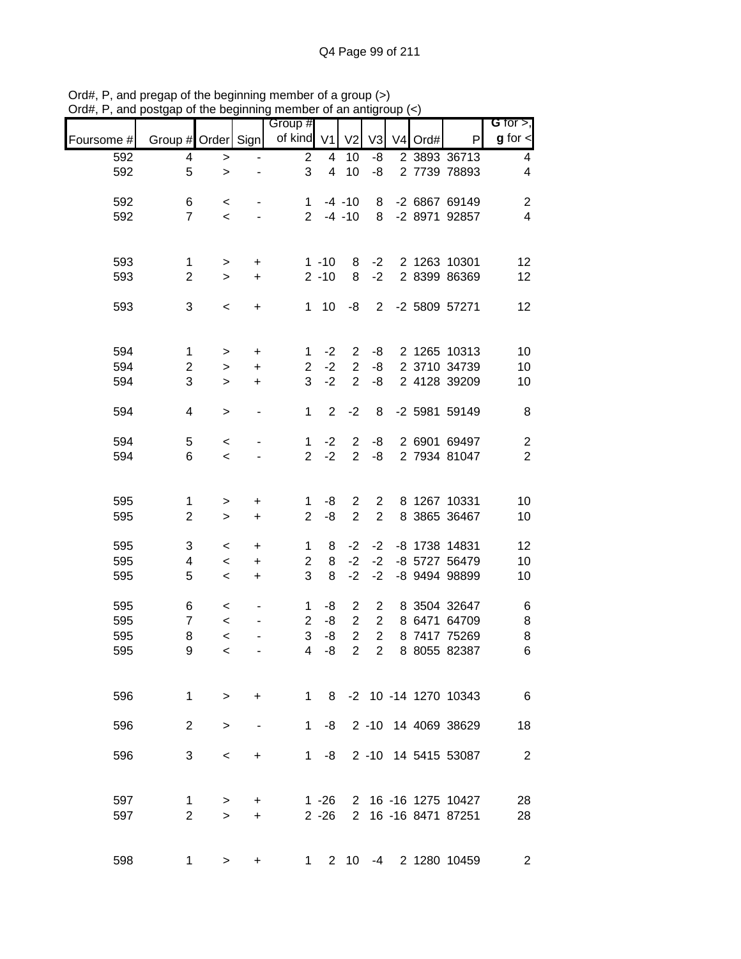|            |                    |              |                | $\frac{1}{2}$ or the beginning member of an anagroup $\left(\frac{1}{2}\right)$ |                |                |                |                     |                        |                               |
|------------|--------------------|--------------|----------------|---------------------------------------------------------------------------------|----------------|----------------|----------------|---------------------|------------------------|-------------------------------|
| Foursome # | Group # Order Sign |              |                | Group #<br>of kind V1                                                           |                | V <sub>2</sub> | V <sub>3</sub> | V <sub>4</sub> Ord# | P                      | G for $>$ ,<br>$g$ for $\leq$ |
| 592        | 4                  | $\, > \,$    |                | $\overline{c}$                                                                  | 4              | 10             | -8             |                     | 2 3893 36713           | 4                             |
| 592        | 5                  | $\geq$       |                | 3                                                                               | $\overline{4}$ | 10             | -8             |                     | 2 7739 78893           | 4                             |
| 592        | 6                  | $\,<\,$      |                | $\mathbf 1$                                                                     |                | $-4 - 10$      | 8              |                     | -2 6867 69149          | $\mathbf{2}$                  |
| 592        | $\overline{7}$     | $\prec$      |                | $\overline{2}$                                                                  |                | $-4 - 10$      | 8              |                     | -2 8971 92857          | $\overline{\mathbf{4}}$       |
| 593        | $\mathbf{1}$       | $\,$         | +              |                                                                                 | $1 - 10$       | 8              | $-2$           |                     | 2 1263 10301           | 12                            |
| 593        | $\overline{2}$     | $\mathbf{L}$ | $\ddot{}$      |                                                                                 | $2 - 10$       | 8              | $-2$           |                     | 2 8399 86369           | 12                            |
| 593        | 3                  | $\,<$        | $\ddot{}$      | $\mathbf{1}$                                                                    | 10             | -8             | $\overline{2}$ |                     | -2 5809 57271          | 12                            |
|            |                    |              |                |                                                                                 |                |                |                |                     |                        |                               |
| 594        | $\mathbf{1}$       | $\,$         | +              | $\mathbf 1$                                                                     | $-2$           | $\overline{2}$ | -8             |                     | 2 1265 10313           | 10                            |
| 594        | $\overline{c}$     | $\,$         | $\ddot{}$      | $\overline{2}$                                                                  | $-2$           | $\overline{2}$ | -8             |                     | 2 3710 34739           | 10                            |
| 594        | 3                  | $\,>$        | $\ddot{}$      | 3                                                                               | $-2$           | $\overline{2}$ | -8             |                     | 2 4128 39209           | 10                            |
| 594        | 4                  | $\,$         | $\overline{a}$ | $\mathbf{1}$                                                                    | $\overline{2}$ | $-2$           | 8              |                     | -2 5981 59149          | 8                             |
| 594        | 5                  | $\,<$        |                | $\mathbf 1$                                                                     | $-2$           | $\overline{c}$ | -8             |                     | 2 6901 69497           | $\sqrt{2}$                    |
| 594        | 6                  | $\,<$        |                | $\overline{2}$                                                                  | $-2$           | $\overline{2}$ | -8             |                     | 2 7934 81047           | $\overline{2}$                |
|            |                    |              |                |                                                                                 |                |                |                |                     |                        |                               |
| 595        | 1                  | $\,$         | $\ddot{}$      | 1                                                                               | -8             | $\overline{2}$ | $\overline{2}$ |                     | 8 1267 10331           | 10                            |
| 595        | $\overline{2}$     | $\,$         | $\ddot{}$      | $\overline{2}$                                                                  | -8             | $\overline{2}$ | $\overline{2}$ |                     | 8 3865 36467           | 10                            |
| 595        | 3                  | $\,<$        | $\ddot{}$      | $\mathbf 1$                                                                     | 8              | $-2$           | $-2$           |                     | -8 1738 14831          | 12                            |
| 595        | 4                  | $\,<$        | $\ddot{}$      | $\overline{c}$                                                                  | 8              | $-2$           | $-2$           |                     | -8 5727 56479          | 10                            |
| 595        | 5                  | $\,<\,$      | $\ddot{}$      | 3                                                                               | 8              | $-2$           | $-2$           |                     | -8 9494 98899          | 10                            |
| 595        | 6                  | $\,<\,$      |                | 1                                                                               | -8             | $\overline{2}$ | 2              |                     | 8 3504 32647           | 6                             |
| 595        | $\overline{7}$     | $\,<$        |                | $\overline{c}$                                                                  | -8             | $\overline{2}$ | $\mathbf{2}$   |                     | 8 6471 64709           | $\bf 8$                       |
| 595        | 8                  | $\prec$      |                | 3                                                                               | $-8$           | $\overline{2}$ | $\overline{2}$ |                     | 8 7417 75269           | $\bf8$                        |
| 595        | 9                  | $\,<$        |                | 4                                                                               | -8             | $\overline{c}$ | $\overline{a}$ |                     | 8 8055 82387           | $\,6$                         |
| 596        | $\mathbf{1}$       | $\geq$       | $\ddot{}$      | $1 \quad$                                                                       |                |                |                |                     | 8 -2 10 -14 1270 10343 | $6\overline{6}$               |
| 596        | 2                  | $\,>$        |                | 1                                                                               | -8             |                |                |                     | 2 -10 14 4069 38629    | 18                            |
| 596        | 3                  | $\,<\,$      | +              | 1                                                                               | -8             |                |                |                     | 2 -10 14 5415 53087    | $\overline{2}$                |
|            |                    |              |                |                                                                                 |                |                |                |                     |                        |                               |
| 597        | 1                  | $\, > \,$    | +              |                                                                                 | $1 - 26$       |                |                |                     | 2 16 -16 1275 10427    | 28                            |
| 597        | $\overline{2}$     | $\geq$       | +              |                                                                                 | $2 - 26$       | $\overline{2}$ |                |                     | 16 -16 8471 87251      | 28                            |
| 598        | 1                  | $\, > \,$    | $\ddot{}$      | $1 \quad$                                                                       |                |                |                |                     | 2 10 -4 2 1280 10459   | $\overline{2}$                |

Ord#, P, and pregap of the beginning member of a group (>) Ord#, P, and postgap of the beginning member of an antigroup (<)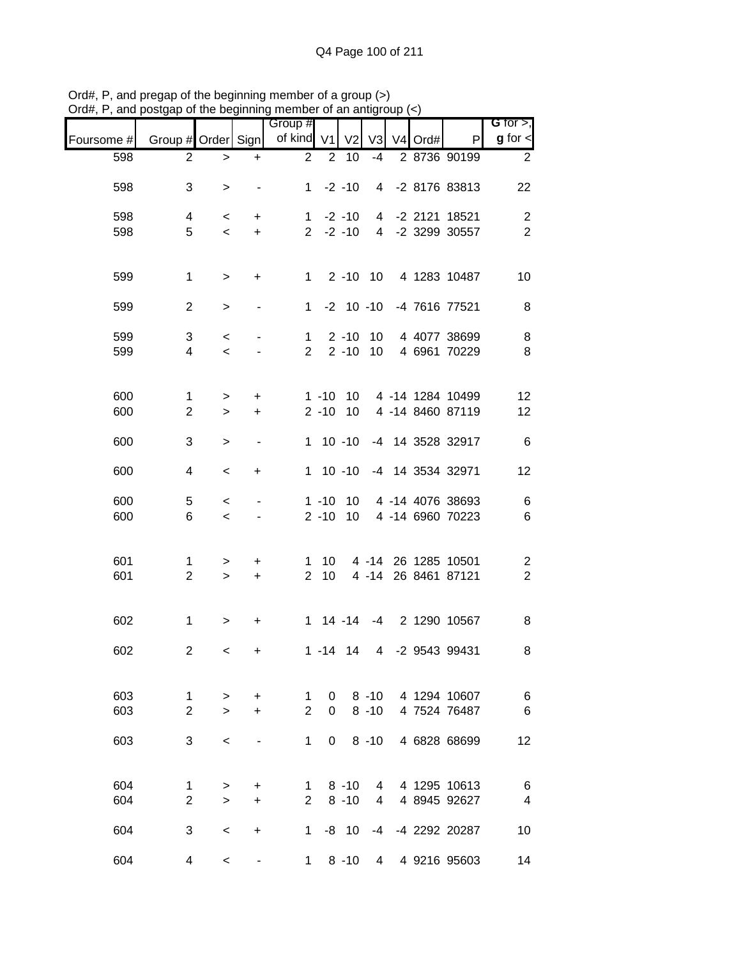|            |                     |                   |                | Group #             |                      |                |                |   |         |                                      | G for $>$ ,                            |
|------------|---------------------|-------------------|----------------|---------------------|----------------------|----------------|----------------|---|---------|--------------------------------------|----------------------------------------|
| Foursome # | Group # Order Sign  |                   |                | of kind V1          |                      | V <sub>2</sub> | V3             |   | V4 Ord# | P                                    | $g$ for $\lt$                          |
| 598        | $\overline{c}$      | $\, > \,$         | +              | $\overline{2}$      | $\overline{2}$       | 10             | $-4$           |   |         | 2 8736 90199                         | $\overline{2}$                         |
| 598        | 3                   | $\, > \,$         |                | $\mathbf{1}$        |                      | $-2 - 10$      | 4              |   |         | -2 8176 83813                        | 22                                     |
| 598        | 4                   | $\,<$             | +              | $\mathbf 1$         |                      | $-2 - 10$      | 4              |   |         | -2 2121 18521                        | $\overline{c}$                         |
| 598        | 5                   | $\,<$             | $\ddot{}$      | $2^{\circ}$         |                      | $-2 - 10$      |                |   |         | 4 -2 3299 30557                      | $\overline{2}$                         |
| 599        | $\mathbf 1$         | $\,$              | +              | $1 \quad$           |                      | $2 - 10$ 10    |                |   |         | 4 1283 10487                         | 10                                     |
| 599        | $\overline{2}$      | $\, >$            |                | $\mathbf 1$         |                      | $-2$ 10 $-10$  |                |   |         | -4 7616 77521                        | 8                                      |
| 599        | 3                   | $\,<$             |                | $\mathbf 1$         |                      | $2 - 10$       | 10             |   |         | 4 4077 38699                         | 8                                      |
| 599        | 4                   | $\,<$             |                | $\overline{2}$      |                      | $2 - 10$       | 10             |   |         | 4 6961 70229                         | $\, 8$                                 |
| 600        | $\mathbf{1}$        | $\,$              | +              |                     | $1 - 10$             | 10             |                |   |         | 4 -14 1284 10499                     | 12                                     |
| 600        | $\overline{2}$      | $\geq$            | $\ddot{}$      |                     | $2 - 10$             | 10             |                |   |         | 4 -14 8460 87119                     | 12                                     |
| 600        | 3                   | >                 |                | $\mathbf{1}$        |                      | $10 - 10$      |                |   |         | -4 14 3528 32917                     | $\,6$                                  |
| 600        | 4                   | $\,<\,$           | +              | 1                   |                      | $10 - 10$      |                |   |         | -4 14 3534 32971                     | 12                                     |
| 600        | 5<br>6              | $\,<$             |                |                     | $1 - 10$<br>$2 - 10$ | 10<br>10       |                |   |         | 4 -14 4076 38693<br>4 -14 6960 70223 | $\,6$                                  |
| 600        |                     | $\,<\,$           |                |                     |                      |                |                |   |         |                                      | $\,6$                                  |
| 601<br>601 | 1<br>$\overline{2}$ | $\, > \,$<br>$\,$ | +<br>$\ddot{}$ | 1<br>$\overline{2}$ | 10<br>10             |                | $4 - 14$       |   |         | 4 -14 26 1285 10501<br>26 8461 87121 | $\overline{\mathbf{c}}$<br>$\mathbf 2$ |
|            |                     |                   |                |                     |                      |                |                |   |         |                                      |                                        |
| 602        | $\mathbf 1$         | $\,$              | +              |                     | $1 14 - 14$          |                | $-4$           |   |         | 2 1290 10567                         | 8                                      |
| 602        | $\overline{c}$      | $\,<$             | +              |                     | $1 - 14$             | 14             | $\overline{4}$ |   |         | -2 9543 99431                        | 8                                      |
| 603        | $\mathbf 1$         | $\, > \,$         | +              | 1                   | 0                    |                | $8 - 10$       |   |         | 4 1294 10607                         | 6                                      |
| 603        | $\overline{2}$      | $\geq$            | +              | $\overline{2}$      | $\Omega$             |                | $8 - 10$       |   |         | 4 7524 76487                         | 6                                      |
| 603        | 3                   | $\,<$             |                | 1                   | 0                    |                | $8 - 10$       |   |         | 4 6828 68699                         | 12                                     |
| 604        | 1                   | $\, > \,$         | $\ddot{}$      | 1                   |                      | $8 - 10$       | 4              |   |         | 4 1295 10613                         | 6                                      |
| 604        | $\overline{2}$      | $\geq$            | +              | $\overline{2}$      |                      | $8 - 10$       | 4              |   |         | 4 8945 92627                         | $\overline{\mathbf{4}}$                |
| 604        | 3                   | $\,<\,$           | +              | 1                   |                      | $-8$ 10        | $-4$           |   |         | -4 2292 20287                        | 10                                     |
| 604        | 4                   | $\,<\,$           |                | $\mathbf 1$         |                      | $8 - 10$       |                | 4 |         | 4 9216 95603                         | 14                                     |

Ord#, P, and pregap of the beginning member of a group (>) Ord#, P, and postgap of the beginning member of an antigroup (<)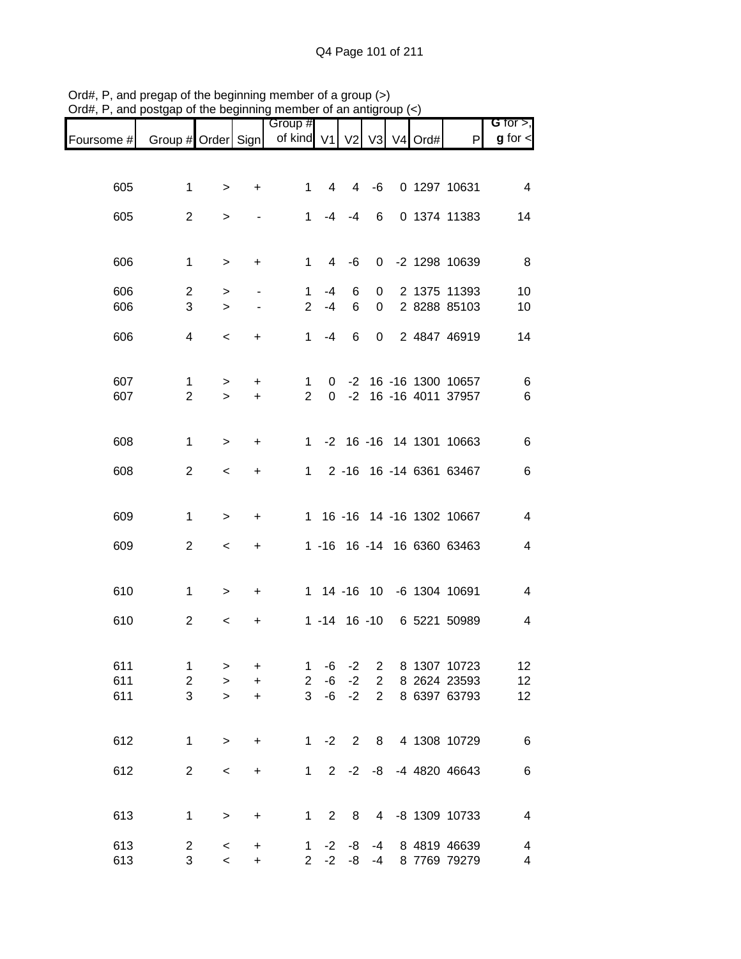|            |                    |                     |                                  | Group #             |                  |                |                |                     |                            | G for $>$ ,    |
|------------|--------------------|---------------------|----------------------------------|---------------------|------------------|----------------|----------------|---------------------|----------------------------|----------------|
| Foursome # | Group # Order Sign |                     |                                  | of kind V1          |                  | V <sub>2</sub> | V3             | V <sub>4</sub> Ord# | P                          | $g$ for $\lt$  |
|            |                    |                     |                                  |                     |                  |                |                |                     |                            |                |
|            |                    |                     |                                  |                     | 4                |                |                |                     | 0 1297 10631               |                |
| 605        | $\mathbf 1$        | $\, > \,$           | +                                | 1                   |                  | 4              | -6             |                     |                            | $\overline{4}$ |
| 605        | $\overline{2}$     | $\,>$               |                                  | $\mathbf{1}$        | -4               | $-4$           | 6              |                     | 0 1374 11383               | 14             |
|            |                    |                     |                                  |                     |                  |                |                |                     |                            |                |
| 606        | $\mathbf 1$        | $\,$                | +                                | $\mathbf{1}$        | 4                | -6             | $\mathbf 0$    |                     | -2 1298 10639              | 8              |
|            |                    |                     |                                  |                     |                  |                |                |                     |                            |                |
| 606        | $\overline{c}$     | $\,$                |                                  | 1                   | -4               | 6              | 0              |                     | 2 1375 11393               | 10             |
| 606        | 3                  | $\geq$              | $\overline{\phantom{a}}$         | $\overline{2}$      | $-4$             | 6              | $\pmb{0}$      |                     | 2 8288 85103               | 10             |
| 606        | 4                  | $\,<$               | +                                | $\mathbf{1}$        | $-4$             | 6              | $\mathbf 0$    |                     | 2 4847 46919               | 14             |
|            |                    |                     |                                  |                     |                  |                |                |                     |                            |                |
| 607        | $\mathbf 1$        |                     |                                  |                     |                  |                |                |                     | -2 16 -16 1300 10657       |                |
| 607        | $\overline{2}$     | $\, > \,$<br>$\geq$ | +<br>$\ddot{}$                   | 1<br>$\overline{2}$ | 0<br>$\mathbf 0$ | $-2$           |                |                     | 16 -16 4011 37957          | 6<br>6         |
|            |                    |                     |                                  |                     |                  |                |                |                     |                            |                |
|            |                    |                     |                                  |                     |                  |                |                |                     |                            |                |
| 608        | 1                  | $\geq$              | +                                | 1                   |                  |                |                |                     | -2 16 -16 14 1301 10663    | 6              |
| 608        | $\overline{2}$     | $\,<$               | +                                | $\mathbf 1$         |                  |                |                |                     | 2 -16 16 -14 6361 63467    | 6              |
|            |                    |                     |                                  |                     |                  |                |                |                     |                            |                |
| 609        | $\mathbf 1$        | $\, > \,$           | +                                | 1                   |                  |                |                |                     | 16 -16 14 -16 1302 10667   | 4              |
|            |                    |                     |                                  |                     |                  |                |                |                     |                            |                |
| 609        | $\mathbf{2}$       | $\,<$               | $\ddot{}$                        |                     |                  |                |                |                     | 1 -16 16 -14 16 6360 63463 | 4              |
|            |                    |                     |                                  |                     |                  |                |                |                     |                            |                |
| 610        | $\mathbf 1$        | $\, > \,$           | $\ddot{}$                        |                     |                  |                |                |                     | 1 14 -16 10 -6 1304 10691  | $\overline{4}$ |
|            |                    |                     |                                  |                     |                  |                |                |                     |                            |                |
| 610        | $\mathbf{2}$       | $\,<$               | +                                |                     |                  |                |                |                     | 1 -14 16 -10 6 5221 50989  | 4              |
|            |                    |                     |                                  |                     |                  |                |                |                     |                            |                |
| 611        | 1                  | $\, > \,$           | $\ddot{}$                        | 1                   | -6               | $-2$           | $\overline{c}$ |                     | 8 1307 10723               | 12             |
| 611        | $\boldsymbol{2}$   | $\geq$              | $\ddot{}$                        | $\overline{c}$      | $-6$             | $-2$           | $\overline{2}$ |                     | 8 2624 23593               | 12             |
| 611        | 3                  | $\geq$              | $\ddot{}$                        | 3 <sup>1</sup>      | $-6$             | $-2$           | $\overline{2}$ |                     | 8 6397 63793               | 12             |
|            |                    |                     |                                  |                     |                  |                |                |                     |                            |                |
| 612        | $\mathbf 1$        | $\mathbf{L}$        | $\ddot{}$                        | 1                   | $-2$             | 2              | 8              |                     | 4 1308 10729               | 6              |
|            | $\overline{2}$     |                     |                                  | $\mathbf{1}$        | $2^{\circ}$      | $-2$           | -8             |                     | -4 4820 46643              |                |
| 612        |                    | $\prec$             | $\begin{array}{c} + \end{array}$ |                     |                  |                |                |                     |                            | 6              |
|            |                    |                     |                                  |                     |                  |                |                |                     |                            |                |
| 613        | 1                  | $\mathbf{L}$        | $\ddot{}$                        | 1                   | $\overline{2}$   | 8              |                |                     | 4 -8 1309 10733            | 4              |
| 613        | $\overline{c}$     | $\,<$               | $\ddot{}$                        | 1                   | $-2$             | -8             | $-4$           |                     | 8 4819 46639               | 4              |
| 613        | 3                  | $\,<$               | $\ddot{}$                        | 2 <sup>1</sup>      | $-2$             | -8             | $-4$           |                     | 8 7769 79279               | 4              |

Ord#, P, and pregap of the beginning member of a group (>) Ord#, P, and postgap of the beginning member of an antigroup (<)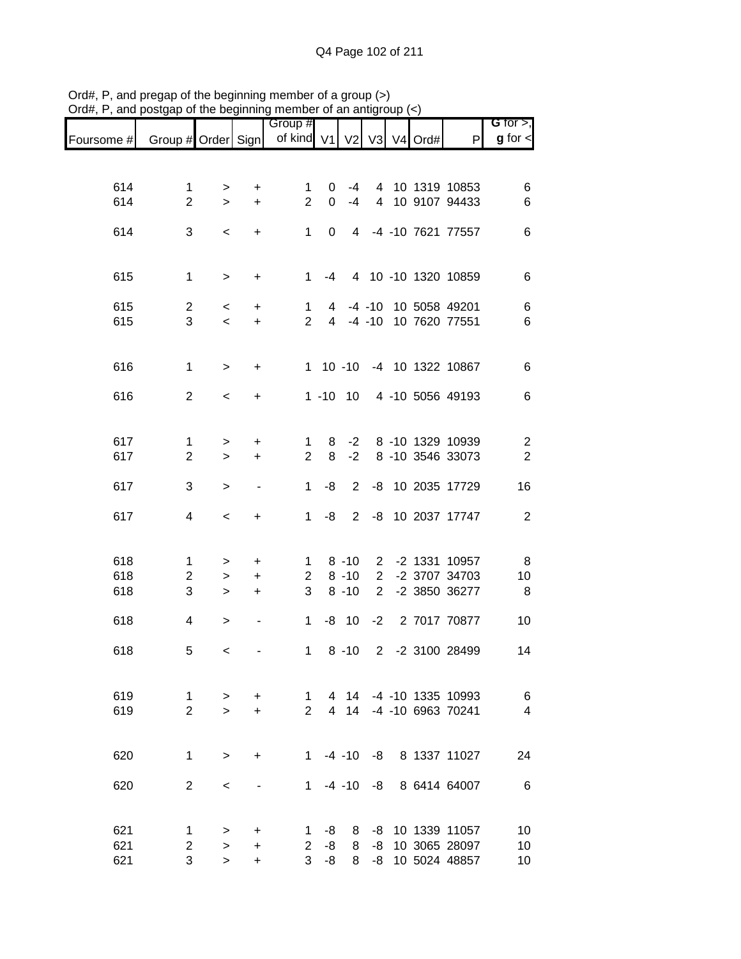|            |                     |                        |                              | Group #               |                |                      |                                  |               |                                | G for $>$ ,             |
|------------|---------------------|------------------------|------------------------------|-----------------------|----------------|----------------------|----------------------------------|---------------|--------------------------------|-------------------------|
| Foursome # | Group # Order Sign  |                        |                              | of kind V1            |                |                      |                                  | V2 V3 V4 Ord# | P                              | $g$ for $\lt$           |
|            |                     |                        |                              |                       |                |                      |                                  |               |                                |                         |
|            |                     |                        |                              |                       |                |                      |                                  |               |                                |                         |
| 614        | $\mathbf 1$         | >                      | +                            | $\mathbf 1$           | 0              | -4                   |                                  |               | 4 10 1319 10853                | 6                       |
| 614        | $\overline{2}$      | $\geq$                 | $\ddot{}$                    | $\overline{2}$        | $\mathbf 0$    | $-4$                 | $\overline{4}$                   |               | 10 9107 94433                  | 6                       |
|            |                     |                        |                              |                       |                |                      |                                  |               |                                |                         |
| 614        | 3                   | $\,<$                  | $\ddot{}$                    | $\mathbf{1}$          | 0              | 4                    |                                  |               | -4 -10 7621 77557              | $\,6$                   |
|            |                     |                        |                              |                       |                |                      |                                  |               |                                |                         |
| 615        | $\mathbf 1$         | $\,>$                  | +                            | 1                     | -4             |                      |                                  |               | 4 10 -10 1320 10859            | 6                       |
|            |                     |                        |                              |                       |                |                      |                                  |               |                                |                         |
| 615        | $\overline{c}$      | $\,<\,$                | $\ddot{}$                    | 1                     | 4              |                      | $-4 - 10$                        |               | 10 5058 49201                  | $\,6$                   |
| 615        | 3                   | $\,<\,$                | $\ddot{}$                    | $\overline{2}$        | $\overline{4}$ |                      | $-4 - 10$                        |               | 10 7620 77551                  | 6                       |
|            |                     |                        |                              |                       |                |                      |                                  |               |                                |                         |
|            |                     |                        |                              |                       |                |                      |                                  |               |                                |                         |
| 616        | $\mathbf 1$         | $\, >$                 | $\ddot{}$                    |                       | $1 10 - 10$    |                      |                                  |               | -4 10 1322 10867               | 6                       |
|            |                     |                        |                              |                       |                |                      |                                  |               |                                |                         |
| 616        | $\overline{2}$      | $\,<\,$                | +                            |                       | $1 - 10$       | 10                   |                                  |               | 4 -10 5056 49193               | $\,6$                   |
|            |                     |                        |                              |                       |                |                      |                                  |               |                                |                         |
| 617        | $\mathbf{1}$        | $\, >$                 | $\ddot{}$                    | 1                     | 8              | $-2$                 |                                  |               | 8 -10 1329 10939               | $\overline{c}$          |
| 617        | $\overline{2}$      | $\geq$                 | $\ddot{}$                    | $\overline{2}$        | 8              | $-2$                 |                                  |               | 8 -10 3546 33073               | $\overline{c}$          |
|            |                     |                        |                              |                       |                |                      |                                  |               |                                |                         |
| 617        | 3                   | $\, > \,$              | $\overline{a}$               | 1                     | -8             | $\overline{2}$       |                                  |               | -8 10 2035 17729               | 16                      |
|            |                     |                        |                              |                       |                |                      |                                  |               |                                |                         |
| 617        | 4                   | $\,<$                  | +                            | $\mathbf 1$           | -8             | 2                    |                                  |               | -8 10 2037 17747               | $\overline{2}$          |
|            |                     |                        |                              |                       |                |                      |                                  |               |                                |                         |
|            |                     |                        |                              |                       |                |                      |                                  |               |                                |                         |
| 618<br>618 | 1<br>$\overline{c}$ | >                      | +                            | 1<br>$\overline{2}$   |                | $8 - 10$<br>$8 - 10$ | $\overline{2}$<br>$\overline{2}$ |               | -2 1331 10957<br>-2 3707 34703 | 8                       |
| 618        | 3                   | $\, > \,$<br>$\, > \,$ | $\ddot{}$<br>+               | 3                     |                | $8 - 10$             | $\overline{2}$                   |               | -2 3850 36277                  | 10<br>8                 |
|            |                     |                        |                              |                       |                |                      |                                  |               |                                |                         |
| 618        | 4                   | $\,>$                  | $\qquad \qquad \blacksquare$ | 1                     | -8             | 10                   | $-2$                             |               | 2 7017 70877                   | 10                      |
|            |                     |                        |                              |                       |                |                      |                                  |               |                                |                         |
| 618        | 5                   | $\,<\,$                | $\qquad \qquad \blacksquare$ | $\mathbf 1$           |                | $8 - 10$             | $\overline{2}$                   |               | -2 3100 28499                  | 14                      |
|            |                     |                        |                              |                       |                |                      |                                  |               |                                |                         |
|            |                     |                        |                              |                       |                |                      |                                  |               |                                |                         |
| 619        | $\mathbf 1$         | $\geq$                 | $\ddot{}$                    | $\mathbf{1}$          | 4              |                      |                                  |               | 14 -4 -10 1335 10993           | 6                       |
| 619        | $\overline{2}$      | $\geq$                 | $+$                          | $\overline{2}$        |                |                      |                                  |               | 4 14 -4 -10 6963 70241         | $\overline{\mathbf{4}}$ |
|            |                     |                        |                              |                       |                |                      |                                  |               |                                |                         |
| 620        | $\mathbf{1}$        | $\geq$                 | +                            |                       |                |                      |                                  |               | 1 -4 -10 -8 8 1337 11027       | 24                      |
|            |                     |                        |                              |                       |                |                      |                                  |               |                                |                         |
| 620        | $\overline{2}$      | $\,<\,$                |                              | $1 \quad$             |                | $-4 - 10 - 8$        |                                  |               | 8 6414 64007                   | $\,6$                   |
|            |                     |                        |                              |                       |                |                      |                                  |               |                                |                         |
|            |                     |                        |                              |                       |                |                      |                                  |               |                                |                         |
| 621        | 1                   | $\, > \,$              | +                            | 1                     | -8             | 8                    | -8                               |               | 10 1339 11057                  | 10                      |
| 621        | 2                   | $\,>$                  | +                            | $\mathbf{2}^{\prime}$ | -8             | 8                    | -8                               |               | 10 3065 28097                  | 10                      |
| 621        | 3                   | $\geq$                 | $\ddot{}$                    | $\overline{3}$        | $-8$           | 8                    | -8                               |               | 10 5024 48857                  | 10                      |

Ord#, P, and pregap of the beginning member of a group (>) Ord#, P, and postgap of the beginning member of an antigroup (<)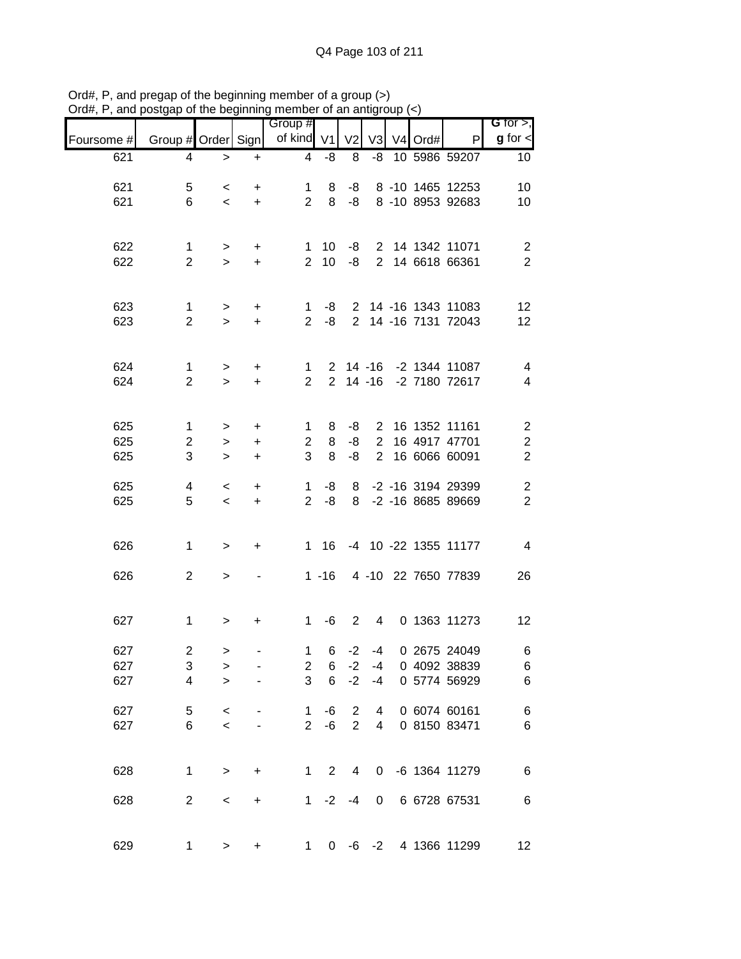|            |                                |                |                        | Group #                       |                |                |                                  |         |                                | $G$ for $>$ ,                                      |
|------------|--------------------------------|----------------|------------------------|-------------------------------|----------------|----------------|----------------------------------|---------|--------------------------------|----------------------------------------------------|
| Foursome # | Group # Order Sign             |                |                        | of kind V1                    |                | V <sub>2</sub> | V <sub>3</sub>                   | V4 Ord# | P                              | $g$ for $\lt$                                      |
| 621        | 4                              | $\, > \,$      | $\ddot{}$              | $\overline{4}$                | -8             | 8              | -8                               |         | 10 5986 59207                  | 10 <sup>°</sup>                                    |
| 621        | 5                              | $\,<\,$        | +                      | 1                             | 8              | -8             |                                  |         | 8 -10 1465 12253               | 10                                                 |
| 621        | 6                              | $\,<$          | $\ddot{}$              | $\overline{2}$                | 8              | -8             |                                  |         | 8 -10 8953 92683               | 10                                                 |
|            |                                |                |                        |                               |                |                |                                  |         |                                |                                                    |
| 622        | $\mathbf{1}$                   | $\,$           | $\ddot{}$              | 1.<br>$\overline{2}$          | 10             | -8             |                                  |         | 2 14 1342 11071                | $\overline{\mathbf{c}}$<br>$\overline{2}$          |
| 622        | $\overline{2}$                 | $\geq$         | $\ddot{}$              |                               | 10             | -8             |                                  |         | 2 14 6618 66361                |                                                    |
| 623        |                                |                |                        |                               |                |                |                                  |         | 2 14 -16 1343 11083            |                                                    |
| 623        | $\mathbf{1}$<br>$\overline{2}$ | $\,$<br>$\geq$ | $\ddot{}$<br>$\ddot{}$ | $\mathbf 1$<br>$\overline{2}$ | -8<br>$-8$     |                |                                  |         | 2 14 -16 7131 72043            | 12<br>12                                           |
|            |                                |                |                        |                               |                |                |                                  |         |                                |                                                    |
| 624        | $\mathbf{1}$                   | $\,$           | $\ddot{}$              | 1                             |                |                |                                  |         | 2 14 -16 -2 1344 11087         | $\overline{\mathcal{A}}$                           |
| 624        | $\overline{2}$                 | $\geq$         | $\ddot{}$              | $\overline{2}$                |                | $2$ 14 -16     |                                  |         | -2 7180 72617                  | 4                                                  |
|            |                                |                |                        |                               |                |                |                                  |         |                                |                                                    |
| 625<br>625 | $\mathbf{1}$<br>$\overline{c}$ | $\, >$         | +                      | 1<br>$\overline{c}$           | 8<br>8         | -8<br>-8       | $\overline{2}$<br>$\overline{2}$ |         | 16 1352 11161<br>16 4917 47701 | $\overline{\mathbf{c}}$<br>$\overline{\mathbf{c}}$ |
| 625        | 3                              | $\,$<br>$\geq$ | $\ddot{}$<br>$\ddot{}$ | 3                             | 8              | -8             | $\overline{2}$                   |         | 16 6066 60091                  | $\overline{2}$                                     |
| 625        | 4                              | $\,<\,$        | $\ddot{}$              | $\mathbf 1$                   | -8             | 8              |                                  |         | -2 -16 3194 29399              | $\mathbf 2$                                        |
| 625        | 5                              | $\,<$          | $\ddot{}$              | $\overline{2}$                | -8             | 8              |                                  |         | -2 -16 8685 89669              | $\overline{c}$                                     |
|            |                                |                |                        |                               |                |                |                                  |         |                                |                                                    |
| 626        | $\mathbf 1$                    | $\geq$         | +                      | $\mathbf{1}$                  | 16             |                |                                  |         | -4 10 -22 1355 11177           | $\overline{4}$                                     |
| 626        | $\overline{2}$                 | $\,$           |                        |                               | $1 - 16$       |                |                                  |         | 4 -10 22 7650 77839            | 26                                                 |
|            |                                |                |                        |                               |                |                |                                  |         |                                |                                                    |
| 627        | $\mathbf 1$                    | $\, > \,$      | +                      | $\mathbf 1$                   | -6             | $\overline{2}$ | $\overline{4}$                   |         | 0 1363 11273                   | 12                                                 |
|            |                                |                |                        |                               |                |                |                                  |         |                                |                                                    |
| 627<br>627 | $\overline{\mathbf{c}}$<br>3   | ><br>$\,>$     |                        | $\mathbf 1$<br>$\overline{2}$ | 6<br>6         | $-2$<br>$-2$   | -4<br>$-4$                       |         | 0 2675 24049<br>0 4092 38839   | 6<br>$\,6$                                         |
| 627        | 4                              | $\geq$         |                        | 3                             | 6              | $-2$           | $-4$                             |         | 0 5774 56929                   | $\,6$                                              |
| 627        | 5                              | $\,<$          |                        | $\mathbf 1$                   | -6             | $\overline{c}$ | 4                                |         | 0 6074 60161                   | $\,6$                                              |
| 627        | 6                              | $\,<$          |                        | $\overline{2}$                | -6             | $\overline{2}$ | 4                                |         | 0 8150 83471                   | $\,6$                                              |
|            |                                |                |                        |                               |                |                |                                  |         |                                |                                                    |
| 628        | 1                              | $\, >$         | $\ddot{}$              | $1 \quad$                     | $\overline{2}$ | $\overline{4}$ | 0                                |         | -6 1364 11279                  | $\,6$                                              |
| 628        | $\mathbf{2}$                   | $\,<$          | $\ddot{}$              | 1                             | $-2$           | $-4$           | 0                                |         | 6 6728 67531                   | 6                                                  |
|            |                                |                |                        |                               |                |                |                                  |         |                                |                                                    |
| 629        | $\mathbf{1}$                   | $\,$           | +                      | $1 \quad$                     | $\mathbf{0}$   |                |                                  |         | -6 -2 4 1366 11299             | 12                                                 |

Ord#, P, and pregap of the beginning member of a group (>) Ord#, P, and postgap of the beginning member of an antigroup (<)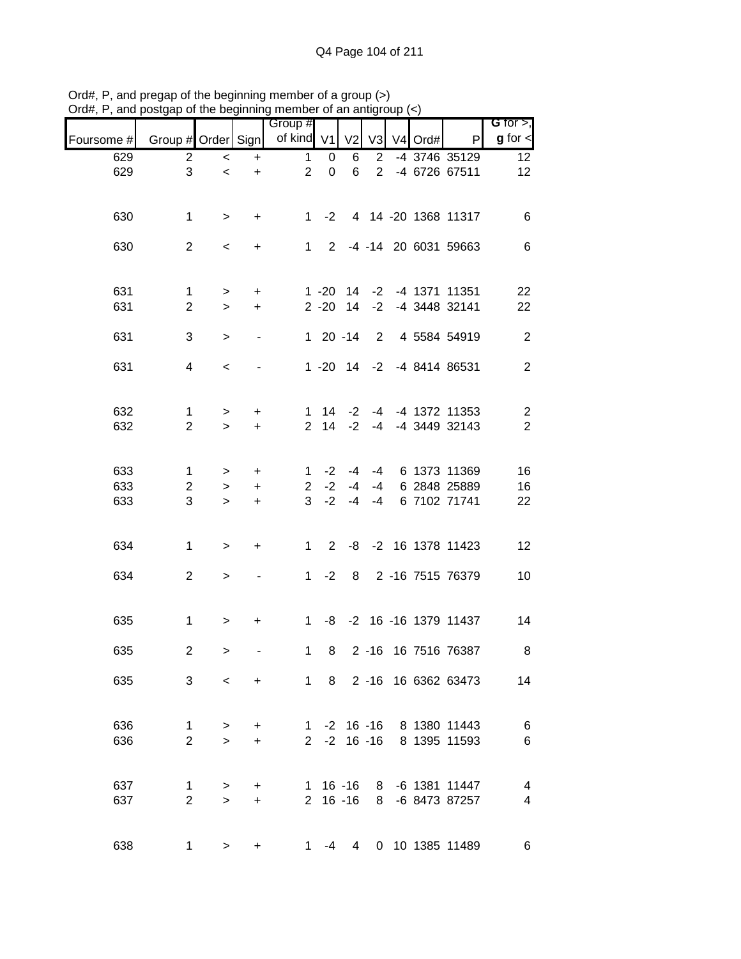|            |                                | <u>.</u>            | .   . 9                | <b>THOLLINGL</b> OF GLI GITU<br>Group # |                |                                |                |         |                                                      | G for $>$ ,                               |
|------------|--------------------------------|---------------------|------------------------|-----------------------------------------|----------------|--------------------------------|----------------|---------|------------------------------------------------------|-------------------------------------------|
| Foursome # | Group # Order Sign             |                     |                        | of kind V1                              |                | V <sub>2</sub>                 | V3             | V4 Ord# | P                                                    | $g$ for $\lt$                             |
| 629        | $\overline{2}$                 | $\,<$               | $\ddot{}$              | $\mathbf{1}$                            | 0              | 6                              | $\overline{2}$ |         | -4 3746 35129                                        | 12                                        |
| 629        | 3                              | $\,<$               | $+$                    | 2                                       | $\mathbf 0$    | 6                              | $\overline{2}$ |         | -4 6726 67511                                        | 12                                        |
| 630        | $\mathbf 1$                    | $\geq$              | $+$                    |                                         | 1 $-2$         |                                |                |         | 4 14 -20 1368 11317                                  | $\,6$                                     |
| 630        | $\overline{2}$                 | $\,<$               | $+$                    |                                         |                |                                |                |         | 1 2 -4 -14 20 6031 59663                             | $\,6$                                     |
| 631        | $\mathbf{1}$                   | $\,$                | $+$                    |                                         | $1 - 20$       |                                |                |         | 14 -2 -4 1371 11351                                  | 22                                        |
| 631        | $\overline{2}$                 | $\,>$               | $+$                    |                                         |                |                                |                |         | 2 -20 14 -2 -4 3448 32141                            | 22                                        |
| 631        | 3                              | $\geq$              |                        |                                         |                | $120 - 14$                     |                |         | 2 4 5584 54919                                       | $\overline{2}$                            |
| 631        | 4                              | $\prec$             |                        |                                         |                |                                |                |         | 1 -20 14 -2 -4 8414 86531                            | $\overline{2}$                            |
| 632<br>632 | $\mathbf{1}$<br>$\overline{2}$ | $\,>$<br>$\geq$     | $+$<br>$+$             |                                         |                | $1 \t14 \t-2$<br>$2 \t14 \t-2$ |                |         | -4 -4 1372 11353<br>-4 -4 3449 32143                 | $\overline{\mathbf{c}}$<br>$\overline{2}$ |
|            |                                |                     |                        |                                         |                |                                |                |         |                                                      |                                           |
| 633<br>633 | 1<br>$\overline{c}$            | $\geq$              | $+$                    | $\mathbf{1}$                            | $-2$<br>$2 -2$ | -4                             |                |         | -4 -4 6 1373 11369<br>-4 6 2848 25889                | 16<br>16                                  |
| 633        | 3                              | $\,$<br>$\geq$      | $+$<br>$+$             |                                         | $3 - 2$        | $-4$                           | $-4$           |         | 6 7102 71741                                         | 22                                        |
| 634        | $\mathbf{1}$                   | $\, >$              | $\ddot{}$              | 1                                       | $2^{\circ}$    |                                |                |         | -8 -2 16 1378 11423                                  | 12                                        |
| 634        | $\overline{2}$                 | $\, >$              |                        |                                         | $1 -2$         |                                |                |         | 8 2 -16 7515 76379                                   | 10                                        |
| 635        | $\mathbf 1$                    | $\, >$              | $\ddot{}$              |                                         |                |                                |                |         | 1 -8 -2 16 -16 1379 11437                            | 14                                        |
| 635        | $\overline{c}$                 | $\, >$              |                        | $\mathbf{1}$                            | 8              |                                |                |         | 2 -16 16 7516 76387                                  | 8                                         |
| 635        | 3                              | $\prec$             | $\ddot{}$              |                                         | 1 8            |                                |                |         | 2 -16 16 6362 63473                                  | 14                                        |
| 636<br>636 | 1<br>$\overline{2}$            | $\,>$<br>$\geq$     | $\ddot{}$<br>$\ddot{}$ |                                         |                |                                |                |         | 1 -2 16 -16 8 1380 11443<br>2 -2 16 -16 8 1395 11593 | $\,6$<br>$\,6$                            |
|            |                                |                     |                        |                                         |                |                                |                |         |                                                      |                                           |
| 637<br>637 | 1<br>$\overline{2}$            | $\, > \,$<br>$\geq$ | $\ddot{}$<br>$+$       |                                         |                | $1 16 - 16$<br>$2 16 - 16$     |                |         | 8 -6 1381 11447<br>8 -6 8473 87257                   | 4<br>4                                    |
| 638        |                                | $1 \quad$<br>>      | +                      |                                         | 1 -4           | $\overline{4}$                 |                |         | 0 10 1385 11489                                      | 6                                         |

Ord#, P, and pregap of the beginning member of a group (>) Ord#, P, and postgap of the beginning member of an antigroup (<)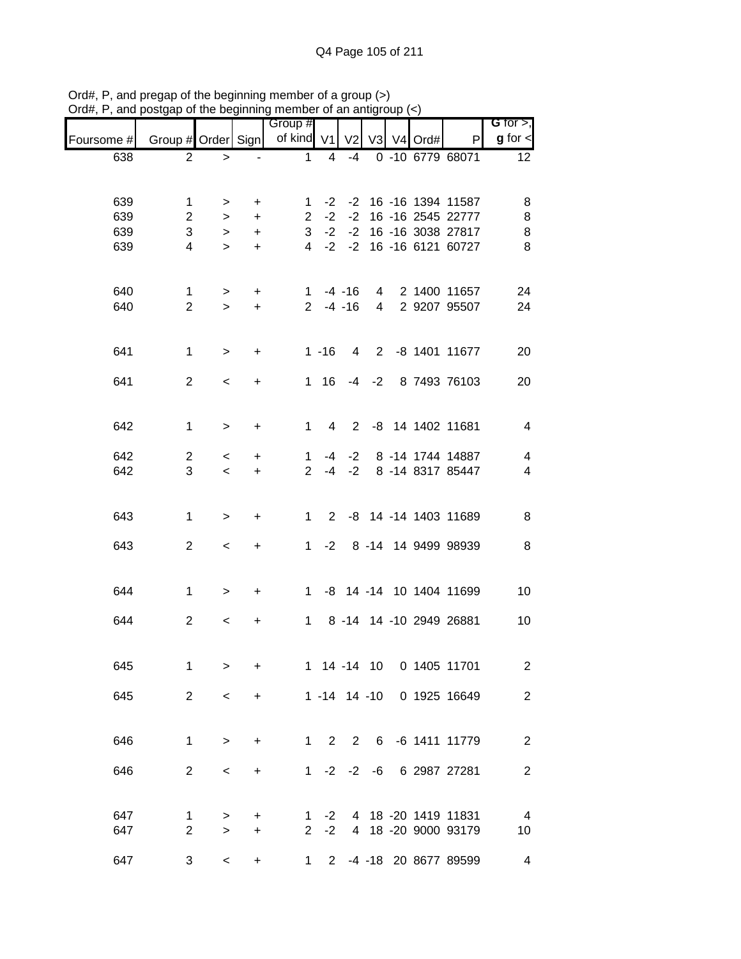|            |                    |                          |           | Group #        |                |                |                |            |                           | G for $>$ ,             |
|------------|--------------------|--------------------------|-----------|----------------|----------------|----------------|----------------|------------|---------------------------|-------------------------|
| Foursome # | Group # Order Sign |                          |           | of kind V1     |                | V <sub>2</sub> |                | V3 V4 Ord# | P                         | $g$ for $\lt$           |
| 638        | $\overline{2}$     | >                        |           | 1              | 4              | $-4$           |                |            | 0 -10 6779 68071          | 12                      |
|            |                    |                          |           |                |                |                |                |            |                           |                         |
| 639        | 1                  | >                        | +         | 1              | $-2$           | $-2$           |                |            | 16 -16 1394 11587         | 8                       |
| 639        | $\overline{2}$     | $\, >$                   | +         | $\overline{2}$ | $-2$           | $-2$           |                |            | 16 -16 2545 22777         | 8                       |
| 639        | 3                  | $\,>$                    | +         | 3              | $-2$           | $-2$           |                |            | 16 -16 3038 27817         | 8                       |
| 639        | 4                  | $\geq$                   | $\ddot{}$ | 4              | $-2$           | $-2$           |                |            | 16 -16 6121 60727         | 8                       |
|            |                    |                          |           |                |                |                |                |            |                           |                         |
|            |                    |                          |           |                |                |                |                |            |                           |                         |
| 640        | 1                  | >                        | $\ddot{}$ | 1              |                | $-4 - 16$      | $\overline{4}$ |            | 2 1400 11657              | 24                      |
| 640        | $\overline{2}$     | $\geq$                   | $\ddot{}$ | $2^{\circ}$    |                | $-4 - 16$      | $\overline{4}$ |            | 2 9207 95507              | 24                      |
|            |                    |                          |           |                |                |                |                |            |                           |                         |
| 641        | $\mathbf{1}$       | $\geq$                   | $\ddot{}$ |                | $1 - 16$       | 4              | $\overline{2}$ |            | -8 1401 11677             | 20                      |
|            |                    |                          |           |                |                |                |                |            |                           |                         |
| 641        | $\overline{2}$     | $\prec$                  | +         | $\mathbf{1}$   | 16             | $-4$           | $-2$           |            | 8 7493 76103              | 20                      |
|            |                    |                          |           |                |                |                |                |            |                           |                         |
| 642        | $\mathbf{1}$       | $\, > \,$                | +         | $\mathbf{1}$   | 4              | $\overline{2}$ |                |            | -8 14 1402 11681          | $\overline{4}$          |
|            |                    |                          |           |                |                |                |                |            |                           |                         |
| 642        | $\overline{c}$     | $\,<$                    | +         | 1              | -4             | $-2$           |                |            | 8 -14 1744 14887          | $\overline{\mathbf{4}}$ |
| 642        | 3                  | $\overline{\phantom{a}}$ | $\ddot{}$ | 2              | $-4$           | $-2$           |                |            | 8 -14 8317 85447          | $\overline{4}$          |
|            |                    |                          |           |                |                |                |                |            |                           |                         |
|            |                    |                          |           |                | $\overline{2}$ |                |                |            | -8 14 -14 1403 11689      |                         |
| 643        | 1                  | $\, > \,$                | +         | 1              |                |                |                |            |                           | 8                       |
| 643        | $\mathbf{2}$       | $\,<$                    | +         | $\mathbf{1}$   | $-2$           |                |                |            | 8 -14 14 9499 98939       | 8                       |
|            |                    |                          |           |                |                |                |                |            |                           |                         |
|            |                    |                          |           |                |                |                |                |            |                           |                         |
| 644        | $\mathbf 1$        | $\geq$                   | +         | 1              |                |                |                |            | -8 14 -14 10 1404 11699   | 10                      |
|            | $\overline{2}$     |                          |           |                |                |                |                |            | 8 -14 14 -10 2949 26881   |                         |
| 644        |                    | $\,<\,$                  | +         | $\mathbf{1}$   |                |                |                |            |                           | 10                      |
|            |                    |                          |           |                |                |                |                |            |                           |                         |
| 645        | 1                  | $\geq$                   | $\ddot{}$ |                | 1 14 -14 10    |                |                |            | 0 1405 11701              | $\overline{2}$          |
|            |                    |                          |           |                |                |                |                |            |                           |                         |
| 645        | $\overline{2}$     | $\,<$                    | +         |                |                |                |                |            | 1 -14 14 -10 0 1925 16649 | $\overline{2}$          |
|            |                    |                          |           |                |                |                |                |            |                           |                         |
| 646        | $\mathbf 1$        | $\geq$                   |           |                | $1 \quad$      | $2 \quad 2$    |                |            | 6 -6 1411 11779           | $\overline{2}$          |
|            |                    |                          | +         |                |                |                |                |            |                           |                         |
| 646        | $\overline{2}$     | $\,<\,$                  | +         |                | $1 -2 -2 -6$   |                |                |            | 6 2987 27281              | $\overline{2}$          |
|            |                    |                          |           |                |                |                |                |            |                           |                         |
|            |                    |                          |           |                |                |                |                |            |                           |                         |
| 647        | 1                  | $\, > \,$                | +         | 1              | $-2$           |                |                |            | 4 18 -20 1419 11831       | $\overline{4}$          |
| 647        | $\overline{2}$     | $\geq$                   | +         | $\overline{2}$ | $-2$           |                |                |            | 4 18 -20 9000 93179       | 10                      |
| 647        | 3                  | $\,<$                    | $\ddot{}$ | $\mathbf 1$    | $2^{\circ}$    |                |                |            | -4 -18 20 8677 89599      | 4                       |
|            |                    |                          |           |                |                |                |                |            |                           |                         |

Ord#, P, and pregap of the beginning member of a group (>) Ord#, P, and postgap of the beginning member of an antigroup (<)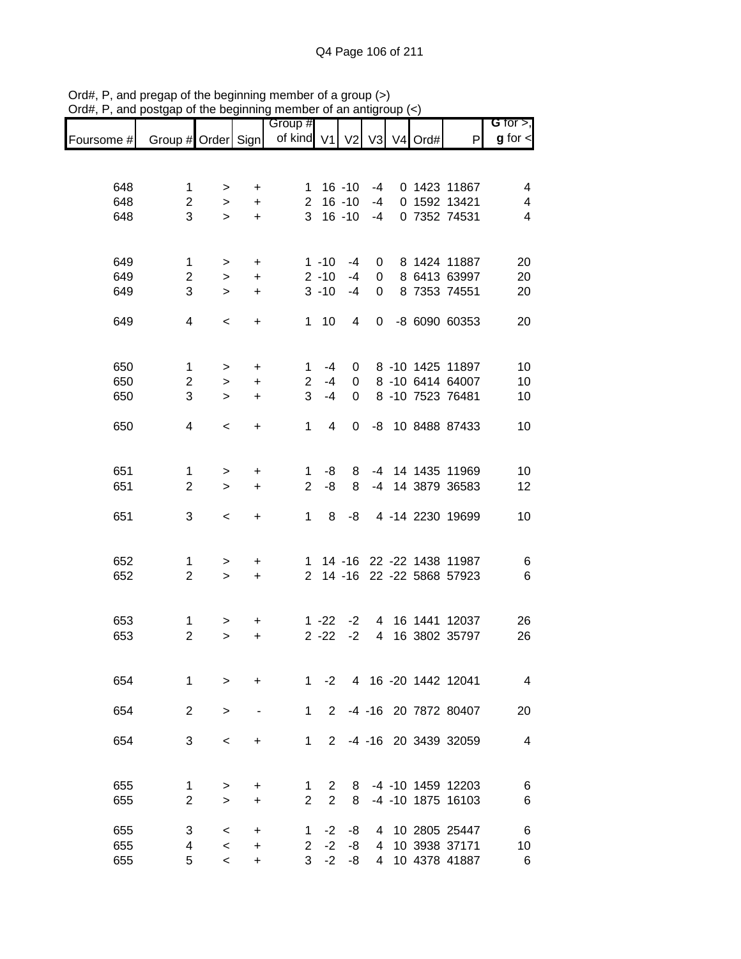|            |                    |             |                | Group #             |                |                |                |                     |                          | <b>G</b> for $>$ , |
|------------|--------------------|-------------|----------------|---------------------|----------------|----------------|----------------|---------------------|--------------------------|--------------------|
| Foursome # | Group # Order Sign |             |                | of kind V1          |                | V <sub>2</sub> | V <sub>3</sub> | V <sub>4</sub> Ord# | P                        | $g$ for $\lt$      |
|            |                    |             |                |                     |                |                |                |                     |                          |                    |
| 648        | 1                  |             |                |                     |                | $16 - 10$      | -4             |                     | 0 1423 11867             | 4                  |
| 648        | $\overline{c}$     | ><br>$\geq$ | +<br>$\ddot{}$ | 1<br>$\overline{2}$ |                | $16 - 10$      | $-4$           |                     | 0 1592 13421             | 4                  |
| 648        | 3                  | $\geq$      | $\ddot{}$      | 3                   |                | $16 - 10$      | $-4$           |                     | 0 7352 74531             | 4                  |
|            |                    |             |                |                     |                |                |                |                     |                          |                    |
| 649        | 1                  | >           | $\ddot{}$      |                     | $1 - 10$       | $-4$           | 0              |                     | 8 1424 11887             | 20                 |
| 649        | $\overline{2}$     | $\,>$       | $\ddot{}$      |                     | $2 - 10$       | $-4$           | 0              |                     | 8 6413 63997             | 20                 |
| 649        | 3                  | $\geq$      | $\ddot{}$      |                     | $3 - 10$       | $-4$           | $\Omega$       |                     | 8 7353 74551             | 20                 |
| 649        | 4                  | $\,<\,$     | +              | 1.                  | 10             | 4              | 0              |                     | -8 6090 60353            | 20                 |
|            |                    |             |                |                     |                |                |                |                     |                          |                    |
| 650        | $\mathbf{1}$       | >           | $\ddot{}$      | 1                   | $-4$           | 0              |                |                     | 8 -10 1425 11897         | 10                 |
| 650        | $\overline{c}$     | $\,>$       | $\ddot{}$      | $\mathbf{2}$        | $-4$           | 0              |                |                     | 8 -10 6414 64007         | 10                 |
| 650        | 3                  | $\geq$      | $\ddot{}$      | 3                   | $-4$           | 0              |                |                     | 8 -10 7523 76481         | 10                 |
| 650        | 4                  | $\,<\,$     | $\ddot{}$      | 1                   | 4              | 0              | -8             |                     | 10 8488 87433            | 10                 |
|            |                    |             |                |                     |                |                |                |                     |                          |                    |
| 651        | 1                  | >           | +              | 1                   | -8             | 8              |                |                     | -4 14 1435 11969         | 10                 |
| 651        | $\overline{2}$     | $\,>$       | +              | $\overline{2}$      | -8             | 8              | $-4$           |                     | 14 3879 36583            | 12                 |
| 651        | 3                  | $\,<\,$     | +              | 1                   | 8              | -8             |                |                     | 4 -14 2230 19699         | 10                 |
|            |                    |             |                |                     |                |                |                |                     |                          |                    |
| 652        | 1                  | >           | +              | 1                   |                |                |                |                     | 14 -16 22 -22 1438 11987 | 6                  |
| 652        | $\overline{2}$     | $\geq$      | $\ddot{}$      | $\overline{2}$      |                | $14 - 16$      |                |                     | 22 -22 5868 57923        | 6                  |
|            |                    |             |                |                     |                |                |                |                     |                          |                    |
| 653        | 1                  | >           | +              |                     | $1 - 22$       | $-2$           | 4              |                     | 16 1441 12037            | 26                 |
| 653        | $\overline{2}$     | $\geq$      | +              |                     | $2 - 22$       | $-2$           | 4              |                     | 16 3802 35797            | 26                 |
|            |                    |             |                |                     |                |                |                |                     |                          |                    |
| 654        | 1                  | $\geq$      | +              | 1                   | $-2$           |                |                |                     | 4 16 -20 1442 12041      | 4                  |
| 654        | $\overline{2}$     | $\geq$      |                | 1                   | $\overline{2}$ |                |                |                     | -4 -16 20 7872 80407     | 20                 |
| 654        | 3                  | $\,<\,$     | +              | 1                   | $\overline{2}$ |                |                |                     | -4 -16 20 3439 32059     | $\overline{4}$     |
|            |                    |             |                |                     |                |                |                |                     |                          |                    |
| 655        | 1                  | >           | +              | 1                   | $\mathbf{2}$   | 8              |                |                     | -4 -10 1459 12203        | 6                  |
| 655        | $\overline{2}$     | $\geq$      | +              | $\overline{2}$      | $\overline{2}$ | 8              |                |                     | -4 -10 1875 16103        | 6                  |
| 655        | 3                  | $\,<\,$     | $\ddot{}$      | 1                   | $-2$           | -8             |                |                     | 4 10 2805 25447          | 6                  |
| 655        | 4                  | $\,<$       | $\ddot{}$      | $\overline{2}$      | $-2$           | -8             | 4              |                     | 10 3938 37171            | 10                 |
| 655        | 5                  | $\,<$       | +              | 3                   | $-2$           | -8             |                |                     | 4 10 4378 41887          | 6                  |

Ord#, P, and pregap of the beginning member of a group (>) Ord#, P, and postgap of the beginning member of an antigroup (<)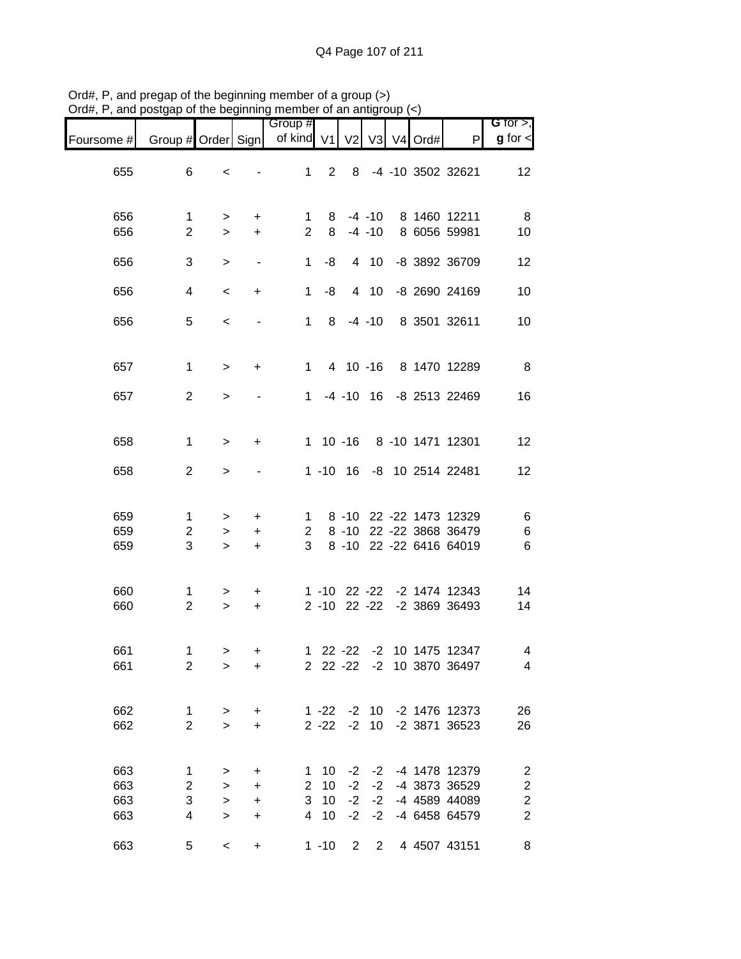|                               |                                    |                                  |                                                  | Group #                           |                      |                                  |                              |            |                                                                  | $G$ for $>$ ,                                                                                 |
|-------------------------------|------------------------------------|----------------------------------|--------------------------------------------------|-----------------------------------|----------------------|----------------------------------|------------------------------|------------|------------------------------------------------------------------|-----------------------------------------------------------------------------------------------|
| Foursome # Group # Order Sign |                                    |                                  |                                                  | of kind V1                        |                      | V <sub>2</sub>                   |                              | V3 V4 Ord# | P                                                                | $g$ for $\lt$                                                                                 |
| 655                           | 6                                  | $\,<\,$                          |                                                  | 1                                 | $\overline{2}$       | 8                                |                              |            | -4 -10 3502 32621                                                | 12                                                                                            |
| 656<br>656                    | $\mathbf{1}$<br>$\overline{2}$     | ><br>$\geq$                      | +<br>$\ddot{}$                                   | $\mathbf{1}$<br>$\overline{2}$    | 8<br>8               |                                  | $-4 - 10$<br>$-4 - 10$       |            | 8 1460 12211<br>8 6056 59981                                     | 8<br>10                                                                                       |
| 656                           | 3                                  | $\,>$                            | $\blacksquare$                                   | 1                                 | -8                   |                                  | 4 10                         |            | -8 3892 36709                                                    | 12                                                                                            |
| 656                           | $\overline{4}$                     | $\,<$                            | +                                                | $\mathbf 1$                       | -8                   |                                  | 4 10                         |            | -8 2690 24169                                                    | 10                                                                                            |
| 656                           | 5                                  | $\,<$                            |                                                  | $1 \quad$                         | 8                    |                                  | $-4 - 10$                    |            | 8 3501 32611                                                     | 10                                                                                            |
| 657                           | $\mathbf 1$                        | $\geq$                           | +                                                |                                   | $1 \quad$            | 4 10 -16                         |                              |            | 8 1470 12289                                                     | 8                                                                                             |
| 657                           | $\overline{2}$                     | $\geq$                           |                                                  |                                   |                      |                                  |                              |            | 1 -4 -10 16 -8 2513 22469                                        | 16                                                                                            |
| 658                           | 1                                  | $\geq$                           | +                                                |                                   |                      | $1 10 - 16$                      |                              |            | 8 -10 1471 12301                                                 | 12                                                                                            |
| 658                           | $\overline{2}$                     | $\, > \,$                        |                                                  |                                   |                      | $1 - 10$ 16                      |                              |            | -8 10 2514 22481                                                 | 12                                                                                            |
| 659<br>659<br>659             | $\mathbf 1$<br>$\overline{c}$<br>3 | $\, > \,$<br>$\, > \,$<br>$\geq$ | +<br>$\ddot{}$<br>$\ddot{}$                      | $\mathbf{1}$<br>$\mathbf{2}$<br>3 |                      | $8 - 10$<br>$8 - 10$<br>$8 - 10$ |                              |            | 22 -22 1473 12329<br>22 - 22 3868 36479<br>22 -22 6416 64019     | 6<br>6<br>$\,6$                                                                               |
| 660<br>660                    | 1<br>$\overline{2}$                | $\,$<br>$\geq$                   | +<br>$\ddot{}$                                   |                                   | $2 - 10$             |                                  | $22 - 22$                    |            | 1 -10 22 -22 -2 1474 12343<br>-2 3869 36493                      | 14<br>14                                                                                      |
| 661<br>661                    | 1<br>2                             | $\,$<br>>                        | +<br>+                                           |                                   |                      |                                  |                              |            | 1 22 -22 -2 10 1475 12347<br>2 22 -22 -2 10 3870 36497           | 4<br>$\overline{4}$                                                                           |
| 662<br>662                    | $\mathbf{1}$<br>$\overline{2}$     | $\,$<br>$\geq$                   | +<br>+                                           |                                   | $1 - 22$<br>$2 - 22$ | $-2$                             | $-2$ 10<br>10                |            | -2 1476 12373<br>-2 3871 36523                                   | 26<br>26                                                                                      |
| 663<br>663<br>663<br>663      | 1<br>2<br>3<br>4                   | ><br>><br>$\, > \,$<br>$\geq$    | $\ddot{}$<br>$\ddot{}$<br>$\ddot{}$<br>$\ddot{}$ | 1<br>$\overline{2}$<br>3<br>4     | 10<br>10<br>10<br>10 | $-2$<br>$-2$<br>$-2$<br>$-2$     | $-2$<br>$-2$<br>$-2$<br>$-2$ |            | -4 1478 12379<br>-4 3873 36529<br>-4 4589 44089<br>-4 6458 64579 | $\overline{\mathbf{c}}$<br>$\overline{\mathbf{c}}$<br>$\overline{\mathbf{c}}$<br>$\mathbf{2}$ |
| 663                           | 5                                  | $\,<$                            | $\ddot{}$                                        |                                   | $1 - 10$             | $\overline{2}$                   | $\overline{2}$               |            | 4 4507 43151                                                     | 8                                                                                             |

Ord#, P, and pregap of the beginning member of a group (>) Ord#, P, and postgap of the beginning member of an antigroup (<)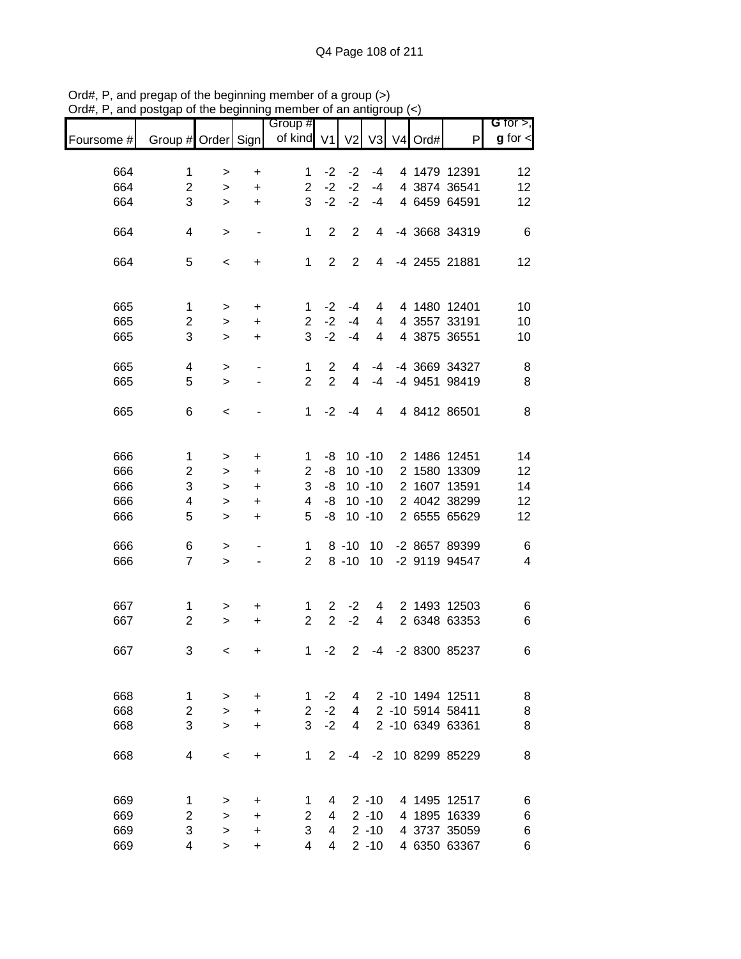|            |                    |           |                              | Group #        |                |                |                |         |                  | <b>G</b> for $>$ , |
|------------|--------------------|-----------|------------------------------|----------------|----------------|----------------|----------------|---------|------------------|--------------------|
| Foursome # | Group # Order Sign |           |                              | of kind V1     |                | V <sub>2</sub> | V <sub>3</sub> | V4 Ord# | P                | $g$ for $\lt$      |
|            |                    |           |                              |                |                |                |                |         |                  |                    |
| 664        | 1                  | >         | +                            | 1              | $-2$           | $-2$           | $-4$           |         | 4 1479 12391     | 12                 |
| 664        | $\overline{c}$     | $\, > \,$ | $\ddot{}$                    | $\overline{2}$ | $-2$           | $-2$           | $-4$           |         | 4 3874 36541     | 12                 |
| 664        | 3                  | $\, > \,$ | $\ddot{}$                    | 3              | $-2$           | $-2$           | $-4$           |         | 4 6459 64591     | 12                 |
| 664        | 4                  | >         | $\qquad \qquad \blacksquare$ | 1              | $\overline{2}$ | $\overline{2}$ | 4              |         | -4 3668 34319    | 6                  |
| 664        | 5                  | $\,<\,$   | +                            | $\mathbf{1}$   | $\overline{2}$ | $\overline{2}$ | $\overline{4}$ |         | -4 2455 21881    | 12                 |
| 665        | 1                  |           | $\ddot{}$                    | 1              | $-2$           | -4             | 4              |         | 4 1480 12401     | 10                 |
| 665        | $\overline{c}$     | >         |                              | $\overline{2}$ | $-2$           | $-4$           | 4              |         | 4 3557 33191     | 10                 |
|            | 3                  | $\, > \,$ | $\ddot{}$                    | 3              | $-2$           |                |                |         |                  |                    |
| 665        |                    | $\, > \,$ | $\ddot{}$                    |                |                | -4             | 4              |         | 4 3875 36551     | 10                 |
| 665        | 4                  | $\,>$     | $\qquad \qquad \blacksquare$ | 1              | $\overline{2}$ | 4              | $-4$           |         | -4 3669 34327    | 8                  |
| 665        | 5                  | $\geq$    |                              | $\overline{2}$ | $\overline{2}$ | 4              | $-4$           |         | -4 9451 98419    | 8                  |
| 665        | 6                  | $\,<\,$   |                              | $\mathbf 1$    | $-2$           | $-4$           | 4              |         | 4 8412 86501     | 8                  |
|            |                    |           |                              |                |                |                |                |         |                  |                    |
| 666        | $\mathbf{1}$       | >         | $\ddot{}$                    | 1              | -8             |                | $10 - 10$      |         | 2 1486 12451     | 14                 |
| 666        | $\overline{c}$     | >         | $\ddot{}$                    | $\overline{c}$ | -8             |                | $10 - 10$      |         | 2 1580 13309     | 12                 |
| 666        | 3                  | >         | $\ddot{}$                    | 3              | -8             |                | $10 - 10$      |         | 2 1607 13591     | 14                 |
| 666        | 4                  | >         | +                            | 4              | -8             |                | $10 - 10$      |         | 2 4042 38299     | 12                 |
| 666        | 5                  | $\, > \,$ | +                            | 5              | -8             |                | $10 - 10$      |         | 2 6555 65629     | 12                 |
|            |                    |           |                              |                |                |                |                |         |                  |                    |
| 666        | 6                  | >         |                              | 1              |                | $8 - 10$       | 10             |         | -2 8657 89399    | 6                  |
| 666        | $\overline{7}$     | $\, > \,$ |                              | $\mathbf{2}$   |                | $8 - 10$       | 10             |         | -2 9119 94547    | 4                  |
| 667        | 1                  | $\, > \,$ | +                            | 1              | $\overline{2}$ | $-2$           | 4              |         | 2 1493 12503     | 6                  |
| 667        | $\overline{c}$     | $\, > \,$ | $\ddot{}$                    | $\overline{2}$ | $\overline{2}$ | $-2$           | 4              |         | 2 6348 63353     | 6                  |
| 667        | 3                  | $\,<\,$   | +                            | 1              | $-2$           | $\mathbf{2}$   | $-4$           |         | -2 8300 85237    | 6                  |
|            |                    |           |                              |                |                |                |                |         |                  |                    |
| 668        | 1                  | >         | $\ddot{}$                    | 1              | $-2$           | 4              |                |         | 2 -10 1494 12511 | 8                  |
| 668        | $\overline{c}$     | $\geq$    | $\ddot{}$                    | $\overline{2}$ | $-2$           | 4              |                |         | 2 -10 5914 58411 | 8                  |
| 668        | 3                  | $\geq$    | $\ddot{}$                    | 3              | $-2$           | 4              |                |         | 2 -10 6349 63361 | 8                  |
| 668        | 4                  | $\,<\,$   | $\ddot{}$                    | 1              | $\overline{2}$ | -4             | $-2$           |         | 10 8299 85229    | 8                  |
|            |                    |           |                              |                |                |                |                |         |                  |                    |
| 669        | 1                  | >         | +                            | 1              | 4              |                | $2 - 10$       |         | 4 1495 12517     | 6                  |
| 669        | $\overline{2}$     | >         | +                            | 2              | 4              |                | $2 - 10$       |         | 4 1895 16339     | 6                  |
| 669        | 3                  | >         | $\ddot{}$                    | 3              | 4              |                | $2 - 10$       |         | 4 3737 35059     | 6                  |
| 669        | 4                  | $\, > \,$ | +                            | 4              | 4              |                | $2 - 10$       |         | 4 6350 63367     | 6                  |

Ord#, P, and pregap of the beginning member of a group (>) Ord#, P, and postgap of the beginning member of an antigroup (<)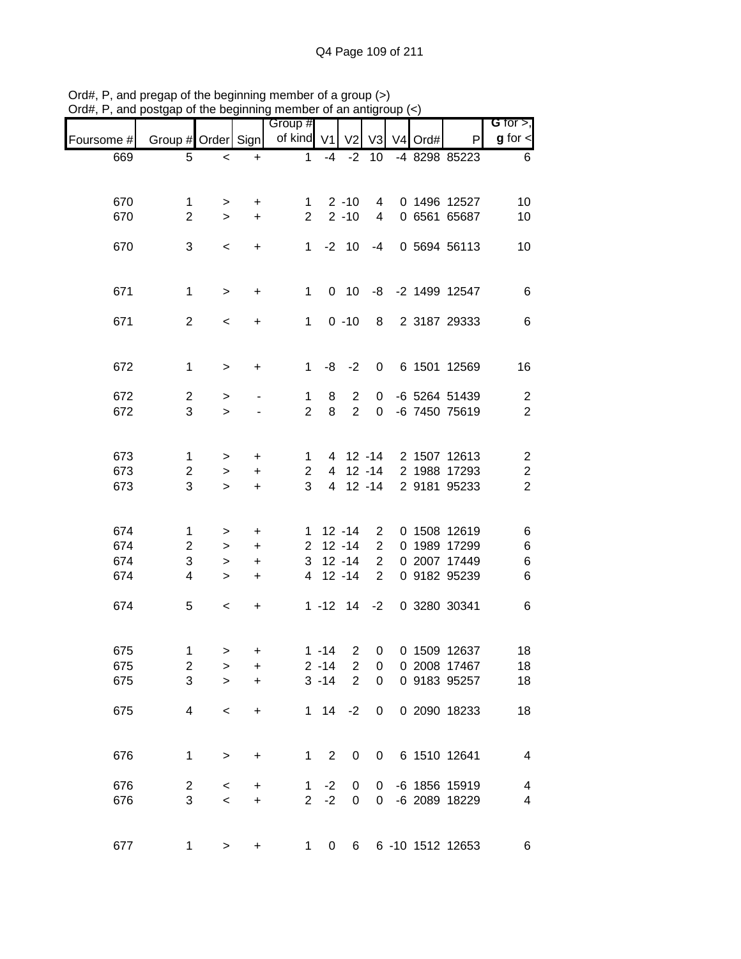|            | שיט                 | up or the bo     |                | <b>THOLLINGL</b> OF GLI GLING<br>Group # |              |                     |                     |         |                                | $G$ for $>$ ,                |
|------------|---------------------|------------------|----------------|------------------------------------------|--------------|---------------------|---------------------|---------|--------------------------------|------------------------------|
| Foursome # | Group # Order Sign  |                  |                | of kind V1 V2 V3                         |              |                     |                     | V4 Ord# | P                              | $g$ for $\lt$                |
| 669        | 5                   | $\,<$            | $\ddot{}$      | $\mathbf{1}$                             | $-4$         | $-2$                | 10                  |         | -4 8298 85223                  | 6                            |
|            |                     |                  |                |                                          |              |                     |                     |         |                                |                              |
| 670        | $\mathbf 1$         |                  |                | $1 \quad$                                |              | $2 - 10$            | $\overline{4}$      |         | 0 1496 12527                   | 10                           |
| 670        | $\overline{2}$      | $\geq$<br>$\geq$ | $\pm$<br>$+$   | $2^{\circ}$                              |              | $2 - 10$            | $\overline{4}$      |         | 0 6561 65687                   | 10                           |
|            |                     |                  |                |                                          |              |                     |                     |         |                                |                              |
| 670        | 3                   | $\,<\,$          | $+$            |                                          |              | $1 - 2 10$          | -4                  |         | 0 5694 56113                   | 10                           |
|            |                     |                  |                |                                          |              |                     |                     |         |                                |                              |
|            |                     |                  |                |                                          |              |                     |                     |         |                                |                              |
| 671        | $\mathbf{1}$        | $\mathbf{L}$     | $+$            | $\mathbf{1}$                             |              | $0$ 10              | -8                  |         | -2 1499 12547                  | 6                            |
| 671        | $\overline{2}$      | $\,<\,$          | $\ddot{}$      | 1                                        |              | $0 - 10$            |                     |         | 8 2 3187 29333                 | $\,6$                        |
|            |                     |                  |                |                                          |              |                     |                     |         |                                |                              |
|            |                     |                  |                |                                          |              |                     |                     |         |                                |                              |
| 672        | $\mathbf 1$         | $\, >$           | $\ddot{}$      | $\mathbf{1}$                             |              | $-8$ $-2$           |                     |         | 0 6 1501 12569                 | 16                           |
|            |                     |                  |                |                                          |              |                     |                     |         |                                |                              |
| 672<br>672 | $\overline{2}$<br>3 | $\,$<br>$\geq$   |                | 1<br>$\overline{2}$                      | 8<br>8       | $\overline{2}$<br>2 | 0<br>$\overline{0}$ |         | -6 5264 51439<br>-6 7450 75619 | $\overline{c}$<br>$\sqrt{2}$ |
|            |                     |                  |                |                                          |              |                     |                     |         |                                |                              |
|            |                     |                  |                |                                          |              |                     |                     |         |                                |                              |
| 673        | 1                   | $\,>$            | $+$            | 1                                        |              |                     |                     |         | 4 12 -14 2 1507 12613          | $\overline{c}$               |
| 673        | $\overline{c}$      | $\geq$           | $+$            | $\overline{2}$                           |              |                     |                     |         | 4 12 -14 2 1988 17293          | $\sqrt{2}$                   |
| 673        | 3                   | $\geq$           | $+$            | 3                                        |              | 4 12 -14            |                     |         | 2 9181 95233                   | $\overline{2}$               |
|            |                     |                  |                |                                          |              |                     |                     |         |                                |                              |
| 674        | 1                   |                  |                |                                          |              | $1 12 - 14$         | $\overline{2}$      |         | 0 1508 12619                   | 6                            |
| 674        | $\overline{c}$      | $\,$<br>$\,$     | +<br>$\ddot{}$ |                                          |              | $2$ 12 -14          | $\overline{2}$      |         | 0 1989 17299                   | $\,6$                        |
| 674        | 3                   | $\,>$            | $\ddot{}$      |                                          |              | $3 \t12 \t-14$      | $\overline{2}$      |         | 0 2007 17449                   | 6                            |
| 674        | 4                   |                  |                |                                          |              | 4 12 -14            | 2                   |         | 0 9182 95239                   | 6                            |
|            |                     | $\geq$           | $\ddot{}$      |                                          |              |                     |                     |         |                                |                              |
| 674        | 5                   | $\,<\,$          | $\ddot{}$      |                                          |              | $1 - 12$ $14 - 2$   |                     |         | 0 3280 30341                   | $\,6$                        |
|            |                     |                  |                |                                          |              |                     |                     |         |                                |                              |
|            |                     |                  |                |                                          |              |                     |                     |         |                                |                              |
| 675        | 1                   | $\geq$           | +              |                                          | $1 - 14$     | $\overline{2}$      | $\overline{0}$      |         | 0 1509 12637                   | 18                           |
| 675        | $\overline{c}$      | >                | +              |                                          | $2 - 14$     | $\overline{c}$      | $\boldsymbol{0}$    |         | 0 2008 17467                   | 18                           |
| 675        | 3                   | $\geq$           | $\ddot{}$      |                                          | $3 - 14$     | $\overline{2}$      | 0                   |         | 0 9183 95257                   | 18                           |
| 675        | 4                   | $\,<\,$          | +              |                                          | $1 \quad 14$ | $-2$                | 0                   |         | 0 2090 18233                   | 18                           |
|            |                     |                  |                |                                          |              |                     |                     |         |                                |                              |
|            |                     |                  |                |                                          |              |                     |                     |         |                                |                              |
| 676        | 1                   | $\,$             | $\ddot{}$      | 1                                        | 2            | 0                   | 0                   |         | 6 1510 12641                   | $\overline{4}$               |
|            |                     |                  |                |                                          |              |                     |                     |         |                                |                              |
| 676        | $\overline{c}$<br>3 | $\,<\,$          | +              | 1                                        | $-2$         | 0                   | 0                   |         | -6 1856 15919                  | $\overline{4}$               |
| 676        |                     | $\,<$            | $\ddot{}$      | $\overline{2}$                           | $-2$         | $\mathbf 0$         | 0                   |         | -6 2089 18229                  | $\overline{4}$               |
|            |                     |                  |                |                                          |              |                     |                     |         |                                |                              |
| 677        | 1                   | $\,>$            | $\ddot{}$      | 1                                        | 0            | 6                   |                     |         | 6 -10 1512 12653               | 6                            |

Ord#, P, and pregap of the beginning member of a group (>) Ord#, P, and postgap of the beginning member of an antigroup (<)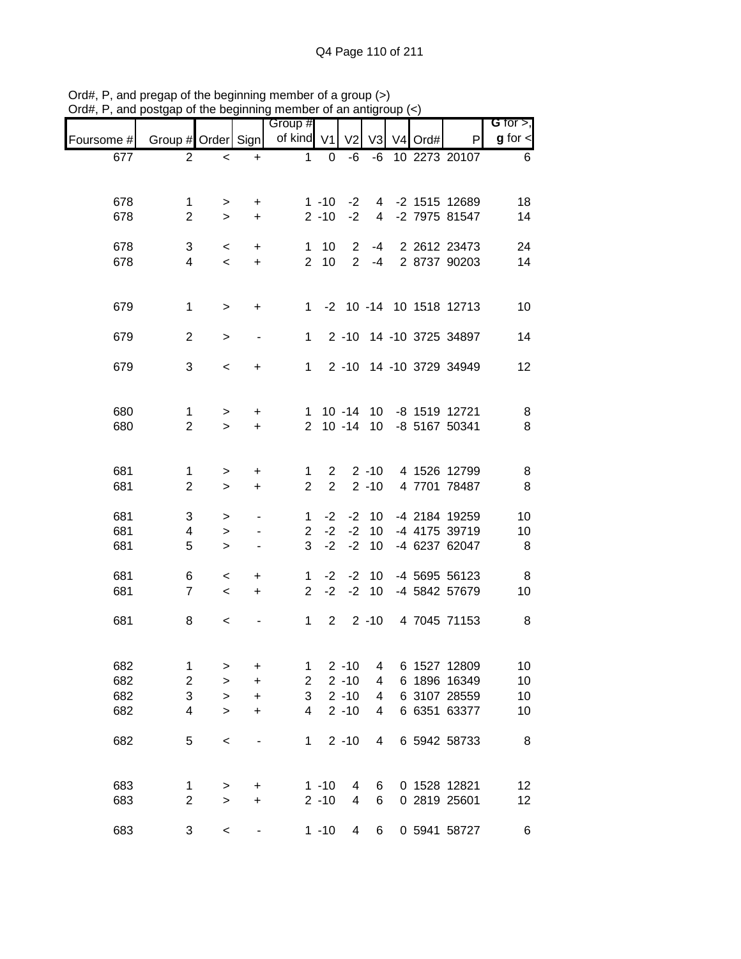|            |                                |             |                | Group #             |                      |                                  |                      |         |                                 | G for $>$ ,   |
|------------|--------------------------------|-------------|----------------|---------------------|----------------------|----------------------------------|----------------------|---------|---------------------------------|---------------|
| Foursome # | Group # Order Sign             |             |                | of kind V1          |                      | V <sub>2</sub>                   | V <sub>3</sub>       | V4 Ord# | P                               | $g$ for $\lt$ |
| 677        | $\overline{2}$                 | $\,<\,$     | $\ddot{}$      | $\mathbf{1}$        | $\overline{0}$       | -6                               | -6                   |         | 10 2273 20107                   | 6             |
|            |                                |             |                |                     |                      |                                  |                      |         |                                 |               |
| 678        | 1                              | >           | +              |                     | $1 - 10$             | $-2$                             | 4                    |         | -2 1515 12689                   | 18            |
| 678        | $\overline{2}$                 | $\geq$      | $\ddot{}$      |                     | $2 - 10$             | $-2$                             | $\overline{4}$       |         | -2 7975 81547                   | 14            |
|            |                                |             |                |                     |                      |                                  |                      |         |                                 |               |
| 678        | 3<br>4                         | $\,<\,$     | $\ddot{}$      | 1<br>$\overline{2}$ | 10<br>10             | $\overline{2}$<br>$\overline{2}$ | $-4$                 |         | 2 2612 23473<br>-4 2 8737 90203 | 24<br>14      |
| 678        |                                | $\prec$     | $\ddot{}$      |                     |                      |                                  |                      |         |                                 |               |
|            |                                |             |                |                     |                      |                                  |                      |         |                                 |               |
| 679        | $\mathbf 1$                    | $\, >$      | $\ddot{}$      |                     |                      |                                  |                      |         | 1 -2 10 -14 10 1518 12713       | 10            |
|            |                                |             |                |                     |                      |                                  |                      |         |                                 |               |
| 679        | $\overline{2}$                 | $\, > \,$   |                | 1                   |                      |                                  |                      |         | 2 -10 14 -10 3725 34897         | 14            |
| 679        | 3                              | $\,<\,$     | +              | 1                   |                      |                                  |                      |         | 2 -10 14 -10 3729 34949         | 12            |
|            |                                |             |                |                     |                      |                                  |                      |         |                                 |               |
|            |                                |             |                |                     |                      |                                  |                      |         |                                 |               |
| 680<br>680 | $\mathbf{1}$<br>$\overline{2}$ | ><br>$\geq$ | +<br>$\ddot{}$ | 1<br>$\overline{2}$ |                      | $10 - 14$                        | $10 - 14$ 10<br>10   |         | -8 1519 12721<br>-8 5167 50341  | 8<br>8        |
|            |                                |             |                |                     |                      |                                  |                      |         |                                 |               |
|            |                                |             |                |                     |                      |                                  |                      |         |                                 |               |
| 681        | 1<br>$\overline{2}$            | >           | $\ddot{}$      | 1<br>$\overline{2}$ | 2<br>$\overline{2}$  |                                  | $2 - 10$<br>$2 - 10$ |         | 4 1526 12799                    | 8             |
| 681        |                                | $\geq$      | +              |                     |                      |                                  |                      |         | 4 7701 78487                    | 8             |
| 681        | 3                              | >           | ٠              | $\mathbf 1$         | $-2$                 | $-2$                             | 10                   |         | -4 2184 19259                   | 10            |
| 681        | 4                              | $\, > \,$   | $\blacksquare$ | $\overline{2}$      | $-2$                 | $-2$                             | 10                   |         | -4 4175 39719                   | 10            |
| 681        | 5                              | $\geq$      | ٠              | 3                   | $-2$                 | $-2$                             | 10                   |         | -4 6237 62047                   | 8             |
| 681        | 6                              | $\,<\,$     | +              | $\mathbf 1$         | $-2$                 | $-2$                             | 10                   |         | -4 5695 56123                   | 8             |
| 681        | $\overline{7}$                 | $\prec$     | $\ddot{}$      | $\overline{2}$      | $-2$                 | $-2$                             | 10                   |         | -4 5842 57679                   | 10            |
|            |                                |             |                |                     |                      |                                  |                      |         |                                 |               |
| 681        | 8                              | $\,<\,$     |                | $\mathbf{1}$        | $\overline{2}$       |                                  |                      |         | 2 -10 4 7045 71153              | 8             |
|            |                                |             |                |                     |                      |                                  |                      |         |                                 |               |
| 682        | 1                              | >           | +              | 1                   |                      | $2 - 10$                         | 4                    |         | 6 1527 12809                    | 10            |
| 682        | $\mathbf 2$                    | $\, > \,$   | $\ddot{}$      | $\overline{c}$      |                      | $2 - 10$                         | 4                    |         | 6 1896 16349                    | 10            |
| 682        | 3                              | $\, > \,$   | +              | 3                   |                      | $2 - 10$                         | 4                    |         | 6 3107 28559                    | 10            |
| 682        | 4                              | $\geq$      | +              | 4                   |                      | $2 - 10$                         | 4                    |         | 6 6351 63377                    | 10            |
| 682        | 5                              | $\,<\,$     |                | 1                   |                      | $2 - 10$                         | 4                    |         | 6 5942 58733                    | 8             |
|            |                                |             |                |                     |                      |                                  |                      |         |                                 |               |
|            |                                |             |                |                     |                      |                                  |                      |         |                                 |               |
| 683<br>683 | 1<br>$\overline{2}$            | ><br>$\geq$ | +<br>+         |                     | $1 - 10$<br>$2 - 10$ | 4<br>4                           | 6<br>6               |         | 0 1528 12821<br>0 2819 25601    | 12<br>$12 \,$ |
|            |                                |             |                |                     |                      |                                  |                      |         |                                 |               |
| 683        | 3                              | $\,<\,$     |                |                     | $1 - 10$             | 4                                | 6                    |         | 0 5941 58727                    | 6             |

Ord#, P, and pregap of the beginning member of a group (>) Ord#, P, and postgap of the beginning member of an antigroup (<)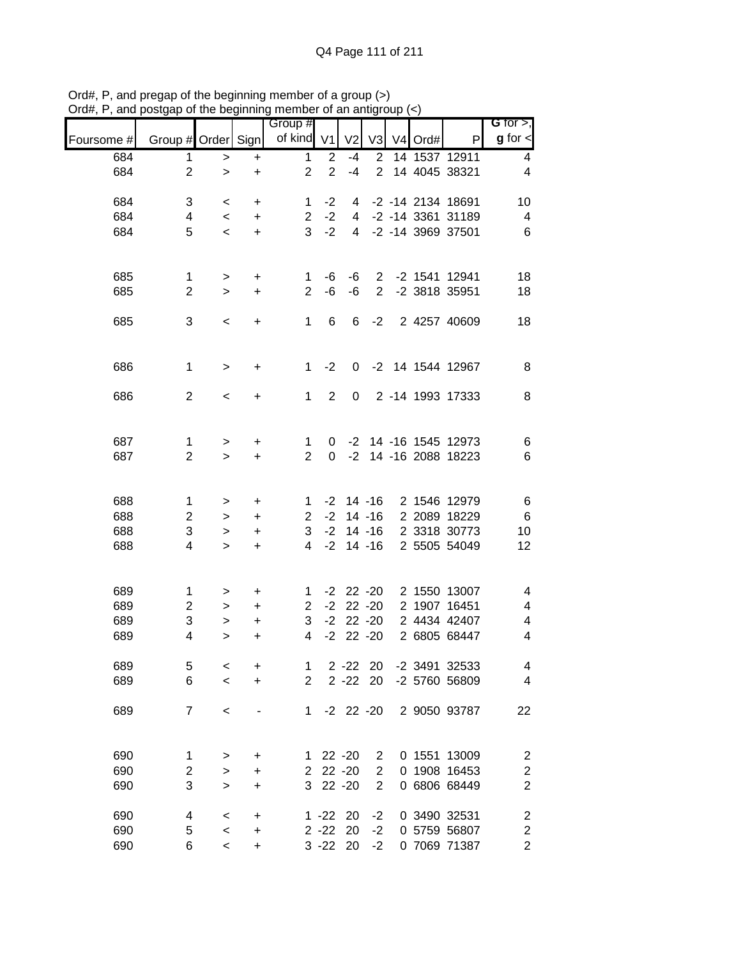|            |                    |              |           | Group #               |                 |                |                |         |                      | G for $>$ ,             |
|------------|--------------------|--------------|-----------|-----------------------|-----------------|----------------|----------------|---------|----------------------|-------------------------|
| Foursome # | Group # Order Sign |              |           | of kind V1            |                 | V <sub>2</sub> | V3             | V4 Ord# | P                    | $g$ for $\lt$           |
| 684        | 1                  | >            | +         | 1                     | $\overline{2}$  | $-4$           | $\overline{2}$ |         | 14 1537 12911        | 4                       |
| 684        | $\overline{2}$     | $\geq$       | $\ddot{}$ | $\overline{2}$        | $\overline{2}$  | $-4$           | $\overline{2}$ |         | 14 4045 38321        | 4                       |
| 684        | 3                  | $\,<$        | +         | 1                     | $-2$            | 4              |                |         | -2 -14 2134 18691    | 10                      |
| 684        | 4                  | $\,<\,$      | $\ddot{}$ | $\overline{2}$        | $-2$            | 4              |                |         | -2 -14 3361 31189    | $\overline{4}$          |
| 684        | 5                  | $\,<$        | $\ddot{}$ | 3                     | $-2$            | $\overline{4}$ |                |         | -2 -14 3969 37501    | $6\phantom{1}6$         |
|            |                    |              |           |                       |                 |                |                |         |                      |                         |
| 685        | 1                  | >            | +         | 1                     | -6              | -6             | $\overline{2}$ |         | -2 1541 12941        | 18                      |
| 685        | $\overline{2}$     | $\geq$       | $\ddot{}$ | $\overline{2}$        | -6              | -6             | $\overline{2}$ |         | -2 3818 35951        | 18                      |
| 685        | 3                  | $\,<\,$      | $\ddot{}$ | 1                     | $6\phantom{1}6$ | 6              | $-2$           |         | 2 4257 40609         | 18                      |
|            |                    |              |           |                       |                 |                |                |         |                      |                         |
| 686        | $\mathbf 1$        | $\mathbf{L}$ | +         | $\mathbf{1}$          | $-2$            | 0              |                |         | -2 14 1544 12967     | 8                       |
|            |                    |              |           |                       |                 |                |                |         |                      |                         |
| 686        | $\overline{2}$     | $\,<$        | +         | $\mathbf{1}$          | $\overline{2}$  | 0              |                |         | 2 -14 1993 17333     | 8                       |
|            |                    |              |           |                       |                 |                |                |         |                      |                         |
| 687        | $\mathbf 1$        | $\,$         | +         | 1                     | 0               |                |                |         | -2 14 -16 1545 12973 | 6                       |
| 687        | $\overline{2}$     | $\geq$       | $\ddot{}$ | $\overline{2}$        | $\Omega$        | $-2$           |                |         | 14 -16 2088 18223    | 6                       |
|            |                    |              |           |                       |                 |                |                |         |                      |                         |
| 688        | $\mathbf 1$        | >            | +         | 1                     | $-2$            |                | $14 - 16$      |         | 2 1546 12979         | 6                       |
| 688        | $\overline{c}$     | >            | +         | $\overline{2}$        | $-2$            |                | $14 - 16$      |         | 2 2089 18229         | $\,6$                   |
| 688        | 3                  | >            | +         | 3                     | $-2$            |                | $14 - 16$      |         | 2 3318 30773         | 10                      |
| 688        | 4                  | $\geq$       | +         | 4                     | $-2$            |                | $14 - 16$      |         | 2 5505 54049         | 12                      |
|            |                    |              |           |                       |                 |                |                |         |                      |                         |
| 689        | 1                  | >            | +         | 1                     |                 | $-2$ 22 $-20$  |                |         | 2 1550 13007         | 4                       |
| 689        | 2                  | $\, > \,$    | +         | 2                     | $-2$            |                | $22 - 20$      |         | 2 1907 16451         | 4                       |
| 689        | 3                  | >            | +         | 3                     | $-2$            |                | $22 - 20$      |         | 2 4434 42407         | 4                       |
| 689        | 4                  | >            | +         | 4                     | $-2$            |                | $22 - 20$      |         | 2 6805 68447         | $\overline{4}$          |
| 689        | 5                  | $\,<\,$      | +         | 1                     |                 | $2 - 22$       | 20             |         | -2 3491 32533        | 4                       |
| 689        | 6                  | $\,<$        | +         | $\overline{2}$        |                 | $2 - 22$       | 20             |         | -2 5760 56809        | 4                       |
| 689        | $\overline{7}$     | $\,<\,$      |           | $\mathbf{1}$          |                 | $-2$ 22 $-20$  |                |         | 2 9050 93787         | 22                      |
|            |                    |              |           |                       |                 |                |                |         |                      |                         |
| 690        | 1                  | >            | +         | 1                     |                 | $22 - 20$      | 2              |         | 0 1551 13009         | $\overline{\mathbf{c}}$ |
| 690        | 2                  | >            | +         | $\mathbf{2}^{\prime}$ |                 | $22 - 20$      | $\overline{2}$ |         | 0 1908 16453         | $\sqrt{2}$              |
| 690        | 3                  | $\geq$       | +         | 3                     |                 | $22 - 20$      | $\overline{c}$ |         | 0 6806 68449         | $\overline{c}$          |
| 690        | 4                  | $\,<\,$      | +         |                       | $1 - 22$ 20     |                | $-2$           |         | 0 3490 32531         | $\overline{c}$          |
| 690        | 5                  | $\,<$        | +         |                       | $2 - 22$        | 20             | $-2$           |         | 0 5759 56807         | $\boldsymbol{2}$        |
| 690        | 6                  | $\,<\,$      | +         |                       | $3 - 22$        | 20             | $-2$           |         | 0 7069 71387         | $\overline{c}$          |

Ord#, P, and pregap of the beginning member of a group (>) Ord#, P, and postgap of the beginning member of an antigroup (<)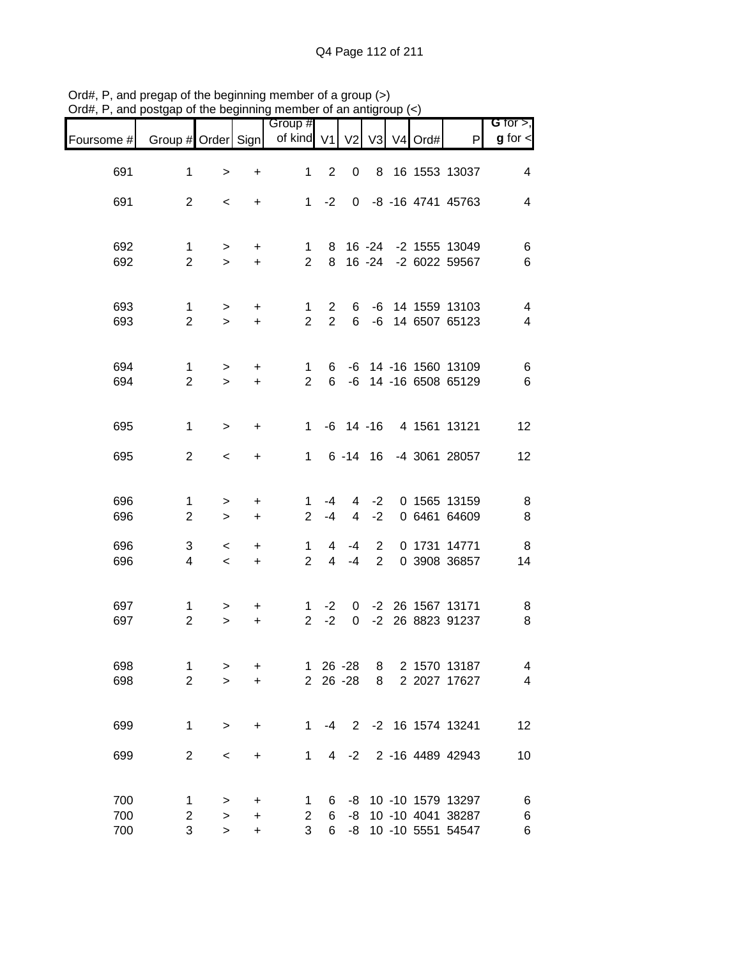|                   |                                | .                   | .   .                       | Group #                        |                            |                        |                                  |            |                                                                   | $G$ for $>$ ,                              |
|-------------------|--------------------------------|---------------------|-----------------------------|--------------------------------|----------------------------|------------------------|----------------------------------|------------|-------------------------------------------------------------------|--------------------------------------------|
| Foursome #        | Group # Order Sign             |                     |                             | of kind V1                     |                            | V <sub>2</sub>         |                                  | V3 V4 Ord# | P                                                                 | $g$ for $\lt$                              |
| 691               | $\mathbf 1$                    | $\,>$               | $\ddot{}$                   | 1                              | 2                          | 0                      |                                  |            | 8 16 1553 13037                                                   | $\overline{4}$                             |
| 691               | $\overline{2}$                 | $\,<\,$             | $\ddot{}$                   |                                | $1 -2$                     |                        |                                  |            | 0 -8 -16 4741 45763                                               | $\overline{\mathbf{4}}$                    |
| 692<br>692        | $\mathbf{1}$<br>$\overline{2}$ | $\,$<br>$\geq$      | $\ddot{}$<br>$+$            | $\mathbf{1}$<br>2 <sup>1</sup> |                            |                        |                                  |            | 8 16 -24 -2 1555 13049<br>8 16 -24 -2 6022 59567                  | 6<br>$\,6$                                 |
| 693<br>693        | $\mathbf{1}$<br>$\overline{2}$ | $\,$<br>$\geq$      | $+$<br>$\ddot{}$            | $\mathbf{1}$<br>$\overline{2}$ | $2^{\circ}$<br>$2^{\circ}$ |                        |                                  |            | 6 -6 14 1559 13103<br>6 -6 14 6507 65123                          | $\overline{4}$<br>$\overline{\mathcal{A}}$ |
| 694<br>694        | $\mathbf{1}$<br>$\overline{2}$ | $\,$<br>$\geq$      | $\ddot{}$<br>$\ddot{}$      | $\mathbf{1}$<br>$\overline{2}$ |                            |                        |                                  |            | 6 -6 14 -16 1560 13109<br>6 -6 14 -16 6508 65129                  | $\,6$<br>$\,6$                             |
| 695               | $\mathbf{1}$                   | $\, >$              | +                           |                                |                            |                        |                                  |            | 1 -6 14 -16 4 1561 13121                                          | 12                                         |
| 695               | $\overline{2}$                 | $\,<$               | +                           |                                |                            |                        |                                  |            | 1 6 -14 16 -4 3061 28057                                          | 12                                         |
| 696<br>696        | 1<br>$\overline{2}$            | $\,$<br>$\,>$       | $\ddot{}$<br>$\ddot{}$      | 1.<br>$\overline{2}$           | -4<br>$-4$                 | $\overline{4}$         | $-2$                             |            | 4 -2 0 1565 13159<br>0 6461 64609                                 | 8<br>$\,8\,$                               |
| 696<br>696        | 3<br>4                         | $\,<$<br>$\,<\,$    | +<br>$\pm$                  | $\mathbf{1}$<br>$\overline{2}$ | 4<br>$\overline{4}$        | -4<br>$-4$             | $\overline{2}$<br>$\overline{2}$ |            | 0 1731 14771<br>0 3908 36857                                      | 8<br>14                                    |
| 697<br>697        | $\mathbf{1}$<br>$\overline{2}$ | $\geq$<br>$\geq$    | +<br>$\ddot{}$              | $\mathbf{1}$<br>2 <sup>1</sup> | $-2$<br>$-2$               | $\overline{0}$         |                                  |            | 0 -2 26 1567 13171<br>-2 26 8823 91237                            | 8<br>$\, 8$                                |
| 698<br>698        | 1<br>$\overline{2}$            | ><br>$\geq$         | +<br>+                      | $\mathbf 1$<br>$\overline{2}$  |                            | $26 - 28$<br>$26 - 28$ | 8<br>8                           |            | 2 1570 13187<br>2 2027 17627                                      | 4<br>4                                     |
| 699               | 1                              | $\,>$               | +                           | 1.                             | -4                         |                        |                                  |            | 2 -2 16 1574 13241                                                | 12                                         |
| 699               | $\overline{2}$                 | $\,<$               | +                           | 1                              | 4                          | $-2$                   |                                  |            | 2 -16 4489 42943                                                  | 10                                         |
| 700<br>700<br>700 | 1<br>2<br>3                    | $\,>$<br>$\,>$<br>> | $\ddot{}$<br>$\ddot{}$<br>+ | 1<br>$\overline{2}$<br>3       | 6<br>6<br>6                | -8                     |                                  |            | -8 10 -10 1579 13297<br>10 -10 4041 38287<br>-8 10 -10 5551 54547 | 6<br>6<br>6                                |

Ord#, P, and pregap of the beginning member of a group (>) Ord#, P, and postgap of the beginning member of an antigroup (<)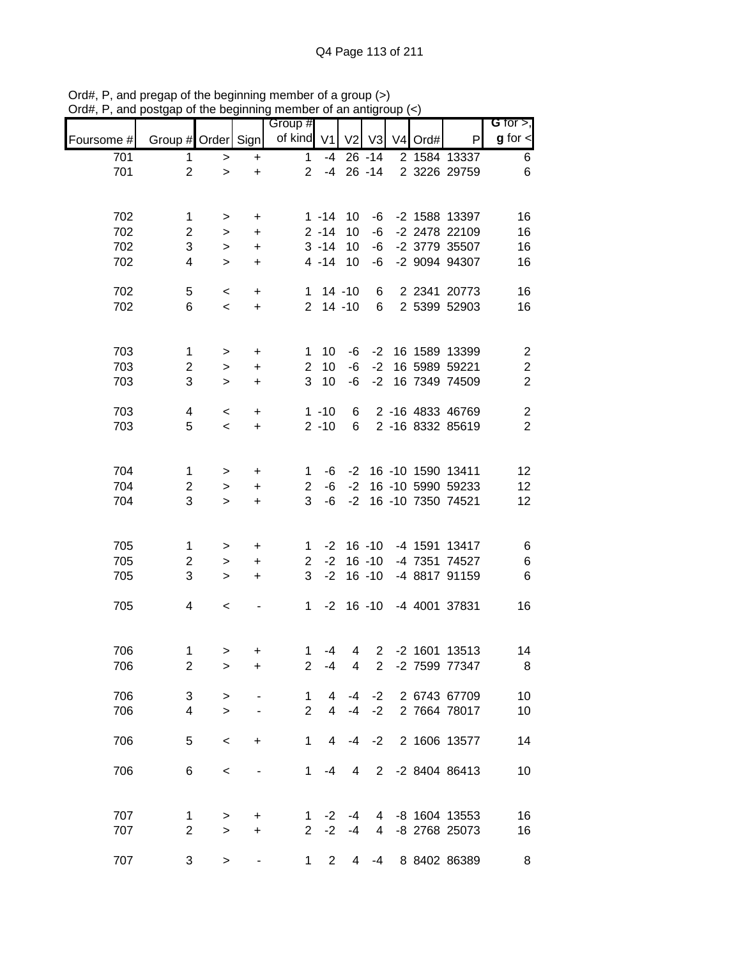|            |                    |              |                                  | Group #               |                |                |                       |                     |                   | G for $>$ ,             |
|------------|--------------------|--------------|----------------------------------|-----------------------|----------------|----------------|-----------------------|---------------------|-------------------|-------------------------|
| Foursome # | Group # Order Sign |              |                                  | of kind V1            |                | V <sub>2</sub> | V3                    | V <sub>4</sub> Ord# | P                 | $g$ for $\leq$          |
| 701        | 1                  | >            | $\ddot{}$                        | 1                     | $-4$           |                | $26 - 14$             |                     | 2 1584 13337      | 6                       |
| 701        | $\overline{2}$     | $\, > \,$    | $\ddot{}$                        | $\overline{2}$        | -4             |                | $26 - 14$             |                     | 2 3226 29759      | 6                       |
|            |                    |              |                                  |                       |                |                |                       |                     |                   |                         |
| 702        | $\mathbf 1$        | $\, > \,$    | +                                |                       | $1 - 14$       | 10             | -6                    |                     | -2 1588 13397     | 16                      |
| 702        | $\overline{c}$     | $\,$         | +                                |                       | $2 - 14$       | 10             | -6                    |                     | -2 2478 22109     | 16                      |
| 702        | 3                  | $\,>$        | $\ddot{}$                        |                       | $3 - 14$       | 10             | -6                    |                     | -2 3779 35507     | 16                      |
| 702        | 4                  | $\,>$        | $\ddot{}$                        |                       | $4 - 14$       | 10             | -6                    |                     | -2 9094 94307     | 16                      |
| 702        | 5                  | $\,<\,$      | +                                | 1                     |                | $14 - 10$      | 6                     |                     | 2 2341 20773      | 16                      |
| 702        | 6                  | $\,<$        | $\ddot{}$                        | $\overline{2}$        |                | $14 - 10$      | 6                     |                     | 2 5399 52903      | 16                      |
|            |                    |              |                                  |                       |                |                |                       |                     |                   |                         |
| 703        | 1                  | $\,>$        | +                                | 1                     | 10             | -6             | $-2$                  |                     | 16 1589 13399     | $\overline{\mathbf{c}}$ |
| 703        | $\overline{c}$     | $\mathbf{L}$ | $\ddot{}$                        | $\overline{2}$        | 10             | -6             | $-2$                  |                     | 16 5989 59221     | $\boldsymbol{2}$        |
| 703        | 3                  | $\geq$       | $\ddot{}$                        | 3                     | 10             | $-6$           | $-2$                  |                     | 16 7349 74509     | $\overline{2}$          |
|            |                    |              |                                  |                       |                |                |                       |                     |                   |                         |
| 703        | 4                  | $\,<\,$      | $\begin{array}{c} + \end{array}$ |                       | $1 - 10$       | 6              |                       |                     | 2 -16 4833 46769  | $\overline{\mathbf{c}}$ |
| 703        | 5                  | $\prec$      | $\ddot{}$                        |                       | $2 - 10$       | 6              |                       |                     | 2 -16 8332 85619  | $\overline{2}$          |
|            |                    |              |                                  |                       |                |                |                       |                     |                   |                         |
| 704        | $\mathbf 1$        | $\, > \,$    | +                                | 1                     | -6             | $-2$           |                       |                     | 16 -10 1590 13411 | 12                      |
| 704        | 2                  | $\,>$        | +                                | 2                     | -6             | $-2$           |                       |                     | 16 -10 5990 59233 | 12                      |
| 704        | 3                  | $\geq$       | $\ddot{}$                        | 3                     | $-6$           | $-2$           |                       |                     | 16 -10 7350 74521 | 12                      |
|            |                    |              |                                  |                       |                |                |                       |                     |                   |                         |
| 705        | 1                  | >            | +                                | 1                     | $-2$           |                | $16 - 10$             |                     | -4 1591 13417     | 6                       |
| 705        | $\overline{c}$     | $\,>$        | +                                | $\mathbf{2}^{\prime}$ | $-2$           |                | $16 - 10$             |                     | -4 7351 74527     | 6                       |
| 705        | 3                  | $\geq$       | +                                | 3                     | $-2$           |                | $16 - 10$             |                     | -4 8817 91159     | 6                       |
| 705        | 4                  |              |                                  | $\mathbf 1$           | $-2$           |                | $16 - 10$             |                     | -4 4001 37831     | 16                      |
|            |                    | $\,<\,$      |                                  |                       |                |                |                       |                     |                   |                         |
|            |                    |              |                                  |                       |                |                |                       |                     |                   |                         |
| 706        | 1                  | >            | +                                | $\mathbf 1$           | -4             | 4              | $\overline{2}$        |                     | -2 1601 13513     | 14                      |
| 706        | $\overline{2}$     | >            | +                                | 2                     | $-4$           | 4              | $\mathbf{2}^{\prime}$ |                     | -2 7599 77347     | 8                       |
| 706        | 3                  | $\, > \,$    |                                  | 1                     | 4              | $-4$           | $-2$                  |                     | 2 6743 67709      | 10                      |
| 706        | $\overline{4}$     | $\geq$       |                                  | $\overline{2}$        | $\overline{4}$ | $-4$           | $-2$                  |                     | 2 7664 78017      | 10                      |
|            |                    |              |                                  |                       |                |                |                       |                     |                   |                         |
| 706        | 5                  | $\,<$        | +                                | $\mathbf{1}$          | 4              | -4             | $-2$                  |                     | 2 1606 13577      | 14                      |
| 706        | 6                  | $\,<$        |                                  | 1                     | -4             | 4              | $\overline{2}$        |                     | -2 8404 86413     | 10                      |
|            |                    |              |                                  |                       |                |                |                       |                     |                   |                         |
|            |                    |              |                                  |                       |                |                |                       |                     |                   |                         |
| 707        | 1                  | >            | +                                | 1                     | -2             | -4             | 4                     |                     | -8 1604 13553     | 16                      |
| 707        | $\overline{2}$     | $\geq$       | $\ddot{}$                        | $\overline{2}$        | $-2$           | $-4$           | 4                     |                     | -8 2768 25073     | 16                      |
| 707        | 3                  | >            |                                  | 1                     | $\mathbf{2}$   | 4              | -4                    |                     | 8 8402 86389      | 8                       |

Ord#, P, and pregap of the beginning member of a group (>) Ord#, P, and postgap of the beginning member of an antigroup (<)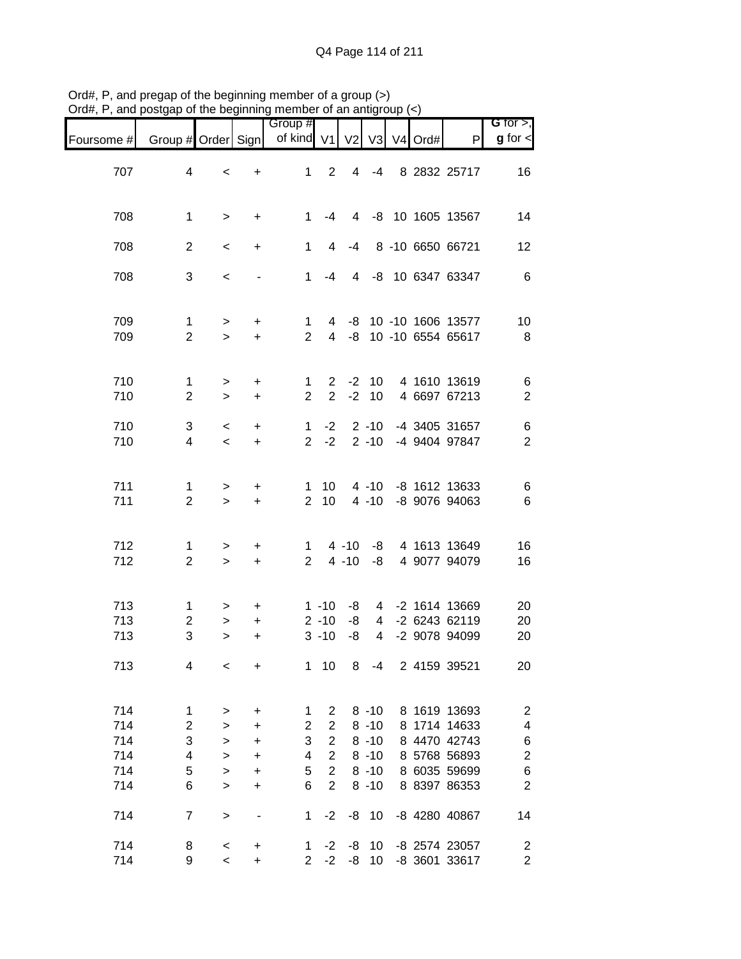|            |                     | .            |                                  | Group #                       |                 |                |                      |            |                                | $G$ for $>$ ,            |
|------------|---------------------|--------------|----------------------------------|-------------------------------|-----------------|----------------|----------------------|------------|--------------------------------|--------------------------|
| Foursome # | Group # Order Sign  |              |                                  | of kind V1                    |                 | V <sub>2</sub> |                      | V3 V4 Ord# | P                              | $g$ for $\lt$            |
|            |                     |              |                                  |                               |                 |                |                      |            |                                |                          |
| 707        | 4                   | $\,<\,$      | +                                | $\mathbf{1}$                  | 2               | $\overline{4}$ | $-4$                 |            | 8 2832 25717                   | 16                       |
|            |                     |              |                                  |                               |                 |                |                      |            |                                |                          |
| 708        | 1                   | $\geq$       | $\ddot{}$                        | 1.                            | -4              |                |                      |            | 4 -8 10 1605 13567             | 14                       |
|            |                     |              |                                  |                               |                 |                |                      |            |                                |                          |
| 708        | $\overline{2}$      | $\,<\,$      | $\ddot{}$                        | $\mathbf{1}$                  | $\overline{4}$  | $-4$           |                      |            | 8 -10 6650 66721               | 12                       |
|            |                     |              |                                  |                               |                 |                |                      |            |                                |                          |
| 708        | 3                   | $\,<$        |                                  | 1                             | -4              |                |                      |            | 4 -8 10 6347 63347             | $\,6$                    |
|            |                     |              |                                  |                               |                 |                |                      |            |                                |                          |
| 709        | $\mathbf 1$         | $\, >$       | $\ddot{}$                        | 1                             |                 |                |                      |            | 4 -8 10 -10 1606 13577         | 10                       |
| 709        | $\overline{2}$      | $\geq$       | $\ddot{}$                        | $\overline{2}$                |                 |                |                      |            | 4 -8 10 -10 6554 65617         | 8                        |
|            |                     |              |                                  |                               |                 |                |                      |            |                                |                          |
| 710        | $\mathbf 1$         | $\, >$       | $\ddot{}$                        | $\mathbf{1}$                  | $\overline{2}$  |                | $-2$ 10              |            | 4 1610 13619                   | 6                        |
| 710        | $\overline{2}$      | $\geq$       | $\ddot{}$                        | $\overline{2}$                | $\overline{2}$  | $-2$           | 10                   |            | 4 6697 67213                   | $\boldsymbol{2}$         |
|            |                     |              |                                  |                               |                 |                |                      |            |                                |                          |
| 710<br>710 | 3<br>$\overline{4}$ | $\,<$        | $\ddot{}$<br>$\ddot{}$           | $\mathbf 1$<br>$\overline{2}$ | $-2$<br>$-2$    |                | $2 - 10$<br>$2 - 10$ |            | -4 3405 31657<br>-4 9404 97847 | $\,6$<br>$\overline{2}$  |
|            |                     | $\,<$        |                                  |                               |                 |                |                      |            |                                |                          |
|            |                     |              |                                  |                               |                 |                |                      |            |                                |                          |
| 711        | 1                   | $\,>$        | +                                | $\mathbf{1}$                  | 10 <sup>°</sup> |                |                      |            | 4 -10 -8 1612 13633            | 6                        |
| 711        | $\overline{2}$      | $\,>$        | $\pm$                            | 2 <sup>1</sup>                | 10              |                | $4 - 10$             |            | -8 9076 94063                  | 6                        |
|            |                     |              |                                  |                               |                 |                |                      |            |                                |                          |
| 712        | 1                   | $\, > \,$    | $\ddot{}$                        | 1                             |                 | 4 -10          |                      |            | -8 4 1613 13649                | 16                       |
| 712        | $\overline{2}$      | $\,>$        | $\ddot{}$                        | $2^{\circ}$                   |                 | $4 - 10$       | -8                   |            | 4 9077 94079                   | 16                       |
|            |                     |              |                                  |                               |                 |                |                      |            |                                |                          |
| 713        | $\mathbf{1}$        |              | $\ddot{}$                        |                               | $1 - 10$        | -8             |                      |            | 4 -2 1614 13669                | 20                       |
| 713        | $\overline{c}$      | ><br>$\,$    | $\ddot{}$                        |                               | $2 - 10$        | -8             |                      |            | 4 -2 6243 62119                | 20                       |
| 713        | 3                   | $\geq$       | $\ddot{}$                        |                               | $3 - 10$        | -8             | $\overline{4}$       |            | -2 9078 94099                  | 20                       |
|            |                     |              |                                  |                               |                 |                |                      |            |                                |                          |
| 713        | 4                   | $\,<$        | +                                | $\mathbf 1$                   | 10              | 8              | -4                   |            | 2 4159 39521                   | 20                       |
|            |                     |              |                                  |                               |                 |                |                      |            |                                |                          |
| 714        | 1                   | >            | $\ddot{}$                        | 1                             | $\overline{2}$  |                | $8 - 10$             |            | 8 1619 13693                   | $\overline{\mathbf{c}}$  |
| 714        | 2                   | $\, > \,$    | +                                | $\overline{2}$                | $\overline{2}$  |                | $8 - 10$             |            | 8 1714 14633                   | $\overline{\mathcal{A}}$ |
| 714        | 3                   | $\,>$        | $\ddot{}$                        | 3                             | $\overline{2}$  |                | $8 - 10$             |            | 8 4470 42743                   | 6                        |
| 714        | 4                   | $\geq$       | $\ddot{}$                        | 4                             | $\overline{2}$  |                | $8 - 10$             |            | 8 5768 56893                   | $\overline{\mathbf{c}}$  |
| 714        | 5                   | $\mathbf{L}$ | $\begin{array}{c} + \end{array}$ | 5                             | $\overline{2}$  |                | $8 - 10$             |            | 8 6035 59699                   | $\boldsymbol{6}$         |
| 714        | 6                   | $\geq$       | $\ddot{}$                        | 6                             | $\overline{2}$  |                | $8 - 10$             |            | 8 8397 86353                   | $\overline{2}$           |
|            |                     |              |                                  |                               |                 |                |                      |            |                                |                          |
| 714        | $\overline{7}$      | $\, > \,$    |                                  | $\mathbf{1}$                  | $-2$            |                | $-8$ 10              |            | -8 4280 40867                  | 14                       |
| 714        | 8                   | $\,<$        | $\ddot{}$                        | $\mathbf{1}$                  | $-2$            | -8             | 10                   |            | -8 2574 23057                  | $\overline{\mathbf{c}}$  |
| 714        | 9                   | $\,<\,$      | $\ddot{}$                        | $\overline{2}$                | $-2$            | -8             | 10                   |            | -8 3601 33617                  | $\overline{c}$           |

Ord#, P, and pregap of the beginning member of a group (>) Ord#, P, and postgap of the beginning member of an antigroup (<)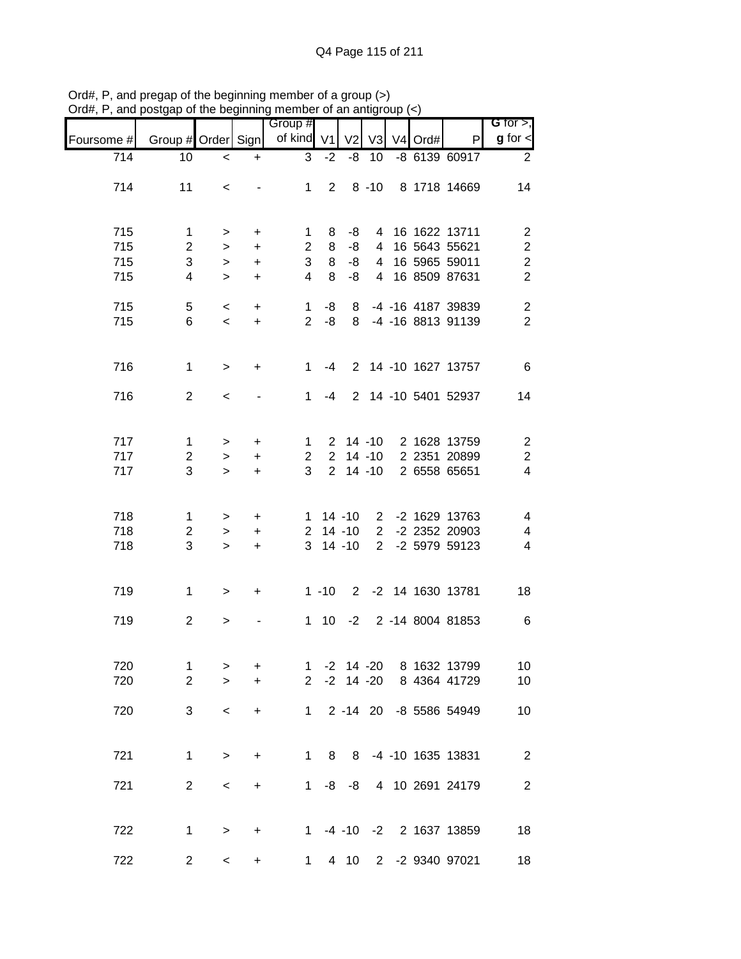|            |                    |           |           | Group #        |                |                |                |                     |                          | G for $>$ ,             |
|------------|--------------------|-----------|-----------|----------------|----------------|----------------|----------------|---------------------|--------------------------|-------------------------|
| Foursome # | Group # Order Sign |           |           | of kind        | V <sub>1</sub> | V <sub>2</sub> | V <sub>3</sub> | V <sub>4</sub> Ord# | P                        | $g$ for $\leq$          |
| 714        | 10                 | $\,<$     | $\ddot{}$ | 3              | $-2$           | -8             | 10             |                     | -8 6139 60917            | $\overline{2}$          |
| 714        | 11                 | $\,<\,$   |           | $\mathbf 1$    | $\overline{2}$ |                | $8 - 10$       |                     | 8 1718 14669             | 14                      |
|            |                    |           |           |                |                |                |                |                     |                          |                         |
| 715        | 1                  | >         | $\ddot{}$ | 1              | 8              | -8             |                |                     | 4 16 1622 13711          | $\overline{\mathbf{c}}$ |
| 715        | $\overline{2}$     | $\geq$    | $\ddot{}$ | $\overline{2}$ | 8              | -8             | 4              |                     | 16 5643 55621            | $\overline{c}$          |
| 715        | 3                  | $\, > \,$ | $\ddot{}$ | 3              | 8              | -8             | 4              |                     | 16 5965 59011            | $\overline{\mathbf{c}}$ |
| 715        | $\overline{4}$     | $\geq$    | $\ddot{}$ | 4              | 8              | -8             | $\overline{4}$ |                     | 16 8509 87631            | $\overline{2}$          |
| 715        | 5                  | $\,<\,$   | $\ddot{}$ | $\mathbf 1$    | -8             |                |                |                     | 8 -4 -16 4187 39839      | $\boldsymbol{2}$        |
| 715        | 6                  | $\,<$     | $\ddot{}$ | $\overline{2}$ | -8             |                |                |                     | 8 -4 -16 8813 91139      | $\overline{2}$          |
| 716        | 1                  | $\, >$    | $\ddot{}$ | 1              | $-4$           |                |                |                     | 2 14 -10 1627 13757      | $\,6$                   |
| 716        | 2                  | $\,<\,$   |           | $\mathbf{1}$   | -4             |                |                |                     | 2 14 -10 5401 52937      | 14                      |
|            |                    |           |           |                |                |                |                |                     |                          |                         |
| 717        | 1                  | >         | $\ddot{}$ | $\mathbf 1$    |                | $2$ 14 -10     |                |                     | 2 1628 13759             | $\boldsymbol{2}$        |
| 717        | $\overline{c}$     | $\,$      | +         | 2              | $\overline{2}$ |                | $14 - 10$      |                     | 2 2351 20899             | $\overline{\mathbf{c}}$ |
| 717        | 3                  | $\geq$    | $\ddot{}$ | 3              | $\overline{2}$ |                | $14 - 10$      |                     | 2 6558 65651             | $\overline{\mathbf{4}}$ |
| 718        | 1                  | >         | $\ddot{}$ | 1              |                | $14 - 10$      |                |                     | 2 -2 1629 13763          | 4                       |
| 718        | $\overline{2}$     | $\,$      | $\ddot{}$ | $\overline{2}$ |                | $14 - 10$      | $\overline{2}$ |                     | -2 2352 20903            | 4                       |
| 718        | $\mathbf{3}$       | $\geq$    | $\ddot{}$ | 3              |                | $14 - 10$      | 2 <sup>7</sup> |                     | -2 5979 59123            | 4                       |
| 719        | $\mathbf{1}$       | $\, >$    | $\ddot{}$ |                | $1 - 10$       |                |                |                     | 2 -2 14 1630 13781       | 18                      |
| 719        | $\overline{2}$     | >         |           | 1.             | 10             | $-2$           |                |                     | 2 -14 8004 81853         | $\,6$                   |
| 720        | $\mathbf 1$        | >         | +         | $\mathbf{1}$   |                | $-2$ 14 $-20$  |                |                     | 8 1632 13799             | 10                      |
| 720        | $\overline{2}$     | $\geq$    | $\ddot{}$ | $\overline{2}$ |                | $-2$ 14 $-20$  |                |                     | 8 4364 41729             | 10                      |
| 720        | 3                  | $\,<$     | $\ddot{}$ |                | $1 \quad$      |                |                |                     | 2 -14 20 -8 5586 54949   | 10                      |
| 721        | $\mathbf 1$        | $\, >$    | $\ddot{}$ | $\mathbf{1}$   | 8              |                |                |                     | 8 -4 -10 1635 13831      | $\overline{c}$          |
|            |                    |           |           |                |                |                |                |                     |                          |                         |
| 721        | $\overline{2}$     | $\,<$     | $\ddot{}$ | 1              |                | $-8 - 8$       |                |                     | 4 10 2691 24179          | $\sqrt{2}$              |
| 722        | 1                  | $\, >$    | $\ddot{}$ |                |                |                |                |                     | 1 -4 -10 -2 2 1637 13859 | 18                      |
| 722        | $\overline{c}$     | $\,<$     | +         |                | $1 \quad$      | 4 10           |                |                     | 2 -2 9340 97021          | 18                      |

Ord#, P, and pregap of the beginning member of a group (>) Ord#, P, and postgap of the beginning member of an antigroup (<)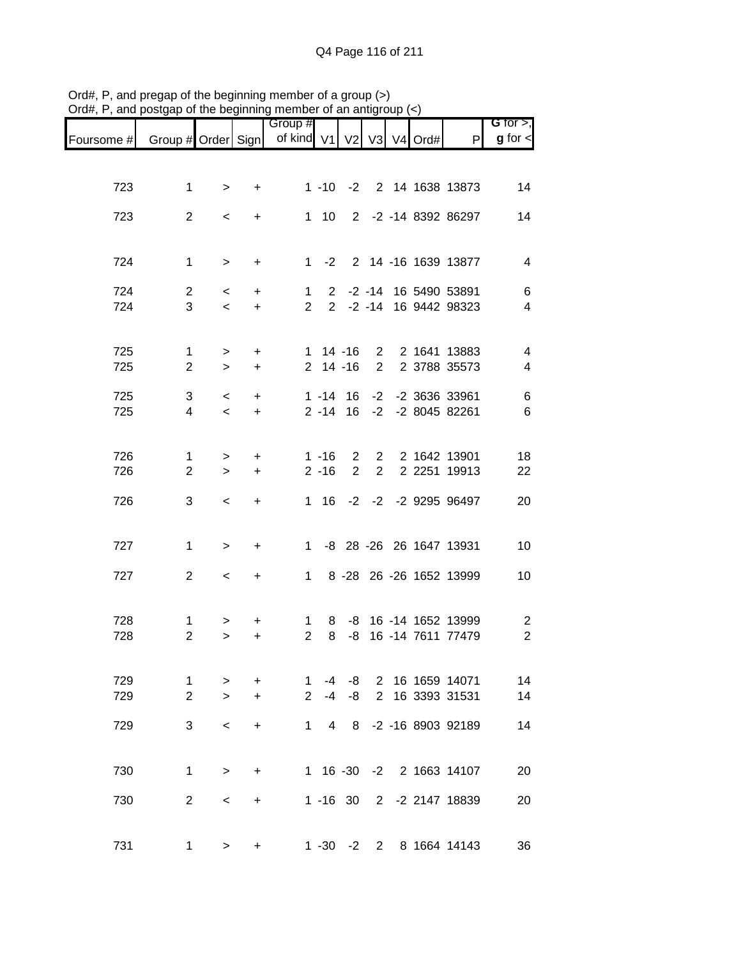|            |                                |                    |                  | Group #                       |                            |                |                |  |                                        | G for $>$ ,                                |
|------------|--------------------------------|--------------------|------------------|-------------------------------|----------------------------|----------------|----------------|--|----------------------------------------|--------------------------------------------|
| Foursome # | Group # Order Sign             |                    |                  | of kind V1 V2 V3 V4 Ord#      |                            |                |                |  | $\mathsf{P}$                           | $g$ for $\lt$                              |
|            |                                |                    |                  |                               |                            |                |                |  |                                        |                                            |
| 723        | $\mathbf 1$                    | $\, > \,$          | +                |                               |                            |                |                |  | 1 -10 -2 2 14 1638 13873               | 14                                         |
|            |                                |                    |                  |                               |                            |                |                |  |                                        |                                            |
| 723        | $\overline{2}$                 | $\,<\,$            | $\ddot{}$        |                               | $1 \quad 10$               |                |                |  | 2 -2 -14 8392 86297                    | 14                                         |
|            |                                |                    |                  |                               |                            |                |                |  |                                        |                                            |
| 724        | $\mathbf 1$                    | $\geq$             | $\ddot{}$        |                               |                            |                |                |  | 1 -2 2 14 -16 1639 13877               | 4                                          |
| 724        | $\overline{2}$                 | $\,<\,$            | $+$              | 1                             |                            |                |                |  | 2 -2 -14 16 5490 53891                 | 6                                          |
| 724        | 3                              | $\,<\,$            | $+$              | $2^{\circ}$                   |                            |                |                |  | 2 -2 -14 16 9442 98323                 | $\overline{4}$                             |
|            |                                |                    |                  |                               |                            |                |                |  |                                        |                                            |
| 725<br>725 | $\mathbf{1}$<br>$\overline{2}$ | $\, >$<br>$\geq$   | $+$<br>$\ddot{}$ |                               | $1 14 - 16$<br>$2$ 14 -16  |                | $\overline{2}$ |  | 2 2 1641 13883<br>2 3788 35573         | $\overline{4}$<br>$\overline{\mathcal{A}}$ |
|            |                                |                    |                  |                               |                            |                |                |  |                                        |                                            |
| 725<br>725 | 3<br>$\overline{4}$            | $\,<\,$<br>$\prec$ | $+$<br>$\ddot{}$ |                               | $1 - 14$ 16<br>$2 - 14$ 16 |                |                |  | -2 -2 3636 33961<br>-2 -2 8045 82261   | $\,6$<br>6                                 |
|            |                                |                    |                  |                               |                            |                |                |  |                                        |                                            |
| 726        | $\mathbf{1}$                   | $\, >$             | $\ddot{}$        |                               | $1 - 16$                   | $\overline{2}$ |                |  | 2 2 1642 13901                         | 18                                         |
| 726        | $\overline{2}$                 | $\geq$             | $\ddot{}$        |                               | $2 - 16$                   | $\overline{2}$ | $\overline{2}$ |  | 2 2251 19913                           | 22                                         |
| 726        | 3                              | $\,<\,$            | $+$              |                               | 1 16                       |                |                |  | -2 -2 -2 9295 96497                    | 20                                         |
|            |                                |                    |                  |                               |                            |                |                |  |                                        |                                            |
| 727        | $\mathbf 1$                    | $\geq$             | $\ddot{}$        | $1 \quad$                     |                            |                |                |  | -8 28 -26 26 1647 13931                | 10                                         |
|            |                                |                    |                  |                               |                            |                |                |  |                                        |                                            |
| 727        | $\overline{2}$                 | $\,<\,$            | $\ddot{}$        | $\mathbf 1$                   |                            |                |                |  | 8 -28 26 -26 1652 13999                | 10                                         |
| 728        |                                |                    |                  |                               |                            |                |                |  |                                        |                                            |
| 728        | $\mathbf{1}$<br>$\overline{2}$ | ><br>$\, > \,$     | $\ddot{}$<br>+   | $\mathbf 1$<br>$\overline{2}$ | 8<br>8                     | -8<br>-8       |                |  | 16 -14 1652 13999<br>16 -14 7611 77479 | $\overline{c}$<br>$\overline{2}$           |
|            |                                |                    |                  |                               |                            |                |                |  |                                        |                                            |
| 729        | $\mathbf 1$                    | >                  | $\ddot{}$        | 1.                            | $-4$                       | -8             | 2              |  | 16 1659 14071                          | 14                                         |
| 729        | $\overline{2}$                 | $\geq$             | $\ddot{}$        | 2                             | $-4$                       | -8             | $\overline{2}$ |  | 16 3393 31531                          | 14                                         |
| 729        | 3                              | $\prec$            | $\ddot{}$        | $\mathbf{1}$                  | $\overline{4}$             |                |                |  | 8 -2 -16 8903 92189                    | 14                                         |
|            |                                |                    |                  |                               |                            |                |                |  |                                        |                                            |
| 730        | $\mathbf 1$                    | $\geq$             | $\ddot{}$        |                               |                            |                |                |  | 1 16 -30 -2 2 1663 14107               | 20                                         |
|            |                                |                    |                  |                               |                            |                |                |  |                                        |                                            |
| 730        | $\overline{2}$                 | $\,<\,$            | $\ddot{}$        |                               | $1 - 16$ 30                |                |                |  | 2 -2 2147 18839                        | 20                                         |
|            |                                |                    |                  |                               |                            |                |                |  |                                        |                                            |
| 731        | 1                              | >                  | +                |                               |                            |                |                |  | 1 -30 -2 2 8 1664 14143                | 36                                         |

Ord#, P, and pregap of the beginning member of a group (>) Ord#, P, and postgap of the beginning member of an antigroup (<)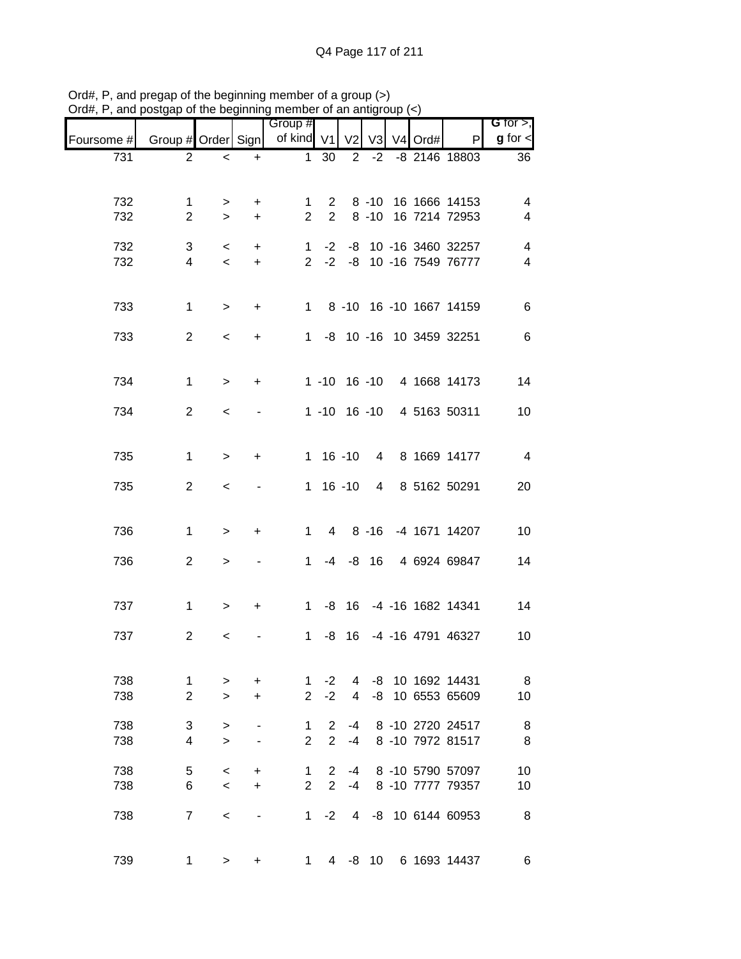|            |                               |              | .              | Group #             |                            |                     |    |            |                                   | G for $>$ ,             |
|------------|-------------------------------|--------------|----------------|---------------------|----------------------------|---------------------|----|------------|-----------------------------------|-------------------------|
| Foursome # | Group # Order Sign            |              |                | of kind V1          |                            | V <sub>2</sub>      |    | V3 V4 Ord# | P                                 | $g$ for $\leq$          |
| 731        | 2                             | $\,<$        | $\ddot{}$      | $\mathbf{1}$        | 30                         | $\overline{2}$      |    |            | -2 -8 2146 18803                  | 36                      |
|            |                               |              |                |                     |                            |                     |    |            |                                   |                         |
| 732        | 1                             | $\geq$       | $\ddot{}$      | 1                   |                            | $2^{\circ}$         |    |            | 8 -10 16 1666 14153               | 4                       |
| 732        | $\overline{2}$                | $\geq$       | $+$            |                     | $2^{\circ}$<br>$2^{\circ}$ |                     |    |            | 8 -10 16 7214 72953               | 4                       |
| 732        | 3                             | $\,<\,$      | $+$            |                     |                            |                     |    |            | 1 -2 -8 10 -16 3460 32257         | $\overline{\mathbf{4}}$ |
| 732        | $\overline{4}$                | $\,<$        | $+$            |                     |                            |                     |    |            | 2 -2 -8 10 -16 7549 76777         | $\overline{\mathbf{4}}$ |
|            |                               |              |                |                     |                            |                     |    |            |                                   |                         |
| 733        | $\mathbf{1}$                  | $\mathbf{L}$ | $+$            |                     |                            |                     |    |            | 1 8 -10 16 -10 1667 14159         | $\,6$                   |
|            |                               |              |                |                     |                            |                     |    |            |                                   |                         |
| 733        | $\overline{2}$                | $\,<$        | $\ddot{}$      |                     |                            |                     |    |            | 1 -8 10 -16 10 3459 32251         | $\,6\,$                 |
|            |                               |              |                |                     |                            |                     |    |            |                                   |                         |
| 734        | $\mathbf{1}$                  | $\geq$       | $+$            |                     |                            |                     |    |            | 1 -10 16 -10 4 1668 14173         | 14                      |
| 734        | $\overline{2}$                | $\,<$        |                |                     |                            |                     |    |            | 1 -10 16 -10 4 5163 50311         | 10                      |
|            |                               |              |                |                     |                            |                     |    |            |                                   |                         |
|            |                               |              |                |                     |                            |                     |    |            |                                   |                         |
| 735        | $\mathbf{1}$                  | $\,>$        | $\ddot{}$      |                     | $1 16 - 10$                |                     |    |            | 4 8 1669 14177                    | $\overline{4}$          |
| 735        | $\overline{2}$                | $\,<$        | $\blacksquare$ |                     | $1 16 - 10$                |                     |    |            | 4 8 5162 50291                    | 20                      |
|            |                               |              |                |                     |                            |                     |    |            |                                   |                         |
| 736        | $\mathbf 1$                   | $\,$         | $\ddot{}$      |                     | $1 \quad$                  |                     |    |            | 4 8 -16 -4 1671 14207             | 10                      |
|            |                               |              |                |                     |                            |                     |    |            |                                   |                         |
| 736        | $\overline{2}$                | $\mathbf{L}$ |                |                     |                            |                     |    |            | 1 -4 -8 16 4 6924 69847           | 14                      |
|            |                               |              |                |                     |                            |                     |    |            |                                   |                         |
| 737        | $\mathbf{1}$                  | $\, >$       | $+$            |                     |                            |                     |    |            | 1 -8 16 -4 -16 1682 14341         | 14                      |
| 737        | $\overline{2}$                | $\,<$        |                | $\mathbf{1}$        |                            |                     |    |            | -8 16 -4 -16 4791 46327           | 10                      |
|            |                               |              |                |                     |                            |                     |    |            |                                   |                         |
|            |                               |              |                |                     |                            |                     |    |            |                                   |                         |
| 738<br>738 | $\mathbf 1$<br>$\overline{2}$ | ><br>$\geq$  | +<br>$\ddot{}$ | 1<br>$\overline{2}$ | $-2$<br>$-2$               | 4<br>$\overline{4}$ | -8 |            | -8 10 1692 14431<br>10 6553 65609 | 8<br>10                 |
|            |                               |              |                |                     |                            |                     |    |            |                                   |                         |
| 738        | 3                             | $\, >$       |                | 1                   | $\overline{2}$             | -4                  |    |            | 8 -10 2720 24517                  | 8                       |
| 738        | 4                             | $\geq$       |                | $\overline{2}$      | $\overline{2}$             | $-4$                |    |            | 8 -10 7972 81517                  | 8                       |
| 738        | 5                             | $\,<$        | +              | 1                   | 2                          | -4                  |    |            | 8 -10 5790 57097                  | 10                      |
| 738        | 6                             | $\,<$        | $\ddot{}$      | $\overline{2}$      | $\overline{2}$             | -4                  |    |            | 8 -10 7777 79357                  | 10                      |
| 738        | $\overline{7}$                | $\,<$        |                | 1                   | $-2$                       |                     |    |            | 4 -8 10 6144 60953                | 8                       |
|            |                               |              |                |                     |                            |                     |    |            |                                   |                         |
| 739        | 1                             | >            | +              | 1.                  |                            |                     |    |            | 4 -8 10 6 1693 14437              | 6                       |
|            |                               |              |                |                     |                            |                     |    |            |                                   |                         |

Ord#, P, and pregap of the beginning member of a group (>) Ord#, P, and postgap of the beginning member of an antigroup (<)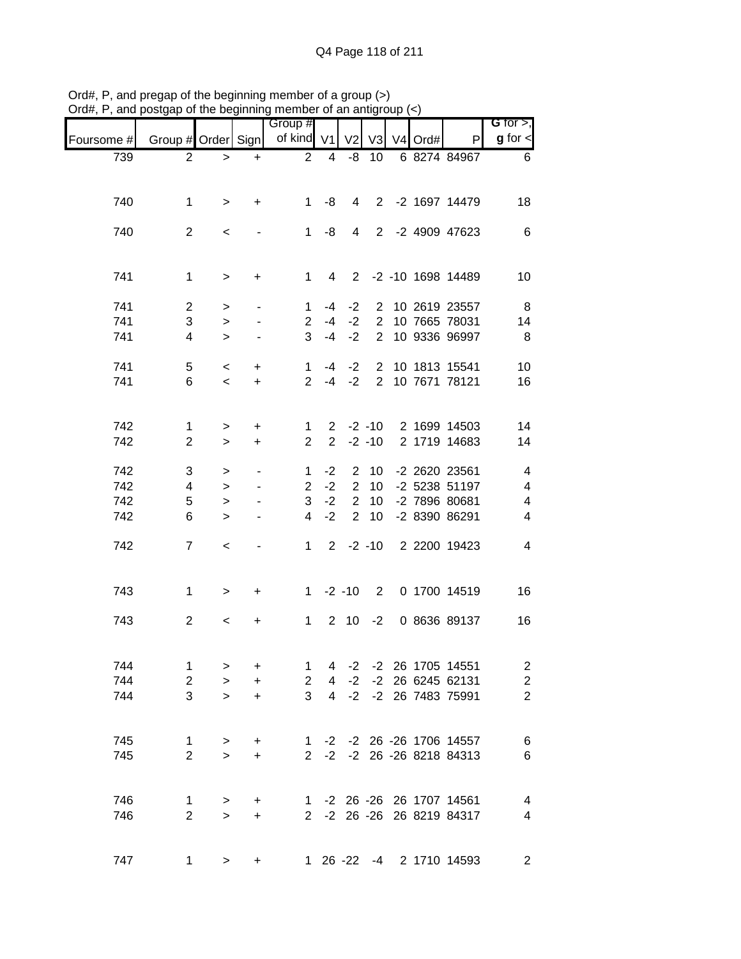|            |                    |           |                          | Group #        |                          |                |                |                     |                           | G for $>$ ,              |
|------------|--------------------|-----------|--------------------------|----------------|--------------------------|----------------|----------------|---------------------|---------------------------|--------------------------|
| Foursome # | Group # Order Sign |           |                          | of kind V1     |                          | V <sub>2</sub> | V <sub>3</sub> | V <sub>4</sub> Ord# | P                         | $g$ for $\textsf{I}$     |
| 739        | 2                  | $\, >$    | $\ddot{}$                | $\overline{2}$ | $\overline{\mathcal{A}}$ | -8             | 10             |                     | 6 8274 84967              | 6                        |
|            |                    |           |                          |                |                          |                |                |                     |                           |                          |
| 740        | 1                  |           | $\ddot{}$                | $\mathbf{1}$   | -8                       | 4              |                |                     | 2 -2 1697 14479           | 18                       |
|            |                    | >         |                          |                |                          |                |                |                     |                           |                          |
| 740        | $\overline{2}$     | $\,<\,$   |                          | $\mathbf{1}$   | -8                       | $\overline{4}$ |                |                     | 2 -2 4909 47623           | 6                        |
|            |                    |           |                          |                |                          |                |                |                     |                           |                          |
|            |                    |           |                          |                |                          |                |                |                     |                           |                          |
| 741        | $\mathbf 1$        | $\, >$    | $\ddot{}$                | $\mathbf 1$    | $\overline{4}$           |                |                |                     | 2 -2 -10 1698 14489       | 10                       |
| 741        | $\overline{c}$     | $\,>$     | $\overline{\phantom{a}}$ | 1              | -4                       | $-2$           | $\overline{2}$ |                     | 10 2619 23557             | 8                        |
| 741        | 3                  | $\geq$    |                          | $\overline{2}$ | $-4$                     | $-2$           | $\overline{2}$ |                     | 10 7665 78031             | 14                       |
| 741        | 4                  | $\geq$    |                          | 3              | $-4$                     | $-2$           | $\overline{2}$ |                     | 10 9336 96997             | 8                        |
|            |                    |           |                          |                |                          |                |                |                     |                           |                          |
| 741        | 5                  | $\,<\,$   | +                        | $\mathbf 1$    | -4                       | $-2$           | $\overline{2}$ |                     | 10 1813 15541             | 10                       |
| 741        | 6                  | $\prec$   | $\ddot{}$                | $\overline{2}$ | $-4$                     | $-2$           | $\overline{2}$ |                     | 10 7671 78121             | 16                       |
|            |                    |           |                          |                |                          |                |                |                     |                           |                          |
| 742        | $\mathbf 1$        | >         | $\ddot{}$                | 1              |                          | $2 -2 -10$     |                |                     | 2 1699 14503              | 14                       |
| 742        | $\overline{2}$     | $\geq$    | $\ddot{}$                | $\overline{2}$ | $\overline{2}$           |                | $-2 - 10$      |                     | 2 1719 14683              | 14                       |
|            |                    |           |                          |                |                          |                |                |                     |                           |                          |
| 742        | 3                  | $\, > \,$ |                          | 1              | $-2$                     | 2              | 10             |                     | -2 2620 23561             | $\overline{4}$           |
| 742        | 4                  | $\, > \,$ |                          | $\overline{2}$ | $-2$                     | $\overline{2}$ | 10             |                     | -2 5238 51197             | $\overline{4}$           |
| 742        | 5                  | $\geq$    |                          | 3              | $-2$                     | $\mathbf{2}$   | 10             |                     | -2 7896 80681             | $\overline{4}$           |
| 742        | 6                  | $\geq$    |                          | 4              | $-2$                     | $\overline{2}$ | 10             |                     | -2 8390 86291             | 4                        |
| 742        | $\overline{7}$     | $\,<$     | $\overline{\phantom{a}}$ | $\mathbf 1$    | $2^{\circ}$              |                | $-2 - 10$      |                     | 2 2200 19423              | 4                        |
|            |                    |           |                          |                |                          |                |                |                     |                           |                          |
|            |                    |           |                          |                |                          |                |                |                     |                           |                          |
| 743        | $\mathbf 1$        | $\geq$    | $\ddot{}$                | $1 \quad$      |                          | $-2 - 10$      | $\overline{2}$ |                     | 0 1700 14519              | 16                       |
|            |                    |           |                          |                |                          |                |                |                     |                           |                          |
| 743        | $\overline{2}$     | $\,<\,$   | +                        | $\mathbf{1}$   |                          | $2 \quad 10$   | $-2$           |                     | 0 8636 89137              | 16                       |
|            |                    |           |                          |                |                          |                |                |                     |                           |                          |
| 744        | $\mathbf 1$        | $\, > \,$ | $\ddot{}$                | 1              | 4                        | $-2$           |                |                     | -2 26 1705 14551          | $\overline{\mathbf{c}}$  |
| 744        | $\sqrt{2}$         | $\geq$    | $\ddot{}$                | $\overline{2}$ | 4                        | $-2$           |                |                     | -2 26 6245 62131          | $\overline{c}$           |
| 744        | 3                  | $\geq$    | +                        | 3              | $\overline{4}$           | $-2$           |                |                     | -2 26 7483 75991          | $\overline{2}$           |
|            |                    |           |                          |                |                          |                |                |                     |                           |                          |
|            |                    |           |                          |                |                          |                |                |                     |                           |                          |
| 745        | $\mathbf{1}$       | $\, >$    | $\ddot{}$                |                |                          |                |                |                     | 1 -2 -2 26 -26 1706 14557 | $6\phantom{1}6$          |
| 745        | $\overline{2}$     | $\geq$    | $\ddot{}$                |                |                          |                |                |                     | 2 -2 -2 26 -26 8218 84313 | $\,6$                    |
|            |                    |           |                          |                |                          |                |                |                     |                           |                          |
| 746        | $\mathbf 1$        | $\, >$    | +                        |                |                          |                |                |                     | 1 -2 26 -26 26 1707 14561 | $\overline{\mathcal{A}}$ |
| 746        | $\overline{2}$     | $\geq$    | +                        |                |                          |                |                |                     | 2 -2 26 -26 26 8219 84317 | $\overline{4}$           |
|            |                    |           |                          |                |                          |                |                |                     |                           |                          |
| 747        | 1                  | $\, > \,$ | +                        |                |                          |                |                |                     | 1 26 -22 -4 2 1710 14593  | $\overline{c}$           |
|            |                    |           |                          |                |                          |                |                |                     |                           |                          |

Ord#, P, and pregap of the beginning member of a group (>) Ord#, P, and postgap of the beginning member of an antigroup (<)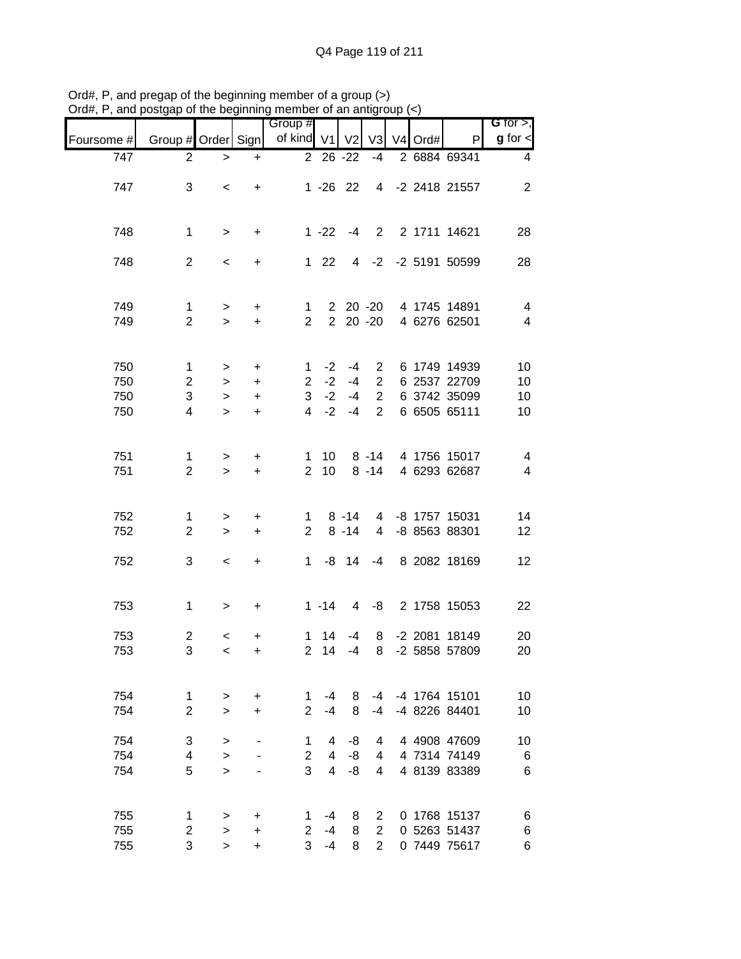|                   |                                |                                   |                        | Group #                       |                |                 |                                  |         |                              | G for $>$ ,              |
|-------------------|--------------------------------|-----------------------------------|------------------------|-------------------------------|----------------|-----------------|----------------------------------|---------|------------------------------|--------------------------|
| Foursome #        | Group # Order Sign             |                                   |                        | of kind V1                    |                | V <sub>2</sub>  | V <sub>3</sub>                   | V4 Ord# | P                            | $g$ for $\lt$            |
| $\overline{7}$ 47 | $\overline{2}$                 | $\, > \,$                         | $\ddot{}$              |                               | 2 26 -22       |                 | $-4$                             |         | 2 6884 69341                 | 4                        |
| 747               | 3                              | $\,<$                             | $\ddot{}$              |                               | $1 - 26$ 22    |                 |                                  |         | 4 -2 2418 21557              | $\overline{2}$           |
|                   |                                |                                   |                        |                               |                |                 |                                  |         |                              |                          |
| 748               | 1                              | $\, >$                            | $\ddot{}$              |                               | $1 - 22$       | $-4$            | 2                                |         | 2 1711 14621                 | 28                       |
|                   |                                |                                   |                        |                               |                |                 |                                  |         |                              |                          |
| 748               | $\overline{2}$                 | $\,<$                             | +                      |                               | $122$          |                 |                                  |         | 4 -2 -2 5191 50599           | 28                       |
|                   |                                |                                   |                        |                               |                |                 |                                  |         |                              |                          |
| 749               | 1                              | $\, >$                            | $\ddot{}$              | $\mathbf{1}$                  |                | $220 - 20$      |                                  |         | 4 1745 14891                 | $\overline{4}$           |
| 749               | $\overline{2}$                 | $\geq$                            | $+$                    | $\overline{2}$                |                |                 | $2\ 20\ -20$                     |         | 4 6276 62501                 | $\overline{\mathcal{A}}$ |
|                   |                                |                                   |                        |                               |                |                 |                                  |         |                              |                          |
| 750<br>750        | $\mathbf{1}$<br>$\overline{2}$ | $\, > \,$<br>$\,>$                | $\ddot{}$<br>$\ddot{}$ | $\mathbf 1$<br>$\overline{2}$ | $-2$<br>$-2$   | $-4$<br>$-4$    | $\overline{2}$<br>$\overline{2}$ |         | 6 1749 14939<br>6 2537 22709 | 10<br>10                 |
| 750               | 3                              | $\, >$                            | $+$                    | 3 <sup>1</sup>                | $-2$           | $-4$            | $\overline{2}$                   |         | 6 3742 35099                 | 10                       |
| 750               | $\overline{4}$                 | $\geq$                            | $\ddot{}$              | $\overline{4}$                | $-2$           | $-4$            | $\overline{2}$                   |         | 6 6505 65111                 | 10                       |
|                   |                                |                                   |                        |                               |                |                 |                                  |         |                              |                          |
| 751               | $\mathbf{1}$                   | $\, >$                            | +                      | 1                             | 10             |                 | $8 - 14$                         |         | 4 1756 15017                 | $\overline{4}$           |
| 751               | $\overline{2}$                 | $\geq$                            | $\ddot{}$              | $\overline{2}$                | 10             |                 | $8 - 14$                         |         | 4 6293 62687                 | $\overline{4}$           |
|                   |                                |                                   |                        |                               |                |                 |                                  |         |                              |                          |
| 752               | 1                              | $\, >$                            | $\ddot{}$              | 1                             |                | $8 - 14$        |                                  |         | 4 -8 1757 15031              | 14                       |
| 752               | $\overline{2}$                 | $\,>$                             | $\ddot{}$              | $\overline{2}$                |                | $8 - 14$        | 4                                |         | -8 8563 88301                | 12                       |
| 752               | 3                              | $\,<$                             | $\ddot{}$              | $\mathbf{1}$                  | -8             | 14              | $-4$                             |         | 8 2082 18169                 | 12                       |
|                   |                                |                                   |                        |                               |                |                 |                                  |         |                              |                          |
| 753               | $\mathbf 1$                    | $\geq$                            | $\ddot{}$              |                               | $1 - 14$       | $4\overline{ }$ | -8                               |         | 2 1758 15053                 | 22                       |
| 753               | $\overline{c}$                 |                                   |                        | 1                             | 14             | $-4$            | 8                                |         | -2 2081 18149                | 20                       |
| 753               | 3                              | $\,<$<br>$\overline{\phantom{a}}$ | +<br>$\ddot{}$         | $\overline{2}$                | 14             | $-4$            | 8                                |         | -2 5858 57809                | 20                       |
|                   |                                |                                   |                        |                               |                |                 |                                  |         |                              |                          |
| 754               | 1                              | $\, > \,$                         | $\ddot{}$              | 1                             | -4             | 8               | $-4$                             |         | -4 1764 15101                | 10                       |
| 754               | $\overline{2}$                 | $\geq$                            | +                      | $\overline{2}$                | $-4$           | 8               | $-4$                             |         | -4 8226 84401                | 10                       |
| 754               | 3                              | $\, > \,$                         |                        | 1                             | 4              | -8              | 4                                |         | 4 4908 47609                 | 10                       |
| 754               | 4                              | $\, > \,$                         |                        | $\overline{2}$                | 4              | -8              | 4                                |         | 4 7314 74149                 | $\,6$                    |
| 754               | 5                              | $\geq$                            |                        | 3                             | $\overline{4}$ | -8              | 4                                |         | 4 8139 83389                 | 6                        |
|                   |                                |                                   |                        |                               |                |                 |                                  |         |                              |                          |
| 755               | 1                              | >                                 | $\ddot{}$              | 1.                            | -4             | 8               | $\overline{2}$                   |         | 0 1768 15137                 | 6                        |
| 755               | 2                              | $\geq$                            | +                      | $\overline{2}$<br>3           | $-4$           | 8               | $\overline{2}$<br>$\overline{2}$ |         | 0 5263 51437                 | 6                        |
| 755               | 3                              | $\geq$                            | +                      |                               | $-4$           | 8               |                                  |         | 0 7449 75617                 | 6                        |

Ord#, P, and pregap of the beginning member of a group (>) Ord#, P, and postgap of the beginning member of an antigroup (<)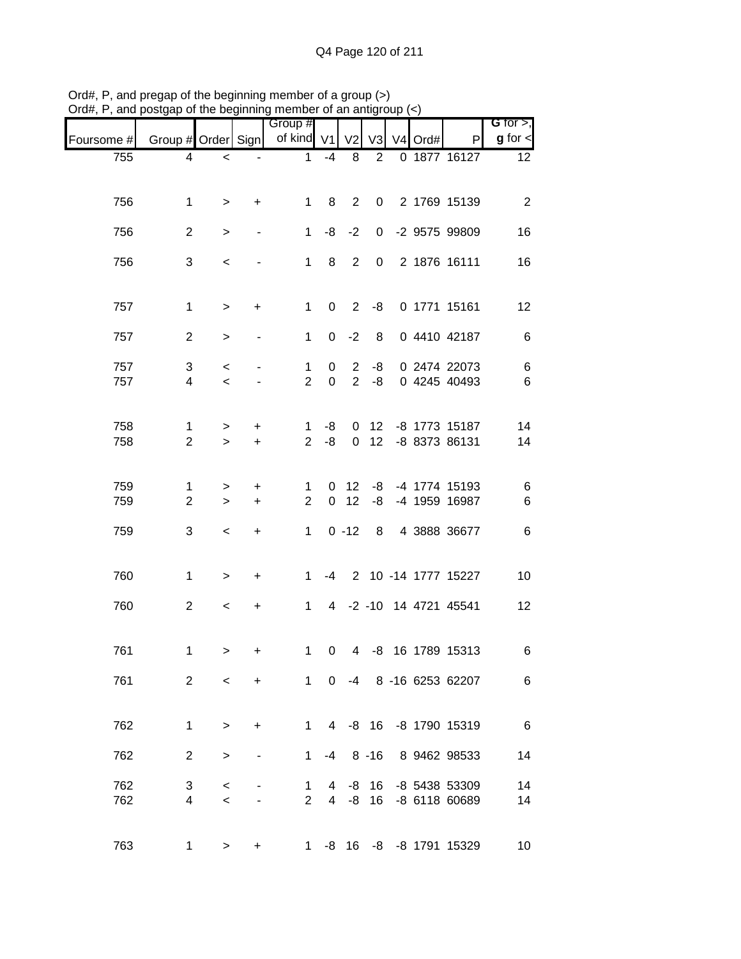| G for $>$ ,     |                                |                     |                |                |                 | Group #             |                                  |                     |                                |            |
|-----------------|--------------------------------|---------------------|----------------|----------------|-----------------|---------------------|----------------------------------|---------------------|--------------------------------|------------|
| $g$ for $\lt$   | P                              | V <sub>4</sub> Ord# | V <sub>3</sub> | V <sub>2</sub> |                 | of kind V1          |                                  |                     | Group # Order Sign             | Foursome # |
| 12 <sup>°</sup> | 0 1877 16127                   |                     | 2              | 8              | $-4$            | $\mathbf{1}$        |                                  | $\,<$               | 4                              | 755        |
|                 |                                |                     |                |                |                 |                     |                                  |                     |                                |            |
| $\overline{2}$  | 2 1769 15139                   |                     | 0              | $\overline{2}$ | 8               | $\mathbf{1}$        | +                                | $\, >$              | $\mathbf{1}$                   | 756        |
| 16              | -2 9575 99809                  |                     | 0              | $-2$           | -8              | $\mathbf{1}$        |                                  | $\, > \,$           | $\overline{2}$                 | 756        |
| 16              | 2 1876 16111                   |                     | $\pmb{0}$      | $\overline{2}$ | 8               | $\mathbf{1}$        |                                  | $\,<$               | 3                              | 756        |
|                 |                                |                     |                |                |                 |                     |                                  |                     |                                |            |
| 12              | 0 1771 15161                   |                     | -8             | 2              | 0               | $\mathbf 1$         | +                                | $\,$                | $\mathbf{1}$                   | 757        |
| $\,6$           | 0 4410 42187                   |                     | 8              | $-2$           | 0               | $\mathbf{1}$        |                                  | $\, > \,$           | $\overline{2}$                 | 757        |
| $\,6$           | 0 2474 22073                   |                     | -8             | $\overline{2}$ | 0               | $\mathbf 1$         |                                  | $\,<\,$             | 3                              | 757        |
| $\,6$           | 0 4245 40493                   |                     | -8             | $\overline{2}$ | $\mathbf 0$     | $\overline{2}$      |                                  | $\prec$             | $\overline{4}$                 | 757        |
|                 |                                |                     |                |                |                 |                     |                                  |                     |                                |            |
| 14<br>14        | -8 1773 15187<br>-8 8373 86131 |                     | 12<br>12       | 0<br>0         | -8<br>-8        | 1<br>$\overline{2}$ | +<br>$\ddot{}$                   | $\, > \,$<br>$\geq$ | $\mathbf{1}$<br>$\overline{2}$ | 758<br>758 |
|                 |                                |                     |                |                |                 |                     |                                  |                     |                                |            |
| 6               | -4 1774 15193                  |                     | -8             | 12             | 0               | 1                   | +                                | $\, > \,$           | $\mathbf{1}$                   | 759        |
| $\,6$           | -4 1959 16987                  |                     | -8             | 12             | $\mathbf 0$     | $\overline{2}$      | $\ddot{}$                        | $\geq$              | $\overline{c}$                 | 759        |
| $\,6$           | 4 3888 36677                   |                     | 8              | $0 - 12$       |                 | $\mathbf 1$         | $\begin{array}{c} + \end{array}$ | $\,<$               | 3                              | 759        |
|                 |                                |                     |                |                |                 |                     |                                  |                     |                                |            |
| 10              | 2 10 -14 1777 15227            |                     |                |                | $-4$            | $\mathbf{1}$        | $\ddot{}$                        | $\,$                | $\mathbf{1}$                   | 760        |
| 12              | 4 -2 -10 14 4721 45541         |                     |                |                |                 | $\mathbf{1}$        | +                                | $\,<\,$             | $\overline{2}$                 | 760        |
|                 |                                |                     |                |                |                 |                     |                                  |                     |                                |            |
| 6               | 4 -8 16 1789 15313             |                     |                |                | 0               | 1                   | +                                | >                   | $\mathbf 1$                    | 761        |
| 6               | -4 8 -16 6253 62207            |                     |                |                | $\Omega$        | $1 \quad$           | $\ddot{}$                        | $\prec$             | $\overline{2}$                 | 761        |
|                 |                                |                     |                |                |                 |                     |                                  |                     |                                |            |
| $6\overline{6}$ | 4 -8 16 -8 1790 15319          |                     |                |                |                 | $1 \quad$           | $\ddot{}$                        | $\, > \,$           | $\mathbf 1$                    | 762        |
| 14              | 8 9462 98533                   |                     |                | $-4$ 8 $-16$   |                 | $1 \quad$           |                                  | $\geq$              | $\overline{2}$                 | 762        |
| 14              | -8 5438 53309                  |                     | 16             | -8             | 4               | 1                   |                                  | $\,<\,$             | 3                              | 762        |
| 14              | -8 6118 60689                  |                     | 16             | -8             | $4\overline{ }$ | $\overline{2}$      |                                  | $\,<$               | 4                              | 762        |
|                 |                                |                     |                |                |                 |                     |                                  |                     |                                |            |
| 10              | -8 16 -8 -8 1791 15329         |                     |                |                |                 | $1 \quad$           | +                                | >                   | 1                              | 763        |

Ord#, P, and pregap of the beginning member of a group (>) Ord#, P, and postgap of the beginning member of an antigroup (<)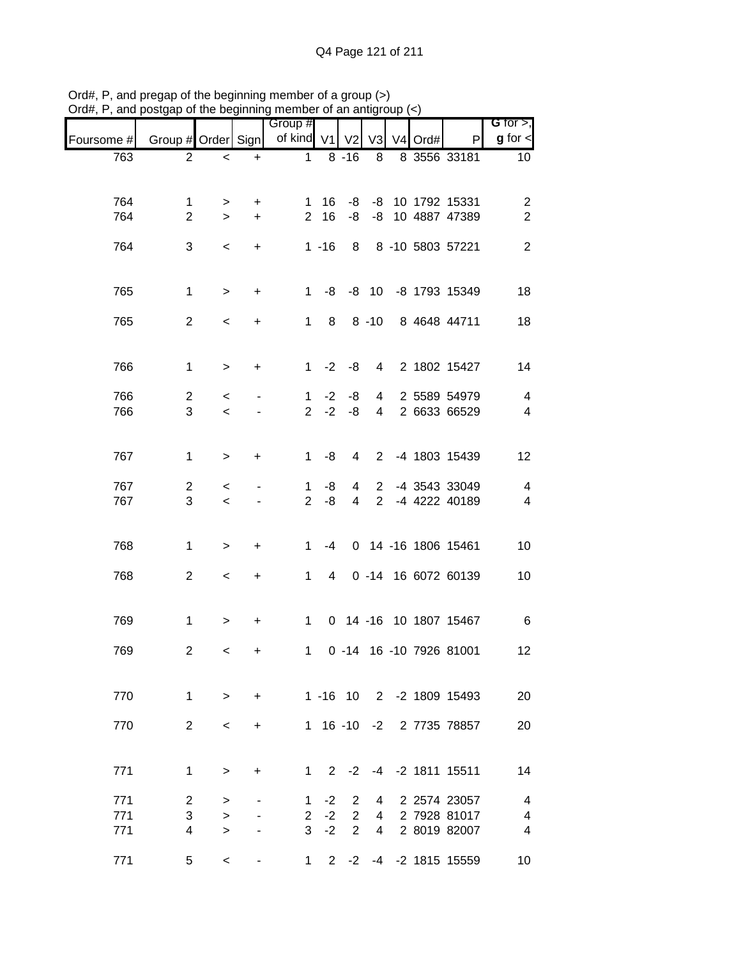|            |                         |           |           | Group #        |                |                |                |         |                          | G for $>$ ,             |
|------------|-------------------------|-----------|-----------|----------------|----------------|----------------|----------------|---------|--------------------------|-------------------------|
| Foursome # | Group # Order Sign      |           |           | of kind V1     |                | V <sub>2</sub> | V <sub>3</sub> | V4 Ord# | P                        | $g$ for $\lt$           |
| 763        | $\overline{2}$          | $\,<$     | $\ddot{}$ | $\mathbf{1}$   |                | $8 - 16$       | 8              |         | 8 3556 33181             | 10 <sup>°</sup>         |
|            |                         |           |           |                |                |                |                |         |                          |                         |
| 764        | $\mathbf 1$             | >         | +         | 1              | 16             | -8             |                |         | -8 10 1792 15331         | $\overline{\mathbf{c}}$ |
| 764        | $\overline{2}$          | $\geq$    | $\ddot{}$ | $\overline{2}$ | 16             | -8             | -8             |         | 10 4887 47389            | $\overline{2}$          |
|            |                         |           |           |                |                |                |                |         |                          |                         |
| 764        | 3                       | $\,<\,$   | $\ddot{}$ |                | $1 - 16$       | 8              |                |         | 8 -10 5803 57221         | $\mathbf{2}$            |
|            |                         |           |           |                |                |                |                |         |                          |                         |
| 765        | $\mathbf{1}$            | $\,$      | $\ddot{}$ | $\mathbf{1}$   | -8             |                |                |         | -8 10 -8 1793 15349      | 18                      |
|            | $\overline{2}$          |           |           | $\mathbf{1}$   |                |                | $8 - 10$       |         |                          |                         |
| 765        |                         | $\,<$     | +         |                | 8              |                |                |         | 8 4648 44711             | 18                      |
|            |                         |           |           |                |                |                |                |         |                          |                         |
| 766        | $\mathbf 1$             | $\, > \,$ | +         | $\mathbf{1}$   | $-2$           | -8             | $\overline{4}$ |         | 2 1802 15427             | 14                      |
| 766        | $\overline{2}$          | $\,<\,$   |           | 1              | $-2$           | -8             | $\overline{4}$ |         | 2 5589 54979             | $\overline{4}$          |
| 766        | 3                       | $\,<\,$   |           | $\overline{2}$ | $-2$           | -8             | 4              |         | 2 6633 66529             | $\overline{4}$          |
|            |                         |           |           |                |                |                |                |         |                          |                         |
| 767        | $\mathbf 1$             | $\,>$     | +         | 1              | -8             | 4              | $\overline{2}$ |         | -4 1803 15439            | 12                      |
|            |                         |           |           |                |                |                |                |         |                          |                         |
| 767        | $\overline{2}$          | $\,<\,$   |           | 1              | -8             | 4              | $\overline{2}$ |         | -4 3543 33049            | $\overline{4}$          |
| 767        | 3                       | $\prec$   |           | $\overline{2}$ | -8             | 4              | $\overline{2}$ |         | -4 4222 40189            | $\overline{4}$          |
|            |                         |           |           |                |                |                |                |         |                          |                         |
| 768        | $\mathbf 1$             | $\, >$    | +         | 1              | -4             |                |                |         | 0 14 -16 1806 15461      | 10                      |
|            |                         |           |           |                |                |                |                |         |                          |                         |
| 768        | $\overline{c}$          | $\,<$     | +         | $\mathbf 1$    | $\overline{4}$ |                |                |         | 0 -14 16 6072 60139      | 10                      |
|            |                         |           |           |                |                |                |                |         |                          |                         |
| 769        | $\mathbf{1}$            | $\, > \,$ | +         | $\mathbf 1$    |                |                |                |         | 0 14 -16 10 1807 15467   | 6                       |
|            |                         |           |           |                |                |                |                |         |                          |                         |
| 769        | $\overline{\mathbf{c}}$ | $\,<$     | +         | $\mathbf{1}$   |                |                |                |         | 0 -14 16 -10 7926 81001  | 12                      |
|            |                         |           |           |                |                |                |                |         |                          |                         |
| 770        | $\mathbf{1}$            | $\geq$    | $+$       |                | $1 - 16$ 10    |                |                |         | 2 -2 1809 15493          | 20                      |
| 770        | 2                       | $\,<\,$   | $\ddot{}$ |                |                |                |                |         | 1 16 -10 -2 2 7735 78857 | 20                      |
|            |                         |           |           |                |                |                |                |         |                          |                         |
|            |                         |           |           |                |                |                |                |         |                          |                         |
| 771        | $\mathbf 1$             | $\, > \,$ | $\ddot{}$ | $\mathbf 1$    |                | $2 -2$         |                |         | -4 -2 1811 15511         | 14                      |
| 771        | $\overline{2}$          | $\, > \,$ |           | 1              | $-2$           | 2              | 4              |         | 2 2574 23057             | 4                       |
| 771        | 3                       | $\geq$    |           | $\overline{2}$ | $-2$           | $\overline{2}$ | 4              |         | 2 7928 81017             | 4                       |
| 771        | 4                       | $\geq$    |           | 3              | $-2$           | $\overline{2}$ | 4              |         | 2 8019 82007             | $\overline{4}$          |
| 771        | 5                       | $\,<\,$   |           | $\mathbf{1}$   |                |                |                |         | 2 -2 -4 -2 1815 15559    | 10                      |

Ord#, P, and pregap of the beginning member of a group (>) Ord#, P, and postgap of the beginning member of an antigroup (<)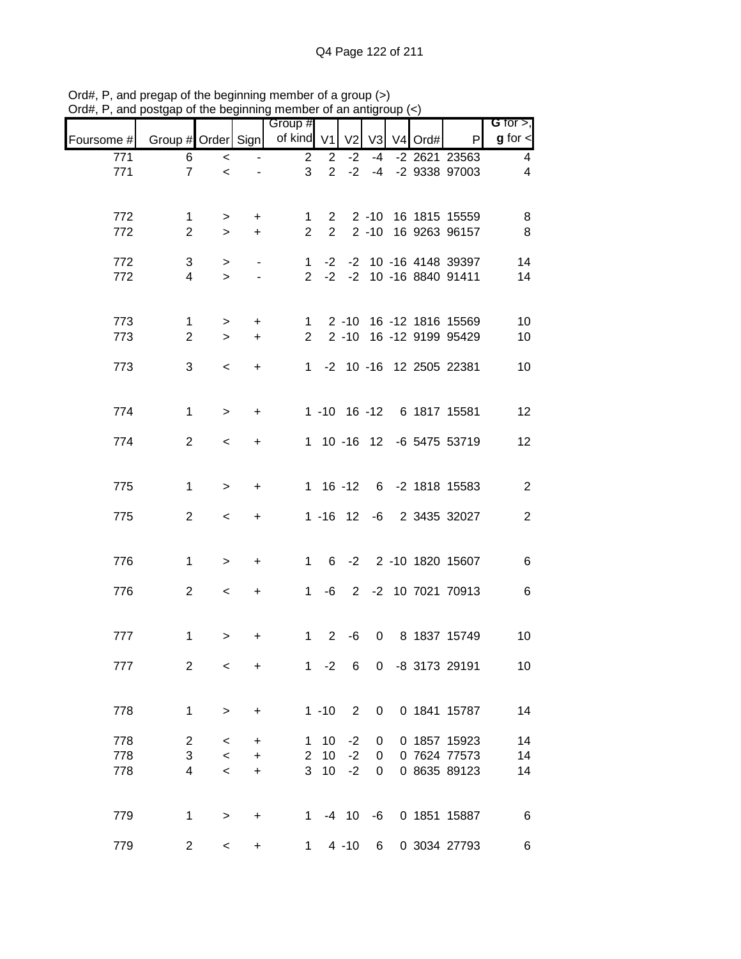|            |                                      |                          |           | Group #        |                                |                |      |            |                           | G for $>$ ,     |
|------------|--------------------------------------|--------------------------|-----------|----------------|--------------------------------|----------------|------|------------|---------------------------|-----------------|
| Foursome # | Group # Order Sign   of kind V1   V2 |                          |           |                |                                |                |      | V3 V4 Ord# | $\mathsf{P}$              | $g$ for $\lt$   |
| 771        | 6                                    | $\overline{\phantom{0}}$ |           | $\overline{2}$ | $\overline{2}$                 | $-2$           | $-4$ |            | -2 2621 23563             | 4               |
| 771        | $\overline{7}$                       | $\prec$                  |           | 3              | $\overline{2}$                 | $-2$           | $-4$ |            | -2 9338 97003             | 4               |
|            |                                      |                          |           |                |                                |                |      |            |                           |                 |
| 772        | $\mathbf 1$<br>$\overline{2}$        | $\, > \,$                | +         | 1              | $\mathbf{2}$<br>$\overline{2}$ |                |      |            | 2 -10 16 1815 15559       | 8               |
| 772        |                                      | $\geq$                   | $+$       | $\overline{2}$ |                                |                |      |            | 2 -10 16 9263 96157       | 8               |
| 772        | 3                                    | $\geq$                   |           | $\mathbf{1}$   | $-2$                           |                |      |            | -2 10 -16 4148 39397      | 14              |
| 772        | 4                                    | $\geq$                   |           | $2^{\circ}$    |                                |                |      |            | -2 -2 10 -16 8840 91411   | 14              |
|            |                                      |                          |           |                |                                |                |      |            |                           |                 |
| 773        | $\mathbf{1}$                         | $\,$                     | $\ddot{}$ | $\mathbf{1}$   |                                |                |      |            | 2 -10 16 -12 1816 15569   | 10              |
| 773        | $\overline{2}$                       | $\geq$                   | $+$       | $\overline{2}$ |                                |                |      |            | 2 -10 16 -12 9199 95429   | 10              |
| 773        | 3                                    | $\overline{\phantom{0}}$ | $+$       |                |                                |                |      |            | 1 -2 10 -16 12 2505 22381 | 10              |
|            |                                      |                          |           |                |                                |                |      |            |                           |                 |
| 774        | $\mathbf{1}$                         | $\geq$                   | $\ddot{}$ |                |                                |                |      |            | 1 -10 16 -12 6 1817 15581 | 12              |
|            |                                      |                          |           |                |                                |                |      |            |                           |                 |
| 774        | 2                                    | $\prec$                  | $\ddot{}$ |                |                                |                |      |            | 1 10 -16 12 -6 5475 53719 | 12              |
|            |                                      |                          |           |                |                                |                |      |            |                           |                 |
| 775        | $\mathbf{1}$                         | $\geq$                   | +         |                | $1 16 - 12$                    |                |      |            | 6 -2 1818 15583           | $\overline{2}$  |
| 775        | $\overline{2}$                       | $\,<$                    | $\ddot{}$ |                |                                |                |      |            | 1 -16 12 -6 2 3435 32027  | $\mathbf{2}$    |
|            |                                      |                          |           |                |                                |                |      |            |                           |                 |
| 776        | $\mathbf 1$                          |                          | $\ddot{}$ | $1 \quad$      |                                |                |      |            | 6 -2 2 -10 1820 15607     | $\,6$           |
|            |                                      | $\geq$                   |           |                |                                |                |      |            |                           |                 |
| 776        | $\overline{2}$                       | $\,<\,$                  | $\ddot{}$ | $1 \quad$      | -6                             |                |      |            | 2 -2 10 7021 70913        | $\,6$           |
|            |                                      |                          |           |                |                                |                |      |            |                           |                 |
| 777        | $\mathbf 1$                          | >                        | +         | $\mathbf{1}$   | $\overline{2}$                 | -6             | 0    |            | 8 1837 15749              | 10              |
|            |                                      |                          |           |                |                                |                |      |            |                           |                 |
| 777        | $\overline{2}$                       | $\,<\,$                  | +         | $1 \quad$      | $-2$                           | 6              | 0    |            | -8 3173 29191             | 10 <sup>°</sup> |
|            |                                      |                          |           |                |                                |                |      |            |                           |                 |
| 778        | $\mathbf 1$                          | $\,>$                    | $\ddot{}$ |                | $1 - 10$                       | $\overline{2}$ | 0    |            | 0 1841 15787              | 14              |
| 778        | $\overline{c}$                       | $\,<\,$                  | +         | 1              | 10                             | $-2$           | 0    |            | 0 1857 15923              | 14              |
| 778        | 3                                    | $\,<$                    | $\ddot{}$ | $\overline{2}$ | 10                             | $-2$           | 0    |            | 0 7624 77573              | 14              |
| 778        | 4                                    | $\,<$                    | +         | 3              | 10                             | $-2$           | 0    |            | 0 8635 89123              | 14              |
|            |                                      |                          |           |                |                                |                |      |            |                           |                 |
| 779        | 1                                    | $\,>$                    | $\ddot{}$ | $1 \quad$      |                                | $-4$ 10        | -6   |            | 0 1851 15887              | 6               |
| 779        | $\overline{c}$                       | $\,<$                    | $\ddot{}$ | 1              |                                | $4 - 10$       | 6    |            | 0 3034 27793              | 6               |

Ord#, P, and pregap of the beginning member of a group (>) Ord#, P, and postgap of the beginning member of an antigroup (<)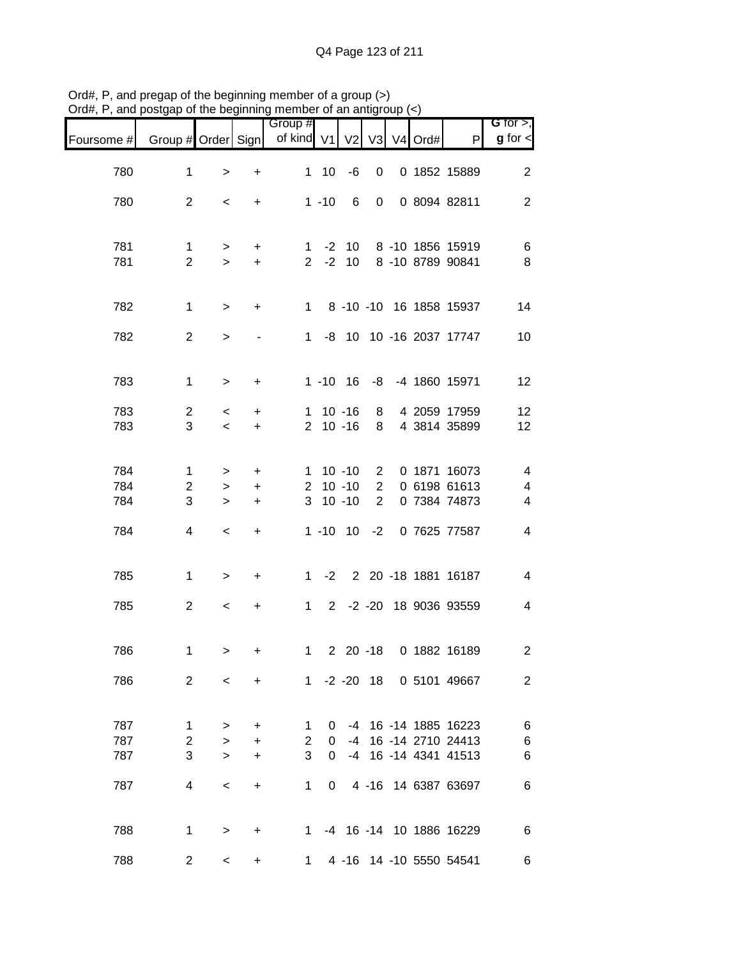|            |                               |                          |                  | Group #                     |              |                |                |                     |                                      | G for $>$ ,              |
|------------|-------------------------------|--------------------------|------------------|-----------------------------|--------------|----------------|----------------|---------------------|--------------------------------------|--------------------------|
| Foursome # | Group # Order Sign            |                          |                  | of kind $V1$                |              | V <sub>2</sub> | V3             | V <sub>4</sub> Ord# | P                                    | $g$ for $\lt$            |
| 780        | 1                             | $\,$                     | $\ddot{}$        | $\mathbf{1}$                | 10           | $-6$           | 0              |                     | 0 1852 15889                         | $\overline{2}$           |
| 780        | $\overline{2}$                | $\,<\,$                  | $\ddot{}$        |                             | $1 - 10$     | 6              | $\mathbf 0$    |                     | 0 8094 82811                         | $\overline{2}$           |
|            |                               |                          |                  |                             |              |                |                |                     |                                      |                          |
| 781<br>781 | $\mathbf 1$<br>$\overline{2}$ | $\,>$<br>$\geq$          | $\ddot{}$<br>$+$ | $\mathbf{1}$<br>$2^{\circ}$ | $-2$<br>$-2$ | 10<br>10       |                |                     | 8 -10 1856 15919<br>8 -10 8789 90841 | 6<br>$\bf 8$             |
|            |                               |                          |                  |                             |              |                |                |                     |                                      |                          |
| 782        | $\mathbf 1$                   | $\geq$                   | $\ddot{}$        | $1 \quad$                   |              |                |                |                     | 8 -10 -10 16 1858 15937              | 14                       |
| 782        | $\overline{2}$                | $\mathbf{L}$             |                  | 1                           |              |                |                |                     | -8 10 10 -16 2037 17747              | 10                       |
| 783        | $\mathbf{1}$                  | $\geq$                   | +                |                             |              | $1 - 10$ 16    | -8             |                     | -4 1860 15971                        | 12                       |
| 783        | $\overline{c}$                | $\,<$                    | +                | $\mathbf 1$                 |              | $10 - 16$      | 8              |                     | 4 2059 17959                         | 12                       |
| 783        | 3                             | $\prec$                  | $\ddot{}$        | $\overline{2}$              |              | $10 - 16$      | 8              |                     | 4 3814 35899                         | 12                       |
| 784        | 1                             | $\, > \,$                | $\ddot{}$        | $\mathbf 1$                 |              | $10 - 10$      | $\overline{2}$ |                     | 0 1871 16073                         | 4                        |
| 784        | $\overline{c}$                | $\,$                     | +                | $\overline{2}$              |              | $10 - 10$      | $\overline{2}$ |                     | 0 6198 61613                         | $\overline{\mathbf{4}}$  |
| 784        | 3                             | $\geq$                   | $\ddot{}$        | 3                           |              | $10 - 10$      | $\overline{2}$ |                     | 0 7384 74873                         | 4                        |
| 784        | 4                             | $\,<$                    | $\ddot{}$        |                             | $1 - 10$     | 10             | $-2$           |                     | 0 7625 77587                         | 4                        |
| 785        | $\mathbf{1}$                  | $\,$                     | +                | $\mathbf{1}$                | $-2$         |                |                |                     | 2 20 -18 1881 16187                  | $\overline{\mathcal{A}}$ |
| 785        | $\overline{2}$                | $\,<$                    | $\ddot{}$        | $\mathbf 1$                 | $2^{\circ}$  |                |                |                     | -2 -20 18 9036 93559                 | 4                        |
|            |                               |                          |                  |                             |              |                |                |                     |                                      |                          |
| 786        | $\mathbf 1$                   | $\geq$                   | +                | $\mathbf 1$                 |              |                |                |                     | 2 20 -18 0 1882 16189                | $\overline{\mathbf{c}}$  |
| 786        | 2                             | $\overline{\phantom{0}}$ | $\ddot{}$        |                             |              |                |                |                     | 1 -2 -20 18 0 5101 49667             | 2                        |
| 787        | 1                             | $\, > \,$                | +                | 1                           | 0            | -4             |                |                     | 16 -14 1885 16223                    | 6                        |
| 787        | $\overline{2}$                | $\geq$                   | $\ddot{}$        | $\overline{2}$              | 0            | -4             |                |                     | 16 -14 2710 24413                    | $\,$ 6 $\,$              |
| 787        | 3                             | $\geq$                   | $\ddot{}$        | 3                           | 0            |                |                |                     | -4 16 -14 4341 41513                 | 6                        |
| 787        | 4                             | $\,<\,$                  | $\ddot{}$        | 1                           | 0            |                |                |                     | 4 -16 14 6387 63697                  | 6                        |
|            |                               |                          |                  |                             |              |                |                |                     |                                      |                          |
| 788        | 1                             | $\geq$                   | $\ddot{}$        | $1 \quad$                   |              |                |                |                     | -4 16 -14 10 1886 16229              | 6                        |
| 788        | $\overline{2}$                | $\,<\,$                  | +                | $1 \quad$                   |              |                |                |                     | 4 -16 14 -10 5550 54541              | 6                        |

Ord#, P, and pregap of the beginning member of a group (>) Ord#, P, and postgap of the beginning member of an antigroup (<)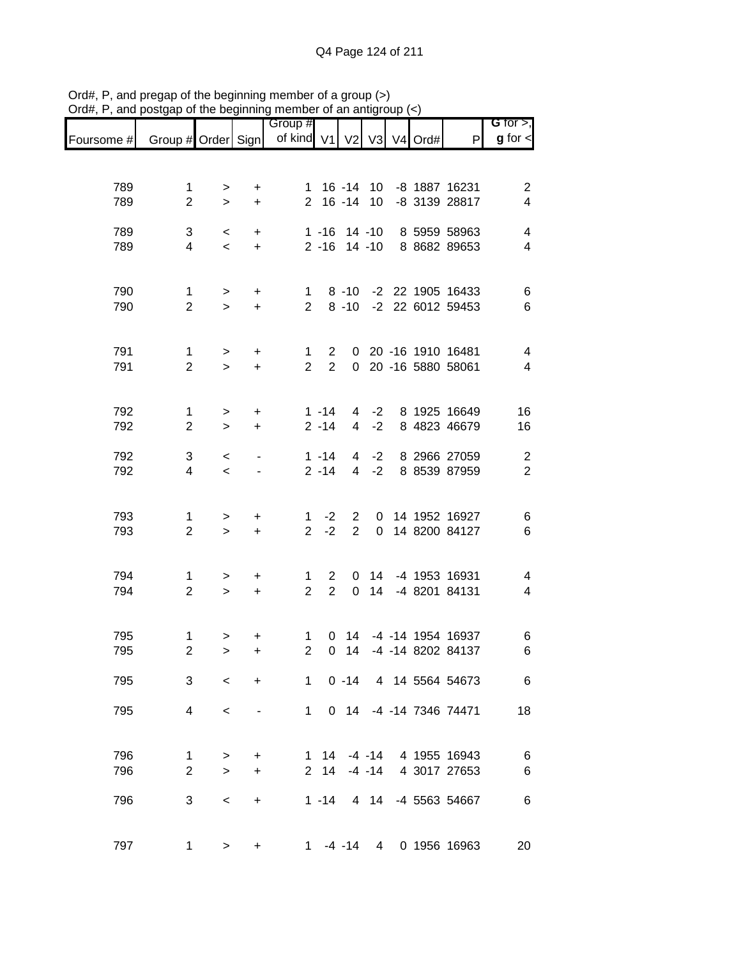|            |                                |                          |                        | Group #                       |                                  |                                  |                  |  |                                            | G for $>$ ,                                |
|------------|--------------------------------|--------------------------|------------------------|-------------------------------|----------------------------------|----------------------------------|------------------|--|--------------------------------------------|--------------------------------------------|
| Foursome # | Group # Order Sign             |                          |                        | of kind V1 V2 V3 V4 Ord#      |                                  |                                  |                  |  | P                                          | $g$ for $\lt$                              |
|            |                                |                          |                        |                               |                                  |                                  |                  |  |                                            |                                            |
| 789        | $\mathbf{1}$                   | $\, > \,$                | $\ddot{}$              |                               | 1 16 -14 10                      |                                  |                  |  | -8 1887 16231                              | $\boldsymbol{2}$                           |
| 789        | $\overline{2}$                 | $\geq$                   | $\ddot{}$              | $\overline{2}$                |                                  | $16 - 14$                        | 10               |  | -8 3139 28817                              | $\overline{\mathbf{4}}$                    |
| 789        | 3                              | $\,<\,$                  | $\ddot{}$              |                               | $1 - 16$                         |                                  | $14 - 10$        |  | 8 5959 58963                               | $\overline{\mathbf{4}}$                    |
| 789        | $\overline{4}$                 | $\prec$                  | $\ddot{}$              |                               | $2 - 16$                         |                                  | $14 - 10$        |  | 8 8682 89653                               | 4                                          |
| 790        | $\mathbf 1$                    | >                        | +                      | 1                             |                                  | $8 - 10$                         |                  |  | -2 22 1905 16433                           | $\,6$                                      |
| 790        | $\overline{2}$                 | $\geq$                   | $\ddot{}$              | $\overline{2}$                |                                  | $8 - 10$                         |                  |  | -2 22 6012 59453                           | $\,6$                                      |
|            |                                |                          |                        |                               |                                  |                                  |                  |  |                                            |                                            |
| 791<br>791 | $\mathbf{1}$<br>$\overline{2}$ | $\,$<br>$\geq$           | $\ddot{}$<br>$\ddot{}$ | $\mathbf 1$<br>$\overline{2}$ | $\overline{2}$<br>$\overline{2}$ |                                  |                  |  | 0 20 -16 1910 16481<br>0 20 -16 5880 58061 | $\overline{\mathcal{A}}$<br>$\overline{4}$ |
|            |                                |                          |                        |                               |                                  |                                  |                  |  |                                            |                                            |
| 792        | $\mathbf{1}$                   | $\,>$                    | +                      |                               | $1 - 14$                         |                                  | $4 -2$           |  | 8 1925 16649                               | 16                                         |
| 792        | $\overline{2}$                 | $\geq$                   | $\ddot{}$              |                               | $2 - 14$                         | $\overline{4}$                   | $-2$             |  | 8 4823 46679                               | 16                                         |
| 792        | 3                              | $\,<$                    |                        |                               | $1 - 14$                         | $\overline{4}$                   | $-2$             |  | 8 2966 27059                               | $\overline{c}$                             |
| 792        | $\overline{4}$                 | $\prec$                  |                        |                               | $2 - 14$                         | $\overline{4}$                   | $-2$             |  | 8 8539 87959                               | $\overline{2}$                             |
| 793        |                                |                          |                        |                               | $-2$                             |                                  |                  |  | 14 1952 16927                              |                                            |
| 793        | $\mathbf{1}$<br>$\overline{2}$ | $\, > \,$<br>$\geq$      | +<br>$\ddot{}$         | 1<br>$\overline{2}$           | $-2$                             | $\overline{2}$<br>$\overline{2}$ | 0<br>$\mathbf 0$ |  | 14 8200 84127                              | 6<br>$\,6$                                 |
|            |                                |                          |                        |                               |                                  |                                  |                  |  |                                            |                                            |
| 794        | 1                              | >                        | +                      | 1                             | $\overline{2}$                   | 0                                | 14               |  | -4 1953 16931                              | 4                                          |
| 794        | $\overline{2}$                 | $\geq$                   | $\ddot{}$              | $\overline{2}$                | $\overline{2}$                   | $\mathbf 0$                      | 14               |  | -4 8201 84131                              | $\overline{\mathbf{4}}$                    |
| 795        | 1                              | >                        | +                      | 1                             | 0                                | 14                               |                  |  | -4 -14 1954 16937                          | 6                                          |
| 795        | $\overline{2}$                 | $\mathbf{L}$             | $\ddot{}$              | $\overline{2}$                | 0                                | 14                               |                  |  | -4 -14 8202 84137                          | 6                                          |
| 795        | 3                              | $\overline{\phantom{0}}$ | $\ddot{}$              |                               | $1 \quad$                        | $0 - 14$                         |                  |  | 4 14 5564 54673                            | $\,6$                                      |
| 795        | $\overline{4}$                 | $\,<\,$                  |                        |                               | $1 \quad$                        |                                  |                  |  | 0 14 -4 -14 7346 74471                     | 18                                         |
|            |                                |                          |                        |                               |                                  |                                  |                  |  |                                            |                                            |
| 796        | $\mathbf{1}$                   | $\, >$                   | +                      |                               | $1 \quad 14$                     |                                  | $-4 - 14$        |  | 4 1955 16943                               | $\,6$                                      |
| 796        | $\overline{2}$                 | $\geq$                   | $\ddot{}$              | 2                             | 14                               |                                  | $-4 - 14$        |  | 4 3017 27653                               | $\,6$                                      |
| 796        | 3                              | $\,<$                    | $\ddot{}$              |                               | $1 - 14$                         |                                  | 4 14             |  | -4 5563 54667                              | $\,6$                                      |
|            |                                |                          |                        |                               |                                  |                                  |                  |  |                                            |                                            |
| 797        | 1                              | $\, >$                   | +                      | $1 \quad$                     |                                  | $-4 - 14$                        | $\overline{4}$   |  | 0 1956 16963                               | 20                                         |

Ord#, P, and pregap of the beginning member of a group (>) Ord#, P, and postgap of the beginning member of an antigroup (<)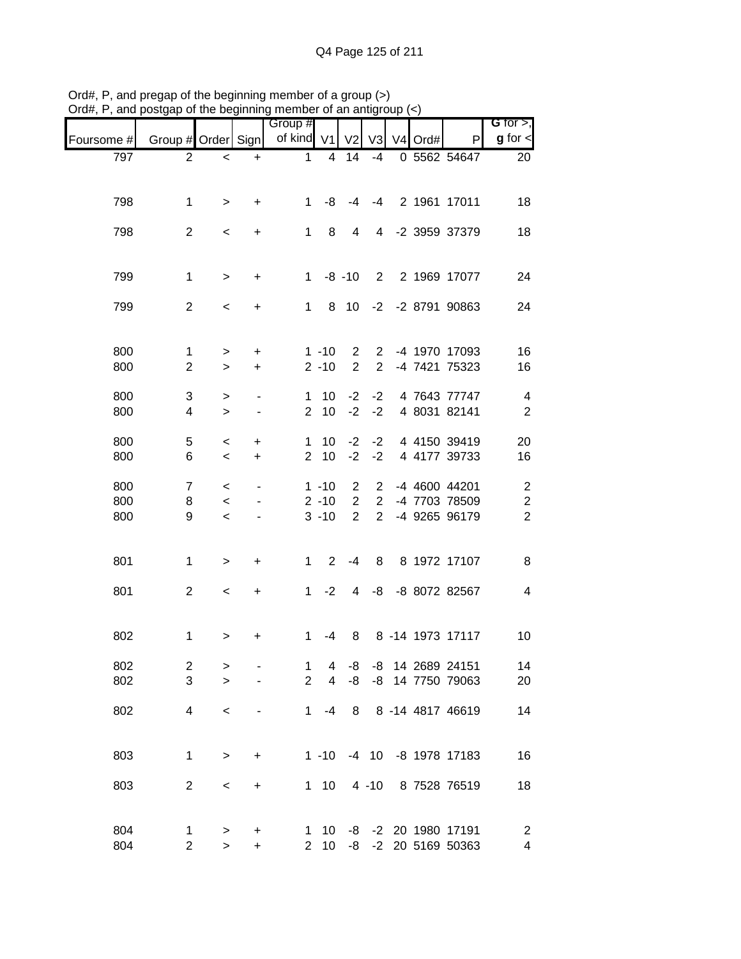|            |                         |                |           | Group #        |                      |                                  |                                  |           |                                | G for $>$ ,                        |
|------------|-------------------------|----------------|-----------|----------------|----------------------|----------------------------------|----------------------------------|-----------|--------------------------------|------------------------------------|
| Foursome # | Group # Order Sign      |                |           | of kind V1     |                      | V <sub>2</sub>                   | V <sub>3</sub>                   | $V4$ Ord# | P                              | $g$ for $\lt$                      |
| 797        | 2                       | $\,<$          | $\ddot{}$ | $\mathbf 1$    | 4                    | 14                               | $-4$                             |           | $0$ 5562 54647                 | 20                                 |
|            |                         |                |           |                |                      |                                  |                                  |           |                                |                                    |
| 798        | $\mathbf 1$             | $\, > \,$      | +         | $\mathbf 1$    | -8                   | -4                               | $-4$                             |           | 2 1961 17011                   | 18                                 |
|            |                         |                |           |                |                      |                                  |                                  |           |                                |                                    |
| 798        | $\overline{2}$          | $\,<$          | +         | $\mathbf 1$    | 8                    | 4                                | 4                                |           | -2 3959 37379                  | 18                                 |
|            |                         |                |           |                |                      |                                  |                                  |           |                                |                                    |
| 799        | $\mathbf 1$             | $\geq$         | $\ddot{}$ | $\mathbf{1}$   |                      | $-8 - 10$                        | $2^{\circ}$                      |           | 2 1969 17077                   | 24                                 |
|            |                         |                |           |                |                      |                                  |                                  |           |                                |                                    |
| 799        | $\overline{2}$          | $\,<$          | +         | 1              | 8                    | 10                               | $-2$                             |           | -2 8791 90863                  | 24                                 |
|            |                         |                |           |                |                      |                                  |                                  |           |                                |                                    |
| 800        | $\mathbf{1}$            | $\, > \,$      | +         |                | $1 - 10$             | $\overline{2}$                   | $\overline{2}$                   |           | -4 1970 17093                  | 16                                 |
| 800        | $\mathbf{2}$            | $\geq$         | $\ddot{}$ |                | $2 - 10$             | $\overline{2}$                   | $\overline{2}$                   |           | -4 7421 75323                  | 16                                 |
| 800        | $\sqrt{3}$              | $\,$           |           | 1              | 10                   | $-2$                             | $-2$                             |           | 4 7643 77747                   | $\overline{\mathbf{4}}$            |
| 800        | 4                       | $\geq$         |           | $\overline{2}$ | 10                   | $-2$                             | $-2$                             |           | 4 8031 82141                   | $\sqrt{2}$                         |
| 800        | 5                       | $\,<$          | +         | 1              | 10                   | $-2$                             | $-2$                             |           | 4 4150 39419                   | 20                                 |
| 800        | 6                       | $\,<$          | +         | $\overline{2}$ | 10                   | $-2$                             | $-2$                             |           | 4 4177 39733                   | 16                                 |
|            |                         |                |           |                |                      |                                  |                                  |           |                                |                                    |
| 800<br>800 | $\overline{7}$          | $\,<$          |           |                | $1 - 10$<br>$2 - 10$ | $\overline{c}$<br>$\overline{2}$ | $\overline{2}$<br>$\overline{2}$ |           | -4 4600 44201<br>-4 7703 78509 | $\overline{c}$                     |
| 800        | 8<br>9                  | $\,<$<br>$\,<$ |           |                | $3 - 10$             | $\overline{2}$                   | $\overline{2}$                   |           | -4 9265 96179                  | $\boldsymbol{2}$<br>$\overline{c}$ |
|            |                         |                |           |                |                      |                                  |                                  |           |                                |                                    |
|            |                         |                |           |                |                      |                                  |                                  |           |                                |                                    |
| 801        | $\mathbf 1$             | $\geq$         | +         | 1              | $\overline{2}$       | $-4$                             | 8                                |           | 8 1972 17107                   | 8                                  |
| 801        | $\overline{2}$          | $\,<$          | +         | $\mathbf{1}$   | $-2$                 | 4                                | -8                               |           | -8 8072 82567                  | $\overline{4}$                     |
|            |                         |                |           |                |                      |                                  |                                  |           |                                |                                    |
| 802        | 1                       |                | +         | 1              | -4                   | 8                                |                                  |           | 8 -14 1973 17117               | 10                                 |
|            |                         | >              |           |                |                      |                                  |                                  |           |                                |                                    |
| 802        | $\overline{\mathbf{c}}$ | >              |           | 1              | 4                    | -8                               | -8                               |           | 14 2689 24151                  | 14                                 |
| 802        | 3                       | $\geq$         |           | $\overline{2}$ | $\overline{4}$       | -8                               | -8                               |           | 14 7750 79063                  | 20                                 |
| 802        | 4                       | $\,<$          |           | 1              | -4                   | 8                                |                                  |           | 8 -14 4817 46619               | 14                                 |
|            |                         |                |           |                |                      |                                  |                                  |           |                                |                                    |
|            |                         |                |           |                |                      |                                  |                                  |           | -4 10 -8 1978 17183            |                                    |
| 803        | 1                       | $\,>$          | +         |                | $1 - 10$             |                                  |                                  |           |                                | 16                                 |
| 803        | $\mathbf{2}$            | $\,<$          | $\ddot{}$ |                | $1 10$               |                                  | $4 - 10$                         |           | 8 7528 76519                   | 18                                 |
|            |                         |                |           |                |                      |                                  |                                  |           |                                |                                    |
| 804        | 1                       | $\,$           | +         | 1              | 10                   |                                  |                                  |           | -8 -2 20 1980 17191            | $\overline{c}$                     |
| 804        | $\overline{c}$          | $\mathbf{L}$   | $\ddot{}$ | $\overline{2}$ | 10                   | -8                               |                                  |           | -2 20 5169 50363               | $\overline{\mathbf{4}}$            |

Ord#, P, and pregap of the beginning member of a group (>) Ord#, P, and postgap of the beginning member of an antigroup (<)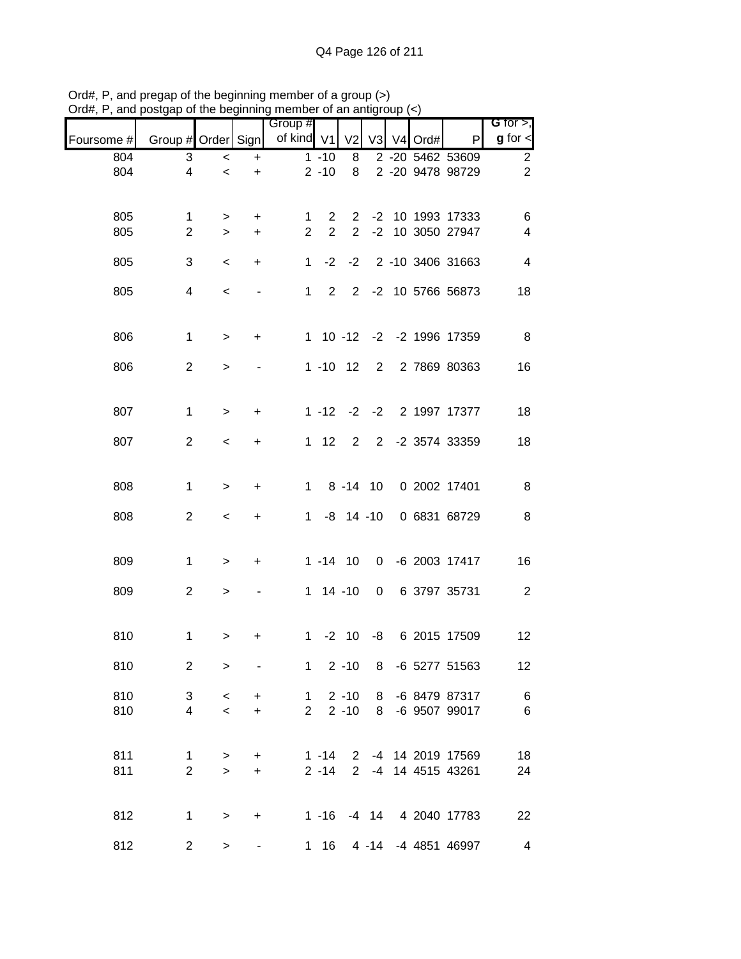| G for $>$ ,             |                           |      |                |                |                       |                       | Group #        |           |           |                |            |
|-------------------------|---------------------------|------|----------------|----------------|-----------------------|-----------------------|----------------|-----------|-----------|----------------|------------|
| $g$ for $\lt$           | P                         | Ord# | V <sub>4</sub> | V <sub>3</sub> | V <sub>2</sub>        |                       | of kind V1     | Sign      |           | Group # Order  | Foursome # |
| $\overline{c}$          | 2 -20 5462 53609          |      |                |                | 8                     | $1 - 10$              |                | $\ddot{}$ | $\,<$     | 3              | 804        |
| $\overline{2}$          | 2 -20 9478 98729          |      |                |                | 8                     | $2 - 10$              |                | $\ddot{}$ | $\prec$   | $\overline{4}$ | 804        |
|                         |                           |      |                |                |                       |                       |                |           |           |                |            |
| 6                       | 10 1993 17333             |      |                | $-2$           | $\mathbf{2}^{\prime}$ | $\overline{2}$        | 1.             | $\ddot{}$ | >         | 1              | 805        |
| $\overline{\mathbf{4}}$ | -2 10 3050 27947          |      |                |                | $\overline{2}$        | $\overline{2}$        | $\overline{2}$ | +         | $\geq$    | $\overline{2}$ | 805        |
| $\overline{4}$          | 2 -10 3406 31663          |      |                |                | $-2 -2$               |                       | $\mathbf{1}$   | +         | $\,<\,$   | 3              | 805        |
|                         |                           |      |                |                |                       |                       |                |           |           |                |            |
| 18                      | 2 -2 10 5766 56873        |      |                |                |                       | $2^{\circ}$           | $1 \quad$      |           | $\,<\,$   | 4              | 805        |
|                         |                           |      |                |                |                       |                       |                |           |           |                |            |
| 8                       | 1 10 -12 -2 -2 1996 17359 |      |                |                |                       |                       |                | $\ddot{}$ | $\geq$    | $\mathbf{1}$   | 806        |
|                         |                           |      |                | $2^{\circ}$    |                       | $1 - 10$ 12           |                |           |           |                |            |
| 16                      | 2 7869 80363              |      |                |                |                       |                       |                |           | $\, > \,$ | 2              | 806        |
|                         |                           |      |                |                |                       |                       |                |           |           |                |            |
| 18                      | -2 -2 2 1997 17377        |      |                |                |                       | $1 - 12$              |                | $\ddot{}$ | $\, > \,$ | $\mathbf 1$    | 807        |
| 18                      | -2 3574 33359             |      |                | $\overline{2}$ | $\overline{2}$        | $1 \quad 12$          |                | +         | $\,<\,$   | $\overline{2}$ | 807        |
|                         |                           |      |                |                |                       |                       |                |           |           |                |            |
|                         |                           |      |                |                |                       |                       |                |           |           |                |            |
| 8                       | 0 2002 17401              |      |                |                | $8 - 14 10$           | $1 \quad$             |                | +         | $\, > \,$ | $\mathbf{1}$   | 808        |
| $\, 8$                  | 0 6831 68729              |      |                |                | $-8$ 14 $-10$         |                       | $\mathbf{1}$   | +         | $\,<\,$   | $\overline{2}$ | 808        |
|                         |                           |      |                |                |                       |                       |                |           |           |                |            |
| 16                      | 0 -6 2003 17417           |      |                |                |                       | $1 - 14$ 10           |                | +         | $\, > \,$ | 1              | 809        |
|                         |                           |      |                |                |                       |                       |                |           |           |                |            |
| $\overline{2}$          | 6 3797 35731              |      |                | $\overline{0}$ |                       | $1 14 - 10$           |                |           | $\,>$     | $\overline{2}$ | 809        |
|                         |                           |      |                |                |                       |                       |                |           |           |                |            |
| 12                      | 6 2015 17509              |      |                | -8             | 10                    | $-2$                  | $1 \quad$      | +         | >         | 1              | 810        |
|                         |                           |      |                |                |                       |                       |                |           |           |                |            |
| 12 <sub>2</sub>         | 8 -6 5277 51563           |      |                |                |                       | $1 \quad 2 \quad -10$ |                |           | $\, > \,$ | $\overline{2}$ | 810        |
| $\,6\,$                 | 8 -6 8479 87317           |      |                |                | $2 - 10$              |                       | $\mathbf{1}$   | +         | $\,<$     | 3              | 810        |
| $\,6$                   | 8 -6 9507 99017           |      |                |                | $2 - 10$              |                       | 2 <sup>7</sup> | $\ddot{}$ | $\prec$   | $\overline{4}$ | 810        |
|                         |                           |      |                |                |                       |                       |                |           |           |                |            |
| 18                      | 2 -4 14 2019 17569        |      |                |                |                       | $1 - 14$              |                | $\ddot{}$ | $\,>$     | 1              | 811        |
| 24                      | 2 -4 14 4515 43261        |      |                |                |                       | $2 - 14$              |                | $\ddot{}$ | $\geq$    | $\overline{2}$ | 811        |
|                         |                           |      |                |                |                       |                       |                |           |           |                |            |
| 22                      | 1 -16 -4 14 4 2040 17783  |      |                |                |                       |                       |                | $\ddot{}$ | $\,>$     | 1              | 812        |
|                         |                           |      |                |                |                       |                       |                |           |           |                |            |
| $\overline{4}$          | 1 16 4 -14 -4 4851 46997  |      |                |                |                       |                       |                |           | $\,>$     | $\overline{2}$ | 812        |

Ord#, P, and pregap of the beginning member of a group (>) Ord#, P, and postgap of the beginning member of an antigroup (<)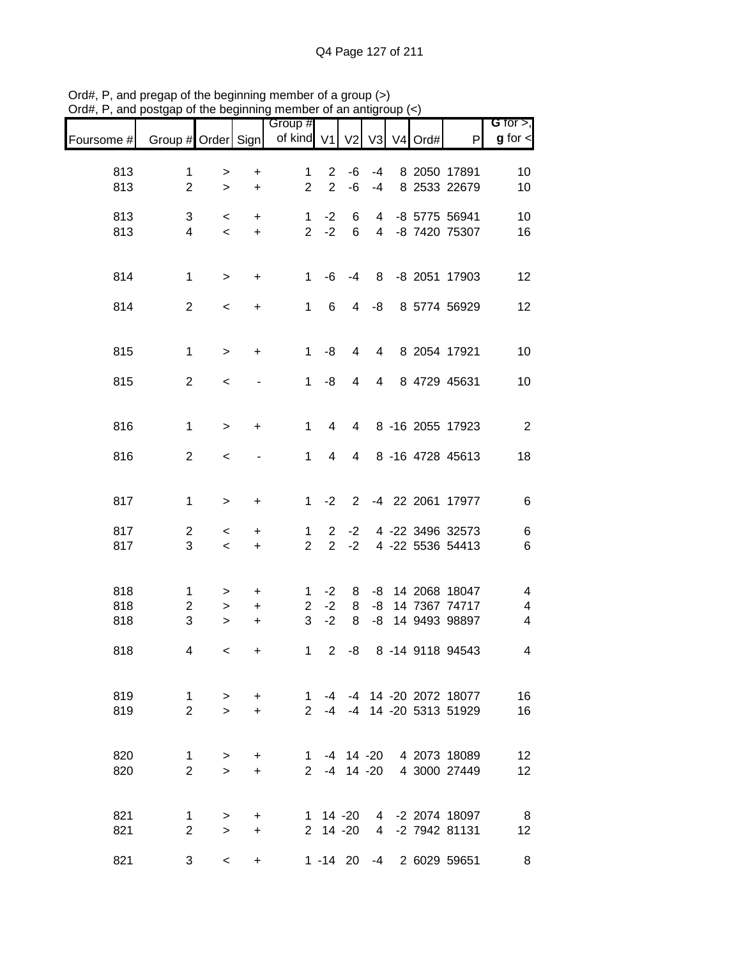| Foursome # | Group # Order Sign             |                        |                        | Group #<br>of kind V1          |                                  |              |                     | V2 V3 V4 Ord# | P                                                      | G for $>$ ,<br>$g$ for $\lt$ |
|------------|--------------------------------|------------------------|------------------------|--------------------------------|----------------------------------|--------------|---------------------|---------------|--------------------------------------------------------|------------------------------|
| 813        | $\mathbf{1}$                   | >                      | +                      | $\mathbf 1$                    | $\overline{2}$                   | -6           | $-4$                |               | 8 2050 17891                                           | 10                           |
| 813        | $\overline{2}$                 | $\geq$                 | $\ddot{}$              | $\overline{2}$                 | $\overline{2}$                   | $-6$         | $-4$                |               | 8 2533 22679                                           | 10                           |
| 813<br>813 | 3<br>$\overline{\mathbf{4}}$   | $\,<\,$<br>$\,<$       | +<br>$\ddot{}$         | $\mathbf{1}$<br>$\overline{2}$ | $-2$<br>$-2$                     | 6<br>6       | 4<br>$\overline{4}$ |               | -8 5775 56941<br>-8 7420 75307                         | 10<br>16                     |
| 814        | $\mathbf 1$                    | $\,>$                  | +                      | 1                              | -6                               | $-4$         | 8                   |               | -8 2051 17903                                          | 12                           |
| 814        | $\overline{c}$                 | $\,<$                  | +                      | $\mathbf{1}$                   | 6                                | 4            | -8                  |               | 8 5774 56929                                           | 12                           |
| 815        | $\mathbf{1}$                   | $\,$                   | $\ddot{}$              | 1                              | -8                               | 4            | 4                   |               | 8 2054 17921                                           | 10                           |
| 815        | $\overline{2}$                 | $\,<$                  |                        | $\mathbf{1}$                   | -8                               | 4            | 4                   |               | 8 4729 45631                                           | 10                           |
| 816        | $\mathbf{1}$                   | $\geq$                 | $\ddot{}$              | $\mathbf{1}$                   | 4                                | 4            |                     |               | 8 -16 2055 17923                                       | $\overline{2}$               |
| 816        | $\overline{2}$                 | $\,<$                  |                        | 1                              | 4                                | 4            |                     |               | 8 -16 4728 45613                                       | 18                           |
| 817        | $\mathbf 1$                    | $\,>$                  | +                      | 1                              | $-2$                             | 2            |                     |               | -4 22 2061 17977                                       | $6\phantom{1}6$              |
| 817<br>817 | $\overline{c}$<br>3            | $\,<$<br>$\,<$         | +<br>+                 | 1<br>$\overline{2}$            | $\overline{2}$<br>$\overline{2}$ | $-2$<br>$-2$ |                     |               | 4 -22 3496 32573<br>4 -22 5536 54413                   | 6<br>$6\phantom{1}6$         |
| 818        | 1                              | >                      | $\ddot{}$              | 1                              | $-2$                             | 8            | -8                  |               | 14 2068 18047                                          | 4                            |
| 818<br>818 | $\overline{c}$<br>3            | $\, > \,$<br>$\, > \,$ | $\ddot{}$<br>+         | $\overline{2}$<br>3            | $-2$<br>$-2$                     | 8<br>8       | -8<br>-8            |               | 14 7367 74717<br>14 9493 98897                         | 4<br>4                       |
| 818        | 4                              | $\,<\,$                | $\ddot{}$              | 1                              | 2                                | -8           |                     |               | 8 -14 9118 94543                                       | 4                            |
| 819<br>819 | $\mathbf{1}$<br>$\overline{2}$ | $\geq$<br>$\geq$       | $+$<br>$+$             |                                |                                  |              |                     |               | 1 -4 -4 14 -20 2072 18077<br>2 -4 -4 14 -20 5313 51929 | 16<br>16                     |
|            |                                |                        |                        |                                |                                  |              |                     |               |                                                        |                              |
| 820<br>820 | $\mathbf{1}$<br>$\overline{2}$ | $\, > \,$<br>$\geq$    | +<br>$\ddot{}$         |                                |                                  |              |                     |               | 1 -4 14 -20 4 2073 18089<br>2 -4 14 -20 4 3000 27449   | 12<br>12                     |
| 821<br>821 | 1<br>$\overline{2}$            | $\, > \,$<br>$\geq$    | $\ddot{}$<br>$\ddot{}$ |                                | $1 14 - 20$<br>2 14 -20          |              |                     |               | 4 -2 2074 18097<br>4 -2 7942 81131                     | $_{\rm 8}$<br>12             |
| 821        | 3                              | $\,<\,$                | $\ddot{}$              |                                |                                  |              |                     |               | 1 -14 20 -4 2 6029 59651                               | 8                            |

Ord#, P, and pregap of the beginning member of a group (>) Ord#, P, and postgap of the beginning member of an antigroup (<)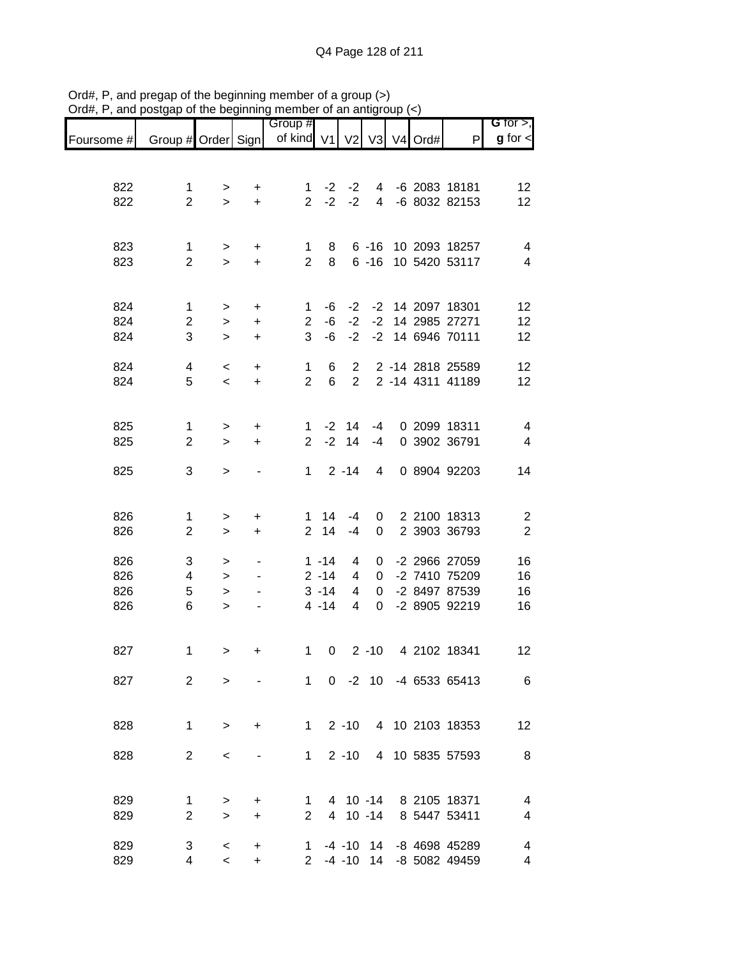|            |                               |                     |                        | Group #             |          |                       |                      |               |                                      | G for $>$ ,                               |
|------------|-------------------------------|---------------------|------------------------|---------------------|----------|-----------------------|----------------------|---------------|--------------------------------------|-------------------------------------------|
| Foursome # | Group # Order Sign            |                     |                        | of kind $V1$        |          |                       |                      | V2 V3 V4 Ord# | P                                    | $g$ for $\lt$                             |
|            |                               |                     |                        |                     |          |                       |                      |               |                                      |                                           |
| 822        | $\mathbf{1}$                  |                     | +                      | 1                   | $-2$     | $-2$                  | $\overline{4}$       |               | -6 2083 18181                        | 12                                        |
| 822        | $\overline{2}$                | ><br>$\geq$         | $\ddot{}$              | $\overline{2}$      | $-2$     | $-2$                  | $\overline{4}$       |               | -6 8032 82153                        | 12                                        |
|            |                               |                     |                        |                     |          |                       |                      |               |                                      |                                           |
|            |                               |                     |                        |                     |          |                       |                      |               |                                      |                                           |
| 823<br>823 | $\mathbf 1$<br>$\overline{2}$ | ><br>$\geq$         | +<br>$\ddot{}$         | 1<br>$\overline{2}$ | 8<br>8   |                       | $6 - 16$<br>$6 - 16$ |               | 10 2093 18257<br>10 5420 53117       | $\overline{\mathbf{4}}$<br>$\overline{4}$ |
|            |                               |                     |                        |                     |          |                       |                      |               |                                      |                                           |
|            |                               |                     |                        |                     |          |                       |                      |               |                                      |                                           |
| 824        | 1                             | >                   | $\ddot{}$              | 1                   | -6       | $-2$                  |                      |               | -2 14 2097 18301                     | 12                                        |
| 824<br>824 | $\overline{c}$<br>3           | $\, > \,$<br>$\geq$ | $\ddot{}$<br>$\ddot{}$ | $\overline{2}$<br>3 | -6<br>-6 | $-2$<br>$-2$          |                      |               | -2 14 2985 27271<br>-2 14 6946 70111 | 12<br>12                                  |
|            |                               |                     |                        |                     |          |                       |                      |               |                                      |                                           |
| 824        | 4                             | $\,<\,$             | $\ddot{}$              | 1                   | 6        | $\overline{2}$        |                      |               | 2 -14 2818 25589                     | 12                                        |
| 824        | 5                             | $\prec$             | $\ddot{}$              | $\overline{2}$      | 6        | $\overline{2}$        |                      |               | 2 -14 4311 41189                     | 12                                        |
|            |                               |                     |                        |                     |          |                       |                      |               |                                      |                                           |
| 825        | $\mathbf{1}$                  | >                   | $\ddot{}$              | $\mathbf{1}$        |          | $-2$ 14               | -4                   |               | 0 2099 18311                         | $\overline{4}$                            |
| 825        | $\overline{2}$                | $\geq$              | $\ddot{}$              | $\overline{2}$      | $-2$     | 14                    | $-4$                 |               | 0 3902 36791                         | $\overline{4}$                            |
| 825        | 3                             |                     |                        | 1                   |          | $2 - 14$              | 4                    |               | 0 8904 92203                         | 14                                        |
|            |                               | >                   |                        |                     |          |                       |                      |               |                                      |                                           |
|            |                               |                     |                        |                     |          |                       |                      |               |                                      |                                           |
| 826        | $\mathbf{1}$                  | >                   | $\ddot{}$              | 1.                  | 14       | $-4$                  | 0                    |               | 2 2100 18313                         | $\overline{c}$                            |
| 826        | $\overline{2}$                | $\, > \,$           | +                      | $\overline{2}$      | 14       | $-4$                  | 0                    |               | 2 3903 36793                         | $\overline{2}$                            |
| 826        | 3                             | >                   |                        |                     | $1 - 14$ | 4                     | 0                    |               | -2 2966 27059                        | 16                                        |
| 826        | 4                             | $\, > \,$           |                        |                     | $2 - 14$ | 4                     | 0                    |               | -2 7410 75209                        | 16                                        |
| 826        | 5                             | $\, > \,$           |                        |                     | $3 - 14$ | 4                     | 0                    |               | -2 8497 87539                        | 16                                        |
| 826        | 6                             | $\geq$              |                        |                     | $4 - 14$ | 4                     | 0                    |               | -2 8905 92219                        | 16                                        |
|            |                               |                     |                        |                     |          |                       |                      |               |                                      |                                           |
| 827        | 1                             | >                   | +                      | 1                   | 0        |                       | $2 - 10$             |               | 4 2102 18341                         | 12                                        |
|            |                               |                     |                        |                     |          |                       |                      |               |                                      |                                           |
| 827        | $\overline{2}$                | $\geq$              |                        |                     |          |                       |                      |               | 1 0 -2 10 -4 6533 65413              | 6                                         |
|            |                               |                     |                        |                     |          |                       |                      |               |                                      |                                           |
| 828        | $\mathbf{1}$                  | $\geq$              | $\ddot{}$              |                     |          | $1 \quad 2 \quad -10$ |                      |               | 4 10 2103 18353                      | 12                                        |
|            |                               |                     |                        |                     |          |                       |                      |               |                                      |                                           |
| 828        | $\overline{2}$                | $\,<\,$             |                        | $1 \quad$           |          | $2 - 10$              |                      |               | 4 10 5835 57593                      | 8                                         |
|            |                               |                     |                        |                     |          |                       |                      |               |                                      |                                           |
| 829        | 1                             | >                   | $\ddot{}$              | 1                   |          |                       |                      |               | 4 10 -14 8 2105 18371                | 4                                         |
| 829        | $\overline{2}$                | $\geq$              | $\ddot{}$              | $\overline{2}$      |          |                       |                      |               | 4 10 -14 8 5447 53411                | 4                                         |
| 829        | 3                             | $\,<\,$             | $\ddot{}$              |                     |          |                       |                      |               | 1 -4 -10 14 -8 4698 45289            | 4                                         |
| 829        | 4                             | $\prec$             | $\ddot{}$              |                     |          |                       |                      |               | 2 -4 -10 14 -8 5082 49459            | 4                                         |

Ord#, P, and pregap of the beginning member of a group (>) Ord#, P, and postgap of the beginning member of an antigroup (<)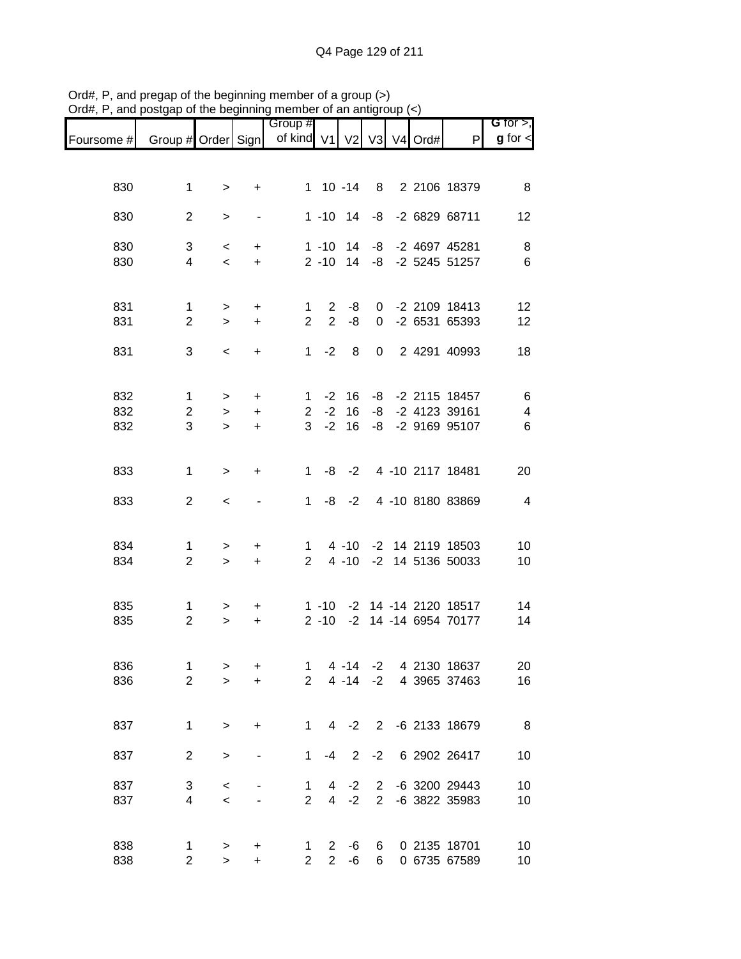|            |                                |                     |                                  | Group #                       |                                |                      |                                |         |                                      | G for $>$ ,             |
|------------|--------------------------------|---------------------|----------------------------------|-------------------------------|--------------------------------|----------------------|--------------------------------|---------|--------------------------------------|-------------------------|
| Foursome # | Group # Order Sign             |                     |                                  | of kind V1 V2                 |                                |                      | V3                             | V4 Ord# | P                                    | $g$ for $\lt$           |
|            |                                |                     |                                  |                               |                                |                      |                                |         |                                      |                         |
| 830        | $\mathbf 1$                    | >                   | $\ddot{}$                        |                               | $1 10 - 14$                    |                      |                                |         | 8 2 2106 18379                       | 8                       |
|            |                                |                     |                                  |                               |                                |                      |                                |         |                                      |                         |
| 830        | $\overline{2}$                 | $\, > \,$           | $\qquad \qquad \blacksquare$     |                               |                                | $1 - 10$ 14          |                                |         | -8 -2 6829 68711                     | 12                      |
| 830        | 3                              | $\,<$               | $\ddot{}$                        |                               | $1 - 10$                       | 14                   | -8                             |         | -2 4697 45281                        | 8                       |
| 830        | 4                              | $\,<\,$             | $\ddot{}$                        |                               | $2 - 10$ 14                    |                      | -8                             |         | -2 5245 51257                        | $6\phantom{1}6$         |
|            |                                |                     |                                  |                               |                                |                      |                                |         |                                      |                         |
| 831<br>831 | $\mathbf{1}$<br>$\overline{2}$ | $\, >$<br>$\geq$    | $\ddot{}$<br>$\ddot{}$           | 1<br>$\overline{2}$           | $\mathbf{2}$<br>$\overline{2}$ | -8<br>-8             | 0<br>0                         |         | -2 2109 18413<br>-2 6531 65393       | 12<br>12                |
|            |                                |                     |                                  |                               |                                |                      |                                |         |                                      |                         |
| 831        | 3                              | $\,<$               | $\ddot{}$                        | $\mathbf{1}$                  | $-2$                           | 8                    | 0                              |         | 2 4291 40993                         | 18                      |
|            |                                |                     |                                  |                               |                                |                      |                                |         |                                      |                         |
| 832<br>832 | $\mathbf{1}$<br>$\overline{2}$ | $\, >$              | $\ddot{}$                        | $\mathbf 1$<br>$\overline{2}$ | $-2$<br>$-2$                   | 16<br>16             | -8<br>-8                       |         | -2 2115 18457<br>-2 4123 39161       | $\,6$<br>$\overline{4}$ |
| 832        | 3                              | $\geq$<br>$\geq$    | $\ddot{}$<br>$\ddot{}$           | 3                             | $-2$                           | 16                   | -8                             |         | -2 9169 95107                        | 6                       |
|            |                                |                     |                                  |                               |                                |                      |                                |         |                                      |                         |
| 833        | 1                              | $\geq$              | $\ddot{}$                        | $\mathbf{1}$                  | -8                             | $-2$                 |                                |         | 4 -10 2117 18481                     | 20                      |
|            |                                |                     |                                  |                               |                                |                      |                                |         |                                      |                         |
| 833        | $\overline{2}$                 | $\,<$               |                                  | $\mathbf 1$                   | -8                             | $-2$                 |                                |         | 4 -10 8180 83869                     | $\overline{4}$          |
|            |                                |                     |                                  |                               |                                |                      |                                |         |                                      |                         |
| 834<br>834 | 1<br>$\overline{2}$            | $\, > \,$<br>$\geq$ | $\ddot{}$<br>$\ddot{}$           | 1<br>$\overline{2}$           |                                | $4 - 10$<br>$4 - 10$ |                                |         | -2 14 2119 18503<br>-2 14 5136 50033 | 10<br>10                |
|            |                                |                     |                                  |                               |                                |                      |                                |         |                                      |                         |
| 835        | $\mathbf{1}$                   |                     | $\ddot{}$                        |                               | $1 - 10$                       |                      |                                |         | -2 14 -14 2120 18517                 | 14                      |
| 835        | $\overline{2}$                 | ><br>$\geq$         | $\begin{array}{c} + \end{array}$ |                               | $2 - 10$                       | $-2$                 |                                |         | 14 -14 6954 70177                    | 14                      |
|            |                                |                     |                                  |                               |                                |                      |                                |         |                                      |                         |
| 836        | $\mathbf 1$                    | >                   | +                                | 1                             |                                | $4 - 14$             | $-2$                           |         | 4 2130 18637                         | 20                      |
| 836        | $\overline{2}$                 | $\geq$              | $\ddot{}$                        | $\overline{2}$                |                                | $4 - 14$             | $-2$                           |         | 4 3965 37463                         | 16                      |
|            |                                |                     |                                  |                               |                                |                      |                                |         |                                      |                         |
| 837        | $\mathbf{1}$                   | $\mathbf{L}$        | +                                | 1                             | 4                              | $-2$                 | 2                              |         | -6 2133 18679                        | 8                       |
| 837        | $\overline{2}$                 | $\,>$               |                                  | 1                             | $-4$                           | $\overline{2}$       | $-2$                           |         | 6 2902 26417                         | 10                      |
|            |                                |                     |                                  |                               |                                |                      |                                |         |                                      |                         |
| 837<br>837 | 3<br>4                         | $\,<$<br>$\prec$    |                                  | 1<br>$\overline{2}$           | 4<br>4                         | $-2$<br>$-2$         | $\mathbf{2}$<br>$\overline{2}$ |         | -6 3200 29443<br>-6 3822 35983       | 10<br>10                |
|            |                                |                     |                                  |                               |                                |                      |                                |         |                                      |                         |
| 838        | 1                              | $\,$                | +                                | 1                             | $\overline{2}$                 | -6                   | 6                              |         | 0 2135 18701                         | 10                      |
| 838        | $\overline{2}$                 | $\, >$              | +                                | $\overline{2}$                | $\overline{2}$                 | $-6$                 | 6                              |         | 0 6735 67589                         | 10                      |

Ord#, P, and pregap of the beginning member of a group (>) Ord#, P, and postgap of the beginning member of an antigroup (<)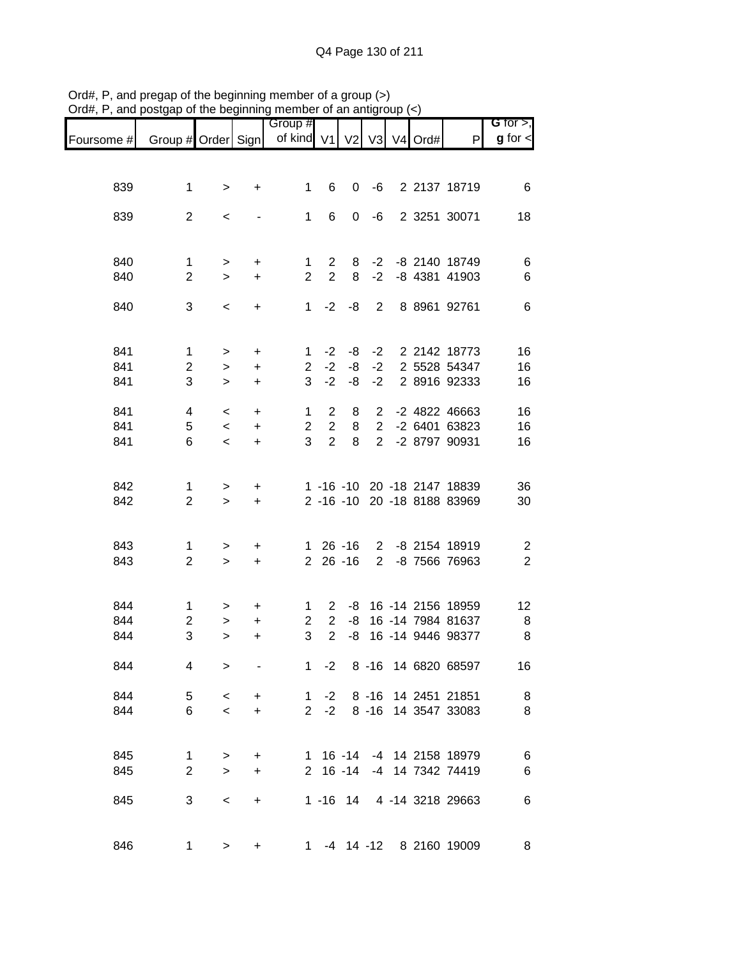| G for $>$ ,    |                                                    |               |                                  |           |                                  | Group #             |                |                     |                                |            |
|----------------|----------------------------------------------------|---------------|----------------------------------|-----------|----------------------------------|---------------------|----------------|---------------------|--------------------------------|------------|
| $g$ for $\lt$  | P                                                  | V2 V3 V4 Ord# |                                  |           |                                  | of kind V1          |                |                     | Group # Order Sign             | Foursome # |
|                |                                                    |               |                                  |           |                                  |                     |                |                     |                                |            |
|                |                                                    |               |                                  |           |                                  |                     |                |                     |                                |            |
| 6              | 2 2137 18719                                       |               | -6                               | 0         | 6                                | 1                   | +              | >                   | 1                              | 839        |
| 18             | 2 3251 30071                                       |               | -6                               | 0         | 6                                | 1                   |                | $\,<$               | $\overline{2}$                 | 839        |
|                |                                                    |               |                                  |           |                                  |                     |                |                     |                                |            |
|                |                                                    |               |                                  |           |                                  |                     |                |                     |                                |            |
| 6              | -8 2140 18749<br>-8 4381 41903                     |               | $-2$<br>$-2$                     | 8<br>8    | $\mathbf{2}$<br>$\overline{2}$   | 1<br>$\overline{2}$ | +              | $\, > \,$           | $\mathbf 1$<br>$\overline{2}$  | 840<br>840 |
| 6              |                                                    |               |                                  |           |                                  |                     | $\ddot{}$      | $\geq$              |                                |            |
| 6              | 8 8961 92761                                       |               | 2                                | -8        | $-2$                             | 1                   | $\ddot{}$      | $\,<$               | 3                              | 840        |
|                |                                                    |               |                                  |           |                                  |                     |                |                     |                                |            |
|                |                                                    |               |                                  |           |                                  |                     |                |                     |                                | 841        |
| 16<br>16       | 2 2142 18773<br>2 5528 54347                       |               | $-2$<br>$-2$                     | -8<br>-8  | $-2$<br>$-2$                     | 1<br>$\overline{2}$ | +<br>$\ddot{}$ | $\, > \,$<br>$\,>$  | 1<br>$\overline{c}$            | 841        |
| 16             | 2 8916 92333                                       |               | $-2$                             | -8        | $-2$                             | 3                   | $\ddot{}$      | $\geq$              | 3                              | 841        |
|                |                                                    |               |                                  |           |                                  |                     |                |                     |                                |            |
| 16             | -2 4822 46663                                      |               | $\overline{2}$                   | 8         | $\overline{2}$                   | $\mathbf 1$         | +              | $\,<$               | 4                              | 841        |
| 16<br>16       | -2 6401 63823<br>-2 8797 90931                     |               | $\overline{2}$<br>$\overline{2}$ | 8<br>8    | $\overline{2}$<br>$\overline{2}$ | $\overline{2}$<br>3 | $\ddot{}$      | $\,<$<br>$\prec$    | 5<br>6                         | 841<br>841 |
|                |                                                    |               |                                  |           |                                  |                     | $\ddot{}$      |                     |                                |            |
|                |                                                    |               |                                  |           |                                  |                     |                |                     |                                |            |
| 36             | 1 -16 -10 20 -18 2147 18839                        |               |                                  |           |                                  |                     | $\ddot{}$      | $\,$                | $\mathbf 1$                    | 842        |
| 30             | 2 -16 -10 20 -18 8188 83969                        |               |                                  |           |                                  |                     | $\ddot{}$      | $\geq$              | $\overline{2}$                 | 842        |
|                |                                                    |               |                                  |           |                                  |                     |                |                     |                                |            |
| $\overline{c}$ | -8 2154 18919                                      |               | $\overline{2}$                   | $26 - 16$ |                                  | 1.                  | +              | $\,$                | $\mathbf 1$                    | 843        |
| $\overline{2}$ | -8 7566 76963                                      |               | $\overline{2}$                   | $26 - 16$ |                                  | $\overline{2}$      | $\ddot{}$      | $\geq$              | $\overline{2}$                 | 843        |
|                |                                                    |               |                                  |           |                                  |                     |                |                     |                                |            |
| 12             | 16 -14 2156 18959                                  |               |                                  | -8        | $\mathbf{2}^{\prime}$            | 1                   |                |                     | 1                              | 844        |
| 8              | 16 - 14 7984 81637                                 |               |                                  | -8        | $\overline{2}$                   | $\overline{2}$      | +<br>+         | ><br>$\, > \,$      | $\overline{c}$                 | 844        |
| 8              | 16 -14 9446 98377                                  |               |                                  | -8        | $\overline{2}$                   | 3                   | +              | $\geq$              | 3                              | 844        |
|                |                                                    |               |                                  |           |                                  |                     |                |                     |                                |            |
| 16             | 8 -16 14 6820 68597                                |               |                                  |           | $-2$                             | 1                   |                | $\geq$              | 4                              | 844        |
| 8              | 8 -16 14 2451 21851                                |               |                                  |           | $1 -2$                           |                     | +              | $\,<$               | 5                              | 844        |
| 8              | 8 -16 14 3547 33083                                |               |                                  |           | $-2$                             | $\overline{2}$      | $\ddot{}$      | $\,<$               | 6                              | 844        |
|                |                                                    |               |                                  |           |                                  |                     |                |                     |                                |            |
|                |                                                    |               |                                  |           |                                  |                     |                |                     |                                |            |
| $\,6$<br>$\,6$ | 16 -14 -4 14 2158 18979<br>16 -14 -4 14 7342 74419 |               |                                  |           |                                  | 1<br>$2^{\circ}$    | +<br>$\ddot{}$ | $\, > \,$<br>$\geq$ | $\mathbf{1}$<br>$\overline{2}$ | 845<br>845 |
|                |                                                    |               |                                  |           |                                  |                     |                |                     |                                |            |
| $\,6$          | 1 -16 14 4 -14 3218 29663                          |               |                                  |           |                                  |                     | +              | $\,<$               | 3                              | 845        |
|                |                                                    |               |                                  |           |                                  |                     |                |                     |                                |            |
| 8              | -4 14 -12 8 2160 19009                             |               |                                  |           |                                  | 1.                  | +              | >                   | 1                              | 846        |
|                |                                                    |               |                                  |           |                                  |                     |                |                     |                                |            |

Ord#, P, and pregap of the beginning member of a group (>) Ord#, P, and postgap of the beginning member of an antigroup (<)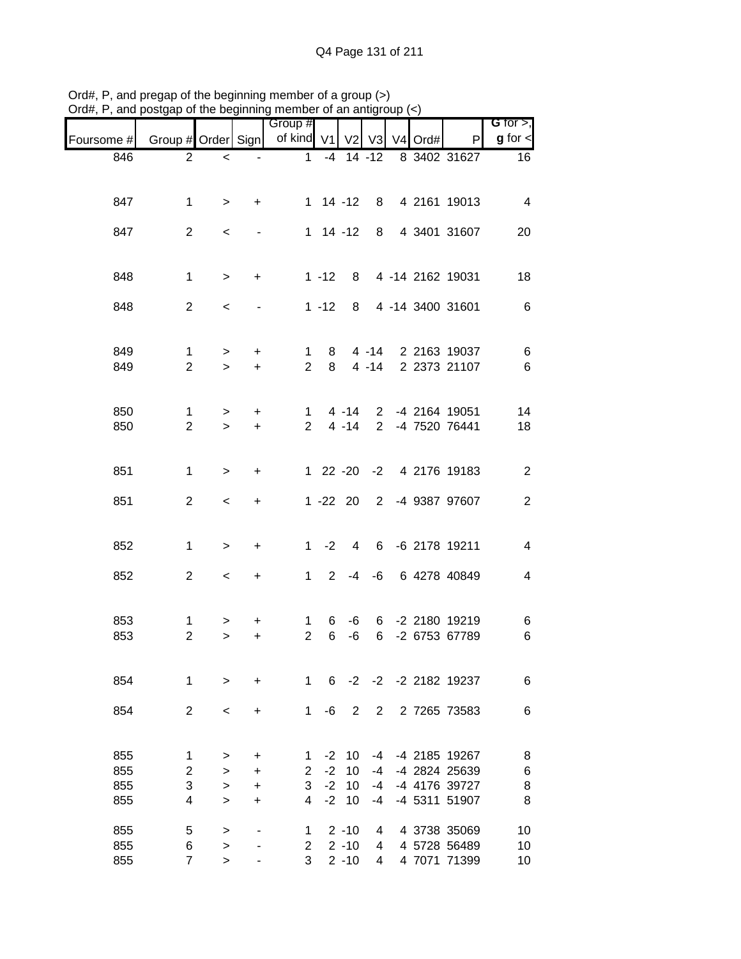| $71$ u $\pi,1$ | and posigap or the beginning member or an antigroup $(\sim)$ |                     |                        |                            |              |                      |                                |                |      |                                |                              |
|----------------|--------------------------------------------------------------|---------------------|------------------------|----------------------------|--------------|----------------------|--------------------------------|----------------|------|--------------------------------|------------------------------|
| Foursome #     | Group # Order Sign                                           |                     |                        | Group #<br>of kind V1      |              | V <sub>2</sub>       | V3                             | V <sub>4</sub> | Ord# | P                              | G for $>$ ,<br>$g$ for $\lt$ |
| 846            | $\mathbf{2}$                                                 | $\,<$               |                        | $\mathbf{1}$               |              | $-4$ 14 $-12$        |                                |                |      | 8 3402 31627                   | 16                           |
|                |                                                              |                     |                        |                            |              |                      |                                |                |      |                                |                              |
| 847            | $\mathbf 1$                                                  | $\geq$              | $\ddot{}$              |                            |              | $1 14 - 12$          | 8                              |                |      | 4 2161 19013                   | 4                            |
|                |                                                              |                     |                        |                            |              |                      |                                |                |      |                                |                              |
| 847            | $\overline{2}$                                               | $\,<\,$             |                        |                            |              | $1 14 - 12$          | 8                              |                |      | 4 3401 31607                   | 20                           |
|                |                                                              |                     |                        |                            |              |                      |                                |                |      |                                |                              |
| 848            | $\mathbf{1}$                                                 | $\geq$              | $\ddot{}$              |                            | $1 - 12$     | 8                    |                                |                |      | 4 -14 2162 19031               | 18                           |
|                | $\overline{2}$                                               |                     |                        |                            |              |                      |                                |                |      | 4 -14 3400 31601               |                              |
| 848            |                                                              | $\,<$               |                        |                            | $1 - 12$     | 8                    |                                |                |      |                                | $\,6$                        |
|                |                                                              |                     |                        |                            |              |                      |                                |                |      |                                |                              |
| 849            | $\mathbf{1}$<br>$\overline{2}$                               | $\, > \,$           | +                      | 1<br>$\overline{2}$        | 8<br>8       |                      | $4 - 14$<br>$4 - 14$           |                |      | 2 2163 19037<br>2 2373 21107   | 6                            |
| 849            |                                                              | $\geq$              | $\ddot{}$              |                            |              |                      |                                |                |      |                                | $\,6$                        |
|                |                                                              |                     |                        |                            |              |                      |                                |                |      |                                |                              |
| 850<br>850     | 1<br>$\overline{2}$                                          | $\, > \,$<br>$\geq$ | +<br>$\ddot{}$         | 1<br>$\mathbf{2}^{\prime}$ |              | $4 - 14$<br>$4 - 14$ | $\mathbf{2}$<br>$\overline{2}$ |                |      | -4 2164 19051<br>-4 7520 76441 | 14<br>18                     |
|                |                                                              |                     |                        |                            |              |                      |                                |                |      |                                |                              |
|                |                                                              |                     |                        |                            |              |                      |                                |                |      |                                |                              |
| 851            | $\mathbf 1$                                                  | $\geq$              | +                      |                            |              | $122 - 20$           |                                |                |      | -2 4 2176 19183                | $\mathbf{2}$                 |
| 851            | $\mathbf{2}$                                                 | $\,<\,$             | +                      |                            |              | $1 - 22$ 20          | $\overline{2}$                 |                |      | -4 9387 97607                  | $\overline{2}$               |
|                |                                                              |                     |                        |                            |              |                      |                                |                |      |                                |                              |
| 852            | $\mathbf 1$                                                  | $\, > \,$           | +                      | $\mathbf{1}$               | $-2$         | 4                    |                                |                |      | 6 -6 2178 19211                | $\overline{\mathcal{A}}$     |
|                |                                                              |                     |                        |                            |              |                      |                                |                |      |                                |                              |
| 852            | $\overline{2}$                                               | $\,<\,$             | +                      | $\mathbf{1}$               | $2^{\circ}$  | $-4$                 | -6                             |                |      | 6 4278 40849                   | $\overline{\mathbf{4}}$      |
|                |                                                              |                     |                        |                            |              |                      |                                |                |      |                                |                              |
| 853            | 1                                                            | >                   | +                      | 1                          | 6            | -6                   | 6                              |                |      | -2 2180 19219                  | 6                            |
| 853            | $\overline{2}$                                               | $\geq$              | +                      | $\overline{2}$             | 6            | $-6$                 | 6                              |                |      | -2 6753 67789                  | $\,6$                        |
|                |                                                              |                     |                        |                            |              |                      |                                |                |      |                                |                              |
| 854            | 1                                                            | $\, > \,$           | $\ddot{}$              | 1                          | 6            | $-2$                 |                                |                |      | -2 -2 2182 19237               | 6                            |
|                |                                                              |                     |                        |                            |              |                      |                                |                |      |                                |                              |
| 854            | $\overline{c}$                                               | $\,<\,$             | +                      | 1                          | -6           | $\overline{2}$       | $\overline{2}$                 |                |      | 2 7265 73583                   | 6                            |
|                |                                                              |                     |                        |                            |              |                      |                                |                |      |                                |                              |
| 855            | 1                                                            | >                   | +                      | 1                          | $-2$<br>$-2$ | 10                   | $-4$                           |                |      | -4 2185 19267                  | 8                            |
| 855<br>855     | $\boldsymbol{2}$<br>3                                        | $\,>$<br>$\,>$      | $\ddot{}$<br>$\ddot{}$ | $\overline{2}$<br>3        | $-2$         | 10<br>10             | $-4$<br>$-4$                   |                |      | -4 2824 25639<br>-4 4176 39727 | 6<br>8                       |
| 855            | 4                                                            | $\geq$              | $\ddot{}$              | 4                          | $-2$         | 10                   | $-4$                           |                |      | -4 5311 51907                  | 8                            |
|                |                                                              |                     |                        |                            |              |                      |                                |                |      |                                |                              |
| 855            | 5                                                            | $\,$                |                        | 1                          |              | $2 - 10$             | 4                              |                |      | 4 3738 35069                   | 10                           |
| 855            | 6                                                            | >                   |                        | 2                          |              | $2 - 10$             | 4                              |                |      | 4 5728 56489                   | 10                           |
| 855            | $\overline{7}$                                               | $\geq$              |                        | 3                          |              | $2 - 10$             | 4                              |                |      | 4 7071 71399                   | 10                           |

Ord#, P, and pregap of the beginning member of a group (>) Ord#, P, and postgap of the beginning member of an antigroup (<)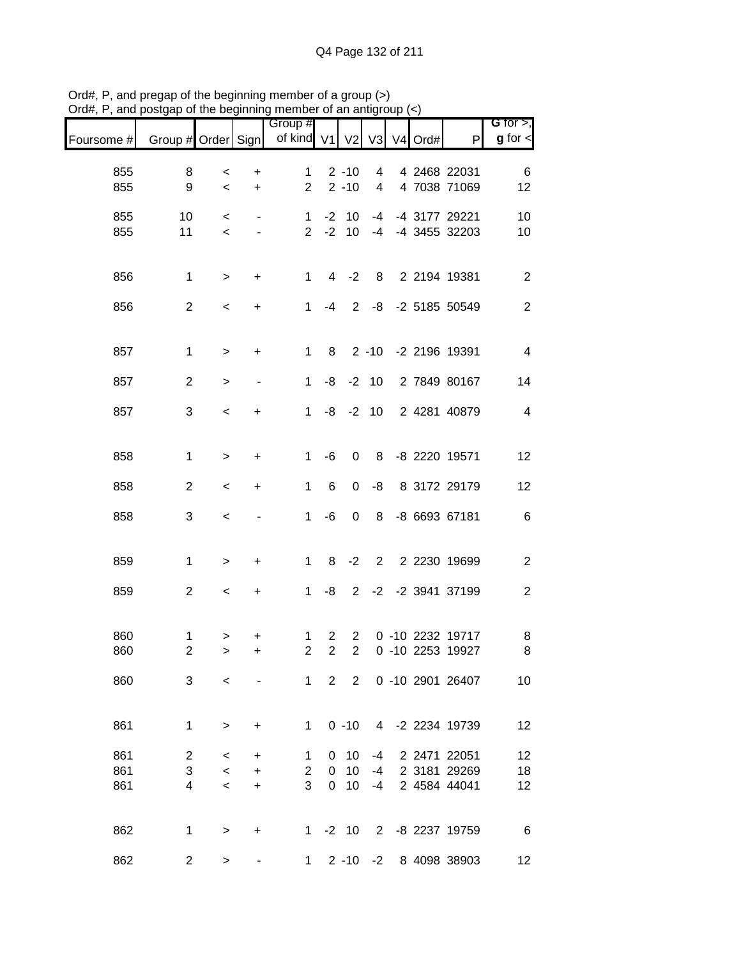| Foursome # | Group # Order Sign  |                                     |                          | Group #<br>of kind V1          |                                  | V <sub>2</sub>                   |                | V3 V4 Ord# | P                                    | G for $>$ ,<br>$g$ for $\lt$ |
|------------|---------------------|-------------------------------------|--------------------------|--------------------------------|----------------------------------|----------------------------------|----------------|------------|--------------------------------------|------------------------------|
|            |                     |                                     |                          |                                |                                  |                                  |                |            |                                      |                              |
| 855<br>855 | 8<br>9              | $\,<$<br>$\,<$                      | +<br>$\ddot{}$           | 1<br>$\overline{2}$            |                                  | $2 - 10$<br>$2 - 10$             | 4<br>4         |            | 4 2468 22031<br>4 7038 71069         | 6<br>12                      |
| 855<br>855 | 10<br>11            | $\,<\,$<br>$\,<$                    |                          | $\mathbf{1}$<br>$\overline{2}$ | $-2$<br>$-2$                     | 10<br>10                         | $-4$<br>$-4$   |            | -4 3177 29221<br>-4 3455 32203       | 10<br>10                     |
| 856        | $\mathbf{1}$        | $\, >$                              | +                        | $\mathbf{1}$                   | $\overline{4}$                   | $-2$                             | 8              |            | 2 2194 19381                         | $\sqrt{2}$                   |
| 856        | $\overline{c}$      | $\,<$                               | +                        | $\mathbf{1}$                   | -4                               | 2                                | -8             |            | -2 5185 50549                        | $\sqrt{2}$                   |
| 857        | $\mathbf 1$         | $\mathbf{L}$                        | $\ddot{}$                | 1                              | 8                                |                                  | $2 - 10$       |            | -2 2196 19391                        | $\overline{\mathbf{4}}$      |
| 857        | $\overline{2}$      | $\geq$                              | $\overline{\phantom{a}}$ | $\mathbf{1}$                   | -8                               |                                  | $-2$ 10        |            | 2 7849 80167                         | 14                           |
| 857        | 3                   | $\,<$                               | +                        | $\mathbf{1}$                   | -8                               |                                  | $-2$ 10        |            | 2 4281 40879                         | $\overline{4}$               |
| 858        | $\mathbf 1$         | $\geq$                              | +                        | 1                              | -6                               | $\boldsymbol{0}$                 | 8              |            | -8 2220 19571                        | 12                           |
| 858        | $\mathbf{2}$        | $\,<$                               | +                        | 1                              | $6\phantom{1}6$                  | 0                                | -8             |            | 8 3172 29179                         | 12                           |
| 858        | 3                   | $\,<$                               |                          | 1                              | -6                               | 0                                | 8              |            | -8 6693 67181                        | $\,6$                        |
| 859        | $\mathbf{1}$        | $\geq$                              | +                        | 1                              | 8                                | $-2$                             | $\overline{2}$ |            | 2 2230 19699                         | $\boldsymbol{2}$             |
| 859        | $\overline{2}$      | $\,<$                               | $\ddot{}$                | 1                              | -8                               | $\overline{2}$                   |                |            | -2 -2 3941 37199                     | $\overline{c}$               |
| 860<br>860 | 1<br>$\overline{2}$ | ><br>$\geq$                         | +<br>$\ddot{}$           | 1<br>$\overline{2}$            | $\overline{c}$<br>$\overline{2}$ | $\overline{c}$<br>$\overline{2}$ |                |            | 0 -10 2232 19717<br>0 -10 2253 19927 | 8<br>8                       |
| 860        | 3                   | $\overline{\phantom{0}}$            |                          | $1 \quad$                      | $2^{\circ}$                      | $2^{\circ}$                      |                |            | 0 -10 2901 26407                     | 10                           |
| 861        | $\mathbf 1$         | $\,$                                | +                        | $\mathbf{1}$                   |                                  | $0 - 10$                         |                |            | 4 -2 2234 19739                      | 12                           |
| 861        | $\overline{2}$      | $\,<\,$                             | +                        | 1                              | 0                                | 10                               | $-4$           |            | 2 2471 22051                         | 12                           |
| 861<br>861 | 3<br>4              | $\,<\,$<br>$\overline{\phantom{a}}$ | +<br>$\ddot{}$           | $\overline{2}$<br>3            | 0<br>$\mathbf 0$                 | 10<br>10                         | -4<br>$-4$     |            | 2 3181 29269<br>2 4584 44041         | 18<br>12                     |
|            |                     |                                     |                          |                                |                                  |                                  |                |            |                                      |                              |
| 862        | 1                   | $\, > \,$                           | +                        | $1 \quad$                      |                                  | $-2$ 10                          |                |            | 2 -8 2237 19759                      | $6\overline{6}$              |
| 862        | $\overline{c}$      | >                                   |                          | $\mathbf 1$                    |                                  |                                  |                |            | 2 -10 -2 8 4098 38903                | 12                           |

Ord#, P, and pregap of the beginning member of a group (>) Ord#, P, and postgap of the beginning member of an antigroup (<)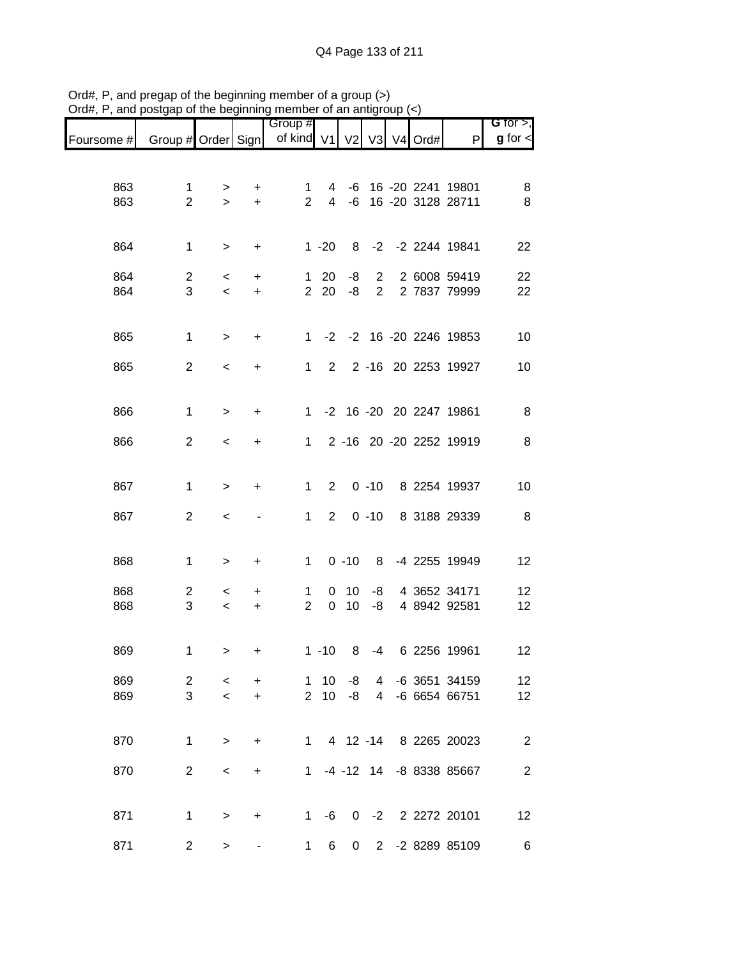|            |                     |                    |                | Group #                          |                |          |                                  |  |                              | G for $>$ ,    |
|------------|---------------------|--------------------|----------------|----------------------------------|----------------|----------|----------------------------------|--|------------------------------|----------------|
| Foursome # | Group # Order Sign  |                    |                | of kind $V1$ $V2$ $V3$ $V4$ Ord# |                |          |                                  |  | P                            | $g$ for $\leq$ |
|            |                     |                    |                |                                  |                |          |                                  |  |                              |                |
| 863        | 1                   | >                  | +              | 1                                | 4              | -6       |                                  |  | 16 -20 2241 19801            | 8              |
| 863        | $\overline{2}$      | $\geq$             | $\ddot{}$      | $\overline{2}$                   | $\overline{4}$ | -6       |                                  |  | 16 -20 3128 28711            | $\bf 8$        |
|            |                     |                    |                |                                  |                |          |                                  |  |                              |                |
| 864        | $\mathbf{1}$        | >                  | +              |                                  | $1 - 20$       | 8        |                                  |  | -2 -2 2244 19841             | 22             |
|            |                     |                    |                |                                  |                |          |                                  |  |                              |                |
| 864<br>864 | $\overline{c}$<br>3 | $\,<\,$<br>$\,<$   | +<br>$\ddot{}$ | 1<br>$\overline{2}$              | 20<br>20       | -8<br>-8 | $\overline{2}$<br>$\overline{2}$ |  | 2 6008 59419<br>2 7837 79999 | 22<br>22       |
|            |                     |                    |                |                                  |                |          |                                  |  |                              |                |
| 865        | $\mathbf 1$         | $\, >$             | +              | $1 \quad$                        | $-2$           |          |                                  |  | -2 16 -20 2246 19853         | 10             |
|            |                     |                    |                |                                  |                |          |                                  |  |                              |                |
| 865        | $\overline{c}$      | $\,<\,$            | +              | $\mathbf 1$                      | $2^{\circ}$    |          |                                  |  | 2 -16 20 2253 19927          | 10             |
|            |                     |                    |                |                                  |                |          |                                  |  |                              |                |
| 866        | $\mathbf 1$         | $\geq$             | +              | $\mathbf{1}$                     |                |          |                                  |  | -2 16 -20 20 2247 19861      | 8              |
|            | $\mathbf{2}$        |                    |                |                                  |                |          |                                  |  | 2 -16 20 -20 2252 19919      | $\, 8$         |
| 866        |                     | $\,<\,$            | +              | $\mathbf{1}$                     |                |          |                                  |  |                              |                |
|            |                     |                    |                |                                  |                |          |                                  |  |                              |                |
| 867        | $\mathbf 1$         | $\, >$             | +              | $\mathbf{1}$                     | $\overline{2}$ |          | $0 - 10$                         |  | 8 2254 19937                 | 10             |
| 867        | $\overline{2}$      | $\,<$              |                | $\mathbf{1}$                     | $\overline{2}$ |          | $0 - 10$                         |  | 8 3188 29339                 | 8              |
|            |                     |                    |                |                                  |                |          |                                  |  |                              |                |
| 868        | 1                   | $\, > \,$          | +              | 1                                |                | $0 - 10$ | 8                                |  | -4 2255 19949                | 12             |
|            |                     |                    |                |                                  |                |          |                                  |  |                              |                |
| 868<br>868 | 2<br>3              | $\,<\,$<br>$\,<\,$ | +<br>+         | 1<br>$\overline{2}$              | 0<br>0         | 10<br>10 | -8<br>-8                         |  | 4 3652 34171<br>4 8942 92581 | 12<br>12       |
|            |                     |                    |                |                                  |                |          |                                  |  |                              |                |
|            |                     |                    |                |                                  |                |          |                                  |  |                              |                |
| 869        | 1                   | $\,$               | $\ddot{}$      |                                  | $1 - 10$       | 8        | -4                               |  | 6 2256 19961                 | 12             |
| 869        | 2                   | $\,<\,$            | $\ddot{}$      | 1                                | 10             | -8       | 4                                |  | -6 3651 34159                | 12             |
| 869        | 3                   | $\prec$            | $+$            | $\overline{2}$                   | 10             | -8       | $\overline{4}$                   |  | -6 6654 66751                | 12             |
|            |                     |                    |                |                                  |                |          |                                  |  |                              |                |
| 870        | 1                   | $\geq$             | $\ddot{}$      |                                  |                |          |                                  |  | 1 4 12 -14 8 2265 20023      | $\overline{2}$ |
| 870        | $\overline{2}$      | $\,<\,$            | $\ddot{}$      |                                  |                |          |                                  |  | 1 -4 -12 14 -8 8338 85667    | $\overline{2}$ |
|            |                     |                    |                |                                  |                |          |                                  |  |                              |                |
|            |                     |                    |                |                                  |                |          |                                  |  |                              |                |
| 871        | $\mathbf 1$         | $\, >$             | +              | $\mathbf{1}$                     | $-6$           | 0        | $-2$                             |  | 2 2272 20101                 | 12             |
| 871        | $\overline{2}$      | $\, >$             |                | 1                                | 6              | 0        | $2^{\circ}$                      |  | -2 8289 85109                | $\,6$          |

Ord#, P, and pregap of the beginning member of a group (>) Ord#, P, and postgap of the beginning member of an antigroup (<)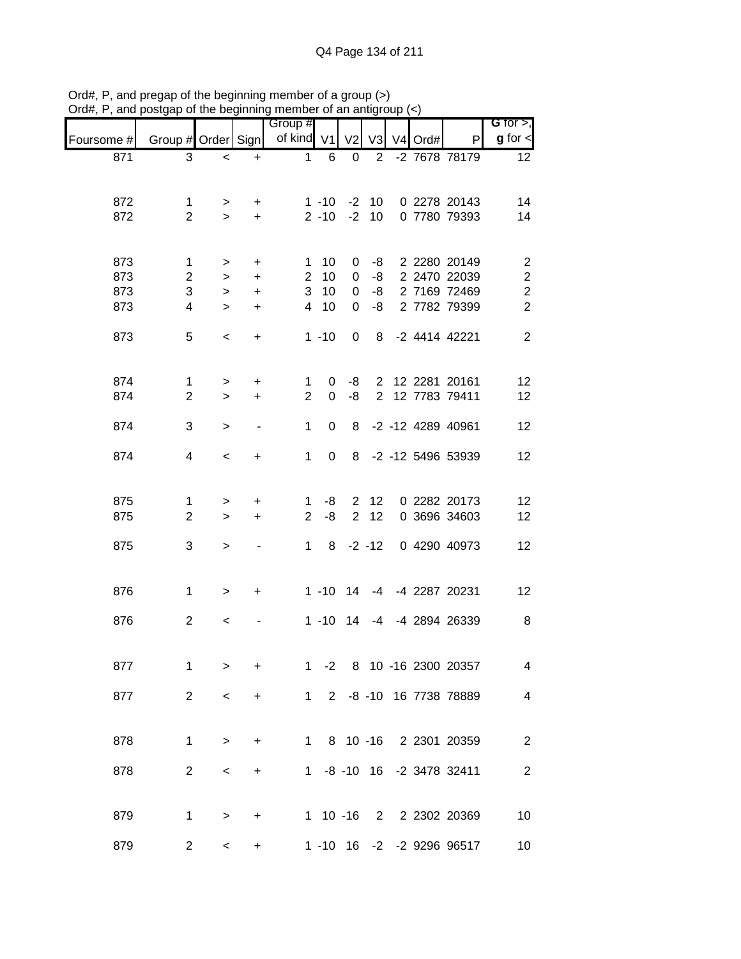|            |                    |             |           | Group #        |             |                |                |         |                               | <b>G</b> for $>$ ,       |
|------------|--------------------|-------------|-----------|----------------|-------------|----------------|----------------|---------|-------------------------------|--------------------------|
| Foursome # | Group # Order Sign |             |           | of kind V1     |             | V <sub>2</sub> | V <sub>3</sub> | V4 Ord# | P                             | $g$ for $\lt$            |
| 871        | 3                  | $\prec$     | $\ddot{}$ | $\mathbf 1$    | 6           | 0              | $\overline{2}$ |         | -2 7678 78179                 | 12                       |
|            |                    |             |           |                |             |                |                |         |                               |                          |
| 872        | $\mathbf 1$        |             |           |                | $1 - 10$    | $-2$           | 10             |         | 0 2278 20143                  | 14                       |
| 872        | $\overline{2}$     | ><br>$\geq$ | +<br>$+$  |                | $2 - 10$    | $-2$           | 10             |         | 0 7780 79393                  | 14                       |
|            |                    |             |           |                |             |                |                |         |                               |                          |
| 873        | 1                  | >           | $\ddot{}$ | 1              | 10          | 0              | -8             |         | 2 2280 20149                  | $\overline{2}$           |
| 873        | $\overline{2}$     | $\, >$      | $\ddot{}$ | $\overline{2}$ | 10          | 0              | -8             |         | 2 2470 22039                  | $\boldsymbol{2}$         |
| 873        | 3                  | $\, >$      | $\ddot{}$ | 3              | 10          | $\mathbf 0$    | -8             |         | 2 7169 72469                  | $\boldsymbol{2}$         |
| 873        | 4                  | $\geq$      | $\ddot{}$ | $\overline{4}$ | 10          | 0              | -8             |         | 2 7782 79399                  | $\overline{2}$           |
|            |                    |             |           |                |             |                |                |         |                               |                          |
| 873        | 5                  | $\,<\,$     | +         |                | $1 - 10$    | 0              | 8              |         | -2 4414 42221                 | $\overline{2}$           |
|            |                    |             |           |                |             |                |                |         |                               |                          |
| 874        | $\mathbf{1}$       | $\, > \,$   | $\ddot{}$ | 1              | 0           | -8             |                |         | 2 12 2281 20161               | 12                       |
| 874        | $\overline{2}$     | $\geq$      | $\ddot{}$ | $\overline{2}$ | 0           | -8             | $\overline{2}$ |         | 12 7783 79411                 | 12                       |
|            |                    |             |           |                |             |                |                |         |                               |                          |
| 874        | 3                  | $\, > \,$   |           | 1              | $\Omega$    | 8              |                |         | -2 -12 4289 40961             | 12                       |
| 874        | 4                  | $\,<\,$     | +         | 1              | 0           | 8              |                |         | -2 -12 5496 53939             | 12                       |
|            |                    |             |           |                |             |                |                |         |                               |                          |
| 875        | 1                  |             |           | 1              | -8          | $\overline{2}$ | 12             |         | 0 2282 20173                  | 12                       |
| 875        | $\overline{2}$     | ><br>$\geq$ | +<br>+    | $\overline{2}$ | -8          | $\overline{2}$ | 12             |         | 0 3696 34603                  | 12                       |
|            |                    |             |           |                |             |                |                |         |                               |                          |
| 875        | 3                  | $\, > \,$   |           | $\mathbf{1}$   | 8           |                | $-2 - 12$      |         | 0 4290 40973                  | 12                       |
|            |                    |             |           |                |             |                |                |         |                               |                          |
| 876        | $\mathbf 1$        | $\, > \,$   | +         |                | $1 - 10$    | 14             | $-4$           |         | -4 2287 20231                 | 12                       |
|            |                    |             |           |                |             |                |                |         |                               |                          |
| 876        | $\overline{2}$     | $\,<\,$     |           |                | $1 - 10$    | 14             | -4             |         | -4 2894 26339                 | 8                        |
|            |                    |             |           |                |             |                |                |         |                               |                          |
| 877        | 1                  | $\geq$      | +         | $\mathbf 1$    | $-2$        |                |                |         | 8 10 -16 2300 20357           | $\overline{\mathcal{A}}$ |
|            |                    |             |           |                |             |                |                |         |                               |                          |
| 877        | 2                  | $\,<\,$     | +         |                | $1 \quad$   |                |                |         | 2 -8 -10 16 7738 78889        | $\overline{4}$           |
|            |                    |             |           |                |             |                |                |         |                               |                          |
| 878        | $\mathbf 1$        | $\, > \,$   | +         |                | $1 \quad$   |                |                |         | 8 10 -16 2 2301 20359         | $\overline{2}$           |
|            |                    |             |           |                |             |                |                |         |                               |                          |
| 878        | $\overline{2}$     | $\,<\,$     | +         |                |             |                |                |         | 1 -8 -10 16 -2 3478 32411     | $\overline{c}$           |
|            |                    |             |           |                |             |                |                |         |                               |                          |
| 879        | $\mathbf 1$        | $\, > \,$   | $\ddot{}$ |                | $1 10 - 16$ |                |                |         | 2 2 2 2 2 2 2 2 2 2 2 0 3 6 9 | 10                       |
|            |                    |             |           |                |             |                |                |         |                               |                          |
| 879        | $\overline{2}$     | $\,<\,$     |           |                |             |                |                |         | 1 -10 16 -2 -2 9296 96517     | 10 <sub>1</sub>          |

Ord#, P, and pregap of the beginning member of a group (>) Ord#, P, and postgap of the beginning member of an antigroup (<)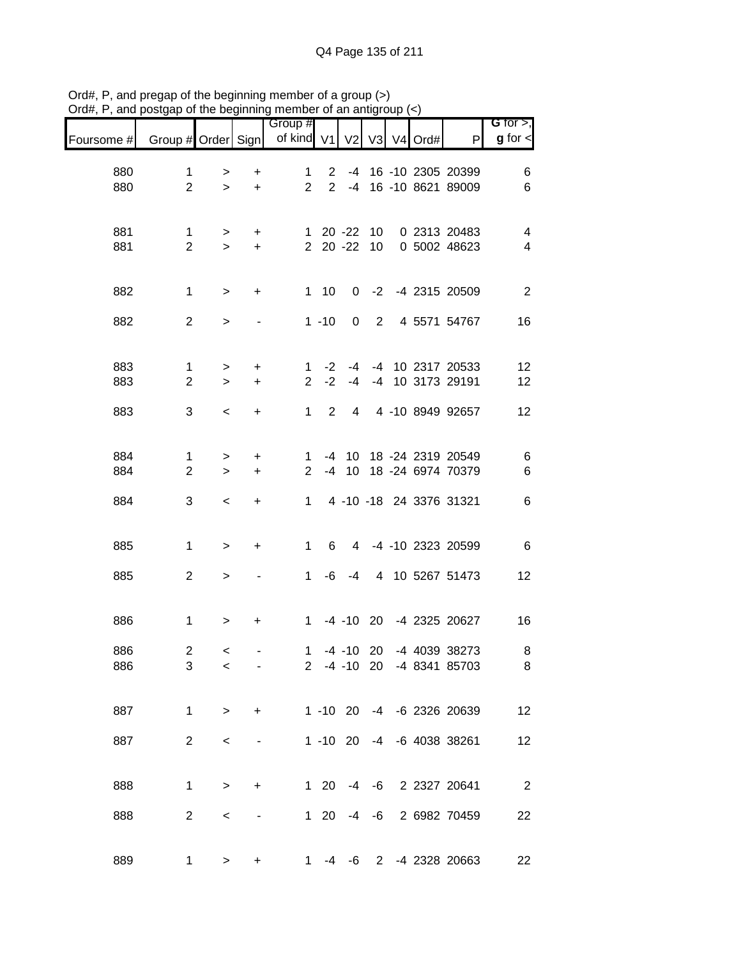|            |                    |           |           | Group #        |                |                |                |                |      |                           | G for $>$ ,              |
|------------|--------------------|-----------|-----------|----------------|----------------|----------------|----------------|----------------|------|---------------------------|--------------------------|
| Foursome # | Group # Order Sign |           |           | of kind V1     |                | V <sub>2</sub> | V3             | V <sub>4</sub> | Ord# | P                         | $g$ for $\lt$            |
| 880        | $\mathbf 1$        | >         | +         | $\mathbf 1$    | $\overline{2}$ |                |                |                |      | -4 16 -10 2305 20399      | 6                        |
| 880        | $\overline{2}$     | $\geq$    | $\ddot{}$ | $\overline{2}$ | $\overline{2}$ | $-4$           |                |                |      | 16 -10 8621 89009         | $\,6$                    |
|            |                    |           |           |                |                |                |                |                |      |                           |                          |
| 881        | $\mathbf 1$        | $\, >$    | +         | $\mathbf{1}$   |                | $20 - 22$      | 10             |                |      | 0 2313 20483              | 4                        |
| 881        | $\overline{2}$     | $\geq$    | $\ddot{}$ | $\overline{2}$ |                | $20 - 22$      | 10             |                |      | 0 5002 48623              | $\overline{\mathbf{4}}$  |
|            |                    |           |           |                |                |                |                |                |      |                           |                          |
| 882        | $\mathbf 1$        | $\, >$    | +         |                | $1 10$         | 0              | $-2$           |                |      | -4 2315 20509             | $\overline{2}$           |
| 882        | $\overline{2}$     | $\, > \,$ |           |                | $1 - 10$       | 0              | $\overline{2}$ |                |      | 4 5571 54767              | 16                       |
|            |                    |           |           |                |                |                |                |                |      |                           |                          |
| 883        | $\mathbf{1}$       | $\,$      | +         | 1              | $-2$           | -4             |                |                |      | -4 10 2317 20533          | 12                       |
| 883        | $\overline{2}$     | $\geq$    | $\ddot{}$ | $\overline{2}$ | $-2$           | $-4$           | $-4$           |                |      | 10 3173 29191             | 12                       |
| 883        | 3                  | $\,<$     | +         | $\mathbf{1}$   | $\overline{2}$ | 4              |                |                |      | 4 -10 8949 92657          | 12                       |
|            |                    |           |           |                |                |                |                |                |      |                           |                          |
| 884        | $\mathbf{1}$       | $\,$      | +         | 1              | -4             | 10             |                |                |      | 18 -24 2319 20549         | $\,6$                    |
| 884        | $\overline{2}$     | $\geq$    | $\ddot{}$ | 2              | $-4$           | 10             |                |                |      | 18 -24 6974 70379         | $\,6$                    |
| 884        | 3                  | $\,<$     | $\ddot{}$ | $\mathbf{1}$   |                |                |                |                |      | 4 -10 -18 24 3376 31321   | $\,6$                    |
|            |                    |           |           |                |                |                |                |                |      |                           |                          |
| 885        | $\mathbf 1$        | $\geq$    | +         | $\mathbf 1$    | 6              | 4              |                |                |      | -4 -10 2323 20599         | $\,6\,$                  |
|            |                    |           |           |                |                |                |                |                |      |                           |                          |
| 885        | $\overline{2}$     | $\,$      |           | 1              | -6             | $-4$           |                |                |      | 4 10 5267 51473           | 12                       |
|            |                    |           |           |                |                |                |                |                |      |                           |                          |
| 886        | $\mathbf 1$        | $\, > \,$ | +         | $\mathbf 1$    |                | $-4$ $-10$ 20  |                |                |      | -4 2325 20627             | 16                       |
| 886        | $\mathbf 2$        | $\,<$     |           | $\mathbf 1$    |                | $-4$ $-10$ 20  |                |                |      | -4 4039 38273             | 8                        |
| 886        | 3                  | $\,<\,$   |           |                |                |                |                |                |      | 2 -4 -10 20 -4 8341 85703 | 8                        |
|            |                    |           |           |                |                |                |                |                |      |                           |                          |
| 887        | $\mathbf 1$        | $\, >$    | +         |                |                |                |                |                |      | 1 -10 20 -4 -6 2326 20639 | 12                       |
|            |                    |           |           |                |                |                |                |                |      |                           |                          |
| 887        | $\overline{2}$     | $\,<\,$   |           |                |                | $1 - 10$ 20    |                |                |      | -4 -6 4038 38261          | 12                       |
|            |                    |           |           |                |                |                |                |                |      |                           |                          |
| 888        | $\mathbf 1$        | $\, >$    | +         |                | $1 \quad 20$   | -4             | -6             |                |      | 2 2327 20641              | $\overline{\phantom{a}}$ |
| 888        | $\overline{2}$     | $\,<\,$   |           |                | $1 \quad 20$   | -4             | -6             |                |      | 2 6982 70459              | 22                       |
|            |                    |           |           |                |                |                |                |                |      |                           |                          |
| 889        | $\mathbf 1$        | >         | +         | 1.             | -4             | -6             |                |                |      | 2 -4 2328 20663           | 22                       |

Ord#, P, and pregap of the beginning member of a group (>) Ord#, P, and postgap of the beginning member of an antigroup (<)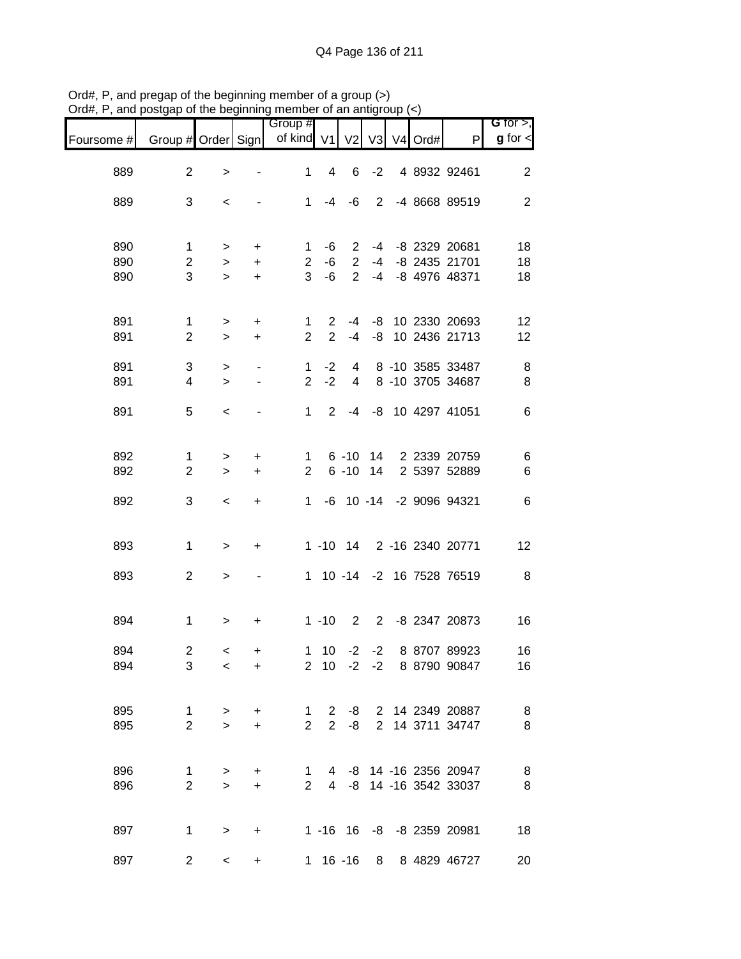|            |                                | . .                       | .   .y                                     |                                |                               |                             |      |            |                                                  | G for $>$ ,    |
|------------|--------------------------------|---------------------------|--------------------------------------------|--------------------------------|-------------------------------|-----------------------------|------|------------|--------------------------------------------------|----------------|
| Foursome # | Group # Order Sign             |                           |                                            | Group #<br>of kind V1 V2       |                               |                             |      | V3 V4 Ord# | P                                                | $g$ for $\lt$  |
| 889        | $\overline{2}$                 | $\,>$                     |                                            | 1                              | $\overline{4}$                | 6                           | $-2$ |            | 4 8932 92461                                     | $\mathbf{2}$   |
| 889        | 3                              | $\,<\,$                   |                                            |                                | $1 - 4 - 6$                   |                             |      |            | 2 -4 8668 89519                                  | $\overline{c}$ |
| 890<br>890 | 1<br>$\overline{c}$            | $\, >$<br>$\,$            | $+$<br>$+$                                 | $\mathbf{1}$<br>$2^{\circ}$    | -6<br>-6                      | $\mathbf{2}$<br>$2^{\circ}$ |      |            | -4 -8 2329 20681<br>-4 -8 2435 21701             | 18<br>18       |
| 890        | 3                              | $\,$                      | $+$                                        |                                | $3 - 6$                       | $2^{\circ}$                 |      |            | -4 -8 4976 48371                                 | 18             |
| 891<br>891 | $\mathbf{1}$<br>$\overline{2}$ | $\,$<br>$\,>$             | $+$<br>$+$                                 | 1<br>$\overline{2}$            | $\overline{2}$<br>$2^{\circ}$ |                             |      |            | -4 -8 10 2330 20693<br>-4 -8 10 2436 21713       | 12<br>12       |
| 891<br>891 | 3<br>$\overline{4}$            | $\,$<br>$\geq$            | $\overline{\phantom{a}}$<br>$\blacksquare$ | $\mathbf{1}$<br>$\overline{2}$ | $-2$<br>$-2$                  | $\overline{4}$              |      |            | 4 8 -10 3585 33487<br>8 -10 3705 34687           | 8<br>$\,8\,$   |
| 891        | 5                              | $\,<$                     |                                            | $\mathbf{1}$                   | $\overline{2}$                |                             |      |            | -4 -8 10 4297 41051                              | $\,6$          |
| 892<br>892 | $\mathbf 1$<br>$\overline{2}$  | $\,>$<br>$\,>$            | $\pm$<br>$\ddot{}$                         | $\mathbf{1}$<br>$\mathbf{2}$   |                               | $6 - 10$<br>$6 - 10$        | 14   |            | 14 2 2339 20759<br>2 5397 52889                  | 6<br>6         |
| 892        | 3                              | $\,<\,$                   | $+$                                        | $1 \quad$                      |                               |                             |      |            | -6 10 -14 -2 9096 94321                          | $\,6$          |
| 893        | $\mathbf{1}$                   | $\,$                      | $\ddot{}$                                  |                                |                               |                             |      |            | 1 -10 14 2 -16 2340 20771                        | 12             |
| 893        | $\overline{c}$                 | $\,>$                     |                                            |                                |                               |                             |      |            | 1 10 -14 -2 16 7528 76519                        | 8              |
| 894        | $\mathbf 1$                    | $\,$                      | +                                          |                                | $1 - 10$                      |                             |      |            | 2 2 -8 2347 20873                                | 16             |
| 894<br>894 | $\overline{c}$<br>3            | $\,<$<br>$\,<\,$          | +<br>+                                     |                                |                               | $2 \t10 \t-2 \t-2$          |      |            | 1 10 -2 -2 8 8707 89923<br>8 8790 90847          | 16<br>16       |
| 895<br>895 | 1<br>$\overline{2}$            | $\, >$<br>$\geq$          | +<br>$\ddot{}$                             | 1<br>$\overline{2}$            | $2^{\circ}$<br>$2^{\circ}$    | -8<br>-8                    |      |            | 2 14 2349 20887<br>2 14 3711 34747               | $\, 8$<br>8    |
| 896<br>896 | 1<br>$\overline{2}$            | $\, > \,$<br>$\mathbf{L}$ | +<br>$\ddot{}$                             | 1<br>$\overline{2}$            |                               |                             |      |            | 4 -8 14 -16 2356 20947<br>4 -8 14 -16 3542 33037 | 8<br>8         |
| 897        | 1                              | $\, > \,$                 | +                                          |                                |                               |                             |      |            | 1 -16 16 -8 -8 2359 20981                        | 18             |
| 897        | $\overline{c}$                 | $\,<\,$                   | +                                          | $1 \quad$                      |                               | $16 - 16$                   |      |            | 8 8 4829 46727                                   | 20             |

Ord#, P, and pregap of the beginning member of a group (>) Ord#, P, and postgap of the beginning member of an antigroup (<)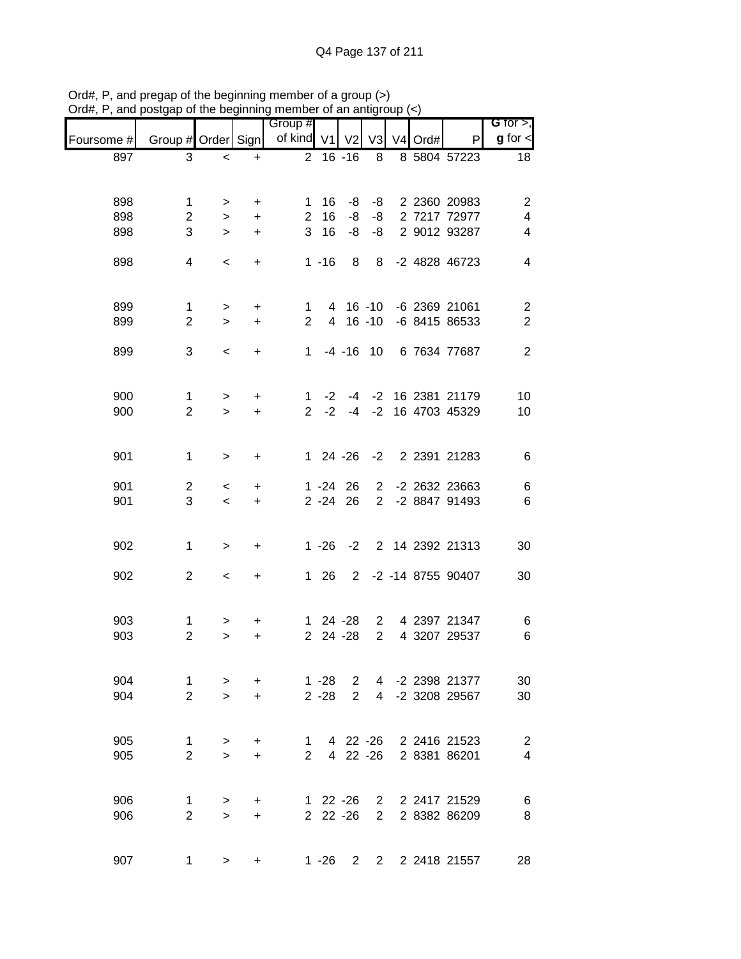|            |                    | אט טויט     |           | <br>Group #   |              |                |             |         |                          | $G$ for $>$ ,           |
|------------|--------------------|-------------|-----------|---------------|--------------|----------------|-------------|---------|--------------------------|-------------------------|
| Foursome # | Group # Order Sign |             |           | of kind V1 V2 |              |                | V3          | V4 Ord# | P                        | $g$ for $\lt$           |
| 897        | 3                  | $\,<$       | $\ddot{}$ |               | $2 16 - 16$  |                | 8           |         | 8 5804 57223             | 18                      |
|            |                    |             |           |               |              |                |             |         |                          |                         |
| 898        | 1                  |             | $\ddot{}$ |               | $1 \t16$     | -8             |             |         | -8 2 2360 20983          | $\overline{c}$          |
| 898        | $\overline{2}$     | ><br>$\geq$ | $\ddot{}$ |               | 2 16         | -8             |             |         | -8 2 7217 72977          | $\overline{\mathbf{4}}$ |
| 898        | 3                  | $\geq$      | $\ddot{}$ |               | 3 16         | -8             |             |         | -8 2 9012 93287          | $\overline{\mathbf{4}}$ |
|            |                    |             |           |               |              |                |             |         |                          |                         |
| 898        | 4                  | $\,<\,$     | $\ddot{}$ |               | $1 - 16$     | 8 <sup>8</sup> |             |         | 8 -2 4828 46723          | $\overline{4}$          |
|            |                    |             |           |               |              |                |             |         |                          |                         |
|            |                    |             |           |               |              |                |             |         |                          |                         |
| 899        | $\mathbf{1}$       | $\geq$      | $\ddot{}$ |               |              |                |             |         | 1 4 16 -10 -6 2369 21061 | $\overline{2}$          |
| 899        | $\overline{2}$     | $\geq$      | $+$       | $2^{\circ}$   |              |                |             |         | 4 16 -10 -6 8415 86533   | $\overline{2}$          |
| 899        | 3                  | $\,<\,$     | $\ddot{}$ |               |              |                |             |         | 1 -4 -16 10 6 7634 77687 | $\overline{2}$          |
|            |                    |             |           |               |              |                |             |         |                          |                         |
|            |                    |             |           |               |              |                |             |         |                          |                         |
| 900        | $\mathbf{1}$       | $\,>$       | +         |               |              |                |             |         | 1 -2 -4 -2 16 2381 21179 | 10                      |
| 900        | $\overline{2}$     | $\geq$      | $+$       |               | $2 -2$       |                |             |         | -4 -2 16 4703 45329      | 10                      |
|            |                    |             |           |               |              |                |             |         |                          |                         |
|            |                    |             |           |               |              |                |             |         |                          |                         |
| 901        | $\mathbf 1$        | $\geq$      | +         |               |              |                |             |         | 1 24 -26 -2 2 2391 21283 | 6                       |
| 901        | $\overline{c}$     | $\,<\,$     | +         |               | $1 - 24$ 26  |                |             |         | 2 -2 2632 23663          | 6                       |
| 901        | 3                  | $\,<\,$     | $\ddot{}$ |               |              | $2 - 24$ 26    |             |         | 2 -2 8847 91493          | $\,6$                   |
|            |                    |             |           |               |              |                |             |         |                          |                         |
|            |                    |             |           |               |              |                |             |         |                          |                         |
| 902        | $\mathbf 1$        | $\, > \,$   | +         |               |              |                |             |         | 1 -26 -2 2 14 2392 21313 | 30                      |
| 902        | $\overline{2}$     |             |           |               | $1 \quad 26$ |                |             |         | 2 -2 -14 8755 90407      | 30                      |
|            |                    | $\,<\,$     | $+$       |               |              |                |             |         |                          |                         |
|            |                    |             |           |               |              |                |             |         |                          |                         |
| 903        | $\mathbf{1}$       | >           | +         |               |              | $124 - 28$     |             |         | 2 4 2397 21347           | 6                       |
| 903        | $\overline{2}$     | $\geq$      | +         |               |              | 2 24 -28       | $2^{\circ}$ |         | 4 3207 29537             | $6\phantom{1}6$         |
|            |                    |             |           |               |              |                |             |         |                          |                         |
|            |                    |             |           |               |              |                |             |         |                          |                         |
| 904        | 1                  | >           | $\ddot{}$ |               | $1 - 28$     | 2              |             |         | 4 -2 2398 21377          | 30                      |
| 904        | $\overline{2}$     | $\geq$      | $\ddot{}$ |               | $2 - 28$     | $\overline{2}$ |             |         | 4 -2 3208 29567          | 30                      |
|            |                    |             |           |               |              |                |             |         |                          |                         |
| 905        | 1                  | >           | +         |               | $1 \quad$    |                |             |         | 4 22 -26 2 2416 21523    | $\overline{2}$          |
| 905        | $\overline{2}$     | $\geq$      | $\ddot{}$ | $2^{\circ}$   |              |                |             |         | 4 22 -26 2 8381 86201    | $\overline{4}$          |
|            |                    |             |           |               |              |                |             |         |                          |                         |
|            |                    |             |           |               |              |                |             |         |                          |                         |
| 906        | 1                  | >           | +         |               |              | $122 - 26$     |             |         | 2 2 2417 21529           | 6                       |
| 906        | $\overline{2}$     | $\geq$      | $\ddot{}$ |               |              | 2 22 -26       |             |         | 2 2 8382 86209           | 8                       |
|            |                    |             |           |               |              |                |             |         |                          |                         |
| 907        | 1                  | >           | +         |               |              |                |             |         | 1 -26 2 2 2 2 2418 21557 | 28                      |

Ord#, P, and pregap of the beginning member of a group (>) Ord#, P, and postgap of the beginning member of an antigroup (<)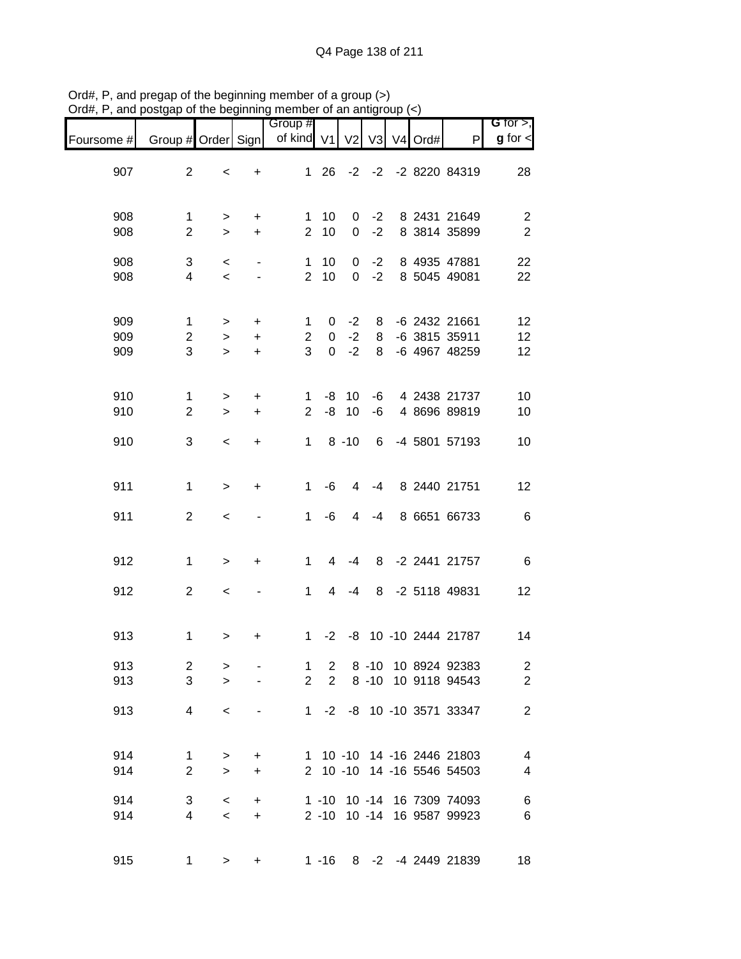|                   |                                    |                            |                        | Group #                        |                                  |                      |              |                |      |                                                          | G for $>$ ,                                         |
|-------------------|------------------------------------|----------------------------|------------------------|--------------------------------|----------------------------------|----------------------|--------------|----------------|------|----------------------------------------------------------|-----------------------------------------------------|
| Foursome #        | Group # Order Sign                 |                            |                        | of kind V1                     |                                  | V <sub>2</sub>       | V3           | V <sub>4</sub> | Ord# | $\mathsf{P}$                                             | $g$ for $\lt$                                       |
| 907               | $\overline{2}$                     | $\,<\,$                    | +                      | $\mathbf 1$                    | 26                               |                      |              |                |      | -2 -2 -2 8220 84319                                      | 28                                                  |
| 908<br>908        | $\mathbf 1$<br>$\overline{2}$      | ><br>$\,>$                 | +<br>$\ddot{}$         | $\mathbf 1$<br>$\overline{2}$  | 10<br>10                         | 0<br>0               | $-2$<br>$-2$ |                |      | 8 2431 21649<br>8 3814 35899                             | $\overline{c}$<br>$\overline{2}$                    |
| 908<br>908        | 3<br>4                             | $\,<$<br>$\,<$             |                        | 1<br>$\overline{2}$            | 10<br>10                         | 0<br>$\overline{0}$  | $-2$<br>$-2$ |                |      | 8 4935 47881<br>8 5045 49081                             | 22<br>22                                            |
| 909<br>909<br>909 | $\mathbf 1$<br>$\overline{c}$<br>3 | $\, >$<br>$\, >$<br>$\geq$ | +<br>+                 | 1<br>$\overline{2}$<br>3       | 0<br>0<br>$\mathbf 0$            | $-2$<br>$-2$<br>$-2$ | 8<br>8<br>8  |                |      | -6 2432 21661<br>-6 3815 35911<br>-6 4967 48259          | 12<br>12<br>12                                      |
|                   |                                    |                            | $\ddot{}$              |                                |                                  |                      |              |                |      |                                                          |                                                     |
| 910<br>910        | $\mathbf{1}$<br>$\overline{2}$     | $\,$<br>$\geq$             | $\ddot{}$<br>$\ddot{}$ | 1<br>$\overline{2}$            | -8<br>-8                         | 10<br>10             | -6<br>$-6$   |                |      | 4 2438 21737<br>4 8696 89819                             | 10<br>10                                            |
| 910               | 3                                  | $\prec$                    | +                      | $\mathbf{1}$                   |                                  | $8 - 10$             | 6            |                |      | -4 5801 57193                                            | 10                                                  |
| 911               | $\mathbf 1$                        | $\geq$                     | +                      | 1                              | -6                               | 4                    | $-4$         |                |      | 8 2440 21751                                             | 12                                                  |
| 911               | $\overline{2}$                     | $\,<$                      |                        | 1                              | -6                               | 4                    | $-4$         |                |      | 8 6651 66733                                             | $\,6$                                               |
| 912               | $\mathbf 1$                        | $\geq$                     | +                      | 1                              | $\overline{4}$                   | -4                   | 8            |                |      | -2 2441 21757                                            | $\,6$                                               |
| 912               | $\overline{2}$                     | $\,<\,$                    |                        | 1                              | $\overline{4}$                   | $-4$                 | 8            |                |      | -2 5118 49831                                            | 12                                                  |
| 913               | $\mathbf 1$                        | $\,$                       | +                      | $\mathbf{1}$                   | $-2$                             |                      |              |                |      | -8 10 -10 2444 21787                                     | 14                                                  |
| 913<br>913        | $\overline{\mathbf{c}}$<br>3       | $\, > \,$<br>$\geq$        |                        | $\mathbf{1}$<br>$\overline{2}$ | $\overline{2}$<br>$\overline{2}$ |                      |              |                |      | 8 -10 10 8924 92383<br>8 -10 10 9118 94543               | $\overline{c}$<br>$\overline{c}$                    |
| 913               | $\overline{\mathcal{A}}$           | $\,<$                      |                        | $1 \quad$                      |                                  |                      |              |                |      | -2 -8 10 -10 3571 33347                                  | $\mathbf{2}$                                        |
| 914<br>914        | $\mathbf{1}$<br>$\overline{2}$     | $\, >$<br>$\geq$           | +<br>$\ddot{}$         |                                |                                  |                      |              |                |      | 1 10 -10 14 -16 2446 21803<br>2 10 -10 14 -16 5546 54503 | $\overline{\mathcal{A}}$<br>$\overline{\mathbf{4}}$ |
| 914<br>914        | 3<br>4                             | $\,<\,$<br>$\,<$           | +<br>$\ddot{}$         |                                | $1 - 10$<br>$2 - 10$ 10 $-14$    |                      |              |                |      | 10 -14 16 7309 74093<br>16 9587 99923                    | $\,6$<br>$\,6$                                      |
| 915               | 1                                  | $\, >$                     | +                      |                                |                                  |                      |              |                |      | 1 -16 8 -2 -4 2449 21839                                 | 18                                                  |

Ord#, P, and pregap of the beginning member of a group (>) Ord#, P, and postgap of the beginning member of an antigroup (<)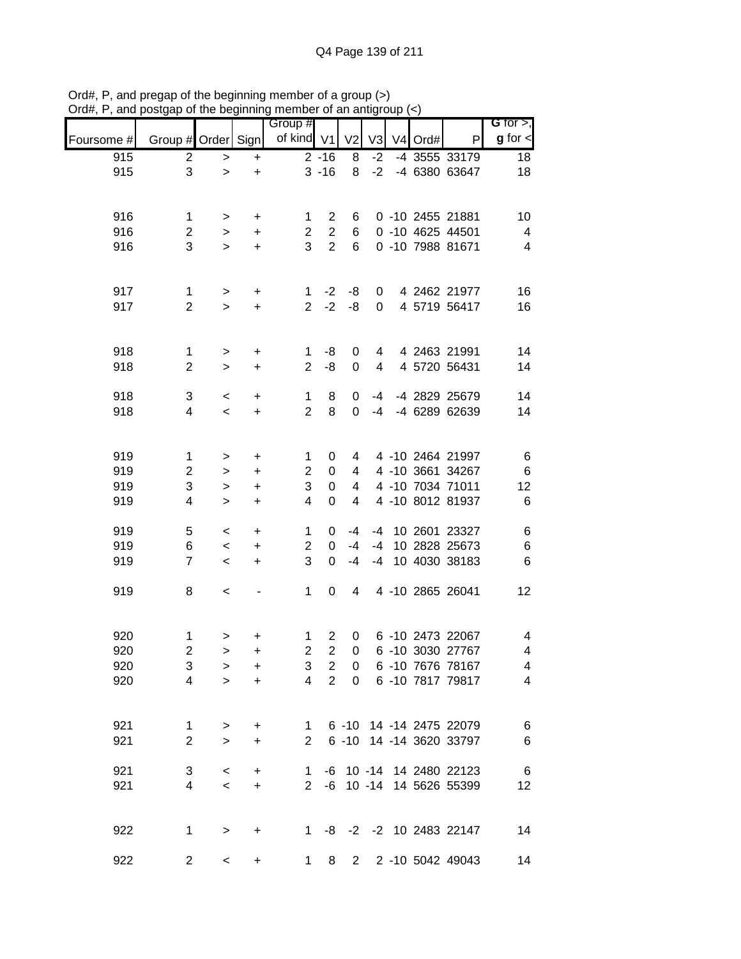|            |                     |                     |                        | Group #                       |                  |                  |                |                     |                                                 | G for $>$ ,             |
|------------|---------------------|---------------------|------------------------|-------------------------------|------------------|------------------|----------------|---------------------|-------------------------------------------------|-------------------------|
| Foursome # | Group # Order Sign  |                     |                        | of kind V1                    |                  | V <sub>2</sub>   | V <sub>3</sub> | V <sub>4</sub> Ord# | P                                               | $g$ for $\lt$           |
| 915        | $\overline{2}$      | >                   | $\ddot{}$              |                               | $2 - 16$         | 8                | $-2$           |                     | -4 3555 33179                                   | 18                      |
| 915        | 3                   | $\geq$              | $\ddot{}$              |                               | $3 - 16$         | 8                | $-2$           |                     | -4 6380 63647                                   | 18                      |
|            |                     |                     |                        |                               |                  |                  |                |                     |                                                 |                         |
| 916        | $\mathbf 1$         | $\, > \,$           | +                      | 1                             | $\overline{c}$   | 6                |                |                     | 0 -10 2455 21881                                | 10                      |
| 916        | $\overline{c}$      | $\,>$               | +                      | $\overline{c}$                | $\boldsymbol{2}$ | 6                |                |                     | 0 -10 4625 44501                                | $\overline{\mathbf{4}}$ |
| 916        | 3                   | $\geq$              | $\ddot{}$              | 3                             | $\overline{2}$   | 6                |                |                     | 0 -10 7988 81671                                | $\overline{\mathbf{4}}$ |
|            |                     |                     |                        |                               |                  |                  |                |                     |                                                 |                         |
| 917        | 1                   | $\geq$              | $\ddot{}$              | 1                             | $-2$             | -8               | 0              |                     | 4 2462 21977                                    | 16                      |
| 917        | $\overline{2}$      | $\geq$              | $\ddot{}$              | $\overline{2}$                | $-2$             | $-8$             | 0              |                     | 4 5719 56417                                    | 16                      |
|            |                     |                     |                        |                               |                  |                  |                |                     |                                                 |                         |
| 918        | 1                   | $\geq$              | $\ddot{}$              | 1                             | -8               | 0                | 4              |                     | 4 2463 21991                                    | 14                      |
| 918        | $\overline{2}$      | $\geq$              | $\ddot{}$              | $\overline{2}$                | -8               | $\mathbf 0$      | 4              |                     | 4 5720 56431                                    | 14                      |
|            |                     |                     |                        |                               |                  |                  |                |                     |                                                 |                         |
| 918<br>918 | 3<br>4              | $\,<$<br>$\prec$    | $\ddot{}$<br>$\ddot{}$ | $\mathbf 1$<br>$\overline{2}$ | 8<br>8           | 0<br>0           | $-4$<br>$-4$   |                     | -4 2829 25679<br>-4 6289 62639                  | 14<br>14                |
|            |                     |                     |                        |                               |                  |                  |                |                     |                                                 |                         |
|            |                     |                     |                        |                               |                  |                  |                |                     |                                                 |                         |
| 919        | $\mathbf{1}$        | >                   | $\ddot{}$              | 1                             | 0                | 4                |                |                     | 4 -10 2464 21997                                | $\,6$                   |
| 919<br>919 | $\overline{c}$<br>3 | $\, > \,$           | +                      | $\overline{c}$<br>3           | 0<br>0           | 4<br>4           |                |                     | 4 -10 3661 34267<br>4 -10 7034 71011            | $\,6$<br>12             |
| 919        | 4                   | $\, > \,$<br>$\geq$ | $\ddot{}$<br>+         | 4                             | 0                | 4                |                |                     | 4 -10 8012 81937                                | $\,6$                   |
|            |                     |                     |                        |                               |                  |                  |                |                     |                                                 |                         |
| 919        | 5                   | $\,<\,$             | $\ddot{}$              | 1                             | 0                | -4               | -4             |                     | 10 2601 23327                                   | $\,6$                   |
| 919<br>919 | 6<br>$\overline{7}$ | $\,<$<br>$\,<$      | $\ddot{}$<br>$\ddot{}$ | 2<br>3                        | 0<br>0           | $-4$<br>$-4$     | $-4$<br>$-4$   |                     | 10 2828 25673<br>10 4030 38183                  | $\,6$<br>$\,6$          |
|            |                     |                     |                        |                               |                  |                  |                |                     |                                                 |                         |
| 919        | 8                   | $\,<$               |                        | 1                             | 0                | 4                |                |                     | 4 -10 2865 26041                                | 12                      |
|            |                     |                     |                        |                               |                  |                  |                |                     |                                                 |                         |
| 920        | 1                   | >                   | +                      | 1                             | $\overline{c}$   | 0                |                |                     | 6 -10 2473 22067                                | 4                       |
| 920        | $\overline{2}$      | $\geq$              | $\ddot{}$              | $\overline{2}$                | $\overline{c}$   | $\boldsymbol{0}$ |                |                     | 6 -10 3030 27767                                | 4                       |
| 920        | 3                   | >                   | +                      | 3                             | $\overline{c}$   | 0                |                |                     | 6 -10 7676 78167                                | $\overline{\mathbf{4}}$ |
| 920        | $\overline{4}$      | $\geq$              | $\ddot{}$              | $\overline{4}$                | $\overline{2}$   | $\Omega$         |                |                     | 6 -10 7817 79817                                | $\overline{\mathbf{4}}$ |
|            |                     |                     |                        |                               |                  |                  |                |                     |                                                 |                         |
| 921        | $\mathbf{1}$        | $\, > \,$           | +                      | 1                             |                  |                  |                |                     | 6 -10 14 -14 2475 22079                         | $\,6$                   |
| 921        | $\overline{2}$      | $\geq$              | +                      | $\overline{2}$                |                  |                  |                |                     | 6 -10 14 -14 3620 33797                         | $\,6$                   |
|            |                     |                     |                        |                               |                  |                  |                |                     |                                                 |                         |
| 921<br>921 | 3<br>4              | $\,<$<br>$\,<$      | +<br>$\ddot{}$         | 1<br>$\mathbf{2}^{\prime}$    | -6               |                  |                |                     | -6 10 -14 14 2480 22123<br>10 -14 14 5626 55399 | $\,6$<br>12             |
|            |                     |                     |                        |                               |                  |                  |                |                     |                                                 |                         |
|            |                     |                     |                        |                               |                  |                  |                |                     |                                                 |                         |
| 922        | 1                   | $\, > \,$           | +                      | 1.                            |                  |                  |                |                     | -8 -2 -2 10 2483 22147                          | 14                      |
| 922        | $\overline{2}$      | $\,<$               | +                      | 1                             | 8                | $2^{\circ}$      |                |                     | 2 -10 5042 49043                                | 14                      |

Ord#, P, and pregap of the beginning member of a group (>) Ord#, P, and postgap of the beginning member of an antigroup (<)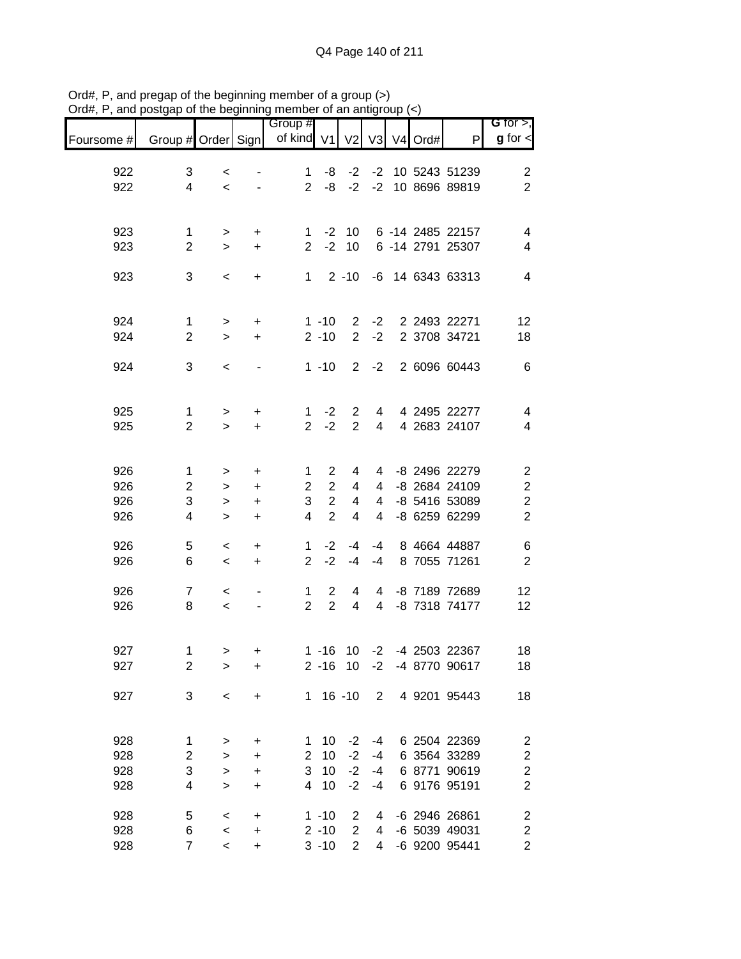| Foursome # | Group # Order Sign             |                     |                        | Group #<br>of kind V1          |                                  | V <sub>2</sub>                   | V3                  | V <sub>4</sub> | Ord# | P                                 | G for $>$ ,<br>$g$ for $\lt$     |
|------------|--------------------------------|---------------------|------------------------|--------------------------------|----------------------------------|----------------------------------|---------------------|----------------|------|-----------------------------------|----------------------------------|
|            |                                |                     |                        |                                |                                  |                                  |                     |                |      |                                   |                                  |
| 922<br>922 | 3<br>$\overline{4}$            | $\,<\,$<br>$\prec$  |                        | $\mathbf 1$<br>$\overline{2}$  | -8<br>-8                         | $-2$<br>$-2$                     | $-2$                |                |      | -2 10 5243 51239<br>10 8696 89819 | $\overline{c}$<br>$\overline{2}$ |
|            |                                |                     |                        |                                |                                  |                                  |                     |                |      |                                   |                                  |
| 923        | $\mathbf 1$                    | $\, > \,$           | $\ddot{}$              | 1                              | $-2$                             | 10                               |                     |                |      | 6 -14 2485 22157                  | $\overline{\mathbf{4}}$          |
| 923        | $\overline{2}$                 | $\geq$              | $\ddot{}$              | 2                              | $-2$                             | 10                               |                     |                |      | 6 -14 2791 25307                  | 4                                |
| 923        | 3                              | $\,<$               | +                      | $1 \quad$                      |                                  | $2 - 10$                         |                     |                |      | -6 14 6343 63313                  | $\overline{4}$                   |
|            |                                |                     |                        |                                |                                  |                                  |                     |                |      |                                   |                                  |
| 924<br>924 | $\mathbf{1}$<br>$\overline{2}$ | $\, > \,$<br>$\geq$ | +<br>$\ddot{}$         |                                | $1 - 10$<br>$2 - 10$             | $\overline{2}$<br>$\overline{2}$ | $-2$<br>$-2$        |                |      | 2 2493 22271<br>2 3708 34721      | 12<br>18                         |
|            |                                |                     |                        |                                |                                  |                                  |                     |                |      |                                   |                                  |
| 924        | 3                              | $\,<\,$             | $\overline{a}$         |                                | $1 - 10$                         | $\overline{2}$                   | $-2$                |                |      | 2 6096 60443                      | $\,6$                            |
| 925        |                                |                     |                        |                                |                                  |                                  |                     |                |      | 4 2495 22277                      |                                  |
| 925        | $\mathbf{1}$<br>$\overline{2}$ | $\, > \,$<br>$\geq$ | $\ddot{}$<br>$\ddot{}$ | $\mathbf{1}$<br>$\overline{2}$ | $-2$<br>$-2$                     | $\overline{2}$<br>$\overline{2}$ | 4<br>4              |                |      | 4 2683 24107                      | $\overline{\mathcal{A}}$<br>4    |
|            |                                |                     |                        |                                |                                  |                                  |                     |                |      |                                   |                                  |
| 926        | $\mathbf{1}$                   | >                   | $\ddot{}$              | 1                              | $\overline{2}$                   | 4                                | 4                   |                |      | -8 2496 22279                     | $\overline{\mathbf{c}}$          |
| 926<br>926 | $\overline{2}$<br>3            | $\, > \,$<br>>      | $\ddot{}$<br>$\ddot{}$ | $\overline{c}$<br>3            | $\overline{2}$<br>$\overline{c}$ | 4<br>4                           | 4<br>$\overline{4}$ |                |      | -8 2684 24109<br>-8 5416 53089    | $\frac{2}{2}$                    |
| 926        | 4                              | $\geq$              | $\ddot{}$              | 4                              | $\overline{2}$                   | 4                                | $\overline{4}$      |                |      | -8 6259 62299                     | $\overline{2}$                   |
| 926        | 5                              | $\,<\,$             | $\ddot{}$              | 1                              | $-2$                             | $-4$                             | -4                  |                |      | 8 4664 44887                      | $\,6$                            |
| 926        | 6                              | $\,<\,$             | $\ddot{}$              | $\overline{2}$                 | $-2$                             | $-4$                             | $-4$                |                |      | 8 7055 71261                      | $\boldsymbol{2}$                 |
| 926        | 7                              | $\,<\,$             |                        | $\mathbf 1$                    | $\overline{2}$                   | 4                                | 4                   |                |      | -8 7189 72689                     | 12                               |
| 926        | 8                              | $\,<$               |                        | $\overline{2}$                 | $\overline{2}$                   | 4                                | $\overline{4}$      |                |      | -8 7318 74177                     | 12                               |
| 927        | 1                              |                     |                        |                                |                                  |                                  |                     |                |      |                                   | 18                               |
| 927        | $\overline{c}$                 | ><br>>              | $\ddot{}$<br>+         |                                | $2 - 16$                         | $1 - 16$ 10 $-2$<br>- 10         | $-2$                |                |      | -4 2503 22367<br>-4 8770 90617    | 18                               |
| 927        | 3                              | $\,<$               | +                      |                                | $1 16 - 10$                      |                                  | $\overline{2}$      |                |      | 4 9201 95443                      | 18                               |
|            |                                |                     |                        |                                |                                  |                                  |                     |                |      |                                   |                                  |
| 928        | 1                              | >                   | +                      | 1                              | 10                               | $-2$                             | -4                  |                |      | 6 2504 22369                      | $\overline{\mathbf{c}}$          |
| 928        | $\overline{c}$                 | >                   | +                      | $\overline{c}$                 | 10                               | $-2$                             | -4                  |                |      | 6 3564 33289                      | $\overline{\mathbf{c}}$          |
| 928        | 3                              | $\, > \,$           | $\ddot{}$              | 3                              | 10                               | $-2$                             | -4                  |                |      | 6 8771 90619                      | $\overline{c}$                   |
| 928        | 4                              | $\geq$              | +                      | 4                              | 10                               | $-2$                             | $-4$                |                |      | 6 9176 95191                      | $\overline{\mathbf{c}}$          |
| 928        | 5                              | $\,<\,$             | $\ddot{}$              |                                | $1 - 10$                         | 2                                | 4                   |                |      | -6 2946 26861                     | $\overline{\mathbf{c}}$          |
| 928        | 6<br>$\overline{7}$            | $\,<$               | $\ddot{}$              |                                | $2 - 10$                         | $\overline{2}$<br>$\overline{2}$ | 4                   |                |      | -6 5039 49031                     | $\overline{\mathbf{c}}$          |
| 928        |                                | $\,<\,$             | $\ddot{}$              |                                | $3 - 10$                         |                                  | 4                   |                |      | -6 9200 95441                     | $\overline{c}$                   |

Ord#, P, and pregap of the beginning member of a group (>) Ord#, P, and postgap of the beginning member of an antigroup (<)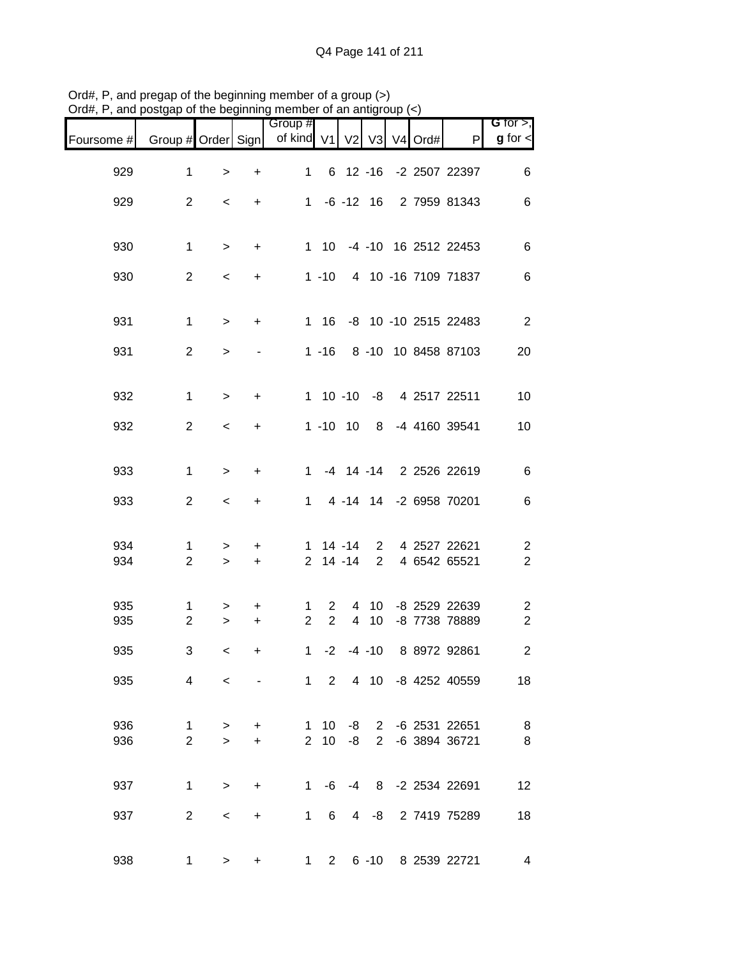|                                           |                           |  |                 |        |                |                                     | .         |                |                    |            |
|-------------------------------------------|---------------------------|--|-----------------|--------|----------------|-------------------------------------|-----------|----------------|--------------------|------------|
| G for $>$ ,<br>$g$ for $\lt$              | P                         |  |                 |        |                | Group #<br>of kind V1 V2 V3 V4 Ord# |           |                | Group # Order Sign | Foursome # |
| 6                                         | 6 12 -16 -2 2507 22397    |  |                 |        |                | $\mathbf{1}$                        | $\ddot{}$ | $\,>$          | $\mathbf 1$        | 929        |
| $\,6$                                     | 1 -6 -12 16 2 7959 81343  |  |                 |        |                |                                     | $\ddot{}$ | $\,<$          | $\overline{c}$     | 929        |
|                                           |                           |  |                 |        |                |                                     |           |                |                    |            |
| $\,6$                                     | 1 10 -4 -10 16 2512 22453 |  |                 |        |                |                                     | $\ddot{}$ | $\,$           | $\mathbf 1$        | 930        |
| $\,6$                                     | 4 10 -16 7109 71837       |  |                 |        | $1 - 10$       |                                     | $\ddot{}$ | $\,<$          | $\overline{2}$     | 930        |
| $\overline{2}$                            | 1 16 -8 10 -10 2515 22483 |  |                 |        |                |                                     | $\ddot{}$ | $\,$           | $\mathbf 1$        | 931        |
| 20                                        | 1 -16 8 -10 10 8458 87103 |  |                 |        |                |                                     |           | $\geq$         | $\overline{2}$     | 931        |
| 10                                        | 1 10 -10 -8 4 2517 22511  |  |                 |        |                |                                     | +         | $\,>$          | $\mathbf{1}$       | 932        |
|                                           |                           |  |                 |        |                |                                     |           |                |                    |            |
| 10                                        | 8 -4 4160 39541           |  |                 |        | $1 - 10$ 10    |                                     | $\ddot{}$ | $\,<$          | $\overline{2}$     | 932        |
| $\,6$                                     | 1 -4 14 -14 2 2526 22619  |  |                 |        |                |                                     | $\ddot{}$ | $\,>$          | $\mathbf{1}$       | 933        |
| $\,6$                                     | 4 -14 14 -2 6958 70201    |  |                 |        |                | 1                                   | $\ddot{}$ | $\,<$          | $\overline{2}$     | 933        |
|                                           | 2 4 2527 22621            |  |                 | 14 -14 |                | 1                                   | +         | $\,>$          | 1                  | 934        |
| $\overline{\mathbf{c}}$<br>$\overline{2}$ | 4 6542 65521              |  | $2^{\circ}$     |        | $2$ 14 -14     |                                     | $\ddot{}$ | $\,$           | $\overline{2}$     | 934        |
| $\overline{\mathbf{c}}$                   | -8 2529 22639             |  | 10 <sup>°</sup> | 4      | $2^{\circ}$    | $\mathbf{1}$                        | $\ddot{}$ | >              | $\mathbf{1}$       | 935        |
| $\boldsymbol{2}$                          | -8 7738 78889             |  | 4 10            |        | $\overline{2}$ | 2 <sup>1</sup>                      | $\ddot{}$ | $\geq$         | $\overline{2}$     | 935        |
| $\overline{c}$                            | 8 8972 92861              |  | $-4 - 10$       |        | $-2$           | $\mathbf 1$                         | +         | $\prec$        | 3                  | 935        |
| 18                                        | 1 2 4 10 -8 4252 40559    |  |                 |        |                |                                     |           | $\prec$        | $\overline{4}$     | 935        |
| 8                                         | 2 -6 2531 22651           |  |                 | -8     | 10             | 1                                   | $\ddot{}$ |                | 1                  | 936        |
| 8                                         | 2 -6 3894 36721           |  |                 | -8     | $2 \quad 10$   |                                     | $\ddot{}$ | $\,$<br>$\geq$ | $\overline{2}$     | 936        |
| 12                                        | 8 -2 2534 22691           |  |                 | -4     | $1 - 6$        |                                     |           |                | 1                  | 937        |
|                                           |                           |  |                 |        |                |                                     | $\ddot{}$ | $\, > \,$      |                    |            |
| 18                                        | 4 -8 2 7419 75289         |  |                 |        | 6              | 1                                   | +         | $\,<\,$        | $\overline{2}$     | 937        |
| 4                                         | 2 6 -10 8 2539 22721      |  |                 |        | $1 \quad$      |                                     | +         | $\geq$         | 1                  | 938        |

Ord#, P, and pregap of the beginning member of a group (>) Ord#, P, and postgap of the beginning member of an antigroup (<)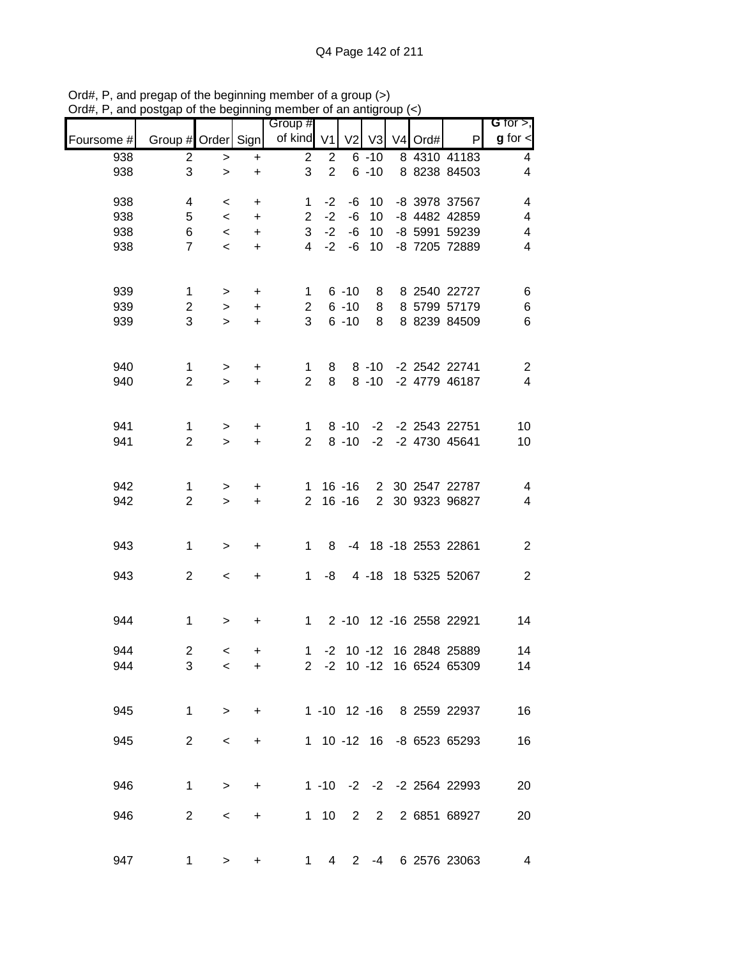|            |                    |           |           | Group #        |                |                |                |         |                           | G for $>$ ,              |
|------------|--------------------|-----------|-----------|----------------|----------------|----------------|----------------|---------|---------------------------|--------------------------|
| Foursome # | Group # Order Sign |           |           | of kind $V1$   |                | V <sub>2</sub> | V <sub>3</sub> | V4 Ord# | P                         | $g$ for $\lt$            |
| 938        | $\overline{2}$     | $\, > \,$ | +         | $\overline{c}$ | $\overline{2}$ |                | $6 - 10$       |         | 8 4310 41183              | 4                        |
| 938        | 3                  | $\, > \,$ | +         | 3              | $\overline{2}$ |                | $6 - 10$       |         | 8 8238 84503              | 4                        |
| 938        | 4                  | $\,<$     | $\ddot{}$ | $\mathbf{1}$   | $-2$           | -6             | 10             |         | -8 3978 37567             | $\overline{\mathbf{4}}$  |
| 938        | 5                  | $\,<\,$   | $\ddot{}$ | $\overline{2}$ | $-2$           | $-6$           | 10             |         | -8 4482 42859             | $\overline{\mathbf{4}}$  |
| 938        | 6                  | $\,<$     | $\ddot{}$ | 3              | $-2$           | -6             | 10             |         | -8 5991 59239             | $\overline{\mathcal{A}}$ |
| 938        | $\overline{7}$     | $\,<$     | $\ddot{}$ | $\overline{4}$ | $-2$           | $-6$           | 10             |         | -8 7205 72889             | 4                        |
| 939        | 1                  | $\, >$    | $\ddot{}$ | 1              |                | $6 - 10$       | 8              |         | 8 2540 22727              | $\,6$                    |
| 939        | $\mathbf{2}$       | $\,$      | $\ddot{}$ | $\overline{2}$ |                | $6 - 10$       | 8              |         | 8 5799 57179              | 6                        |
| 939        | 3                  | $\geq$    | $\ddot{}$ | 3              |                | $6 - 10$       | 8              |         | 8 8239 84509              | 6                        |
| 940        | $\mathbf 1$        | $\,$      | $\ddot{}$ | $\mathbf{1}$   | 8              |                | $8 - 10$       |         | -2 2542 22741             | $\overline{c}$           |
| 940        | $\overline{2}$     | $\geq$    | $\ddot{}$ | $\overline{2}$ | 8              |                | $8 - 10$       |         | -2 4779 46187             | $\overline{\mathbf{4}}$  |
| 941        | $\mathbf{1}$       | $\geq$    | $\ddot{}$ | $\mathbf 1$    |                | $8 - 10$       |                |         | -2 -2 2543 22751          | 10                       |
| 941        | $\overline{2}$     | $\geq$    | $\ddot{}$ | $\overline{2}$ |                | $8 - 10$       | $-2$           |         | -2 4730 45641             | 10                       |
|            |                    |           |           |                |                |                |                |         |                           |                          |
| 942        | 1                  | $\geq$    | $\ddot{}$ | $\mathbf 1$    |                | $16 - 16$      | $\overline{2}$ |         | 30 2547 22787             | 4                        |
| 942        | $\overline{2}$     | $\geq$    | $\ddot{}$ | $\overline{2}$ |                | $16 - 16$      | $\overline{2}$ |         | 30 9323 96827             | $\overline{\mathbf{4}}$  |
| 943        | $\mathbf 1$        | $\, > \,$ | +         | 1              | 8              |                |                |         | -4 18 -18 2553 22861      | $\boldsymbol{2}$         |
| 943        | $\mathbf{2}$       | $\,<$     | +         | 1              | -8             |                | $4 - 18$       |         | 18 5325 52067             | $\sqrt{2}$               |
|            |                    |           |           |                |                |                |                |         |                           |                          |
| 944        | 1                  | $\, >$    | $\ddot{}$ | $\mathbf 1$    |                |                |                |         | 2 -10 12 -16 2558 22921   | 14                       |
| 944        | $\overline{2}$     | $\,<\,$   | +         | 1              | $-2$           |                |                |         | 10 -12 16 2848 25889      | 14                       |
| 944        | 3                  | $\,<\,$   | +         |                |                |                |                |         | 2 -2 10 -12 16 6524 65309 | 14                       |
|            |                    |           |           |                |                |                |                |         |                           |                          |
| 945        | $\mathbf{1}$       | $\, > \,$ | +         |                |                |                |                |         | 1 -10 12 -16 8 2559 22937 | 16                       |
| 945        | $\overline{2}$     | $\,<\,$   | $\ddot{}$ |                |                |                |                |         | 1 10 -12 16 -8 6523 65293 | 16                       |
|            |                    |           |           |                |                |                |                |         |                           |                          |
| 946        | 1                  | $\, >$    | $\ddot{}$ |                |                |                |                |         | 1 -10 -2 -2 -2 2564 22993 | 20                       |
| 946        | $\overline{2}$     | $\,<\,$   | +         |                | $1 \quad 10$   | $2^{\circ}$    |                |         | 2 2 6851 68927            | 20                       |
| 947        | 1                  | >         | +         | 1.             | 4              | $2^{\circ}$    |                |         | -4 6 2576 23063           | 4                        |

Ord#, P, and pregap of the beginning member of a group (>) Ord#, P, and postgap of the beginning member of an antigroup (<)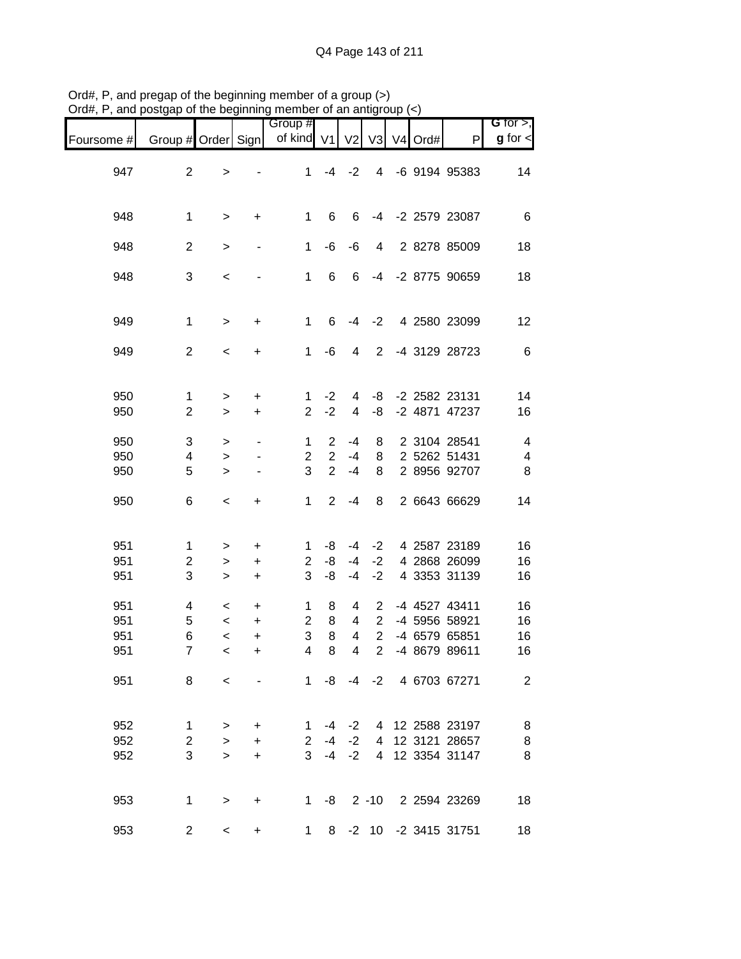|            |                    | $\sim$ $\sim$            |           | <br>Group #    |                |                         |                |                          |                     | G for $>$ ,              |
|------------|--------------------|--------------------------|-----------|----------------|----------------|-------------------------|----------------|--------------------------|---------------------|--------------------------|
| Foursome # | Group # Order Sign |                          |           | of kind V1     |                | V <sub>2</sub>          |                | $V3$ V <sub>4</sub> Ord# | P                   | $g$ for $\lt$            |
|            |                    |                          |           |                |                |                         |                |                          |                     |                          |
| 947        | $\overline{2}$     | $\geq$                   |           | 1              | $-4$           | $-2$                    | $\overline{4}$ |                          | -6 9194 95383       | 14                       |
|            |                    |                          |           |                |                |                         |                |                          |                     |                          |
|            |                    |                          |           |                |                |                         |                |                          |                     |                          |
| 948        | $\mathbf 1$        | $\mathbf{L}$             | $\ddot{}$ | $\mathbf 1$    | 6              | 6                       | $-4$           |                          | -2 2579 23087       | $\,6$                    |
|            |                    |                          |           |                |                |                         |                |                          |                     |                          |
| 948        | $\mathbf{2}$       | $\geq$                   |           | $\mathbf{1}$   | -6             | -6                      | 4              |                          | 2 8278 85009        | 18                       |
|            |                    |                          |           |                |                |                         |                |                          |                     |                          |
| 948        | 3                  | $\,<$                    |           | $\mathbf 1$    | $\,6\,$        | 6                       | $-4$           |                          | -2 8775 90659       | 18                       |
|            |                    |                          |           |                |                |                         |                |                          |                     |                          |
|            |                    |                          |           |                |                |                         |                |                          |                     |                          |
| 949        | $\mathbf 1$        | $\mathbf{L}$             | $\ddot{}$ | $\mathbf{1}$   | 6              | -4                      | $-2$           |                          | 4 2580 23099        | 12                       |
|            |                    |                          |           |                |                |                         |                |                          |                     |                          |
| 949        | $\mathbf{2}$       | $\,<$                    | $\ddot{}$ | $\mathbf{1}$   | -6             | 4                       | $\overline{2}$ |                          | -4 3129 28723       | $\,6\,$                  |
|            |                    |                          |           |                |                |                         |                |                          |                     |                          |
|            |                    |                          |           |                |                |                         |                |                          |                     |                          |
| 950        | $\mathbf{1}$       | $\,$                     | $\ddot{}$ | 1              | $-2$           | 4                       | -8             |                          | -2 2582 23131       | 14                       |
| 950        | $\overline{2}$     | $\geq$                   | $\ddot{}$ | $\overline{2}$ | $-2$           | $\overline{\mathbf{4}}$ | -8             |                          | -2 4871 47237       | 16                       |
| 950        | 3                  |                          |           | 1              | $\overline{2}$ | $-4$                    | 8              |                          | 2 3104 28541        | $\overline{4}$           |
| 950        | 4                  | $\,>$                    |           | $\overline{c}$ | $\overline{2}$ | $-4$                    | 8              |                          | 2 5262 51431        | $\overline{\mathcal{A}}$ |
| 950        | 5                  | $\,$<br>$\geq$           |           | 3              | $\overline{2}$ | $-4$                    | 8              |                          | 2 8956 92707        | 8                        |
|            |                    |                          |           |                |                |                         |                |                          |                     |                          |
| 950        | 6                  | $\,<$                    | $\ddot{}$ | $\mathbf 1$    | $\overline{2}$ | $-4$                    | 8              |                          | 2 6643 66629        | 14                       |
|            |                    |                          |           |                |                |                         |                |                          |                     |                          |
|            |                    |                          |           |                |                |                         |                |                          |                     |                          |
| 951        | 1                  | $\mathbf{I}$             | $\ddot{}$ | 1              | -8             | -4                      | $-2$           |                          | 4 2587 23189        | 16                       |
| 951        | $\overline{c}$     | $\mathbf{L}$             | $\ddot{}$ | $\overline{2}$ | -8             | $-4$                    | $-2$           |                          | 4 2868 26099        | 16                       |
| 951        | 3                  | $\geq$                   | $\ddot{}$ | 3              | -8             | $-4$                    | $-2$           |                          | 4 3353 31139        | 16                       |
|            |                    |                          |           |                |                |                         |                |                          |                     |                          |
| 951        | 4                  | $\,<$                    | $\ddot{}$ | 1              | 8              | 4                       | $\overline{2}$ |                          | -4 4527 43411       | 16                       |
| 951        | $\mathbf 5$        | $\,<$                    | $\ddot{}$ | $\overline{c}$ | 8              | 4                       | $\mathbf{2}$   |                          | -4 5956 58921       | 16                       |
| 951        | 6                  | $\prec$                  | $\ddot{}$ | 3              | $\,8\,$        | 4                       | $\overline{2}$ |                          | -4 6579 65851       | 16                       |
| 951        | $\overline{7}$     | $\prec$                  | $\ddot{}$ | $\overline{4}$ | 8              | $\overline{4}$          | $\overline{2}$ |                          | -4 8679 89611       | 16                       |
|            |                    |                          |           |                |                |                         |                |                          |                     |                          |
| 951        | 8                  | $\overline{\phantom{0}}$ |           |                | $1 - 8$        |                         |                |                          | -4 -2 4 6703 67271  | $\overline{2}$           |
|            |                    |                          |           |                |                |                         |                |                          |                     |                          |
|            |                    |                          |           |                |                |                         |                |                          |                     |                          |
| 952        | $\mathbf{1}$       | $\, > \,$                | $\ddot{}$ | $\mathbf{1}$   | -4             | $-2$                    |                |                          | 4 12 2588 23197     | 8                        |
| 952        | $\overline{2}$     | $\geq$                   | $\ddot{}$ | $\mathbf{2}$   | $-4$           | $-2$                    | 4              |                          | 12 3121 28657       | $\bf8$                   |
| 952        | 3                  | $\geq$                   | $\ddot{}$ |                | $3 - 4$        | $-2$                    | $\overline{4}$ |                          | 12 3354 31147       | 8                        |
|            |                    |                          |           |                |                |                         |                |                          |                     |                          |
|            |                    |                          |           |                |                |                         |                |                          |                     |                          |
| 953        | $\mathbf 1$        | $\, > \,$                | $\ddot{}$ | $1 \quad$      | -8             |                         |                |                          | 2 -10 2 2594 23269  | 18                       |
|            |                    |                          |           |                |                |                         |                |                          |                     |                          |
| 953        | $\overline{c}$     | $\,<$                    | +         | $\mathbf 1$    | 8              |                         |                |                          | -2 10 -2 3415 31751 | 18                       |

Ord#, P, and pregap of the beginning member of a group (>) Ord#, P, and postgap of the beginning member of an antigroup (<)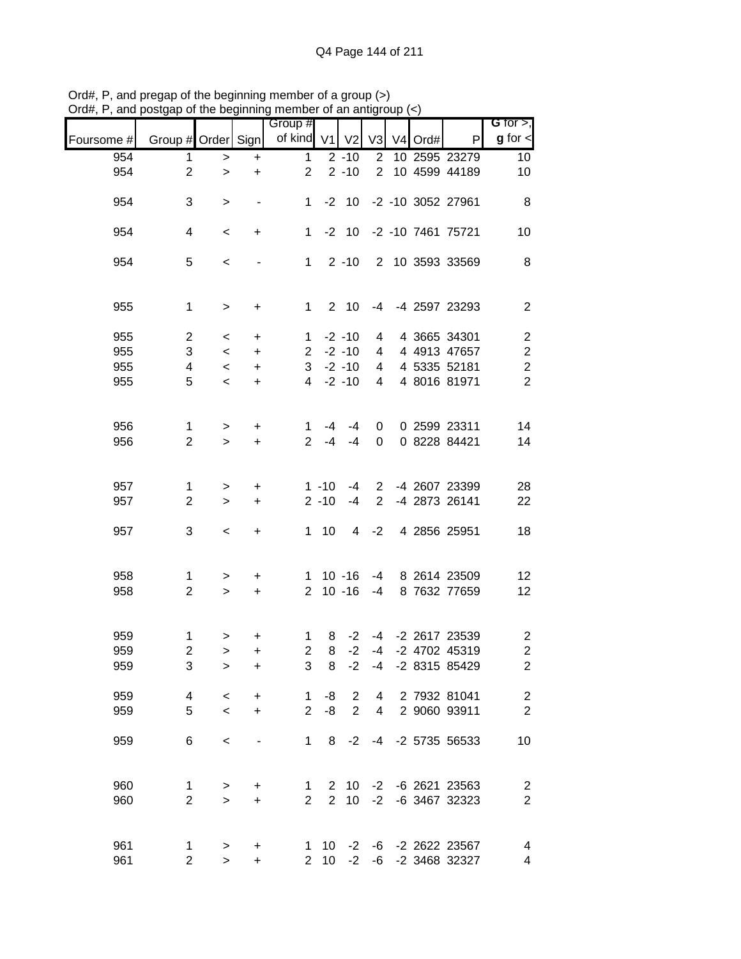|            |                         |         |                                  | Group #        |                      |                 |                |         |                           | G for $>$ ,              |
|------------|-------------------------|---------|----------------------------------|----------------|----------------------|-----------------|----------------|---------|---------------------------|--------------------------|
| Foursome # | Group # Order Sign      |         |                                  | of kind        | V <sub>1</sub>       | V <sub>2</sub>  | V <sub>3</sub> | V4 Ord# | P                         | $g$ for $\leq$           |
| 954        | 1                       | $\geq$  | $\ddot{}$                        | $\mathbf 1$    |                      | $2 - 10$        | $\overline{2}$ |         | 10 2595 23279             | 10 <sub>1</sub>          |
| 954        | $\overline{2}$          | $\geq$  | $\ddot{}$                        | $\overline{2}$ |                      | $2 - 10$        | $\overline{2}$ |         | 10 4599 44189             | 10                       |
| 954        | 3                       | $\, >$  |                                  | 1              | $-2$                 | 10              |                |         | -2 -10 3052 27961         | 8                        |
| 954        | 4                       | $\,<\,$ | +                                | $\mathbf{1}$   |                      | $-2$ 10         |                |         | -2 -10 7461 75721         | 10                       |
| 954        | 5                       | $\,<$   |                                  | 1              |                      | $2 - 10$        |                |         | 2 10 3593 33569           | 8                        |
| 955        | $\mathbf 1$             | $\, >$  | +                                | 1              |                      | 2 <sub>10</sub> | -4             |         | -4 2597 23293             | $\overline{2}$           |
| 955        | $\overline{c}$          | $\,<\,$ | $\ddot{}$                        | $\mathbf{1}$   |                      | $-2 - 10$       | 4              |         | 4 3665 34301              | $\overline{\mathbf{c}}$  |
| 955        | 3                       | $\,<\,$ | $\ddot{}$                        | $\overline{2}$ |                      | $-2 - 10$       | 4              |         | 4 4913 47657              | $\boldsymbol{2}$         |
| 955        | $\overline{\mathbf{4}}$ | $\,<\,$ | $\ddot{}$                        | 3              |                      | $-2 - 10$       | 4              |         | 4 5335 52181              | $\boldsymbol{2}$         |
| 955        | 5                       | $\prec$ | $\ddot{}$                        | $\overline{4}$ |                      | $-2 - 10$       | 4              |         | 4 8016 81971              | $\overline{2}$           |
| 956        | $\mathbf{1}$            | $\, >$  | +                                | 1              | $-4$                 | $-4$            | 0              |         | 0 2599 23311              | 14                       |
| 956        | $\overline{2}$          | $\geq$  | $\ddot{}$                        | $\overline{2}$ | $-4$                 | $-4$            | 0              |         | 0 8228 84421              | 14                       |
| 957        | 1                       | $\, >$  | +                                |                | $1 - 10$             | $-4$            | $\overline{2}$ |         | -4 2607 23399             | 28                       |
| 957        | $\overline{2}$          | $\geq$  | $\ddot{}$                        |                | $2 - 10$             | $-4$            | $\overline{2}$ |         | -4 2873 26141             | 22                       |
| 957        | 3                       | $\,<$   | $\ddot{}$                        | 1              | 10                   | 4               | $-2$           |         | 4 2856 25951              | 18                       |
| 958        | 1                       | $\,>$   | +                                | $\mathbf{1}$   |                      | $10 - 16$       | $-4$           |         | 8 2614 23509              | 12                       |
| 958        | $\overline{2}$          | $\,>$   | $\ddot{}$                        | $\overline{2}$ |                      | $10 - 16$       | $-4$           |         | 8 7632 77659              | 12                       |
| 959        | $\mathbf 1$             | $\,$    | +                                | 1              | 8                    | $-2$            |                |         | -4 -2 2617 23539          | $\overline{\mathbf{c}}$  |
| 959        | $\mathbf 2$             | $\geq$  | +                                | $\overline{c}$ | 8                    | $-2$            | $-4$           |         | -2 4702 45319             | $\boldsymbol{2}$         |
| 959        | 3                       | $\geq$  | $\ddot{}$                        | 3              | 8                    | $-2$            |                |         | -4 -2 8315 85429          | $\overline{2}$           |
| 959        | 4                       | $\,<\,$ | $\ddot{}$                        | 1              | -8                   | 2               | 4              |         | 2 7932 81041              | $\overline{\mathbf{c}}$  |
| 959        | 5                       | $\prec$ | $\ddot{}$                        | $\overline{2}$ | -8                   | $\overline{2}$  | 4              |         | 2 9060 93911              | $\overline{c}$           |
| 959        | 6                       | $\,<$   |                                  | 1              | 8                    | $-2$            |                |         | -4 -2 5735 56533          | $10$                     |
| 960        | 1                       | $\, >$  | +                                | 1              | $\mathbf{2}^{\circ}$ | 10              |                |         | -2 -6 2621 23563          | $\overline{\mathbf{c}}$  |
| 960        | $\overline{2}$          | $\,>$   | $\ddot{}$                        | $\overline{2}$ | $\overline{2}$       | 10              | $-2$           |         | -6 3467 32323             | $\boldsymbol{2}$         |
| 961        | 1                       | $\, >$  | $\begin{array}{c} + \end{array}$ | $1 \quad$      | 10                   |                 |                |         | $-2$ $-6$ $-2$ 2622 23567 | $\overline{\mathcal{A}}$ |
| 961        | $\overline{2}$          | $\geq$  | $\ddot{}$                        | $\overline{2}$ | 10                   | $-2$            | $-6$           |         | -2 3468 32327             | 4                        |

Ord#, P, and pregap of the beginning member of a group (>) Ord#, P, and postgap of the beginning member of an antigroup (<)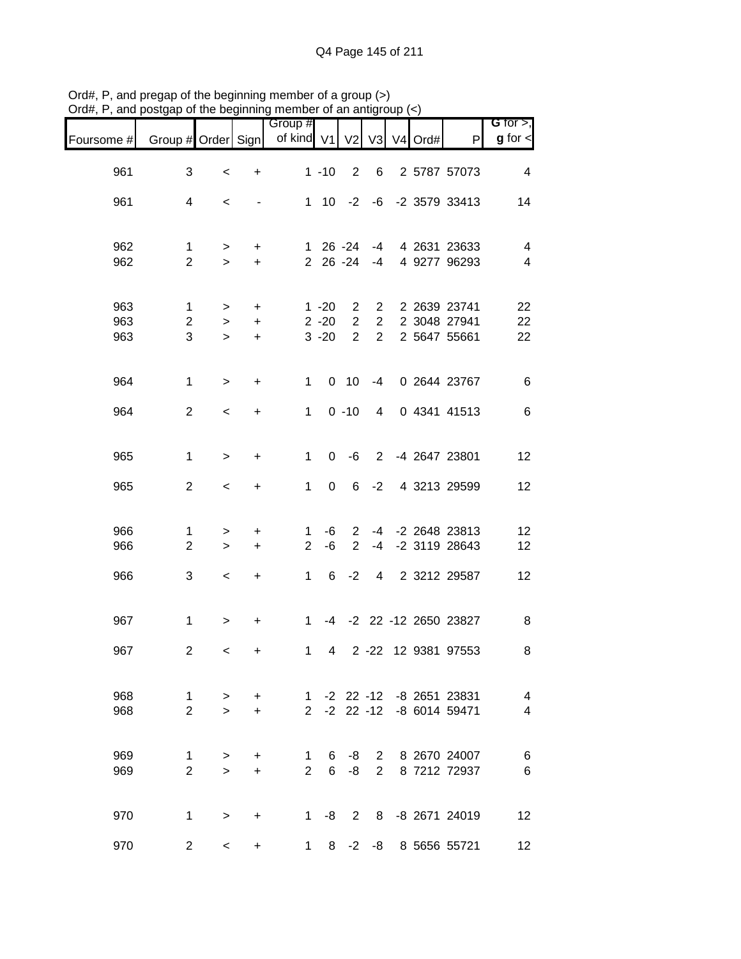|                   |                               |                        |                                     | Group #                        |                                  |                                                    |                                                    |                |      |                                                      | G for $>$ ,                   |
|-------------------|-------------------------------|------------------------|-------------------------------------|--------------------------------|----------------------------------|----------------------------------------------------|----------------------------------------------------|----------------|------|------------------------------------------------------|-------------------------------|
| Foursome #        | Group # Order Sign            |                        |                                     | of kind V1                     |                                  | V <sub>2</sub>                                     | V3                                                 | V <sub>4</sub> | Ord# | P                                                    | $g$ for $\lt$                 |
| 961               | 3                             | $\,<\,$                | $\begin{array}{c} + \end{array}$    |                                | $1 - 10$                         | $\overline{2}$                                     | 6                                                  |                |      | 2 5787 57073                                         | $\overline{4}$                |
| 961               | 4                             | $\,<\,$                |                                     |                                |                                  | $1 \t10 \t-2$                                      | -6                                                 |                |      | -2 3579 33413                                        | 14                            |
| 962<br>962        | 1<br>$\overline{2}$           | $\geq$<br>$\geq$       | $\ddot{}$<br>$+$                    |                                |                                  | $126 - 24$<br>$2\ 26\ -24$                         | -4<br>$-4$                                         |                |      | 4 2631 23633<br>4 9277 96293                         | 4<br>$\overline{\mathcal{A}}$ |
| 963<br>963<br>963 | 1<br>2<br>3                   | $\,$<br>$\,$<br>$\geq$ | $\ddot{}$<br>$\ddot{}$<br>$\ddot{}$ |                                | $1 - 20$<br>$2 - 20$<br>$3 - 20$ | $\overline{2}$<br>$\overline{2}$<br>$\overline{2}$ | $\overline{2}$<br>$\overline{2}$<br>$\overline{2}$ |                |      | 2 2639 23741<br>2 3048 27941<br>2 5647 55661         | 22<br>22<br>22                |
| 964               | $\mathbf 1$                   | $\,$                   | $\ddot{}$                           | $\mathbf{1}$                   |                                  | $0$ 10                                             | $-4$                                               |                |      | 0 2644 23767                                         | $\,6$                         |
| 964               | $\overline{2}$                | $\,<$                  | $\ddot{}$                           | $\mathbf{1}$                   |                                  | $0 - 10$                                           | 4                                                  |                |      | 0 4341 41513                                         | $\,6$                         |
| 965               | 1                             | $\,$                   | $\ddot{}$                           | 1                              | 0                                | $-6$                                               | $\overline{2}$                                     |                |      | -4 2647 23801                                        | 12                            |
| 965               | $\overline{2}$                | $\,<$                  | +                                   | 1                              | 0                                | 6                                                  | $-2$                                               |                |      | 4 3213 29599                                         | 12                            |
| 966<br>966        | 1<br>$\overline{2}$           | $\,$<br>$\,$           | +<br>$\ddot{}$                      | 1<br>$\overline{2}$            | -6<br>-6                         | $\overline{2}$<br>$\overline{2}$                   | $-4$                                               |                |      | -4 -2 2648 23813<br>-2 3119 28643                    | 12<br>12                      |
| 966               | 3                             | $\,<$                  | $\ddot{}$                           | $\mathbf{1}$                   | 6                                | $-2$                                               | $\overline{4}$                                     |                |      | 2 3212 29587                                         | 12                            |
| 967               | $\mathbf 1$                   | $\, >$                 | +                                   | $\mathbf 1$                    |                                  |                                                    |                                                    |                |      | -4 -2 22 -12 2650 23827                              | 8                             |
| 967               | $\overline{c}$                | $\,<$                  | +                                   | $\mathbf{1}$                   | 4                                |                                                    |                                                    |                |      | 2 -22 12 9381 97553                                  | 8                             |
| 968<br>968        | $\mathbf 1$<br>$\overline{2}$ | $\, >$<br>$\geq$       | $\ddot{}$<br>$\ddot{}$              | $\mathbf{2}$                   |                                  |                                                    |                                                    |                |      | 1 -2 22 -12 -8 2651 23831<br>-2 22 -12 -8 6014 59471 | $\overline{4}$<br>4           |
| 969<br>969        | 1<br>$\overline{2}$           | $\,$<br>$\geq$         | +<br>$\ddot{}$                      | $\mathbf{1}$<br>$\overline{2}$ | 6<br>6                           | -8<br>-8                                           |                                                    |                |      | 2 8 2670 24007<br>2 8 7212 72937                     | 6<br>$\,6$                    |
| 970               | $\mathbf 1$                   | $\, > \,$              | $\ddot{}$                           |                                | 1 -8                             | 2                                                  |                                                    |                |      | 8 -8 2671 24019                                      | 12                            |
| 970               | $\overline{c}$                | $\,<$                  | +                                   | 1                              | 8                                |                                                    |                                                    |                |      | -2 -8 8 5656 55721                                   | 12                            |

Ord#, P, and pregap of the beginning member of a group (>) Ord#, P, and postgap of the beginning member of an antigroup (<)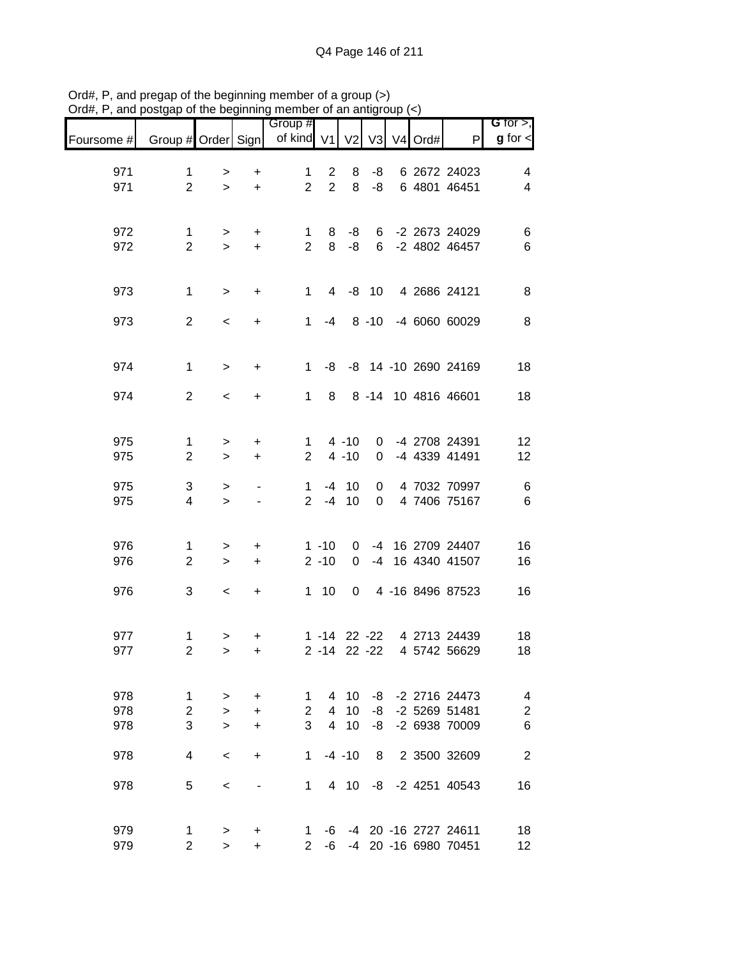|            |                                |             |                        | Group #                       |                  |                |          |            |                                              | G for $>$ ,             |
|------------|--------------------------------|-------------|------------------------|-------------------------------|------------------|----------------|----------|------------|----------------------------------------------|-------------------------|
| Foursome # | Group # Order Sign             |             |                        | of kind V1                    |                  | V <sub>2</sub> |          | V3 V4 Ord# | P                                            | $g$ for $\lt$           |
| 971        | 1                              | >           | $\ddot{}$              | $\mathbf{1}$                  | 2                | 8              | -8       |            | 6 2672 24023                                 | 4                       |
| 971        | $\overline{2}$                 | $\geq$      | $\ddot{}$              | $\overline{2}$                | $\overline{2}$   | 8              | -8       |            | 6 4801 46451                                 | $\overline{\mathbf{4}}$ |
|            |                                |             |                        |                               |                  |                |          |            |                                              |                         |
|            |                                |             |                        |                               |                  |                |          |            |                                              |                         |
| 972<br>972 | $\mathbf{1}$<br>$\overline{2}$ | ><br>$\geq$ | +<br>$\ddot{}$         | $\mathbf 1$<br>$\overline{2}$ | 8<br>8           | -8<br>-8       | 6<br>6   |            | -2 2673 24029<br>-2 4802 46457               | $\,6$<br>$\,6$          |
|            |                                |             |                        |                               |                  |                |          |            |                                              |                         |
|            |                                |             |                        |                               |                  |                |          |            |                                              |                         |
| 973        | $\mathbf 1$                    | $\, > \,$   | +                      | $\mathbf{1}$                  | $\overline{4}$   |                | $-8$ 10  |            | 4 2686 24121                                 | 8                       |
|            |                                |             |                        |                               |                  |                |          |            |                                              |                         |
| 973        | $\overline{2}$                 | $\,<$       | $\ddot{}$              | $\mathbf{1}$                  | -4               |                | $8 - 10$ |            | -4 6060 60029                                | $\, 8$                  |
|            |                                |             |                        |                               |                  |                |          |            |                                              |                         |
| 974        | $\mathbf{1}$                   | $\geq$      | $\ddot{}$              | $\mathbf{1}$                  | -8               |                |          |            | -8 14 -10 2690 24169                         | 18                      |
|            |                                |             |                        |                               |                  |                |          |            |                                              |                         |
| 974        | $\overline{2}$                 | $\,<$       | +                      | $\mathbf{1}$                  | 8                |                |          |            | 8 -14 10 4816 46601                          | 18                      |
|            |                                |             |                        |                               |                  |                |          |            |                                              |                         |
| 975        | $\mathbf{1}$                   | $\, > \,$   | +                      | $\mathbf{1}$                  |                  | $4 - 10$       | 0        |            | -4 2708 24391                                | 12                      |
| 975        | $\overline{2}$                 | $\geq$      | $\ddot{}$              | $\overline{2}$                |                  | $4 - 10$       | 0        |            | -4 4339 41491                                | 12                      |
|            |                                |             |                        |                               |                  |                |          |            |                                              |                         |
| 975<br>975 | $\sqrt{3}$<br>$\overline{4}$   | ><br>$\geq$ |                        | 1<br>$\overline{2}$           | -4<br>$-4$       | 10<br>10       | 0<br>0   |            | 4 7032 70997<br>4 7406 75167                 | $\,6$<br>$\,6$          |
|            |                                |             |                        |                               |                  |                |          |            |                                              |                         |
|            |                                |             |                        |                               |                  |                |          |            |                                              |                         |
| 976        | 1                              | >           | +                      |                               | $1 - 10$         | 0              |          |            | -4 16 2709 24407                             | 16                      |
| 976        | $\overline{2}$                 | $\geq$      | +                      |                               | $2 - 10$         | 0              | $-4$     |            | 16 4340 41507                                | 16                      |
| 976        | 3                              | $\,<\,$     | $\ddot{}$              | $\mathbf 1$                   | 10               | 0              |          |            | 4 -16 8496 87523                             | 16                      |
|            |                                |             |                        |                               |                  |                |          |            |                                              |                         |
|            |                                |             |                        |                               |                  |                |          |            |                                              |                         |
| 977        | 1                              | >           | $\ddot{}$              |                               | $1 - 14$ 22 - 22 |                |          |            | 4 2713 24439                                 | 18                      |
| 977        | $\overline{2}$                 | $\geq$      | $\ddot{}$              |                               | 2 -14 22 -22     |                |          |            | 4 5742 56629                                 | 18                      |
|            |                                |             |                        |                               |                  |                |          |            |                                              |                         |
| 978        | $\mathbf{1}$                   | >           | +                      | 1                             | 4                | 10             | -8       |            | -2 2716 24473                                | $\overline{\mathbf{4}}$ |
| 978        | $\overline{2}$                 | $\geq$      | $+$                    | $\overline{2}$                | $\overline{4}$   | 10             | -8       |            | -2 5269 51481                                | $\boldsymbol{2}$        |
| 978        | 3                              | $\geq$      | $\ddot{}$              | 3                             |                  | 4 10           | -8       |            | -2 6938 70009                                | $6\phantom{1}$          |
|            | 4                              |             |                        | $\mathbf{1}$                  |                  | $-4 - 10$      |          |            | 2 3500 32609                                 | $\sqrt{2}$              |
| 978        |                                | $\prec$     | $\ddot{}$              |                               |                  |                | 8        |            |                                              |                         |
| 978        | 5                              | $\,<$       |                        | $\mathbf{1}$                  |                  | 4 10           |          |            | -8 -2 4251 40543                             | 16                      |
|            |                                |             |                        |                               |                  |                |          |            |                                              |                         |
|            |                                |             |                        |                               |                  |                |          |            |                                              |                         |
| 979<br>979 | 1<br>$\overline{2}$            | ><br>$\geq$ | $\ddot{}$<br>$\ddot{}$ | 1.<br>$\overline{2}$          | -6<br>-6         |                |          |            | -4 20 -16 2727 24611<br>-4 20 -16 6980 70451 | 18<br>12                |
|            |                                |             |                        |                               |                  |                |          |            |                                              |                         |

Ord#, P, and pregap of the beginning member of a group (>) Ord#, P, and postgap of the beginning member of an antigroup (<)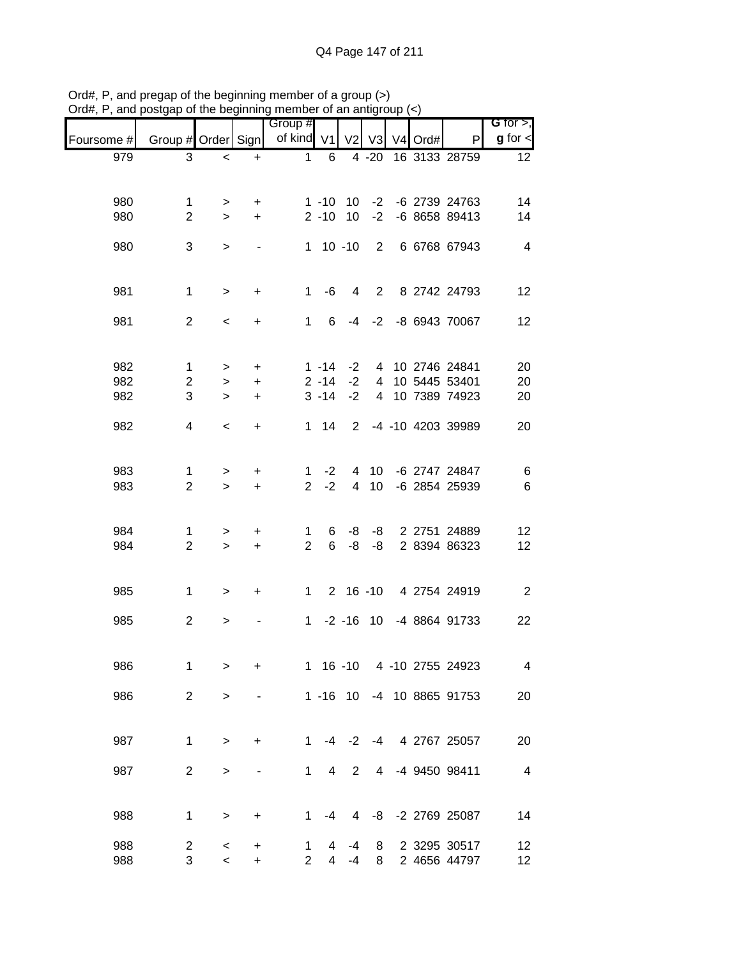|            |                     |           |           | Group #             |                |                |                |           |                              | G for $>$ ,             |
|------------|---------------------|-----------|-----------|---------------------|----------------|----------------|----------------|-----------|------------------------------|-------------------------|
| Foursome # | Group # Order Sign  |           |           | of kind V1          |                | V <sub>2</sub> | V3             | $V4$ Ord# | P                            | $g$ for $\lt$           |
| 979        | 3                   | $\,<\,$   | $\ddot{}$ | $\mathbf{1}$        | 6              |                |                |           | 4 -20 16 3133 28759          | 12                      |
|            |                     |           |           |                     |                |                |                |           |                              |                         |
| 980        | 1                   | >         | +         |                     | $1 - 10$       | 10             | $-2$           |           | -6 2739 24763                | 14                      |
| 980        | $\overline{2}$      | $\geq$    | $\ddot{}$ |                     | $2 - 10$       | 10             | $-2$           |           | -6 8658 89413                | 14                      |
|            |                     |           |           |                     |                |                |                |           |                              |                         |
| 980        | 3                   | $\, > \,$ |           |                     | $1 10 - 10$    |                |                |           | 2 6 6768 67943               | $\overline{4}$          |
|            |                     |           |           |                     |                |                |                |           |                              |                         |
| 981        | $\mathbf 1$         | $\, > \,$ | +         | $1 \quad$           | -6             | 4              |                |           | 2 8 2742 24793               | 12                      |
|            |                     |           |           |                     |                |                |                |           |                              |                         |
| 981        | $\overline{2}$      | $\,<\,$   | $\ddot{}$ | $1 \quad$           | 6              | -4             | $-2$           |           | -8 6943 70067                | 12                      |
|            |                     |           |           |                     |                |                |                |           |                              |                         |
| 982        | $\mathbf{1}$        | $\geq$    | $\ddot{}$ |                     | $1 - 14$       | $-2$           |                |           | 4 10 2746 24841              | 20                      |
| 982        | $\overline{2}$      | $\geq$    | $\ddot{}$ |                     | $2 - 14$       | $-2$           | $\overline{4}$ |           | 10 5445 53401                | 20                      |
| 982        | 3                   | $\geq$    | $\ddot{}$ |                     | $3 - 14$       | $-2$           | $\overline{4}$ |           | 10 7389 74923                | 20                      |
|            |                     |           |           |                     |                |                |                |           |                              |                         |
| 982        | $\overline{4}$      | $\,<\,$   | $\ddot{}$ |                     | $1 \quad 14$   | $\overline{2}$ |                |           | -4 -10 4203 39989            | 20                      |
|            |                     |           |           |                     |                |                |                |           |                              |                         |
| 983        | 1                   | >         | +         | 1                   | $-2$           | 4              | 10             |           | -6 2747 24847                | 6                       |
| 983        | $\overline{2}$      | $\geq$    | $\ddot{}$ | $\overline{2}$      | $-2$           | $\overline{4}$ | 10             |           | -6 2854 25939                | 6                       |
|            |                     |           |           |                     |                |                |                |           |                              |                         |
|            |                     |           |           |                     |                |                |                |           |                              |                         |
| 984<br>984 | 1<br>$\overline{2}$ | >         | $\ddot{}$ | 1<br>$\overline{2}$ | 6<br>6         | -8<br>-8       | -8<br>-8       |           | 2 2751 24889<br>2 8394 86323 | 12<br>12                |
|            |                     | $\geq$    | $\ddot{}$ |                     |                |                |                |           |                              |                         |
|            |                     |           |           |                     |                |                |                |           |                              |                         |
| 985        | 1                   | $\, > \,$ | +         | $1 \quad$           |                |                |                |           | 2 16 -10 4 2754 24919        | $\overline{2}$          |
|            |                     |           |           |                     |                |                |                |           |                              |                         |
| 985        | $\overline{2}$      | >         |           |                     | $1 - 2 - 16$   |                |                |           | 10 -4 8864 91733             | 22                      |
|            |                     |           |           |                     |                |                |                |           |                              |                         |
| 986        | 1                   | $\geq$    | +         |                     | $1 \t16 \t-10$ |                |                |           | 4 -10 2755 24923             | 4                       |
|            |                     |           |           |                     |                |                |                |           |                              |                         |
| 986        | $\overline{2}$      | >         |           |                     | $1 - 16$ 10    |                |                |           | -4 10 8865 91753             | 20                      |
|            |                     |           |           |                     |                |                |                |           |                              |                         |
| 987        | 1                   | $\, > \,$ | $\ddot{}$ | $\mathbf 1$         |                | $-4$ $-2$      | $-4$           |           | 4 2767 25057                 | 20                      |
|            |                     |           |           |                     |                |                |                |           |                              |                         |
| 987        | $\overline{2}$      | $\,>$     |           | 1                   | 4              | $\overline{2}$ | 4              |           | -4 9450 98411                | $\overline{\mathbf{4}}$ |
|            |                     |           |           |                     |                |                |                |           |                              |                         |
| 988        | 1                   | $\,>$     | +         | 1                   | $-4$           | 4              |                |           | -8 -2 2769 25087             | 14                      |
|            |                     |           |           |                     |                |                |                |           |                              |                         |
| 988        | $\overline{c}$      | $\,<$     | $\ddot{}$ | 1                   | 4              | $-4$           | 8              |           | 2 3295 30517                 | 12                      |
| 988        | 3                   | $\,<$     | +         | $\overline{2}$      | 4              | $-4$           | 8              |           | 2 4656 44797                 | 12 <sub>2</sub>         |

Ord#, P, and pregap of the beginning member of a group (>) Ord#, P, and postgap of the beginning member of an antigroup (<)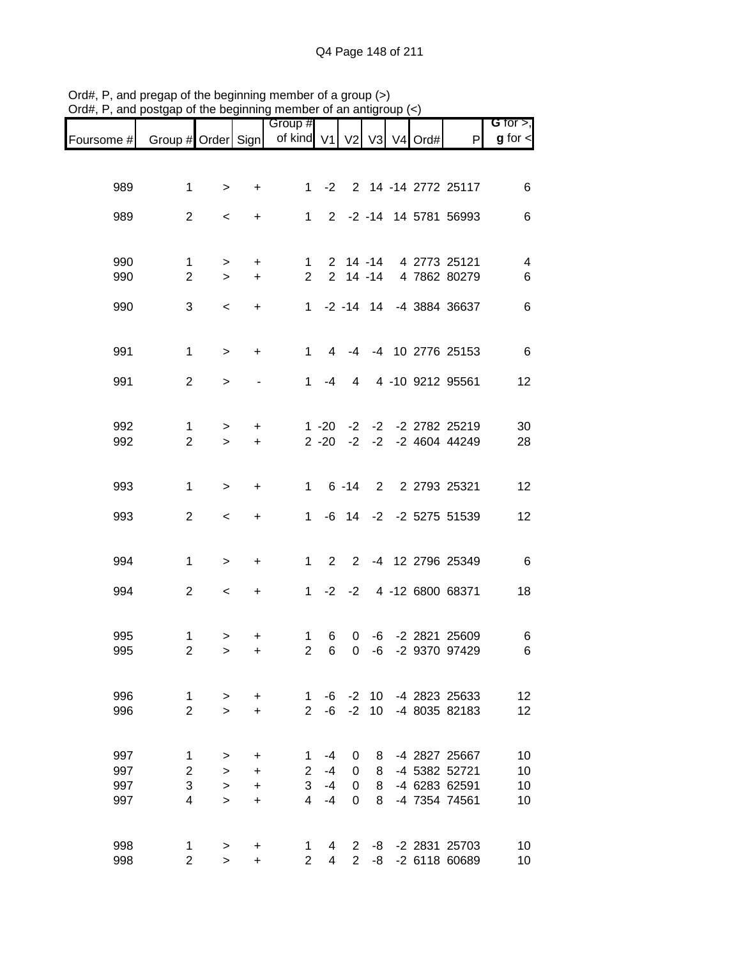| G for $>$ ,   |                                      |  |                 |                       |                      | Group #                  |                |                |                              |            |
|---------------|--------------------------------------|--|-----------------|-----------------------|----------------------|--------------------------|----------------|----------------|------------------------------|------------|
| $g$ for $\lt$ | P                                    |  |                 |                       |                      | of kind V1 V2 V3 V4 Ord# |                |                | Group # Order Sign           | Foursome # |
|               |                                      |  |                 |                       |                      |                          |                |                |                              |            |
| 6             | 2 14 -14 2772 25117                  |  |                 |                       | $-2$                 | 1.                       | +              | $\, > \,$      | 1                            | 989        |
|               |                                      |  |                 |                       |                      |                          |                |                |                              |            |
| 6             | 2 -2 -14 14 5781 56993               |  |                 |                       |                      | $\mathbf{1}$             | +              | $\,<\,$        | $\overline{2}$               | 989        |
|               |                                      |  |                 |                       |                      |                          |                |                |                              |            |
| 4             | 4 2773 25121                         |  |                 | $2 \t14 - 14$         |                      | 1                        | +              | $\, > \,$      | $\mathbf 1$                  | 990        |
| 6             | 4 7862 80279                         |  |                 | $2$ 14 -14            |                      | $\overline{2}$           | $\ddot{}$      | $\geq$         | $\overline{2}$               | 990        |
|               |                                      |  |                 |                       |                      |                          |                |                |                              |            |
| 6             | 1 -2 -14 14 -4 3884 36637            |  |                 |                       |                      |                          | $\ddot{}$      | $\,<$          | 3                            | 990        |
|               |                                      |  |                 |                       |                      |                          |                |                |                              |            |
| 6             | -4 10 2776 25153                     |  |                 | -4                    | 4                    | $\mathbf{1}$             | $\ddot{}$      | $\mathbf{L}$   | $\mathbf{1}$                 | 991        |
| 12            | 4 -10 9212 95561                     |  |                 | 4                     | -4                   | $\mathbf{1}$             |                | $\geq$         | $\overline{2}$               | 991        |
|               |                                      |  |                 |                       |                      |                          |                |                |                              |            |
|               |                                      |  |                 |                       |                      |                          |                |                |                              |            |
| 30<br>28      | -2 -2 2782 25219<br>-2 -2 4604 44249 |  |                 | $-2$<br>$-2$          | $1 - 20$<br>$2 - 20$ |                          | +<br>$\ddot{}$ | $\,$<br>$\geq$ | $\mathbf{1}$<br>$\mathbf{2}$ | 992<br>992 |
|               |                                      |  |                 |                       |                      |                          |                |                |                              |            |
|               |                                      |  |                 |                       |                      |                          |                |                |                              |            |
| 12            | 2 2 2793 25321                       |  |                 | $6 - 14$              |                      | $\mathbf{1}$             | +              | $\, > \,$      | $\mathbf{1}$                 | 993        |
| 12            | -2 -2 5275 51539                     |  |                 | -6 14                 |                      | $\mathbf{1}$             | +              | $\,<$          | $\overline{2}$               | 993        |
|               |                                      |  |                 |                       |                      |                          |                |                |                              |            |
| $-6$          | -4 12 2796 25349                     |  |                 | $\mathbf{2}^{\prime}$ | $\overline{2}$       | $\mathbf{1}$             | +              | $\geq$         | 1                            | 994        |
|               |                                      |  |                 |                       |                      |                          |                |                |                              |            |
| 18            | 4 -12 6800 68371                     |  |                 | $-2$                  | $-2$                 | $\mathbf{1}$             | $\ddot{}$      | $\,<$          | $\overline{2}$               | 994        |
|               |                                      |  |                 |                       |                      |                          |                |                |                              |            |
| 6             | -2 2821 25609                        |  | -6              | 0                     | 6                    | 1                        | +              | >              | 1                            | 995        |
| 6             | -2 9370 97429                        |  | $-6$            | $\boldsymbol{0}$      | $6\phantom{1}6$      | $\overline{2}$           | $\ddot{}$      | $\geq$         | $\overline{2}$               | 995        |
|               |                                      |  |                 |                       |                      |                          |                |                |                              |            |
| 12            | -4 2823 25633                        |  | 10 <sup>°</sup> | $-2$                  | -6                   | $\mathbf{1}$             | +              | $\,>$          | $\mathbf{1}$                 | 996        |
| 12            | -4 8035 82183                        |  | 10              | $-2$                  | $-6$                 | $\overline{2}$           | $\ddot{}$      | $\geq$         | $\overline{2}$               | 996        |
|               |                                      |  |                 |                       |                      |                          |                |                |                              |            |
| 10            | -4 2827 25667                        |  | 8               | 0                     | $-4$                 | 1                        | +              | >              | $\mathbf 1$                  | 997        |
| 10            | -4 5382 52721                        |  | 8               | $\boldsymbol{0}$      | $-4$                 | $\overline{c}$           | +              | $\,>$          | $\overline{\mathbf{c}}$      | 997        |
| 10            | -4 6283 62591                        |  | 8               | $\boldsymbol{0}$      | $-4$                 | 3<br>4                   | $\ddot{}$      | $\geq$         | 3                            | 997        |
| 10            | -4 7354 74561                        |  | 8               | 0                     | $-4$                 |                          | +              | $\geq$         | 4                            | 997        |
|               |                                      |  |                 |                       |                      |                          |                |                |                              |            |
| 10<br>10      | -2 2831 25703<br>-2 6118 60689       |  | -8<br>-8        | 2<br>$\overline{2}$   | 4<br>4               | 1<br>$\overline{2}$      | +<br>+         | $\,$<br>$\geq$ | 1<br>$\overline{2}$          | 998<br>998 |
|               |                                      |  |                 |                       |                      |                          |                |                |                              |            |

Ord#, P, and pregap of the beginning member of a group (>) Ord#, P, and postgap of the beginning member of an antigroup (<)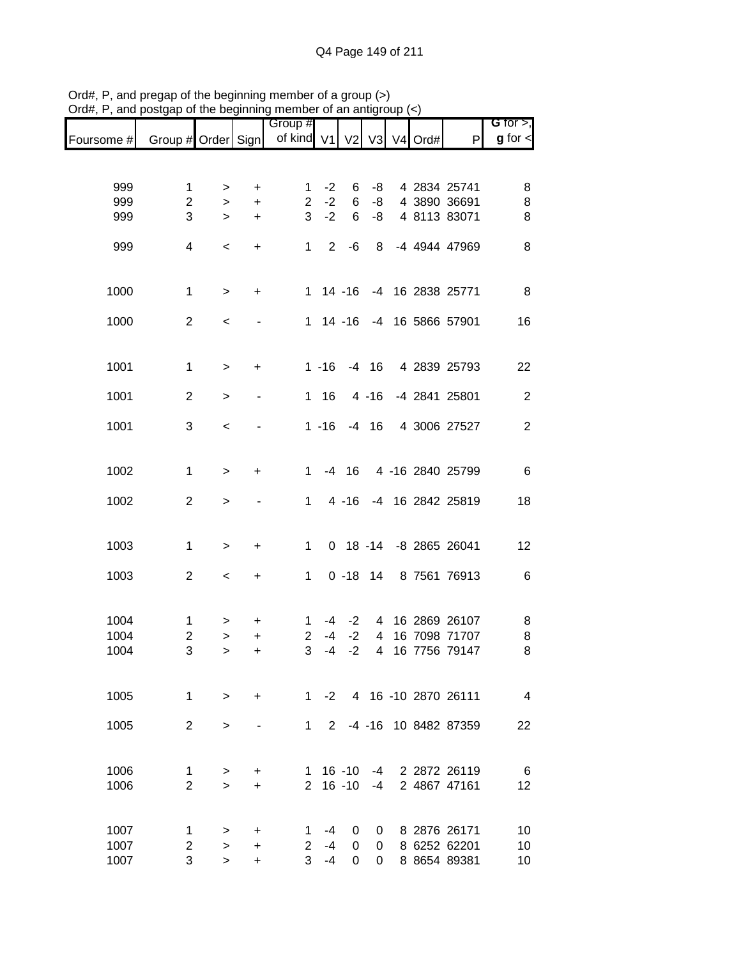|            |                         |           |                              | Group #                  |           |             |          |  |                          | G for $>$ ,    |
|------------|-------------------------|-----------|------------------------------|--------------------------|-----------|-------------|----------|--|--------------------------|----------------|
| Foursome # | Group # Order Sign      |           |                              | of kind V1 V2 V3 V4 Ord# |           |             |          |  | $\mathsf{P}$             | $g$ for $\lt$  |
|            |                         |           |                              |                          |           |             |          |  |                          |                |
| 999        | 1                       | >         | +                            | 1                        | $-2$      | 6           | -8       |  | 4 2834 25741             | 8              |
| 999        | $\overline{2}$          | $\geq$    | +                            | $\overline{2}$           | $-2$      | 6           | -8       |  | 4 3890 36691             | 8              |
| 999        | 3                       | $\geq$    | $\ddot{}$                    | 3                        | $-2$      | 6           | -8       |  | 4 8113 83071             | 8              |
| 999        | 4                       | $\,<\,$   | $\ddot{}$                    | 1                        | 2         | -6          | 8        |  | -4 4944 47969            | 8              |
|            |                         |           |                              |                          |           |             |          |  |                          |                |
|            |                         |           |                              |                          |           |             |          |  |                          |                |
| 1000       | $\mathbf 1$             | $\, > \,$ | $\ddot{}$                    |                          |           | $1 14 - 16$ |          |  | -4 16 2838 25771         | 8              |
| 1000       | $\overline{c}$          | $\,<\,$   | $\qquad \qquad \blacksquare$ | 1                        |           | $14 - 16$   |          |  | -4 16 5866 57901         | 16             |
|            |                         |           |                              |                          |           |             |          |  |                          |                |
| 1001       | $\mathbf 1$             | $\, > \,$ | +                            |                          | $1 - 16$  |             | $-4$ 16  |  | 4 2839 25793             | 22             |
|            |                         |           |                              |                          |           |             |          |  |                          |                |
| 1001       | $\overline{2}$          | $\, > \,$ |                              | $\mathbf{1}$             | 16        |             | $4 - 16$ |  | -4 2841 25801            | $\overline{2}$ |
| 1001       | 3                       | $\,<$     |                              |                          | $1 - 16$  |             | $-4$ 16  |  | 4 3006 27527             | $\overline{2}$ |
|            |                         |           |                              |                          |           |             |          |  |                          |                |
| 1002       | $\mathbf{1}$            | $\,$      | +                            | 1                        |           | $-4$ 16     |          |  | 4 -16 2840 25799         | $\,6$          |
|            |                         |           |                              |                          |           |             |          |  |                          |                |
| 1002       | $\overline{2}$          | $\, > \,$ |                              | 1                        |           | $4 - 16$    |          |  | -4 16 2842 25819         | 18             |
|            |                         |           |                              |                          |           |             |          |  |                          |                |
| 1003       | 1                       | $\,$      | +                            | 1                        |           | $0$ 18 -14  |          |  | -8 2865 26041            | 12             |
|            |                         |           |                              |                          |           |             |          |  |                          |                |
| 1003       | $\overline{c}$          | $\,<\,$   | $\ddot{}$                    | 1                        |           | $0 - 18$    | 14       |  | 8 7561 76913             | $\,6$          |
|            |                         |           |                              |                          |           |             |          |  |                          |                |
| 1004       | 1                       | >         | +                            | 1                        | -4        | $-2$        | 4        |  | 16 2869 26107            | 8              |
| 1004       | $\overline{\mathbf{c}}$ | >         | +                            | $\overline{2}$           | $-4$      | $-2$        | 4        |  | 16 7098 71707            | 8              |
| 1004       | 3                       | $\geq$    | $\ddot{}$                    | 3                        | $-4$      | $-2$        | 4        |  | 16 7756 79147            | 8              |
|            |                         |           |                              |                          |           |             |          |  |                          |                |
| 1005       | $\mathbf{1}$            | $\geq$    | $+$                          |                          |           |             |          |  | 1 -2 4 16 -10 2870 26111 | $\overline{4}$ |
|            |                         |           |                              |                          |           |             |          |  |                          |                |
| 1005       | $\overline{2}$          | $\geq$    |                              |                          | $1 \quad$ |             |          |  | 2 -4 -16 10 8482 87359   | 22             |
|            |                         |           |                              |                          |           |             |          |  |                          |                |
| 1006       | 1                       | >         | $\ddot{}$                    | 1.                       |           | $16 - 10$   |          |  | -4 2 2872 26119          | 6              |
| 1006       | $\overline{2}$          | $\geq$    | $\ddot{}$                    | $\overline{2}$           |           | $16 - 10$   | $-4$     |  | 2 4867 47161             | 12             |
|            |                         |           |                              |                          |           |             |          |  |                          |                |
| 1007       | 1                       | >         | $\ddot{}$                    | 1.                       | $-4$      | 0           | 0        |  | 8 2876 26171             | 10             |
| 1007       | $\overline{2}$          | $\geq$    | $\ddot{}$                    | $\overline{2}$           | $-4$      | 0           | 0        |  | 8 6252 62201             | 10             |
| 1007       | 3                       | $\geq$    | +                            | 3 <sup>1</sup>           | $-4$      | 0           | $\Omega$ |  | 8 8654 89381             | 10             |

Ord#, P, and pregap of the beginning member of a group (>) Ord#, P, and postgap of the beginning member of an antigroup (<)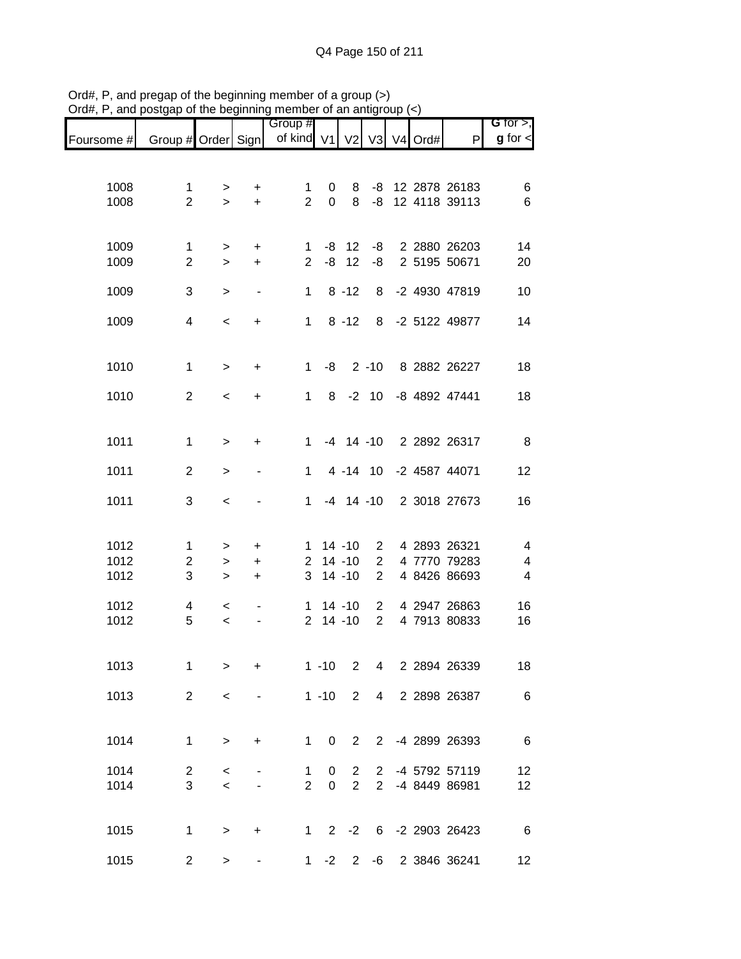|              |                               |                   |                               | Group #                  |                  |                |                 |  |                                   | G for $>$ ,    |
|--------------|-------------------------------|-------------------|-------------------------------|--------------------------|------------------|----------------|-----------------|--|-----------------------------------|----------------|
| Foursome #   | Group # Order Sign            |                   |                               | of kind V1 V2 V3 V4 Ord# |                  |                |                 |  | P                                 | $g$ for $\lt$  |
|              |                               |                   |                               |                          |                  |                |                 |  |                                   |                |
| 1008<br>1008 | $\mathbf 1$<br>$\overline{2}$ | ><br>$\geq$       | $\ddot{}$<br>$\color{red}{+}$ | 1<br>$\overline{2}$      | 0<br>$\mathbf 0$ | 8<br>8         | $-8$            |  | -8 12 2878 26183<br>12 4118 39113 | 6<br>6         |
|              |                               |                   |                               |                          |                  |                |                 |  |                                   |                |
| 1009<br>1009 | $\mathbf 1$<br>$\overline{2}$ | ><br>$\mathbf{L}$ | $\ddot{}$<br>$+$              | 1<br>$\overline{2}$      | -8               | $-8$ 12<br>12  | -8<br>-8        |  | 2 2880 26203<br>2 5195 50671      | 14<br>20       |
| 1009         | 3                             | $\,>$             | $\qquad \qquad \blacksquare$  | 1                        |                  | $8 - 12$       | 8               |  | -2 4930 47819                     | 10             |
| 1009         | 4                             | $\,<$             | $\ddot{}$                     | $\mathbf{1}$             |                  | $8 - 12$       | 8               |  | -2 5122 49877                     | 14             |
| 1010         | $\mathbf 1$                   | $\,$              | +                             | $\mathbf 1$              | -8               |                | $2 - 10$        |  | 8 2882 26227                      | 18             |
| 1010         | $\overline{2}$                | $\,<\,$           | $\ddot{}$                     | $\mathbf{1}$             | 8                |                | $-2$ 10         |  | -8 4892 47441                     | 18             |
| 1011         | $\mathbf 1$                   | $\, > \,$         | $\ddot{}$                     | $1 \quad$                |                  | $-4$ 14 $-10$  |                 |  | 2 2892 26317                      | 8              |
| 1011         | $\overline{2}$                | $\, > \,$         |                               | $\mathbf{1}$             |                  | 4 -14 10       |                 |  | -2 4587 44071                     | 12             |
| 1011         | 3                             | $\,<$             |                               | $\mathbf{1}$             |                  | $-4$ 14 $-10$  |                 |  | 2 3018 27673                      | 16             |
| 1012         | 1                             | >                 | $\ddot{}$                     | 1                        |                  | $14 - 10$      | $\overline{2}$  |  | 4 2893 26321                      | 4              |
| 1012         | $\overline{c}$                | >                 | $\ddot{}$                     | $\overline{2}$           |                  | $14 - 10$      | $\overline{2}$  |  | 4 7770 79283                      | 4              |
| 1012         | 3                             | $\, > \,$         | $\ddot{}$                     | 3                        |                  | $14 - 10$      | $\overline{2}$  |  | 4 8426 86693                      | $\overline{4}$ |
| 1012         | 4                             | $\,<$             |                               | 1.                       |                  | $14 - 10$      | $\overline{2}$  |  | 4 2947 26863                      | 16             |
| 1012         | 5                             | $\prec$           |                               | $\overline{2}$           |                  | $14 - 10$      | $\overline{2}$  |  | 4 7913 80833                      | 16             |
| 1013         | 1                             | >                 | $\ddot{}$                     |                          | $1 - 10$         | $\overline{2}$ | $\overline{4}$  |  | 2 2894 26339                      | 18             |
| 1013         | $\overline{2}$                | $\,<\,$           |                               |                          | $1 - 10$         | $\overline{2}$ | $4\overline{ }$ |  | 2 2898 26387                      | 6              |
| 1014         | $\mathbf 1$                   | $\, >$            | $\ddot{}$                     | 1                        | $\mathbf 0$      | $\overline{2}$ |                 |  | 2 -4 2899 26393                   | 6              |
| 1014         | $\overline{c}$                | $\,<\,$           |                               | 1                        | 0                | $\overline{2}$ | 2               |  | -4 5792 57119                     | 12             |
| 1014         | 3                             | $\,<$             |                               | $\overline{2}$           | $\mathbf 0$      | $\overline{2}$ | $\overline{2}$  |  | -4 8449 86981                     | 12             |
| 1015         | 1                             | >                 | $\ddot{}$                     | 1                        | $2^{\circ}$      | $-2$           |                 |  | 6 -2 2903 26423                   | 6              |
| 1015         | $\overline{c}$                | >                 |                               |                          | $1 -2$           |                |                 |  | 2 -6 2 3846 36241                 | 12             |

Ord#, P, and pregap of the beginning member of a group (>) Ord#, P, and postgap of the beginning member of an antigroup (<)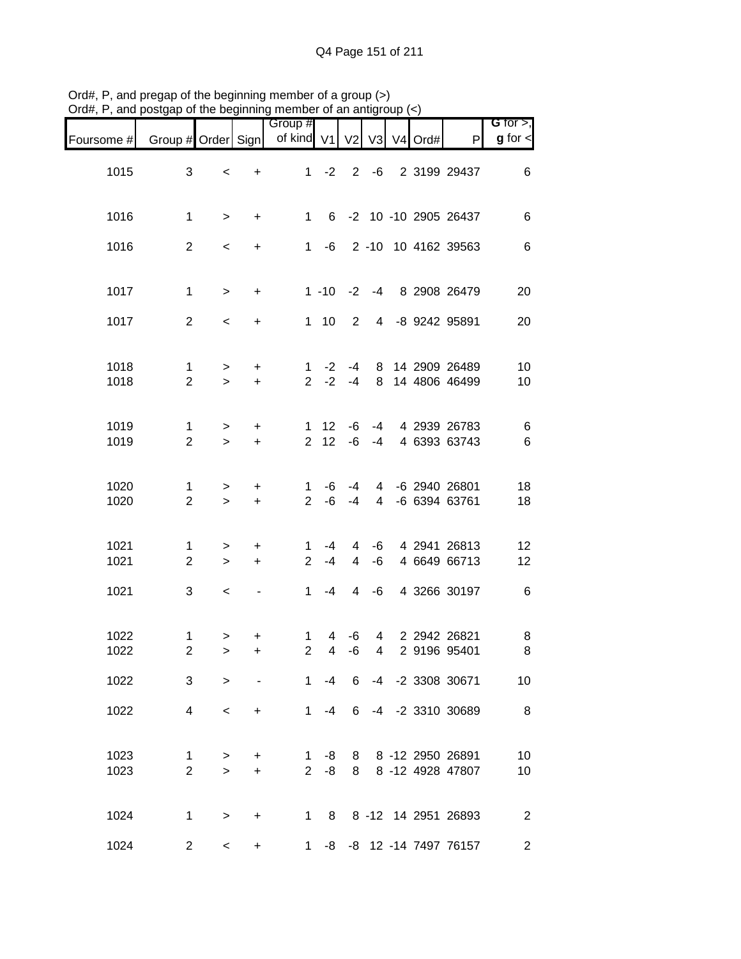|                              |                                      |            |                 |                                  |                         | mombor or an annyi             |                        |                     | and posigap or the beginning   |              |
|------------------------------|--------------------------------------|------------|-----------------|----------------------------------|-------------------------|--------------------------------|------------------------|---------------------|--------------------------------|--------------|
| G for $>$ ,<br>$g$ for $\lt$ | P                                    | V3 V4 Ord# |                 | V <sub>2</sub>                   |                         | Group #<br>of kind V1          |                        |                     | Group # Order Sign             | Foursome #   |
| $\,6$                        | 2 -6 2 3199 29437                    |            |                 |                                  | $1 -2$                  |                                | $\ddot{}$              | $\,<\,$             | 3                              | 1015         |
| $\,6$                        | 6 -2 10 -10 2905 26437               |            |                 |                                  |                         | $1 \quad$                      | $\ddot{}$              | $\, >$              | $\mathbf 1$                    | 1016         |
| $\,6$                        | 2 -10 10 4162 39563                  |            |                 |                                  | $1 - 6$                 |                                | $+$                    | $\,<$               | $\overline{2}$                 | 1016         |
| 20                           | 1 -10 -2 -4 8 2908 26479             |            |                 |                                  |                         |                                | $+$                    | $\,>$               | $\mathbf 1$                    | 1017         |
| 20                           | 4 -8 9242 95891                      |            |                 | $\overline{2}$                   | $1 \quad 10$            |                                | $\ddot{}$              | $\prec$             | $\overline{2}$                 | 1017         |
| 10<br>10                     | 14 2909 26489<br>8 14 4806 46499     |            | 8               | $-4$<br>$-4$                     | $-2$<br>$-2$            | $\mathbf{1}$<br>$\overline{2}$ | $\ddot{}$<br>$\ddot{}$ | $\, > \,$<br>$\geq$ | $\mathbf 1$<br>$\overline{2}$  | 1018<br>1018 |
| $\,6$<br>$\,6$               | -4 4 2939 26783<br>4 6393 63743      |            | $-4$            | -6<br>-6                         | 12 <sup>7</sup><br>2 12 | 1                              | $\ddot{}$<br>$\ddot{}$ | $\, > \,$<br>$\geq$ | $\mathbf 1$<br>$\overline{2}$  | 1019<br>1019 |
| 18<br>18                     | 4 -6 2940 26801<br>4 -6 6394 63761   |            |                 | -4<br>$-4$                       | -6<br>-6                | 1<br>$\overline{2}$            | $\ddot{}$<br>$\ddot{}$ | $\, > \,$<br>$\, >$ | 1<br>$\overline{2}$            | 1020<br>1020 |
| 12<br>12                     | -6 4 2941 26813<br>4 6649 66713      |            | -6              | $\overline{4}$<br>$\overline{4}$ | -4<br>$-4$              | 1<br>$\overline{2}$            | $\ddot{}$<br>$+$       | $\geq$<br>$\geq$    | $\mathbf{1}$<br>$\overline{2}$ | 1021<br>1021 |
| $\,6$                        | 4 3266 30197                         |            | $-6$            | $\overline{4}$                   | $-4$                    | 1                              |                        | $\,<\,$             | 3                              | 1021         |
| 8<br>8                       | 4 2 2942 26821<br>2 9196 95401       |            | $4\overline{ }$ | -6<br>-6                         | $\overline{4}$<br>4     | 1.<br>$\overline{2}$           | $\ddot{}$              | $\, >$<br>>         | $\mathbf 1$<br>$\overline{c}$  | 1022<br>1022 |
| 10                           | 6 -4 -2 3308 30671                   |            |                 |                                  | $-4$                    | $1 \quad$                      |                        | $\geq$              | 3                              | 1022         |
| $\,8\,$                      | -4 -2 3310 30689                     |            |                 | 6                                | -4                      | 1                              | $+$                    | $\prec$             | 4                              | 1022         |
| 10<br>10                     | 8 -12 2950 26891<br>8 -12 4928 47807 |            |                 | 8<br>8                           | -8<br>-8                | 1<br>2 <sup>1</sup>            | $\ddot{}$<br>$+$       | $\, >$<br>$\geq$    | 1<br>$\overline{2}$            | 1023<br>1023 |
| $\boldsymbol{2}$             | 1 8 8 -12 14 2951 26893              |            |                 |                                  |                         |                                | $\ddot{}$              | $\, >$              | 1                              | 1024         |
| $\overline{2}$               | -8 -8 12 -14 7497 76157              |            |                 |                                  |                         | 1                              | $\ddot{}$              | $\prec$             | $\overline{2}$                 | 1024         |

Ord#, P, and pregap of the beginning member of a group (>) Ord#, P, and postgap of the beginning member of an antigroup (<)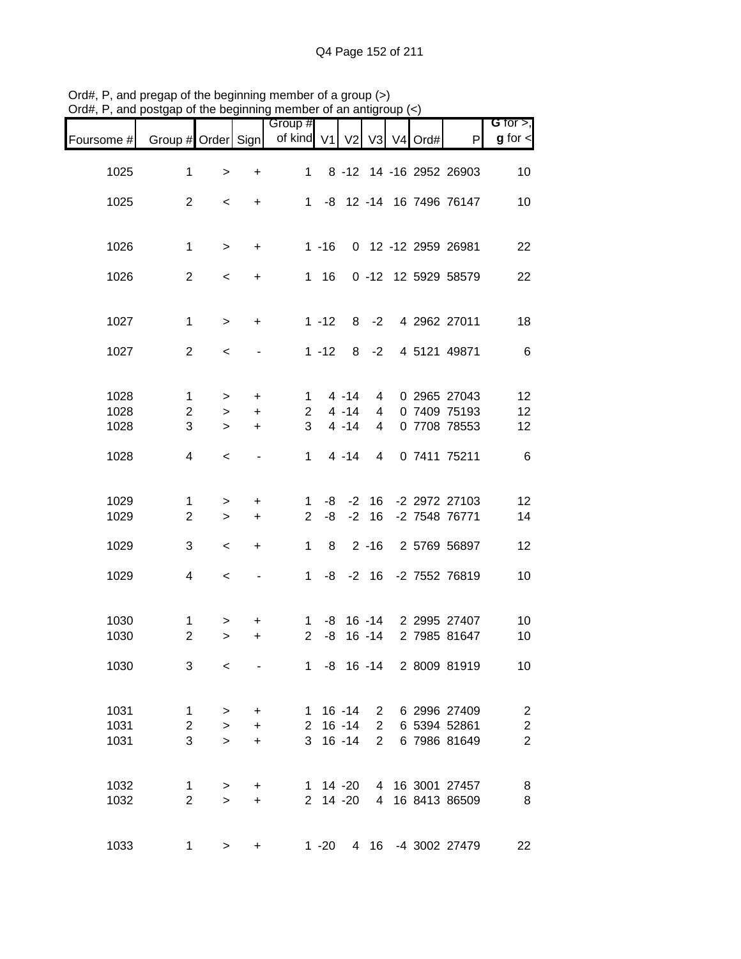|            |                    |              |                              | Group #        |          |                |                |            |                          | G for $>$ ,                                |
|------------|--------------------|--------------|------------------------------|----------------|----------|----------------|----------------|------------|--------------------------|--------------------------------------------|
| Foursome # | Group # Order Sign |              |                              | of kind V1     |          | V <sub>2</sub> |                | V3 V4 Ord# | $\mathsf{P}$             | $g$ for $\lt$                              |
| 1025       | $\mathbf{1}$       | $\, > \,$    | $\ddot{}$                    | $\mathbf 1$    |          |                |                |            | 8 -12 14 -16 2952 26903  | 10                                         |
| 1025       | $\overline{2}$     | $\,<$        | $\ddot{}$                    | $1 \quad$      |          |                |                |            | -8 12 -14 16 7496 76147  | 10                                         |
| 1026       | $\mathbf 1$        | $\,$         | $\ddot{}$                    |                | $1 - 16$ |                |                |            | 0 12 -12 2959 26981      | 22                                         |
| 1026       | $\overline{2}$     | $\,<$        | $\ddot{}$                    |                | $1 \t16$ |                |                |            | 0 -12 12 5929 58579      | 22                                         |
| 1027       | $\mathbf 1$        | $\,>$        | $\ddot{}$                    |                | $1 - 12$ |                | $8 - 2$        |            | 4 2962 27011             | 18                                         |
| 1027       | $\overline{2}$     | $\,<$        |                              |                | $1 - 12$ |                | $8 - 2$        |            | 4 5121 49871             | $\,6$                                      |
|            |                    |              |                              |                |          |                |                |            |                          |                                            |
| 1028       | $\mathbf 1$        | $\,>$        | $\ddot{}$                    | 1              |          | $4 - 14$       | $\overline{4}$ |            | 0 2965 27043             | 12                                         |
| 1028       | $\overline{c}$     | $\geq$       | $+$                          | $2^{\circ}$    |          | $4 - 14$       | 4              |            | 0 7409 75193             | 12                                         |
| 1028       | 3                  | $\geq$       | $\ddot{}$                    | 3              |          | $4 - 14$       | 4              |            | 0 7708 78553             | 12                                         |
| 1028       | 4                  | $\,<$        | $\qquad \qquad \blacksquare$ | $\mathbf{1}$   |          | $4 - 14$       | $\overline{4}$ |            | 0 7411 75211             | $\,6$                                      |
| 1029       | 1                  | $\geq$       | +                            | 1              | -8       | $-2$           | 16             |            | -2 2972 27103            | 12                                         |
| 1029       | $\overline{2}$     | $\geq$       | $\ddot{}$                    | $\overline{2}$ | -8       | $-2$           | 16             |            | -2 7548 76771            | 14                                         |
| 1029       | 3                  | $\,<$        | $\ddot{}$                    | 1              | 8        |                | $2 - 16$       |            | 2 5769 56897             | 12                                         |
| 1029       | 4                  | $\,<\,$      |                              | $\mathbf{1}$   | -8       |                | $-2$ 16        |            | -2 7552 76819            | 10                                         |
| 1030       | $\mathbf{1}$       | >            | +                            | 1              |          |                |                |            | -8 16 -14 2 2995 27407   | 10                                         |
| 1030       | $\overline{2}$     | $\geq$       | +                            | $\overline{2}$ | -8       |                | $16 - 14$      |            | 2 7985 81647             | 10                                         |
| 1030       | 3                  | $\,<\,$      |                              |                |          |                |                |            | 1 -8 16 -14 2 8009 81919 | 10 <sub>1</sub>                            |
| 1031       | $\mathbf{1}$       | $\, >$       | $+$                          |                |          | $1 \t16 - 14$  |                |            | 2 6 2996 27409           |                                            |
| 1031       | $\overline{c}$     | $\,$         | $+$                          |                |          | $2 16 - 14$    | $2^{\circ}$    |            | 6 5394 52861             |                                            |
| 1031       | 3                  | $\geq$       | $\ddot{}$                    |                |          | $3 \t16 - 14$  | $2^{\circ}$    |            | 6 7986 81649             | $\begin{array}{c} 2 \\ 2 \\ 2 \end{array}$ |
| 1032       | $\mathbf{1}$       | $\geq$       | +                            |                |          | $1 \t14 - 20$  |                |            | 4 16 3001 27457          | 8                                          |
| 1032       | $\overline{2}$     | $\mathbf{L}$ | $\ddot{}$                    |                |          | 2 14 -20       |                |            | 4 16 8413 86509          | $\, 8$                                     |
| 1033       | 1                  | $\,$         | +                            |                | $1 - 20$ |                |                |            | 4 16 -4 3002 27479       | 22                                         |

Ord#, P, and pregap of the beginning member of a group (>) Ord#, P, and postgap of the beginning member of an antigroup (<)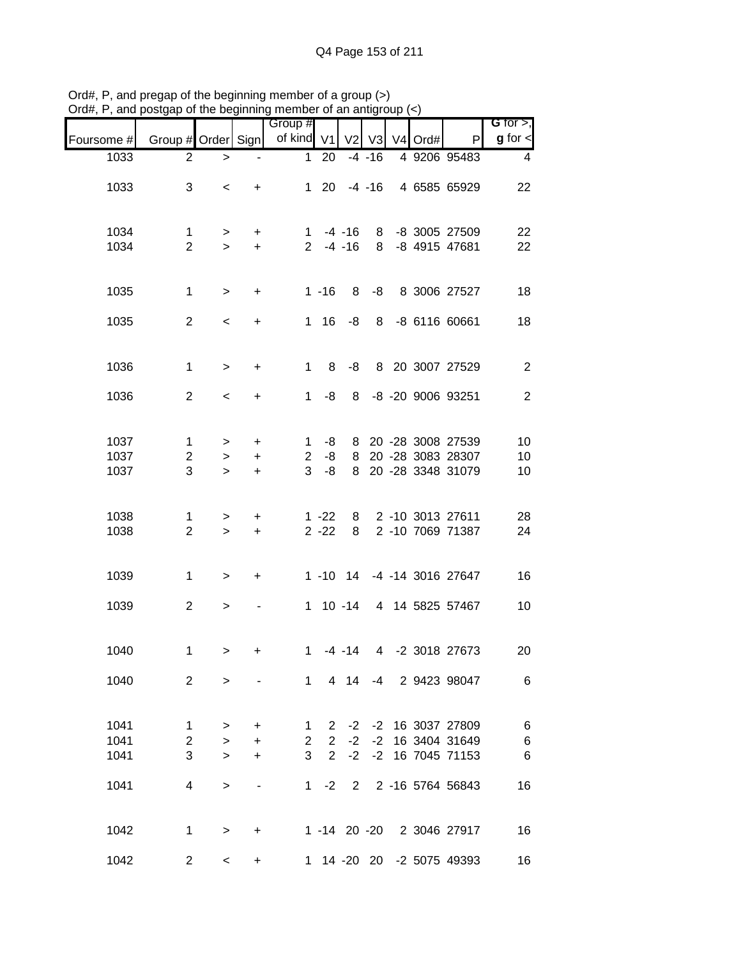|              |                     |                  |            | Group #        |                              |                |           |            |                                | G for $>$ ,    |
|--------------|---------------------|------------------|------------|----------------|------------------------------|----------------|-----------|------------|--------------------------------|----------------|
| Foursome #   | Group # Order Sign  |                  |            | of kind V1     |                              | V <sub>2</sub> |           | V3 V4 Ord# | P                              | $g$ for $\lt$  |
| 1033         | 2                   | $\,>$            |            | $\mathbf{1}$   | 20                           |                | $-4 - 16$ |            | 4 9206 95483                   | $\overline{4}$ |
| 1033         | 3                   | $\,<$            | $\ddot{}$  |                | $1 \quad 20$                 |                | $-4 - 16$ |            | 4 6585 65929                   | 22             |
| 1034<br>1034 | 1<br>$\overline{2}$ | $\geq$<br>$\geq$ | $+$<br>$+$ |                | $1 - 4 - 16$<br>$2 - 4 - 16$ |                | 8<br>8    |            | -8 3005 27509<br>-8 4915 47681 | 22<br>22       |
|              |                     |                  |            |                |                              |                |           |            |                                |                |
| 1035         | $\mathbf 1$         | $\,$             | $\ddot{}$  |                | $1 - 16$                     | 8              | -8        |            | 8 3006 27527                   | 18             |
| 1035         | $\overline{2}$      | $\,<$            | +          |                | $1 \t16$                     | -8             |           |            | 8 -8 6116 60661                | 18             |
| 1036         | $\mathbf 1$         | $\geq$           | $\ddot{}$  | $\mathbf{1}$   | 8                            | -8             |           |            | 8 20 3007 27529                | $\overline{2}$ |
| 1036         | $\overline{2}$      | $\prec$          | $\ddot{}$  | $\mathbf{1}$   | -8                           | 8              |           |            | -8 -20 9006 93251              | 2              |
| 1037         | $\mathbf{1}$        | $\geq$           | +          | 1              | -8                           | 8              |           |            | 20 - 28 3008 27539             | 10             |
| 1037         | $\mathbf{2}$        | $\geq$           | $\ddot{}$  | $\overline{2}$ | -8                           | 8              |           |            | 20 - 28 3083 28307             | 10             |
| 1037         | 3                   | $\geq$           | $\ddot{}$  | 3              | -8                           | 8              |           |            | 20 - 28 3348 31079             | 10             |
| 1038         | 1                   | >                | $\ddot{}$  |                | $1 - 22$                     | 8              |           |            | 2 -10 3013 27611               | 28             |
| 1038         | $\overline{2}$      | $\geq$           | $\ddot{}$  |                | $2 - 22$                     | 8              |           |            | 2 -10 7069 71387               | 24             |
| 1039         | 1                   | $\geq$           | +          |                |                              |                |           |            | 1 -10 14 -4 -14 3016 27647     | 16             |
| 1039         | $\overline{2}$      | $\, > \,$        |            |                |                              | $1 \t10 - 14$  |           |            | 4 14 5825 57467                | 10             |
| 1040         | $\mathbf{1}$        | $\geq$           | +          | 1              |                              | $-4 - 14$      |           |            | 4 -2 3018 27673                | 20             |
| 1040         | $\overline{2}$      | $\geq$           |            |                |                              |                |           |            | 1 4 14 -4 2 9423 98047         | 6              |
| 1041         | $\mathbf{1}$        | $\, >$           | $+$        | 1              | 2                            | $-2$           |           |            | -2 16 3037 27809               | $\,6$          |
| 1041         | $\overline{2}$      | $\geq$           | $+$        | $\overline{2}$ | $2^{\circ}$                  | $-2$           | $-2$      |            | 16 3404 31649                  | $\,6$          |
| 1041         | 3                   | $\geq$           | $+$        | 3              | $2^{\circ}$                  | $-2$           |           |            | -2 16 7045 71153               | $\,6$          |
| 1041         | 4                   | $\geq$           |            | 1.             | $-2$                         |                |           |            | 2 2 -16 5764 56843             | 16             |
| 1042         | $\mathbf{1}$        | $\geq$           | $\ddot{}$  |                |                              |                |           |            | 1 -14 20 -20 2 3046 27917      | 16             |
| 1042         | $\overline{2}$      | $\,<$            | +          |                |                              |                |           |            | 1 14 -20 20 -2 5075 49393      | 16             |

Ord#, P, and pregap of the beginning member of a group (>) Ord#, P, and postgap of the beginning member of an antigroup (<)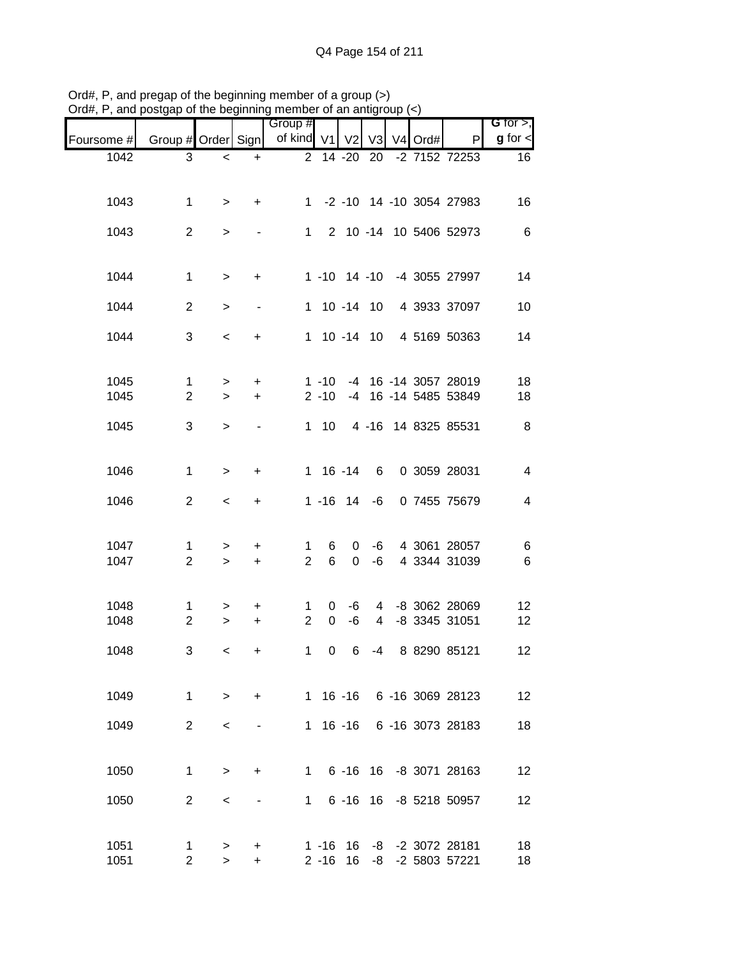| ⊃ıuπ,        | , and postgap of the beginning member of an antigroup $(\leq)$ |                  |                          | Group #             |                      |                     |                     |         |                                      | G for $>$ ,             |
|--------------|----------------------------------------------------------------|------------------|--------------------------|---------------------|----------------------|---------------------|---------------------|---------|--------------------------------------|-------------------------|
| Foursome #   | Group # Order Sign                                             |                  |                          | of kind V1          |                      |                     | V2 V3               | V4 Ord# | P                                    | $g$ for $\lt$           |
| 1042         | 3                                                              | $\,<$            | $\ddot{}$                | $\overline{2}$      |                      | $\overline{14}$ -20 | 20                  |         | -2 7152 72253                        | 16                      |
| 1043         | $\mathbf{1}$                                                   | $\geq$           | $+$                      |                     |                      |                     |                     |         | 1 -2 -10 14 -10 3054 27983           | 16                      |
| 1043         | $\overline{c}$                                                 | $\geq$           |                          | 1                   |                      |                     |                     |         | 2 10 -14 10 5406 52973               | 6                       |
| 1044         | $\mathbf 1$                                                    | $\geq$           | $\ddot{}$                |                     |                      |                     |                     |         | 1 -10 14 -10 -4 3055 27997           | 14                      |
| 1044         | $\overline{2}$                                                 | $\geq$           | $\overline{\phantom{a}}$ |                     |                      | 1 10 -14 10         |                     |         | 4 3933 37097                         | 10                      |
| 1044         | 3                                                              | $\,<$            | $\ddot{}$                |                     |                      |                     |                     |         | 1 10 -14 10 4 5169 50363             | 14                      |
| 1045         | 1                                                              | $\,$             | $\ddot{}$                |                     | $1 - 10$             |                     |                     |         | -4 16 -14 3057 28019                 | 18                      |
| 1045         | $\overline{2}$                                                 | $\geq$           | $\ddot{}$                |                     | $2 - 10$             |                     |                     |         | -4 16 -14 5485 53849                 | 18                      |
| 1045         | 3                                                              | $\geq$           |                          |                     | $1 \quad 10$         |                     |                     |         | 4 -16 14 8325 85531                  | $\,8\,$                 |
| 1046         | $\mathbf{1}$                                                   | $\geq$           | $\ddot{}$                |                     | $1 16 - 14$          |                     | 6                   |         | 0 3059 28031                         | $\overline{\mathbf{4}}$ |
| 1046         | $\overline{2}$                                                 | $\,<$            | $\ddot{}$                |                     |                      | $1 - 16$ 14         | -6                  |         | 0 7455 75679                         | $\overline{\mathbf{4}}$ |
| 1047         | $\mathbf 1$                                                    | $\,>$            | $\ddot{}$                | 1                   | 6                    | 0                   | -6                  |         | 4 3061 28057                         | 6                       |
| 1047         | $\overline{2}$                                                 | $\geq$           | $\ddot{}$                | $\overline{2}$      | 6                    | $\mathbf 0$         | -6                  |         | 4 3344 31039                         | 6                       |
| 1048<br>1048 | 1<br>$\overline{2}$                                            | $\geq$<br>$\geq$ | $\ddot{}$<br>$+$         | 1<br>$\overline{2}$ | 0<br>$\mathbf 0$     | -6<br>$-6$          | 4<br>$\overline{4}$ |         | -8 3062 28069<br>-8 3345 31051       | 12<br>12                |
| 1048         | 3                                                              | $\lt$            | $\ddot{}$                |                     |                      | 1 0 6               |                     |         | -4 8 8290 85121                      | 12                      |
|              |                                                                |                  |                          |                     |                      |                     |                     |         |                                      |                         |
| 1049         | $\mathbf 1$                                                    | $\geq$           | $+$                      |                     |                      |                     |                     |         | 1 16 -16 6 -16 3069 28123            | 12                      |
| 1049         | $\overline{2}$                                                 | $\,<\,$          |                          |                     |                      | $1 \t16 \t-16$      |                     |         | 6 -16 3073 28183                     | 18                      |
| 1050         | $\mathbf 1$                                                    | $\, >$           | $\ddot{}$                | $1 \quad$           |                      |                     |                     |         | 6 -16 16 -8 3071 28163               | 12                      |
| 1050         | $\overline{2}$                                                 | $\,<\,$          |                          | 1                   |                      |                     |                     |         | 6 -16 16 -8 5218 50957               | 12                      |
| 1051<br>1051 | 1<br>$\overline{2}$                                            | ><br>$\geq$      | +<br>$\ddot{}$           |                     | $1 - 16$<br>$2 - 16$ | 16<br>16            |                     |         | -8 -2 3072 28181<br>-8 -2 5803 57221 | 18<br>18                |

Ord#, P, and pregap of the beginning member of a group (>) Ord#, P, and postgap of the beginning member of an antigroup (<)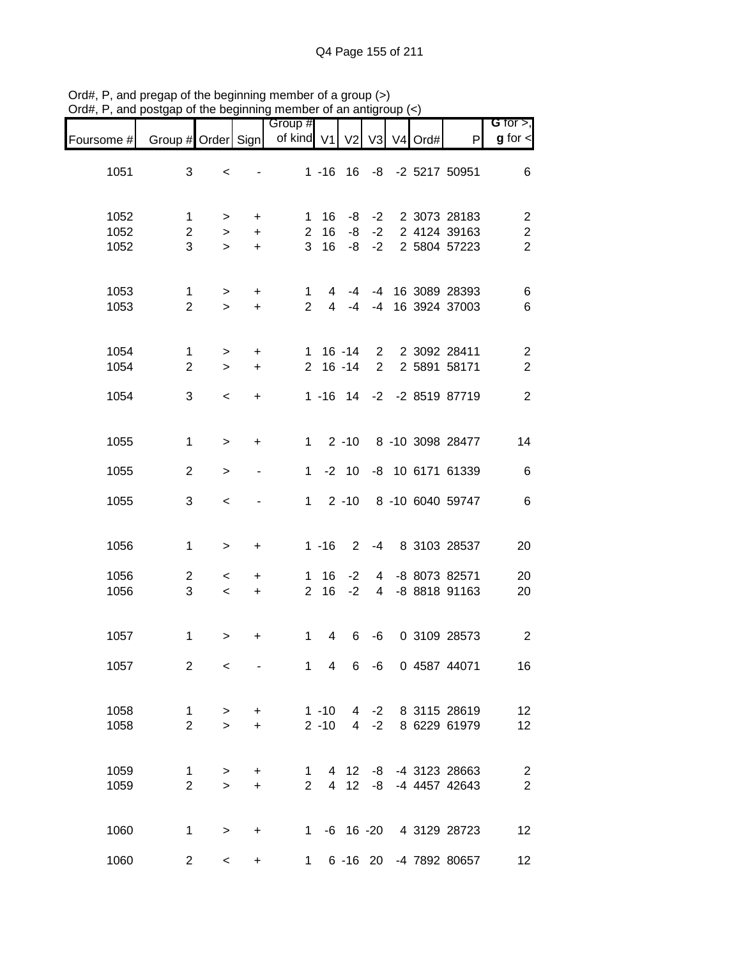|                      |                                    |                       |                             | Group #                  |                      |                |                      |            |                                              | G for $>$ ,                                    |
|----------------------|------------------------------------|-----------------------|-----------------------------|--------------------------|----------------------|----------------|----------------------|------------|----------------------------------------------|------------------------------------------------|
| Foursome #           | Group # Order Sign                 |                       |                             | of kind V1               |                      | V <sub>2</sub> |                      | V3 V4 Ord# | P                                            | $g$ for $\lt$                                  |
| 1051                 | 3                                  | $\,<\,$               |                             |                          | $1 - 16$             | 16             |                      |            | -8 -2 5217 50951                             | 6                                              |
| 1052<br>1052<br>1052 | $\mathbf 1$<br>$\overline{2}$<br>3 | ><br>$\geq$<br>$\geq$ | +<br>$\ddot{}$<br>$\ddot{}$ | 1<br>$\overline{2}$<br>3 | 16<br>16<br>16       | -8<br>-8<br>-8 | $-2$<br>$-2$<br>$-2$ |            | 2 3073 28183<br>2 4124 39163<br>2 5804 57223 | $\sqrt{2}$<br>$\overline{c}$<br>$\overline{2}$ |
| 1053<br>1053         | 1<br>$\overline{2}$                | $\geq$<br>$\geq$      | $\ddot{}$<br>$+$            | 1<br>$\overline{2}$      | 4<br>4               | -4<br>$-4$     | -4<br>$-4$           |            | 16 3089 28393<br>16 3924 37003               | 6<br>$\,6$                                     |
| 1054<br>1054         | 1<br>$\overline{2}$                | $\,$<br>$\geq$        | $\ddot{}$<br>$\ddot{}$      | $\mathbf{1}$             | $2 16 - 14$          | $16 - 14$      | $\overline{2}$       |            | 2 2 3092 28411<br>2 5891 58171               | $\sqrt{2}$<br>$\overline{2}$                   |
| 1054                 | 3                                  | $\prec$               | $\ddot{}$                   |                          |                      |                |                      |            | 1 -16 14 -2 -2 8519 87719                    | $\overline{2}$                                 |
| 1055                 | 1                                  | $\geq$                | +                           | $1 \quad$                |                      | $2 - 10$       |                      |            | 8 -10 3098 28477                             | 14                                             |
| 1055                 | 2                                  | $\geq$                |                             | 1                        |                      | $-2$ 10        |                      |            | -8 10 6171 61339                             | $\,6$                                          |
| 1055                 | 3                                  | $\prec$               |                             | $\mathbf 1$              |                      | $2 - 10$       |                      |            | 8 -10 6040 59747                             | $\,6$                                          |
| 1056                 | 1                                  | $\, > \,$             | +                           |                          | $1 - 16$             | $2^{\circ}$    | -4                   |            | 8 3103 28537                                 | 20                                             |
| 1056<br>1056         | 2<br>$\mathbf{3}$                  | $\,<\,$<br>$\,<\,$    | +<br>$\ddot{}$              | 1<br>$\overline{2}$      | 16<br>16             | $-2$<br>$-2$   | 4<br>4               |            | -8 8073 82571<br>-8 8818 91163               | 20<br>20                                       |
| 1057                 | 1                                  | $\,>$                 | +                           | 1                        | 4                    | 6              | -6                   |            | 0 3109 28573                                 | $\boldsymbol{2}$                               |
| 1057                 | $\overline{2}$                     | $\,<$                 |                             |                          |                      |                |                      |            | 1 4 6 -6 0 4587 44071                        | 16                                             |
| 1058<br>1058         | $\mathbf{1}$<br>$\overline{2}$     | $\geq$<br>$\geq$      | $+$<br>$+$                  |                          | $1 - 10$<br>$2 - 10$ |                |                      |            | 4 -2 8 3115 28619<br>4 -2 8 6229 61979       | 12<br>12                                       |
| 1059<br>1059         | $\mathbf 1$<br>$\overline{2}$      | $\,$<br>$\geq$        | $+$<br>$+$                  | $\mathbf{1}$             | $2^{\circ}$          | 4 12           |                      |            | -8 -4 3123 28663<br>4 12 -8 -4 4457 42643    | $\overline{c}$<br>$\overline{c}$               |
| 1060                 | $\mathbf{1}$                       | $\geq$                | $\ddot{}$                   |                          |                      |                |                      |            | 1 -6 16 -20 4 3129 28723                     | 12                                             |
| 1060                 | $\overline{2}$                     | $\,<$                 | $\ddot{}$                   |                          | $1 \quad$            |                |                      |            | 6 -16 20 -4 7892 80657                       | 12 <sub>2</sub>                                |

Ord#, P, and pregap of the beginning member of a group (>) Ord#, P, and postgap of the beginning member of an antigroup (<)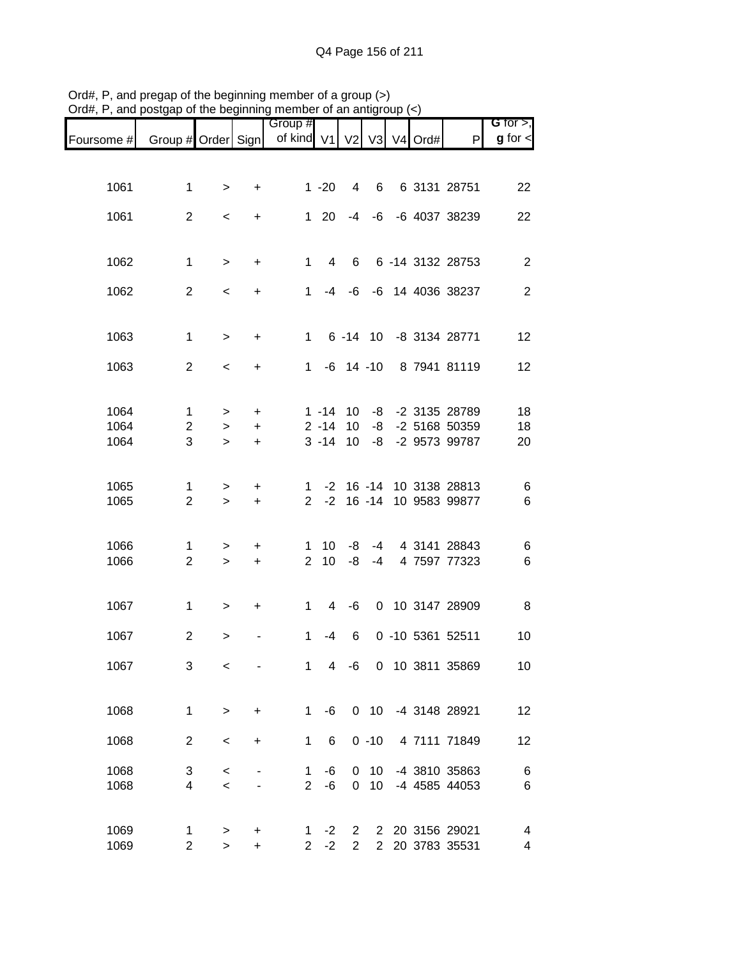|                              |                                    |  |          |                                  |                | m                                   |                        |                     | and poorgap or the boghmmig   |              |
|------------------------------|------------------------------------|--|----------|----------------------------------|----------------|-------------------------------------|------------------------|---------------------|-------------------------------|--------------|
| G for $>$ ,<br>$g$ for $\lt$ | P                                  |  |          |                                  |                | Group #<br>of kind V1 V2 V3 V4 Ord# |                        |                     | Group # Order Sign            | Foursome #   |
|                              |                                    |  |          |                                  |                |                                     |                        |                     |                               |              |
| 22                           | 6 3131 28751                       |  | 6        | 4                                | $1 - 20$       |                                     | $\ddot{}$              | $\geq$              | 1                             | 1061         |
| 22                           | -4 -6 -6 4037 38239                |  |          |                                  | $1 \quad 20$   |                                     | $\ddot{}$              | $\,<$               | $\overline{2}$                | 1061         |
|                              |                                    |  |          |                                  |                |                                     |                        |                     |                               |              |
| $\overline{2}$               | 6 -14 3132 28753                   |  |          | 6                                | $\overline{4}$ | $\mathbf{1}$                        | $\ddot{}$              | $\geq$              | $\mathbf 1$                   | 1062         |
| 2                            | -4 -6 -6 14 4036 38237             |  |          |                                  |                | $1 \quad$                           | $\ddot{}$              | $\,<$               | $\overline{2}$                | 1062         |
| 12                           | 1 6 -14 10 -8 3134 28771           |  |          |                                  |                |                                     | $\ddot{}$              | $\geq$              | $\mathbf{1}$                  | 1063         |
| 12                           | 1 -6 14 -10 8 7941 81119           |  |          |                                  |                |                                     | $\ddot{}$              | $\prec$             | 2                             | 1063         |
|                              |                                    |  |          |                                  |                |                                     |                        |                     |                               |              |
| 18                           | -8 -2 3135 28789                   |  |          | $1 - 14$ 10                      |                |                                     | $\ddot{}$              | $\,$                | $\mathbf 1$                   | 1064         |
| 18<br>20                     | -2 5168 50359<br>-8 -2 9573 99787  |  | $-8$     | $2 - 14$ 10<br>$3 - 14$ 10       |                |                                     | $\ddot{}$<br>$\ddot{}$ | $\geq$<br>$\geq$    | $\overline{c}$<br>3           | 1064<br>1064 |
|                              |                                    |  |          |                                  |                |                                     |                        |                     |                               |              |
| 6                            | 1 -2 16 -14 10 3138 28813          |  |          |                                  |                |                                     | $\ddot{}$              | $\mathbf{I}$        | 1                             | 1065         |
| $\,6$                        | 2 -2 16 -14 10 9583 99877          |  |          |                                  |                |                                     | $+$                    | $\geq$              | $\overline{2}$                | 1065         |
| 6                            | -4 4 3141 28843                    |  |          | -8                               | 10             | 1                                   | $\ddot{}$              | $\mathbf{L}$        | $\mathbf 1$                   | 1066         |
| 6                            | 4 7597 77323                       |  | $-4$     | $2 \t10 \t -8$                   |                |                                     | $\pm$                  | $\geq$              | $\overline{2}$                | 1066         |
| 8                            | 0 10 3147 28909                    |  |          | -6                               | $\overline{4}$ | $\mathbf{1}$                        | $\ddot{}$              | $\, >$              | $\mathbf 1$                   | 1067         |
|                              |                                    |  |          |                                  |                |                                     |                        |                     |                               |              |
| 10                           | 0 -10 5361 52511                   |  |          | 6                                | -4             | 1                                   |                        | $\,>$               | $\overline{2}$                | 1067         |
| 10                           | 10 3811 35869                      |  | 0        | -6                               | 4              | 1                                   |                        | $\,<\,$             | 3                             | 1067         |
| 12                           | -4 3148 28921                      |  | $0$ 10   |                                  | -6             | $\mathbf{1}$                        | +                      | $\geq$              | 1                             | 1068         |
| 12                           | 4 7111 71849                       |  | $0 - 10$ |                                  | 6              | $\mathbf 1$                         | +                      | $\,<$               | 2                             | 1068         |
|                              |                                    |  |          |                                  |                |                                     |                        |                     |                               |              |
| 6<br>6                       | -4 3810 35863<br>-4 4585 44053     |  | 10<br>10 | 0<br>$\mathbf 0$                 | -6<br>-6       | 1<br>$\overline{2}$                 |                        | $\,<$<br>$\,<$      | 3<br>$\overline{\mathcal{A}}$ | 1068<br>1068 |
|                              |                                    |  |          |                                  |                |                                     |                        |                     |                               |              |
| 4<br>4                       | 2 20 3156 29021<br>2 20 3783 35531 |  |          | $\overline{2}$<br>$\overline{2}$ | $-2$<br>$-2$   | 1<br>$\overline{2}$                 | +<br>$\ddot{}$         | $\, > \,$<br>$\geq$ | 1<br>$\overline{2}$           | 1069<br>1069 |
|                              |                                    |  |          |                                  |                |                                     |                        |                     |                               |              |

Ord#, P, and pregap of the beginning member of a group (>) Ord#, P, and postgap of the beginning member of an antigroup (<)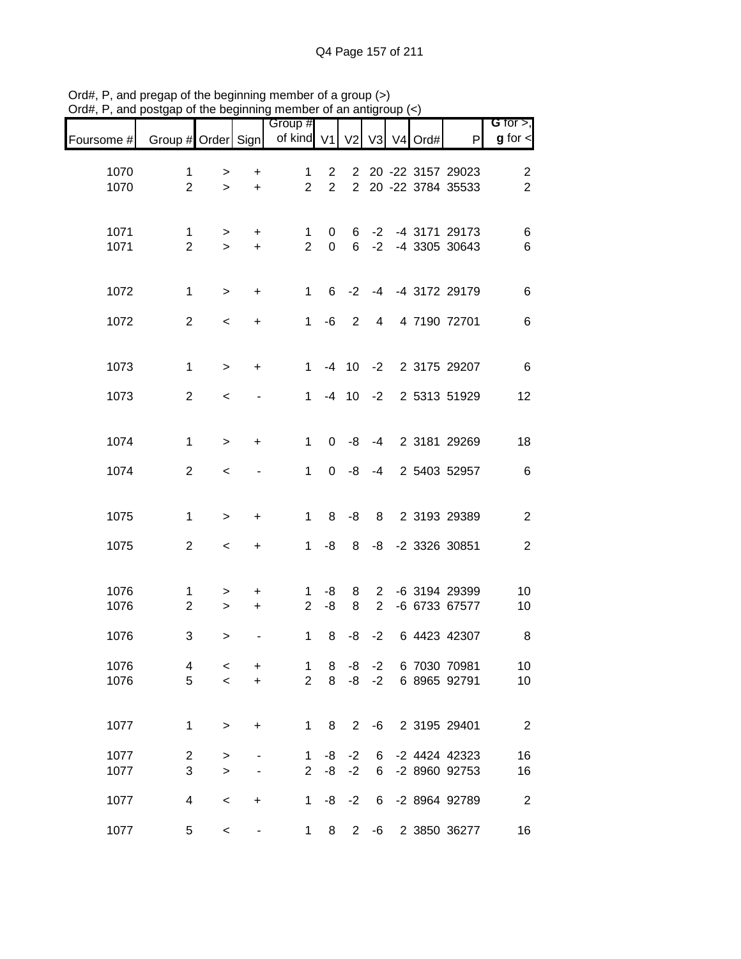| Foursome #   | Group # Order Sign             |                     |                        | Group #<br>of kind V1          |                                  | V <sub>2</sub>                   |                                  | $V3$ V <sub>4</sub> Ord# | $\mathsf{P}$                           | G for $>$ ,<br>$g$ for $\lt$ |
|--------------|--------------------------------|---------------------|------------------------|--------------------------------|----------------------------------|----------------------------------|----------------------------------|--------------------------|----------------------------------------|------------------------------|
| 1070<br>1070 | 1<br>$\overline{2}$            | ><br>$\geq$         | $\ddot{}$<br>$\ddot{}$ | 1<br>$\overline{2}$            | $\overline{2}$<br>$\overline{2}$ | $\overline{2}$<br>$\overline{2}$ |                                  |                          | 20 -22 3157 29023<br>20 -22 3784 35533 | $\sqrt{2}$<br>$\overline{2}$ |
| 1071<br>1071 | $\mathbf 1$<br>$\overline{2}$  | ><br>$\geq$         | +<br>$\ddot{}$         | 1<br>$\overline{2}$            | 0<br>$\mathbf 0$                 | 6<br>6                           | $-2$<br>$-2$                     |                          | -4 3171 29173<br>-4 3305 30643         | 6<br>$\,6$                   |
| 1072         | $\mathbf 1$                    | $\geq$              | +                      | $\mathbf{1}$                   | 6                                | $-2$                             |                                  |                          | -4 -4 3172 29179                       | $\,6$                        |
| 1072         | $\overline{2}$                 | $\,<$               | $\ddot{}$              | $\mathbf{1}$                   | -6                               | 2                                | $\overline{4}$                   |                          | 4 7190 72701                           | $\,6$                        |
| 1073         | $\mathbf{1}$                   | $\geq$              | $\ddot{}$              | $\mathbf{1}$                   |                                  | $-4$ 10                          | $-2$                             |                          | 2 3175 29207                           | $\,6$                        |
| 1073         | $\overline{2}$                 | $\,<$               |                        | $\mathbf{1}$                   |                                  | $-4$ 10                          | $-2$                             |                          | 2 5313 51929                           | 12                           |
| 1074         | $\mathbf{1}$                   | $\geq$              | +                      | $\mathbf{1}$                   | $\Omega$                         | -8                               | $-4$                             |                          | 2 3181 29269                           | 18                           |
| 1074         | $\overline{2}$                 | $\,<$               |                        | 1                              | $\Omega$                         | -8                               | $-4$                             |                          | 2 5403 52957                           | $\,6$                        |
| 1075         | $\mathbf 1$                    | $\geq$              | $\ddot{}$              | $\mathbf{1}$                   | 8                                | -8                               | 8                                |                          | 2 3193 29389                           | $\boldsymbol{2}$             |
| 1075         | $\overline{2}$                 | $\,<$               | +                      | $\mathbf{1}$                   | -8                               | 8                                | -8                               |                          | -2 3326 30851                          | $\sqrt{2}$                   |
| 1076<br>1076 | 1<br>$\overline{2}$            | $\, > \,$<br>$\,$   | $\ddot{}$<br>+         | 1<br>2                         | -8<br>-8                         | 8<br>8                           | $\overline{2}$<br>$\overline{2}$ |                          | -6 3194 29399<br>-6 6733 67577         | 10<br>10                     |
| 1076         | 3                              | >                   |                        | 1                              | 8                                | -8                               | $-2$                             |                          | 6 4423 42307                           | 8                            |
| 1076<br>1076 | 4<br>5                         | $\,<\,$<br>$\prec$  | +<br>$\ddot{}$         | $\mathbf{1}$<br>$\overline{2}$ | 8<br>8                           | -8<br>-8                         | $-2$<br>$-2$                     |                          | 6 7030 70981<br>6 8965 92791           | 10<br>10                     |
| 1077         | $\mathbf 1$                    | $\geq$              | $\ddot{}$              | $\mathbf{1}$                   | 8                                | $\overline{2}$                   | -6                               |                          | 2 3195 29401                           | $\overline{2}$               |
| 1077<br>1077 | $\overline{c}$<br>$\mathbf{3}$ | $\, > \,$<br>$\geq$ |                        | 1<br>$\overline{2}$            | -8<br>-8                         | $-2$<br>$-2$                     | 6<br>6                           |                          | -2 4424 42323<br>-2 8960 92753         | 16<br>16                     |
| 1077         | 4                              | $\,<$               | $\ddot{}$              | $\mathbf{1}$                   | -8                               | $-2$                             | 6                                |                          | -2 8964 92789                          | $\overline{2}$               |
| 1077         | 5                              | $\,<$               |                        | $\mathbf 1$                    | 8                                | $2^{\circ}$                      | -6                               |                          | 2 3850 36277                           | 16                           |

Ord#, P, and pregap of the beginning member of a group (>) Ord#, P, and postgap of the beginning member of an antigroup (<)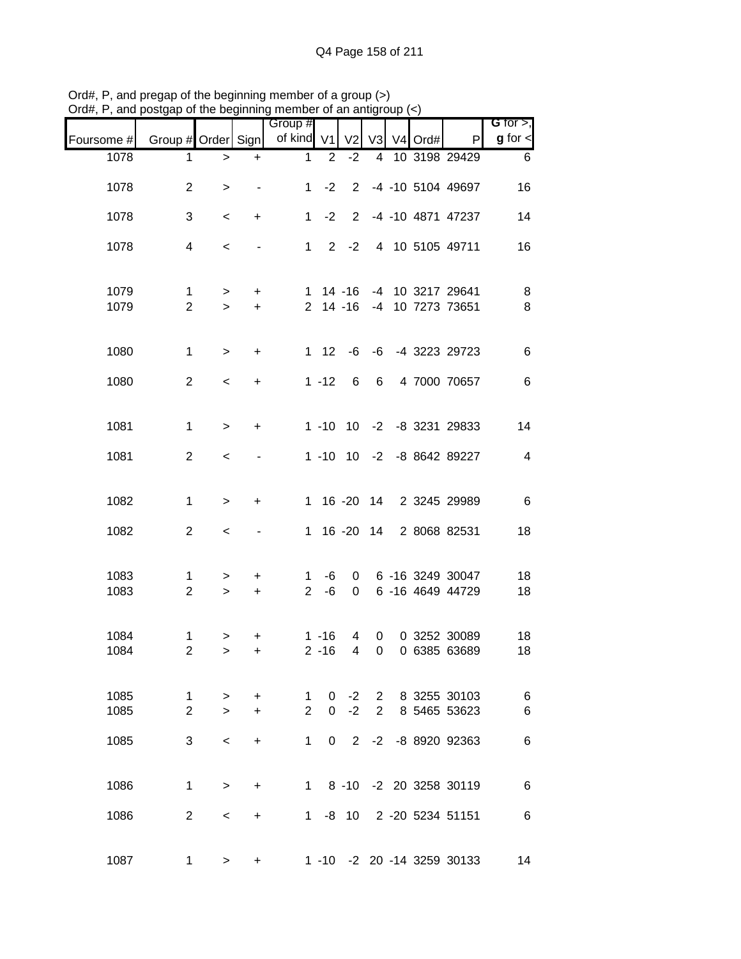|              |                               |                      |                        | Group #                        |                              |                     |                |             |                     |                                      | G for $>$ ,    |
|--------------|-------------------------------|----------------------|------------------------|--------------------------------|------------------------------|---------------------|----------------|-------------|---------------------|--------------------------------------|----------------|
| Foursome #   | Group # Order Sign            |                      |                        | of kind V1                     |                              | V <sub>2</sub>      | V <sub>3</sub> |             | V <sub>4</sub> Ord# | P                                    | $g$ for $\lt$  |
| 1078         | 1                             | $\, > \,$            | $\ddot{}$              | $\mathbf 1$                    | $\overline{2}$               | $-2$                |                |             |                     | 4 10 3198 29429                      | 6              |
| 1078         | $\overline{2}$                | $\, > \,$            |                        | $\mathbf{1}$                   | $-2$                         |                     |                |             |                     | 2 -4 -10 5104 49697                  | 16             |
| 1078         | 3                             | $\,<$                | $\ddot{}$              | $\mathbf{1}$                   | $-2$                         | $2^{\circ}$         |                |             |                     | -4 -10 4871 47237                    | 14             |
| 1078         | $\overline{4}$                | $\prec$              |                        |                                | $1 \t2 \t-2$                 |                     |                |             |                     | 4 10 5105 49711                      | 16             |
| 1079<br>1079 | $\mathbf 1$<br>$\overline{2}$ | $\, >$<br>$\geq$     | $\ddot{}$<br>$\ddot{}$ |                                | $1 14 - 16$<br>$2 \t14 - 16$ |                     |                |             |                     | -4 10 3217 29641<br>-4 10 7273 73651 | 8<br>8         |
| 1080         | $\mathbf{1}$                  | $\, >$               | $\ddot{}$              |                                |                              |                     |                |             |                     | 1 12 -6 -6 -4 3223 29723             | $\,6$          |
| 1080         | 2                             | $\prec$              | $\ddot{}$              |                                | $1 - 12$                     | $6\overline{6}$     |                |             |                     | 6 4 7000 70657                       | 6              |
| 1081         | 1                             | $\,>$                | $\ddot{}$              |                                |                              |                     |                |             |                     | 1 -10 10 -2 -8 3231 29833            | 14             |
| 1081         | 2                             | $\,<$                |                        |                                |                              |                     |                |             |                     | 1 -10 10 -2 -8 8642 89227            | $\overline{4}$ |
| 1082         | $\mathbf{1}$                  | $\,>$                | $\ddot{}$              |                                |                              |                     |                |             |                     | 1 16 -20 14 2 3245 29989             | $\,6\,$        |
| 1082         | $\overline{2}$                | $\,<$                |                        | 1                              |                              | $16 - 20$           |                |             |                     | 14 2 8068 82531                      | 18             |
| 1083<br>1083 | 1<br>$\overline{2}$           | ><br>$\geq$          | +<br>$\ddot{}$         | $\mathbf{1}$<br>$\overline{2}$ | -6<br>-6                     | $\mathbf 0$<br>0    |                |             |                     | 6 -16 3249 30047<br>6 -16 4649 44729 | 18<br>18       |
|              |                               |                      |                        |                                |                              |                     |                |             |                     |                                      |                |
| 1084<br>1084 | $\mathbf 1$<br>$\mathbf 2$    | $\,$<br>$\mathbf{I}$ | $\ddot{}$<br>+         |                                | $1 - 16$<br>$2 - 16$         | 4<br>$\overline{4}$ | 0<br>0         |             |                     | 0 3252 30089<br>0 6385 63689         | 18<br>18       |
| 1085         | $\mathbf 1$                   | $\,>$                | $+$                    | 1                              | 0                            | $-2$                |                | $2^{\circ}$ |                     | 8 3255 30103                         | $\,6$          |
| 1085         | $\overline{2}$                | $\geq$               | $\ddot{}$              | $\overline{2}$                 | $\Omega$                     | $-2$                | $\overline{2}$ |             |                     | 8 5465 53623                         | 6              |
| 1085         | 3                             | $\prec$              | $\ddot{}$              | $\mathbf 1$                    | $\Omega$                     |                     |                |             |                     | 2 -2 -8 8920 92363                   | $\,6$          |
| 1086         | $\mathbf 1$                   | $\,$                 | +                      |                                |                              |                     |                |             |                     | 1 8 -10 -2 20 3258 30119             | $\,6$          |
| 1086         | $\overline{2}$                | $\,<\,$              | $\ddot{}$              | 1                              |                              | -8 10               |                |             |                     | 2 -20 5234 51151                     | $\,6$          |
| 1087         | 1                             | $\geq$               | $\ddot{}$              |                                |                              |                     |                |             |                     | 1 -10 -2 20 -14 3259 30133           | 14             |

Ord#, P, and pregap of the beginning member of a group (>) Ord#, P, and postgap of the beginning member of an antigroup (<)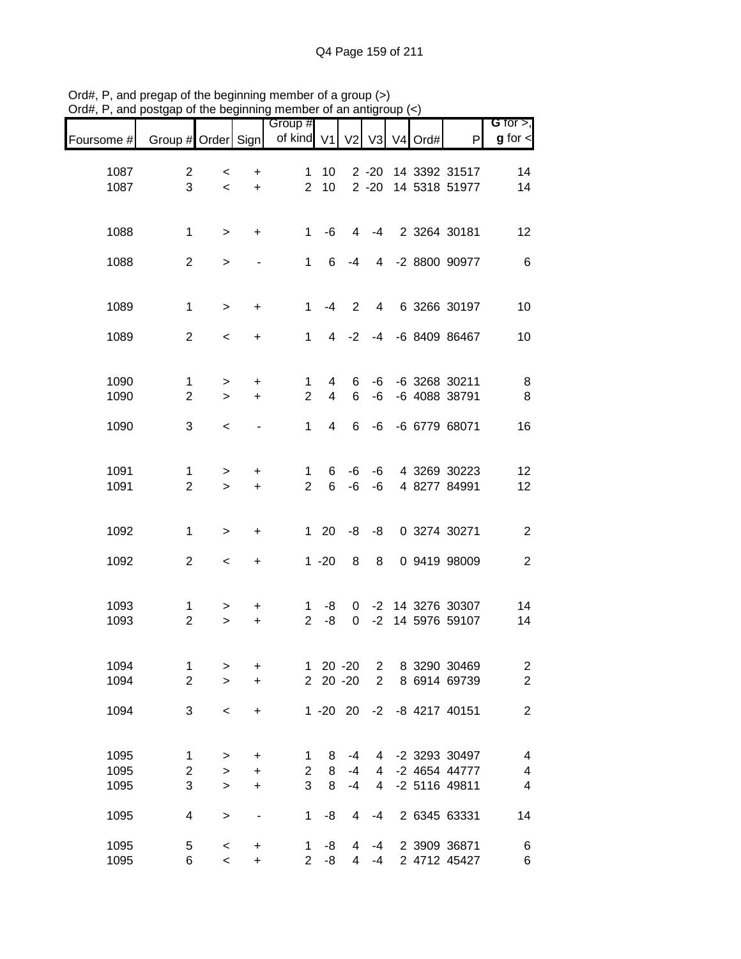|              |                                |                       |                                  | Group #                       |                     |                     |                 |            |                                   | G for $>$ ,                               |
|--------------|--------------------------------|-----------------------|----------------------------------|-------------------------------|---------------------|---------------------|-----------------|------------|-----------------------------------|-------------------------------------------|
| Foursome #   | Group # Order Sign             |                       |                                  | of kind V1                    |                     | V <sub>2</sub>      |                 | V3 V4 Ord# | $\mathsf{P}$                      | $g$ for $\lt$                             |
| 1087         | $\overline{2}$                 | $\,<\,$               | $\ddot{}$                        | $\mathbf{1}$                  | 10                  |                     | $2 - 20$        |            | 14 3392 31517                     | 14                                        |
| 1087         | 3                              | $\,<$                 | $\ddot{}$                        | $\overline{2}$                | 10                  |                     | $2 - 20$        |            | 14 5318 51977                     | 14                                        |
|              |                                |                       |                                  |                               |                     |                     |                 |            |                                   |                                           |
| 1088         | $\mathbf 1$                    | $\, >$                | $\ddot{}$                        | $\mathbf{1}$                  | -6                  | 4                   | $-4$            |            | 2 3264 30181                      | 12                                        |
|              |                                |                       |                                  |                               |                     |                     |                 |            |                                   |                                           |
| 1088         | $\overline{2}$                 | $\geq$                |                                  | $\mathbf{1}$                  | 6                   | $-4$                |                 |            | 4 -2 8800 90977                   | $\,6\,$                                   |
|              |                                |                       |                                  |                               |                     |                     |                 |            |                                   |                                           |
| 1089         | $\mathbf{1}$                   | $\geq$                | $\ddot{}$                        | $\mathbf{1}$                  | -4                  | $\overline{2}$      | $4\overline{ }$ |            | 6 3266 30197                      | 10                                        |
| 1089         | $\overline{2}$                 | $\,<$                 | +                                | $\mathbf{1}$                  | $\overline{4}$      | $-2$                |                 |            | -4 -6 8409 86467                  | 10                                        |
|              |                                |                       |                                  |                               |                     |                     |                 |            |                                   |                                           |
|              |                                |                       |                                  |                               |                     |                     |                 |            |                                   |                                           |
| 1090<br>1090 | $\mathbf{1}$<br>$\overline{2}$ | $\, >$<br>$\geq$      | $\ddot{}$<br>$\ddot{}$           | $\mathbf 1$<br>$\overline{2}$ | 4<br>$\overline{4}$ | 6<br>6              | -6<br>$-6$      |            | -6 3268 30211<br>-6 4088 38791    | 8<br>$\, 8$                               |
|              |                                |                       |                                  |                               |                     |                     |                 |            |                                   |                                           |
| 1090         | 3                              | $\,<\,$               |                                  | $\mathbf{1}$                  | $\overline{4}$      | 6                   | -6              |            | -6 6779 68071                     | 16                                        |
|              |                                |                       |                                  |                               |                     |                     |                 |            |                                   |                                           |
| 1091         | $\mathbf{1}$                   | $\,$                  | +                                | 1                             | 6                   | -6                  | -6              |            | 4 3269 30223                      | 12                                        |
| 1091         | $\overline{2}$                 | $\geq$                | $\ddot{}$                        | $\overline{2}$                | 6                   | $-6$                | -6              |            | 4 8277 84991                      | 12                                        |
|              |                                |                       |                                  |                               |                     |                     |                 |            |                                   |                                           |
| 1092         | $\mathbf 1$                    | $\geq$                | +                                |                               | $1 20$              | -8                  | -8              |            | 0 3274 30271                      | $\sqrt{2}$                                |
| 1092         | $\overline{2}$                 | $\,<$                 | $\begin{array}{c} + \end{array}$ |                               | $1 - 20$            | 8                   | 8               |            | 0 9419 98009                      | $\boldsymbol{2}$                          |
|              |                                |                       |                                  |                               |                     |                     |                 |            |                                   |                                           |
|              |                                |                       |                                  |                               |                     |                     |                 |            |                                   |                                           |
| 1093<br>1093 | $\mathbf{1}$<br>$\overline{2}$ | ><br>$\,>$            | +<br>$\ddot{}$                   | 1<br>$\overline{2}$           | -8<br>-8            | 0<br>$\mathbf 0$    | $-2$            |            | -2 14 3276 30307<br>14 5976 59107 | 14<br>14                                  |
|              |                                |                       |                                  |                               |                     |                     |                 |            |                                   |                                           |
| 1094         | $\mathbf 1$                    |                       |                                  |                               |                     | $20 - 20$           | $\overline{2}$  |            | 8 3290 30469                      |                                           |
| 1094         | $\overline{2}$                 | $\,>$<br>$\mathbf{L}$ | $\ddot{}$<br>$\ddot{}$           | $\mathbf{1}$                  | 2 20 -20            |                     | $\overline{2}$  |            | 8 6914 69739                      | $\overline{\mathbf{c}}$<br>$\overline{c}$ |
|              |                                |                       |                                  |                               |                     |                     |                 |            |                                   |                                           |
| 1094         | 3                              | $\,<$                 | $\ddot{}$                        |                               | $1 - 20$ 20         |                     | $-2$            |            | -8 4217 40151                     | $\boldsymbol{2}$                          |
|              |                                |                       |                                  |                               |                     |                     |                 |            |                                   |                                           |
| 1095         | $\mathbf{1}$                   | $\, >$                | +                                | 1                             | 8                   | $-4$                | 4               |            | -2 3293 30497                     | $\overline{\mathcal{A}}$                  |
| 1095         | $\overline{c}$                 | $\geq$                | +                                | $\overline{c}$                | 8                   | $-4$                | 4               |            | -2 4654 44777                     | 4                                         |
| 1095         | 3                              | $\,$                  | $\ddot{}$                        | 3                             | 8                   | $-4$                | 4               |            | -2 5116 49811                     | $\overline{\mathbf{4}}$                   |
| 1095         | 4                              | $\, >$                | $\overline{\phantom{a}}$         | 1                             | -8                  | 4                   | $-4$            |            | 2 6345 63331                      | 14                                        |
|              |                                |                       |                                  |                               |                     |                     |                 |            |                                   |                                           |
| 1095<br>1095 | 5<br>6                         | $\,<$<br>$\,<$        | $\ddot{}$<br>$\ddot{}$           | 1<br>2 <sup>7</sup>           | -8<br>-8            | 4<br>$\overline{4}$ | $-4$<br>$-4$    |            | 2 3909 36871<br>2 4712 45427      | 6<br>$\,6$                                |

Ord#, P, and pregap of the beginning member of a group (>) Ord#, P, and postgap of the beginning member of an antigroup (<)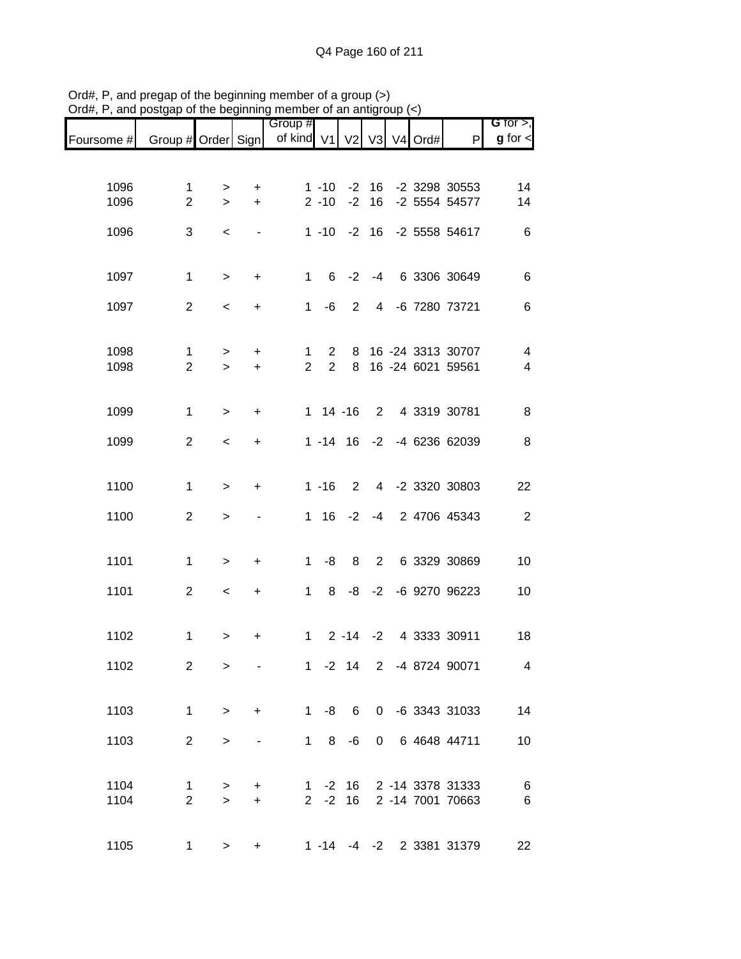|                               |                                |                |                        | Group #                       |                               |             |         |               |                                          | G for $>$ ,                                         |
|-------------------------------|--------------------------------|----------------|------------------------|-------------------------------|-------------------------------|-------------|---------|---------------|------------------------------------------|-----------------------------------------------------|
| Foursome # Group # Order Sign |                                |                |                        | of kind V1                    |                               |             |         | V2 V3 V4 Ord# | P                                        | $g$ for $\lt$                                       |
|                               |                                |                |                        |                               |                               |             |         |               |                                          |                                                     |
| 1096                          | $\mathbf 1$                    | >              | $\ddot{}$              |                               | $1 - 10$                      |             | $-2$ 16 |               | -2 3298 30553                            | 14                                                  |
| 1096                          | $\overline{2}$                 | $\geq$         | $\ddot{}$              |                               | $2 - 10$                      | $-2$        | 16      |               | -2 5554 54577                            | 14                                                  |
| 1096                          | 3                              | $\,<$          | $\blacksquare$         |                               | $1 - 10 - 2 16$               |             |         |               | -2 5558 54617                            | $\,6$                                               |
|                               |                                |                |                        |                               |                               |             |         |               |                                          |                                                     |
| 1097                          | $\mathbf 1$                    | $\geq$         | $\ddot{}$              |                               | $1 \quad$                     | $6 -2$      |         |               | -4 6 3306 30649                          | $\,6$                                               |
| 1097                          | $\overline{2}$                 | $\,<$          | $\ddot{}$              |                               | $1 - 6$                       | $2^{\circ}$ |         |               | 4 -6 7280 73721                          | $\,6$                                               |
|                               |                                |                |                        |                               |                               |             |         |               |                                          |                                                     |
| 1098<br>1098                  | $\mathbf{1}$<br>$\overline{2}$ | $\,$<br>$\geq$ | $\ddot{}$<br>$\ddot{}$ | $\mathbf 1$<br>$\overline{2}$ | $2^{\circ}$<br>$\overline{2}$ | 8           |         |               | 16 -24 3313 30707<br>8 16 -24 6021 59561 | $\overline{\mathcal{A}}$<br>$\overline{\mathbf{4}}$ |
|                               |                                |                |                        |                               |                               |             |         |               |                                          |                                                     |
| 1099                          | $\mathbf 1$                    | $\geq$         | $\ddot{}$              |                               | $1 14 - 16$                   |             |         |               | 2 4 3319 30781                           | 8                                                   |
| 1099                          | $\overline{2}$                 | $\prec$        | $\ddot{}$              |                               |                               |             |         |               | 1 -14 16 -2 -4 6236 62039                | 8                                                   |
|                               |                                |                |                        |                               |                               |             |         |               |                                          |                                                     |
| 1100                          | $\mathbf{1}$                   | $\geq$         | +                      |                               | $1 - 16$                      | 2           |         |               | 4 -2 3320 30803                          | 22                                                  |
| 1100                          | $\overline{2}$                 | $\geq$         |                        |                               | 1 16                          | $-2$        |         |               | -4 2 4706 45343                          | $\sqrt{2}$                                          |
|                               |                                |                |                        |                               |                               |             |         |               |                                          |                                                     |
| 1101                          | $\mathbf 1$                    | $\geq$         | $\ddot{}$              | $1 \quad$                     | -8                            | 8           |         |               | 2 6 3329 30869                           | 10                                                  |
| 1101                          | $\overline{2}$                 | $\,<$          | $\ddot{}$              | 1                             | 8                             |             |         |               | -8 -2 -6 9270 96223                      | 10                                                  |
|                               |                                |                |                        |                               |                               |             |         |               |                                          |                                                     |
| 1102                          | $\mathbf 1$                    | $\,$           | +                      | 1                             |                               |             |         |               | 2 -14 -2 4 3333 30911                    | 18                                                  |
| 1102                          | $\overline{2}$                 | $\geq$         |                        |                               |                               |             |         |               | 1 -2 14 2 -4 8724 90071                  | $\overline{4}$                                      |
|                               |                                |                |                        |                               |                               |             |         |               |                                          |                                                     |
| 1103                          | $\mathbf 1$                    | $\, >$         | $+$                    |                               |                               |             |         |               | 1 -8 6 0 -6 3343 31033                   | 14                                                  |
| 1103                          | $\overline{2}$                 | $\geq$         |                        |                               | $1 \t 8 \t -6$                |             |         |               | 0 6 4648 44711                           | 10                                                  |
|                               |                                |                |                        |                               |                               |             |         |               |                                          |                                                     |
| 1104                          | 1                              | $\,$           | $\ddot{}$              |                               |                               |             |         |               | 1 -2 16 2 -14 3378 31333                 | $\,6$                                               |
| 1104                          | $\overline{2}$                 | $\geq$         | $\ddot{}$              |                               | $2 -2$                        | 16          |         |               | 2 -14 7001 70663                         | $\,6$                                               |
| 1105                          | 1                              | >              | +                      |                               |                               |             |         |               | 1 -14 -4 -2 2 3381 31379                 | 22                                                  |

Ord#, P, and pregap of the beginning member of a group (>) Ord#, P, and postgap of the beginning member of an antigroup (<)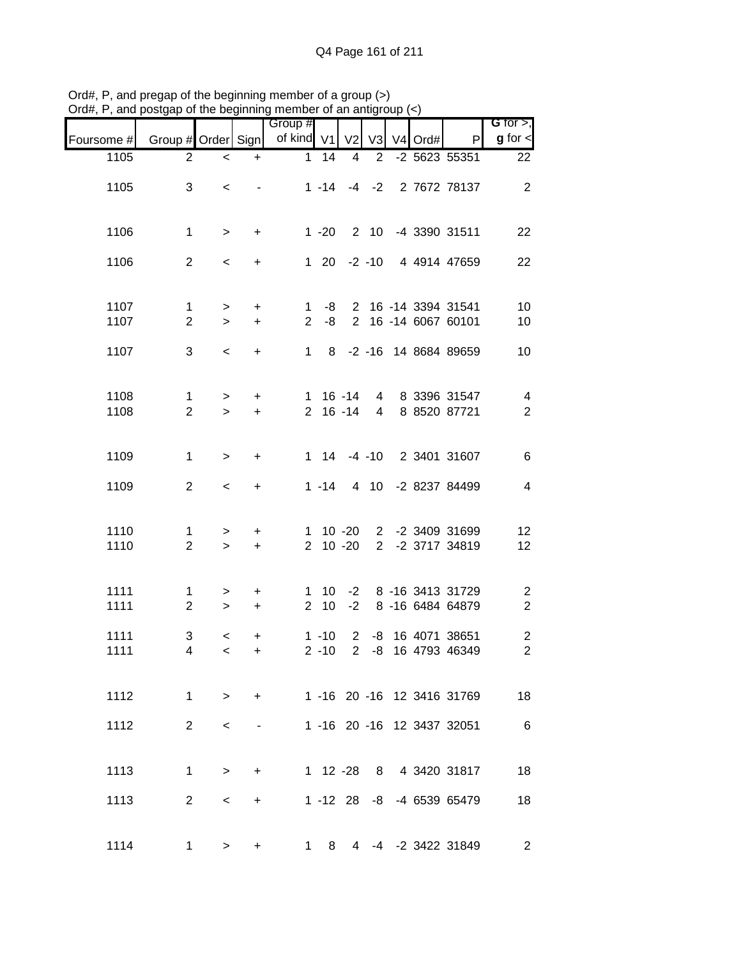|                              |                            |                          |                |                |              |                          |           |         |                    | $P(\alpha_0, \alpha_1)$ , and poolgap of the beginning member of an antigroup $(\prec)$ |
|------------------------------|----------------------------|--------------------------|----------------|----------------|--------------|--------------------------|-----------|---------|--------------------|-----------------------------------------------------------------------------------------|
| G for $>$ ,<br>$g$ for $\lt$ | P                          | $V3$ V <sub>4</sub> Ord# |                |                |              | Group #<br>of kind V1 V2 |           |         | Group # Order Sign | Foursome #                                                                              |
| 22                           | -2 5623 55351              |                          | $\overline{2}$ | $\overline{4}$ | 14           | 1                        | $+$       | $\,<$   | $\overline{2}$     | 1105                                                                                    |
| $\overline{2}$               | 1 -14 -4 -2 2 7672 78137   |                          |                |                |              |                          |           | $\,<$   | 3                  | 1105                                                                                    |
| 22                           | 2 10 -4 3390 31511         |                          |                |                | $1 - 20$     |                          | $+$       | $\, >$  | $\mathbf 1$        | 1106                                                                                    |
| 22                           | 1 20 -2 -10 4 4914 47659   |                          |                |                |              |                          | $+$       | $\,<$   | 2                  | 1106                                                                                    |
| 10                           | 2 16 -14 3394 31541        |                          |                |                | $1 - 8$      |                          | $+$       | $\, >$  | $\mathbf{1}$       | 1107                                                                                    |
| 10                           | 2 16 -14 6067 60101        |                          |                |                | -8           | $\overline{2}$           | $+$       | $\geq$  | $\overline{2}$     | 1107                                                                                    |
| 10                           | 1 8 -2 -16 14 8684 89659   |                          |                |                |              |                          | $+$       | $\prec$ | 3                  | 1107                                                                                    |
| $\overline{4}$               | 4 8 3396 31547             |                          |                | 1 16 -14       |              |                          | $+$       | $\, >$  | $\mathbf 1$        | 1108                                                                                    |
| $\overline{2}$               | 4 8 8520 87721             |                          |                | $2 \t16 - 14$  |              |                          | $+$       | $\geq$  | $\overline{2}$     | 1108                                                                                    |
| $\,6$                        | 1 14 -4 -10 2 3401 31607   |                          |                |                |              |                          | $+$       | $\, >$  | $\mathbf{1}$       | 1109                                                                                    |
| $\overline{4}$               | 4 10 -2 8237 84499         |                          |                |                | $1 - 14$     |                          | $+$       | $\,<$   | $\overline{2}$     | 1109                                                                                    |
| 12                           | 2 -2 3409 31699            |                          |                | $1 10 -20$     |              |                          | $+$       | $\, >$  | 1                  | 1110                                                                                    |
| 12                           | 2 -2 3717 34819            |                          |                | $2 10 -20$     |              |                          | $+$       | $\, >$  | $\overline{2}$     | 1110                                                                                    |
| $\sqrt{2}$                   | 1 10 -2 8 -16 3413 31729   |                          |                |                |              |                          | $+$       | $\,>$   | $\mathbf 1$        | 1111                                                                                    |
| $\overline{2}$               | -2 8 -16 6484 64879        |                          |                |                | $2 \quad 10$ |                          | $+$       | $\geq$  | $\overline{2}$     | 1111                                                                                    |
| $\sqrt{2}$                   | 2 -8 16 4071 38651         |                          |                |                | $1 - 10$     |                          | $\ddot{}$ | $\,<$   | $\sqrt{3}$         | 1111                                                                                    |
| $\overline{c}$               | -8 16 4793 46349           |                          |                | $\overline{2}$ | $2 - 10$     |                          | $\ddot{}$ | $\,<$   | 4                  | 1111                                                                                    |
| 18                           | 1 -16 20 -16 12 3416 31769 |                          |                |                |              |                          | $+$       | $\geq$  | $\mathbf 1$        | 1112                                                                                    |
| $6\overline{6}$              | 1 -16 20 -16 12 3437 32051 |                          |                |                |              |                          |           | $\,<\,$ | $\overline{2}$     | 1112                                                                                    |
| 18                           | 1 12 -28 8 4 3420 31817    |                          |                |                |              |                          | $+$       | $\geq$  | $\mathbf 1$        | 1113                                                                                    |
| 18                           | 1 -12 28 -8 -4 6539 65479  |                          |                |                |              |                          | $+$       | $\,<\,$ | 2                  | 1113                                                                                    |
|                              |                            |                          |                |                |              |                          |           |         |                    |                                                                                         |
| $\overline{2}$               | 4 -4 -2 3422 31849         |                          |                |                | 1 8          |                          | $\ddot{}$ | $\geq$  | $\mathbf{1}$       | 1114                                                                                    |

Ord#, P, and pregap of the beginning member of a group (>) Ord#, P, and postgap of the beginning member of an antigroup (<)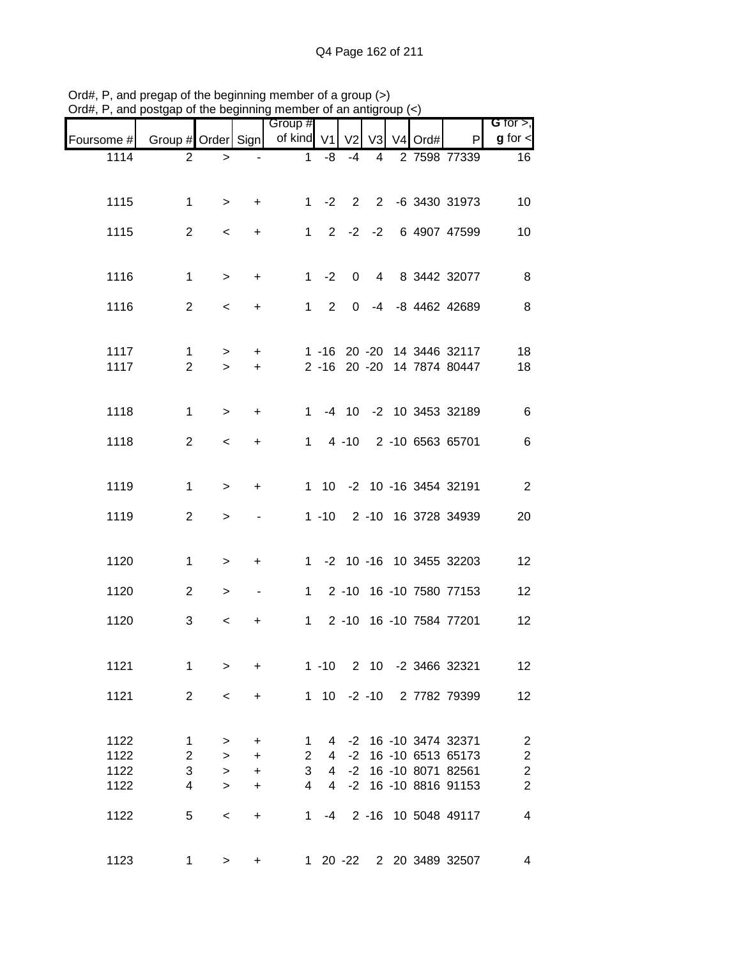|            | $\frac{1}{2}$ and postgap of the beginning included of an antigroup $\left(\frac{1}{2}\right)$ |               |                |                |                |             |    |         |                                                | G for $>$ ,             |
|------------|------------------------------------------------------------------------------------------------|---------------|----------------|----------------|----------------|-------------|----|---------|------------------------------------------------|-------------------------|
| Foursome # | Group # Order Sign of kind V1 V2                                                               |               |                | Group #        |                |             | V3 | V4 Ord# | P                                              | $g$ for $\lt$           |
| 1114       | $\overline{2}$                                                                                 | $\, > \,$     | $\blacksquare$ | $\mathbf{1}$   | -8             | $-4$        | 4  |         | 2 7598 77339                                   | 16                      |
|            |                                                                                                |               |                |                |                |             |    |         |                                                |                         |
| 1115       | 1                                                                                              | $\geq$        | $\ddot{}$      |                |                |             |    |         | 1 -2 2 2 -6 3430 31973                         | 10                      |
| 1115       | $\overline{2}$                                                                                 | $\prec$       | $+$            |                |                |             |    |         | 1 2 -2 -2 6 4907 47599                         | 10                      |
|            |                                                                                                |               |                |                |                |             |    |         |                                                |                         |
| 1116       | $\mathbf 1$                                                                                    | $\,>$         | $+$            |                | $1 -2$         | $\mathbf 0$ |    |         | 4 8 3442 32077                                 | 8                       |
|            |                                                                                                |               |                |                |                |             |    |         |                                                |                         |
| 1116       | $\overline{2}$                                                                                 | $\,<$         | $\ddot{}$      |                | $1\quad 2$     |             |    |         | 0 -4 -8 4462 42689                             | 8                       |
|            |                                                                                                |               |                |                |                |             |    |         |                                                |                         |
| 1117       | $\mathbf{1}$                                                                                   | $\,$          | $+$            |                |                |             |    |         | 1 -16 20 -20 14 3446 32117                     | 18                      |
| 1117       | $\overline{2}$                                                                                 | $\geq$        | $+$            |                |                |             |    |         | 2 -16 20 -20 14 7874 80447                     | 18                      |
|            |                                                                                                |               |                |                |                |             |    |         |                                                |                         |
| 1118       | 1                                                                                              | $\,>$         | $\ddot{}$      |                |                |             |    |         | 1 -4 10 -2 10 3453 32189                       | $\,6$                   |
| 1118       | $\overline{2}$                                                                                 | $\prec$       | $+$            |                |                |             |    |         | 1 4 -10 2 -10 6563 65701                       | $\,6$                   |
|            |                                                                                                |               |                |                |                |             |    |         |                                                |                         |
| 1119       | 1                                                                                              | $\,>$         | $\ddot{}$      |                |                |             |    |         | 1 10 -2 10 -16 3454 32191                      | $\overline{2}$          |
| 1119       | $\overline{2}$                                                                                 | $\geq$        | $\blacksquare$ |                |                |             |    |         | 1 -10 2 -10 16 3728 34939                      | 20                      |
|            |                                                                                                |               |                |                |                |             |    |         |                                                |                         |
|            |                                                                                                |               |                |                |                |             |    |         |                                                |                         |
| 1120       | 1                                                                                              | $\, > \,$     | $\ddot{}$      |                |                |             |    |         | 1 -2 10 -16 10 3455 32203                      | 12                      |
| 1120       | $\overline{2}$                                                                                 | $\, >$        | $\blacksquare$ |                |                |             |    |         | 1 2 -10 16 -10 7580 77153                      | 12                      |
| 1120       | 3                                                                                              | $\,<\,$       | +              | $1 \quad$      |                |             |    |         | 2 -10 16 -10 7584 77201                        | 12                      |
|            |                                                                                                |               |                |                |                |             |    |         |                                                |                         |
| 1121       | 1                                                                                              | $\geq$        | $\ddot{}$      |                | $1 - 10$       |             |    |         | 2 10 -2 3466 32321                             | 12                      |
|            |                                                                                                |               |                |                |                |             |    |         |                                                |                         |
| 1121       | $\overline{2}$                                                                                 | $\,<$         | $\ddot{}$      |                |                |             |    |         | 1 10 -2 -10 2 7782 79399                       | 12                      |
|            |                                                                                                |               |                |                |                |             |    |         |                                                |                         |
| 1122       | $\mathbf{1}$                                                                                   | $\geq$        | $\ddot{}$      | $\mathbf{1}$   |                |             |    |         | 4 -2 16 -10 3474 32371                         | $\overline{\mathbf{c}}$ |
| 1122       | $\overline{2}$                                                                                 | $\rightarrow$ | $\ddot{}$      | $\overline{2}$ | $\overline{4}$ |             |    |         | -2 16 -10 6513 65173                           | $\overline{\mathbf{c}}$ |
| 1122       | $\ensuremath{\mathsf{3}}$                                                                      | $\rightarrow$ | $+$            | 3              |                |             |    |         | 4 -2 16 -10 8071 82561<br>-2 16 -10 8816 91153 | $\frac{2}{2}$           |
| 1122       | 4                                                                                              | $\rightarrow$ | $\ddot{}$      | $\overline{4}$ | $\overline{4}$ |             |    |         |                                                |                         |
| 1122       | 5                                                                                              | $\,<$         | $\ddot{}$      | 1              | $-4$           |             |    |         | 2 -16 10 5048 49117                            | $\overline{4}$          |
|            |                                                                                                |               |                |                |                |             |    |         |                                                |                         |
| 1123       | $\mathbf 1$                                                                                    | $\geq$        | $\ddot{}$      |                |                |             |    |         | 1 20 -22 2 20 3489 32507                       | 4                       |

Ord#, P, and pregap of the beginning member of a group (>) Ord#, P, and postgap of the beginning member of an antigroup (<)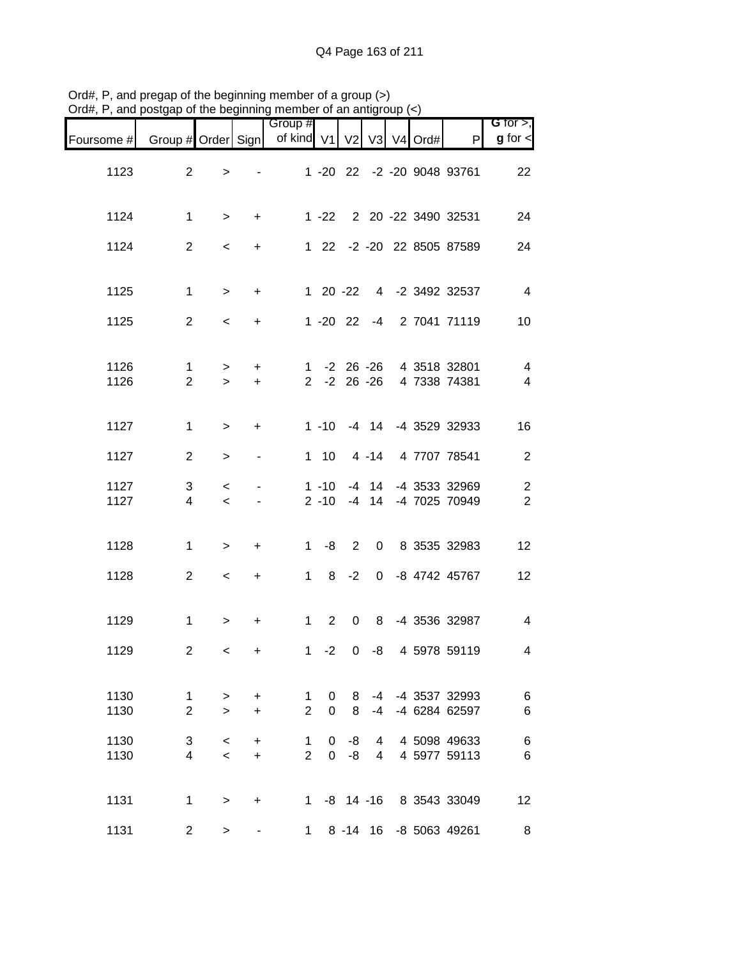|                              |                                   |  |                 |             |                  |                                     |                        |                          |                     | $P(\alpha, t)$ , and poolgap of the beginning member of an antigroup $(\gamma)$ |
|------------------------------|-----------------------------------|--|-----------------|-------------|------------------|-------------------------------------|------------------------|--------------------------|---------------------|---------------------------------------------------------------------------------|
| G for $>$ ,<br>$g$ for $\lt$ | P                                 |  |                 |             |                  | Group #<br>of kind V1 V2 V3 V4 Ord# |                        |                          |                     | Foursome # Group # Order Sign                                                   |
| 22                           | 1 -20 22 -2 -20 9048 93761        |  |                 |             |                  |                                     |                        | $\,$                     | 2                   | 1123                                                                            |
| 24                           | 1 -22 2 20 -22 3490 32531         |  |                 |             |                  |                                     | $+$                    | $\geq$                   | $\mathbf 1$         | 1124                                                                            |
| 24                           | 1 22 -2 -20 22 8505 87589         |  |                 |             |                  |                                     | $+$                    | $\,<$                    | $\overline{2}$      | 1124                                                                            |
| $\overline{4}$               | 1 20 -22 4 -2 3492 32537          |  |                 |             |                  |                                     | $+$                    | $\, >$                   | $\mathbf 1$         | 1125                                                                            |
| 10                           | 1 -20 22 -4 2 7041 71119          |  |                 |             |                  |                                     | $\ddot{}$              | $\overline{\phantom{a}}$ | $\overline{2}$      | 1125                                                                            |
|                              |                                   |  |                 |             |                  |                                     |                        |                          |                     |                                                                                 |
| $\overline{4}$               | 1 -2 26 -26 4 3518 32801          |  |                 |             |                  |                                     | $+$                    | $\geq$                   | $\mathbf{1}$        | 1126                                                                            |
| $\overline{4}$               | 2 -2 26 -26 4 7338 74381          |  |                 |             |                  |                                     | $+$                    | $\geq$                   | $\overline{2}$      | 1126                                                                            |
| 16                           | 1 -10 -4 14 -4 3529 32933         |  |                 |             |                  |                                     | $\ddot{}$              | $\, >$                   | 1                   | 1127                                                                            |
| $\sqrt{2}$                   | 4 -14 4 7707 78541                |  |                 |             | $1 \quad 10$     |                                     | $\blacksquare$         | $\,>$                    | $\overline{2}$      | 1127                                                                            |
| $\sqrt{2}$                   | -4 14 -4 3533 32969               |  |                 |             | $1 - 10$         |                                     |                        | $\,<$                    | 3                   | 1127                                                                            |
| $\overline{2}$               | -4 14 -4 7025 70949               |  |                 |             | $2 - 10$         |                                     | $\sim$                 | $\,<$                    | $\overline{4}$      | 1127                                                                            |
| 12                           | 2 0 8 3535 32983                  |  |                 |             | $1 - 8$          |                                     | $+$                    | $\,$                     | 1                   | 1128                                                                            |
| 12                           | 1 8 -2 0 -8 4742 45767            |  |                 |             |                  |                                     | $+$                    | $\,<$                    | $\overline{2}$      | 1128                                                                            |
| $\overline{\mathbf{4}}$      | 8 -4 3536 32987                   |  |                 | $2 \quad 0$ |                  | $1 \quad$                           | $\ddot{}$              | $\geq$                   | $\mathbf 1$         | 1129                                                                            |
| 4                            | 4 5978 59119                      |  | $1 - 2 0 - 8$   |             |                  |                                     | $\pm$                  | $\lt$                    | $\overline{2}$      | 1129                                                                            |
| $\,6$<br>$\,6$               | -4 -4 3537 32993<br>-4 6284 62597 |  | -4              | 8<br>8      | 0<br>$\mathbf 0$ | 1.<br>$\overline{2}$                | $\ddot{}$<br>$\ddot{}$ | $\, > \,$<br>$\geq$      | 1<br>$\overline{2}$ | 1130<br>1130                                                                    |
| $\,6$                        | 4 5098 49633                      |  | 4               | -8          | 0                | 1<br>$\overline{2}$                 | $\ddot{}$              | $\,<$                    | 3                   | 1130                                                                            |
| 6                            | 4 5977 59113                      |  | $4\overline{ }$ | -8          | $\overline{0}$   |                                     | $+$                    | $\,<$                    | $\overline{4}$      | 1130                                                                            |
| 12                           | 1 -8 14 -16 8 3543 33049          |  |                 |             |                  |                                     | $\ddot{}$              | $\geq$                   | 1                   | 1131                                                                            |
| 8                            | 8 -14 16 -8 5063 49261            |  |                 |             |                  | $\mathbf 1$                         |                        | $\, > \,$                | $\overline{2}$      | 1131                                                                            |

Ord#, P, and pregap of the beginning member of a group (>) Ord#, P, and postgap of the beginning member of an antigroup (<)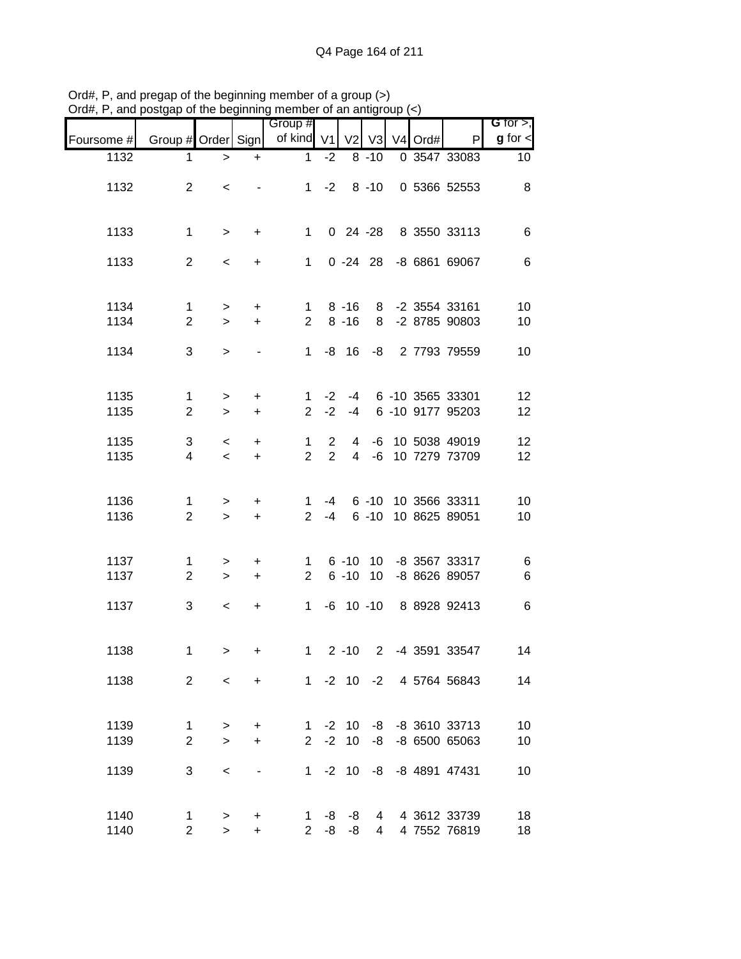|            |                    |                          |                          | osigap or the beginning member or an antign |                |                |                               |         |                          |                               |
|------------|--------------------|--------------------------|--------------------------|---------------------------------------------|----------------|----------------|-------------------------------|---------|--------------------------|-------------------------------|
|            | Group # Order Sign |                          |                          | Group #<br>of kind V1                       |                |                | V <sub>2</sub> V <sub>3</sub> | V4 Ord# | P                        | G for $>$ ,<br>$g$ for $\leq$ |
| Foursome # |                    |                          |                          |                                             |                |                |                               |         |                          |                               |
| 1132       | 1                  | $\, >$                   | $\ddot{}$                | $\mathbf{1}$                                | $-2$           |                | $8 - 10$                      |         | 0 3547 33083             | 10 <sup>°</sup>               |
| 1132       | $\overline{2}$     | $\,<\,$                  |                          |                                             | $1 -2$         |                | $8 - 10$                      |         | 0 5366 52553             | 8                             |
|            |                    |                          |                          |                                             |                |                |                               |         |                          |                               |
|            |                    |                          |                          |                                             |                |                |                               |         |                          |                               |
| 1133       | $\mathbf{1}$       | $\, >$                   | $+$                      | $\mathbf{1}$                                |                |                |                               |         | 0 24 -28 8 3550 33113    | 6                             |
|            |                    |                          |                          |                                             |                |                |                               |         |                          |                               |
| 1133       | $\overline{2}$     | $\overline{\phantom{a}}$ | $+$                      | $\mathbf{1}$                                |                |                |                               |         | 0 -24 28 -8 6861 69067   | $\,6$                         |
|            |                    |                          |                          |                                             |                |                |                               |         |                          |                               |
|            |                    |                          |                          |                                             |                |                |                               |         |                          |                               |
| 1134       | $\mathbf 1$        | $\geq$                   | $+$                      | 1                                           |                | $8 - 16$       |                               |         | 8 -2 3554 33161          | 10                            |
| 1134       | $\overline{2}$     | $\geq$                   | $+$                      | 2 <sup>1</sup>                              |                | $8 - 16$       |                               |         | 8 -2 8785 90803          | 10                            |
| 1134       | 3                  | $\geq$                   |                          | $1 \quad$                                   |                |                |                               |         | -8 16 -8 2 7793 79559    | 10                            |
|            |                    |                          |                          |                                             |                |                |                               |         |                          |                               |
|            |                    |                          |                          |                                             |                |                |                               |         |                          |                               |
| 1135       | $\mathbf 1$        | $\geq$                   | $\ddot{}$                | 1                                           | $-2$           | -4             |                               |         | 6 -10 3565 33301         | 12                            |
| 1135       | $\mathbf{2}$       | $\geq$                   | $\ddot{}$                | $\overline{2}$                              | $-2$           | $-4$           |                               |         | 6 -10 9177 95203         | 12                            |
|            |                    |                          |                          |                                             |                |                |                               |         |                          |                               |
| 1135       | 3                  | $\,<\,$                  | $\ddot{}$                | $\mathbf{1}$                                | $\overline{2}$ | 4              |                               |         | -6 10 5038 49019         | 12 <sub>2</sub>               |
| 1135       | 4                  | $\prec$                  | $+$                      | $\overline{2}$                              | $\overline{2}$ | $\overline{4}$ |                               |         | -6 10 7279 73709         | 12                            |
|            |                    |                          |                          |                                             |                |                |                               |         |                          |                               |
| 1136       | 1                  | $\geq$                   | $+$                      | $\mathbf{1}$                                | $-4$           |                |                               |         | 6 -10 10 3566 33311      | 10                            |
| 1136       | $\overline{2}$     | $\geq$                   | $+$                      | $2^{\circ}$                                 | $-4$           |                | $6 - 10$                      |         | 10 8625 89051            | 10                            |
|            |                    |                          |                          |                                             |                |                |                               |         |                          |                               |
|            |                    |                          |                          |                                             |                |                |                               |         |                          |                               |
| 1137       | $\mathbf 1$        | $\geq$                   | $\ddot{}$                | 1                                           |                |                |                               |         | 6 -10 10 -8 3567 33317   | 6                             |
| 1137       | $\overline{2}$     | $\geq$                   | $+$                      | $\overline{2}$                              |                |                |                               |         | 6 -10 10 -8 8626 89057   | $\,6$                         |
|            |                    |                          |                          |                                             |                |                |                               |         |                          |                               |
| 1137       | 3                  | $\,<$                    | $\ddot{}$                | $1 \quad$                                   |                |                |                               |         | -6 10 -10 8 8928 92413   | $\,6$                         |
|            |                    |                          |                          |                                             |                |                |                               |         |                          |                               |
| 1138       | 1                  | $\geq$                   | $\pm$                    |                                             |                |                |                               |         | 1 2 -10 2 -4 3591 33547  | 14                            |
|            |                    |                          |                          |                                             |                |                |                               |         |                          |                               |
| 1138       | $\overline{2}$     | $\prec$                  | $+$                      |                                             |                |                |                               |         | 1 -2 10 -2 4 5764 56843  | 14                            |
|            |                    |                          |                          |                                             |                |                |                               |         |                          |                               |
|            |                    |                          |                          |                                             |                |                |                               |         |                          |                               |
| 1139       | 1                  | $\, >$                   | $\ddot{}$                | $1 \quad$                                   |                | $-2$ 10        |                               |         | -8 -8 3610 33713         | 10                            |
| 1139       | $\overline{2}$     | $\geq$                   | $\ddot{}$                | $\overline{2}$                              | $-2$           | 10             |                               |         | -8 -8 6500 65063         | 10                            |
|            |                    |                          |                          |                                             |                |                |                               |         |                          |                               |
| 1139       | 3                  | $\,<$                    | $\overline{\phantom{a}}$ |                                             |                |                |                               |         | 1 -2 10 -8 -8 4891 47431 | 10                            |
|            |                    |                          |                          |                                             |                |                |                               |         |                          |                               |
| 1140       | 1                  | $\, > \,$                | +                        |                                             |                | $1 - 8 - 8$    |                               |         | 4 4 3612 33739           | 18                            |
| 1140       | $\overline{2}$     | $\geq$                   | $+$                      | $\overline{2}$                              | -8             | -8             | $\overline{4}$                |         | 4 7552 76819             | 18                            |

Ord#, P, and pregap of the beginning member of a group (>) Ord#, P, and postgap of the beginning member of an antigroup (<)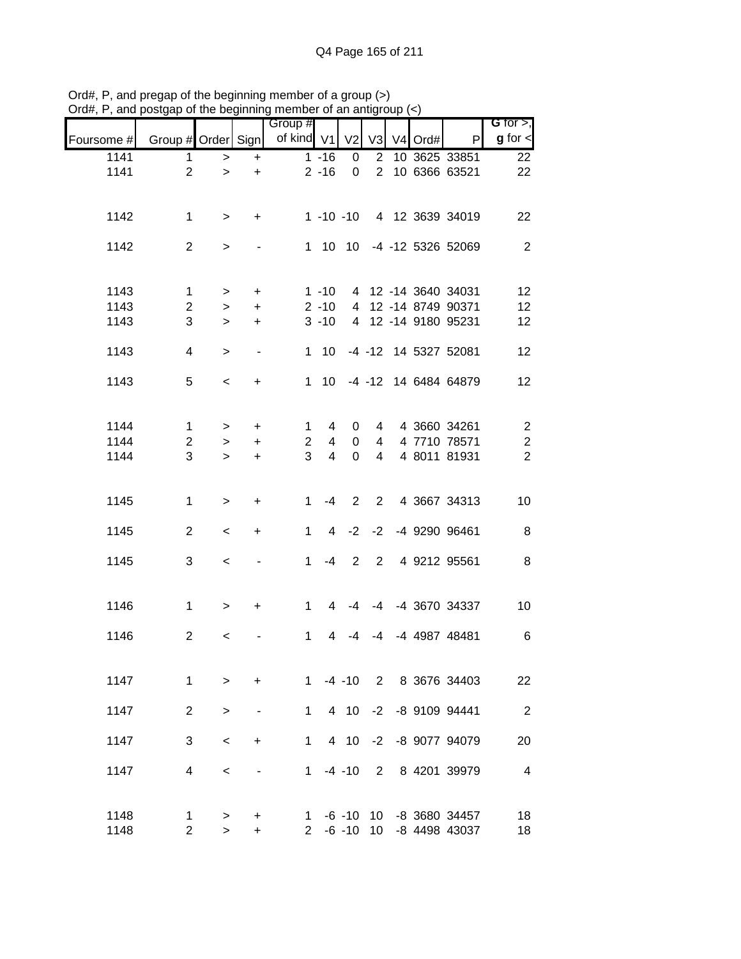|              |                     |                     |                          | Group #           |                |                        |                |         |                                | G for $>$ ,             |
|--------------|---------------------|---------------------|--------------------------|-------------------|----------------|------------------------|----------------|---------|--------------------------------|-------------------------|
| Foursome #   | Group # Order Sign  |                     |                          | of kind V1        |                | V <sub>2</sub>         | V <sub>3</sub> | V4 Ord# | P                              | $g$ for $\lt$           |
| 1141         | 1                   | $\,$                | $+$                      |                   | $1 - 16$       | 0                      | $\overline{2}$ |         | 10 3625 33851                  | 22                      |
| 1141         | $\overline{2}$      | $\geq$              | $\ddot{}$                |                   | $2 - 16$       | $\mathbf 0$            | $\overline{2}$ |         | 10 6366 63521                  | 22                      |
| 1142         | 1                   | $\, >$              | $\ddot{}$                |                   |                | $1 - 10 - 10$          |                |         | 4 12 3639 34019                | 22                      |
| 1142         | $\overline{2}$      | $\,>$               |                          |                   |                |                        |                |         | 1 10 10 -4 -12 5326 52069      | $\sqrt{2}$              |
| 1143         | 1                   | $\, >$              | $+$                      |                   | $1 - 10$       |                        |                |         | 4 12 -14 3640 34031            | 12                      |
| 1143         | $\overline{c}$      | $\,>$               | $+$                      |                   | $2 - 10$       |                        |                |         | 4 12 -14 8749 90371            | 12                      |
| 1143         | 3                   | $\,>$               | $+$                      |                   | $3 - 10$       |                        |                |         | 4 12 -14 9180 95231            | 12                      |
| 1143         | 4                   | $\geq$              | $\overline{\phantom{a}}$ |                   | $1 \quad 10$   |                        |                |         | -4 -12 14 5327 52081           | 12                      |
| 1143         | 5                   | $\,<$               | $\ddot{}$                |                   | 1 10           |                        |                |         | -4 -12 14 6484 64879           | 12                      |
| 1144         | $\mathbf 1$         | $\, > \,$           | $\ddot{}$                | $\mathbf{1}$      | 4              | 0                      | 4              |         | 4 3660 34261                   | $\overline{c}$          |
| 1144         | $\overline{c}$      | $\,$                | $\ddot{}$                | $\overline{2}$    | 4              | 0                      | 4              |         | 4 7710 78571                   | $\overline{\mathbf{c}}$ |
| 1144         | 3                   | $\geq$              | $\ddot{}$                | 3                 | $\overline{4}$ | $\mathbf 0$            | $\overline{4}$ |         | 4 8011 81931                   | $\overline{2}$          |
| 1145         | $\mathbf{1}$        | $\,>$               | $\ddot{}$                | $\mathbf 1$       | $-4$           | $\overline{2}$         | $\overline{2}$ |         | 4 3667 34313                   | 10                      |
| 1145         | $\overline{2}$      | $\,<\,$             | $\ddot{}$                | 1                 | $\overline{4}$ | $-2$                   | $-2$           |         | -4 9290 96461                  | $\, 8$                  |
| 1145         | 3                   | $\,<\,$             |                          | $\mathbf 1$       | $-4$           | 2                      | $\overline{2}$ |         | 4 9212 95561                   | $\, 8$                  |
| 1146         | $\mathbf 1$         | $\, >$              | $\ddot{}$                | $\mathbf 1$       | 4              | -4                     |                |         | -4 -4 3670 34337               | 10                      |
| 1146         | $\overline{2}$      | $\,<\,$             |                          | 1                 | 4              | -4                     | -4             |         | -4 4987 48481                  | $\,6$                   |
| 1147         | $\mathbf{1}$        | $\geq$              | $\ddot{}$                | $1 \quad$         |                | $-4 - 10$              |                |         | 2 8 3676 34403                 | 22                      |
| 1147         | $\overline{2}$      | $\geq$              | $\overline{\phantom{a}}$ | $\mathbf{1}$      |                | 4 10                   | $-2$           |         | -8 9109 94441                  | $\overline{2}$          |
| 1147         | 3                   | $\prec$             | $\ddot{}$                | $\mathbf 1$       |                | 4 10                   | $-2$           |         | -8 9077 94079                  | 20                      |
| 1147         | 4                   | $\,<\,$             | $\overline{\phantom{a}}$ | $\mathbf{1}$      |                | $-4 - 10$              | 2              |         | 8 4201 39979                   | $\overline{\mathbf{4}}$ |
| 1148<br>1148 | 1<br>$\overline{2}$ | $\, > \,$<br>$\geq$ | $\ddot{}$<br>$\ddot{}$   | 1<br>$\mathbf{2}$ |                | $-6 - 10$<br>$-6 - 10$ | 10<br>10       |         | -8 3680 34457<br>-8 4498 43037 | 18<br>18                |

Ord#, P, and pregap of the beginning member of a group (>) Ord#, P, and postgap of the beginning member of an antigroup (<)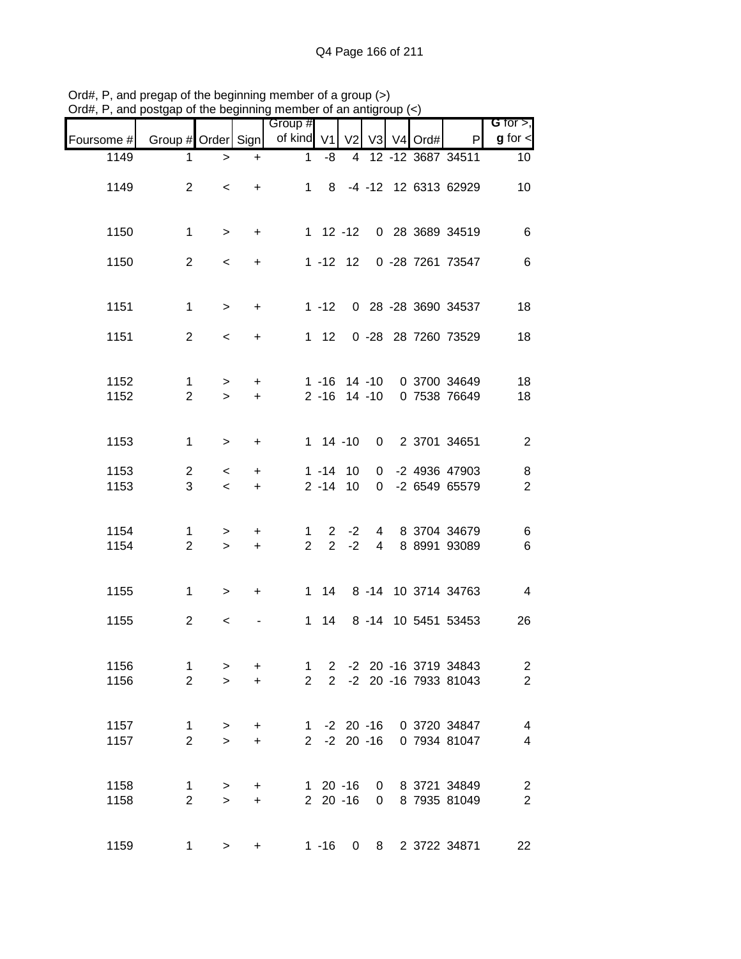| G for $>$ ,              |                                                        |               |                 |              |                            |                       |                        |                          | $\frac{1}{2}$ and poolgap or the beginning member or an antigroup |              |
|--------------------------|--------------------------------------------------------|---------------|-----------------|--------------|----------------------------|-----------------------|------------------------|--------------------------|-------------------------------------------------------------------|--------------|
| $g$ for $\lt$            | P                                                      | V2 V3 V4 Ord# |                 |              |                            | Group #<br>of kind V1 |                        |                          | Group # Order Sign                                                | Foursome #   |
| 10 <sup>°</sup>          | 4 12 -12 3687 34511                                    |               |                 |              | -8                         | 1                     | $\ddot{}$              | $\, > \,$                | 1                                                                 | 1149         |
| 10                       | 1 8 -4 -12 12 6313 62929                               |               |                 |              |                            |                       | $\ddot{}$              | $\overline{\phantom{0}}$ | $\overline{2}$                                                    | 1149         |
| $\,6$                    | 1 12 -12 0 28 3689 34519                               |               |                 |              |                            |                       | $+$                    | $\geq$                   | $\mathbf{1}$                                                      | 1150         |
| $\,6$                    | 0 -28 7261 73547                                       |               |                 | $1 - 12$ 12  |                            |                       | $+$                    | $\overline{\phantom{0}}$ | $\overline{2}$                                                    | 1150         |
| 18                       | 1 -12 0 28 -28 3690 34537                              |               |                 |              |                            |                       | $+$                    | $\geq$                   | $\mathbf{1}$                                                      | 1151         |
| 18                       | 0 -28 28 7260 73529                                    |               |                 |              | $1 \quad 12$               |                       | $\ddot{}$              | $\overline{\phantom{0}}$ | 2                                                                 | 1151         |
| 18<br>18                 | 1 -16 14 -10 0 3700 34649<br>2 -16 14 -10 0 7538 76649 |               |                 |              |                            |                       | $\ddot{}$<br>$\ddot{}$ | $\geq$<br>$\geq$         | $\mathbf 1$<br>$\overline{2}$                                     | 1152<br>1152 |
| $\overline{2}$           | 0 2 3701 34651                                         |               |                 |              | $1 14 - 10$                |                       | $\ddot{}$              | $\,>$                    | $\mathbf 1$                                                       | 1153         |
| 8                        | 0 -2 4936 47903                                        |               |                 |              | $1 - 14$ 10                |                       | $+$                    | $\,<\,$                  | $\overline{2}$                                                    | 1153         |
| $\overline{2}$           | 0 -2 6549 65579                                        |               |                 |              | $2 - 14$ 10                |                       | $+$                    | $\prec$                  | 3                                                                 | 1153         |
| 6<br>$\,6$               | 4 8 3704 34679<br>8 8991 93089                         |               | $4\overline{ }$ | $-2$<br>$-2$ | $2^{\circ}$<br>$2^{\circ}$ | 1<br>$\overline{2}$   | $+$<br>$+$             | $\geq$                   | 1<br>$\overline{2}$                                               | 1154<br>1154 |
|                          |                                                        |               |                 |              |                            |                       |                        | $\geq$                   |                                                                   |              |
| $\overline{4}$           | 1 14 8 -14 10 3714 34763                               |               |                 |              |                            |                       | $+$                    | $\geq$                   | 1                                                                 | 1155         |
| 26                       | 8 -14 10 5451 53453                                    |               |                 |              | $1 \quad 14$               |                       |                        | $\,<$                    | $\overline{2}$                                                    | 1155         |
| $\overline{\mathbf{c}}$  | -2 20 -16 3719 34843                                   |               |                 |              | $2^{\circ}$                | $\mathbf{1}$          | $\ddot{}$              | $\, > \,$                | $\mathbf{1}$                                                      | 1156         |
| $\overline{c}$           | -2 20 -16 7933 81043                                   |               |                 |              | $2^{\circ}$                | $\mathbf{2}$          | $\ddot{}$              | $\geq$                   | $\overline{2}$                                                    | 1156         |
| $\overline{\mathbf{4}}$  | 1 -2 20 -16 0 3720 34847                               |               |                 |              |                            |                       | $+$                    | $\, >$                   | $\mathbf 1$                                                       | 1157         |
| $\overline{\mathcal{A}}$ | 2 -2 20 -16 0 7934 81047                               |               |                 |              |                            |                       | $+$                    | $\,$                     | $\overline{2}$                                                    | 1157         |
| $\overline{\mathbf{c}}$  | 0 8 3721 34849                                         |               |                 | $120 - 16$   |                            |                       | $+$                    | $\, >$                   | $\mathbf{1}$                                                      | 1158         |
| $\overline{2}$           | 0 8 7935 81049                                         |               |                 | $220 - 16$   |                            |                       | $+$                    | $\geq$                   | $\overline{2}$                                                    | 1158         |
| 22                       | 8 2 3722 34871                                         |               |                 | $\mathbf{O}$ | $1 - 16$                   |                       | $\ddot{}$              | $\, >$                   | 1                                                                 | 1159         |

Ord#, P, and pregap of the beginning member of a group (>) Ord#, P, and postgap of the beginning member of an antigroup (<)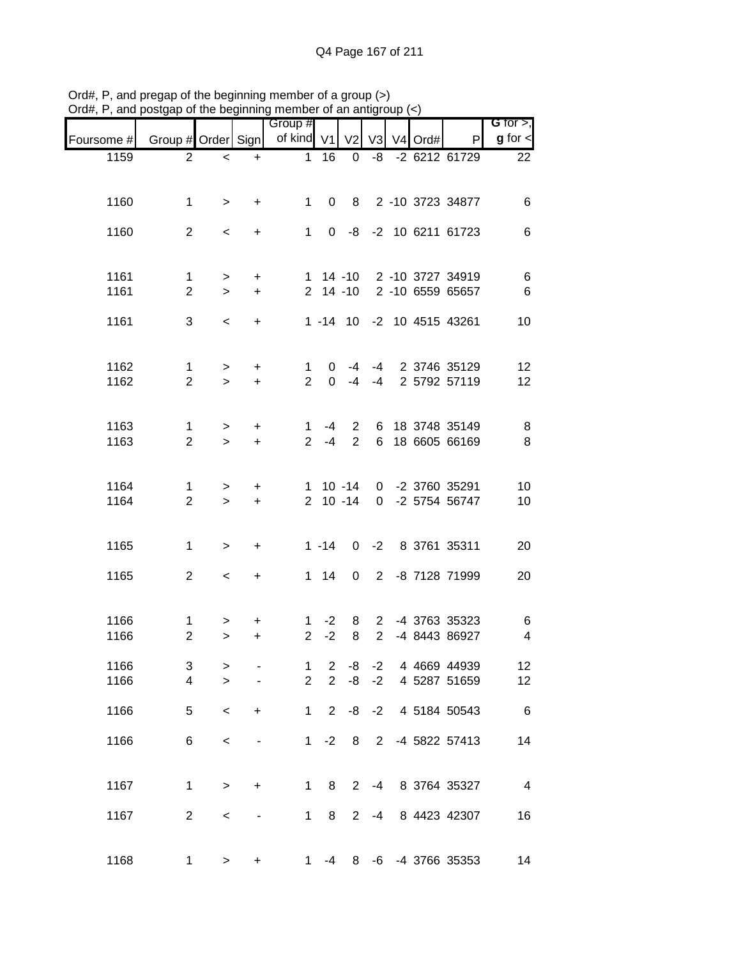|                               |                                |      |                |                |                                  |                |                       |                              |                     | , and posigap or the beginning member or an antigroup $(\leq)$ | $71$ u $\pi,1$ |
|-------------------------------|--------------------------------|------|----------------|----------------|----------------------------------|----------------|-----------------------|------------------------------|---------------------|----------------------------------------------------------------|----------------|
| G for $>$ ,<br>$g$ for $\leq$ | P                              | Ord# | V <sub>4</sub> | V3             | V <sub>2</sub>                   |                | Group #<br>of kind V1 |                              |                     | Group # Order Sign                                             | Foursome #     |
| 22                            | -2 6212 61729                  |      |                | -8             | 0                                | 16             | $\mathbf{1}$          | $\ddot{}$                    | $\,<$               | $\overline{2}$                                                 | 1159           |
|                               |                                |      |                |                |                                  |                |                       |                              |                     |                                                                |                |
| 6                             | 8 2 -10 3723 34877             |      |                |                |                                  | 0              | $\mathbf{1}$          | $\ddot{}$                    | $\geq$              | $\mathbf 1$                                                    | 1160           |
| 6                             | 0 -8 -2 10 6211 61723          |      |                |                |                                  |                | $\mathbf{1}$          | $\ddot{}$                    | $\,<$               | $\overline{2}$                                                 | 1160           |
|                               |                                |      |                |                |                                  |                |                       |                              |                     |                                                                |                |
| 6                             | 1 14 -10 2 -10 3727 34919      |      |                |                |                                  |                |                       | $\ddot{}$                    | $\,$                | $\mathbf{1}$                                                   | 1161           |
| $\,6$                         | 2 -10 6559 65657               |      |                |                | $2$ 14 -10                       |                |                       | $\ddot{}$                    | $\geq$              | $\overline{2}$                                                 | 1161           |
| 10                            | 1 -14 10 -2 10 4515 43261      |      |                |                |                                  |                |                       | $\ddot{}$                    | $\prec$             | 3                                                              | 1161           |
|                               |                                |      |                |                |                                  |                |                       |                              |                     |                                                                |                |
| 12                            | -4 2 3746 35129                |      |                |                | -4                               | 0              | 1                     | +                            | $\,$                | $\mathbf{1}$                                                   | 1162           |
| 12                            | 2 5792 57119                   |      |                | $-4$           | $-4$                             | $\Omega$       | $\overline{2}$        | $\ddot{}$                    | $\geq$              | $\overline{2}$                                                 | 1162           |
|                               |                                |      |                |                |                                  |                |                       |                              |                     |                                                                |                |
| 8<br>$\,8\,$                  | 18 3748 35149<br>18 6605 66169 |      |                | 6<br>6         | $\overline{2}$<br>$\overline{2}$ | -4<br>$-4$     | 1<br>2 <sup>7</sup>   | +<br>$+$                     | $\, > \,$<br>$\geq$ | 1<br>$\overline{2}$                                            | 1163<br>1163   |
|                               |                                |      |                |                |                                  |                |                       |                              |                     |                                                                |                |
| 10                            | 0 -2 3760 35291                |      |                |                | $1 10 - 14$                      |                |                       | +                            | $\,$                | 1                                                              | 1164           |
| 10                            | -2 5754 56747                  |      |                | $\mathbf 0$    | $2 10 - 14$                      |                |                       | $\ddot{}$                    | $\geq$              | $\overline{2}$                                                 | 1164           |
|                               |                                |      |                |                |                                  |                |                       |                              |                     |                                                                |                |
| 20                            | 0 -2 8 3761 35311              |      |                |                |                                  | $1 - 14$       |                       | $\ddot{}$                    | $\geq$              | $\mathbf 1$                                                    | 1165           |
| 20                            | 2 -8 7128 71999                |      |                |                | 0                                | $1 \quad 14$   |                       | $\ddot{}$                    | $\,<\,$             | $\overline{2}$                                                 | 1165           |
|                               |                                |      |                |                |                                  |                |                       |                              |                     |                                                                |                |
| 6                             | -4 3763 35323                  |      |                | $\overline{2}$ | 8                                | $-2$           | 1                     | +                            | >                   | $\mathbf{1}$                                                   | 1166           |
| $\overline{\mathbf{4}}$       | -4 8443 86927                  |      |                | $\overline{2}$ | 8                                | $-2$           | $\overline{2}$        | +                            | $\geq$              | $\overline{2}$                                                 | 1166           |
| 12                            | 4 4669 44939                   |      |                | $-2$           | -8                               | $\mathbf{2}$   | 1                     |                              | >                   | 3                                                              | 1166           |
| 12                            | 4 5287 51659                   |      |                | $-2$           | -8                               | $\overline{2}$ | $\overline{2}$        |                              | $\geq$              | 4                                                              | 1166           |
| $6\overline{6}$               | 4 5184 50543                   |      |                | $-8 - 2$       |                                  | $2^{\circ}$    | $\mathbf{1}$          | $\ddot{}$                    | $\prec$             | 5                                                              | 1166           |
| 14                            | -4 5822 57413                  |      |                | $\overline{2}$ | 8                                | $-2$           | 1                     | $\overline{\phantom{m}}$     | $\,<$               | 6                                                              | 1166           |
|                               |                                |      |                |                |                                  |                |                       |                              |                     |                                                                |                |
| $\overline{4}$                | 2 -4 8 3764 35327              |      |                |                |                                  | 8              | $\mathbf{1}$          | $\ddot{}$                    | $\, >$              | $\mathbf 1$                                                    | 1167           |
| 16                            | 8 4423 42307                   |      |                | $-4$           | 2 <sup>7</sup>                   | 8              | $\mathbf 1$           | $\qquad \qquad \blacksquare$ | $\,<$               | $\overline{2}$                                                 | 1167           |
|                               |                                |      |                |                |                                  |                |                       |                              |                     |                                                                |                |
| 14                            | 8 -6 -4 3766 35353             |      |                |                |                                  | $-4$           | 1                     | +                            | $\,$                | $\mathbf 1$                                                    | 1168           |
|                               |                                |      |                |                |                                  |                |                       |                              |                     |                                                                |                |

Ord#, P, and pregap of the beginning member of a group (>) Ord#, P, and postgap of the beginning member of an antigroup (<)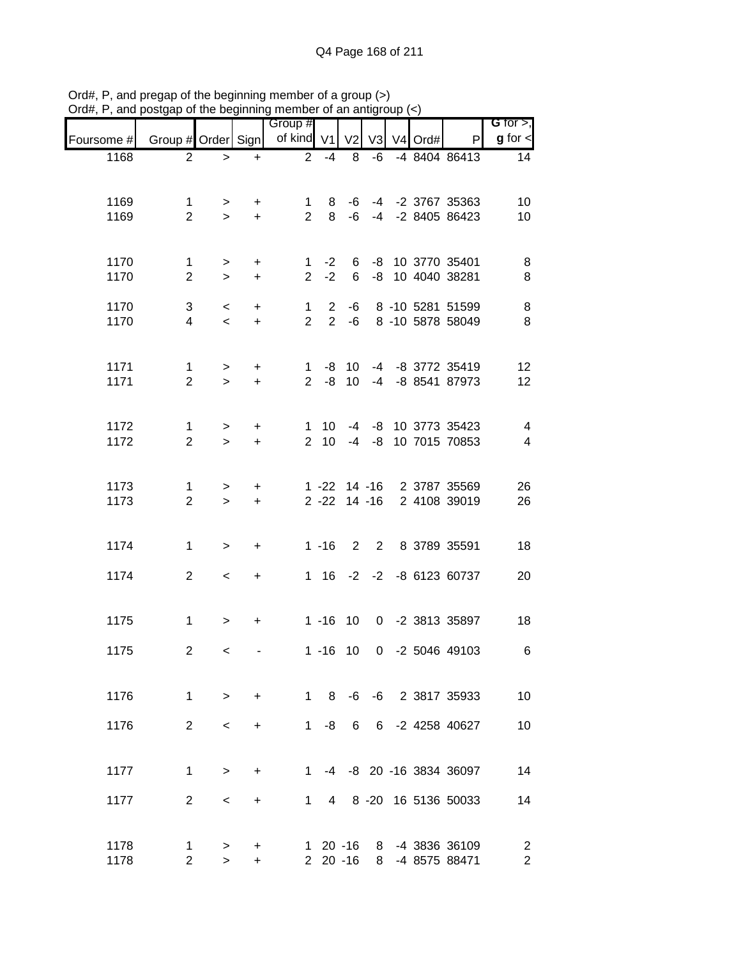|                                                                    |                                | <b>ㅠㅠ</b>                |            | Group #     |            |             |                 |  |                                                      | G for $>$ ,                      |
|--------------------------------------------------------------------|--------------------------------|--------------------------|------------|-------------|------------|-------------|-----------------|--|------------------------------------------------------|----------------------------------|
| Foursome # Group # Order Sign   of kind V1   V2   V3   V4 Ord#   P |                                |                          |            |             |            |             |                 |  |                                                      | $g$ for $\lt$                    |
| 1168                                                               | $\overline{2}$                 | $\, >$                   | $+$        |             | $2 - 4$    | 8           |                 |  | -6 -4 8404 86413                                     | 14                               |
|                                                                    |                                |                          |            |             |            |             |                 |  |                                                      |                                  |
| 1169                                                               | $\mathbf{1}$                   |                          | $>$ +      |             |            |             |                 |  | 1 8 -6 -4 -2 3767 35363<br>2 8 -6 -4 -2 8405 86423   | 10                               |
| 1169                                                               | $\overline{2}$                 | $\geq$                   | $+$        |             |            |             |                 |  |                                                      | 10                               |
|                                                                    |                                |                          |            |             |            |             |                 |  |                                                      |                                  |
| 1170<br>1170                                                       | $\mathbf{1}$<br>$\overline{2}$ | $\,>$<br>$\,>$           | $+$<br>$+$ |             |            |             |                 |  | 1 -2 6 -8 10 3770 35401<br>2 -2 6 -8 10 4040 38281   | 8<br>$\,8\,$                     |
| 1170                                                               | 3                              |                          |            | $1 \quad$   |            |             |                 |  | 2 -6 8 -10 5281 51599                                | $\,8\,$                          |
| 1170                                                               | $\overline{4}$                 | $\leq$<br>$\prec$        | $+$<br>$+$ | $2^{\circ}$ |            |             |                 |  | 2 -6 8 -10 5878 58049                                | $\,8\,$                          |
|                                                                    |                                |                          |            |             |            |             |                 |  |                                                      |                                  |
| 1171                                                               | $\mathbf{1}$                   | >                        | $+$        |             |            |             |                 |  | 1 -8 10 -4 -8 3772 35419                             | 12                               |
| 1171                                                               | $\overline{2}$                 | $\geq$                   | $+$        |             |            |             |                 |  | 2 -8 10 -4 -8 8541 87973                             | 12                               |
|                                                                    |                                |                          |            |             |            |             |                 |  |                                                      |                                  |
| 1172<br>1172                                                       | $\mathbf{1}$<br>$\overline{2}$ | ><br>$\geq$              | $+$<br>$+$ |             |            |             |                 |  | 1 10 -4 -8 10 3773 35423<br>2 10 -4 -8 10 7015 70853 | $\overline{4}$<br>$\overline{4}$ |
|                                                                    |                                |                          |            |             |            |             |                 |  |                                                      |                                  |
| 1173                                                               | $\mathbf{1}$                   | $\, >$                   | $+$        |             |            |             |                 |  | 1 -22 14 -16 2 3787 35569                            | 26                               |
| 1173                                                               | $\overline{2}$                 | $\geq$                   | $+$        |             |            |             |                 |  | 2 -22 14 -16 2 4108 39019                            | 26                               |
|                                                                    |                                |                          |            |             |            |             |                 |  |                                                      |                                  |
| 1174                                                               | $\mathbf{1}$                   | $\, >$                   | $+$        |             |            |             |                 |  | 1 -16 2 2 8 3789 35591                               | 18                               |
| 1174                                                               | $\overline{2}$                 | $\overline{\phantom{a}}$ | $+$        |             |            |             |                 |  | 1 16 -2 -2 -8 6123 60737                             | 20                               |
|                                                                    |                                |                          |            |             |            |             |                 |  |                                                      |                                  |
| 1175                                                               | $\mathbf 1$                    | $\, >$                   | $+$        |             |            |             |                 |  | 1 -16 10 0 -2 3813 35897                             | 18                               |
|                                                                    |                                |                          |            |             |            |             |                 |  |                                                      |                                  |
| 1175                                                               | $\overline{\mathbf{c}}$        | $\,<$                    |            |             |            | $1 - 16$ 10 |                 |  | 0 -2 5046 49103                                      | $\,6$                            |
|                                                                    |                                |                          |            |             |            |             |                 |  |                                                      |                                  |
| 1176                                                               | $\mathbf{1}$                   | $\geq$                   | $+$        |             | 1 8        |             |                 |  | -6 -6 2 3817 35933                                   | 10                               |
| 1176                                                               | $\overline{2}$                 | $\,<\,$                  | $+$        | $1 \quad$   | -8         | 6           | $6\overline{6}$ |  | -2 4258 40627                                        | 10                               |
|                                                                    |                                |                          |            |             |            |             |                 |  |                                                      |                                  |
| 1177                                                               | 1                              | $\geq$                   | $\ddot{}$  | $1 \quad$   |            |             |                 |  | -4 -8 20 -16 3834 36097                              | 14                               |
| 1177                                                               | $\overline{2}$                 | $\,<\,$                  | $\ddot{}$  | 1.          | 4          |             |                 |  | 8 -20 16 5136 50033                                  | 14                               |
|                                                                    |                                |                          |            |             |            |             |                 |  |                                                      |                                  |
| 1178                                                               | 1                              | $\, > \,$                | +          |             | $120 - 16$ |             | 8               |  | -4 3836 36109                                        | $\overline{2}$                   |
| 1178                                                               | $\overline{2}$                 | $\geq$                   | $+$        |             | $220 - 16$ |             | 8               |  | -4 8575 88471                                        | $\overline{c}$                   |

Ord#, P, and pregap of the beginning member of a group (>) Ord#, P, and postgap of the beginning member of an antigroup (<)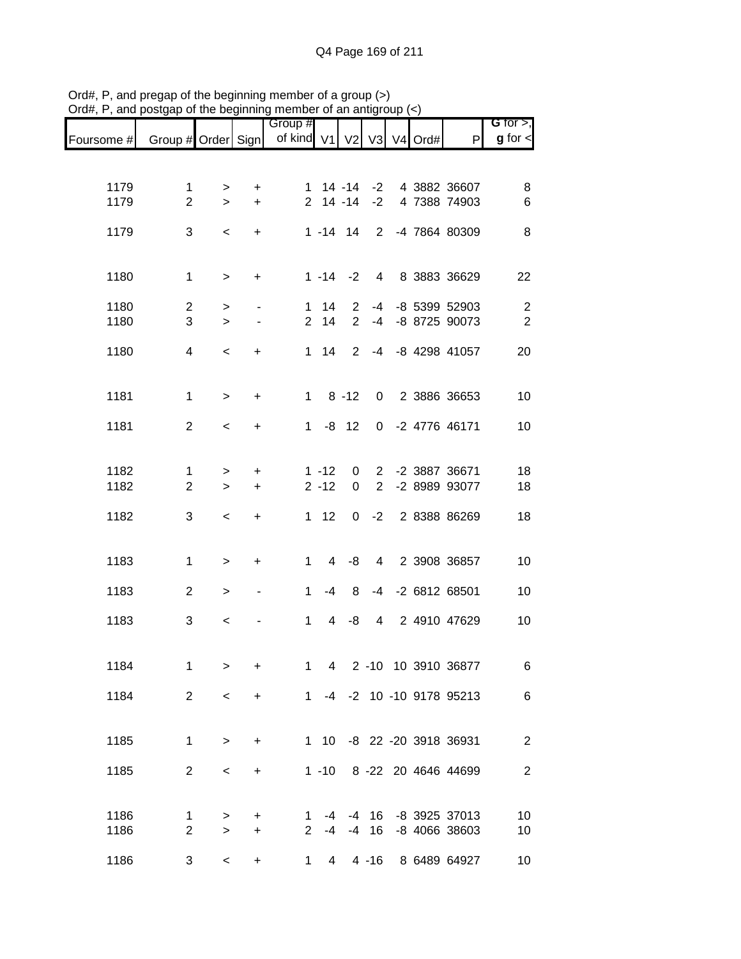|            |                    |           |                | Group #                  |                |                |                 |  |                           | G for $>$ ,      |
|------------|--------------------|-----------|----------------|--------------------------|----------------|----------------|-----------------|--|---------------------------|------------------|
| Foursome # | Group # Order Sign |           |                | of kind V1 V2 V3 V4 Ord# |                |                |                 |  | P                         | $g$ for $\lt$    |
|            |                    |           |                |                          |                |                |                 |  |                           |                  |
| 1179       | $\mathbf 1$        | $\,>$     | +              |                          | 1 14 -14 -2    |                |                 |  | 4 3882 36607              | 8                |
| 1179       | $\overline{2}$     | $\geq$    | $\ddot{}$      |                          | $2$ 14 -14     |                | $-2$            |  | 4 7388 74903              | 6                |
| 1179       | 3                  | $\,<$     | $\ddot{}$      |                          | $1 - 14$ 14    |                | $\overline{2}$  |  | -4 7864 80309             | 8                |
|            |                    |           |                |                          |                |                |                 |  |                           |                  |
| 1180       | $\mathbf 1$        | $\, > \,$ | +              |                          | $1 - 14$       | $-2$           | $4\overline{ }$ |  | 8 3883 36629              | 22               |
| 1180       | $\overline{2}$     | $\, > \,$ |                | $\mathbf 1$              | 14             | 2              | $-4$            |  | -8 5399 52903             | $\boldsymbol{2}$ |
| 1180       | 3                  | $\geq$    | $\blacksquare$ | $\overline{2}$           | 14             | $\overline{2}$ | $-4$            |  | -8 8725 90073             | $\sqrt{2}$       |
| 1180       | 4                  | $\,<\,$   | +              |                          | $1 \quad 14$   | $\overline{2}$ | $-4$            |  | -8 4298 41057             | 20               |
|            |                    |           |                |                          |                |                |                 |  |                           |                  |
| 1181       | $\mathbf 1$        | $\geq$    | +              | $1 \quad$                |                | $8 - 12$       | $\mathbf 0$     |  | 2 3886 36653              | 10               |
| 1181       | $\overline{2}$     |           |                | $1 \quad$                |                | $-8$ 12        |                 |  | 0 -2 4776 46171           | 10               |
|            |                    | $\prec$   | +              |                          |                |                |                 |  |                           |                  |
| 1182       | $\mathbf{1}$       | $\, > \,$ | $\ddot{}$      |                          | $1 - 12$       | 0              | $\overline{2}$  |  | -2 3887 36671             | 18               |
| 1182       | $\overline{2}$     | $\geq$    | $\ddot{}$      |                          | $2 - 12$       | 0              | $\overline{2}$  |  | -2 8989 93077             | 18               |
| 1182       | 3                  | $\,<$     | +              |                          | $1 12$         | 0              | $-2$            |  | 2 8388 86269              | 18               |
|            |                    |           |                |                          |                |                |                 |  |                           |                  |
| 1183       | $\mathbf 1$        | $\, > \,$ | $\ddot{}$      | $\mathbf 1$              | $\overline{4}$ | -8             | $\overline{4}$  |  | 2 3908 36857              | 10               |
| 1183       | $\overline{2}$     |           |                | 1                        | -4             | 8              |                 |  | -4 -2 6812 68501          | 10               |
|            |                    | $\, > \,$ | $\blacksquare$ |                          |                |                |                 |  |                           |                  |
| 1183       | 3                  | $\,<\,$   |                | 1                        | 4              | -8             | 4               |  | 2 4910 47629              | 10               |
|            |                    |           |                |                          |                |                |                 |  |                           |                  |
| 1184       | $\mathbf{1}$       | $\geq$    | $\ddot{}$      | 1                        | $\overline{4}$ |                |                 |  | 2 -10 10 3910 36877       | 6                |
| 1184       | $\overline{2}$     | $\,<$     | $\ddot{}$      |                          |                |                |                 |  | 1 -4 -2 10 -10 9178 95213 | $\,6$            |
|            |                    |           |                |                          |                |                |                 |  |                           |                  |
| 1185       | $\mathbf 1$        | $\,>$     | +              |                          |                |                |                 |  | 1 10 -8 22 -20 3918 36931 | $\mathbf{2}$     |
| 1185       | $\overline{2}$     | $\,<$     | +              |                          |                |                |                 |  | 1 -10 8 -22 20 4646 44699 | $\sqrt{2}$       |
|            |                    |           |                |                          |                |                |                 |  |                           |                  |
| 1186       | 1                  | $\, > \,$ | +              | 1                        |                | $-4$ $-4$ 16   |                 |  | -8 3925 37013             | 10               |
| 1186       | $\overline{2}$     | $\geq$    | $\ddot{}$      | $\overline{2}$           | $-4$           |                | $-4$ 16         |  | -8 4066 38603             | 10               |
| 1186       | 3                  | $\,<$     | $\ddot{}$      | $\mathbf 1$              | $4 \quad$      |                | $4 - 16$        |  | 8 6489 64927              | $10$             |

Ord#, P, and pregap of the beginning member of a group (>) Ord#, P, and postgap of the beginning member of an antigroup (<)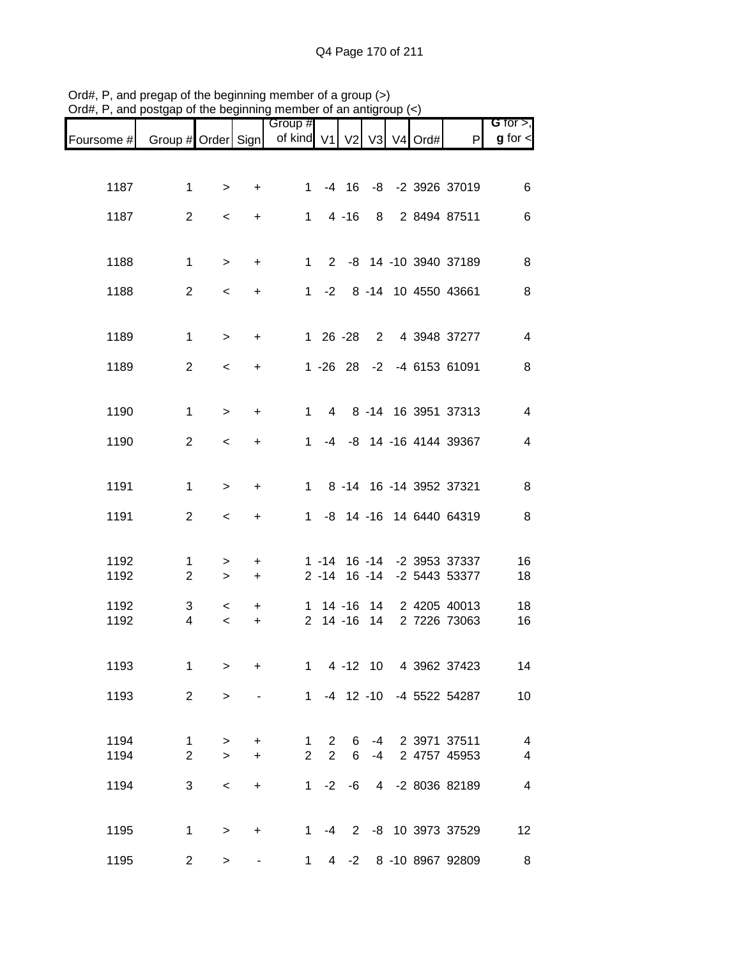| Foursome # Group # Order Sign   of kind V1   V2   V3   V4 Ord# |                                |                     |                | Group #             |                                  |         |                   |  | P                                           | G for $>$ ,<br>$g$ for $\lt$ |
|----------------------------------------------------------------|--------------------------------|---------------------|----------------|---------------------|----------------------------------|---------|-------------------|--|---------------------------------------------|------------------------------|
|                                                                |                                |                     |                |                     |                                  |         |                   |  |                                             |                              |
| 1187                                                           | $\mathbf 1$                    | $\, > \,$           | $\ddot{}$      | $1 \quad$           |                                  |         |                   |  | -4 16 -8 -2 3926 37019                      | 6                            |
| 1187                                                           | $\overline{2}$                 | $\,<$               | +              |                     | $1 4 - 16$                       |         |                   |  | 8 2 8494 87511                              | 6                            |
| 1188                                                           | $\mathbf 1$                    | $\,>$               | $\ddot{}$      |                     |                                  |         |                   |  | 1 2 -8 14 -10 3940 37189                    | 8                            |
| 1188                                                           | $\overline{2}$                 | $\,<$               | +              |                     |                                  |         |                   |  | 1 -2 8 -14 10 4550 43661                    | 8                            |
|                                                                |                                |                     |                |                     |                                  |         |                   |  |                                             |                              |
| 1189                                                           | $\mathbf{1}$                   | $\, >$              | $\ddot{}$      |                     | $126 - 28$                       |         |                   |  | 2 4 3948 37277                              | $\overline{4}$               |
| 1189                                                           | 2                              | $\,<$               | +              |                     |                                  |         |                   |  | 1 -26 28 -2 -4 6153 61091                   | 8                            |
| 1190                                                           | $\mathbf{1}$                   | $\,>$               | $\ddot{}$      | $\mathbf{1}$        |                                  |         |                   |  | 4 8 -14 16 3951 37313                       | $\overline{4}$               |
| 1190                                                           | 2                              | $\,<$               | +              | 1                   |                                  |         |                   |  | -4 -8 14 -16 4144 39367                     | $\overline{4}$               |
| 1191                                                           | $\mathbf{1}$                   | $\, >$              | +              |                     |                                  |         |                   |  | 1 8 -14 16 -14 3952 37321                   | 8                            |
| 1191                                                           | $\overline{2}$                 | $\,<$               | +              | $1 \quad$           |                                  |         |                   |  | -8 14 -16 14 6440 64319                     | 8                            |
|                                                                |                                |                     |                |                     |                                  |         |                   |  |                                             |                              |
| 1192<br>1192                                                   | $\mathbf{1}$<br>$\overline{2}$ | $\, > \,$<br>$\, >$ | $\ddot{}$<br>+ |                     |                                  |         | $2 - 14$ 16 $-14$ |  | 1 -14 16 -14 -2 3953 37337<br>-2 5443 53377 | 16<br>18                     |
| 1192                                                           | $\sqrt{3}$                     | $\,<\,$             | +              |                     | $1 \t14 - 16$                    |         |                   |  | 14 2 4205 40013                             | 18                           |
| 1192                                                           | $\overline{4}$                 | $\prec$             | +              |                     | $2$ 14 -16                       |         | 14                |  | 2 7226 73063                                | 16                           |
| 1193                                                           | 1                              | $\geq$              | $\ddot{}$      | $\mathbf{1}$        |                                  |         |                   |  | 4 -12 10 4 3962 37423                       | 14                           |
| 1193                                                           | 2                              | $\geq$              |                |                     |                                  |         |                   |  | 1 -4 12 -10 -4 5522 54287                   | 10                           |
|                                                                |                                |                     |                |                     |                                  |         |                   |  |                                             |                              |
| 1194<br>1194                                                   | $\mathbf 1$<br>$\overline{2}$  | $\, > \,$<br>$\geq$ | +<br>$\ddot{}$ | 1<br>$\overline{2}$ | $\overline{2}$<br>$\overline{2}$ | 6<br>6  | -4<br>$-4$        |  | 2 3971 37511<br>2 4757 45953                | $\overline{4}$<br>4          |
| 1194                                                           | 3                              | $\,<$               | $\ddot{}$      | $1 \quad$           |                                  | $-2 -6$ |                   |  | 4 -2 8036 82189                             | 4                            |
|                                                                |                                |                     |                |                     |                                  |         |                   |  |                                             |                              |
| 1195                                                           | $\mathbf 1$                    | $\,>$               | +              |                     |                                  |         |                   |  | 1 -4 2 -8 10 3973 37529                     | 12                           |
| 1195                                                           | $\mathbf{2}$                   | $\,$                |                | 1                   |                                  |         |                   |  | 4 -2 8 -10 8967 92809                       | 8                            |

Ord#, P, and pregap of the beginning member of a group (>) Ord#, P, and postgap of the beginning member of an antigroup (<)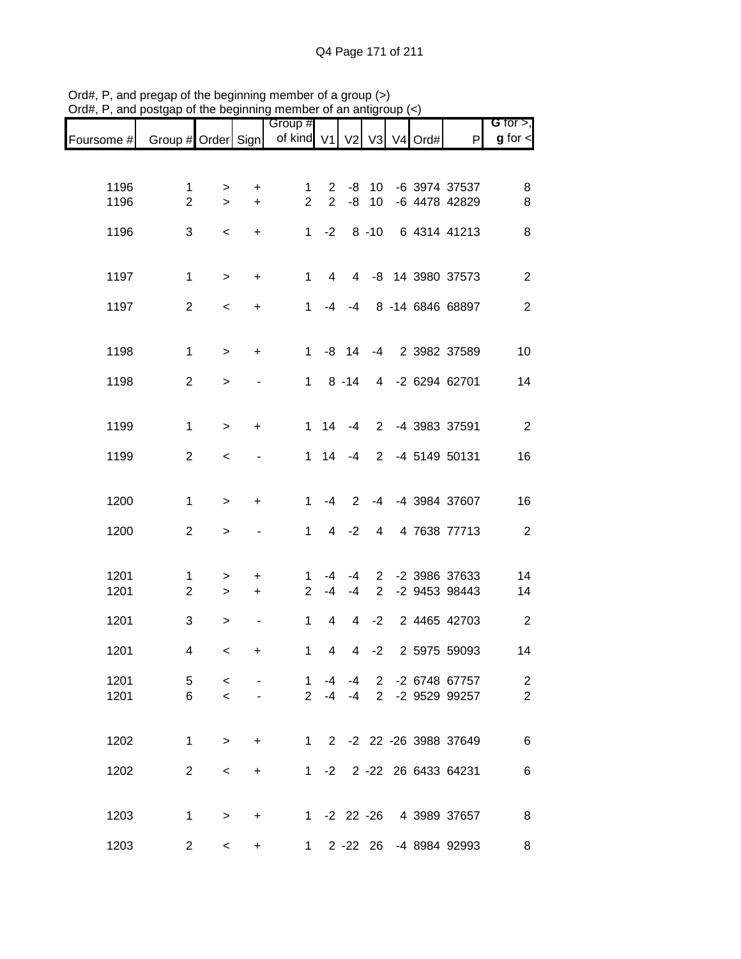|            |                    |                     |                | Group #        |                |                |                       |         |                          | G for $>$ ,    |
|------------|--------------------|---------------------|----------------|----------------|----------------|----------------|-----------------------|---------|--------------------------|----------------|
| Foursome # | Group # Order Sign |                     |                | of kind V1     |                | V2 V3          |                       | V4 Ord# | $\mathsf{P}$             | $g$ for $\lt$  |
|            |                    |                     |                |                |                |                |                       |         |                          |                |
| 1196       | $\mathbf 1$        |                     |                | 1              | $\overline{2}$ | -8             | 10                    |         | -6 3974 37537            | 8              |
| 1196       | $\overline{2}$     | $\, > \,$<br>$\geq$ | +<br>$\ddot{}$ | $\overline{2}$ | 2              | -8             | 10                    |         | -6 4478 42829            | 8              |
|            |                    |                     |                |                |                |                |                       |         |                          |                |
| 1196       | 3                  | $\,<$               | $+$            |                | $1 -2$         |                | $8 - 10$              |         | 6 4314 41213             | 8              |
|            |                    |                     |                |                |                |                |                       |         |                          |                |
| 1197       | $\mathbf{1}$       | $\,>$               | $\ddot{}$      | $\mathbf{1}$   | 4              |                |                       |         | 4 -8 14 3980 37573       | $\mathbf{2}$   |
|            |                    |                     |                |                |                |                |                       |         |                          |                |
| 1197       | $\overline{2}$     | $\,<$               | $\ddot{}$      | 1              |                | $-4 - 4$       |                       |         | 8 -14 6846 68897         | $\overline{2}$ |
|            |                    |                     |                |                |                |                |                       |         |                          |                |
| 1198       | $\mathbf{1}$       | $\geq$              | $\ddot{}$      | 1              |                | $-8$ 14        | $-4$                  |         | 2 3982 37589             | 10             |
|            |                    |                     |                |                |                |                |                       |         |                          |                |
| 1198       | $\overline{2}$     | $\geq$              |                | $1 \quad$      |                | $8 - 14$       |                       |         | 4 -2 6294 62701          | 14             |
|            |                    |                     |                |                |                |                |                       |         |                          |                |
| 1199       | $\mathbf{1}$       | $\,>$               | $\ddot{}$      |                | $1 \quad 14$   | $-4$           |                       |         | 2 -4 3983 37591          | $\overline{2}$ |
|            |                    |                     |                |                |                |                |                       |         |                          |                |
| 1199       | $\overline{2}$     | $\,<$               |                | 1              | 14             | $-4$           | $\overline{2}$        |         | -4 5149 50131            | 16             |
|            |                    |                     |                |                |                |                |                       |         |                          |                |
| 1200       | $\mathbf{1}$       | $\,>$               | $\ddot{}$      | $\mathbf 1$    | $-4$           | 2              |                       |         | -4 -4 3984 37607         | 16             |
| 1200       | $\overline{2}$     |                     |                | $\mathbf 1$    | $\overline{4}$ | $-2$           | $\overline{4}$        |         | 4 7638 77713             | $\overline{2}$ |
|            |                    | $\, > \,$           |                |                |                |                |                       |         |                          |                |
|            |                    |                     |                |                |                |                |                       |         |                          |                |
| 1201       | $\mathbf{1}$       | $\,$                | $\ddot{}$      | 1              | -4             | -4             | $\mathbf{2}^{\prime}$ |         | -2 3986 37633            | 14             |
| 1201       | $\overline{2}$     | $\,>$               | $\ddot{}$      | $\overline{2}$ | $-4$           | $-4$           | $\overline{2}$        |         | -2 9453 98443            | 14             |
| 1201       | 3                  | $\,>$               |                | $\mathbf{1}$   | 4              | 4              | $-2$                  |         | 2 4465 42703             | $\overline{2}$ |
|            |                    |                     |                |                |                |                |                       |         |                          |                |
| 1201       | 4                  | $\,<$               | $\ddot{}$      | $\mathbf 1$    | $\overline{4}$ | $\overline{4}$ | $-2$                  |         | 2 5975 59093             | 14             |
| 1201       | 5                  | $\prec$             |                | 1              | $-4$           | $-4$           |                       |         | 2 -2 6748 67757          | $\mathbf{2}$   |
| 1201       | 6                  | $\prec$             |                |                |                | $2 -4 -4$      | $\overline{2}$        |         | -2 9529 99257            | $\overline{2}$ |
|            |                    |                     |                |                |                |                |                       |         |                          |                |
|            |                    |                     |                |                |                |                |                       |         | 1 2 -2 22 -26 3988 37649 |                |
| 1202       | $\mathbf{1}$       | $\geq$              | $+$            |                |                |                |                       |         |                          | $\,6$          |
| 1202       | 2                  | $\,<\,$             | $+$            |                |                |                |                       |         | 1 -2 2 -22 26 6433 64231 | 6              |
|            |                    |                     |                |                |                |                |                       |         |                          |                |
| 1203       | $\mathbf{1}$       | $\,>$               | +              |                |                |                |                       |         | 1 -2 22 -26 4 3989 37657 | 8              |
|            |                    |                     |                |                |                |                |                       |         |                          |                |
| 1203       | $\overline{2}$     | $\,<\,$             | +              | $1 \quad$      |                |                |                       |         | 2 -22 26 -4 8984 92993   | 8              |

Ord#, P, and pregap of the beginning member of a group (>) Ord#, P, and postgap of the beginning member of an antigroup (<)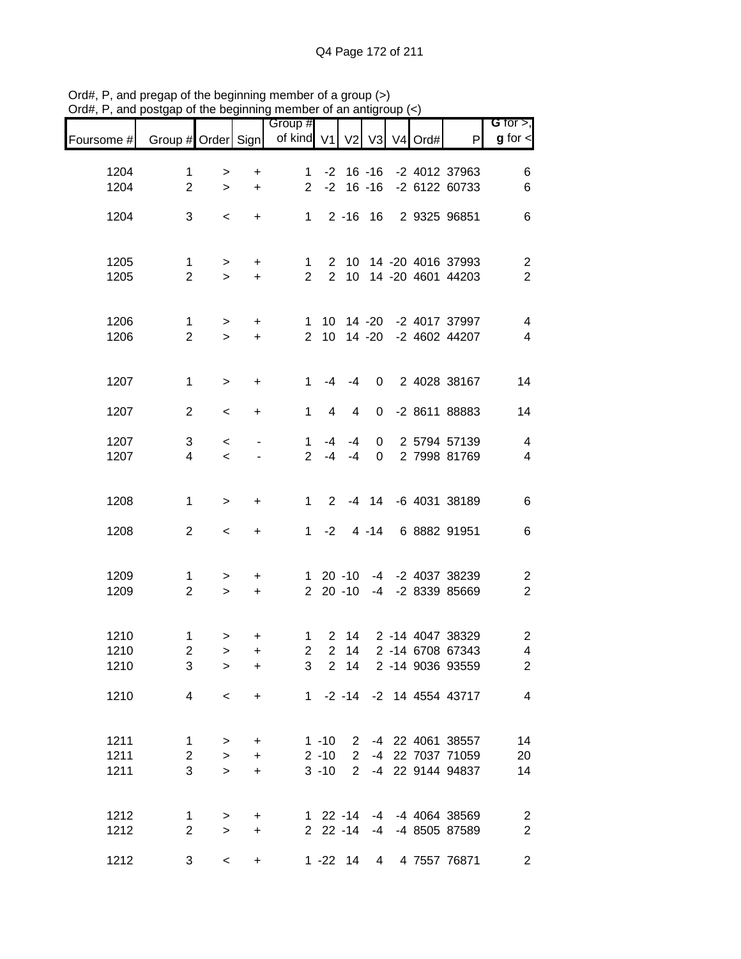|                               |                                |                         |                | Group #        |                      |              |               |            |                                             | $G$ for $>$ ,                             |
|-------------------------------|--------------------------------|-------------------------|----------------|----------------|----------------------|--------------|---------------|------------|---------------------------------------------|-------------------------------------------|
| Foursome # Group # Order Sign |                                |                         |                | of kind V1 V2  |                      |              |               | V3 V4 Ord# | P                                           | $g$ for $\lt$                             |
| 1204                          | $\mathbf 1$                    | >                       | $\ddot{}$      | $\mathbf 1$    |                      |              |               |            | -2 16 -16 -2 4012 37963                     | 6                                         |
| 1204                          | $\overline{2}$                 | $\geq$                  | $\ddot{}$      | $\overline{2}$ |                      |              | $-2$ 16 $-16$ |            | -2 6122 60733                               | $\,6$                                     |
| 1204                          | 3                              | $\,<$                   | $\ddot{}$      | 1              |                      | $2 - 16$     | 16            |            | 2 9325 96851                                | $\,6$                                     |
|                               |                                |                         |                |                |                      |              |               |            |                                             |                                           |
| 1205                          | 1                              | $\geq$                  | $+$            | $\mathbf{1}$   |                      | $2 \quad 10$ |               |            | 14 -20 4016 37993                           | $\overline{2}$                            |
| 1205                          | $\mathbf{2}$                   | $\geq$                  | $+$            | $\overline{2}$ | $2^{\circ}$          |              |               |            | 10 14 -20 4601 44203                        | $\overline{2}$                            |
|                               |                                |                         |                |                |                      |              |               |            |                                             |                                           |
| 1206                          | $\mathbf{1}$                   | $\,$                    | $+$            | 1              |                      |              |               |            | 10 14 -20 -2 4017 37997                     | $\overline{\mathcal{L}}$                  |
| 1206                          | $\overline{2}$                 | $\geq$                  | $+$            | $\overline{2}$ |                      |              |               |            | 10 14 -20 -2 4602 44207                     | $\overline{\mathcal{A}}$                  |
|                               |                                |                         |                |                |                      |              |               |            |                                             |                                           |
| 1207                          | $\mathbf 1$                    | $\geq$                  | $\ddot{}$      | $\mathbf{1}$   | -4                   | $-4$         | 0             |            | 2 4028 38167                                | 14                                        |
| 1207                          | $\overline{2}$                 | $\,<$                   | $\ddot{}$      | $\mathbf{1}$   | $\overline{4}$       | 4            | 0             |            | -2 8611 88883                               | 14                                        |
| 1207                          | $\sqrt{3}$                     | $\,<$                   |                | $\mathbf 1$    | $-4$                 | $-4$         | 0             |            | 2 5794 57139                                | $\overline{4}$                            |
| 1207                          | $\overline{4}$                 | $\prec$                 |                | $\overline{2}$ | $-4$                 | $-4$         | $\mathbf 0$   |            | 2 7998 81769                                | $\overline{\mathbf{4}}$                   |
|                               |                                |                         |                |                |                      |              |               |            |                                             |                                           |
| 1208                          | 1                              | $\geq$                  | +              | $1 \quad$      | $2^{\circ}$          |              | $-4$ 14       |            | -6 4031 38189                               | $\,6$                                     |
| 1208                          | $\overline{2}$                 | $\,<$                   | $+$            | $1 \quad$      | $-2$                 |              | $4 - 14$      |            | 6 8882 91951                                | $\,6$                                     |
|                               |                                |                         |                |                |                      |              |               |            |                                             |                                           |
| 1209                          | 1                              | $\,>$                   | $\ddot{}$      |                |                      | $120 - 10$   |               |            | -4 -2 4037 38239                            | $\overline{c}$                            |
| 1209                          | $\overline{2}$                 | $\geq$                  | $\ddot{}$      |                |                      | $220 - 10$   | -4            |            | -2 8339 85669                               | $\overline{2}$                            |
|                               |                                |                         |                |                |                      |              |               |            |                                             |                                           |
| 1210                          | $\mathbf{1}$                   | $\,>$                   | +              | $\mathbf{1}$   | $\overline{2}$       | 14           |               |            | 2 -14 4047 38329                            | $\mathbf{2}$                              |
| 1210<br>1210                  | $\overline{c}$<br>3            | $\, > \,$<br>$\, > \,$  | +<br>$\ddot{}$ | $\overline{2}$ | 2 <sup>1</sup>       | 14           |               |            | 2 -14 6708 67343<br>3 2 14 2 -14 9036 93559 | $\overline{\mathbf{4}}$<br>$\overline{2}$ |
|                               |                                |                         |                |                |                      |              |               |            |                                             |                                           |
| 1210                          | 4                              | $\,<$                   | $+$            |                |                      |              |               |            | 1 -2 -14 -2 14 4554 43717                   | $\overline{4}$                            |
|                               |                                |                         |                |                |                      |              |               |            |                                             |                                           |
| 1211<br>1211                  | $\mathbf{1}$<br>$\overline{2}$ | $\geq$<br>$\rightarrow$ | $+$<br>$+$     |                | $1 - 10$<br>$2 - 10$ |              |               |            | 2 -4 22 4061 38557<br>2 -4 22 7037 71059    | 14<br>20                                  |
| 1211                          | 3                              | $\geq$                  | $+$            |                | $3 - 10$             |              |               |            | 2 -4 22 9144 94837                          | 14                                        |
|                               |                                |                         |                |                |                      |              |               |            |                                             |                                           |
| 1212                          | $\mathbf{1}$                   | $\,$                    | $+$            |                |                      |              |               |            | 1 22 -14 -4 -4 4064 38569                   | $\overline{\phantom{a}}$                  |
| 1212                          | $\overline{2}$                 | $\geq$                  | $+$            |                |                      |              |               |            | 2 22 -14 -4 -4 8505 87589                   | $\sqrt{2}$                                |
| 1212                          | $\sqrt{3}$                     | $\,<$                   | $\ddot{}$      |                |                      |              |               |            | 1 -22 14 4 4 7557 76871                     | $\overline{2}$                            |

Ord#, P, and pregap of the beginning member of a group (>) Ord#, P, and postgap of the beginning member of an antigroup (<)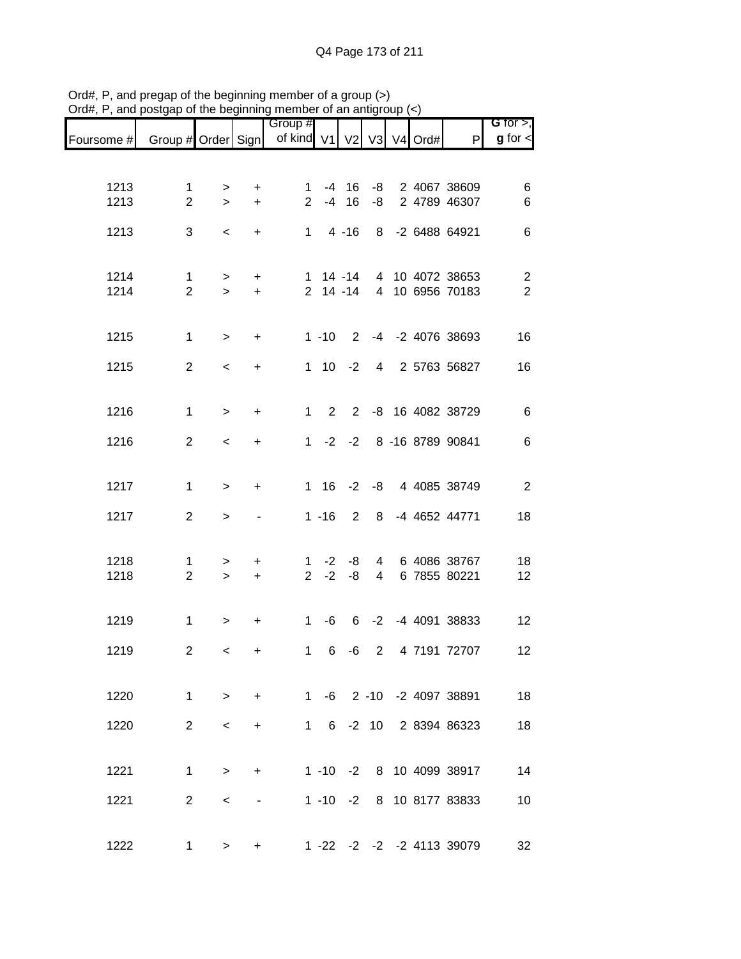|            |                    |                     |           | Group #                  |              |           |                |  |                           | G for $>$ ,    |
|------------|--------------------|---------------------|-----------|--------------------------|--------------|-----------|----------------|--|---------------------------|----------------|
| Foursome # | Group # Order Sign |                     |           | of kind V1 V2 V3 V4 Ord# |              |           |                |  | P                         | $g$ for $\lt$  |
|            |                    |                     |           |                          |              |           |                |  |                           |                |
| 1213       | $\mathbf{1}$       | $\, > \,$           | +         | $\mathbf{1}$             |              | $-4$ 16   | -8             |  | 2 4067 38609              | 6              |
| 1213       | $\overline{2}$     | $\geq$              | $\ddot{}$ | $\overline{2}$           | $-4$         | 16        | -8             |  | 2 4789 46307              | $\,6$          |
| 1213       | 3                  | $\,<$               | $+$       |                          | $1 \quad$    | $4 - 16$  | 8              |  | -2 6488 64921             | $\,6$          |
|            |                    |                     |           |                          |              |           |                |  |                           |                |
| 1214       | $\mathbf{1}$       | $\,>$               | $\ddot{}$ | 1                        |              | $14 - 14$ |                |  | 4 10 4072 38653           | $\overline{c}$ |
| 1214       | $\overline{2}$     | $\geq$              | $+$       |                          | $2$ 14 -14   |           |                |  | 4 10 6956 70183           | $\overline{2}$ |
|            |                    |                     |           |                          |              |           |                |  |                           |                |
| 1215       | $\mathbf 1$        | $\,$                | $\ddot{}$ |                          | $1 - 10$     |           |                |  | 2 -4 -2 4076 38693        | 16             |
| 1215       | $\overline{2}$     | $\,<$               | $\ddot{}$ |                          | $1 \quad 10$ | $-2$      |                |  | 4 2 5763 56827            | 16             |
|            |                    |                     |           |                          |              |           |                |  |                           |                |
| 1216       | $\mathbf{1}$       | $\,$                | $\ddot{}$ | $\mathbf{1}$             | $2^{\circ}$  |           |                |  | 2 -8 16 4082 38729        | $\,6$          |
| 1216       | $\overline{2}$     | $\,<$               | $\ddot{}$ |                          |              |           |                |  | 1 -2 -2 8 -16 8789 90841  | $\,6$          |
|            |                    |                     |           |                          |              |           |                |  |                           |                |
| 1217       | $\mathbf{1}$       | $\,>$               | $\ddot{}$ |                          |              |           |                |  | 1 16 -2 -8 4 4085 38749   | $\overline{2}$ |
| 1217       | $\overline{2}$     | $\geq$              |           |                          | $1 - 16$     | 2         | 8              |  | -4 4652 44771             | 18             |
|            |                    |                     |           |                          |              |           |                |  |                           |                |
| 1218       | 1                  | $\, > \,$           | $\ddot{}$ | 1                        | $-2$         | -8        | 4              |  | 6 4086 38767              | 18             |
| 1218       | $\overline{2}$     | $\,>$               | $\ddot{}$ | $2^{\circ}$              | $-2$         | -8        | 4              |  | 6 7855 80221              | 12             |
|            |                    |                     |           |                          |              |           |                |  |                           |                |
| 1219       | $\mathbf 1$        | $\,$                | $\ddot{}$ | $\mathbf{1}$             | -6           | 6         |                |  | -2 -4 4091 38833          | 12             |
| 1219       | $\mathbf{2}$       | $\,<\,$             | $\ddot{}$ | $\mathbf{1}$             | 6            | -6        | $\overline{2}$ |  | 4 7191 72707              | 12             |
|            |                    |                     |           |                          |              |           |                |  |                           |                |
| 1220       |                    | $1 \quad \Box$      | $> +$     |                          |              |           |                |  | 1 -6 2 -10 -2 4097 38891  | 18             |
| 1220       | $\overline{2}$     | $\prec$             | $+$       |                          |              |           |                |  | 1 6 -2 10 2 8394 86323    | 18             |
|            |                    |                     |           |                          |              |           |                |  |                           |                |
| 1221       | $\mathbf{1}$       | $\geq$              | $+$       |                          |              |           |                |  | 1 -10 -2 8 10 4099 38917  | 14             |
| 1221       | $\overline{2}$     | $\prec$             |           |                          |              |           |                |  | 1 -10 -2 8 10 8177 83833  | 10             |
|            |                    |                     |           |                          |              |           |                |  |                           |                |
| 1222       |                    | $1 \quad$<br>$\geq$ | $+$       |                          |              |           |                |  | 1 -22 -2 -2 -2 4113 39079 | 32             |

Ord#, P, and pregap of the beginning member of a group (>) Ord#, P, and postgap of the beginning member of an antigroup (<)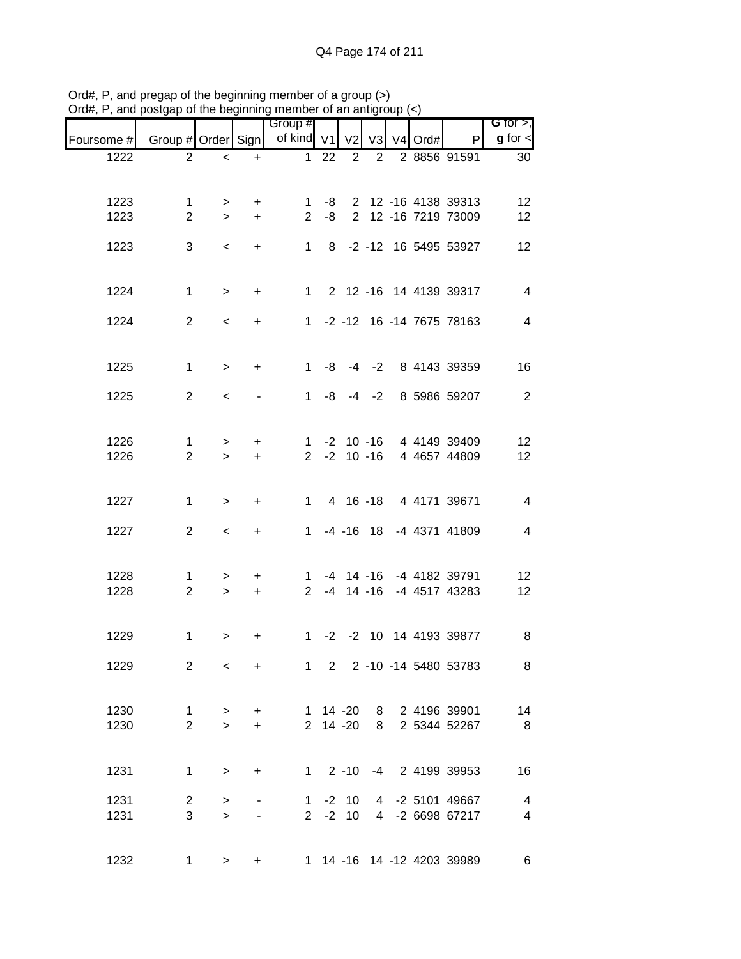|            |                    |                          |                | Group #        |    |                 |                |         |                            | $G$ for $>$ ,  |
|------------|--------------------|--------------------------|----------------|----------------|----|-----------------|----------------|---------|----------------------------|----------------|
| Foursome # | Group # Order Sign |                          |                | of kind V1 V2  |    |                 | V <sub>3</sub> | V4 Ord# | P                          | $g$ for $\lt$  |
| 1222       | $\overline{2}$     | $\overline{\phantom{0}}$ | $\ddot{}$      | $\mathbf 1$    | 22 | $\overline{2}$  | $\overline{2}$ |         | 2 8856 91591               | 30             |
|            |                    |                          |                |                |    |                 |                |         |                            |                |
| 1223       | $\mathbf 1$        | $\geq$                   | $\ddot{}$      | $\mathbf 1$    | -8 |                 |                |         | 2 12 -16 4138 39313        | 12             |
| 1223       | $\overline{2}$     | $\geq$                   | $+$            | $\overline{2}$ | -8 |                 |                |         | 2 12 -16 7219 73009        | 12             |
|            |                    |                          |                |                |    |                 |                |         |                            |                |
| 1223       | 3                  | $\,<\,$                  | $+$            |                |    |                 |                |         | 1 8 -2 -12 16 5495 53927   | 12             |
|            |                    |                          |                |                |    |                 |                |         |                            |                |
| 1224       | $\mathbf{1}$       | $\geq$                   | $+$            |                |    |                 |                |         | 1 2 12 -16 14 4139 39317   | $\overline{4}$ |
|            |                    |                          |                |                |    |                 |                |         |                            | $\overline{4}$ |
| 1224       | $\overline{2}$     | $\,<$                    | $+$            |                |    |                 |                |         | 1 -2 -12 16 -14 7675 78163 |                |
|            |                    |                          |                |                |    |                 |                |         |                            |                |
| 1225       | $\mathbf{1}$       | $\, >$                   | $+$            |                |    |                 |                |         | 1 -8 -4 -2 8 4143 39359    | 16             |
| 1225       | $\overline{2}$     | $\prec$                  |                |                |    |                 |                |         | 1 -8 -4 -2 8 5986 59207    | $\overline{2}$ |
|            |                    |                          |                |                |    |                 |                |         |                            |                |
|            |                    |                          |                |                |    |                 |                |         |                            |                |
| 1226       | $\mathbf{1}$       | $\,$                     | $\ddot{}$      |                |    |                 |                |         | 1 -2 10 -16 4 4149 39409   | 12             |
| 1226       | $\overline{2}$     | $\geq$                   | $\ddot{}$      |                |    | $2 - 2 10 - 16$ |                |         | 4 4657 44809               | 12             |
|            |                    |                          |                |                |    |                 |                |         |                            |                |
| 1227       | $\mathbf{1}$       | $\,$                     | $\ddot{}$      |                |    |                 |                |         | 1 4 16 -18 4 4171 39671    | $\overline{4}$ |
|            |                    |                          |                |                |    |                 |                |         |                            |                |
| 1227       | $\overline{2}$     | $\,<\,$                  | $+$            | 1              |    | $-4$ $-16$ 18   |                |         | -4 4371 41809              | $\overline{4}$ |
|            |                    |                          |                |                |    |                 |                |         |                            |                |
| 1228       | 1                  | $\,>$                    | $\ddot{}$      | $1 \quad$      |    |                 |                |         | -4 14 -16 -4 4182 39791    | 12             |
| 1228       | $\overline{2}$     | $\geq$                   | $+$            |                |    | $2 - 4 14 - 16$ |                |         | -4 4517 43283              | 12             |
|            |                    |                          |                |                |    |                 |                |         |                            |                |
| 1229       | $\mathbf 1$        | $\geq$                   | +              |                |    |                 |                |         | 1 -2 -2 10 14 4193 39877   | 8              |
|            |                    |                          |                |                |    |                 |                |         |                            |                |
| 1229       | $\overline{2}$     | $\,<$                    | $\ddot{}$      | $1 \quad$      |    |                 |                |         | 2 2 -10 -14 5480 53783     | 8 <sup>8</sup> |
|            |                    |                          |                |                |    |                 |                |         |                            |                |
| 1230       | $\mathbf{1}$       |                          | $+$            |                |    |                 |                |         | 1 14 -20 8 2 4196 39901    | 14             |
| 1230       | $\overline{2}$     | $\, >$<br>$\geq$         | $+$            |                |    | 2 14 -20        |                |         | 8 2 5344 52267             | 8 <sup>8</sup> |
|            |                    |                          |                |                |    |                 |                |         |                            |                |
|            |                    |                          |                |                |    |                 |                |         |                            |                |
| 1231       | $\mathbf{1}$       | $\,>$                    | $+$            |                |    |                 |                |         | 1 2 -10 -4 2 4199 39953    | 16             |
| 1231       | $\overline{2}$     | $\, >$                   |                |                |    | $1 - 2 10$      |                |         | 4 -2 5101 49667            | $\overline{4}$ |
| 1231       | 3                  | $\geq$                   | $\blacksquare$ |                |    | $2 -2 10$       |                |         | 4 -2 6698 67217            | $\overline{4}$ |
|            |                    |                          |                |                |    |                 |                |         |                            |                |
| 1232       | $\mathbf{1}$       | $\geq$                   | +              |                |    |                 |                |         | 1 14 -16 14 -12 4203 39989 | 6              |
|            |                    |                          |                |                |    |                 |                |         |                            |                |

Ord#, P, and pregap of the beginning member of a group (>) Ord#, P, and postgap of the beginning member of an antigroup (<)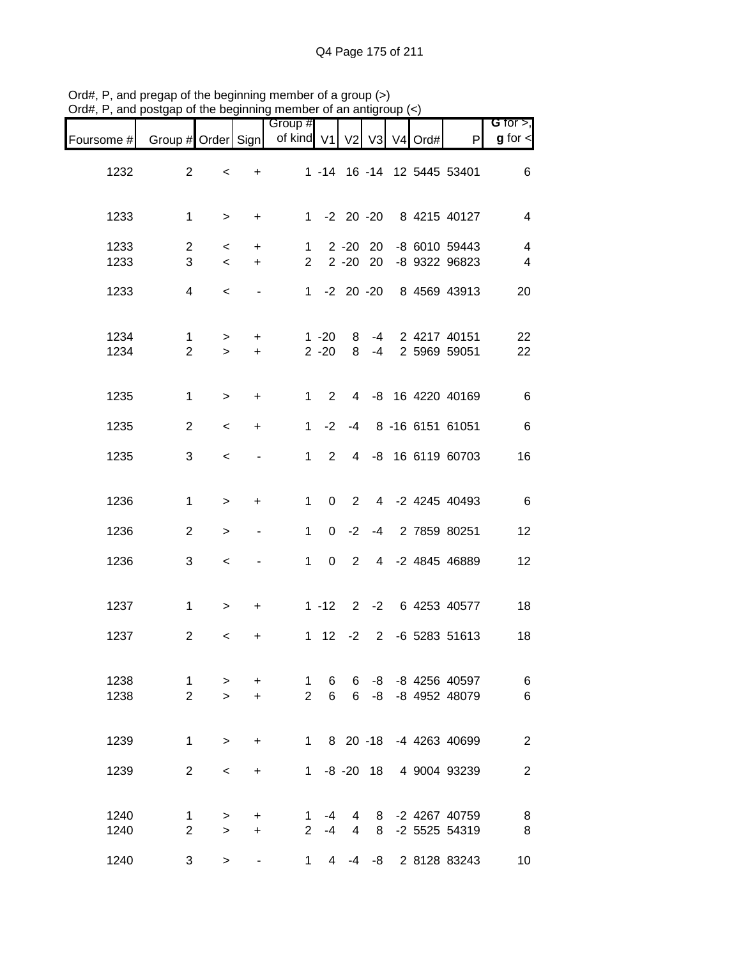|                                  |                                    |  |                   |             |                      | $\mathcal{L}$ and position incredimently include or an analytical $(\cdot)$ |                        |                  |                                |                               |
|----------------------------------|------------------------------------|--|-------------------|-------------|----------------------|-----------------------------------------------------------------------------|------------------------|------------------|--------------------------------|-------------------------------|
| G for $>$ ,<br>$g$ for $\lt$     | P                                  |  |                   |             |                      | Group #<br>of kind V1 V2 V3 V4 Ord#                                         |                        |                  |                                | Foursome # Group # Order Sign |
| 6                                | 1 -14 16 -14 12 5445 53401         |  |                   |             |                      |                                                                             | $\ddot{}$              | $\,<\,$          | $\overline{2}$                 | 1232                          |
| $\overline{4}$                   | 1 -2 20 -20 8 4215 40127           |  |                   |             |                      |                                                                             | $+$                    | $\geq$           | $\mathbf 1$                    | 1233                          |
| $\overline{4}$<br>$\overline{4}$ | -8 6010 59443<br>-8 9322 96823     |  | 20<br>$2 - 20$ 20 | $2 - 20$    |                      | $\mathbf{1}$<br>$\overline{2}$                                              | $+$<br>$+$             | $\,<$<br>$\,<$   | 2<br>3                         | 1233<br>1233                  |
| 20                               | 1 -2 20 -20 8 4569 43913           |  |                   |             |                      |                                                                             | $\blacksquare$         | $\,<$            | $\overline{4}$                 | 1233                          |
| 22<br>22                         | -4 2 4217 40151<br>-4 2 5969 59051 |  |                   | 8<br>8      | $1 - 20$<br>$2 - 20$ |                                                                             | $+$<br>$+$             | $\, >$<br>$\geq$ | $\mathbf{1}$<br>$\overline{2}$ | 1234<br>1234                  |
| $\,6\,$                          | 4 -8 16 4220 40169                 |  |                   |             | $1 \quad 2$          |                                                                             | $+$                    | $\, >$           | $\mathbf{1}$                   | 1235                          |
| $\,6\,$                          | -4 8 -16 6151 61051                |  |                   |             | $-2$                 | 1                                                                           | $+$                    | $\prec$          | $\overline{2}$                 | 1235                          |
| 16                               | 4 -8 16 6119 60703                 |  |                   |             | $2^{\circ}$          | $1 \quad$                                                                   |                        | $\,<\,$          | 3                              | 1235                          |
| $\,6$                            | 4 -2 4245 40493                    |  |                   | $2^{\circ}$ | $\overline{0}$       | $\mathbf{1}$                                                                | $\ddot{}$              | $\, >$           | $\mathbf{1}$                   | 1236                          |
| 12                               | 0 -2 -4 2 7859 80251               |  |                   |             |                      | $\mathbf{1}$                                                                | $\blacksquare$         | $\, >$           | $\overline{2}$                 | 1236                          |
| 12                               | 2 4 -2 4845 46889                  |  |                   |             | $\overline{0}$       | $1 \quad$                                                                   |                        | $\,<\,$          | 3                              | 1236                          |
| 18                               | 1 -12 2 -2 6 4253 40577            |  |                   |             |                      |                                                                             | $+$                    | $\, >$           | $\mathbf 1$                    | 1237                          |
| 18                               | 1 12 -2 2 -6 5283 51613            |  |                   |             |                      |                                                                             | +                      | $\,<\,$          | $\overline{2}$                 | 1237                          |
| 6<br>$\,6$                       | -8 -8 4256 40597<br>-8 4952 48079  |  | -8                | 6<br>6      | 6<br>6               | 1<br>$\overline{2}$                                                         | $\ddot{}$<br>$\ddot{}$ | $\geq$<br>$\geq$ | 1<br>$\overline{2}$            | 1238<br>1238                  |
| $\sqrt{2}$                       | 8 20 -18 -4 4263 40699             |  |                   |             |                      | $1 \quad$                                                                   | $\ddot{}$              | $\,>$            | $\mathbf 1$                    | 1239                          |
| $\sqrt{2}$                       | 4 9004 93239                       |  | $-8 - 20$ 18      |             |                      | $1 \quad$                                                                   | $\ddot{}$              | $\,<\,$          | $\overline{2}$                 | 1239                          |
| 8<br>8                           | 8 -2 4267 40759<br>-2 5525 54319   |  | 8                 | 4<br>4      | -4<br>$2 - 4$        | 1.                                                                          | $\ddot{}$<br>$\ddot{}$ | $\, >$<br>$\geq$ | $\mathbf 1$<br>$\overline{2}$  | 1240<br>1240                  |
| 10                               | -8 2 8128 83243                    |  |                   | -4          | $\overline{4}$       | $\mathbf 1$                                                                 |                        | $\geq$           | 3                              | 1240                          |

Ord#, P, and pregap of the beginning member of a group (>) Ord#, P, and postgap of the beginning member of an antigroup (<)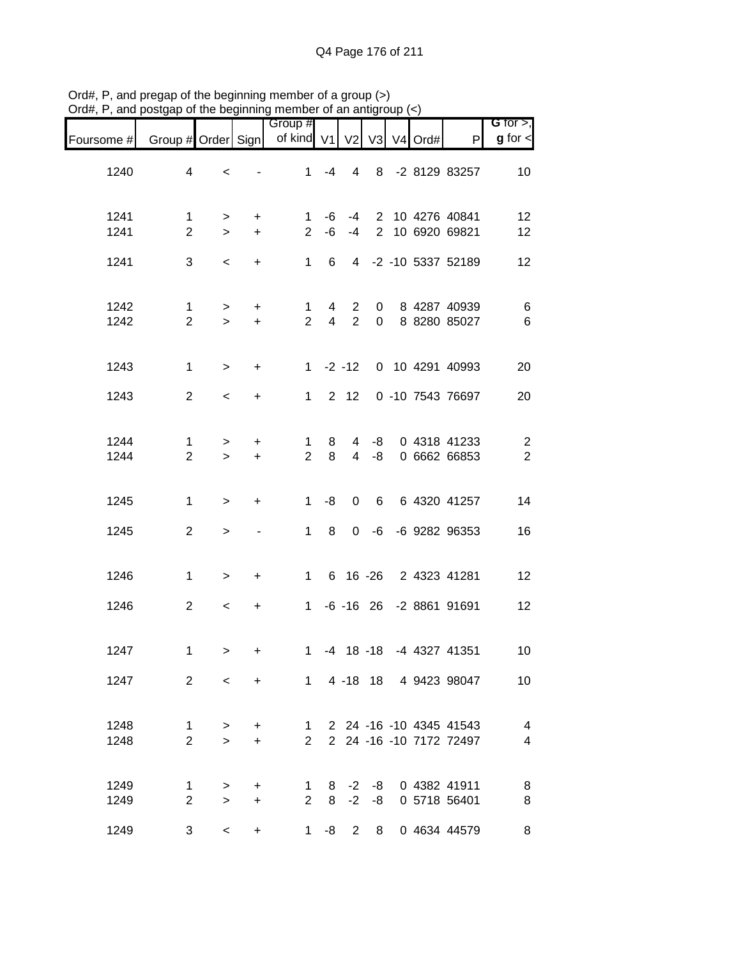|              |                                |                  |                        | Group #                        |                     |                     |                  |            |                                                    | G for $>$ ,                               |
|--------------|--------------------------------|------------------|------------------------|--------------------------------|---------------------|---------------------|------------------|------------|----------------------------------------------------|-------------------------------------------|
| Foursome #   | Group # Order Sign             |                  |                        | of kind V1                     |                     | V <sub>2</sub>      |                  | V3 V4 Ord# | P                                                  | $g$ for $\leq$                            |
| 1240         | $\overline{\mathbf{4}}$        | $\,<$            |                        | $\mathbf{1}$                   | $-4$                | $\overline{4}$      |                  |            | 8 -2 8129 83257                                    | 10                                        |
| 1241<br>1241 | $\mathbf 1$<br>$\overline{2}$  | $\,>$<br>$\geq$  | $\ddot{}$<br>$\ddot{}$ | 1<br>$\overline{2}$            | -6<br>-6            | -4<br>$-4$          |                  |            | 2 10 4276 40841<br>2 10 6920 69821                 | 12<br>12                                  |
| 1241         | 3                              | $\,<$            | $+$                    | $\mathbf{1}$                   | 6                   |                     |                  |            | 4 -2 -10 5337 52189                                | 12                                        |
| 1242<br>1242 | $\mathbf{1}$<br>$\overline{2}$ | $\, >$<br>$\geq$ | $\ddot{}$<br>$\ddot{}$ | $\mathbf 1$<br>$\overline{2}$  | 4<br>$\overline{4}$ | 2<br>$\overline{2}$ | $\mathbf 0$<br>0 |            | 8 4287 40939<br>8 8280 85027                       | $\,6$<br>$\,6$                            |
| 1243         | $\mathbf{1}$                   | $\,$             | $\ddot{}$              |                                |                     | $1 -2 -12$          |                  |            | 0 10 4291 40993                                    | 20                                        |
| 1243         | $\overline{2}$                 | $\prec$          | $\ddot{}$              | 1                              |                     | $2 \quad 12$        |                  |            | 0 -10 7543 76697                                   | 20                                        |
| 1244<br>1244 | $\mathbf{1}$<br>$\overline{2}$ | $\,$<br>$\geq$   | +<br>$\ddot{}$         | $\mathbf 1$<br>$\overline{2}$  | 8<br>8              | 4<br>$\overline{4}$ | -8<br>-8         |            | 0 4318 41233<br>0 6662 66853                       | $\overline{\mathbf{c}}$<br>$\overline{2}$ |
| 1245         | 1                              | $\,$             | $\ddot{}$              | 1                              | -8                  | 0                   | 6                |            | 6 4320 41257                                       | 14                                        |
| 1245         | $\overline{2}$                 | $\, > \,$        | $\blacksquare$         | $\mathbf{1}$                   | 8                   | $\mathbf 0$         | -6               |            | -6 9282 96353                                      | 16                                        |
| 1246         | $\mathbf{1}$                   | $\,>$            | $\ddot{}$              | $1 \quad$                      |                     |                     |                  |            | 6 16 -26 2 4323 41281                              | 12                                        |
| 1246         | $\overline{2}$                 | $\,<$            | $\ddot{}$              |                                |                     |                     |                  |            | 1 -6 -16 26 -2 8861 91691                          | 12                                        |
| 1247         | $\mathbf 1$                    | $\,$             | +                      | $\mathbf{1}$                   |                     |                     |                  |            | -4 18 -18 -4 4327 41351                            | 10                                        |
| 1247         | $\overline{2}$                 | $\prec$          | $+$                    |                                |                     |                     |                  |            | 1 4 -18 18 4 9423 98047                            | 10                                        |
| 1248<br>1248 | $\mathbf{1}$<br>$\overline{2}$ | $\, >$<br>$\geq$ | $+$<br>$\ddot{}$       | 1<br>$\overline{2}$            |                     |                     |                  |            | 2 24 -16 -10 4345 41543<br>2 24 -16 -10 7172 72497 | $\overline{4}$<br>$\overline{\mathbf{4}}$ |
| 1249<br>1249 | $\mathbf{1}$<br>$\overline{2}$ | $\, >$<br>$\geq$ | $+$<br>$\ddot{}$       | $\mathbf{1}$<br>$\overline{2}$ | 8                   |                     | $-2 -8$          |            | 8 -2 -8 0 4382 41911<br>0 5718 56401               | 8<br>8                                    |
| 1249         | 3                              | $\,<\,$          | $+$                    | $1 \quad$                      | -8                  | $\overline{2}$      |                  |            | 8 0 4634 44579                                     | 8                                         |

Ord#, P, and pregap of the beginning member of a group (>) Ord#, P, and postgap of the beginning member of an antigroup (<)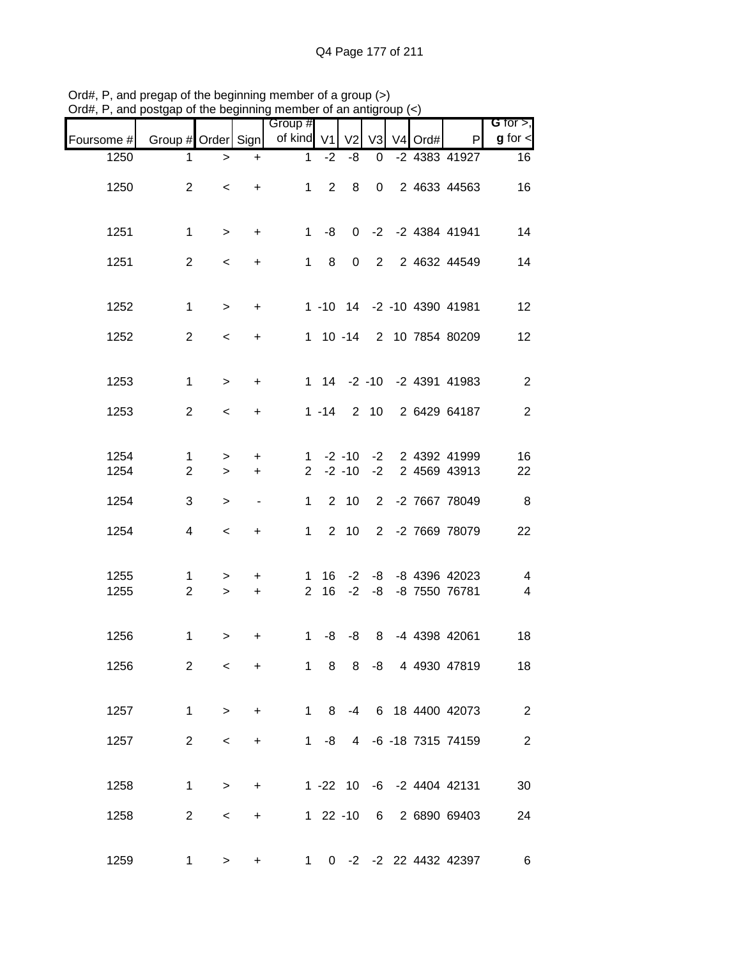| $\mathcal{L}(\mathbf{u}_n, \mathbf{u}_n)$ and poorgap or the beginning member or an anagroup $(\mathbf{v})$ |                    |           |                | Group #        |                |                |                |           |                            | G for $>$ ,              |
|-------------------------------------------------------------------------------------------------------------|--------------------|-----------|----------------|----------------|----------------|----------------|----------------|-----------|----------------------------|--------------------------|
| Foursome #                                                                                                  | Group # Order Sign |           |                | of kind V1     |                | V <sub>2</sub> | V <sub>3</sub> | $V4$ Ord# | P                          | $g$ for $\lt$            |
| 1250                                                                                                        | 1                  | $\, >$    | $+$            | $\mathbf{1}$   | $-2$           | -8             | 0              |           | -2 4383 41927              | 16                       |
| 1250                                                                                                        | $\overline{2}$     | $\,<\,$   | $+$            |                | $1 \quad 2$    | 8              |                |           | 0 2 4633 44563             | 16                       |
| 1251                                                                                                        | $\mathbf 1$        | $\, >$    | $+$            |                | $1 - 8$        |                |                |           | 0 -2 -2 4384 41941         | 14                       |
| 1251                                                                                                        | 2                  | $\,<$     | $+$            |                | $1 \quad 8$    | $\mathbf 0$    |                |           | 2 2 4632 44549             | 14                       |
| 1252                                                                                                        | $\mathbf{1}$       | $\,>$     | $+$            |                |                |                |                |           | 1 -10 14 -2 -10 4390 41981 | 12                       |
| 1252                                                                                                        | $\overline{2}$     | $\,<$     | $+$            |                |                |                |                |           | 1 10 -14 2 10 7854 80209   | 12                       |
| 1253                                                                                                        | $\mathbf{1}$       | $\,>$     | $+$            |                |                |                |                |           | 1 14 -2 -10 -2 4391 41983  | $\overline{2}$           |
| 1253                                                                                                        | 2                  | $\prec$   | $+$            |                | $1 - 14$       |                |                |           | 2 10 2 6429 64187          | $\overline{2}$           |
| 1254                                                                                                        | 1                  | $\geq$    | $\ddot{}$      |                | $1 - 2 - 10$   |                |                |           | -2 2 4392 41999            | 16                       |
| 1254                                                                                                        | $\overline{2}$     | $\,>$     | $+$            | $\overline{2}$ |                | $-2 - 10$      |                |           | -2 2 4569 43913            | 22                       |
| 1254                                                                                                        | 3                  | $\,$      | $\blacksquare$ | $\mathbf{1}$   |                | $2 \quad 10$   |                |           | 2 -2 7667 78049            | $\, 8$                   |
| 1254                                                                                                        | 4                  | $\,<$     | $+$            | 1              |                | $2 \quad 10$   |                |           | 2 -2 7669 78079            | 22                       |
| 1255                                                                                                        | $\mathbf 1$        | $\geq$    | $+$            |                | $1 \quad 16$   |                |                |           | $-2$ $-8$ $-8$ 4396 42023  | 4                        |
| 1255                                                                                                        | $\overline{2}$     | $\geq$    | $+$            |                |                |                |                |           | 2 16 -2 -8 -8 7550 76781   | $\overline{\mathcal{A}}$ |
| 1256                                                                                                        | $\mathbf 1$        | $\, > \,$ | +              | 1              | -8             | -8             |                |           | 8 -4 4398 42061            | 18                       |
| 1256                                                                                                        | 2                  | $\,<\,$   | $\ddot{}$      |                | $1 \quad$<br>8 |                |                |           | 8 -8 4 4930 47819          | 18                       |
| 1257                                                                                                        | $\mathbf 1$        | $\,>$     | $+$            |                | 1 8            |                |                |           | -4 6 18 4400 42073         | 2                        |
| 1257                                                                                                        | $\overline{2}$     | $\,<$     | $+$            |                | $1 - 8$        |                |                |           | 4 -6 -18 7315 74159        | $\sqrt{2}$               |
| 1258                                                                                                        | $\mathbf 1$        | $\,>$     | $+$            |                |                |                |                |           | 1 -22 10 -6 -2 4404 42131  | 30                       |
| 1258                                                                                                        | $\overline{2}$     | $\,<$     | $+$            |                | $122 - 10$     |                |                |           | 6 2 6890 69403             | 24                       |
| 1259                                                                                                        | 1                  | $\,$      | $\ddot{}$      |                |                |                |                |           | 1 0 -2 -2 22 4432 42397    | 6                        |

Ord#, P, and pregap of the beginning member of a group (>) Ord#, P, and postgap of the beginning member of an antigroup (<)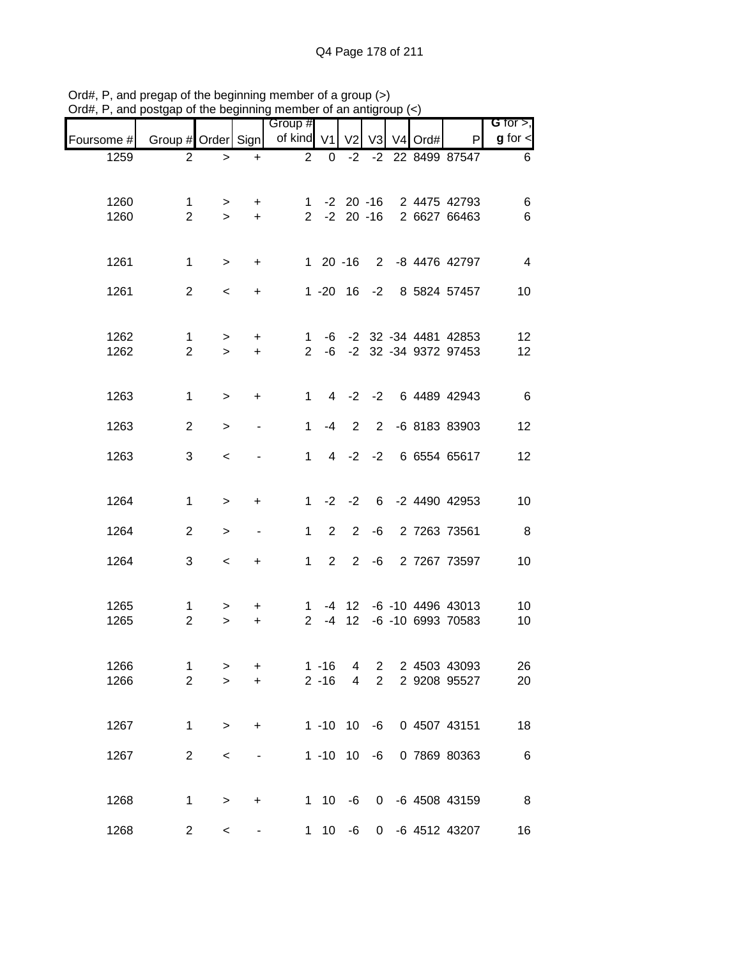| $J$ ıu $\pi,$ ı | , and posigap or the beginning member or an analyticap $(\leq)$ |                 |                          |                       |                |                  |                |         |                                                      |                              |
|-----------------|-----------------------------------------------------------------|-----------------|--------------------------|-----------------------|----------------|------------------|----------------|---------|------------------------------------------------------|------------------------------|
| Foursome #      | Group # Order Sign                                              |                 |                          | Group #<br>of kind V1 |                | V <sub>2</sub>   | V3             | V4 Ord# | P                                                    | G for $>$ ,<br>$g$ for $\lt$ |
| 1259            | $\overline{2}$                                                  | $\, > \,$       | $\ddot{}$                | $\overline{2}$        | 0              | $-2$             |                |         | -2 22 8499 87547                                     | 6                            |
|                 |                                                                 |                 |                          |                       |                |                  |                |         |                                                      |                              |
|                 |                                                                 |                 |                          |                       |                |                  |                |         |                                                      |                              |
| 1260<br>1260    | 1<br>$\overline{2}$                                             | $\,>$<br>$\geq$ | $\ddot{}$<br>$+$         |                       |                |                  |                |         | 1 -2 20 -16 2 4475 42793<br>2 -2 20 -16 2 6627 66463 | 6<br>6                       |
|                 |                                                                 |                 |                          |                       |                |                  |                |         |                                                      |                              |
|                 |                                                                 |                 |                          |                       |                |                  |                |         |                                                      |                              |
| 1261            | $\mathbf 1$                                                     | $\, >$          | $+$                      |                       |                | $120 - 16$       |                |         | 2 -8 4476 42797                                      | $\overline{4}$               |
| 1261            | $\overline{2}$                                                  | $\prec$         | $\ddot{}$                |                       |                |                  |                |         | 1 -20 16 -2 8 5824 57457                             | 10                           |
|                 |                                                                 |                 |                          |                       |                |                  |                |         |                                                      |                              |
| 1262            | $\mathbf 1$                                                     | $\,>$           | $\ddot{}$                | 1                     |                |                  |                |         | -6 -2 32 -34 4481 42853                              | 12                           |
| 1262            | $\overline{2}$                                                  | $\geq$          | $+$                      | $\overline{2}$        |                |                  |                |         | -6 -2 32 -34 9372 97453                              | 12                           |
|                 |                                                                 |                 |                          |                       |                |                  |                |         |                                                      |                              |
| 1263            | $\mathbf{1}$                                                    |                 |                          | $\mathbf 1$           |                | $4 -2$           |                |         | -2 6 4489 42943                                      | 6                            |
|                 |                                                                 | $\,>$           | $\ddot{}$                |                       |                |                  |                |         |                                                      |                              |
| 1263            | $\overline{2}$                                                  | $\geq$          |                          | $\mathbf{1}$          | $-4$           | 2                | $\overline{2}$ |         | -6 8183 83903                                        | 12                           |
| 1263            | 3                                                               | $\,<\,$         |                          | $\mathbf{1}$          |                |                  |                |         | 4 -2 -2 6 6554 65617                                 | 12                           |
|                 |                                                                 |                 |                          |                       |                |                  |                |         |                                                      |                              |
| 1264            | $\mathbf 1$                                                     | $\,>$           | +                        | $1 \quad$             |                | $-2 -2$          |                |         | 6 -2 4490 42953                                      | 10                           |
|                 |                                                                 |                 |                          |                       |                |                  |                |         |                                                      |                              |
| 1264            | $\overline{2}$                                                  | $\,>$           | $\overline{\phantom{a}}$ | 1                     | $\overline{2}$ | $\overline{2}$   | $-6$           |         | 2 7263 73561                                         | 8                            |
| 1264            | 3                                                               | $\,<\,$         | $\ddot{}$                | $\mathbf 1$           |                | $2\quad 2$       |                |         | -6 2 7267 73597                                      | 10                           |
|                 |                                                                 |                 |                          |                       |                |                  |                |         |                                                      |                              |
| 1265            | $\mathbf{1}$                                                    | >               | $\ddot{}$                | 1                     |                | $-4$ 12          |                |         | -6 -10 4496 43013                                    | 10                           |
| 1265            | $\overline{2}$                                                  | $\geq$          | $\ddot{}$                | $\overline{2}$        | $-4$           | 12               |                |         | -6 -10 6993 70583                                    | 10                           |
|                 |                                                                 |                 |                          |                       |                |                  |                |         |                                                      |                              |
| 1266            | 1                                                               | $\, > \,$       | +                        |                       | $1 - 16$       | 4                | $\overline{2}$ |         | 2 4503 43093                                         | 26                           |
| 1266            | $\overline{2}$                                                  | $\geq$          | $\ddot{}$                |                       | $2 - 16$       | 4                | $\overline{2}$ |         | 2 9208 95527                                         | 20                           |
|                 |                                                                 |                 |                          |                       |                |                  |                |         |                                                      |                              |
| 1267            | $\mathbf 1$                                                     | $\,>$           | +                        |                       |                | $1 - 10$ 10 $-6$ |                |         | 0 4507 43151                                         | 18                           |
|                 |                                                                 |                 |                          |                       |                |                  |                |         |                                                      |                              |
| 1267            | $\overline{2}$                                                  | $\,<$           |                          |                       |                | $1 - 10$ 10 $-6$ |                |         | 0 7869 80363                                         | $6\phantom{1}6$              |
|                 |                                                                 |                 |                          |                       |                |                  |                |         |                                                      |                              |
| 1268            | $\mathbf 1$                                                     | $\, > \,$       | +                        |                       |                | $1 \t10 \t-6$    |                |         | 0 -6 4508 43159                                      | $_{\rm 8}$                   |
| 1268            | $\overline{c}$                                                  | $\,<$           |                          |                       |                | $1 10 -6$        |                |         | 0 -6 4512 43207                                      | 16                           |
|                 |                                                                 |                 |                          |                       |                |                  |                |         |                                                      |                              |

Ord#, P, and pregap of the beginning member of a group (>) Ord#, P, and postgap of the beginning member of an antigroup (<)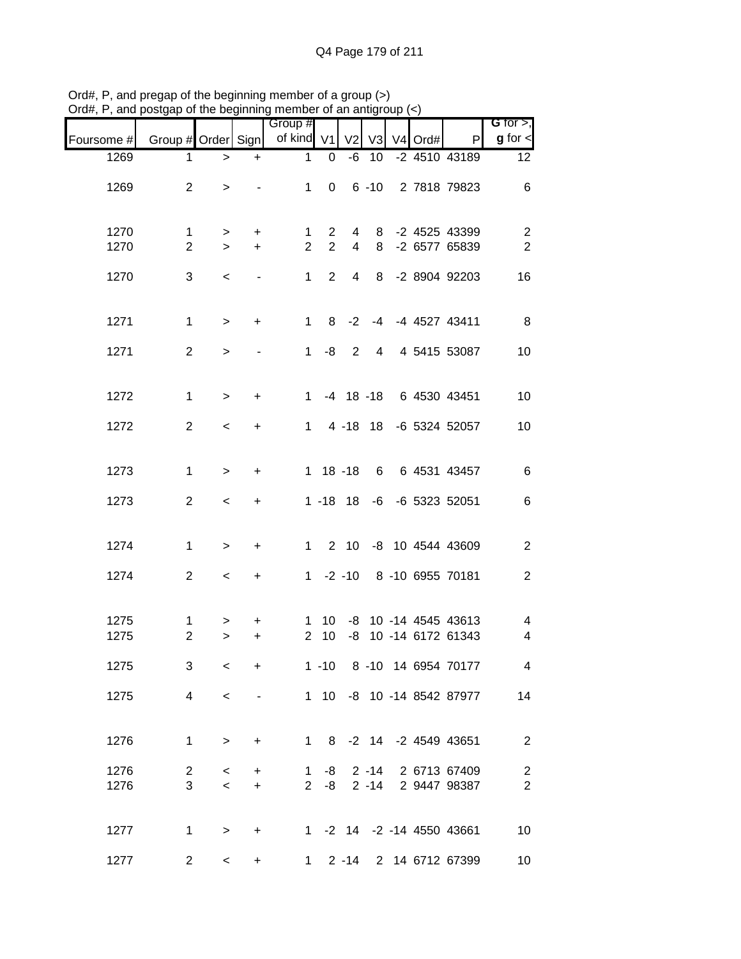| יישוע $\pi,$ ו | , and postgap or the beginning member or an antigroup $(\leq)$ |                  |                              |                       |                |                |          |                |      |                                           |                                  |
|----------------|----------------------------------------------------------------|------------------|------------------------------|-----------------------|----------------|----------------|----------|----------------|------|-------------------------------------------|----------------------------------|
| Foursome #     | Group # Order Sign                                             |                  |                              | Group #<br>of kind V1 |                |                | V2 V3    | V <sub>4</sub> | Ord# | P                                         | G for $>$ ,<br>$g$ for $\lt$     |
| 1269           | 1                                                              | $\,>$            | $\ddot{}$                    | 1                     | 0              | -6             | 10       |                |      | -2 4510 43189                             | 12                               |
| 1269           | $\overline{2}$                                                 | $\, >$           |                              | 1                     | $\mathbf 0$    |                | $6 - 10$ |                |      | 2 7818 79823                              | 6                                |
| 1270           | $\mathbf 1$                                                    | $\geq$           | $\ddot{}$                    | 1                     | $\mathbf{2}$   | 4              | 8        |                |      | -2 4525 43399                             | $\overline{c}$                   |
| 1270           | $\overline{2}$                                                 | $\geq$           | $\ddot{}$                    | $\overline{2}$        | $\overline{2}$ | $\overline{4}$ | 8        |                |      | -2 6577 65839                             | $\overline{2}$                   |
| 1270           | 3                                                              | $\,<\,$          | $\qquad \qquad \blacksquare$ | $\mathbf 1$           | $\overline{2}$ | 4              | 8        |                |      | -2 8904 92203                             | 16                               |
| 1271           | $\mathbf{1}$                                                   | $\,>$            | $\ddot{}$                    | $\mathbf{1}$          | 8              | $-2$           | $-4$     |                |      | -4 4527 43411                             | 8                                |
| 1271           | $\overline{2}$                                                 | $\geq$           |                              | 1                     | -8             | 2              | 4        |                |      | 4 5415 53087                              | 10                               |
| 1272           | 1                                                              | $\geq$           | $\ddot{}$                    | 1.                    |                | $-4$ 18 $-18$  |          |                |      | 6 4530 43451                              | 10                               |
| 1272           | $\overline{2}$                                                 | $\,<\,$          | $\ddot{}$                    | $\mathbf{1}$          |                | 4 -18 18       |          |                |      | -6 5324 52057                             | 10                               |
| 1273           | 1                                                              | $\,>$            | +                            |                       |                | $1 18 - 18$    | 6        |                |      | 6 4531 43457                              | 6                                |
| 1273           | $\overline{2}$                                                 | $\,<\,$          | +                            |                       |                | $1 - 18$ 18    |          |                |      | -6 -6 5323 52051                          | 6                                |
| 1274           | $\mathbf{1}$                                                   | $\, > \,$        | +                            | $\mathbf{1}$          |                |                |          |                |      | 2 10 -8 10 4544 43609                     | $\overline{2}$                   |
| 1274           | $\overline{2}$                                                 | $\,<\,$          | +                            |                       |                | $1 - 2 - 10$   |          |                |      | 8 -10 6955 70181                          | 2                                |
| 1275<br>1275   | 1<br>$\overline{2}$                                            | ><br>$\geq$      | +<br>$\ddot{}$               | 1<br>$\overline{2}$   | 10<br>10       | -8             |          |                |      | -8 10 -14 4545 43613<br>10 -14 6172 61343 | 4<br>4                           |
| 1275           | 3                                                              | $\,<\,$          | +                            |                       | $1 - 10$       |                |          |                |      | 8 -10 14 6954 70177                       | $\overline{4}$                   |
| 1275           | 4                                                              | $\,<$            |                              |                       |                |                |          |                |      | 1 10 -8 10 -14 8542 87977                 | 14                               |
| 1276           | $\mathbf 1$                                                    | $\geq$           | +                            | $\mathbf 1$           |                |                |          |                |      | 8 -2 14 -2 4549 43651                     | $\overline{2}$                   |
| 1276<br>1276   | $\overline{2}$<br>3                                            | $\,<\,$<br>$\,<$ | $+$<br>$+$                   | $\mathbf{1}$          | -8<br>$2 - 8$  |                | $2 - 14$ |                |      | 2 -14 2 6713 67409<br>2 9447 98387        | $\overline{c}$<br>$\overline{2}$ |
|                |                                                                |                  |                              |                       |                |                |          |                |      |                                           |                                  |
| 1277           | $\mathbf 1$                                                    | $\, >$           | $\ddot{}$                    |                       |                |                |          |                |      | 1 -2 14 -2 -14 4550 43661                 | 10                               |
| 1277           | $\overline{2}$                                                 | $\,<\,$          | $\ddot{}$                    | 1                     |                | $2 - 14$       |          |                |      | 2 14 6712 67399                           | 10                               |

Ord#, P, and pregap of the beginning member of a group (>) Ord#, P, and postgap of the beginning member of an antigroup (<)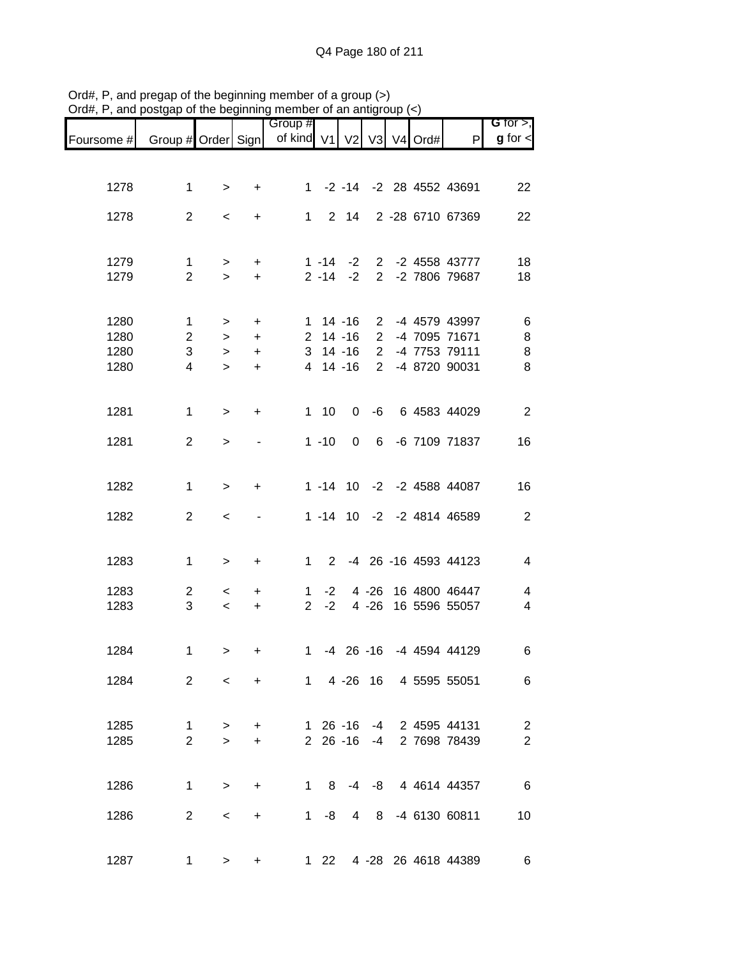| of kind V1<br>$g$ for $\lt$<br>Group # Order Sign<br>V <sub>2</sub><br>$V3$ V <sub>4</sub> Ord#<br>P<br>Foursome #<br>1278<br>$\mathbf 1$<br>-2 -14 -2 28 4552 43691<br>$1 \quad$<br>22<br>$\, > \,$<br>$\ddot{}$<br>$\overline{2}$<br>$2 \quad 14$<br>2 -28 6710 67369<br>1278<br>$\mathbf 1$<br>22<br>$\,<$<br>$+$<br>2 -2 4558 43777<br>1279<br>$\mathbf 1$<br>$1 - 14$<br>$-2$<br>18<br>$\ddot{}$<br>><br>$\overline{2}$<br>1279<br>$2 - 14$<br>$-2$<br>2 -2 7806 79687<br>18<br>$+$<br>$\geq$<br>1280<br>$1 14 - 16$<br>2 -4 4579 43997<br>6<br>1<br>$\ddot{}$<br>$\,>$<br>$\bf 8$<br>1280<br>$\mathbf{2}$<br>$\overline{2}$<br>$2$ 14 -16<br>-4 7095 71671<br>$\, > \,$<br>$\ddot{}$<br>$\mathbf{3}$<br>$\overline{2}$<br>$\bf 8$<br>1280<br>3<br>$14 - 16$<br>-4 7753 79111<br>$\geq$<br>$\ddot{}$<br>$\overline{2}$<br>8<br>1280<br>4 14 -16<br>-4 8720 90031<br>4<br>$\geq$<br>+<br>1281<br>$\mathbf 1$<br>1 10<br>$\overline{2}$<br>$\mathbf 0$<br>-6<br>6 4583 44029<br>$\, > \,$<br>$\ddot{}$<br>1281<br>$\overline{2}$<br>$1 - 10$<br>0<br>$6\overline{6}$<br>-6 7109 71837<br>16<br>$\, > \,$<br>1282<br>$\mathbf{1}$<br>1 -14 10 -2 -2 4588 44087<br>16<br>$\geq$<br>$\ddot{}$<br>$\sqrt{2}$<br>1282<br>$\overline{2}$<br>1 -14 10 -2 -2 4814 46589<br>$\,<$<br>1283<br>-4 26 -16 4593 44123<br>$\overline{\mathcal{A}}$<br>$\mathbf 1$<br>$1 \quad$<br>$2^{\circ}$<br>$\, > \,$<br>$\ddot{}$<br>$4 - 26$<br>16 4800 46447<br>1283<br>$\overline{2}$<br>4<br>$-2$<br>$\mathbf 1$<br>$\,<\,$<br>$\ddot{}$<br>3<br>1283<br>$\overline{2}$<br>$-2$<br>$4 - 26$<br>16 5596 55057<br>$\overline{\mathbf{4}}$<br>$\,<\,$<br>$\ddot{}$<br>1284<br>-4 26 -16 -4 4594 44129<br>1<br>6<br>1<br>$\ddot{}$<br>><br>$\overline{2}$<br>1 4 -26 16 4 5595 55051<br>1284<br>6<br>$\prec$<br>$+$<br>$\sqrt{2}$<br>1285<br>$\mathbf{1}$<br>$1\,26 - 16$<br>-4 2 4595 44131<br>$+$<br>$\, > \,$<br>$\overline{2}$<br>$\overline{2}$<br>$2\ 26\ -16$<br>1285<br>2 7698 78439<br>$-4$<br>$\geq$<br>$\ddot{}$<br>-4 -8 4 4614 44357<br>$\,6$<br>1286<br>$\mathbf{1}$<br>1 8<br>$\, > \,$<br>$\ddot{}$<br>$\overline{2}$<br>-4 6130 60811<br>1286<br>$1 - 8$<br>8 <sup>8</sup><br>10<br>4<br>$\,<\,$<br>$+$ | G for $>$ , |  |  |  | Group # |   |   |   |      |
|-----------------------------------------------------------------------------------------------------------------------------------------------------------------------------------------------------------------------------------------------------------------------------------------------------------------------------------------------------------------------------------------------------------------------------------------------------------------------------------------------------------------------------------------------------------------------------------------------------------------------------------------------------------------------------------------------------------------------------------------------------------------------------------------------------------------------------------------------------------------------------------------------------------------------------------------------------------------------------------------------------------------------------------------------------------------------------------------------------------------------------------------------------------------------------------------------------------------------------------------------------------------------------------------------------------------------------------------------------------------------------------------------------------------------------------------------------------------------------------------------------------------------------------------------------------------------------------------------------------------------------------------------------------------------------------------------------------------------------------------------------------------------------------------------------------------------------------------------------------------------------------------------------------------------------------------------------------------------------------------------------------------------------------------------------------------------------------------------------------------------------------------------------------------------------------------------------|-------------|--|--|--|---------|---|---|---|------|
|                                                                                                                                                                                                                                                                                                                                                                                                                                                                                                                                                                                                                                                                                                                                                                                                                                                                                                                                                                                                                                                                                                                                                                                                                                                                                                                                                                                                                                                                                                                                                                                                                                                                                                                                                                                                                                                                                                                                                                                                                                                                                                                                                                                                     |             |  |  |  |         |   |   |   |      |
|                                                                                                                                                                                                                                                                                                                                                                                                                                                                                                                                                                                                                                                                                                                                                                                                                                                                                                                                                                                                                                                                                                                                                                                                                                                                                                                                                                                                                                                                                                                                                                                                                                                                                                                                                                                                                                                                                                                                                                                                                                                                                                                                                                                                     |             |  |  |  |         |   |   |   |      |
|                                                                                                                                                                                                                                                                                                                                                                                                                                                                                                                                                                                                                                                                                                                                                                                                                                                                                                                                                                                                                                                                                                                                                                                                                                                                                                                                                                                                                                                                                                                                                                                                                                                                                                                                                                                                                                                                                                                                                                                                                                                                                                                                                                                                     |             |  |  |  |         |   |   |   |      |
|                                                                                                                                                                                                                                                                                                                                                                                                                                                                                                                                                                                                                                                                                                                                                                                                                                                                                                                                                                                                                                                                                                                                                                                                                                                                                                                                                                                                                                                                                                                                                                                                                                                                                                                                                                                                                                                                                                                                                                                                                                                                                                                                                                                                     |             |  |  |  |         |   |   |   |      |
|                                                                                                                                                                                                                                                                                                                                                                                                                                                                                                                                                                                                                                                                                                                                                                                                                                                                                                                                                                                                                                                                                                                                                                                                                                                                                                                                                                                                                                                                                                                                                                                                                                                                                                                                                                                                                                                                                                                                                                                                                                                                                                                                                                                                     |             |  |  |  |         |   |   |   |      |
|                                                                                                                                                                                                                                                                                                                                                                                                                                                                                                                                                                                                                                                                                                                                                                                                                                                                                                                                                                                                                                                                                                                                                                                                                                                                                                                                                                                                                                                                                                                                                                                                                                                                                                                                                                                                                                                                                                                                                                                                                                                                                                                                                                                                     |             |  |  |  |         |   |   |   |      |
|                                                                                                                                                                                                                                                                                                                                                                                                                                                                                                                                                                                                                                                                                                                                                                                                                                                                                                                                                                                                                                                                                                                                                                                                                                                                                                                                                                                                                                                                                                                                                                                                                                                                                                                                                                                                                                                                                                                                                                                                                                                                                                                                                                                                     |             |  |  |  |         |   |   |   |      |
|                                                                                                                                                                                                                                                                                                                                                                                                                                                                                                                                                                                                                                                                                                                                                                                                                                                                                                                                                                                                                                                                                                                                                                                                                                                                                                                                                                                                                                                                                                                                                                                                                                                                                                                                                                                                                                                                                                                                                                                                                                                                                                                                                                                                     |             |  |  |  |         |   |   |   |      |
|                                                                                                                                                                                                                                                                                                                                                                                                                                                                                                                                                                                                                                                                                                                                                                                                                                                                                                                                                                                                                                                                                                                                                                                                                                                                                                                                                                                                                                                                                                                                                                                                                                                                                                                                                                                                                                                                                                                                                                                                                                                                                                                                                                                                     |             |  |  |  |         |   |   |   |      |
|                                                                                                                                                                                                                                                                                                                                                                                                                                                                                                                                                                                                                                                                                                                                                                                                                                                                                                                                                                                                                                                                                                                                                                                                                                                                                                                                                                                                                                                                                                                                                                                                                                                                                                                                                                                                                                                                                                                                                                                                                                                                                                                                                                                                     |             |  |  |  |         |   |   |   |      |
|                                                                                                                                                                                                                                                                                                                                                                                                                                                                                                                                                                                                                                                                                                                                                                                                                                                                                                                                                                                                                                                                                                                                                                                                                                                                                                                                                                                                                                                                                                                                                                                                                                                                                                                                                                                                                                                                                                                                                                                                                                                                                                                                                                                                     |             |  |  |  |         |   |   |   |      |
|                                                                                                                                                                                                                                                                                                                                                                                                                                                                                                                                                                                                                                                                                                                                                                                                                                                                                                                                                                                                                                                                                                                                                                                                                                                                                                                                                                                                                                                                                                                                                                                                                                                                                                                                                                                                                                                                                                                                                                                                                                                                                                                                                                                                     |             |  |  |  |         |   |   |   |      |
|                                                                                                                                                                                                                                                                                                                                                                                                                                                                                                                                                                                                                                                                                                                                                                                                                                                                                                                                                                                                                                                                                                                                                                                                                                                                                                                                                                                                                                                                                                                                                                                                                                                                                                                                                                                                                                                                                                                                                                                                                                                                                                                                                                                                     |             |  |  |  |         |   |   |   |      |
|                                                                                                                                                                                                                                                                                                                                                                                                                                                                                                                                                                                                                                                                                                                                                                                                                                                                                                                                                                                                                                                                                                                                                                                                                                                                                                                                                                                                                                                                                                                                                                                                                                                                                                                                                                                                                                                                                                                                                                                                                                                                                                                                                                                                     |             |  |  |  |         |   |   |   |      |
|                                                                                                                                                                                                                                                                                                                                                                                                                                                                                                                                                                                                                                                                                                                                                                                                                                                                                                                                                                                                                                                                                                                                                                                                                                                                                                                                                                                                                                                                                                                                                                                                                                                                                                                                                                                                                                                                                                                                                                                                                                                                                                                                                                                                     |             |  |  |  |         |   |   |   |      |
|                                                                                                                                                                                                                                                                                                                                                                                                                                                                                                                                                                                                                                                                                                                                                                                                                                                                                                                                                                                                                                                                                                                                                                                                                                                                                                                                                                                                                                                                                                                                                                                                                                                                                                                                                                                                                                                                                                                                                                                                                                                                                                                                                                                                     |             |  |  |  |         |   |   |   |      |
|                                                                                                                                                                                                                                                                                                                                                                                                                                                                                                                                                                                                                                                                                                                                                                                                                                                                                                                                                                                                                                                                                                                                                                                                                                                                                                                                                                                                                                                                                                                                                                                                                                                                                                                                                                                                                                                                                                                                                                                                                                                                                                                                                                                                     |             |  |  |  |         |   |   |   |      |
|                                                                                                                                                                                                                                                                                                                                                                                                                                                                                                                                                                                                                                                                                                                                                                                                                                                                                                                                                                                                                                                                                                                                                                                                                                                                                                                                                                                                                                                                                                                                                                                                                                                                                                                                                                                                                                                                                                                                                                                                                                                                                                                                                                                                     |             |  |  |  |         |   |   |   |      |
|                                                                                                                                                                                                                                                                                                                                                                                                                                                                                                                                                                                                                                                                                                                                                                                                                                                                                                                                                                                                                                                                                                                                                                                                                                                                                                                                                                                                                                                                                                                                                                                                                                                                                                                                                                                                                                                                                                                                                                                                                                                                                                                                                                                                     |             |  |  |  |         |   |   |   |      |
|                                                                                                                                                                                                                                                                                                                                                                                                                                                                                                                                                                                                                                                                                                                                                                                                                                                                                                                                                                                                                                                                                                                                                                                                                                                                                                                                                                                                                                                                                                                                                                                                                                                                                                                                                                                                                                                                                                                                                                                                                                                                                                                                                                                                     |             |  |  |  |         |   |   |   |      |
|                                                                                                                                                                                                                                                                                                                                                                                                                                                                                                                                                                                                                                                                                                                                                                                                                                                                                                                                                                                                                                                                                                                                                                                                                                                                                                                                                                                                                                                                                                                                                                                                                                                                                                                                                                                                                                                                                                                                                                                                                                                                                                                                                                                                     |             |  |  |  |         |   |   |   |      |
|                                                                                                                                                                                                                                                                                                                                                                                                                                                                                                                                                                                                                                                                                                                                                                                                                                                                                                                                                                                                                                                                                                                                                                                                                                                                                                                                                                                                                                                                                                                                                                                                                                                                                                                                                                                                                                                                                                                                                                                                                                                                                                                                                                                                     |             |  |  |  |         |   |   |   |      |
|                                                                                                                                                                                                                                                                                                                                                                                                                                                                                                                                                                                                                                                                                                                                                                                                                                                                                                                                                                                                                                                                                                                                                                                                                                                                                                                                                                                                                                                                                                                                                                                                                                                                                                                                                                                                                                                                                                                                                                                                                                                                                                                                                                                                     |             |  |  |  |         |   |   |   |      |
|                                                                                                                                                                                                                                                                                                                                                                                                                                                                                                                                                                                                                                                                                                                                                                                                                                                                                                                                                                                                                                                                                                                                                                                                                                                                                                                                                                                                                                                                                                                                                                                                                                                                                                                                                                                                                                                                                                                                                                                                                                                                                                                                                                                                     |             |  |  |  |         |   |   |   |      |
|                                                                                                                                                                                                                                                                                                                                                                                                                                                                                                                                                                                                                                                                                                                                                                                                                                                                                                                                                                                                                                                                                                                                                                                                                                                                                                                                                                                                                                                                                                                                                                                                                                                                                                                                                                                                                                                                                                                                                                                                                                                                                                                                                                                                     |             |  |  |  |         |   |   |   |      |
|                                                                                                                                                                                                                                                                                                                                                                                                                                                                                                                                                                                                                                                                                                                                                                                                                                                                                                                                                                                                                                                                                                                                                                                                                                                                                                                                                                                                                                                                                                                                                                                                                                                                                                                                                                                                                                                                                                                                                                                                                                                                                                                                                                                                     |             |  |  |  |         |   |   |   |      |
|                                                                                                                                                                                                                                                                                                                                                                                                                                                                                                                                                                                                                                                                                                                                                                                                                                                                                                                                                                                                                                                                                                                                                                                                                                                                                                                                                                                                                                                                                                                                                                                                                                                                                                                                                                                                                                                                                                                                                                                                                                                                                                                                                                                                     |             |  |  |  |         |   |   |   |      |
|                                                                                                                                                                                                                                                                                                                                                                                                                                                                                                                                                                                                                                                                                                                                                                                                                                                                                                                                                                                                                                                                                                                                                                                                                                                                                                                                                                                                                                                                                                                                                                                                                                                                                                                                                                                                                                                                                                                                                                                                                                                                                                                                                                                                     |             |  |  |  |         |   |   |   |      |
|                                                                                                                                                                                                                                                                                                                                                                                                                                                                                                                                                                                                                                                                                                                                                                                                                                                                                                                                                                                                                                                                                                                                                                                                                                                                                                                                                                                                                                                                                                                                                                                                                                                                                                                                                                                                                                                                                                                                                                                                                                                                                                                                                                                                     |             |  |  |  |         |   |   |   |      |
|                                                                                                                                                                                                                                                                                                                                                                                                                                                                                                                                                                                                                                                                                                                                                                                                                                                                                                                                                                                                                                                                                                                                                                                                                                                                                                                                                                                                                                                                                                                                                                                                                                                                                                                                                                                                                                                                                                                                                                                                                                                                                                                                                                                                     |             |  |  |  |         |   |   |   |      |
|                                                                                                                                                                                                                                                                                                                                                                                                                                                                                                                                                                                                                                                                                                                                                                                                                                                                                                                                                                                                                                                                                                                                                                                                                                                                                                                                                                                                                                                                                                                                                                                                                                                                                                                                                                                                                                                                                                                                                                                                                                                                                                                                                                                                     |             |  |  |  |         |   |   |   |      |
|                                                                                                                                                                                                                                                                                                                                                                                                                                                                                                                                                                                                                                                                                                                                                                                                                                                                                                                                                                                                                                                                                                                                                                                                                                                                                                                                                                                                                                                                                                                                                                                                                                                                                                                                                                                                                                                                                                                                                                                                                                                                                                                                                                                                     |             |  |  |  |         |   |   |   |      |
|                                                                                                                                                                                                                                                                                                                                                                                                                                                                                                                                                                                                                                                                                                                                                                                                                                                                                                                                                                                                                                                                                                                                                                                                                                                                                                                                                                                                                                                                                                                                                                                                                                                                                                                                                                                                                                                                                                                                                                                                                                                                                                                                                                                                     |             |  |  |  |         |   |   |   |      |
|                                                                                                                                                                                                                                                                                                                                                                                                                                                                                                                                                                                                                                                                                                                                                                                                                                                                                                                                                                                                                                                                                                                                                                                                                                                                                                                                                                                                                                                                                                                                                                                                                                                                                                                                                                                                                                                                                                                                                                                                                                                                                                                                                                                                     |             |  |  |  |         |   |   |   |      |
|                                                                                                                                                                                                                                                                                                                                                                                                                                                                                                                                                                                                                                                                                                                                                                                                                                                                                                                                                                                                                                                                                                                                                                                                                                                                                                                                                                                                                                                                                                                                                                                                                                                                                                                                                                                                                                                                                                                                                                                                                                                                                                                                                                                                     |             |  |  |  |         |   |   |   |      |
|                                                                                                                                                                                                                                                                                                                                                                                                                                                                                                                                                                                                                                                                                                                                                                                                                                                                                                                                                                                                                                                                                                                                                                                                                                                                                                                                                                                                                                                                                                                                                                                                                                                                                                                                                                                                                                                                                                                                                                                                                                                                                                                                                                                                     |             |  |  |  |         |   |   |   |      |
|                                                                                                                                                                                                                                                                                                                                                                                                                                                                                                                                                                                                                                                                                                                                                                                                                                                                                                                                                                                                                                                                                                                                                                                                                                                                                                                                                                                                                                                                                                                                                                                                                                                                                                                                                                                                                                                                                                                                                                                                                                                                                                                                                                                                     |             |  |  |  |         |   |   |   |      |
|                                                                                                                                                                                                                                                                                                                                                                                                                                                                                                                                                                                                                                                                                                                                                                                                                                                                                                                                                                                                                                                                                                                                                                                                                                                                                                                                                                                                                                                                                                                                                                                                                                                                                                                                                                                                                                                                                                                                                                                                                                                                                                                                                                                                     |             |  |  |  |         |   |   |   |      |
| 1 22 4 -28 26 4618 44389                                                                                                                                                                                                                                                                                                                                                                                                                                                                                                                                                                                                                                                                                                                                                                                                                                                                                                                                                                                                                                                                                                                                                                                                                                                                                                                                                                                                                                                                                                                                                                                                                                                                                                                                                                                                                                                                                                                                                                                                                                                                                                                                                                            | 6           |  |  |  |         | + | > | 1 | 1287 |

Ord#, P, and pregap of the beginning member of a group (>) Ord#, P, and postgap of the beginning member of an antigroup (<)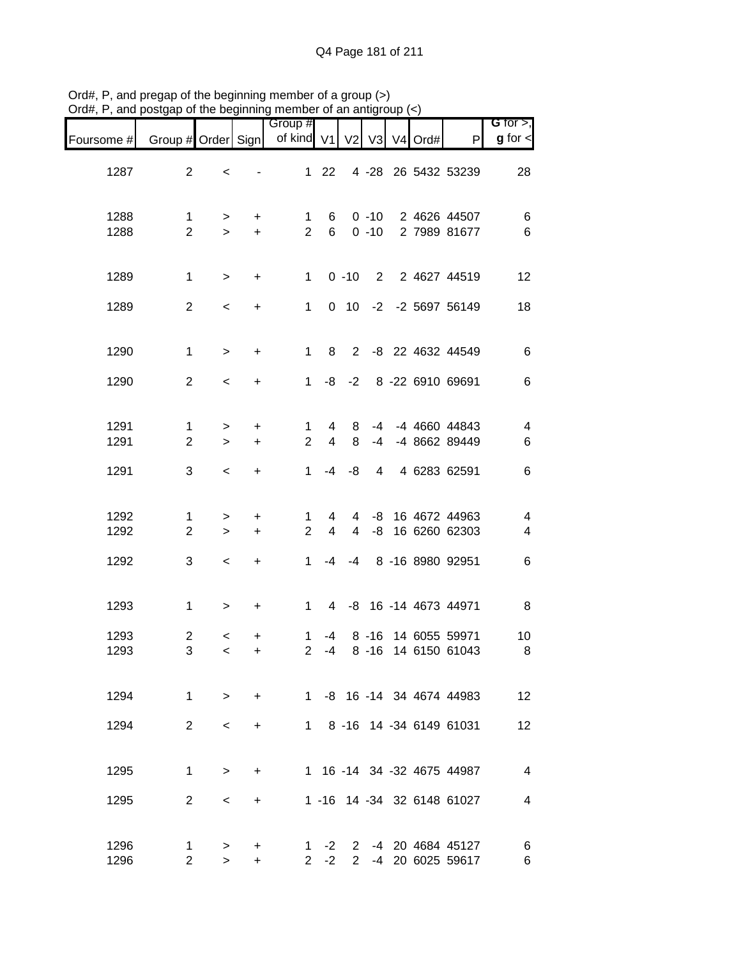| G for $>$ ,                                         |                                        |            |                      |                     |                                  | Group #                       |                        |                     |                                |                               |
|-----------------------------------------------------|----------------------------------------|------------|----------------------|---------------------|----------------------------------|-------------------------------|------------------------|---------------------|--------------------------------|-------------------------------|
| $g$ for $\lt$                                       | P                                      | V3 V4 Ord# |                      |                     |                                  | of kind V1 V2                 |                        |                     |                                | Foursome # Group # Order Sign |
| 28                                                  | 4 -28 26 5432 53239                    |            |                      |                     | 22                               | $\mathbf 1$                   |                        | $\,<$               | $\overline{2}$                 | 1287                          |
| $\,6$<br>$\,6$                                      | 2 4626 44507<br>2 7989 81677           |            | $0 - 10$<br>$0 - 10$ |                     | 6<br>$6^{\circ}$                 | 1<br>$\overline{2}$           | +<br>$\ddot{}$         | $\, > \,$<br>$\geq$ | $\mathbf 1$<br>$\overline{2}$  | 1288<br>1288                  |
| 12                                                  | 2 2 4627 44519                         |            |                      | $0 - 10$            |                                  | 1                             | $\ddot{}$              | $\,>$               | $\mathbf 1$                    | 1289                          |
| 18                                                  | 0 10 -2 -2 5697 56149                  |            |                      |                     |                                  | $\mathbf{1}$                  | $\ddot{}$              | $\,<$               | $\overline{2}$                 | 1289                          |
| $\,6$                                               | 2 -8 22 4632 44549                     |            |                      |                     | 8                                | $\mathbf{1}$                  | $\ddot{}$              | $\mathbf{L}$        | $\mathbf{1}$                   | 1290                          |
| $\,6$                                               | 8 -22 6910 69691                       |            |                      | $-8$ $-2$           |                                  | 1                             | $\ddot{}$              | $\,<$               | $\overline{2}$                 | 1290                          |
| $\overline{\mathbf{4}}$<br>6                        | -4 4660 44843<br>-4 8662 89449         |            | $-4$<br>$-4$         | 8<br>8              | $\overline{4}$<br>$\overline{4}$ | $\mathbf 1$<br>$\overline{2}$ | $\ddot{}$<br>$\ddot{}$ | $\,$<br>$\geq$      | $\mathbf{1}$<br>$\overline{2}$ | 1291<br>1291                  |
| $\,6$                                               | 4 6283 62591                           |            | 4                    | -8                  | $-4$                             | $\mathbf{1}$                  | $\ddot{}$              | $\prec$             | 3                              | 1291                          |
| $\overline{\mathcal{A}}$<br>$\overline{\mathbf{4}}$ | 16 4672 44963<br>16 6260 62303         |            | -8<br>-8             | 4<br>$\overline{4}$ | 4<br>4                           | 1<br>$\overline{2}$           | $\ddot{}$<br>$\ddot{}$ | $\,>$<br>$\geq$     | 1<br>$\overline{2}$            | 1292<br>1292                  |
| $\,6$                                               | 8 -16 8980 92951                       |            |                      | $-4$                | -4                               | $\mathbf{1}$                  | $\ddot{}$              | $\,<$               | 3                              | 1292                          |
| 8                                                   | 4 -8 16 -14 4673 44971                 |            |                      |                     |                                  | $1 \quad$                     | $\ddot{}$              | $\,$                | $\mathbf 1$                    | 1293                          |
| 10<br>8                                             | 14 6055 59971<br>14 6150 61043         |            | $8 - 16$<br>$8 - 16$ |                     | -4<br>-4                         | 1<br>$\overline{2}$           | +<br>+                 | $\,<$<br>$\,<\,$    | $\overline{c}$<br>3            | 1293<br>1293                  |
| 12                                                  | 1 -8 16 -14 34 4674 44983              |            |                      |                     |                                  |                               | $+$                    | $\geq$              | $\mathbf{1}$                   | 1294                          |
| 12                                                  | 1 8 -16 14 -34 6149 61031              |            |                      |                     |                                  |                               | +                      | $\prec$             | 2                              | 1294                          |
| 4                                                   | 1 16 -14 34 -32 4675 44987             |            |                      |                     |                                  |                               | $\ddot{}$              | $\geq$              | 1                              | 1295                          |
| 4                                                   | 1 -16 14 -34 32 6148 61027             |            |                      |                     |                                  |                               | $\ddot{}$              | $\,<\,$             | 2                              | 1295                          |
| 6<br>6                                              | -4 20 4684 45127<br>2 -4 20 6025 59617 |            |                      | $\mathbf{2}$        | $-2$<br>$-2$                     | 1<br>$\mathbf{2}$             | +<br>+                 | $\, > \,$<br>$\geq$ | 1<br>$\overline{2}$            | 1296<br>1296                  |

Ord#, P, and pregap of the beginning member of a group (>) Ord#, P, and postgap of the beginning member of an antigroup (<)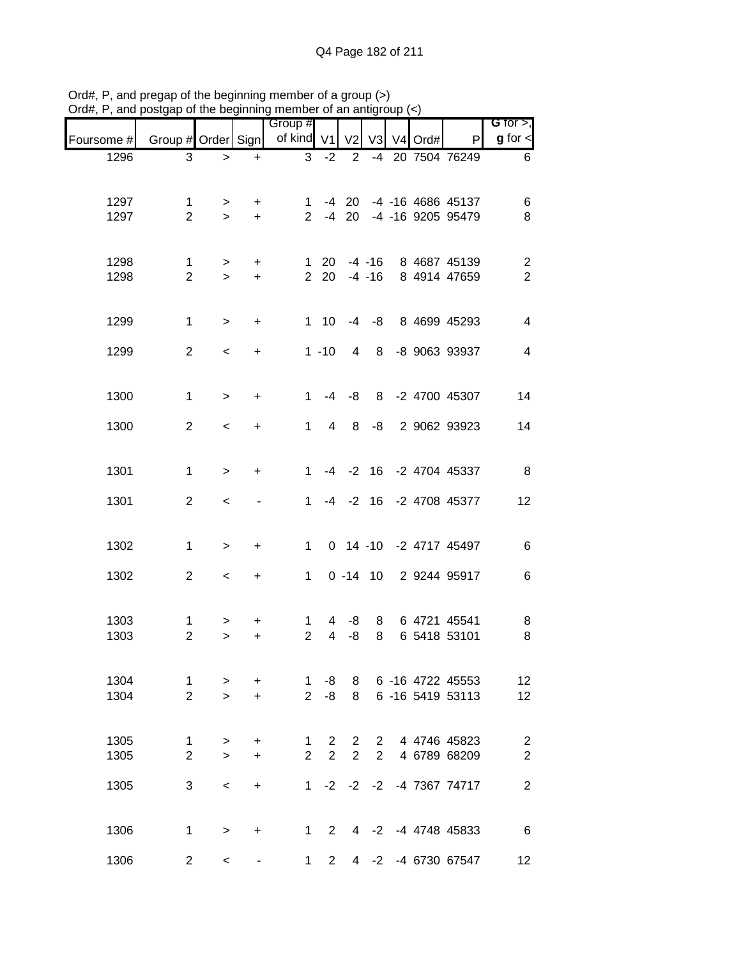| $71$ u $\pi,1$ | , and posigap or the beginning member or an antigroup $(\leq)$ |                     |                        |                             |                     |                                  |                |                     |                                                      |                                           |
|----------------|----------------------------------------------------------------|---------------------|------------------------|-----------------------------|---------------------|----------------------------------|----------------|---------------------|------------------------------------------------------|-------------------------------------------|
| Foursome #     | Group # Order Sign                                             |                     |                        | Group #<br>of kind $V1$     |                     | V <sub>2</sub>                   | V3             | V <sub>4</sub> Ord# | P                                                    | G for $>$ ,<br>$g$ for $\lt$              |
| 1296           | $\mathbf{3}$                                                   | $\geq$              | $\ddot{}$              | 3                           | $-2$                | $\overline{2}$                   | $-4$           |                     | 20 7504 76249                                        | 6                                         |
| 1297<br>1297   | 1<br>$\overline{2}$                                            | $\,$<br>$\geq$      | +<br>$\ddot{}$         | 1                           |                     |                                  |                |                     | -4 20 -4 -16 4686 45137<br>2 -4 20 -4 -16 9205 95479 | 6<br>8                                    |
| 1298<br>1298   | $\mathbf{1}$<br>$\overline{2}$                                 | $\,$<br>$\geq$      | $\ddot{}$<br>$\ddot{}$ |                             | $1 \quad 20$        | $2, 20, -4, -16$                 | $-4 - 16$      |                     | 8 4687 45139<br>8 4914 47659                         | $\overline{\mathbf{c}}$<br>$\overline{2}$ |
| 1299           | $\mathbf 1$                                                    | $\geq$              | $\ddot{}$              |                             | $1 \quad 10$        |                                  |                |                     | -4 -8 8 4699 45293                                   | $\overline{\mathbf{4}}$                   |
| 1299           | 2                                                              | $\,<$               | $\ddot{}$              |                             | $1 - 10$            | 4                                | 8              |                     | -8 9063 93937                                        | $\overline{\mathbf{4}}$                   |
| 1300           | 1                                                              | $\mathbf{L}$        | $\ddot{}$              | $\mathbf{1}$                |                     | $-4 - 8$                         | 8              |                     | -2 4700 45307                                        | 14                                        |
| 1300           | $\overline{2}$                                                 | $\prec$             | $\ddot{}$              | 1                           | $\overline{4}$      | 8                                | -8             |                     | 2 9062 93923                                         | 14                                        |
| 1301           | $\mathbf 1$                                                    | $\geq$              | $\ddot{}$              | 1                           |                     |                                  |                |                     | -4 -2 16 -2 4704 45337                               | 8                                         |
| 1301           | $\overline{2}$                                                 | $\,<$               |                        | $\mathbf{1}$                |                     |                                  |                |                     | -4 -2 16 -2 4708 45377                               | 12                                        |
| 1302           | $\mathbf 1$                                                    | $\geq$              | $\ddot{}$              | $\mathbf{1}$                |                     |                                  |                |                     | 0 14 -10 -2 4717 45497                               | $\,6$                                     |
| 1302           | 2                                                              | $\,<$               | $\ddot{}$              | 1                           |                     |                                  |                |                     | 0 -14 10 2 9244 95917                                | 6                                         |
| 1303<br>1303   | 1<br>$\overline{2}$                                            | ><br>$\, >$         | +<br>+                 | 1<br>$\overline{2}$         | 4<br>$\overline{4}$ | -8<br>-8                         | 8<br>8         |                     | 6 4721 45541<br>6 5418 53101                         | 8<br>8                                    |
| 1304<br>1304   | $\mathbf{1}$<br>$\overline{2}$                                 | $\, > \,$<br>$\geq$ | $\ddot{}$<br>$\ddot{}$ | $\mathbf{1}$<br>$2^{\circ}$ | -8<br>-8            | 8<br>8                           |                |                     | 6 -16 4722 45553<br>6 -16 5419 53113                 | 12<br>12                                  |
| 1305<br>1305   | $\mathbf{1}$<br>$\overline{2}$                                 | $\, >$<br>$\geq$    | +<br>$\ddot{}$         | 1<br>$\overline{2}$         | $\mathbf{2}$<br>2   | $\overline{2}$<br>$\overline{2}$ | $\overline{2}$ |                     | 2 4 4746 45823<br>4 6789 68209                       | $\overline{c}$<br>$\overline{2}$          |
| 1305           | 3                                                              | $\,<$               | $\ddot{}$              |                             |                     |                                  |                |                     | 1 -2 -2 -2 -4 7367 74717                             | $\overline{2}$                            |
| 1306           | $\mathbf 1$                                                    | $\, >$              | $\ddot{}$              | $1 \quad$                   | $2^{\circ}$         |                                  |                |                     | 4 -2 -4 4748 45833                                   | 6                                         |
| 1306           | $\overline{2}$                                                 | $\,<$               |                        | $\mathbf{1}$                | $2^{\circ}$         |                                  |                |                     | 4 -2 -4 6730 67547                                   | 12                                        |

Ord#, P, and pregap of the beginning member of a group (>) Ord#, P, and postgap of the beginning member of an antigroup (<)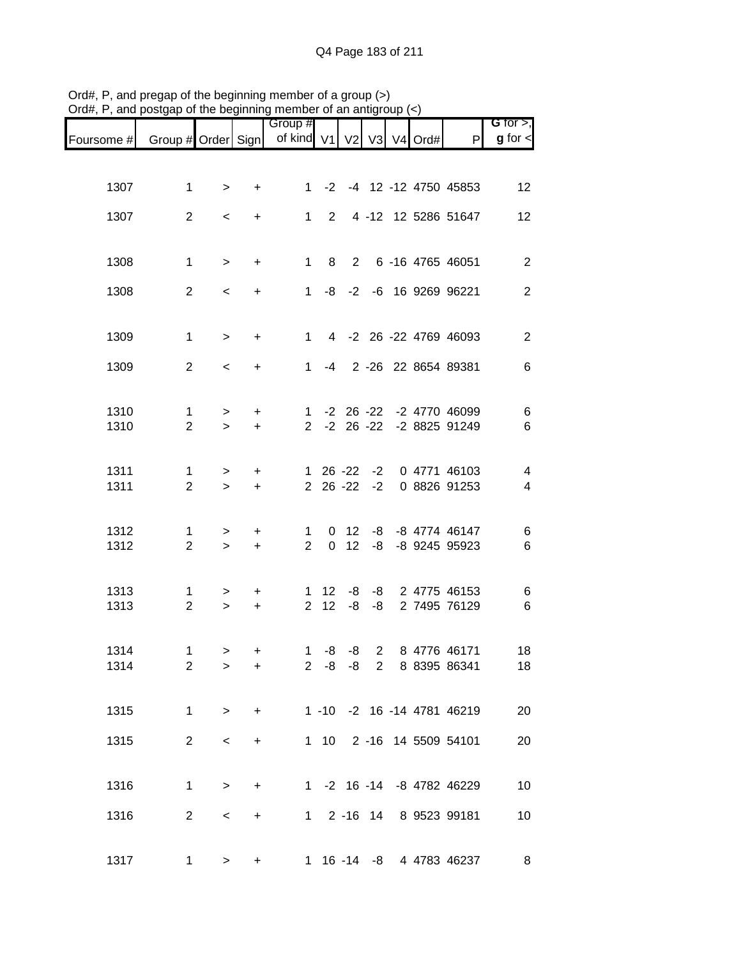|                                                                |                     |                          |                  | Group #                       |              |                           |      |  |                                   | G for $>$ ,    |
|----------------------------------------------------------------|---------------------|--------------------------|------------------|-------------------------------|--------------|---------------------------|------|--|-----------------------------------|----------------|
| Foursome # Group # Order Sign   of kind V1   V2   V3   V4 Ord# |                     |                          |                  |                               |              |                           |      |  | $\mathsf{P}$                      | $g$ for $\lt$  |
|                                                                |                     |                          |                  |                               |              |                           |      |  |                                   |                |
| 1307                                                           | $\mathbf{1}$        | $\, > \,$                | $\ddot{}$        | $1 \quad$                     |              |                           |      |  | -2 -4 12 -12 4750 45853           | 12             |
| 1307                                                           | 2                   | $\overline{\phantom{0}}$ | +                | $1 \quad$                     | $2^{\circ}$  |                           |      |  | 4 -12 12 5286 51647               | 12             |
|                                                                |                     |                          |                  |                               |              |                           |      |  |                                   |                |
| 1308                                                           | $\mathbf 1$         | $\geq$                   | $\ddot{}$        | $1 \quad$                     |              |                           |      |  | 8 2 6 -16 4765 46051              | $\overline{2}$ |
| 1308                                                           | $\overline{2}$      | $\,<$                    | $+$              |                               |              |                           |      |  | 1 -8 -2 -6 16 9269 96221          | $\overline{2}$ |
|                                                                |                     |                          |                  |                               |              |                           |      |  |                                   |                |
| 1309                                                           | $\mathbf{1}$        | $\,$                     | $+$              | $1 \quad$                     |              |                           |      |  | 4 -2 26 -22 4769 46093            | $\mathbf{2}$   |
| 1309                                                           | $\overline{2}$      | $\,<$                    | $\ddot{}$        |                               |              |                           |      |  | 1 -4 2 -26 22 8654 89381          | 6              |
|                                                                |                     |                          |                  |                               |              |                           |      |  |                                   |                |
| 1310                                                           | $\mathbf{1}$        | $\,$                     | $+$              |                               |              |                           |      |  | 1 -2 26 -22 -2 4770 46099         | 6              |
| 1310                                                           | $\overline{2}$      | $\geq$                   | $+$              |                               |              |                           |      |  | 2 -2 26 -22 -2 8825 91249         | $\,6$          |
| 1311                                                           | $\mathbf{1}$        | $\, >$                   | $\ddot{}$        |                               |              |                           |      |  | 1 26 -22 -2 0 4771 46103          | $\overline{4}$ |
| 1311                                                           | $\overline{2}$      | $\geq$                   | $+$              |                               |              | $2\ 26\ -22$              | $-2$ |  | 0 8826 91253                      | $\overline{4}$ |
|                                                                |                     |                          |                  |                               |              |                           |      |  |                                   |                |
| 1312<br>1312                                                   | 1<br>$\overline{2}$ | $\,$<br>$\geq$           | $\ddot{}$<br>$+$ | $\mathbf 1$<br>$\overline{2}$ |              | 0 <sub>12</sub><br>$0$ 12 | -8   |  | -8 -8 4774 46147<br>-8 9245 95923 | 6<br>$\,6$     |
|                                                                |                     |                          |                  |                               |              |                           |      |  |                                   |                |
| 1313                                                           | 1                   | $\geq$                   | $\ddot{}$        |                               | $1 \quad 12$ | -8                        |      |  | -8 2 4775 46153                   | 6              |
| 1313                                                           | $\overline{2}$      | $\,>$                    | $+$              | $\overline{2}$                | 12           | -8                        | -8   |  | 2 7495 76129                      | $\,6$          |
| 1314                                                           | $\mathbf 1$         | $\geq$                   | $\ddot{}$        | 1                             |              | $-8 - 8$                  |      |  | 2 8 4776 46171                    | 18             |
| 1314                                                           | 2                   | $\geq$                   | +                |                               |              |                           |      |  | 2 -8 -8 2 8 8395 86341            | 18             |
|                                                                |                     |                          |                  |                               |              |                           |      |  |                                   |                |
| 1315                                                           | $\mathbf{1}$        | $\,>$                    | $+$              |                               |              |                           |      |  | 1 -10 -2 16 -14 4781 46219        | 20             |
| 1315                                                           | $\overline{2}$      | $\,<$                    | $\ddot{}$        |                               |              |                           |      |  | 1 10 2 -16 14 5509 54101          | 20             |
|                                                                |                     |                          |                  |                               |              |                           |      |  |                                   |                |
| 1316                                                           | $\mathbf 1$         | $\geq$                   | $\ddot{}$        |                               |              |                           |      |  | 1 -2 16 -14 -8 4782 46229         | 10             |
| 1316                                                           | $\overline{2}$      | $\,<$                    | $\ddot{}$        |                               |              |                           |      |  | 1 2 -16 14 8 9523 99181           | 10             |
|                                                                |                     |                          |                  |                               |              |                           |      |  |                                   |                |
| 1317                                                           | 1                   | $\,>$                    | +                |                               |              |                           |      |  | 1 16 -14 -8 4 4783 46237          | 8 <sup>8</sup> |

Ord#, P, and pregap of the beginning member of a group (>) Ord#, P, and postgap of the beginning member of an antigroup (<)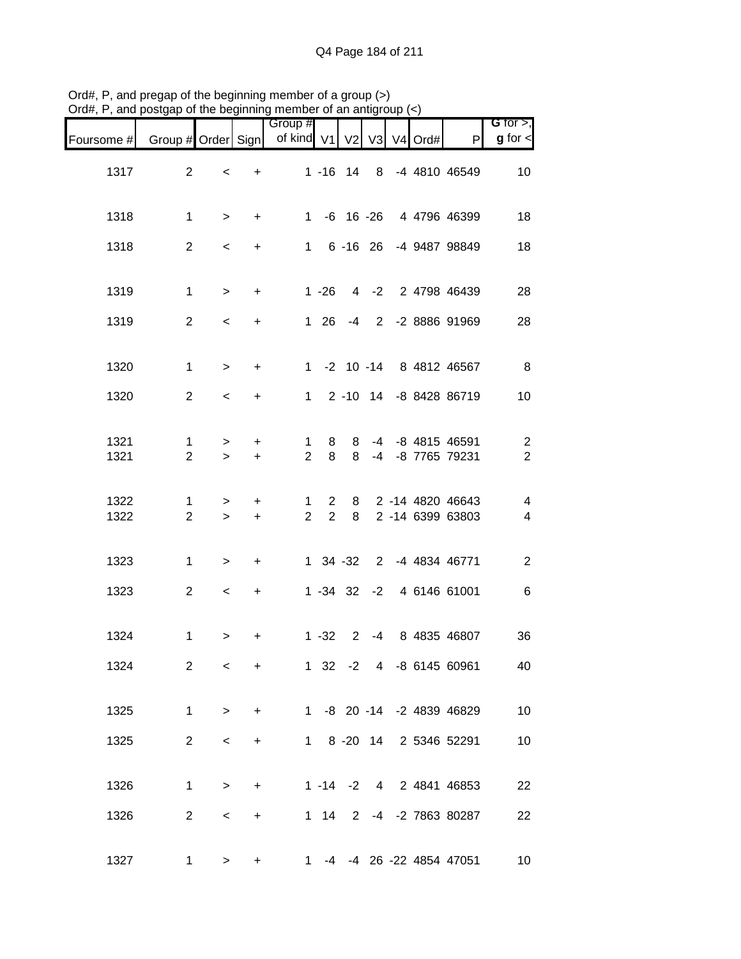|                               |                     |                          | .                | Group #                          |                     |               |  |                                        | G for $>$ ,                                        |
|-------------------------------|---------------------|--------------------------|------------------|----------------------------------|---------------------|---------------|--|----------------------------------------|----------------------------------------------------|
| Foursome # Group # Order Sign |                     |                          |                  | of kind $V1$ $V2$ $V3$ $V4$ Ord# |                     |               |  | P                                      | $g$ for $\lt$                                      |
| 1317                          | $\overline{2}$      | $\,<$                    | $\ddot{}$        |                                  |                     |               |  | 1 -16 14 8 -4 4810 46549               | 10                                                 |
| 1318                          | $\mathbf 1$         | $\geq$                   | $+$              |                                  |                     |               |  | 1 -6 16 -26 4 4796 46399               | 18                                                 |
| 1318                          | $\overline{2}$      | $\,<$                    | $+$              |                                  |                     |               |  | 1 6 -16 26 -4 9487 98849               | 18                                                 |
| 1319                          | $\mathbf 1$         | $\mathbf{I}$             | $+$              |                                  |                     |               |  | 1 -26 4 -2 2 4798 46439                | 28                                                 |
| 1319                          | $\overline{2}$      | $\prec$                  | $+$              |                                  |                     |               |  | 1 26 -4 2 -2 8886 91969                | 28                                                 |
| 1320                          | $\mathbf{1}$        | $\,>$                    | $+$              |                                  |                     |               |  | 1 -2 10 -14 8 4812 46567               | 8                                                  |
| 1320                          | 2                   | $\,<$                    | $+$              |                                  |                     |               |  | 1 2 -10 14 -8 8428 86719               | 10                                                 |
| 1321<br>1321                  | 1<br>$\overline{2}$ | $\geq$<br>$\geq$         | $\ddot{}$<br>$+$ | $\mathbf 1$<br>$\overline{2}$    | 8<br>8              | 8<br>8        |  | -4 -8 4815 46591<br>-4 -8 7765 79231   | $\overline{c}$<br>$\overline{c}$                   |
| 1322<br>1322                  | 1<br>$\overline{2}$ | $\,>$<br>$\geq$          | $\ddot{}$<br>$+$ | 1.<br>$\overline{2}$             | 2<br>$\overline{2}$ | 8             |  | 8 2 -14 4820 46643<br>2 -14 6399 63803 | $\overline{\mathbf{4}}$<br>$\overline{\mathbf{4}}$ |
| 1323                          | $\mathbf 1$         | $\,$                     | $+$              |                                  |                     |               |  | 1 34 -32 2 -4 4834 46771               | $\sqrt{2}$                                         |
| 1323                          | $\overline{2}$      | $\overline{\phantom{a}}$ | $+$              |                                  |                     |               |  | 1 -34 32 -2 4 6146 61001               | $\,6$                                              |
| 1324                          | $\mathbf 1$         | $\, > \,$                | +                |                                  |                     | $1 - 32$ 2    |  | -4 8 4835 46807                        | 36                                                 |
| 1324                          | $\overline{2}$      | $\,<\,$                  | +                |                                  |                     | $1 \t32 \t-2$ |  | 4 -8 6145 60961                        | 40                                                 |
| 1325                          | $\mathbf 1$         | $\, >$                   | $\ddot{}$        |                                  |                     |               |  | 1 -8 20 -14 -2 4839 46829              | 10                                                 |
| 1325                          | $\overline{2}$      | $\,<$                    | $+$              |                                  |                     |               |  | 1 8 -20 14 2 5346 52291                | 10                                                 |
| 1326                          | $\mathbf 1$         | $\geq$                   | $\ddot{}$        |                                  |                     |               |  | 1 -14 -2 4 2 4841 46853                | 22                                                 |
| 1326                          | $\overline{2}$      | $\,<$                    | $\ddot{}$        |                                  | $1 \quad 14$        |               |  | 2 -4 -2 7863 80287                     | 22                                                 |
| 1327                          | 1                   | $\,>$                    | $\ddot{}$        | $1 \quad$                        |                     |               |  | -4 -4 26 -22 4854 47051                | 10                                                 |

Ord#, P, and pregap of the beginning member of a group (>) Ord#, P, and postgap of the beginning member of an antigroup (<)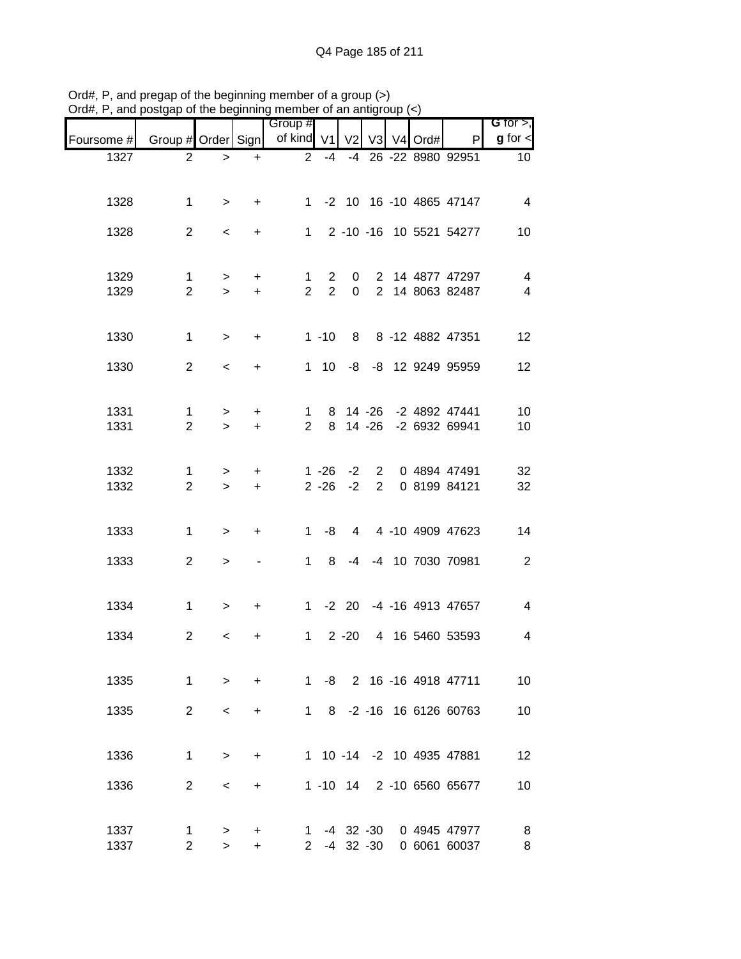| $71$ u $\pi,1$ | , and posigap or the beginning member or an antigroup $(\leq)$ |                    |                  |                       |                                  |                                |             |      |                                    |                                            |
|----------------|----------------------------------------------------------------|--------------------|------------------|-----------------------|----------------------------------|--------------------------------|-------------|------|------------------------------------|--------------------------------------------|
| Foursome #     | Group # Order Sign                                             |                    |                  | Group #<br>of kind V1 |                                  | V <sub>2</sub>                 | V3 V4       | Ord# | P                                  | $G$ for $>$ ,<br>$g$ for $\leq$            |
| 1327           | $\overline{2}$                                                 | $\, > \,$          | $\ddot{}$        | $\overline{2}$        | $-4$                             |                                |             |      | -4 26 -22 8980 92951               | 10 <sup>°</sup>                            |
|                |                                                                |                    |                  |                       |                                  |                                |             |      |                                    |                                            |
| 1328           | $\mathbf 1$                                                    | $\geq$             | $\ddot{}$        |                       |                                  |                                |             |      | 1 -2 10 16 -10 4865 47147          | 4                                          |
| 1328           | $\overline{2}$                                                 | $\,<$              | $\ddot{}$        |                       |                                  |                                |             |      | 1 2 -10 -16 10 5521 54277          | 10                                         |
|                |                                                                |                    |                  |                       |                                  |                                |             |      |                                    |                                            |
| 1329<br>1329   | $\mathbf{1}$<br>$\overline{2}$                                 | $\,$<br>$\geq$     | $+$<br>$\ddot{}$ | 1<br>$\overline{2}$   | $\overline{2}$<br>$\overline{2}$ | $\mathsf{O}$<br>$\mathbf{0}$   |             |      | 2 14 4877 47297<br>2 14 8063 82487 | $\overline{4}$<br>$\overline{\mathcal{A}}$ |
|                |                                                                |                    |                  |                       |                                  |                                |             |      |                                    |                                            |
| 1330           | $\mathbf{1}$                                                   | $\geq$             | $\ddot{}$        |                       | $1 - 10$                         |                                |             |      | 8 8 -12 4882 47351                 | 12                                         |
|                | $\overline{2}$                                                 |                    |                  |                       |                                  |                                |             |      |                                    |                                            |
| 1330           |                                                                | $\prec$            | $\ddot{}$        |                       | $1 \quad 10$                     |                                |             |      | -8 -8 12 9249 95959                | 12                                         |
| 1331           | 1                                                              | $\,>$              | $\ddot{}$        | 1                     |                                  |                                |             |      | 8 14 -26 -2 4892 47441             | 10                                         |
| 1331           | $\overline{2}$                                                 | $\geq$             | $\ddot{}$        | $\overline{2}$        | 8                                |                                | $14 - 26$   |      | -2 6932 69941                      | 10                                         |
|                |                                                                |                    |                  |                       |                                  |                                |             |      |                                    |                                            |
| 1332<br>1332   | 1<br>$\overline{2}$                                            | $\, > \,$<br>$\,>$ | +<br>$\ddot{}$   |                       | $1 - 26$<br>$2 - 26$             | $-2$<br>$-2$                   | $2^{\circ}$ |      | 2 0 4894 47491<br>0 8199 84121     | 32<br>32                                   |
|                |                                                                |                    |                  |                       |                                  |                                |             |      |                                    |                                            |
| 1333           | 1                                                              | $\geq$             | $\ddot{}$        | $1 \quad$             | -8                               |                                |             |      | 4 4 -10 4909 47623                 | 14                                         |
| 1333           | $\overline{2}$                                                 |                    |                  | $1 \quad$             | 8                                |                                |             |      | -4 -4 10 7030 70981                | $\sqrt{2}$                                 |
|                |                                                                | $\, > \,$          |                  |                       |                                  |                                |             |      |                                    |                                            |
| 1334           | $\mathbf 1$                                                    | $\,>$              | $\ddot{}$        |                       |                                  |                                |             |      | 1 -2 20 -4 -16 4913 47657          | $\overline{\mathcal{A}}$                   |
|                |                                                                |                    |                  |                       |                                  |                                |             |      |                                    |                                            |
| 1334           | $\overline{2}$                                                 | $\,<\,$            | +                | $1 \quad$             |                                  | $2 - 20$                       |             |      | 4 16 5460 53593                    | $\overline{\mathbf{4}}$                    |
| 1335           | $\mathbf 1$                                                    | $\geq$             | $+$              |                       | $1 - 8$                          |                                |             |      | 2 16 -16 4918 47711                | 10                                         |
|                |                                                                |                    |                  |                       |                                  |                                |             |      |                                    |                                            |
| 1335           | $\overline{2}$                                                 | $\,<\,$            | +                | $1 \quad$             | 8                                |                                |             |      | -2 -16 16 6126 60763               | 10                                         |
|                |                                                                |                    |                  |                       |                                  |                                |             |      |                                    |                                            |
| 1336           | $\mathbf 1$                                                    | $\geq$             | $\ddot{}$        |                       |                                  |                                |             |      | 1 10 -14 -2 10 4935 47881          | 12                                         |
| 1336           | $\overline{2}$                                                 | $\,<\,$            | +                |                       |                                  |                                |             |      | 1 -10 14 2 -10 6560 65677          | 10                                         |
|                |                                                                |                    |                  |                       |                                  |                                |             |      |                                    |                                            |
| 1337<br>1337   | $\mathbf 1$<br>$\overline{2}$                                  | ><br>$\geq$        | +<br>$\ddot{}$   | 1<br>$\overline{2}$   |                                  | $-4$ 32 $-30$<br>$-4$ 32 $-30$ |             |      | 0 4945 47977<br>0 6061 60037       | 8<br>8                                     |

Ord#, P, and pregap of the beginning member of a group (>) Ord#, P, and postgap of the beginning member of an antigroup (<)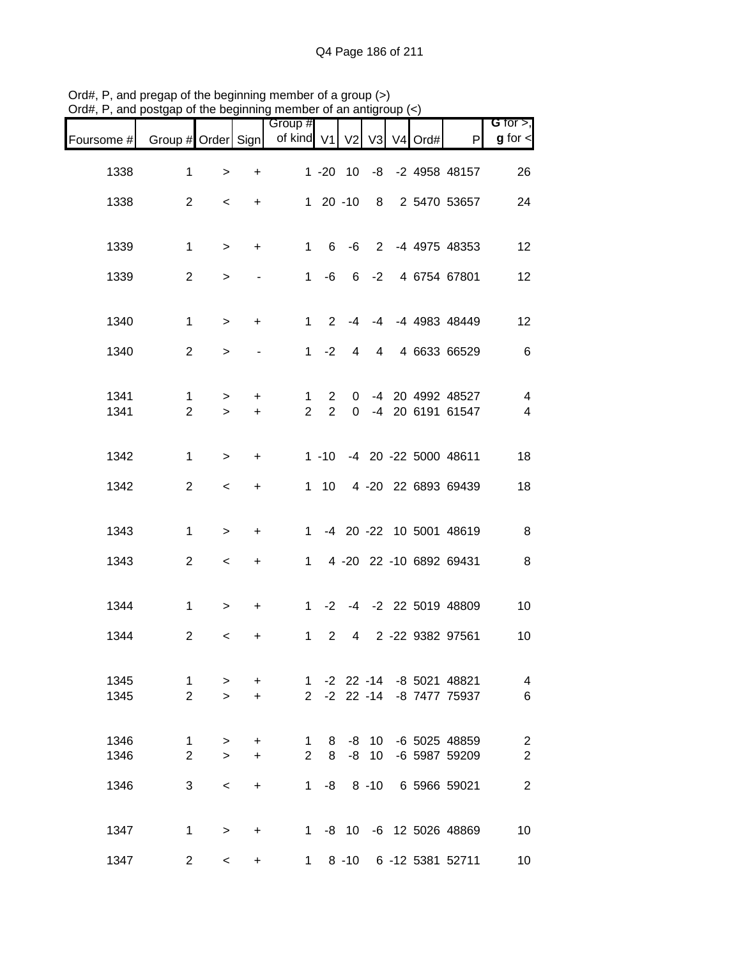| Foursome # Group # Order Sign |                   |                     |                                  | Group #<br>of kind V1 V2 |                  |                |                 | $\sqrt{3}$ V4 Ord# | P                                                      | G for $>$ ,<br>$g$ for $\lt$      |
|-------------------------------|-------------------|---------------------|----------------------------------|--------------------------|------------------|----------------|-----------------|--------------------|--------------------------------------------------------|-----------------------------------|
| 1338                          | $\mathbf 1$       | $\,>$               | $\ddot{}$                        |                          |                  |                |                 |                    | 1 -20 10 -8 -2 4958 48157                              | 26                                |
| 1338                          | $\overline{2}$    | $\,<$               | $+$                              |                          | $120 - 10$       |                |                 |                    | 8 2 5470 53657                                         | 24                                |
|                               |                   |                     |                                  |                          |                  |                |                 |                    |                                                        |                                   |
| 1339                          | $\mathbf{1}$      | $\geq$              | $\ddot{}$                        |                          |                  |                |                 |                    | 1 6 -6 2 -4 4975 48353                                 | 12                                |
| 1339                          | $\overline{2}$    | $\,$                | $\blacksquare$                   |                          | $1 - 6$          |                |                 |                    | 6 -2 4 6754 67801                                      | 12                                |
| 1340                          | $\mathbf{1}$      | $\geq$              | $+$                              |                          | $1 \quad 2$      | $-4$           |                 |                    | -4 -4 4983 48449                                       | 12                                |
| 1340                          | $\overline{2}$    | $\geq$              |                                  |                          | $1 -2$           | 4              |                 |                    | 4 4 6633 66529                                         | 6                                 |
|                               |                   |                     |                                  |                          |                  |                |                 |                    |                                                        |                                   |
| 1341                          | $\mathbf{1}$      | $\, > \,$           | +                                | 1                        | $\overline{2}$   | 0              |                 |                    | -4 20 4992 48527                                       | $\overline{4}$                    |
| 1341                          | $\overline{2}$    | $\geq$              | $+$                              | $\overline{2}$           | 2                | 0              |                 |                    | -4 20 6191 61547                                       | $\overline{4}$                    |
| 1342                          | $\mathbf{1}$      | $\geq$              | $+$                              |                          |                  |                |                 |                    | 1 -10 -4 20 -22 5000 48611                             | 18                                |
| 1342                          | $\overline{2}$    | $\,<$               | $+$                              |                          |                  |                |                 |                    | 1 10 4 -20 22 6893 69439                               | 18                                |
|                               |                   |                     |                                  |                          |                  |                |                 |                    |                                                        |                                   |
| 1343                          | $\mathbf 1$       | $\,$                | $\ddot{}$                        |                          |                  |                |                 |                    | 1 -4 20 -22 10 5001 48619                              | 8                                 |
| 1343                          | $\overline{2}$    | $\,<$               | $\ddot{}$                        |                          |                  |                |                 |                    | 1 4 -20 22 -10 6892 69431                              | 8                                 |
| 1344                          | $\mathbf 1$       | $\, > \,$           | $+$                              |                          |                  |                |                 |                    | 1 -2 -4 -2 22 5019 48809                               | 10                                |
| 1344                          | $\overline{2}$    | $\,<\,$             | $\begin{array}{c} + \end{array}$ | $\mathbf{1}$             | $\overline{2}$   | $\overline{4}$ |                 |                    | 2 -22 9382 97561                                       | 10                                |
|                               |                   |                     |                                  |                          |                  |                |                 |                    |                                                        |                                   |
| 1345<br>1345                  | $\mathbf{1}$<br>2 | $\, > \,$<br>$\geq$ | $\ddot{}$                        |                          |                  |                |                 |                    | 1 -2 22 -14 -8 5021 48821<br>2 -2 22 -14 -8 7477 75937 | $\overline{\mathcal{A}}$<br>$\,6$ |
|                               |                   |                     | $+$                              |                          |                  |                |                 |                    |                                                        |                                   |
| 1346                          | $\mathbf{1}$      | $\, >$              | $\ddot{}$                        |                          | $1 \quad$        |                |                 |                    | 8 -8 10 -6 5025 48859                                  | $\overline{2}$                    |
| 1346                          | 2                 | $\geq$              | $\ddot{}$                        |                          | $2^{\circ}$<br>8 | $-8$           | 10 <sup>°</sup> |                    | -6 5987 59209                                          | $\overline{2}$                    |
| 1346                          | 3                 | $\prec$             | $+$                              |                          |                  |                |                 |                    | 1 -8 8 -10 6 5966 59021                                | $\overline{2}$                    |
| 1347                          | $\mathbf 1$       | $\, > \,$           | $+$                              |                          |                  |                |                 |                    | 1 -8 10 -6 12 5026 48869                               | 10                                |
| 1347                          | $\overline{2}$    | $\prec$             | $+$                              |                          | 1                |                |                 |                    | 8 -10 6 -12 5381 52711                                 | 10                                |

Ord#, P, and pregap of the beginning member of a group (>) Ord#, P, and postgap of the beginning member of an antigroup (<)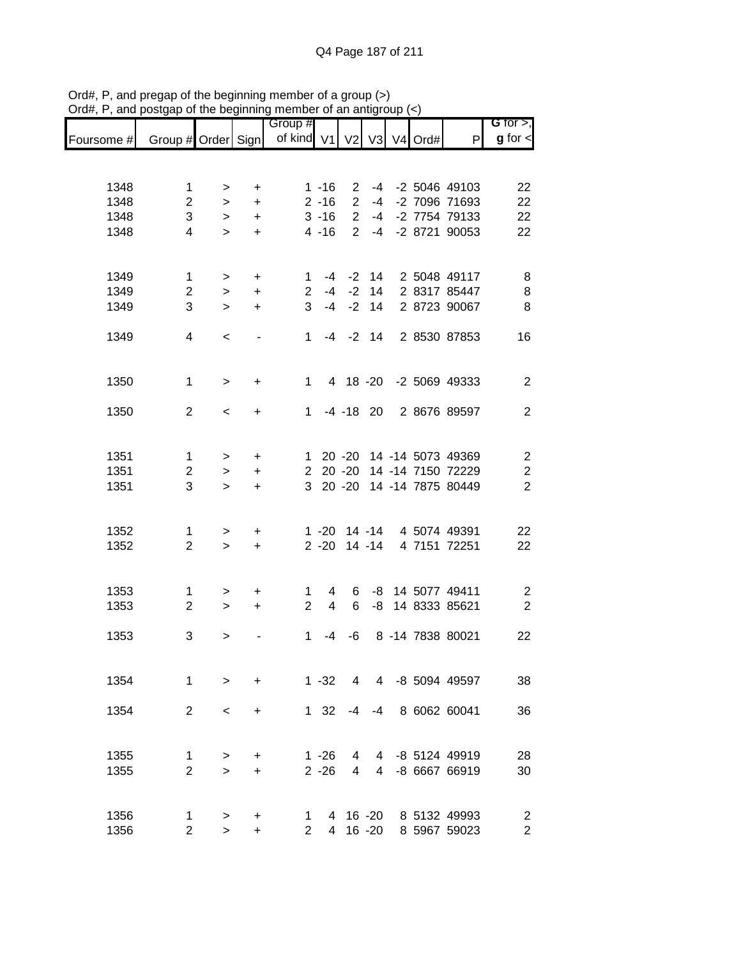|            |                    |           |           | Group #        |                |                |        |               |                           | G for $>$ ,             |
|------------|--------------------|-----------|-----------|----------------|----------------|----------------|--------|---------------|---------------------------|-------------------------|
| Foursome # | Group # Order Sign |           |           | of kind V1     |                |                |        | V2 V3 V4 Ord# | P                         | $g$ for $\lt$           |
|            |                    |           |           |                |                |                |        |               |                           |                         |
| 1348       | 1                  | >         | +         |                | $1 - 16$       | $\overline{2}$ |        |               | -4 -2 5046 49103          | 22                      |
| 1348       | $\overline{2}$     | $\geq$    | $\ddot{}$ |                | $2 - 16$       | $\overline{2}$ | $-4$   |               | -2 7096 71693             | 22                      |
| 1348       | 3                  | $\, > \,$ | $\ddot{}$ |                | $3 - 16$       | $\overline{2}$ | $-4$   |               | -2 7754 79133             | 22                      |
| 1348       | 4                  | $\geq$    | $\ddot{}$ |                | $4 - 16$       | 2              | $-4$   |               | -2 8721 90053             | 22                      |
|            |                    |           |           |                |                |                |        |               |                           |                         |
| 1349       | 1                  | $\, > \,$ | $\ddot{}$ | 1.             |                | $-4 -2$        | 14     |               | 2 5048 49117              | 8                       |
| 1349       | $\overline{2}$     | $\,>$     | $\ddot{}$ | $\overline{2}$ |                | $-4 -2$        |        |               | 14 2 8317 85447           | 8                       |
| 1349       | 3                  | $\geq$    | $\ddot{}$ | 3              | $-4$           | $-2$           | 14     |               | 2 8723 90067              | 8                       |
| 1349       | 4                  | $\,<\,$   |           | $1 \quad$      |                | $-4$ $-2$ 14   |        |               | 2 8530 87853              | 16                      |
|            |                    |           |           |                |                |                |        |               |                           |                         |
| 1350       | $\mathbf{1}$       | $\, > \,$ | +         |                | $1 \quad$      |                |        |               | 4 18 -20 -2 5069 49333    | $\overline{2}$          |
|            |                    |           |           |                |                |                |        |               |                           |                         |
| 1350       | 2                  | $\,<\,$   | $\ddot{}$ |                |                |                |        |               | 1 -4 -18 20 2 8676 89597  | $\overline{2}$          |
|            |                    |           |           |                |                |                |        |               |                           |                         |
| 1351       | $\mathbf 1$        | $\,>$     | +         | $\mathbf 1$    |                |                |        |               | 20 -20 14 -14 5073 49369  | $\mathbf{2}$            |
| 1351       | $\overline{c}$     | $\geq$    | +         | $\overline{2}$ |                | $20 - 20$      |        |               | 14 -14 7150 72229         | $\boldsymbol{2}$        |
| 1351       | 3                  | $\geq$    | $\ddot{}$ | 3 <sup>1</sup> |                | $20 - 20$      |        |               | 14 -14 7875 80449         | $\overline{2}$          |
|            |                    |           |           |                |                |                |        |               |                           |                         |
| 1352       | 1                  | >         | +         |                |                |                |        |               | 1 -20 14 -14 4 5074 49391 | 22                      |
| 1352       | $\overline{2}$     | $\geq$    | $\ddot{}$ |                | $2 - 20$       |                | 14 -14 |               | 4 7151 72251              | 22                      |
|            |                    |           |           |                |                |                |        |               |                           |                         |
| 1353       | 1                  | >         | +         | 1.             | 4              | 6              |        |               | -8 14 5077 49411          | $\overline{\mathbf{c}}$ |
| 1353       | $\overline{2}$     | $\geq$    | $\ddot{}$ | $\overline{2}$ | $\overline{4}$ | 6              | -8     |               | 14 8333 85621             | $\overline{2}$          |
| 1353       | 3                  | >         |           | $\mathbf 1$    | -4             | -6             |        |               | 8 -14 7838 80021          | 22                      |
|            |                    |           |           |                |                |                |        |               |                           |                         |
| 1354       | $\mathbf{1}$       | $\geq$    | $\ddot{}$ |                | $1 - 32$       | $\overline{4}$ |        |               | 4 -8 5094 49597           | 38                      |
|            |                    |           |           |                |                |                |        |               |                           |                         |
| 1354       | 2                  | $\,<\,$   | $\ddot{}$ |                | $1 \quad 32$   | $-4$           | $-4$   |               | 8 6062 60041              | 36                      |
|            |                    |           |           |                |                |                |        |               |                           |                         |
| 1355       | 1                  | >         | +         |                | $1 - 26$       | 4              |        |               | 4 -8 5124 49919           | 28                      |
| 1355       | $\overline{2}$     | $\geq$    | $\ddot{}$ |                | $2 - 26$       | 4              |        |               | 4 -8 6667 66919           | 30                      |
|            |                    |           |           |                |                |                |        |               |                           |                         |
| 1356       | 1                  | >         | +         | 1              |                |                |        |               | 4 16 -20 8 5132 49993     | $\overline{c}$          |
| 1356       | $\mathbf{2}$       | $\,>$     | +         |                | $2^{\circ}$    |                |        |               | 4 16 -20 8 5967 59023     | $\overline{2}$          |

Ord#, P, and pregap of the beginning member of a group (>) Ord#, P, and postgap of the beginning member of an antigroup (<)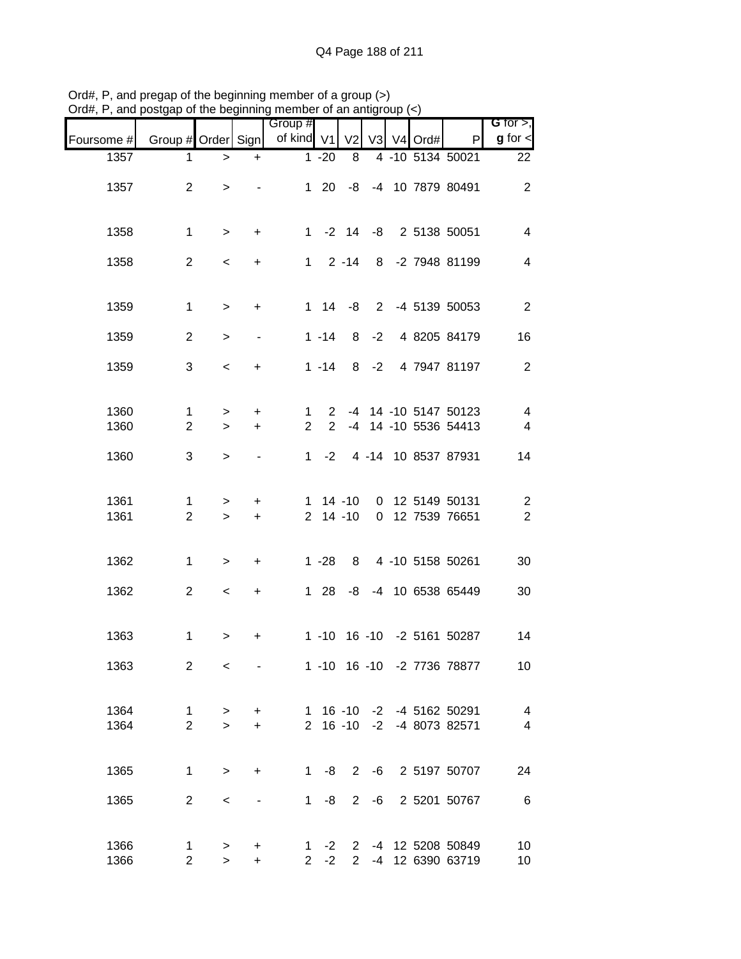|              | posigap or the beginning member or an antigr |                     |                          | Group #             |                                |                 |         |            |                                               | G for $>$ ,                                         |
|--------------|----------------------------------------------|---------------------|--------------------------|---------------------|--------------------------------|-----------------|---------|------------|-----------------------------------------------|-----------------------------------------------------|
| Foursome #   | Group # Order Sign                           |                     |                          | of kind V1          |                                | V <sub>2</sub>  |         | V3 V4 Ord# | P                                             | $g$ for $\leq$                                      |
| 1357         | 1                                            | $\, >$              | $\ddot{}$                |                     | $1 - 20$                       | 8               |         |            | 4 -10 5134 50021                              | 22                                                  |
| 1357         | $\overline{2}$                               | $\,>$               |                          |                     | $1 \quad 20$                   |                 |         |            | -8 -4 10 7879 80491                           | $\overline{2}$                                      |
| 1358         | $\mathbf 1$                                  | $\, >$              | $\ddot{}$                |                     |                                |                 |         |            | 1 -2 14 -8 2 5138 50051                       | $\overline{4}$                                      |
| 1358         | $\overline{2}$                               | $\,<$               | $+$                      |                     |                                | $1 \quad 2 -14$ |         |            | 8 -2 7948 81199                               | $\overline{\mathbf{4}}$                             |
| 1359         | 1                                            | $\,>$               | $+$                      |                     |                                | $1 \t14 \t-8$   |         |            | 2 -4 5139 50053                               | $\sqrt{2}$                                          |
| 1359         | 2                                            | $\geq$              |                          |                     | $1 - 14$                       | 8               | $-2$    |            | 4 8205 84179                                  | 16                                                  |
| 1359         | 3                                            | $\,<\,$             | +                        |                     | $1 - 14$                       |                 |         |            | 8 -2 4 7947 81197                             | $\overline{2}$                                      |
| 1360<br>1360 | $\mathbf 1$<br>$\overline{2}$                | $\, > \,$<br>$\geq$ | $\ddot{}$<br>$\ddot{}$   | 1<br>$\overline{2}$ | $\mathbf{2}$<br>$\overline{2}$ |                 |         |            | -4 14 -10 5147 50123<br>-4 14 -10 5536 54413  | $\overline{4}$<br>$\overline{\mathbf{4}}$           |
| 1360         | 3                                            | $\,>$               | $\overline{\phantom{a}}$ | 1                   | $-2$                           |                 |         |            | 4 -14 10 8537 87931                           | 14                                                  |
| 1361<br>1361 | 1<br>$\overline{2}$                          | $\, >$<br>$\, >$    | $\ddot{}$<br>$\ddot{}$   |                     | $1 14 - 10$<br>$2$ 14 -10      |                 |         |            | 0 12 5149 50131<br>0 12 7539 76651            | $\overline{c}$<br>$\boldsymbol{2}$                  |
| 1362         | 1                                            | $\, >$              | $\ddot{}$                |                     | $1 - 28$                       |                 |         |            | 8 4 -10 5158 50261                            | 30                                                  |
| 1362         | $\overline{2}$                               | $\,<$               | $\ddot{}$                |                     | $1 \quad 28$                   |                 |         |            | -8 -4 10 6538 65449                           | 30                                                  |
| 1363         | $\mathbf 1$                                  | $\, > \,$           | $\ddot{}$                |                     |                                |                 |         |            | 1 -10 16 -10 -2 5161 50287                    | 14                                                  |
| 1363         | $\overline{2}$                               | $\prec$             |                          |                     |                                |                 |         |            | 1 -10 16 -10 -2 7736 78877                    | 10                                                  |
| 1364<br>1364 | 1<br>$\overline{2}$                          | $\, >$<br>$\geq$    | $\ddot{}$<br>$+$         |                     |                                | $2 \t16 \t-10$  |         |            | 1 16 -10 -2 -4 5162 50291<br>-2 -4 8073 82571 | $\overline{\mathcal{A}}$<br>$\overline{\mathbf{4}}$ |
| 1365         | $\mathbf{1}$                                 | $\, >$              | $\ddot{}$                | $1 \quad$           | -8                             |                 |         |            | 2 -6 2 5197 50707                             | 24                                                  |
| 1365         | $\overline{2}$                               | $\,<$               |                          | $1 \quad$           | -8                             |                 | $2 - 6$ |            | 2 5201 50767                                  | $\,6\,$                                             |
| 1366<br>1366 | 1<br>$\overline{2}$                          | ><br>$\mathbf{L}$   | +<br>$\ddot{}$           | $\mathbf{2}$        | $1 -2$<br>$-2$                 | 2 <sup>7</sup>  |         |            | 2 -4 12 5208 50849<br>-4 12 6390 63719        | 10<br>10                                            |

Ord#, P, and pregap of the beginning member of a group (>) Ord#, P, and postgap of the beginning member of an antigroup (<)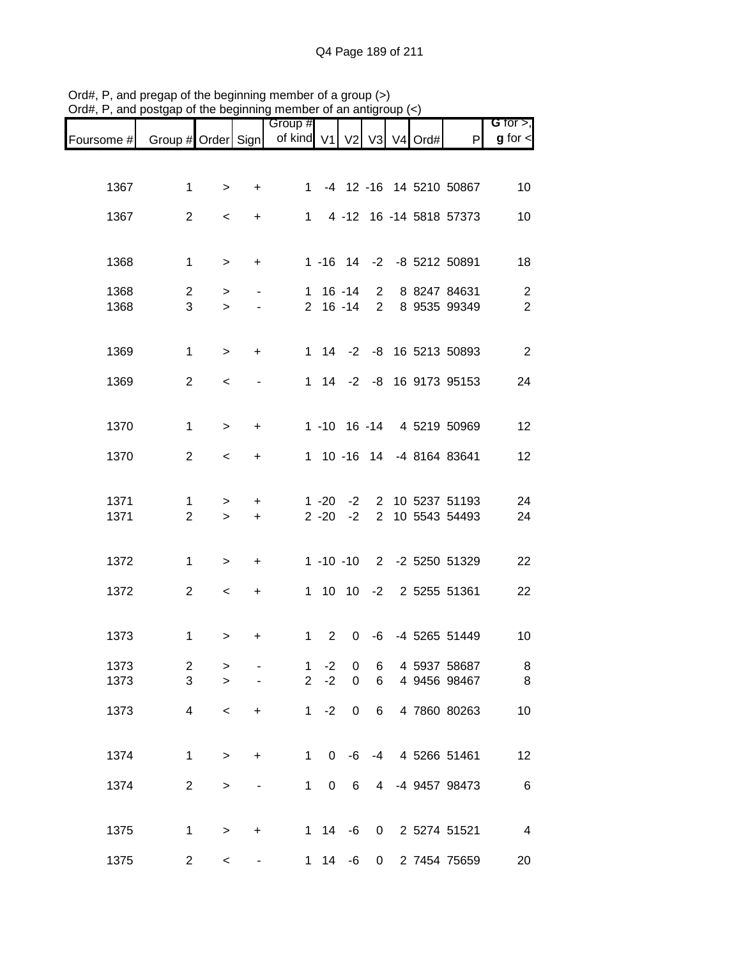|              |                         |                  |                        | Group #                  |                      |                  |                |  |                                    | G for $>$ ,    |
|--------------|-------------------------|------------------|------------------------|--------------------------|----------------------|------------------|----------------|--|------------------------------------|----------------|
| Foursome #   | Group # Order Sign      |                  |                        | of kind V1 V2 V3 V4 Ord# |                      |                  |                |  | P                                  | $g$ for $\lt$  |
|              |                         |                  |                        |                          |                      |                  |                |  |                                    |                |
| 1367         | $\mathbf{1}$            | $\geq$           | $\ddot{}$              | $1 \quad$                |                      |                  |                |  | -4 12 -16 14 5210 50867            | 10             |
| 1367         | $\overline{2}$          | $\,<\,$          | $\ddot{}$              | $1 \quad$                |                      |                  |                |  | 4 -12 16 -14 5818 57373            | 10             |
|              |                         |                  |                        |                          |                      |                  |                |  |                                    |                |
| 1368         | $\mathbf 1$             | $\geq$           | $\ddot{}$              |                          |                      |                  |                |  | 1 -16 14 -2 -8 5212 50891          | 18             |
| 1368         | $\overline{2}$          | $\,$             |                        |                          | $1 16 - 14$          |                  | $\overline{2}$ |  | 8 8247 84631                       | $\overline{2}$ |
| 1368         | 3                       | $\geq$           |                        |                          |                      | $2 16 - 14$      | 2 <sup>1</sup> |  | 8 9535 99349                       | $\overline{2}$ |
|              |                         |                  |                        |                          |                      |                  |                |  |                                    |                |
| 1369         | $\mathbf{1}$            | $\,$             | $\ddot{}$              |                          |                      |                  |                |  | 1 14 -2 -8 16 5213 50893           | 2              |
| 1369         | 2                       | $\,<\,$          |                        |                          |                      |                  |                |  | 1 14 -2 -8 16 9173 95153           | 24             |
|              |                         |                  |                        |                          |                      |                  |                |  |                                    |                |
| 1370         | $\mathbf{1}$            | $\geq$           | $\ddot{}$              |                          |                      |                  |                |  | 1 -10 16 -14 4 5219 50969          | 12             |
| 1370         | 2                       | $\,<$            | $\ddot{}$              |                          |                      |                  |                |  | 1 10 -16 14 -4 8164 83641          | 12             |
|              |                         |                  |                        |                          |                      |                  |                |  |                                    |                |
| 1371<br>1371 | 1<br>$\overline{2}$     | $\geq$<br>$\geq$ | $\ddot{}$<br>$\ddot{}$ |                          | $1 - 20$<br>$2 - 20$ | $-2$<br>$-2$     |                |  | 2 10 5237 51193<br>2 10 5543 54493 | 24<br>24       |
|              |                         |                  |                        |                          |                      |                  |                |  |                                    |                |
| 1372         | $\mathbf{1}$            | $\geq$           | $\ddot{}$              |                          |                      | $1 - 10 - 10$    |                |  | 2 -2 5250 51329                    | 22             |
| 1372         | $\overline{2}$          | $\,<\,$          | $\ddot{}$              |                          |                      |                  |                |  | 1 10 10 -2 2 5255 51361            | 22             |
|              |                         |                  |                        |                          |                      |                  |                |  |                                    |                |
| 1373         | $\mathbf{1}$            | >                | +                      | $\mathbf{1}$             | $\overline{2}$       | $\mathbf 0$      | -6             |  | -4 5265 51449                      | 10             |
| 1373         | $\overline{\mathbf{c}}$ | >                |                        | 1                        | $-2$                 | $\pmb{0}$        | 6              |  | 4 5937 58687                       | 8              |
| 1373         | 3                       | $\geq$           |                        | $\overline{2}$           | $-2$                 | $\mathbf 0$      | 6              |  | 4 9456 98467                       | 8              |
| 1373         | 4                       | $\,<\,$          | +                      | 1                        | $-2$                 | $\boldsymbol{0}$ | 6              |  | 4 7860 80263                       | 10             |
|              |                         |                  |                        |                          |                      |                  |                |  |                                    |                |
| 1374         | $\mathbf 1$             | $\geq$           | +                      | 1                        | 0                    | -6               | $-4$           |  | 4 5266 51461                       | 12             |
| 1374         | $\overline{2}$          | $\mathbf{L}$     |                        | $\mathbf 1$              | 0                    | 6                | 4              |  | -4 9457 98473                      | $\,6$          |
|              |                         |                  |                        |                          |                      |                  |                |  |                                    |                |
| 1375         | $\mathbf{1}$            | $\mathbf{L}$     | +                      | 1                        | 14                   | -6               | 0              |  | 2 5274 51521                       | 4              |
| 1375         | $\overline{c}$          | $\,<$            | -                      | 1                        | 14                   | -6               | 0              |  | 2 7454 75659                       | 20             |

Ord#, P, and pregap of the beginning member of a group (>) Ord#, P, and postgap of the beginning member of an antigroup (<)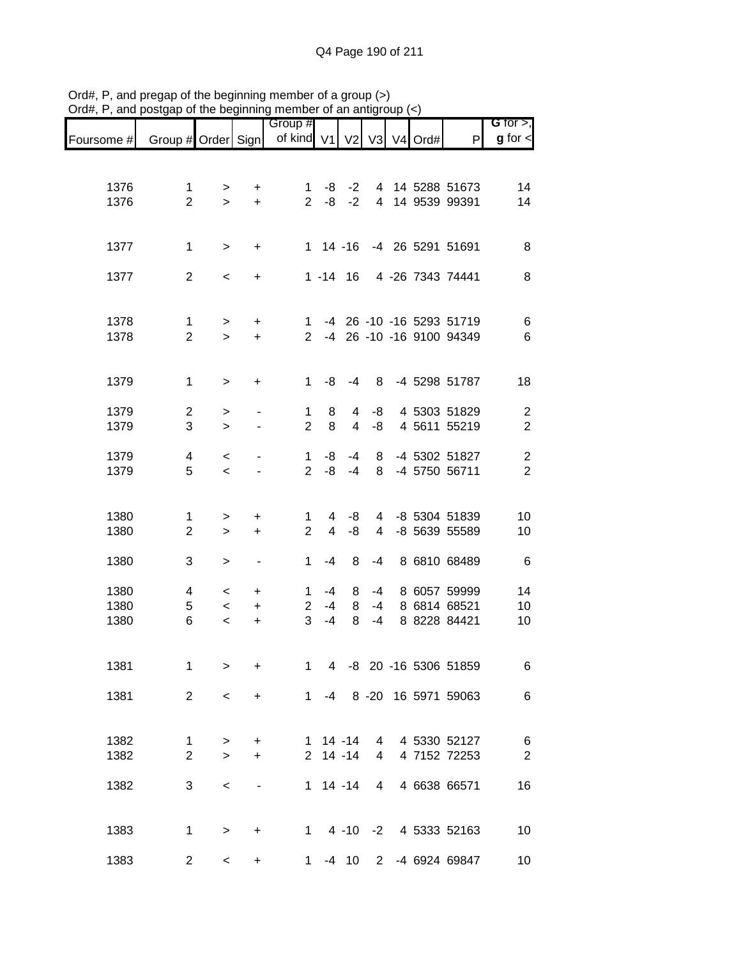|            |                    |           |                              | Group #             |                         |             |                |               |                            | G for $>$ ,      |
|------------|--------------------|-----------|------------------------------|---------------------|-------------------------|-------------|----------------|---------------|----------------------------|------------------|
| Foursome # | Group # Order Sign |           |                              | of kind V1          |                         |             |                | V2 V3 V4 Ord# | P                          | $g$ for $\lt$    |
|            |                    |           |                              |                     |                         |             |                |               |                            |                  |
| 1376       | 1                  | >         | +                            | 1.                  | -8                      | $-2$        |                |               | 4 14 5288 51673            | 14               |
| 1376       | $\overline{2}$     | $\geq$    | $+$                          | $\overline{2}$      | -8                      | $-2$        |                |               | 4 14 9539 99391            | 14               |
|            |                    |           |                              |                     |                         |             |                |               |                            |                  |
| 1377       | $\mathbf 1$        | $\, >$    | +                            |                     |                         | $1 14 - 16$ |                |               | -4 26 5291 51691           | 8                |
|            |                    |           |                              |                     |                         |             |                |               |                            |                  |
| 1377       | $\overline{2}$     | $\,<\,$   | +                            |                     |                         | $1 - 14$ 16 |                |               | 4 -26 7343 74441           | 8                |
|            |                    |           |                              |                     |                         |             |                |               |                            |                  |
| 1378       | $\mathbf{1}$       | >         | +                            |                     |                         |             |                |               | 1 -4 26 -10 -16 5293 51719 | 6                |
| 1378       | $\overline{2}$     | $\geq$    | $\ddot{}$                    |                     |                         |             |                |               | 2 -4 26 -10 -16 9100 94349 | 6                |
|            |                    |           |                              |                     |                         |             |                |               |                            |                  |
| 1379       | $\mathbf 1$        | $\, > \,$ | +                            | $\mathbf 1$         | -8                      | $-4$        | 8              |               | -4 5298 51787              | 18               |
| 1379       | $\mathbf{2}$       | >         |                              | 1                   | 8                       | 4           | -8             |               | 4 5303 51829               | $\boldsymbol{2}$ |
| 1379       | 3                  | $\geq$    |                              | $\overline{2}$      | 8                       | 4           | -8             |               | 4 5611 55219               | $\overline{2}$   |
| 1379       | 4                  | $\,<\,$   |                              | 1                   | -8                      | $-4$        | 8              |               | -4 5302 51827              | $\overline{c}$   |
| 1379       | 5                  | $\prec$   |                              | $\overline{2}$      | -8                      | $-4$        | 8              |               | -4 5750 56711              | $\overline{2}$   |
|            |                    |           |                              |                     |                         |             |                |               |                            |                  |
| 1380       | 1                  | >         | +                            | 1.                  | 4                       | -8          | 4              |               | -8 5304 51839              | 10               |
| 1380       | $\overline{2}$     | $\, > \,$ | +                            | $\overline{2}$      | $\overline{\mathbf{4}}$ | -8          | 4              |               | -8 5639 55589              | 10               |
|            |                    |           |                              |                     |                         |             |                |               |                            |                  |
| 1380       | 3                  | $\, > \,$ | $\qquad \qquad \blacksquare$ | 1                   | $-4$                    | 8           | $-4$           |               | 8 6810 68489               | 6                |
| 1380       | 4                  | $\,<\,$   | +                            | 1                   | $-4$                    | 8           | $-4$           |               | 8 6057 59999               | 14               |
| 1380       | 5<br>6             | $\,<$     | $\ddot{}$                    | $\overline{2}$<br>3 | $-4$                    | 8<br>8      | $-4$           |               | 8 6814 68521               | 10               |
| 1380       |                    | $\,<$     | $\ddot{}$                    |                     | $-4$                    |             | $-4$           |               | 8 8228 84421               | 10               |
|            |                    |           |                              |                     |                         |             |                |               |                            |                  |
| 1381       | 1                  | $\geq$    | +                            | 1                   |                         |             |                |               | 4 -8 20 -16 5306 51859     | 6                |
| 1381       | 2                  | $\prec$   | $\ddot{}$                    |                     |                         |             |                |               | 1 -4 8 -20 16 5971 59063   | 6                |
|            |                    |           |                              |                     |                         |             |                |               |                            |                  |
| 1382       | 1                  | >         | +                            |                     | $1 14 - 14$             |             | 4              |               | 4 5330 52127               | 6                |
| 1382       | $\overline{2}$     | $\geq$    | $\ddot{}$                    | $\mathbf{2}$        |                         | $14 - 14$   | $\overline{4}$ |               | 4 7152 72253               | $\overline{2}$   |
| 1382       | 3                  |           |                              |                     |                         | $1 14 - 14$ | 4              |               | 4 6638 66571               | 16               |
|            |                    | $\,<\,$   |                              |                     |                         |             |                |               |                            |                  |
|            |                    |           |                              |                     |                         |             |                |               |                            |                  |
| 1383       | 1                  | $\, > \,$ | +                            | $1 \quad$           |                         |             |                |               | 4 -10 -2 4 5333 52163      | 10               |
| 1383       | $\overline{2}$     | $\,<\,$   | +                            |                     |                         |             |                |               | 1 -4 10 2 -4 6924 69847    | 10 <sup>°</sup>  |

Ord#, P, and pregap of the beginning member of a group (>) Ord#, P, and postgap of the beginning member of an antigroup (<)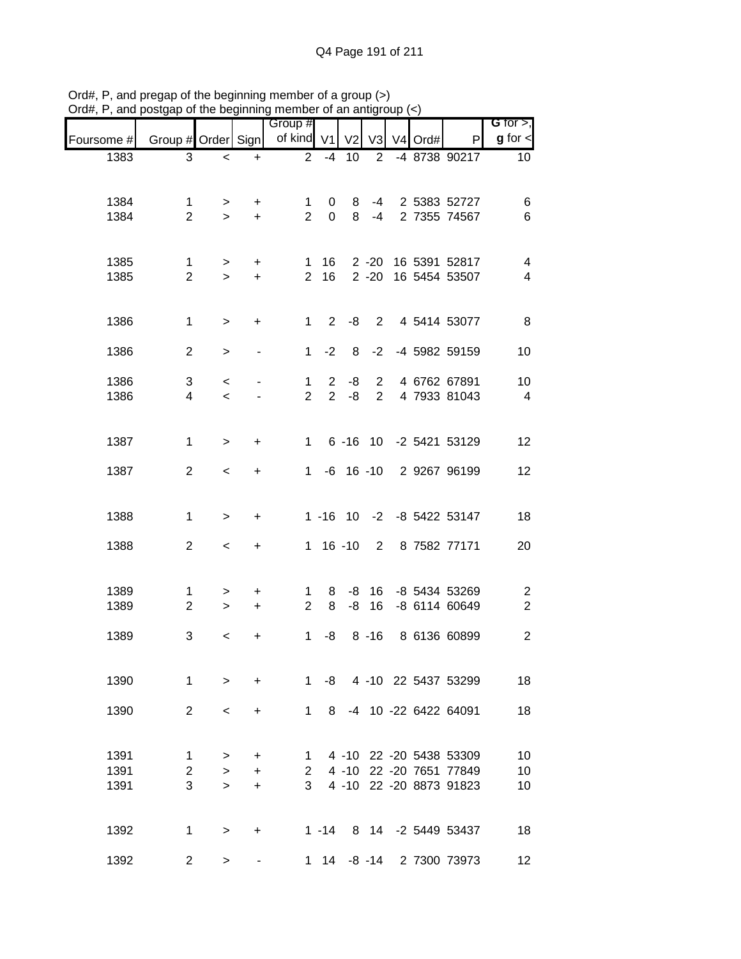| anu p        | oolyap or the beginning |                  |           | mombor or an antigroup<br>Group # |                               |                |                                  |                     |                                                    | G for $>$ ,          |
|--------------|-------------------------|------------------|-----------|-----------------------------------|-------------------------------|----------------|----------------------------------|---------------------|----------------------------------------------------|----------------------|
| Foursome #   | Group # Order Sign      |                  |           | of kind V1                        |                               | V <sub>2</sub> | V <sub>3</sub>                   | V <sub>4</sub> Ord# | P                                                  | $g$ for $\lt$        |
| 1383         | 3                       | $\,<$            | $\ddot{}$ | 2                                 | $-4$                          | 10             | 2                                |                     | -4 8738 90217                                      | 10                   |
|              |                         |                  |           |                                   |                               |                |                                  |                     |                                                    |                      |
| 1384         | 1                       | $\,$             | $\ddot{}$ | 1                                 | 0                             | 8              |                                  |                     | -4 2 5383 52727                                    | 6                    |
| 1384         | $\overline{2}$          | $\geq$           | $\ddot{}$ | $\overline{2}$                    | $\mathbf{0}$                  | 8              | $-4$                             |                     | 2 7355 74567                                       | $6\phantom{1}6$      |
|              |                         |                  |           |                                   |                               |                |                                  |                     |                                                    |                      |
| 1385         | 1                       | $\,$             | $\ddot{}$ | $\mathbf{1}$                      | 16                            |                |                                  |                     | 2 -20 16 5391 52817                                | 4                    |
| 1385         | $\overline{2}$          | $\geq$           | $+$       | $\overline{2}$                    | 16                            |                |                                  |                     | 2 -20 16 5454 53507                                | $\overline{4}$       |
|              |                         |                  |           |                                   |                               |                |                                  |                     |                                                    |                      |
| 1386         | $\mathbf{1}$            | $\,$             | +         | $\mathbf{1}$                      | $2^{\circ}$                   | -8             |                                  |                     | 2 4 5414 53077                                     | 8                    |
| 1386         | $\overline{2}$          | $\,$             |           | $\mathbf{1}$                      | $-2$                          | 8              | $-2$                             |                     | -4 5982 59159                                      | 10                   |
|              |                         |                  |           |                                   |                               |                |                                  |                     |                                                    |                      |
| 1386<br>1386 | 3<br>$\overline{4}$     | $\,<\,$<br>$\,<$ |           | $\mathbf{1}$<br>$\overline{2}$    | $\overline{2}$<br>$2^{\circ}$ | -8<br>-8       | $\overline{2}$<br>$\overline{2}$ |                     | 4 6762 67891<br>4 7933 81043                       | 10<br>$\overline{4}$ |
|              |                         |                  |           |                                   |                               |                |                                  |                     |                                                    |                      |
|              |                         |                  |           |                                   |                               |                |                                  |                     |                                                    |                      |
| 1387         | $\mathbf{1}$            | $\geq$           | $\ddot{}$ | $1 \quad$                         |                               |                |                                  |                     | 6 -16 10 -2 5421 53129                             | 12                   |
| 1387         | $\overline{2}$          | $\,<\,$          | $\ddot{}$ | 1                                 |                               |                |                                  |                     | -6 16 -10 2 9267 96199                             | 12                   |
|              |                         |                  |           |                                   |                               |                |                                  |                     |                                                    |                      |
| 1388         | $\mathbf 1$             | $\geq$           | $\ddot{}$ |                                   |                               |                |                                  |                     | 1 -16 10 -2 -8 5422 53147                          | 18                   |
|              |                         |                  |           |                                   |                               |                |                                  |                     |                                                    |                      |
| 1388         | $\overline{2}$          | $\,<\,$          | $\ddot{}$ |                                   |                               | $1 16 - 10$    |                                  |                     | 2 8 7582 77171                                     | 20                   |
|              |                         |                  |           |                                   |                               |                |                                  |                     |                                                    |                      |
| 1389         | $\mathbf{1}$            | >                | +         | 1                                 | 8                             | -8             | 16                               |                     | -8 5434 53269                                      | $\overline{2}$       |
| 1389         | $\overline{2}$          | $\geq$           | $+$       | $\overline{2}$                    | 8                             | -8             | 16                               |                     | -8 6114 60649                                      | $\boldsymbol{2}$     |
| 1389         | 3                       | $\,<\,$          | +         | 1                                 | -8                            |                | $8 - 16$                         |                     | 8 6136 60899                                       | $\overline{2}$       |
|              |                         |                  |           |                                   |                               |                |                                  |                     |                                                    |                      |
| 1390         | $\mathbf{1}$            | $\geq$           | $\ddot{}$ |                                   |                               |                |                                  |                     | 1 -8 4 -10 22 5437 53299                           | 18                   |
|              |                         |                  |           |                                   |                               |                |                                  |                     |                                                    |                      |
| 1390         | 2                       | $\,<\,$          | $\ddot{}$ | $\mathbf 1$                       | 8                             |                |                                  |                     | -4 10 -22 6422 64091                               | 18                   |
|              |                         |                  |           |                                   |                               |                |                                  |                     |                                                    |                      |
| 1391         | $\mathbf{1}$            | $\, > \,$        | $\ddot{}$ | 1.                                |                               |                |                                  |                     | 4 -10 22 -20 5438 53309                            | 10                   |
| 1391<br>1391 | $\overline{2}$<br>3     | $\geq$           | $\ddot{}$ | $2^{\circ}$<br>3 <sup>1</sup>     |                               |                |                                  |                     | 4 -10 22 -20 7651 77849<br>4 -10 22 -20 8873 91823 | 10                   |
|              |                         | $\geq$           | $\ddot{}$ |                                   |                               |                |                                  |                     |                                                    | 10                   |
|              |                         |                  |           |                                   |                               |                |                                  |                     |                                                    |                      |
| 1392         | $\mathbf{1}$            | $\, > \,$        | $\ddot{}$ |                                   |                               |                |                                  |                     | 1 -14 8 14 -2 5449 53437                           | 18                   |
| 1392         | $\overline{2}$          | $\,>$            |           |                                   |                               |                |                                  |                     | 1 14 -8 -14 2 7300 73973                           | 12                   |

Ord#, P, and pregap of the beginning member of a group (>) Ord#, P, and postgap of the beginning member of an antigroup (<)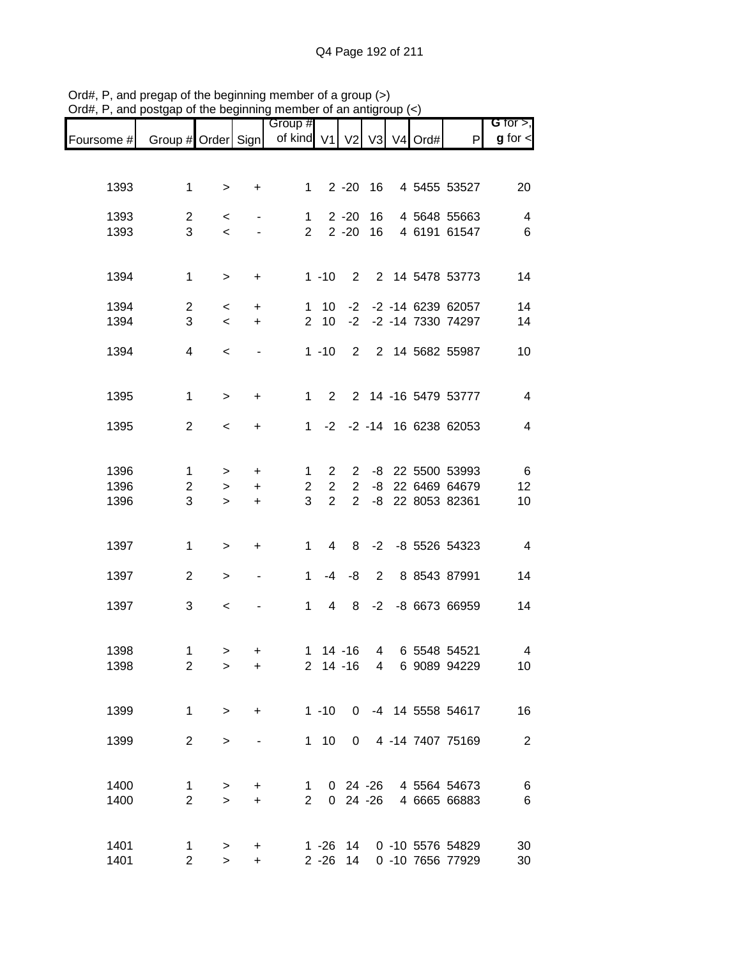|              |                                |                |                                  | Group #                        |                |                |    |               |                                           | G for $>$ ,              |
|--------------|--------------------------------|----------------|----------------------------------|--------------------------------|----------------|----------------|----|---------------|-------------------------------------------|--------------------------|
| Foursome #   | Group # Order Sign             |                |                                  | of kind V1                     |                |                |    | V2 V3 V4 Ord# | P                                         | $g$ for $\lt$            |
|              |                                |                |                                  |                                |                |                |    |               |                                           |                          |
| 1393         | $\mathbf 1$                    | $\,>$          | +                                | 1                              |                | $2 - 20$ 16    |    |               | 4 5455 53527                              | 20                       |
| 1393         | $\overline{2}$                 | $\,<$          |                                  | $\mathbf{1}$                   |                | $2 - 20$       | 16 |               | 4 5648 55663                              | 4                        |
| 1393         | 3                              | $\prec$        |                                  | $\overline{2}$                 |                | $2 - 20$       | 16 |               | 4 6191 61547                              | $\,6$                    |
| 1394         | $\mathbf{1}$                   |                |                                  |                                | $1 - 10$       |                |    |               | 2 2 14 5478 53773                         | 14                       |
|              |                                | $\,$           | $\begin{array}{c} + \end{array}$ |                                |                |                |    |               |                                           |                          |
| 1394<br>1394 | $\overline{2}$<br>3            | $\,<$<br>$\,<$ | $\ddot{}$<br>$\ddot{}$           | $\mathbf{1}$<br>$\overline{2}$ | 10<br>10       | $-2$           |    |               | -2 -2 -14 6239 62057<br>-2 -14 7330 74297 | 14<br>14                 |
|              |                                |                |                                  |                                |                |                |    |               |                                           |                          |
| 1394         | $\overline{4}$                 | $\,<$          |                                  |                                | $1 - 10$       |                |    |               | 2 2 14 5682 55987                         | 10                       |
| 1395         | $\mathbf{1}$                   | $\geq$         | $\ddot{}$                        | $\mathbf{1}$                   | $\overline{2}$ |                |    |               | 2 14 -16 5479 53777                       | $\overline{\mathcal{A}}$ |
|              |                                |                |                                  |                                |                |                |    |               |                                           |                          |
| 1395         | $\overline{2}$                 | $\,<$          | $\ddot{}$                        | 1                              |                |                |    |               | -2 -2 -14 16 6238 62053                   | $\overline{4}$           |
| 1396         | $\mathbf 1$                    | $\, > \,$      | $\ddot{}$                        | $\mathbf{1}$                   | $\overline{2}$ | $\mathbf{2}$   |    |               | -8 22 5500 53993                          | $\,6$                    |
| 1396         | $\overline{c}$                 | $\,>$          | $\ddot{}$                        | $\overline{2}$                 | $\overline{2}$ | $\overline{2}$ | -8 |               | 22 6469 64679                             | 12                       |
| 1396         | 3                              | $\geq$         | $\ddot{}$                        | 3                              | $\overline{2}$ | $\overline{2}$ |    |               | -8 22 8053 82361                          | 10                       |
|              |                                |                |                                  |                                |                |                |    |               |                                           |                          |
| 1397         | $\mathbf 1$                    | $\mathbf{L}$   | $\begin{array}{c} + \end{array}$ | $\mathbf{1}$                   | 4              | 8              |    |               | -2 -8 5526 54323                          | $\overline{4}$           |
| 1397         | $\overline{2}$                 | $\,$           | $\blacksquare$                   | $\mathbf{1}$                   | $-4$           | -8             | 2  |               | 8 8543 87991                              | 14                       |
| 1397         | 3                              | $\,<$          |                                  | $\mathbf{1}$                   | $\overline{4}$ | 8              |    |               | -2 -8 6673 66959                          | 14                       |
|              |                                |                |                                  |                                |                |                |    |               |                                           |                          |
| 1398         | $\mathbf{1}$                   | $\geq$         | +                                |                                |                | $1 14 - 16$    |    |               | 4 6 5548 54521                            | $\overline{\mathbf{4}}$  |
| 1398         | $\overline{2}$                 | $\, > \,$      | +                                |                                |                | $2 \t14 - 16$  |    |               | 4 6 9089 94229                            | 10 <sub>1</sub>          |
|              |                                |                |                                  |                                |                |                |    |               |                                           |                          |
| 1399         | $\mathbf{1}$                   | $\geq$         | $\ddot{}$                        |                                | $1 - 10$       |                |    |               | 0 -4 14 5558 54617                        | 16                       |
| 1399         | $\overline{2}$                 | $\geq$         |                                  |                                | $1 \quad 10$   |                |    |               | 0 4 -14 7407 75169                        | $\overline{2}$           |
|              |                                |                |                                  |                                |                |                |    |               |                                           |                          |
| 1400<br>1400 | $\mathbf{1}$<br>$\overline{2}$ | $\,$<br>$\geq$ | +<br>$\ddot{}$                   | 1<br>$2^{\circ}$               |                | $0\,24\, -26$  |    |               | 0 24 -26 4 5564 54673<br>4 6665 66883     | 6<br>$\,6$               |
|              |                                |                |                                  |                                |                |                |    |               |                                           |                          |
| 1401         | $\mathbf{1}$                   | $\,$           | +                                |                                |                |                |    |               | 1 -26 14 0 -10 5576 54829                 | 30                       |
| 1401         | $\overline{2}$                 | $\geq$         | +                                |                                |                | 2 -26 14       |    |               | 0 -10 7656 77929                          | 30                       |

Ord#, P, and pregap of the beginning member of a group (>) Ord#, P, and postgap of the beginning member of an antigroup (<)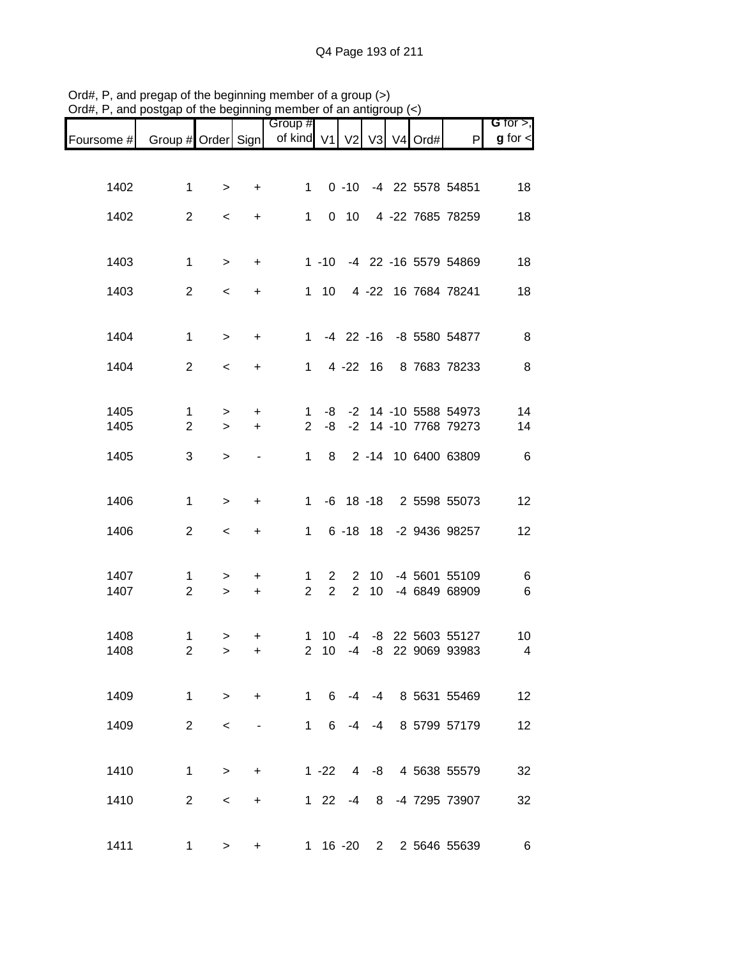|              |                                |                          |                        | Group #                                             |                                  |                                  |                       |  |                                                 | G for $>$ ,             |
|--------------|--------------------------------|--------------------------|------------------------|-----------------------------------------------------|----------------------------------|----------------------------------|-----------------------|--|-------------------------------------------------|-------------------------|
| Foursome #   |                                |                          |                        | Group # Order Sign   of kind V1   V2   V3   V4 Ord# |                                  |                                  |                       |  | P                                               | $g$ for $\lt$           |
|              |                                |                          |                        |                                                     |                                  |                                  |                       |  |                                                 |                         |
| 1402         | $\mathbf{1}$                   | $\geq$                   | $\ddot{}$              | $1 \quad$                                           |                                  |                                  |                       |  | 0 -10 -4 22 5578 54851                          | 18                      |
| 1402         | $\overline{2}$                 | $\,<\,$                  | $\ddot{}$              | $\mathbf{1}$                                        |                                  | $0$ 10                           |                       |  | 4 -22 7685 78259                                | 18                      |
|              |                                |                          |                        |                                                     |                                  |                                  |                       |  |                                                 |                         |
| 1403         | $\mathbf 1$                    | $\geq$                   | $\ddot{}$              |                                                     |                                  |                                  |                       |  | 1 -10 -4 22 -16 5579 54869                      | 18                      |
| 1403         | $\overline{2}$                 | $\,<$                    | $\ddot{}$              |                                                     | $1 10$                           |                                  |                       |  | 4 -22 16 7684 78241                             | 18                      |
| 1404         | $\mathbf{1}$                   | $\,$                     | $\ddot{}$              |                                                     |                                  |                                  |                       |  | 1 -4 22 -16 -8 5580 54877                       | 8                       |
| 1404         | 2                              | $\,<\,$                  | $\ddot{}$              | $1 \quad$                                           |                                  |                                  | $4 - 22$ 16           |  | 8 7683 78233                                    | 8                       |
|              |                                |                          |                        |                                                     |                                  |                                  |                       |  |                                                 |                         |
| 1405<br>1405 | $\mathbf{1}$<br>$\overline{2}$ | $\,$<br>$\geq$           | $\ddot{}$<br>$\ddot{}$ | $\mathbf{1}$<br>$\overline{2}$                      | -8                               |                                  |                       |  | -8 -2 14 -10 5588 54973<br>-2 14 -10 7768 79273 | 14<br>14                |
|              |                                |                          |                        |                                                     |                                  |                                  |                       |  |                                                 |                         |
| 1405         | 3                              | $\mathbf{L}$             |                        | $\mathbf{1}$                                        | 8                                |                                  |                       |  | 2 -14 10 6400 63809                             | 6                       |
| 1406         | $\mathbf{1}$                   | $\geq$                   | $\ddot{}$              | $1 \quad$                                           |                                  |                                  |                       |  | -6 18 -18 2 5598 55073                          | 12                      |
| 1406         | $\overline{2}$                 | $\,<\,$                  | $+$                    | $\mathbf{1}$                                        |                                  |                                  |                       |  | 6 -18 18 -2 9436 98257                          | 12                      |
|              |                                |                          |                        |                                                     |                                  |                                  |                       |  |                                                 |                         |
| 1407<br>1407 | 1<br>$\overline{2}$            | $\,$<br>$\,$             | $\ddot{}$<br>$\ddot{}$ | 1<br>$\overline{2}$                                 | $\overline{2}$<br>$\overline{2}$ | $\overline{2}$<br>$\overline{2}$ | 10 <sup>°</sup><br>10 |  | -4 5601 55109<br>-4 6849 68909                  | 6<br>$\,6$              |
|              |                                |                          |                        |                                                     |                                  |                                  |                       |  |                                                 |                         |
| 1408         | $\mathbf{1}$                   | >                        |                        | 1                                                   | 10                               | -4                               |                       |  | -8 22 5603 55127                                | 10                      |
| 1408         | $\overline{2}$                 | $\,>$                    | +                      | $\overline{2}$                                      | 10                               | $-4$                             | -8                    |  | 22 9069 93983                                   | $\overline{\mathbf{4}}$ |
| 1409         | $\mathbf{1}$                   | $\geq$                   | $+$                    | $1 \quad$                                           | 6                                | $-4$                             |                       |  | -4 8 5631 55469                                 | 12                      |
| 1409         | 2                              | $\overline{\phantom{0}}$ |                        | $1 \quad$                                           | 6                                | $-4$                             | -4                    |  | 8 5799 57179                                    | 12                      |
|              |                                |                          |                        |                                                     |                                  |                                  |                       |  |                                                 |                         |
| 1410         | $\mathbf{1}$                   | $\geq$                   | $+$                    |                                                     | $1 - 22$                         | $\overline{4}$                   | -8                    |  | 4 5638 55579                                    | 32                      |
| 1410         | $\overline{2}$                 | $\,<\,$                  | $\ddot{}$              |                                                     | $1 \quad 22$                     | -4                               | 8                     |  | -4 7295 73907                                   | 32                      |
| 1411         | $\mathbf 1$                    | $\geq$                   | +                      |                                                     |                                  | $1 \t16 - 20$                    | $2^{\circ}$           |  | 2 5646 55639                                    | 6                       |

Ord#, P, and pregap of the beginning member of a group (>) Ord#, P, and postgap of the beginning member of an antigroup (<)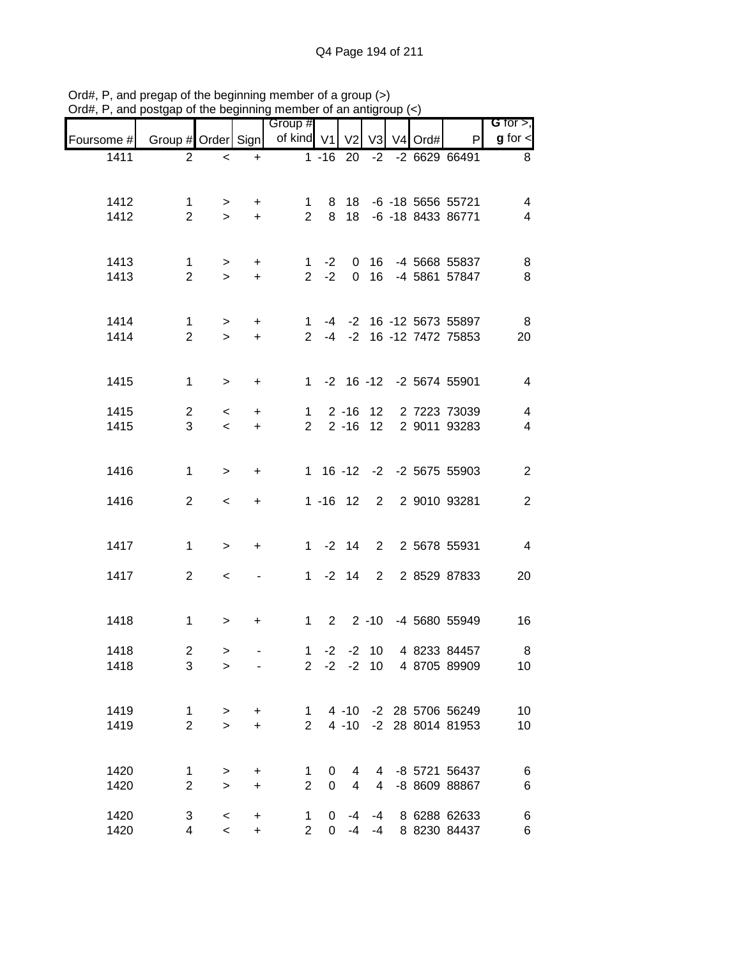|              |                         |         |           | Group #             |              |                      |             |         |                              | G for $>$ ,                                         |
|--------------|-------------------------|---------|-----------|---------------------|--------------|----------------------|-------------|---------|------------------------------|-----------------------------------------------------|
| Foursome #   | Group # Order Sign      |         |           | of kind V1          |              | V <sub>2</sub>       | V3          | V4 Ord# | P                            | $g$ for $\leq$                                      |
| 1411         | 2                       | $\,<$   | $\ddot{}$ |                     |              | $1 - 16$ 20          |             |         | -2 -2 6629 66491             | 8                                                   |
|              |                         |         |           |                     |              |                      |             |         |                              |                                                     |
| 1412         | $\mathbf{1}$            | >       | $\ddot{}$ | $1 \quad$           |              |                      |             |         | 8 18 -6 -18 5656 55721       | 4                                                   |
| 1412         | $\overline{2}$          | $\geq$  | $+$       | $2^{\circ}$         | 8            |                      |             |         | 18 -6 -18 8433 86771         | $\overline{4}$                                      |
|              |                         |         |           |                     |              |                      |             |         |                              |                                                     |
| 1413         | $\mathbf{1}$            | $\,$    | $+$       |                     |              | $1 - 2 0 16$         |             |         | -4 5668 55837                | 8                                                   |
| 1413         | $\overline{2}$          | $\geq$  | $+$       |                     | $2 -2$       |                      | $0$ 16      |         | -4 5861 57847                | 8                                                   |
|              |                         |         |           |                     |              |                      |             |         |                              |                                                     |
| 1414         | $\mathbf{1}$            | $\,$    | $+$       |                     |              |                      |             |         | 1 -4 -2 16 -12 5673 55897    | 8                                                   |
| 1414         | $\overline{2}$          | $\geq$  | $+$       |                     |              |                      |             |         | 2 -4 -2 16 -12 7472 75853    | 20                                                  |
|              |                         |         |           |                     |              |                      |             |         |                              |                                                     |
| 1415         | $\mathbf{1}$            | $\,>$   | $+$       |                     |              |                      |             |         | 1 -2 16 -12 -2 5674 55901    | $\overline{4}$                                      |
|              |                         |         |           |                     |              |                      |             |         |                              |                                                     |
| 1415<br>1415 | $\overline{2}$<br>3     | $\,<\,$ | $+$       | 1<br>$\overline{2}$ |              | $2 - 16$<br>$2 - 16$ | 12<br>12    |         | 2 7223 73039<br>2 9011 93283 | $\overline{\mathbf{4}}$<br>$\overline{\mathcal{A}}$ |
|              |                         | $\prec$ | $+$       |                     |              |                      |             |         |                              |                                                     |
|              |                         |         |           |                     |              |                      |             |         |                              |                                                     |
| 1416         | $\mathbf{1}$            | $\geq$  | $\ddot{}$ |                     |              |                      |             |         | 1 16 -12 -2 -2 5675 55903    | $\mathbf{2}$                                        |
| 1416         | $\overline{2}$          | $\,<$   | $+$       |                     |              |                      |             |         | 1 -16 12 2 2 9010 93281      | $\overline{2}$                                      |
|              |                         |         |           |                     |              |                      |             |         |                              |                                                     |
| 1417         | $\mathbf 1$             |         |           |                     |              |                      |             |         | 1 -2 14 2 2 5678 55931       | $\overline{4}$                                      |
|              |                         | $\,$    | $\ddot{}$ |                     |              |                      |             |         |                              |                                                     |
| 1417         | $\overline{2}$          | $\,<$   |           |                     |              | $1 - 2 14$           | $2^{\circ}$ |         | 2 8529 87833                 | 20                                                  |
|              |                         |         |           |                     |              |                      |             |         |                              |                                                     |
| 1418         | $\mathbf 1$             | $\, >$  | $+$       | $1 \quad$           |              |                      |             |         | 2 2 -10 -4 5680 55949        | 16                                                  |
|              |                         |         |           |                     |              |                      |             |         |                              |                                                     |
| 1418         | $\overline{\mathbf{c}}$ | $\geq$  |           | $\mathbf{1}$        | $-2$         |                      | $-2$ 10     |         | 4 8233 84457                 | 8                                                   |
| 1418         | 3                       | $\geq$  |           |                     |              |                      |             |         | 2 -2 -2 10 4 8705 89909      | 10                                                  |
|              |                         |         |           |                     |              |                      |             |         |                              |                                                     |
| 1419         | $\mathbf 1$             | $\,$    | $\pm$     |                     | $1 \quad$    |                      |             |         | 4 -10 -2 28 5706 56249       | 10                                                  |
| 1419         | $\overline{2}$          | $\geq$  | $\ddot{}$ | $2^{\circ}$         |              |                      |             |         | 4 -10 -2 28 8014 81953       | 10                                                  |
|              |                         |         |           |                     |              |                      |             |         |                              |                                                     |
| 1420         | 1                       | $\,>$   | +         | 1                   | 0            | 4                    |             |         | 4 -8 5721 56437              | $\,6$                                               |
| 1420         | $\overline{2}$          | $\geq$  | $\ddot{}$ | $\overline{2}$      | 0            | $\overline{4}$       | 4           |         | -8 8609 88867                | $\,6$                                               |
| 1420         | 3                       | $\,<$   | $\ddot{}$ | $\mathbf 1$         | $\mathbf{0}$ |                      | $-4 - 4$    |         | 8 6288 62633                 | $\,6$                                               |
| 1420         | 4                       | $\,<$   | $\ddot{}$ | $2^{\circ}$         |              | $0 -4 -4$            |             |         | 8 8230 84437                 | $\,6$                                               |

Ord#, P, and pregap of the beginning member of a group (>) Ord#, P, and postgap of the beginning member of an antigroup (<)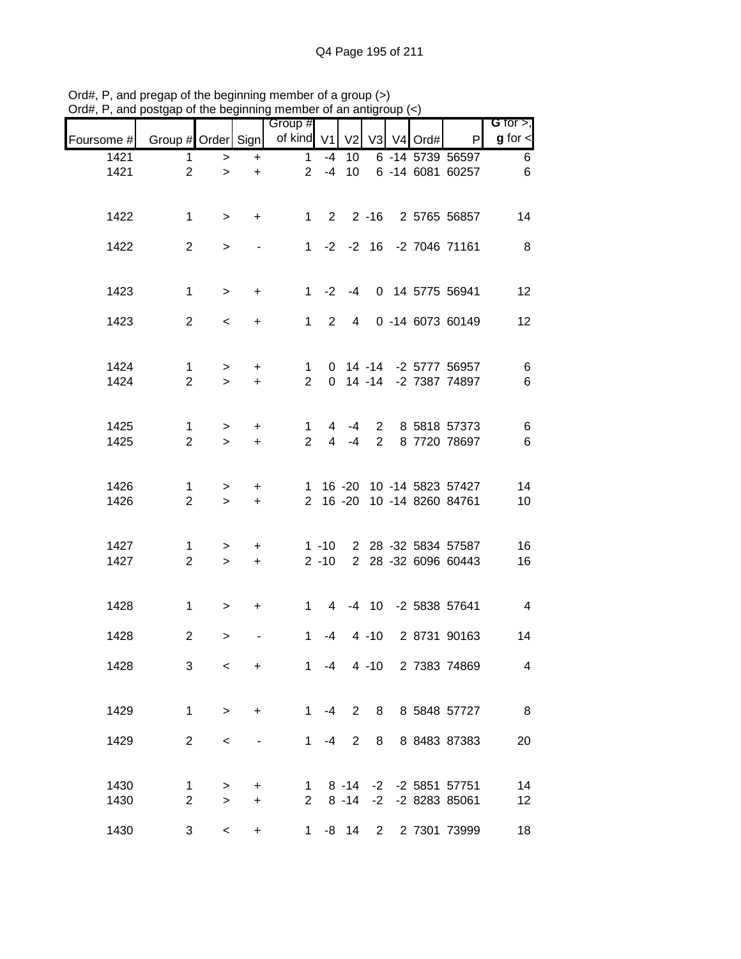|              |                                |                     |                        | Group #                        |                      |                |                |            |                                                        | G for $>$ ,    |
|--------------|--------------------------------|---------------------|------------------------|--------------------------------|----------------------|----------------|----------------|------------|--------------------------------------------------------|----------------|
| Foursome #   | Group # Order Sign             |                     |                        | of kind V1                     |                      | V <sub>2</sub> |                | V3 V4 Ord# | $\mathsf{P}$                                           | $g$ for $\lt$  |
| 1421<br>1421 | 1<br>$\overline{2}$            | $\,$<br>$\geq$      | $\ddot{}$<br>$\ddot{}$ | $\mathbf{1}$<br>$\overline{2}$ | $-4$<br>$-4$         | 10<br>10       |                |            | 6 -14 5739 56597<br>6 -14 6081 60257                   | 6<br>$\,6$     |
| 1422         | $\mathbf{1}$                   | $\geq$              | $+$                    |                                |                      |                |                |            | 1 2 2 -16 2 5765 56857                                 | 14             |
| 1422         | $\overline{2}$                 | $\,>$               |                        |                                |                      |                |                |            | 1 -2 -2 16 -2 7046 71161                               | 8              |
| 1423         | $\mathbf{1}$                   | $\,>$               | $+$                    |                                |                      | $1 -2 -4$      |                |            | 0 14 5775 56941                                        | 12             |
| 1423         | 2                              | $\prec$             | $+$                    | $1 \quad$                      |                      | $2 \quad 4$    |                |            | 0 -14 6073 60149                                       | 12             |
| 1424<br>1424 | $\mathbf{1}$<br>$\overline{2}$ | $\, >$<br>$\geq$    | $+$<br>$+$             | $\mathbf{1}$<br>$\overline{2}$ |                      |                |                |            | 0 14 -14 -2 5777 56957<br>0 14 -14 -2 7387 74897       | $\,6$<br>$\,6$ |
| 1425<br>1425 | $\mathbf{1}$<br>$\overline{2}$ | $\, > \,$<br>$\geq$ | $+$<br>$+$             | $\mathbf{1}$<br>$\overline{2}$ | 4<br>$\overline{4}$  | -4<br>$-4$     | $\overline{2}$ |            | 2 8 5818 57373<br>8 7720 78697                         | $\,6$<br>$\,6$ |
| 1426<br>1426 | 1<br>$\overline{2}$            | $\, > \,$<br>$\geq$ | $+$<br>$+$             | $\mathbf{1}$                   |                      |                |                |            | 16 -20 10 -14 5823 57427<br>2 16 -20 10 -14 8260 84761 | 14<br>10       |
| 1427<br>1427 | 1<br>$\overline{2}$            | $\geq$<br>$\,>$     | $\ddot{}$<br>$+$       |                                | $1 - 10$<br>$2 - 10$ |                |                |            | 2 28 -32 5834 57587<br>2 28 -32 6096 60443             | 16<br>16       |
| 1428         | $\mathbf{1}$                   | $\geq$              | $+$                    | $1 \quad$                      |                      |                |                |            | 4 -4 10 -2 5838 57641                                  | $\overline{4}$ |
| 1428         | $\overline{2}$                 | $\, >$              |                        | $\mathbf 1$                    | -4                   |                | $4 - 10$       |            | 2 8731 90163                                           | 14             |
| 1428         | 3                              | $\,<\,$             | $\ddot{}$              | $1 \quad$                      | $-4$                 |                |                |            | 4 -10 2 7383 74869                                     | $\overline{4}$ |
| 1429         | $\mathbf 1$                    | $\, >$              | $\ddot{}$              |                                | $1 - 4$              | $\overline{2}$ | 8              |            | 8 5848 57727                                           | 8              |
| 1429         | $\overline{2}$                 | $\,<\,$             |                        | $1 \quad$                      | $-4$                 | $\overline{2}$ | 8              |            | 8 8483 87383                                           | 20             |
| 1430<br>1430 | 1<br>$\overline{2}$            | $\, >$<br>$\geq$    | $\ddot{}$<br>$\ddot{}$ | 1.<br>$2^{\circ}$              |                      | $8 - 14$       | $-2$           |            | 8 -14 -2 -2 5851 57751<br>-2 8283 85061                | 14<br>12       |
| 1430         | 3                              | $\,<$               | +                      | 1                              |                      | $-8$ 14        |                |            | 2 2 7301 73999                                         | 18             |

Ord#, P, and pregap of the beginning member of a group (>) Ord#, P, and postgap of the beginning member of an antigroup (<)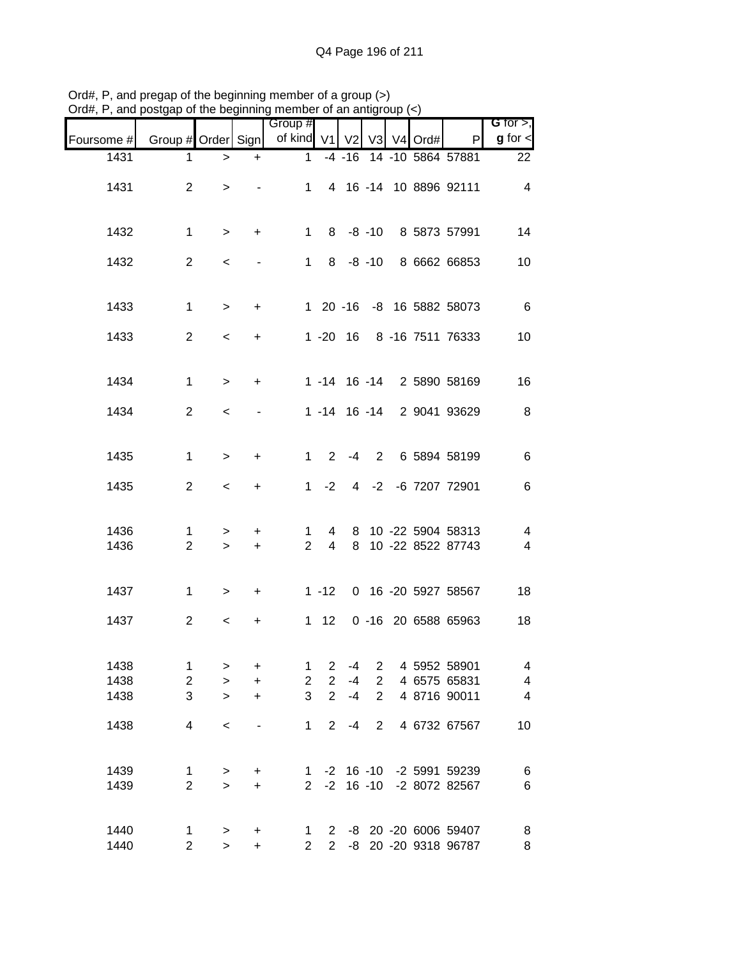| Jiu#,                | , and postgap or the beginning member or an antigroup $(\leq)$ |                           |                                               |                          |                                                    |                      |                                                    |             |            |                                                   |                                                                       |
|----------------------|----------------------------------------------------------------|---------------------------|-----------------------------------------------|--------------------------|----------------------------------------------------|----------------------|----------------------------------------------------|-------------|------------|---------------------------------------------------|-----------------------------------------------------------------------|
| Foursome #           | Group # Order Sign                                             |                           |                                               | Group #<br>of kind V1    |                                                    | V <sub>2</sub>       |                                                    |             | V3 V4 Ord# | P                                                 | G for $>$ ,<br>$g$ for $\lt$                                          |
| 1431                 | 1                                                              | $\, > \,$                 | $\ddot{}$                                     | 1                        |                                                    | $-4 - 16$            |                                                    |             |            | 14 -10 5864 57881                                 | 22                                                                    |
| 1431                 | $\overline{2}$                                                 | $\, >$                    |                                               | 1                        |                                                    |                      |                                                    |             |            | 4 16 -14 10 8896 92111                            | 4                                                                     |
| 1432                 | 1                                                              | $\geq$                    | $\ddot{}$                                     | $\mathbf 1$              |                                                    | $8 - 8 - 10$         |                                                    |             |            | 8 5873 57991                                      | 14                                                                    |
| 1432                 | $\overline{2}$                                                 | $\,<$                     |                                               | 1.                       |                                                    | $8 - 8 - 10$         |                                                    |             |            | 8 6662 66853                                      | 10                                                                    |
| 1433                 | 1                                                              | $\geq$                    | $\ddot{}$                                     |                          |                                                    |                      |                                                    |             |            | 1 20 -16 -8 16 5882 58073                         | $\,6$                                                                 |
| 1433                 | 2                                                              | $\prec$                   | $\ddot{}$                                     |                          | $1 - 20$                                           | 16                   |                                                    |             |            | 8 -16 7511 76333                                  | 10                                                                    |
| 1434                 | 1                                                              | $\geq$                    | +                                             |                          |                                                    |                      |                                                    |             |            | 1 -14 16 -14 2 5890 58169                         | 16                                                                    |
| 1434                 | $\overline{2}$                                                 | $\,<\,$                   |                                               |                          |                                                    |                      |                                                    |             |            | 1 -14 16 -14 2 9041 93629                         | $\, 8$                                                                |
| 1435                 | $\mathbf 1$                                                    | $\, >$                    | $\ddot{}$                                     | 1                        | $\mathbf{2}^{\circ}$                               | -4                   |                                                    | $2^{\circ}$ |            | 6 5894 58199                                      | 6                                                                     |
| 1435                 | $\overline{2}$                                                 | $\,<\,$                   | $\ddot{}$                                     | 1                        | $-2$                                               |                      |                                                    |             |            | 4 -2 -6 7207 72901                                | $\,6$                                                                 |
| 1436<br>1436         | 1<br>$\overline{2}$                                            | $\, > \,$<br>$\geq$       | $\ddot{}$<br>$\ddot{}$                        | 1<br>$\overline{2}$      | 4<br>$\overline{4}$                                | 8<br>8               |                                                    |             |            | 10 -22 5904 58313<br>10 -22 8522 87743            | 4<br>4                                                                |
| 1437                 | 1                                                              | $\, > \,$                 | +                                             |                          | $1 - 12$                                           |                      |                                                    |             |            | 0 16 -20 5927 58567                               | 18                                                                    |
| 1437                 | $\overline{2}$                                                 | $\,<\,$                   | +                                             |                          | $1 \quad 12$                                       |                      |                                                    |             |            | 0 -16 20 6588 65963                               | 18                                                                    |
| 1438<br>1438<br>1438 | 1<br>$\overline{c}$<br>3                                       | $\,>$<br>$\geq$<br>$\geq$ | +<br>$\ddot{}$<br>$\ddot{}$                   | 1<br>$\overline{2}$<br>3 | $\overline{2}$<br>$\overline{2}$<br>$\overline{2}$ | $-4$<br>$-4$<br>$-4$ | $\overline{2}$<br>$\overline{2}$<br>$\overline{2}$ |             |            | 4 5952 58901<br>4 6575 65831<br>4 8716 90011      | $\overline{\mathcal{A}}$<br>$\overline{\mathbf{4}}$<br>$\overline{4}$ |
| 1438                 | 4                                                              | $\,<\,$                   | $\qquad \qquad \blacksquare$                  | 1                        | $\overline{2}$                                     | $-4$                 | $\overline{2}$                                     |             |            | 4 6732 67567                                      | 10                                                                    |
| 1439<br>1439         | 1<br>$\overline{2}$                                            | $\, > \,$<br>$\mathbf{L}$ | +<br>$\ddot{}$                                | $\overline{2}$           | $-2$                                               |                      |                                                    |             |            | 1 -2 16 -10 -2 5991 59239<br>16 -10 -2 8072 82567 | $\,6$<br>$\,6$                                                        |
| 1440<br>1440         | 1<br>$\overline{2}$                                            | $\,>$<br>$\mathbf{L}$     | $\begin{array}{c} + \end{array}$<br>$\ddot{}$ | 1<br>2                   | 2<br>2 <sup>7</sup>                                |                      |                                                    |             |            | -8 20 -20 6006 59407<br>-8 20 -20 9318 96787      | 8<br>8                                                                |

Ord#, P, and pregap of the beginning member of a group (>) Ord#, P, and postgap of the beginning member of an antigroup (<)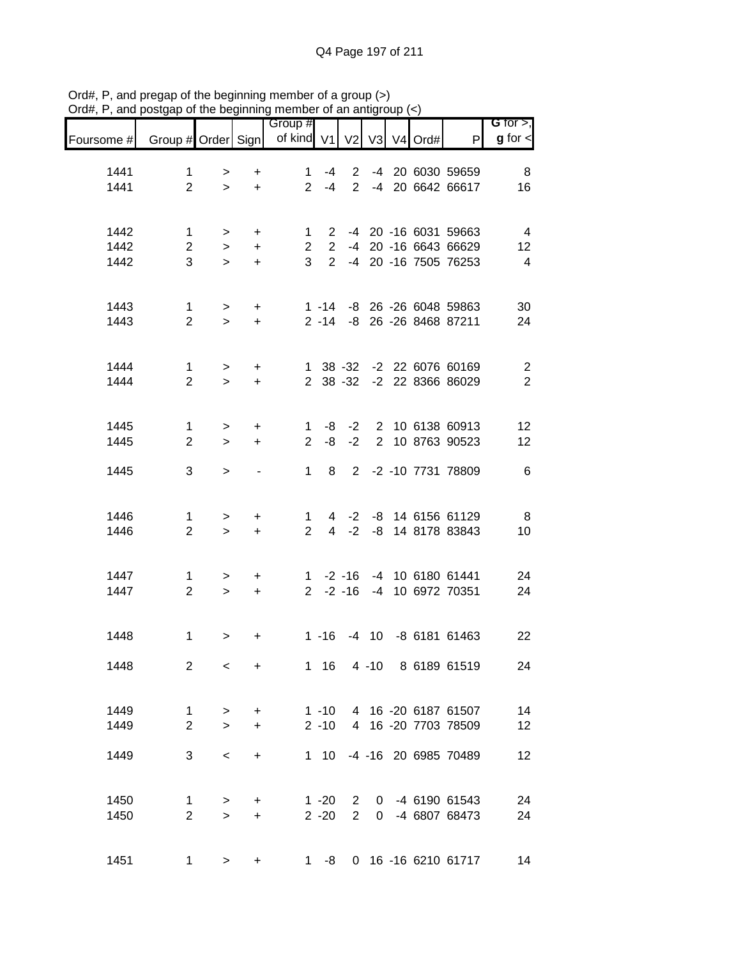| Foursome #   | Group # Order Sign             |                          |                        | Group #<br>of kind $V1$        |                               | V <sub>2</sub>         |  | $V3$ $V4$ Ord# | $\mathsf{P}$                                             | G for $>$ ,<br>$g$ for $\lt$     |
|--------------|--------------------------------|--------------------------|------------------------|--------------------------------|-------------------------------|------------------------|--|----------------|----------------------------------------------------------|----------------------------------|
|              |                                |                          |                        |                                |                               |                        |  |                |                                                          |                                  |
| 1441<br>1441 | 1<br>$\overline{2}$            | ><br>$\geq$              | $\ddot{}$<br>$\ddot{}$ | $\mathbf{1}$<br>$\overline{2}$ | -4<br>$-4$                    | $\overline{2}$         |  |                | 2 -4 20 6030 59659<br>-4 20 6642 66617                   | 8<br>16                          |
|              |                                |                          |                        |                                |                               |                        |  |                |                                                          |                                  |
| 1442<br>1442 | $\mathbf 1$<br>$\overline{2}$  | >                        | $\ddot{}$              | $\mathbf 1$<br>$\overline{2}$  | $2^{\circ}$<br>$\overline{2}$ |                        |  |                | -4 20 -16 6031 59663<br>-4 20 -16 6643 66629             | $\overline{4}$                   |
| 1442         | 3                              | $\geq$<br>$\geq$         | $\ddot{}$<br>$\ddot{}$ | 3 <sup>1</sup>                 | $2^{\circ}$                   |                        |  |                | -4 20 -16 7505 76253                                     | 12<br>$\overline{4}$             |
|              |                                |                          |                        |                                |                               |                        |  |                |                                                          |                                  |
| 1443<br>1443 | 1<br>$\overline{2}$            | $\,>$<br>$\geq$          | $\ddot{}$<br>$\ddot{}$ |                                |                               |                        |  |                | 1 -14 -8 26 -26 6048 59863<br>2 -14 -8 26 -26 8468 87211 | 30<br>24                         |
|              |                                |                          |                        |                                |                               |                        |  |                |                                                          |                                  |
| 1444<br>1444 | $\mathbf{1}$<br>$\overline{2}$ | $\,>$                    | $\ddot{}$              |                                |                               |                        |  |                | 1 38 -32 -2 22 6076 60169<br>2 38 -32 -2 22 8366 86029   | $\overline{c}$<br>$\overline{2}$ |
|              |                                | $\geq$                   | $\ddot{}$              |                                |                               |                        |  |                |                                                          |                                  |
| 1445         | $\mathbf{1}$                   | $\, > \,$                | +                      | 1                              | -8                            |                        |  |                | -2 2 10 6138 60913                                       | 12                               |
| 1445         | $\overline{2}$                 | $\geq$                   | $+$                    | $\overline{2}$                 | -8                            | $-2$                   |  |                | 2 10 8763 90523                                          | 12                               |
| 1445         | 3                              | $\geq$                   |                        | $\mathbf{1}$                   | 8                             |                        |  |                | 2 -2 -10 7731 78809                                      | $\,6$                            |
| 1446         | 1                              |                          |                        | $\mathbf 1$                    | 4                             | $-2$                   |  |                | -8 14 6156 61129                                         | 8                                |
| 1446         | $\overline{2}$                 | ><br>$\geq$              | $\ddot{}$<br>$\ddot{}$ | $\overline{2}$                 | $\overline{4}$                | $-2$                   |  |                | -8 14 8178 83843                                         | 10                               |
|              |                                |                          |                        |                                |                               |                        |  |                |                                                          |                                  |
| 1447<br>1447 | 1<br>$\overline{2}$            | $\, > \,$<br>$\geq$      | +<br>$\ddot{}$         | $1 \quad$<br>$2^{\circ}$       |                               | $-2 - 16$<br>$-2 - 16$ |  |                | -4 10 6180 61441<br>-4 10 6972 70351                     | 24<br>24                         |
|              |                                |                          |                        |                                |                               |                        |  |                |                                                          |                                  |
| 1448         | $\mathbf{1}$                   | $\,>$                    | $\ddot{}$              |                                | $1 - 16$                      |                        |  |                | -4 10 -8 6181 61463                                      | 22                               |
| 1448         | $\overline{2}$                 | $\overline{\phantom{0}}$ | $\ddot{}$              |                                |                               |                        |  |                | 1 16 4 -10 8 6189 61519                                  | 24                               |
|              |                                |                          |                        |                                |                               |                        |  |                |                                                          |                                  |
| 1449<br>1449 | $\mathbf{1}$<br>$\overline{2}$ | $\geq$<br>$\geq$         | $\ddot{}$<br>$\ddot{}$ |                                | $2 - 10$                      |                        |  |                | 1 -10 4 16 -20 6187 61507<br>4 16 -20 7703 78509         | 14<br>12                         |
| 1449         | 3                              | $\prec$                  | $\ddot{}$              |                                |                               |                        |  |                | 1 10 -4 -16 20 6985 70489                                | 12                               |
|              |                                |                          |                        |                                |                               |                        |  |                |                                                          |                                  |
| 1450         | $\mathbf{1}$                   | $\,$                     | $\pm$                  |                                | $1 - 20$                      | $2^{\circ}$            |  |                | 0 -4 6190 61543                                          | 24                               |
| 1450         | $\overline{2}$                 | $\geq$                   | $\ddot{}$              |                                | $2 - 20$                      | $2^{\circ}$            |  |                | 0 -4 6807 68473                                          | 24                               |
| 1451         | 1                              | $\, >$                   | $\ddot{}$              |                                | $1 - 8$                       |                        |  |                | 0 16 -16 6210 61717                                      | 14                               |

Ord#, P, and pregap of the beginning member of a group (>) Ord#, P, and postgap of the beginning member of an antigroup (<)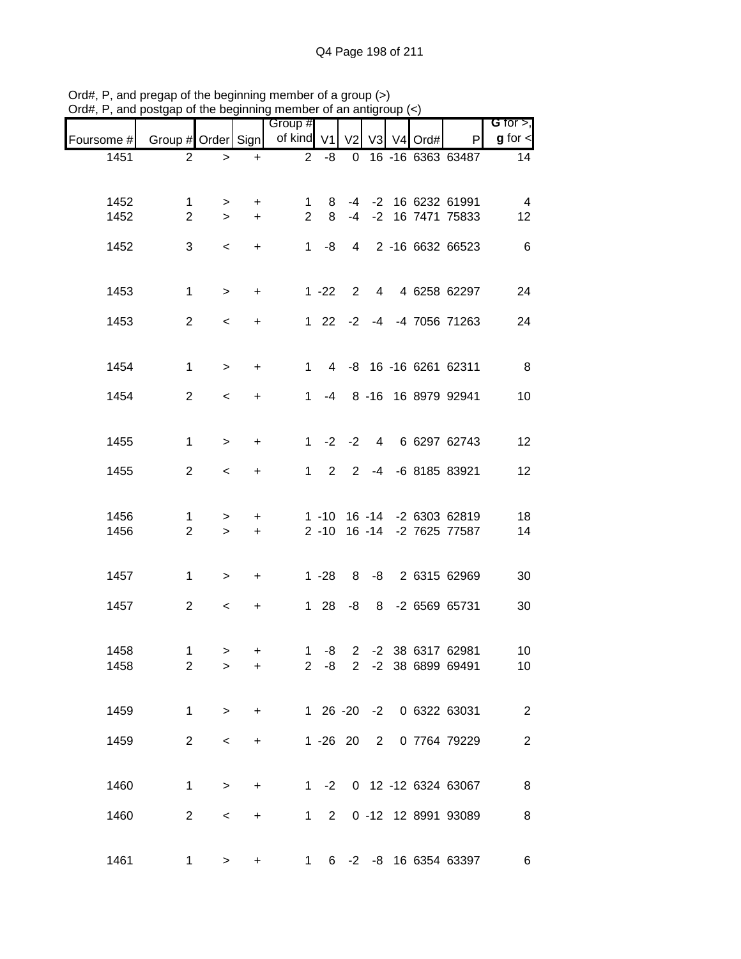|                               |                                |                          |           | 11101110010101011011011<br>Group # |                |             |  |                                               | G for $>$ ,             |
|-------------------------------|--------------------------------|--------------------------|-----------|------------------------------------|----------------|-------------|--|-----------------------------------------------|-------------------------|
| Foursome # Group # Order Sign |                                |                          |           | of kind V1 V2 V3 V4 Ord#           |                |             |  | P                                             | $g$ for $\leq$          |
| 1451                          | $\overline{2}$                 | $\, > \,$                | $\ddot{}$ | $2^{\circ}$                        | $-8$           |             |  | 0 16 -16 6363 63487                           | 14                      |
|                               |                                |                          |           |                                    |                |             |  |                                               |                         |
| 1452                          | $\mathbf 1$                    | $\geq$                   | $+$       | 1                                  | 8              |             |  | -4 -2 16 6232 61991                           | $\overline{4}$          |
| 1452                          | $\overline{2}$                 | $\geq$                   | $+$       | $2^{\circ}$                        |                |             |  | 8 -4 -2 16 7471 75833                         | 12                      |
| 1452                          | 3                              | $\,<\,$                  | $+$       |                                    | $1 - 8$        |             |  | 4 2 -16 6632 66523                            | 6                       |
|                               |                                |                          |           |                                    |                |             |  |                                               |                         |
| 1453                          | $\mathbf{1}$                   | $\,$                     | $+$       |                                    | $1 - 22$       | $2^{\circ}$ |  | 4 4 6258 62297                                | 24                      |
| 1453                          | $\overline{2}$                 | $\overline{\phantom{a}}$ | $\ddot{}$ |                                    |                |             |  | 1 22 -2 -4 -4 7056 71263                      | 24                      |
|                               |                                |                          |           |                                    |                |             |  |                                               |                         |
| 1454                          | $\mathbf{1}$                   |                          |           |                                    |                |             |  | 1 4 -8 16 -16 6261 62311                      | 8 <sup>8</sup>          |
|                               |                                | $\,$                     | $+$       |                                    |                |             |  |                                               |                         |
| 1454                          | $\overline{2}$                 | $\,<$                    | $+$       |                                    |                |             |  | 1 -4 8 -16 16 8979 92941                      | 10                      |
|                               |                                |                          |           |                                    |                |             |  |                                               |                         |
| 1455                          | $\mathbf{1}$                   | $\,$                     | $+$       |                                    |                | $1 -2 -2$   |  | 4 6 6297 62743                                | 12                      |
| 1455                          | $\overline{2}$                 | $\prec$                  | $+$       | $1 \quad$                          | $\overline{2}$ |             |  | 2 -4 -6 8185 83921                            | 12                      |
|                               |                                |                          |           |                                    |                |             |  |                                               |                         |
| 1456                          | $\mathbf 1$                    | $\geq$                   | $+$       |                                    |                |             |  | 1 -10 16 -14 -2 6303 62819                    | 18                      |
| 1456                          | $\overline{2}$                 | $\geq$                   | $+$       |                                    |                |             |  | 2 -10 16 -14 -2 7625 77587                    | 14                      |
|                               |                                |                          |           |                                    |                |             |  |                                               |                         |
| 1457                          | $\mathbf{1}$                   | $\geq$                   | $+$       |                                    |                |             |  | 1 -28 8 -8 2 6315 62969                       | 30                      |
|                               |                                |                          |           |                                    |                |             |  |                                               |                         |
| 1457                          | $\overline{2}$                 | $\,<\,$                  | $+$       |                                    |                |             |  | 1 28 -8 8 -2 6569 65731                       | 30                      |
|                               |                                |                          |           |                                    |                |             |  |                                               |                         |
| 1458<br>1458                  | $\mathbf{1}$<br>$\overline{2}$ | $\geq$<br>$\geq$         | +<br>+    |                                    | $1 - 8$        |             |  | 2 -2 38 6317 62981<br>2 -8 2 -2 38 6899 69491 | $10$<br>10 <sub>1</sub> |
|                               |                                |                          |           |                                    |                |             |  |                                               |                         |
| 1459                          | $\mathbf{1}$                   | $\,>$                    | $\ddot{}$ |                                    |                |             |  | 1 26 -20 -2 0 6322 63031                      | $\sqrt{2}$              |
|                               |                                |                          |           |                                    |                |             |  |                                               |                         |
| 1459                          | 2                              | $\,<$                    | +         |                                    |                | $1 - 26$ 20 |  | 2 0 7764 79229                                | $\overline{2}$          |
|                               |                                |                          |           |                                    |                |             |  |                                               |                         |
| 1460                          | $\mathbf{1}$                   | $\geq$                   | $\ddot{}$ |                                    |                |             |  | 1 -2 0 12 -12 6324 63067                      | 8 <sup>8</sup>          |
| 1460                          | 2                              | $\,<$                    | +         | $1 \quad$                          | $2^{\circ}$    |             |  | 0 -12 12 8991 93089                           | $\, 8$                  |
|                               |                                |                          |           |                                    |                |             |  |                                               |                         |
| 1461                          | $\mathbf{1}$                   | $\, >$                   | +         | $1 \quad$                          |                |             |  | 6 -2 -8 16 6354 63397                         | 6                       |

Ord#, P, and pregap of the beginning member of a group (>) Ord#, P, and postgap of the beginning member of an antigroup (<)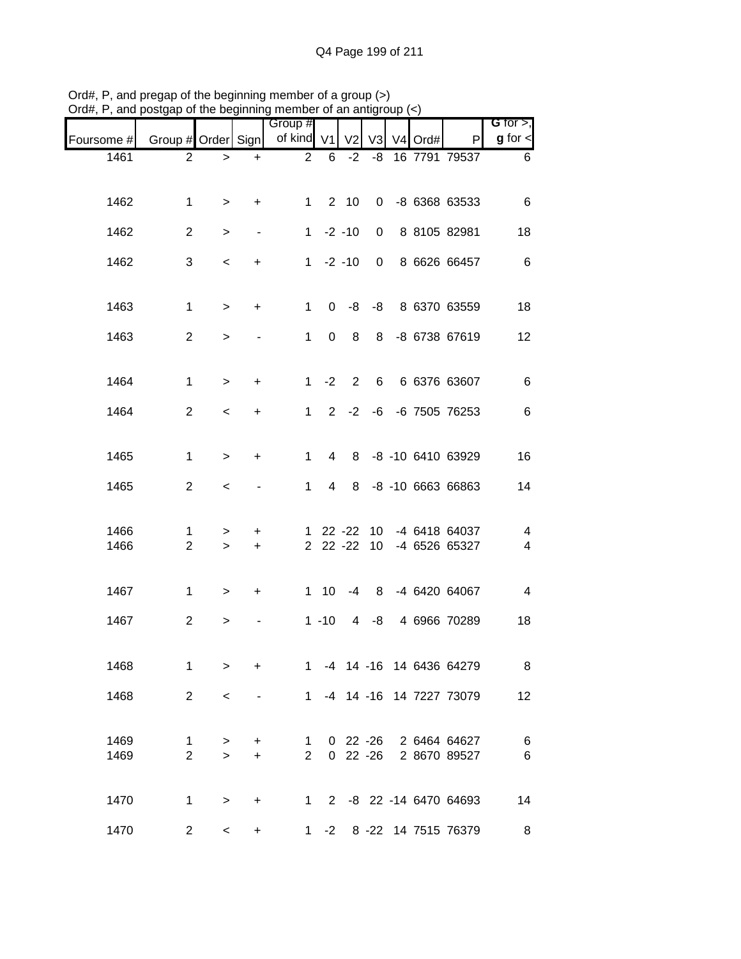| G for $>$ ,                  |                                |            |             |                 |                |                       |                              |             |                               | $O$ and $P$ and $P$ and $P$ and $P$ are beginning member of an analytical $\langle \cdot \rangle$ |
|------------------------------|--------------------------------|------------|-------------|-----------------|----------------|-----------------------|------------------------------|-------------|-------------------------------|---------------------------------------------------------------------------------------------------|
| $g$ for $\lt$                | P                              | V3 V4 Ord# |             | V <sub>2</sub>  |                | Group #<br>of kind V1 |                              |             | Group # Order Sign            | Foursome #                                                                                        |
| 6                            | 16 7791 79537                  |            | -8          | $-2$            | 6              | $\overline{2}$        | $\ddot{}$                    | $\, > \,$   | 2                             | 1461                                                                                              |
|                              |                                |            |             |                 |                |                       |                              |             |                               |                                                                                                   |
| 6                            | -8 6368 63533                  |            | $\mathbf 0$ | 2 <sub>10</sub> |                | 1                     | $\ddot{}$                    | $\, > \,$   | 1                             | 1462                                                                                              |
| 18                           | 8 8105 82981                   |            | 0           | $-2 - 10$       |                | 1                     | $\overline{\phantom{a}}$     | >           | 2                             | 1462                                                                                              |
| $\,6$                        | 8 6626 66457                   |            | 0           | $-2 - 10$       |                | 1                     | +                            | $\,<\,$     | 3                             | 1462                                                                                              |
|                              |                                |            |             |                 |                |                       |                              |             |                               |                                                                                                   |
| 18                           | 8 6370 63559                   |            | -8          | -8              | 0              | 1                     | +                            | $\, > \,$   | 1                             | 1463                                                                                              |
| 12                           | -8 6738 67619                  |            | 8           | 8               | $\Omega$       | 1                     |                              | $\, > \,$   | $\overline{2}$                | 1463                                                                                              |
|                              |                                |            |             |                 |                |                       |                              |             |                               |                                                                                                   |
| $\,6$                        | 6 6376 63607                   |            | 6           | 2               | $-2$           | 1                     | +                            | $\geq$      | 1                             | 1464                                                                                              |
| $\,6$                        | -6 7505 76253                  |            | -6          | $-2$            | $\overline{2}$ | 1                     | +                            | $\,<$       | $\overline{2}$                | 1464                                                                                              |
|                              |                                |            |             |                 |                |                       |                              |             |                               |                                                                                                   |
| 16                           | -8 -10 6410 63929              |            |             | 8               | 4              | 1                     | +                            | $\, > \,$   | 1                             | 1465                                                                                              |
| 14                           | -8 -10 6663 66863              |            |             | 8               | 4              | 1                     |                              | $\,<$       | $\mathbf{2}$                  | 1465                                                                                              |
|                              |                                |            |             |                 |                |                       |                              |             |                               |                                                                                                   |
| $\overline{\mathbf{4}}$<br>4 | -4 6418 64037<br>-4 6526 65327 |            | 10<br>10    | $22 - 22$       | $22 - 22 - 22$ | 1.                    | +<br>+                       | ><br>$\geq$ | $\mathbf 1$<br>$\overline{2}$ | 1466<br>1466                                                                                      |
|                              |                                |            |             |                 |                |                       |                              |             |                               |                                                                                                   |
| $\overline{4}$               | -4 6420 64067                  |            | 8           | -4              | 110            |                       | $\ddot{}$                    | $\, > \,$   | 1                             | 1467                                                                                              |
| 18                           | 4 6966 70289                   |            | -8          | 4               | $1 - 10$       |                       |                              | >           | $\overline{2}$                | 1467                                                                                              |
|                              |                                |            |             |                 |                |                       |                              |             |                               |                                                                                                   |
| 8                            | 1 -4 14 -16 14 6436 64279      |            |             |                 |                |                       | $\ddot{}$                    | $\, > \,$   | $\mathbf{1}$                  | 1468                                                                                              |
| 12                           | 1 -4 14 -16 14 7227 73079      |            |             |                 |                |                       | $\qquad \qquad \blacksquare$ | $\,<\,$     | 2                             | 1468                                                                                              |
|                              |                                |            |             |                 |                |                       |                              |             |                               |                                                                                                   |
| $\,6$                        | 0 22 -26 2 6464 64627          |            |             |                 |                | $\mathbf{1}$          | $\pm$                        | $\, > \,$   | $\mathbf{1}$                  | 1469                                                                                              |
| $\,6$                        | 0 22 -26 2 8670 89527          |            |             |                 |                | $2^{\circ}$           | $+$                          | $\geq$      | $\overline{2}$                | 1469                                                                                              |
| 14                           | 1 2 -8 22 -14 6470 64693       |            |             |                 |                |                       | $\ddot{}$                    | $\,>$       | $\mathbf{1}$                  | 1470                                                                                              |
|                              |                                |            |             |                 |                |                       |                              |             |                               |                                                                                                   |
| 8                            | 8 -22 14 7515 76379            |            |             |                 | 1 $-2$         |                       | +                            | $\,<$       | $\overline{2}$                | 1470                                                                                              |

Ord#, P, and pregap of the beginning member of a group (>) Ord#, P, and postgap of the beginning member of an antigroup (<)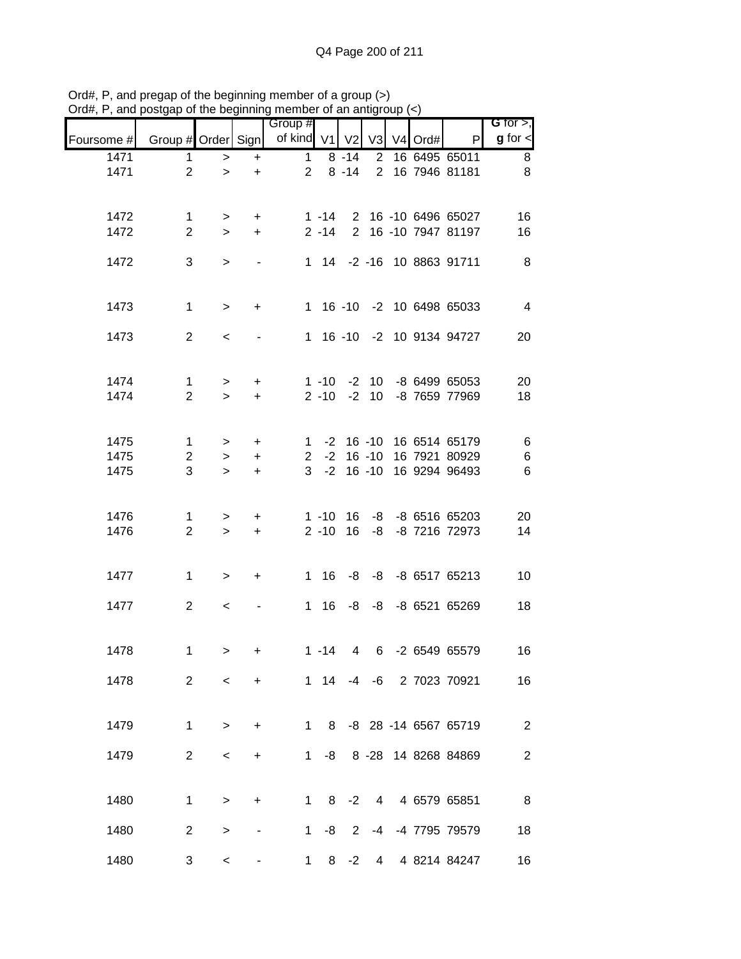|            |                         |           |                          | Group #        |          |                |                |            |                           | G for $>$ ,      |
|------------|-------------------------|-----------|--------------------------|----------------|----------|----------------|----------------|------------|---------------------------|------------------|
| Foursome # | Group # Order Sign      |           |                          | of kind V1     |          | V <sub>2</sub> |                | V3 V4 Ord# | P                         | $g$ for $\lt$    |
| 1471       | 1                       | $\,$      | $\ddot{}$                | $\mathbf{1}$   |          | $8 - 14$       | $\overline{2}$ |            | 16 6495 65011             | 8                |
| 1471       | $\overline{2}$          | $\geq$    | $\ddot{}$                | $\overline{2}$ |          | $8 - 14$       | $\overline{2}$ |            | 16 7946 81181             | 8                |
|            |                         |           |                          |                |          |                |                |            |                           |                  |
| 1472       | $\mathbf 1$             | $\,$      | +                        |                | $1 - 14$ |                |                |            | 2 16 -10 6496 65027       | 16               |
| 1472       | $\overline{2}$          | $\geq$    | $+$                      |                | $2 - 14$ |                |                |            | 2 16 -10 7947 81197       | 16               |
| 1472       | 3                       |           |                          |                |          |                |                |            | 1 14 -2 -16 10 8863 91711 | 8                |
|            |                         | $\geq$    | $\overline{\phantom{a}}$ |                |          |                |                |            |                           |                  |
|            |                         |           |                          |                |          |                |                |            |                           |                  |
| 1473       | $\mathbf 1$             | $\, >$    | $+$                      |                |          |                |                |            | 1 16 -10 -2 10 6498 65033 | $\overline{4}$   |
| 1473       | $\overline{2}$          | $\,<$     |                          |                |          |                |                |            | 1 16 -10 -2 10 9134 94727 | 20               |
|            |                         |           |                          |                |          |                |                |            |                           |                  |
|            |                         |           |                          |                |          |                |                |            |                           |                  |
| 1474       | $\mathbf{1}$            | $\,$      | $+$                      |                |          |                |                |            | 1 -10 -2 10 -8 6499 65053 | 20               |
| 1474       | $\overline{2}$          | $\geq$    | $\ddot{}$                |                | $2 - 10$ |                |                |            | -2 10 -8 7659 77969       | 18               |
|            |                         |           |                          |                |          |                |                |            |                           |                  |
| 1475       | $\mathbf{1}$            | $\geq$    | $\ddot{}$                | $\mathbf{1}$   |          |                |                |            | -2 16 -10 16 6514 65179   | 6                |
| 1475       | $\overline{\mathbf{c}}$ | $\,$      | $\ddot{}$                | $\overline{2}$ | $-2$     |                | $16 - 10$      |            | 16 7921 80929             | $\,6$            |
| 1475       | 3                       | $\geq$    | $\ddot{}$                | 3 <sup>1</sup> | $-2$     |                | $16 - 10$      |            | 16 9294 96493             | $\,6$            |
|            |                         |           |                          |                |          |                |                |            |                           |                  |
| 1476       | $\mathbf 1$             | $\, > \,$ | $\ddot{}$                |                | $1 - 10$ | 16             |                |            | -8 -8 6516 65203          | 20               |
| 1476       | $\overline{2}$          | $\geq$    | $\ddot{}$                |                | $2 - 10$ | 16             | -8             |            | -8 7216 72973             | 14               |
|            |                         |           |                          |                |          |                |                |            |                           |                  |
| 1477       | 1                       | $\geq$    | +                        | 1              | 16       |                |                |            | -8 -8 -8 6517 65213       | 10               |
|            |                         |           |                          |                |          |                |                |            |                           |                  |
| 1477       | $\overline{2}$          | $\,<$     |                          |                | 1 16     |                |                |            | -8 -8 -8 6521 65269       | 18               |
|            |                         |           |                          |                |          |                |                |            |                           |                  |
| 1478       | $\mathbf 1$             | $\geq$    | +                        |                | $1 - 14$ | 4              |                |            | 6 -2 6549 65579           | 16               |
|            |                         |           |                          |                |          |                |                |            |                           |                  |
| 1478       | $\overline{2}$          | $\,<\,$   | $\ddot{}$                |                |          |                |                |            | 1 14 -4 -6 2 7023 70921   | 16               |
|            |                         |           |                          |                |          |                |                |            |                           |                  |
| 1479       | $\mathbf{1}$            | $\geq$    | $\ddot{}$                |                |          |                |                |            | 1 8 -8 28 -14 6567 65719  | $\overline{2}$   |
|            |                         |           |                          |                |          |                |                |            |                           |                  |
| 1479       | $\overline{2}$          | $\,<\,$   | $\ddot{}$                |                | $1 - 8$  |                |                |            | 8 -28 14 8268 84869       | $\boldsymbol{2}$ |
|            |                         |           |                          |                |          |                |                |            |                           |                  |
| 1480       | $\mathbf{1}$            | $\, > \,$ | $\ddot{}$                | $1 \quad$      | 8        | $-2$           |                |            | 4 4 6579 65851            | $_{\rm 8}$       |
|            |                         |           |                          |                |          |                |                |            |                           |                  |
| 1480       | $\overline{2}$          | $\, > \,$ |                          |                | $1 - 8$  | 2              |                |            | -4 -4 7795 79579          | 18               |
| 1480       | 3                       | $\,<\,$   |                          | 1              | 8        | $-2$           |                |            | 4 4 8214 84247            | 16               |

Ord#, P, and pregap of the beginning member of a group (>) Ord#, P, and postgap of the beginning member of an antigroup (<)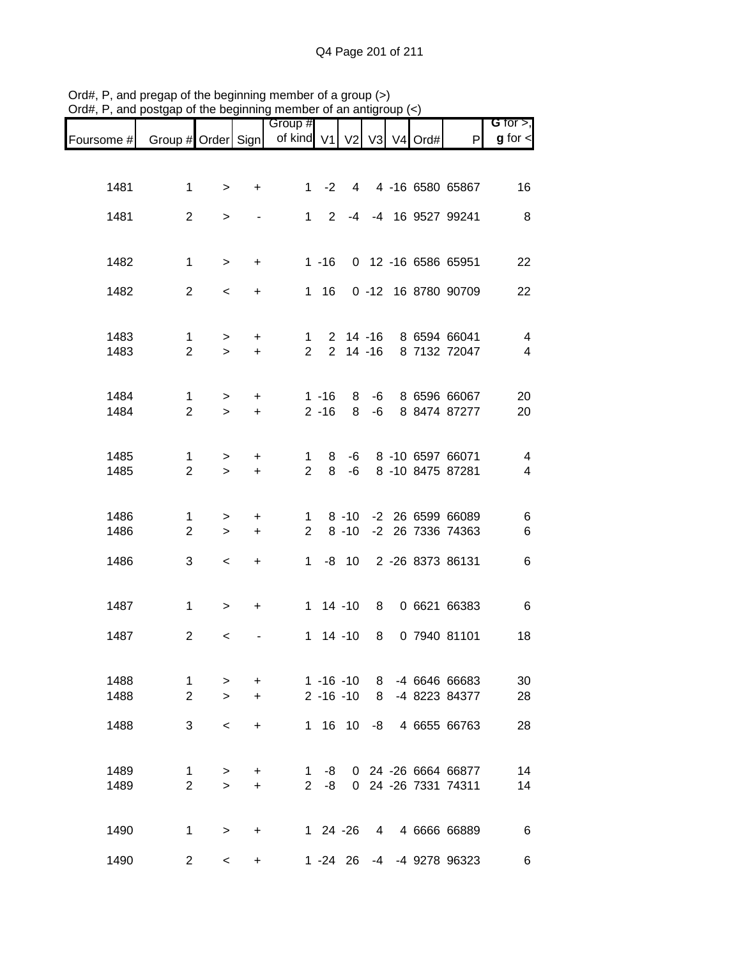|              |                                |                     | .                |                                     |                                |          |                |  |                                                |                                  |
|--------------|--------------------------------|---------------------|------------------|-------------------------------------|--------------------------------|----------|----------------|--|------------------------------------------------|----------------------------------|
| Foursome #   | Group # Order Sign             |                     |                  | Group #<br>of kind V1 V2 V3 V4 Ord# |                                |          |                |  | P                                              | G for $>$ ,<br>$g$ for $\lt$     |
|              |                                |                     |                  |                                     |                                |          |                |  |                                                |                                  |
| 1481         | $\mathbf 1$                    | $\,$                | $\ddot{}$        |                                     |                                |          |                |  | 1 -2 4 4 -16 6580 65867                        | 16                               |
| 1481         | $\overline{2}$                 | $\geq$              |                  |                                     | $1 \quad$<br>$2^{\circ}$       |          |                |  | -4 -4 16 9527 99241                            | 8                                |
| 1482         | $\mathbf{1}$                   | $\,$                | $+$              |                                     | $1 - 16$                       |          |                |  | 0 12 -16 6586 65951                            | 22                               |
| 1482         | $\overline{2}$                 | $\,<\,$             | +                |                                     | $1 \t16$                       |          |                |  | 0 -12 16 8780 90709                            | 22                               |
| 1483<br>1483 | $\mathbf{1}$<br>$\overline{2}$ | $\geq$<br>$\geq$    | $\ddot{}$<br>$+$ | $1 \quad$<br>$2^{\circ}$            |                                |          |                |  | 2 14 -16 8 6594 66041<br>2 14 -16 8 7132 72047 | $\overline{4}$<br>$\overline{4}$ |
| 1484<br>1484 | $\mathbf{1}$<br>$\overline{2}$ | $\geq$<br>$\geq$    | $\ddot{}$<br>$+$ |                                     | $1 - 16$<br>$2 - 16$           | 8<br>8   |                |  | -6 8 6596 66067<br>-6 8 8474 87277             | 20<br>20                         |
| 1485<br>1485 | $\mathbf 1$<br>$\overline{2}$  | $\geq$<br>$\geq$    | $\pm$<br>$+$     | $\mathbf 1$<br>$\overline{2}$       | 8<br>8                         | -6       |                |  | -6 8 -10 6597 66071<br>8 -10 8475 87281        | 4<br>$\overline{4}$              |
| 1486<br>1486 | 1<br>$\overline{2}$            | $\,$<br>$\, >$      | $\ddot{}$<br>$+$ | $2^{\circ}$                         |                                | $8 - 10$ |                |  | 1 8 -10 -2 26 6599 66089<br>-2 26 7336 74363   | 6<br>$\,6$                       |
| 1486         | 3                              | $\,<$               | $+$              |                                     |                                |          |                |  | 1 -8 10 2 -26 8373 86131                       | 6                                |
| 1487         | $\mathbf 1$                    | $\, > \,$           | $\ddot{}$        |                                     | $1 14 - 10$                    |          | 8 <sup>1</sup> |  | 0 6621 66383                                   | 6                                |
| 1487         | $\overline{2}$                 | $\,<$               |                  |                                     | $1 14 - 10$                    |          | 8              |  | 0 7940 81101                                   | 18                               |
| 1488<br>1488 | $\mathbf{1}$<br>$\overline{2}$ | $\, > \,$<br>$\geq$ | +<br>$\ddot{}$   |                                     | $1 - 16 - 10$<br>$2 - 16 - 10$ |          | - 8<br>8       |  | -4 6646 66683<br>-4 8223 84377                 | 30<br>28                         |
| 1488         | 3                              | $\,<$               | $\ddot{}$        |                                     | 1 16 10                        |          | -8             |  | 4 6655 66763                                   | 28                               |
| 1489<br>1489 | $\mathbf{1}$<br>$\overline{2}$ | $\, > \,$<br>$\geq$ | +<br>$\ddot{}$   | $1 \quad$<br>$2^{\circ}$            | -8<br>-8                       |          |                |  | 0 24 -26 6664 66877<br>0 24 -26 7331 74311     | 14<br>14                         |
| 1490         | 1                              | $\, > \,$           | $\ddot{}$        |                                     | $124 - 26$                     |          |                |  | 4 4 6666 66889                                 | 6                                |
| 1490         | $\overline{2}$                 | $\prec$             | $\ddot{}$        |                                     | $1 - 24$ 26                    |          |                |  | -4 -4 9278 96323                               | 6                                |

Ord#, P, and pregap of the beginning member of a group (>) Ord#, P, and postgap of the beginning member of an antigroup (<)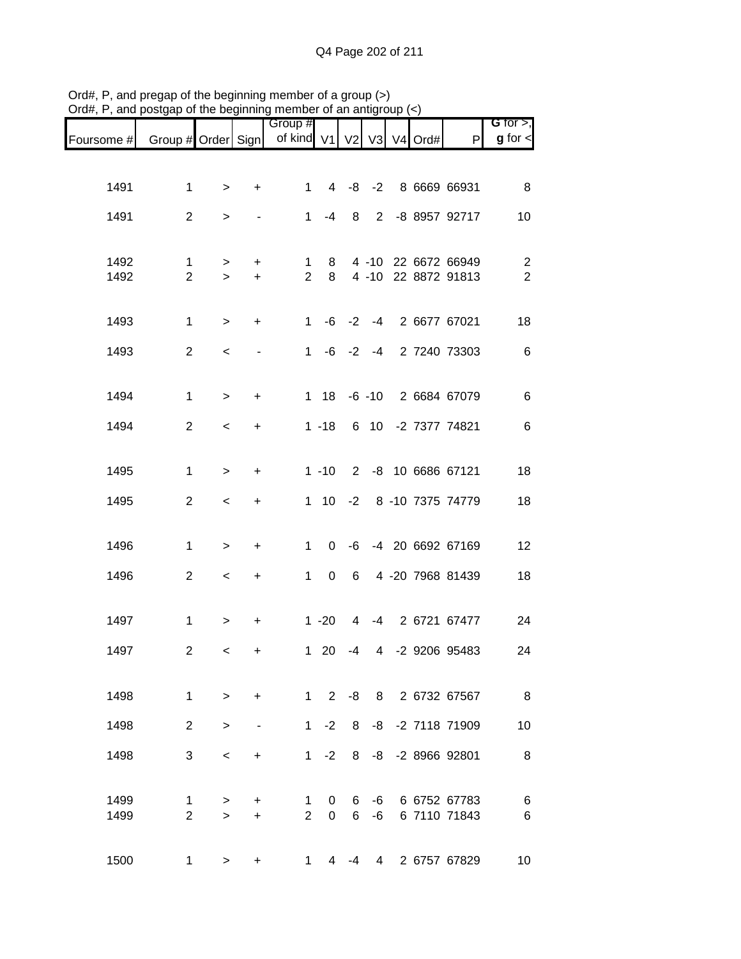| Foursome # | Group # Order Sign      |           |           | Group #<br>of kind V1 |                          | V <sub>2</sub> | V <sub>3</sub> | V4 Ord# | P                    | G for $>$ ,<br>$g$ for $\lt$ |
|------------|-------------------------|-----------|-----------|-----------------------|--------------------------|----------------|----------------|---------|----------------------|------------------------------|
|            |                         |           |           |                       |                          |                |                |         |                      |                              |
| 1491       | $\mathbf{1}$            | $\, > \,$ | +         | 1                     |                          |                |                |         | 4 -8 -2 8 6669 66931 | 8                            |
| 1491       | $\overline{2}$          | $\geq$    |           | $\mathbf 1$           | $-4$                     | 8              |                |         | 2 -8 8957 92717      | 10                           |
| 1492       | $\mathbf 1$             | $\,$      | $\ddot{}$ | 1                     | 8                        |                |                |         | 4 -10 22 6672 66949  | 2                            |
| 1492       | $\overline{2}$          | $\geq$    | $\ddot{}$ | $\overline{2}$        | 8                        |                |                |         | 4 -10 22 8872 91813  | $\overline{2}$               |
| 1493       | $\mathbf{1}$            | $\,$      | $\ddot{}$ | $\mathbf{1}$          |                          | $-6 -2$        |                |         | -4 2 6677 67021      | 18                           |
|            |                         |           |           |                       |                          |                |                |         |                      |                              |
| 1493       | $\overline{2}$          | $\,<\,$   |           | $\mathbf{1}$          |                          | $-6$ $-2$ $-4$ |                |         | 2 7240 73303         | $6\phantom{1}6$              |
| 1494       | $\mathbf{1}$            | $\,>$     | +         |                       | $1 18$                   |                |                |         | -6 -10 2 6684 67079  | 6                            |
| 1494       | $\overline{2}$          | $\,<\,$   | +         |                       | $1 - 18$                 |                |                |         | 6 10 -2 7377 74821   | 6                            |
|            |                         |           |           |                       |                          |                |                |         |                      |                              |
| 1495       | 1                       | $\,>$     | $\ddot{}$ |                       | $1 - 10$                 |                |                |         | 2 -8 10 6686 67121   | 18                           |
| 1495       | $\overline{2}$          | $\,<\,$   | $\ddot{}$ |                       | $1 10$                   |                |                |         | -2 8 -10 7375 74779  | 18                           |
| 1496       | $\mathbf 1$             | $\,$      | $\ddot{}$ | 1                     | 0                        | -6             |                |         | -4 20 6692 67169     | 12                           |
| 1496       | $\overline{2}$          | $\,<$     | $\ddot{}$ | $\mathbf{1}$          | $\mathbf 0$              | 6              |                |         | 4 -20 7968 81439     | 18                           |
|            |                         |           |           |                       |                          |                |                |         |                      |                              |
| 1497       | $\mathbf{1}$            | $\,$      | $\ddot{}$ |                       | $1 - 20$                 | $\overline{4}$ |                |         | -4 2 6721 67477      | 24                           |
| 1497       | $\overline{\mathbf{c}}$ | $\,<$     | +         |                       | $1 \quad 20$             | -4             | $\overline{4}$ |         | -2 9206 95483        | 24                           |
| 1498       | $\mathbf{1}$            | $\geq$    | $\ddot{}$ |                       | $1 \quad$<br>$2^{\circ}$ | -8             |                |         | 8 2 6732 67567       | 8                            |
| 1498       | $\overline{2}$          |           |           | $1 \quad$             | $-2$                     | 8              |                |         | -8 -2 7118 71909     | 10                           |
|            |                         | $\geq$    |           |                       |                          |                |                |         |                      |                              |
| 1498       | 3                       | $\,<\,$   | +         | 1                     | $-2$                     | 8              |                |         | -8 -2 8966 92801     | 8                            |
| 1499       | 1                       | $\, > \,$ | +         | 1                     | 0                        | 6              | -6             |         | 6 6752 67783         | 6                            |
| 1499       | $\overline{2}$          | $\geq$    | +         | $\overline{2}$        | 0                        | 6              | -6             |         | 6 7110 71843         | 6                            |
| 1500       | 1                       | $\, > \,$ | +         | 1                     | 4                        | -4             | $\overline{4}$ |         | 2 6757 67829         | 10                           |

Ord#, P, and pregap of the beginning member of a group (>) Ord#, P, and postgap of the beginning member of an antigroup (<)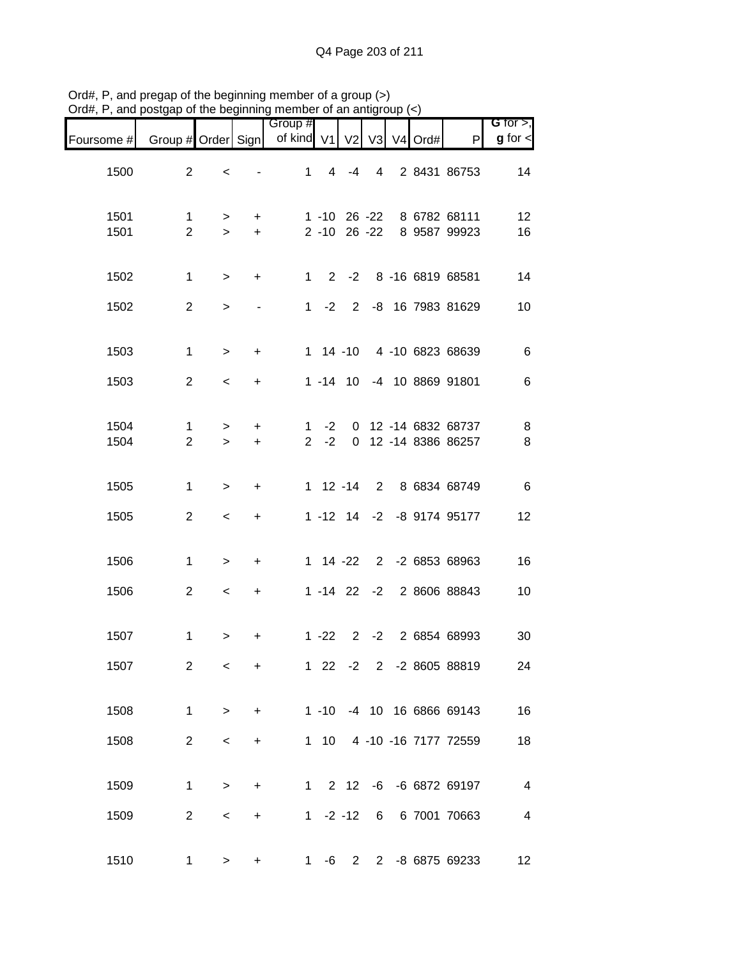| G for $>$ ,             |                                            |                     |                |                |                                   | Group #                     |                        |                |                                |              |
|-------------------------|--------------------------------------------|---------------------|----------------|----------------|-----------------------------------|-----------------------------|------------------------|----------------|--------------------------------|--------------|
| $g$ for $\lt$           | P                                          | V <sub>4</sub> Ord# | V3             | V <sub>2</sub> |                                   | of kind V1                  |                        |                | Group # Order Sign             | Foursome #   |
| 14                      | 2 8431 86753                               |                     | $\overline{4}$ | $-4$           | $\overline{4}$                    | $\mathbf{1}$                |                        | $\,<$          | $\overline{2}$                 | 1500         |
| 12<br>16                | 8 6782 68111<br>8 9587 99923               |                     |                |                | $1 - 10$ 26 $-22$<br>2 -10 26 -22 |                             | $\ddot{}$<br>$\ddot{}$ | $\,$<br>$\geq$ | $\mathbf 1$<br>$\overline{2}$  | 1501<br>1501 |
| 14                      | 1 2 -2 8 -16 6819 68581                    |                     |                |                |                                   |                             | $\ddot{}$              | $\,$           | $\mathbf{1}$                   | 1502         |
| 10                      | 2 -8 16 7983 81629                         |                     |                |                | $1 -2$                            |                             |                        | $\,$           | $\overline{2}$                 | 1502         |
| $\,6$                   | 1 14 -10 4 -10 6823 68639                  |                     |                |                |                                   |                             | $\ddot{}$              | $\, >$         | $\mathbf 1$                    | 1503         |
| $\,6$                   | 1 -14 10 -4 10 8869 91801                  |                     |                |                |                                   |                             | +                      | $\prec$        | $\overline{2}$                 | 1503         |
| 8<br>$\, 8$             | 0 12 -14 6832 68737<br>0 12 -14 8386 86257 |                     |                |                | $-2$<br>$-2$                      | $\mathbf{1}$<br>$2^{\circ}$ | $\ddot{}$<br>$\ddot{}$ | $\,$<br>$\geq$ | $\mathbf{1}$<br>$\overline{2}$ | 1504<br>1504 |
| $\,6$                   | 2 8 6834 68749                             |                     |                |                | $1 12 - 14$                       |                             | +                      | $\geq$         | 1                              | 1505         |
| 12                      | 1 -12 14 -2 -8 9174 95177                  |                     |                |                |                                   |                             | $\ddot{}$              | $\,<$          | $\overline{2}$                 | 1505         |
| 16                      | 1 14 -22 2 -2 6853 68963                   |                     |                |                |                                   |                             | $\ddot{}$              | $\,$           | 1                              | 1506         |
| 10                      | 1 -14 22 -2 2 8606 88843                   |                     |                |                |                                   |                             | $\ddot{}$              | $\,<\,$        | $\overline{2}$                 | 1506         |
| 30                      | 2 6854 68993                               |                     | $2 -2$         |                | $1 - 22$                          |                             | +                      | >              | $\mathbf 1$                    | 1507         |
| 24                      | 1 22 -2 2 -2 8605 88819                    |                     |                |                |                                   |                             | +                      | $\,<\,$        | 2                              | 1507         |
| 16                      | 1 -10 -4 10 16 6866 69143                  |                     |                |                |                                   |                             | $+$                    | $\,>$          | $\mathbf{1}$                   | 1508         |
| 18                      | 1 10 4 -10 -16 7177 72559                  |                     |                |                |                                   |                             | $\ddot{}$              | $\,<$          | $\overline{2}$                 | 1508         |
| $\overline{4}$          | 1 2 12 -6 -6 6872 69197                    |                     |                |                |                                   |                             | $\ddot{}$              | $\geq$         | $\mathbf 1$                    | 1509         |
| $\overline{\mathbf{4}}$ | 1 -2 -12 6 6 7001 70663                    |                     |                |                |                                   |                             | $\ddot{}$              | $\,<$          | $\overline{2}$                 | 1509         |
| 12                      | 1 -6 2 2 -8 6875 69233                     |                     |                |                |                                   |                             | +                      | >              | 1                              | 1510         |

Ord#, P, and pregap of the beginning member of a group (>) Ord#, P, and postgap of the beginning member of an antigroup (<)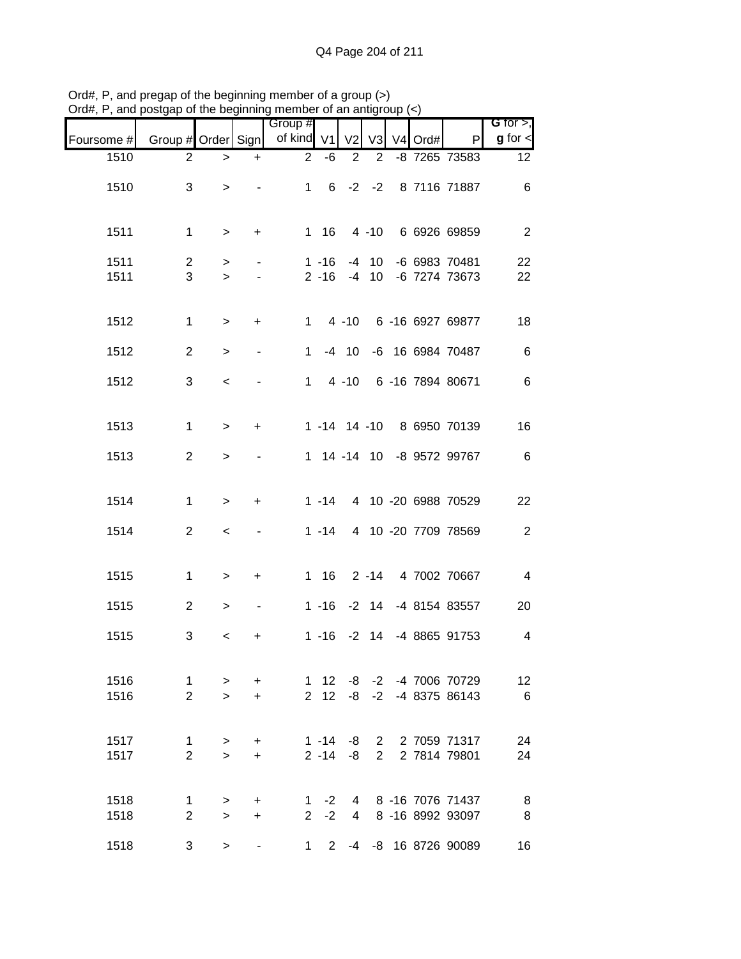| $O(\alpha_{\rm H}, r, \alpha)$ and posigap or the beginning member or an analyticip ( $\epsilon$ ) |                    |           |                |                       |                   |                |                |                     |                           |                               |
|----------------------------------------------------------------------------------------------------|--------------------|-----------|----------------|-----------------------|-------------------|----------------|----------------|---------------------|---------------------------|-------------------------------|
| Foursome #                                                                                         | Group # Order Sign |           |                | Group #<br>of kind V1 |                   | V <sub>2</sub> | V3             | V <sub>4</sub> Ord# | P                         | G for $>$ ,<br>$g$ for $\leq$ |
| 1510                                                                                               | $\overline{2}$     | $\, > \,$ | $\ddot{}$      | $\overline{2}$        | -6                | $\overline{2}$ | $\overline{2}$ |                     | -8 7265 73583             | 12 <sup>°</sup>               |
| 1510                                                                                               | 3                  | $\geq$    |                | $\mathbf{1}$          | 6                 |                | $-2 -2$        |                     | 8 7116 71887              | 6                             |
| 1511                                                                                               | $\mathbf 1$        | $\, >$    | $\ddot{}$      |                       | $1 \t16$          |                | $4 - 10$       |                     | 6 6926 69859              | $\overline{2}$                |
| 1511                                                                                               | $\overline{2}$     | $\, > \,$ |                |                       | $1 - 16$          |                | $-4$ 10        |                     | -6 6983 70481             | 22                            |
| 1511                                                                                               | 3                  | $\geq$    |                |                       | $2 - 16$          | $-4$           | 10             |                     | -6 7274 73673             | 22                            |
| 1512                                                                                               | 1                  | $\, >$    | $\ddot{}$      | $\mathbf{1}$          |                   | $4 - 10$       |                |                     | 6 -16 6927 69877          | 18                            |
| 1512                                                                                               | $\overline{2}$     | $\, >$    | $\blacksquare$ | 1                     |                   | $-4$ 10        |                |                     | -6 16 6984 70487          | 6                             |
| 1512                                                                                               | 3                  | $\,<$     |                | 1                     |                   | $4 - 10$       |                |                     | 6 -16 7894 80671          | $\,6$                         |
| 1513                                                                                               | 1                  | $\, > \,$ | $\ddot{}$      |                       | $1 - 14$ 14 $-10$ |                |                |                     | 8 6950 70139              | 16                            |
| 1513                                                                                               | $\overline{2}$     | $\,$      |                |                       |                   |                |                |                     | 1 14 -14 10 -8 9572 99767 | 6                             |
| 1514                                                                                               | $\mathbf 1$        | $\geq$    | $\ddot{}$      |                       | $1 - 14$          |                |                |                     | 4 10 -20 6988 70529       | 22                            |
| 1514                                                                                               | $\overline{2}$     | $\,<$     |                |                       | $1 - 14$          |                |                |                     | 4 10 -20 7709 78569       | $\sqrt{2}$                    |
|                                                                                                    |                    |           |                |                       |                   |                |                |                     |                           |                               |
| 1515                                                                                               | 1                  | $\, > \,$ | +              |                       | 1 16              |                |                |                     | 2 -14 4 7002 70667        | $\overline{\mathcal{A}}$      |
| 1515                                                                                               | $\overline{2}$     | $\, > \,$ | $\blacksquare$ |                       |                   |                |                |                     | 1 -16 -2 14 -4 8154 83557 | 20                            |
| 1515                                                                                               | 3                  | $\,<\,$   | +              |                       | $1 - 16$          |                |                |                     | -2 14 -4 8865 91753       | $\overline{4}$                |
| 1516                                                                                               | 1                  | $\,$      | $\ddot{}$      |                       | $1 \quad 12$      |                |                |                     | -8 -2 -4 7006 70729       | 12                            |
| 1516                                                                                               | $\overline{2}$     | $\geq$    | $\ddot{}$      |                       | $2 \quad 12$      | -8             |                |                     | $-2$ $-4$ 8375 86143      | 6                             |
| 1517                                                                                               | $\mathbf{1}$       | $\, >$    | $\ddot{}$      |                       | $1 - 14$          | -8             |                |                     | 2 2 7059 71317            | 24                            |
| 1517                                                                                               | $\overline{2}$     | $\geq$    | $\ddot{}$      |                       | $2 - 14$          | -8             | $2^{\circ}$    |                     | 2 7814 79801              | 24                            |
| 1518                                                                                               | 1                  | >         | +              |                       | $1 -2$            |                | $\overline{4}$ |                     | 8 -16 7076 71437          | 8                             |
| 1518                                                                                               | $\overline{2}$     | $\geq$    | $\ddot{}$      | $\overline{2}$        | $-2$              | $\overline{4}$ |                |                     | 8 -16 8992 93097          | 8                             |
| 1518                                                                                               | 3                  | $\, >$    |                | $1 \quad$             | $\overline{2}$    |                |                |                     | -4 -8 16 8726 90089       | 16                            |

Ord#, P, and pregap of the beginning member of a group (>) Ord#, P, and postgap of the beginning member of an antigroup (<)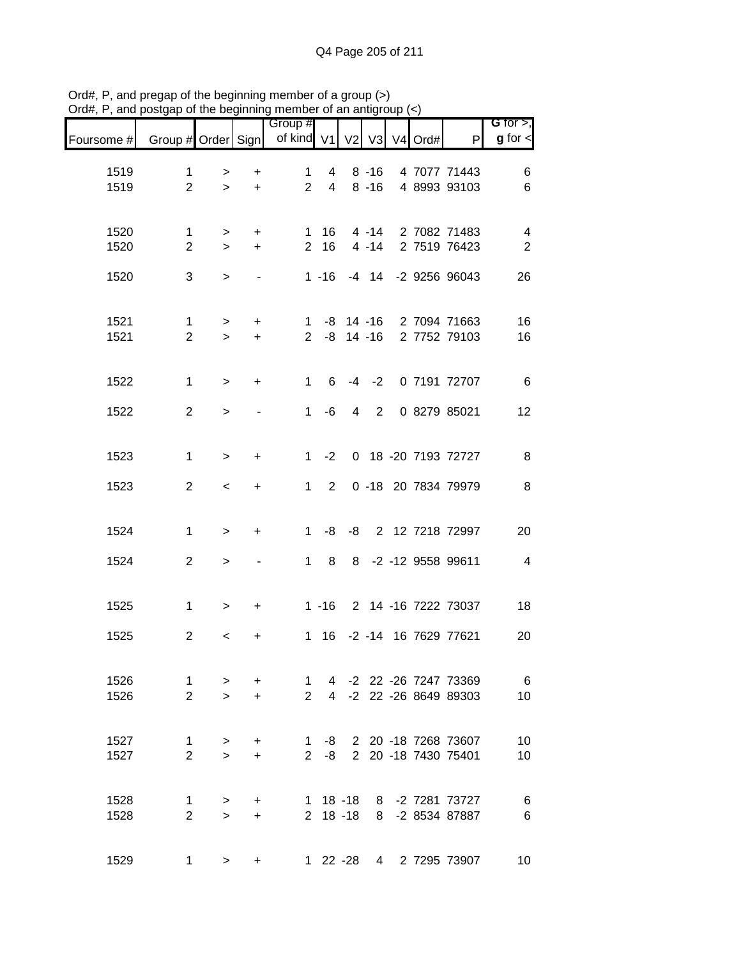| G for $>$ ,                           |                              |                          |                      |                |                | Group #                       |                        |                |                               |              |
|---------------------------------------|------------------------------|--------------------------|----------------------|----------------|----------------|-------------------------------|------------------------|----------------|-------------------------------|--------------|
| $g$ for $\lt$                         | $\mathsf{P}$                 | $V3$ V <sub>4</sub> Ord# |                      | V <sub>2</sub> |                | of kind V1                    |                        |                | Group # Order Sign            | Foursome #   |
| 6                                     | 4 7077 71443                 |                          | $8 - 16$             |                | 4              | $\mathbf 1$                   | $\ddot{}$              | >              | 1                             | 1519         |
| $\,6$                                 | 4 8993 93103                 |                          | $8 - 16$             |                | $\overline{4}$ | $\overline{2}$                | $\ddot{}$              | $\geq$         | $\overline{2}$                | 1519         |
|                                       |                              |                          |                      |                |                |                               |                        |                |                               |              |
| $\overline{\mathbf{4}}$<br>$\sqrt{2}$ | 2 7082 71483<br>2 7519 76423 |                          | $4 - 14$<br>$4 - 14$ |                | 16<br>16       | $\mathbf 1$<br>$\overline{2}$ | $\ddot{}$<br>$\ddot{}$ | ><br>$\geq$    | $\mathbf 1$<br>$\overline{2}$ | 1520<br>1520 |
| 26                                    | -4 14 -2 9256 96043          |                          |                      |                | $1 - 16$       |                               |                        | $\geq$         | 3                             | 1520         |
|                                       |                              |                          |                      |                |                |                               |                        |                |                               |              |
| 16                                    | 2 7094 71663                 |                          |                      |                | $1 - 8$ 14 -16 |                               | $\ddot{}$              | $\, > \,$      | $\mathbf{1}$                  | 1521         |
| 16                                    | 2 7752 79103                 |                          |                      |                | $2 -8 14 -16$  |                               | $\ddot{}$              | $\geq$         | $\overline{2}$                | 1521         |
|                                       |                              |                          |                      |                |                |                               |                        |                |                               |              |
| $\,6$                                 | 0 7191 72707                 |                          | $-4 -2$              |                | 6              | $\mathbf{1}$                  | $\ddot{}$              | $\geq$         | $\mathbf{1}$                  | 1522         |
| 12                                    | 0 8279 85021                 |                          | 2                    | 4              | -6             | $\mathbf 1$                   |                        | $\, > \,$      | $\overline{2}$                | 1522         |
|                                       |                              |                          |                      |                |                |                               |                        |                |                               |              |
| 8                                     | 0 18 -20 7193 72727          |                          |                      |                | $-2$           | $\mathbf{1}$                  | $\ddot{}$              | $\geq$         | $\mathbf{1}$                  | 1523         |
| $\, 8$                                | 0 -18 20 7834 79979          |                          |                      |                | $\overline{2}$ | $\mathbf{1}$                  | +                      | $\prec$        | $\overline{2}$                | 1523         |
|                                       |                              |                          |                      |                |                |                               |                        |                |                               |              |
| 20                                    | 2 12 7218 72997              |                          |                      | -8             | -8             | $\mathbf 1$                   | +                      | $\geq$         | $\mathbf 1$                   | 1524         |
| $\overline{4}$                        | -2 -12 9558 99611            |                          |                      | 8              | 8              | $\mathbf{1}$                  |                        | $\geq$         | $\overline{2}$                | 1524         |
|                                       |                              |                          |                      |                |                |                               |                        |                |                               |              |
| 18                                    | 2 14 -16 7222 73037          |                          |                      |                | $1 - 16$       |                               | +                      | $\, >$         | $\mathbf 1$                   | 1525         |
|                                       | -2 -14 16 7629 77621         |                          |                      |                |                |                               |                        |                | $\mathbf{2}$                  |              |
| 20                                    |                              |                          |                      |                | 16             | $\mathbf{1}$                  | +                      | $\,<$          |                               | 1525         |
| 6                                     | 4 -2 22 -26 7247 73369       |                          |                      |                |                | $\mathbf{1}$                  | $\ddot{}$              | $\,$           | $\mathbf{1}$                  | 1526         |
| 10                                    | 4 -2 22 -26 8649 89303       |                          |                      |                |                | $\overline{2}$                | $\ddot{}$              | $\geq$         | $\overline{2}$                | 1526         |
|                                       |                              |                          |                      |                |                |                               |                        |                |                               |              |
| 10                                    | 1 -8 2 20 -18 7268 73607     |                          |                      |                |                |                               | $\ddot{}$              | $\, > \,$      | $\mathbf{1}$                  | 1527         |
| 10                                    | 2 20 -18 7430 75401          |                          |                      |                | $-8$           | $2^{\circ}$                   | $\ddot{}$              | $\geq$         | $\overline{2}$                | 1527         |
| $\,6$                                 | 1 18 -18 8 -2 7281 73727     |                          |                      |                |                |                               | $+$                    |                | $\mathbf{1}$                  | 1528         |
| $\,6$                                 | 8 -2 8534 87887              |                          |                      |                | $2$ 18 -18     |                               | $\ddot{}$              | $\,$<br>$\geq$ | $\overline{2}$                | 1528         |
|                                       |                              |                          |                      |                |                |                               |                        |                |                               |              |
| 10                                    | 1 22 -28 4 2 7295 73907      |                          |                      |                |                |                               |                        | >              | 1                             | 1529         |

Ord#, P, and pregap of the beginning member of a group (>) Ord#, P, and postgap of the beginning member of an antigroup (<)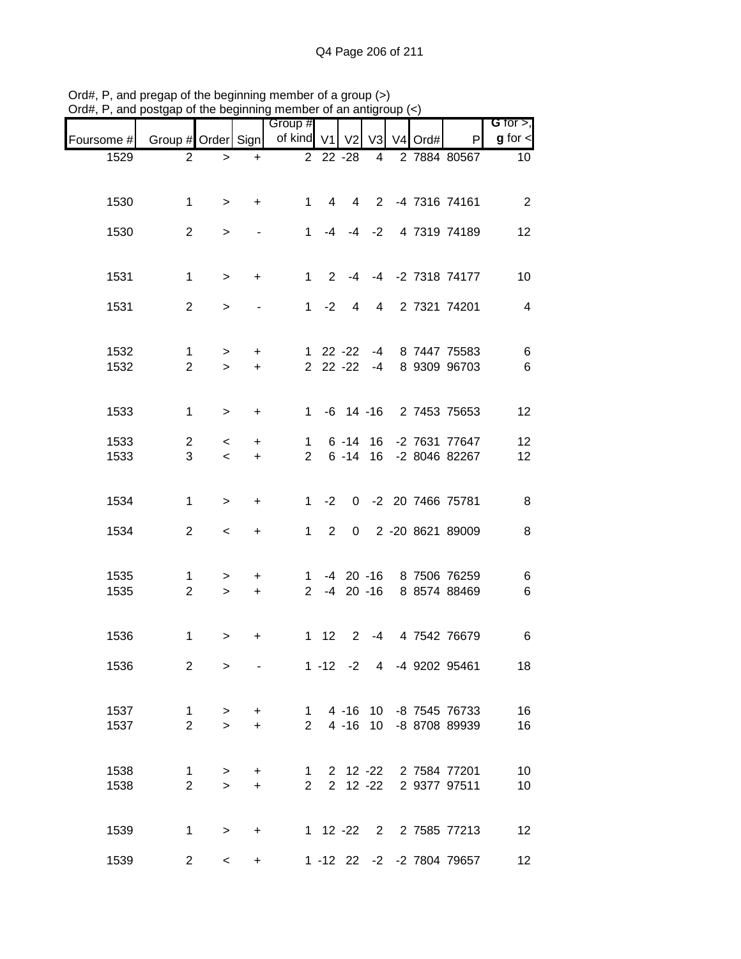|                                                                  |                |                          | .         | Group #     |             |                      |      |  |                           | $G$ for $>$ ,   |
|------------------------------------------------------------------|----------------|--------------------------|-----------|-------------|-------------|----------------------|------|--|---------------------------|-----------------|
| Foursome # Group # Order Sign   of kind V1   V2   V3   V4   Ord# |                |                          |           |             |             |                      |      |  | P                         | $g$ for $\lt$   |
| 1529                                                             | 2              | $\, >$                   | $\ddot{}$ |             |             | 2 22 -28             | 4    |  | 2 7884 80567              | 10              |
|                                                                  |                |                          |           |             |             |                      |      |  |                           |                 |
| 1530                                                             | $\mathbf{1}$   | $\geq$                   | $+$       | $1 \quad$   |             |                      |      |  | 4 4 2 -4 7316 74161       | 2               |
|                                                                  |                |                          |           |             |             |                      |      |  |                           |                 |
| 1530                                                             | $\overline{2}$ | $\geq$                   |           |             |             |                      |      |  | 1 -4 -4 -2 4 7319 74189   | 12              |
|                                                                  |                |                          |           |             |             |                      |      |  |                           |                 |
| 1531                                                             | $\mathbf{1}$   | $\, >$                   | $+$       |             |             |                      |      |  | 1 2 -4 -4 -2 7318 74177   | 10              |
|                                                                  |                |                          |           |             |             |                      |      |  |                           |                 |
| 1531                                                             | 2              | $\mathbf{L}$             |           |             |             | $1 -2 4$             |      |  | 4 2 7321 74201            | $\overline{4}$  |
|                                                                  |                |                          |           |             |             |                      |      |  |                           |                 |
| 1532                                                             | $\mathbf{1}$   | $\,$                     | $+$       |             |             |                      |      |  | 1 22 -22 -4 8 7447 75583  | $\,6$           |
| 1532                                                             | $\overline{2}$ | $\geq$                   | $+$       |             |             |                      |      |  | 2 22 -22 -4 8 9309 96703  | $6\phantom{1}6$ |
|                                                                  |                |                          |           |             |             |                      |      |  |                           |                 |
| 1533                                                             | $\mathbf{1}$   | $\geq$                   | $\ddot{}$ |             |             |                      |      |  | 1 -6 14 -16 2 7453 75653  | 12              |
|                                                                  |                |                          |           |             |             |                      |      |  |                           |                 |
| 1533                                                             | $\overline{2}$ | $\,<\,$                  | $\ddot{}$ | $1 \quad$   |             |                      |      |  | 6 -14 16 -2 7631 77647    | 12              |
| 1533                                                             | 3              | $\prec$                  | $+$       |             |             |                      |      |  | 2 6 -14 16 -2 8046 82267  | 12              |
|                                                                  |                |                          |           |             |             |                      |      |  |                           |                 |
| 1534                                                             | $\mathbf{1}$   | $\geq$                   | $\ddot{}$ |             |             |                      |      |  | 1 -2 0 -2 20 7466 75781   | 8               |
|                                                                  |                |                          |           |             |             |                      |      |  |                           |                 |
| 1534                                                             | $\overline{2}$ | $\,<$                    | $+$       | $\mathbf 1$ | $2^{\circ}$ |                      |      |  | 0 2 -20 8621 89009        | 8               |
|                                                                  |                |                          |           |             |             |                      |      |  |                           |                 |
| 1535                                                             | $\mathbf{1}$   | $\geq$                   | $\ddot{}$ |             |             |                      |      |  | 1 -4 20 -16 8 7506 76259  | 6               |
| 1535                                                             | $\overline{2}$ | $\geq$                   | $+$       |             |             |                      |      |  | 2 -4 20 -16 8 8574 88469  | $\,6$           |
|                                                                  |                |                          |           |             |             |                      |      |  |                           |                 |
| 1536                                                             | $\mathbf 1$    | $\, > \,$                | +         |             |             | $1 \quad 12 \quad 2$ | $-4$ |  | 4 7542 76679              | 6               |
|                                                                  |                |                          |           |             |             |                      |      |  |                           |                 |
| 1536                                                             | 2              | $\geq$                   |           |             |             |                      |      |  | 1 -12 -2 4 -4 9202 95461  | 18              |
|                                                                  |                |                          |           |             |             |                      |      |  |                           |                 |
| 1537                                                             | $\mathbf{1}$   | $\geq$                   | $+$       |             |             |                      |      |  | 1 4 -16 10 -8 7545 76733  | 16              |
| 1537                                                             | 2              | $\geq$                   | $+$       | $2^{\circ}$ |             |                      |      |  | 4 -16 10 -8 8708 89939    | 16              |
|                                                                  |                |                          |           |             |             |                      |      |  |                           |                 |
| 1538                                                             | $\mathbf{1}$   | $\, >$                   | $\ddot{}$ | 1           |             |                      |      |  | 2 12 -22 2 7584 77201     | 10              |
| 1538                                                             | $\overline{2}$ | $\,>$                    | $+$       | $2^{\circ}$ |             |                      |      |  | 2 12 -22 2 9377 97511     | 10              |
|                                                                  |                |                          |           |             |             |                      |      |  |                           |                 |
| 1539                                                             | $\mathbf{1}$   | $\, >$                   | $\ddot{}$ |             |             |                      |      |  | 1 12 -22 2 2 7585 77213   | 12              |
|                                                                  |                |                          |           |             |             |                      |      |  |                           |                 |
| 1539                                                             | $\overline{2}$ | $\overline{\phantom{0}}$ | $+$       |             |             |                      |      |  | 1 -12 22 -2 -2 7804 79657 | 12              |

Ord#, P, and pregap of the beginning member of a group (>) Ord#, P, and postgap of the beginning member of an antigroup (<)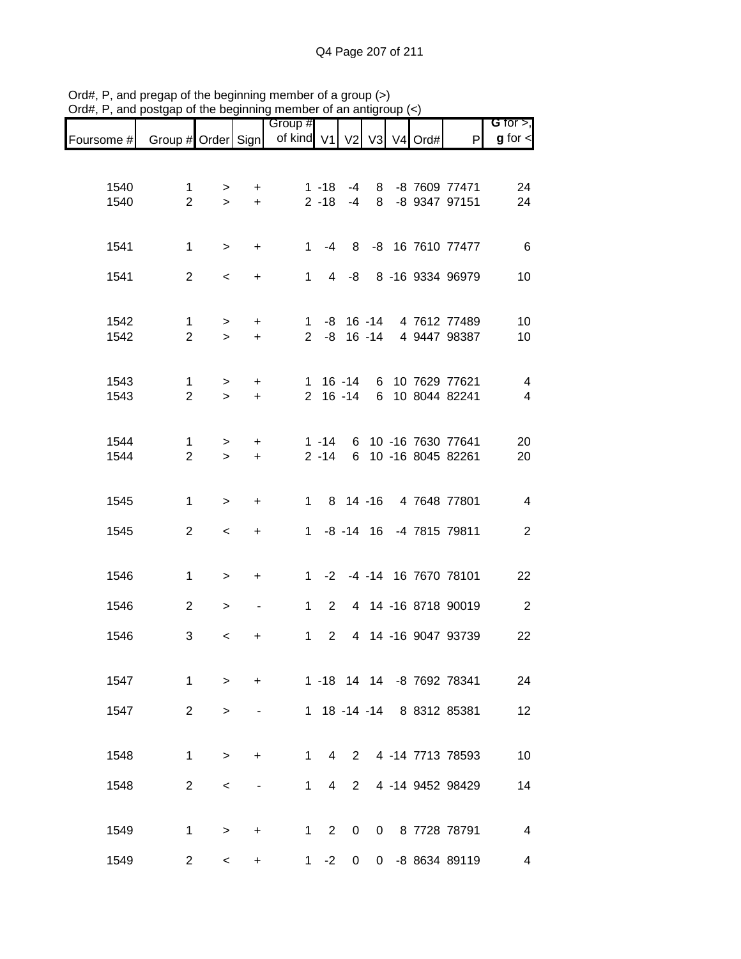|              |                                                                             | .                                                                                                                                                                                                                                   |                                                                               |                                                                            |                                                                                                   |                                 |                |   | G for $>$ ,                                                                                                                                                                                                                                                                                                                                                                                                                                                                                                                                                                                                    |
|--------------|-----------------------------------------------------------------------------|-------------------------------------------------------------------------------------------------------------------------------------------------------------------------------------------------------------------------------------|-------------------------------------------------------------------------------|----------------------------------------------------------------------------|---------------------------------------------------------------------------------------------------|---------------------------------|----------------|---|----------------------------------------------------------------------------------------------------------------------------------------------------------------------------------------------------------------------------------------------------------------------------------------------------------------------------------------------------------------------------------------------------------------------------------------------------------------------------------------------------------------------------------------------------------------------------------------------------------------|
|              |                                                                             |                                                                                                                                                                                                                                     |                                                                               |                                                                            |                                                                                                   |                                 |                | P | $g$ for $\lt$                                                                                                                                                                                                                                                                                                                                                                                                                                                                                                                                                                                                  |
|              |                                                                             |                                                                                                                                                                                                                                     |                                                                               |                                                                            |                                                                                                   |                                 |                |   |                                                                                                                                                                                                                                                                                                                                                                                                                                                                                                                                                                                                                |
| $\mathbf{1}$ |                                                                             | $\ddot{}$                                                                                                                                                                                                                           |                                                                               |                                                                            |                                                                                                   |                                 |                |   | 24                                                                                                                                                                                                                                                                                                                                                                                                                                                                                                                                                                                                             |
|              |                                                                             |                                                                                                                                                                                                                                     |                                                                               |                                                                            |                                                                                                   |                                 |                |   | 24                                                                                                                                                                                                                                                                                                                                                                                                                                                                                                                                                                                                             |
|              |                                                                             |                                                                                                                                                                                                                                     |                                                                               |                                                                            |                                                                                                   |                                 |                |   |                                                                                                                                                                                                                                                                                                                                                                                                                                                                                                                                                                                                                |
|              |                                                                             |                                                                                                                                                                                                                                     |                                                                               |                                                                            |                                                                                                   |                                 |                |   | $-6$                                                                                                                                                                                                                                                                                                                                                                                                                                                                                                                                                                                                           |
|              | $\,<$                                                                       | $\ddot{}$                                                                                                                                                                                                                           |                                                                               |                                                                            |                                                                                                   |                                 |                |   | 10                                                                                                                                                                                                                                                                                                                                                                                                                                                                                                                                                                                                             |
|              |                                                                             |                                                                                                                                                                                                                                     |                                                                               |                                                                            |                                                                                                   |                                 |                |   |                                                                                                                                                                                                                                                                                                                                                                                                                                                                                                                                                                                                                |
|              | $\geq$                                                                      | $+$                                                                                                                                                                                                                                 |                                                                               |                                                                            |                                                                                                   |                                 |                |   | 10<br>10                                                                                                                                                                                                                                                                                                                                                                                                                                                                                                                                                                                                       |
|              |                                                                             |                                                                                                                                                                                                                                     |                                                                               |                                                                            |                                                                                                   |                                 |                |   |                                                                                                                                                                                                                                                                                                                                                                                                                                                                                                                                                                                                                |
| $\mathbf{1}$ | $\,>$                                                                       | $+$                                                                                                                                                                                                                                 |                                                                               |                                                                            |                                                                                                   |                                 |                |   | $\overline{4}$                                                                                                                                                                                                                                                                                                                                                                                                                                                                                                                                                                                                 |
|              | $\geq$                                                                      | $+$                                                                                                                                                                                                                                 |                                                                               |                                                                            |                                                                                                   |                                 |                |   | $\overline{4}$                                                                                                                                                                                                                                                                                                                                                                                                                                                                                                                                                                                                 |
|              |                                                                             |                                                                                                                                                                                                                                     |                                                                               |                                                                            |                                                                                                   |                                 |                |   |                                                                                                                                                                                                                                                                                                                                                                                                                                                                                                                                                                                                                |
|              | $\,>$                                                                       | $\ddot{}$                                                                                                                                                                                                                           |                                                                               |                                                                            |                                                                                                   |                                 |                |   | 20<br>20                                                                                                                                                                                                                                                                                                                                                                                                                                                                                                                                                                                                       |
|              |                                                                             |                                                                                                                                                                                                                                     |                                                                               |                                                                            |                                                                                                   |                                 |                |   |                                                                                                                                                                                                                                                                                                                                                                                                                                                                                                                                                                                                                |
|              |                                                                             |                                                                                                                                                                                                                                     |                                                                               |                                                                            |                                                                                                   |                                 |                |   | $\overline{4}$                                                                                                                                                                                                                                                                                                                                                                                                                                                                                                                                                                                                 |
|              |                                                                             |                                                                                                                                                                                                                                     |                                                                               |                                                                            |                                                                                                   |                                 |                |   |                                                                                                                                                                                                                                                                                                                                                                                                                                                                                                                                                                                                                |
|              |                                                                             |                                                                                                                                                                                                                                     |                                                                               |                                                                            |                                                                                                   |                                 |                |   | $\overline{2}$                                                                                                                                                                                                                                                                                                                                                                                                                                                                                                                                                                                                 |
|              |                                                                             |                                                                                                                                                                                                                                     |                                                                               |                                                                            |                                                                                                   |                                 |                |   | 22                                                                                                                                                                                                                                                                                                                                                                                                                                                                                                                                                                                                             |
|              |                                                                             |                                                                                                                                                                                                                                     |                                                                               |                                                                            |                                                                                                   |                                 |                |   |                                                                                                                                                                                                                                                                                                                                                                                                                                                                                                                                                                                                                |
|              | $\, >$                                                                      | $\blacksquare$                                                                                                                                                                                                                      |                                                                               |                                                                            |                                                                                                   |                                 |                |   | $\overline{2}$                                                                                                                                                                                                                                                                                                                                                                                                                                                                                                                                                                                                 |
| 3            | $\,<$                                                                       | +                                                                                                                                                                                                                                   |                                                                               |                                                                            |                                                                                                   |                                 |                |   | 22                                                                                                                                                                                                                                                                                                                                                                                                                                                                                                                                                                                                             |
|              |                                                                             |                                                                                                                                                                                                                                     |                                                                               |                                                                            |                                                                                                   |                                 |                |   |                                                                                                                                                                                                                                                                                                                                                                                                                                                                                                                                                                                                                |
| 1            | $\geq$                                                                      | $+$                                                                                                                                                                                                                                 |                                                                               |                                                                            |                                                                                                   |                                 |                |   | 24                                                                                                                                                                                                                                                                                                                                                                                                                                                                                                                                                                                                             |
|              | $\,>$                                                                       |                                                                                                                                                                                                                                     |                                                                               |                                                                            |                                                                                                   |                                 |                |   | 12                                                                                                                                                                                                                                                                                                                                                                                                                                                                                                                                                                                                             |
|              |                                                                             |                                                                                                                                                                                                                                     |                                                                               |                                                                            |                                                                                                   |                                 |                |   |                                                                                                                                                                                                                                                                                                                                                                                                                                                                                                                                                                                                                |
| $\mathbf{1}$ | $\, >$                                                                      | $\ddot{}$                                                                                                                                                                                                                           | 1                                                                             |                                                                            |                                                                                                   |                                 |                |   | 10                                                                                                                                                                                                                                                                                                                                                                                                                                                                                                                                                                                                             |
|              | $\,<\,$                                                                     |                                                                                                                                                                                                                                     | $\mathbf{1}$                                                                  |                                                                            |                                                                                                   |                                 |                |   | 14                                                                                                                                                                                                                                                                                                                                                                                                                                                                                                                                                                                                             |
|              |                                                                             |                                                                                                                                                                                                                                     |                                                                               |                                                                            |                                                                                                   |                                 |                |   |                                                                                                                                                                                                                                                                                                                                                                                                                                                                                                                                                                                                                |
| $\mathbf{1}$ | $\,>$                                                                       | +                                                                                                                                                                                                                                   |                                                                               | 0                                                                          |                                                                                                   |                                 |                |   | $\overline{4}$                                                                                                                                                                                                                                                                                                                                                                                                                                                                                                                                                                                                 |
|              | $\,<\,$                                                                     | +                                                                                                                                                                                                                                   |                                                                               |                                                                            |                                                                                                   |                                 |                |   | 4                                                                                                                                                                                                                                                                                                                                                                                                                                                                                                                                                                                                              |
|              | $\mathbf{1}$<br>$\mathbf{1}$<br>$\mathbf{1}$<br>$\mathbf{1}$<br>$\mathbf 1$ | $\overline{2}$<br>$\,$<br>$\overline{2}$<br>$\,$<br>$\overline{2}$<br>$\overline{2}$<br>$\overline{2}$<br>$\geq$<br>$\,$<br>$\overline{2}$<br>$\,<$<br>$\,$<br>$\overline{2}$<br>$\overline{2}$<br>$\overline{2}$<br>$\overline{2}$ | $\geq$<br>$\geq$<br>$+$<br>$\ddot{}$<br>$+$<br>$+$<br>$\ddot{}$<br>$+$<br>$+$ | Group #<br>$1 \quad$<br>$1 \quad$<br>$\mathbf 1$<br>$1 \quad$<br>$1 \quad$ | $1 - 18$<br>$2 - 14$<br>$2^{\circ}$<br>$\overline{4}$<br>$\overline{4}$<br>$\overline{2}$<br>$-2$ | -4<br>$4 - 8$<br>$\overline{2}$ | $\overline{0}$ |   | Foursome # Group # Order Sign   of kind V1   V2   V3   V4 Ord#<br>8 -8 7609 77471<br>2 -18 -4 8 -8 9347 97151<br>1 -4 8 -8 16 7610 77477<br>8 -16 9334 96979<br>1 -8 16 -14 4 7612 77489<br>2 -8 16 -14 4 9447 98387<br>1 16 -14 6 10 7629 77621<br>2 16 -14 6 10 8044 82241<br>1 -14 6 10 -16 7630 77641<br>6 10 -16 8045 82261<br>1 8 14 -16 4 7648 77801<br>1 -8 -14 16 -4 7815 79811<br>1 -2 -4 -14 16 7670 78101<br>2 4 14 -16 8718 90019<br>4 14 -16 9047 93739<br>1 -18 14 14 -8 7692 78341<br>1 18 -14 -14 8 8312 85381<br>2 4 -14 7713 78593<br>4 -14 9452 98429<br>0 8 7728 78791<br>0 -8 8634 89119 |

Ord#, P, and pregap of the beginning member of a group (>) Ord#, P, and postgap of the beginning member of an antigroup (<)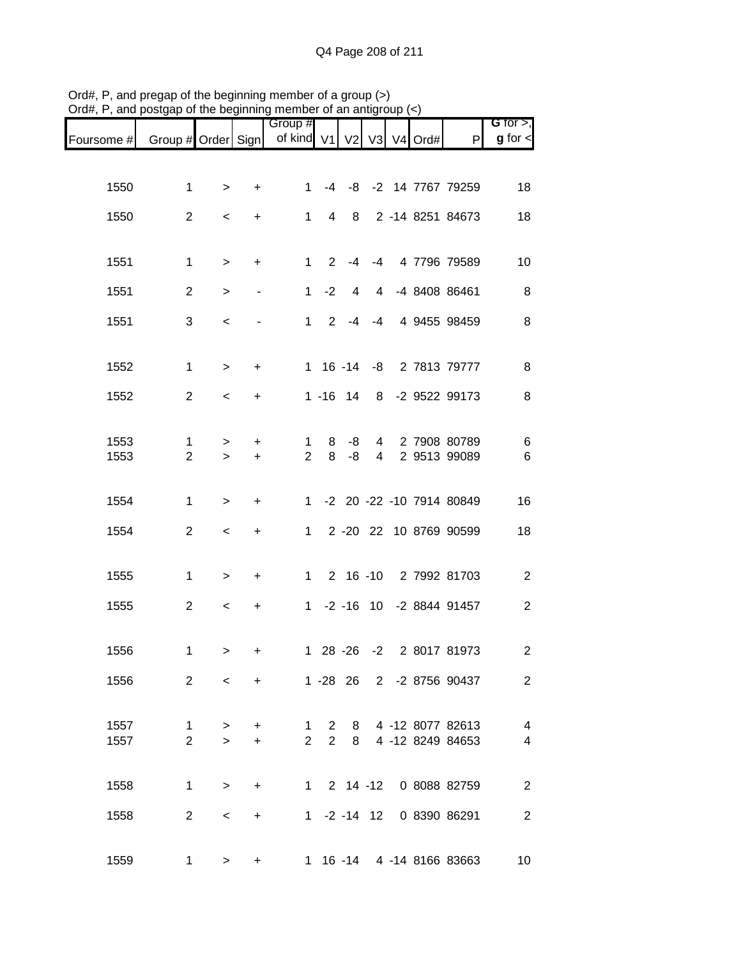|                                                                  |                |           | .y                               |                |                |             |                |  |                            |                                 |
|------------------------------------------------------------------|----------------|-----------|----------------------------------|----------------|----------------|-------------|----------------|--|----------------------------|---------------------------------|
| Foursome # Group # Order Sign   of kind V1   V2   V3   V4   Ord# |                |           |                                  | Group #        |                |             |                |  | P                          | $G$ for $>$ ,<br>$g$ for $\leq$ |
|                                                                  |                |           |                                  |                |                |             |                |  |                            |                                 |
| 1550                                                             | $\mathbf 1$    | $\,>$     | $\ddot{}$                        | 1.             |                |             |                |  | -4 -8 -2 14 7767 79259     | 18                              |
| 1550                                                             | $\overline{2}$ | $\,<\,$   | $\ddot{}$                        | $\mathbf{1}$   | 4              | 8           |                |  | 2 -14 8251 84673           | 18                              |
|                                                                  |                |           |                                  |                |                |             |                |  |                            |                                 |
| 1551                                                             | $\mathbf{1}$   | $\,$      | $\begin{array}{c} + \end{array}$ | $\mathbf{1}$   | $2^{\circ}$    | -4          | $-4$           |  | 4 7796 79589               | 10                              |
| 1551                                                             | $\overline{2}$ | $\geq$    | $\overline{\phantom{m}}$         | $\mathbf 1$    | $-2$           | 4           |                |  | 4 -4 8408 86461            | 8                               |
| 1551                                                             | 3              | $\,<$     |                                  | $1 \quad$      | $2^{\circ}$    | $-4$        |                |  | -4 4 9455 98459            | 8                               |
|                                                                  |                |           |                                  |                |                |             |                |  |                            |                                 |
| 1552                                                             | $\mathbf 1$    | $\geq$    | $\ddot{}$                        |                |                |             |                |  | 1 16 -14 -8 2 7813 79777   | 8                               |
| 1552                                                             | $\overline{2}$ | $\,<\,$   | $\ddot{}$                        |                |                | $1 - 16$ 14 |                |  | 8 -2 9522 99173            | 8                               |
| 1553                                                             | $\mathbf 1$    | $\, > \,$ | +                                | 1              | 8              | -8          | $\overline{4}$ |  | 2 7908 80789               | 6                               |
| 1553                                                             | $\overline{2}$ | $\geq$    | $+$                              | $\overline{2}$ | 8              | $-8$        | $\overline{4}$ |  | 2 9513 99089               | $\,6$                           |
|                                                                  |                |           |                                  |                |                |             |                |  | 1 -2 20 -22 -10 7914 80849 |                                 |
| 1554                                                             | $\mathbf{1}$   | $\geq$    | $\ddot{}$                        |                |                |             |                |  |                            | 16                              |
| 1554                                                             | $\overline{2}$ | $\,<\,$   | $\begin{array}{c} + \end{array}$ | $\mathbf{1}$   |                |             |                |  | 2 -20 22 10 8769 90599     | 18                              |
| 1555                                                             | $\mathbf{1}$   | $\,$      | $\ddot{}$                        |                |                |             |                |  | 1 2 16 -10 2 7992 81703    | $\overline{c}$                  |
| 1555                                                             | $\overline{2}$ | $\,<\,$   | $\ddot{}$                        |                |                |             |                |  | 1 -2 -16 10 -2 8844 91457  | $\mathbf{2}$                    |
|                                                                  |                |           |                                  |                |                |             |                |  |                            |                                 |
| 1556                                                             | $\mathbf 1$    | $\, >$    | +                                |                |                |             |                |  | 1 28 -26 -2 2 8017 81973   | $\overline{c}$                  |
| 1556                                                             | $\overline{2}$ | $\prec$   | $+$                              |                |                |             |                |  | 1 -28 26 2 -2 8756 90437   | 2                               |
|                                                                  |                |           |                                  |                |                |             |                |  |                            |                                 |
| 1557                                                             | 1              | $\, > \,$ | +                                | 1.             | $\overline{2}$ | 8           |                |  | 4 -12 8077 82613           | 4                               |
| 1557                                                             | $\overline{2}$ | $\geq$    | $\ddot{}$                        | $\overline{2}$ | $\overline{2}$ | 8           |                |  | 4 -12 8249 84653           | 4                               |
|                                                                  |                |           |                                  |                |                |             |                |  |                            |                                 |
| 1558                                                             | $\mathbf{1}$   | $\geq$    | $\ddot{}$                        |                |                |             |                |  | 1 2 14 -12 0 8088 82759    | $\overline{2}$                  |
| 1558                                                             | $\overline{2}$ | $\,<\,$   | $\ddot{}$                        |                |                |             | $1 -2 -14$ 12  |  | 0 8390 86291               | $\overline{2}$                  |
|                                                                  |                |           |                                  |                |                |             |                |  |                            |                                 |
| 1559                                                             | $\mathbf 1$    | $\,>$     | $\ddot{}$                        |                |                |             |                |  | 1 16 -14 4 -14 8166 83663  | 10                              |

Ord#, P, and pregap of the beginning member of a group (>) Ord#, P, and postgap of the beginning member of an antigroup (<)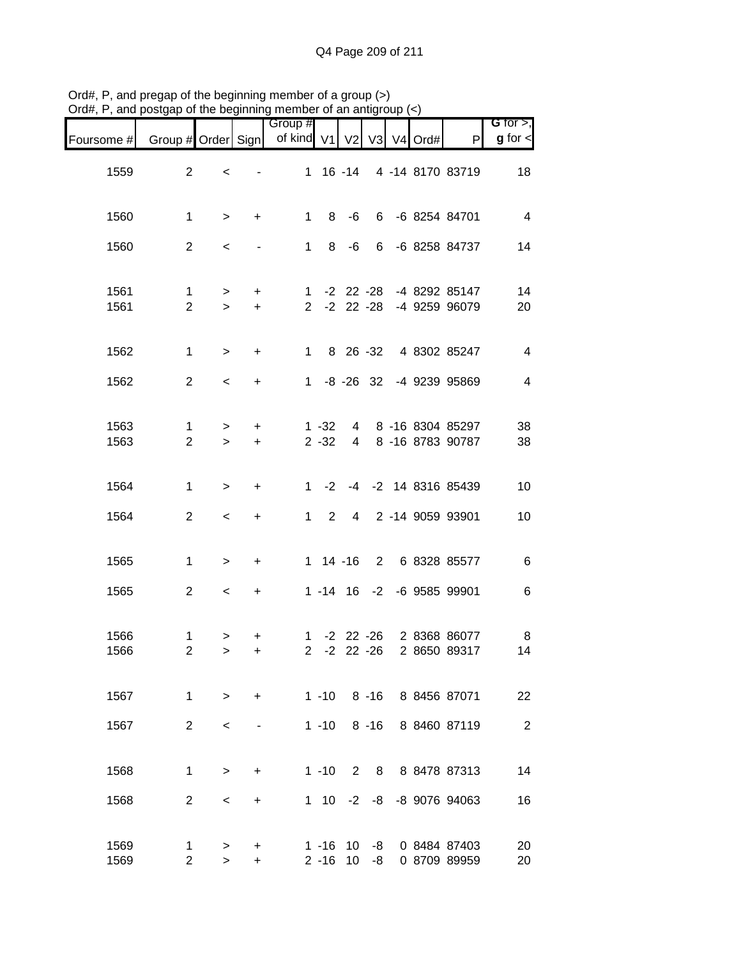|                              |                                                 |            |               |                              |                      |                       |                          |                     | , and posigap or the beginning member or an antigroup $(\leq)$ | יישוע $\pi,$ ו |
|------------------------------|-------------------------------------------------|------------|---------------|------------------------------|----------------------|-----------------------|--------------------------|---------------------|----------------------------------------------------------------|----------------|
| G for $>$ ,<br>$g$ for $\lt$ | $\mathsf{P}$                                    | V3 V4 Ord# |               | V <sub>2</sub>               |                      | Group #<br>of kind V1 |                          |                     | Group # Order Sign                                             | Foursome #     |
| 18                           | 4 -14 8170 83719                                |            |               | 1 16 -14                     |                      |                       |                          | $\,<$               | $\overline{2}$                                                 | 1559           |
| $\overline{4}$               | 6 -6 8254 84701                                 |            |               | -6                           | 8                    | 1                     | $\ddot{}$                | $\geq$              | $\mathbf 1$                                                    | 1560           |
| 14                           | 6 -6 8258 84737                                 |            |               | -6                           | 8                    | 1                     | $\overline{\phantom{a}}$ | $\,<\,$             | $\overline{2}$                                                 | 1560           |
| 14<br>20                     | -4 8292 85147<br>2 -2 22 -28 -4 9259 96079      |            | $-2$ 22 $-28$ |                              |                      | $\mathbf{1}$          | $+$<br>$\ddot{}$         | $\, >$<br>$\geq$    | $\mathbf{1}$<br>$\overline{2}$                                 | 1561<br>1561   |
| $\overline{4}$               | 4 8302 85247                                    |            | 8 26 -32      |                              |                      | 1                     | $\ddot{}$                | $\,>$               | 1                                                              | 1562           |
| $\overline{4}$               | -8 -26 32 -4 9239 95869                         |            |               |                              |                      | $1 \quad$             | $\ddot{}$                | $\prec$             | $\overline{2}$                                                 | 1562           |
| 38<br>38                     | 8 -16 8304 85297<br>8 -16 8783 90787            |            |               | $4 \quad$<br>$4\overline{ }$ | $1 - 32$<br>$2 - 32$ |                       | $\ddot{}$<br>$+$         | $\, > \,$<br>$\geq$ | 1<br>$\overline{2}$                                            | 1563<br>1563   |
| 10                           | -2 -4 -2 14 8316 85439                          |            |               |                              |                      | $1 \quad$             | $\ddot{}$                | $\geq$              | $\mathbf{1}$                                                   | 1564           |
| 10                           | 2 -14 9059 93901                                |            |               | $\overline{4}$               | $\overline{2}$       | $\mathbf{1}$          | $\ddot{}$                | $\,<$               | $\overline{2}$                                                 | 1564           |
| $\,6$                        | 2 6 8328 85577                                  |            |               | $1 \t14 - 16$                |                      |                       | $\ddot{}$                | $\, >$              | 1                                                              | 1565           |
| 6                            | 1 -14 16 -2 -6 9585 99901                       |            |               |                              |                      |                       | $\ddot{}$                | $\,<$               | $\overline{2}$                                                 | 1565           |
| 8<br>14                      | 1 -2 22 -26 2 8368 86077<br>22 -26 2 8650 89317 |            |               |                              | $-2$                 | $\mathbf{2}$          | $\ddot{}$<br>$\ddot{}$   | $\, >$<br>$\geq$    | 1<br>2                                                         | 1566<br>1566   |
| 22                           | 8 -16 8 8456 87071                              |            |               |                              | $1 - 10$             |                       | $+$                      | $\geq$              | $\mathbf 1$                                                    | 1567           |
| $\sqrt{2}$                   | 8 8460 87119                                    |            | $8 - 16$      |                              | $1 - 10$             |                       |                          | $\,<\,$             | $\overline{2}$                                                 | 1567           |
| 14                           | 8 8 8478 87313                                  |            |               | $2^{\circ}$                  | $1 - 10$             |                       | $\ddot{}$                | $\, > \,$           | $\mathbf{1}$                                                   | 1568           |
| 16                           | 1 10 -2 -8 -8 9076 94063                        |            |               |                              |                      |                       | $\ddot{}$                | $\,<\,$             | $\overline{2}$                                                 | 1568           |
| 20<br>20                     | 0 8484 87403<br>0 8709 89959                    |            | -8<br>-8      | 10<br>$2 - 16$ 10            | $1 - 16$             |                       | +<br>$\ddot{}$           | ><br>$\,$           | 1<br>$\overline{c}$                                            | 1569<br>1569   |

Ord#, P, and pregap of the beginning member of a group (>) Ord#, P, and postgap of the beginning member of an antigroup (<)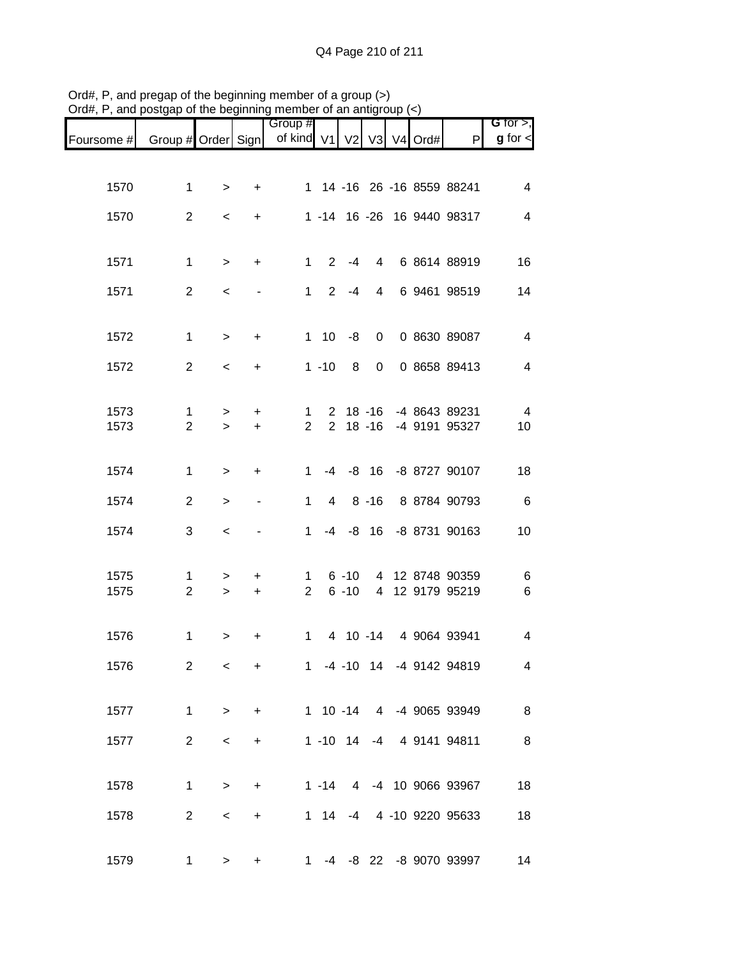|            |                    |           |           | Group #        |                       |                |                |                     |                            | G for $>$ ,             |
|------------|--------------------|-----------|-----------|----------------|-----------------------|----------------|----------------|---------------------|----------------------------|-------------------------|
| Foursome # | Group # Order Sign |           |           | of kind V1     |                       | V <sub>2</sub> | V3             | V <sub>4</sub> Ord# | P                          | $g$ for $\lt$           |
|            |                    |           |           |                |                       |                |                |                     |                            |                         |
| 1570       | $\mathbf 1$        | $\, >$    | $\ddot{}$ |                |                       |                |                |                     | 1 14 -16 26 -16 8559 88241 | 4                       |
| 1570       | $\overline{2}$     | $\,<$     | $\ddot{}$ |                |                       |                |                |                     | 1 -14 16 -26 16 9440 98317 | $\overline{4}$          |
|            |                    |           |           |                |                       |                |                |                     |                            |                         |
| 1571       | $\mathbf 1$        | $\, >$    | $\ddot{}$ | $\mathbf{1}$   | $\mathbf{2}^{\prime}$ | $-4$           | 4              |                     | 6 8614 88919               | 16                      |
| 1571       | $\overline{2}$     | $\,<$     |           | $\mathbf{1}$   | $\overline{2}$        | $-4$           | $\overline{4}$ |                     | 6 9461 98519               | 14                      |
|            |                    |           |           |                |                       |                |                |                     |                            |                         |
| 1572       | $\mathbf{1}$       | $\,$      | $\ddot{}$ | 1              | 10                    | -8             | 0              |                     | 0 8630 89087               | $\overline{4}$          |
| 1572       | 2                  | $\,<$     | +         |                | $1 - 10$              | 8              | $\pmb{0}$      |                     | 0 8658 89413               | $\overline{4}$          |
|            |                    |           |           |                |                       |                |                |                     |                            |                         |
| 1573       | $\mathbf 1$        | $\, > \,$ | +         | 1              | 2                     |                | 18 -16         |                     | -4 8643 89231              | $\overline{4}$          |
| 1573       | $\overline{2}$     | $\geq$    | $\ddot{}$ | 2              | $\overline{2}$        |                | $18 - 16$      |                     | -4 9191 95327              | 10                      |
|            |                    |           |           |                |                       |                |                |                     |                            |                         |
| 1574       | $\mathbf{1}$       | $\geq$    | $\ddot{}$ | 1              | -4                    |                |                |                     | -8 16 -8 8727 90107        | 18                      |
| 1574       | 2                  | $\geq$    |           | 1              | $\overline{4}$        |                | $8 - 16$       |                     | 8 8784 90793               | 6                       |
| 1574       | 3                  | $\,<$     |           | $\mathbf{1}$   | $-4$                  |                | $-8$ 16        |                     | -8 8731 90163              | 10                      |
|            |                    |           |           |                |                       |                |                |                     |                            |                         |
| 1575       | $\mathbf{1}$       | $\, > \,$ | $\ddot{}$ | 1              |                       | $6 - 10$       |                |                     | 4 12 8748 90359            | 6                       |
| 1575       | $\overline{2}$     | $\geq$    | $\ddot{}$ | $\overline{2}$ |                       | $6 - 10$       | $\overline{4}$ |                     | 12 9179 95219              | $6\phantom{1}6$         |
|            |                    |           |           |                |                       |                |                |                     |                            |                         |
| 1576       | $\mathbf 1$        | $\, > \,$ | +         | $\mathbf 1$    |                       |                |                |                     | 4 10 -14 4 9064 93941      | $\overline{\mathbf{4}}$ |
| 1576       | 2                  | $\,<$     | $\ddot{}$ |                |                       |                |                |                     | 1 -4 -10 14 -4 9142 94819  | 4                       |
|            |                    |           |           |                |                       |                |                |                     |                            |                         |
| 1577       | $\mathbf 1$        | $\geq$    | $\ddot{}$ |                |                       |                |                |                     | 1 10 -14 4 -4 9065 93949   | 8                       |
| 1577       | $\overline{2}$     | $\,<$     | +         |                |                       |                |                |                     | 1 -10 14 -4 4 9141 94811   | 8                       |
|            |                    |           |           |                |                       |                |                |                     |                            |                         |
| 1578       | $\mathbf 1$        | $\geq$    | $\ddot{}$ |                |                       |                |                |                     | 1 -14 4 -4 10 9066 93967   | 18                      |
|            |                    |           |           |                |                       |                |                |                     |                            |                         |
| 1578       | $\overline{2}$     | $\,<$     | +         |                |                       |                |                |                     | 1 14 -4 4 -10 9220 95633   | 18                      |
| 1579       | $\mathbf{1}$       | $\geq$    | +         | $1 \quad$      |                       |                |                |                     | -4 -8 22 -8 9070 93997     | 14                      |
|            |                    |           |           |                |                       |                |                |                     |                            |                         |

Ord#, P, and pregap of the beginning member of a group (>) Ord#, P, and postgap of the beginning member of an antigroup (<)